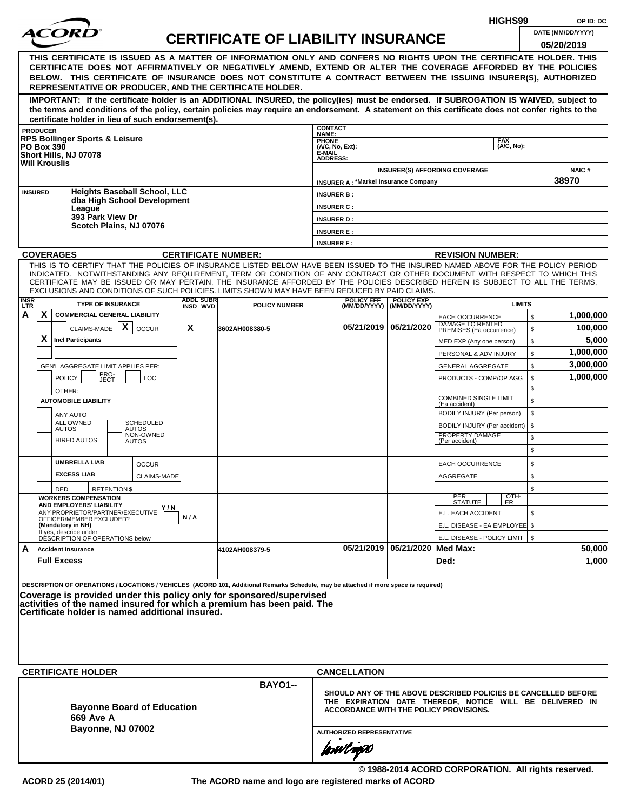|                                                                                                                                                                                                                                                                                                     |                   |                                                              |                                                    |     |  |                                                                                                                                                                                                                                                              |                           |                                             |                                    | HIGHS99                                                        |              | OP ID: DC             |  |
|-----------------------------------------------------------------------------------------------------------------------------------------------------------------------------------------------------------------------------------------------------------------------------------------------------|-------------------|--------------------------------------------------------------|----------------------------------------------------|-----|--|--------------------------------------------------------------------------------------------------------------------------------------------------------------------------------------------------------------------------------------------------------------|---------------------------|---------------------------------------------|------------------------------------|----------------------------------------------------------------|--------------|-----------------------|--|
|                                                                                                                                                                                                                                                                                                     |                   |                                                              |                                                    |     |  | <b>CERTIFICATE OF LIABILITY INSURANCE</b>                                                                                                                                                                                                                    |                           |                                             |                                    |                                                                |              | DATE (MM/DD/YYYY)     |  |
|                                                                                                                                                                                                                                                                                                     |                   |                                                              |                                                    |     |  |                                                                                                                                                                                                                                                              |                           |                                             |                                    |                                                                |              | 05/20/2019            |  |
|                                                                                                                                                                                                                                                                                                     |                   |                                                              |                                                    |     |  | THIS CERTIFICATE IS ISSUED AS A MATTER OF INFORMATION ONLY AND CONFERS NO RIGHTS UPON THE CERTIFICATE HOLDER. THIS                                                                                                                                           |                           |                                             |                                    |                                                                |              |                       |  |
|                                                                                                                                                                                                                                                                                                     |                   |                                                              |                                                    |     |  | CERTIFICATE DOES NOT AFFIRMATIVELY OR NEGATIVELY AMEND, EXTEND OR ALTER THE COVERAGE AFFORDED BY THE POLICIES<br>BELOW. THIS CERTIFICATE OF INSURANCE DOES NOT CONSTITUTE A CONTRACT BETWEEN THE ISSUING INSURER(S), AUTHORIZED                              |                           |                                             |                                    |                                                                |              |                       |  |
|                                                                                                                                                                                                                                                                                                     |                   |                                                              |                                                    |     |  | REPRESENTATIVE OR PRODUCER, AND THE CERTIFICATE HOLDER.                                                                                                                                                                                                      |                           |                                             |                                    |                                                                |              |                       |  |
|                                                                                                                                                                                                                                                                                                     |                   |                                                              |                                                    |     |  | IMPORTANT: If the certificate holder is an ADDITIONAL INSURED, the policy(ies) must be endorsed. If SUBROGATION IS WAIVED, subject to                                                                                                                        |                           |                                             |                                    |                                                                |              |                       |  |
|                                                                                                                                                                                                                                                                                                     |                   |                                                              |                                                    |     |  | the terms and conditions of the policy, certain policies may require an endorsement. A statement on this certificate does not confer rights to the                                                                                                           |                           |                                             |                                    |                                                                |              |                       |  |
|                                                                                                                                                                                                                                                                                                     | <b>PRODUCER</b>   |                                                              | certificate holder in lieu of such endorsement(s). |     |  |                                                                                                                                                                                                                                                              | <b>CONTACT</b>            |                                             |                                    |                                                                |              |                       |  |
|                                                                                                                                                                                                                                                                                                     |                   | <b>RPS Bollinger Sports &amp; Leisure</b>                    |                                                    |     |  |                                                                                                                                                                                                                                                              | NAME:<br><b>PHONE</b>     |                                             |                                    | <b>FAX</b>                                                     |              |                       |  |
|                                                                                                                                                                                                                                                                                                     | <b>PO Box 390</b> | Short Hills, NJ 07078                                        |                                                    |     |  |                                                                                                                                                                                                                                                              | (A/C, No, Ext):<br>E-MAIL |                                             |                                    | (A/C. No):                                                     |              |                       |  |
|                                                                                                                                                                                                                                                                                                     |                   | <b>Will Krouslis</b>                                         |                                                    |     |  |                                                                                                                                                                                                                                                              | <b>ADDRESS:</b>           |                                             |                                    |                                                                |              |                       |  |
|                                                                                                                                                                                                                                                                                                     |                   |                                                              |                                                    |     |  |                                                                                                                                                                                                                                                              |                           | <b>INSURER A: *Markel Insurance Company</b> |                                    | <b>INSURER(S) AFFORDING COVERAGE</b>                           |              | <b>NAIC#</b><br>38970 |  |
|                                                                                                                                                                                                                                                                                                     | <b>INSURED</b>    |                                                              | <b>Heights Baseball School, LLC</b>                |     |  |                                                                                                                                                                                                                                                              | <b>INSURER B:</b>         |                                             |                                    |                                                                |              |                       |  |
|                                                                                                                                                                                                                                                                                                     |                   |                                                              | dba High School Development                        |     |  |                                                                                                                                                                                                                                                              | <b>INSURER C:</b>         |                                             |                                    |                                                                |              |                       |  |
|                                                                                                                                                                                                                                                                                                     |                   | League<br>393 Park View Dr                                   |                                                    |     |  |                                                                                                                                                                                                                                                              | <b>INSURER D:</b>         |                                             |                                    |                                                                |              |                       |  |
|                                                                                                                                                                                                                                                                                                     |                   |                                                              | Scotch Plains, NJ 07076                            |     |  |                                                                                                                                                                                                                                                              | <b>INSURER E:</b>         |                                             |                                    |                                                                |              |                       |  |
|                                                                                                                                                                                                                                                                                                     |                   |                                                              |                                                    |     |  |                                                                                                                                                                                                                                                              | <b>INSURER F:</b>         |                                             |                                    |                                                                |              |                       |  |
|                                                                                                                                                                                                                                                                                                     |                   | <b>COVERAGES</b>                                             |                                                    |     |  | <b>CERTIFICATE NUMBER:</b>                                                                                                                                                                                                                                   |                           |                                             |                                    | <b>REVISION NUMBER:</b>                                        |              |                       |  |
|                                                                                                                                                                                                                                                                                                     |                   |                                                              |                                                    |     |  | THIS IS TO CERTIFY THAT THE POLICIES OF INSURANCE LISTED BELOW HAVE BEEN ISSUED TO THE INSURED NAMED ABOVE FOR THE POLICY PERIOD                                                                                                                             |                           |                                             |                                    |                                                                |              |                       |  |
|                                                                                                                                                                                                                                                                                                     |                   |                                                              |                                                    |     |  | INDICATED. NOTWITHSTANDING ANY REQUIREMENT, TERM OR CONDITION OF ANY CONTRACT OR OTHER DOCUMENT WITH RESPECT TO WHICH THIS<br>CERTIFICATE MAY BE ISSUED OR MAY PERTAIN, THE INSURANCE AFFORDED BY THE POLICIES DESCRIBED HEREIN IS SUBJECT TO ALL THE TERMS. |                           |                                             |                                    |                                                                |              |                       |  |
| EXCLUSIONS AND CONDITIONS OF SUCH POLICIES. LIMITS SHOWN MAY HAVE BEEN REDUCED BY PAID CLAIMS.<br><b>ADDLISUBRI</b><br><b>POLICY EFF</b><br><b>POLICY EXP</b><br><b>INSR</b><br>LTR<br><b>TYPE OF INSURANCE</b><br><b>LIMITS</b><br><b>POLICY NUMBER</b><br>(MM/DD/YYYY)   (MM/DD/YYYY)<br>INSD WVD |                   |                                                              |                                                    |     |  |                                                                                                                                                                                                                                                              |                           |                                             |                                    |                                                                |              |                       |  |
|                                                                                                                                                                                                                                                                                                     |                   |                                                              |                                                    |     |  |                                                                                                                                                                                                                                                              |                           |                                             |                                    |                                                                |              |                       |  |
| А                                                                                                                                                                                                                                                                                                   | X                 | <b>COMMERCIAL GENERAL LIABILITY</b>                          |                                                    |     |  |                                                                                                                                                                                                                                                              |                           |                                             |                                    | <b>EACH OCCURRENCE</b><br>DAMAGE TO RENTED                     | $\mathbb{S}$ | 1,000,000             |  |
|                                                                                                                                                                                                                                                                                                     |                   | CLAIMS-MADE $\mathbf{X}$                                     | <b>OCCUR</b>                                       | X   |  | 3602AH008380-5                                                                                                                                                                                                                                               |                           |                                             | 05/21/2019   05/21/2020            | PREMISES (Ea occurrence)                                       | \$           | 100,000               |  |
|                                                                                                                                                                                                                                                                                                     | X                 | <b>Incl Participants</b>                                     |                                                    |     |  |                                                                                                                                                                                                                                                              |                           |                                             |                                    | MED EXP (Any one person)                                       | \$           | 5,000                 |  |
|                                                                                                                                                                                                                                                                                                     |                   |                                                              |                                                    |     |  |                                                                                                                                                                                                                                                              |                           |                                             |                                    | PERSONAL & ADV INJURY                                          | \$           | 1,000,000             |  |
|                                                                                                                                                                                                                                                                                                     |                   | GEN'L AGGREGATE LIMIT APPLIES PER:                           |                                                    |     |  |                                                                                                                                                                                                                                                              |                           |                                             |                                    | <b>GENERAL AGGREGATE</b>                                       | \$           | 3,000,000             |  |
|                                                                                                                                                                                                                                                                                                     |                   | PRO-<br>JECT<br><b>POLICY</b>                                | <b>LOC</b>                                         |     |  |                                                                                                                                                                                                                                                              |                           |                                             |                                    | PRODUCTS - COMP/OP AGG                                         | \$           | 1,000,000             |  |
|                                                                                                                                                                                                                                                                                                     |                   | OTHER:                                                       |                                                    |     |  |                                                                                                                                                                                                                                                              |                           |                                             |                                    | <b>COMBINED SINGLE LIMIT</b>                                   | \$<br>\$     |                       |  |
|                                                                                                                                                                                                                                                                                                     |                   | <b>AUTOMOBILE LIABILITY</b>                                  |                                                    |     |  |                                                                                                                                                                                                                                                              |                           |                                             |                                    | (Ea accident)                                                  | \$           |                       |  |
|                                                                                                                                                                                                                                                                                                     |                   | ANY AUTO<br>ALL OWNED                                        | SCHEDULED                                          |     |  |                                                                                                                                                                                                                                                              |                           |                                             |                                    | BODILY INJURY (Per person)<br>BODILY INJURY (Per accident)     | \$           |                       |  |
|                                                                                                                                                                                                                                                                                                     |                   | <b>AUTOS</b>                                                 | <b>AUTOS</b><br>NON-OWNED                          |     |  |                                                                                                                                                                                                                                                              |                           |                                             |                                    | PROPERTY DAMAGE                                                | \$           |                       |  |
|                                                                                                                                                                                                                                                                                                     |                   | <b>HIRED AUTOS</b>                                           | <b>AUTOS</b>                                       |     |  |                                                                                                                                                                                                                                                              |                           |                                             |                                    | (Per accident)                                                 | \$           |                       |  |
|                                                                                                                                                                                                                                                                                                     |                   | <b>UMBRELLA LIAB</b>                                         | <b>OCCUR</b>                                       |     |  |                                                                                                                                                                                                                                                              |                           |                                             |                                    | <b>EACH OCCURRENCE</b>                                         | \$           |                       |  |
|                                                                                                                                                                                                                                                                                                     |                   | <b>EXCESS LIAB</b>                                           | <b>CLAIMS-MADE</b>                                 |     |  |                                                                                                                                                                                                                                                              |                           |                                             |                                    | <b>AGGREGATE</b>                                               | \$           |                       |  |
|                                                                                                                                                                                                                                                                                                     |                   | DED                                                          | <b>RETENTION \$</b>                                |     |  |                                                                                                                                                                                                                                                              |                           |                                             |                                    |                                                                | \$           |                       |  |
|                                                                                                                                                                                                                                                                                                     |                   | <b>WORKERS COMPENSATION</b>                                  |                                                    |     |  |                                                                                                                                                                                                                                                              |                           |                                             |                                    | $\frac{[OTH]}{ER}$<br>PER<br>STATUTE                           |              |                       |  |
|                                                                                                                                                                                                                                                                                                     |                   | AND EMPLOYERS' LIABILITY<br>ANY PROPRIETOR/PARTNER/EXECUTIVE | Y/N                                                |     |  |                                                                                                                                                                                                                                                              |                           |                                             |                                    | E.L. EACH ACCIDENT                                             | \$           |                       |  |
|                                                                                                                                                                                                                                                                                                     |                   | OFFICER/MEMBER EXCLUDED?<br>(Mandatory in NH)                |                                                    | N/A |  |                                                                                                                                                                                                                                                              |                           |                                             |                                    | E.L. DISEASE - EA EMPLOYEE \$                                  |              |                       |  |
|                                                                                                                                                                                                                                                                                                     |                   | If yes, describe under<br>DESCRIPTION OF OPERATIONS below    |                                                    |     |  |                                                                                                                                                                                                                                                              |                           |                                             |                                    | E.L. DISEASE - POLICY LIMIT   \$                               |              |                       |  |
| A                                                                                                                                                                                                                                                                                                   |                   | <b>Accident Insurance</b>                                    |                                                    |     |  | 4102AH008379-5                                                                                                                                                                                                                                               |                           |                                             | 05/21/2019   05/21/2020   Med Max: |                                                                |              | 50,000                |  |
|                                                                                                                                                                                                                                                                                                     |                   | <b>Full Excess</b>                                           |                                                    |     |  |                                                                                                                                                                                                                                                              |                           |                                             |                                    | Ded:                                                           |              | 1,000                 |  |
|                                                                                                                                                                                                                                                                                                     |                   |                                                              |                                                    |     |  |                                                                                                                                                                                                                                                              |                           |                                             |                                    |                                                                |              |                       |  |
|                                                                                                                                                                                                                                                                                                     |                   |                                                              |                                                    |     |  | DESCRIPTION OF OPERATIONS / LOCATIONS / VEHICLES (ACORD 101, Additional Remarks Schedule, may be attached if more space is required)                                                                                                                         |                           |                                             |                                    |                                                                |              |                       |  |
|                                                                                                                                                                                                                                                                                                     |                   |                                                              |                                                    |     |  | Coverage is provided under this policy only for sponsored/supervised<br>activities of the named insured for which a premium has been paid. The                                                                                                               |                           |                                             |                                    |                                                                |              |                       |  |
|                                                                                                                                                                                                                                                                                                     |                   |                                                              | Certificate holder is named additional insured.    |     |  |                                                                                                                                                                                                                                                              |                           |                                             |                                    |                                                                |              |                       |  |
|                                                                                                                                                                                                                                                                                                     |                   |                                                              |                                                    |     |  |                                                                                                                                                                                                                                                              |                           |                                             |                                    |                                                                |              |                       |  |
|                                                                                                                                                                                                                                                                                                     |                   |                                                              |                                                    |     |  |                                                                                                                                                                                                                                                              |                           |                                             |                                    |                                                                |              |                       |  |
|                                                                                                                                                                                                                                                                                                     |                   |                                                              |                                                    |     |  |                                                                                                                                                                                                                                                              |                           |                                             |                                    |                                                                |              |                       |  |
|                                                                                                                                                                                                                                                                                                     |                   |                                                              |                                                    |     |  |                                                                                                                                                                                                                                                              |                           |                                             |                                    |                                                                |              |                       |  |
|                                                                                                                                                                                                                                                                                                     |                   | <b>CERTIFICATE HOLDER</b>                                    |                                                    |     |  |                                                                                                                                                                                                                                                              |                           | <b>CANCELLATION</b>                         |                                    |                                                                |              |                       |  |
|                                                                                                                                                                                                                                                                                                     |                   |                                                              |                                                    |     |  | <b>BAYO1--</b>                                                                                                                                                                                                                                               |                           |                                             |                                    | SHOULD ANY OF THE ABOVE DESCRIBED POLICIES BE CANCELLED BEFORE |              |                       |  |
|                                                                                                                                                                                                                                                                                                     |                   |                                                              |                                                    |     |  |                                                                                                                                                                                                                                                              |                           |                                             |                                    | THE EXPIRATION DATE THEREOF, NOTICE WILL BE DELIVERED IN       |              |                       |  |
|                                                                                                                                                                                                                                                                                                     |                   | <b>669 Ave A</b>                                             | <b>Bayonne Board of Education</b>                  |     |  |                                                                                                                                                                                                                                                              |                           |                                             |                                    | <b>ACCORDANCE WITH THE POLICY PROVISIONS.</b>                  |              |                       |  |
|                                                                                                                                                                                                                                                                                                     |                   |                                                              | <b>Bayonne, NJ 07002</b>                           |     |  |                                                                                                                                                                                                                                                              |                           | <b>AUTHORIZED REPRESENTATIVE</b>            |                                    |                                                                |              |                       |  |
|                                                                                                                                                                                                                                                                                                     |                   |                                                              |                                                    |     |  |                                                                                                                                                                                                                                                              |                           |                                             |                                    |                                                                |              |                       |  |
|                                                                                                                                                                                                                                                                                                     |                   |                                                              |                                                    |     |  |                                                                                                                                                                                                                                                              |                           | forwil now                                  |                                    |                                                                |              |                       |  |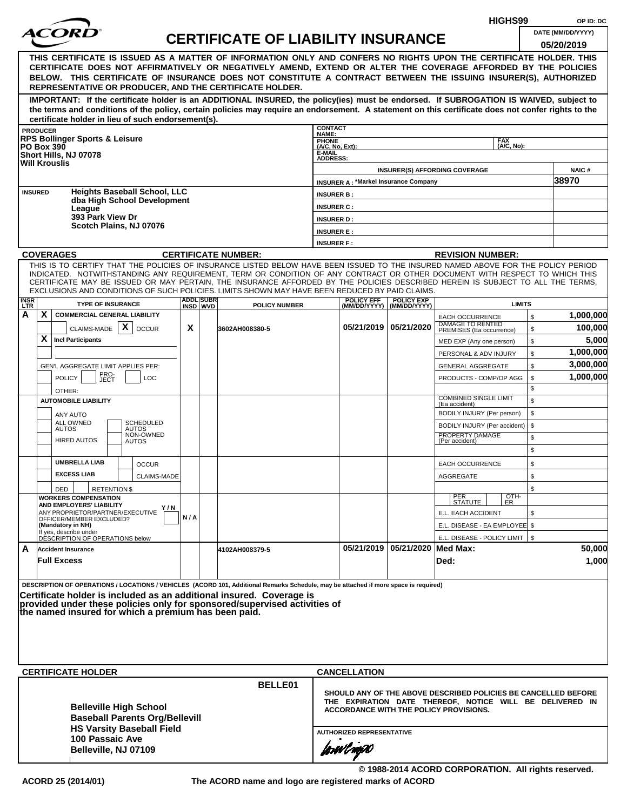|                    |                   |                                                                                                                                                                                                                                                                                                                                                                                                                                                                                                    |     |                   |                                           |                                                                   |                                             |                                    |                                                                                                                                                                             | HIGHS99                  |          | OP ID: DC             |
|--------------------|-------------------|----------------------------------------------------------------------------------------------------------------------------------------------------------------------------------------------------------------------------------------------------------------------------------------------------------------------------------------------------------------------------------------------------------------------------------------------------------------------------------------------------|-----|-------------------|-------------------------------------------|-------------------------------------------------------------------|---------------------------------------------|------------------------------------|-----------------------------------------------------------------------------------------------------------------------------------------------------------------------------|--------------------------|----------|-----------------------|
|                    |                   |                                                                                                                                                                                                                                                                                                                                                                                                                                                                                                    |     |                   | <b>CERTIFICATE OF LIABILITY INSURANCE</b> |                                                                   |                                             |                                    |                                                                                                                                                                             |                          |          | DATE (MM/DD/YYYY)     |
|                    |                   |                                                                                                                                                                                                                                                                                                                                                                                                                                                                                                    |     |                   |                                           |                                                                   |                                             |                                    |                                                                                                                                                                             |                          |          | 05/20/2019            |
|                    |                   | THIS CERTIFICATE IS ISSUED AS A MATTER OF INFORMATION ONLY AND CONFERS NO RIGHTS UPON THE CERTIFICATE HOLDER. THIS<br>CERTIFICATE DOES NOT AFFIRMATIVELY OR NEGATIVELY AMEND, EXTEND OR ALTER THE COVERAGE AFFORDED BY THE POLICIES<br>BELOW. THIS CERTIFICATE OF INSURANCE DOES NOT CONSTITUTE A CONTRACT BETWEEN THE ISSUING INSURER(S), AUTHORIZED<br>REPRESENTATIVE OR PRODUCER, AND THE CERTIFICATE HOLDER.                                                                                   |     |                   |                                           |                                                                   |                                             |                                    |                                                                                                                                                                             |                          |          |                       |
|                    |                   | IMPORTANT: If the certificate holder is an ADDITIONAL INSURED, the policy(ies) must be endorsed. If SUBROGATION IS WAIVED, subject to<br>the terms and conditions of the policy, certain policies may require an endorsement. A statement on this certificate does not confer rights to the<br>certificate holder in lieu of such endorsement(s).                                                                                                                                                  |     |                   |                                           |                                                                   |                                             |                                    |                                                                                                                                                                             |                          |          |                       |
|                    | <b>PRODUCER</b>   |                                                                                                                                                                                                                                                                                                                                                                                                                                                                                                    |     |                   |                                           | <b>CONTACT</b>                                                    |                                             |                                    |                                                                                                                                                                             |                          |          |                       |
|                    | <b>PO Box 390</b> | <b>RPS Bollinger Sports &amp; Leisure</b><br>Short Hills, NJ 07078<br><b>Will Krouslis</b>                                                                                                                                                                                                                                                                                                                                                                                                         |     |                   |                                           | NAME:<br>PHONE<br>$(A/C, No, Ext)$ :<br>E-MAIL<br><b>ADDRESS:</b> |                                             |                                    |                                                                                                                                                                             | <b>FAX</b><br>(A/C, No): |          |                       |
|                    |                   |                                                                                                                                                                                                                                                                                                                                                                                                                                                                                                    |     |                   |                                           |                                                                   |                                             |                                    | <b>INSURER(S) AFFORDING COVERAGE</b>                                                                                                                                        |                          |          | <b>NAIC#</b><br>38970 |
|                    | <b>INSURED</b>    | <b>Heights Baseball School, LLC</b>                                                                                                                                                                                                                                                                                                                                                                                                                                                                |     |                   |                                           |                                                                   | <b>INSURER A: *Markel Insurance Company</b> |                                    |                                                                                                                                                                             |                          |          |                       |
|                    |                   | dba High School Development                                                                                                                                                                                                                                                                                                                                                                                                                                                                        |     |                   |                                           | <b>INSURER B:</b><br><b>INSURER C:</b>                            |                                             |                                    |                                                                                                                                                                             |                          |          |                       |
|                    |                   | League<br>393 Park View Dr                                                                                                                                                                                                                                                                                                                                                                                                                                                                         |     |                   |                                           | <b>INSURER D:</b>                                                 |                                             |                                    |                                                                                                                                                                             |                          |          |                       |
|                    |                   | Scotch Plains, NJ 07076                                                                                                                                                                                                                                                                                                                                                                                                                                                                            |     |                   |                                           | <b>INSURER E:</b>                                                 |                                             |                                    |                                                                                                                                                                             |                          |          |                       |
|                    |                   |                                                                                                                                                                                                                                                                                                                                                                                                                                                                                                    |     |                   |                                           | <b>INSURER F:</b>                                                 |                                             |                                    |                                                                                                                                                                             |                          |          |                       |
|                    |                   | <b>COVERAGES</b>                                                                                                                                                                                                                                                                                                                                                                                                                                                                                   |     |                   | <b>CERTIFICATE NUMBER:</b>                |                                                                   |                                             |                                    | <b>REVISION NUMBER:</b>                                                                                                                                                     |                          |          |                       |
| <b>INSR</b><br>LTR |                   | THIS IS TO CERTIFY THAT THE POLICIES OF INSURANCE LISTED BELOW HAVE BEEN ISSUED TO THE INSURED NAMED ABOVE FOR THE POLICY PERIOD<br>INDICATED. NOTWITHSTANDING ANY REQUIREMENT, TERM OR CONDITION OF ANY CONTRACT OR OTHER DOCUMENT WITH RESPECT TO WHICH THIS<br>CERTIFICATE MAY BE ISSUED OR MAY PERTAIN, THE INSURANCE AFFORDED BY THE POLICIES DESCRIBED HEREIN IS SUBJECT TO ALL THE TERMS.<br>EXCLUSIONS AND CONDITIONS OF SUCH POLICIES. LIMITS SHOWN MAY HAVE BEEN REDUCED BY PAID CLAIMS. |     | <b>ADDLISUBRI</b> |                                           |                                                                   | <b>POLICY EFF</b>                           | <b>POLICY EXP</b>                  |                                                                                                                                                                             | <b>LIMITS</b>            |          |                       |
| А                  | X                 | <b>TYPE OF INSURANCE</b><br><b>COMMERCIAL GENERAL LIABILITY</b>                                                                                                                                                                                                                                                                                                                                                                                                                                    |     | INSD WVD          | <b>POLICY NUMBER</b>                      |                                                                   |                                             | (MM/DD/YYYY) (MM/DD/YYYY)          | <b>EACH OCCURRENCE</b>                                                                                                                                                      |                          | \$       | 1,000,000             |
|                    | X                 | X<br>CLAIMS-MADE<br><b>OCCUR</b><br><b>Incl Participants</b>                                                                                                                                                                                                                                                                                                                                                                                                                                       | X   |                   | 3602AH008380-5                            |                                                                   |                                             | 05/21/2019   05/21/2020            | DAMAGE TO RENTED<br>PREMISES (Ea occurrence)                                                                                                                                |                          | \$       | 100,000<br>5,000      |
|                    |                   |                                                                                                                                                                                                                                                                                                                                                                                                                                                                                                    |     |                   |                                           |                                                                   |                                             |                                    | MED EXP (Any one person)<br>PERSONAL & ADV INJURY                                                                                                                           |                          | \$<br>\$ | 1,000,000             |
|                    |                   | GEN'L AGGREGATE LIMIT APPLIES PER:                                                                                                                                                                                                                                                                                                                                                                                                                                                                 |     |                   |                                           |                                                                   |                                             |                                    | <b>GENERAL AGGREGATE</b>                                                                                                                                                    |                          | \$       | 3,000,000             |
|                    |                   | PRO-<br>JECT<br><b>POLICY</b><br><b>LOC</b>                                                                                                                                                                                                                                                                                                                                                                                                                                                        |     |                   |                                           |                                                                   |                                             |                                    | PRODUCTS - COMP/OP AGG                                                                                                                                                      |                          | \$       | 1,000,000             |
|                    |                   | OTHER:                                                                                                                                                                                                                                                                                                                                                                                                                                                                                             |     |                   |                                           |                                                                   |                                             |                                    |                                                                                                                                                                             |                          | \$       |                       |
|                    |                   | <b>AUTOMOBILE LIABILITY</b>                                                                                                                                                                                                                                                                                                                                                                                                                                                                        |     |                   |                                           |                                                                   |                                             |                                    | <b>COMBINED SINGLE LIMIT</b><br>(Ea accident)                                                                                                                               |                          | \$       |                       |
|                    |                   | <b>ANY AUTO</b>                                                                                                                                                                                                                                                                                                                                                                                                                                                                                    |     |                   |                                           |                                                                   |                                             |                                    | BODILY INJURY (Per person)                                                                                                                                                  |                          | \$       |                       |
|                    |                   | ALL OWNED<br><b>SCHEDULED</b><br><b>AUTOS</b><br><b>AUTOS</b>                                                                                                                                                                                                                                                                                                                                                                                                                                      |     |                   |                                           |                                                                   |                                             |                                    | BODILY INJURY (Per accident)                                                                                                                                                |                          | \$       |                       |
|                    |                   | NON-OWNED<br><b>HIRED AUTOS</b><br><b>AUTOS</b>                                                                                                                                                                                                                                                                                                                                                                                                                                                    |     |                   |                                           |                                                                   |                                             |                                    | PROPERTY DAMAGE<br>(Per accident)                                                                                                                                           |                          | \$<br>\$ |                       |
|                    |                   | <b>UMBRELLA LIAB</b><br><b>OCCUR</b>                                                                                                                                                                                                                                                                                                                                                                                                                                                               |     |                   |                                           |                                                                   |                                             |                                    | <b>EACH OCCURRENCE</b>                                                                                                                                                      |                          | \$       |                       |
|                    |                   | <b>EXCESS LIAB</b><br>CLAIMS-MADE                                                                                                                                                                                                                                                                                                                                                                                                                                                                  |     |                   |                                           |                                                                   |                                             |                                    | AGGREGATE                                                                                                                                                                   |                          | \$       |                       |
|                    |                   | <b>RETENTION \$</b><br>DED                                                                                                                                                                                                                                                                                                                                                                                                                                                                         |     |                   |                                           |                                                                   |                                             |                                    |                                                                                                                                                                             |                          | \$       |                       |
|                    |                   | <b>WORKERS COMPENSATION</b><br>AND EMPLOYERS' LIABILITY<br>Y / N                                                                                                                                                                                                                                                                                                                                                                                                                                   |     |                   |                                           |                                                                   |                                             |                                    | PER<br>STATUTE                                                                                                                                                              | OTH-<br>ER               |          |                       |
|                    |                   | ANY PROPRIETOR/PARTNER/EXECUTIVE<br>OFFICER/MEMBER EXCLUDED?                                                                                                                                                                                                                                                                                                                                                                                                                                       | N/A |                   |                                           |                                                                   |                                             |                                    | E.L. EACH ACCIDENT                                                                                                                                                          |                          | \$       |                       |
|                    |                   | (Mandatory in NH)<br>If yes, describe under                                                                                                                                                                                                                                                                                                                                                                                                                                                        |     |                   |                                           |                                                                   |                                             |                                    | E.L. DISEASE - EA EMPLOYEE \$                                                                                                                                               |                          |          |                       |
|                    |                   | DÉSCRIPTION OF OPERATIONS below                                                                                                                                                                                                                                                                                                                                                                                                                                                                    |     |                   |                                           |                                                                   |                                             | 05/21/2019   05/21/2020   Med Max: | E.L. DISEASE - POLICY LIMIT   \$                                                                                                                                            |                          |          | 50,000                |
| A                  |                   | <b>Accident Insurance</b><br><b>Full Excess</b>                                                                                                                                                                                                                                                                                                                                                                                                                                                    |     |                   | 4102AH008379-5                            |                                                                   |                                             |                                    | Ded:                                                                                                                                                                        |                          |          | 1,000                 |
|                    |                   | DESCRIPTION OF OPERATIONS / LOCATIONS / VEHICLES (ACORD 101, Additional Remarks Schedule, may be attached if more space is required)<br>Certificate holder is included as an additional insured. Coverage is<br>provided under these policies only for sponsored/supervised activities of<br>the named insured for which a premium has been paid.                                                                                                                                                  |     |                   |                                           |                                                                   |                                             |                                    |                                                                                                                                                                             |                          |          |                       |
|                    |                   | <b>CERTIFICATE HOLDER</b>                                                                                                                                                                                                                                                                                                                                                                                                                                                                          |     |                   |                                           |                                                                   | <b>CANCELLATION</b>                         |                                    |                                                                                                                                                                             |                          |          |                       |
|                    |                   | <b>Belleville High School</b><br><b>Baseball Parents Org/Bellevill</b><br><b>HS Varsity Baseball Field</b>                                                                                                                                                                                                                                                                                                                                                                                         |     |                   | BELLE01                                   |                                                                   |                                             |                                    | SHOULD ANY OF THE ABOVE DESCRIBED POLICIES BE CANCELLED BEFORE<br>THE EXPIRATION DATE THEREOF, NOTICE WILL BE DELIVERED IN<br><b>ACCORDANCE WITH THE POLICY PROVISIONS.</b> |                          |          |                       |
|                    |                   | 100 Passaic Ave                                                                                                                                                                                                                                                                                                                                                                                                                                                                                    |     |                   |                                           |                                                                   | <b>AUTHORIZED REPRESENTATIVE</b>            |                                    |                                                                                                                                                                             |                          |          |                       |
|                    |                   | Belleville, NJ 07109                                                                                                                                                                                                                                                                                                                                                                                                                                                                               |     |                   |                                           |                                                                   | forwl now                                   |                                    |                                                                                                                                                                             |                          |          |                       |

**© 1988-2014 ACORD CORPORATION. All rights reserved. ACORD 25 (2014/01) The ACORD name and logo are registered marks of ACORD**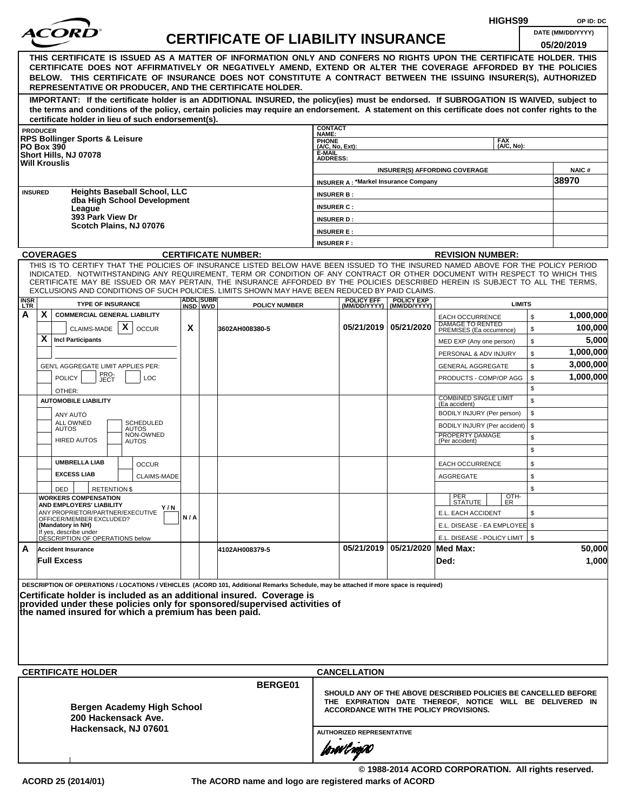|                                                                                                                                                                                                                                                                                                    |                   |                                                                                                                                                                                                                                                                |     |     |  |                                           |                           |                                             |                                |                                                                                                                            | HIGHS99    |    | OP ID: DC         |
|----------------------------------------------------------------------------------------------------------------------------------------------------------------------------------------------------------------------------------------------------------------------------------------------------|-------------------|----------------------------------------------------------------------------------------------------------------------------------------------------------------------------------------------------------------------------------------------------------------|-----|-----|--|-------------------------------------------|---------------------------|---------------------------------------------|--------------------------------|----------------------------------------------------------------------------------------------------------------------------|------------|----|-------------------|
|                                                                                                                                                                                                                                                                                                    |                   | <i>ACOR</i>                                                                                                                                                                                                                                                    |     |     |  | <b>CERTIFICATE OF LIABILITY INSURANCE</b> |                           |                                             |                                |                                                                                                                            |            |    | DATE (MM/DD/YYYY) |
|                                                                                                                                                                                                                                                                                                    |                   |                                                                                                                                                                                                                                                                |     |     |  |                                           |                           |                                             |                                |                                                                                                                            |            |    | 05/20/2019        |
|                                                                                                                                                                                                                                                                                                    |                   | THIS CERTIFICATE IS ISSUED AS A MATTER OF INFORMATION ONLY AND CONFERS NO RIGHTS UPON THE CERTIFICATE HOLDER. THIS                                                                                                                                             |     |     |  |                                           |                           |                                             |                                |                                                                                                                            |            |    |                   |
|                                                                                                                                                                                                                                                                                                    |                   | CERTIFICATE DOES NOT AFFIRMATIVELY OR NEGATIVELY AMEND, EXTEND OR ALTER THE COVERAGE AFFORDED BY THE POLICIES<br>BELOW. THIS CERTIFICATE OF INSURANCE DOES NOT CONSTITUTE A CONTRACT BETWEEN THE ISSUING INSURER(S), AUTHORIZED                                |     |     |  |                                           |                           |                                             |                                |                                                                                                                            |            |    |                   |
|                                                                                                                                                                                                                                                                                                    |                   | REPRESENTATIVE OR PRODUCER, AND THE CERTIFICATE HOLDER.                                                                                                                                                                                                        |     |     |  |                                           |                           |                                             |                                |                                                                                                                            |            |    |                   |
|                                                                                                                                                                                                                                                                                                    |                   | IMPORTANT: If the certificate holder is an ADDITIONAL INSURED, the policy(ies) must be endorsed. If SUBROGATION IS WAIVED, subject to                                                                                                                          |     |     |  |                                           |                           |                                             |                                |                                                                                                                            |            |    |                   |
|                                                                                                                                                                                                                                                                                                    |                   | the terms and conditions of the policy, certain policies may require an endorsement. A statement on this certificate does not confer rights to the                                                                                                             |     |     |  |                                           |                           |                                             |                                |                                                                                                                            |            |    |                   |
|                                                                                                                                                                                                                                                                                                    |                   | certificate holder in lieu of such endorsement(s).                                                                                                                                                                                                             |     |     |  |                                           | <b>CONTACT</b>            |                                             |                                |                                                                                                                            |            |    |                   |
|                                                                                                                                                                                                                                                                                                    | <b>PRODUCER</b>   | <b>RPS Bollinger Sports &amp; Leisure</b>                                                                                                                                                                                                                      |     |     |  |                                           | NAME:                     |                                             |                                |                                                                                                                            | <b>FAX</b> |    |                   |
|                                                                                                                                                                                                                                                                                                    | <b>PO Box 390</b> |                                                                                                                                                                                                                                                                |     |     |  |                                           | PHONE<br>(A/C, No, Ext):  |                                             |                                |                                                                                                                            | (A/C, No): |    |                   |
|                                                                                                                                                                                                                                                                                                    |                   | Short Hills, NJ 07078<br><b>Will Krouslis</b>                                                                                                                                                                                                                  |     |     |  |                                           | E-MAIL<br><b>ADDRESS:</b> |                                             |                                |                                                                                                                            |            |    |                   |
|                                                                                                                                                                                                                                                                                                    |                   |                                                                                                                                                                                                                                                                |     |     |  |                                           |                           |                                             |                                | <b>INSURER(S) AFFORDING COVERAGE</b>                                                                                       |            |    | <b>NAIC#</b>      |
|                                                                                                                                                                                                                                                                                                    |                   |                                                                                                                                                                                                                                                                |     |     |  |                                           |                           | <b>INSURER A: *Markel Insurance Company</b> |                                |                                                                                                                            |            |    | 38970             |
| <b>INSURED</b>                                                                                                                                                                                                                                                                                     |                   | <b>Heights Baseball School, LLC</b><br>dba High School Development                                                                                                                                                                                             |     |     |  |                                           | <b>INSURER B:</b>         |                                             |                                |                                                                                                                            |            |    |                   |
|                                                                                                                                                                                                                                                                                                    |                   | League                                                                                                                                                                                                                                                         |     |     |  |                                           | <b>INSURER C:</b>         |                                             |                                |                                                                                                                            |            |    |                   |
|                                                                                                                                                                                                                                                                                                    |                   | 393 Park View Dr<br>Scotch Plains, NJ 07076                                                                                                                                                                                                                    |     |     |  |                                           | <b>INSURER D:</b>         |                                             |                                |                                                                                                                            |            |    |                   |
|                                                                                                                                                                                                                                                                                                    |                   |                                                                                                                                                                                                                                                                |     |     |  |                                           | <b>INSURER E:</b>         |                                             |                                |                                                                                                                            |            |    |                   |
|                                                                                                                                                                                                                                                                                                    |                   |                                                                                                                                                                                                                                                                |     |     |  |                                           | <b>INSURER F:</b>         |                                             |                                |                                                                                                                            |            |    |                   |
|                                                                                                                                                                                                                                                                                                    |                   | <b>COVERAGES</b>                                                                                                                                                                                                                                               |     |     |  | <b>CERTIFICATE NUMBER:</b>                |                           |                                             |                                | <b>REVISION NUMBER:</b>                                                                                                    |            |    |                   |
|                                                                                                                                                                                                                                                                                                    |                   | THIS IS TO CERTIFY THAT THE POLICIES OF INSURANCE LISTED BELOW HAVE BEEN ISSUED TO THE INSURED NAMED ABOVE FOR THE POLICY PERIOD<br>INDICATED. NOTWITHSTANDING ANY REQUIREMENT, TERM OR CONDITION OF ANY CONTRACT OR OTHER DOCUMENT WITH RESPECT TO WHICH THIS |     |     |  |                                           |                           |                                             |                                |                                                                                                                            |            |    |                   |
|                                                                                                                                                                                                                                                                                                    |                   | CERTIFICATE MAY BE ISSUED OR MAY PERTAIN, THE INSURANCE AFFORDED BY THE POLICIES DESCRIBED HEREIN IS SUBJECT TO ALL THE TERMS.                                                                                                                                 |     |     |  |                                           |                           |                                             |                                |                                                                                                                            |            |    |                   |
| EXCLUSIONS AND CONDITIONS OF SUCH POLICIES. LIMITS SHOWN MAY HAVE BEEN REDUCED BY PAID CLAIMS.<br><b>ADDL SUBR</b><br><b>POLICY EFF</b><br><b>POLICY EXP</b><br><b>INSR</b><br>LTR<br><b>TYPE OF INSURANCE</b><br><b>LIMITS</b><br>INSD WVD<br><b>POLICY NUMBER</b><br>(MM/DD/YYYY)   (MM/DD/YYYY) |                   |                                                                                                                                                                                                                                                                |     |     |  |                                           |                           |                                             |                                |                                                                                                                            |            |    |                   |
|                                                                                                                                                                                                                                                                                                    |                   |                                                                                                                                                                                                                                                                |     |     |  |                                           |                           |                                             |                                |                                                                                                                            |            |    |                   |
| A                                                                                                                                                                                                                                                                                                  | X.                | <b>COMMERCIAL GENERAL LIABILITY</b>                                                                                                                                                                                                                            |     |     |  |                                           |                           |                                             |                                | <b>EACH OCCURRENCE</b>                                                                                                     |            | \$ | 1,000,000         |
|                                                                                                                                                                                                                                                                                                    |                   | X<br>CLAIMS-MADE<br><b>OCCUR</b>                                                                                                                                                                                                                               |     | X   |  | 3602AH008380-5                            |                           |                                             | 05/21/2019   05/21/2020        | DAMAGE TO RENTED<br>PREMISES (Ea occurrence)                                                                               |            | \$ | 100,000           |
|                                                                                                                                                                                                                                                                                                    | X                 | <b>Incl Participants</b>                                                                                                                                                                                                                                       |     |     |  |                                           |                           |                                             |                                | MED EXP (Any one person)                                                                                                   |            | \$ | 5,000             |
|                                                                                                                                                                                                                                                                                                    |                   |                                                                                                                                                                                                                                                                |     |     |  |                                           |                           |                                             |                                | PERSONAL & ADV INJURY                                                                                                      |            | \$ | 1,000,000         |
|                                                                                                                                                                                                                                                                                                    |                   | GEN'L AGGREGATE LIMIT APPLIES PER:                                                                                                                                                                                                                             |     |     |  |                                           |                           |                                             |                                | <b>GENERAL AGGREGATE</b>                                                                                                   |            | \$ | 3,000,000         |
|                                                                                                                                                                                                                                                                                                    |                   | PRO-<br>JECT<br><b>POLICY</b><br><b>LOC</b>                                                                                                                                                                                                                    |     |     |  |                                           |                           |                                             |                                | PRODUCTS - COMP/OP AGG                                                                                                     |            | \$ | 1,000,000         |
|                                                                                                                                                                                                                                                                                                    |                   | OTHER:                                                                                                                                                                                                                                                         |     |     |  |                                           |                           |                                             |                                | <b>COMBINED SINGLE LIMIT</b>                                                                                               |            | \$ |                   |
|                                                                                                                                                                                                                                                                                                    |                   | <b>AUTOMOBILE LIABILITY</b>                                                                                                                                                                                                                                    |     |     |  |                                           |                           |                                             |                                | (Ea accident)                                                                                                              |            | \$ |                   |
|                                                                                                                                                                                                                                                                                                    |                   | ANY AUTO<br>ALL OWNED<br><b>SCHEDULED</b>                                                                                                                                                                                                                      |     |     |  |                                           |                           |                                             |                                | BODILY INJURY (Per person)                                                                                                 |            | \$ |                   |
|                                                                                                                                                                                                                                                                                                    |                   | <b>AUTOS</b><br>AUTOS<br>NON-OWNED                                                                                                                                                                                                                             |     |     |  |                                           |                           |                                             |                                | BODILY INJURY (Per accident)<br>PROPERTY DAMAGE                                                                            |            | \$ |                   |
|                                                                                                                                                                                                                                                                                                    |                   | <b>HIRED AUTOS</b><br><b>AUTOS</b>                                                                                                                                                                                                                             |     |     |  |                                           |                           |                                             |                                | (Per accident)                                                                                                             |            | \$ |                   |
|                                                                                                                                                                                                                                                                                                    |                   |                                                                                                                                                                                                                                                                |     |     |  |                                           |                           |                                             |                                |                                                                                                                            |            | \$ |                   |
|                                                                                                                                                                                                                                                                                                    |                   | <b>UMBRELLA LIAB</b><br><b>OCCUR</b>                                                                                                                                                                                                                           |     |     |  |                                           |                           |                                             |                                | <b>EACH OCCURRENCE</b>                                                                                                     |            | \$ |                   |
|                                                                                                                                                                                                                                                                                                    |                   | <b>EXCESS LIAB</b><br><b>CLAIMS-MADE</b>                                                                                                                                                                                                                       |     |     |  |                                           |                           |                                             |                                | AGGREGATE                                                                                                                  |            | \$ |                   |
|                                                                                                                                                                                                                                                                                                    |                   | DED<br><b>RETENTION \$</b>                                                                                                                                                                                                                                     |     |     |  |                                           |                           |                                             |                                |                                                                                                                            |            | \$ |                   |
|                                                                                                                                                                                                                                                                                                    |                   | <b>WORKERS COMPENSATION</b><br>AND EMPLOYERS' LIABILITY                                                                                                                                                                                                        | Y/N |     |  |                                           |                           |                                             |                                | PER<br>STATUTE                                                                                                             | OTH-<br>ER |    |                   |
|                                                                                                                                                                                                                                                                                                    |                   | ANY PROPRIETOR/PARTNER/EXECUTIVE<br>OFFICER/MEMBER EXCLUDED?                                                                                                                                                                                                   |     | N/A |  |                                           |                           |                                             |                                | E.L. EACH ACCIDENT                                                                                                         |            | \$ |                   |
|                                                                                                                                                                                                                                                                                                    |                   | (Mandatory in NH)<br>If yes, describe under                                                                                                                                                                                                                    |     |     |  |                                           |                           |                                             |                                | E.L. DISEASE - EA EMPLOYEE \$                                                                                              |            |    |                   |
|                                                                                                                                                                                                                                                                                                    |                   | DÉSCRIPTION OF OPERATIONS below                                                                                                                                                                                                                                |     |     |  |                                           |                           |                                             |                                | E.L. DISEASE - POLICY LIMIT   \$                                                                                           |            |    |                   |
| A                                                                                                                                                                                                                                                                                                  |                   | <b>Accident Insurance</b>                                                                                                                                                                                                                                      |     |     |  | 4102AH008379-5                            |                           |                                             | 05/21/2019 05/21/2020 Med Max: |                                                                                                                            |            |    | 50,000            |
|                                                                                                                                                                                                                                                                                                    |                   | <b>Full Excess</b>                                                                                                                                                                                                                                             |     |     |  |                                           |                           |                                             |                                | Ded:                                                                                                                       |            |    | 1,000             |
|                                                                                                                                                                                                                                                                                                    |                   |                                                                                                                                                                                                                                                                |     |     |  |                                           |                           |                                             |                                |                                                                                                                            |            |    |                   |
|                                                                                                                                                                                                                                                                                                    |                   | DESCRIPTION OF OPERATIONS / LOCATIONS / VEHICLES (ACORD 101, Additional Remarks Schedule, may be attached if more space is required)                                                                                                                           |     |     |  |                                           |                           |                                             |                                |                                                                                                                            |            |    |                   |
|                                                                                                                                                                                                                                                                                                    |                   | Certificate holder is included as an additional insured. Coverage is<br>provided under these policies only for sponsored/supervised activities of                                                                                                              |     |     |  |                                           |                           |                                             |                                |                                                                                                                            |            |    |                   |
|                                                                                                                                                                                                                                                                                                    |                   | the named insured for which a premium has been paid.                                                                                                                                                                                                           |     |     |  |                                           |                           |                                             |                                |                                                                                                                            |            |    |                   |
|                                                                                                                                                                                                                                                                                                    |                   |                                                                                                                                                                                                                                                                |     |     |  |                                           |                           |                                             |                                |                                                                                                                            |            |    |                   |
|                                                                                                                                                                                                                                                                                                    |                   |                                                                                                                                                                                                                                                                |     |     |  |                                           |                           |                                             |                                |                                                                                                                            |            |    |                   |
|                                                                                                                                                                                                                                                                                                    |                   |                                                                                                                                                                                                                                                                |     |     |  |                                           |                           |                                             |                                |                                                                                                                            |            |    |                   |
|                                                                                                                                                                                                                                                                                                    |                   |                                                                                                                                                                                                                                                                |     |     |  |                                           |                           |                                             |                                |                                                                                                                            |            |    |                   |
|                                                                                                                                                                                                                                                                                                    |                   | <b>CERTIFICATE HOLDER</b>                                                                                                                                                                                                                                      |     |     |  |                                           |                           | <b>CANCELLATION</b>                         |                                |                                                                                                                            |            |    |                   |
|                                                                                                                                                                                                                                                                                                    |                   |                                                                                                                                                                                                                                                                |     |     |  | BERGE01                                   |                           |                                             |                                |                                                                                                                            |            |    |                   |
|                                                                                                                                                                                                                                                                                                    |                   |                                                                                                                                                                                                                                                                |     |     |  |                                           |                           |                                             |                                | SHOULD ANY OF THE ABOVE DESCRIBED POLICIES BE CANCELLED BEFORE<br>THE EXPIRATION DATE THEREOF, NOTICE WILL BE DELIVERED IN |            |    |                   |
|                                                                                                                                                                                                                                                                                                    |                   | Bergen Academy High School                                                                                                                                                                                                                                     |     |     |  |                                           |                           |                                             |                                | ACCORDANCE WITH THE POLICY PROVISIONS.                                                                                     |            |    |                   |
|                                                                                                                                                                                                                                                                                                    |                   | 200 Hackensack Ave.<br>Hackensack, NJ 07601                                                                                                                                                                                                                    |     |     |  |                                           |                           |                                             |                                |                                                                                                                            |            |    |                   |
|                                                                                                                                                                                                                                                                                                    |                   |                                                                                                                                                                                                                                                                |     |     |  |                                           |                           | <b>AUTHORIZED REPRESENTATIVE</b>            |                                |                                                                                                                            |            |    |                   |
|                                                                                                                                                                                                                                                                                                    |                   |                                                                                                                                                                                                                                                                |     |     |  |                                           |                           | forwl now                                   |                                |                                                                                                                            |            |    |                   |
|                                                                                                                                                                                                                                                                                                    |                   |                                                                                                                                                                                                                                                                |     |     |  |                                           |                           |                                             |                                |                                                                                                                            |            |    |                   |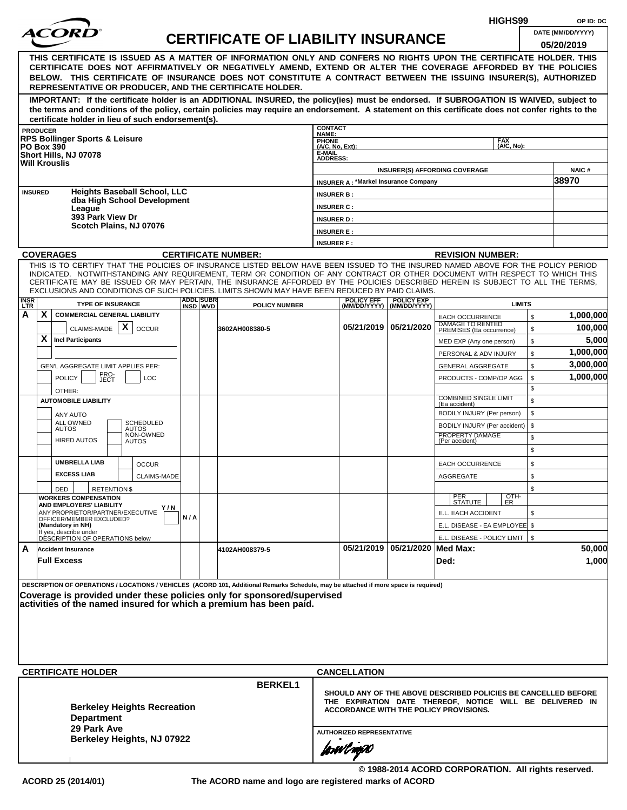|                                                                                                                                                                                                                                                                                        |                                                                                                                                                                                                                                                                                                                                                                                                                                                                                                                                                                                                                                          |     |  |                                           |                                |                                             |                                | HIGHS99                                                                                                                                                              |               | OP ID: DC                       |  |  |
|----------------------------------------------------------------------------------------------------------------------------------------------------------------------------------------------------------------------------------------------------------------------------------------|------------------------------------------------------------------------------------------------------------------------------------------------------------------------------------------------------------------------------------------------------------------------------------------------------------------------------------------------------------------------------------------------------------------------------------------------------------------------------------------------------------------------------------------------------------------------------------------------------------------------------------------|-----|--|-------------------------------------------|--------------------------------|---------------------------------------------|--------------------------------|----------------------------------------------------------------------------------------------------------------------------------------------------------------------|---------------|---------------------------------|--|--|
|                                                                                                                                                                                                                                                                                        |                                                                                                                                                                                                                                                                                                                                                                                                                                                                                                                                                                                                                                          |     |  | <b>CERTIFICATE OF LIABILITY INSURANCE</b> |                                |                                             |                                |                                                                                                                                                                      |               | DATE (MM/DD/YYYY)<br>05/20/2019 |  |  |
|                                                                                                                                                                                                                                                                                        | THIS CERTIFICATE IS ISSUED AS A MATTER OF INFORMATION ONLY AND CONFERS NO RIGHTS UPON THE CERTIFICATE HOLDER. THIS<br>CERTIFICATE DOES NOT AFFIRMATIVELY OR NEGATIVELY AMEND, EXTEND OR ALTER THE COVERAGE AFFORDED BY THE POLICIES<br>BELOW. THIS CERTIFICATE OF INSURANCE DOES NOT CONSTITUTE A CONTRACT BETWEEN THE ISSUING INSURER(S), AUTHORIZED<br>REPRESENTATIVE OR PRODUCER, AND THE CERTIFICATE HOLDER.                                                                                                                                                                                                                         |     |  |                                           |                                |                                             |                                |                                                                                                                                                                      |               |                                 |  |  |
|                                                                                                                                                                                                                                                                                        | IMPORTANT: If the certificate holder is an ADDITIONAL INSURED, the policy(ies) must be endorsed. If SUBROGATION IS WAIVED, subject to<br>the terms and conditions of the policy, certain policies may require an endorsement. A statement on this certificate does not confer rights to the<br>certificate holder in lieu of such endorsement(s).                                                                                                                                                                                                                                                                                        |     |  |                                           |                                |                                             |                                |                                                                                                                                                                      |               |                                 |  |  |
|                                                                                                                                                                                                                                                                                        | <b>PRODUCER</b>                                                                                                                                                                                                                                                                                                                                                                                                                                                                                                                                                                                                                          |     |  |                                           | <b>CONTACT</b><br><b>NAME:</b> |                                             |                                |                                                                                                                                                                      |               |                                 |  |  |
|                                                                                                                                                                                                                                                                                        | <b>RPS Bollinger Sports &amp; Leisure</b><br><b>PO Box 390</b>                                                                                                                                                                                                                                                                                                                                                                                                                                                                                                                                                                           |     |  |                                           | PHONE<br>(A/C, No, Ext):       |                                             |                                | <b>FAX</b><br>(A/C, No):                                                                                                                                             |               |                                 |  |  |
|                                                                                                                                                                                                                                                                                        | Short Hills, NJ 07078                                                                                                                                                                                                                                                                                                                                                                                                                                                                                                                                                                                                                    |     |  |                                           | E-MAIL<br><b>ADDRESS:</b>      |                                             |                                |                                                                                                                                                                      |               |                                 |  |  |
|                                                                                                                                                                                                                                                                                        | <b>Will Krouslis</b>                                                                                                                                                                                                                                                                                                                                                                                                                                                                                                                                                                                                                     |     |  |                                           |                                |                                             |                                | <b>INSURER(S) AFFORDING COVERAGE</b>                                                                                                                                 |               | <b>NAIC#</b>                    |  |  |
|                                                                                                                                                                                                                                                                                        |                                                                                                                                                                                                                                                                                                                                                                                                                                                                                                                                                                                                                                          |     |  |                                           |                                | <b>INSURER A: *Markel Insurance Company</b> |                                |                                                                                                                                                                      |               | 38970                           |  |  |
| <b>INSURED</b>                                                                                                                                                                                                                                                                         | <b>Heights Baseball School, LLC</b>                                                                                                                                                                                                                                                                                                                                                                                                                                                                                                                                                                                                      |     |  |                                           | <b>INSURER B:</b>              |                                             |                                |                                                                                                                                                                      |               |                                 |  |  |
|                                                                                                                                                                                                                                                                                        | dba High School Development<br>League                                                                                                                                                                                                                                                                                                                                                                                                                                                                                                                                                                                                    |     |  |                                           | <b>INSURER C:</b>              |                                             |                                |                                                                                                                                                                      |               |                                 |  |  |
|                                                                                                                                                                                                                                                                                        | 393 Park View Dr                                                                                                                                                                                                                                                                                                                                                                                                                                                                                                                                                                                                                         |     |  |                                           | <b>INSURER D:</b>              |                                             |                                |                                                                                                                                                                      |               |                                 |  |  |
|                                                                                                                                                                                                                                                                                        | Scotch Plains, NJ 07076                                                                                                                                                                                                                                                                                                                                                                                                                                                                                                                                                                                                                  |     |  |                                           | <b>INSURER E:</b>              |                                             |                                |                                                                                                                                                                      |               |                                 |  |  |
|                                                                                                                                                                                                                                                                                        |                                                                                                                                                                                                                                                                                                                                                                                                                                                                                                                                                                                                                                          |     |  |                                           | <b>INSURER F:</b>              |                                             |                                |                                                                                                                                                                      |               |                                 |  |  |
|                                                                                                                                                                                                                                                                                        | <b>COVERAGES</b>                                                                                                                                                                                                                                                                                                                                                                                                                                                                                                                                                                                                                         |     |  | <b>CERTIFICATE NUMBER:</b>                |                                |                                             |                                | <b>REVISION NUMBER:</b>                                                                                                                                              |               |                                 |  |  |
|                                                                                                                                                                                                                                                                                        | THIS IS TO CERTIFY THAT THE POLICIES OF INSURANCE LISTED BELOW HAVE BEEN ISSUED TO THE INSURED NAMED ABOVE FOR THE POLICY PERIOD<br>INDICATED. NOTWITHSTANDING ANY REQUIREMENT, TERM OR CONDITION OF ANY CONTRACT OR OTHER DOCUMENT WITH RESPECT TO WHICH THIS<br>CERTIFICATE MAY BE ISSUED OR MAY PERTAIN, THE INSURANCE AFFORDED BY THE POLICIES DESCRIBED HEREIN IS SUBJECT TO ALL THE TERMS,<br>EXCLUSIONS AND CONDITIONS OF SUCH POLICIES. LIMITS SHOWN MAY HAVE BEEN REDUCED BY PAID CLAIMS.<br><b>ADDL SUBR</b><br><b>INSR</b><br><b>POLICY EFF</b><br><b>POLICY EXP</b><br><b>TYPE OF INSURANCE</b><br><b>LIMITS</b><br>INSD WVD |     |  |                                           |                                |                                             |                                |                                                                                                                                                                      |               |                                 |  |  |
| <b>LTR</b>                                                                                                                                                                                                                                                                             |                                                                                                                                                                                                                                                                                                                                                                                                                                                                                                                                                                                                                                          |     |  | <b>POLICY NUMBER</b>                      |                                | (MM/DD/YYYY)                                | (MM/DD/YYYY)                   |                                                                                                                                                                      |               |                                 |  |  |
| A                                                                                                                                                                                                                                                                                      | X.<br><b>COMMERCIAL GENERAL LIABILITY</b>                                                                                                                                                                                                                                                                                                                                                                                                                                                                                                                                                                                                |     |  |                                           |                                |                                             |                                | <b>EACH OCCURRENCE</b><br>DAMAGE TO RENTED                                                                                                                           | \$            | 1,000,000                       |  |  |
|                                                                                                                                                                                                                                                                                        | $\boldsymbol{\mathsf{X}}$<br>CLAIMS-MADE<br><b>OCCUR</b>                                                                                                                                                                                                                                                                                                                                                                                                                                                                                                                                                                                 |     |  | 3602AH008380-5                            |                                |                                             | 05/21/2019   05/21/2020        | PREMISES (Ea occurrence)                                                                                                                                             | $\mathfrak s$ | 100,000                         |  |  |
|                                                                                                                                                                                                                                                                                        | X.<br><b>Incl Participants</b>                                                                                                                                                                                                                                                                                                                                                                                                                                                                                                                                                                                                           |     |  |                                           |                                |                                             |                                | MED EXP (Any one person)                                                                                                                                             | \$            | 5,000                           |  |  |
|                                                                                                                                                                                                                                                                                        |                                                                                                                                                                                                                                                                                                                                                                                                                                                                                                                                                                                                                                          |     |  |                                           |                                |                                             |                                | PERSONAL & ADV INJURY                                                                                                                                                | \$            | 1,000,000                       |  |  |
|                                                                                                                                                                                                                                                                                        | GEN'L AGGREGATE LIMIT APPLIES PER:                                                                                                                                                                                                                                                                                                                                                                                                                                                                                                                                                                                                       |     |  |                                           |                                |                                             |                                | <b>GENERAL AGGREGATE</b>                                                                                                                                             | \$            | 3,000,000                       |  |  |
|                                                                                                                                                                                                                                                                                        | PRO-<br>JECT<br><b>POLICY</b><br>LOC                                                                                                                                                                                                                                                                                                                                                                                                                                                                                                                                                                                                     |     |  |                                           |                                |                                             |                                | PRODUCTS - COMP/OP AGG                                                                                                                                               | \$            | 1,000,000                       |  |  |
|                                                                                                                                                                                                                                                                                        | OTHER:                                                                                                                                                                                                                                                                                                                                                                                                                                                                                                                                                                                                                                   |     |  |                                           |                                |                                             |                                | <b>COMBINED SINGLE LIMIT</b>                                                                                                                                         | \$            |                                 |  |  |
|                                                                                                                                                                                                                                                                                        | <b>AUTOMOBILE LIABILITY</b>                                                                                                                                                                                                                                                                                                                                                                                                                                                                                                                                                                                                              |     |  |                                           |                                |                                             |                                | (Ea accident)                                                                                                                                                        | \$            |                                 |  |  |
|                                                                                                                                                                                                                                                                                        | ANY AUTO<br>ALL OWNED<br><b>SCHEDULED</b>                                                                                                                                                                                                                                                                                                                                                                                                                                                                                                                                                                                                |     |  |                                           |                                |                                             |                                | BODILY INJURY (Per person)                                                                                                                                           | \$            |                                 |  |  |
|                                                                                                                                                                                                                                                                                        | <b>AUTOS</b><br><b>AUTOS</b><br>NON-OWNED                                                                                                                                                                                                                                                                                                                                                                                                                                                                                                                                                                                                |     |  |                                           |                                |                                             |                                | BODILY INJURY (Per accident)<br>PROPERTY DAMAGE                                                                                                                      | \$<br>\$      |                                 |  |  |
|                                                                                                                                                                                                                                                                                        | <b>HIRED AUTOS</b><br><b>AUTOS</b>                                                                                                                                                                                                                                                                                                                                                                                                                                                                                                                                                                                                       |     |  |                                           |                                |                                             |                                | (Per accident)                                                                                                                                                       | \$            |                                 |  |  |
|                                                                                                                                                                                                                                                                                        | <b>UMBRELLA LIAB</b><br><b>OCCUR</b>                                                                                                                                                                                                                                                                                                                                                                                                                                                                                                                                                                                                     |     |  |                                           |                                |                                             |                                | <b>EACH OCCURRENCE</b>                                                                                                                                               | \$            |                                 |  |  |
|                                                                                                                                                                                                                                                                                        | <b>EXCESS LIAB</b><br><b>CLAIMS-MADE</b>                                                                                                                                                                                                                                                                                                                                                                                                                                                                                                                                                                                                 |     |  |                                           |                                |                                             |                                | AGGREGATE                                                                                                                                                            | \$            |                                 |  |  |
|                                                                                                                                                                                                                                                                                        | DED<br><b>RETENTION \$</b>                                                                                                                                                                                                                                                                                                                                                                                                                                                                                                                                                                                                               |     |  |                                           |                                |                                             |                                |                                                                                                                                                                      | \$            |                                 |  |  |
|                                                                                                                                                                                                                                                                                        | <b>WORKERS COMPENSATION</b>                                                                                                                                                                                                                                                                                                                                                                                                                                                                                                                                                                                                              |     |  |                                           |                                |                                             |                                | OTH-<br>PER<br>STATUTE<br><b>ER</b>                                                                                                                                  |               |                                 |  |  |
|                                                                                                                                                                                                                                                                                        | AND EMPLOYERS' LIABILITY<br>Y / N<br>ANY PROPRIETOR/PARTNER/EXECUTIVE                                                                                                                                                                                                                                                                                                                                                                                                                                                                                                                                                                    |     |  |                                           |                                |                                             |                                | E.L. EACH ACCIDENT                                                                                                                                                   | \$            |                                 |  |  |
|                                                                                                                                                                                                                                                                                        | OFFICER/MEMBER EXCLUDED?<br>(Mandatory in NH)                                                                                                                                                                                                                                                                                                                                                                                                                                                                                                                                                                                            | N/A |  |                                           |                                |                                             |                                | E.L. DISEASE - EA EMPLOYEE \$                                                                                                                                        |               |                                 |  |  |
|                                                                                                                                                                                                                                                                                        | If yes, describe under<br>DÉSCRIPTION OF OPERATIONS below                                                                                                                                                                                                                                                                                                                                                                                                                                                                                                                                                                                |     |  |                                           |                                |                                             |                                | E.L. DISEASE - POLICY LIMIT   \$                                                                                                                                     |               |                                 |  |  |
| A                                                                                                                                                                                                                                                                                      | <b>Accident Insurance</b>                                                                                                                                                                                                                                                                                                                                                                                                                                                                                                                                                                                                                |     |  | 4102AH008379-5                            |                                |                                             | 05/21/2019 05/21/2020 Med Max: |                                                                                                                                                                      |               | 50,000                          |  |  |
|                                                                                                                                                                                                                                                                                        | <b>Full Excess</b>                                                                                                                                                                                                                                                                                                                                                                                                                                                                                                                                                                                                                       |     |  |                                           |                                |                                             |                                | Ded:                                                                                                                                                                 |               | 1,000                           |  |  |
| DESCRIPTION OF OPERATIONS / LOCATIONS / VEHICLES (ACORD 101, Additional Remarks Schedule, may be attached if more space is required)<br>Coverage is provided under these policies only for sponsored/supervised<br> activities of the named insured for which a premium has been paid. |                                                                                                                                                                                                                                                                                                                                                                                                                                                                                                                                                                                                                                          |     |  |                                           |                                |                                             |                                |                                                                                                                                                                      |               |                                 |  |  |
|                                                                                                                                                                                                                                                                                        | <b>CERTIFICATE HOLDER</b>                                                                                                                                                                                                                                                                                                                                                                                                                                                                                                                                                                                                                |     |  |                                           |                                | <b>CANCELLATION</b>                         |                                |                                                                                                                                                                      |               |                                 |  |  |
|                                                                                                                                                                                                                                                                                        | <b>Berkeley Heights Recreation</b><br><b>Department</b>                                                                                                                                                                                                                                                                                                                                                                                                                                                                                                                                                                                  |     |  | <b>BERKEL1</b>                            |                                |                                             |                                | SHOULD ANY OF THE ABOVE DESCRIBED POLICIES BE CANCELLED BEFORE<br>THE EXPIRATION DATE THEREOF, NOTICE WILL BE DELIVERED IN<br>ACCORDANCE WITH THE POLICY PROVISIONS. |               |                                 |  |  |
|                                                                                                                                                                                                                                                                                        | 29 Park Ave                                                                                                                                                                                                                                                                                                                                                                                                                                                                                                                                                                                                                              |     |  |                                           |                                | <b>AUTHORIZED REPRESENTATIVE</b>            |                                |                                                                                                                                                                      |               |                                 |  |  |
|                                                                                                                                                                                                                                                                                        | Berkeley Heights, NJ 07922                                                                                                                                                                                                                                                                                                                                                                                                                                                                                                                                                                                                               |     |  |                                           |                                |                                             |                                |                                                                                                                                                                      |               |                                 |  |  |
|                                                                                                                                                                                                                                                                                        |                                                                                                                                                                                                                                                                                                                                                                                                                                                                                                                                                                                                                                          |     |  |                                           |                                | forwings0                                   |                                |                                                                                                                                                                      |               |                                 |  |  |

**© 1988-2014 ACORD CORPORATION. All rights reserved.**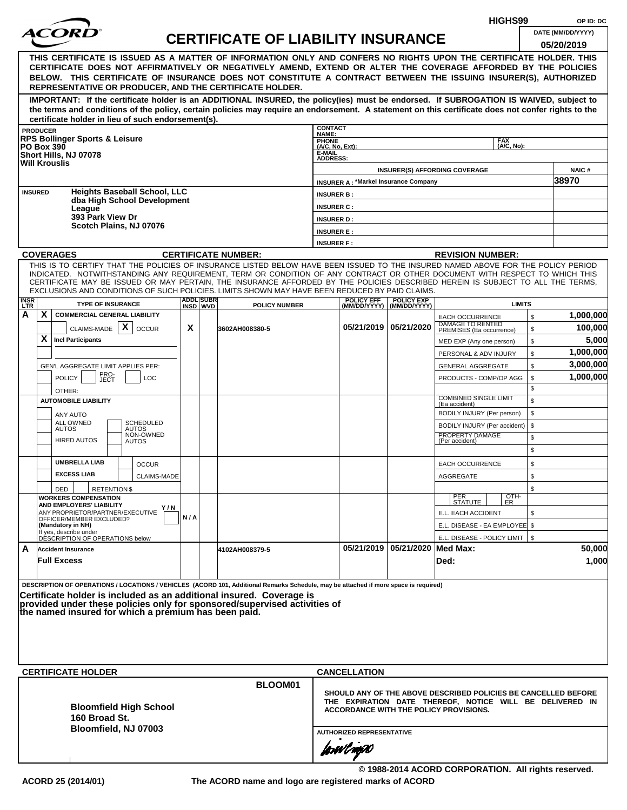|                    |                                             |                                                              |  |                                     |                               |                   |                                                                                                                                                                                                                                                              |                           |                                               |                                |                                                            | HIGHS99            |              | OP ID: DC                                                      |
|--------------------|---------------------------------------------|--------------------------------------------------------------|--|-------------------------------------|-------------------------------|-------------------|--------------------------------------------------------------------------------------------------------------------------------------------------------------------------------------------------------------------------------------------------------------|---------------------------|-----------------------------------------------|--------------------------------|------------------------------------------------------------|--------------------|--------------|----------------------------------------------------------------|
|                    |                                             |                                                              |  |                                     |                               |                   | <b>CERTIFICATE OF LIABILITY INSURANCE</b>                                                                                                                                                                                                                    |                           |                                               |                                |                                                            |                    |              | DATE (MM/DD/YYYY)                                              |
|                    |                                             |                                                              |  |                                     |                               |                   |                                                                                                                                                                                                                                                              |                           |                                               |                                |                                                            |                    |              | 05/20/2019                                                     |
|                    |                                             |                                                              |  |                                     |                               |                   | THIS CERTIFICATE IS ISSUED AS A MATTER OF INFORMATION ONLY AND CONFERS NO RIGHTS UPON THE CERTIFICATE HOLDER. THIS<br>CERTIFICATE DOES NOT AFFIRMATIVELY OR NEGATIVELY AMEND, EXTEND OR ALTER THE COVERAGE AFFORDED BY THE POLICIES                          |                           |                                               |                                |                                                            |                    |              |                                                                |
|                    |                                             |                                                              |  |                                     |                               |                   | BELOW. THIS CERTIFICATE OF INSURANCE DOES NOT CONSTITUTE A CONTRACT BETWEEN THE ISSUING INSURER(S), AUTHORIZED                                                                                                                                               |                           |                                               |                                |                                                            |                    |              |                                                                |
|                    |                                             |                                                              |  |                                     |                               |                   | REPRESENTATIVE OR PRODUCER, AND THE CERTIFICATE HOLDER.                                                                                                                                                                                                      |                           |                                               |                                |                                                            |                    |              |                                                                |
|                    |                                             |                                                              |  |                                     |                               |                   | IMPORTANT: If the certificate holder is an ADDITIONAL INSURED, the policy(ies) must be endorsed. If SUBROGATION IS WAIVED, subject to                                                                                                                        |                           |                                               |                                |                                                            |                    |              |                                                                |
|                    |                                             |                                                              |  |                                     |                               |                   | the terms and conditions of the policy, certain policies may require an endorsement. A statement on this certificate does not confer rights to the                                                                                                           |                           |                                               |                                |                                                            |                    |              |                                                                |
|                    | <b>PRODUCER</b>                             | certificate holder in lieu of such endorsement(s).           |  |                                     |                               |                   |                                                                                                                                                                                                                                                              | <b>CONTACT</b>            |                                               |                                |                                                            |                    |              |                                                                |
|                    |                                             | <b>RPS Bollinger Sports &amp; Leisure</b>                    |  |                                     |                               |                   |                                                                                                                                                                                                                                                              | NAME:<br><b>PHONE</b>     |                                               |                                |                                                            | <b>FAX</b>         |              |                                                                |
|                    | <b>PO Box 390</b>                           | Short Hills, NJ 07078                                        |  |                                     |                               |                   |                                                                                                                                                                                                                                                              | (A/C, No, Ext):<br>E-MAIL |                                               |                                |                                                            | (A/C. No):         |              |                                                                |
|                    |                                             | <b>Will Krouslis</b>                                         |  |                                     |                               |                   |                                                                                                                                                                                                                                                              | <b>ADDRESS:</b>           |                                               |                                |                                                            |                    |              |                                                                |
|                    |                                             |                                                              |  |                                     |                               |                   |                                                                                                                                                                                                                                                              |                           | <b>INSURER A: *Markel Insurance Company</b>   |                                | <b>INSURER(S) AFFORDING COVERAGE</b>                       |                    |              | <b>NAIC#</b><br>38970                                          |
|                    | <b>INSURED</b>                              |                                                              |  | <b>Heights Baseball School, LLC</b> |                               |                   |                                                                                                                                                                                                                                                              | <b>INSURER B:</b>         |                                               |                                |                                                            |                    |              |                                                                |
|                    |                                             |                                                              |  | dba High School Development         |                               |                   |                                                                                                                                                                                                                                                              | <b>INSURER C:</b>         |                                               |                                |                                                            |                    |              |                                                                |
|                    |                                             | League<br>393 Park View Dr                                   |  |                                     |                               |                   |                                                                                                                                                                                                                                                              | <b>INSURER D:</b>         |                                               |                                |                                                            |                    |              |                                                                |
|                    |                                             | Scotch Plains, NJ 07076                                      |  |                                     |                               |                   |                                                                                                                                                                                                                                                              | <b>INSURER E:</b>         |                                               |                                |                                                            |                    |              |                                                                |
|                    |                                             |                                                              |  |                                     |                               |                   |                                                                                                                                                                                                                                                              | <b>INSURER F:</b>         |                                               |                                |                                                            |                    |              |                                                                |
|                    |                                             | <b>COVERAGES</b>                                             |  |                                     |                               |                   | <b>CERTIFICATE NUMBER:</b>                                                                                                                                                                                                                                   |                           |                                               |                                | <b>REVISION NUMBER:</b>                                    |                    |              |                                                                |
|                    |                                             |                                                              |  |                                     |                               |                   | THIS IS TO CERTIFY THAT THE POLICIES OF INSURANCE LISTED BELOW HAVE BEEN ISSUED TO THE INSURED NAMED ABOVE FOR THE POLICY PERIOD                                                                                                                             |                           |                                               |                                |                                                            |                    |              |                                                                |
|                    |                                             |                                                              |  |                                     |                               |                   | INDICATED. NOTWITHSTANDING ANY REQUIREMENT, TERM OR CONDITION OF ANY CONTRACT OR OTHER DOCUMENT WITH RESPECT TO WHICH THIS<br>CERTIFICATE MAY BE ISSUED OR MAY PERTAIN, THE INSURANCE AFFORDED BY THE POLICIES DESCRIBED HEREIN IS SUBJECT TO ALL THE TERMS. |                           |                                               |                                |                                                            |                    |              |                                                                |
|                    |                                             |                                                              |  |                                     |                               |                   | EXCLUSIONS AND CONDITIONS OF SUCH POLICIES. LIMITS SHOWN MAY HAVE BEEN REDUCED BY PAID CLAIMS.                                                                                                                                                               |                           |                                               |                                |                                                            |                    |              |                                                                |
| <b>INSR</b><br>LTR |                                             | <b>TYPE OF INSURANCE</b>                                     |  |                                     | <b>ADDLISUBRI</b><br>INSD WVD | <b>POLICY EFF</b> | <b>POLICY EXP</b><br>(MM/DD/YYYY)   (MM/DD/YYYY)                                                                                                                                                                                                             |                           | <b>LIMITS</b>                                 |                                |                                                            |                    |              |                                                                |
| А                  | X                                           | <b>COMMERCIAL GENERAL LIABILITY</b>                          |  |                                     |                               |                   |                                                                                                                                                                                                                                                              |                           |                                               |                                | <b>EACH OCCURRENCE</b>                                     |                    | $\mathbb{S}$ | 1,000,000                                                      |
|                    |                                             | CLAIMS-MADE $\mathbf{X}$                                     |  | <b>OCCUR</b>                        | X                             |                   | 3602AH008380-5                                                                                                                                                                                                                                               |                           |                                               | 05/21/2019   05/21/2020        | DAMAGE TO RENTED<br>PREMISES (Ea occurrence)               |                    | \$           | 100,000                                                        |
|                    | X                                           | <b>Incl Participants</b>                                     |  |                                     |                               |                   |                                                                                                                                                                                                                                                              |                           |                                               |                                | MED EXP (Any one person)                                   |                    | \$           | 5,000                                                          |
|                    |                                             |                                                              |  |                                     |                               |                   |                                                                                                                                                                                                                                                              |                           |                                               |                                | PERSONAL & ADV INJURY                                      |                    | \$           | 1,000,000                                                      |
|                    | GEN'L AGGREGATE LIMIT APPLIES PER:          |                                                              |  |                                     |                               |                   |                                                                                                                                                                                                                                                              |                           |                                               |                                | <b>GENERAL AGGREGATE</b>                                   |                    | \$           | 3,000,000                                                      |
|                    | PRO-<br>JECT<br><b>POLICY</b><br><b>LOC</b> |                                                              |  |                                     |                               |                   |                                                                                                                                                                                                                                                              |                           |                                               |                                | PRODUCTS - COMP/OP AGG                                     |                    | \$           | 1,000,000                                                      |
|                    |                                             | OTHER:                                                       |  |                                     |                               |                   |                                                                                                                                                                                                                                                              |                           |                                               |                                | <b>COMBINED SINGLE LIMIT</b>                               |                    | \$           |                                                                |
|                    |                                             | <b>AUTOMOBILE LIABILITY</b>                                  |  |                                     |                               |                   |                                                                                                                                                                                                                                                              |                           |                                               |                                | (Ea accident)                                              |                    | \$           |                                                                |
|                    |                                             | ANY AUTO<br>ALL OWNED                                        |  | <b>SCHEDULED</b>                    |                               |                   |                                                                                                                                                                                                                                                              |                           |                                               |                                | BODILY INJURY (Per person)<br>BODILY INJURY (Per accident) |                    | \$<br>\$     |                                                                |
|                    |                                             | <b>AUTOS</b>                                                 |  | <b>AUTOS</b><br>NON-OWNED           |                               |                   |                                                                                                                                                                                                                                                              |                           |                                               |                                | PROPERTY DAMAGE                                            |                    | \$           |                                                                |
|                    |                                             | <b>HIRED AUTOS</b>                                           |  | <b>AUTOS</b>                        |                               |                   |                                                                                                                                                                                                                                                              |                           |                                               |                                | (Per accident)                                             |                    | \$           |                                                                |
|                    |                                             | <b>UMBRELLA LIAB</b>                                         |  | <b>OCCUR</b>                        |                               |                   |                                                                                                                                                                                                                                                              |                           |                                               |                                | <b>EACH OCCURRENCE</b>                                     |                    | \$           |                                                                |
|                    |                                             | <b>EXCESS LIAB</b>                                           |  | CLAIMS-MADE                         |                               |                   |                                                                                                                                                                                                                                                              |                           |                                               |                                | <b>AGGREGATE</b>                                           |                    | \$           |                                                                |
|                    |                                             | <b>RETENTION \$</b><br>DED                                   |  |                                     |                               |                   |                                                                                                                                                                                                                                                              |                           |                                               |                                |                                                            |                    | \$           |                                                                |
|                    |                                             | <b>WORKERS COMPENSATION</b>                                  |  |                                     |                               |                   |                                                                                                                                                                                                                                                              |                           |                                               |                                | PER<br>STATUTE                                             | $\frac{[OTH]}{ER}$ |              |                                                                |
|                    |                                             | AND EMPLOYERS' LIABILITY<br>ANY PROPRIETOR/PARTNER/EXECUTIVE |  | Y / N                               |                               |                   |                                                                                                                                                                                                                                                              |                           |                                               |                                | E.L. EACH ACCIDENT                                         |                    | \$           |                                                                |
|                    |                                             | OFFICER/MEMBER EXCLUDED?<br>(Mandatory in NH)                |  |                                     | N/A                           |                   |                                                                                                                                                                                                                                                              |                           |                                               |                                | E.L. DISEASE - EA EMPLOYEE \$                              |                    |              |                                                                |
|                    |                                             | If yes, describe under<br>DESCRIPTION OF OPERATIONS below    |  |                                     |                               |                   |                                                                                                                                                                                                                                                              |                           |                                               |                                | E.L. DISEASE - POLICY LIMIT   \$                           |                    |              |                                                                |
| A                  |                                             | <b>Accident Insurance</b>                                    |  |                                     |                               |                   | 4102AH008379-5                                                                                                                                                                                                                                               |                           |                                               | 05/21/2019 05/21/2020 Med Max: |                                                            |                    |              | 50,000                                                         |
|                    |                                             | <b>Full Excess</b>                                           |  |                                     |                               |                   |                                                                                                                                                                                                                                                              |                           |                                               |                                | Ded:                                                       |                    |              | 1,000                                                          |
|                    |                                             |                                                              |  |                                     |                               |                   |                                                                                                                                                                                                                                                              |                           |                                               |                                |                                                            |                    |              |                                                                |
|                    |                                             |                                                              |  |                                     |                               |                   | DESCRIPTION OF OPERATIONS / LOCATIONS / VEHICLES (ACORD 101, Additional Remarks Schedule, may be attached if more space is required)                                                                                                                         |                           |                                               |                                |                                                            |                    |              |                                                                |
|                    |                                             |                                                              |  |                                     |                               |                   | Certificate holder is included as an additional insured. Coverage is<br>provided under these policies only for sponsored/supervised activities of                                                                                                            |                           |                                               |                                |                                                            |                    |              |                                                                |
|                    |                                             | the named insured for which a premium has been paid.         |  |                                     |                               |                   |                                                                                                                                                                                                                                                              |                           |                                               |                                |                                                            |                    |              |                                                                |
|                    |                                             |                                                              |  |                                     |                               |                   |                                                                                                                                                                                                                                                              |                           |                                               |                                |                                                            |                    |              |                                                                |
|                    |                                             |                                                              |  |                                     |                               |                   |                                                                                                                                                                                                                                                              |                           |                                               |                                |                                                            |                    |              |                                                                |
|                    |                                             |                                                              |  |                                     |                               |                   |                                                                                                                                                                                                                                                              |                           |                                               |                                |                                                            |                    |              |                                                                |
|                    |                                             |                                                              |  |                                     |                               |                   |                                                                                                                                                                                                                                                              |                           |                                               |                                |                                                            |                    |              |                                                                |
|                    |                                             | <b>CERTIFICATE HOLDER</b>                                    |  |                                     |                               |                   |                                                                                                                                                                                                                                                              |                           | <b>CANCELLATION</b>                           |                                |                                                            |                    |              |                                                                |
|                    |                                             |                                                              |  |                                     |                               |                   | BLOOM01                                                                                                                                                                                                                                                      |                           |                                               |                                |                                                            |                    |              | SHOULD ANY OF THE ABOVE DESCRIBED POLICIES BE CANCELLED BEFORE |
|                    |                                             |                                                              |  |                                     |                               |                   |                                                                                                                                                                                                                                                              |                           |                                               |                                |                                                            |                    |              | THE EXPIRATION DATE THEREOF, NOTICE WILL BE DELIVERED IN       |
|                    |                                             | 160 Broad St.                                                |  | <b>Bloomfield High School</b>       |                               |                   |                                                                                                                                                                                                                                                              |                           | <b>ACCORDANCE WITH THE POLICY PROVISIONS.</b> |                                |                                                            |                    |              |                                                                |
|                    |                                             | Bloomfield, NJ 07003                                         |  |                                     |                               |                   |                                                                                                                                                                                                                                                              |                           | <b>AUTHORIZED REPRESENTATIVE</b>              |                                |                                                            |                    |              |                                                                |
|                    |                                             |                                                              |  |                                     |                               |                   |                                                                                                                                                                                                                                                              |                           |                                               |                                |                                                            |                    |              |                                                                |
|                    |                                             |                                                              |  |                                     |                               |                   |                                                                                                                                                                                                                                                              |                           | forwl now                                     |                                |                                                            |                    |              |                                                                |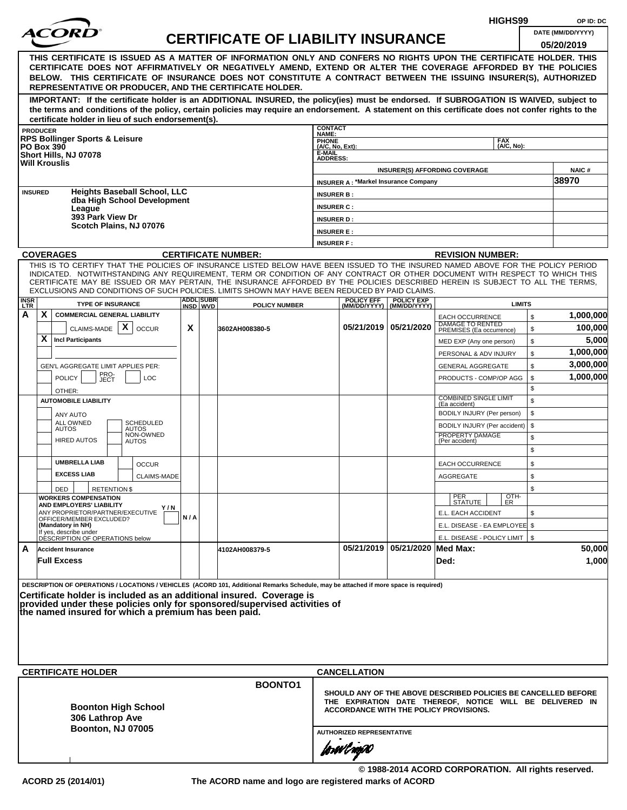|                                                                                                                                                                                                                                                                                                                                                                                                                                                                                                    |     |                  |                                           |                           |                                               |                                |                                                                                                                                                                      | HIGHS99                  |          | OP ID: DC             |
|----------------------------------------------------------------------------------------------------------------------------------------------------------------------------------------------------------------------------------------------------------------------------------------------------------------------------------------------------------------------------------------------------------------------------------------------------------------------------------------------------|-----|------------------|-------------------------------------------|---------------------------|-----------------------------------------------|--------------------------------|----------------------------------------------------------------------------------------------------------------------------------------------------------------------|--------------------------|----------|-----------------------|
| <i>ACOR</i>                                                                                                                                                                                                                                                                                                                                                                                                                                                                                        |     |                  | <b>CERTIFICATE OF LIABILITY INSURANCE</b> |                           |                                               |                                |                                                                                                                                                                      |                          |          | DATE (MM/DD/YYYY)     |
| THIS CERTIFICATE IS ISSUED AS A MATTER OF INFORMATION ONLY AND CONFERS NO RIGHTS UPON THE CERTIFICATE HOLDER. THIS<br>CERTIFICATE DOES NOT AFFIRMATIVELY OR NEGATIVELY AMEND, EXTEND OR ALTER THE COVERAGE AFFORDED BY THE POLICIES<br>BELOW. THIS CERTIFICATE OF INSURANCE DOES NOT CONSTITUTE A CONTRACT BETWEEN THE ISSUING INSURER(S), AUTHORIZED<br>REPRESENTATIVE OR PRODUCER, AND THE CERTIFICATE HOLDER.                                                                                   |     |                  |                                           |                           |                                               |                                |                                                                                                                                                                      |                          |          | 05/20/2019            |
| IMPORTANT: If the certificate holder is an ADDITIONAL INSURED, the policy(ies) must be endorsed. If SUBROGATION IS WAIVED, subject to<br>the terms and conditions of the policy, certain policies may require an endorsement. A statement on this certificate does not confer rights to the<br>certificate holder in lieu of such endorsement(s).                                                                                                                                                  |     |                  |                                           |                           |                                               |                                |                                                                                                                                                                      |                          |          |                       |
| <b>PRODUCER</b>                                                                                                                                                                                                                                                                                                                                                                                                                                                                                    |     |                  |                                           | <b>CONTACT</b><br>NAME:   |                                               |                                |                                                                                                                                                                      |                          |          |                       |
| <b>RPS Bollinger Sports &amp; Leisure</b><br><b>PO Box 390</b>                                                                                                                                                                                                                                                                                                                                                                                                                                     |     |                  |                                           | PHONE<br>(A/C, No, Ext):  |                                               |                                |                                                                                                                                                                      | <b>FAX</b><br>(A/C, No): |          |                       |
| Short Hills, NJ 07078<br><b>Will Krouslis</b>                                                                                                                                                                                                                                                                                                                                                                                                                                                      |     |                  |                                           | E-MAIL<br><b>ADDRESS:</b> |                                               |                                |                                                                                                                                                                      |                          |          |                       |
|                                                                                                                                                                                                                                                                                                                                                                                                                                                                                                    |     |                  |                                           |                           |                                               |                                | <b>INSURER(S) AFFORDING COVERAGE</b>                                                                                                                                 |                          |          | <b>NAIC#</b><br>38970 |
| <b>Heights Baseball School, LLC</b><br><b>INSURED</b>                                                                                                                                                                                                                                                                                                                                                                                                                                              |     |                  |                                           | <b>INSURER B:</b>         | <b>INSURER A: *Markel Insurance Company</b>   |                                |                                                                                                                                                                      |                          |          |                       |
| dba High School Development                                                                                                                                                                                                                                                                                                                                                                                                                                                                        |     |                  |                                           | <b>INSURER C:</b>         |                                               |                                |                                                                                                                                                                      |                          |          |                       |
| League<br>393 Park View Dr                                                                                                                                                                                                                                                                                                                                                                                                                                                                         |     |                  |                                           | <b>INSURER D:</b>         |                                               |                                |                                                                                                                                                                      |                          |          |                       |
| Scotch Plains, NJ 07076                                                                                                                                                                                                                                                                                                                                                                                                                                                                            |     |                  |                                           | <b>INSURER E:</b>         |                                               |                                |                                                                                                                                                                      |                          |          |                       |
|                                                                                                                                                                                                                                                                                                                                                                                                                                                                                                    |     |                  |                                           | <b>INSURER F:</b>         |                                               |                                |                                                                                                                                                                      |                          |          |                       |
| <b>COVERAGES</b>                                                                                                                                                                                                                                                                                                                                                                                                                                                                                   |     |                  | <b>CERTIFICATE NUMBER:</b>                |                           |                                               |                                | <b>REVISION NUMBER:</b>                                                                                                                                              |                          |          |                       |
| THIS IS TO CERTIFY THAT THE POLICIES OF INSURANCE LISTED BELOW HAVE BEEN ISSUED TO THE INSURED NAMED ABOVE FOR THE POLICY PERIOD<br>INDICATED. NOTWITHSTANDING ANY REQUIREMENT, TERM OR CONDITION OF ANY CONTRACT OR OTHER DOCUMENT WITH RESPECT TO WHICH THIS<br>CERTIFICATE MAY BE ISSUED OR MAY PERTAIN, THE INSURANCE AFFORDED BY THE POLICIES DESCRIBED HEREIN IS SUBJECT TO ALL THE TERMS,<br>EXCLUSIONS AND CONDITIONS OF SUCH POLICIES. LIMITS SHOWN MAY HAVE BEEN REDUCED BY PAID CLAIMS. |     | <b>ADDL SUBR</b> |                                           |                           | <b>POLICY EFF</b>                             | <b>POLICY EXP</b>              |                                                                                                                                                                      |                          |          |                       |
| <b>INSR</b><br>LTR<br><b>TYPE OF INSURANCE</b>                                                                                                                                                                                                                                                                                                                                                                                                                                                     |     | INSD WVD         | <b>POLICY NUMBER</b>                      |                           |                                               | (MM/DD/YYYY) (MM/DD/YYYY)      |                                                                                                                                                                      | <b>LIMITS</b>            |          |                       |
| X<br>Α<br><b>COMMERCIAL GENERAL LIABILITY</b><br>CLAIMS-MADE $\mid X \mid$                                                                                                                                                                                                                                                                                                                                                                                                                         | X   |                  |                                           |                           | 05/21/2019 05/21/2020                         |                                | <b>EACH OCCURRENCE</b><br><b>DAMAGE TO RENTED</b>                                                                                                                    |                          | \$       | 1,000,000<br>100,000  |
| <b>OCCUR</b><br>X<br><b>Incl Participants</b>                                                                                                                                                                                                                                                                                                                                                                                                                                                      |     |                  | 3602AH008380-5                            |                           |                                               |                                | PREMISES (Ea occurrence)                                                                                                                                             |                          | \$<br>\$ | 5,000                 |
|                                                                                                                                                                                                                                                                                                                                                                                                                                                                                                    |     |                  |                                           |                           |                                               |                                | MED EXP (Any one person)<br>PERSONAL & ADV INJURY                                                                                                                    |                          | \$       | 1,000,000             |
| GEN'L AGGREGATE LIMIT APPLIES PER:                                                                                                                                                                                                                                                                                                                                                                                                                                                                 |     |                  |                                           |                           |                                               |                                | <b>GENERAL AGGREGATE</b>                                                                                                                                             |                          | \$       | 3,000,000             |
| PRO-<br>JECT<br><b>POLICY</b><br><b>LOC</b><br>OTHER:                                                                                                                                                                                                                                                                                                                                                                                                                                              |     |                  |                                           |                           |                                               |                                | PRODUCTS - COMP/OP AGG                                                                                                                                               |                          | \$<br>\$ | 1,000,000             |
| <b>AUTOMOBILE LIABILITY</b>                                                                                                                                                                                                                                                                                                                                                                                                                                                                        |     |                  |                                           |                           |                                               |                                | <b>COMBINED SINGLE LIMIT</b><br>(Ea accident)                                                                                                                        |                          | \$       |                       |
| ANY AUTO                                                                                                                                                                                                                                                                                                                                                                                                                                                                                           |     |                  |                                           |                           |                                               |                                | BODILY INJURY (Per person)                                                                                                                                           |                          | \$       |                       |
| <b>SCHEDULED</b><br>ALL OWNED<br><b>AUTOS</b><br>AUTOS                                                                                                                                                                                                                                                                                                                                                                                                                                             |     |                  |                                           |                           |                                               |                                | BODILY INJURY (Per accident)                                                                                                                                         |                          | \$       |                       |
| NON-OWNED<br><b>HIRED AUTOS</b><br>AUTOS                                                                                                                                                                                                                                                                                                                                                                                                                                                           |     |                  |                                           |                           |                                               |                                | PROPERTY DAMAGE<br>(Per accident)                                                                                                                                    |                          | \$<br>\$ |                       |
| <b>UMBRELLA LIAB</b><br><b>OCCUR</b>                                                                                                                                                                                                                                                                                                                                                                                                                                                               |     |                  |                                           |                           |                                               |                                | <b>EACH OCCURRENCE</b>                                                                                                                                               |                          | \$       |                       |
| <b>EXCESS LIAB</b><br><b>CLAIMS-MADE</b>                                                                                                                                                                                                                                                                                                                                                                                                                                                           |     |                  |                                           |                           |                                               |                                | AGGREGATE                                                                                                                                                            |                          | \$       |                       |
| DED<br><b>RETENTION \$</b><br><b>WORKERS COMPENSATION</b>                                                                                                                                                                                                                                                                                                                                                                                                                                          |     |                  |                                           |                           |                                               |                                | PER<br>STATUTE                                                                                                                                                       | OTH-<br>ER               | \$       |                       |
| AND EMPLOYERS' LIABILITY<br>Y/N<br>ANY PROPRIETOR/PARTNER/EXECUTIVE                                                                                                                                                                                                                                                                                                                                                                                                                                |     |                  |                                           |                           |                                               |                                | E.L. EACH ACCIDENT                                                                                                                                                   |                          | \$       |                       |
| OFFICER/MEMBER EXCLUDED?<br>(Mandatory in NH)                                                                                                                                                                                                                                                                                                                                                                                                                                                      | N/A |                  |                                           |                           |                                               |                                | E.L. DISEASE - EA EMPLOYEE \$                                                                                                                                        |                          |          |                       |
| If yes, describe under<br>DÉSCRIPTION OF OPERATIONS below                                                                                                                                                                                                                                                                                                                                                                                                                                          |     |                  |                                           |                           |                                               |                                | E.L. DISEASE - POLICY LIMIT   \$                                                                                                                                     |                          |          |                       |
| A<br><b>Accident Insurance</b><br><b>Full Excess</b>                                                                                                                                                                                                                                                                                                                                                                                                                                               |     |                  | 4102AH008379-5                            |                           |                                               | 05/21/2019 05/21/2020 Med Max: | Ded:                                                                                                                                                                 |                          |          | 50,000<br>1,000       |
| DESCRIPTION OF OPERATIONS / LOCATIONS / VEHICLES (ACORD 101, Additional Remarks Schedule, may be attached if more space is required)<br>Certificate holder is included as an additional insured. Coverage is<br>provided under these policies only for sponsored/supervised activities of<br>the named insured for which a premium has been paid.                                                                                                                                                  |     |                  |                                           |                           |                                               |                                |                                                                                                                                                                      |                          |          |                       |
|                                                                                                                                                                                                                                                                                                                                                                                                                                                                                                    |     |                  |                                           |                           |                                               |                                |                                                                                                                                                                      |                          |          |                       |
| <b>CERTIFICATE HOLDER</b>                                                                                                                                                                                                                                                                                                                                                                                                                                                                          |     |                  | BOONTO1                                   |                           | <b>CANCELLATION</b>                           |                                |                                                                                                                                                                      |                          |          |                       |
| <b>Boonton High School</b><br>306 Lathrop Ave<br><b>Boonton, NJ 07005</b>                                                                                                                                                                                                                                                                                                                                                                                                                          |     |                  |                                           |                           |                                               |                                | SHOULD ANY OF THE ABOVE DESCRIBED POLICIES BE CANCELLED BEFORE<br>THE EXPIRATION DATE THEREOF, NOTICE WILL BE DELIVERED IN<br>ACCORDANCE WITH THE POLICY PROVISIONS. |                          |          |                       |
|                                                                                                                                                                                                                                                                                                                                                                                                                                                                                                    |     |                  |                                           |                           | <b>AUTHORIZED REPRESENTATIVE</b><br>forwl now |                                |                                                                                                                                                                      |                          |          |                       |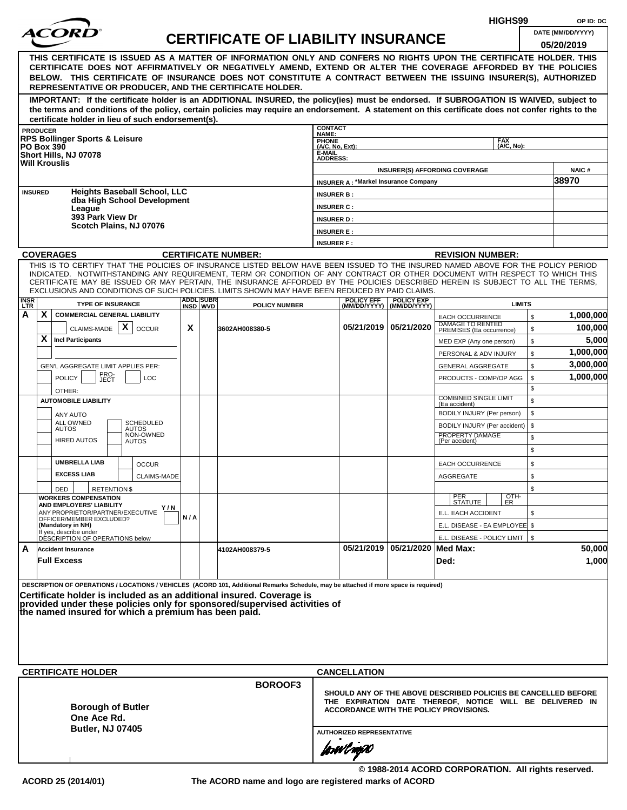|             |                                                                                                                                                                                                                                                                                                                                                                |     |                  | HIGHS99                                   |                           | OP ID: DC                                   |                                                |                                                                                                                                                                      |                             |          |                       |
|-------------|----------------------------------------------------------------------------------------------------------------------------------------------------------------------------------------------------------------------------------------------------------------------------------------------------------------------------------------------------------------|-----|------------------|-------------------------------------------|---------------------------|---------------------------------------------|------------------------------------------------|----------------------------------------------------------------------------------------------------------------------------------------------------------------------|-----------------------------|----------|-----------------------|
|             | <i>ACOR</i>                                                                                                                                                                                                                                                                                                                                                    |     |                  | <b>CERTIFICATE OF LIABILITY INSURANCE</b> |                           |                                             |                                                |                                                                                                                                                                      |                             |          | DATE (MM/DD/YYYY)     |
|             | THIS CERTIFICATE IS ISSUED AS A MATTER OF INFORMATION ONLY AND CONFERS NO RIGHTS UPON THE CERTIFICATE HOLDER. THIS<br>CERTIFICATE DOES NOT AFFIRMATIVELY OR NEGATIVELY AMEND, EXTEND OR ALTER THE COVERAGE AFFORDED BY THE POLICIES<br>BELOW. THIS CERTIFICATE OF INSURANCE DOES NOT CONSTITUTE A CONTRACT BETWEEN THE ISSUING INSURER(S), AUTHORIZED          |     |                  |                                           |                           |                                             |                                                |                                                                                                                                                                      |                             |          | 05/20/2019            |
|             | REPRESENTATIVE OR PRODUCER, AND THE CERTIFICATE HOLDER.<br>IMPORTANT: If the certificate holder is an ADDITIONAL INSURED, the policy(ies) must be endorsed. If SUBROGATION IS WAIVED, subject to                                                                                                                                                               |     |                  |                                           |                           |                                             |                                                |                                                                                                                                                                      |                             |          |                       |
|             | the terms and conditions of the policy, certain policies may require an endorsement. A statement on this certificate does not confer rights to the<br>certificate holder in lieu of such endorsement(s).                                                                                                                                                       |     |                  |                                           |                           |                                             |                                                |                                                                                                                                                                      |                             |          |                       |
|             | <b>PRODUCER</b>                                                                                                                                                                                                                                                                                                                                                |     |                  |                                           | <b>CONTACT</b><br>NAME:   |                                             |                                                |                                                                                                                                                                      |                             |          |                       |
|             | <b>RPS Bollinger Sports &amp; Leisure</b><br><b>PO Box 390</b>                                                                                                                                                                                                                                                                                                 |     |                  |                                           | PHONE<br>(A/C, No, Ext):  |                                             |                                                |                                                                                                                                                                      | <b>FAX</b><br>$(AVC, No)$ : |          |                       |
|             | Short Hills, NJ 07078<br><b>Will Krouslis</b>                                                                                                                                                                                                                                                                                                                  |     |                  |                                           | E-MAIL<br><b>ADDRESS:</b> |                                             |                                                |                                                                                                                                                                      |                             |          |                       |
|             |                                                                                                                                                                                                                                                                                                                                                                |     |                  |                                           |                           | <b>INSURER A: *Markel Insurance Company</b> |                                                | <b>INSURER(S) AFFORDING COVERAGE</b>                                                                                                                                 |                             |          | <b>NAIC#</b><br>38970 |
|             | <b>Heights Baseball School, LLC</b><br><b>INSURED</b>                                                                                                                                                                                                                                                                                                          |     |                  |                                           | <b>INSURER B:</b>         |                                             |                                                |                                                                                                                                                                      |                             |          |                       |
|             | dba High School Development<br>League                                                                                                                                                                                                                                                                                                                          |     |                  |                                           | <b>INSURER C:</b>         |                                             |                                                |                                                                                                                                                                      |                             |          |                       |
|             | 393 Park View Dr<br>Scotch Plains, NJ 07076                                                                                                                                                                                                                                                                                                                    |     |                  |                                           | <b>INSURER D:</b>         |                                             |                                                |                                                                                                                                                                      |                             |          |                       |
|             |                                                                                                                                                                                                                                                                                                                                                                |     |                  |                                           | <b>INSURER E:</b>         |                                             |                                                |                                                                                                                                                                      |                             |          |                       |
|             | <b>COVERAGES</b>                                                                                                                                                                                                                                                                                                                                               |     |                  | <b>CERTIFICATE NUMBER:</b>                | <b>INSURER F:</b>         |                                             |                                                | <b>REVISION NUMBER:</b>                                                                                                                                              |                             |          |                       |
|             | THIS IS TO CERTIFY THAT THE POLICIES OF INSURANCE LISTED BELOW HAVE BEEN ISSUED TO THE INSURED NAMED ABOVE FOR THE POLICY PERIOD                                                                                                                                                                                                                               |     |                  |                                           |                           |                                             |                                                |                                                                                                                                                                      |                             |          |                       |
|             | INDICATED. NOTWITHSTANDING ANY REQUIREMENT, TERM OR CONDITION OF ANY CONTRACT OR OTHER DOCUMENT WITH RESPECT TO WHICH THIS<br>CERTIFICATE MAY BE ISSUED OR MAY PERTAIN, THE INSURANCE AFFORDED BY THE POLICIES DESCRIBED HEREIN IS SUBJECT TO ALL THE TERMS,<br>EXCLUSIONS AND CONDITIONS OF SUCH POLICIES. LIMITS SHOWN MAY HAVE BEEN REDUCED BY PAID CLAIMS. |     | <b>ADDL SUBR</b> |                                           |                           |                                             |                                                |                                                                                                                                                                      |                             |          |                       |
| INSR<br>LTR | <b>TYPE OF INSURANCE</b>                                                                                                                                                                                                                                                                                                                                       |     | INSD WVD         | <b>POLICY NUMBER</b>                      |                           | <b>POLICY EFF</b>                           | <b>POLICY EXP</b><br>(MM/DD/YYYY) (MM/DD/YYYY) |                                                                                                                                                                      | <b>LIMITS</b>               |          |                       |
| A           | X.<br><b>COMMERCIAL GENERAL LIABILITY</b><br>$\mathsf{x}$<br>CLAIMS-MADE<br><b>OCCUR</b>                                                                                                                                                                                                                                                                       | X   |                  | 3602AH008380-5                            |                           |                                             | 05/21/2019 05/21/2020                          | <b>EACH OCCURRENCE</b><br>DAMAGE TO RENTED<br>PREMISES (Ea occurrence)                                                                                               |                             | \$<br>\$ | 1,000,000<br>100,000  |
|             | X.<br><b>Incl Participants</b>                                                                                                                                                                                                                                                                                                                                 |     |                  |                                           |                           |                                             |                                                | MED EXP (Any one person)                                                                                                                                             |                             | \$       | 5,000                 |
|             |                                                                                                                                                                                                                                                                                                                                                                |     |                  |                                           |                           |                                             |                                                | PERSONAL & ADV INJURY                                                                                                                                                |                             | \$       | 1,000,000             |
|             | GEN'L AGGREGATE LIMIT APPLIES PER:                                                                                                                                                                                                                                                                                                                             |     |                  |                                           |                           |                                             |                                                | <b>GENERAL AGGREGATE</b>                                                                                                                                             |                             | \$       | 3,000,000             |
|             | PRO-<br>JECT<br><b>POLICY</b><br><b>LOC</b>                                                                                                                                                                                                                                                                                                                    |     |                  |                                           |                           |                                             |                                                | PRODUCTS - COMP/OP AGG                                                                                                                                               |                             | \$<br>\$ | 1,000,000             |
|             | OTHER:<br><b>AUTOMOBILE LIABILITY</b>                                                                                                                                                                                                                                                                                                                          |     |                  |                                           |                           |                                             |                                                | <b>COMBINED SINGLE LIMIT</b>                                                                                                                                         |                             | \$       |                       |
|             | ANY AUTO                                                                                                                                                                                                                                                                                                                                                       |     |                  |                                           |                           |                                             |                                                | (Ea accident)<br>BODILY INJURY (Per person)                                                                                                                          |                             | \$       |                       |
|             | <b>ALL OWNED</b><br><b>SCHEDULED</b><br><b>AUTOS</b><br>AUTOS                                                                                                                                                                                                                                                                                                  |     |                  |                                           |                           |                                             |                                                | BODILY INJURY (Per accident)                                                                                                                                         |                             | \$       |                       |
|             | NON-OWNED<br><b>HIRED AUTOS</b><br><b>AUTOS</b>                                                                                                                                                                                                                                                                                                                |     |                  |                                           |                           |                                             |                                                | PROPERTY DAMAGE<br>(Per accident)                                                                                                                                    |                             | \$<br>\$ |                       |
|             | <b>UMBRELLA LIAB</b><br><b>OCCUR</b>                                                                                                                                                                                                                                                                                                                           |     |                  |                                           |                           |                                             |                                                | <b>EACH OCCURRENCE</b>                                                                                                                                               |                             | \$       |                       |
|             | <b>EXCESS LIAB</b><br><b>CLAIMS-MADE</b>                                                                                                                                                                                                                                                                                                                       |     |                  |                                           |                           |                                             |                                                | AGGREGATE                                                                                                                                                            |                             | \$       |                       |
|             | DED<br><b>RETENTION \$</b><br><b>WORKERS COMPENSATION</b>                                                                                                                                                                                                                                                                                                      |     |                  |                                           |                           |                                             |                                                | PER<br>STATUTE                                                                                                                                                       | OTH-<br>ER                  | \$       |                       |
|             | AND EMPLOYERS' LIABILITY<br>Y / N<br>ANY PROPRIETOR/PARTNER/EXECUTIVE                                                                                                                                                                                                                                                                                          |     |                  |                                           |                           |                                             |                                                | E.L. EACH ACCIDENT                                                                                                                                                   |                             | \$       |                       |
|             | OFFICER/MEMBER EXCLUDED?<br>(Mandatory in NH)                                                                                                                                                                                                                                                                                                                  | N/A |                  |                                           |                           |                                             |                                                | E.L. DISEASE - EA EMPLOYEE \$                                                                                                                                        |                             |          |                       |
|             | If yes, describe under<br>DÉSCRIPTION OF OPERATIONS below                                                                                                                                                                                                                                                                                                      |     |                  |                                           |                           |                                             |                                                | E.L. DISEASE - POLICY LIMIT   \$                                                                                                                                     |                             |          |                       |
| A           | <b>Accident Insurance</b><br><b>Full Excess</b>                                                                                                                                                                                                                                                                                                                |     |                  | 4102AH008379-5                            |                           |                                             | 05/21/2019   05/21/2020   Med Max:             | Ded:                                                                                                                                                                 |                             |          | 50,000<br>1,000       |
|             | DESCRIPTION OF OPERATIONS / LOCATIONS / VEHICLES (ACORD 101, Additional Remarks Schedule, may be attached if more space is required)                                                                                                                                                                                                                           |     |                  |                                           |                           |                                             |                                                |                                                                                                                                                                      |                             |          |                       |
|             | Certificate holder is included as an additional insured. Coverage is<br>provided under these policies only for sponsored/supervised activities of<br>the named insured for which a premium has been paid.                                                                                                                                                      |     |                  |                                           |                           |                                             |                                                |                                                                                                                                                                      |                             |          |                       |
|             |                                                                                                                                                                                                                                                                                                                                                                |     |                  |                                           |                           |                                             |                                                |                                                                                                                                                                      |                             |          |                       |
|             | <b>CERTIFICATE HOLDER</b>                                                                                                                                                                                                                                                                                                                                      |     |                  | <b>BOROOF3</b>                            |                           | <b>CANCELLATION</b>                         |                                                |                                                                                                                                                                      |                             |          |                       |
|             | <b>Borough of Butler</b><br>One Ace Rd.<br><b>Butler, NJ 07405</b>                                                                                                                                                                                                                                                                                             |     |                  |                                           |                           |                                             |                                                | SHOULD ANY OF THE ABOVE DESCRIBED POLICIES BE CANCELLED BEFORE<br>THE EXPIRATION DATE THEREOF, NOTICE WILL BE DELIVERED IN<br>ACCORDANCE WITH THE POLICY PROVISIONS. |                             |          |                       |
|             |                                                                                                                                                                                                                                                                                                                                                                |     |                  |                                           |                           | <b>AUTHORIZED REPRESENTATIVE</b>            |                                                |                                                                                                                                                                      |                             |          |                       |
|             |                                                                                                                                                                                                                                                                                                                                                                |     |                  |                                           |                           | forwl now                                   |                                                |                                                                                                                                                                      |                             |          |                       |

**© 1988-2014 ACORD CORPORATION. All rights reserved. ACORD 25 (2014/01) The ACORD name and logo are registered marks of ACORD**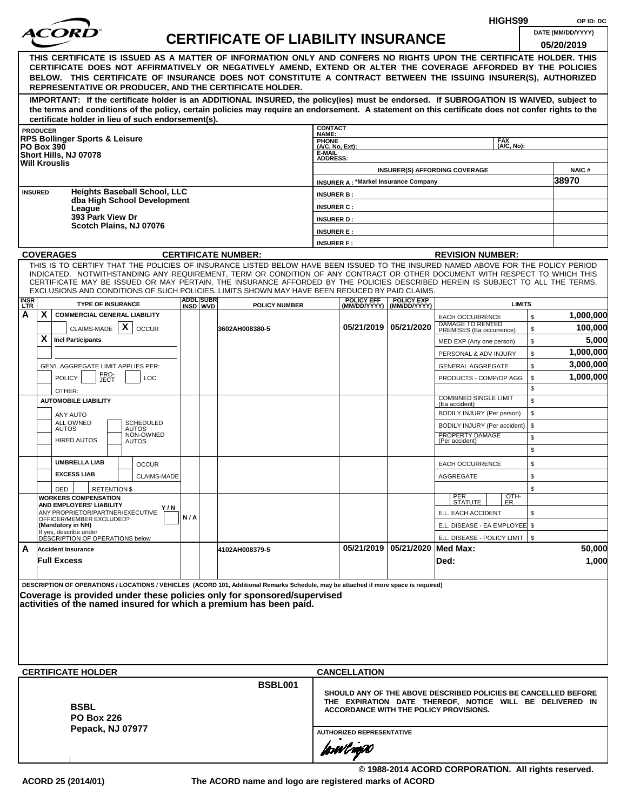| HIGHS99     |                                                                                                                                                                                                                                                                                                                                                                                                                                                                                                                                |     |                  |                                           |                                        |                                             |                                |                                                                                                                                                                             |                                 |  |  |
|-------------|--------------------------------------------------------------------------------------------------------------------------------------------------------------------------------------------------------------------------------------------------------------------------------------------------------------------------------------------------------------------------------------------------------------------------------------------------------------------------------------------------------------------------------|-----|------------------|-------------------------------------------|----------------------------------------|---------------------------------------------|--------------------------------|-----------------------------------------------------------------------------------------------------------------------------------------------------------------------------|---------------------------------|--|--|
|             | <i>ACORI</i>                                                                                                                                                                                                                                                                                                                                                                                                                                                                                                                   |     |                  | <b>CERTIFICATE OF LIABILITY INSURANCE</b> |                                        |                                             |                                |                                                                                                                                                                             | DATE (MM/DD/YYYY)<br>05/20/2019 |  |  |
|             | THIS CERTIFICATE IS ISSUED AS A MATTER OF INFORMATION ONLY AND CONFERS NO RIGHTS UPON THE CERTIFICATE HOLDER. THIS<br>CERTIFICATE DOES NOT AFFIRMATIVELY OR NEGATIVELY AMEND, EXTEND OR ALTER THE COVERAGE AFFORDED BY THE POLICIES<br>BELOW. THIS CERTIFICATE OF INSURANCE DOES NOT CONSTITUTE A CONTRACT BETWEEN THE ISSUING INSURER(S), AUTHORIZED<br>REPRESENTATIVE OR PRODUCER, AND THE CERTIFICATE HOLDER.                                                                                                               |     |                  |                                           |                                        |                                             |                                |                                                                                                                                                                             |                                 |  |  |
|             | IMPORTANT: If the certificate holder is an ADDITIONAL INSURED, the policy(ies) must be endorsed. If SUBROGATION IS WAIVED, subject to<br>the terms and conditions of the policy, certain policies may require an endorsement. A statement on this certificate does not confer rights to the<br>certificate holder in lieu of such endorsement(s).                                                                                                                                                                              |     |                  |                                           |                                        |                                             |                                |                                                                                                                                                                             |                                 |  |  |
|             | <b>PRODUCER</b>                                                                                                                                                                                                                                                                                                                                                                                                                                                                                                                |     |                  |                                           | <b>CONTACT</b><br>NAME:                |                                             |                                |                                                                                                                                                                             |                                 |  |  |
|             | <b>RPS Bollinger Sports &amp; Leisure</b><br><b>PO Box 390</b>                                                                                                                                                                                                                                                                                                                                                                                                                                                                 |     |                  |                                           | <b>PHONE</b><br>(A/C, No, Ext):        |                                             |                                | <b>FAX</b><br>(A/C, No):                                                                                                                                                    |                                 |  |  |
|             | Short Hills, NJ 07078<br><b>Will Krouslis</b>                                                                                                                                                                                                                                                                                                                                                                                                                                                                                  |     |                  |                                           | <b>E-MAIL</b><br><b>ADDRESS:</b>       |                                             |                                | <b>INSURER(S) AFFORDING COVERAGE</b>                                                                                                                                        | <b>NAIC#</b>                    |  |  |
|             |                                                                                                                                                                                                                                                                                                                                                                                                                                                                                                                                |     |                  |                                           |                                        | <b>INSURER A: *Markel Insurance Company</b> |                                |                                                                                                                                                                             | 38970                           |  |  |
|             | <b>Heights Baseball School, LLC</b><br><b>INSURED</b><br>dba High School Development                                                                                                                                                                                                                                                                                                                                                                                                                                           |     |                  |                                           | <b>INSURER B:</b>                      |                                             |                                |                                                                                                                                                                             |                                 |  |  |
|             | League<br>393 Park View Dr                                                                                                                                                                                                                                                                                                                                                                                                                                                                                                     |     |                  |                                           | <b>INSURER C:</b>                      |                                             |                                |                                                                                                                                                                             |                                 |  |  |
|             | Scotch Plains, NJ 07076                                                                                                                                                                                                                                                                                                                                                                                                                                                                                                        |     |                  |                                           | <b>INSURER D:</b><br><b>INSURER E:</b> |                                             |                                |                                                                                                                                                                             |                                 |  |  |
|             |                                                                                                                                                                                                                                                                                                                                                                                                                                                                                                                                |     |                  |                                           | <b>INSURER F:</b>                      |                                             |                                |                                                                                                                                                                             |                                 |  |  |
|             | <b>COVERAGES</b>                                                                                                                                                                                                                                                                                                                                                                                                                                                                                                               |     |                  | <b>CERTIFICATE NUMBER:</b>                |                                        |                                             |                                | <b>REVISION NUMBER:</b>                                                                                                                                                     |                                 |  |  |
| <b>INSR</b> | THIS IS TO CERTIFY THAT THE POLICIES OF INSURANCE LISTED BELOW HAVE BEEN ISSUED TO THE INSURED NAMED ABOVE FOR THE POLICY PERIOD<br>INDICATED. NOTWITHSTANDING ANY REQUIREMENT, TERM OR CONDITION OF ANY CONTRACT OR OTHER DOCUMENT WITH RESPECT TO WHICH THIS<br>CERTIFICATE MAY BE ISSUED OR MAY PERTAIN, THE INSURANCE AFFORDED BY THE POLICIES DESCRIBED HEREIN IS SUBJECT TO ALL THE TERMS,<br>EXCLUSIONS AND CONDITIONS OF SUCH POLICIES. LIMITS SHOWN MAY HAVE BEEN REDUCED BY PAID CLAIMS.<br><b>TYPE OF INSURANCE</b> |     | <b>ADDL SUBR</b> |                                           |                                        | <b>POLICY EFF</b>                           | <b>POLICY EXP</b>              | <b>LIMITS</b>                                                                                                                                                               |                                 |  |  |
| LTR.<br>A   | X.<br><b>COMMERCIAL GENERAL LIABILITY</b>                                                                                                                                                                                                                                                                                                                                                                                                                                                                                      |     | INSD WVD         | <b>POLICY NUMBER</b>                      |                                        |                                             | (MM/DD/YYYY)   (MM/DD/YYYY)    | \$<br><b>EACH OCCURRENCE</b>                                                                                                                                                | 1,000,000                       |  |  |
|             | CLAIMS-MADE $\mathbf{X}$<br><b>OCCUR</b>                                                                                                                                                                                                                                                                                                                                                                                                                                                                                       |     |                  | 3602AH008380-5                            |                                        |                                             | 05/21/2019 05/21/2020          | DAMAGE TO RENTED<br>\$<br>PREMISES (Ea occurrence)                                                                                                                          | 100,000                         |  |  |
|             | X.<br><b>Incl Participants</b>                                                                                                                                                                                                                                                                                                                                                                                                                                                                                                 |     |                  |                                           |                                        |                                             |                                | \$<br>MED EXP (Any one person)                                                                                                                                              | 5,000                           |  |  |
|             |                                                                                                                                                                                                                                                                                                                                                                                                                                                                                                                                |     |                  |                                           |                                        |                                             |                                | \$<br>PERSONAL & ADV INJURY                                                                                                                                                 | 1,000,000                       |  |  |
|             | GEN'L AGGREGATE LIMIT APPLIES PER:                                                                                                                                                                                                                                                                                                                                                                                                                                                                                             |     |                  |                                           |                                        |                                             |                                | \$<br><b>GENERAL AGGREGATE</b>                                                                                                                                              | 3,000,000                       |  |  |
|             | PRO-<br>JECT<br><b>POLICY</b><br><b>LOC</b>                                                                                                                                                                                                                                                                                                                                                                                                                                                                                    |     |                  |                                           |                                        |                                             |                                | PRODUCTS - COMP/OP AGG<br>\$                                                                                                                                                | 1,000,000                       |  |  |
|             | OTHER:                                                                                                                                                                                                                                                                                                                                                                                                                                                                                                                         |     |                  |                                           |                                        |                                             |                                | \$                                                                                                                                                                          |                                 |  |  |
|             | <b>AUTOMOBILE LIABILITY</b>                                                                                                                                                                                                                                                                                                                                                                                                                                                                                                    |     |                  |                                           |                                        |                                             |                                | <b>COMBINED SINGLE LIMIT</b><br>\$<br>(Ea accident)                                                                                                                         |                                 |  |  |
|             | ANY AUTO<br><b>ALL OWNED</b><br><b>SCHEDULED</b>                                                                                                                                                                                                                                                                                                                                                                                                                                                                               |     |                  |                                           |                                        |                                             |                                | \$<br>BODILY INJURY (Per person)                                                                                                                                            |                                 |  |  |
|             | <b>AUTOS</b><br><b>AUTOS</b><br>NON-OWNED                                                                                                                                                                                                                                                                                                                                                                                                                                                                                      |     |                  |                                           |                                        |                                             |                                | \$<br>BODILY INJURY (Per accident)<br>PROPERTY DAMAGE                                                                                                                       |                                 |  |  |
|             | <b>HIRED AUTOS</b><br><b>AUTOS</b>                                                                                                                                                                                                                                                                                                                                                                                                                                                                                             |     |                  |                                           |                                        |                                             |                                | \$<br>(Per accident)<br>\$                                                                                                                                                  |                                 |  |  |
|             | <b>UMBRELLA LIAB</b>                                                                                                                                                                                                                                                                                                                                                                                                                                                                                                           |     |                  |                                           |                                        |                                             |                                |                                                                                                                                                                             |                                 |  |  |
|             | <b>OCCUR</b><br><b>EXCESS LIAB</b><br>CLAIMS-MADE                                                                                                                                                                                                                                                                                                                                                                                                                                                                              |     |                  |                                           |                                        |                                             |                                | \$<br><b>EACH OCCURRENCE</b><br>AGGREGATE<br>\$                                                                                                                             |                                 |  |  |
|             | DED<br><b>RETENTION \$</b>                                                                                                                                                                                                                                                                                                                                                                                                                                                                                                     |     |                  |                                           |                                        |                                             |                                | \$                                                                                                                                                                          |                                 |  |  |
|             | <b>WORKERS COMPENSATION</b>                                                                                                                                                                                                                                                                                                                                                                                                                                                                                                    |     |                  |                                           |                                        |                                             |                                | OTH-<br>PER<br>STATUTE<br>ER.                                                                                                                                               |                                 |  |  |
|             | AND EMPLOYERS' LIABILITY<br>Y / N<br>ANY PROPRIETOR/PARTNER/EXECUTIVE                                                                                                                                                                                                                                                                                                                                                                                                                                                          |     |                  |                                           |                                        |                                             |                                | E.L. EACH ACCIDENT<br>\$                                                                                                                                                    |                                 |  |  |
|             | OFFICER/MEMBER EXCLUDED?<br>(Mandatory in NH)                                                                                                                                                                                                                                                                                                                                                                                                                                                                                  | N/A |                  |                                           |                                        |                                             |                                | E.L. DISEASE - EA EMPLOYEE \$                                                                                                                                               |                                 |  |  |
|             | If yes, describe under<br>DESCRIPTION OF OPERATIONS below                                                                                                                                                                                                                                                                                                                                                                                                                                                                      |     |                  |                                           |                                        |                                             |                                | E.L. DISEASE - POLICY LIMIT   \$                                                                                                                                            |                                 |  |  |
| A           | <b>Accident Insurance</b>                                                                                                                                                                                                                                                                                                                                                                                                                                                                                                      |     |                  | 4102AH008379-5                            |                                        |                                             | 05/21/2019 05/21/2020 Med Max: |                                                                                                                                                                             | 50,000                          |  |  |
|             | <b>Full Excess</b>                                                                                                                                                                                                                                                                                                                                                                                                                                                                                                             |     |                  |                                           |                                        |                                             |                                | Ded:                                                                                                                                                                        | 1,000                           |  |  |
|             | DESCRIPTION OF OPERATIONS / LOCATIONS / VEHICLES (ACORD 101, Additional Remarks Schedule, may be attached if more space is required)<br>Coverage is provided under these policies only for sponsored/supervised<br>activities of the named insured for which a premium has been paid.<br><b>CERTIFICATE HOLDER</b>                                                                                                                                                                                                             |     |                  |                                           |                                        | <b>CANCELLATION</b>                         |                                |                                                                                                                                                                             |                                 |  |  |
|             |                                                                                                                                                                                                                                                                                                                                                                                                                                                                                                                                |     |                  | <b>BSBL001</b>                            |                                        |                                             |                                |                                                                                                                                                                             |                                 |  |  |
|             | <b>BSBL</b><br><b>PO Box 226</b><br>Pepack, NJ 07977                                                                                                                                                                                                                                                                                                                                                                                                                                                                           |     |                  |                                           |                                        | <b>AUTHORIZED REPRESENTATIVE</b>            |                                | SHOULD ANY OF THE ABOVE DESCRIBED POLICIES BE CANCELLED BEFORE<br>THE EXPIRATION DATE THEREOF, NOTICE WILL BE DELIVERED IN<br><b>ACCORDANCE WITH THE POLICY PROVISIONS.</b> |                                 |  |  |
|             |                                                                                                                                                                                                                                                                                                                                                                                                                                                                                                                                |     |                  |                                           |                                        | forøvl nopN                                 |                                | © 1988-2014 ACORD CORPORATION. All rights reserved.                                                                                                                         |                                 |  |  |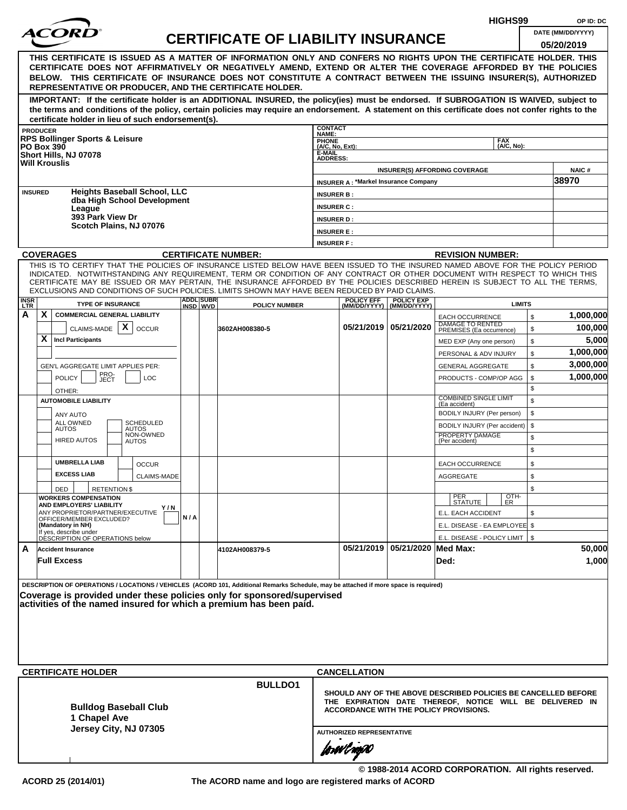| <i>ACORI</i><br>DATE (MM/DD/YYYY)<br><b>CERTIFICATE OF LIABILITY INSURANCE</b><br>05/20/2019<br>THIS CERTIFICATE IS ISSUED AS A MATTER OF INFORMATION ONLY AND CONFERS NO RIGHTS UPON THE CERTIFICATE HOLDER. THIS<br>CERTIFICATE DOES NOT AFFIRMATIVELY OR NEGATIVELY AMEND, EXTEND OR ALTER THE COVERAGE AFFORDED BY THE POLICIES<br>BELOW. THIS CERTIFICATE OF INSURANCE DOES NOT CONSTITUTE A CONTRACT BETWEEN THE ISSUING INSURER(S), AUTHORIZED<br>REPRESENTATIVE OR PRODUCER, AND THE CERTIFICATE HOLDER.<br>IMPORTANT: If the certificate holder is an ADDITIONAL INSURED, the policy(ies) must be endorsed. If SUBROGATION IS WAIVED, subject to<br>the terms and conditions of the policy, certain policies may require an endorsement. A statement on this certificate does not confer rights to the<br>certificate holder in lieu of such endorsement(s).<br><b>CONTACT</b><br><b>PRODUCER</b><br><b>NAME:</b><br><b>RPS Bollinger Sports &amp; Leisure</b><br><b>FAX</b><br><b>PHONE</b><br>(A/C. No):<br><b>PO Box 390</b><br>(A/C, No, Ext):<br>E-MAIL<br>Short Hills, NJ 07078<br><b>ADDRESS:</b><br><b>Will Krouslis</b><br><b>NAIC#</b><br><b>INSURER(S) AFFORDING COVERAGE</b><br>38970<br><b>INSURER A: *Markel Insurance Company</b><br><b>Heights Baseball School, LLC</b><br><b>INSURED</b><br><b>INSURER B:</b><br>dba High School Development<br><b>INSURER C:</b><br>League<br>393 Park View Dr<br><b>INSURER D:</b><br>Scotch Plains, NJ 07076<br><b>INSURER E:</b><br><b>INSURER F:</b><br><b>COVERAGES</b><br><b>CERTIFICATE NUMBER:</b><br><b>REVISION NUMBER:</b><br>THIS IS TO CERTIFY THAT THE POLICIES OF INSURANCE LISTED BELOW HAVE BEEN ISSUED TO THE INSURED NAMED ABOVE FOR THE POLICY PERIOD<br>INDICATED. NOTWITHSTANDING ANY REQUIREMENT, TERM OR CONDITION OF ANY CONTRACT OR OTHER DOCUMENT WITH RESPECT TO WHICH THIS<br>CERTIFICATE MAY BE ISSUED OR MAY PERTAIN, THE INSURANCE AFFORDED BY THE POLICIES DESCRIBED HEREIN IS SUBJECT TO ALL THE TERMS,<br>EXCLUSIONS AND CONDITIONS OF SUCH POLICIES. LIMITS SHOWN MAY HAVE BEEN REDUCED BY PAID CLAIMS.<br><b>ADDL SUBR</b><br><b>INSR</b><br><b>POLICY EXP</b><br><b>POLICY EFF</b><br><b>TYPE OF INSURANCE</b><br><b>LIMITS</b><br><b>POLICY NUMBER</b><br>(MM/DD/YYYY) (MM/DD/YYYY)<br>INSD WVD<br>LTR<br>X<br>A<br><b>COMMERCIAL GENERAL LIABILITY</b><br>\$<br><b>EACH OCCURRENCE</b><br>DAMAGE TO RENTED<br>$\mathsf{x}$<br>05/21/2019 05/21/2020<br>CLAIMS-MADE<br><b>OCCUR</b><br>\$<br>3602AH008380-5<br>PREMISES (Ea occurrence)<br>x<br><b>Incl Participants</b><br>\$<br>MED EXP (Any one person)<br>\$<br>PERSONAL & ADV INJURY<br>3,000,000<br>\$<br><b>GENERAL AGGREGATE</b><br><b>GEN'L AGGREGATE LIMIT APPLIES PER:</b><br>PRO-<br>JECT<br>1,000,000<br><b>POLICY</b><br>\$<br><b>LOC</b><br>PRODUCTS - COMP/OP AGG<br>\$<br>OTHER:<br><b>COMBINED SINGLE LIMIT</b><br>\$<br><b>AUTOMOBILE LIABILITY</b><br>(Ea accident)<br>\$<br>BODILY INJURY (Per person)<br>ANY AUTO<br><b>ALL OWNED</b><br><b>SCHEDULED</b><br>\$<br>BODILY INJURY (Per accident)<br><b>AUTOS</b><br><b>AUTOS</b><br>NON-OWNED<br>PROPERTY DAMAGE<br>\$<br><b>HIRED AUTOS</b><br>(Per accident)<br><b>AUTOS</b><br>\$<br><b>UMBRELLA LIAB</b><br>\$<br><b>EACH OCCURRENCE</b><br><b>OCCUR</b><br><b>EXCESS LIAB</b><br>CLAIMS-MADE<br>AGGREGATE<br>\$<br>\$<br>DED<br><b>RETENTIONS</b><br>OTH-<br>PER<br>STATUTE<br><b>WORKERS COMPENSATION</b><br>ER.<br>AND EMPLOYERS' LIABILITY<br>Y/N<br>ANY PROPRIETOR/PARTNER/EXECUTIVE<br>E.L. EACH ACCIDENT<br>\$<br>N/A<br>OFFICER/MEMBER EXCLUDED?<br>E.L. DISEASE - EA EMPLOYEE \$<br>(Mandatory in NH)<br>If yes, describe under<br>E.L. DISEASE - POLICY LIMIT   \$<br>DESCRIPTION OF OPERATIONS below<br>05/21/2019 05/21/2020 Med Max:<br>A<br><b>Accident Insurance</b><br>4102AH008379-5<br><b>Full Excess</b><br>Ded:<br>DESCRIPTION OF OPERATIONS / LOCATIONS / VEHICLES (ACORD 101, Additional Remarks Schedule, may be attached if more space is required) |           |         |  |  |  |  |  |  | HIGHS99 | OP ID: DC |           |  |  |  |  |  |
|--------------------------------------------------------------------------------------------------------------------------------------------------------------------------------------------------------------------------------------------------------------------------------------------------------------------------------------------------------------------------------------------------------------------------------------------------------------------------------------------------------------------------------------------------------------------------------------------------------------------------------------------------------------------------------------------------------------------------------------------------------------------------------------------------------------------------------------------------------------------------------------------------------------------------------------------------------------------------------------------------------------------------------------------------------------------------------------------------------------------------------------------------------------------------------------------------------------------------------------------------------------------------------------------------------------------------------------------------------------------------------------------------------------------------------------------------------------------------------------------------------------------------------------------------------------------------------------------------------------------------------------------------------------------------------------------------------------------------------------------------------------------------------------------------------------------------------------------------------------------------------------------------------------------------------------------------------------------------------------------------------------------------------------------------------------------------------------------------------------------------------------------------------------------------------------------------------------------------------------------------------------------------------------------------------------------------------------------------------------------------------------------------------------------------------------------------------------------------------------------------------------------------------------------------------------------------------------------------------------------------------------------------------------------------------------------------------------------------------------------------------------------------------------------------------------------------------------------------------------------------------------------------------------------------------------------------------------------------------------------------------------------------------------------------------------------------------------------------------------------------------------------------------------------------------------------------------------------------------------------------------------------------------------------------------------------------------------------------------------------------------------------------------------------------------------------------------------------------------------------------------------------------------------------------------------------------------------------------------------------------------------------------------------------------------------------------------------------------------------------------------------------------------------------------------------------------------------------------------------------------------------------------------------------------------------------------------------------------------------------------------|-----------|---------|--|--|--|--|--|--|---------|-----------|-----------|--|--|--|--|--|
|                                                                                                                                                                                                                                                                                                                                                                                                                                                                                                                                                                                                                                                                                                                                                                                                                                                                                                                                                                                                                                                                                                                                                                                                                                                                                                                                                                                                                                                                                                                                                                                                                                                                                                                                                                                                                                                                                                                                                                                                                                                                                                                                                                                                                                                                                                                                                                                                                                                                                                                                                                                                                                                                                                                                                                                                                                                                                                                                                                                                                                                                                                                                                                                                                                                                                                                                                                                                                                                                                                                                                                                                                                                                                                                                                                                                                                                                                                                                                                                                        |           |         |  |  |  |  |  |  |         |           |           |  |  |  |  |  |
|                                                                                                                                                                                                                                                                                                                                                                                                                                                                                                                                                                                                                                                                                                                                                                                                                                                                                                                                                                                                                                                                                                                                                                                                                                                                                                                                                                                                                                                                                                                                                                                                                                                                                                                                                                                                                                                                                                                                                                                                                                                                                                                                                                                                                                                                                                                                                                                                                                                                                                                                                                                                                                                                                                                                                                                                                                                                                                                                                                                                                                                                                                                                                                                                                                                                                                                                                                                                                                                                                                                                                                                                                                                                                                                                                                                                                                                                                                                                                                                                        |           |         |  |  |  |  |  |  |         |           |           |  |  |  |  |  |
|                                                                                                                                                                                                                                                                                                                                                                                                                                                                                                                                                                                                                                                                                                                                                                                                                                                                                                                                                                                                                                                                                                                                                                                                                                                                                                                                                                                                                                                                                                                                                                                                                                                                                                                                                                                                                                                                                                                                                                                                                                                                                                                                                                                                                                                                                                                                                                                                                                                                                                                                                                                                                                                                                                                                                                                                                                                                                                                                                                                                                                                                                                                                                                                                                                                                                                                                                                                                                                                                                                                                                                                                                                                                                                                                                                                                                                                                                                                                                                                                        |           |         |  |  |  |  |  |  |         |           |           |  |  |  |  |  |
|                                                                                                                                                                                                                                                                                                                                                                                                                                                                                                                                                                                                                                                                                                                                                                                                                                                                                                                                                                                                                                                                                                                                                                                                                                                                                                                                                                                                                                                                                                                                                                                                                                                                                                                                                                                                                                                                                                                                                                                                                                                                                                                                                                                                                                                                                                                                                                                                                                                                                                                                                                                                                                                                                                                                                                                                                                                                                                                                                                                                                                                                                                                                                                                                                                                                                                                                                                                                                                                                                                                                                                                                                                                                                                                                                                                                                                                                                                                                                                                                        |           |         |  |  |  |  |  |  |         |           |           |  |  |  |  |  |
|                                                                                                                                                                                                                                                                                                                                                                                                                                                                                                                                                                                                                                                                                                                                                                                                                                                                                                                                                                                                                                                                                                                                                                                                                                                                                                                                                                                                                                                                                                                                                                                                                                                                                                                                                                                                                                                                                                                                                                                                                                                                                                                                                                                                                                                                                                                                                                                                                                                                                                                                                                                                                                                                                                                                                                                                                                                                                                                                                                                                                                                                                                                                                                                                                                                                                                                                                                                                                                                                                                                                                                                                                                                                                                                                                                                                                                                                                                                                                                                                        |           |         |  |  |  |  |  |  |         |           |           |  |  |  |  |  |
|                                                                                                                                                                                                                                                                                                                                                                                                                                                                                                                                                                                                                                                                                                                                                                                                                                                                                                                                                                                                                                                                                                                                                                                                                                                                                                                                                                                                                                                                                                                                                                                                                                                                                                                                                                                                                                                                                                                                                                                                                                                                                                                                                                                                                                                                                                                                                                                                                                                                                                                                                                                                                                                                                                                                                                                                                                                                                                                                                                                                                                                                                                                                                                                                                                                                                                                                                                                                                                                                                                                                                                                                                                                                                                                                                                                                                                                                                                                                                                                                        |           |         |  |  |  |  |  |  |         |           |           |  |  |  |  |  |
|                                                                                                                                                                                                                                                                                                                                                                                                                                                                                                                                                                                                                                                                                                                                                                                                                                                                                                                                                                                                                                                                                                                                                                                                                                                                                                                                                                                                                                                                                                                                                                                                                                                                                                                                                                                                                                                                                                                                                                                                                                                                                                                                                                                                                                                                                                                                                                                                                                                                                                                                                                                                                                                                                                                                                                                                                                                                                                                                                                                                                                                                                                                                                                                                                                                                                                                                                                                                                                                                                                                                                                                                                                                                                                                                                                                                                                                                                                                                                                                                        |           |         |  |  |  |  |  |  |         |           |           |  |  |  |  |  |
|                                                                                                                                                                                                                                                                                                                                                                                                                                                                                                                                                                                                                                                                                                                                                                                                                                                                                                                                                                                                                                                                                                                                                                                                                                                                                                                                                                                                                                                                                                                                                                                                                                                                                                                                                                                                                                                                                                                                                                                                                                                                                                                                                                                                                                                                                                                                                                                                                                                                                                                                                                                                                                                                                                                                                                                                                                                                                                                                                                                                                                                                                                                                                                                                                                                                                                                                                                                                                                                                                                                                                                                                                                                                                                                                                                                                                                                                                                                                                                                                        |           |         |  |  |  |  |  |  |         |           |           |  |  |  |  |  |
|                                                                                                                                                                                                                                                                                                                                                                                                                                                                                                                                                                                                                                                                                                                                                                                                                                                                                                                                                                                                                                                                                                                                                                                                                                                                                                                                                                                                                                                                                                                                                                                                                                                                                                                                                                                                                                                                                                                                                                                                                                                                                                                                                                                                                                                                                                                                                                                                                                                                                                                                                                                                                                                                                                                                                                                                                                                                                                                                                                                                                                                                                                                                                                                                                                                                                                                                                                                                                                                                                                                                                                                                                                                                                                                                                                                                                                                                                                                                                                                                        |           |         |  |  |  |  |  |  |         |           |           |  |  |  |  |  |
|                                                                                                                                                                                                                                                                                                                                                                                                                                                                                                                                                                                                                                                                                                                                                                                                                                                                                                                                                                                                                                                                                                                                                                                                                                                                                                                                                                                                                                                                                                                                                                                                                                                                                                                                                                                                                                                                                                                                                                                                                                                                                                                                                                                                                                                                                                                                                                                                                                                                                                                                                                                                                                                                                                                                                                                                                                                                                                                                                                                                                                                                                                                                                                                                                                                                                                                                                                                                                                                                                                                                                                                                                                                                                                                                                                                                                                                                                                                                                                                                        |           |         |  |  |  |  |  |  |         |           |           |  |  |  |  |  |
|                                                                                                                                                                                                                                                                                                                                                                                                                                                                                                                                                                                                                                                                                                                                                                                                                                                                                                                                                                                                                                                                                                                                                                                                                                                                                                                                                                                                                                                                                                                                                                                                                                                                                                                                                                                                                                                                                                                                                                                                                                                                                                                                                                                                                                                                                                                                                                                                                                                                                                                                                                                                                                                                                                                                                                                                                                                                                                                                                                                                                                                                                                                                                                                                                                                                                                                                                                                                                                                                                                                                                                                                                                                                                                                                                                                                                                                                                                                                                                                                        |           |         |  |  |  |  |  |  |         |           |           |  |  |  |  |  |
|                                                                                                                                                                                                                                                                                                                                                                                                                                                                                                                                                                                                                                                                                                                                                                                                                                                                                                                                                                                                                                                                                                                                                                                                                                                                                                                                                                                                                                                                                                                                                                                                                                                                                                                                                                                                                                                                                                                                                                                                                                                                                                                                                                                                                                                                                                                                                                                                                                                                                                                                                                                                                                                                                                                                                                                                                                                                                                                                                                                                                                                                                                                                                                                                                                                                                                                                                                                                                                                                                                                                                                                                                                                                                                                                                                                                                                                                                                                                                                                                        |           |         |  |  |  |  |  |  |         |           |           |  |  |  |  |  |
|                                                                                                                                                                                                                                                                                                                                                                                                                                                                                                                                                                                                                                                                                                                                                                                                                                                                                                                                                                                                                                                                                                                                                                                                                                                                                                                                                                                                                                                                                                                                                                                                                                                                                                                                                                                                                                                                                                                                                                                                                                                                                                                                                                                                                                                                                                                                                                                                                                                                                                                                                                                                                                                                                                                                                                                                                                                                                                                                                                                                                                                                                                                                                                                                                                                                                                                                                                                                                                                                                                                                                                                                                                                                                                                                                                                                                                                                                                                                                                                                        |           |         |  |  |  |  |  |  |         |           |           |  |  |  |  |  |
|                                                                                                                                                                                                                                                                                                                                                                                                                                                                                                                                                                                                                                                                                                                                                                                                                                                                                                                                                                                                                                                                                                                                                                                                                                                                                                                                                                                                                                                                                                                                                                                                                                                                                                                                                                                                                                                                                                                                                                                                                                                                                                                                                                                                                                                                                                                                                                                                                                                                                                                                                                                                                                                                                                                                                                                                                                                                                                                                                                                                                                                                                                                                                                                                                                                                                                                                                                                                                                                                                                                                                                                                                                                                                                                                                                                                                                                                                                                                                                                                        |           |         |  |  |  |  |  |  |         |           |           |  |  |  |  |  |
|                                                                                                                                                                                                                                                                                                                                                                                                                                                                                                                                                                                                                                                                                                                                                                                                                                                                                                                                                                                                                                                                                                                                                                                                                                                                                                                                                                                                                                                                                                                                                                                                                                                                                                                                                                                                                                                                                                                                                                                                                                                                                                                                                                                                                                                                                                                                                                                                                                                                                                                                                                                                                                                                                                                                                                                                                                                                                                                                                                                                                                                                                                                                                                                                                                                                                                                                                                                                                                                                                                                                                                                                                                                                                                                                                                                                                                                                                                                                                                                                        | 1,000,000 |         |  |  |  |  |  |  |         |           |           |  |  |  |  |  |
|                                                                                                                                                                                                                                                                                                                                                                                                                                                                                                                                                                                                                                                                                                                                                                                                                                                                                                                                                                                                                                                                                                                                                                                                                                                                                                                                                                                                                                                                                                                                                                                                                                                                                                                                                                                                                                                                                                                                                                                                                                                                                                                                                                                                                                                                                                                                                                                                                                                                                                                                                                                                                                                                                                                                                                                                                                                                                                                                                                                                                                                                                                                                                                                                                                                                                                                                                                                                                                                                                                                                                                                                                                                                                                                                                                                                                                                                                                                                                                                                        |           | 100,000 |  |  |  |  |  |  |         |           |           |  |  |  |  |  |
|                                                                                                                                                                                                                                                                                                                                                                                                                                                                                                                                                                                                                                                                                                                                                                                                                                                                                                                                                                                                                                                                                                                                                                                                                                                                                                                                                                                                                                                                                                                                                                                                                                                                                                                                                                                                                                                                                                                                                                                                                                                                                                                                                                                                                                                                                                                                                                                                                                                                                                                                                                                                                                                                                                                                                                                                                                                                                                                                                                                                                                                                                                                                                                                                                                                                                                                                                                                                                                                                                                                                                                                                                                                                                                                                                                                                                                                                                                                                                                                                        |           |         |  |  |  |  |  |  |         |           | 5,000     |  |  |  |  |  |
|                                                                                                                                                                                                                                                                                                                                                                                                                                                                                                                                                                                                                                                                                                                                                                                                                                                                                                                                                                                                                                                                                                                                                                                                                                                                                                                                                                                                                                                                                                                                                                                                                                                                                                                                                                                                                                                                                                                                                                                                                                                                                                                                                                                                                                                                                                                                                                                                                                                                                                                                                                                                                                                                                                                                                                                                                                                                                                                                                                                                                                                                                                                                                                                                                                                                                                                                                                                                                                                                                                                                                                                                                                                                                                                                                                                                                                                                                                                                                                                                        |           |         |  |  |  |  |  |  |         |           | 1,000,000 |  |  |  |  |  |
|                                                                                                                                                                                                                                                                                                                                                                                                                                                                                                                                                                                                                                                                                                                                                                                                                                                                                                                                                                                                                                                                                                                                                                                                                                                                                                                                                                                                                                                                                                                                                                                                                                                                                                                                                                                                                                                                                                                                                                                                                                                                                                                                                                                                                                                                                                                                                                                                                                                                                                                                                                                                                                                                                                                                                                                                                                                                                                                                                                                                                                                                                                                                                                                                                                                                                                                                                                                                                                                                                                                                                                                                                                                                                                                                                                                                                                                                                                                                                                                                        |           |         |  |  |  |  |  |  |         |           |           |  |  |  |  |  |
|                                                                                                                                                                                                                                                                                                                                                                                                                                                                                                                                                                                                                                                                                                                                                                                                                                                                                                                                                                                                                                                                                                                                                                                                                                                                                                                                                                                                                                                                                                                                                                                                                                                                                                                                                                                                                                                                                                                                                                                                                                                                                                                                                                                                                                                                                                                                                                                                                                                                                                                                                                                                                                                                                                                                                                                                                                                                                                                                                                                                                                                                                                                                                                                                                                                                                                                                                                                                                                                                                                                                                                                                                                                                                                                                                                                                                                                                                                                                                                                                        |           |         |  |  |  |  |  |  |         |           |           |  |  |  |  |  |
|                                                                                                                                                                                                                                                                                                                                                                                                                                                                                                                                                                                                                                                                                                                                                                                                                                                                                                                                                                                                                                                                                                                                                                                                                                                                                                                                                                                                                                                                                                                                                                                                                                                                                                                                                                                                                                                                                                                                                                                                                                                                                                                                                                                                                                                                                                                                                                                                                                                                                                                                                                                                                                                                                                                                                                                                                                                                                                                                                                                                                                                                                                                                                                                                                                                                                                                                                                                                                                                                                                                                                                                                                                                                                                                                                                                                                                                                                                                                                                                                        |           |         |  |  |  |  |  |  |         |           |           |  |  |  |  |  |
|                                                                                                                                                                                                                                                                                                                                                                                                                                                                                                                                                                                                                                                                                                                                                                                                                                                                                                                                                                                                                                                                                                                                                                                                                                                                                                                                                                                                                                                                                                                                                                                                                                                                                                                                                                                                                                                                                                                                                                                                                                                                                                                                                                                                                                                                                                                                                                                                                                                                                                                                                                                                                                                                                                                                                                                                                                                                                                                                                                                                                                                                                                                                                                                                                                                                                                                                                                                                                                                                                                                                                                                                                                                                                                                                                                                                                                                                                                                                                                                                        |           |         |  |  |  |  |  |  |         |           |           |  |  |  |  |  |
|                                                                                                                                                                                                                                                                                                                                                                                                                                                                                                                                                                                                                                                                                                                                                                                                                                                                                                                                                                                                                                                                                                                                                                                                                                                                                                                                                                                                                                                                                                                                                                                                                                                                                                                                                                                                                                                                                                                                                                                                                                                                                                                                                                                                                                                                                                                                                                                                                                                                                                                                                                                                                                                                                                                                                                                                                                                                                                                                                                                                                                                                                                                                                                                                                                                                                                                                                                                                                                                                                                                                                                                                                                                                                                                                                                                                                                                                                                                                                                                                        |           |         |  |  |  |  |  |  |         |           |           |  |  |  |  |  |
|                                                                                                                                                                                                                                                                                                                                                                                                                                                                                                                                                                                                                                                                                                                                                                                                                                                                                                                                                                                                                                                                                                                                                                                                                                                                                                                                                                                                                                                                                                                                                                                                                                                                                                                                                                                                                                                                                                                                                                                                                                                                                                                                                                                                                                                                                                                                                                                                                                                                                                                                                                                                                                                                                                                                                                                                                                                                                                                                                                                                                                                                                                                                                                                                                                                                                                                                                                                                                                                                                                                                                                                                                                                                                                                                                                                                                                                                                                                                                                                                        |           |         |  |  |  |  |  |  |         |           |           |  |  |  |  |  |
|                                                                                                                                                                                                                                                                                                                                                                                                                                                                                                                                                                                                                                                                                                                                                                                                                                                                                                                                                                                                                                                                                                                                                                                                                                                                                                                                                                                                                                                                                                                                                                                                                                                                                                                                                                                                                                                                                                                                                                                                                                                                                                                                                                                                                                                                                                                                                                                                                                                                                                                                                                                                                                                                                                                                                                                                                                                                                                                                                                                                                                                                                                                                                                                                                                                                                                                                                                                                                                                                                                                                                                                                                                                                                                                                                                                                                                                                                                                                                                                                        |           |         |  |  |  |  |  |  |         |           |           |  |  |  |  |  |
|                                                                                                                                                                                                                                                                                                                                                                                                                                                                                                                                                                                                                                                                                                                                                                                                                                                                                                                                                                                                                                                                                                                                                                                                                                                                                                                                                                                                                                                                                                                                                                                                                                                                                                                                                                                                                                                                                                                                                                                                                                                                                                                                                                                                                                                                                                                                                                                                                                                                                                                                                                                                                                                                                                                                                                                                                                                                                                                                                                                                                                                                                                                                                                                                                                                                                                                                                                                                                                                                                                                                                                                                                                                                                                                                                                                                                                                                                                                                                                                                        |           |         |  |  |  |  |  |  |         |           |           |  |  |  |  |  |
|                                                                                                                                                                                                                                                                                                                                                                                                                                                                                                                                                                                                                                                                                                                                                                                                                                                                                                                                                                                                                                                                                                                                                                                                                                                                                                                                                                                                                                                                                                                                                                                                                                                                                                                                                                                                                                                                                                                                                                                                                                                                                                                                                                                                                                                                                                                                                                                                                                                                                                                                                                                                                                                                                                                                                                                                                                                                                                                                                                                                                                                                                                                                                                                                                                                                                                                                                                                                                                                                                                                                                                                                                                                                                                                                                                                                                                                                                                                                                                                                        |           |         |  |  |  |  |  |  |         |           |           |  |  |  |  |  |
|                                                                                                                                                                                                                                                                                                                                                                                                                                                                                                                                                                                                                                                                                                                                                                                                                                                                                                                                                                                                                                                                                                                                                                                                                                                                                                                                                                                                                                                                                                                                                                                                                                                                                                                                                                                                                                                                                                                                                                                                                                                                                                                                                                                                                                                                                                                                                                                                                                                                                                                                                                                                                                                                                                                                                                                                                                                                                                                                                                                                                                                                                                                                                                                                                                                                                                                                                                                                                                                                                                                                                                                                                                                                                                                                                                                                                                                                                                                                                                                                        |           |         |  |  |  |  |  |  |         |           |           |  |  |  |  |  |
|                                                                                                                                                                                                                                                                                                                                                                                                                                                                                                                                                                                                                                                                                                                                                                                                                                                                                                                                                                                                                                                                                                                                                                                                                                                                                                                                                                                                                                                                                                                                                                                                                                                                                                                                                                                                                                                                                                                                                                                                                                                                                                                                                                                                                                                                                                                                                                                                                                                                                                                                                                                                                                                                                                                                                                                                                                                                                                                                                                                                                                                                                                                                                                                                                                                                                                                                                                                                                                                                                                                                                                                                                                                                                                                                                                                                                                                                                                                                                                                                        |           |         |  |  |  |  |  |  |         |           |           |  |  |  |  |  |
|                                                                                                                                                                                                                                                                                                                                                                                                                                                                                                                                                                                                                                                                                                                                                                                                                                                                                                                                                                                                                                                                                                                                                                                                                                                                                                                                                                                                                                                                                                                                                                                                                                                                                                                                                                                                                                                                                                                                                                                                                                                                                                                                                                                                                                                                                                                                                                                                                                                                                                                                                                                                                                                                                                                                                                                                                                                                                                                                                                                                                                                                                                                                                                                                                                                                                                                                                                                                                                                                                                                                                                                                                                                                                                                                                                                                                                                                                                                                                                                                        |           |         |  |  |  |  |  |  |         |           |           |  |  |  |  |  |
|                                                                                                                                                                                                                                                                                                                                                                                                                                                                                                                                                                                                                                                                                                                                                                                                                                                                                                                                                                                                                                                                                                                                                                                                                                                                                                                                                                                                                                                                                                                                                                                                                                                                                                                                                                                                                                                                                                                                                                                                                                                                                                                                                                                                                                                                                                                                                                                                                                                                                                                                                                                                                                                                                                                                                                                                                                                                                                                                                                                                                                                                                                                                                                                                                                                                                                                                                                                                                                                                                                                                                                                                                                                                                                                                                                                                                                                                                                                                                                                                        |           |         |  |  |  |  |  |  |         |           | 50,000    |  |  |  |  |  |
|                                                                                                                                                                                                                                                                                                                                                                                                                                                                                                                                                                                                                                                                                                                                                                                                                                                                                                                                                                                                                                                                                                                                                                                                                                                                                                                                                                                                                                                                                                                                                                                                                                                                                                                                                                                                                                                                                                                                                                                                                                                                                                                                                                                                                                                                                                                                                                                                                                                                                                                                                                                                                                                                                                                                                                                                                                                                                                                                                                                                                                                                                                                                                                                                                                                                                                                                                                                                                                                                                                                                                                                                                                                                                                                                                                                                                                                                                                                                                                                                        |           |         |  |  |  |  |  |  |         |           | 1,000     |  |  |  |  |  |
| Coverage is provided under these policies only for sponsored/supervised<br>activities of the named insured for which a premium has been paid.                                                                                                                                                                                                                                                                                                                                                                                                                                                                                                                                                                                                                                                                                                                                                                                                                                                                                                                                                                                                                                                                                                                                                                                                                                                                                                                                                                                                                                                                                                                                                                                                                                                                                                                                                                                                                                                                                                                                                                                                                                                                                                                                                                                                                                                                                                                                                                                                                                                                                                                                                                                                                                                                                                                                                                                                                                                                                                                                                                                                                                                                                                                                                                                                                                                                                                                                                                                                                                                                                                                                                                                                                                                                                                                                                                                                                                                          |           |         |  |  |  |  |  |  |         |           |           |  |  |  |  |  |
| <b>CERTIFICATE HOLDER</b><br><b>CANCELLATION</b>                                                                                                                                                                                                                                                                                                                                                                                                                                                                                                                                                                                                                                                                                                                                                                                                                                                                                                                                                                                                                                                                                                                                                                                                                                                                                                                                                                                                                                                                                                                                                                                                                                                                                                                                                                                                                                                                                                                                                                                                                                                                                                                                                                                                                                                                                                                                                                                                                                                                                                                                                                                                                                                                                                                                                                                                                                                                                                                                                                                                                                                                                                                                                                                                                                                                                                                                                                                                                                                                                                                                                                                                                                                                                                                                                                                                                                                                                                                                                       |           |         |  |  |  |  |  |  |         |           |           |  |  |  |  |  |
| <b>BULLDO1</b><br>SHOULD ANY OF THE ABOVE DESCRIBED POLICIES BE CANCELLED BEFORE<br>THE EXPIRATION DATE THEREOF, NOTICE WILL BE DELIVERED IN<br><b>Bulldog Baseball Club</b><br>ACCORDANCE WITH THE POLICY PROVISIONS.<br>1 Chapel Ave<br>Jersey City, NJ 07305<br><b>AUTHORIZED REPRESENTATIVE</b>                                                                                                                                                                                                                                                                                                                                                                                                                                                                                                                                                                                                                                                                                                                                                                                                                                                                                                                                                                                                                                                                                                                                                                                                                                                                                                                                                                                                                                                                                                                                                                                                                                                                                                                                                                                                                                                                                                                                                                                                                                                                                                                                                                                                                                                                                                                                                                                                                                                                                                                                                                                                                                                                                                                                                                                                                                                                                                                                                                                                                                                                                                                                                                                                                                                                                                                                                                                                                                                                                                                                                                                                                                                                                                    |           |         |  |  |  |  |  |  |         |           |           |  |  |  |  |  |
| forwings0<br>© 1988-2014 ACORD CORPORATION. All rights reserved.                                                                                                                                                                                                                                                                                                                                                                                                                                                                                                                                                                                                                                                                                                                                                                                                                                                                                                                                                                                                                                                                                                                                                                                                                                                                                                                                                                                                                                                                                                                                                                                                                                                                                                                                                                                                                                                                                                                                                                                                                                                                                                                                                                                                                                                                                                                                                                                                                                                                                                                                                                                                                                                                                                                                                                                                                                                                                                                                                                                                                                                                                                                                                                                                                                                                                                                                                                                                                                                                                                                                                                                                                                                                                                                                                                                                                                                                                                                                       |           |         |  |  |  |  |  |  |         |           |           |  |  |  |  |  |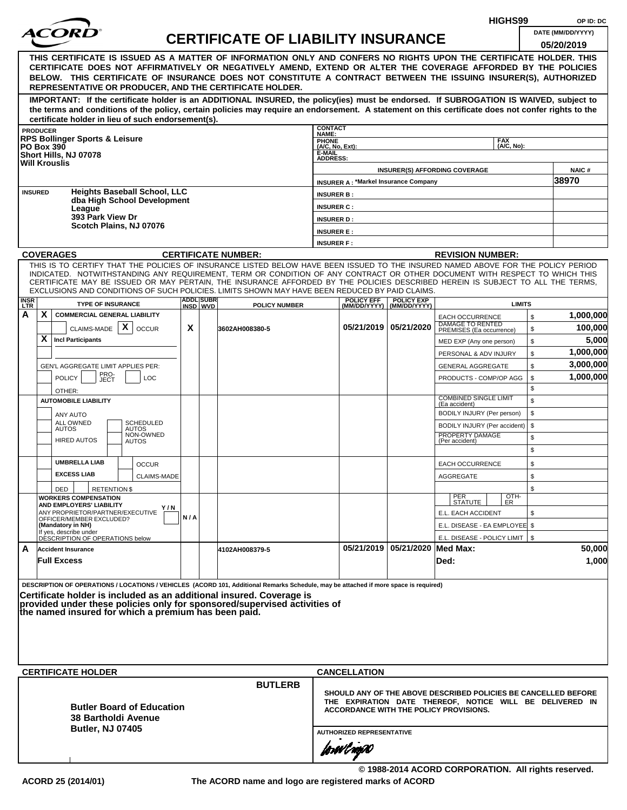|                    |                   |                                                                                                                                                                                                                                                              |     |                              |                                           |                                    |                                                                                                    |                                                |                                                   |            | HIGHS99       |          | OP ID: DC             |
|--------------------|-------------------|--------------------------------------------------------------------------------------------------------------------------------------------------------------------------------------------------------------------------------------------------------------|-----|------------------------------|-------------------------------------------|------------------------------------|----------------------------------------------------------------------------------------------------|------------------------------------------------|---------------------------------------------------|------------|---------------|----------|-----------------------|
|                    |                   | <i>ACOR</i>                                                                                                                                                                                                                                                  |     |                              | <b>CERTIFICATE OF LIABILITY INSURANCE</b> |                                    |                                                                                                    |                                                |                                                   |            |               |          | DATE (MM/DD/YYYY)     |
|                    |                   |                                                                                                                                                                                                                                                              |     |                              |                                           |                                    |                                                                                                    |                                                |                                                   |            |               |          | 05/20/2019            |
|                    |                   | THIS CERTIFICATE IS ISSUED AS A MATTER OF INFORMATION ONLY AND CONFERS NO RIGHTS UPON THE CERTIFICATE HOLDER. THIS                                                                                                                                           |     |                              |                                           |                                    |                                                                                                    |                                                |                                                   |            |               |          |                       |
|                    |                   | CERTIFICATE DOES NOT AFFIRMATIVELY OR NEGATIVELY AMEND, EXTEND OR ALTER THE COVERAGE AFFORDED BY THE POLICIES<br>BELOW. THIS CERTIFICATE OF INSURANCE DOES NOT CONSTITUTE A CONTRACT BETWEEN THE ISSUING INSURER(S), AUTHORIZED                              |     |                              |                                           |                                    |                                                                                                    |                                                |                                                   |            |               |          |                       |
|                    |                   | REPRESENTATIVE OR PRODUCER, AND THE CERTIFICATE HOLDER.                                                                                                                                                                                                      |     |                              |                                           |                                    |                                                                                                    |                                                |                                                   |            |               |          |                       |
|                    |                   | IMPORTANT: If the certificate holder is an ADDITIONAL INSURED, the policy(ies) must be endorsed. If SUBROGATION IS WAIVED, subject to                                                                                                                        |     |                              |                                           |                                    |                                                                                                    |                                                |                                                   |            |               |          |                       |
|                    |                   | the terms and conditions of the policy, certain policies may require an endorsement. A statement on this certificate does not confer rights to the                                                                                                           |     |                              |                                           |                                    |                                                                                                    |                                                |                                                   |            |               |          |                       |
|                    | <b>PRODUCER</b>   | certificate holder in lieu of such endorsement(s).                                                                                                                                                                                                           |     |                              |                                           | <b>CONTACT</b>                     |                                                                                                    |                                                |                                                   |            |               |          |                       |
|                    |                   | <b>RPS Bollinger Sports &amp; Leisure</b>                                                                                                                                                                                                                    |     |                              |                                           | NAME:                              |                                                                                                    |                                                |                                                   | <b>FAX</b> |               |          |                       |
|                    | <b>PO Box 390</b> | Short Hills, NJ 07078                                                                                                                                                                                                                                        |     |                              |                                           | PHONE<br>(A/C, No, Ext):<br>E-MAIL |                                                                                                    |                                                |                                                   |            | (A/C, No):    |          |                       |
|                    |                   | <b>Will Krouslis</b>                                                                                                                                                                                                                                         |     |                              |                                           | <b>ADDRESS:</b>                    |                                                                                                    |                                                |                                                   |            |               |          |                       |
|                    |                   |                                                                                                                                                                                                                                                              |     |                              |                                           |                                    | <b>INSURER A: *Markel Insurance Company</b>                                                        | <b>INSURER(S) AFFORDING COVERAGE</b>           |                                                   |            |               |          | <b>NAIC#</b><br>38970 |
| <b>INSURED</b>     |                   | <b>Heights Baseball School, LLC</b>                                                                                                                                                                                                                          |     |                              |                                           | <b>INSURER B:</b>                  |                                                                                                    |                                                |                                                   |            |               |          |                       |
|                    |                   | dba High School Development                                                                                                                                                                                                                                  |     |                              |                                           | <b>INSURER C:</b>                  |                                                                                                    |                                                |                                                   |            |               |          |                       |
|                    |                   | League<br>393 Park View Dr                                                                                                                                                                                                                                   |     |                              |                                           | <b>INSURER D:</b>                  |                                                                                                    |                                                |                                                   |            |               |          |                       |
|                    |                   | Scotch Plains, NJ 07076                                                                                                                                                                                                                                      |     |                              |                                           | <b>INSURER E:</b>                  |                                                                                                    |                                                |                                                   |            |               |          |                       |
|                    |                   |                                                                                                                                                                                                                                                              |     |                              |                                           | <b>INSURER F:</b>                  |                                                                                                    |                                                |                                                   |            |               |          |                       |
|                    |                   | <b>COVERAGES</b>                                                                                                                                                                                                                                             |     |                              | <b>CERTIFICATE NUMBER:</b>                |                                    |                                                                                                    |                                                | <b>REVISION NUMBER:</b>                           |            |               |          |                       |
|                    |                   | THIS IS TO CERTIFY THAT THE POLICIES OF INSURANCE LISTED BELOW HAVE BEEN ISSUED TO THE INSURED NAMED ABOVE FOR THE POLICY PERIOD                                                                                                                             |     |                              |                                           |                                    |                                                                                                    |                                                |                                                   |            |               |          |                       |
|                    |                   | INDICATED. NOTWITHSTANDING ANY REQUIREMENT, TERM OR CONDITION OF ANY CONTRACT OR OTHER DOCUMENT WITH RESPECT TO WHICH THIS<br>CERTIFICATE MAY BE ISSUED OR MAY PERTAIN, THE INSURANCE AFFORDED BY THE POLICIES DESCRIBED HEREIN IS SUBJECT TO ALL THE TERMS, |     |                              |                                           |                                    |                                                                                                    |                                                |                                                   |            |               |          |                       |
|                    |                   | EXCLUSIONS AND CONDITIONS OF SUCH POLICIES. LIMITS SHOWN MAY HAVE BEEN REDUCED BY PAID CLAIMS.                                                                                                                                                               |     |                              |                                           |                                    |                                                                                                    |                                                |                                                   |            |               |          |                       |
| <b>INSR</b><br>LTR |                   | <b>TYPE OF INSURANCE</b>                                                                                                                                                                                                                                     |     | <b>ADDL SUBR</b><br>INSD WVD | <b>POLICY NUMBER</b>                      |                                    | <b>POLICY EFF</b>                                                                                  | <b>POLICY EXP</b><br>(MM/DD/YYYY) (MM/DD/YYYY) |                                                   |            | <b>LIMITS</b> |          |                       |
| Α                  | X                 | <b>COMMERCIAL GENERAL LIABILITY</b>                                                                                                                                                                                                                          |     |                              |                                           |                                    |                                                                                                    |                                                | <b>EACH OCCURRENCE</b><br><b>DAMAGE TO RENTED</b> |            |               | \$       | 1,000,000             |
|                    |                   | CLAIMS-MADE $\mid X \mid$<br><b>OCCUR</b>                                                                                                                                                                                                                    | X   |                              | 3602AH008380-5                            |                                    |                                                                                                    | 05/21/2019 05/21/2020                          | PREMISES (Ea occurrence)                          |            |               | \$       | 100,000               |
|                    | X                 | <b>Incl Participants</b>                                                                                                                                                                                                                                     |     |                              |                                           |                                    |                                                                                                    |                                                | MED EXP (Any one person)                          |            |               | \$       | 5,000                 |
|                    |                   |                                                                                                                                                                                                                                                              |     |                              |                                           |                                    |                                                                                                    |                                                | PERSONAL & ADV INJURY                             |            |               | \$       | 1,000,000             |
|                    |                   | GEN'L AGGREGATE LIMIT APPLIES PER:                                                                                                                                                                                                                           |     |                              |                                           |                                    |                                                                                                    |                                                | <b>GENERAL AGGREGATE</b>                          |            |               | \$       | 3,000,000             |
|                    |                   | PRO-<br>JECT<br><b>POLICY</b><br><b>LOC</b>                                                                                                                                                                                                                  |     |                              |                                           |                                    |                                                                                                    |                                                | PRODUCTS - COMP/OP AGG                            |            |               | \$<br>\$ | 1,000,000             |
|                    |                   | OTHER:<br><b>AUTOMOBILE LIABILITY</b>                                                                                                                                                                                                                        |     |                              |                                           |                                    |                                                                                                    |                                                | <b>COMBINED SINGLE LIMIT</b>                      |            |               | \$       |                       |
|                    |                   |                                                                                                                                                                                                                                                              |     |                              |                                           |                                    |                                                                                                    |                                                | (Ea accident)<br>BODILY INJURY (Per person)       |            |               | \$       |                       |
|                    |                   | ANY AUTO<br><b>SCHEDULED</b><br>ALL OWNED                                                                                                                                                                                                                    |     |                              |                                           |                                    |                                                                                                    |                                                | BODILY INJURY (Per accident)                      |            |               | \$       |                       |
|                    |                   | <b>AUTOS</b><br>AUTOS<br>NON-OWNED<br><b>HIRED AUTOS</b>                                                                                                                                                                                                     |     |                              |                                           |                                    |                                                                                                    |                                                | PROPERTY DAMAGE<br>(Per accident)                 |            |               | \$       |                       |
|                    |                   | AUTOS                                                                                                                                                                                                                                                        |     |                              |                                           |                                    |                                                                                                    |                                                |                                                   |            |               | \$       |                       |
|                    |                   | <b>UMBRELLA LIAB</b><br><b>OCCUR</b>                                                                                                                                                                                                                         |     |                              |                                           |                                    |                                                                                                    |                                                | <b>EACH OCCURRENCE</b>                            |            |               | \$       |                       |
|                    |                   | <b>EXCESS LIAB</b><br><b>CLAIMS-MADE</b>                                                                                                                                                                                                                     |     |                              |                                           |                                    |                                                                                                    |                                                | AGGREGATE                                         |            |               | \$       |                       |
|                    |                   | DED<br><b>RETENTION \$</b>                                                                                                                                                                                                                                   |     |                              |                                           |                                    |                                                                                                    |                                                |                                                   |            |               | \$       |                       |
|                    |                   | <b>WORKERS COMPENSATION</b><br>AND EMPLOYERS' LIABILITY                                                                                                                                                                                                      |     |                              |                                           |                                    |                                                                                                    |                                                | PER<br>STATUTE                                    |            | OTH-<br>ER    |          |                       |
|                    |                   | Y/N<br>ANY PROPRIETOR/PARTNER/EXECUTIVE<br>OFFICER/MEMBER EXCLUDED?                                                                                                                                                                                          | N/A |                              |                                           |                                    |                                                                                                    |                                                | E.L. EACH ACCIDENT                                |            |               | \$       |                       |
|                    |                   | (Mandatory in NH)                                                                                                                                                                                                                                            |     |                              |                                           |                                    |                                                                                                    |                                                | E.L. DISEASE - EA EMPLOYEE \$                     |            |               |          |                       |
|                    |                   | If yes, describe under<br>DÉSCRIPTION OF OPERATIONS below                                                                                                                                                                                                    |     |                              |                                           |                                    |                                                                                                    |                                                | E.L. DISEASE - POLICY LIMIT   \$                  |            |               |          |                       |
| A                  |                   | <b>Accident Insurance</b>                                                                                                                                                                                                                                    |     |                              | 4102AH008379-5                            |                                    |                                                                                                    | 05/21/2019 05/21/2020 Med Max:                 |                                                   |            |               |          | 50,000                |
|                    |                   | <b>Full Excess</b>                                                                                                                                                                                                                                           |     |                              |                                           |                                    |                                                                                                    |                                                | Ded:                                              |            |               |          | 1,000                 |
|                    |                   |                                                                                                                                                                                                                                                              |     |                              |                                           |                                    |                                                                                                    |                                                |                                                   |            |               |          |                       |
|                    |                   | DESCRIPTION OF OPERATIONS / LOCATIONS / VEHICLES (ACORD 101, Additional Remarks Schedule, may be attached if more space is required)<br>Certificate holder is included as an additional insured. Coverage is                                                 |     |                              |                                           |                                    |                                                                                                    |                                                |                                                   |            |               |          |                       |
|                    |                   | provided under these policies only for sponsored/supervised activities of                                                                                                                                                                                    |     |                              |                                           |                                    |                                                                                                    |                                                |                                                   |            |               |          |                       |
|                    |                   | the named insured for which a premium has been paid.                                                                                                                                                                                                         |     |                              |                                           |                                    |                                                                                                    |                                                |                                                   |            |               |          |                       |
|                    |                   |                                                                                                                                                                                                                                                              |     |                              |                                           |                                    |                                                                                                    |                                                |                                                   |            |               |          |                       |
|                    |                   |                                                                                                                                                                                                                                                              |     |                              |                                           |                                    |                                                                                                    |                                                |                                                   |            |               |          |                       |
|                    |                   |                                                                                                                                                                                                                                                              |     |                              |                                           |                                    |                                                                                                    |                                                |                                                   |            |               |          |                       |
|                    |                   | <b>CERTIFICATE HOLDER</b>                                                                                                                                                                                                                                    |     |                              |                                           |                                    | <b>CANCELLATION</b>                                                                                |                                                |                                                   |            |               |          |                       |
|                    |                   |                                                                                                                                                                                                                                                              |     |                              | <b>BUTLERB</b>                            |                                    |                                                                                                    |                                                |                                                   |            |               |          |                       |
|                    |                   |                                                                                                                                                                                                                                                              |     |                              |                                           |                                    | SHOULD ANY OF THE ABOVE DESCRIBED POLICIES BE CANCELLED BEFORE                                     |                                                |                                                   |            |               |          |                       |
|                    |                   | <b>Butler Board of Education</b>                                                                                                                                                                                                                             |     |                              |                                           |                                    | THE EXPIRATION DATE THEREOF, NOTICE WILL BE DELIVERED IN<br>ACCORDANCE WITH THE POLICY PROVISIONS. |                                                |                                                   |            |               |          |                       |
|                    |                   | <b>38 Bartholdi Avenue</b>                                                                                                                                                                                                                                   |     |                              |                                           |                                    |                                                                                                    |                                                |                                                   |            |               |          |                       |
|                    |                   | <b>Butler, NJ 07405</b>                                                                                                                                                                                                                                      |     |                              |                                           |                                    | <b>AUTHORIZED REPRESENTATIVE</b>                                                                   |                                                |                                                   |            |               |          |                       |
|                    |                   |                                                                                                                                                                                                                                                              |     |                              |                                           |                                    | forwl now                                                                                          |                                                |                                                   |            |               |          |                       |
|                    |                   |                                                                                                                                                                                                                                                              |     |                              |                                           |                                    |                                                                                                    |                                                |                                                   |            |               |          |                       |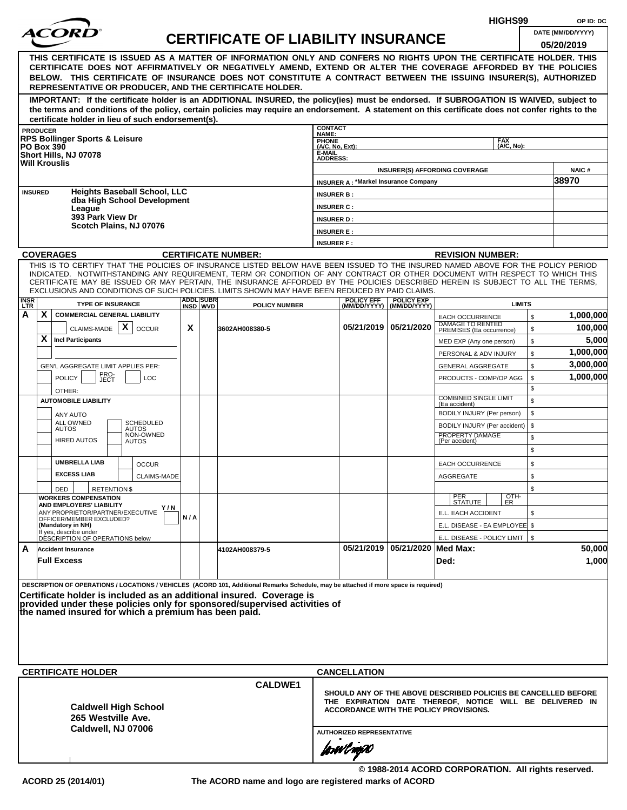|                  |                                                                                                                                                                                                                                                                |     |                  | HIGHS99                                   |                                   | OP ID: DC                                   |                                    |                                                                                                                            |                             |          |                      |
|------------------|----------------------------------------------------------------------------------------------------------------------------------------------------------------------------------------------------------------------------------------------------------------|-----|------------------|-------------------------------------------|-----------------------------------|---------------------------------------------|------------------------------------|----------------------------------------------------------------------------------------------------------------------------|-----------------------------|----------|----------------------|
|                  | <i>ACOR</i>                                                                                                                                                                                                                                                    |     |                  | <b>CERTIFICATE OF LIABILITY INSURANCE</b> |                                   |                                             |                                    |                                                                                                                            |                             |          | DATE (MM/DD/YYYY)    |
|                  |                                                                                                                                                                                                                                                                |     |                  |                                           |                                   |                                             |                                    |                                                                                                                            |                             |          | 05/20/2019           |
|                  | THIS CERTIFICATE IS ISSUED AS A MATTER OF INFORMATION ONLY AND CONFERS NO RIGHTS UPON THE CERTIFICATE HOLDER. THIS<br>CERTIFICATE DOES NOT AFFIRMATIVELY OR NEGATIVELY AMEND, EXTEND OR ALTER THE COVERAGE AFFORDED BY THE POLICIES                            |     |                  |                                           |                                   |                                             |                                    |                                                                                                                            |                             |          |                      |
|                  | BELOW. THIS CERTIFICATE OF INSURANCE DOES NOT CONSTITUTE A CONTRACT BETWEEN THE ISSUING INSURER(S), AUTHORIZED                                                                                                                                                 |     |                  |                                           |                                   |                                             |                                    |                                                                                                                            |                             |          |                      |
|                  | REPRESENTATIVE OR PRODUCER, AND THE CERTIFICATE HOLDER.                                                                                                                                                                                                        |     |                  |                                           |                                   |                                             |                                    |                                                                                                                            |                             |          |                      |
|                  | IMPORTANT: If the certificate holder is an ADDITIONAL INSURED, the policy(ies) must be endorsed. If SUBROGATION IS WAIVED, subject to                                                                                                                          |     |                  |                                           |                                   |                                             |                                    |                                                                                                                            |                             |          |                      |
|                  | the terms and conditions of the policy, certain policies may require an endorsement. A statement on this certificate does not confer rights to the<br>certificate holder in lieu of such endorsement(s).                                                       |     |                  |                                           |                                   |                                             |                                    |                                                                                                                            |                             |          |                      |
|                  | <b>PRODUCER</b>                                                                                                                                                                                                                                                |     |                  |                                           | <b>CONTACT</b>                    |                                             |                                    |                                                                                                                            |                             |          |                      |
|                  | <b>RPS Bollinger Sports &amp; Leisure</b>                                                                                                                                                                                                                      |     |                  |                                           | NAME:<br>PHONE<br>(A/C, No, Ext): |                                             |                                    |                                                                                                                            | <b>FAX</b><br>$(AVC, No)$ : |          |                      |
|                  | <b>PO Box 390</b><br>Short Hills, NJ 07078                                                                                                                                                                                                                     |     |                  |                                           | E-MAIL<br><b>ADDRESS:</b>         |                                             |                                    |                                                                                                                            |                             |          |                      |
|                  | <b>Will Krouslis</b>                                                                                                                                                                                                                                           |     |                  |                                           |                                   |                                             |                                    | <b>INSURER(S) AFFORDING COVERAGE</b>                                                                                       |                             |          | <b>NAIC#</b>         |
|                  |                                                                                                                                                                                                                                                                |     |                  |                                           |                                   | <b>INSURER A: *Markel Insurance Company</b> |                                    |                                                                                                                            |                             |          | 38970                |
|                  | <b>Heights Baseball School, LLC</b><br><b>INSURED</b>                                                                                                                                                                                                          |     |                  |                                           | <b>INSURER B:</b>                 |                                             |                                    |                                                                                                                            |                             |          |                      |
|                  | dba High School Development<br>League                                                                                                                                                                                                                          |     |                  |                                           | <b>INSURER C:</b>                 |                                             |                                    |                                                                                                                            |                             |          |                      |
|                  | 393 Park View Dr                                                                                                                                                                                                                                               |     |                  |                                           | <b>INSURER D:</b>                 |                                             |                                    |                                                                                                                            |                             |          |                      |
|                  | Scotch Plains, NJ 07076                                                                                                                                                                                                                                        |     |                  |                                           | <b>INSURER E:</b>                 |                                             |                                    |                                                                                                                            |                             |          |                      |
|                  |                                                                                                                                                                                                                                                                |     |                  |                                           | <b>INSURER F:</b>                 |                                             |                                    |                                                                                                                            |                             |          |                      |
|                  | <b>COVERAGES</b>                                                                                                                                                                                                                                               |     |                  | <b>CERTIFICATE NUMBER:</b>                |                                   |                                             |                                    | <b>REVISION NUMBER:</b>                                                                                                    |                             |          |                      |
|                  | THIS IS TO CERTIFY THAT THE POLICIES OF INSURANCE LISTED BELOW HAVE BEEN ISSUED TO THE INSURED NAMED ABOVE FOR THE POLICY PERIOD<br>INDICATED. NOTWITHSTANDING ANY REQUIREMENT, TERM OR CONDITION OF ANY CONTRACT OR OTHER DOCUMENT WITH RESPECT TO WHICH THIS |     |                  |                                           |                                   |                                             |                                    |                                                                                                                            |                             |          |                      |
|                  | CERTIFICATE MAY BE ISSUED OR MAY PERTAIN, THE INSURANCE AFFORDED BY THE POLICIES DESCRIBED HEREIN IS SUBJECT TO ALL THE TERMS,                                                                                                                                 |     |                  |                                           |                                   |                                             |                                    |                                                                                                                            |                             |          |                      |
|                  | EXCLUSIONS AND CONDITIONS OF SUCH POLICIES. LIMITS SHOWN MAY HAVE BEEN REDUCED BY PAID CLAIMS.                                                                                                                                                                 |     | <b>ADDL SUBR</b> |                                           |                                   | <b>POLICY EFF</b>                           | <b>POLICY EXP</b>                  |                                                                                                                            |                             |          |                      |
| INSR<br>LTR<br>A | <b>TYPE OF INSURANCE</b><br>X.<br><b>COMMERCIAL GENERAL LIABILITY</b>                                                                                                                                                                                          |     | INSD WVD         | <b>POLICY NUMBER</b>                      |                                   |                                             | (MM/DD/YYYY) (MM/DD/YYYY)          |                                                                                                                            | <b>LIMITS</b>               |          |                      |
|                  | $\mathsf{x}$                                                                                                                                                                                                                                                   | X   |                  |                                           |                                   |                                             | 05/21/2019 05/21/2020              | <b>EACH OCCURRENCE</b><br>DAMAGE TO RENTED<br>PREMISES (Ea occurrence)                                                     |                             | \$       | 1,000,000<br>100,000 |
|                  | CLAIMS-MADE<br><b>OCCUR</b><br>X.<br><b>Incl Participants</b>                                                                                                                                                                                                  |     |                  | 3602AH008380-5                            |                                   |                                             |                                    |                                                                                                                            |                             | \$<br>\$ | 5,000                |
|                  |                                                                                                                                                                                                                                                                |     |                  |                                           |                                   |                                             |                                    | MED EXP (Any one person)<br>PERSONAL & ADV INJURY                                                                          |                             | \$       | 1,000,000            |
|                  | GEN'L AGGREGATE LIMIT APPLIES PER:                                                                                                                                                                                                                             |     |                  |                                           |                                   |                                             |                                    | <b>GENERAL AGGREGATE</b>                                                                                                   |                             | \$       | 3,000,000            |
|                  | PRO-<br>JECT<br><b>POLICY</b><br><b>LOC</b>                                                                                                                                                                                                                    |     |                  |                                           |                                   |                                             |                                    | PRODUCTS - COMP/OP AGG                                                                                                     |                             | \$       | 1,000,000            |
|                  | OTHER:                                                                                                                                                                                                                                                         |     |                  |                                           |                                   |                                             |                                    |                                                                                                                            |                             | \$       |                      |
|                  | <b>AUTOMOBILE LIABILITY</b>                                                                                                                                                                                                                                    |     |                  |                                           |                                   |                                             |                                    | <b>COMBINED SINGLE LIMIT</b><br>(Ea accident)                                                                              |                             | \$       |                      |
|                  | ANY AUTO                                                                                                                                                                                                                                                       |     |                  |                                           |                                   |                                             |                                    | BODILY INJURY (Per person)                                                                                                 |                             | \$       |                      |
|                  | <b>ALL OWNED</b><br><b>SCHEDULED</b><br><b>AUTOS</b><br>AUTOS                                                                                                                                                                                                  |     |                  |                                           |                                   |                                             |                                    | BODILY INJURY (Per accident)                                                                                               |                             | \$       |                      |
|                  | NON-OWNED<br><b>HIRED AUTOS</b><br><b>AUTOS</b>                                                                                                                                                                                                                |     |                  |                                           |                                   |                                             |                                    | PROPERTY DAMAGE<br>(Per accident)                                                                                          |                             | \$       |                      |
|                  |                                                                                                                                                                                                                                                                |     |                  |                                           |                                   |                                             |                                    |                                                                                                                            |                             | \$       |                      |
|                  | <b>UMBRELLA LIAB</b><br><b>OCCUR</b>                                                                                                                                                                                                                           |     |                  |                                           |                                   |                                             |                                    | <b>EACH OCCURRENCE</b>                                                                                                     |                             | \$       |                      |
|                  | <b>EXCESS LIAB</b><br><b>CLAIMS-MADE</b>                                                                                                                                                                                                                       |     |                  |                                           |                                   |                                             |                                    | AGGREGATE                                                                                                                  |                             | \$       |                      |
|                  | DED<br><b>RETENTION \$</b>                                                                                                                                                                                                                                     |     |                  |                                           |                                   |                                             |                                    |                                                                                                                            |                             | \$       |                      |
|                  | <b>WORKERS COMPENSATION</b><br>AND EMPLOYERS' LIABILITY<br>Y / N                                                                                                                                                                                               |     |                  |                                           |                                   |                                             |                                    | PER<br>STATUTE                                                                                                             | OTH-<br>ER                  |          |                      |
|                  | ANY PROPRIETOR/PARTNER/EXECUTIVE<br>OFFICER/MEMBER EXCLUDED?                                                                                                                                                                                                   | N/A |                  |                                           |                                   |                                             |                                    | E.L. EACH ACCIDENT                                                                                                         |                             | \$       |                      |
|                  | (Mandatory in NH)<br>If yes, describe under                                                                                                                                                                                                                    |     |                  |                                           |                                   |                                             |                                    | E.L. DISEASE - EA EMPLOYEE \$                                                                                              |                             |          |                      |
|                  | DÉSCRIPTION OF OPERATIONS below                                                                                                                                                                                                                                |     |                  |                                           |                                   |                                             | 05/21/2019   05/21/2020   Med Max: | E.L. DISEASE - POLICY LIMIT   \$                                                                                           |                             |          | 50,000               |
| A                | <b>Accident Insurance</b><br><b>Full Excess</b>                                                                                                                                                                                                                |     |                  | 4102AH008379-5                            |                                   |                                             |                                    | Ded:                                                                                                                       |                             |          | 1,000                |
|                  |                                                                                                                                                                                                                                                                |     |                  |                                           |                                   |                                             |                                    |                                                                                                                            |                             |          |                      |
|                  | DESCRIPTION OF OPERATIONS / LOCATIONS / VEHICLES (ACORD 101, Additional Remarks Schedule, may be attached if more space is required)                                                                                                                           |     |                  |                                           |                                   |                                             |                                    |                                                                                                                            |                             |          |                      |
|                  | Certificate holder is included as an additional insured. Coverage is                                                                                                                                                                                           |     |                  |                                           |                                   |                                             |                                    |                                                                                                                            |                             |          |                      |
|                  | provided under these policies only for sponsored/supervised activities of<br>the named insured for which a premium has been paid.                                                                                                                              |     |                  |                                           |                                   |                                             |                                    |                                                                                                                            |                             |          |                      |
|                  |                                                                                                                                                                                                                                                                |     |                  |                                           |                                   |                                             |                                    |                                                                                                                            |                             |          |                      |
|                  |                                                                                                                                                                                                                                                                |     |                  |                                           |                                   |                                             |                                    |                                                                                                                            |                             |          |                      |
|                  |                                                                                                                                                                                                                                                                |     |                  |                                           |                                   |                                             |                                    |                                                                                                                            |                             |          |                      |
|                  |                                                                                                                                                                                                                                                                |     |                  |                                           |                                   |                                             |                                    |                                                                                                                            |                             |          |                      |
|                  | <b>CERTIFICATE HOLDER</b>                                                                                                                                                                                                                                      |     |                  |                                           |                                   | <b>CANCELLATION</b>                         |                                    |                                                                                                                            |                             |          |                      |
|                  |                                                                                                                                                                                                                                                                |     |                  | <b>CALDWE1</b>                            |                                   |                                             |                                    |                                                                                                                            |                             |          |                      |
|                  |                                                                                                                                                                                                                                                                |     |                  |                                           |                                   |                                             |                                    | SHOULD ANY OF THE ABOVE DESCRIBED POLICIES BE CANCELLED BEFORE<br>THE EXPIRATION DATE THEREOF, NOTICE WILL BE DELIVERED IN |                             |          |                      |
|                  | <b>Caldwell High School</b><br>265 Westville Ave.                                                                                                                                                                                                              |     |                  |                                           |                                   |                                             |                                    | ACCORDANCE WITH THE POLICY PROVISIONS.                                                                                     |                             |          |                      |
|                  | Caldwell, NJ 07006                                                                                                                                                                                                                                             |     |                  |                                           |                                   |                                             |                                    |                                                                                                                            |                             |          |                      |
|                  |                                                                                                                                                                                                                                                                |     |                  |                                           |                                   | <b>AUTHORIZED REPRESENTATIVE</b>            |                                    |                                                                                                                            |                             |          |                      |
|                  |                                                                                                                                                                                                                                                                |     |                  |                                           |                                   | forwl now                                   |                                    |                                                                                                                            |                             |          |                      |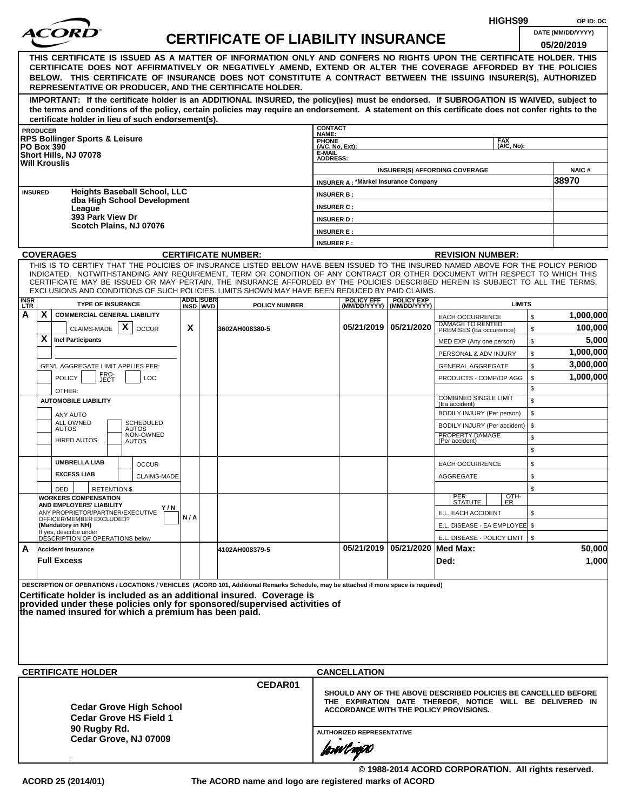|                         |                                                                                                                                                                                                                                                                                                                                                                                                                                                                                                    |     |                   |                                           |                                                                       |                                               |                                    |                                                                                                                            | HIGHS99                  |              | OP ID: DC             |
|-------------------------|----------------------------------------------------------------------------------------------------------------------------------------------------------------------------------------------------------------------------------------------------------------------------------------------------------------------------------------------------------------------------------------------------------------------------------------------------------------------------------------------------|-----|-------------------|-------------------------------------------|-----------------------------------------------------------------------|-----------------------------------------------|------------------------------------|----------------------------------------------------------------------------------------------------------------------------|--------------------------|--------------|-----------------------|
|                         |                                                                                                                                                                                                                                                                                                                                                                                                                                                                                                    |     |                   | <b>CERTIFICATE OF LIABILITY INSURANCE</b> |                                                                       |                                               |                                    |                                                                                                                            |                          |              | DATE (MM/DD/YYYY)     |
|                         | THIS CERTIFICATE IS ISSUED AS A MATTER OF INFORMATION ONLY AND CONFERS NO RIGHTS UPON THE CERTIFICATE HOLDER. THIS<br>CERTIFICATE DOES NOT AFFIRMATIVELY OR NEGATIVELY AMEND, EXTEND OR ALTER THE COVERAGE AFFORDED BY THE POLICIES<br>BELOW. THIS CERTIFICATE OF INSURANCE DOES NOT CONSTITUTE A CONTRACT BETWEEN THE ISSUING INSURER(S), AUTHORIZED<br>REPRESENTATIVE OR PRODUCER, AND THE CERTIFICATE HOLDER.                                                                                   |     |                   |                                           |                                                                       |                                               |                                    |                                                                                                                            |                          |              | 05/20/2019            |
|                         | IMPORTANT: If the certificate holder is an ADDITIONAL INSURED, the policy(ies) must be endorsed. If SUBROGATION IS WAIVED, subject to<br>the terms and conditions of the policy, certain policies may require an endorsement. A statement on this certificate does not confer rights to the                                                                                                                                                                                                        |     |                   |                                           |                                                                       |                                               |                                    |                                                                                                                            |                          |              |                       |
|                         | certificate holder in lieu of such endorsement(s).<br><b>PRODUCER</b>                                                                                                                                                                                                                                                                                                                                                                                                                              |     |                   |                                           | <b>CONTACT</b>                                                        |                                               |                                    |                                                                                                                            |                          |              |                       |
|                         | <b>RPS Bollinger Sports &amp; Leisure</b><br><b>PO Box 390</b><br>Short Hills, NJ 07078<br><b>Will Krouslis</b>                                                                                                                                                                                                                                                                                                                                                                                    |     |                   |                                           | NAME:<br><b>PHONE</b><br>(A/C, No, Ext):<br>E-MAIL<br><b>ADDRESS:</b> |                                               |                                    |                                                                                                                            | <b>FAX</b><br>(A/C. No): |              |                       |
|                         |                                                                                                                                                                                                                                                                                                                                                                                                                                                                                                    |     |                   |                                           |                                                                       |                                               |                                    | <b>INSURER(S) AFFORDING COVERAGE</b>                                                                                       |                          |              | <b>NAIC#</b><br>38970 |
| <b>INSURED</b>          | <b>Heights Baseball School, LLC</b><br>dba High School Development                                                                                                                                                                                                                                                                                                                                                                                                                                 |     |                   |                                           | <b>INSURER B:</b>                                                     | <b>INSURER A: *Markel Insurance Company</b>   |                                    |                                                                                                                            |                          |              |                       |
|                         | League<br>393 Park View Dr                                                                                                                                                                                                                                                                                                                                                                                                                                                                         |     |                   |                                           | <b>INSURER C:</b><br><b>INSURER D:</b>                                |                                               |                                    |                                                                                                                            |                          |              |                       |
|                         | Scotch Plains, NJ 07076                                                                                                                                                                                                                                                                                                                                                                                                                                                                            |     |                   |                                           | <b>INSURER E:</b>                                                     |                                               |                                    |                                                                                                                            |                          |              |                       |
|                         |                                                                                                                                                                                                                                                                                                                                                                                                                                                                                                    |     |                   |                                           | <b>INSURER F:</b>                                                     |                                               |                                    |                                                                                                                            |                          |              |                       |
|                         | <b>COVERAGES</b>                                                                                                                                                                                                                                                                                                                                                                                                                                                                                   |     |                   | <b>CERTIFICATE NUMBER:</b>                |                                                                       |                                               |                                    | <b>REVISION NUMBER:</b>                                                                                                    |                          |              |                       |
|                         | THIS IS TO CERTIFY THAT THE POLICIES OF INSURANCE LISTED BELOW HAVE BEEN ISSUED TO THE INSURED NAMED ABOVE FOR THE POLICY PERIOD<br>INDICATED. NOTWITHSTANDING ANY REQUIREMENT, TERM OR CONDITION OF ANY CONTRACT OR OTHER DOCUMENT WITH RESPECT TO WHICH THIS<br>CERTIFICATE MAY BE ISSUED OR MAY PERTAIN, THE INSURANCE AFFORDED BY THE POLICIES DESCRIBED HEREIN IS SUBJECT TO ALL THE TERMS.<br>EXCLUSIONS AND CONDITIONS OF SUCH POLICIES. LIMITS SHOWN MAY HAVE BEEN REDUCED BY PAID CLAIMS. |     | <b>ADDLISUBRI</b> |                                           |                                                                       | <b>POLICY EFF</b>                             | <b>POLICY EXP</b>                  |                                                                                                                            |                          |              |                       |
| <b>INSR</b><br>LTR<br>А | <b>TYPE OF INSURANCE</b><br>X<br><b>COMMERCIAL GENERAL LIABILITY</b>                                                                                                                                                                                                                                                                                                                                                                                                                               |     | INSD WVD          | <b>POLICY NUMBER</b>                      |                                                                       |                                               | (MM/DD/YYYY)   (MM/DD/YYYY)        |                                                                                                                            | <b>LIMITS</b>            | $\mathbb{S}$ | 1,000,000             |
|                         | CLAIMS-MADE $\mathbf{X}$<br><b>OCCUR</b><br>X<br><b>Incl Participants</b>                                                                                                                                                                                                                                                                                                                                                                                                                          | X   |                   | 3602AH008380-5                            |                                                                       |                                               | 05/21/2019   05/21/2020            | <b>EACH OCCURRENCE</b><br>DAMAGE TO RENTED<br>PREMISES (Ea occurrence)                                                     |                          | \$           | 100,000<br>5,000      |
|                         |                                                                                                                                                                                                                                                                                                                                                                                                                                                                                                    |     |                   |                                           |                                                                       |                                               |                                    | MED EXP (Any one person)<br>PERSONAL & ADV INJURY                                                                          |                          | \$<br>\$     | 1,000,000             |
|                         | GEN'L AGGREGATE LIMIT APPLIES PER:                                                                                                                                                                                                                                                                                                                                                                                                                                                                 |     |                   |                                           |                                                                       |                                               |                                    | <b>GENERAL AGGREGATE</b>                                                                                                   |                          | \$           | 3,000,000             |
|                         | PRO-<br>JECT<br><b>POLICY</b><br><b>LOC</b>                                                                                                                                                                                                                                                                                                                                                                                                                                                        |     |                   |                                           |                                                                       |                                               |                                    | PRODUCTS - COMP/OP AGG                                                                                                     |                          | \$           | 1,000,000             |
|                         | OTHER:                                                                                                                                                                                                                                                                                                                                                                                                                                                                                             |     |                   |                                           |                                                                       |                                               |                                    | <b>COMBINED SINGLE LIMIT</b>                                                                                               |                          | \$           |                       |
|                         | <b>AUTOMOBILE LIABILITY</b>                                                                                                                                                                                                                                                                                                                                                                                                                                                                        |     |                   |                                           |                                                                       |                                               |                                    | (Ea accident)                                                                                                              |                          | \$           |                       |
|                         | ANY AUTO<br>ALL OWNED<br><b>SCHEDULED</b>                                                                                                                                                                                                                                                                                                                                                                                                                                                          |     |                   |                                           |                                                                       |                                               |                                    | BODILY INJURY (Per person)<br>BODILY INJURY (Per accident)                                                                 |                          | \$<br>\$     |                       |
|                         | <b>AUTOS</b><br><b>AUTOS</b><br>NON-OWNED<br><b>HIRED AUTOS</b><br><b>AUTOS</b>                                                                                                                                                                                                                                                                                                                                                                                                                    |     |                   |                                           |                                                                       |                                               |                                    | PROPERTY DAMAGE<br>(Per accident)                                                                                          |                          | \$<br>\$     |                       |
|                         | <b>UMBRELLA LIAB</b><br><b>OCCUR</b>                                                                                                                                                                                                                                                                                                                                                                                                                                                               |     |                   |                                           |                                                                       |                                               |                                    | <b>EACH OCCURRENCE</b>                                                                                                     |                          | \$           |                       |
|                         | <b>EXCESS LIAB</b><br>CLAIMS-MADE                                                                                                                                                                                                                                                                                                                                                                                                                                                                  |     |                   |                                           |                                                                       |                                               |                                    | <b>AGGREGATE</b>                                                                                                           |                          | \$           |                       |
|                         | <b>RETENTION \$</b><br>DED                                                                                                                                                                                                                                                                                                                                                                                                                                                                         |     |                   |                                           |                                                                       |                                               |                                    |                                                                                                                            |                          | \$           |                       |
|                         | <b>WORKERS COMPENSATION</b><br>AND EMPLOYERS' LIABILITY<br>Y/N                                                                                                                                                                                                                                                                                                                                                                                                                                     |     |                   |                                           |                                                                       |                                               |                                    | PER<br>STATUTE                                                                                                             | $\frac{[OTH]}{ER}$       |              |                       |
|                         | ANY PROPRIETOR/PARTNER/EXECUTIVE<br>OFFICER/MEMBER EXCLUDED?                                                                                                                                                                                                                                                                                                                                                                                                                                       | N/A |                   |                                           |                                                                       |                                               |                                    | E.L. EACH ACCIDENT                                                                                                         |                          | \$           |                       |
|                         | (Mandatory in NH)<br>If yes, describe under<br>DESCRIPTION OF OPERATIONS below                                                                                                                                                                                                                                                                                                                                                                                                                     |     |                   |                                           |                                                                       |                                               |                                    | E.L. DISEASE - EA EMPLOYEE \$                                                                                              |                          |              |                       |
|                         |                                                                                                                                                                                                                                                                                                                                                                                                                                                                                                    |     |                   |                                           |                                                                       |                                               | 05/21/2019   05/21/2020   Med Max: | E.L. DISEASE - POLICY LIMIT   \$                                                                                           |                          |              | 50,000                |
| A                       | <b>Accident Insurance</b><br><b>Full Excess</b>                                                                                                                                                                                                                                                                                                                                                                                                                                                    |     |                   | 4102AH008379-5                            |                                                                       |                                               |                                    | Ded:                                                                                                                       |                          |              | 1,000                 |
|                         | DESCRIPTION OF OPERATIONS / LOCATIONS / VEHICLES (ACORD 101, Additional Remarks Schedule, may be attached if more space is required)<br>Certificate holder is included as an additional insured. Coverage is<br>provided under these policies only for sponsored/supervised activities of<br>the named insured for which a premium has been paid.                                                                                                                                                  |     |                   |                                           |                                                                       |                                               |                                    |                                                                                                                            |                          |              |                       |
|                         |                                                                                                                                                                                                                                                                                                                                                                                                                                                                                                    |     |                   |                                           |                                                                       |                                               |                                    |                                                                                                                            |                          |              |                       |
|                         | <b>CERTIFICATE HOLDER</b>                                                                                                                                                                                                                                                                                                                                                                                                                                                                          |     |                   | CEDAR01                                   |                                                                       | <b>CANCELLATION</b>                           |                                    | SHOULD ANY OF THE ABOVE DESCRIBED POLICIES BE CANCELLED BEFORE<br>THE EXPIRATION DATE THEREOF, NOTICE WILL BE DELIVERED IN |                          |              |                       |
|                         | <b>Cedar Grove High School</b><br><b>Cedar Grove HS Field 1</b>                                                                                                                                                                                                                                                                                                                                                                                                                                    |     |                   |                                           |                                                                       |                                               |                                    | <b>ACCORDANCE WITH THE POLICY PROVISIONS.</b>                                                                              |                          |              |                       |
|                         | 90 Rugby Rd.<br>Cedar Grove, NJ 07009                                                                                                                                                                                                                                                                                                                                                                                                                                                              |     |                   |                                           |                                                                       | <b>AUTHORIZED REPRESENTATIVE</b><br>forwl now |                                    |                                                                                                                            |                          |              |                       |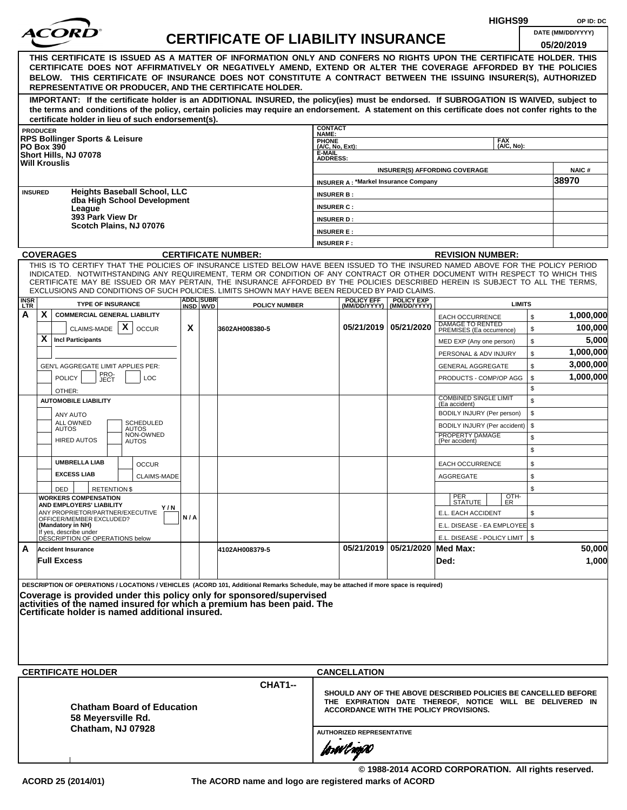|                    |                 |                                                                                                                                                                                                                                                              |     |                               |                                           |                                        |                                             |                                                  |                                                                | HIGHS99            |              | OP ID: DC             |
|--------------------|-----------------|--------------------------------------------------------------------------------------------------------------------------------------------------------------------------------------------------------------------------------------------------------------|-----|-------------------------------|-------------------------------------------|----------------------------------------|---------------------------------------------|--------------------------------------------------|----------------------------------------------------------------|--------------------|--------------|-----------------------|
|                    |                 |                                                                                                                                                                                                                                                              |     |                               | <b>CERTIFICATE OF LIABILITY INSURANCE</b> |                                        |                                             |                                                  |                                                                |                    |              | DATE (MM/DD/YYYY)     |
|                    |                 |                                                                                                                                                                                                                                                              |     |                               |                                           |                                        |                                             |                                                  |                                                                |                    |              | 05/20/2019            |
|                    |                 | THIS CERTIFICATE IS ISSUED AS A MATTER OF INFORMATION ONLY AND CONFERS NO RIGHTS UPON THE CERTIFICATE HOLDER. THIS<br>CERTIFICATE DOES NOT AFFIRMATIVELY OR NEGATIVELY AMEND, EXTEND OR ALTER THE COVERAGE AFFORDED BY THE POLICIES                          |     |                               |                                           |                                        |                                             |                                                  |                                                                |                    |              |                       |
|                    |                 | BELOW. THIS CERTIFICATE OF INSURANCE DOES NOT CONSTITUTE A CONTRACT BETWEEN THE ISSUING INSURER(S), AUTHORIZED                                                                                                                                               |     |                               |                                           |                                        |                                             |                                                  |                                                                |                    |              |                       |
|                    |                 | REPRESENTATIVE OR PRODUCER, AND THE CERTIFICATE HOLDER.                                                                                                                                                                                                      |     |                               |                                           |                                        |                                             |                                                  |                                                                |                    |              |                       |
|                    |                 | IMPORTANT: If the certificate holder is an ADDITIONAL INSURED, the policy(ies) must be endorsed. If SUBROGATION IS WAIVED, subject to                                                                                                                        |     |                               |                                           |                                        |                                             |                                                  |                                                                |                    |              |                       |
|                    |                 | the terms and conditions of the policy, certain policies may require an endorsement. A statement on this certificate does not confer rights to the                                                                                                           |     |                               |                                           |                                        |                                             |                                                  |                                                                |                    |              |                       |
|                    | <b>PRODUCER</b> | certificate holder in lieu of such endorsement(s).                                                                                                                                                                                                           |     |                               |                                           | <b>CONTACT</b>                         |                                             |                                                  |                                                                |                    |              |                       |
|                    |                 | <b>RPS Bollinger Sports &amp; Leisure</b>                                                                                                                                                                                                                    |     |                               |                                           | NAME:<br><b>PHONE</b>                  |                                             |                                                  |                                                                | <b>FAX</b>         |              |                       |
|                    |                 | <b>PO Box 390</b><br>Short Hills, NJ 07078                                                                                                                                                                                                                   |     |                               |                                           | (A/C, No, Ext):<br>E-MAIL              |                                             |                                                  |                                                                | (A/C. No):         |              |                       |
|                    |                 | <b>Will Krouslis</b>                                                                                                                                                                                                                                         |     |                               |                                           | <b>ADDRESS:</b>                        |                                             |                                                  |                                                                |                    |              |                       |
|                    |                 |                                                                                                                                                                                                                                                              |     |                               |                                           |                                        | <b>INSURER A: *Markel Insurance Company</b> |                                                  | <b>INSURER(S) AFFORDING COVERAGE</b>                           |                    |              | <b>NAIC#</b><br>38970 |
|                    | <b>INSURED</b>  | <b>Heights Baseball School, LLC</b>                                                                                                                                                                                                                          |     |                               |                                           |                                        |                                             |                                                  |                                                                |                    |              |                       |
|                    |                 | dba High School Development                                                                                                                                                                                                                                  |     |                               |                                           | <b>INSURER B:</b><br><b>INSURER C:</b> |                                             |                                                  |                                                                |                    |              |                       |
|                    |                 | League<br>393 Park View Dr                                                                                                                                                                                                                                   |     |                               |                                           | <b>INSURER D:</b>                      |                                             |                                                  |                                                                |                    |              |                       |
|                    |                 | Scotch Plains, NJ 07076                                                                                                                                                                                                                                      |     |                               |                                           | <b>INSURER E:</b>                      |                                             |                                                  |                                                                |                    |              |                       |
|                    |                 |                                                                                                                                                                                                                                                              |     |                               |                                           | <b>INSURER F:</b>                      |                                             |                                                  |                                                                |                    |              |                       |
|                    |                 | <b>COVERAGES</b>                                                                                                                                                                                                                                             |     |                               | <b>CERTIFICATE NUMBER:</b>                |                                        |                                             |                                                  | <b>REVISION NUMBER:</b>                                        |                    |              |                       |
|                    |                 | THIS IS TO CERTIFY THAT THE POLICIES OF INSURANCE LISTED BELOW HAVE BEEN ISSUED TO THE INSURED NAMED ABOVE FOR THE POLICY PERIOD                                                                                                                             |     |                               |                                           |                                        |                                             |                                                  |                                                                |                    |              |                       |
|                    |                 | INDICATED. NOTWITHSTANDING ANY REQUIREMENT, TERM OR CONDITION OF ANY CONTRACT OR OTHER DOCUMENT WITH RESPECT TO WHICH THIS<br>CERTIFICATE MAY BE ISSUED OR MAY PERTAIN, THE INSURANCE AFFORDED BY THE POLICIES DESCRIBED HEREIN IS SUBJECT TO ALL THE TERMS. |     |                               |                                           |                                        |                                             |                                                  |                                                                |                    |              |                       |
|                    |                 | EXCLUSIONS AND CONDITIONS OF SUCH POLICIES. LIMITS SHOWN MAY HAVE BEEN REDUCED BY PAID CLAIMS.                                                                                                                                                               |     |                               |                                           |                                        |                                             |                                                  |                                                                |                    |              |                       |
| <b>INSR</b><br>LTR |                 | <b>TYPE OF INSURANCE</b>                                                                                                                                                                                                                                     |     | <b>ADDLISUBRI</b><br>INSD WVD | <b>POLICY NUMBER</b>                      |                                        | <b>POLICY EFF</b>                           | <b>POLICY EXP</b><br>(MM/DD/YYYY)   (MM/DD/YYYY) |                                                                | <b>LIMITS</b>      |              |                       |
| А                  | X               | <b>COMMERCIAL GENERAL LIABILITY</b>                                                                                                                                                                                                                          |     |                               |                                           |                                        |                                             |                                                  | <b>EACH OCCURRENCE</b>                                         |                    | $\mathbb{S}$ | 1,000,000             |
|                    |                 | CLAIMS-MADE $\mathbf{X}$<br><b>OCCUR</b>                                                                                                                                                                                                                     | X   |                               | 3602AH008380-5                            |                                        |                                             | 05/21/2019   05/21/2020                          | DAMAGE TO RENTED<br>PREMISES (Ea occurrence)                   |                    | \$           | 100,000               |
|                    | X               | <b>Incl Participants</b>                                                                                                                                                                                                                                     |     |                               |                                           |                                        |                                             |                                                  | MED EXP (Any one person)                                       |                    | \$           | 5,000                 |
|                    |                 |                                                                                                                                                                                                                                                              |     |                               |                                           |                                        |                                             |                                                  | PERSONAL & ADV INJURY                                          |                    | \$           | 1,000,000             |
|                    |                 | GEN'L AGGREGATE LIMIT APPLIES PER:                                                                                                                                                                                                                           |     |                               |                                           |                                        |                                             |                                                  | <b>GENERAL AGGREGATE</b>                                       |                    | \$           | 3,000,000             |
|                    |                 | PRO-<br>JECT<br><b>POLICY</b><br><b>LOC</b>                                                                                                                                                                                                                  |     |                               |                                           |                                        |                                             |                                                  | PRODUCTS - COMP/OP AGG                                         |                    | \$           | 1,000,000             |
|                    |                 | OTHER:                                                                                                                                                                                                                                                       |     |                               |                                           |                                        |                                             |                                                  | <b>COMBINED SINGLE LIMIT</b>                                   |                    | \$           |                       |
|                    |                 | <b>AUTOMOBILE LIABILITY</b>                                                                                                                                                                                                                                  |     |                               |                                           |                                        |                                             |                                                  | (Ea accident)                                                  |                    | \$           |                       |
|                    |                 | ANY AUTO<br>ALL OWNED<br><b>SCHEDULED</b>                                                                                                                                                                                                                    |     |                               |                                           |                                        |                                             |                                                  | BODILY INJURY (Per person)                                     |                    | \$<br>\$     |                       |
|                    |                 | <b>AUTOS</b><br><b>AUTOS</b><br>NON-OWNED                                                                                                                                                                                                                    |     |                               |                                           |                                        |                                             |                                                  | BODILY INJURY (Per accident)<br>PROPERTY DAMAGE                |                    | \$           |                       |
|                    |                 | <b>HIRED AUTOS</b><br><b>AUTOS</b>                                                                                                                                                                                                                           |     |                               |                                           |                                        |                                             |                                                  | (Per accident)                                                 |                    | \$           |                       |
|                    |                 | <b>UMBRELLA LIAB</b>                                                                                                                                                                                                                                         |     |                               |                                           |                                        |                                             |                                                  |                                                                |                    | \$           |                       |
|                    |                 | <b>OCCUR</b><br><b>EXCESS LIAB</b><br><b>CLAIMS-MADE</b>                                                                                                                                                                                                     |     |                               |                                           |                                        |                                             |                                                  | <b>EACH OCCURRENCE</b><br><b>AGGREGATE</b>                     |                    | \$           |                       |
|                    |                 | DED<br><b>RETENTION \$</b>                                                                                                                                                                                                                                   |     |                               |                                           |                                        |                                             |                                                  |                                                                |                    | \$           |                       |
|                    |                 | <b>WORKERS COMPENSATION</b>                                                                                                                                                                                                                                  |     |                               |                                           |                                        |                                             |                                                  | PER<br>STATUTE                                                 | $\frac{[OTH]}{ER}$ |              |                       |
|                    |                 | AND EMPLOYERS' LIABILITY<br>ANY PROPRIETOR/PARTNER/EXECUTIVE                                                                                                                                                                                                 | Y/N |                               |                                           |                                        |                                             |                                                  | E.L. EACH ACCIDENT                                             |                    | \$           |                       |
|                    |                 | OFFICER/MEMBER EXCLUDED?<br>(Mandatory in NH)                                                                                                                                                                                                                | N/A |                               |                                           |                                        |                                             |                                                  | E.L. DISEASE - EA EMPLOYEE \$                                  |                    |              |                       |
|                    |                 | If yes, describe under<br>DESCRIPTION OF OPERATIONS below                                                                                                                                                                                                    |     |                               |                                           |                                        |                                             |                                                  | E.L. DISEASE - POLICY LIMIT   \$                               |                    |              |                       |
| A                  |                 | <b>Accident Insurance</b>                                                                                                                                                                                                                                    |     |                               | 4102AH008379-5                            |                                        |                                             | 05/21/2019 05/21/2020 Med Max:                   |                                                                |                    |              | 50,000                |
|                    |                 | <b>Full Excess</b>                                                                                                                                                                                                                                           |     |                               |                                           |                                        |                                             |                                                  | Ded:                                                           |                    |              | 1,000                 |
|                    |                 |                                                                                                                                                                                                                                                              |     |                               |                                           |                                        |                                             |                                                  |                                                                |                    |              |                       |
|                    |                 | DESCRIPTION OF OPERATIONS / LOCATIONS / VEHICLES (ACORD 101, Additional Remarks Schedule, may be attached if more space is required)                                                                                                                         |     |                               |                                           |                                        |                                             |                                                  |                                                                |                    |              |                       |
|                    |                 | Coverage is provided under this policy only for sponsored/supervised<br>activities of the named insured for which a premium has been paid. The                                                                                                               |     |                               |                                           |                                        |                                             |                                                  |                                                                |                    |              |                       |
|                    |                 | Certificate holder is named additional insured.                                                                                                                                                                                                              |     |                               |                                           |                                        |                                             |                                                  |                                                                |                    |              |                       |
|                    |                 |                                                                                                                                                                                                                                                              |     |                               |                                           |                                        |                                             |                                                  |                                                                |                    |              |                       |
|                    |                 |                                                                                                                                                                                                                                                              |     |                               |                                           |                                        |                                             |                                                  |                                                                |                    |              |                       |
|                    |                 |                                                                                                                                                                                                                                                              |     |                               |                                           |                                        |                                             |                                                  |                                                                |                    |              |                       |
|                    |                 |                                                                                                                                                                                                                                                              |     |                               |                                           |                                        |                                             |                                                  |                                                                |                    |              |                       |
|                    |                 | <b>CERTIFICATE HOLDER</b>                                                                                                                                                                                                                                    |     |                               |                                           |                                        | <b>CANCELLATION</b>                         |                                                  |                                                                |                    |              |                       |
|                    |                 |                                                                                                                                                                                                                                                              |     |                               | CHAT1--                                   |                                        |                                             |                                                  | SHOULD ANY OF THE ABOVE DESCRIBED POLICIES BE CANCELLED BEFORE |                    |              |                       |
|                    |                 |                                                                                                                                                                                                                                                              |     |                               |                                           |                                        |                                             |                                                  | THE EXPIRATION DATE THEREOF, NOTICE WILL BE DELIVERED IN       |                    |              |                       |
|                    |                 | <b>Chatham Board of Education</b><br>58 Meyersville Rd.                                                                                                                                                                                                      |     |                               |                                           |                                        |                                             |                                                  | <b>ACCORDANCE WITH THE POLICY PROVISIONS.</b>                  |                    |              |                       |
|                    |                 | Chatham, NJ 07928                                                                                                                                                                                                                                            |     |                               |                                           |                                        |                                             |                                                  |                                                                |                    |              |                       |
|                    |                 |                                                                                                                                                                                                                                                              |     |                               |                                           |                                        | <b>AUTHORIZED REPRESENTATIVE</b>            |                                                  |                                                                |                    |              |                       |
|                    |                 |                                                                                                                                                                                                                                                              |     |                               |                                           |                                        | forwl now                                   |                                                  |                                                                |                    |              |                       |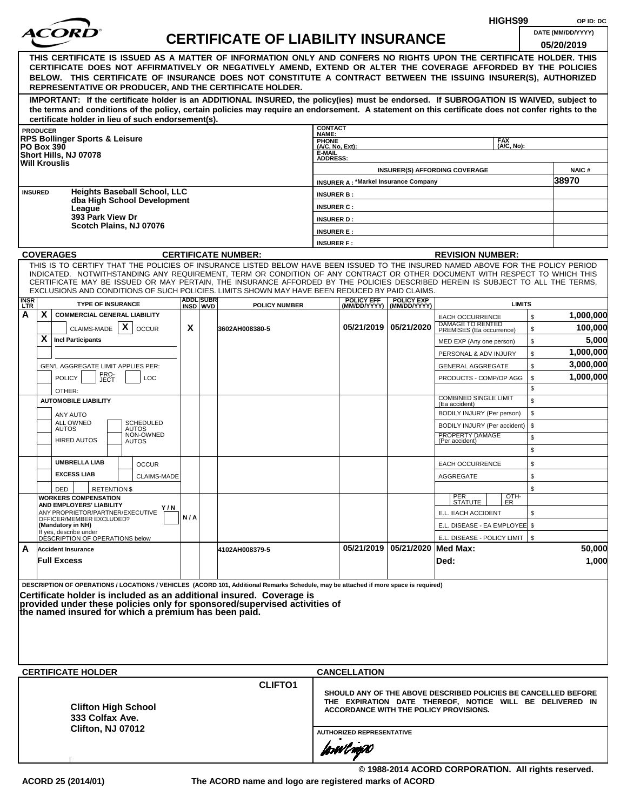|                         |                                                                                                                                                                                                                                                                |     |                  |                                           |                              |                                             |                         |                                                                        | HIGHS99       |          | OP ID: DC            |
|-------------------------|----------------------------------------------------------------------------------------------------------------------------------------------------------------------------------------------------------------------------------------------------------------|-----|------------------|-------------------------------------------|------------------------------|---------------------------------------------|-------------------------|------------------------------------------------------------------------|---------------|----------|----------------------|
|                         |                                                                                                                                                                                                                                                                |     |                  | <b>CERTIFICATE OF LIABILITY INSURANCE</b> |                              |                                             |                         |                                                                        |               |          | DATE (MM/DD/YYYY)    |
|                         |                                                                                                                                                                                                                                                                |     |                  |                                           |                              |                                             |                         |                                                                        |               |          | 05/20/2019           |
|                         | THIS CERTIFICATE IS ISSUED AS A MATTER OF INFORMATION ONLY AND CONFERS NO RIGHTS UPON THE CERTIFICATE HOLDER. THIS<br>CERTIFICATE DOES NOT AFFIRMATIVELY OR NEGATIVELY AMEND, EXTEND OR ALTER THE COVERAGE AFFORDED BY THE POLICIES                            |     |                  |                                           |                              |                                             |                         |                                                                        |               |          |                      |
|                         | BELOW. THIS CERTIFICATE OF INSURANCE DOES NOT CONSTITUTE A CONTRACT BETWEEN THE ISSUING INSURER(S), AUTHORIZED                                                                                                                                                 |     |                  |                                           |                              |                                             |                         |                                                                        |               |          |                      |
|                         | REPRESENTATIVE OR PRODUCER, AND THE CERTIFICATE HOLDER.                                                                                                                                                                                                        |     |                  |                                           |                              |                                             |                         |                                                                        |               |          |                      |
|                         | IMPORTANT: If the certificate holder is an ADDITIONAL INSURED, the policy(ies) must be endorsed. If SUBROGATION IS WAIVED, subject to                                                                                                                          |     |                  |                                           |                              |                                             |                         |                                                                        |               |          |                      |
|                         | the terms and conditions of the policy, certain policies may require an endorsement. A statement on this certificate does not confer rights to the                                                                                                             |     |                  |                                           |                              |                                             |                         |                                                                        |               |          |                      |
|                         | certificate holder in lieu of such endorsement(s).<br><b>PRODUCER</b>                                                                                                                                                                                          |     |                  |                                           | <b>CONTACT</b>               |                                             |                         |                                                                        |               |          |                      |
|                         | <b>RPS Bollinger Sports &amp; Leisure</b>                                                                                                                                                                                                                      |     |                  |                                           | NAME:<br><b>PHONE</b>        |                                             |                         |                                                                        | <b>FAX</b>    |          |                      |
|                         | <b>PO Box 390</b><br>Short Hills, NJ 07078                                                                                                                                                                                                                     |     |                  |                                           | $(A/C, No, Ext)$ :<br>E-MAIL |                                             |                         |                                                                        | (A/C. No):    |          |                      |
|                         | <b>Will Krouslis</b>                                                                                                                                                                                                                                           |     |                  |                                           | <b>ADDRESS:</b>              |                                             |                         | <b>INSURER(S) AFFORDING COVERAGE</b>                                   |               |          | <b>NAIC#</b>         |
|                         |                                                                                                                                                                                                                                                                |     |                  |                                           |                              | <b>INSURER A: *Markel Insurance Company</b> |                         |                                                                        |               |          | 38970                |
|                         | <b>Heights Baseball School, LLC</b><br><b>INSURED</b>                                                                                                                                                                                                          |     |                  |                                           | <b>INSURER B:</b>            |                                             |                         |                                                                        |               |          |                      |
|                         | dba High School Development<br>League                                                                                                                                                                                                                          |     |                  |                                           | <b>INSURER C:</b>            |                                             |                         |                                                                        |               |          |                      |
|                         | 393 Park View Dr                                                                                                                                                                                                                                               |     |                  |                                           | <b>INSURER D:</b>            |                                             |                         |                                                                        |               |          |                      |
|                         | Scotch Plains, NJ 07076                                                                                                                                                                                                                                        |     |                  |                                           | <b>INSURER E:</b>            |                                             |                         |                                                                        |               |          |                      |
|                         |                                                                                                                                                                                                                                                                |     |                  |                                           | <b>INSURER F:</b>            |                                             |                         |                                                                        |               |          |                      |
|                         | <b>COVERAGES</b>                                                                                                                                                                                                                                               |     |                  | <b>CERTIFICATE NUMBER:</b>                |                              |                                             |                         | <b>REVISION NUMBER:</b>                                                |               |          |                      |
|                         | THIS IS TO CERTIFY THAT THE POLICIES OF INSURANCE LISTED BELOW HAVE BEEN ISSUED TO THE INSURED NAMED ABOVE FOR THE POLICY PERIOD<br>INDICATED. NOTWITHSTANDING ANY REQUIREMENT, TERM OR CONDITION OF ANY CONTRACT OR OTHER DOCUMENT WITH RESPECT TO WHICH THIS |     |                  |                                           |                              |                                             |                         |                                                                        |               |          |                      |
|                         | CERTIFICATE MAY BE ISSUED OR MAY PERTAIN, THE INSURANCE AFFORDED BY THE POLICIES DESCRIBED HEREIN IS SUBJECT TO ALL THE TERMS.                                                                                                                                 |     |                  |                                           |                              |                                             |                         |                                                                        |               |          |                      |
|                         | EXCLUSIONS AND CONDITIONS OF SUCH POLICIES. LIMITS SHOWN MAY HAVE BEEN REDUCED BY PAID CLAIMS.                                                                                                                                                                 |     | <b>ADDL SUBR</b> |                                           |                              | <b>POLICY EFF</b>                           | <b>POLICY EXP</b>       |                                                                        |               |          |                      |
| <b>INSR</b><br>LTR<br>A | <b>TYPE OF INSURANCE</b><br>X.<br><b>COMMERCIAL GENERAL LIABILITY</b>                                                                                                                                                                                          |     | INSD WVD         | <b>POLICY NUMBER</b>                      |                              | (MM/DD/YYYY)                                | (MM/DD/YYYY)            |                                                                        | <b>LIMITS</b> |          |                      |
|                         | $\mathsf{x}$                                                                                                                                                                                                                                                   | X   |                  |                                           |                              |                                             | 05/21/2019   05/21/2020 | <b>EACH OCCURRENCE</b><br>DAMAGE TO RENTED<br>PREMISES (Ea occurrence) |               | \$       | 1,000,000<br>100,000 |
|                         | CLAIMS-MADE<br><b>OCCUR</b><br>X.<br><b>Incl Participants</b>                                                                                                                                                                                                  |     |                  | 3602AH008380-5                            |                              |                                             |                         |                                                                        |               | \$<br>\$ | 5,000                |
|                         |                                                                                                                                                                                                                                                                |     |                  |                                           |                              |                                             |                         | MED EXP (Any one person)<br>PERSONAL & ADV INJURY                      |               | \$       | 1,000,000            |
|                         | GEN'L AGGREGATE LIMIT APPLIES PER:                                                                                                                                                                                                                             |     |                  |                                           |                              |                                             |                         | <b>GENERAL AGGREGATE</b>                                               |               | \$       | 3,000,000            |
|                         | PRO-<br><b>POLICY</b><br>LOC<br>JECT                                                                                                                                                                                                                           |     |                  |                                           |                              |                                             |                         | PRODUCTS - COMP/OP AGG                                                 |               | \$       | 1,000,000            |
|                         | OTHER:                                                                                                                                                                                                                                                         |     |                  |                                           |                              |                                             |                         |                                                                        |               | \$       |                      |
|                         | <b>AUTOMOBILE LIABILITY</b>                                                                                                                                                                                                                                    |     |                  |                                           |                              |                                             |                         | <b>COMBINED SINGLE LIMIT</b><br>(Ea accident)                          |               | \$       |                      |
|                         | <b>ANY AUTO</b>                                                                                                                                                                                                                                                |     |                  |                                           |                              |                                             |                         | BODILY INJURY (Per person)                                             |               | \$       |                      |
|                         | ALL OWNED<br><b>SCHEDULED</b><br><b>AUTOS</b><br><b>AUTOS</b>                                                                                                                                                                                                  |     |                  |                                           |                              |                                             |                         | BODILY INJURY (Per accident)                                           |               | \$       |                      |
|                         | NON-OWNED<br><b>HIRED AUTOS</b><br><b>AUTOS</b>                                                                                                                                                                                                                |     |                  |                                           |                              |                                             |                         | PROPERTY DAMAGE<br>(Per accident)                                      |               | \$       |                      |
|                         |                                                                                                                                                                                                                                                                |     |                  |                                           |                              |                                             |                         |                                                                        |               | \$       |                      |
|                         | <b>UMBRELLA LIAB</b><br><b>OCCUR</b>                                                                                                                                                                                                                           |     |                  |                                           |                              |                                             |                         | <b>EACH OCCURRENCE</b>                                                 |               | \$       |                      |
|                         | <b>EXCESS LIAB</b><br>CLAIMS-MADE                                                                                                                                                                                                                              |     |                  |                                           |                              |                                             |                         | AGGREGATE                                                              |               | \$       |                      |
|                         | <b>RETENTION \$</b><br>DED<br><b>WORKERS COMPENSATION</b>                                                                                                                                                                                                      |     |                  |                                           |                              |                                             |                         |                                                                        |               | \$       |                      |
|                         | AND EMPLOYERS' LIABILITY<br>Y / N                                                                                                                                                                                                                              |     |                  |                                           |                              |                                             |                         | PER<br>STATUTE                                                         | OTH-<br>ER    |          |                      |
|                         | ANY PROPRIETOR/PARTNER/EXECUTIVE<br>OFFICER/MEMBER EXCLUDED?                                                                                                                                                                                                   | N/A |                  |                                           |                              |                                             |                         | E.L. EACH ACCIDENT                                                     |               | \$       |                      |
|                         | (Mandatory in NH)<br>If yes, describe under<br>DESCRIPTION OF OPERATIONS below                                                                                                                                                                                 |     |                  |                                           |                              |                                             |                         | E.L. DISEASE - EA EMPLOYEE \$                                          |               |          |                      |
| A                       | <b>Accident Insurance</b>                                                                                                                                                                                                                                      |     |                  | 4102AH008379-5                            |                              | 05/21/2019                                  | 05/21/2020   Med Max:   | E.L. DISEASE - POLICY LIMIT   \$                                       |               |          | 50,000               |
|                         | <b>Full Excess</b>                                                                                                                                                                                                                                             |     |                  |                                           |                              |                                             |                         | Ded:                                                                   |               |          | 1,000                |
|                         |                                                                                                                                                                                                                                                                |     |                  |                                           |                              |                                             |                         |                                                                        |               |          |                      |
|                         | DESCRIPTION OF OPERATIONS / LOCATIONS / VEHICLES (ACORD 101, Additional Remarks Schedule, may be attached if more space is required)                                                                                                                           |     |                  |                                           |                              |                                             |                         |                                                                        |               |          |                      |
|                         | Certificate holder is included as an additional insured. Coverage is                                                                                                                                                                                           |     |                  |                                           |                              |                                             |                         |                                                                        |               |          |                      |
|                         | provided under these policies only for sponsored/supervised activities of<br>the named insured for which a premium has been paid.                                                                                                                              |     |                  |                                           |                              |                                             |                         |                                                                        |               |          |                      |
|                         |                                                                                                                                                                                                                                                                |     |                  |                                           |                              |                                             |                         |                                                                        |               |          |                      |
|                         |                                                                                                                                                                                                                                                                |     |                  |                                           |                              |                                             |                         |                                                                        |               |          |                      |
|                         |                                                                                                                                                                                                                                                                |     |                  |                                           |                              |                                             |                         |                                                                        |               |          |                      |
|                         |                                                                                                                                                                                                                                                                |     |                  |                                           |                              |                                             |                         |                                                                        |               |          |                      |
|                         | <b>CERTIFICATE HOLDER</b>                                                                                                                                                                                                                                      |     |                  |                                           |                              | <b>CANCELLATION</b>                         |                         |                                                                        |               |          |                      |
|                         |                                                                                                                                                                                                                                                                |     |                  | <b>CLIFTO1</b>                            |                              |                                             |                         | SHOULD ANY OF THE ABOVE DESCRIBED POLICIES BE CANCELLED BEFORE         |               |          |                      |
|                         |                                                                                                                                                                                                                                                                |     |                  |                                           |                              |                                             |                         | THE EXPIRATION DATE THEREOF, NOTICE WILL BE DELIVERED IN               |               |          |                      |
|                         | <b>Clifton High School</b><br>333 Colfax Ave.                                                                                                                                                                                                                  |     |                  |                                           |                              |                                             |                         | ACCORDANCE WITH THE POLICY PROVISIONS.                                 |               |          |                      |
|                         | Clifton, NJ 07012                                                                                                                                                                                                                                              |     |                  |                                           |                              | <b>AUTHORIZED REPRESENTATIVE</b>            |                         |                                                                        |               |          |                      |
|                         |                                                                                                                                                                                                                                                                |     |                  |                                           |                              |                                             |                         |                                                                        |               |          |                      |
|                         |                                                                                                                                                                                                                                                                |     |                  |                                           |                              | forwl now                                   |                         |                                                                        |               |          |                      |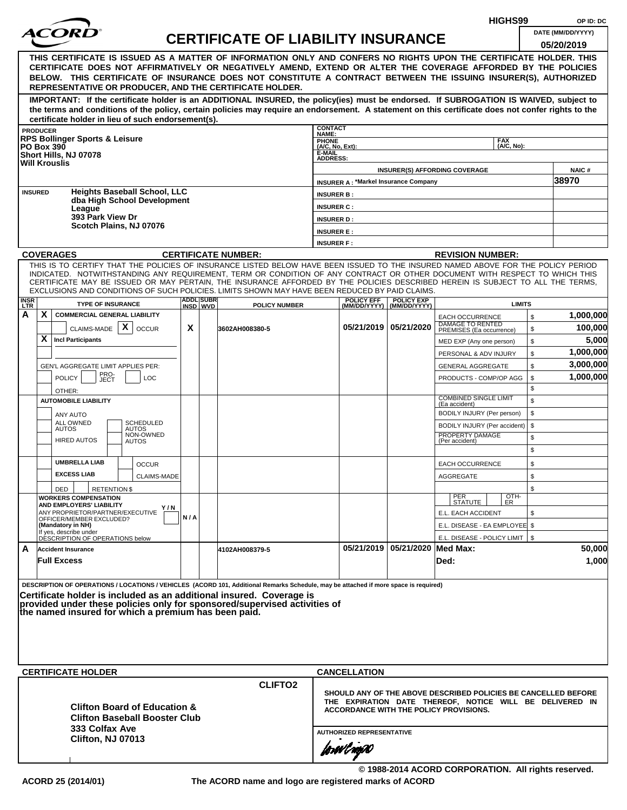|                    |                   |                                                              |                                                      |     |                               |                                                                                                                                                                                                                                                              |                                        |                                             |                                                  | HIGHS99                                                        |              | OP ID: DC             |
|--------------------|-------------------|--------------------------------------------------------------|------------------------------------------------------|-----|-------------------------------|--------------------------------------------------------------------------------------------------------------------------------------------------------------------------------------------------------------------------------------------------------------|----------------------------------------|---------------------------------------------|--------------------------------------------------|----------------------------------------------------------------|--------------|-----------------------|
|                    |                   |                                                              |                                                      |     |                               | <b>CERTIFICATE OF LIABILITY INSURANCE</b>                                                                                                                                                                                                                    |                                        |                                             |                                                  |                                                                |              | DATE (MM/DD/YYYY)     |
|                    |                   |                                                              |                                                      |     |                               |                                                                                                                                                                                                                                                              |                                        |                                             |                                                  |                                                                |              | 05/20/2019            |
|                    |                   |                                                              |                                                      |     |                               | THIS CERTIFICATE IS ISSUED AS A MATTER OF INFORMATION ONLY AND CONFERS NO RIGHTS UPON THE CERTIFICATE HOLDER. THIS                                                                                                                                           |                                        |                                             |                                                  |                                                                |              |                       |
|                    |                   |                                                              |                                                      |     |                               | CERTIFICATE DOES NOT AFFIRMATIVELY OR NEGATIVELY AMEND, EXTEND OR ALTER THE COVERAGE AFFORDED BY THE POLICIES<br>BELOW. THIS CERTIFICATE OF INSURANCE DOES NOT CONSTITUTE A CONTRACT BETWEEN THE ISSUING INSURER(S), AUTHORIZED                              |                                        |                                             |                                                  |                                                                |              |                       |
|                    |                   |                                                              |                                                      |     |                               | REPRESENTATIVE OR PRODUCER, AND THE CERTIFICATE HOLDER.                                                                                                                                                                                                      |                                        |                                             |                                                  |                                                                |              |                       |
|                    |                   |                                                              |                                                      |     |                               | IMPORTANT: If the certificate holder is an ADDITIONAL INSURED, the policy(ies) must be endorsed. If SUBROGATION IS WAIVED, subject to                                                                                                                        |                                        |                                             |                                                  |                                                                |              |                       |
|                    |                   |                                                              |                                                      |     |                               | the terms and conditions of the policy, certain policies may require an endorsement. A statement on this certificate does not confer rights to the                                                                                                           |                                        |                                             |                                                  |                                                                |              |                       |
|                    |                   |                                                              | certificate holder in lieu of such endorsement(s).   |     |                               |                                                                                                                                                                                                                                                              | <b>CONTACT</b>                         |                                             |                                                  |                                                                |              |                       |
|                    | <b>PRODUCER</b>   | <b>RPS Bollinger Sports &amp; Leisure</b>                    |                                                      |     |                               |                                                                                                                                                                                                                                                              | NAME:<br><b>PHONE</b>                  |                                             |                                                  | <b>FAX</b>                                                     |              |                       |
|                    | <b>PO Box 390</b> | Short Hills, NJ 07078                                        |                                                      |     |                               |                                                                                                                                                                                                                                                              | (A/C, No, Ext):<br>E-MAIL              |                                             |                                                  | (A/C. No):                                                     |              |                       |
|                    |                   | <b>Will Krouslis</b>                                         |                                                      |     |                               |                                                                                                                                                                                                                                                              | <b>ADDRESS:</b>                        |                                             |                                                  |                                                                |              |                       |
|                    |                   |                                                              |                                                      |     |                               |                                                                                                                                                                                                                                                              |                                        |                                             |                                                  | <b>INSURER(S) AFFORDING COVERAGE</b>                           |              | <b>NAIC#</b><br>38970 |
|                    | <b>INSURED</b>    |                                                              | <b>Heights Baseball School, LLC</b>                  |     |                               |                                                                                                                                                                                                                                                              |                                        | <b>INSURER A: *Markel Insurance Company</b> |                                                  |                                                                |              |                       |
|                    |                   |                                                              | dba High School Development                          |     |                               |                                                                                                                                                                                                                                                              | <b>INSURER B:</b><br><b>INSURER C:</b> |                                             |                                                  |                                                                |              |                       |
|                    |                   | League<br>393 Park View Dr                                   |                                                      |     |                               |                                                                                                                                                                                                                                                              | <b>INSURER D:</b>                      |                                             |                                                  |                                                                |              |                       |
|                    |                   |                                                              | Scotch Plains, NJ 07076                              |     |                               |                                                                                                                                                                                                                                                              | <b>INSURER E:</b>                      |                                             |                                                  |                                                                |              |                       |
|                    |                   |                                                              |                                                      |     |                               |                                                                                                                                                                                                                                                              | <b>INSURER F:</b>                      |                                             |                                                  |                                                                |              |                       |
|                    |                   | <b>COVERAGES</b>                                             |                                                      |     |                               | <b>CERTIFICATE NUMBER:</b>                                                                                                                                                                                                                                   |                                        |                                             |                                                  | <b>REVISION NUMBER:</b>                                        |              |                       |
|                    |                   |                                                              |                                                      |     |                               | THIS IS TO CERTIFY THAT THE POLICIES OF INSURANCE LISTED BELOW HAVE BEEN ISSUED TO THE INSURED NAMED ABOVE FOR THE POLICY PERIOD                                                                                                                             |                                        |                                             |                                                  |                                                                |              |                       |
|                    |                   |                                                              |                                                      |     |                               | INDICATED. NOTWITHSTANDING ANY REQUIREMENT, TERM OR CONDITION OF ANY CONTRACT OR OTHER DOCUMENT WITH RESPECT TO WHICH THIS<br>CERTIFICATE MAY BE ISSUED OR MAY PERTAIN, THE INSURANCE AFFORDED BY THE POLICIES DESCRIBED HEREIN IS SUBJECT TO ALL THE TERMS. |                                        |                                             |                                                  |                                                                |              |                       |
|                    |                   |                                                              |                                                      |     |                               | EXCLUSIONS AND CONDITIONS OF SUCH POLICIES. LIMITS SHOWN MAY HAVE BEEN REDUCED BY PAID CLAIMS.                                                                                                                                                               |                                        |                                             |                                                  |                                                                |              |                       |
| <b>INSR</b><br>LTR |                   | <b>TYPE OF INSURANCE</b>                                     |                                                      |     | <b>ADDLISUBRI</b><br>INSD WVD | <b>POLICY NUMBER</b>                                                                                                                                                                                                                                         |                                        | <b>POLICY EFF</b>                           | <b>POLICY EXP</b><br>(MM/DD/YYYY)   (MM/DD/YYYY) | <b>LIMITS</b>                                                  |              |                       |
| А                  | X                 | <b>COMMERCIAL GENERAL LIABILITY</b>                          |                                                      |     |                               |                                                                                                                                                                                                                                                              |                                        |                                             |                                                  | <b>EACH OCCURRENCE</b>                                         | $\mathbb{S}$ | 1,000,000             |
|                    |                   | CLAIMS-MADE $\mathbf{X}$                                     | <b>OCCUR</b>                                         | X   |                               | 3602AH008380-5                                                                                                                                                                                                                                               |                                        |                                             | 05/21/2019   05/21/2020                          | DAMAGE TO RENTED<br>PREMISES (Ea occurrence)                   | \$           | 100,000               |
|                    | X                 | <b>Incl Participants</b>                                     |                                                      |     |                               |                                                                                                                                                                                                                                                              |                                        |                                             |                                                  | MED EXP (Any one person)                                       | \$           | 5,000                 |
|                    |                   |                                                              |                                                      |     |                               |                                                                                                                                                                                                                                                              |                                        |                                             |                                                  | PERSONAL & ADV INJURY                                          | \$           | 1,000,000             |
|                    |                   | GEN'L AGGREGATE LIMIT APPLIES PER:                           |                                                      |     |                               |                                                                                                                                                                                                                                                              |                                        |                                             |                                                  | <b>GENERAL AGGREGATE</b>                                       | \$           | 3,000,000             |
|                    |                   | PRO-<br>JECT<br><b>POLICY</b>                                | <b>LOC</b>                                           |     |                               |                                                                                                                                                                                                                                                              |                                        |                                             |                                                  | PRODUCTS - COMP/OP AGG                                         | \$           | 1,000,000             |
|                    |                   | OTHER:                                                       |                                                      |     |                               |                                                                                                                                                                                                                                                              |                                        |                                             |                                                  | <b>COMBINED SINGLE LIMIT</b>                                   | \$           |                       |
|                    |                   | <b>AUTOMOBILE LIABILITY</b>                                  |                                                      |     |                               |                                                                                                                                                                                                                                                              |                                        |                                             |                                                  | (Ea accident)                                                  | \$           |                       |
|                    |                   | ANY AUTO<br>ALL OWNED                                        | <b>SCHEDULED</b>                                     |     |                               |                                                                                                                                                                                                                                                              |                                        |                                             |                                                  | BODILY INJURY (Per person)<br>BODILY INJURY (Per accident)     | \$<br>\$     |                       |
|                    |                   | <b>AUTOS</b>                                                 | <b>AUTOS</b><br>NON-OWNED                            |     |                               |                                                                                                                                                                                                                                                              |                                        |                                             |                                                  | PROPERTY DAMAGE                                                | \$           |                       |
|                    |                   | <b>HIRED AUTOS</b>                                           | <b>AUTOS</b>                                         |     |                               |                                                                                                                                                                                                                                                              |                                        |                                             |                                                  | (Per accident)                                                 | \$           |                       |
|                    |                   | <b>UMBRELLA LIAB</b>                                         | <b>OCCUR</b>                                         |     |                               |                                                                                                                                                                                                                                                              |                                        |                                             |                                                  | <b>EACH OCCURRENCE</b>                                         | \$           |                       |
|                    |                   | <b>EXCESS LIAB</b>                                           | CLAIMS-MADE                                          |     |                               |                                                                                                                                                                                                                                                              |                                        |                                             |                                                  | <b>AGGREGATE</b>                                               | \$           |                       |
|                    |                   | DED                                                          | <b>RETENTIONS</b>                                    |     |                               |                                                                                                                                                                                                                                                              |                                        |                                             |                                                  |                                                                | \$           |                       |
|                    |                   | <b>WORKERS COMPENSATION</b>                                  |                                                      |     |                               |                                                                                                                                                                                                                                                              |                                        |                                             |                                                  | $\frac{[OTH]}{ER}$<br>PER<br>STATUTE                           |              |                       |
|                    |                   | AND EMPLOYERS' LIABILITY<br>ANY PROPRIETOR/PARTNER/EXECUTIVE | Y / N                                                |     |                               |                                                                                                                                                                                                                                                              |                                        |                                             |                                                  | E.L. EACH ACCIDENT                                             | \$           |                       |
|                    |                   | OFFICER/MEMBER EXCLUDED?<br>(Mandatory in NH)                |                                                      | N/A |                               |                                                                                                                                                                                                                                                              |                                        |                                             |                                                  | E.L. DISEASE - EA EMPLOYEE \$                                  |              |                       |
|                    |                   | If yes, describe under<br>DÉSCRIPTION OF OPERATIONS below    |                                                      |     |                               |                                                                                                                                                                                                                                                              |                                        |                                             |                                                  | E.L. DISEASE - POLICY LIMIT   \$                               |              |                       |
| A                  |                   | <b>Accident Insurance</b>                                    |                                                      |     |                               | 4102AH008379-5                                                                                                                                                                                                                                               |                                        |                                             | 05/21/2019 05/21/2020 Med Max:                   |                                                                |              | 50,000                |
|                    |                   | <b>Full Excess</b>                                           |                                                      |     |                               |                                                                                                                                                                                                                                                              |                                        |                                             |                                                  | Ded:                                                           |              | 1,000                 |
|                    |                   |                                                              |                                                      |     |                               |                                                                                                                                                                                                                                                              |                                        |                                             |                                                  |                                                                |              |                       |
|                    |                   |                                                              |                                                      |     |                               | DESCRIPTION OF OPERATIONS / LOCATIONS / VEHICLES (ACORD 101, Additional Remarks Schedule, may be attached if more space is required)                                                                                                                         |                                        |                                             |                                                  |                                                                |              |                       |
|                    |                   |                                                              |                                                      |     |                               | Certificate holder is included as an additional insured. Coverage is<br>provided under these policies only for sponsored/supervised activities of                                                                                                            |                                        |                                             |                                                  |                                                                |              |                       |
|                    |                   |                                                              | the named insured for which a premium has been paid. |     |                               |                                                                                                                                                                                                                                                              |                                        |                                             |                                                  |                                                                |              |                       |
|                    |                   |                                                              |                                                      |     |                               |                                                                                                                                                                                                                                                              |                                        |                                             |                                                  |                                                                |              |                       |
|                    |                   |                                                              |                                                      |     |                               |                                                                                                                                                                                                                                                              |                                        |                                             |                                                  |                                                                |              |                       |
|                    |                   |                                                              |                                                      |     |                               |                                                                                                                                                                                                                                                              |                                        |                                             |                                                  |                                                                |              |                       |
|                    |                   |                                                              |                                                      |     |                               |                                                                                                                                                                                                                                                              |                                        |                                             |                                                  |                                                                |              |                       |
|                    |                   | <b>CERTIFICATE HOLDER</b>                                    |                                                      |     |                               |                                                                                                                                                                                                                                                              |                                        | <b>CANCELLATION</b>                         |                                                  |                                                                |              |                       |
|                    |                   |                                                              |                                                      |     |                               | <b>CLIFTO2</b>                                                                                                                                                                                                                                               |                                        |                                             |                                                  | SHOULD ANY OF THE ABOVE DESCRIBED POLICIES BE CANCELLED BEFORE |              |                       |
|                    |                   |                                                              | <b>Clifton Board of Education &amp;</b>              |     |                               |                                                                                                                                                                                                                                                              |                                        |                                             |                                                  | THE EXPIRATION DATE THEREOF, NOTICE WILL BE DELIVERED IN       |              |                       |
|                    |                   |                                                              | <b>Clifton Baseball Booster Club</b>                 |     |                               |                                                                                                                                                                                                                                                              |                                        |                                             |                                                  | <b>ACCORDANCE WITH THE POLICY PROVISIONS.</b>                  |              |                       |
|                    |                   | 333 Colfax Ave                                               |                                                      |     |                               |                                                                                                                                                                                                                                                              |                                        | <b>AUTHORIZED REPRESENTATIVE</b>            |                                                  |                                                                |              |                       |
|                    |                   | <b>Clifton, NJ 07013</b>                                     |                                                      |     |                               |                                                                                                                                                                                                                                                              |                                        |                                             |                                                  |                                                                |              |                       |
|                    |                   |                                                              |                                                      |     |                               |                                                                                                                                                                                                                                                              |                                        | forwl now                                   |                                                  |                                                                |              |                       |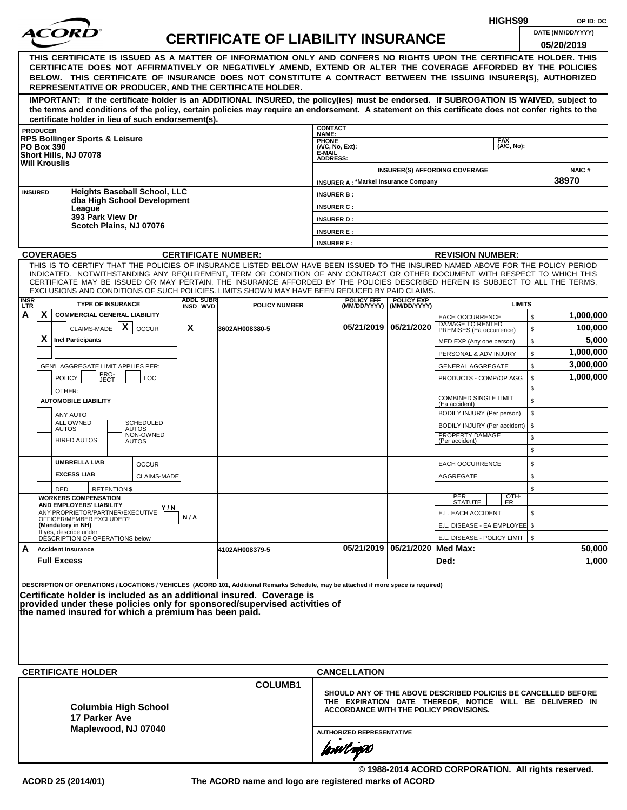|                    |                 |                                                                                |                     |                                                                    |     |                               |                                                                                                                                                                                                                                                              |                                 |                                               |                                                  |                                                                   | HIGHS99                  |              | OP ID: DC                                                      |
|--------------------|-----------------|--------------------------------------------------------------------------------|---------------------|--------------------------------------------------------------------|-----|-------------------------------|--------------------------------------------------------------------------------------------------------------------------------------------------------------------------------------------------------------------------------------------------------------|---------------------------------|-----------------------------------------------|--------------------------------------------------|-------------------------------------------------------------------|--------------------------|--------------|----------------------------------------------------------------|
|                    |                 |                                                                                |                     |                                                                    |     |                               | <b>CERTIFICATE OF LIABILITY INSURANCE</b>                                                                                                                                                                                                                    |                                 |                                               |                                                  |                                                                   |                          |              | DATE (MM/DD/YYYY)                                              |
|                    |                 |                                                                                |                     |                                                                    |     |                               |                                                                                                                                                                                                                                                              |                                 |                                               |                                                  |                                                                   |                          |              | 05/20/2019                                                     |
|                    |                 |                                                                                |                     |                                                                    |     |                               | THIS CERTIFICATE IS ISSUED AS A MATTER OF INFORMATION ONLY AND CONFERS NO RIGHTS UPON THE CERTIFICATE HOLDER. THIS<br>CERTIFICATE DOES NOT AFFIRMATIVELY OR NEGATIVELY AMEND, EXTEND OR ALTER THE COVERAGE AFFORDED BY THE POLICIES                          |                                 |                                               |                                                  |                                                                   |                          |              |                                                                |
|                    |                 |                                                                                |                     |                                                                    |     |                               | BELOW. THIS CERTIFICATE OF INSURANCE DOES NOT CONSTITUTE A CONTRACT BETWEEN THE ISSUING INSURER(S), AUTHORIZED                                                                                                                                               |                                 |                                               |                                                  |                                                                   |                          |              |                                                                |
|                    |                 |                                                                                |                     |                                                                    |     |                               | REPRESENTATIVE OR PRODUCER, AND THE CERTIFICATE HOLDER.                                                                                                                                                                                                      |                                 |                                               |                                                  |                                                                   |                          |              |                                                                |
|                    |                 |                                                                                |                     |                                                                    |     |                               | IMPORTANT: If the certificate holder is an ADDITIONAL INSURED, the policy(ies) must be endorsed. If SUBROGATION IS WAIVED, subject to                                                                                                                        |                                 |                                               |                                                  |                                                                   |                          |              |                                                                |
|                    |                 |                                                                                |                     | certificate holder in lieu of such endorsement(s).                 |     |                               | the terms and conditions of the policy, certain policies may require an endorsement. A statement on this certificate does not confer rights to the                                                                                                           |                                 |                                               |                                                  |                                                                   |                          |              |                                                                |
|                    | <b>PRODUCER</b> |                                                                                |                     |                                                                    |     |                               |                                                                                                                                                                                                                                                              | <b>CONTACT</b><br>NAME:         |                                               |                                                  |                                                                   |                          |              |                                                                |
| <b>PO Box 390</b>  |                 | <b>RPS Bollinger Sports &amp; Leisure</b>                                      |                     |                                                                    |     |                               |                                                                                                                                                                                                                                                              | <b>PHONE</b><br>(A/C, No, Ext): |                                               |                                                  |                                                                   | <b>FAX</b><br>(A/C. No): |              |                                                                |
|                    |                 | Short Hills, NJ 07078                                                          |                     |                                                                    |     |                               |                                                                                                                                                                                                                                                              | E-MAIL<br><b>ADDRESS:</b>       |                                               |                                                  |                                                                   |                          |              |                                                                |
|                    |                 | <b>Will Krouslis</b>                                                           |                     |                                                                    |     |                               |                                                                                                                                                                                                                                                              |                                 |                                               |                                                  | <b>INSURER(S) AFFORDING COVERAGE</b>                              |                          |              | <b>NAIC#</b>                                                   |
|                    |                 |                                                                                |                     |                                                                    |     |                               |                                                                                                                                                                                                                                                              |                                 | <b>INSURER A: *Markel Insurance Company</b>   |                                                  |                                                                   |                          |              | 38970                                                          |
| <b>INSURED</b>     |                 |                                                                                |                     | <b>Heights Baseball School, LLC</b><br>dba High School Development |     |                               |                                                                                                                                                                                                                                                              | <b>INSURER B:</b>               |                                               |                                                  |                                                                   |                          |              |                                                                |
|                    |                 | League                                                                         |                     |                                                                    |     |                               |                                                                                                                                                                                                                                                              | <b>INSURER C:</b>               |                                               |                                                  |                                                                   |                          |              |                                                                |
|                    |                 | 393 Park View Dr                                                               |                     | Scotch Plains, NJ 07076                                            |     |                               |                                                                                                                                                                                                                                                              | <b>INSURER D:</b>               |                                               |                                                  |                                                                   |                          |              |                                                                |
|                    |                 |                                                                                |                     |                                                                    |     |                               |                                                                                                                                                                                                                                                              | <b>INSURER E:</b>               |                                               |                                                  |                                                                   |                          |              |                                                                |
|                    |                 | <b>COVERAGES</b>                                                               |                     |                                                                    |     |                               | <b>CERTIFICATE NUMBER:</b>                                                                                                                                                                                                                                   | <b>INSURER F:</b>               |                                               |                                                  | <b>REVISION NUMBER:</b>                                           |                          |              |                                                                |
|                    |                 |                                                                                |                     |                                                                    |     |                               | THIS IS TO CERTIFY THAT THE POLICIES OF INSURANCE LISTED BELOW HAVE BEEN ISSUED TO THE INSURED NAMED ABOVE FOR THE POLICY PERIOD                                                                                                                             |                                 |                                               |                                                  |                                                                   |                          |              |                                                                |
|                    |                 |                                                                                |                     |                                                                    |     |                               | INDICATED. NOTWITHSTANDING ANY REQUIREMENT, TERM OR CONDITION OF ANY CONTRACT OR OTHER DOCUMENT WITH RESPECT TO WHICH THIS<br>CERTIFICATE MAY BE ISSUED OR MAY PERTAIN, THE INSURANCE AFFORDED BY THE POLICIES DESCRIBED HEREIN IS SUBJECT TO ALL THE TERMS. |                                 |                                               |                                                  |                                                                   |                          |              |                                                                |
|                    |                 |                                                                                |                     |                                                                    |     |                               | EXCLUSIONS AND CONDITIONS OF SUCH POLICIES. LIMITS SHOWN MAY HAVE BEEN REDUCED BY PAID CLAIMS.                                                                                                                                                               |                                 |                                               |                                                  |                                                                   |                          |              |                                                                |
| <b>INSR</b><br>LTR |                 | <b>TYPE OF INSURANCE</b>                                                       |                     |                                                                    |     | <b>ADDLISUBRI</b><br>INSD WVD | <b>POLICY NUMBER</b>                                                                                                                                                                                                                                         |                                 | <b>POLICY EFF</b>                             | <b>POLICY EXP</b><br>(MM/DD/YYYY)   (MM/DD/YYYY) |                                                                   | <b>LIMITS</b>            |              |                                                                |
| А                  | X               | <b>COMMERCIAL GENERAL LIABILITY</b>                                            |                     |                                                                    |     |                               |                                                                                                                                                                                                                                                              |                                 |                                               |                                                  | <b>EACH OCCURRENCE</b>                                            |                          | $\mathbb{S}$ | 1,000,000                                                      |
|                    |                 | CLAIMS-MADE $\mathbf{X}$                                                       |                     | <b>OCCUR</b>                                                       | X   |                               | 3602AH008380-5                                                                                                                                                                                                                                               |                                 |                                               | 05/21/2019   05/21/2020                          | DAMAGE TO RENTED<br>PREMISES (Ea occurrence)                      |                          | \$           | 100,000                                                        |
|                    | X               | <b>Incl Participants</b>                                                       |                     |                                                                    |     |                               |                                                                                                                                                                                                                                                              |                                 |                                               |                                                  | MED EXP (Any one person)                                          |                          | \$           | 5,000                                                          |
|                    |                 |                                                                                |                     |                                                                    |     |                               |                                                                                                                                                                                                                                                              |                                 |                                               |                                                  | PERSONAL & ADV INJURY                                             |                          | \$           | 1,000,000                                                      |
|                    |                 | GEN'L AGGREGATE LIMIT APPLIES PER:                                             |                     |                                                                    |     |                               |                                                                                                                                                                                                                                                              |                                 |                                               |                                                  | <b>GENERAL AGGREGATE</b>                                          |                          | \$           | 3,000,000                                                      |
|                    |                 | <b>POLICY</b>                                                                  | PRO-<br>JECT        | <b>LOC</b>                                                         |     |                               |                                                                                                                                                                                                                                                              |                                 |                                               |                                                  | PRODUCTS - COMP/OP AGG                                            |                          | \$<br>\$     | 1,000,000                                                      |
|                    |                 | OTHER:<br><b>AUTOMOBILE LIABILITY</b>                                          |                     |                                                                    |     |                               |                                                                                                                                                                                                                                                              |                                 |                                               |                                                  | <b>COMBINED SINGLE LIMIT</b>                                      |                          | \$           |                                                                |
|                    |                 | ANY AUTO                                                                       |                     |                                                                    |     |                               |                                                                                                                                                                                                                                                              |                                 |                                               |                                                  | (Ea accident)<br>BODILY INJURY (Per person)                       |                          | \$           |                                                                |
|                    |                 | ALL OWNED<br><b>AUTOS</b>                                                      |                     | <b>SCHEDULED</b><br><b>AUTOS</b>                                   |     |                               |                                                                                                                                                                                                                                                              |                                 |                                               |                                                  | BODILY INJURY (Per accident)                                      |                          | \$           |                                                                |
|                    |                 | <b>HIRED AUTOS</b>                                                             |                     | NON-OWNED<br><b>AUTOS</b>                                          |     |                               |                                                                                                                                                                                                                                                              |                                 |                                               |                                                  | PROPERTY DAMAGE<br>(Per accident)                                 |                          | \$           |                                                                |
|                    |                 |                                                                                |                     |                                                                    |     |                               |                                                                                                                                                                                                                                                              |                                 |                                               |                                                  |                                                                   |                          | \$           |                                                                |
|                    |                 | <b>UMBRELLA LIAB</b>                                                           |                     | <b>OCCUR</b>                                                       |     |                               |                                                                                                                                                                                                                                                              |                                 |                                               |                                                  | <b>EACH OCCURRENCE</b>                                            |                          | \$           |                                                                |
|                    |                 | <b>EXCESS LIAB</b>                                                             |                     | CLAIMS-MADE                                                        |     |                               |                                                                                                                                                                                                                                                              |                                 |                                               |                                                  | <b>AGGREGATE</b>                                                  |                          | \$           |                                                                |
|                    |                 | DED<br><b>WORKERS COMPENSATION</b>                                             | <b>RETENTION \$</b> |                                                                    |     |                               |                                                                                                                                                                                                                                                              |                                 |                                               |                                                  |                                                                   |                          | \$           |                                                                |
|                    |                 | AND EMPLOYERS' LIABILITY                                                       |                     | Y / N                                                              |     |                               |                                                                                                                                                                                                                                                              |                                 |                                               |                                                  | PER<br>STATUTE                                                    | $\frac{[OTH]}{ER}$       |              |                                                                |
|                    |                 | ANY PROPRIETOR/PARTNER/EXECUTIVE<br>OFFICER/MEMBER EXCLUDED?                   |                     |                                                                    | N/A |                               |                                                                                                                                                                                                                                                              |                                 |                                               |                                                  | E.L. EACH ACCIDENT                                                |                          | \$           |                                                                |
|                    |                 | (Mandatory in NH)<br>If yes, describe under<br>DESCRIPTION OF OPERATIONS below |                     |                                                                    |     |                               |                                                                                                                                                                                                                                                              |                                 |                                               |                                                  | E.L. DISEASE - EA EMPLOYEE \$<br>E.L. DISEASE - POLICY LIMIT   \$ |                          |              |                                                                |
| A                  |                 | <b>Accident Insurance</b>                                                      |                     |                                                                    |     |                               | 4102AH008379-5                                                                                                                                                                                                                                               |                                 |                                               | 05/21/2019   05/21/2020   Med Max:               |                                                                   |                          |              | 50,000                                                         |
|                    |                 | <b>Full Excess</b>                                                             |                     |                                                                    |     |                               |                                                                                                                                                                                                                                                              |                                 |                                               |                                                  | Ded:                                                              |                          |              | 1,000                                                          |
|                    |                 |                                                                                |                     |                                                                    |     |                               |                                                                                                                                                                                                                                                              |                                 |                                               |                                                  |                                                                   |                          |              |                                                                |
|                    |                 |                                                                                |                     |                                                                    |     |                               | DESCRIPTION OF OPERATIONS / LOCATIONS / VEHICLES (ACORD 101, Additional Remarks Schedule, may be attached if more space is required)                                                                                                                         |                                 |                                               |                                                  |                                                                   |                          |              |                                                                |
|                    |                 |                                                                                |                     |                                                                    |     |                               | Certificate holder is included as an additional insured. Coverage is<br>provided under these policies only for sponsored/supervised activities of                                                                                                            |                                 |                                               |                                                  |                                                                   |                          |              |                                                                |
|                    |                 |                                                                                |                     | the named insured for which a premium has been paid.               |     |                               |                                                                                                                                                                                                                                                              |                                 |                                               |                                                  |                                                                   |                          |              |                                                                |
|                    |                 |                                                                                |                     |                                                                    |     |                               |                                                                                                                                                                                                                                                              |                                 |                                               |                                                  |                                                                   |                          |              |                                                                |
|                    |                 |                                                                                |                     |                                                                    |     |                               |                                                                                                                                                                                                                                                              |                                 |                                               |                                                  |                                                                   |                          |              |                                                                |
|                    |                 |                                                                                |                     |                                                                    |     |                               |                                                                                                                                                                                                                                                              |                                 |                                               |                                                  |                                                                   |                          |              |                                                                |
|                    |                 | <b>CERTIFICATE HOLDER</b>                                                      |                     |                                                                    |     |                               |                                                                                                                                                                                                                                                              |                                 | <b>CANCELLATION</b>                           |                                                  |                                                                   |                          |              |                                                                |
|                    |                 |                                                                                |                     |                                                                    |     |                               | <b>COLUMB1</b>                                                                                                                                                                                                                                               |                                 |                                               |                                                  |                                                                   |                          |              |                                                                |
|                    |                 |                                                                                |                     |                                                                    |     |                               |                                                                                                                                                                                                                                                              |                                 |                                               |                                                  |                                                                   |                          |              | SHOULD ANY OF THE ABOVE DESCRIBED POLICIES BE CANCELLED BEFORE |
|                    |                 |                                                                                |                     | <b>Columbia High School</b>                                        |     |                               |                                                                                                                                                                                                                                                              |                                 | <b>ACCORDANCE WITH THE POLICY PROVISIONS.</b> |                                                  |                                                                   |                          |              | THE EXPIRATION DATE THEREOF, NOTICE WILL BE DELIVERED IN       |
|                    |                 | 17 Parker Ave                                                                  |                     |                                                                    |     |                               |                                                                                                                                                                                                                                                              |                                 |                                               |                                                  |                                                                   |                          |              |                                                                |
|                    |                 |                                                                                |                     | Maplewood, NJ 07040                                                |     |                               |                                                                                                                                                                                                                                                              |                                 | <b>AUTHORIZED REPRESENTATIVE</b>              |                                                  |                                                                   |                          |              |                                                                |
|                    |                 |                                                                                |                     |                                                                    |     |                               |                                                                                                                                                                                                                                                              |                                 | forwl now                                     |                                                  |                                                                   |                          |              |                                                                |
|                    |                 |                                                                                |                     |                                                                    |     |                               |                                                                                                                                                                                                                                                              |                                 |                                               |                                                  |                                                                   |                          |              |                                                                |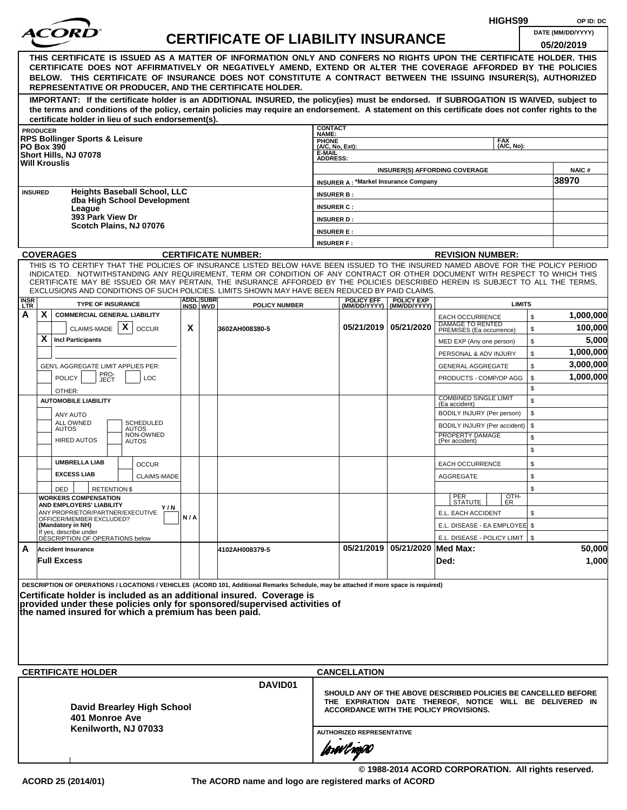|                                                                                                                                                                                                                                                                                                                                                                                                                                                                                                    |                    |                              |                                           |                                        |                                               |                                                |                                                                                                                                                                      | HIGHS99                  | OP ID: DC             |
|----------------------------------------------------------------------------------------------------------------------------------------------------------------------------------------------------------------------------------------------------------------------------------------------------------------------------------------------------------------------------------------------------------------------------------------------------------------------------------------------------|--------------------|------------------------------|-------------------------------------------|----------------------------------------|-----------------------------------------------|------------------------------------------------|----------------------------------------------------------------------------------------------------------------------------------------------------------------------|--------------------------|-----------------------|
| <i>ACOR</i>                                                                                                                                                                                                                                                                                                                                                                                                                                                                                        |                    |                              | <b>CERTIFICATE OF LIABILITY INSURANCE</b> |                                        |                                               |                                                |                                                                                                                                                                      |                          | DATE (MM/DD/YYYY)     |
| THIS CERTIFICATE IS ISSUED AS A MATTER OF INFORMATION ONLY AND CONFERS NO RIGHTS UPON THE CERTIFICATE HOLDER. THIS<br>CERTIFICATE DOES NOT AFFIRMATIVELY OR NEGATIVELY AMEND, EXTEND OR ALTER THE COVERAGE AFFORDED BY THE POLICIES<br>BELOW. THIS CERTIFICATE OF INSURANCE DOES NOT CONSTITUTE A CONTRACT BETWEEN THE ISSUING INSURER(S), AUTHORIZED                                                                                                                                              |                    |                              |                                           |                                        |                                               |                                                |                                                                                                                                                                      |                          | 05/20/2019            |
| REPRESENTATIVE OR PRODUCER, AND THE CERTIFICATE HOLDER.<br>IMPORTANT: If the certificate holder is an ADDITIONAL INSURED, the policy(ies) must be endorsed. If SUBROGATION IS WAIVED, subject to                                                                                                                                                                                                                                                                                                   |                    |                              |                                           |                                        |                                               |                                                |                                                                                                                                                                      |                          |                       |
| the terms and conditions of the policy, certain policies may require an endorsement. A statement on this certificate does not confer rights to the<br>certificate holder in lieu of such endorsement(s).                                                                                                                                                                                                                                                                                           |                    |                              |                                           |                                        |                                               |                                                |                                                                                                                                                                      |                          |                       |
| <b>PRODUCER</b>                                                                                                                                                                                                                                                                                                                                                                                                                                                                                    |                    |                              |                                           | <b>CONTACT</b><br>NAME:                |                                               |                                                |                                                                                                                                                                      |                          |                       |
| <b>RPS Bollinger Sports &amp; Leisure</b><br><b>PO Box 390</b>                                                                                                                                                                                                                                                                                                                                                                                                                                     |                    |                              |                                           | PHONE<br>(A/C, No, Ext):               |                                               |                                                |                                                                                                                                                                      | <b>FAX</b><br>(A/C, No): |                       |
| Short Hills, NJ 07078<br><b>Will Krouslis</b>                                                                                                                                                                                                                                                                                                                                                                                                                                                      |                    |                              |                                           | E-MAIL<br><b>ADDRESS:</b>              |                                               |                                                |                                                                                                                                                                      |                          |                       |
|                                                                                                                                                                                                                                                                                                                                                                                                                                                                                                    |                    |                              |                                           |                                        | <b>INSURER A: *Markel Insurance Company</b>   |                                                | <b>INSURER(S) AFFORDING COVERAGE</b>                                                                                                                                 |                          | <b>NAIC#</b><br>38970 |
| <b>Heights Baseball School, LLC</b><br><b>INSURED</b>                                                                                                                                                                                                                                                                                                                                                                                                                                              |                    |                              |                                           | <b>INSURER B:</b>                      |                                               |                                                |                                                                                                                                                                      |                          |                       |
| dba High School Development<br>League                                                                                                                                                                                                                                                                                                                                                                                                                                                              |                    |                              |                                           | <b>INSURER C:</b>                      |                                               |                                                |                                                                                                                                                                      |                          |                       |
| 393 Park View Dr<br>Scotch Plains, NJ 07076                                                                                                                                                                                                                                                                                                                                                                                                                                                        |                    |                              |                                           | <b>INSURER D:</b>                      |                                               |                                                |                                                                                                                                                                      |                          |                       |
|                                                                                                                                                                                                                                                                                                                                                                                                                                                                                                    |                    |                              |                                           | <b>INSURER E:</b><br><b>INSURER F:</b> |                                               |                                                |                                                                                                                                                                      |                          |                       |
| <b>COVERAGES</b>                                                                                                                                                                                                                                                                                                                                                                                                                                                                                   |                    |                              | <b>CERTIFICATE NUMBER:</b>                |                                        |                                               |                                                | <b>REVISION NUMBER:</b>                                                                                                                                              |                          |                       |
| THIS IS TO CERTIFY THAT THE POLICIES OF INSURANCE LISTED BELOW HAVE BEEN ISSUED TO THE INSURED NAMED ABOVE FOR THE POLICY PERIOD<br>INDICATED. NOTWITHSTANDING ANY REQUIREMENT, TERM OR CONDITION OF ANY CONTRACT OR OTHER DOCUMENT WITH RESPECT TO WHICH THIS<br>CERTIFICATE MAY BE ISSUED OR MAY PERTAIN, THE INSURANCE AFFORDED BY THE POLICIES DESCRIBED HEREIN IS SUBJECT TO ALL THE TERMS,<br>EXCLUSIONS AND CONDITIONS OF SUCH POLICIES. LIMITS SHOWN MAY HAVE BEEN REDUCED BY PAID CLAIMS. |                    |                              |                                           |                                        |                                               |                                                |                                                                                                                                                                      |                          |                       |
| <b>INSR</b><br>LTR<br><b>TYPE OF INSURANCE</b>                                                                                                                                                                                                                                                                                                                                                                                                                                                     |                    | <b>ADDL SUBR</b><br>INSD WVD | <b>POLICY NUMBER</b>                      |                                        | <b>POLICY EFF</b>                             | <b>POLICY EXP</b><br>(MM/DD/YYYY) (MM/DD/YYYY) |                                                                                                                                                                      | <b>LIMITS</b>            |                       |
| X<br>Α<br><b>COMMERCIAL GENERAL LIABILITY</b>                                                                                                                                                                                                                                                                                                                                                                                                                                                      |                    |                              |                                           |                                        |                                               |                                                | <b>EACH OCCURRENCE</b>                                                                                                                                               | \$                       | 1,000,000             |
| CLAIMS-MADE $\mid X \mid$<br><b>OCCUR</b>                                                                                                                                                                                                                                                                                                                                                                                                                                                          | X                  |                              | 3602AH008380-5                            |                                        |                                               | 05/21/2019 05/21/2020                          | <b>DAMAGE TO RENTED</b><br>PREMISES (Ea occurrence)                                                                                                                  | \$                       | 100,000               |
| X<br><b>Incl Participants</b>                                                                                                                                                                                                                                                                                                                                                                                                                                                                      |                    |                              |                                           |                                        |                                               |                                                | MED EXP (Any one person)<br>PERSONAL & ADV INJURY                                                                                                                    | \$<br>\$                 | 5,000<br>1,000,000    |
| GEN'L AGGREGATE LIMIT APPLIES PER:                                                                                                                                                                                                                                                                                                                                                                                                                                                                 |                    |                              |                                           |                                        |                                               |                                                | <b>GENERAL AGGREGATE</b>                                                                                                                                             | \$                       | 3,000,000             |
| PRO-<br>JECT<br><b>POLICY</b><br><b>LOC</b><br>OTHER:                                                                                                                                                                                                                                                                                                                                                                                                                                              |                    |                              |                                           |                                        |                                               |                                                | PRODUCTS - COMP/OP AGG                                                                                                                                               | \$<br>\$                 | 1,000,000             |
| <b>AUTOMOBILE LIABILITY</b>                                                                                                                                                                                                                                                                                                                                                                                                                                                                        |                    |                              |                                           |                                        |                                               |                                                | <b>COMBINED SINGLE LIMIT</b><br>(Ea accident)                                                                                                                        | \$                       |                       |
| ANY AUTO<br><b>SCHEDULED</b><br>ALL OWNED                                                                                                                                                                                                                                                                                                                                                                                                                                                          |                    |                              |                                           |                                        |                                               |                                                | BODILY INJURY (Per person)                                                                                                                                           | \$                       |                       |
| <b>AUTOS</b><br>AUTOS<br>NON-OWNED<br><b>HIRED AUTOS</b>                                                                                                                                                                                                                                                                                                                                                                                                                                           |                    |                              |                                           |                                        |                                               |                                                | BODILY INJURY (Per accident)<br>PROPERTY DAMAGE                                                                                                                      | \$<br>\$                 |                       |
| AUTOS                                                                                                                                                                                                                                                                                                                                                                                                                                                                                              |                    |                              |                                           |                                        |                                               |                                                | (Per accident)                                                                                                                                                       | \$                       |                       |
| <b>UMBRELLA LIAB</b><br><b>OCCUR</b>                                                                                                                                                                                                                                                                                                                                                                                                                                                               |                    |                              |                                           |                                        |                                               |                                                | <b>EACH OCCURRENCE</b>                                                                                                                                               | \$                       |                       |
| <b>EXCESS LIAB</b>                                                                                                                                                                                                                                                                                                                                                                                                                                                                                 | <b>CLAIMS-MADE</b> |                              |                                           |                                        |                                               |                                                | AGGREGATE                                                                                                                                                            | \$                       |                       |
| DED<br><b>RETENTION \$</b><br><b>WORKERS COMPENSATION</b>                                                                                                                                                                                                                                                                                                                                                                                                                                          |                    |                              |                                           |                                        |                                               |                                                | PER<br>STATUTE                                                                                                                                                       | \$<br>OTH-<br>ER         |                       |
| AND EMPLOYERS' LIABILITY<br>ANY PROPRIETOR/PARTNER/EXECUTIVE                                                                                                                                                                                                                                                                                                                                                                                                                                       | Y/N                |                              |                                           |                                        |                                               |                                                | E.L. EACH ACCIDENT                                                                                                                                                   | \$                       |                       |
| OFFICER/MEMBER EXCLUDED?<br>(Mandatory in NH)<br>If yes, describe under                                                                                                                                                                                                                                                                                                                                                                                                                            | N/A                |                              |                                           |                                        |                                               |                                                | E.L. DISEASE - EA EMPLOYEE \$                                                                                                                                        |                          |                       |
| DÉSCRIPTION OF OPERATIONS below                                                                                                                                                                                                                                                                                                                                                                                                                                                                    |                    |                              |                                           |                                        |                                               | 05/21/2019 05/21/2020 Med Max:                 | E.L. DISEASE - POLICY LIMIT   \$                                                                                                                                     |                          |                       |
| A<br><b>Accident Insurance</b><br><b>Full Excess</b>                                                                                                                                                                                                                                                                                                                                                                                                                                               |                    |                              | 4102AH008379-5                            |                                        |                                               |                                                | Ded:                                                                                                                                                                 |                          | 50,000<br>1,000       |
| DESCRIPTION OF OPERATIONS / LOCATIONS / VEHICLES (ACORD 101, Additional Remarks Schedule, may be attached if more space is required)<br>Certificate holder is included as an additional insured. Coverage is<br>provided under these policies only for sponsored/supervised activities of<br>the named insured for which a premium has been paid.                                                                                                                                                  |                    |                              |                                           |                                        |                                               |                                                |                                                                                                                                                                      |                          |                       |
|                                                                                                                                                                                                                                                                                                                                                                                                                                                                                                    |                    |                              |                                           |                                        |                                               |                                                |                                                                                                                                                                      |                          |                       |
| <b>CERTIFICATE HOLDER</b>                                                                                                                                                                                                                                                                                                                                                                                                                                                                          |                    |                              | DAVID01                                   |                                        | <b>CANCELLATION</b>                           |                                                |                                                                                                                                                                      |                          |                       |
| <b>David Brearley High School</b><br>401 Monroe Ave                                                                                                                                                                                                                                                                                                                                                                                                                                                |                    |                              |                                           |                                        |                                               |                                                | SHOULD ANY OF THE ABOVE DESCRIBED POLICIES BE CANCELLED BEFORE<br>THE EXPIRATION DATE THEREOF, NOTICE WILL BE DELIVERED IN<br>ACCORDANCE WITH THE POLICY PROVISIONS. |                          |                       |
| Kenilworth, NJ 07033                                                                                                                                                                                                                                                                                                                                                                                                                                                                               |                    |                              |                                           |                                        | <b>AUTHORIZED REPRESENTATIVE</b><br>forwl now |                                                |                                                                                                                                                                      |                          |                       |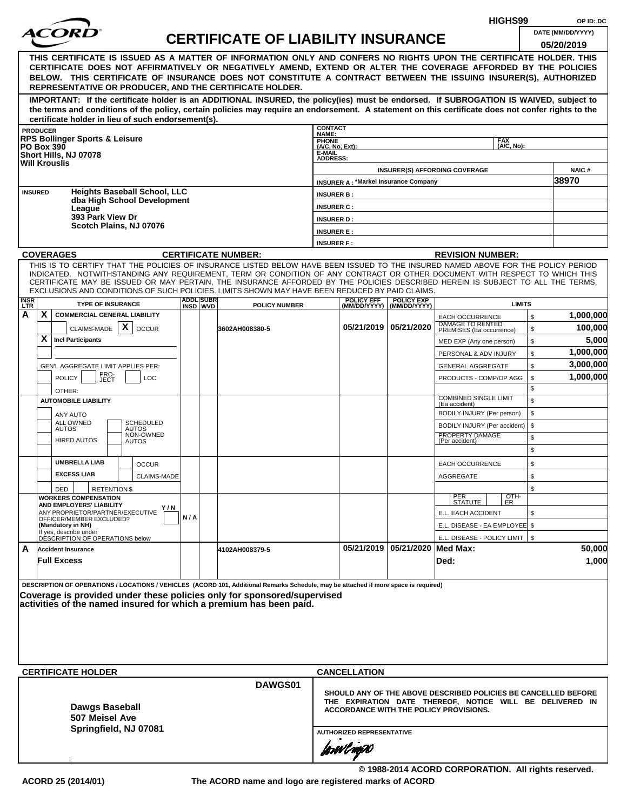|                   |   |                                                                                                                                                                                                                                                              |     |                  |                                           |                                          |                                             |                         | HIGHS99                                                              | OP ID: DC         |
|-------------------|---|--------------------------------------------------------------------------------------------------------------------------------------------------------------------------------------------------------------------------------------------------------------|-----|------------------|-------------------------------------------|------------------------------------------|---------------------------------------------|-------------------------|----------------------------------------------------------------------|-------------------|
|                   |   | <i>ACOR</i>                                                                                                                                                                                                                                                  |     |                  | <b>CERTIFICATE OF LIABILITY INSURANCE</b> |                                          |                                             |                         |                                                                      | DATE (MM/DD/YYYY) |
|                   |   |                                                                                                                                                                                                                                                              |     |                  |                                           |                                          |                                             |                         |                                                                      | 05/20/2019        |
|                   |   | THIS CERTIFICATE IS ISSUED AS A MATTER OF INFORMATION ONLY AND CONFERS NO RIGHTS UPON THE CERTIFICATE HOLDER. THIS<br>CERTIFICATE DOES NOT AFFIRMATIVELY OR NEGATIVELY AMEND, EXTEND OR ALTER THE COVERAGE AFFORDED BY THE POLICIES                          |     |                  |                                           |                                          |                                             |                         |                                                                      |                   |
|                   |   | BELOW. THIS CERTIFICATE OF INSURANCE DOES NOT CONSTITUTE A CONTRACT BETWEEN THE ISSUING INSURER(S), AUTHORIZED<br>REPRESENTATIVE OR PRODUCER, AND THE CERTIFICATE HOLDER.                                                                                    |     |                  |                                           |                                          |                                             |                         |                                                                      |                   |
|                   |   | IMPORTANT: If the certificate holder is an ADDITIONAL INSURED, the policy(ies) must be endorsed. If SUBROGATION IS WAIVED, subject to                                                                                                                        |     |                  |                                           |                                          |                                             |                         |                                                                      |                   |
|                   |   | the terms and conditions of the policy, certain policies may require an endorsement. A statement on this certificate does not confer rights to the                                                                                                           |     |                  |                                           |                                          |                                             |                         |                                                                      |                   |
| <b>PRODUCER</b>   |   | certificate holder in lieu of such endorsement(s).                                                                                                                                                                                                           |     |                  |                                           | <b>CONTACT</b>                           |                                             |                         |                                                                      |                   |
|                   |   | <b>RPS Bollinger Sports &amp; Leisure</b>                                                                                                                                                                                                                    |     |                  |                                           | NAME:<br><b>PHONE</b><br>(A/C, No, Ext): |                                             |                         | <b>FAX</b><br>(A/C, No):                                             |                   |
| <b>PO Box 390</b> |   | Short Hills, NJ 07078                                                                                                                                                                                                                                        |     |                  |                                           | E-MAIL<br><b>ADDRESS:</b>                |                                             |                         |                                                                      |                   |
|                   |   | <b>Will Krouslis</b>                                                                                                                                                                                                                                         |     |                  |                                           |                                          |                                             |                         | <b>INSURER(S) AFFORDING COVERAGE</b>                                 | <b>NAIC#</b>      |
|                   |   |                                                                                                                                                                                                                                                              |     |                  |                                           |                                          | <b>INSURER A: *Markel Insurance Company</b> |                         |                                                                      | 38970             |
| <b>INSURED</b>    |   | <b>Heights Baseball School, LLC</b><br>dba High School Development                                                                                                                                                                                           |     |                  |                                           | <b>INSURER B:</b>                        |                                             |                         |                                                                      |                   |
|                   |   | League<br>393 Park View Dr                                                                                                                                                                                                                                   |     |                  |                                           | <b>INSURER C:</b>                        |                                             |                         |                                                                      |                   |
|                   |   | Scotch Plains, NJ 07076                                                                                                                                                                                                                                      |     |                  |                                           | <b>INSURER D:</b>                        |                                             |                         |                                                                      |                   |
|                   |   |                                                                                                                                                                                                                                                              |     |                  |                                           | <b>INSURER E:</b><br><b>INSURER F:</b>   |                                             |                         |                                                                      |                   |
|                   |   | <b>COVERAGES</b>                                                                                                                                                                                                                                             |     |                  | <b>CERTIFICATE NUMBER:</b>                |                                          |                                             |                         | <b>REVISION NUMBER:</b>                                              |                   |
|                   |   | THIS IS TO CERTIFY THAT THE POLICIES OF INSURANCE LISTED BELOW HAVE BEEN ISSUED TO THE INSURED NAMED ABOVE FOR THE POLICY PERIOD                                                                                                                             |     |                  |                                           |                                          |                                             |                         |                                                                      |                   |
|                   |   | INDICATED. NOTWITHSTANDING ANY REQUIREMENT, TERM OR CONDITION OF ANY CONTRACT OR OTHER DOCUMENT WITH RESPECT TO WHICH THIS<br>CERTIFICATE MAY BE ISSUED OR MAY PERTAIN. THE INSURANCE AFFORDED BY THE POLICIES DESCRIBED HEREIN IS SUBJECT TO ALL THE TERMS. |     |                  |                                           |                                          |                                             |                         |                                                                      |                   |
| <b>INSR</b>       |   | EXCLUSIONS AND CONDITIONS OF SUCH POLICIES. LIMITS SHOWN MAY HAVE BEEN REDUCED BY PAID CLAIMS.                                                                                                                                                               |     | <b>ADDL SUBR</b> |                                           |                                          | <b>POLICY EFF</b>                           | <b>POLICY EXP</b>       |                                                                      |                   |
| <b>LTR</b><br>Α   | X | <b>TYPE OF INSURANCE</b><br><b>COMMERCIAL GENERAL LIABILITY</b>                                                                                                                                                                                              |     | INSD WVD         | <b>POLICY NUMBER</b>                      |                                          | (MM/DD/YYYY)                                | (MM/DD/YYYY)            | <b>LIMITS</b>                                                        | 1,000,000         |
|                   |   | $X$ $_{\text{occUR}}$<br>CLAIMS-MADE                                                                                                                                                                                                                         |     |                  | 3602AH008380-5                            |                                          |                                             | 05/21/2019   05/21/2020 | \$<br><b>EACH OCCURRENCE</b><br>DAMAGE TO RENTED<br>\$               | 100,000           |
|                   | x | <b>Incl Participants</b>                                                                                                                                                                                                                                     |     |                  |                                           |                                          |                                             |                         | PREMISES (Ea occurrence)<br>\$<br>MED EXP (Any one person)           | 5,000             |
|                   |   |                                                                                                                                                                                                                                                              |     |                  |                                           |                                          |                                             |                         | \$<br>PERSONAL & ADV INJURY                                          | 1,000,000         |
|                   |   | GEN'L AGGREGATE LIMIT APPLIES PER:                                                                                                                                                                                                                           |     |                  |                                           |                                          |                                             |                         | \$<br><b>GENERAL AGGREGATE</b>                                       | 3,000,000         |
|                   |   | PRO-<br>JECT<br><b>POLICY</b><br><b>LOC</b>                                                                                                                                                                                                                  |     |                  |                                           |                                          |                                             |                         | \$<br>PRODUCTS - COMP/OP AGG                                         | 1,000,000         |
|                   |   | OTHER:                                                                                                                                                                                                                                                       |     |                  |                                           |                                          |                                             |                         | \$<br><b>COMBINED SINGLE LIMIT</b>                                   |                   |
|                   |   | <b>AUTOMOBILE LIABILITY</b>                                                                                                                                                                                                                                  |     |                  |                                           |                                          |                                             |                         | \$<br>(Ea accident)<br>\$                                            |                   |
|                   |   | ANY AUTO<br>ALL OWNED<br>SCHEDULED                                                                                                                                                                                                                           |     |                  |                                           |                                          |                                             |                         | BODILY INJURY (Per person)<br>\$<br>BODILY INJURY (Per accident)     |                   |
|                   |   | <b>AUTOS</b><br><b>AUTOS</b><br>NON-OWNED<br><b>HIRED AUTOS</b>                                                                                                                                                                                              |     |                  |                                           |                                          |                                             |                         | PROPERTY DAMAGE<br>\$                                                |                   |
|                   |   | <b>AUTOS</b>                                                                                                                                                                                                                                                 |     |                  |                                           |                                          |                                             |                         | (Per accident)<br>\$                                                 |                   |
|                   |   | <b>UMBRELLA LIAB</b><br><b>OCCUR</b>                                                                                                                                                                                                                         |     |                  |                                           |                                          |                                             |                         | \$<br><b>EACH OCCURRENCE</b>                                         |                   |
|                   |   | <b>EXCESS LIAB</b><br>CLAIMS-MADE                                                                                                                                                                                                                            |     |                  |                                           |                                          |                                             |                         | AGGREGATE<br>\$                                                      |                   |
|                   |   | <b>RETENTION \$</b><br>DED                                                                                                                                                                                                                                   |     |                  |                                           |                                          |                                             |                         | \$<br>OTH-                                                           |                   |
|                   |   | <b>WORKERS COMPENSATION</b><br>AND EMPLOYERS' LIABILITY<br>Y / N                                                                                                                                                                                             |     |                  |                                           |                                          |                                             |                         | PER<br>STATUTE<br>ER.                                                |                   |
|                   |   | ANY PROPRIETOR/PARTNER/EXECUTIVE<br> OFFICER/MEMBER EXCLUDED?                                                                                                                                                                                                | N/A |                  |                                           |                                          |                                             |                         | E.L. EACH ACCIDENT<br>\$                                             |                   |
|                   |   | (Mandatory in NH)<br>If yes, describe under<br>DESCRIPTION OF OPERATIONS below                                                                                                                                                                               |     |                  |                                           |                                          |                                             |                         | E.L. DISEASE - EA EMPLOYEE \$<br>E.L. DISEASE - POLICY LIMIT  <br>\$ |                   |
| Α                 |   | <b>Accident Insurance</b>                                                                                                                                                                                                                                    |     |                  | 4102AH008379-5                            |                                          | 05/21/2019                                  | 05/21/2020 Med Max:     |                                                                      | 50,000            |
|                   |   | <b>Full Excess</b>                                                                                                                                                                                                                                           |     |                  |                                           |                                          |                                             |                         | Ded:                                                                 | 1,000             |
|                   |   |                                                                                                                                                                                                                                                              |     |                  |                                           |                                          |                                             |                         |                                                                      |                   |
|                   |   | DESCRIPTION OF OPERATIONS / LOCATIONS / VEHICLES (ACORD 101, Additional Remarks Schedule, may be attached if more space is required)<br>Coverage is provided under these policies only for sponsored/supervised                                              |     |                  |                                           |                                          |                                             |                         |                                                                      |                   |
|                   |   | activities of the named insured for which a premium has been paid.                                                                                                                                                                                           |     |                  |                                           |                                          |                                             |                         |                                                                      |                   |
|                   |   |                                                                                                                                                                                                                                                              |     |                  |                                           |                                          |                                             |                         |                                                                      |                   |
|                   |   |                                                                                                                                                                                                                                                              |     |                  |                                           |                                          |                                             |                         |                                                                      |                   |
|                   |   |                                                                                                                                                                                                                                                              |     |                  |                                           |                                          |                                             |                         |                                                                      |                   |
|                   |   |                                                                                                                                                                                                                                                              |     |                  |                                           |                                          |                                             |                         |                                                                      |                   |
|                   |   | <b>CERTIFICATE HOLDER</b>                                                                                                                                                                                                                                    |     |                  |                                           |                                          | <b>CANCELLATION</b>                         |                         |                                                                      |                   |
|                   |   |                                                                                                                                                                                                                                                              |     |                  | <b>DAWGS01</b>                            |                                          |                                             |                         | SHOULD ANY OF THE ABOVE DESCRIBED POLICIES BE CANCELLED BEFORE       |                   |
|                   |   |                                                                                                                                                                                                                                                              |     |                  |                                           |                                          |                                             |                         | THE EXPIRATION DATE THEREOF, NOTICE WILL BE DELIVERED IN             |                   |
|                   |   | <b>Dawgs Baseball</b><br>507 Meisel Ave                                                                                                                                                                                                                      |     |                  |                                           |                                          |                                             |                         | ACCORDANCE WITH THE POLICY PROVISIONS.                               |                   |
|                   |   | Springfield, NJ 07081                                                                                                                                                                                                                                        |     |                  |                                           |                                          | <b>AUTHORIZED REPRESENTATIVE</b>            |                         |                                                                      |                   |
|                   |   |                                                                                                                                                                                                                                                              |     |                  |                                           |                                          |                                             |                         |                                                                      |                   |
|                   |   |                                                                                                                                                                                                                                                              |     |                  |                                           |                                          | forøvl nop0                                 |                         |                                                                      |                   |
|                   |   |                                                                                                                                                                                                                                                              |     |                  |                                           |                                          |                                             |                         | © 1988-2014 ACORD CORPORATION. All rights reserved.                  |                   |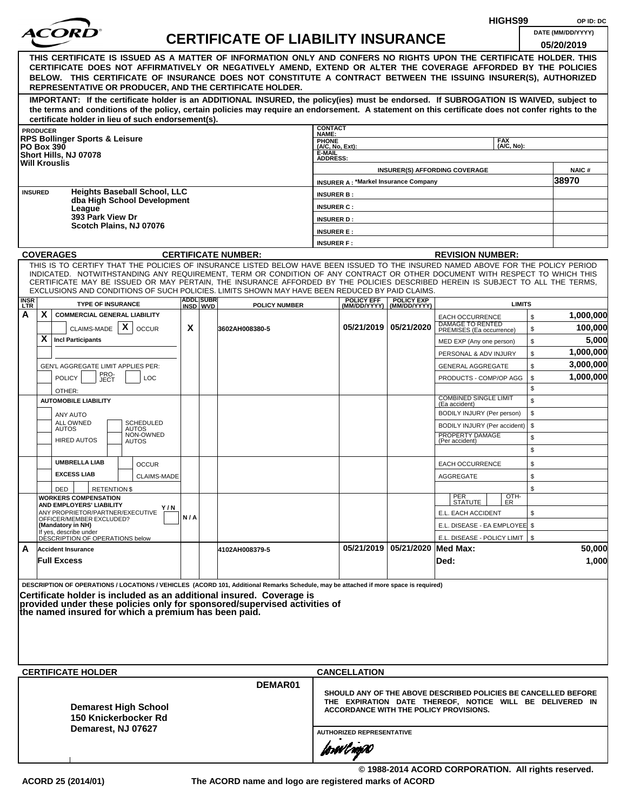|                    |                   |                                                                                                                                                                                                                                                                                                                                                                                                                  |     |                              |                                           |                                        |                                             |                                                |                                                                                                                                                                      | HIGHS99                  |          | OP ID: DC            |
|--------------------|-------------------|------------------------------------------------------------------------------------------------------------------------------------------------------------------------------------------------------------------------------------------------------------------------------------------------------------------------------------------------------------------------------------------------------------------|-----|------------------------------|-------------------------------------------|----------------------------------------|---------------------------------------------|------------------------------------------------|----------------------------------------------------------------------------------------------------------------------------------------------------------------------|--------------------------|----------|----------------------|
|                    |                   | <i>ACOR</i>                                                                                                                                                                                                                                                                                                                                                                                                      |     |                              | <b>CERTIFICATE OF LIABILITY INSURANCE</b> |                                        |                                             |                                                |                                                                                                                                                                      |                          |          | DATE (MM/DD/YYYY)    |
|                    |                   | THIS CERTIFICATE IS ISSUED AS A MATTER OF INFORMATION ONLY AND CONFERS NO RIGHTS UPON THE CERTIFICATE HOLDER. THIS<br>CERTIFICATE DOES NOT AFFIRMATIVELY OR NEGATIVELY AMEND, EXTEND OR ALTER THE COVERAGE AFFORDED BY THE POLICIES<br>BELOW. THIS CERTIFICATE OF INSURANCE DOES NOT CONSTITUTE A CONTRACT BETWEEN THE ISSUING INSURER(S), AUTHORIZED<br>REPRESENTATIVE OR PRODUCER, AND THE CERTIFICATE HOLDER. |     |                              |                                           |                                        |                                             |                                                |                                                                                                                                                                      |                          |          | 05/20/2019           |
|                    |                   | IMPORTANT: If the certificate holder is an ADDITIONAL INSURED, the policy(ies) must be endorsed. If SUBROGATION IS WAIVED, subject to<br>the terms and conditions of the policy, certain policies may require an endorsement. A statement on this certificate does not confer rights to the<br>certificate holder in lieu of such endorsement(s).                                                                |     |                              |                                           |                                        |                                             |                                                |                                                                                                                                                                      |                          |          |                      |
|                    | <b>PRODUCER</b>   |                                                                                                                                                                                                                                                                                                                                                                                                                  |     |                              |                                           | <b>CONTACT</b><br>NAME:                |                                             |                                                |                                                                                                                                                                      |                          |          |                      |
|                    | <b>PO Box 390</b> | <b>RPS Bollinger Sports &amp; Leisure</b>                                                                                                                                                                                                                                                                                                                                                                        |     |                              |                                           | PHONE<br>(A/C, No, Ext):               |                                             |                                                |                                                                                                                                                                      | <b>FAX</b><br>(A/C, No): |          |                      |
|                    |                   | Short Hills, NJ 07078<br><b>Will Krouslis</b>                                                                                                                                                                                                                                                                                                                                                                    |     |                              |                                           | E-MAIL<br><b>ADDRESS:</b>              |                                             |                                                |                                                                                                                                                                      |                          |          |                      |
|                    |                   |                                                                                                                                                                                                                                                                                                                                                                                                                  |     |                              |                                           |                                        |                                             |                                                | <b>INSURER(S) AFFORDING COVERAGE</b>                                                                                                                                 |                          |          | <b>NAIC#</b>         |
| <b>INSURED</b>     |                   | <b>Heights Baseball School, LLC</b>                                                                                                                                                                                                                                                                                                                                                                              |     |                              |                                           |                                        | <b>INSURER A: *Markel Insurance Company</b> |                                                |                                                                                                                                                                      |                          |          | 38970                |
|                    |                   | dba High School Development                                                                                                                                                                                                                                                                                                                                                                                      |     |                              |                                           | <b>INSURER B:</b><br><b>INSURER C:</b> |                                             |                                                |                                                                                                                                                                      |                          |          |                      |
|                    |                   | League<br>393 Park View Dr                                                                                                                                                                                                                                                                                                                                                                                       |     |                              |                                           | <b>INSURER D:</b>                      |                                             |                                                |                                                                                                                                                                      |                          |          |                      |
|                    |                   | Scotch Plains, NJ 07076                                                                                                                                                                                                                                                                                                                                                                                          |     |                              |                                           | <b>INSURER E:</b>                      |                                             |                                                |                                                                                                                                                                      |                          |          |                      |
|                    |                   |                                                                                                                                                                                                                                                                                                                                                                                                                  |     |                              |                                           | <b>INSURER F:</b>                      |                                             |                                                |                                                                                                                                                                      |                          |          |                      |
|                    |                   | <b>COVERAGES</b><br>THIS IS TO CERTIFY THAT THE POLICIES OF INSURANCE LISTED BELOW HAVE BEEN ISSUED TO THE INSURED NAMED ABOVE FOR THE POLICY PERIOD                                                                                                                                                                                                                                                             |     |                              | <b>CERTIFICATE NUMBER:</b>                |                                        |                                             |                                                | <b>REVISION NUMBER:</b>                                                                                                                                              |                          |          |                      |
|                    |                   | INDICATED. NOTWITHSTANDING ANY REQUIREMENT, TERM OR CONDITION OF ANY CONTRACT OR OTHER DOCUMENT WITH RESPECT TO WHICH THIS<br>CERTIFICATE MAY BE ISSUED OR MAY PERTAIN, THE INSURANCE AFFORDED BY THE POLICIES DESCRIBED HEREIN IS SUBJECT TO ALL THE TERMS,<br>EXCLUSIONS AND CONDITIONS OF SUCH POLICIES. LIMITS SHOWN MAY HAVE BEEN REDUCED BY PAID CLAIMS.                                                   |     |                              |                                           |                                        |                                             |                                                |                                                                                                                                                                      |                          |          |                      |
| <b>INSR</b><br>LTR |                   | <b>TYPE OF INSURANCE</b>                                                                                                                                                                                                                                                                                                                                                                                         |     | <b>ADDL SUBR</b><br>INSD WVD | <b>POLICY NUMBER</b>                      |                                        | <b>POLICY EFF</b>                           | <b>POLICY EXP</b><br>(MM/DD/YYYY) (MM/DD/YYYY) |                                                                                                                                                                      | <b>LIMITS</b>            |          |                      |
| Α                  | X                 | <b>COMMERCIAL GENERAL LIABILITY</b><br>CLAIMS-MADE $\mid X \mid$                                                                                                                                                                                                                                                                                                                                                 | X   |                              |                                           |                                        |                                             | 05/21/2019 05/21/2020                          | <b>EACH OCCURRENCE</b><br><b>DAMAGE TO RENTED</b>                                                                                                                    |                          | \$       | 1,000,000<br>100,000 |
|                    | X                 | <b>OCCUR</b><br><b>Incl Participants</b>                                                                                                                                                                                                                                                                                                                                                                         |     |                              | 3602AH008380-5                            |                                        |                                             |                                                | PREMISES (Ea occurrence)<br>MED EXP (Any one person)                                                                                                                 |                          | \$<br>\$ | 5,000                |
|                    |                   |                                                                                                                                                                                                                                                                                                                                                                                                                  |     |                              |                                           |                                        |                                             |                                                | PERSONAL & ADV INJURY                                                                                                                                                |                          | \$       | 1,000,000            |
|                    |                   | GEN'L AGGREGATE LIMIT APPLIES PER:                                                                                                                                                                                                                                                                                                                                                                               |     |                              |                                           |                                        |                                             |                                                | <b>GENERAL AGGREGATE</b>                                                                                                                                             |                          | \$       | 3,000,000            |
|                    |                   | PRO-<br>JECT<br><b>POLICY</b><br><b>LOC</b><br>OTHER:                                                                                                                                                                                                                                                                                                                                                            |     |                              |                                           |                                        |                                             |                                                | PRODUCTS - COMP/OP AGG                                                                                                                                               |                          | \$<br>\$ | 1,000,000            |
|                    |                   | <b>AUTOMOBILE LIABILITY</b>                                                                                                                                                                                                                                                                                                                                                                                      |     |                              |                                           |                                        |                                             |                                                | <b>COMBINED SINGLE LIMIT</b><br>(Ea accident)                                                                                                                        |                          | \$       |                      |
|                    |                   | ANY AUTO<br><b>SCHEDULED</b>                                                                                                                                                                                                                                                                                                                                                                                     |     |                              |                                           |                                        |                                             |                                                | BODILY INJURY (Per person)                                                                                                                                           |                          | \$       |                      |
|                    |                   | ALL OWNED<br><b>AUTOS</b><br>AUTOS<br>NON-OWNED                                                                                                                                                                                                                                                                                                                                                                  |     |                              |                                           |                                        |                                             |                                                | BODILY INJURY (Per accident)<br>PROPERTY DAMAGE                                                                                                                      |                          | \$       |                      |
|                    |                   | <b>HIRED AUTOS</b><br>AUTOS                                                                                                                                                                                                                                                                                                                                                                                      |     |                              |                                           |                                        |                                             |                                                | (Per accident)                                                                                                                                                       |                          | \$<br>\$ |                      |
|                    |                   | <b>UMBRELLA LIAB</b><br><b>OCCUR</b>                                                                                                                                                                                                                                                                                                                                                                             |     |                              |                                           |                                        |                                             |                                                | <b>EACH OCCURRENCE</b>                                                                                                                                               |                          | \$       |                      |
|                    |                   | <b>EXCESS LIAB</b><br><b>CLAIMS-MADE</b>                                                                                                                                                                                                                                                                                                                                                                         |     |                              |                                           |                                        |                                             |                                                | AGGREGATE                                                                                                                                                            |                          | \$       |                      |
|                    |                   | DED<br><b>RETENTION \$</b>                                                                                                                                                                                                                                                                                                                                                                                       |     |                              |                                           |                                        |                                             |                                                |                                                                                                                                                                      |                          | \$       |                      |
|                    |                   | <b>WORKERS COMPENSATION</b><br>AND EMPLOYERS' LIABILITY<br>Y/N                                                                                                                                                                                                                                                                                                                                                   |     |                              |                                           |                                        |                                             |                                                | PER<br>STATUTE                                                                                                                                                       | OTH-<br>ER               |          |                      |
|                    |                   | ANY PROPRIETOR/PARTNER/EXECUTIVE<br>OFFICER/MEMBER EXCLUDED?                                                                                                                                                                                                                                                                                                                                                     | N/A |                              |                                           |                                        |                                             |                                                | E.L. EACH ACCIDENT                                                                                                                                                   |                          | \$       |                      |
|                    |                   | (Mandatory in NH)<br>If yes, describe under                                                                                                                                                                                                                                                                                                                                                                      |     |                              |                                           |                                        |                                             |                                                | E.L. DISEASE - EA EMPLOYEE \$                                                                                                                                        |                          |          |                      |
| A                  |                   | DÉSCRIPTION OF OPERATIONS below<br><b>Accident Insurance</b>                                                                                                                                                                                                                                                                                                                                                     |     |                              | 4102AH008379-5                            |                                        |                                             | 05/21/2019 05/21/2020 Med Max:                 | E.L. DISEASE - POLICY LIMIT   \$                                                                                                                                     |                          |          | 50,000               |
|                    |                   | <b>Full Excess</b>                                                                                                                                                                                                                                                                                                                                                                                               |     |                              |                                           |                                        |                                             |                                                | Ded:                                                                                                                                                                 |                          |          | 1,000                |
|                    |                   | DESCRIPTION OF OPERATIONS / LOCATIONS / VEHICLES (ACORD 101, Additional Remarks Schedule, may be attached if more space is required)<br>Certificate holder is included as an additional insured. Coverage is<br>provided under these policies only for sponsored/supervised activities of<br>the named insured for which a premium has been paid.                                                                |     |                              |                                           |                                        |                                             |                                                |                                                                                                                                                                      |                          |          |                      |
|                    |                   | <b>CERTIFICATE HOLDER</b>                                                                                                                                                                                                                                                                                                                                                                                        |     |                              |                                           |                                        | <b>CANCELLATION</b>                         |                                                |                                                                                                                                                                      |                          |          |                      |
|                    |                   | <b>Demarest High School</b><br>150 Knickerbocker Rd<br>Demarest, NJ 07627                                                                                                                                                                                                                                                                                                                                        |     |                              | DEMAR01                                   |                                        | <b>AUTHORIZED REPRESENTATIVE</b>            |                                                | SHOULD ANY OF THE ABOVE DESCRIBED POLICIES BE CANCELLED BEFORE<br>THE EXPIRATION DATE THEREOF, NOTICE WILL BE DELIVERED IN<br>ACCORDANCE WITH THE POLICY PROVISIONS. |                          |          |                      |
|                    |                   |                                                                                                                                                                                                                                                                                                                                                                                                                  |     |                              |                                           |                                        | forwl now                                   |                                                |                                                                                                                                                                      |                          |          |                      |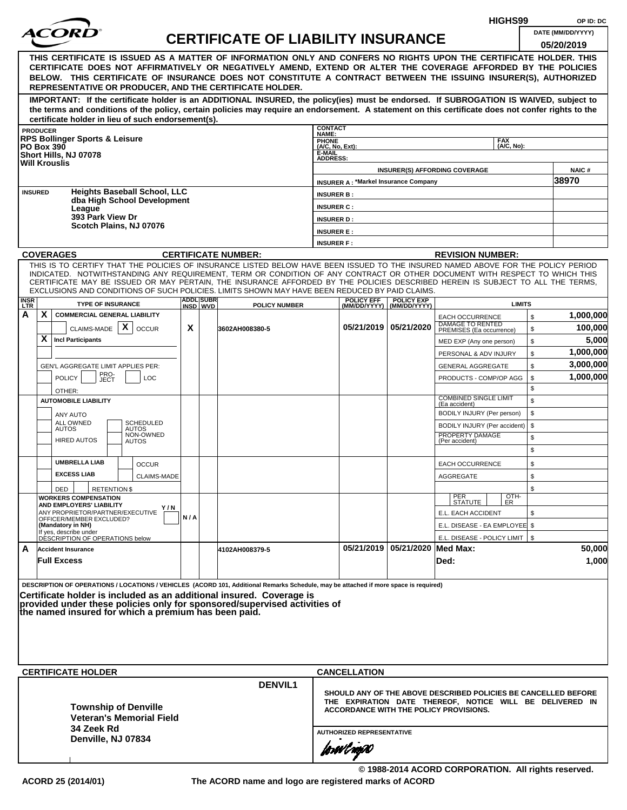|                    |                   |                                                              |                                     |     |                               |                                                                                                                                                                                                                                                              |                                        |                                               |                                                  |                                                 | HIGHS99            |              | OP ID: DC                                                      |
|--------------------|-------------------|--------------------------------------------------------------|-------------------------------------|-----|-------------------------------|--------------------------------------------------------------------------------------------------------------------------------------------------------------------------------------------------------------------------------------------------------------|----------------------------------------|-----------------------------------------------|--------------------------------------------------|-------------------------------------------------|--------------------|--------------|----------------------------------------------------------------|
|                    |                   |                                                              |                                     |     |                               | <b>CERTIFICATE OF LIABILITY INSURANCE</b>                                                                                                                                                                                                                    |                                        |                                               |                                                  |                                                 |                    |              | DATE (MM/DD/YYYY)                                              |
|                    |                   |                                                              |                                     |     |                               |                                                                                                                                                                                                                                                              |                                        |                                               |                                                  |                                                 |                    |              | 05/20/2019                                                     |
|                    |                   |                                                              |                                     |     |                               | THIS CERTIFICATE IS ISSUED AS A MATTER OF INFORMATION ONLY AND CONFERS NO RIGHTS UPON THE CERTIFICATE HOLDER. THIS                                                                                                                                           |                                        |                                               |                                                  |                                                 |                    |              |                                                                |
|                    |                   |                                                              |                                     |     |                               | CERTIFICATE DOES NOT AFFIRMATIVELY OR NEGATIVELY AMEND, EXTEND OR ALTER THE COVERAGE AFFORDED BY THE POLICIES<br>BELOW. THIS CERTIFICATE OF INSURANCE DOES NOT CONSTITUTE A CONTRACT BETWEEN THE ISSUING INSURER(S), AUTHORIZED                              |                                        |                                               |                                                  |                                                 |                    |              |                                                                |
|                    |                   |                                                              |                                     |     |                               | REPRESENTATIVE OR PRODUCER, AND THE CERTIFICATE HOLDER.                                                                                                                                                                                                      |                                        |                                               |                                                  |                                                 |                    |              |                                                                |
|                    |                   |                                                              |                                     |     |                               | IMPORTANT: If the certificate holder is an ADDITIONAL INSURED, the policy(ies) must be endorsed. If SUBROGATION IS WAIVED, subject to                                                                                                                        |                                        |                                               |                                                  |                                                 |                    |              |                                                                |
|                    |                   |                                                              |                                     |     |                               | the terms and conditions of the policy, certain policies may require an endorsement. A statement on this certificate does not confer rights to the                                                                                                           |                                        |                                               |                                                  |                                                 |                    |              |                                                                |
|                    |                   | certificate holder in lieu of such endorsement(s).           |                                     |     |                               |                                                                                                                                                                                                                                                              | <b>CONTACT</b>                         |                                               |                                                  |                                                 |                    |              |                                                                |
|                    | <b>PRODUCER</b>   | <b>RPS Bollinger Sports &amp; Leisure</b>                    |                                     |     |                               |                                                                                                                                                                                                                                                              | NAME:<br><b>PHONE</b>                  |                                               |                                                  |                                                 | <b>FAX</b>         |              |                                                                |
|                    | <b>PO Box 390</b> | Short Hills, NJ 07078                                        |                                     |     |                               |                                                                                                                                                                                                                                                              | (A/C, No, Ext):<br>E-MAIL              |                                               |                                                  |                                                 | (A/C. No):         |              |                                                                |
|                    |                   | <b>Will Krouslis</b>                                         |                                     |     |                               |                                                                                                                                                                                                                                                              | <b>ADDRESS:</b>                        |                                               |                                                  |                                                 |                    |              |                                                                |
|                    |                   |                                                              |                                     |     |                               |                                                                                                                                                                                                                                                              |                                        | <b>INSURER A: *Markel Insurance Company</b>   |                                                  | <b>INSURER(S) AFFORDING COVERAGE</b>            |                    |              | <b>NAIC#</b><br>38970                                          |
|                    | <b>INSURED</b>    |                                                              | <b>Heights Baseball School, LLC</b> |     |                               |                                                                                                                                                                                                                                                              |                                        |                                               |                                                  |                                                 |                    |              |                                                                |
|                    |                   |                                                              | dba High School Development         |     |                               |                                                                                                                                                                                                                                                              | <b>INSURER B:</b><br><b>INSURER C:</b> |                                               |                                                  |                                                 |                    |              |                                                                |
|                    |                   | League<br>393 Park View Dr                                   |                                     |     |                               |                                                                                                                                                                                                                                                              | <b>INSURER D:</b>                      |                                               |                                                  |                                                 |                    |              |                                                                |
|                    |                   | Scotch Plains, NJ 07076                                      |                                     |     |                               |                                                                                                                                                                                                                                                              | <b>INSURER E:</b>                      |                                               |                                                  |                                                 |                    |              |                                                                |
|                    |                   |                                                              |                                     |     |                               |                                                                                                                                                                                                                                                              | <b>INSURER F:</b>                      |                                               |                                                  |                                                 |                    |              |                                                                |
|                    |                   | <b>COVERAGES</b>                                             |                                     |     |                               | <b>CERTIFICATE NUMBER:</b>                                                                                                                                                                                                                                   |                                        |                                               |                                                  | <b>REVISION NUMBER:</b>                         |                    |              |                                                                |
|                    |                   |                                                              |                                     |     |                               | THIS IS TO CERTIFY THAT THE POLICIES OF INSURANCE LISTED BELOW HAVE BEEN ISSUED TO THE INSURED NAMED ABOVE FOR THE POLICY PERIOD                                                                                                                             |                                        |                                               |                                                  |                                                 |                    |              |                                                                |
|                    |                   |                                                              |                                     |     |                               | INDICATED. NOTWITHSTANDING ANY REQUIREMENT, TERM OR CONDITION OF ANY CONTRACT OR OTHER DOCUMENT WITH RESPECT TO WHICH THIS<br>CERTIFICATE MAY BE ISSUED OR MAY PERTAIN, THE INSURANCE AFFORDED BY THE POLICIES DESCRIBED HEREIN IS SUBJECT TO ALL THE TERMS. |                                        |                                               |                                                  |                                                 |                    |              |                                                                |
|                    |                   |                                                              |                                     |     |                               | EXCLUSIONS AND CONDITIONS OF SUCH POLICIES. LIMITS SHOWN MAY HAVE BEEN REDUCED BY PAID CLAIMS.                                                                                                                                                               |                                        |                                               |                                                  |                                                 |                    |              |                                                                |
| <b>INSR</b><br>LTR |                   | <b>TYPE OF INSURANCE</b>                                     |                                     |     | <b>ADDLISUBRI</b><br>INSD WVD | <b>POLICY NUMBER</b>                                                                                                                                                                                                                                         |                                        | <b>POLICY EFF</b>                             | <b>POLICY EXP</b><br>(MM/DD/YYYY)   (MM/DD/YYYY) |                                                 | <b>LIMITS</b>      |              |                                                                |
| А                  | X                 | <b>COMMERCIAL GENERAL LIABILITY</b>                          |                                     |     |                               |                                                                                                                                                                                                                                                              |                                        |                                               |                                                  | <b>EACH OCCURRENCE</b>                          |                    | $\mathbb{S}$ | 1,000,000                                                      |
|                    |                   | CLAIMS-MADE $\mathbf{X}$                                     | <b>OCCUR</b>                        | X   |                               | 3602AH008380-5                                                                                                                                                                                                                                               |                                        |                                               | 05/21/2019   05/21/2020                          | DAMAGE TO RENTED<br>PREMISES (Ea occurrence)    |                    | \$           | 100,000                                                        |
|                    | X                 | <b>Incl Participants</b>                                     |                                     |     |                               |                                                                                                                                                                                                                                                              |                                        |                                               |                                                  | MED EXP (Any one person)                        |                    | \$           | 5,000                                                          |
|                    |                   |                                                              |                                     |     |                               |                                                                                                                                                                                                                                                              |                                        |                                               |                                                  | PERSONAL & ADV INJURY                           |                    | \$           | 1,000,000                                                      |
|                    |                   | GEN'L AGGREGATE LIMIT APPLIES PER:                           |                                     |     |                               |                                                                                                                                                                                                                                                              |                                        |                                               |                                                  | <b>GENERAL AGGREGATE</b>                        |                    | \$           | 3,000,000                                                      |
|                    |                   | PRO-<br>JECT<br><b>POLICY</b>                                | <b>LOC</b>                          |     |                               |                                                                                                                                                                                                                                                              |                                        |                                               |                                                  | PRODUCTS - COMP/OP AGG                          |                    | \$           | 1,000,000                                                      |
|                    |                   | OTHER:                                                       |                                     |     |                               |                                                                                                                                                                                                                                                              |                                        |                                               |                                                  | <b>COMBINED SINGLE LIMIT</b>                    |                    | \$           |                                                                |
|                    |                   | <b>AUTOMOBILE LIABILITY</b>                                  |                                     |     |                               |                                                                                                                                                                                                                                                              |                                        |                                               |                                                  | (Ea accident)                                   |                    | \$           |                                                                |
|                    |                   | ANY AUTO<br>ALL OWNED                                        | <b>SCHEDULED</b>                    |     |                               |                                                                                                                                                                                                                                                              |                                        |                                               |                                                  | BODILY INJURY (Per person)                      |                    | \$<br>\$     |                                                                |
|                    |                   | <b>AUTOS</b>                                                 | <b>AUTOS</b><br>NON-OWNED           |     |                               |                                                                                                                                                                                                                                                              |                                        |                                               |                                                  | BODILY INJURY (Per accident)<br>PROPERTY DAMAGE |                    | \$           |                                                                |
|                    |                   | <b>HIRED AUTOS</b>                                           | <b>AUTOS</b>                        |     |                               |                                                                                                                                                                                                                                                              |                                        |                                               |                                                  | (Per accident)                                  |                    | \$           |                                                                |
|                    |                   | <b>UMBRELLA LIAB</b>                                         |                                     |     |                               |                                                                                                                                                                                                                                                              |                                        |                                               |                                                  | <b>EACH OCCURRENCE</b>                          |                    | \$           |                                                                |
|                    |                   | <b>EXCESS LIAB</b>                                           | <b>OCCUR</b><br>CLAIMS-MADE         |     |                               |                                                                                                                                                                                                                                                              |                                        |                                               |                                                  | <b>AGGREGATE</b>                                |                    | \$           |                                                                |
|                    |                   | <b>RETENTION \$</b><br>DED                                   |                                     |     |                               |                                                                                                                                                                                                                                                              |                                        |                                               |                                                  |                                                 |                    | \$           |                                                                |
|                    |                   | <b>WORKERS COMPENSATION</b>                                  |                                     |     |                               |                                                                                                                                                                                                                                                              |                                        |                                               |                                                  | PER<br>STATUTE                                  | $\frac{[OTH]}{ER}$ |              |                                                                |
|                    |                   | AND EMPLOYERS' LIABILITY<br>ANY PROPRIETOR/PARTNER/EXECUTIVE | Y/N                                 |     |                               |                                                                                                                                                                                                                                                              |                                        |                                               |                                                  | E.L. EACH ACCIDENT                              |                    | \$           |                                                                |
|                    |                   | OFFICER/MEMBER EXCLUDED?<br>(Mandatory in NH)                |                                     | N/A |                               |                                                                                                                                                                                                                                                              |                                        |                                               |                                                  | E.L. DISEASE - EA EMPLOYEE \$                   |                    |              |                                                                |
|                    |                   | If yes, describe under<br>DÉSCRIPTION OF OPERATIONS below    |                                     |     |                               |                                                                                                                                                                                                                                                              |                                        |                                               |                                                  | E.L. DISEASE - POLICY LIMIT   \$                |                    |              |                                                                |
| A                  |                   | <b>Accident Insurance</b>                                    |                                     |     |                               | 4102AH008379-5                                                                                                                                                                                                                                               |                                        |                                               | 05/21/2019   05/21/2020   Med Max:               |                                                 |                    |              | 50,000                                                         |
|                    |                   | <b>Full Excess</b>                                           |                                     |     |                               |                                                                                                                                                                                                                                                              |                                        |                                               |                                                  | Ded:                                            |                    |              | 1,000                                                          |
|                    |                   |                                                              |                                     |     |                               |                                                                                                                                                                                                                                                              |                                        |                                               |                                                  |                                                 |                    |              |                                                                |
|                    |                   |                                                              |                                     |     |                               | DESCRIPTION OF OPERATIONS / LOCATIONS / VEHICLES (ACORD 101, Additional Remarks Schedule, may be attached if more space is required)                                                                                                                         |                                        |                                               |                                                  |                                                 |                    |              |                                                                |
|                    |                   |                                                              |                                     |     |                               | Certificate holder is included as an additional insured. Coverage is<br>provided under these policies only for sponsored/supervised activities of                                                                                                            |                                        |                                               |                                                  |                                                 |                    |              |                                                                |
|                    |                   | the named insured for which a premium has been paid.         |                                     |     |                               |                                                                                                                                                                                                                                                              |                                        |                                               |                                                  |                                                 |                    |              |                                                                |
|                    |                   |                                                              |                                     |     |                               |                                                                                                                                                                                                                                                              |                                        |                                               |                                                  |                                                 |                    |              |                                                                |
|                    |                   |                                                              |                                     |     |                               |                                                                                                                                                                                                                                                              |                                        |                                               |                                                  |                                                 |                    |              |                                                                |
|                    |                   |                                                              |                                     |     |                               |                                                                                                                                                                                                                                                              |                                        |                                               |                                                  |                                                 |                    |              |                                                                |
|                    |                   |                                                              |                                     |     |                               |                                                                                                                                                                                                                                                              |                                        |                                               |                                                  |                                                 |                    |              |                                                                |
|                    |                   | <b>CERTIFICATE HOLDER</b>                                    |                                     |     |                               |                                                                                                                                                                                                                                                              |                                        | <b>CANCELLATION</b>                           |                                                  |                                                 |                    |              |                                                                |
|                    |                   |                                                              |                                     |     |                               | <b>DENVIL1</b>                                                                                                                                                                                                                                               |                                        |                                               |                                                  |                                                 |                    |              | SHOULD ANY OF THE ABOVE DESCRIBED POLICIES BE CANCELLED BEFORE |
|                    |                   | <b>Township of Denville</b>                                  |                                     |     |                               |                                                                                                                                                                                                                                                              |                                        |                                               |                                                  |                                                 |                    |              | THE EXPIRATION DATE THEREOF, NOTICE WILL BE DELIVERED IN       |
|                    |                   |                                                              | <b>Veteran's Memorial Field</b>     |     |                               |                                                                                                                                                                                                                                                              |                                        | <b>ACCORDANCE WITH THE POLICY PROVISIONS.</b> |                                                  |                                                 |                    |              |                                                                |
|                    |                   | 34 Zeek Rd                                                   |                                     |     |                               |                                                                                                                                                                                                                                                              |                                        | <b>AUTHORIZED REPRESENTATIVE</b>              |                                                  |                                                 |                    |              |                                                                |
|                    |                   | Denville, NJ 07834                                           |                                     |     |                               |                                                                                                                                                                                                                                                              |                                        |                                               |                                                  |                                                 |                    |              |                                                                |
|                    |                   |                                                              |                                     |     |                               |                                                                                                                                                                                                                                                              |                                        | forwl now                                     |                                                  |                                                 |                    |              |                                                                |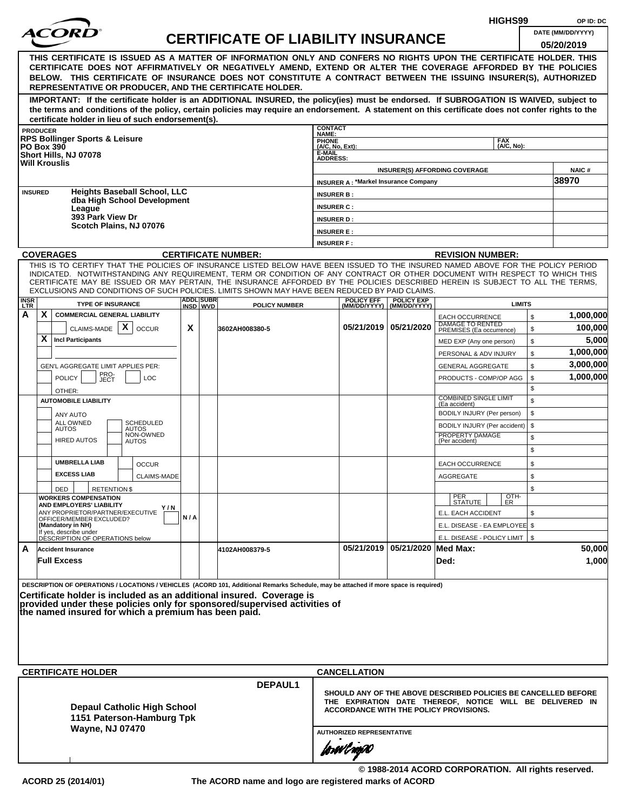|                    |                   |                                                                                                                                                                                                                                                              |     |                              |                                           |                                    |                                                                                                    |                                                |                                                   | HIGHS99       |          | OP ID: DC             |
|--------------------|-------------------|--------------------------------------------------------------------------------------------------------------------------------------------------------------------------------------------------------------------------------------------------------------|-----|------------------------------|-------------------------------------------|------------------------------------|----------------------------------------------------------------------------------------------------|------------------------------------------------|---------------------------------------------------|---------------|----------|-----------------------|
|                    |                   | <i>ACOR</i>                                                                                                                                                                                                                                                  |     |                              | <b>CERTIFICATE OF LIABILITY INSURANCE</b> |                                    |                                                                                                    |                                                |                                                   |               |          | DATE (MM/DD/YYYY)     |
|                    |                   |                                                                                                                                                                                                                                                              |     |                              |                                           |                                    |                                                                                                    |                                                |                                                   |               |          | 05/20/2019            |
|                    |                   | THIS CERTIFICATE IS ISSUED AS A MATTER OF INFORMATION ONLY AND CONFERS NO RIGHTS UPON THE CERTIFICATE HOLDER. THIS                                                                                                                                           |     |                              |                                           |                                    |                                                                                                    |                                                |                                                   |               |          |                       |
|                    |                   | CERTIFICATE DOES NOT AFFIRMATIVELY OR NEGATIVELY AMEND, EXTEND OR ALTER THE COVERAGE AFFORDED BY THE POLICIES<br>BELOW. THIS CERTIFICATE OF INSURANCE DOES NOT CONSTITUTE A CONTRACT BETWEEN THE ISSUING INSURER(S), AUTHORIZED                              |     |                              |                                           |                                    |                                                                                                    |                                                |                                                   |               |          |                       |
|                    |                   | REPRESENTATIVE OR PRODUCER, AND THE CERTIFICATE HOLDER.                                                                                                                                                                                                      |     |                              |                                           |                                    |                                                                                                    |                                                |                                                   |               |          |                       |
|                    |                   | IMPORTANT: If the certificate holder is an ADDITIONAL INSURED, the policy(ies) must be endorsed. If SUBROGATION IS WAIVED, subject to                                                                                                                        |     |                              |                                           |                                    |                                                                                                    |                                                |                                                   |               |          |                       |
|                    |                   | the terms and conditions of the policy, certain policies may require an endorsement. A statement on this certificate does not confer rights to the                                                                                                           |     |                              |                                           |                                    |                                                                                                    |                                                |                                                   |               |          |                       |
|                    | <b>PRODUCER</b>   | certificate holder in lieu of such endorsement(s).                                                                                                                                                                                                           |     |                              |                                           | <b>CONTACT</b>                     |                                                                                                    |                                                |                                                   |               |          |                       |
|                    |                   | <b>RPS Bollinger Sports &amp; Leisure</b>                                                                                                                                                                                                                    |     |                              |                                           | NAME:                              |                                                                                                    |                                                |                                                   | <b>FAX</b>    |          |                       |
|                    | <b>PO Box 390</b> | Short Hills, NJ 07078                                                                                                                                                                                                                                        |     |                              |                                           | PHONE<br>(A/C, No, Ext):<br>E-MAIL |                                                                                                    |                                                |                                                   | (A/C, No):    |          |                       |
|                    |                   | <b>Will Krouslis</b>                                                                                                                                                                                                                                         |     |                              |                                           | <b>ADDRESS:</b>                    |                                                                                                    |                                                |                                                   |               |          |                       |
|                    |                   |                                                                                                                                                                                                                                                              |     |                              |                                           |                                    | <b>INSURER A: *Markel Insurance Company</b>                                                        | <b>INSURER(S) AFFORDING COVERAGE</b>           |                                                   |               |          | <b>NAIC#</b><br>38970 |
| <b>INSURED</b>     |                   | <b>Heights Baseball School, LLC</b>                                                                                                                                                                                                                          |     |                              |                                           | <b>INSURER B:</b>                  |                                                                                                    |                                                |                                                   |               |          |                       |
|                    |                   | dba High School Development                                                                                                                                                                                                                                  |     |                              |                                           | <b>INSURER C:</b>                  |                                                                                                    |                                                |                                                   |               |          |                       |
|                    |                   | League<br>393 Park View Dr                                                                                                                                                                                                                                   |     |                              |                                           | <b>INSURER D:</b>                  |                                                                                                    |                                                |                                                   |               |          |                       |
|                    |                   | Scotch Plains, NJ 07076                                                                                                                                                                                                                                      |     |                              |                                           | <b>INSURER E:</b>                  |                                                                                                    |                                                |                                                   |               |          |                       |
|                    |                   |                                                                                                                                                                                                                                                              |     |                              |                                           | <b>INSURER F:</b>                  |                                                                                                    |                                                |                                                   |               |          |                       |
|                    |                   | <b>COVERAGES</b>                                                                                                                                                                                                                                             |     |                              | <b>CERTIFICATE NUMBER:</b>                |                                    |                                                                                                    |                                                | <b>REVISION NUMBER:</b>                           |               |          |                       |
|                    |                   | THIS IS TO CERTIFY THAT THE POLICIES OF INSURANCE LISTED BELOW HAVE BEEN ISSUED TO THE INSURED NAMED ABOVE FOR THE POLICY PERIOD                                                                                                                             |     |                              |                                           |                                    |                                                                                                    |                                                |                                                   |               |          |                       |
|                    |                   | INDICATED. NOTWITHSTANDING ANY REQUIREMENT, TERM OR CONDITION OF ANY CONTRACT OR OTHER DOCUMENT WITH RESPECT TO WHICH THIS<br>CERTIFICATE MAY BE ISSUED OR MAY PERTAIN, THE INSURANCE AFFORDED BY THE POLICIES DESCRIBED HEREIN IS SUBJECT TO ALL THE TERMS, |     |                              |                                           |                                    |                                                                                                    |                                                |                                                   |               |          |                       |
|                    |                   | EXCLUSIONS AND CONDITIONS OF SUCH POLICIES. LIMITS SHOWN MAY HAVE BEEN REDUCED BY PAID CLAIMS.                                                                                                                                                               |     |                              |                                           |                                    |                                                                                                    |                                                |                                                   |               |          |                       |
| <b>INSR</b><br>LTR |                   | <b>TYPE OF INSURANCE</b>                                                                                                                                                                                                                                     |     | <b>ADDL SUBR</b><br>INSD WVD | <b>POLICY NUMBER</b>                      |                                    | <b>POLICY EFF</b>                                                                                  | <b>POLICY EXP</b><br>(MM/DD/YYYY) (MM/DD/YYYY) |                                                   | <b>LIMITS</b> |          |                       |
| Α                  | X                 | <b>COMMERCIAL GENERAL LIABILITY</b>                                                                                                                                                                                                                          |     |                              |                                           |                                    |                                                                                                    |                                                | <b>EACH OCCURRENCE</b><br><b>DAMAGE TO RENTED</b> |               | \$       | 1,000,000             |
|                    |                   | CLAIMS-MADE $\mid X \mid$<br><b>OCCUR</b>                                                                                                                                                                                                                    | X   |                              | 3602AH008380-5                            |                                    |                                                                                                    | 05/21/2019 05/21/2020                          | PREMISES (Ea occurrence)                          |               | \$       | 100,000               |
|                    | X                 | <b>Incl Participants</b>                                                                                                                                                                                                                                     |     |                              |                                           |                                    |                                                                                                    |                                                | MED EXP (Any one person)                          |               | \$       | 5,000                 |
|                    |                   |                                                                                                                                                                                                                                                              |     |                              |                                           |                                    |                                                                                                    |                                                | PERSONAL & ADV INJURY                             |               | \$       | 1,000,000             |
|                    |                   | GEN'L AGGREGATE LIMIT APPLIES PER:                                                                                                                                                                                                                           |     |                              |                                           |                                    |                                                                                                    |                                                | <b>GENERAL AGGREGATE</b>                          |               | \$       | 3,000,000             |
|                    |                   | PRO-<br>JECT<br><b>POLICY</b><br><b>LOC</b>                                                                                                                                                                                                                  |     |                              |                                           |                                    |                                                                                                    |                                                | PRODUCTS - COMP/OP AGG                            |               | \$<br>\$ | 1,000,000             |
|                    |                   | OTHER:<br><b>AUTOMOBILE LIABILITY</b>                                                                                                                                                                                                                        |     |                              |                                           |                                    |                                                                                                    |                                                | <b>COMBINED SINGLE LIMIT</b>                      |               | \$       |                       |
|                    |                   |                                                                                                                                                                                                                                                              |     |                              |                                           |                                    |                                                                                                    |                                                | (Ea accident)<br>BODILY INJURY (Per person)       |               | \$       |                       |
|                    |                   | ANY AUTO<br><b>SCHEDULED</b><br>ALL OWNED                                                                                                                                                                                                                    |     |                              |                                           |                                    |                                                                                                    |                                                | BODILY INJURY (Per accident)                      |               | \$       |                       |
|                    |                   | <b>AUTOS</b><br>AUTOS<br>NON-OWNED<br><b>HIRED AUTOS</b>                                                                                                                                                                                                     |     |                              |                                           |                                    |                                                                                                    |                                                | PROPERTY DAMAGE<br>(Per accident)                 |               | \$       |                       |
|                    |                   | AUTOS                                                                                                                                                                                                                                                        |     |                              |                                           |                                    |                                                                                                    |                                                |                                                   |               | \$       |                       |
|                    |                   | <b>UMBRELLA LIAB</b><br><b>OCCUR</b>                                                                                                                                                                                                                         |     |                              |                                           |                                    |                                                                                                    |                                                | <b>EACH OCCURRENCE</b>                            |               | \$       |                       |
|                    |                   | <b>EXCESS LIAB</b><br><b>CLAIMS-MADE</b>                                                                                                                                                                                                                     |     |                              |                                           |                                    |                                                                                                    |                                                | AGGREGATE                                         |               | \$       |                       |
|                    |                   | DED<br><b>RETENTION \$</b>                                                                                                                                                                                                                                   |     |                              |                                           |                                    |                                                                                                    |                                                |                                                   |               | \$       |                       |
|                    |                   | <b>WORKERS COMPENSATION</b><br>AND EMPLOYERS' LIABILITY                                                                                                                                                                                                      |     |                              |                                           |                                    |                                                                                                    |                                                | PER<br>STATUTE                                    | OTH-<br>ER    |          |                       |
|                    |                   | Y/N<br>ANY PROPRIETOR/PARTNER/EXECUTIVE<br>OFFICER/MEMBER EXCLUDED?                                                                                                                                                                                          | N/A |                              |                                           |                                    |                                                                                                    |                                                | E.L. EACH ACCIDENT                                |               | \$       |                       |
|                    |                   | (Mandatory in NH)                                                                                                                                                                                                                                            |     |                              |                                           |                                    |                                                                                                    |                                                | E.L. DISEASE - EA EMPLOYEE \$                     |               |          |                       |
|                    |                   | If yes, describe under<br>DÉSCRIPTION OF OPERATIONS below                                                                                                                                                                                                    |     |                              |                                           |                                    |                                                                                                    |                                                | E.L. DISEASE - POLICY LIMIT   \$                  |               |          |                       |
| A                  |                   | <b>Accident Insurance</b>                                                                                                                                                                                                                                    |     |                              | 4102AH008379-5                            |                                    |                                                                                                    | 05/21/2019 05/21/2020 Med Max:                 |                                                   |               |          | 50,000                |
|                    |                   | <b>Full Excess</b>                                                                                                                                                                                                                                           |     |                              |                                           |                                    |                                                                                                    |                                                | Ded:                                              |               |          | 1,000                 |
|                    |                   |                                                                                                                                                                                                                                                              |     |                              |                                           |                                    |                                                                                                    |                                                |                                                   |               |          |                       |
|                    |                   | DESCRIPTION OF OPERATIONS / LOCATIONS / VEHICLES (ACORD 101, Additional Remarks Schedule, may be attached if more space is required)<br>Certificate holder is included as an additional insured. Coverage is                                                 |     |                              |                                           |                                    |                                                                                                    |                                                |                                                   |               |          |                       |
|                    |                   | provided under these policies only for sponsored/supervised activities of                                                                                                                                                                                    |     |                              |                                           |                                    |                                                                                                    |                                                |                                                   |               |          |                       |
|                    |                   | the named insured for which a premium has been paid.                                                                                                                                                                                                         |     |                              |                                           |                                    |                                                                                                    |                                                |                                                   |               |          |                       |
|                    |                   |                                                                                                                                                                                                                                                              |     |                              |                                           |                                    |                                                                                                    |                                                |                                                   |               |          |                       |
|                    |                   |                                                                                                                                                                                                                                                              |     |                              |                                           |                                    |                                                                                                    |                                                |                                                   |               |          |                       |
|                    |                   |                                                                                                                                                                                                                                                              |     |                              |                                           |                                    |                                                                                                    |                                                |                                                   |               |          |                       |
|                    |                   | <b>CERTIFICATE HOLDER</b>                                                                                                                                                                                                                                    |     |                              |                                           |                                    | <b>CANCELLATION</b>                                                                                |                                                |                                                   |               |          |                       |
|                    |                   |                                                                                                                                                                                                                                                              |     |                              | <b>DEPAUL1</b>                            |                                    |                                                                                                    |                                                |                                                   |               |          |                       |
|                    |                   |                                                                                                                                                                                                                                                              |     |                              |                                           |                                    | SHOULD ANY OF THE ABOVE DESCRIBED POLICIES BE CANCELLED BEFORE                                     |                                                |                                                   |               |          |                       |
|                    |                   | <b>Depaul Catholic High School</b>                                                                                                                                                                                                                           |     |                              |                                           |                                    | THE EXPIRATION DATE THEREOF, NOTICE WILL BE DELIVERED IN<br>ACCORDANCE WITH THE POLICY PROVISIONS. |                                                |                                                   |               |          |                       |
|                    |                   | 1151 Paterson-Hamburg Tpk                                                                                                                                                                                                                                    |     |                              |                                           |                                    |                                                                                                    |                                                |                                                   |               |          |                       |
|                    |                   | <b>Wayne, NJ 07470</b>                                                                                                                                                                                                                                       |     |                              |                                           |                                    | <b>AUTHORIZED REPRESENTATIVE</b>                                                                   |                                                |                                                   |               |          |                       |
|                    |                   |                                                                                                                                                                                                                                                              |     |                              |                                           |                                    | forwl now                                                                                          |                                                |                                                   |               |          |                       |
|                    |                   |                                                                                                                                                                                                                                                              |     |                              |                                           |                                    |                                                                                                    |                                                |                                                   |               |          |                       |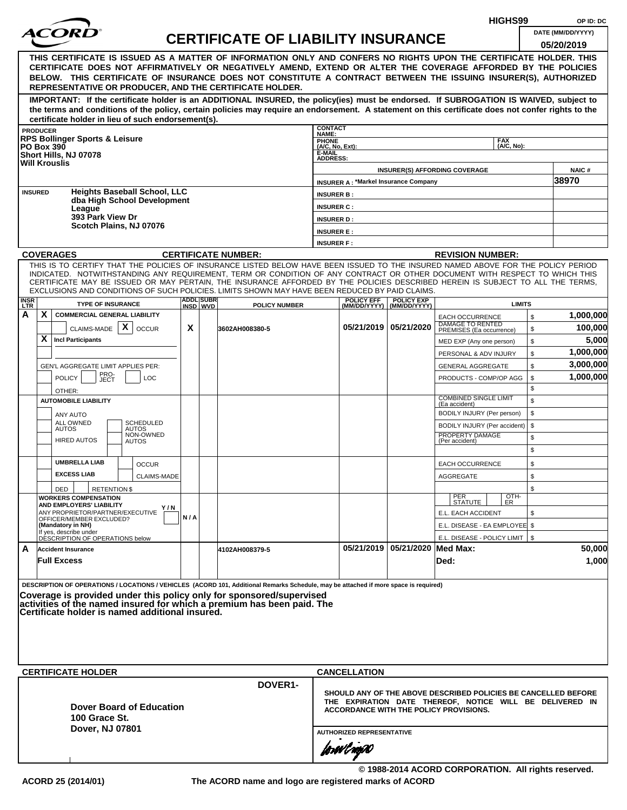|                    |                 |                                                                                |                                                     |     |                               |                                                                                                                                                                                                                                                                                                                                                                                                                                                                                                                                                                                                                                                                                                                 |                           |                                             |                                                  | HIGHS99                                                                                                   |                    | OP ID: DC            |
|--------------------|-----------------|--------------------------------------------------------------------------------|-----------------------------------------------------|-----|-------------------------------|-----------------------------------------------------------------------------------------------------------------------------------------------------------------------------------------------------------------------------------------------------------------------------------------------------------------------------------------------------------------------------------------------------------------------------------------------------------------------------------------------------------------------------------------------------------------------------------------------------------------------------------------------------------------------------------------------------------------|---------------------------|---------------------------------------------|--------------------------------------------------|-----------------------------------------------------------------------------------------------------------|--------------------|----------------------|
|                    |                 |                                                                                |                                                     |     |                               | <b>CERTIFICATE OF LIABILITY INSURANCE</b>                                                                                                                                                                                                                                                                                                                                                                                                                                                                                                                                                                                                                                                                       |                           |                                             |                                                  |                                                                                                           |                    | DATE (MM/DD/YYYY)    |
|                    |                 |                                                                                |                                                     |     |                               | THIS CERTIFICATE IS ISSUED AS A MATTER OF INFORMATION ONLY AND CONFERS NO RIGHTS UPON THE CERTIFICATE HOLDER. THIS<br>CERTIFICATE DOES NOT AFFIRMATIVELY OR NEGATIVELY AMEND, EXTEND OR ALTER THE COVERAGE AFFORDED BY THE POLICIES<br>BELOW. THIS CERTIFICATE OF INSURANCE DOES NOT CONSTITUTE A CONTRACT BETWEEN THE ISSUING INSURER(S), AUTHORIZED<br>REPRESENTATIVE OR PRODUCER, AND THE CERTIFICATE HOLDER.<br>IMPORTANT: If the certificate holder is an ADDITIONAL INSURED, the policy(ies) must be endorsed. If SUBROGATION IS WAIVED, subject to<br>the terms and conditions of the policy, certain policies may require an endorsement. A statement on this certificate does not confer rights to the |                           |                                             |                                                  |                                                                                                           |                    | 05/20/2019           |
|                    | <b>PRODUCER</b> |                                                                                | certificate holder in lieu of such endorsement(s).  |     |                               |                                                                                                                                                                                                                                                                                                                                                                                                                                                                                                                                                                                                                                                                                                                 | <b>CONTACT</b>            |                                             |                                                  |                                                                                                           |                    |                      |
|                    |                 | <b>RPS Bollinger Sports &amp; Leisure</b>                                      |                                                     |     |                               |                                                                                                                                                                                                                                                                                                                                                                                                                                                                                                                                                                                                                                                                                                                 | NAME:<br><b>PHONE</b>     |                                             |                                                  | <b>FAX</b>                                                                                                |                    |                      |
| <b>PO Box 390</b>  |                 | Short Hills, NJ 07078                                                          |                                                     |     |                               |                                                                                                                                                                                                                                                                                                                                                                                                                                                                                                                                                                                                                                                                                                                 | (A/C, No, Ext):<br>E-MAIL |                                             |                                                  | (A/C. No):                                                                                                |                    |                      |
|                    |                 | <b>Will Krouslis</b>                                                           |                                                     |     |                               |                                                                                                                                                                                                                                                                                                                                                                                                                                                                                                                                                                                                                                                                                                                 | <b>ADDRESS:</b>           |                                             |                                                  | <b>INSURER(S) AFFORDING COVERAGE</b>                                                                      |                    | <b>NAIC#</b>         |
|                    |                 |                                                                                |                                                     |     |                               |                                                                                                                                                                                                                                                                                                                                                                                                                                                                                                                                                                                                                                                                                                                 |                           | <b>INSURER A: *Markel Insurance Company</b> |                                                  |                                                                                                           |                    | 38970                |
| <b>INSURED</b>     |                 |                                                                                | <b>Heights Baseball School, LLC</b>                 |     |                               |                                                                                                                                                                                                                                                                                                                                                                                                                                                                                                                                                                                                                                                                                                                 | <b>INSURER B:</b>         |                                             |                                                  |                                                                                                           |                    |                      |
|                    |                 | League                                                                         | dba High School Development                         |     |                               |                                                                                                                                                                                                                                                                                                                                                                                                                                                                                                                                                                                                                                                                                                                 | <b>INSURER C:</b>         |                                             |                                                  |                                                                                                           |                    |                      |
|                    |                 | 393 Park View Dr                                                               | Scotch Plains, NJ 07076                             |     |                               |                                                                                                                                                                                                                                                                                                                                                                                                                                                                                                                                                                                                                                                                                                                 | <b>INSURER D:</b>         |                                             |                                                  |                                                                                                           |                    |                      |
|                    |                 |                                                                                |                                                     |     |                               |                                                                                                                                                                                                                                                                                                                                                                                                                                                                                                                                                                                                                                                                                                                 | <b>INSURER E:</b>         |                                             |                                                  |                                                                                                           |                    |                      |
|                    |                 |                                                                                |                                                     |     |                               |                                                                                                                                                                                                                                                                                                                                                                                                                                                                                                                                                                                                                                                                                                                 | <b>INSURER F:</b>         |                                             |                                                  |                                                                                                           |                    |                      |
|                    |                 | <b>COVERAGES</b>                                                               |                                                     |     |                               | <b>CERTIFICATE NUMBER:</b><br>THIS IS TO CERTIFY THAT THE POLICIES OF INSURANCE LISTED BELOW HAVE BEEN ISSUED TO THE INSURED NAMED ABOVE FOR THE POLICY PERIOD                                                                                                                                                                                                                                                                                                                                                                                                                                                                                                                                                  |                           |                                             |                                                  | <b>REVISION NUMBER:</b>                                                                                   |                    |                      |
|                    |                 |                                                                                |                                                     |     |                               | INDICATED. NOTWITHSTANDING ANY REQUIREMENT, TERM OR CONDITION OF ANY CONTRACT OR OTHER DOCUMENT WITH RESPECT TO WHICH THIS<br>CERTIFICATE MAY BE ISSUED OR MAY PERTAIN, THE INSURANCE AFFORDED BY THE POLICIES DESCRIBED HEREIN IS SUBJECT TO ALL THE TERMS.<br>EXCLUSIONS AND CONDITIONS OF SUCH POLICIES. LIMITS SHOWN MAY HAVE BEEN REDUCED BY PAID CLAIMS.                                                                                                                                                                                                                                                                                                                                                  |                           |                                             |                                                  |                                                                                                           |                    |                      |
| <b>INSR</b><br>LTR |                 |                                                                                | <b>TYPE OF INSURANCE</b>                            |     | <b>ADDLISUBRI</b><br>INSD WVD | <b>POLICY NUMBER</b>                                                                                                                                                                                                                                                                                                                                                                                                                                                                                                                                                                                                                                                                                            |                           | <b>POLICY EFF</b>                           | <b>POLICY EXP</b><br>(MM/DD/YYYY)   (MM/DD/YYYY) | <b>LIMITS</b>                                                                                             |                    |                      |
| А                  | X               | CLAIMS-MADE $\mathbf{X}$                                                       | <b>COMMERCIAL GENERAL LIABILITY</b><br><b>OCCUR</b> | X   |                               | 3602AH008380-5                                                                                                                                                                                                                                                                                                                                                                                                                                                                                                                                                                                                                                                                                                  |                           |                                             | 05/21/2019   05/21/2020                          | <b>EACH OCCURRENCE</b><br>DAMAGE TO RENTED<br>PREMISES (Ea occurrence)                                    | $\mathbb{S}$<br>\$ | 1,000,000<br>100,000 |
|                    | X               | <b>Incl Participants</b>                                                       |                                                     |     |                               |                                                                                                                                                                                                                                                                                                                                                                                                                                                                                                                                                                                                                                                                                                                 |                           |                                             |                                                  | MED EXP (Any one person)                                                                                  | \$                 | 5,000                |
|                    |                 |                                                                                |                                                     |     |                               |                                                                                                                                                                                                                                                                                                                                                                                                                                                                                                                                                                                                                                                                                                                 |                           |                                             |                                                  | PERSONAL & ADV INJURY                                                                                     | \$                 | 1,000,000            |
|                    |                 | GEN'L AGGREGATE LIMIT APPLIES PER:                                             |                                                     |     |                               |                                                                                                                                                                                                                                                                                                                                                                                                                                                                                                                                                                                                                                                                                                                 |                           |                                             |                                                  | <b>GENERAL AGGREGATE</b>                                                                                  | \$                 | 3,000,000            |
|                    |                 | <b>POLICY</b><br>OTHER:                                                        | PRO-<br>JECT<br><b>LOC</b>                          |     |                               |                                                                                                                                                                                                                                                                                                                                                                                                                                                                                                                                                                                                                                                                                                                 |                           |                                             |                                                  | PRODUCTS - COMP/OP AGG                                                                                    | \$<br>\$           | 1,000,000            |
|                    |                 | <b>AUTOMOBILE LIABILITY</b>                                                    |                                                     |     |                               |                                                                                                                                                                                                                                                                                                                                                                                                                                                                                                                                                                                                                                                                                                                 |                           |                                             |                                                  | <b>COMBINED SINGLE LIMIT</b><br>(Ea accident)                                                             | \$                 |                      |
|                    |                 | ANY AUTO                                                                       |                                                     |     |                               |                                                                                                                                                                                                                                                                                                                                                                                                                                                                                                                                                                                                                                                                                                                 |                           |                                             |                                                  | BODILY INJURY (Per person)                                                                                | \$                 |                      |
|                    |                 | ALL OWNED<br><b>AUTOS</b>                                                      | <b>SCHEDULED</b><br><b>AUTOS</b><br>NON-OWNED       |     |                               |                                                                                                                                                                                                                                                                                                                                                                                                                                                                                                                                                                                                                                                                                                                 |                           |                                             |                                                  | BODILY INJURY (Per accident)<br>PROPERTY DAMAGE                                                           | \$                 |                      |
|                    |                 | <b>HIRED AUTOS</b>                                                             | <b>AUTOS</b>                                        |     |                               |                                                                                                                                                                                                                                                                                                                                                                                                                                                                                                                                                                                                                                                                                                                 |                           |                                             |                                                  | (Per accident)                                                                                            | \$<br>\$           |                      |
|                    |                 | <b>UMBRELLA LIAB</b>                                                           | <b>OCCUR</b>                                        |     |                               |                                                                                                                                                                                                                                                                                                                                                                                                                                                                                                                                                                                                                                                                                                                 |                           |                                             |                                                  | <b>EACH OCCURRENCE</b>                                                                                    | \$                 |                      |
|                    |                 | <b>EXCESS LIAB</b>                                                             | <b>CLAIMS-MADE</b>                                  |     |                               |                                                                                                                                                                                                                                                                                                                                                                                                                                                                                                                                                                                                                                                                                                                 |                           |                                             |                                                  | <b>AGGREGATE</b>                                                                                          | \$                 |                      |
|                    |                 | DED<br><b>WORKERS COMPENSATION</b>                                             | <b>RETENTION \$</b>                                 |     |                               |                                                                                                                                                                                                                                                                                                                                                                                                                                                                                                                                                                                                                                                                                                                 |                           |                                             |                                                  |                                                                                                           | \$                 |                      |
|                    |                 | AND EMPLOYERS' LIABILITY                                                       | Y / N                                               |     |                               |                                                                                                                                                                                                                                                                                                                                                                                                                                                                                                                                                                                                                                                                                                                 |                           |                                             |                                                  | $\frac{[OTH]}{ER}$<br>PER<br>STATUTE                                                                      |                    |                      |
|                    |                 | ANY PROPRIETOR/PARTNER/EXECUTIVE<br>OFFICER/MEMBER EXCLUDED?                   |                                                     | N/A |                               |                                                                                                                                                                                                                                                                                                                                                                                                                                                                                                                                                                                                                                                                                                                 |                           |                                             |                                                  | E.L. EACH ACCIDENT                                                                                        | \$                 |                      |
|                    |                 | (Mandatory in NH)<br>If yes, describe under<br>DESCRIPTION OF OPERATIONS below |                                                     |     |                               |                                                                                                                                                                                                                                                                                                                                                                                                                                                                                                                                                                                                                                                                                                                 |                           |                                             |                                                  | E.L. DISEASE - EA EMPLOYEE \$                                                                             |                    |                      |
| A                  |                 | <b>Accident Insurance</b>                                                      |                                                     |     |                               | 4102AH008379-5                                                                                                                                                                                                                                                                                                                                                                                                                                                                                                                                                                                                                                                                                                  |                           |                                             | 05/21/2019 05/21/2020 Med Max:                   | E.L. DISEASE - POLICY LIMIT   \$                                                                          |                    | 50,000               |
|                    |                 | <b>Full Excess</b>                                                             |                                                     |     |                               |                                                                                                                                                                                                                                                                                                                                                                                                                                                                                                                                                                                                                                                                                                                 |                           |                                             |                                                  | Ded:                                                                                                      |                    | 1,000                |
|                    |                 | <b>CERTIFICATE HOLDER</b>                                                      | Certificate holder is named additional insured.     |     |                               | DESCRIPTION OF OPERATIONS / LOCATIONS / VEHICLES (ACORD 101, Additional Remarks Schedule, may be attached if more space is required)<br>Coverage is provided under this policy only for sponsored/supervised<br>activities of the named insured for which a premium has been paid. The                                                                                                                                                                                                                                                                                                                                                                                                                          |                           | <b>CANCELLATION</b>                         |                                                  |                                                                                                           |                    |                      |
|                    |                 |                                                                                |                                                     |     |                               | <b>DOVER1-</b>                                                                                                                                                                                                                                                                                                                                                                                                                                                                                                                                                                                                                                                                                                  |                           |                                             |                                                  | SHOULD ANY OF THE ABOVE DESCRIBED POLICIES BE CANCELLED BEFORE                                            |                    |                      |
|                    |                 | 100 Grace St.<br>Dover, NJ 07801                                               | Dover Board of Education                            |     |                               |                                                                                                                                                                                                                                                                                                                                                                                                                                                                                                                                                                                                                                                                                                                 |                           | <b>AUTHORIZED REPRESENTATIVE</b>            |                                                  | THE EXPIRATION DATE THEREOF, NOTICE WILL BE DELIVERED IN<br><b>ACCORDANCE WITH THE POLICY PROVISIONS.</b> |                    |                      |
|                    |                 |                                                                                |                                                     |     |                               |                                                                                                                                                                                                                                                                                                                                                                                                                                                                                                                                                                                                                                                                                                                 |                           | forwl nop0                                  |                                                  |                                                                                                           |                    |                      |
|                    |                 |                                                                                |                                                     |     |                               |                                                                                                                                                                                                                                                                                                                                                                                                                                                                                                                                                                                                                                                                                                                 |                           |                                             |                                                  | © 1988-2014 ACORD CORPORATION. All rights reserved.                                                       |                    |                      |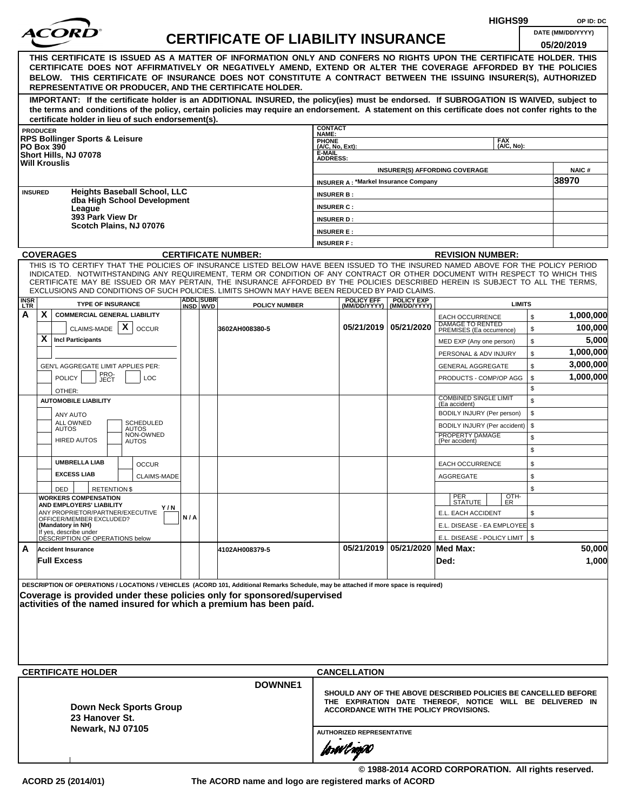|                |                 |                                                                                                                                                                                                                                                                                                                                                                                                                  |     |                  |                                           |                                                 |                                                 |                                | HIGHS99                                                                                                                                                              | OP ID: DC                       |
|----------------|-----------------|------------------------------------------------------------------------------------------------------------------------------------------------------------------------------------------------------------------------------------------------------------------------------------------------------------------------------------------------------------------------------------------------------------------|-----|------------------|-------------------------------------------|-------------------------------------------------|-------------------------------------------------|--------------------------------|----------------------------------------------------------------------------------------------------------------------------------------------------------------------|---------------------------------|
|                |                 | <i>ACORI</i>                                                                                                                                                                                                                                                                                                                                                                                                     |     |                  | <b>CERTIFICATE OF LIABILITY INSURANCE</b> |                                                 |                                                 |                                |                                                                                                                                                                      | DATE (MM/DD/YYYY)<br>05/20/2019 |
|                |                 | THIS CERTIFICATE IS ISSUED AS A MATTER OF INFORMATION ONLY AND CONFERS NO RIGHTS UPON THE CERTIFICATE HOLDER. THIS<br>CERTIFICATE DOES NOT AFFIRMATIVELY OR NEGATIVELY AMEND, EXTEND OR ALTER THE COVERAGE AFFORDED BY THE POLICIES<br>BELOW. THIS CERTIFICATE OF INSURANCE DOES NOT CONSTITUTE A CONTRACT BETWEEN THE ISSUING INSURER(S), AUTHORIZED<br>REPRESENTATIVE OR PRODUCER, AND THE CERTIFICATE HOLDER. |     |                  |                                           |                                                 |                                                 |                                |                                                                                                                                                                      |                                 |
|                |                 | IMPORTANT: If the certificate holder is an ADDITIONAL INSURED, the policy(ies) must be endorsed. If SUBROGATION IS WAIVED, subject to<br>the terms and conditions of the policy, certain policies may require an endorsement. A statement on this certificate does not confer rights to the                                                                                                                      |     |                  |                                           |                                                 |                                                 |                                |                                                                                                                                                                      |                                 |
|                | <b>PRODUCER</b> | certificate holder in lieu of such endorsement(s).                                                                                                                                                                                                                                                                                                                                                               |     |                  |                                           | <b>CONTACT</b>                                  |                                                 |                                |                                                                                                                                                                      |                                 |
|                |                 | <b>RPS Bollinger Sports &amp; Leisure</b><br><b>PO Box 390</b>                                                                                                                                                                                                                                                                                                                                                   |     |                  |                                           | <b>NAME:</b><br><b>PHONE</b><br>(A/C, No, Ext): |                                                 |                                | <b>FAX</b><br>(A/C. No):                                                                                                                                             |                                 |
|                |                 | Short Hills, NJ 07078<br><b>Will Krouslis</b>                                                                                                                                                                                                                                                                                                                                                                    |     |                  |                                           | E-MAIL<br><b>ADDRESS:</b>                       |                                                 |                                | <b>INSURER(S) AFFORDING COVERAGE</b>                                                                                                                                 | <b>NAIC#</b>                    |
|                |                 |                                                                                                                                                                                                                                                                                                                                                                                                                  |     |                  |                                           |                                                 | <b>INSURER A: *Markel Insurance Company</b>     |                                |                                                                                                                                                                      | 38970                           |
| <b>INSURED</b> |                 | <b>Heights Baseball School, LLC</b><br>dba High School Development                                                                                                                                                                                                                                                                                                                                               |     |                  |                                           | <b>INSURER B:</b><br><b>INSURER C:</b>          |                                                 |                                |                                                                                                                                                                      |                                 |
|                |                 | League<br>393 Park View Dr                                                                                                                                                                                                                                                                                                                                                                                       |     |                  |                                           | <b>INSURER D:</b>                               |                                                 |                                |                                                                                                                                                                      |                                 |
|                |                 | Scotch Plains, NJ 07076                                                                                                                                                                                                                                                                                                                                                                                          |     |                  |                                           | <b>INSURER E:</b>                               |                                                 |                                |                                                                                                                                                                      |                                 |
|                |                 |                                                                                                                                                                                                                                                                                                                                                                                                                  |     |                  |                                           | <b>INSURER F:</b>                               |                                                 |                                |                                                                                                                                                                      |                                 |
|                |                 | <b>COVERAGES</b><br>THIS IS TO CERTIFY THAT THE POLICIES OF INSURANCE LISTED BELOW HAVE BEEN ISSUED TO THE INSURED NAMED ABOVE FOR THE POLICY PERIOD                                                                                                                                                                                                                                                             |     |                  | <b>CERTIFICATE NUMBER:</b>                |                                                 |                                                 |                                | <b>REVISION NUMBER:</b>                                                                                                                                              |                                 |
| <b>INSR</b>    |                 | INDICATED. NOTWITHSTANDING ANY REQUIREMENT, TERM OR CONDITION OF ANY CONTRACT OR OTHER DOCUMENT WITH RESPECT TO WHICH THIS<br>CERTIFICATE MAY BE ISSUED OR MAY PERTAIN, THE INSURANCE AFFORDED BY THE POLICIES DESCRIBED HEREIN IS SUBJECT TO ALL THE TERMS,<br>EXCLUSIONS AND CONDITIONS OF SUCH POLICIES. LIMITS SHOWN MAY HAVE BEEN REDUCED BY PAID CLAIMS.<br><b>TYPE OF INSURANCE</b>                       |     | <b>ADDL SUBR</b> |                                           |                                                 | <b>POLICY EFF</b>                               | <b>POLICY EXP</b>              | <b>LIMITS</b>                                                                                                                                                        |                                 |
| LTR<br>A       | X               | <b>COMMERCIAL GENERAL LIABILITY</b>                                                                                                                                                                                                                                                                                                                                                                              |     | INSD WVD         | <b>POLICY NUMBER</b>                      |                                                 |                                                 | (MM/DD/YYYY) (MM/DD/YYYY)      | \$<br><b>EACH OCCURRENCE</b>                                                                                                                                         | 1,000,000                       |
|                |                 | $\mathsf{x}$<br>CLAIMS-MADE<br><b>OCCUR</b>                                                                                                                                                                                                                                                                                                                                                                      |     |                  | 3602AH008380-5                            |                                                 | 05/21/2019 05/21/2020                           |                                | DAMAGE TO RENTED<br>\$<br>PREMISES (Ea occurrence)                                                                                                                   | 100,000                         |
|                | x               | <b>Incl Participants</b>                                                                                                                                                                                                                                                                                                                                                                                         |     |                  |                                           |                                                 |                                                 |                                | \$<br>MED EXP (Any one person)                                                                                                                                       | 5,000                           |
|                |                 |                                                                                                                                                                                                                                                                                                                                                                                                                  |     |                  |                                           |                                                 |                                                 |                                | \$<br>PERSONAL & ADV INJURY                                                                                                                                          | 1,000,000                       |
|                |                 | <b>GEN'L AGGREGATE LIMIT APPLIES PER:</b>                                                                                                                                                                                                                                                                                                                                                                        |     |                  |                                           |                                                 |                                                 |                                | \$<br><b>GENERAL AGGREGATE</b>                                                                                                                                       | 3,000,000                       |
|                |                 | PRO-<br>JECT<br><b>POLICY</b><br><b>LOC</b>                                                                                                                                                                                                                                                                                                                                                                      |     |                  |                                           |                                                 |                                                 |                                | \$<br>PRODUCTS - COMP/OP AGG                                                                                                                                         | 1,000,000                       |
|                |                 | OTHER:                                                                                                                                                                                                                                                                                                                                                                                                           |     |                  |                                           |                                                 |                                                 |                                | \$<br><b>COMBINED SINGLE LIMIT</b>                                                                                                                                   |                                 |
|                |                 | <b>AUTOMOBILE LIABILITY</b>                                                                                                                                                                                                                                                                                                                                                                                      |     |                  |                                           |                                                 |                                                 |                                | \$<br>(Ea accident)                                                                                                                                                  |                                 |
|                |                 | ANY AUTO<br><b>ALL OWNED</b><br><b>SCHEDULED</b>                                                                                                                                                                                                                                                                                                                                                                 |     |                  |                                           |                                                 |                                                 |                                | \$<br>BODILY INJURY (Per person)                                                                                                                                     |                                 |
|                |                 | <b>AUTOS</b><br><b>AUTOS</b><br>NON-OWNED                                                                                                                                                                                                                                                                                                                                                                        |     |                  |                                           |                                                 |                                                 |                                | \$<br>BODILY INJURY (Per accident)<br>PROPERTY DAMAGE<br>\$                                                                                                          |                                 |
|                |                 | <b>HIRED AUTOS</b><br><b>AUTOS</b>                                                                                                                                                                                                                                                                                                                                                                               |     |                  |                                           |                                                 |                                                 |                                | (Per accident)<br>\$                                                                                                                                                 |                                 |
|                |                 | <b>UMBRELLA LIAB</b><br><b>OCCUR</b>                                                                                                                                                                                                                                                                                                                                                                             |     |                  |                                           |                                                 |                                                 |                                | \$<br><b>EACH OCCURRENCE</b>                                                                                                                                         |                                 |
|                |                 | <b>EXCESS LIAB</b><br>CLAIMS-MADE                                                                                                                                                                                                                                                                                                                                                                                |     |                  |                                           |                                                 |                                                 |                                | AGGREGATE<br>\$                                                                                                                                                      |                                 |
|                |                 | DED<br><b>RETENTION \$</b>                                                                                                                                                                                                                                                                                                                                                                                       |     |                  |                                           |                                                 |                                                 |                                | \$                                                                                                                                                                   |                                 |
|                |                 | <b>WORKERS COMPENSATION</b><br><b>AND EMPLOYERS' LIABILITY</b>                                                                                                                                                                                                                                                                                                                                                   |     |                  |                                           |                                                 |                                                 |                                | OTH-<br>PER<br>STATUTE<br>ER.                                                                                                                                        |                                 |
|                |                 | Y/N<br>ANY PROPRIETOR/PARTNER/EXECUTIVE<br>OFFICER/MEMBER EXCLUDED?                                                                                                                                                                                                                                                                                                                                              | N/A |                  |                                           |                                                 |                                                 |                                | E.L. EACH ACCIDENT<br>\$                                                                                                                                             |                                 |
|                |                 | (Mandatory in NH)                                                                                                                                                                                                                                                                                                                                                                                                |     |                  |                                           |                                                 |                                                 |                                | E.L. DISEASE - EA EMPLOYEE \$                                                                                                                                        |                                 |
|                |                 | If yes, describe under<br>DESCRIPTION OF OPERATIONS below                                                                                                                                                                                                                                                                                                                                                        |     |                  |                                           |                                                 |                                                 |                                | E.L. DISEASE - POLICY LIMIT   \$                                                                                                                                     |                                 |
| A              |                 | <b>Accident Insurance</b><br><b>Full Excess</b>                                                                                                                                                                                                                                                                                                                                                                  |     |                  | 4102AH008379-5                            |                                                 |                                                 | 05/21/2019 05/21/2020 Med Max: | Ded:                                                                                                                                                                 | 50,000<br>1,000                 |
|                |                 | DESCRIPTION OF OPERATIONS / LOCATIONS / VEHICLES (ACORD 101, Additional Remarks Schedule, may be attached if more space is required)<br>Coverage is provided under these policies only for sponsored/supervised<br>activities of the named insured for which a premium has been paid.<br><b>CERTIFICATE HOLDER</b>                                                                                               |     |                  | <b>DOWNNE1</b>                            |                                                 | <b>CANCELLATION</b>                             |                                |                                                                                                                                                                      |                                 |
|                |                 | <b>Down Neck Sports Group</b><br>23 Hanover St.<br>Newark, NJ 07105                                                                                                                                                                                                                                                                                                                                              |     |                  |                                           |                                                 | <b>AUTHORIZED REPRESENTATIVE</b><br>forøvl agoo |                                | SHOULD ANY OF THE ABOVE DESCRIBED POLICIES BE CANCELLED BEFORE<br>THE EXPIRATION DATE THEREOF, NOTICE WILL BE DELIVERED IN<br>ACCORDANCE WITH THE POLICY PROVISIONS. |                                 |
|                |                 |                                                                                                                                                                                                                                                                                                                                                                                                                  |     |                  |                                           |                                                 |                                                 |                                | © 1988-2014 ACORD CORPORATION. All rights reserved.                                                                                                                  |                                 |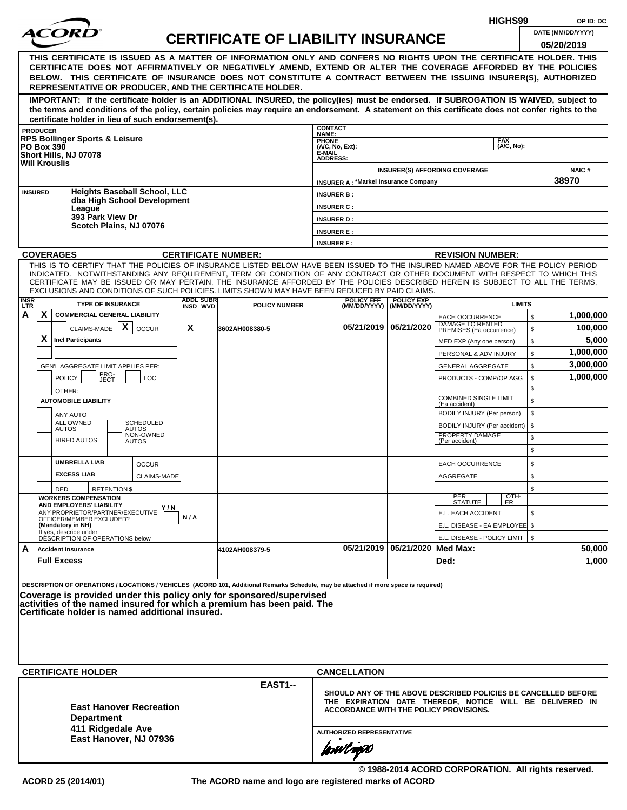|                 |                 |                                                                                                                                                                                                                                                                                                                                                                                                                                                                                                    |     |                  |                                           |                                                                |                                                |                                | HIGHS99                                                                                                                                                                     |          | OP ID: DC            |
|-----------------|-----------------|----------------------------------------------------------------------------------------------------------------------------------------------------------------------------------------------------------------------------------------------------------------------------------------------------------------------------------------------------------------------------------------------------------------------------------------------------------------------------------------------------|-----|------------------|-------------------------------------------|----------------------------------------------------------------|------------------------------------------------|--------------------------------|-----------------------------------------------------------------------------------------------------------------------------------------------------------------------------|----------|----------------------|
|                 |                 |                                                                                                                                                                                                                                                                                                                                                                                                                                                                                                    |     |                  | <b>CERTIFICATE OF LIABILITY INSURANCE</b> |                                                                |                                                |                                |                                                                                                                                                                             |          | DATE (MM/DD/YYYY)    |
|                 |                 |                                                                                                                                                                                                                                                                                                                                                                                                                                                                                                    |     |                  |                                           |                                                                |                                                |                                |                                                                                                                                                                             |          | 05/20/2019           |
|                 |                 | THIS CERTIFICATE IS ISSUED AS A MATTER OF INFORMATION ONLY AND CONFERS NO RIGHTS UPON THE CERTIFICATE HOLDER. THIS<br>CERTIFICATE DOES NOT AFFIRMATIVELY OR NEGATIVELY AMEND, EXTEND OR ALTER THE COVERAGE AFFORDED BY THE POLICIES<br>BELOW. THIS CERTIFICATE OF INSURANCE DOES NOT CONSTITUTE A CONTRACT BETWEEN THE ISSUING INSURER(S), AUTHORIZED<br>REPRESENTATIVE OR PRODUCER, AND THE CERTIFICATE HOLDER.                                                                                   |     |                  |                                           |                                                                |                                                |                                |                                                                                                                                                                             |          |                      |
|                 |                 | IMPORTANT: If the certificate holder is an ADDITIONAL INSURED, the policy(ies) must be endorsed. If SUBROGATION IS WAIVED, subject to<br>the terms and conditions of the policy, certain policies may require an endorsement. A statement on this certificate does not confer rights to the<br>certificate holder in lieu of such endorsement(s).                                                                                                                                                  |     |                  |                                           |                                                                |                                                |                                |                                                                                                                                                                             |          |                      |
|                 | <b>PRODUCER</b> |                                                                                                                                                                                                                                                                                                                                                                                                                                                                                                    |     |                  |                                           | <b>CONTACT</b>                                                 |                                                |                                |                                                                                                                                                                             |          |                      |
|                 |                 | <b>RPS Bollinger Sports &amp; Leisure</b><br><b>PO Box 390</b><br>Short Hills, NJ 07078<br><b>Will Krouslis</b>                                                                                                                                                                                                                                                                                                                                                                                    |     |                  |                                           | NAME:<br>PHONE<br>(A/C, No, Ext):<br>E-MAIL<br><b>ADDRESS:</b> |                                                |                                | <b>FAX</b><br>(A/C, No):                                                                                                                                                    |          |                      |
|                 |                 |                                                                                                                                                                                                                                                                                                                                                                                                                                                                                                    |     |                  |                                           |                                                                |                                                |                                | <b>INSURER(S) AFFORDING COVERAGE</b>                                                                                                                                        |          | NAIC#                |
|                 | <b>INSURED</b>  | <b>Heights Baseball School, LLC</b>                                                                                                                                                                                                                                                                                                                                                                                                                                                                |     |                  |                                           |                                                                | <b>INSURER A: *Markel Insurance Company</b>    |                                |                                                                                                                                                                             |          | 38970                |
|                 |                 | dba High School Development                                                                                                                                                                                                                                                                                                                                                                                                                                                                        |     |                  |                                           | <b>INSURER B:</b><br><b>INSURER C:</b>                         |                                                |                                |                                                                                                                                                                             |          |                      |
|                 |                 | League<br>393 Park View Dr                                                                                                                                                                                                                                                                                                                                                                                                                                                                         |     |                  |                                           | <b>INSURER D:</b>                                              |                                                |                                |                                                                                                                                                                             |          |                      |
|                 |                 | Scotch Plains, NJ 07076                                                                                                                                                                                                                                                                                                                                                                                                                                                                            |     |                  |                                           | <b>INSURER E:</b>                                              |                                                |                                |                                                                                                                                                                             |          |                      |
|                 |                 |                                                                                                                                                                                                                                                                                                                                                                                                                                                                                                    |     |                  |                                           | <b>INSURER F:</b>                                              |                                                |                                |                                                                                                                                                                             |          |                      |
|                 |                 | <b>COVERAGES</b>                                                                                                                                                                                                                                                                                                                                                                                                                                                                                   |     |                  | <b>CERTIFICATE NUMBER:</b>                |                                                                |                                                |                                | <b>REVISION NUMBER:</b>                                                                                                                                                     |          |                      |
|                 |                 | THIS IS TO CERTIFY THAT THE POLICIES OF INSURANCE LISTED BELOW HAVE BEEN ISSUED TO THE INSURED NAMED ABOVE FOR THE POLICY PERIOD<br>INDICATED. NOTWITHSTANDING ANY REQUIREMENT, TERM OR CONDITION OF ANY CONTRACT OR OTHER DOCUMENT WITH RESPECT TO WHICH THIS<br>CERTIFICATE MAY BE ISSUED OR MAY PERTAIN, THE INSURANCE AFFORDED BY THE POLICIES DESCRIBED HEREIN IS SUBJECT TO ALL THE TERMS,<br>EXCLUSIONS AND CONDITIONS OF SUCH POLICIES. LIMITS SHOWN MAY HAVE BEEN REDUCED BY PAID CLAIMS. |     |                  |                                           |                                                                |                                                |                                |                                                                                                                                                                             |          |                      |
| <b>INSR</b>     |                 | <b>TYPE OF INSURANCE</b>                                                                                                                                                                                                                                                                                                                                                                                                                                                                           |     | <b>ADDL SUBR</b> |                                           |                                                                | <b>POLICY EFF</b>                              | <b>POLICY EXP</b>              | <b>LIMITS</b>                                                                                                                                                               |          |                      |
| <b>LTR</b><br>A | X.              | <b>COMMERCIAL GENERAL LIABILITY</b><br>X                                                                                                                                                                                                                                                                                                                                                                                                                                                           | X   | INSD WVD         | <b>POLICY NUMBER</b>                      |                                                                | 05/21/2019 05/21/2020                          | (MM/DD/YYYY)   (MM/DD/YYYY)    | <b>EACH OCCURRENCE</b><br>DAMAGE TO RENTED                                                                                                                                  | \$       | 1,000,000<br>100,000 |
|                 | X               | CLAIMS-MADE<br><b>OCCUR</b><br><b>Incl Participants</b>                                                                                                                                                                                                                                                                                                                                                                                                                                            |     |                  | 3602AH008380-5                            |                                                                |                                                |                                | PREMISES (Ea occurrence)                                                                                                                                                    | \$<br>\$ | 5,000                |
|                 |                 |                                                                                                                                                                                                                                                                                                                                                                                                                                                                                                    |     |                  |                                           |                                                                |                                                |                                | MED EXP (Any one person)<br>PERSONAL & ADV INJURY                                                                                                                           | \$       | 1,000,000            |
|                 |                 | GEN'L AGGREGATE LIMIT APPLIES PER:                                                                                                                                                                                                                                                                                                                                                                                                                                                                 |     |                  |                                           |                                                                |                                                |                                | <b>GENERAL AGGREGATE</b>                                                                                                                                                    | \$       | 3,000,000            |
|                 |                 | PRO-<br><b>POLICY</b><br>LOC<br>JECT                                                                                                                                                                                                                                                                                                                                                                                                                                                               |     |                  |                                           |                                                                |                                                |                                | PRODUCTS - COMP/OP AGG                                                                                                                                                      | \$       | 1,000,000            |
|                 |                 | OTHER:                                                                                                                                                                                                                                                                                                                                                                                                                                                                                             |     |                  |                                           |                                                                |                                                |                                |                                                                                                                                                                             | \$       |                      |
|                 |                 | <b>AUTOMOBILE LIABILITY</b>                                                                                                                                                                                                                                                                                                                                                                                                                                                                        |     |                  |                                           |                                                                |                                                |                                | <b>COMBINED SINGLE LIMIT</b><br>(Ea accident)                                                                                                                               | \$       |                      |
|                 |                 | ANY AUTO                                                                                                                                                                                                                                                                                                                                                                                                                                                                                           |     |                  |                                           |                                                                |                                                |                                | BODILY INJURY (Per person)                                                                                                                                                  | \$       |                      |
|                 |                 | ALL OWNED<br><b>SCHEDULED</b><br><b>AUTOS</b><br><b>AUTOS</b>                                                                                                                                                                                                                                                                                                                                                                                                                                      |     |                  |                                           |                                                                |                                                |                                | BODILY INJURY (Per accident)<br>\$                                                                                                                                          |          |                      |
|                 |                 | NON-OWNED<br><b>HIRED AUTOS</b><br><b>AUTOS</b>                                                                                                                                                                                                                                                                                                                                                                                                                                                    |     |                  |                                           |                                                                |                                                |                                | PROPERTY DAMAGE<br>(Per accident)                                                                                                                                           | \$<br>\$ |                      |
|                 |                 | <b>UMBRELLA LIAB</b><br><b>OCCUR</b>                                                                                                                                                                                                                                                                                                                                                                                                                                                               |     |                  |                                           |                                                                |                                                |                                | EACH OCCURRENCE                                                                                                                                                             | \$       |                      |
|                 |                 | <b>EXCESS LIAB</b><br><b>CLAIMS-MADE</b>                                                                                                                                                                                                                                                                                                                                                                                                                                                           |     |                  |                                           |                                                                |                                                |                                | <b>AGGREGATE</b>                                                                                                                                                            | \$       |                      |
|                 |                 | DED<br><b>RETENTION \$</b>                                                                                                                                                                                                                                                                                                                                                                                                                                                                         |     |                  |                                           |                                                                |                                                |                                |                                                                                                                                                                             | \$       |                      |
|                 |                 | <b>WORKERS COMPENSATION</b><br>AND EMPLOYERS' LIABILITY<br>Y / N<br>ANY PROPRIETOR/PARTNER/EXECUTIVE                                                                                                                                                                                                                                                                                                                                                                                               |     |                  |                                           |                                                                |                                                |                                | OTH-<br>PER<br>STATUTE<br>ER<br>E.L. EACH ACCIDENT                                                                                                                          | \$       |                      |
|                 |                 | OFFICER/MEMBER EXCLUDED?<br>(Mandatory in NH)                                                                                                                                                                                                                                                                                                                                                                                                                                                      | N/A |                  |                                           |                                                                |                                                |                                | E.L. DISEASE - EA EMPLOYEE \$                                                                                                                                               |          |                      |
|                 |                 | If yes, describe under<br>DESCRIPTION OF OPERATIONS below                                                                                                                                                                                                                                                                                                                                                                                                                                          |     |                  |                                           |                                                                |                                                |                                | E.L. DISEASE - POLICY LIMIT   \$                                                                                                                                            |          |                      |
| A               |                 | <b>Accident Insurance</b>                                                                                                                                                                                                                                                                                                                                                                                                                                                                          |     |                  | 4102AH008379-5                            |                                                                |                                                | 05/21/2019 05/21/2020 Med Max: |                                                                                                                                                                             |          | 50,000               |
|                 |                 | <b>Full Excess</b>                                                                                                                                                                                                                                                                                                                                                                                                                                                                                 |     |                  |                                           |                                                                |                                                |                                | Ded:                                                                                                                                                                        |          | 1,000                |
|                 |                 | DESCRIPTION OF OPERATIONS / LOCATIONS / VEHICLES (ACORD 101, Additional Remarks Schedule, may be attached if more space is required)<br>Coverage is provided under this policy only for sponsored/supervised<br>activities of the named insured for which a premium has been paid. The<br>Certificate holder is named additional insured.                                                                                                                                                          |     |                  |                                           |                                                                |                                                |                                |                                                                                                                                                                             |          |                      |
|                 |                 |                                                                                                                                                                                                                                                                                                                                                                                                                                                                                                    |     |                  |                                           |                                                                |                                                |                                |                                                                                                                                                                             |          |                      |
|                 |                 | <b>CERTIFICATE HOLDER</b><br><b>East Hanover Recreation</b><br><b>Department</b>                                                                                                                                                                                                                                                                                                                                                                                                                   |     |                  | <b>EAST1--</b>                            |                                                                | <b>CANCELLATION</b>                            |                                | SHOULD ANY OF THE ABOVE DESCRIBED POLICIES BE CANCELLED BEFORE<br>THE EXPIRATION DATE THEREOF, NOTICE WILL BE DELIVERED IN<br><b>ACCORDANCE WITH THE POLICY PROVISIONS.</b> |          |                      |
|                 |                 | 411 Ridgedale Ave<br>East Hanover, NJ 07936                                                                                                                                                                                                                                                                                                                                                                                                                                                        |     |                  |                                           |                                                                | <b>AUTHORIZED REPRESENTATIVE</b><br>forwl nop0 |                                |                                                                                                                                                                             |          |                      |
|                 |                 |                                                                                                                                                                                                                                                                                                                                                                                                                                                                                                    |     |                  |                                           |                                                                |                                                |                                |                                                                                                                                                                             |          |                      |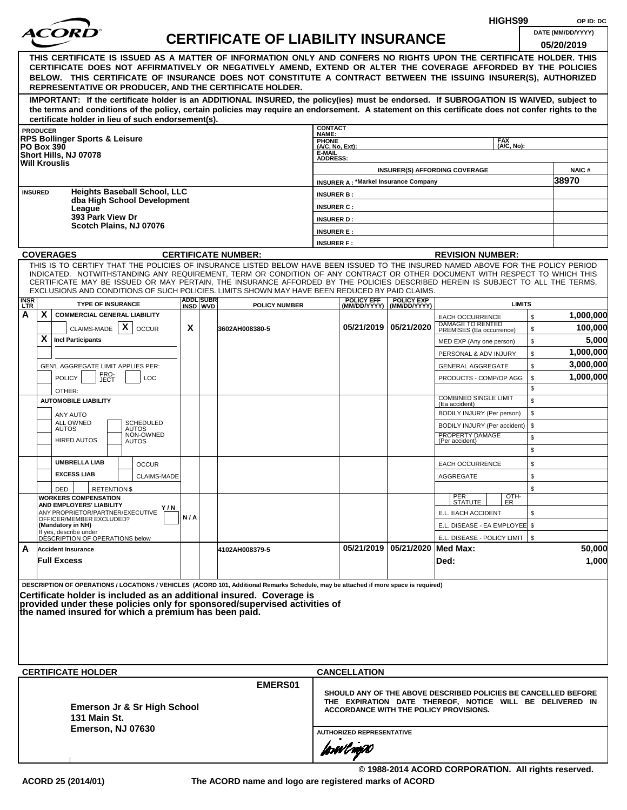|                    |                   |                                                                                                                                                                                                                                                              |     |                              |                                           |                                   |                                             |                                                | HIGHS99                                                                                                                    |          | OP ID: DC         |
|--------------------|-------------------|--------------------------------------------------------------------------------------------------------------------------------------------------------------------------------------------------------------------------------------------------------------|-----|------------------------------|-------------------------------------------|-----------------------------------|---------------------------------------------|------------------------------------------------|----------------------------------------------------------------------------------------------------------------------------|----------|-------------------|
|                    |                   | <i>ACOR</i>                                                                                                                                                                                                                                                  |     |                              | <b>CERTIFICATE OF LIABILITY INSURANCE</b> |                                   |                                             |                                                |                                                                                                                            |          | DATE (MM/DD/YYYY) |
|                    |                   |                                                                                                                                                                                                                                                              |     |                              |                                           |                                   |                                             |                                                |                                                                                                                            |          | 05/20/2019        |
|                    |                   | THIS CERTIFICATE IS ISSUED AS A MATTER OF INFORMATION ONLY AND CONFERS NO RIGHTS UPON THE CERTIFICATE HOLDER. THIS<br>CERTIFICATE DOES NOT AFFIRMATIVELY OR NEGATIVELY AMEND, EXTEND OR ALTER THE COVERAGE AFFORDED BY THE POLICIES                          |     |                              |                                           |                                   |                                             |                                                |                                                                                                                            |          |                   |
|                    |                   | BELOW. THIS CERTIFICATE OF INSURANCE DOES NOT CONSTITUTE A CONTRACT BETWEEN THE ISSUING INSURER(S), AUTHORIZED                                                                                                                                               |     |                              |                                           |                                   |                                             |                                                |                                                                                                                            |          |                   |
|                    |                   | REPRESENTATIVE OR PRODUCER, AND THE CERTIFICATE HOLDER.                                                                                                                                                                                                      |     |                              |                                           |                                   |                                             |                                                |                                                                                                                            |          |                   |
|                    |                   | IMPORTANT: If the certificate holder is an ADDITIONAL INSURED, the policy(ies) must be endorsed. If SUBROGATION IS WAIVED, subject to                                                                                                                        |     |                              |                                           |                                   |                                             |                                                |                                                                                                                            |          |                   |
|                    |                   | the terms and conditions of the policy, certain policies may require an endorsement. A statement on this certificate does not confer rights to the                                                                                                           |     |                              |                                           |                                   |                                             |                                                |                                                                                                                            |          |                   |
|                    | <b>PRODUCER</b>   | certificate holder in lieu of such endorsement(s).                                                                                                                                                                                                           |     |                              |                                           | <b>CONTACT</b>                    |                                             |                                                |                                                                                                                            |          |                   |
|                    |                   | <b>RPS Bollinger Sports &amp; Leisure</b>                                                                                                                                                                                                                    |     |                              |                                           | NAME:<br>PHONE<br>(A/C, No, Ext): |                                             |                                                | <b>FAX</b>                                                                                                                 |          |                   |
|                    | <b>PO Box 390</b> | Short Hills, NJ 07078                                                                                                                                                                                                                                        |     |                              |                                           | E-MAIL                            |                                             |                                                | (A/C, No):                                                                                                                 |          |                   |
|                    |                   | <b>Will Krouslis</b>                                                                                                                                                                                                                                         |     |                              |                                           | <b>ADDRESS:</b>                   |                                             |                                                |                                                                                                                            |          | <b>NAIC#</b>      |
|                    |                   |                                                                                                                                                                                                                                                              |     |                              |                                           |                                   | <b>INSURER A: *Markel Insurance Company</b> |                                                | <b>INSURER(S) AFFORDING COVERAGE</b>                                                                                       |          | 38970             |
| <b>INSURED</b>     |                   | <b>Heights Baseball School, LLC</b>                                                                                                                                                                                                                          |     |                              |                                           | <b>INSURER B:</b>                 |                                             |                                                |                                                                                                                            |          |                   |
|                    |                   | dba High School Development                                                                                                                                                                                                                                  |     |                              |                                           | <b>INSURER C:</b>                 |                                             |                                                |                                                                                                                            |          |                   |
|                    |                   | League<br>393 Park View Dr                                                                                                                                                                                                                                   |     |                              |                                           | <b>INSURER D:</b>                 |                                             |                                                |                                                                                                                            |          |                   |
|                    |                   | Scotch Plains, NJ 07076                                                                                                                                                                                                                                      |     |                              |                                           | <b>INSURER E:</b>                 |                                             |                                                |                                                                                                                            |          |                   |
|                    |                   |                                                                                                                                                                                                                                                              |     |                              |                                           | <b>INSURER F:</b>                 |                                             |                                                |                                                                                                                            |          |                   |
|                    |                   | <b>COVERAGES</b>                                                                                                                                                                                                                                             |     |                              | <b>CERTIFICATE NUMBER:</b>                |                                   |                                             |                                                | <b>REVISION NUMBER:</b>                                                                                                    |          |                   |
|                    |                   | THIS IS TO CERTIFY THAT THE POLICIES OF INSURANCE LISTED BELOW HAVE BEEN ISSUED TO THE INSURED NAMED ABOVE FOR THE POLICY PERIOD                                                                                                                             |     |                              |                                           |                                   |                                             |                                                |                                                                                                                            |          |                   |
|                    |                   | INDICATED. NOTWITHSTANDING ANY REQUIREMENT, TERM OR CONDITION OF ANY CONTRACT OR OTHER DOCUMENT WITH RESPECT TO WHICH THIS<br>CERTIFICATE MAY BE ISSUED OR MAY PERTAIN, THE INSURANCE AFFORDED BY THE POLICIES DESCRIBED HEREIN IS SUBJECT TO ALL THE TERMS. |     |                              |                                           |                                   |                                             |                                                |                                                                                                                            |          |                   |
|                    |                   | EXCLUSIONS AND CONDITIONS OF SUCH POLICIES. LIMITS SHOWN MAY HAVE BEEN REDUCED BY PAID CLAIMS.                                                                                                                                                               |     |                              |                                           |                                   |                                             |                                                |                                                                                                                            |          |                   |
| <b>INSR</b><br>LTR |                   | <b>TYPE OF INSURANCE</b>                                                                                                                                                                                                                                     |     | <b>ADDL SUBR</b><br>INSD WVD | <b>POLICY NUMBER</b>                      |                                   | <b>POLICY EFF</b>                           | <b>POLICY EXP</b><br>(MM/DD/YYYY) (MM/DD/YYYY) | <b>LIMITS</b>                                                                                                              |          |                   |
| A                  | X.                | <b>COMMERCIAL GENERAL LIABILITY</b>                                                                                                                                                                                                                          |     |                              |                                           |                                   |                                             |                                                | <b>EACH OCCURRENCE</b>                                                                                                     | \$       | 1,000,000         |
|                    |                   | X<br>CLAIMS-MADE<br><b>OCCUR</b>                                                                                                                                                                                                                             | X   |                              | 3602AH008380-5                            |                                   |                                             | 05/21/2019 05/21/2020                          | DAMAGE TO RENTED<br>PREMISES (Ea occurrence)                                                                               | \$       | 100,000           |
|                    | X                 | <b>Incl Participants</b>                                                                                                                                                                                                                                     |     |                              |                                           |                                   |                                             |                                                | MED EXP (Any one person)                                                                                                   | \$       | 5,000             |
|                    |                   |                                                                                                                                                                                                                                                              |     |                              |                                           |                                   |                                             |                                                | PERSONAL & ADV INJURY                                                                                                      | \$       | 1,000,000         |
|                    |                   | GEN'L AGGREGATE LIMIT APPLIES PER:                                                                                                                                                                                                                           |     |                              |                                           |                                   |                                             |                                                | <b>GENERAL AGGREGATE</b>                                                                                                   | \$       | 3,000,000         |
|                    |                   | PRO-<br>JECT<br><b>POLICY</b><br><b>LOC</b>                                                                                                                                                                                                                  |     |                              |                                           |                                   |                                             |                                                | PRODUCTS - COMP/OP AGG                                                                                                     | \$       | 1,000,000         |
|                    |                   | OTHER:                                                                                                                                                                                                                                                       |     |                              |                                           |                                   |                                             |                                                | <b>COMBINED SINGLE LIMIT</b>                                                                                               | \$       |                   |
|                    |                   | <b>AUTOMOBILE LIABILITY</b>                                                                                                                                                                                                                                  |     |                              |                                           |                                   |                                             |                                                | (Ea accident)                                                                                                              | \$       |                   |
|                    |                   | ANY AUTO<br>ALL OWNED<br><b>SCHEDULED</b>                                                                                                                                                                                                                    |     |                              |                                           |                                   |                                             |                                                | BODILY INJURY (Per person)                                                                                                 | \$       |                   |
|                    |                   | <b>AUTOS</b><br>AUTOS<br>NON-OWNED                                                                                                                                                                                                                           |     |                              |                                           |                                   |                                             |                                                | BODILY INJURY (Per accident)<br>PROPERTY DAMAGE                                                                            | \$       |                   |
|                    |                   | <b>HIRED AUTOS</b><br><b>AUTOS</b>                                                                                                                                                                                                                           |     |                              |                                           |                                   |                                             |                                                | (Per accident)                                                                                                             | \$<br>\$ |                   |
|                    |                   | <b>UMBRELLA LIAB</b>                                                                                                                                                                                                                                         |     |                              |                                           |                                   |                                             |                                                |                                                                                                                            |          |                   |
|                    |                   | <b>OCCUR</b><br><b>EXCESS LIAB</b>                                                                                                                                                                                                                           |     |                              |                                           |                                   |                                             |                                                | <b>EACH OCCURRENCE</b>                                                                                                     | \$       |                   |
|                    |                   | <b>CLAIMS-MADE</b>                                                                                                                                                                                                                                           |     |                              |                                           |                                   |                                             |                                                | AGGREGATE                                                                                                                  | \$<br>\$ |                   |
|                    |                   | DED<br><b>RETENTION \$</b><br><b>WORKERS COMPENSATION</b>                                                                                                                                                                                                    |     |                              |                                           |                                   |                                             |                                                | PER<br>STATUTE<br>$\frac{[OTH]}{ER}$                                                                                       |          |                   |
|                    |                   | AND EMPLOYERS' LIABILITY<br>Y/N<br>ANY PROPRIETOR/PARTNER/EXECUTIVE                                                                                                                                                                                          |     |                              |                                           |                                   |                                             |                                                | E.L. EACH ACCIDENT                                                                                                         | \$       |                   |
|                    |                   | OFFICER/MEMBER EXCLUDED?<br>(Mandatory in NH)                                                                                                                                                                                                                | N/A |                              |                                           |                                   |                                             |                                                | E.L. DISEASE - EA EMPLOYEE \$                                                                                              |          |                   |
|                    |                   | If yes, describe under<br>DÉSCRIPTION OF OPERATIONS below                                                                                                                                                                                                    |     |                              |                                           |                                   |                                             |                                                | E.L. DISEASE - POLICY LIMIT   \$                                                                                           |          |                   |
| A                  |                   | <b>Accident Insurance</b>                                                                                                                                                                                                                                    |     |                              | 4102AH008379-5                            |                                   |                                             | 05/21/2019 05/21/2020 Med Max:                 |                                                                                                                            |          | 50,000            |
|                    |                   | <b>Full Excess</b>                                                                                                                                                                                                                                           |     |                              |                                           |                                   |                                             |                                                | Ded:                                                                                                                       |          | 1,000             |
|                    |                   |                                                                                                                                                                                                                                                              |     |                              |                                           |                                   |                                             |                                                |                                                                                                                            |          |                   |
|                    |                   | DESCRIPTION OF OPERATIONS / LOCATIONS / VEHICLES (ACORD 101, Additional Remarks Schedule, may be attached if more space is required)                                                                                                                         |     |                              |                                           |                                   |                                             |                                                |                                                                                                                            |          |                   |
|                    |                   | Certificate holder is included as an additional insured. Coverage is                                                                                                                                                                                         |     |                              |                                           |                                   |                                             |                                                |                                                                                                                            |          |                   |
|                    |                   | provided under these policies only for sponsored/supervised activities of<br>the named insured for which a premium has been paid.                                                                                                                            |     |                              |                                           |                                   |                                             |                                                |                                                                                                                            |          |                   |
|                    |                   |                                                                                                                                                                                                                                                              |     |                              |                                           |                                   |                                             |                                                |                                                                                                                            |          |                   |
|                    |                   |                                                                                                                                                                                                                                                              |     |                              |                                           |                                   |                                             |                                                |                                                                                                                            |          |                   |
|                    |                   |                                                                                                                                                                                                                                                              |     |                              |                                           |                                   |                                             |                                                |                                                                                                                            |          |                   |
|                    |                   |                                                                                                                                                                                                                                                              |     |                              |                                           |                                   |                                             |                                                |                                                                                                                            |          |                   |
|                    |                   | <b>CERTIFICATE HOLDER</b>                                                                                                                                                                                                                                    |     |                              |                                           |                                   | <b>CANCELLATION</b>                         |                                                |                                                                                                                            |          |                   |
|                    |                   |                                                                                                                                                                                                                                                              |     |                              | EMERS01                                   |                                   |                                             |                                                |                                                                                                                            |          |                   |
|                    |                   |                                                                                                                                                                                                                                                              |     |                              |                                           |                                   |                                             |                                                | SHOULD ANY OF THE ABOVE DESCRIBED POLICIES BE CANCELLED BEFORE<br>THE EXPIRATION DATE THEREOF, NOTICE WILL BE DELIVERED IN |          |                   |
|                    |                   | Emerson Jr & Sr High School                                                                                                                                                                                                                                  |     |                              |                                           |                                   |                                             |                                                | <b>ACCORDANCE WITH THE POLICY PROVISIONS.</b>                                                                              |          |                   |
|                    |                   | <b>131 Main St.</b><br>Emerson, NJ 07630                                                                                                                                                                                                                     |     |                              |                                           |                                   |                                             |                                                |                                                                                                                            |          |                   |
|                    |                   |                                                                                                                                                                                                                                                              |     |                              |                                           |                                   | <b>AUTHORIZED REPRESENTATIVE</b>            |                                                |                                                                                                                            |          |                   |
|                    |                   |                                                                                                                                                                                                                                                              |     |                              |                                           |                                   | forwl now                                   |                                                |                                                                                                                            |          |                   |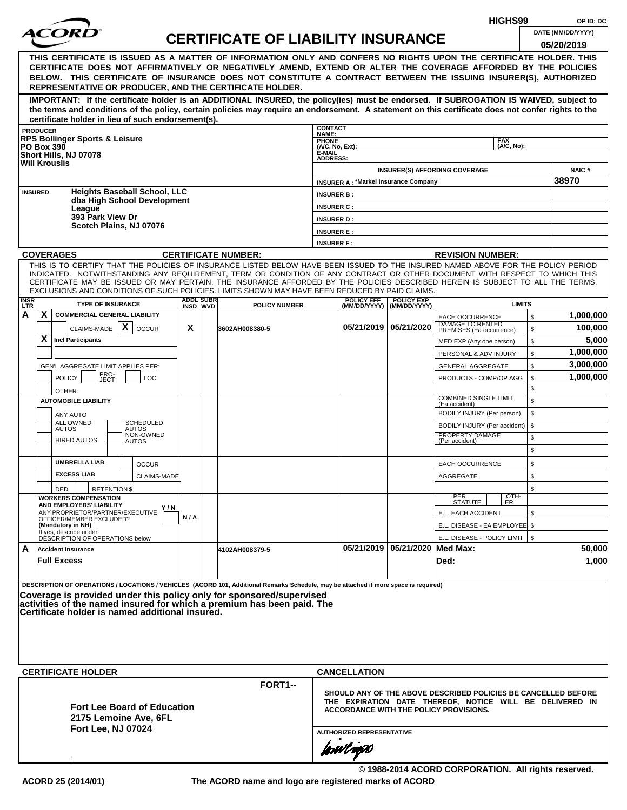|                                                                                                                                                                                                                                                |                                                                                                                                                                                                                                                              |     |  |                                           |                                    |                                             |                                    |                                                                                                                            | HIGHS99    |          | OP ID: DC              |  |  |
|------------------------------------------------------------------------------------------------------------------------------------------------------------------------------------------------------------------------------------------------|--------------------------------------------------------------------------------------------------------------------------------------------------------------------------------------------------------------------------------------------------------------|-----|--|-------------------------------------------|------------------------------------|---------------------------------------------|------------------------------------|----------------------------------------------------------------------------------------------------------------------------|------------|----------|------------------------|--|--|
|                                                                                                                                                                                                                                                |                                                                                                                                                                                                                                                              |     |  | <b>CERTIFICATE OF LIABILITY INSURANCE</b> |                                    |                                             |                                    |                                                                                                                            |            |          | DATE (MM/DD/YYYY)      |  |  |
|                                                                                                                                                                                                                                                |                                                                                                                                                                                                                                                              |     |  |                                           |                                    |                                             |                                    |                                                                                                                            |            |          | 05/20/2019             |  |  |
|                                                                                                                                                                                                                                                | THIS CERTIFICATE IS ISSUED AS A MATTER OF INFORMATION ONLY AND CONFERS NO RIGHTS UPON THE CERTIFICATE HOLDER. THIS                                                                                                                                           |     |  |                                           |                                    |                                             |                                    |                                                                                                                            |            |          |                        |  |  |
|                                                                                                                                                                                                                                                | CERTIFICATE DOES NOT AFFIRMATIVELY OR NEGATIVELY AMEND, EXTEND OR ALTER THE COVERAGE AFFORDED BY THE POLICIES<br>BELOW. THIS CERTIFICATE OF INSURANCE DOES NOT CONSTITUTE A CONTRACT BETWEEN THE ISSUING INSURER(S), AUTHORIZED                              |     |  |                                           |                                    |                                             |                                    |                                                                                                                            |            |          |                        |  |  |
|                                                                                                                                                                                                                                                | REPRESENTATIVE OR PRODUCER, AND THE CERTIFICATE HOLDER.                                                                                                                                                                                                      |     |  |                                           |                                    |                                             |                                    |                                                                                                                            |            |          |                        |  |  |
|                                                                                                                                                                                                                                                | IMPORTANT: If the certificate holder is an ADDITIONAL INSURED, the policy(ies) must be endorsed. If SUBROGATION IS WAIVED, subject to                                                                                                                        |     |  |                                           |                                    |                                             |                                    |                                                                                                                            |            |          |                        |  |  |
|                                                                                                                                                                                                                                                | the terms and conditions of the policy, certain policies may require an endorsement. A statement on this certificate does not confer rights to the                                                                                                           |     |  |                                           |                                    |                                             |                                    |                                                                                                                            |            |          |                        |  |  |
|                                                                                                                                                                                                                                                | certificate holder in lieu of such endorsement(s).<br><b>PRODUCER</b>                                                                                                                                                                                        |     |  |                                           | <b>CONTACT</b>                     |                                             |                                    |                                                                                                                            |            |          |                        |  |  |
|                                                                                                                                                                                                                                                | <b>RPS Bollinger Sports &amp; Leisure</b>                                                                                                                                                                                                                    |     |  |                                           | NAME:                              |                                             |                                    |                                                                                                                            | <b>FAX</b> |          |                        |  |  |
|                                                                                                                                                                                                                                                | <b>PO Box 390</b><br>Short Hills, NJ 07078                                                                                                                                                                                                                   |     |  |                                           | PHONE<br>(A/C, No, Ext):<br>E-MAIL |                                             |                                    |                                                                                                                            | (A/C, No): |          |                        |  |  |
|                                                                                                                                                                                                                                                | <b>Will Krouslis</b>                                                                                                                                                                                                                                         |     |  |                                           | <b>ADDRESS:</b>                    |                                             |                                    |                                                                                                                            |            |          |                        |  |  |
|                                                                                                                                                                                                                                                |                                                                                                                                                                                                                                                              |     |  |                                           |                                    | <b>INSURER A: *Markel Insurance Company</b> |                                    | <b>INSURER(S) AFFORDING COVERAGE</b>                                                                                       |            |          | <b>NAIC#</b><br>38970  |  |  |
|                                                                                                                                                                                                                                                | <b>Heights Baseball School, LLC</b><br><b>INSURED</b>                                                                                                                                                                                                        |     |  |                                           | <b>INSURER B:</b>                  |                                             |                                    |                                                                                                                            |            |          |                        |  |  |
|                                                                                                                                                                                                                                                | dba High School Development                                                                                                                                                                                                                                  |     |  |                                           | <b>INSURER C:</b>                  |                                             |                                    |                                                                                                                            |            |          |                        |  |  |
|                                                                                                                                                                                                                                                | League<br>393 Park View Dr                                                                                                                                                                                                                                   |     |  |                                           | <b>INSURER D:</b>                  |                                             |                                    |                                                                                                                            |            |          |                        |  |  |
|                                                                                                                                                                                                                                                | Scotch Plains, NJ 07076                                                                                                                                                                                                                                      |     |  |                                           | <b>INSURER E:</b>                  |                                             |                                    |                                                                                                                            |            |          |                        |  |  |
|                                                                                                                                                                                                                                                |                                                                                                                                                                                                                                                              |     |  |                                           | <b>INSURER F:</b>                  |                                             |                                    |                                                                                                                            |            |          |                        |  |  |
|                                                                                                                                                                                                                                                | <b>COVERAGES</b>                                                                                                                                                                                                                                             |     |  | <b>CERTIFICATE NUMBER:</b>                |                                    |                                             |                                    | <b>REVISION NUMBER:</b>                                                                                                    |            |          |                        |  |  |
|                                                                                                                                                                                                                                                | THIS IS TO CERTIFY THAT THE POLICIES OF INSURANCE LISTED BELOW HAVE BEEN ISSUED TO THE INSURED NAMED ABOVE FOR THE POLICY PERIOD                                                                                                                             |     |  |                                           |                                    |                                             |                                    |                                                                                                                            |            |          |                        |  |  |
|                                                                                                                                                                                                                                                | INDICATED. NOTWITHSTANDING ANY REQUIREMENT, TERM OR CONDITION OF ANY CONTRACT OR OTHER DOCUMENT WITH RESPECT TO WHICH THIS<br>CERTIFICATE MAY BE ISSUED OR MAY PERTAIN, THE INSURANCE AFFORDED BY THE POLICIES DESCRIBED HEREIN IS SUBJECT TO ALL THE TERMS. |     |  |                                           |                                    |                                             |                                    |                                                                                                                            |            |          |                        |  |  |
| EXCLUSIONS AND CONDITIONS OF SUCH POLICIES. LIMITS SHOWN MAY HAVE BEEN REDUCED BY PAID CLAIMS.<br><b>ADDL SUBR</b><br><b>POLICY EFF</b><br><b>POLICY EXP</b><br><b>INSR</b><br>LTR<br><b>LIMITS</b><br>INSD WVD<br>(MM/DD/YYYY)   (MM/DD/YYYY) |                                                                                                                                                                                                                                                              |     |  |                                           |                                    |                                             |                                    |                                                                                                                            |            |          |                        |  |  |
|                                                                                                                                                                                                                                                | <b>TYPE OF INSURANCE</b>                                                                                                                                                                                                                                     |     |  | <b>POLICY NUMBER</b>                      |                                    |                                             |                                    |                                                                                                                            |            |          |                        |  |  |
| А                                                                                                                                                                                                                                              | X<br><b>COMMERCIAL GENERAL LIABILITY</b>                                                                                                                                                                                                                     |     |  |                                           |                                    |                                             |                                    | <b>EACH OCCURRENCE</b><br>DAMAGE TO RENTED                                                                                 |            | \$       | 1,000,000              |  |  |
|                                                                                                                                                                                                                                                | CLAIMS-MADE $\mathbf{X}$<br><b>OCCUR</b>                                                                                                                                                                                                                     | X   |  | 3602AH008380-5                            |                                    |                                             | 05/21/2019 05/21/2020              | PREMISES (Ea occurrence)                                                                                                   |            | \$       | 100,000                |  |  |
|                                                                                                                                                                                                                                                | X<br><b>Incl Participants</b>                                                                                                                                                                                                                                |     |  |                                           |                                    |                                             |                                    | MED EXP (Any one person)                                                                                                   |            | \$       | 5,000                  |  |  |
|                                                                                                                                                                                                                                                |                                                                                                                                                                                                                                                              |     |  |                                           |                                    |                                             |                                    | PERSONAL & ADV INJURY                                                                                                      |            | \$       | 1,000,000<br>3,000,000 |  |  |
|                                                                                                                                                                                                                                                | GEN'L AGGREGATE LIMIT APPLIES PER:<br>PRO-<br>JECT                                                                                                                                                                                                           |     |  |                                           |                                    |                                             |                                    | <b>GENERAL AGGREGATE</b>                                                                                                   |            | \$       | 1,000,000              |  |  |
|                                                                                                                                                                                                                                                | <b>POLICY</b><br><b>LOC</b>                                                                                                                                                                                                                                  |     |  |                                           |                                    |                                             |                                    | PRODUCTS - COMP/OP AGG                                                                                                     |            | \$<br>\$ |                        |  |  |
|                                                                                                                                                                                                                                                | OTHER:<br><b>AUTOMOBILE LIABILITY</b>                                                                                                                                                                                                                        |     |  |                                           |                                    |                                             |                                    | <b>COMBINED SINGLE LIMIT</b>                                                                                               |            | \$       |                        |  |  |
|                                                                                                                                                                                                                                                | ANY AUTO                                                                                                                                                                                                                                                     |     |  |                                           |                                    |                                             |                                    | (Ea accident)<br>BODILY INJURY (Per person)                                                                                |            | \$       |                        |  |  |
|                                                                                                                                                                                                                                                | ALL OWNED<br><b>SCHEDULED</b><br><b>AUTOS</b><br><b>AUTOS</b>                                                                                                                                                                                                |     |  |                                           |                                    |                                             |                                    | BODILY INJURY (Per accident)                                                                                               |            | \$       |                        |  |  |
|                                                                                                                                                                                                                                                | NON-OWNED<br><b>HIRED AUTOS</b><br><b>AUTOS</b>                                                                                                                                                                                                              |     |  |                                           |                                    |                                             |                                    | PROPERTY DAMAGE<br>(Per accident)                                                                                          |            | \$       |                        |  |  |
|                                                                                                                                                                                                                                                |                                                                                                                                                                                                                                                              |     |  |                                           |                                    |                                             |                                    |                                                                                                                            |            | \$       |                        |  |  |
|                                                                                                                                                                                                                                                | <b>UMBRELLA LIAB</b><br><b>OCCUR</b>                                                                                                                                                                                                                         |     |  |                                           |                                    |                                             |                                    | EACH OCCURRENCE                                                                                                            |            | \$       |                        |  |  |
|                                                                                                                                                                                                                                                | <b>EXCESS LIAB</b><br><b>CLAIMS-MADE</b>                                                                                                                                                                                                                     |     |  |                                           |                                    |                                             |                                    | <b>AGGREGATE</b>                                                                                                           |            | \$       |                        |  |  |
|                                                                                                                                                                                                                                                | <b>RETENTION \$</b><br>DED                                                                                                                                                                                                                                   |     |  |                                           |                                    |                                             |                                    |                                                                                                                            |            | \$       |                        |  |  |
|                                                                                                                                                                                                                                                | <b>WORKERS COMPENSATION</b><br>AND EMPLOYERS' LIABILITY                                                                                                                                                                                                      |     |  |                                           |                                    |                                             |                                    | PER<br>STATUTE                                                                                                             | OTH-<br>ER |          |                        |  |  |
|                                                                                                                                                                                                                                                | Y/N<br>ANY PROPRIETOR/PARTNER/EXECUTIVE<br>OFFICER/MEMBER EXCLUDED?                                                                                                                                                                                          | N/A |  |                                           |                                    |                                             |                                    | E.L. EACH ACCIDENT                                                                                                         |            | \$       |                        |  |  |
|                                                                                                                                                                                                                                                | (Mandatory in NH)                                                                                                                                                                                                                                            |     |  |                                           |                                    |                                             |                                    | E.L. DISEASE - EA EMPLOYEE \$                                                                                              |            |          |                        |  |  |
|                                                                                                                                                                                                                                                | If yes, describe under<br>DESCRIPTION OF OPERATIONS below                                                                                                                                                                                                    |     |  |                                           |                                    |                                             |                                    | E.L. DISEASE - POLICY LIMIT   \$                                                                                           |            |          |                        |  |  |
| A                                                                                                                                                                                                                                              | <b>Accident Insurance</b>                                                                                                                                                                                                                                    |     |  | 4102AH008379-5                            |                                    |                                             | 05/21/2019   05/21/2020   Med Max: |                                                                                                                            |            |          | 50,000                 |  |  |
|                                                                                                                                                                                                                                                | <b>Full Excess</b>                                                                                                                                                                                                                                           |     |  |                                           |                                    |                                             |                                    | Ded:                                                                                                                       |            |          | 1,000                  |  |  |
|                                                                                                                                                                                                                                                | DESCRIPTION OF OPERATIONS / LOCATIONS / VEHICLES (ACORD 101, Additional Remarks Schedule, may be attached if more space is required)                                                                                                                         |     |  |                                           |                                    |                                             |                                    |                                                                                                                            |            |          |                        |  |  |
|                                                                                                                                                                                                                                                |                                                                                                                                                                                                                                                              |     |  |                                           |                                    |                                             |                                    |                                                                                                                            |            |          |                        |  |  |
|                                                                                                                                                                                                                                                | Coverage is provided under this policy only for sponsored/supervised<br>activities of the named insured for which a premium has been paid. The                                                                                                               |     |  |                                           |                                    |                                             |                                    |                                                                                                                            |            |          |                        |  |  |
|                                                                                                                                                                                                                                                | Certificate holder is named additional insured.                                                                                                                                                                                                              |     |  |                                           |                                    |                                             |                                    |                                                                                                                            |            |          |                        |  |  |
|                                                                                                                                                                                                                                                |                                                                                                                                                                                                                                                              |     |  |                                           |                                    |                                             |                                    |                                                                                                                            |            |          |                        |  |  |
|                                                                                                                                                                                                                                                |                                                                                                                                                                                                                                                              |     |  |                                           |                                    |                                             |                                    |                                                                                                                            |            |          |                        |  |  |
|                                                                                                                                                                                                                                                |                                                                                                                                                                                                                                                              |     |  |                                           |                                    |                                             |                                    |                                                                                                                            |            |          |                        |  |  |
|                                                                                                                                                                                                                                                | <b>CERTIFICATE HOLDER</b>                                                                                                                                                                                                                                    |     |  |                                           |                                    | <b>CANCELLATION</b>                         |                                    |                                                                                                                            |            |          |                        |  |  |
|                                                                                                                                                                                                                                                |                                                                                                                                                                                                                                                              |     |  | FORT1-                                    |                                    |                                             |                                    |                                                                                                                            |            |          |                        |  |  |
|                                                                                                                                                                                                                                                |                                                                                                                                                                                                                                                              |     |  |                                           |                                    |                                             |                                    | SHOULD ANY OF THE ABOVE DESCRIBED POLICIES BE CANCELLED BEFORE<br>THE EXPIRATION DATE THEREOF, NOTICE WILL BE DELIVERED IN |            |          |                        |  |  |
|                                                                                                                                                                                                                                                | <b>Fort Lee Board of Education</b>                                                                                                                                                                                                                           |     |  |                                           |                                    |                                             |                                    | ACCORDANCE WITH THE POLICY PROVISIONS.                                                                                     |            |          |                        |  |  |
|                                                                                                                                                                                                                                                | 2175 Lemoine Ave, 6FL                                                                                                                                                                                                                                        |     |  |                                           |                                    |                                             |                                    |                                                                                                                            |            |          |                        |  |  |
|                                                                                                                                                                                                                                                | <b>Fort Lee, NJ 07024</b>                                                                                                                                                                                                                                    |     |  |                                           |                                    | <b>AUTHORIZED REPRESENTATIVE</b>            |                                    |                                                                                                                            |            |          |                        |  |  |
|                                                                                                                                                                                                                                                |                                                                                                                                                                                                                                                              |     |  |                                           |                                    | forwl now                                   |                                    |                                                                                                                            |            |          |                        |  |  |
|                                                                                                                                                                                                                                                |                                                                                                                                                                                                                                                              |     |  |                                           |                                    |                                             |                                    |                                                                                                                            |            |          |                        |  |  |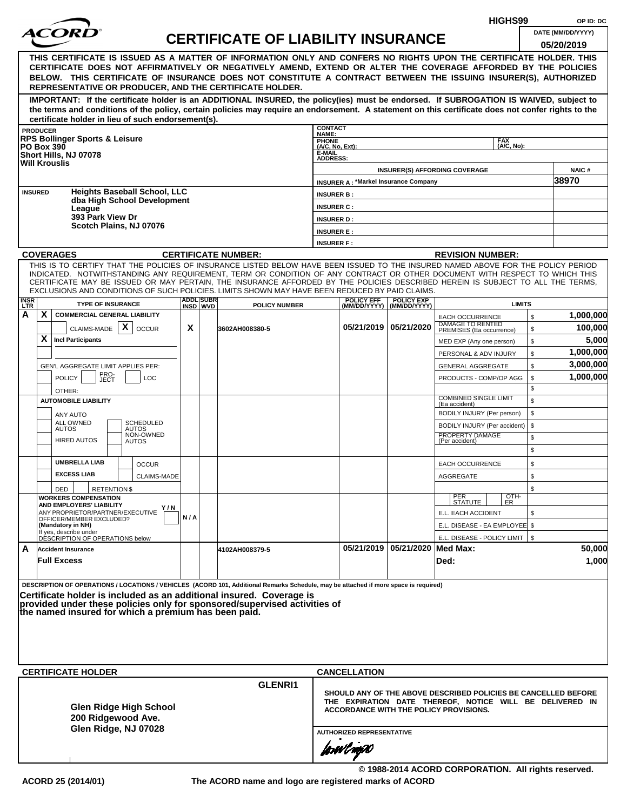| <i>ACOR</i><br>DATE (MM/DD/YYYY)<br><b>CERTIFICATE OF LIABILITY INSURANCE</b><br>05/20/2019<br>THIS CERTIFICATE IS ISSUED AS A MATTER OF INFORMATION ONLY AND CONFERS NO RIGHTS UPON THE CERTIFICATE HOLDER. THIS<br>CERTIFICATE DOES NOT AFFIRMATIVELY OR NEGATIVELY AMEND, EXTEND OR ALTER THE COVERAGE AFFORDED BY THE POLICIES<br>BELOW. THIS CERTIFICATE OF INSURANCE DOES NOT CONSTITUTE A CONTRACT BETWEEN THE ISSUING INSURER(S), AUTHORIZED<br>REPRESENTATIVE OR PRODUCER, AND THE CERTIFICATE HOLDER.<br>IMPORTANT: If the certificate holder is an ADDITIONAL INSURED, the policy(ies) must be endorsed. If SUBROGATION IS WAIVED, subject to<br>the terms and conditions of the policy, certain policies may require an endorsement. A statement on this certificate does not confer rights to the<br>certificate holder in lieu of such endorsement(s).<br><b>CONTACT</b><br><b>PRODUCER</b><br>NAME:<br><b>RPS Bollinger Sports &amp; Leisure</b><br><b>FAX</b><br>PHONE<br>(A/C, No, Ext):<br>(A/C, No):<br><b>PO Box 390</b><br>E-MAIL<br>Short Hills, NJ 07078<br><b>ADDRESS:</b><br><b>Will Krouslis</b><br><b>NAIC#</b><br><b>INSURER(S) AFFORDING COVERAGE</b><br>38970<br><b>INSURER A: *Markel Insurance Company</b><br><b>Heights Baseball School, LLC</b><br><b>INSURED</b><br><b>INSURER B:</b><br>dba High School Development<br><b>INSURER C:</b><br>League<br>393 Park View Dr<br><b>INSURER D:</b><br>Scotch Plains, NJ 07076<br><b>INSURER E:</b><br><b>INSURER F:</b><br><b>COVERAGES</b><br><b>CERTIFICATE NUMBER:</b><br><b>REVISION NUMBER:</b><br>THIS IS TO CERTIFY THAT THE POLICIES OF INSURANCE LISTED BELOW HAVE BEEN ISSUED TO THE INSURED NAMED ABOVE FOR THE POLICY PERIOD<br>INDICATED. NOTWITHSTANDING ANY REQUIREMENT, TERM OR CONDITION OF ANY CONTRACT OR OTHER DOCUMENT WITH RESPECT TO WHICH THIS<br>CERTIFICATE MAY BE ISSUED OR MAY PERTAIN, THE INSURANCE AFFORDED BY THE POLICIES DESCRIBED HEREIN IS SUBJECT TO ALL THE TERMS,<br>EXCLUSIONS AND CONDITIONS OF SUCH POLICIES. LIMITS SHOWN MAY HAVE BEEN REDUCED BY PAID CLAIMS.<br><b>ADDL SUBR</b><br><b>POLICY EXP</b><br><b>INSR</b><br>LTR<br><b>POLICY EFF</b><br><b>TYPE OF INSURANCE</b><br><b>LIMITS</b><br>INSD WVD<br><b>POLICY NUMBER</b><br>(MM/DD/YYYY) (MM/DD/YYYY)<br>X<br>Α<br><b>COMMERCIAL GENERAL LIABILITY</b><br>\$<br><b>EACH OCCURRENCE</b><br><b>DAMAGE TO RENTED</b><br>CLAIMS-MADE $\mid X \mid$<br>05/21/2019 05/21/2020<br>X<br><b>OCCUR</b><br>3602AH008380-5<br>\$<br>PREMISES (Ea occurrence)<br>X<br><b>Incl Participants</b><br>\$<br>MED EXP (Any one person) |  |  |  |  | HIGHS99 | OP ID: DC |
|---------------------------------------------------------------------------------------------------------------------------------------------------------------------------------------------------------------------------------------------------------------------------------------------------------------------------------------------------------------------------------------------------------------------------------------------------------------------------------------------------------------------------------------------------------------------------------------------------------------------------------------------------------------------------------------------------------------------------------------------------------------------------------------------------------------------------------------------------------------------------------------------------------------------------------------------------------------------------------------------------------------------------------------------------------------------------------------------------------------------------------------------------------------------------------------------------------------------------------------------------------------------------------------------------------------------------------------------------------------------------------------------------------------------------------------------------------------------------------------------------------------------------------------------------------------------------------------------------------------------------------------------------------------------------------------------------------------------------------------------------------------------------------------------------------------------------------------------------------------------------------------------------------------------------------------------------------------------------------------------------------------------------------------------------------------------------------------------------------------------------------------------------------------------------------------------------------------------------------------------------------------------------------------------------------------------------------------------------------------------------------------------------------------------------------------------------------------------------------------------------------------------------------------------------------------------------------------------------------|--|--|--|--|---------|-----------|
|                                                                                                                                                                                                                                                                                                                                                                                                                                                                                                                                                                                                                                                                                                                                                                                                                                                                                                                                                                                                                                                                                                                                                                                                                                                                                                                                                                                                                                                                                                                                                                                                                                                                                                                                                                                                                                                                                                                                                                                                                                                                                                                                                                                                                                                                                                                                                                                                                                                                                                                                                                                                         |  |  |  |  |         |           |
|                                                                                                                                                                                                                                                                                                                                                                                                                                                                                                                                                                                                                                                                                                                                                                                                                                                                                                                                                                                                                                                                                                                                                                                                                                                                                                                                                                                                                                                                                                                                                                                                                                                                                                                                                                                                                                                                                                                                                                                                                                                                                                                                                                                                                                                                                                                                                                                                                                                                                                                                                                                                         |  |  |  |  |         |           |
|                                                                                                                                                                                                                                                                                                                                                                                                                                                                                                                                                                                                                                                                                                                                                                                                                                                                                                                                                                                                                                                                                                                                                                                                                                                                                                                                                                                                                                                                                                                                                                                                                                                                                                                                                                                                                                                                                                                                                                                                                                                                                                                                                                                                                                                                                                                                                                                                                                                                                                                                                                                                         |  |  |  |  |         |           |
|                                                                                                                                                                                                                                                                                                                                                                                                                                                                                                                                                                                                                                                                                                                                                                                                                                                                                                                                                                                                                                                                                                                                                                                                                                                                                                                                                                                                                                                                                                                                                                                                                                                                                                                                                                                                                                                                                                                                                                                                                                                                                                                                                                                                                                                                                                                                                                                                                                                                                                                                                                                                         |  |  |  |  |         |           |
|                                                                                                                                                                                                                                                                                                                                                                                                                                                                                                                                                                                                                                                                                                                                                                                                                                                                                                                                                                                                                                                                                                                                                                                                                                                                                                                                                                                                                                                                                                                                                                                                                                                                                                                                                                                                                                                                                                                                                                                                                                                                                                                                                                                                                                                                                                                                                                                                                                                                                                                                                                                                         |  |  |  |  |         |           |
|                                                                                                                                                                                                                                                                                                                                                                                                                                                                                                                                                                                                                                                                                                                                                                                                                                                                                                                                                                                                                                                                                                                                                                                                                                                                                                                                                                                                                                                                                                                                                                                                                                                                                                                                                                                                                                                                                                                                                                                                                                                                                                                                                                                                                                                                                                                                                                                                                                                                                                                                                                                                         |  |  |  |  |         |           |
|                                                                                                                                                                                                                                                                                                                                                                                                                                                                                                                                                                                                                                                                                                                                                                                                                                                                                                                                                                                                                                                                                                                                                                                                                                                                                                                                                                                                                                                                                                                                                                                                                                                                                                                                                                                                                                                                                                                                                                                                                                                                                                                                                                                                                                                                                                                                                                                                                                                                                                                                                                                                         |  |  |  |  |         |           |
|                                                                                                                                                                                                                                                                                                                                                                                                                                                                                                                                                                                                                                                                                                                                                                                                                                                                                                                                                                                                                                                                                                                                                                                                                                                                                                                                                                                                                                                                                                                                                                                                                                                                                                                                                                                                                                                                                                                                                                                                                                                                                                                                                                                                                                                                                                                                                                                                                                                                                                                                                                                                         |  |  |  |  |         |           |
|                                                                                                                                                                                                                                                                                                                                                                                                                                                                                                                                                                                                                                                                                                                                                                                                                                                                                                                                                                                                                                                                                                                                                                                                                                                                                                                                                                                                                                                                                                                                                                                                                                                                                                                                                                                                                                                                                                                                                                                                                                                                                                                                                                                                                                                                                                                                                                                                                                                                                                                                                                                                         |  |  |  |  |         |           |
|                                                                                                                                                                                                                                                                                                                                                                                                                                                                                                                                                                                                                                                                                                                                                                                                                                                                                                                                                                                                                                                                                                                                                                                                                                                                                                                                                                                                                                                                                                                                                                                                                                                                                                                                                                                                                                                                                                                                                                                                                                                                                                                                                                                                                                                                                                                                                                                                                                                                                                                                                                                                         |  |  |  |  |         |           |
|                                                                                                                                                                                                                                                                                                                                                                                                                                                                                                                                                                                                                                                                                                                                                                                                                                                                                                                                                                                                                                                                                                                                                                                                                                                                                                                                                                                                                                                                                                                                                                                                                                                                                                                                                                                                                                                                                                                                                                                                                                                                                                                                                                                                                                                                                                                                                                                                                                                                                                                                                                                                         |  |  |  |  |         |           |
|                                                                                                                                                                                                                                                                                                                                                                                                                                                                                                                                                                                                                                                                                                                                                                                                                                                                                                                                                                                                                                                                                                                                                                                                                                                                                                                                                                                                                                                                                                                                                                                                                                                                                                                                                                                                                                                                                                                                                                                                                                                                                                                                                                                                                                                                                                                                                                                                                                                                                                                                                                                                         |  |  |  |  |         |           |
|                                                                                                                                                                                                                                                                                                                                                                                                                                                                                                                                                                                                                                                                                                                                                                                                                                                                                                                                                                                                                                                                                                                                                                                                                                                                                                                                                                                                                                                                                                                                                                                                                                                                                                                                                                                                                                                                                                                                                                                                                                                                                                                                                                                                                                                                                                                                                                                                                                                                                                                                                                                                         |  |  |  |  |         |           |
|                                                                                                                                                                                                                                                                                                                                                                                                                                                                                                                                                                                                                                                                                                                                                                                                                                                                                                                                                                                                                                                                                                                                                                                                                                                                                                                                                                                                                                                                                                                                                                                                                                                                                                                                                                                                                                                                                                                                                                                                                                                                                                                                                                                                                                                                                                                                                                                                                                                                                                                                                                                                         |  |  |  |  |         |           |
|                                                                                                                                                                                                                                                                                                                                                                                                                                                                                                                                                                                                                                                                                                                                                                                                                                                                                                                                                                                                                                                                                                                                                                                                                                                                                                                                                                                                                                                                                                                                                                                                                                                                                                                                                                                                                                                                                                                                                                                                                                                                                                                                                                                                                                                                                                                                                                                                                                                                                                                                                                                                         |  |  |  |  |         | 1,000,000 |
|                                                                                                                                                                                                                                                                                                                                                                                                                                                                                                                                                                                                                                                                                                                                                                                                                                                                                                                                                                                                                                                                                                                                                                                                                                                                                                                                                                                                                                                                                                                                                                                                                                                                                                                                                                                                                                                                                                                                                                                                                                                                                                                                                                                                                                                                                                                                                                                                                                                                                                                                                                                                         |  |  |  |  |         | 100,000   |
|                                                                                                                                                                                                                                                                                                                                                                                                                                                                                                                                                                                                                                                                                                                                                                                                                                                                                                                                                                                                                                                                                                                                                                                                                                                                                                                                                                                                                                                                                                                                                                                                                                                                                                                                                                                                                                                                                                                                                                                                                                                                                                                                                                                                                                                                                                                                                                                                                                                                                                                                                                                                         |  |  |  |  |         | 5,000     |
| \$<br>PERSONAL & ADV INJURY                                                                                                                                                                                                                                                                                                                                                                                                                                                                                                                                                                                                                                                                                                                                                                                                                                                                                                                                                                                                                                                                                                                                                                                                                                                                                                                                                                                                                                                                                                                                                                                                                                                                                                                                                                                                                                                                                                                                                                                                                                                                                                                                                                                                                                                                                                                                                                                                                                                                                                                                                                             |  |  |  |  |         | 1,000,000 |
| \$<br>GEN'L AGGREGATE LIMIT APPLIES PER:<br><b>GENERAL AGGREGATE</b>                                                                                                                                                                                                                                                                                                                                                                                                                                                                                                                                                                                                                                                                                                                                                                                                                                                                                                                                                                                                                                                                                                                                                                                                                                                                                                                                                                                                                                                                                                                                                                                                                                                                                                                                                                                                                                                                                                                                                                                                                                                                                                                                                                                                                                                                                                                                                                                                                                                                                                                                    |  |  |  |  |         | 3,000,000 |
| PRO-<br>JECT<br><b>POLICY</b><br>\$<br><b>LOC</b><br>PRODUCTS - COMP/OP AGG                                                                                                                                                                                                                                                                                                                                                                                                                                                                                                                                                                                                                                                                                                                                                                                                                                                                                                                                                                                                                                                                                                                                                                                                                                                                                                                                                                                                                                                                                                                                                                                                                                                                                                                                                                                                                                                                                                                                                                                                                                                                                                                                                                                                                                                                                                                                                                                                                                                                                                                             |  |  |  |  |         | 1,000,000 |
| \$<br>OTHER:<br><b>COMBINED SINGLE LIMIT</b><br>\$                                                                                                                                                                                                                                                                                                                                                                                                                                                                                                                                                                                                                                                                                                                                                                                                                                                                                                                                                                                                                                                                                                                                                                                                                                                                                                                                                                                                                                                                                                                                                                                                                                                                                                                                                                                                                                                                                                                                                                                                                                                                                                                                                                                                                                                                                                                                                                                                                                                                                                                                                      |  |  |  |  |         |           |
| <b>AUTOMOBILE LIABILITY</b><br>(Ea accident)<br>BODILY INJURY (Per person)<br>\$                                                                                                                                                                                                                                                                                                                                                                                                                                                                                                                                                                                                                                                                                                                                                                                                                                                                                                                                                                                                                                                                                                                                                                                                                                                                                                                                                                                                                                                                                                                                                                                                                                                                                                                                                                                                                                                                                                                                                                                                                                                                                                                                                                                                                                                                                                                                                                                                                                                                                                                        |  |  |  |  |         |           |
| ANY AUTO<br><b>SCHEDULED</b><br>ALL OWNED<br>\$<br>BODILY INJURY (Per accident)                                                                                                                                                                                                                                                                                                                                                                                                                                                                                                                                                                                                                                                                                                                                                                                                                                                                                                                                                                                                                                                                                                                                                                                                                                                                                                                                                                                                                                                                                                                                                                                                                                                                                                                                                                                                                                                                                                                                                                                                                                                                                                                                                                                                                                                                                                                                                                                                                                                                                                                         |  |  |  |  |         |           |
| <b>AUTOS</b><br>AUTOS<br>NON-OWNED<br>PROPERTY DAMAGE<br>\$<br><b>HIRED AUTOS</b><br>(Per accident)<br>AUTOS<br>\$                                                                                                                                                                                                                                                                                                                                                                                                                                                                                                                                                                                                                                                                                                                                                                                                                                                                                                                                                                                                                                                                                                                                                                                                                                                                                                                                                                                                                                                                                                                                                                                                                                                                                                                                                                                                                                                                                                                                                                                                                                                                                                                                                                                                                                                                                                                                                                                                                                                                                      |  |  |  |  |         |           |
| <b>UMBRELLA LIAB</b><br>\$<br><b>OCCUR</b><br><b>EACH OCCURRENCE</b>                                                                                                                                                                                                                                                                                                                                                                                                                                                                                                                                                                                                                                                                                                                                                                                                                                                                                                                                                                                                                                                                                                                                                                                                                                                                                                                                                                                                                                                                                                                                                                                                                                                                                                                                                                                                                                                                                                                                                                                                                                                                                                                                                                                                                                                                                                                                                                                                                                                                                                                                    |  |  |  |  |         |           |
| <b>EXCESS LIAB</b><br><b>CLAIMS-MADE</b><br>AGGREGATE<br>\$                                                                                                                                                                                                                                                                                                                                                                                                                                                                                                                                                                                                                                                                                                                                                                                                                                                                                                                                                                                                                                                                                                                                                                                                                                                                                                                                                                                                                                                                                                                                                                                                                                                                                                                                                                                                                                                                                                                                                                                                                                                                                                                                                                                                                                                                                                                                                                                                                                                                                                                                             |  |  |  |  |         |           |
| \$<br>DED<br><b>RETENTION \$</b>                                                                                                                                                                                                                                                                                                                                                                                                                                                                                                                                                                                                                                                                                                                                                                                                                                                                                                                                                                                                                                                                                                                                                                                                                                                                                                                                                                                                                                                                                                                                                                                                                                                                                                                                                                                                                                                                                                                                                                                                                                                                                                                                                                                                                                                                                                                                                                                                                                                                                                                                                                        |  |  |  |  |         |           |
| OTH-<br>ER<br>PER<br>STATUTE<br><b>WORKERS COMPENSATION</b><br>AND EMPLOYERS' LIABILITY                                                                                                                                                                                                                                                                                                                                                                                                                                                                                                                                                                                                                                                                                                                                                                                                                                                                                                                                                                                                                                                                                                                                                                                                                                                                                                                                                                                                                                                                                                                                                                                                                                                                                                                                                                                                                                                                                                                                                                                                                                                                                                                                                                                                                                                                                                                                                                                                                                                                                                                 |  |  |  |  |         |           |
| Y/N<br>ANY PROPRIETOR/PARTNER/EXECUTIVE<br>E.L. EACH ACCIDENT<br>\$<br>N/A<br>OFFICER/MEMBER EXCLUDED?                                                                                                                                                                                                                                                                                                                                                                                                                                                                                                                                                                                                                                                                                                                                                                                                                                                                                                                                                                                                                                                                                                                                                                                                                                                                                                                                                                                                                                                                                                                                                                                                                                                                                                                                                                                                                                                                                                                                                                                                                                                                                                                                                                                                                                                                                                                                                                                                                                                                                                  |  |  |  |  |         |           |
| (Mandatory in NH)<br>E.L. DISEASE - EA EMPLOYEE \$<br>If yes, describe under                                                                                                                                                                                                                                                                                                                                                                                                                                                                                                                                                                                                                                                                                                                                                                                                                                                                                                                                                                                                                                                                                                                                                                                                                                                                                                                                                                                                                                                                                                                                                                                                                                                                                                                                                                                                                                                                                                                                                                                                                                                                                                                                                                                                                                                                                                                                                                                                                                                                                                                            |  |  |  |  |         |           |
| E.L. DISEASE - POLICY LIMIT   \$<br>DÉSCRIPTION OF OPERATIONS below<br>05/21/2019 05/21/2020 Med Max:                                                                                                                                                                                                                                                                                                                                                                                                                                                                                                                                                                                                                                                                                                                                                                                                                                                                                                                                                                                                                                                                                                                                                                                                                                                                                                                                                                                                                                                                                                                                                                                                                                                                                                                                                                                                                                                                                                                                                                                                                                                                                                                                                                                                                                                                                                                                                                                                                                                                                                   |  |  |  |  |         | 50,000    |
| A<br><b>Accident Insurance</b><br>4102AH008379-5<br><b>Full Excess</b><br>Ded:                                                                                                                                                                                                                                                                                                                                                                                                                                                                                                                                                                                                                                                                                                                                                                                                                                                                                                                                                                                                                                                                                                                                                                                                                                                                                                                                                                                                                                                                                                                                                                                                                                                                                                                                                                                                                                                                                                                                                                                                                                                                                                                                                                                                                                                                                                                                                                                                                                                                                                                          |  |  |  |  |         | 1,000     |
| DESCRIPTION OF OPERATIONS / LOCATIONS / VEHICLES (ACORD 101, Additional Remarks Schedule, may be attached if more space is required)<br>Certificate holder is included as an additional insured. Coverage is<br>provided under these policies only for sponsored/supervised activities of<br>the named insured for which a premium has been paid.                                                                                                                                                                                                                                                                                                                                                                                                                                                                                                                                                                                                                                                                                                                                                                                                                                                                                                                                                                                                                                                                                                                                                                                                                                                                                                                                                                                                                                                                                                                                                                                                                                                                                                                                                                                                                                                                                                                                                                                                                                                                                                                                                                                                                                                       |  |  |  |  |         |           |
| <b>CERTIFICATE HOLDER</b><br><b>CANCELLATION</b>                                                                                                                                                                                                                                                                                                                                                                                                                                                                                                                                                                                                                                                                                                                                                                                                                                                                                                                                                                                                                                                                                                                                                                                                                                                                                                                                                                                                                                                                                                                                                                                                                                                                                                                                                                                                                                                                                                                                                                                                                                                                                                                                                                                                                                                                                                                                                                                                                                                                                                                                                        |  |  |  |  |         |           |
| <b>GLENRI1</b><br>SHOULD ANY OF THE ABOVE DESCRIBED POLICIES BE CANCELLED BEFORE<br>THE EXPIRATION DATE THEREOF, NOTICE WILL BE DELIVERED IN<br><b>Glen Ridge High School</b><br>ACCORDANCE WITH THE POLICY PROVISIONS.<br>200 Ridgewood Ave.<br>Glen Ridge, NJ 07028<br><b>AUTHORIZED REPRESENTATIVE</b>                                                                                                                                                                                                                                                                                                                                                                                                                                                                                                                                                                                                                                                                                                                                                                                                                                                                                                                                                                                                                                                                                                                                                                                                                                                                                                                                                                                                                                                                                                                                                                                                                                                                                                                                                                                                                                                                                                                                                                                                                                                                                                                                                                                                                                                                                               |  |  |  |  |         |           |
| forevl agao                                                                                                                                                                                                                                                                                                                                                                                                                                                                                                                                                                                                                                                                                                                                                                                                                                                                                                                                                                                                                                                                                                                                                                                                                                                                                                                                                                                                                                                                                                                                                                                                                                                                                                                                                                                                                                                                                                                                                                                                                                                                                                                                                                                                                                                                                                                                                                                                                                                                                                                                                                                             |  |  |  |  |         |           |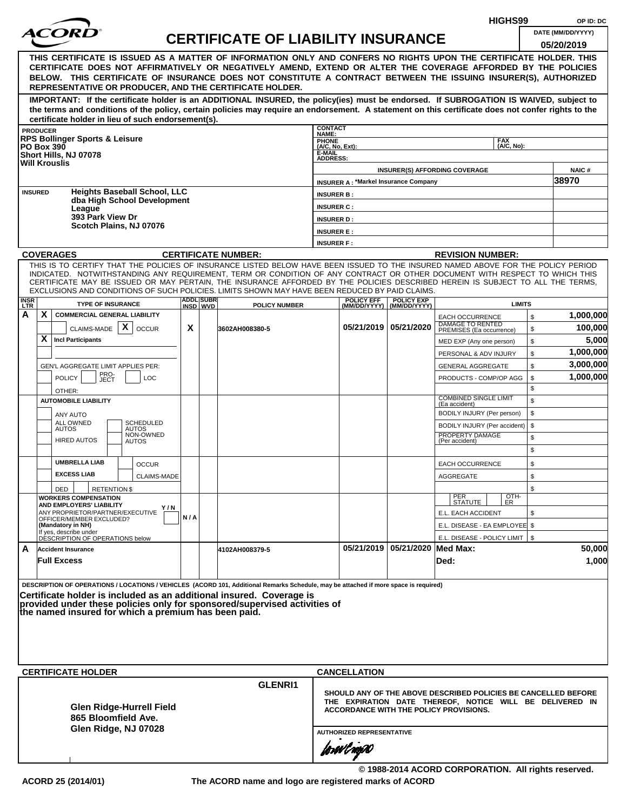|                                                                                                                                                                                                                                                                                                                                                                                                                                                                                                    |     |                  |                                           |                                        |                                               |                                |                                                                                                                                                                      | HIGHS99                  |          | OP ID: DC            |
|----------------------------------------------------------------------------------------------------------------------------------------------------------------------------------------------------------------------------------------------------------------------------------------------------------------------------------------------------------------------------------------------------------------------------------------------------------------------------------------------------|-----|------------------|-------------------------------------------|----------------------------------------|-----------------------------------------------|--------------------------------|----------------------------------------------------------------------------------------------------------------------------------------------------------------------|--------------------------|----------|----------------------|
| <i>ACOR</i>                                                                                                                                                                                                                                                                                                                                                                                                                                                                                        |     |                  | <b>CERTIFICATE OF LIABILITY INSURANCE</b> |                                        |                                               |                                |                                                                                                                                                                      |                          |          | DATE (MM/DD/YYYY)    |
| THIS CERTIFICATE IS ISSUED AS A MATTER OF INFORMATION ONLY AND CONFERS NO RIGHTS UPON THE CERTIFICATE HOLDER. THIS<br>CERTIFICATE DOES NOT AFFIRMATIVELY OR NEGATIVELY AMEND, EXTEND OR ALTER THE COVERAGE AFFORDED BY THE POLICIES<br>BELOW. THIS CERTIFICATE OF INSURANCE DOES NOT CONSTITUTE A CONTRACT BETWEEN THE ISSUING INSURER(S), AUTHORIZED<br>REPRESENTATIVE OR PRODUCER, AND THE CERTIFICATE HOLDER.                                                                                   |     |                  |                                           |                                        |                                               |                                |                                                                                                                                                                      |                          |          | 05/20/2019           |
| IMPORTANT: If the certificate holder is an ADDITIONAL INSURED, the policy(ies) must be endorsed. If SUBROGATION IS WAIVED, subject to<br>the terms and conditions of the policy, certain policies may require an endorsement. A statement on this certificate does not confer rights to the<br>certificate holder in lieu of such endorsement(s).                                                                                                                                                  |     |                  |                                           |                                        |                                               |                                |                                                                                                                                                                      |                          |          |                      |
| <b>PRODUCER</b>                                                                                                                                                                                                                                                                                                                                                                                                                                                                                    |     |                  |                                           | <b>CONTACT</b><br>NAME:                |                                               |                                |                                                                                                                                                                      |                          |          |                      |
| <b>RPS Bollinger Sports &amp; Leisure</b><br><b>PO Box 390</b>                                                                                                                                                                                                                                                                                                                                                                                                                                     |     |                  |                                           | PHONE<br>(A/C, No, Ext):               |                                               |                                |                                                                                                                                                                      | <b>FAX</b><br>(A/C, No): |          |                      |
| Short Hills, NJ 07078<br><b>Will Krouslis</b>                                                                                                                                                                                                                                                                                                                                                                                                                                                      |     |                  |                                           | E-MAIL<br><b>ADDRESS:</b>              |                                               |                                |                                                                                                                                                                      |                          |          |                      |
|                                                                                                                                                                                                                                                                                                                                                                                                                                                                                                    |     |                  |                                           |                                        |                                               |                                | <b>INSURER(S) AFFORDING COVERAGE</b>                                                                                                                                 |                          |          | <b>NAIC#</b>         |
| <b>Heights Baseball School, LLC</b><br><b>INSURED</b>                                                                                                                                                                                                                                                                                                                                                                                                                                              |     |                  |                                           |                                        | <b>INSURER A: *Markel Insurance Company</b>   |                                |                                                                                                                                                                      |                          |          | 38970                |
| dba High School Development                                                                                                                                                                                                                                                                                                                                                                                                                                                                        |     |                  |                                           | <b>INSURER B:</b><br><b>INSURER C:</b> |                                               |                                |                                                                                                                                                                      |                          |          |                      |
| League<br>393 Park View Dr                                                                                                                                                                                                                                                                                                                                                                                                                                                                         |     |                  |                                           | <b>INSURER D:</b>                      |                                               |                                |                                                                                                                                                                      |                          |          |                      |
| Scotch Plains, NJ 07076                                                                                                                                                                                                                                                                                                                                                                                                                                                                            |     |                  |                                           | <b>INSURER E:</b>                      |                                               |                                |                                                                                                                                                                      |                          |          |                      |
|                                                                                                                                                                                                                                                                                                                                                                                                                                                                                                    |     |                  |                                           | <b>INSURER F:</b>                      |                                               |                                |                                                                                                                                                                      |                          |          |                      |
| <b>COVERAGES</b>                                                                                                                                                                                                                                                                                                                                                                                                                                                                                   |     |                  | <b>CERTIFICATE NUMBER:</b>                |                                        |                                               |                                | <b>REVISION NUMBER:</b>                                                                                                                                              |                          |          |                      |
| THIS IS TO CERTIFY THAT THE POLICIES OF INSURANCE LISTED BELOW HAVE BEEN ISSUED TO THE INSURED NAMED ABOVE FOR THE POLICY PERIOD<br>INDICATED. NOTWITHSTANDING ANY REQUIREMENT, TERM OR CONDITION OF ANY CONTRACT OR OTHER DOCUMENT WITH RESPECT TO WHICH THIS<br>CERTIFICATE MAY BE ISSUED OR MAY PERTAIN, THE INSURANCE AFFORDED BY THE POLICIES DESCRIBED HEREIN IS SUBJECT TO ALL THE TERMS,<br>EXCLUSIONS AND CONDITIONS OF SUCH POLICIES. LIMITS SHOWN MAY HAVE BEEN REDUCED BY PAID CLAIMS. |     | <b>ADDL SUBR</b> |                                           |                                        | <b>POLICY EFF</b>                             | <b>POLICY EXP</b>              |                                                                                                                                                                      |                          |          |                      |
| <b>INSR</b><br>LTR<br><b>TYPE OF INSURANCE</b>                                                                                                                                                                                                                                                                                                                                                                                                                                                     |     | INSD WVD         | <b>POLICY NUMBER</b>                      |                                        |                                               | (MM/DD/YYYY) (MM/DD/YYYY)      |                                                                                                                                                                      | <b>LIMITS</b>            |          |                      |
| X<br>Α<br><b>COMMERCIAL GENERAL LIABILITY</b><br>CLAIMS-MADE $\mid X \mid$                                                                                                                                                                                                                                                                                                                                                                                                                         | X   |                  |                                           |                                        |                                               | 05/21/2019 05/21/2020          | <b>EACH OCCURRENCE</b><br><b>DAMAGE TO RENTED</b>                                                                                                                    |                          | \$       | 1,000,000<br>100,000 |
| <b>OCCUR</b><br>X<br><b>Incl Participants</b>                                                                                                                                                                                                                                                                                                                                                                                                                                                      |     |                  | 3602AH008380-5                            |                                        |                                               |                                | PREMISES (Ea occurrence)<br>MED EXP (Any one person)                                                                                                                 |                          | \$<br>\$ | 5,000                |
|                                                                                                                                                                                                                                                                                                                                                                                                                                                                                                    |     |                  |                                           |                                        |                                               |                                | PERSONAL & ADV INJURY                                                                                                                                                |                          | \$       | 1,000,000            |
| GEN'L AGGREGATE LIMIT APPLIES PER:                                                                                                                                                                                                                                                                                                                                                                                                                                                                 |     |                  |                                           |                                        |                                               |                                | <b>GENERAL AGGREGATE</b>                                                                                                                                             |                          | \$       | 3,000,000            |
| PRO-<br>JECT<br><b>POLICY</b><br><b>LOC</b>                                                                                                                                                                                                                                                                                                                                                                                                                                                        |     |                  |                                           |                                        |                                               |                                | PRODUCTS - COMP/OP AGG                                                                                                                                               |                          | \$       | 1,000,000            |
| OTHER:<br><b>AUTOMOBILE LIABILITY</b>                                                                                                                                                                                                                                                                                                                                                                                                                                                              |     |                  |                                           |                                        |                                               |                                | <b>COMBINED SINGLE LIMIT</b>                                                                                                                                         |                          | \$<br>\$ |                      |
| ANY AUTO                                                                                                                                                                                                                                                                                                                                                                                                                                                                                           |     |                  |                                           |                                        |                                               |                                | (Ea accident)<br>BODILY INJURY (Per person)                                                                                                                          |                          | \$       |                      |
| <b>SCHEDULED</b><br>ALL OWNED<br><b>AUTOS</b><br>AUTOS                                                                                                                                                                                                                                                                                                                                                                                                                                             |     |                  |                                           |                                        |                                               |                                | BODILY INJURY (Per accident)                                                                                                                                         |                          | \$       |                      |
| NON-OWNED<br><b>HIRED AUTOS</b><br>AUTOS                                                                                                                                                                                                                                                                                                                                                                                                                                                           |     |                  |                                           |                                        |                                               |                                | PROPERTY DAMAGE<br>(Per accident)                                                                                                                                    |                          | \$<br>\$ |                      |
| <b>UMBRELLA LIAB</b><br><b>OCCUR</b>                                                                                                                                                                                                                                                                                                                                                                                                                                                               |     |                  |                                           |                                        |                                               |                                | <b>EACH OCCURRENCE</b>                                                                                                                                               |                          | \$       |                      |
| <b>EXCESS LIAB</b><br><b>CLAIMS-MADE</b>                                                                                                                                                                                                                                                                                                                                                                                                                                                           |     |                  |                                           |                                        |                                               |                                | AGGREGATE                                                                                                                                                            |                          | \$       |                      |
| DED<br><b>RETENTION \$</b><br><b>WORKERS COMPENSATION</b>                                                                                                                                                                                                                                                                                                                                                                                                                                          |     |                  |                                           |                                        |                                               |                                |                                                                                                                                                                      |                          | \$       |                      |
| AND EMPLOYERS' LIABILITY<br>Y/N<br>ANY PROPRIETOR/PARTNER/EXECUTIVE                                                                                                                                                                                                                                                                                                                                                                                                                                |     |                  |                                           |                                        |                                               |                                | PER<br>STATUTE<br>E.L. EACH ACCIDENT                                                                                                                                 | OTH-<br>ER               | \$       |                      |
| OFFICER/MEMBER EXCLUDED?<br>(Mandatory in NH)                                                                                                                                                                                                                                                                                                                                                                                                                                                      | N/A |                  |                                           |                                        |                                               |                                | E.L. DISEASE - EA EMPLOYEE \$                                                                                                                                        |                          |          |                      |
| If yes, describe under<br>DÉSCRIPTION OF OPERATIONS below                                                                                                                                                                                                                                                                                                                                                                                                                                          |     |                  |                                           |                                        |                                               |                                | E.L. DISEASE - POLICY LIMIT   \$                                                                                                                                     |                          |          |                      |
| A<br><b>Accident Insurance</b><br><b>Full Excess</b>                                                                                                                                                                                                                                                                                                                                                                                                                                               |     |                  | 4102AH008379-5                            |                                        |                                               | 05/21/2019 05/21/2020 Med Max: | Ded:                                                                                                                                                                 |                          |          | 50,000<br>1,000      |
| DESCRIPTION OF OPERATIONS / LOCATIONS / VEHICLES (ACORD 101, Additional Remarks Schedule, may be attached if more space is required)<br>Certificate holder is included as an additional insured. Coverage is<br>provided under these policies only for sponsored/supervised activities of<br>the named insured for which a premium has been paid.                                                                                                                                                  |     |                  |                                           |                                        |                                               |                                |                                                                                                                                                                      |                          |          |                      |
| <b>CERTIFICATE HOLDER</b>                                                                                                                                                                                                                                                                                                                                                                                                                                                                          |     |                  |                                           |                                        | <b>CANCELLATION</b>                           |                                |                                                                                                                                                                      |                          |          |                      |
|                                                                                                                                                                                                                                                                                                                                                                                                                                                                                                    |     |                  | <b>GLENRI1</b>                            |                                        |                                               |                                |                                                                                                                                                                      |                          |          |                      |
| Glen Ridge-Hurrell Field<br>865 Bloomfield Ave.<br>Glen Ridge, NJ 07028                                                                                                                                                                                                                                                                                                                                                                                                                            |     |                  |                                           |                                        |                                               |                                | SHOULD ANY OF THE ABOVE DESCRIBED POLICIES BE CANCELLED BEFORE<br>THE EXPIRATION DATE THEREOF, NOTICE WILL BE DELIVERED IN<br>ACCORDANCE WITH THE POLICY PROVISIONS. |                          |          |                      |
|                                                                                                                                                                                                                                                                                                                                                                                                                                                                                                    |     |                  |                                           |                                        | <b>AUTHORIZED REPRESENTATIVE</b><br>forwl now |                                |                                                                                                                                                                      |                          |          |                      |

**© 1988-2014 ACORD CORPORATION. All rights reserved. ACORD 25 (2014/01) The ACORD name and logo are registered marks of ACORD**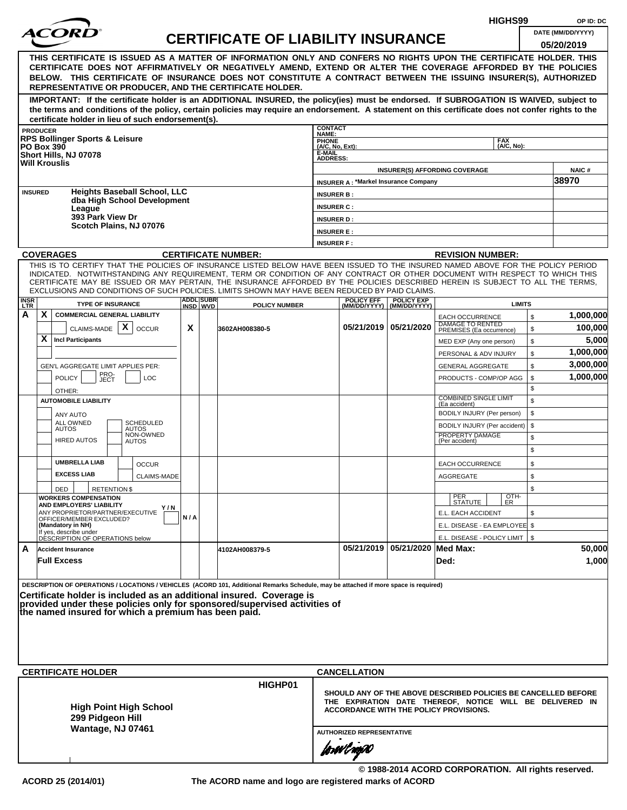|                                                                                                                                                                                                                                                                                                                                                                                                                                                                                                    |     |                  |                                           |                           |                                             |                                |                                                                                                                                                                      | HIGHS99                  |          | OP ID: DC             |
|----------------------------------------------------------------------------------------------------------------------------------------------------------------------------------------------------------------------------------------------------------------------------------------------------------------------------------------------------------------------------------------------------------------------------------------------------------------------------------------------------|-----|------------------|-------------------------------------------|---------------------------|---------------------------------------------|--------------------------------|----------------------------------------------------------------------------------------------------------------------------------------------------------------------|--------------------------|----------|-----------------------|
| <i>ACOR</i>                                                                                                                                                                                                                                                                                                                                                                                                                                                                                        |     |                  | <b>CERTIFICATE OF LIABILITY INSURANCE</b> |                           |                                             |                                |                                                                                                                                                                      |                          |          | DATE (MM/DD/YYYY)     |
| THIS CERTIFICATE IS ISSUED AS A MATTER OF INFORMATION ONLY AND CONFERS NO RIGHTS UPON THE CERTIFICATE HOLDER. THIS<br>CERTIFICATE DOES NOT AFFIRMATIVELY OR NEGATIVELY AMEND, EXTEND OR ALTER THE COVERAGE AFFORDED BY THE POLICIES<br>BELOW. THIS CERTIFICATE OF INSURANCE DOES NOT CONSTITUTE A CONTRACT BETWEEN THE ISSUING INSURER(S), AUTHORIZED<br>REPRESENTATIVE OR PRODUCER, AND THE CERTIFICATE HOLDER.                                                                                   |     |                  |                                           |                           |                                             |                                |                                                                                                                                                                      |                          |          | 05/20/2019            |
| IMPORTANT: If the certificate holder is an ADDITIONAL INSURED, the policy(ies) must be endorsed. If SUBROGATION IS WAIVED, subject to<br>the terms and conditions of the policy, certain policies may require an endorsement. A statement on this certificate does not confer rights to the<br>certificate holder in lieu of such endorsement(s).                                                                                                                                                  |     |                  |                                           |                           |                                             |                                |                                                                                                                                                                      |                          |          |                       |
| <b>PRODUCER</b>                                                                                                                                                                                                                                                                                                                                                                                                                                                                                    |     |                  |                                           | <b>CONTACT</b><br>NAME:   |                                             |                                |                                                                                                                                                                      |                          |          |                       |
| <b>RPS Bollinger Sports &amp; Leisure</b><br><b>PO Box 390</b>                                                                                                                                                                                                                                                                                                                                                                                                                                     |     |                  |                                           | PHONE<br>(A/C, No, Ext):  |                                             |                                |                                                                                                                                                                      | <b>FAX</b><br>(A/C, No): |          |                       |
| Short Hills, NJ 07078<br><b>Will Krouslis</b>                                                                                                                                                                                                                                                                                                                                                                                                                                                      |     |                  |                                           | E-MAIL<br><b>ADDRESS:</b> |                                             |                                |                                                                                                                                                                      |                          |          |                       |
|                                                                                                                                                                                                                                                                                                                                                                                                                                                                                                    |     |                  |                                           |                           |                                             |                                | <b>INSURER(S) AFFORDING COVERAGE</b>                                                                                                                                 |                          |          | <b>NAIC#</b><br>38970 |
| <b>Heights Baseball School, LLC</b><br><b>INSURED</b>                                                                                                                                                                                                                                                                                                                                                                                                                                              |     |                  |                                           | <b>INSURER B:</b>         | <b>INSURER A: *Markel Insurance Company</b> |                                |                                                                                                                                                                      |                          |          |                       |
| dba High School Development                                                                                                                                                                                                                                                                                                                                                                                                                                                                        |     |                  |                                           | <b>INSURER C:</b>         |                                             |                                |                                                                                                                                                                      |                          |          |                       |
| League<br>393 Park View Dr                                                                                                                                                                                                                                                                                                                                                                                                                                                                         |     |                  |                                           | <b>INSURER D:</b>         |                                             |                                |                                                                                                                                                                      |                          |          |                       |
| Scotch Plains, NJ 07076                                                                                                                                                                                                                                                                                                                                                                                                                                                                            |     |                  |                                           | <b>INSURER E:</b>         |                                             |                                |                                                                                                                                                                      |                          |          |                       |
|                                                                                                                                                                                                                                                                                                                                                                                                                                                                                                    |     |                  |                                           | <b>INSURER F:</b>         |                                             |                                |                                                                                                                                                                      |                          |          |                       |
| <b>COVERAGES</b>                                                                                                                                                                                                                                                                                                                                                                                                                                                                                   |     |                  | <b>CERTIFICATE NUMBER:</b>                |                           |                                             |                                | <b>REVISION NUMBER:</b>                                                                                                                                              |                          |          |                       |
| THIS IS TO CERTIFY THAT THE POLICIES OF INSURANCE LISTED BELOW HAVE BEEN ISSUED TO THE INSURED NAMED ABOVE FOR THE POLICY PERIOD<br>INDICATED. NOTWITHSTANDING ANY REQUIREMENT, TERM OR CONDITION OF ANY CONTRACT OR OTHER DOCUMENT WITH RESPECT TO WHICH THIS<br>CERTIFICATE MAY BE ISSUED OR MAY PERTAIN, THE INSURANCE AFFORDED BY THE POLICIES DESCRIBED HEREIN IS SUBJECT TO ALL THE TERMS,<br>EXCLUSIONS AND CONDITIONS OF SUCH POLICIES. LIMITS SHOWN MAY HAVE BEEN REDUCED BY PAID CLAIMS. |     | <b>ADDL SUBR</b> |                                           |                           | <b>POLICY EFF</b>                           | <b>POLICY EXP</b>              |                                                                                                                                                                      |                          |          |                       |
| <b>INSR</b><br>LTR<br><b>TYPE OF INSURANCE</b>                                                                                                                                                                                                                                                                                                                                                                                                                                                     |     | INSD WVD         | <b>POLICY NUMBER</b>                      |                           |                                             | (MM/DD/YYYY) (MM/DD/YYYY)      |                                                                                                                                                                      | <b>LIMITS</b>            |          |                       |
| X<br>Α<br><b>COMMERCIAL GENERAL LIABILITY</b><br>CLAIMS-MADE $\mid X \mid$                                                                                                                                                                                                                                                                                                                                                                                                                         | X   |                  |                                           |                           | 05/21/2019 05/21/2020                       |                                | <b>EACH OCCURRENCE</b><br><b>DAMAGE TO RENTED</b>                                                                                                                    |                          | \$       | 1,000,000<br>100,000  |
| <b>OCCUR</b><br>X<br><b>Incl Participants</b>                                                                                                                                                                                                                                                                                                                                                                                                                                                      |     |                  | 3602AH008380-5                            |                           |                                             |                                | PREMISES (Ea occurrence)                                                                                                                                             |                          | \$<br>\$ | 5,000                 |
|                                                                                                                                                                                                                                                                                                                                                                                                                                                                                                    |     |                  |                                           |                           |                                             |                                | MED EXP (Any one person)<br>PERSONAL & ADV INJURY                                                                                                                    |                          | \$       | 1,000,000             |
| GEN'L AGGREGATE LIMIT APPLIES PER:                                                                                                                                                                                                                                                                                                                                                                                                                                                                 |     |                  |                                           |                           |                                             |                                | <b>GENERAL AGGREGATE</b>                                                                                                                                             |                          | \$       | 3,000,000             |
| PRO-<br>JECT<br><b>POLICY</b><br><b>LOC</b><br>OTHER:                                                                                                                                                                                                                                                                                                                                                                                                                                              |     |                  |                                           |                           |                                             |                                | PRODUCTS - COMP/OP AGG                                                                                                                                               |                          | \$<br>\$ | 1,000,000             |
| <b>AUTOMOBILE LIABILITY</b>                                                                                                                                                                                                                                                                                                                                                                                                                                                                        |     |                  |                                           |                           |                                             |                                | <b>COMBINED SINGLE LIMIT</b><br>(Ea accident)                                                                                                                        |                          | \$       |                       |
| ANY AUTO                                                                                                                                                                                                                                                                                                                                                                                                                                                                                           |     |                  |                                           |                           |                                             |                                | BODILY INJURY (Per person)                                                                                                                                           |                          | \$       |                       |
| <b>SCHEDULED</b><br>ALL OWNED<br><b>AUTOS</b><br>AUTOS                                                                                                                                                                                                                                                                                                                                                                                                                                             |     |                  |                                           |                           |                                             |                                | BODILY INJURY (Per accident)                                                                                                                                         |                          | \$       |                       |
| NON-OWNED<br><b>HIRED AUTOS</b><br>AUTOS                                                                                                                                                                                                                                                                                                                                                                                                                                                           |     |                  |                                           |                           |                                             |                                | PROPERTY DAMAGE<br>(Per accident)                                                                                                                                    |                          | \$<br>\$ |                       |
| <b>UMBRELLA LIAB</b><br><b>OCCUR</b>                                                                                                                                                                                                                                                                                                                                                                                                                                                               |     |                  |                                           |                           |                                             |                                | <b>EACH OCCURRENCE</b>                                                                                                                                               |                          | \$       |                       |
| <b>EXCESS LIAB</b><br><b>CLAIMS-MADE</b>                                                                                                                                                                                                                                                                                                                                                                                                                                                           |     |                  |                                           |                           |                                             |                                | AGGREGATE                                                                                                                                                            |                          | \$       |                       |
| DED<br><b>RETENTION \$</b><br><b>WORKERS COMPENSATION</b>                                                                                                                                                                                                                                                                                                                                                                                                                                          |     |                  |                                           |                           |                                             |                                |                                                                                                                                                                      | OTH-<br>ER               | \$       |                       |
| AND EMPLOYERS' LIABILITY<br>Y/N                                                                                                                                                                                                                                                                                                                                                                                                                                                                    |     |                  |                                           |                           |                                             |                                | PER<br>STATUTE                                                                                                                                                       |                          |          |                       |
| ANY PROPRIETOR/PARTNER/EXECUTIVE<br>OFFICER/MEMBER EXCLUDED?<br>(Mandatory in NH)                                                                                                                                                                                                                                                                                                                                                                                                                  | N/A |                  |                                           |                           |                                             |                                | E.L. EACH ACCIDENT<br>E.L. DISEASE - EA EMPLOYEE \$                                                                                                                  |                          | \$       |                       |
| If yes, describe under<br>DÉSCRIPTION OF OPERATIONS below                                                                                                                                                                                                                                                                                                                                                                                                                                          |     |                  |                                           |                           |                                             |                                | E.L. DISEASE - POLICY LIMIT   \$                                                                                                                                     |                          |          |                       |
| A<br><b>Accident Insurance</b><br><b>Full Excess</b>                                                                                                                                                                                                                                                                                                                                                                                                                                               |     |                  | 4102AH008379-5                            |                           |                                             | 05/21/2019 05/21/2020 Med Max: | Ded:                                                                                                                                                                 |                          |          | 50,000<br>1,000       |
| DESCRIPTION OF OPERATIONS / LOCATIONS / VEHICLES (ACORD 101, Additional Remarks Schedule, may be attached if more space is required)<br>Certificate holder is included as an additional insured. Coverage is                                                                                                                                                                                                                                                                                       |     |                  |                                           |                           |                                             |                                |                                                                                                                                                                      |                          |          |                       |
| provided under these policies only for sponsored/supervised activities of<br>the named insured for which a premium has been paid.                                                                                                                                                                                                                                                                                                                                                                  |     |                  |                                           |                           |                                             |                                |                                                                                                                                                                      |                          |          |                       |
|                                                                                                                                                                                                                                                                                                                                                                                                                                                                                                    |     |                  |                                           |                           |                                             |                                |                                                                                                                                                                      |                          |          |                       |
| <b>CERTIFICATE HOLDER</b>                                                                                                                                                                                                                                                                                                                                                                                                                                                                          |     |                  | HIGHP01                                   |                           | <b>CANCELLATION</b>                         |                                |                                                                                                                                                                      |                          |          |                       |
| <b>High Point High School</b><br>299 Pidgeon Hill<br>Wantage, NJ 07461                                                                                                                                                                                                                                                                                                                                                                                                                             |     |                  |                                           |                           |                                             |                                | SHOULD ANY OF THE ABOVE DESCRIBED POLICIES BE CANCELLED BEFORE<br>THE EXPIRATION DATE THEREOF, NOTICE WILL BE DELIVERED IN<br>ACCORDANCE WITH THE POLICY PROVISIONS. |                          |          |                       |
|                                                                                                                                                                                                                                                                                                                                                                                                                                                                                                    |     |                  |                                           |                           | <b>AUTHORIZED REPRESENTATIVE</b>            |                                |                                                                                                                                                                      |                          |          |                       |
|                                                                                                                                                                                                                                                                                                                                                                                                                                                                                                    |     |                  |                                           |                           | forwl now                                   |                                |                                                                                                                                                                      |                          |          |                       |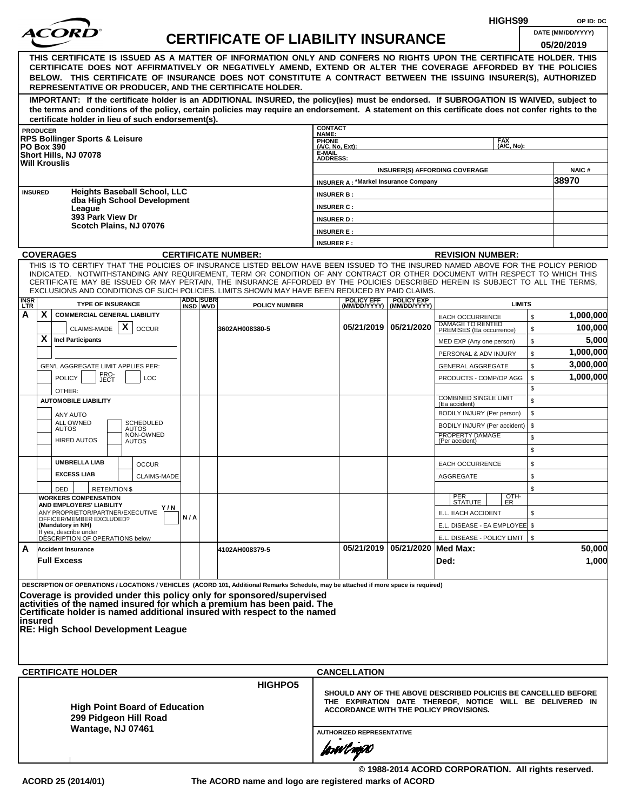|                                                                                                                                                                                                                                                    |                                                                 |                                      |     |  |                                                                                                                                                                                                                                                                                                                                                                                                                                                                                                                                                                                                                                                                                                                 |                                    |                                                |                                | HIGHS99                                                                                            |          | OP ID: DC                       |  |
|----------------------------------------------------------------------------------------------------------------------------------------------------------------------------------------------------------------------------------------------------|-----------------------------------------------------------------|--------------------------------------|-----|--|-----------------------------------------------------------------------------------------------------------------------------------------------------------------------------------------------------------------------------------------------------------------------------------------------------------------------------------------------------------------------------------------------------------------------------------------------------------------------------------------------------------------------------------------------------------------------------------------------------------------------------------------------------------------------------------------------------------------|------------------------------------|------------------------------------------------|--------------------------------|----------------------------------------------------------------------------------------------------|----------|---------------------------------|--|
|                                                                                                                                                                                                                                                    | <i>ACOR</i>                                                     |                                      |     |  | <b>CERTIFICATE OF LIABILITY INSURANCE</b>                                                                                                                                                                                                                                                                                                                                                                                                                                                                                                                                                                                                                                                                       |                                    |                                                |                                |                                                                                                    |          | DATE (MM/DD/YYYY)<br>05/20/2019 |  |
|                                                                                                                                                                                                                                                    |                                                                 |                                      |     |  | THIS CERTIFICATE IS ISSUED AS A MATTER OF INFORMATION ONLY AND CONFERS NO RIGHTS UPON THE CERTIFICATE HOLDER. THIS<br>CERTIFICATE DOES NOT AFFIRMATIVELY OR NEGATIVELY AMEND, EXTEND OR ALTER THE COVERAGE AFFORDED BY THE POLICIES<br>BELOW. THIS CERTIFICATE OF INSURANCE DOES NOT CONSTITUTE A CONTRACT BETWEEN THE ISSUING INSURER(S), AUTHORIZED<br>REPRESENTATIVE OR PRODUCER, AND THE CERTIFICATE HOLDER.<br>IMPORTANT: If the certificate holder is an ADDITIONAL INSURED, the policy(ies) must be endorsed. If SUBROGATION IS WAIVED, subject to<br>the terms and conditions of the policy, certain policies may require an endorsement. A statement on this certificate does not confer rights to the |                                    |                                                |                                |                                                                                                    |          |                                 |  |
|                                                                                                                                                                                                                                                    | certificate holder in lieu of such endorsement(s).              |                                      |     |  |                                                                                                                                                                                                                                                                                                                                                                                                                                                                                                                                                                                                                                                                                                                 | <b>CONTACT</b>                     |                                                |                                |                                                                                                    |          |                                 |  |
| <b>PRODUCER</b>                                                                                                                                                                                                                                    | <b>RPS Bollinger Sports &amp; Leisure</b>                       |                                      |     |  |                                                                                                                                                                                                                                                                                                                                                                                                                                                                                                                                                                                                                                                                                                                 | NAME:                              |                                                |                                | <b>FAX</b>                                                                                         |          |                                 |  |
| <b>PO Box 390</b>                                                                                                                                                                                                                                  |                                                                 |                                      |     |  |                                                                                                                                                                                                                                                                                                                                                                                                                                                                                                                                                                                                                                                                                                                 | PHONE<br>(A/C, No, Ext):<br>E-MAIL |                                                |                                | (A/C, No):                                                                                         |          |                                 |  |
| <b>Will Krouslis</b>                                                                                                                                                                                                                               | Short Hills, NJ 07078                                           |                                      |     |  |                                                                                                                                                                                                                                                                                                                                                                                                                                                                                                                                                                                                                                                                                                                 | <b>ADDRESS:</b>                    |                                                |                                |                                                                                                    |          |                                 |  |
|                                                                                                                                                                                                                                                    |                                                                 |                                      |     |  |                                                                                                                                                                                                                                                                                                                                                                                                                                                                                                                                                                                                                                                                                                                 |                                    |                                                |                                | <b>INSURER(S) AFFORDING COVERAGE</b>                                                               |          | <b>NAIC#</b><br>38970           |  |
| <b>INSURED</b>                                                                                                                                                                                                                                     |                                                                 | <b>Heights Baseball School, LLC</b>  |     |  |                                                                                                                                                                                                                                                                                                                                                                                                                                                                                                                                                                                                                                                                                                                 | <b>INSURER B:</b>                  | <b>INSURER A: *Markel Insurance Company</b>    |                                |                                                                                                    |          |                                 |  |
|                                                                                                                                                                                                                                                    |                                                                 | dba High School Development          |     |  |                                                                                                                                                                                                                                                                                                                                                                                                                                                                                                                                                                                                                                                                                                                 | <b>INSURER C:</b>                  |                                                |                                |                                                                                                    |          |                                 |  |
|                                                                                                                                                                                                                                                    | League<br>393 Park View Dr                                      |                                      |     |  |                                                                                                                                                                                                                                                                                                                                                                                                                                                                                                                                                                                                                                                                                                                 | <b>INSURER D:</b>                  |                                                |                                |                                                                                                    |          |                                 |  |
|                                                                                                                                                                                                                                                    | Scotch Plains, NJ 07076                                         |                                      |     |  |                                                                                                                                                                                                                                                                                                                                                                                                                                                                                                                                                                                                                                                                                                                 | <b>INSURER E:</b>                  |                                                |                                |                                                                                                    |          |                                 |  |
|                                                                                                                                                                                                                                                    |                                                                 |                                      |     |  |                                                                                                                                                                                                                                                                                                                                                                                                                                                                                                                                                                                                                                                                                                                 | <b>INSURER F:</b>                  |                                                |                                |                                                                                                    |          |                                 |  |
|                                                                                                                                                                                                                                                    | <b>COVERAGES</b>                                                |                                      |     |  | <b>CERTIFICATE NUMBER:</b>                                                                                                                                                                                                                                                                                                                                                                                                                                                                                                                                                                                                                                                                                      |                                    |                                                |                                | <b>REVISION NUMBER:</b>                                                                            |          |                                 |  |
|                                                                                                                                                                                                                                                    |                                                                 |                                      |     |  | THIS IS TO CERTIFY THAT THE POLICIES OF INSURANCE LISTED BELOW HAVE BEEN ISSUED TO THE INSURED NAMED ABOVE FOR THE POLICY PERIOD<br>INDICATED. NOTWITHSTANDING ANY REQUIREMENT, TERM OR CONDITION OF ANY CONTRACT OR OTHER DOCUMENT WITH RESPECT TO WHICH THIS<br>CERTIFICATE MAY BE ISSUED OR MAY PERTAIN, THE INSURANCE AFFORDED BY THE POLICIES DESCRIBED HEREIN IS SUBJECT TO ALL THE TERMS.<br>EXCLUSIONS AND CONDITIONS OF SUCH POLICIES. LIMITS SHOWN MAY HAVE BEEN REDUCED BY PAID CLAIMS.                                                                                                                                                                                                              |                                    |                                                |                                |                                                                                                    |          |                                 |  |
| <b>ADDL SUBR</b><br><b>POLICY EFF</b><br><b>POLICY EXP</b><br><b>INSR</b><br>LTR<br><b>TYPE OF INSURANCE</b><br><b>LIMITS</b><br>INSD WVD<br><b>POLICY NUMBER</b><br>(MM/DD/YYYY)   (MM/DD/YYYY)<br>A<br>X.<br><b>COMMERCIAL GENERAL LIABILITY</b> |                                                                 |                                      |     |  |                                                                                                                                                                                                                                                                                                                                                                                                                                                                                                                                                                                                                                                                                                                 |                                    |                                                |                                |                                                                                                    |          |                                 |  |
|                                                                                                                                                                                                                                                    | CLAIMS-MADE                                                     | X.<br><b>OCCUR</b>                   |     |  | 3602AH008380-5                                                                                                                                                                                                                                                                                                                                                                                                                                                                                                                                                                                                                                                                                                  |                                    | 05/21/2019   05/21/2020                        |                                | <b>EACH OCCURRENCE</b><br>DAMAGE TO RENTED<br>PREMISES (Ea occurrence)                             | \$<br>\$ | 1,000,000<br>100,000            |  |
| X                                                                                                                                                                                                                                                  | <b>Incl Participants</b>                                        |                                      |     |  |                                                                                                                                                                                                                                                                                                                                                                                                                                                                                                                                                                                                                                                                                                                 |                                    |                                                |                                | MED EXP (Any one person)                                                                           | \$       | 5,000                           |  |
|                                                                                                                                                                                                                                                    |                                                                 |                                      |     |  |                                                                                                                                                                                                                                                                                                                                                                                                                                                                                                                                                                                                                                                                                                                 |                                    |                                                |                                | PERSONAL & ADV INJURY                                                                              | \$       | 1,000,000                       |  |
|                                                                                                                                                                                                                                                    | GEN'L AGGREGATE LIMIT APPLIES PER:<br>PRO-<br>JECT              |                                      |     |  |                                                                                                                                                                                                                                                                                                                                                                                                                                                                                                                                                                                                                                                                                                                 |                                    |                                                |                                | <b>GENERAL AGGREGATE</b>                                                                           | \$       | 3,000,000<br>1,000,000          |  |
|                                                                                                                                                                                                                                                    | <b>POLICY</b>                                                   | <b>LOC</b>                           |     |  |                                                                                                                                                                                                                                                                                                                                                                                                                                                                                                                                                                                                                                                                                                                 |                                    |                                                |                                | PRODUCTS - COMP/OP AGG                                                                             | \$<br>\$ |                                 |  |
|                                                                                                                                                                                                                                                    | OTHER:<br><b>AUTOMOBILE LIABILITY</b>                           |                                      |     |  |                                                                                                                                                                                                                                                                                                                                                                                                                                                                                                                                                                                                                                                                                                                 |                                    |                                                |                                | <b>COMBINED SINGLE LIMIT</b><br>(Ea accident)                                                      | \$       |                                 |  |
|                                                                                                                                                                                                                                                    | ANY AUTO<br>ALL OWNED                                           | <b>SCHEDULED</b>                     |     |  |                                                                                                                                                                                                                                                                                                                                                                                                                                                                                                                                                                                                                                                                                                                 |                                    |                                                |                                | BODILY INJURY (Per person)                                                                         | \$       |                                 |  |
|                                                                                                                                                                                                                                                    | <b>AUTOS</b>                                                    | AUTOS<br>NON-OWNED                   |     |  |                                                                                                                                                                                                                                                                                                                                                                                                                                                                                                                                                                                                                                                                                                                 |                                    |                                                |                                | BODILY INJURY (Per accident)<br>PROPERTY DAMAGE                                                    | \$<br>\$ |                                 |  |
|                                                                                                                                                                                                                                                    | <b>HIRED AUTOS</b>                                              | <b>AUTOS</b>                         |     |  |                                                                                                                                                                                                                                                                                                                                                                                                                                                                                                                                                                                                                                                                                                                 |                                    |                                                |                                | (Per accident)                                                                                     | \$       |                                 |  |
|                                                                                                                                                                                                                                                    | <b>UMBRELLA LIAB</b>                                            | <b>OCCUR</b>                         |     |  |                                                                                                                                                                                                                                                                                                                                                                                                                                                                                                                                                                                                                                                                                                                 |                                    |                                                |                                | <b>EACH OCCURRENCE</b>                                                                             | \$       |                                 |  |
|                                                                                                                                                                                                                                                    | <b>EXCESS LIAB</b>                                              | <b>CLAIMS-MADE</b>                   |     |  |                                                                                                                                                                                                                                                                                                                                                                                                                                                                                                                                                                                                                                                                                                                 |                                    |                                                |                                | AGGREGATE                                                                                          | \$       |                                 |  |
|                                                                                                                                                                                                                                                    | DED<br><b>RETENTION \$</b>                                      |                                      |     |  |                                                                                                                                                                                                                                                                                                                                                                                                                                                                                                                                                                                                                                                                                                                 |                                    |                                                |                                |                                                                                                    | \$       |                                 |  |
|                                                                                                                                                                                                                                                    | <b>WORKERS COMPENSATION</b><br>AND EMPLOYERS' LIABILITY         |                                      |     |  |                                                                                                                                                                                                                                                                                                                                                                                                                                                                                                                                                                                                                                                                                                                 |                                    |                                                |                                | OTH-<br>ER<br>PER<br>STATUTE                                                                       |          |                                 |  |
|                                                                                                                                                                                                                                                    | ANY PROPRIETOR/PARTNER/EXECUTIVE<br>OFFICER/MEMBER EXCLUDED?    | Y/N                                  | N/A |  |                                                                                                                                                                                                                                                                                                                                                                                                                                                                                                                                                                                                                                                                                                                 |                                    |                                                |                                | E.L. EACH ACCIDENT                                                                                 | \$       |                                 |  |
|                                                                                                                                                                                                                                                    | (Mandatory in NH)<br>If yes, describe under                     |                                      |     |  |                                                                                                                                                                                                                                                                                                                                                                                                                                                                                                                                                                                                                                                                                                                 |                                    |                                                |                                | E.L. DISEASE - EA EMPLOYEE \$                                                                      |          |                                 |  |
|                                                                                                                                                                                                                                                    | DÉSCRIPTION OF OPERATIONS below                                 |                                      |     |  |                                                                                                                                                                                                                                                                                                                                                                                                                                                                                                                                                                                                                                                                                                                 |                                    |                                                |                                | E.L. DISEASE - POLICY LIMIT   \$                                                                   |          |                                 |  |
| A                                                                                                                                                                                                                                                  | <b>Accident Insurance</b><br><b>Full Excess</b>                 |                                      |     |  | 4102AH008379-5                                                                                                                                                                                                                                                                                                                                                                                                                                                                                                                                                                                                                                                                                                  |                                    |                                                | 05/21/2019 05/21/2020 Med Max: | Ded:                                                                                               |          | 50,000<br>1,000                 |  |
| linsured                                                                                                                                                                                                                                           | RE: High School Development League<br><b>CERTIFICATE HOLDER</b> |                                      |     |  | DESCRIPTION OF OPERATIONS / LOCATIONS / VEHICLES (ACORD 101, Additional Remarks Schedule, may be attached if more space is required)<br>Coverage is provided under this policy only for sponsored/supervised<br>activities of the named insured for which a premium has been paid. The<br>Certificate holder is named additional insured with respect to the named<br><b>HIGHPO5</b>                                                                                                                                                                                                                                                                                                                            |                                    | <b>CANCELLATION</b>                            |                                | SHOULD ANY OF THE ABOVE DESCRIBED POLICIES BE CANCELLED BEFORE                                     |          |                                 |  |
|                                                                                                                                                                                                                                                    | 299 Pidgeon Hill Road<br>Wantage, NJ 07461                      | <b>High Point Board of Education</b> |     |  |                                                                                                                                                                                                                                                                                                                                                                                                                                                                                                                                                                                                                                                                                                                 |                                    | <b>AUTHORIZED REPRESENTATIVE</b><br>forwl nop0 |                                | THE EXPIRATION DATE THEREOF, NOTICE WILL BE DELIVERED IN<br>ACCORDANCE WITH THE POLICY PROVISIONS. |          |                                 |  |
|                                                                                                                                                                                                                                                    |                                                                 |                                      |     |  |                                                                                                                                                                                                                                                                                                                                                                                                                                                                                                                                                                                                                                                                                                                 |                                    |                                                |                                | © 1988-2014 ACORD CORPORATION. All rights reserved.                                                |          |                                 |  |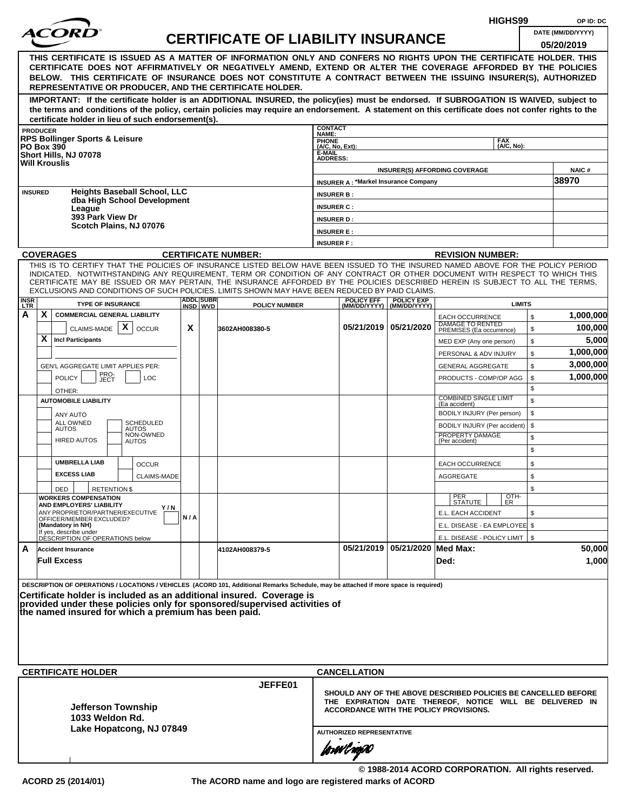|                                                                                                                                                                                                                                                                                                                                                                                                              |                                                                                                                                                                                                                                                                | HIGHS99    |  | OP ID: DC                                 |                                    |                                             |                                |                                                                                                                            |            |          |                        |  |  |
|--------------------------------------------------------------------------------------------------------------------------------------------------------------------------------------------------------------------------------------------------------------------------------------------------------------------------------------------------------------------------------------------------------------|----------------------------------------------------------------------------------------------------------------------------------------------------------------------------------------------------------------------------------------------------------------|------------|--|-------------------------------------------|------------------------------------|---------------------------------------------|--------------------------------|----------------------------------------------------------------------------------------------------------------------------|------------|----------|------------------------|--|--|
|                                                                                                                                                                                                                                                                                                                                                                                                              |                                                                                                                                                                                                                                                                |            |  | <b>CERTIFICATE OF LIABILITY INSURANCE</b> |                                    |                                             |                                |                                                                                                                            |            |          | DATE (MM/DD/YYYY)      |  |  |
|                                                                                                                                                                                                                                                                                                                                                                                                              |                                                                                                                                                                                                                                                                |            |  |                                           |                                    |                                             |                                |                                                                                                                            |            |          | 05/20/2019             |  |  |
|                                                                                                                                                                                                                                                                                                                                                                                                              | THIS CERTIFICATE IS ISSUED AS A MATTER OF INFORMATION ONLY AND CONFERS NO RIGHTS UPON THE CERTIFICATE HOLDER. THIS                                                                                                                                             |            |  |                                           |                                    |                                             |                                |                                                                                                                            |            |          |                        |  |  |
|                                                                                                                                                                                                                                                                                                                                                                                                              | CERTIFICATE DOES NOT AFFIRMATIVELY OR NEGATIVELY AMEND, EXTEND OR ALTER THE COVERAGE AFFORDED BY THE POLICIES<br>BELOW. THIS CERTIFICATE OF INSURANCE DOES NOT CONSTITUTE A CONTRACT BETWEEN THE ISSUING INSURER(S), AUTHORIZED                                |            |  |                                           |                                    |                                             |                                |                                                                                                                            |            |          |                        |  |  |
|                                                                                                                                                                                                                                                                                                                                                                                                              | REPRESENTATIVE OR PRODUCER, AND THE CERTIFICATE HOLDER.                                                                                                                                                                                                        |            |  |                                           |                                    |                                             |                                |                                                                                                                            |            |          |                        |  |  |
|                                                                                                                                                                                                                                                                                                                                                                                                              | IMPORTANT: If the certificate holder is an ADDITIONAL INSURED, the policy(ies) must be endorsed. If SUBROGATION IS WAIVED, subject to                                                                                                                          |            |  |                                           |                                    |                                             |                                |                                                                                                                            |            |          |                        |  |  |
|                                                                                                                                                                                                                                                                                                                                                                                                              | the terms and conditions of the policy, certain policies may require an endorsement. A statement on this certificate does not confer rights to the                                                                                                             |            |  |                                           |                                    |                                             |                                |                                                                                                                            |            |          |                        |  |  |
|                                                                                                                                                                                                                                                                                                                                                                                                              | certificate holder in lieu of such endorsement(s).<br><b>PRODUCER</b>                                                                                                                                                                                          |            |  |                                           | <b>CONTACT</b>                     |                                             |                                |                                                                                                                            |            |          |                        |  |  |
|                                                                                                                                                                                                                                                                                                                                                                                                              | <b>RPS Bollinger Sports &amp; Leisure</b>                                                                                                                                                                                                                      |            |  |                                           | NAME:                              |                                             |                                |                                                                                                                            | <b>FAX</b> |          |                        |  |  |
|                                                                                                                                                                                                                                                                                                                                                                                                              | <b>PO Box 390</b><br>Short Hills, NJ 07078                                                                                                                                                                                                                     |            |  |                                           | PHONE<br>(A/C, No, Ext):<br>E-MAIL |                                             |                                |                                                                                                                            | (A/C, No): |          |                        |  |  |
|                                                                                                                                                                                                                                                                                                                                                                                                              | <b>Will Krouslis</b>                                                                                                                                                                                                                                           |            |  |                                           | <b>ADDRESS:</b>                    |                                             |                                |                                                                                                                            |            |          |                        |  |  |
|                                                                                                                                                                                                                                                                                                                                                                                                              |                                                                                                                                                                                                                                                                |            |  |                                           |                                    | <b>INSURER A: *Markel Insurance Company</b> |                                | <b>INSURER(S) AFFORDING COVERAGE</b>                                                                                       |            |          | <b>NAIC#</b><br>38970  |  |  |
|                                                                                                                                                                                                                                                                                                                                                                                                              | <b>Heights Baseball School, LLC</b><br><b>INSURED</b>                                                                                                                                                                                                          |            |  |                                           | <b>INSURER B:</b>                  |                                             |                                |                                                                                                                            |            |          |                        |  |  |
|                                                                                                                                                                                                                                                                                                                                                                                                              | dba High School Development                                                                                                                                                                                                                                    |            |  |                                           | <b>INSURER C:</b>                  |                                             |                                |                                                                                                                            |            |          |                        |  |  |
|                                                                                                                                                                                                                                                                                                                                                                                                              | League<br>393 Park View Dr                                                                                                                                                                                                                                     |            |  |                                           | <b>INSURER D:</b>                  |                                             |                                |                                                                                                                            |            |          |                        |  |  |
|                                                                                                                                                                                                                                                                                                                                                                                                              | Scotch Plains, NJ 07076                                                                                                                                                                                                                                        |            |  |                                           | <b>INSURER E:</b>                  |                                             |                                |                                                                                                                            |            |          |                        |  |  |
|                                                                                                                                                                                                                                                                                                                                                                                                              |                                                                                                                                                                                                                                                                |            |  |                                           | <b>INSURER F:</b>                  |                                             |                                |                                                                                                                            |            |          |                        |  |  |
|                                                                                                                                                                                                                                                                                                                                                                                                              | <b>COVERAGES</b>                                                                                                                                                                                                                                               |            |  | <b>CERTIFICATE NUMBER:</b>                |                                    |                                             |                                | <b>REVISION NUMBER:</b>                                                                                                    |            |          |                        |  |  |
|                                                                                                                                                                                                                                                                                                                                                                                                              | THIS IS TO CERTIFY THAT THE POLICIES OF INSURANCE LISTED BELOW HAVE BEEN ISSUED TO THE INSURED NAMED ABOVE FOR THE POLICY PERIOD<br>INDICATED. NOTWITHSTANDING ANY REQUIREMENT, TERM OR CONDITION OF ANY CONTRACT OR OTHER DOCUMENT WITH RESPECT TO WHICH THIS |            |  |                                           |                                    |                                             |                                |                                                                                                                            |            |          |                        |  |  |
|                                                                                                                                                                                                                                                                                                                                                                                                              |                                                                                                                                                                                                                                                                |            |  |                                           |                                    |                                             |                                |                                                                                                                            |            |          |                        |  |  |
| CERTIFICATE MAY BE ISSUED OR MAY PERTAIN, THE INSURANCE AFFORDED BY THE POLICIES DESCRIBED HEREIN IS SUBJECT TO ALL THE TERMS.<br>EXCLUSIONS AND CONDITIONS OF SUCH POLICIES. LIMITS SHOWN MAY HAVE BEEN REDUCED BY PAID CLAIMS.<br><b>ADDL SUBR</b><br><b>POLICY EFF</b><br><b>POLICY EXP</b><br><b>INSR</b><br>LTR<br><b>TYPE OF INSURANCE</b><br><b>LIMITS</b><br>INSD WVD<br>(MM/DD/YYYY)   (MM/DD/YYYY) |                                                                                                                                                                                                                                                                |            |  |                                           |                                    |                                             |                                |                                                                                                                            |            |          |                        |  |  |
|                                                                                                                                                                                                                                                                                                                                                                                                              |                                                                                                                                                                                                                                                                |            |  | <b>POLICY NUMBER</b>                      |                                    |                                             |                                |                                                                                                                            |            |          |                        |  |  |
| А                                                                                                                                                                                                                                                                                                                                                                                                            | X<br><b>COMMERCIAL GENERAL LIABILITY</b>                                                                                                                                                                                                                       |            |  |                                           |                                    |                                             |                                | <b>EACH OCCURRENCE</b><br>DAMAGE TO RENTED                                                                                 |            | \$       | 1,000,000              |  |  |
|                                                                                                                                                                                                                                                                                                                                                                                                              | CLAIMS-MADE $\mathbf{X}$<br><b>OCCUR</b>                                                                                                                                                                                                                       | X          |  | 3602AH008380-5                            |                                    |                                             | 05/21/2019 05/21/2020          | PREMISES (Ea occurrence)                                                                                                   |            | \$       | 100,000                |  |  |
|                                                                                                                                                                                                                                                                                                                                                                                                              | X<br><b>Incl Participants</b>                                                                                                                                                                                                                                  |            |  |                                           |                                    |                                             |                                | MED EXP (Any one person)                                                                                                   |            | \$       | 5,000                  |  |  |
|                                                                                                                                                                                                                                                                                                                                                                                                              |                                                                                                                                                                                                                                                                |            |  |                                           |                                    |                                             |                                | PERSONAL & ADV INJURY                                                                                                      |            | \$       | 1,000,000<br>3,000,000 |  |  |
|                                                                                                                                                                                                                                                                                                                                                                                                              | GEN'L AGGREGATE LIMIT APPLIES PER:<br>PRO-<br>JECT                                                                                                                                                                                                             |            |  |                                           |                                    |                                             |                                | <b>GENERAL AGGREGATE</b>                                                                                                   |            | \$       | 1,000,000              |  |  |
|                                                                                                                                                                                                                                                                                                                                                                                                              | <b>POLICY</b><br><b>LOC</b>                                                                                                                                                                                                                                    |            |  |                                           |                                    |                                             |                                | PRODUCTS - COMP/OP AGG                                                                                                     |            | \$<br>\$ |                        |  |  |
|                                                                                                                                                                                                                                                                                                                                                                                                              | OTHER:<br><b>AUTOMOBILE LIABILITY</b>                                                                                                                                                                                                                          |            |  |                                           |                                    |                                             |                                | <b>COMBINED SINGLE LIMIT</b>                                                                                               |            | \$       |                        |  |  |
|                                                                                                                                                                                                                                                                                                                                                                                                              | ANY AUTO                                                                                                                                                                                                                                                       |            |  |                                           |                                    |                                             |                                | (Ea accident)<br>BODILY INJURY (Per person)                                                                                |            | \$       |                        |  |  |
|                                                                                                                                                                                                                                                                                                                                                                                                              | ALL OWNED<br><b>SCHEDULED</b><br><b>AUTOS</b><br><b>AUTOS</b>                                                                                                                                                                                                  |            |  |                                           |                                    |                                             |                                | BODILY INJURY (Per accident)                                                                                               |            | \$       |                        |  |  |
|                                                                                                                                                                                                                                                                                                                                                                                                              | NON-OWNED<br><b>HIRED AUTOS</b><br><b>AUTOS</b>                                                                                                                                                                                                                |            |  |                                           |                                    |                                             |                                | PROPERTY DAMAGE<br>(Per accident)                                                                                          |            | \$       |                        |  |  |
|                                                                                                                                                                                                                                                                                                                                                                                                              |                                                                                                                                                                                                                                                                |            |  |                                           |                                    |                                             |                                |                                                                                                                            |            | \$       |                        |  |  |
|                                                                                                                                                                                                                                                                                                                                                                                                              | <b>UMBRELLA LIAB</b><br><b>OCCUR</b>                                                                                                                                                                                                                           |            |  |                                           |                                    |                                             |                                | EACH OCCURRENCE                                                                                                            |            | \$       |                        |  |  |
|                                                                                                                                                                                                                                                                                                                                                                                                              | <b>EXCESS LIAB</b><br><b>CLAIMS-MADE</b>                                                                                                                                                                                                                       |            |  |                                           |                                    |                                             |                                | <b>AGGREGATE</b>                                                                                                           |            | \$       |                        |  |  |
|                                                                                                                                                                                                                                                                                                                                                                                                              | <b>RETENTION \$</b><br>DED                                                                                                                                                                                                                                     |            |  |                                           |                                    |                                             |                                |                                                                                                                            |            | \$       |                        |  |  |
|                                                                                                                                                                                                                                                                                                                                                                                                              | <b>WORKERS COMPENSATION</b><br>AND EMPLOYERS' LIABILITY                                                                                                                                                                                                        |            |  |                                           |                                    |                                             |                                | PER<br>STATUTE                                                                                                             | OTH-<br>ER |          |                        |  |  |
|                                                                                                                                                                                                                                                                                                                                                                                                              | ANY PROPRIETOR/PARTNER/EXECUTIVE<br>OFFICER/MEMBER EXCLUDED?                                                                                                                                                                                                   | Y/N<br>N/A |  |                                           |                                    |                                             |                                | E.L. EACH ACCIDENT                                                                                                         |            | \$       |                        |  |  |
|                                                                                                                                                                                                                                                                                                                                                                                                              | (Mandatory in NH)                                                                                                                                                                                                                                              |            |  |                                           |                                    |                                             |                                | E.L. DISEASE - EA EMPLOYEE \$                                                                                              |            |          |                        |  |  |
|                                                                                                                                                                                                                                                                                                                                                                                                              | If yes, describe under<br>DESCRIPTION OF OPERATIONS below                                                                                                                                                                                                      |            |  |                                           |                                    |                                             |                                | E.L. DISEASE - POLICY LIMIT   \$                                                                                           |            |          |                        |  |  |
| A                                                                                                                                                                                                                                                                                                                                                                                                            | <b>Accident Insurance</b>                                                                                                                                                                                                                                      |            |  | 4102AH008379-5                            |                                    |                                             | 05/21/2019 05/21/2020 Med Max: |                                                                                                                            |            |          | 50,000                 |  |  |
|                                                                                                                                                                                                                                                                                                                                                                                                              | <b>Full Excess</b>                                                                                                                                                                                                                                             |            |  |                                           |                                    |                                             |                                | Ded:                                                                                                                       |            |          | 1,000                  |  |  |
|                                                                                                                                                                                                                                                                                                                                                                                                              | DESCRIPTION OF OPERATIONS / LOCATIONS / VEHICLES (ACORD 101, Additional Remarks Schedule, may be attached if more space is required)                                                                                                                           |            |  |                                           |                                    |                                             |                                |                                                                                                                            |            |          |                        |  |  |
|                                                                                                                                                                                                                                                                                                                                                                                                              | Certificate holder is included as an additional insured. Coverage is                                                                                                                                                                                           |            |  |                                           |                                    |                                             |                                |                                                                                                                            |            |          |                        |  |  |
|                                                                                                                                                                                                                                                                                                                                                                                                              | provided under these policies only for sponsored/supervised activities of                                                                                                                                                                                      |            |  |                                           |                                    |                                             |                                |                                                                                                                            |            |          |                        |  |  |
|                                                                                                                                                                                                                                                                                                                                                                                                              | the named insured for which a premium has been paid.                                                                                                                                                                                                           |            |  |                                           |                                    |                                             |                                |                                                                                                                            |            |          |                        |  |  |
|                                                                                                                                                                                                                                                                                                                                                                                                              |                                                                                                                                                                                                                                                                |            |  |                                           |                                    |                                             |                                |                                                                                                                            |            |          |                        |  |  |
|                                                                                                                                                                                                                                                                                                                                                                                                              |                                                                                                                                                                                                                                                                |            |  |                                           |                                    |                                             |                                |                                                                                                                            |            |          |                        |  |  |
|                                                                                                                                                                                                                                                                                                                                                                                                              |                                                                                                                                                                                                                                                                |            |  |                                           |                                    |                                             |                                |                                                                                                                            |            |          |                        |  |  |
|                                                                                                                                                                                                                                                                                                                                                                                                              | <b>CERTIFICATE HOLDER</b>                                                                                                                                                                                                                                      |            |  |                                           |                                    | <b>CANCELLATION</b>                         |                                |                                                                                                                            |            |          |                        |  |  |
|                                                                                                                                                                                                                                                                                                                                                                                                              |                                                                                                                                                                                                                                                                |            |  | JEFFE01                                   |                                    |                                             |                                |                                                                                                                            |            |          |                        |  |  |
|                                                                                                                                                                                                                                                                                                                                                                                                              |                                                                                                                                                                                                                                                                |            |  |                                           |                                    |                                             |                                | SHOULD ANY OF THE ABOVE DESCRIBED POLICIES BE CANCELLED BEFORE<br>THE EXPIRATION DATE THEREOF, NOTICE WILL BE DELIVERED IN |            |          |                        |  |  |
|                                                                                                                                                                                                                                                                                                                                                                                                              | Jefferson Township                                                                                                                                                                                                                                             |            |  |                                           |                                    |                                             |                                | ACCORDANCE WITH THE POLICY PROVISIONS.                                                                                     |            |          |                        |  |  |
|                                                                                                                                                                                                                                                                                                                                                                                                              | 1033 Weldon Rd.                                                                                                                                                                                                                                                |            |  |                                           |                                    |                                             |                                |                                                                                                                            |            |          |                        |  |  |
|                                                                                                                                                                                                                                                                                                                                                                                                              | Lake Hopatcong, NJ 07849                                                                                                                                                                                                                                       |            |  |                                           |                                    | <b>AUTHORIZED REPRESENTATIVE</b>            |                                |                                                                                                                            |            |          |                        |  |  |
|                                                                                                                                                                                                                                                                                                                                                                                                              |                                                                                                                                                                                                                                                                |            |  |                                           |                                    | forwl now                                   |                                |                                                                                                                            |            |          |                        |  |  |
|                                                                                                                                                                                                                                                                                                                                                                                                              |                                                                                                                                                                                                                                                                |            |  |                                           |                                    |                                             |                                |                                                                                                                            |            |          |                        |  |  |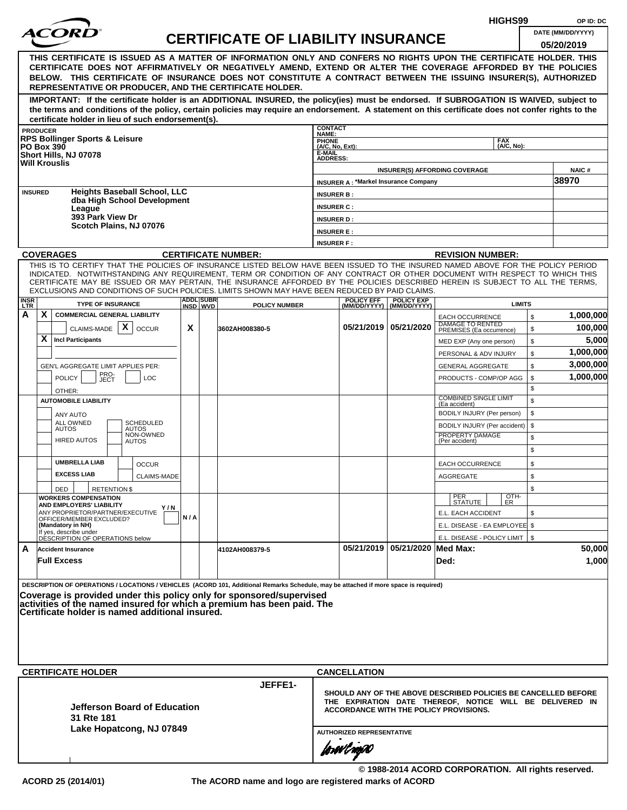|                           |                 |                                                                                                                                                                                                                                                                                                                                                                                                                                                                                                    |     |                              |                                           |                                                       |                                             |                                                  |                                                                                                                                                                             | HIGHS99                  |                      | OP ID: DC                       |
|---------------------------|-----------------|----------------------------------------------------------------------------------------------------------------------------------------------------------------------------------------------------------------------------------------------------------------------------------------------------------------------------------------------------------------------------------------------------------------------------------------------------------------------------------------------------|-----|------------------------------|-------------------------------------------|-------------------------------------------------------|---------------------------------------------|--------------------------------------------------|-----------------------------------------------------------------------------------------------------------------------------------------------------------------------------|--------------------------|----------------------|---------------------------------|
|                           |                 |                                                                                                                                                                                                                                                                                                                                                                                                                                                                                                    |     |                              | <b>CERTIFICATE OF LIABILITY INSURANCE</b> |                                                       |                                             |                                                  |                                                                                                                                                                             |                          |                      | DATE (MM/DD/YYYY)<br>05/20/2019 |
|                           |                 | THIS CERTIFICATE IS ISSUED AS A MATTER OF INFORMATION ONLY AND CONFERS NO RIGHTS UPON THE CERTIFICATE HOLDER. THIS<br>CERTIFICATE DOES NOT AFFIRMATIVELY OR NEGATIVELY AMEND, EXTEND OR ALTER THE COVERAGE AFFORDED BY THE POLICIES<br>BELOW. THIS CERTIFICATE OF INSURANCE DOES NOT CONSTITUTE A CONTRACT BETWEEN THE ISSUING INSURER(S), AUTHORIZED<br>REPRESENTATIVE OR PRODUCER, AND THE CERTIFICATE HOLDER.                                                                                   |     |                              |                                           |                                                       |                                             |                                                  |                                                                                                                                                                             |                          |                      |                                 |
|                           |                 | IMPORTANT: If the certificate holder is an ADDITIONAL INSURED, the policy(ies) must be endorsed. If SUBROGATION IS WAIVED, subject to<br>the terms and conditions of the policy, certain policies may require an endorsement. A statement on this certificate does not confer rights to the<br>certificate holder in lieu of such endorsement(s).                                                                                                                                                  |     |                              |                                           |                                                       |                                             |                                                  |                                                                                                                                                                             |                          |                      |                                 |
|                           | <b>PRODUCER</b> |                                                                                                                                                                                                                                                                                                                                                                                                                                                                                                    |     |                              |                                           | <b>CONTACT</b><br>NAME:                               |                                             |                                                  |                                                                                                                                                                             |                          |                      |                                 |
|                           |                 | <b>RPS Bollinger Sports &amp; Leisure</b><br><b>PO Box 390</b><br>Short Hills, NJ 07078<br><b>Will Krouslis</b>                                                                                                                                                                                                                                                                                                                                                                                    |     |                              |                                           | PHONE<br>(A/C, No, Ext):<br>E-MAIL<br><b>ADDRESS:</b> |                                             |                                                  |                                                                                                                                                                             | <b>FAX</b><br>(A/C, No): |                      |                                 |
|                           |                 |                                                                                                                                                                                                                                                                                                                                                                                                                                                                                                    |     |                              |                                           |                                                       |                                             |                                                  | <b>INSURER(S) AFFORDING COVERAGE</b>                                                                                                                                        |                          |                      | NAIC#<br>38970                  |
|                           | <b>INSURED</b>  | <b>Heights Baseball School, LLC</b>                                                                                                                                                                                                                                                                                                                                                                                                                                                                |     |                              |                                           | <b>INSURER B:</b>                                     | <b>INSURER A: *Markel Insurance Company</b> |                                                  |                                                                                                                                                                             |                          |                      |                                 |
|                           |                 | dba High School Development                                                                                                                                                                                                                                                                                                                                                                                                                                                                        |     |                              |                                           | <b>INSURER C:</b>                                     |                                             |                                                  |                                                                                                                                                                             |                          |                      |                                 |
|                           |                 | League<br>393 Park View Dr                                                                                                                                                                                                                                                                                                                                                                                                                                                                         |     |                              |                                           | <b>INSURER D:</b>                                     |                                             |                                                  |                                                                                                                                                                             |                          |                      |                                 |
|                           |                 | Scotch Plains, NJ 07076                                                                                                                                                                                                                                                                                                                                                                                                                                                                            |     |                              |                                           | <b>INSURER E:</b>                                     |                                             |                                                  |                                                                                                                                                                             |                          |                      |                                 |
|                           |                 |                                                                                                                                                                                                                                                                                                                                                                                                                                                                                                    |     |                              |                                           | <b>INSURER F:</b>                                     |                                             |                                                  |                                                                                                                                                                             |                          |                      |                                 |
|                           |                 | <b>COVERAGES</b>                                                                                                                                                                                                                                                                                                                                                                                                                                                                                   |     |                              | <b>CERTIFICATE NUMBER:</b>                |                                                       |                                             |                                                  | <b>REVISION NUMBER:</b>                                                                                                                                                     |                          |                      |                                 |
|                           |                 | THIS IS TO CERTIFY THAT THE POLICIES OF INSURANCE LISTED BELOW HAVE BEEN ISSUED TO THE INSURED NAMED ABOVE FOR THE POLICY PERIOD<br>INDICATED. NOTWITHSTANDING ANY REQUIREMENT, TERM OR CONDITION OF ANY CONTRACT OR OTHER DOCUMENT WITH RESPECT TO WHICH THIS<br>CERTIFICATE MAY BE ISSUED OR MAY PERTAIN, THE INSURANCE AFFORDED BY THE POLICIES DESCRIBED HEREIN IS SUBJECT TO ALL THE TERMS,<br>EXCLUSIONS AND CONDITIONS OF SUCH POLICIES. LIMITS SHOWN MAY HAVE BEEN REDUCED BY PAID CLAIMS. |     |                              |                                           |                                                       |                                             |                                                  |                                                                                                                                                                             |                          |                      |                                 |
| <b>INSR</b><br><b>LTR</b> |                 | <b>TYPE OF INSURANCE</b>                                                                                                                                                                                                                                                                                                                                                                                                                                                                           |     | <b>ADDL SUBR</b><br>INSD WVD | <b>POLICY NUMBER</b>                      |                                                       | <b>POLICY EFF</b>                           | <b>POLICY EXP</b><br>(MM/DD/YYYY)   (MM/DD/YYYY) |                                                                                                                                                                             | <b>LIMITS</b>            |                      |                                 |
| A                         | X               | <b>COMMERCIAL GENERAL LIABILITY</b><br>X<br>CLAIMS-MADE<br><b>OCCUR</b>                                                                                                                                                                                                                                                                                                                                                                                                                            | X   |                              | 3602AH008380-5                            |                                                       |                                             | 05/21/2019 05/21/2020                            | <b>EACH OCCURRENCE</b><br>DAMAGE TO RENTED<br>PREMISES (Ea occurrence)                                                                                                      |                          | $$\mathbb{S}$$<br>\$ | 1,000,000<br>100,000            |
|                           | X               | <b>Incl Participants</b>                                                                                                                                                                                                                                                                                                                                                                                                                                                                           |     |                              |                                           |                                                       |                                             |                                                  | MED EXP (Any one person)                                                                                                                                                    |                          | \$                   | 5,000                           |
|                           |                 |                                                                                                                                                                                                                                                                                                                                                                                                                                                                                                    |     |                              |                                           |                                                       |                                             |                                                  | PERSONAL & ADV INJURY                                                                                                                                                       |                          | \$                   | 1,000,000                       |
|                           |                 | GEN'L AGGREGATE LIMIT APPLIES PER:                                                                                                                                                                                                                                                                                                                                                                                                                                                                 |     |                              |                                           |                                                       |                                             |                                                  | <b>GENERAL AGGREGATE</b>                                                                                                                                                    |                          | \$                   | 3,000,000                       |
|                           |                 | PRO-<br><b>POLICY</b><br>LOC<br>JECT                                                                                                                                                                                                                                                                                                                                                                                                                                                               |     |                              |                                           |                                                       |                                             |                                                  | PRODUCTS - COMP/OP AGG                                                                                                                                                      |                          | \$                   | 1,000,000                       |
|                           |                 | OTHER:                                                                                                                                                                                                                                                                                                                                                                                                                                                                                             |     |                              |                                           |                                                       |                                             |                                                  | <b>COMBINED SINGLE LIMIT</b>                                                                                                                                                |                          | \$                   |                                 |
|                           |                 | <b>AUTOMOBILE LIABILITY</b>                                                                                                                                                                                                                                                                                                                                                                                                                                                                        |     |                              |                                           |                                                       |                                             |                                                  | (Ea accident)                                                                                                                                                               |                          | \$                   |                                 |
|                           |                 | <b>ANY AUTO</b><br>ALL OWNED<br>SCHEDULED                                                                                                                                                                                                                                                                                                                                                                                                                                                          |     |                              |                                           |                                                       |                                             |                                                  | BODILY INJURY (Per person)                                                                                                                                                  |                          | \$<br>\$             |                                 |
|                           |                 | <b>AUTOS</b><br><b>AUTOS</b><br>NON-OWNED                                                                                                                                                                                                                                                                                                                                                                                                                                                          |     |                              |                                           |                                                       |                                             |                                                  | BODILY INJURY (Per accident)<br>PROPERTY DAMAGE                                                                                                                             |                          | \$                   |                                 |
|                           |                 | <b>HIRED AUTOS</b><br><b>AUTOS</b>                                                                                                                                                                                                                                                                                                                                                                                                                                                                 |     |                              |                                           |                                                       |                                             |                                                  | (Per accident)                                                                                                                                                              |                          | \$                   |                                 |
|                           |                 | <b>UMBRELLA LIAB</b><br><b>OCCUR</b>                                                                                                                                                                                                                                                                                                                                                                                                                                                               |     |                              |                                           |                                                       |                                             |                                                  | <b>EACH OCCURRENCE</b>                                                                                                                                                      |                          | \$                   |                                 |
|                           |                 | <b>EXCESS LIAB</b><br><b>CLAIMS-MADE</b>                                                                                                                                                                                                                                                                                                                                                                                                                                                           |     |                              |                                           |                                                       |                                             |                                                  | <b>AGGREGATE</b>                                                                                                                                                            |                          | \$                   |                                 |
|                           |                 | <b>RETENTION \$</b><br>DED                                                                                                                                                                                                                                                                                                                                                                                                                                                                         |     |                              |                                           |                                                       |                                             |                                                  |                                                                                                                                                                             |                          | \$                   |                                 |
|                           |                 | <b>WORKERS COMPENSATION</b><br><b>AND EMPLOYERS' LIABILITY</b>                                                                                                                                                                                                                                                                                                                                                                                                                                     |     |                              |                                           |                                                       |                                             |                                                  | PER<br>STATUTE                                                                                                                                                              | OTH-<br>ER.              |                      |                                 |
|                           |                 | ANY PROPRIETOR/PARTNER/EXECUTIVE                                                                                                                                                                                                                                                                                                                                                                                                                                                                   | Y/N |                              |                                           |                                                       |                                             |                                                  | E.L. EACH ACCIDENT                                                                                                                                                          |                          | \$                   |                                 |
|                           |                 | OFFICER/MEMBER EXCLUDED?<br>(Mandatory in NH)                                                                                                                                                                                                                                                                                                                                                                                                                                                      | N/A |                              |                                           |                                                       |                                             |                                                  | E.L. DISEASE - EA EMPLOYEE \$                                                                                                                                               |                          |                      |                                 |
|                           |                 | If yes, describe under<br>DESCRIPTION OF OPERATIONS below                                                                                                                                                                                                                                                                                                                                                                                                                                          |     |                              |                                           |                                                       |                                             |                                                  | E.L. DISEASE - POLICY LIMIT   \$                                                                                                                                            |                          |                      |                                 |
| A                         |                 | <b>Accident Insurance</b><br><b>Full Excess</b>                                                                                                                                                                                                                                                                                                                                                                                                                                                    |     |                              | 4102AH008379-5                            |                                                       |                                             | 05/21/2019 05/21/2020 Med Max:                   | Ded:                                                                                                                                                                        |                          |                      | 50,000<br>1,000                 |
|                           |                 | DESCRIPTION OF OPERATIONS / LOCATIONS / VEHICLES (ACORD 101, Additional Remarks Schedule, may be attached if more space is required)<br>Coverage is provided under this policy only for sponsored/supervised<br>activities of the named insured for which a premium has been paid. The<br>Certificate holder is named additional insured.                                                                                                                                                          |     |                              |                                           |                                                       |                                             |                                                  |                                                                                                                                                                             |                          |                      |                                 |
|                           |                 | <b>CERTIFICATE HOLDER</b>                                                                                                                                                                                                                                                                                                                                                                                                                                                                          |     |                              |                                           |                                                       | <b>CANCELLATION</b>                         |                                                  |                                                                                                                                                                             |                          |                      |                                 |
|                           |                 | Jefferson Board of Education<br>31 Rte 181<br>Lake Hopatcong, NJ 07849                                                                                                                                                                                                                                                                                                                                                                                                                             |     |                              | JEFFE1-                                   |                                                       | <b>AUTHORIZED REPRESENTATIVE</b>            |                                                  | SHOULD ANY OF THE ABOVE DESCRIBED POLICIES BE CANCELLED BEFORE<br>THE EXPIRATION DATE THEREOF, NOTICE WILL BE DELIVERED IN<br><b>ACCORDANCE WITH THE POLICY PROVISIONS.</b> |                          |                      |                                 |
|                           |                 |                                                                                                                                                                                                                                                                                                                                                                                                                                                                                                    |     |                              |                                           |                                                       | forwl now                                   |                                                  |                                                                                                                                                                             |                          |                      |                                 |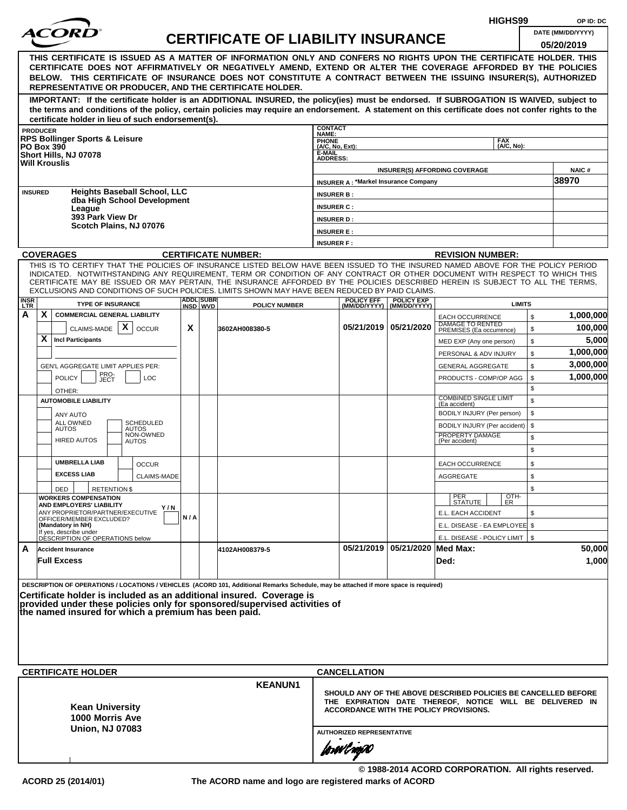|                                                                                                |                                                                                                                                                                                                                                                              |     |                              |                                           |                                    |                                             |                                                  | HIGHS99                                                        |          | OP ID: DC             |
|------------------------------------------------------------------------------------------------|--------------------------------------------------------------------------------------------------------------------------------------------------------------------------------------------------------------------------------------------------------------|-----|------------------------------|-------------------------------------------|------------------------------------|---------------------------------------------|--------------------------------------------------|----------------------------------------------------------------|----------|-----------------------|
|                                                                                                |                                                                                                                                                                                                                                                              |     |                              | <b>CERTIFICATE OF LIABILITY INSURANCE</b> |                                    |                                             |                                                  |                                                                |          | DATE (MM/DD/YYYY)     |
|                                                                                                |                                                                                                                                                                                                                                                              |     |                              |                                           |                                    |                                             |                                                  |                                                                |          | 05/20/2019            |
|                                                                                                | THIS CERTIFICATE IS ISSUED AS A MATTER OF INFORMATION ONLY AND CONFERS NO RIGHTS UPON THE CERTIFICATE HOLDER. THIS                                                                                                                                           |     |                              |                                           |                                    |                                             |                                                  |                                                                |          |                       |
|                                                                                                | CERTIFICATE DOES NOT AFFIRMATIVELY OR NEGATIVELY AMEND, EXTEND OR ALTER THE COVERAGE AFFORDED BY THE POLICIES<br>BELOW. THIS CERTIFICATE OF INSURANCE DOES NOT CONSTITUTE A CONTRACT BETWEEN THE ISSUING INSURER(S), AUTHORIZED                              |     |                              |                                           |                                    |                                             |                                                  |                                                                |          |                       |
|                                                                                                | REPRESENTATIVE OR PRODUCER, AND THE CERTIFICATE HOLDER.                                                                                                                                                                                                      |     |                              |                                           |                                    |                                             |                                                  |                                                                |          |                       |
|                                                                                                | IMPORTANT: If the certificate holder is an ADDITIONAL INSURED, the policy(ies) must be endorsed. If SUBROGATION IS WAIVED, subject to                                                                                                                        |     |                              |                                           |                                    |                                             |                                                  |                                                                |          |                       |
|                                                                                                | the terms and conditions of the policy, certain policies may require an endorsement. A statement on this certificate does not confer rights to the                                                                                                           |     |                              |                                           |                                    |                                             |                                                  |                                                                |          |                       |
|                                                                                                | certificate holder in lieu of such endorsement(s).<br><b>PRODUCER</b>                                                                                                                                                                                        |     |                              |                                           | <b>CONTACT</b>                     |                                             |                                                  |                                                                |          |                       |
|                                                                                                | <b>RPS Bollinger Sports &amp; Leisure</b>                                                                                                                                                                                                                    |     |                              |                                           | NAME:                              |                                             |                                                  | <b>FAX</b>                                                     |          |                       |
|                                                                                                | <b>PO Box 390</b><br>Short Hills, NJ 07078                                                                                                                                                                                                                   |     |                              |                                           | PHONE<br>(A/C, No, Ext):<br>E-MAIL |                                             |                                                  | (A/C, No):                                                     |          |                       |
|                                                                                                | <b>Will Krouslis</b>                                                                                                                                                                                                                                         |     |                              |                                           | <b>ADDRESS:</b>                    |                                             |                                                  |                                                                |          |                       |
|                                                                                                |                                                                                                                                                                                                                                                              |     |                              |                                           |                                    | <b>INSURER A: *Markel Insurance Company</b> |                                                  | <b>INSURER(S) AFFORDING COVERAGE</b>                           |          | <b>NAIC#</b><br>38970 |
|                                                                                                | <b>Heights Baseball School, LLC</b><br><b>INSURED</b>                                                                                                                                                                                                        |     |                              |                                           | <b>INSURER B:</b>                  |                                             |                                                  |                                                                |          |                       |
|                                                                                                | dba High School Development                                                                                                                                                                                                                                  |     |                              |                                           | <b>INSURER C:</b>                  |                                             |                                                  |                                                                |          |                       |
|                                                                                                | League<br>393 Park View Dr                                                                                                                                                                                                                                   |     |                              |                                           | <b>INSURER D:</b>                  |                                             |                                                  |                                                                |          |                       |
|                                                                                                | Scotch Plains, NJ 07076                                                                                                                                                                                                                                      |     |                              |                                           | <b>INSURER E:</b>                  |                                             |                                                  |                                                                |          |                       |
|                                                                                                |                                                                                                                                                                                                                                                              |     |                              |                                           | <b>INSURER F:</b>                  |                                             |                                                  |                                                                |          |                       |
|                                                                                                | <b>COVERAGES</b>                                                                                                                                                                                                                                             |     |                              | <b>CERTIFICATE NUMBER:</b>                |                                    |                                             |                                                  | <b>REVISION NUMBER:</b>                                        |          |                       |
|                                                                                                | THIS IS TO CERTIFY THAT THE POLICIES OF INSURANCE LISTED BELOW HAVE BEEN ISSUED TO THE INSURED NAMED ABOVE FOR THE POLICY PERIOD                                                                                                                             |     |                              |                                           |                                    |                                             |                                                  |                                                                |          |                       |
|                                                                                                | INDICATED. NOTWITHSTANDING ANY REQUIREMENT, TERM OR CONDITION OF ANY CONTRACT OR OTHER DOCUMENT WITH RESPECT TO WHICH THIS<br>CERTIFICATE MAY BE ISSUED OR MAY PERTAIN, THE INSURANCE AFFORDED BY THE POLICIES DESCRIBED HEREIN IS SUBJECT TO ALL THE TERMS. |     |                              |                                           |                                    |                                             |                                                  |                                                                |          |                       |
| EXCLUSIONS AND CONDITIONS OF SUCH POLICIES. LIMITS SHOWN MAY HAVE BEEN REDUCED BY PAID CLAIMS. |                                                                                                                                                                                                                                                              |     |                              |                                           |                                    |                                             |                                                  |                                                                |          |                       |
| <b>INSR</b><br>LTR                                                                             | <b>TYPE OF INSURANCE</b>                                                                                                                                                                                                                                     |     | <b>ADDL SUBR</b><br>INSD WVD | <b>POLICY NUMBER</b>                      |                                    | <b>POLICY EFF</b>                           | <b>POLICY EXP</b><br>(MM/DD/YYYY)   (MM/DD/YYYY) | <b>LIMITS</b>                                                  |          |                       |
| А                                                                                              | X<br><b>COMMERCIAL GENERAL LIABILITY</b>                                                                                                                                                                                                                     |     |                              |                                           |                                    |                                             |                                                  | <b>EACH OCCURRENCE</b>                                         | \$       | 1,000,000             |
|                                                                                                | CLAIMS-MADE $\mathbf{X}$<br><b>OCCUR</b>                                                                                                                                                                                                                     | X   |                              | 3602AH008380-5                            |                                    |                                             | 05/21/2019 05/21/2020                            | DAMAGE TO RENTED<br>PREMISES (Ea occurrence)                   | \$       | 100,000               |
|                                                                                                | X<br><b>Incl Participants</b>                                                                                                                                                                                                                                |     |                              |                                           |                                    |                                             |                                                  | MED EXP (Any one person)                                       | \$       | 5,000                 |
|                                                                                                |                                                                                                                                                                                                                                                              |     |                              |                                           |                                    |                                             |                                                  | PERSONAL & ADV INJURY                                          | \$       | 1,000,000             |
|                                                                                                | GEN'L AGGREGATE LIMIT APPLIES PER:                                                                                                                                                                                                                           |     |                              |                                           |                                    |                                             |                                                  | <b>GENERAL AGGREGATE</b>                                       | \$       | 3,000,000             |
|                                                                                                | PRO-<br>JECT<br><b>POLICY</b><br>LOC                                                                                                                                                                                                                         |     |                              |                                           |                                    |                                             |                                                  | PRODUCTS - COMP/OP AGG                                         | \$       | 1,000,000             |
|                                                                                                | OTHER:                                                                                                                                                                                                                                                       |     |                              |                                           |                                    |                                             |                                                  | <b>COMBINED SINGLE LIMIT</b>                                   | \$       |                       |
|                                                                                                | <b>AUTOMOBILE LIABILITY</b>                                                                                                                                                                                                                                  |     |                              |                                           |                                    |                                             |                                                  | (Ea accident)                                                  | \$       |                       |
|                                                                                                | ANY AUTO<br>ALL OWNED<br><b>SCHEDULED</b>                                                                                                                                                                                                                    |     |                              |                                           |                                    |                                             |                                                  | BODILY INJURY (Per person)                                     | \$<br>\$ |                       |
|                                                                                                | <b>AUTOS</b><br><b>AUTOS</b><br>NON-OWNED                                                                                                                                                                                                                    |     |                              |                                           |                                    |                                             |                                                  | BODILY INJURY (Per accident)<br>PROPERTY DAMAGE                | \$       |                       |
|                                                                                                | <b>HIRED AUTOS</b><br><b>AUTOS</b>                                                                                                                                                                                                                           |     |                              |                                           |                                    |                                             |                                                  | (Per accident)                                                 | \$       |                       |
|                                                                                                | <b>UMBRELLA LIAB</b>                                                                                                                                                                                                                                         |     |                              |                                           |                                    |                                             |                                                  | EACH OCCURRENCE                                                | \$       |                       |
|                                                                                                | <b>OCCUR</b><br><b>EXCESS LIAB</b><br><b>CLAIMS-MADE</b>                                                                                                                                                                                                     |     |                              |                                           |                                    |                                             |                                                  | <b>AGGREGATE</b>                                               | \$       |                       |
|                                                                                                | <b>RETENTION \$</b><br>DED                                                                                                                                                                                                                                   |     |                              |                                           |                                    |                                             |                                                  |                                                                | \$       |                       |
|                                                                                                | <b>WORKERS COMPENSATION</b>                                                                                                                                                                                                                                  |     |                              |                                           |                                    |                                             |                                                  | OTH-<br>ER<br>PER<br>STATUTE                                   |          |                       |
|                                                                                                | AND EMPLOYERS' LIABILITY<br>Y/N<br>ANY PROPRIETOR/PARTNER/EXECUTIVE                                                                                                                                                                                          |     |                              |                                           |                                    |                                             |                                                  | E.L. EACH ACCIDENT                                             | \$       |                       |
|                                                                                                | OFFICER/MEMBER EXCLUDED?<br>(Mandatory in NH)                                                                                                                                                                                                                | N/A |                              |                                           |                                    |                                             |                                                  | E.L. DISEASE - EA EMPLOYEE \$                                  |          |                       |
|                                                                                                | If yes, describe under<br>DESCRIPTION OF OPERATIONS below                                                                                                                                                                                                    |     |                              |                                           |                                    |                                             |                                                  | E.L. DISEASE - POLICY LIMIT   \$                               |          |                       |
| A                                                                                              | <b>Accident Insurance</b>                                                                                                                                                                                                                                    |     |                              | 4102AH008379-5                            |                                    |                                             | 05/21/2019 05/21/2020 Med Max:                   |                                                                |          | 50,000                |
|                                                                                                | <b>Full Excess</b>                                                                                                                                                                                                                                           |     |                              |                                           |                                    |                                             |                                                  | Ded:                                                           |          | 1,000                 |
|                                                                                                |                                                                                                                                                                                                                                                              |     |                              |                                           |                                    |                                             |                                                  |                                                                |          |                       |
|                                                                                                | DESCRIPTION OF OPERATIONS / LOCATIONS / VEHICLES (ACORD 101, Additional Remarks Schedule, may be attached if more space is required)                                                                                                                         |     |                              |                                           |                                    |                                             |                                                  |                                                                |          |                       |
|                                                                                                | Certificate holder is included as an additional insured. Coverage is<br>provided under these policies only for sponsored/supervised activities of                                                                                                            |     |                              |                                           |                                    |                                             |                                                  |                                                                |          |                       |
|                                                                                                | the named insured for which a premium has been paid.                                                                                                                                                                                                         |     |                              |                                           |                                    |                                             |                                                  |                                                                |          |                       |
|                                                                                                |                                                                                                                                                                                                                                                              |     |                              |                                           |                                    |                                             |                                                  |                                                                |          |                       |
|                                                                                                |                                                                                                                                                                                                                                                              |     |                              |                                           |                                    |                                             |                                                  |                                                                |          |                       |
|                                                                                                |                                                                                                                                                                                                                                                              |     |                              |                                           |                                    |                                             |                                                  |                                                                |          |                       |
|                                                                                                |                                                                                                                                                                                                                                                              |     |                              |                                           |                                    |                                             |                                                  |                                                                |          |                       |
|                                                                                                | <b>CERTIFICATE HOLDER</b>                                                                                                                                                                                                                                    |     |                              |                                           |                                    | <b>CANCELLATION</b>                         |                                                  |                                                                |          |                       |
|                                                                                                |                                                                                                                                                                                                                                                              |     |                              | <b>KEANUN1</b>                            |                                    |                                             |                                                  | SHOULD ANY OF THE ABOVE DESCRIBED POLICIES BE CANCELLED BEFORE |          |                       |
|                                                                                                |                                                                                                                                                                                                                                                              |     |                              |                                           |                                    |                                             |                                                  | THE EXPIRATION DATE THEREOF, NOTICE WILL BE DELIVERED IN       |          |                       |
|                                                                                                | <b>Kean University</b><br><b>1000 Morris Ave</b>                                                                                                                                                                                                             |     |                              |                                           |                                    |                                             |                                                  | ACCORDANCE WITH THE POLICY PROVISIONS.                         |          |                       |
|                                                                                                | <b>Union, NJ 07083</b>                                                                                                                                                                                                                                       |     |                              |                                           |                                    | <b>AUTHORIZED REPRESENTATIVE</b>            |                                                  |                                                                |          |                       |
|                                                                                                |                                                                                                                                                                                                                                                              |     |                              |                                           |                                    |                                             |                                                  |                                                                |          |                       |
|                                                                                                |                                                                                                                                                                                                                                                              |     |                              |                                           |                                    | forwil now                                  |                                                  |                                                                |          |                       |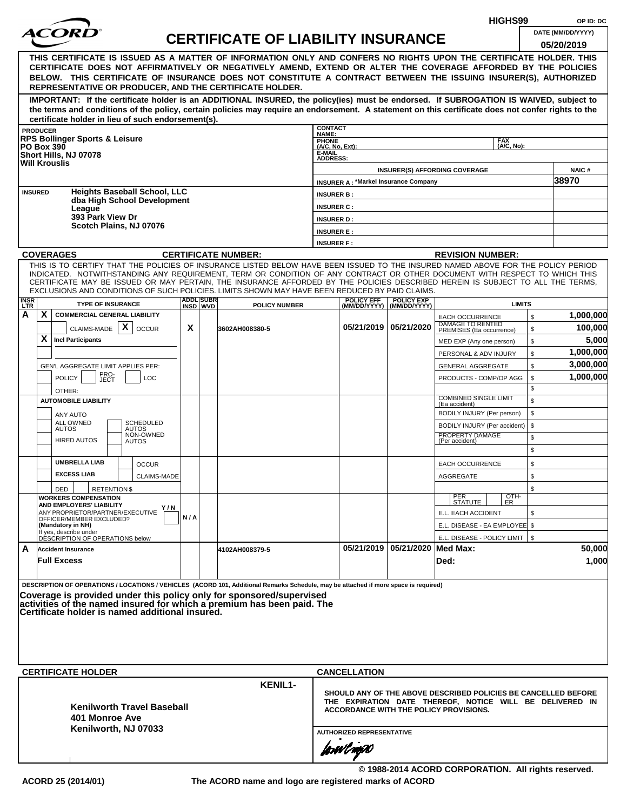|                                                                                                                                                                                                                                                                                                                             |                   |                                                           |                                                    |     |          |                                                                                                                                                                                                                                     |                           |                                             |                                | HIGHS99                                                                                                   |              | OP ID: DC             |  |
|-----------------------------------------------------------------------------------------------------------------------------------------------------------------------------------------------------------------------------------------------------------------------------------------------------------------------------|-------------------|-----------------------------------------------------------|----------------------------------------------------|-----|----------|-------------------------------------------------------------------------------------------------------------------------------------------------------------------------------------------------------------------------------------|---------------------------|---------------------------------------------|--------------------------------|-----------------------------------------------------------------------------------------------------------|--------------|-----------------------|--|
|                                                                                                                                                                                                                                                                                                                             |                   |                                                           |                                                    |     |          | <b>CERTIFICATE OF LIABILITY INSURANCE</b>                                                                                                                                                                                           |                           |                                             |                                |                                                                                                           |              | DATE (MM/DD/YYYY)     |  |
|                                                                                                                                                                                                                                                                                                                             |                   |                                                           |                                                    |     |          |                                                                                                                                                                                                                                     |                           |                                             |                                |                                                                                                           |              | 05/20/2019            |  |
|                                                                                                                                                                                                                                                                                                                             |                   |                                                           |                                                    |     |          | THIS CERTIFICATE IS ISSUED AS A MATTER OF INFORMATION ONLY AND CONFERS NO RIGHTS UPON THE CERTIFICATE HOLDER. THIS<br>CERTIFICATE DOES NOT AFFIRMATIVELY OR NEGATIVELY AMEND, EXTEND OR ALTER THE COVERAGE AFFORDED BY THE POLICIES |                           |                                             |                                |                                                                                                           |              |                       |  |
|                                                                                                                                                                                                                                                                                                                             |                   |                                                           |                                                    |     |          | BELOW. THIS CERTIFICATE OF INSURANCE DOES NOT CONSTITUTE A CONTRACT BETWEEN THE ISSUING INSURER(S), AUTHORIZED                                                                                                                      |                           |                                             |                                |                                                                                                           |              |                       |  |
|                                                                                                                                                                                                                                                                                                                             |                   |                                                           |                                                    |     |          | REPRESENTATIVE OR PRODUCER, AND THE CERTIFICATE HOLDER.                                                                                                                                                                             |                           |                                             |                                |                                                                                                           |              |                       |  |
|                                                                                                                                                                                                                                                                                                                             |                   |                                                           |                                                    |     |          | IMPORTANT: If the certificate holder is an ADDITIONAL INSURED, the policy(ies) must be endorsed. If SUBROGATION IS WAIVED, subject to                                                                                               |                           |                                             |                                |                                                                                                           |              |                       |  |
|                                                                                                                                                                                                                                                                                                                             |                   |                                                           |                                                    |     |          | the terms and conditions of the policy, certain policies may require an endorsement. A statement on this certificate does not confer rights to the                                                                                  |                           |                                             |                                |                                                                                                           |              |                       |  |
|                                                                                                                                                                                                                                                                                                                             |                   |                                                           | certificate holder in lieu of such endorsement(s). |     |          |                                                                                                                                                                                                                                     | <b>CONTACT</b>            |                                             |                                |                                                                                                           |              |                       |  |
|                                                                                                                                                                                                                                                                                                                             | <b>PRODUCER</b>   | <b>RPS Bollinger Sports &amp; Leisure</b>                 |                                                    |     |          |                                                                                                                                                                                                                                     | NAME:<br><b>PHONE</b>     |                                             |                                | <b>FAX</b>                                                                                                |              |                       |  |
|                                                                                                                                                                                                                                                                                                                             | <b>PO Box 390</b> | Short Hills, NJ 07078                                     |                                                    |     |          |                                                                                                                                                                                                                                     | (A/C, No, Ext):<br>E-MAIL |                                             |                                | (A/C. No):                                                                                                |              |                       |  |
|                                                                                                                                                                                                                                                                                                                             |                   | <b>Will Krouslis</b>                                      |                                                    |     |          |                                                                                                                                                                                                                                     | <b>ADDRESS:</b>           |                                             |                                |                                                                                                           |              |                       |  |
|                                                                                                                                                                                                                                                                                                                             |                   |                                                           |                                                    |     |          |                                                                                                                                                                                                                                     |                           | <b>INSURER A: *Markel Insurance Company</b> |                                | <b>INSURER(S) AFFORDING COVERAGE</b>                                                                      |              | <b>NAIC#</b><br>38970 |  |
|                                                                                                                                                                                                                                                                                                                             | <b>INSURED</b>    |                                                           | <b>Heights Baseball School, LLC</b>                |     |          |                                                                                                                                                                                                                                     | <b>INSURER B:</b>         |                                             |                                |                                                                                                           |              |                       |  |
|                                                                                                                                                                                                                                                                                                                             |                   |                                                           | dba High School Development                        |     |          |                                                                                                                                                                                                                                     | <b>INSURER C:</b>         |                                             |                                |                                                                                                           |              |                       |  |
|                                                                                                                                                                                                                                                                                                                             |                   | League<br>393 Park View Dr                                |                                                    |     |          |                                                                                                                                                                                                                                     | <b>INSURER D:</b>         |                                             |                                |                                                                                                           |              |                       |  |
|                                                                                                                                                                                                                                                                                                                             |                   |                                                           | Scotch Plains, NJ 07076                            |     |          |                                                                                                                                                                                                                                     | <b>INSURER E:</b>         |                                             |                                |                                                                                                           |              |                       |  |
|                                                                                                                                                                                                                                                                                                                             |                   |                                                           |                                                    |     |          |                                                                                                                                                                                                                                     | <b>INSURER F:</b>         |                                             |                                |                                                                                                           |              |                       |  |
|                                                                                                                                                                                                                                                                                                                             |                   | <b>COVERAGES</b>                                          |                                                    |     |          | <b>CERTIFICATE NUMBER:</b>                                                                                                                                                                                                          |                           |                                             |                                | <b>REVISION NUMBER:</b>                                                                                   |              |                       |  |
|                                                                                                                                                                                                                                                                                                                             |                   |                                                           |                                                    |     |          | THIS IS TO CERTIFY THAT THE POLICIES OF INSURANCE LISTED BELOW HAVE BEEN ISSUED TO THE INSURED NAMED ABOVE FOR THE POLICY PERIOD                                                                                                    |                           |                                             |                                |                                                                                                           |              |                       |  |
|                                                                                                                                                                                                                                                                                                                             |                   |                                                           |                                                    |     |          | INDICATED. NOTWITHSTANDING ANY REQUIREMENT, TERM OR CONDITION OF ANY CONTRACT OR OTHER DOCUMENT WITH RESPECT TO WHICH THIS                                                                                                          |                           |                                             |                                |                                                                                                           |              |                       |  |
| CERTIFICATE MAY BE ISSUED OR MAY PERTAIN, THE INSURANCE AFFORDED BY THE POLICIES DESCRIBED HEREIN IS SUBJECT TO ALL THE TERMS.<br>EXCLUSIONS AND CONDITIONS OF SUCH POLICIES. LIMITS SHOWN MAY HAVE BEEN REDUCED BY PAID CLAIMS.<br><b>ADDLISUBRI</b><br><b>POLICY EFF</b><br><b>POLICY EXP</b><br><b>TYPE OF INSURANCE</b> |                   |                                                           |                                                    |     |          |                                                                                                                                                                                                                                     |                           |                                             |                                |                                                                                                           |              |                       |  |
| <b>INSR</b><br>LTR                                                                                                                                                                                                                                                                                                          |                   |                                                           |                                                    |     | INSD WVD | <b>POLICY NUMBER</b>                                                                                                                                                                                                                |                           |                                             | (MM/DD/YYYY)   (MM/DD/YYYY)    | <b>LIMITS</b>                                                                                             |              |                       |  |
| А                                                                                                                                                                                                                                                                                                                           | X                 | <b>COMMERCIAL GENERAL LIABILITY</b>                       |                                                    |     |          |                                                                                                                                                                                                                                     |                           |                                             |                                | <b>EACH OCCURRENCE</b><br>DAMAGE TO RENTED                                                                | $\mathbb{S}$ | 1,000,000             |  |
|                                                                                                                                                                                                                                                                                                                             |                   | CLAIMS-MADE $\mathbf{X}$                                  | <b>OCCUR</b>                                       | X   |          | 3602AH008380-5                                                                                                                                                                                                                      |                           |                                             | 05/21/2019   05/21/2020        | PREMISES (Ea occurrence)                                                                                  | \$           | 100,000               |  |
|                                                                                                                                                                                                                                                                                                                             | X                 | <b>Incl Participants</b>                                  |                                                    |     |          |                                                                                                                                                                                                                                     |                           |                                             |                                | MED EXP (Any one person)                                                                                  | \$           | 5,000                 |  |
|                                                                                                                                                                                                                                                                                                                             |                   |                                                           |                                                    |     |          |                                                                                                                                                                                                                                     |                           |                                             |                                | PERSONAL & ADV INJURY                                                                                     | \$           | 1,000,000             |  |
|                                                                                                                                                                                                                                                                                                                             |                   | GEN'L AGGREGATE LIMIT APPLIES PER:                        |                                                    |     |          |                                                                                                                                                                                                                                     |                           |                                             |                                | <b>GENERAL AGGREGATE</b>                                                                                  | \$           | 3,000,000             |  |
|                                                                                                                                                                                                                                                                                                                             |                   | PRO-<br>JECT<br><b>POLICY</b>                             | <b>LOC</b>                                         |     |          |                                                                                                                                                                                                                                     |                           |                                             |                                | PRODUCTS - COMP/OP AGG                                                                                    | \$           | 1,000,000             |  |
|                                                                                                                                                                                                                                                                                                                             |                   | OTHER:<br><b>AUTOMOBILE LIABILITY</b>                     |                                                    |     |          |                                                                                                                                                                                                                                     |                           |                                             |                                | <b>COMBINED SINGLE LIMIT</b>                                                                              | \$<br>\$     |                       |  |
|                                                                                                                                                                                                                                                                                                                             |                   |                                                           |                                                    |     |          |                                                                                                                                                                                                                                     |                           |                                             |                                | (Ea accident)<br>BODILY INJURY (Per person)                                                               | \$           |                       |  |
|                                                                                                                                                                                                                                                                                                                             |                   | ANY AUTO<br>ALL OWNED                                     | SCHEDULED                                          |     |          |                                                                                                                                                                                                                                     |                           |                                             |                                | BODILY INJURY (Per accident)                                                                              | \$           |                       |  |
|                                                                                                                                                                                                                                                                                                                             |                   | <b>AUTOS</b>                                              | <b>AUTOS</b><br>NON-OWNED                          |     |          |                                                                                                                                                                                                                                     |                           |                                             |                                | PROPERTY DAMAGE                                                                                           | \$           |                       |  |
|                                                                                                                                                                                                                                                                                                                             |                   | <b>HIRED AUTOS</b>                                        | <b>AUTOS</b>                                       |     |          |                                                                                                                                                                                                                                     |                           |                                             |                                | (Per accident)                                                                                            | \$           |                       |  |
|                                                                                                                                                                                                                                                                                                                             |                   | <b>UMBRELLA LIAB</b>                                      | <b>OCCUR</b>                                       |     |          |                                                                                                                                                                                                                                     |                           |                                             |                                | <b>EACH OCCURRENCE</b>                                                                                    | \$           |                       |  |
|                                                                                                                                                                                                                                                                                                                             |                   | <b>EXCESS LIAB</b>                                        | <b>CLAIMS-MADE</b>                                 |     |          |                                                                                                                                                                                                                                     |                           |                                             |                                | <b>AGGREGATE</b>                                                                                          | \$           |                       |  |
|                                                                                                                                                                                                                                                                                                                             |                   | DED                                                       | <b>RETENTIONS</b>                                  |     |          |                                                                                                                                                                                                                                     |                           |                                             |                                |                                                                                                           | \$           |                       |  |
|                                                                                                                                                                                                                                                                                                                             |                   | <b>WORKERS COMPENSATION</b><br>AND EMPLOYERS' LIABILITY   |                                                    |     |          |                                                                                                                                                                                                                                     |                           |                                             |                                | $\frac{[OTH]}{ER}$<br>PER<br>STATUTE                                                                      |              |                       |  |
|                                                                                                                                                                                                                                                                                                                             |                   | ANY PROPRIETOR/PARTNER/EXECUTIVE                          | Y / N                                              | N/A |          |                                                                                                                                                                                                                                     |                           |                                             |                                | E.L. EACH ACCIDENT                                                                                        | \$           |                       |  |
|                                                                                                                                                                                                                                                                                                                             |                   | OFFICER/MEMBER EXCLUDED?<br>(Mandatory in NH)             |                                                    |     |          |                                                                                                                                                                                                                                     |                           |                                             |                                | E.L. DISEASE - EA EMPLOYEE \$                                                                             |              |                       |  |
|                                                                                                                                                                                                                                                                                                                             |                   | If yes, describe under<br>DESCRIPTION OF OPERATIONS below |                                                    |     |          |                                                                                                                                                                                                                                     |                           |                                             |                                | E.L. DISEASE - POLICY LIMIT   \$                                                                          |              |                       |  |
| A                                                                                                                                                                                                                                                                                                                           |                   | <b>Accident Insurance</b>                                 |                                                    |     |          | 4102AH008379-5                                                                                                                                                                                                                      |                           |                                             | 05/21/2019 05/21/2020 Med Max: |                                                                                                           |              | 50,000                |  |
|                                                                                                                                                                                                                                                                                                                             |                   | <b>Full Excess</b>                                        |                                                    |     |          |                                                                                                                                                                                                                                     |                           |                                             |                                | Ded:                                                                                                      |              | 1,000                 |  |
|                                                                                                                                                                                                                                                                                                                             |                   |                                                           |                                                    |     |          |                                                                                                                                                                                                                                     |                           |                                             |                                |                                                                                                           |              |                       |  |
|                                                                                                                                                                                                                                                                                                                             |                   |                                                           |                                                    |     |          | DESCRIPTION OF OPERATIONS / LOCATIONS / VEHICLES (ACORD 101, Additional Remarks Schedule, may be attached if more space is required)                                                                                                |                           |                                             |                                |                                                                                                           |              |                       |  |
|                                                                                                                                                                                                                                                                                                                             |                   |                                                           |                                                    |     |          | Coverage is provided under this policy only for sponsored/supervised<br>activities of the named insured for which a premium has been paid. The                                                                                      |                           |                                             |                                |                                                                                                           |              |                       |  |
|                                                                                                                                                                                                                                                                                                                             |                   |                                                           | Certificate holder is named additional insured.    |     |          |                                                                                                                                                                                                                                     |                           |                                             |                                |                                                                                                           |              |                       |  |
|                                                                                                                                                                                                                                                                                                                             |                   |                                                           |                                                    |     |          |                                                                                                                                                                                                                                     |                           |                                             |                                |                                                                                                           |              |                       |  |
|                                                                                                                                                                                                                                                                                                                             |                   |                                                           |                                                    |     |          |                                                                                                                                                                                                                                     |                           |                                             |                                |                                                                                                           |              |                       |  |
|                                                                                                                                                                                                                                                                                                                             |                   |                                                           |                                                    |     |          |                                                                                                                                                                                                                                     |                           |                                             |                                |                                                                                                           |              |                       |  |
|                                                                                                                                                                                                                                                                                                                             |                   |                                                           |                                                    |     |          |                                                                                                                                                                                                                                     |                           |                                             |                                |                                                                                                           |              |                       |  |
|                                                                                                                                                                                                                                                                                                                             |                   | <b>CERTIFICATE HOLDER</b>                                 |                                                    |     |          | <b>KENIL1-</b>                                                                                                                                                                                                                      |                           | <b>CANCELLATION</b>                         |                                |                                                                                                           |              |                       |  |
|                                                                                                                                                                                                                                                                                                                             |                   |                                                           |                                                    |     |          |                                                                                                                                                                                                                                     |                           |                                             |                                | SHOULD ANY OF THE ABOVE DESCRIBED POLICIES BE CANCELLED BEFORE                                            |              |                       |  |
|                                                                                                                                                                                                                                                                                                                             |                   |                                                           | <b>Kenilworth Travel Baseball</b>                  |     |          |                                                                                                                                                                                                                                     |                           |                                             |                                | THE EXPIRATION DATE THEREOF, NOTICE WILL BE DELIVERED IN<br><b>ACCORDANCE WITH THE POLICY PROVISIONS.</b> |              |                       |  |
|                                                                                                                                                                                                                                                                                                                             |                   | 401 Monroe Ave                                            |                                                    |     |          |                                                                                                                                                                                                                                     |                           |                                             |                                |                                                                                                           |              |                       |  |
|                                                                                                                                                                                                                                                                                                                             |                   |                                                           | Kenilworth, NJ 07033                               |     |          |                                                                                                                                                                                                                                     |                           | <b>AUTHORIZED REPRESENTATIVE</b>            |                                |                                                                                                           |              |                       |  |
|                                                                                                                                                                                                                                                                                                                             |                   |                                                           |                                                    |     |          |                                                                                                                                                                                                                                     |                           |                                             |                                |                                                                                                           |              |                       |  |
|                                                                                                                                                                                                                                                                                                                             |                   |                                                           |                                                    |     |          |                                                                                                                                                                                                                                     |                           | forwil nopO                                 |                                |                                                                                                           |              |                       |  |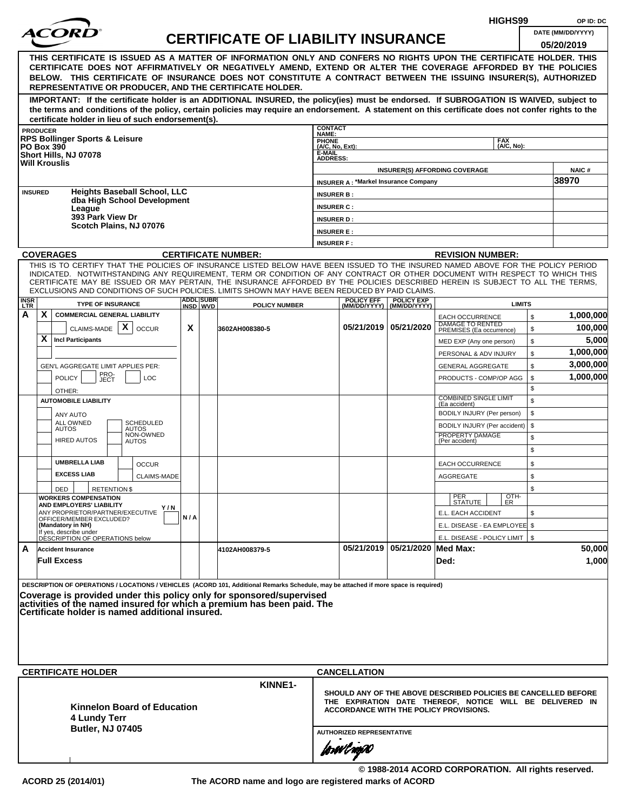|                    |                                                                                   |                                                              |  |                                                    |     |                               |                                                                                                                                                                                                                                                              |                           |                                               |                                                  |                                             | HIGHS99            |              | OP ID: DC                                                      |
|--------------------|-----------------------------------------------------------------------------------|--------------------------------------------------------------|--|----------------------------------------------------|-----|-------------------------------|--------------------------------------------------------------------------------------------------------------------------------------------------------------------------------------------------------------------------------------------------------------|---------------------------|-----------------------------------------------|--------------------------------------------------|---------------------------------------------|--------------------|--------------|----------------------------------------------------------------|
|                    |                                                                                   |                                                              |  |                                                    |     |                               | <b>CERTIFICATE OF LIABILITY INSURANCE</b>                                                                                                                                                                                                                    |                           |                                               |                                                  |                                             |                    |              | DATE (MM/DD/YYYY)                                              |
|                    |                                                                                   |                                                              |  |                                                    |     |                               |                                                                                                                                                                                                                                                              |                           |                                               |                                                  |                                             |                    |              | 05/20/2019                                                     |
|                    |                                                                                   |                                                              |  |                                                    |     |                               | THIS CERTIFICATE IS ISSUED AS A MATTER OF INFORMATION ONLY AND CONFERS NO RIGHTS UPON THE CERTIFICATE HOLDER. THIS<br>CERTIFICATE DOES NOT AFFIRMATIVELY OR NEGATIVELY AMEND, EXTEND OR ALTER THE COVERAGE AFFORDED BY THE POLICIES                          |                           |                                               |                                                  |                                             |                    |              |                                                                |
|                    |                                                                                   |                                                              |  |                                                    |     |                               | BELOW. THIS CERTIFICATE OF INSURANCE DOES NOT CONSTITUTE A CONTRACT BETWEEN THE ISSUING INSURER(S), AUTHORIZED                                                                                                                                               |                           |                                               |                                                  |                                             |                    |              |                                                                |
|                    |                                                                                   |                                                              |  |                                                    |     |                               | REPRESENTATIVE OR PRODUCER, AND THE CERTIFICATE HOLDER.                                                                                                                                                                                                      |                           |                                               |                                                  |                                             |                    |              |                                                                |
|                    |                                                                                   |                                                              |  |                                                    |     |                               | IMPORTANT: If the certificate holder is an ADDITIONAL INSURED, the policy(ies) must be endorsed. If SUBROGATION IS WAIVED, subject to                                                                                                                        |                           |                                               |                                                  |                                             |                    |              |                                                                |
|                    |                                                                                   |                                                              |  |                                                    |     |                               | the terms and conditions of the policy, certain policies may require an endorsement. A statement on this certificate does not confer rights to the                                                                                                           |                           |                                               |                                                  |                                             |                    |              |                                                                |
|                    | <b>PRODUCER</b>                                                                   |                                                              |  | certificate holder in lieu of such endorsement(s). |     |                               |                                                                                                                                                                                                                                                              | <b>CONTACT</b>            |                                               |                                                  |                                             |                    |              |                                                                |
|                    |                                                                                   | <b>RPS Bollinger Sports &amp; Leisure</b>                    |  |                                                    |     |                               |                                                                                                                                                                                                                                                              | NAME:<br><b>PHONE</b>     |                                               |                                                  |                                             | <b>FAX</b>         |              |                                                                |
|                    | <b>PO Box 390</b>                                                                 | Short Hills, NJ 07078                                        |  |                                                    |     |                               |                                                                                                                                                                                                                                                              | (A/C, No, Ext):<br>E-MAIL |                                               |                                                  |                                             | (A/C. No):         |              |                                                                |
|                    |                                                                                   | <b>Will Krouslis</b>                                         |  |                                                    |     |                               |                                                                                                                                                                                                                                                              | <b>ADDRESS:</b>           |                                               |                                                  |                                             |                    |              |                                                                |
|                    |                                                                                   |                                                              |  |                                                    |     |                               |                                                                                                                                                                                                                                                              |                           | <b>INSURER A: *Markel Insurance Company</b>   |                                                  | <b>INSURER(S) AFFORDING COVERAGE</b>        |                    |              | <b>NAIC#</b><br>38970                                          |
|                    | <b>INSURED</b>                                                                    |                                                              |  | <b>Heights Baseball School, LLC</b>                |     |                               |                                                                                                                                                                                                                                                              | <b>INSURER B:</b>         |                                               |                                                  |                                             |                    |              |                                                                |
|                    |                                                                                   |                                                              |  | dba High School Development                        |     |                               |                                                                                                                                                                                                                                                              | <b>INSURER C:</b>         |                                               |                                                  |                                             |                    |              |                                                                |
|                    |                                                                                   | League<br>393 Park View Dr                                   |  |                                                    |     |                               |                                                                                                                                                                                                                                                              | <b>INSURER D:</b>         |                                               |                                                  |                                             |                    |              |                                                                |
|                    |                                                                                   |                                                              |  | Scotch Plains, NJ 07076                            |     |                               |                                                                                                                                                                                                                                                              | <b>INSURER E:</b>         |                                               |                                                  |                                             |                    |              |                                                                |
|                    |                                                                                   |                                                              |  |                                                    |     |                               |                                                                                                                                                                                                                                                              | <b>INSURER F:</b>         |                                               |                                                  |                                             |                    |              |                                                                |
|                    |                                                                                   | <b>COVERAGES</b>                                             |  |                                                    |     |                               | <b>CERTIFICATE NUMBER:</b>                                                                                                                                                                                                                                   |                           |                                               |                                                  | <b>REVISION NUMBER:</b>                     |                    |              |                                                                |
|                    |                                                                                   |                                                              |  |                                                    |     |                               | THIS IS TO CERTIFY THAT THE POLICIES OF INSURANCE LISTED BELOW HAVE BEEN ISSUED TO THE INSURED NAMED ABOVE FOR THE POLICY PERIOD                                                                                                                             |                           |                                               |                                                  |                                             |                    |              |                                                                |
|                    |                                                                                   |                                                              |  |                                                    |     |                               | INDICATED. NOTWITHSTANDING ANY REQUIREMENT, TERM OR CONDITION OF ANY CONTRACT OR OTHER DOCUMENT WITH RESPECT TO WHICH THIS<br>CERTIFICATE MAY BE ISSUED OR MAY PERTAIN, THE INSURANCE AFFORDED BY THE POLICIES DESCRIBED HEREIN IS SUBJECT TO ALL THE TERMS. |                           |                                               |                                                  |                                             |                    |              |                                                                |
|                    |                                                                                   |                                                              |  |                                                    |     |                               | EXCLUSIONS AND CONDITIONS OF SUCH POLICIES. LIMITS SHOWN MAY HAVE BEEN REDUCED BY PAID CLAIMS.                                                                                                                                                               |                           |                                               |                                                  |                                             |                    |              |                                                                |
| <b>INSR</b><br>LTR |                                                                                   | <b>TYPE OF INSURANCE</b>                                     |  |                                                    |     | <b>ADDLISUBRI</b><br>INSD WVD | <b>POLICY NUMBER</b>                                                                                                                                                                                                                                         |                           | <b>POLICY EFF</b>                             | <b>POLICY EXP</b><br>(MM/DD/YYYY)   (MM/DD/YYYY) |                                             | <b>LIMITS</b>      |              |                                                                |
| А                  | X                                                                                 | <b>COMMERCIAL GENERAL LIABILITY</b>                          |  |                                                    |     |                               |                                                                                                                                                                                                                                                              |                           |                                               |                                                  | <b>EACH OCCURRENCE</b><br>DAMAGE TO RENTED  |                    | $\mathbb{S}$ | 1,000,000                                                      |
|                    |                                                                                   | CLAIMS-MADE $\mathbf{X}$                                     |  | <b>OCCUR</b>                                       | X   |                               | 3602AH008380-5                                                                                                                                                                                                                                               |                           |                                               | 05/21/2019   05/21/2020                          | PREMISES (Ea occurrence)                    |                    | \$           | 100,000                                                        |
|                    | X                                                                                 | <b>Incl Participants</b>                                     |  |                                                    |     |                               |                                                                                                                                                                                                                                                              |                           |                                               |                                                  | MED EXP (Any one person)                    |                    | \$           | 5,000                                                          |
|                    |                                                                                   |                                                              |  |                                                    |     |                               |                                                                                                                                                                                                                                                              |                           |                                               |                                                  | PERSONAL & ADV INJURY                       |                    | \$           | 1,000,000                                                      |
|                    | GEN'L AGGREGATE LIMIT APPLIES PER:<br>PRO-<br>JECT<br><b>POLICY</b><br><b>LOC</b> |                                                              |  |                                                    |     |                               |                                                                                                                                                                                                                                                              |                           |                                               |                                                  | <b>GENERAL AGGREGATE</b>                    |                    | \$           | 3,000,000                                                      |
|                    |                                                                                   |                                                              |  |                                                    |     |                               |                                                                                                                                                                                                                                                              |                           |                                               |                                                  | PRODUCTS - COMP/OP AGG                      |                    | \$           | 1,000,000                                                      |
|                    |                                                                                   | OTHER:<br><b>AUTOMOBILE LIABILITY</b>                        |  |                                                    |     |                               |                                                                                                                                                                                                                                                              |                           |                                               |                                                  | <b>COMBINED SINGLE LIMIT</b>                |                    | \$<br>\$     |                                                                |
|                    |                                                                                   |                                                              |  |                                                    |     |                               |                                                                                                                                                                                                                                                              |                           |                                               |                                                  | (Ea accident)<br>BODILY INJURY (Per person) |                    | \$           |                                                                |
|                    |                                                                                   | ANY AUTO<br>ALL OWNED                                        |  | SCHEDULED                                          |     |                               |                                                                                                                                                                                                                                                              |                           |                                               |                                                  | BODILY INJURY (Per accident)                |                    | \$           |                                                                |
|                    |                                                                                   | <b>AUTOS</b>                                                 |  | <b>AUTOS</b><br>NON-OWNED                          |     |                               |                                                                                                                                                                                                                                                              |                           |                                               |                                                  | PROPERTY DAMAGE                             |                    | \$           |                                                                |
|                    |                                                                                   | <b>HIRED AUTOS</b>                                           |  | <b>AUTOS</b>                                       |     |                               |                                                                                                                                                                                                                                                              |                           |                                               |                                                  | (Per accident)                              |                    | \$           |                                                                |
|                    |                                                                                   | <b>UMBRELLA LIAB</b>                                         |  | <b>OCCUR</b>                                       |     |                               |                                                                                                                                                                                                                                                              |                           |                                               |                                                  | <b>EACH OCCURRENCE</b>                      |                    | \$           |                                                                |
|                    |                                                                                   | <b>EXCESS LIAB</b>                                           |  | <b>CLAIMS-MADE</b>                                 |     |                               |                                                                                                                                                                                                                                                              |                           |                                               |                                                  | <b>AGGREGATE</b>                            |                    | \$           |                                                                |
|                    |                                                                                   | DED<br><b>RETENTION \$</b>                                   |  |                                                    |     |                               |                                                                                                                                                                                                                                                              |                           |                                               |                                                  |                                             |                    | \$           |                                                                |
|                    |                                                                                   | <b>WORKERS COMPENSATION</b>                                  |  |                                                    |     |                               |                                                                                                                                                                                                                                                              |                           |                                               |                                                  | PER<br>STATUTE                              | $\frac{[OTH]}{ER}$ |              |                                                                |
|                    |                                                                                   | AND EMPLOYERS' LIABILITY<br>ANY PROPRIETOR/PARTNER/EXECUTIVE |  | Y/N                                                |     |                               |                                                                                                                                                                                                                                                              |                           |                                               |                                                  | E.L. EACH ACCIDENT                          |                    | \$           |                                                                |
|                    |                                                                                   | OFFICER/MEMBER EXCLUDED?<br>(Mandatory in NH)                |  |                                                    | N/A |                               |                                                                                                                                                                                                                                                              |                           |                                               |                                                  | E.L. DISEASE - EA EMPLOYEE \$               |                    |              |                                                                |
|                    |                                                                                   | If yes, describe under<br>DESCRIPTION OF OPERATIONS below    |  |                                                    |     |                               |                                                                                                                                                                                                                                                              |                           |                                               |                                                  | E.L. DISEASE - POLICY LIMIT   \$            |                    |              |                                                                |
| A                  |                                                                                   | <b>Accident Insurance</b>                                    |  |                                                    |     |                               | 4102AH008379-5                                                                                                                                                                                                                                               |                           |                                               | 05/21/2019 05/21/2020 Med Max:                   |                                             |                    |              | 50,000                                                         |
|                    |                                                                                   | <b>Full Excess</b>                                           |  |                                                    |     |                               |                                                                                                                                                                                                                                                              |                           |                                               |                                                  | Ded:                                        |                    |              | 1,000                                                          |
|                    |                                                                                   |                                                              |  |                                                    |     |                               |                                                                                                                                                                                                                                                              |                           |                                               |                                                  |                                             |                    |              |                                                                |
|                    |                                                                                   |                                                              |  |                                                    |     |                               | DESCRIPTION OF OPERATIONS / LOCATIONS / VEHICLES (ACORD 101, Additional Remarks Schedule, may be attached if more space is required)                                                                                                                         |                           |                                               |                                                  |                                             |                    |              |                                                                |
|                    |                                                                                   |                                                              |  |                                                    |     |                               | Coverage is provided under this policy only for sponsored/supervised<br>activities of the named insured for which a premium has been paid. The                                                                                                               |                           |                                               |                                                  |                                             |                    |              |                                                                |
|                    |                                                                                   |                                                              |  | Certificate holder is named additional insured.    |     |                               |                                                                                                                                                                                                                                                              |                           |                                               |                                                  |                                             |                    |              |                                                                |
|                    |                                                                                   |                                                              |  |                                                    |     |                               |                                                                                                                                                                                                                                                              |                           |                                               |                                                  |                                             |                    |              |                                                                |
|                    |                                                                                   |                                                              |  |                                                    |     |                               |                                                                                                                                                                                                                                                              |                           |                                               |                                                  |                                             |                    |              |                                                                |
|                    |                                                                                   |                                                              |  |                                                    |     |                               |                                                                                                                                                                                                                                                              |                           |                                               |                                                  |                                             |                    |              |                                                                |
|                    |                                                                                   |                                                              |  |                                                    |     |                               |                                                                                                                                                                                                                                                              |                           |                                               |                                                  |                                             |                    |              |                                                                |
|                    |                                                                                   | <b>CERTIFICATE HOLDER</b>                                    |  |                                                    |     |                               |                                                                                                                                                                                                                                                              |                           | <b>CANCELLATION</b>                           |                                                  |                                             |                    |              |                                                                |
|                    |                                                                                   |                                                              |  |                                                    |     |                               | KINNE1-                                                                                                                                                                                                                                                      |                           |                                               |                                                  |                                             |                    |              | SHOULD ANY OF THE ABOVE DESCRIBED POLICIES BE CANCELLED BEFORE |
|                    |                                                                                   |                                                              |  | Kinnelon Board of Education                        |     |                               |                                                                                                                                                                                                                                                              |                           |                                               |                                                  |                                             |                    |              | THE EXPIRATION DATE THEREOF, NOTICE WILL BE DELIVERED IN       |
|                    |                                                                                   | 4 Lundy Terr                                                 |  |                                                    |     |                               |                                                                                                                                                                                                                                                              |                           | <b>ACCORDANCE WITH THE POLICY PROVISIONS.</b> |                                                  |                                             |                    |              |                                                                |
|                    |                                                                                   | <b>Butler, NJ 07405</b>                                      |  |                                                    |     |                               |                                                                                                                                                                                                                                                              |                           | <b>AUTHORIZED REPRESENTATIVE</b>              |                                                  |                                             |                    |              |                                                                |
|                    |                                                                                   |                                                              |  |                                                    |     |                               |                                                                                                                                                                                                                                                              |                           |                                               |                                                  |                                             |                    |              |                                                                |
|                    |                                                                                   |                                                              |  |                                                    |     |                               |                                                                                                                                                                                                                                                              |                           | forwl now                                     |                                                  |                                             |                    |              |                                                                |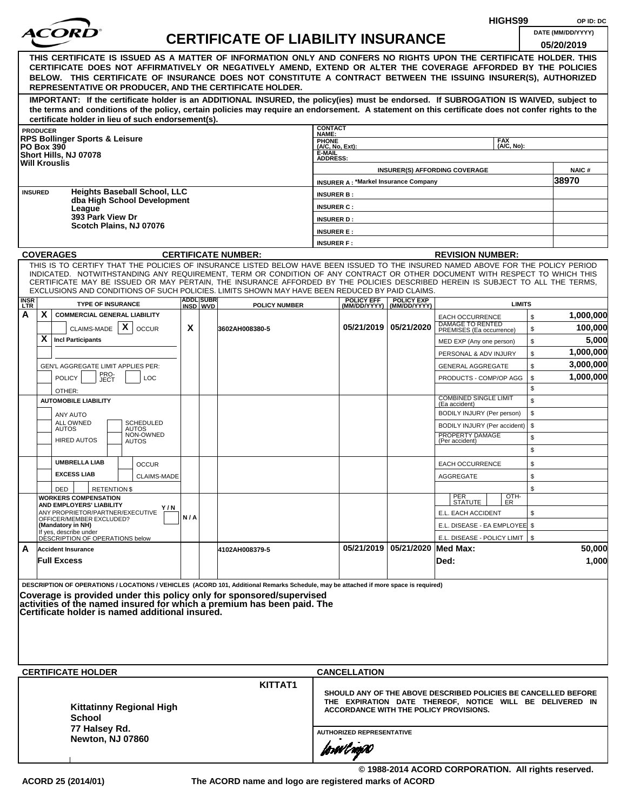|                                                                                                                            |                                                                                                                                                                                                                                                                                              |                                                                                         |  |                                                                                    |     | HIGHS99 |                                                                                                                                                                                                                                                                                                                                                                                                                  | OP ID: DC                                                    |                                                |                                |                                                                                                                                                                      |           |                                 |
|----------------------------------------------------------------------------------------------------------------------------|----------------------------------------------------------------------------------------------------------------------------------------------------------------------------------------------------------------------------------------------------------------------------------------------|-----------------------------------------------------------------------------------------|--|------------------------------------------------------------------------------------|-----|---------|------------------------------------------------------------------------------------------------------------------------------------------------------------------------------------------------------------------------------------------------------------------------------------------------------------------------------------------------------------------------------------------------------------------|--------------------------------------------------------------|------------------------------------------------|--------------------------------|----------------------------------------------------------------------------------------------------------------------------------------------------------------------|-----------|---------------------------------|
|                                                                                                                            |                                                                                                                                                                                                                                                                                              |                                                                                         |  |                                                                                    |     |         | <b>CERTIFICATE OF LIABILITY INSURANCE</b>                                                                                                                                                                                                                                                                                                                                                                        |                                                              |                                                |                                |                                                                                                                                                                      |           | DATE (MM/DD/YYYY)<br>05/20/2019 |
|                                                                                                                            |                                                                                                                                                                                                                                                                                              |                                                                                         |  |                                                                                    |     |         | THIS CERTIFICATE IS ISSUED AS A MATTER OF INFORMATION ONLY AND CONFERS NO RIGHTS UPON THE CERTIFICATE HOLDER. THIS<br>CERTIFICATE DOES NOT AFFIRMATIVELY OR NEGATIVELY AMEND, EXTEND OR ALTER THE COVERAGE AFFORDED BY THE POLICIES<br>BELOW. THIS CERTIFICATE OF INSURANCE DOES NOT CONSTITUTE A CONTRACT BETWEEN THE ISSUING INSURER(S), AUTHORIZED<br>REPRESENTATIVE OR PRODUCER, AND THE CERTIFICATE HOLDER. |                                                              |                                                |                                |                                                                                                                                                                      |           |                                 |
|                                                                                                                            |                                                                                                                                                                                                                                                                                              |                                                                                         |  | certificate holder in lieu of such endorsement(s).                                 |     |         | IMPORTANT: If the certificate holder is an ADDITIONAL INSURED, the policy(ies) must be endorsed. If SUBROGATION IS WAIVED, subject to<br>the terms and conditions of the policy, certain policies may require an endorsement. A statement on this certificate does not confer rights to the                                                                                                                      |                                                              |                                                |                                |                                                                                                                                                                      |           |                                 |
|                                                                                                                            | <b>PRODUCER</b>                                                                                                                                                                                                                                                                              |                                                                                         |  |                                                                                    |     |         |                                                                                                                                                                                                                                                                                                                                                                                                                  | <b>CONTACT</b><br><b>NAME:</b>                               |                                                |                                |                                                                                                                                                                      |           |                                 |
|                                                                                                                            |                                                                                                                                                                                                                                                                                              | <b>RPS Bollinger Sports &amp; Leisure</b><br><b>PO Box 390</b><br>Short Hills, NJ 07078 |  |                                                                                    |     |         |                                                                                                                                                                                                                                                                                                                                                                                                                  | <b>PHONE</b><br>(A/C, No, Ext):<br>E-MAIL<br><b>ADDRESS:</b> |                                                |                                | <b>FAX</b><br>(A/C, No):                                                                                                                                             |           |                                 |
|                                                                                                                            |                                                                                                                                                                                                                                                                                              | <b>Will Krouslis</b>                                                                    |  |                                                                                    |     |         |                                                                                                                                                                                                                                                                                                                                                                                                                  |                                                              |                                                |                                | <b>INSURER(S) AFFORDING COVERAGE</b>                                                                                                                                 |           | NAIC#                           |
|                                                                                                                            |                                                                                                                                                                                                                                                                                              |                                                                                         |  |                                                                                    |     |         |                                                                                                                                                                                                                                                                                                                                                                                                                  |                                                              | <b>INSURER A: *Markel Insurance Company</b>    |                                |                                                                                                                                                                      |           | 38970                           |
|                                                                                                                            | <b>INSURED</b>                                                                                                                                                                                                                                                                               |                                                                                         |  | <b>Heights Baseball School, LLC</b><br>dba High School Development                 |     |         |                                                                                                                                                                                                                                                                                                                                                                                                                  | <b>INSURER B:</b>                                            |                                                |                                |                                                                                                                                                                      |           |                                 |
|                                                                                                                            |                                                                                                                                                                                                                                                                                              | League                                                                                  |  |                                                                                    |     |         |                                                                                                                                                                                                                                                                                                                                                                                                                  | <b>INSURER C:</b>                                            |                                                |                                |                                                                                                                                                                      |           |                                 |
|                                                                                                                            |                                                                                                                                                                                                                                                                                              | 393 Park View Dr                                                                        |  |                                                                                    |     |         |                                                                                                                                                                                                                                                                                                                                                                                                                  | <b>INSURER D:</b>                                            |                                                |                                |                                                                                                                                                                      |           |                                 |
|                                                                                                                            |                                                                                                                                                                                                                                                                                              |                                                                                         |  | Scotch Plains, NJ 07076                                                            |     |         |                                                                                                                                                                                                                                                                                                                                                                                                                  | <b>INSURER E:</b>                                            |                                                |                                |                                                                                                                                                                      |           |                                 |
|                                                                                                                            |                                                                                                                                                                                                                                                                                              |                                                                                         |  |                                                                                    |     |         |                                                                                                                                                                                                                                                                                                                                                                                                                  | <b>INSURER F:</b>                                            |                                                |                                |                                                                                                                                                                      |           |                                 |
|                                                                                                                            |                                                                                                                                                                                                                                                                                              | <b>COVERAGES</b>                                                                        |  |                                                                                    |     |         | <b>CERTIFICATE NUMBER:</b>                                                                                                                                                                                                                                                                                                                                                                                       |                                                              |                                                |                                | <b>REVISION NUMBER:</b>                                                                                                                                              |           |                                 |
|                                                                                                                            |                                                                                                                                                                                                                                                                                              |                                                                                         |  |                                                                                    |     |         | THIS IS TO CERTIFY THAT THE POLICIES OF INSURANCE LISTED BELOW HAVE BEEN ISSUED TO THE INSURED NAMED ABOVE FOR THE POLICY PERIOD<br>INDICATED. NOTWITHSTANDING ANY REQUIREMENT, TERM OR CONDITION OF ANY CONTRACT OR OTHER DOCUMENT WITH RESPECT TO WHICH THIS<br>CERTIFICATE MAY BE ISSUED OR MAY PERTAIN, THE INSURANCE AFFORDED BY THE POLICIES DESCRIBED HEREIN IS SUBJECT TO ALL THE TERMS,                 |                                                              |                                                |                                |                                                                                                                                                                      |           |                                 |
| <b>LTR</b>                                                                                                                 | EXCLUSIONS AND CONDITIONS OF SUCH POLICIES. LIMITS SHOWN MAY HAVE BEEN REDUCED BY PAID CLAIMS.<br><b>ADDL SUBR</b><br><b>POLICY EFF</b><br><b>INSR</b><br><b>POLICY EXP</b><br><b>TYPE OF INSURANCE</b><br><b>LIMITS</b><br><b>POLICY NUMBER</b><br>(MM/DD/YYYY)<br>INSD WVD<br>(MM/DD/YYYY) |                                                                                         |  |                                                                                    |     |         |                                                                                                                                                                                                                                                                                                                                                                                                                  |                                                              |                                                |                                |                                                                                                                                                                      |           |                                 |
| А<br>X<br><b>COMMERCIAL GENERAL LIABILITY</b><br>\$<br><b>EACH OCCURRENCE</b><br>DAMAGE TO RENTED<br>05/21/2019 05/21/2020 |                                                                                                                                                                                                                                                                                              |                                                                                         |  |                                                                                    |     |         |                                                                                                                                                                                                                                                                                                                                                                                                                  |                                                              |                                                |                                |                                                                                                                                                                      | 1,000,000 |                                 |
|                                                                                                                            |                                                                                                                                                                                                                                                                                              | CLAIMS-MADE                                                                             |  | X<br><b>OCCUR</b>                                                                  | X   |         | 3602AH008380-5                                                                                                                                                                                                                                                                                                                                                                                                   |                                                              |                                                |                                | PREMISES (Ea occurrence)                                                                                                                                             | \$        | 100,000                         |
|                                                                                                                            | X                                                                                                                                                                                                                                                                                            | <b>Incl Participants</b>                                                                |  |                                                                                    |     |         |                                                                                                                                                                                                                                                                                                                                                                                                                  |                                                              |                                                |                                | MED EXP (Any one person)                                                                                                                                             | \$        | 5,000                           |
|                                                                                                                            |                                                                                                                                                                                                                                                                                              |                                                                                         |  |                                                                                    |     |         |                                                                                                                                                                                                                                                                                                                                                                                                                  |                                                              |                                                |                                | PERSONAL & ADV INJURY                                                                                                                                                | \$        | 1,000,000                       |
|                                                                                                                            | GEN'L AGGREGATE LIMIT APPLIES PER:<br>PRO-<br>JECT                                                                                                                                                                                                                                           |                                                                                         |  |                                                                                    |     |         |                                                                                                                                                                                                                                                                                                                                                                                                                  |                                                              |                                                |                                | <b>GENERAL AGGREGATE</b>                                                                                                                                             | \$        | 3,000,000                       |
|                                                                                                                            |                                                                                                                                                                                                                                                                                              | <b>POLICY</b>                                                                           |  | LOC                                                                                |     |         |                                                                                                                                                                                                                                                                                                                                                                                                                  |                                                              |                                                |                                | PRODUCTS - COMP/OP AGG                                                                                                                                               | \$        | 1,000,000                       |
|                                                                                                                            |                                                                                                                                                                                                                                                                                              | OTHER:                                                                                  |  |                                                                                    |     |         |                                                                                                                                                                                                                                                                                                                                                                                                                  |                                                              |                                                |                                | <b>COMBINED SINGLE LIMIT</b>                                                                                                                                         | \$        |                                 |
|                                                                                                                            |                                                                                                                                                                                                                                                                                              | <b>AUTOMOBILE LIABILITY</b>                                                             |  |                                                                                    |     |         |                                                                                                                                                                                                                                                                                                                                                                                                                  |                                                              |                                                |                                | (Ea accident)                                                                                                                                                        | \$        |                                 |
|                                                                                                                            |                                                                                                                                                                                                                                                                                              | ANY AUTO<br><b>ALL OWNED</b>                                                            |  | <b>SCHEDULED</b>                                                                   |     |         |                                                                                                                                                                                                                                                                                                                                                                                                                  |                                                              |                                                |                                | BODILY INJURY (Per person)                                                                                                                                           | \$        |                                 |
|                                                                                                                            |                                                                                                                                                                                                                                                                                              | <b>AUTOS</b>                                                                            |  | AUTOS<br>NON-OWNED                                                                 |     |         |                                                                                                                                                                                                                                                                                                                                                                                                                  |                                                              |                                                |                                | BODILY INJURY (Per accident)<br>PROPERTY DAMAGE                                                                                                                      | \$        |                                 |
|                                                                                                                            |                                                                                                                                                                                                                                                                                              | <b>HIRED AUTOS</b>                                                                      |  | <b>AUTOS</b>                                                                       |     |         |                                                                                                                                                                                                                                                                                                                                                                                                                  |                                                              |                                                |                                | (Per accident)                                                                                                                                                       | \$<br>\$  |                                 |
|                                                                                                                            |                                                                                                                                                                                                                                                                                              | <b>UMBRELLA LIAB</b>                                                                    |  | <b>OCCUR</b>                                                                       |     |         |                                                                                                                                                                                                                                                                                                                                                                                                                  |                                                              |                                                |                                | <b>EACH OCCURRENCE</b>                                                                                                                                               | \$        |                                 |
|                                                                                                                            |                                                                                                                                                                                                                                                                                              | <b>EXCESS LIAB</b>                                                                      |  | <b>CLAIMS-MADE</b>                                                                 |     |         |                                                                                                                                                                                                                                                                                                                                                                                                                  |                                                              |                                                |                                | <b>AGGREGATE</b>                                                                                                                                                     | \$        |                                 |
|                                                                                                                            |                                                                                                                                                                                                                                                                                              | DED                                                                                     |  | <b>RETENTION \$</b>                                                                |     |         |                                                                                                                                                                                                                                                                                                                                                                                                                  |                                                              |                                                |                                |                                                                                                                                                                      | \$        |                                 |
|                                                                                                                            |                                                                                                                                                                                                                                                                                              | <b>WORKERS COMPENSATION</b><br>AND EMPLOYERS' LIABILITY                                 |  |                                                                                    |     |         |                                                                                                                                                                                                                                                                                                                                                                                                                  |                                                              |                                                |                                | OTH-<br>PER<br><b>STATUTE</b><br>ER                                                                                                                                  |           |                                 |
|                                                                                                                            |                                                                                                                                                                                                                                                                                              | ANY PROPRIETOR/PARTNER/EXECUTIVE                                                        |  | Y / N                                                                              | N/A |         |                                                                                                                                                                                                                                                                                                                                                                                                                  |                                                              |                                                |                                | E.L. EACH ACCIDENT                                                                                                                                                   | \$        |                                 |
|                                                                                                                            |                                                                                                                                                                                                                                                                                              | OFFICER/MEMBER EXCLUDED?<br>(Mandatory in NH)                                           |  |                                                                                    |     |         |                                                                                                                                                                                                                                                                                                                                                                                                                  |                                                              |                                                |                                | E.L. DISEASE - EA EMPLOYEE \$                                                                                                                                        |           |                                 |
|                                                                                                                            |                                                                                                                                                                                                                                                                                              | If yes, describe under<br>DESCRIPTION OF OPERATIONS below                               |  |                                                                                    |     |         |                                                                                                                                                                                                                                                                                                                                                                                                                  |                                                              |                                                |                                | E.L. DISEASE - POLICY LIMIT   \$                                                                                                                                     |           |                                 |
| A                                                                                                                          |                                                                                                                                                                                                                                                                                              | <b>Accident Insurance</b><br><b>Full Excess</b>                                         |  |                                                                                    |     |         | 4102AH008379-5                                                                                                                                                                                                                                                                                                                                                                                                   |                                                              |                                                | 05/21/2019 05/21/2020 Med Max: | Ded:                                                                                                                                                                 |           | 50,000<br>1,000                 |
|                                                                                                                            |                                                                                                                                                                                                                                                                                              | <b>CERTIFICATE HOLDER</b><br><b>School</b>                                              |  | Certificate holder is named additional insured.<br><b>Kittatinny Regional High</b> |     |         | DESCRIPTION OF OPERATIONS / LOCATIONS / VEHICLES (ACORD 101, Additional Remarks Schedule, may be attached if more space is required)<br>Coverage is provided under this policy only for sponsored/supervised<br>activities of the named insured for which a premium has been paid. The<br>KITTAT1                                                                                                                |                                                              | <b>CANCELLATION</b>                            |                                | SHOULD ANY OF THE ABOVE DESCRIBED POLICIES BE CANCELLED BEFORE<br>THE EXPIRATION DATE THEREOF, NOTICE WILL BE DELIVERED IN<br>ACCORDANCE WITH THE POLICY PROVISIONS. |           |                                 |
|                                                                                                                            |                                                                                                                                                                                                                                                                                              | 77 Halsey Rd.<br>Newton, NJ 07860                                                       |  |                                                                                    |     |         |                                                                                                                                                                                                                                                                                                                                                                                                                  |                                                              | <b>AUTHORIZED REPRESENTATIVE</b><br>forwl roj0 |                                |                                                                                                                                                                      |           |                                 |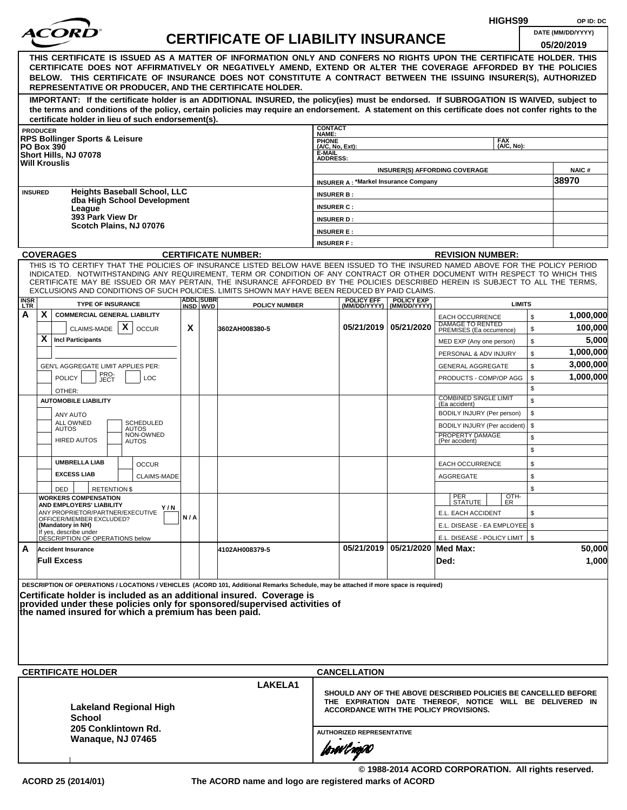|                           |                                                                                                                                                                                                                                                                                                                                                                                                                                                                                                    |     |                  |                                           |                                                                                                                                                                                                    |                                             |                                                  | HIGHS99                                           |          | OP ID: DC                       |  |  |
|---------------------------|----------------------------------------------------------------------------------------------------------------------------------------------------------------------------------------------------------------------------------------------------------------------------------------------------------------------------------------------------------------------------------------------------------------------------------------------------------------------------------------------------|-----|------------------|-------------------------------------------|----------------------------------------------------------------------------------------------------------------------------------------------------------------------------------------------------|---------------------------------------------|--------------------------------------------------|---------------------------------------------------|----------|---------------------------------|--|--|
|                           |                                                                                                                                                                                                                                                                                                                                                                                                                                                                                                    |     |                  | <b>CERTIFICATE OF LIABILITY INSURANCE</b> |                                                                                                                                                                                                    |                                             |                                                  |                                                   |          | DATE (MM/DD/YYYY)<br>05/20/2019 |  |  |
|                           | THIS CERTIFICATE IS ISSUED AS A MATTER OF INFORMATION ONLY AND CONFERS NO RIGHTS UPON THE CERTIFICATE HOLDER. THIS<br>CERTIFICATE DOES NOT AFFIRMATIVELY OR NEGATIVELY AMEND, EXTEND OR ALTER THE COVERAGE AFFORDED BY THE POLICIES<br>BELOW. THIS CERTIFICATE OF INSURANCE DOES NOT CONSTITUTE A CONTRACT BETWEEN THE ISSUING INSURER(S), AUTHORIZED<br>REPRESENTATIVE OR PRODUCER, AND THE CERTIFICATE HOLDER.                                                                                   |     |                  |                                           |                                                                                                                                                                                                    |                                             |                                                  |                                                   |          |                                 |  |  |
|                           | IMPORTANT: If the certificate holder is an ADDITIONAL INSURED, the policy(ies) must be endorsed. If SUBROGATION IS WAIVED, subject to<br>the terms and conditions of the policy, certain policies may require an endorsement. A statement on this certificate does not confer rights to the<br>certificate holder in lieu of such endorsement(s).                                                                                                                                                  |     |                  |                                           |                                                                                                                                                                                                    |                                             |                                                  |                                                   |          |                                 |  |  |
|                           | <b>PRODUCER</b>                                                                                                                                                                                                                                                                                                                                                                                                                                                                                    |     |                  |                                           | <b>CONTACT</b><br>NAME:                                                                                                                                                                            |                                             |                                                  |                                                   |          |                                 |  |  |
|                           | <b>RPS Bollinger Sports &amp; Leisure</b><br><b>PO Box 390</b><br>Short Hills, NJ 07078<br><b>Will Krouslis</b>                                                                                                                                                                                                                                                                                                                                                                                    |     |                  |                                           | PHONE<br>(A/C, No, Ext):<br>E-MAIL<br><b>ADDRESS:</b>                                                                                                                                              |                                             |                                                  | <b>FAX</b><br>(A/C, No):                          |          |                                 |  |  |
|                           | <b>Heights Baseball School, LLC</b>                                                                                                                                                                                                                                                                                                                                                                                                                                                                |     |                  |                                           |                                                                                                                                                                                                    | <b>INSURER A: *Markel Insurance Company</b> |                                                  | <b>INSURER(S) AFFORDING COVERAGE</b>              |          | NAIC#<br>38970                  |  |  |
| <b>INSURED</b>            | dba High School Development                                                                                                                                                                                                                                                                                                                                                                                                                                                                        |     |                  |                                           | <b>INSURER B:</b>                                                                                                                                                                                  |                                             |                                                  |                                                   |          |                                 |  |  |
|                           | League<br>393 Park View Dr                                                                                                                                                                                                                                                                                                                                                                                                                                                                         |     |                  |                                           | <b>INSURER C:</b><br><b>INSURER D:</b>                                                                                                                                                             |                                             |                                                  |                                                   |          |                                 |  |  |
|                           | Scotch Plains, NJ 07076                                                                                                                                                                                                                                                                                                                                                                                                                                                                            |     |                  |                                           | <b>INSURER E:</b>                                                                                                                                                                                  |                                             |                                                  |                                                   |          |                                 |  |  |
|                           |                                                                                                                                                                                                                                                                                                                                                                                                                                                                                                    |     |                  |                                           | <b>INSURER F:</b>                                                                                                                                                                                  |                                             |                                                  |                                                   |          |                                 |  |  |
|                           | <b>COVERAGES</b>                                                                                                                                                                                                                                                                                                                                                                                                                                                                                   |     |                  | <b>CERTIFICATE NUMBER:</b>                |                                                                                                                                                                                                    |                                             |                                                  | <b>REVISION NUMBER:</b>                           |          |                                 |  |  |
|                           | THIS IS TO CERTIFY THAT THE POLICIES OF INSURANCE LISTED BELOW HAVE BEEN ISSUED TO THE INSURED NAMED ABOVE FOR THE POLICY PERIOD<br>INDICATED. NOTWITHSTANDING ANY REQUIREMENT, TERM OR CONDITION OF ANY CONTRACT OR OTHER DOCUMENT WITH RESPECT TO WHICH THIS<br>CERTIFICATE MAY BE ISSUED OR MAY PERTAIN, THE INSURANCE AFFORDED BY THE POLICIES DESCRIBED HEREIN IS SUBJECT TO ALL THE TERMS,<br>EXCLUSIONS AND CONDITIONS OF SUCH POLICIES. LIMITS SHOWN MAY HAVE BEEN REDUCED BY PAID CLAIMS. |     | <b>ADDL SUBR</b> |                                           |                                                                                                                                                                                                    |                                             |                                                  |                                                   |          |                                 |  |  |
| <b>INSR</b><br><b>LTR</b> | <b>TYPE OF INSURANCE</b>                                                                                                                                                                                                                                                                                                                                                                                                                                                                           |     | INSD WVD         | <b>POLICY NUMBER</b>                      |                                                                                                                                                                                                    | <b>POLICY EFF</b>                           | <b>POLICY EXP</b><br>(MM/DD/YYYY)   (MM/DD/YYYY) | <b>LIMITS</b>                                     |          |                                 |  |  |
| A                         | X.<br><b>COMMERCIAL GENERAL LIABILITY</b>                                                                                                                                                                                                                                                                                                                                                                                                                                                          |     |                  |                                           |                                                                                                                                                                                                    |                                             |                                                  | <b>EACH OCCURRENCE</b><br>DAMAGE TO RENTED        | \$       | 1,000,000                       |  |  |
|                           | X<br>CLAIMS-MADE<br><b>OCCUR</b><br>X<br><b>Incl Participants</b>                                                                                                                                                                                                                                                                                                                                                                                                                                  | X   |                  | 3602AH008380-5                            |                                                                                                                                                                                                    | 05/21/2019 05/21/2020                       |                                                  | PREMISES (Ea occurrence)                          | \$       | 100,000<br>5,000                |  |  |
|                           |                                                                                                                                                                                                                                                                                                                                                                                                                                                                                                    |     |                  |                                           |                                                                                                                                                                                                    |                                             |                                                  | MED EXP (Any one person)                          | \$<br>\$ | 1,000,000                       |  |  |
|                           | GEN'L AGGREGATE LIMIT APPLIES PER:                                                                                                                                                                                                                                                                                                                                                                                                                                                                 |     |                  |                                           |                                                                                                                                                                                                    |                                             |                                                  | PERSONAL & ADV INJURY<br><b>GENERAL AGGREGATE</b> | \$       | 3,000,000                       |  |  |
|                           | PRO-<br><b>POLICY</b><br>LOC<br>JECT                                                                                                                                                                                                                                                                                                                                                                                                                                                               |     |                  |                                           |                                                                                                                                                                                                    |                                             |                                                  | PRODUCTS - COMP/OP AGG                            | \$       | 1,000,000                       |  |  |
|                           | OTHER:<br><b>AUTOMOBILE LIABILITY</b>                                                                                                                                                                                                                                                                                                                                                                                                                                                              |     |                  |                                           |                                                                                                                                                                                                    |                                             |                                                  | <b>COMBINED SINGLE LIMIT</b>                      | \$<br>\$ |                                 |  |  |
|                           |                                                                                                                                                                                                                                                                                                                                                                                                                                                                                                    |     |                  |                                           |                                                                                                                                                                                                    |                                             |                                                  | (Ea accident)<br>BODILY INJURY (Per person)       | \$       |                                 |  |  |
|                           | ANY AUTO<br>ALL OWNED<br><b>SCHEDULED</b>                                                                                                                                                                                                                                                                                                                                                                                                                                                          |     |                  |                                           |                                                                                                                                                                                                    |                                             |                                                  | BODILY INJURY (Per accident)                      | \$       |                                 |  |  |
|                           | <b>AUTOS</b><br><b>AUTOS</b><br>NON-OWNED<br><b>HIRED AUTOS</b><br><b>AUTOS</b>                                                                                                                                                                                                                                                                                                                                                                                                                    |     |                  |                                           |                                                                                                                                                                                                    |                                             |                                                  | PROPERTY DAMAGE<br>(Per accident)                 | \$       |                                 |  |  |
|                           | <b>UMBRELLA LIAB</b>                                                                                                                                                                                                                                                                                                                                                                                                                                                                               |     |                  |                                           |                                                                                                                                                                                                    |                                             |                                                  |                                                   | \$       |                                 |  |  |
|                           | <b>OCCUR</b><br><b>EXCESS LIAB</b>                                                                                                                                                                                                                                                                                                                                                                                                                                                                 |     |                  |                                           |                                                                                                                                                                                                    |                                             |                                                  | EACH OCCURRENCE                                   | \$       |                                 |  |  |
|                           | <b>CLAIMS-MADE</b><br><b>RETENTION \$</b><br>DED                                                                                                                                                                                                                                                                                                                                                                                                                                                   |     |                  |                                           |                                                                                                                                                                                                    |                                             |                                                  | <b>AGGREGATE</b>                                  | \$<br>\$ |                                 |  |  |
|                           | <b>WORKERS COMPENSATION</b>                                                                                                                                                                                                                                                                                                                                                                                                                                                                        |     |                  |                                           |                                                                                                                                                                                                    |                                             |                                                  | OTH-<br>PER<br>STATUTE<br>ER                      |          |                                 |  |  |
|                           | AND EMPLOYERS' LIABILITY<br>Y / N<br>ANY PROPRIETOR/PARTNER/EXECUTIVE                                                                                                                                                                                                                                                                                                                                                                                                                              |     |                  |                                           |                                                                                                                                                                                                    |                                             |                                                  | E.L. EACH ACCIDENT                                | \$       |                                 |  |  |
|                           | OFFICER/MEMBER EXCLUDED?<br>(Mandatory in NH)                                                                                                                                                                                                                                                                                                                                                                                                                                                      | N/A |                  |                                           |                                                                                                                                                                                                    |                                             |                                                  | E.L. DISEASE - EA EMPLOYEE \$                     |          |                                 |  |  |
|                           | If yes, describe under<br>DESCRIPTION OF OPERATIONS below                                                                                                                                                                                                                                                                                                                                                                                                                                          |     |                  |                                           |                                                                                                                                                                                                    |                                             |                                                  | E.L. DISEASE - POLICY LIMIT   \$                  |          |                                 |  |  |
| A                         | <b>Accident Insurance</b><br><b>Full Excess</b>                                                                                                                                                                                                                                                                                                                                                                                                                                                    |     |                  | 4102AH008379-5                            |                                                                                                                                                                                                    |                                             | 05/21/2019 05/21/2020 Med Max:                   | Ded:                                              |          | 50,000<br>1,000                 |  |  |
|                           | DESCRIPTION OF OPERATIONS / LOCATIONS / VEHICLES (ACORD 101, Additional Remarks Schedule, may be attached if more space is required)<br>Certificate holder is included as an additional insured. Coverage is<br>provided under these policies only for sponsored/supervised activities of<br>the named insured for which a premium has been paid.                                                                                                                                                  |     |                  |                                           |                                                                                                                                                                                                    |                                             |                                                  |                                                   |          |                                 |  |  |
|                           | <b>CERTIFICATE HOLDER</b>                                                                                                                                                                                                                                                                                                                                                                                                                                                                          |     |                  |                                           |                                                                                                                                                                                                    |                                             |                                                  |                                                   |          |                                 |  |  |
|                           | <b>Lakeland Regional High</b><br>School                                                                                                                                                                                                                                                                                                                                                                                                                                                            |     |                  | LAKELA1                                   | <b>CANCELLATION</b><br>SHOULD ANY OF THE ABOVE DESCRIBED POLICIES BE CANCELLED BEFORE<br>THE EXPIRATION DATE THEREOF, NOTICE WILL BE DELIVERED IN<br><b>ACCORDANCE WITH THE POLICY PROVISIONS.</b> |                                             |                                                  |                                                   |          |                                 |  |  |
|                           | 205 Conklintown Rd.<br>Wanaque, NJ 07465                                                                                                                                                                                                                                                                                                                                                                                                                                                           |     |                  |                                           | <b>AUTHORIZED REPRESENTATIVE</b>                                                                                                                                                                   |                                             |                                                  |                                                   |          |                                 |  |  |
|                           |                                                                                                                                                                                                                                                                                                                                                                                                                                                                                                    |     |                  |                                           | forwl now                                                                                                                                                                                          |                                             |                                                  |                                                   |          |                                 |  |  |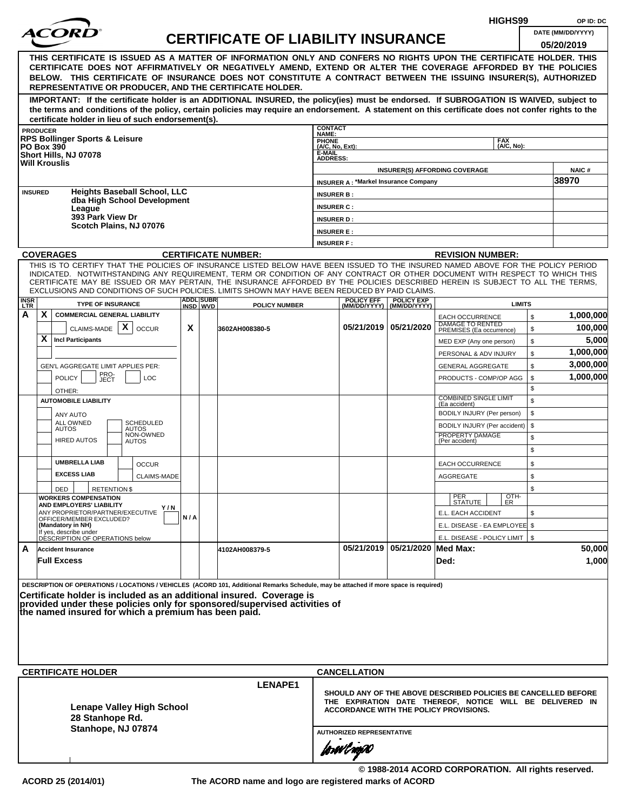|                    |                                                                                                                                                                                                                                                                                                                                                                |     |                                                                                                                                                                                                          |                                           |                                                       |                                                    |                                                  |                                                                        | HIGHS99                  |          | OP ID: DC             |
|--------------------|----------------------------------------------------------------------------------------------------------------------------------------------------------------------------------------------------------------------------------------------------------------------------------------------------------------------------------------------------------------|-----|----------------------------------------------------------------------------------------------------------------------------------------------------------------------------------------------------------|-------------------------------------------|-------------------------------------------------------|----------------------------------------------------|--------------------------------------------------|------------------------------------------------------------------------|--------------------------|----------|-----------------------|
|                    |                                                                                                                                                                                                                                                                                                                                                                |     |                                                                                                                                                                                                          | <b>CERTIFICATE OF LIABILITY INSURANCE</b> |                                                       |                                                    |                                                  |                                                                        |                          |          | DATE (MM/DD/YYYY)     |
|                    | THIS CERTIFICATE IS ISSUED AS A MATTER OF INFORMATION ONLY AND CONFERS NO RIGHTS UPON THE CERTIFICATE HOLDER. THIS<br>CERTIFICATE DOES NOT AFFIRMATIVELY OR NEGATIVELY AMEND, EXTEND OR ALTER THE COVERAGE AFFORDED BY THE POLICIES<br>BELOW. THIS CERTIFICATE OF INSURANCE DOES NOT CONSTITUTE A CONTRACT BETWEEN THE ISSUING INSURER(S), AUTHORIZED          |     |                                                                                                                                                                                                          |                                           |                                                       |                                                    |                                                  |                                                                        |                          |          | 05/20/2019            |
|                    | REPRESENTATIVE OR PRODUCER, AND THE CERTIFICATE HOLDER.                                                                                                                                                                                                                                                                                                        |     |                                                                                                                                                                                                          |                                           |                                                       |                                                    |                                                  |                                                                        |                          |          |                       |
|                    | IMPORTANT: If the certificate holder is an ADDITIONAL INSURED, the policy(ies) must be endorsed. If SUBROGATION IS WAIVED, subject to<br>the terms and conditions of the policy, certain policies may require an endorsement. A statement on this certificate does not confer rights to the<br>certificate holder in lieu of such endorsement(s).              |     |                                                                                                                                                                                                          |                                           |                                                       |                                                    |                                                  |                                                                        |                          |          |                       |
|                    | <b>PRODUCER</b>                                                                                                                                                                                                                                                                                                                                                |     |                                                                                                                                                                                                          |                                           | <b>CONTACT</b><br>NAME:                               |                                                    |                                                  |                                                                        |                          |          |                       |
|                    | <b>RPS Bollinger Sports &amp; Leisure</b><br><b>PO Box 390</b><br>Short Hills, NJ 07078<br><b>Will Krouslis</b>                                                                                                                                                                                                                                                |     |                                                                                                                                                                                                          |                                           | PHONE<br>(A/C, No, Ext):<br>E-MAIL<br><b>ADDRESS:</b> |                                                    |                                                  |                                                                        | <b>FAX</b><br>(A/C, No): |          |                       |
|                    |                                                                                                                                                                                                                                                                                                                                                                |     |                                                                                                                                                                                                          |                                           |                                                       |                                                    |                                                  | <b>INSURER(S) AFFORDING COVERAGE</b>                                   |                          |          | <b>NAIC#</b><br>38970 |
| <b>INSURED</b>     | <b>Heights Baseball School, LLC</b>                                                                                                                                                                                                                                                                                                                            |     |                                                                                                                                                                                                          |                                           | <b>INSURER B:</b>                                     | <b>INSURER A: *Markel Insurance Company</b>        |                                                  |                                                                        |                          |          |                       |
|                    | dba High School Development<br>League                                                                                                                                                                                                                                                                                                                          |     |                                                                                                                                                                                                          |                                           | <b>INSURER C:</b>                                     |                                                    |                                                  |                                                                        |                          |          |                       |
|                    | 393 Park View Dr<br>Scotch Plains, NJ 07076                                                                                                                                                                                                                                                                                                                    |     |                                                                                                                                                                                                          |                                           | <b>INSURER D:</b>                                     |                                                    |                                                  |                                                                        |                          |          |                       |
|                    |                                                                                                                                                                                                                                                                                                                                                                |     |                                                                                                                                                                                                          |                                           | <b>INSURER E:</b>                                     |                                                    |                                                  |                                                                        |                          |          |                       |
|                    |                                                                                                                                                                                                                                                                                                                                                                |     |                                                                                                                                                                                                          |                                           | <b>INSURER F:</b>                                     |                                                    |                                                  |                                                                        |                          |          |                       |
|                    | <b>COVERAGES</b><br>THIS IS TO CERTIFY THAT THE POLICIES OF INSURANCE LISTED BELOW HAVE BEEN ISSUED TO THE INSURED NAMED ABOVE FOR THE POLICY PERIOD                                                                                                                                                                                                           |     |                                                                                                                                                                                                          | <b>CERTIFICATE NUMBER:</b>                |                                                       |                                                    |                                                  | <b>REVISION NUMBER:</b>                                                |                          |          |                       |
|                    | INDICATED. NOTWITHSTANDING ANY REQUIREMENT, TERM OR CONDITION OF ANY CONTRACT OR OTHER DOCUMENT WITH RESPECT TO WHICH THIS<br>CERTIFICATE MAY BE ISSUED OR MAY PERTAIN, THE INSURANCE AFFORDED BY THE POLICIES DESCRIBED HEREIN IS SUBJECT TO ALL THE TERMS.<br>EXCLUSIONS AND CONDITIONS OF SUCH POLICIES. LIMITS SHOWN MAY HAVE BEEN REDUCED BY PAID CLAIMS. |     |                                                                                                                                                                                                          |                                           |                                                       |                                                    |                                                  |                                                                        |                          |          |                       |
| <b>INSR</b><br>LTR | <b>TYPE OF INSURANCE</b>                                                                                                                                                                                                                                                                                                                                       |     | <b>ADDL SUBR</b><br>INSD WVD                                                                                                                                                                             | <b>POLICY NUMBER</b>                      |                                                       | <b>POLICY EFF</b>                                  | <b>POLICY EXP</b><br>(MM/DD/YYYY)   (MM/DD/YYYY) |                                                                        | <b>LIMITS</b>            |          |                       |
| А                  | X<br><b>COMMERCIAL GENERAL LIABILITY</b><br>CLAIMS-MADE $\mathbf{X}$<br><b>OCCUR</b>                                                                                                                                                                                                                                                                           | X   |                                                                                                                                                                                                          | 3602AH008380-5                            |                                                       |                                                    | 05/21/2019 05/21/2020                            | <b>EACH OCCURRENCE</b><br>DAMAGE TO RENTED<br>PREMISES (Ea occurrence) |                          | \$<br>\$ | 1,000,000<br>100,000  |
|                    | X<br><b>Incl Participants</b>                                                                                                                                                                                                                                                                                                                                  |     |                                                                                                                                                                                                          |                                           |                                                       |                                                    |                                                  | MED EXP (Any one person)                                               |                          | \$       | 5,000                 |
|                    |                                                                                                                                                                                                                                                                                                                                                                |     |                                                                                                                                                                                                          |                                           |                                                       |                                                    |                                                  | PERSONAL & ADV INJURY                                                  |                          | \$       | 1,000,000             |
|                    | GEN'L AGGREGATE LIMIT APPLIES PER:<br>PRO-<br>JECT<br><b>POLICY</b><br><b>LOC</b>                                                                                                                                                                                                                                                                              |     |                                                                                                                                                                                                          |                                           |                                                       | <b>GENERAL AGGREGATE</b><br>PRODUCTS - COMP/OP AGG |                                                  | \$<br>\$                                                               | 3,000,000<br>1,000,000   |          |                       |
|                    | OTHER:                                                                                                                                                                                                                                                                                                                                                         |     |                                                                                                                                                                                                          |                                           |                                                       |                                                    |                                                  |                                                                        |                          | \$       |                       |
|                    | <b>AUTOMOBILE LIABILITY</b>                                                                                                                                                                                                                                                                                                                                    |     |                                                                                                                                                                                                          |                                           |                                                       |                                                    |                                                  | <b>COMBINED SINGLE LIMIT</b><br>(Ea accident)                          |                          | \$       |                       |
|                    | ANY AUTO                                                                                                                                                                                                                                                                                                                                                       |     |                                                                                                                                                                                                          |                                           |                                                       |                                                    |                                                  | BODILY INJURY (Per person)                                             |                          | \$       |                       |
|                    | ALL OWNED<br><b>SCHEDULED</b><br><b>AUTOS</b><br><b>AUTOS</b>                                                                                                                                                                                                                                                                                                  |     |                                                                                                                                                                                                          |                                           |                                                       |                                                    |                                                  | BODILY INJURY (Per accident)                                           |                          | \$       |                       |
|                    | NON-OWNED<br><b>HIRED AUTOS</b><br><b>AUTOS</b>                                                                                                                                                                                                                                                                                                                |     |                                                                                                                                                                                                          |                                           |                                                       |                                                    |                                                  | PROPERTY DAMAGE<br>(Per accident)                                      |                          | \$<br>\$ |                       |
|                    | <b>UMBRELLA LIAB</b><br><b>OCCUR</b>                                                                                                                                                                                                                                                                                                                           |     |                                                                                                                                                                                                          |                                           |                                                       |                                                    |                                                  | EACH OCCURRENCE                                                        |                          | \$       |                       |
|                    | <b>EXCESS LIAB</b><br><b>CLAIMS-MADE</b>                                                                                                                                                                                                                                                                                                                       |     |                                                                                                                                                                                                          |                                           |                                                       |                                                    |                                                  | <b>AGGREGATE</b>                                                       |                          | \$       |                       |
|                    | <b>RETENTION \$</b><br>DED<br><b>WORKERS COMPENSATION</b>                                                                                                                                                                                                                                                                                                      |     |                                                                                                                                                                                                          |                                           |                                                       |                                                    |                                                  | PER<br>STATUTE                                                         | OTH-<br>ER               | \$       |                       |
|                    | AND EMPLOYERS' LIABILITY<br>Y/N<br>ANY PROPRIETOR/PARTNER/EXECUTIVE                                                                                                                                                                                                                                                                                            |     |                                                                                                                                                                                                          |                                           |                                                       |                                                    |                                                  | E.L. EACH ACCIDENT                                                     |                          | \$       |                       |
|                    | OFFICER/MEMBER EXCLUDED?<br>(Mandatory in NH)                                                                                                                                                                                                                                                                                                                  | N/A |                                                                                                                                                                                                          |                                           |                                                       |                                                    |                                                  | E.L. DISEASE - EA EMPLOYEE \$                                          |                          |          |                       |
|                    | If yes, describe under<br>DESCRIPTION OF OPERATIONS below                                                                                                                                                                                                                                                                                                      |     |                                                                                                                                                                                                          |                                           |                                                       |                                                    |                                                  | E.L. DISEASE - POLICY LIMIT   \$                                       |                          |          |                       |
| A                  | <b>Accident Insurance</b><br><b>Full Excess</b>                                                                                                                                                                                                                                                                                                                |     |                                                                                                                                                                                                          | 4102AH008379-5                            |                                                       |                                                    | 05/21/2019 05/21/2020 Med Max:                   | Ded:                                                                   |                          |          | 50,000<br>1,000       |
|                    | DESCRIPTION OF OPERATIONS / LOCATIONS / VEHICLES (ACORD 101, Additional Remarks Schedule, may be attached if more space is required)<br>Certificate holder is included as an additional insured. Coverage is<br>provided under these policies only for sponsored/supervised activities of<br>the named insured for which a premium has been paid.              |     |                                                                                                                                                                                                          |                                           |                                                       |                                                    |                                                  |                                                                        |                          |          |                       |
|                    |                                                                                                                                                                                                                                                                                                                                                                |     |                                                                                                                                                                                                          |                                           |                                                       |                                                    |                                                  |                                                                        |                          |          |                       |
|                    | <b>CERTIFICATE HOLDER</b>                                                                                                                                                                                                                                                                                                                                      |     |                                                                                                                                                                                                          | <b>LENAPE1</b>                            |                                                       | <b>CANCELLATION</b>                                |                                                  |                                                                        |                          |          |                       |
|                    | <b>Lenape Valley High School</b><br>28 Stanhope Rd.<br>Stanhope, NJ 07874                                                                                                                                                                                                                                                                                      |     | SHOULD ANY OF THE ABOVE DESCRIBED POLICIES BE CANCELLED BEFORE<br>THE EXPIRATION DATE THEREOF, NOTICE WILL BE DELIVERED IN<br>ACCORDANCE WITH THE POLICY PROVISIONS.<br><b>AUTHORIZED REPRESENTATIVE</b> |                                           |                                                       |                                                    |                                                  |                                                                        |                          |          |                       |
|                    |                                                                                                                                                                                                                                                                                                                                                                |     |                                                                                                                                                                                                          |                                           |                                                       | forwl now                                          |                                                  |                                                                        |                          |          |                       |
|                    |                                                                                                                                                                                                                                                                                                                                                                |     |                                                                                                                                                                                                          |                                           |                                                       |                                                    |                                                  |                                                                        |                          |          |                       |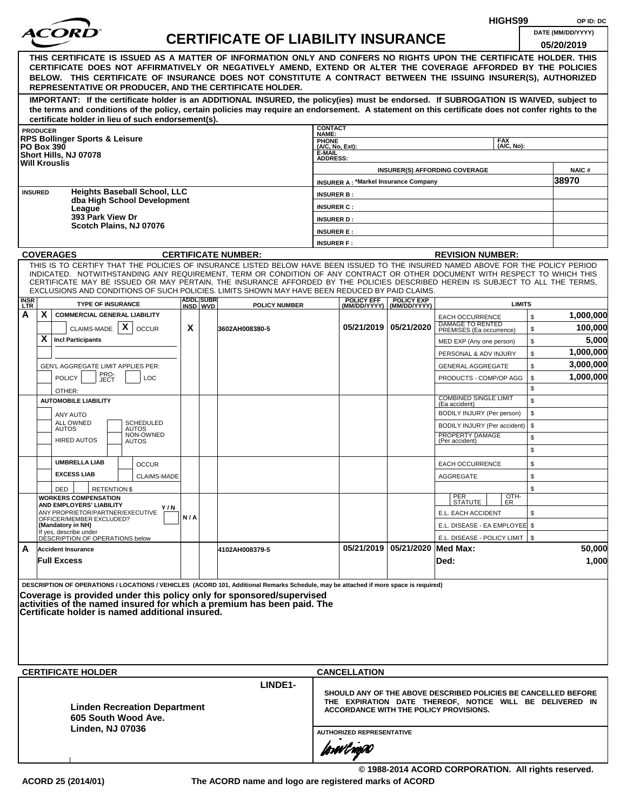|                    |                                                                                                                                                                                                                                                              |     |                               |                                           |                           |                                             |                                                  |                                                                                                           | HIGHS99            |              | OP ID: DC             |
|--------------------|--------------------------------------------------------------------------------------------------------------------------------------------------------------------------------------------------------------------------------------------------------------|-----|-------------------------------|-------------------------------------------|---------------------------|---------------------------------------------|--------------------------------------------------|-----------------------------------------------------------------------------------------------------------|--------------------|--------------|-----------------------|
|                    |                                                                                                                                                                                                                                                              |     |                               | <b>CERTIFICATE OF LIABILITY INSURANCE</b> |                           |                                             |                                                  |                                                                                                           |                    |              | DATE (MM/DD/YYYY)     |
|                    |                                                                                                                                                                                                                                                              |     |                               |                                           |                           |                                             |                                                  |                                                                                                           |                    |              | 05/20/2019            |
|                    | THIS CERTIFICATE IS ISSUED AS A MATTER OF INFORMATION ONLY AND CONFERS NO RIGHTS UPON THE CERTIFICATE HOLDER. THIS<br>CERTIFICATE DOES NOT AFFIRMATIVELY OR NEGATIVELY AMEND, EXTEND OR ALTER THE COVERAGE AFFORDED BY THE POLICIES                          |     |                               |                                           |                           |                                             |                                                  |                                                                                                           |                    |              |                       |
|                    | BELOW. THIS CERTIFICATE OF INSURANCE DOES NOT CONSTITUTE A CONTRACT BETWEEN THE ISSUING INSURER(S), AUTHORIZED                                                                                                                                               |     |                               |                                           |                           |                                             |                                                  |                                                                                                           |                    |              |                       |
|                    | REPRESENTATIVE OR PRODUCER, AND THE CERTIFICATE HOLDER.                                                                                                                                                                                                      |     |                               |                                           |                           |                                             |                                                  |                                                                                                           |                    |              |                       |
|                    | IMPORTANT: If the certificate holder is an ADDITIONAL INSURED, the policy(ies) must be endorsed. If SUBROGATION IS WAIVED, subject to                                                                                                                        |     |                               |                                           |                           |                                             |                                                  |                                                                                                           |                    |              |                       |
|                    | the terms and conditions of the policy, certain policies may require an endorsement. A statement on this certificate does not confer rights to the                                                                                                           |     |                               |                                           |                           |                                             |                                                  |                                                                                                           |                    |              |                       |
|                    | certificate holder in lieu of such endorsement(s).<br><b>PRODUCER</b>                                                                                                                                                                                        |     |                               |                                           | <b>CONTACT</b>            |                                             |                                                  |                                                                                                           |                    |              |                       |
|                    | <b>RPS Bollinger Sports &amp; Leisure</b>                                                                                                                                                                                                                    |     |                               |                                           | NAME:<br><b>PHONE</b>     |                                             |                                                  |                                                                                                           | <b>FAX</b>         |              |                       |
|                    | <b>PO Box 390</b><br>Short Hills, NJ 07078                                                                                                                                                                                                                   |     |                               |                                           | (A/C, No, Ext):<br>E-MAIL |                                             |                                                  |                                                                                                           | (A/C. No):         |              |                       |
|                    | <b>Will Krouslis</b>                                                                                                                                                                                                                                         |     |                               |                                           | <b>ADDRESS:</b>           |                                             |                                                  |                                                                                                           |                    |              |                       |
|                    |                                                                                                                                                                                                                                                              |     |                               |                                           |                           | <b>INSURER A: *Markel Insurance Company</b> |                                                  | <b>INSURER(S) AFFORDING COVERAGE</b>                                                                      |                    |              | <b>NAIC#</b><br>38970 |
|                    | <b>Heights Baseball School, LLC</b><br><b>INSURED</b>                                                                                                                                                                                                        |     |                               |                                           | <b>INSURER B:</b>         |                                             |                                                  |                                                                                                           |                    |              |                       |
|                    | dba High School Development                                                                                                                                                                                                                                  |     |                               |                                           | <b>INSURER C:</b>         |                                             |                                                  |                                                                                                           |                    |              |                       |
|                    | League<br>393 Park View Dr                                                                                                                                                                                                                                   |     |                               |                                           | <b>INSURER D:</b>         |                                             |                                                  |                                                                                                           |                    |              |                       |
|                    | Scotch Plains, NJ 07076                                                                                                                                                                                                                                      |     |                               |                                           | <b>INSURER E:</b>         |                                             |                                                  |                                                                                                           |                    |              |                       |
|                    |                                                                                                                                                                                                                                                              |     |                               |                                           | <b>INSURER F:</b>         |                                             |                                                  |                                                                                                           |                    |              |                       |
|                    | <b>COVERAGES</b>                                                                                                                                                                                                                                             |     |                               | <b>CERTIFICATE NUMBER:</b>                |                           |                                             |                                                  | <b>REVISION NUMBER:</b>                                                                                   |                    |              |                       |
|                    | THIS IS TO CERTIFY THAT THE POLICIES OF INSURANCE LISTED BELOW HAVE BEEN ISSUED TO THE INSURED NAMED ABOVE FOR THE POLICY PERIOD                                                                                                                             |     |                               |                                           |                           |                                             |                                                  |                                                                                                           |                    |              |                       |
|                    | INDICATED. NOTWITHSTANDING ANY REQUIREMENT, TERM OR CONDITION OF ANY CONTRACT OR OTHER DOCUMENT WITH RESPECT TO WHICH THIS<br>CERTIFICATE MAY BE ISSUED OR MAY PERTAIN, THE INSURANCE AFFORDED BY THE POLICIES DESCRIBED HEREIN IS SUBJECT TO ALL THE TERMS. |     |                               |                                           |                           |                                             |                                                  |                                                                                                           |                    |              |                       |
|                    | EXCLUSIONS AND CONDITIONS OF SUCH POLICIES. LIMITS SHOWN MAY HAVE BEEN REDUCED BY PAID CLAIMS.                                                                                                                                                               |     |                               |                                           |                           |                                             |                                                  |                                                                                                           |                    |              |                       |
| <b>INSR</b><br>LTR | <b>TYPE OF INSURANCE</b>                                                                                                                                                                                                                                     |     | <b>ADDLISUBRI</b><br>INSD WVD | <b>POLICY NUMBER</b>                      |                           | <b>POLICY EFF</b>                           | <b>POLICY EXP</b><br>(MM/DD/YYYY)   (MM/DD/YYYY) |                                                                                                           | <b>LIMITS</b>      |              |                       |
| А                  | X<br><b>COMMERCIAL GENERAL LIABILITY</b>                                                                                                                                                                                                                     |     |                               |                                           |                           |                                             |                                                  | <b>EACH OCCURRENCE</b><br>DAMAGE TO RENTED                                                                |                    | $\mathbb{S}$ | 1,000,000             |
|                    | CLAIMS-MADE $\mathbf{X}$<br><b>OCCUR</b>                                                                                                                                                                                                                     | X   |                               | 3602AH008380-5                            |                           |                                             | 05/21/2019   05/21/2020                          | PREMISES (Ea occurrence)                                                                                  |                    | \$           | 100,000               |
|                    | X<br><b>Incl Participants</b>                                                                                                                                                                                                                                |     |                               |                                           |                           |                                             |                                                  | MED EXP (Any one person)                                                                                  |                    | \$           | 5,000                 |
|                    |                                                                                                                                                                                                                                                              |     |                               |                                           |                           |                                             |                                                  | PERSONAL & ADV INJURY                                                                                     |                    | \$           | 1,000,000             |
|                    | GEN'L AGGREGATE LIMIT APPLIES PER:                                                                                                                                                                                                                           |     |                               |                                           |                           |                                             |                                                  | <b>GENERAL AGGREGATE</b>                                                                                  |                    | \$           | 3,000,000             |
|                    | PRO-<br>JECT<br><b>POLICY</b><br><b>LOC</b>                                                                                                                                                                                                                  |     |                               |                                           |                           |                                             |                                                  | PRODUCTS - COMP/OP AGG                                                                                    |                    | \$<br>\$     | 1,000,000             |
|                    | OTHER:<br><b>AUTOMOBILE LIABILITY</b>                                                                                                                                                                                                                        |     |                               |                                           |                           |                                             |                                                  | <b>COMBINED SINGLE LIMIT</b>                                                                              |                    | \$           |                       |
|                    |                                                                                                                                                                                                                                                              |     |                               |                                           |                           |                                             |                                                  | (Ea accident)<br>BODILY INJURY (Per person)                                                               |                    | \$           |                       |
|                    | ANY AUTO<br>ALL OWNED<br><b>SCHEDULED</b>                                                                                                                                                                                                                    |     |                               |                                           |                           |                                             |                                                  | BODILY INJURY (Per accident)                                                                              |                    | \$           |                       |
|                    | <b>AUTOS</b><br><b>AUTOS</b><br>NON-OWNED<br><b>HIRED AUTOS</b>                                                                                                                                                                                              |     |                               |                                           |                           |                                             |                                                  | PROPERTY DAMAGE<br>(Per accident)                                                                         |                    | \$           |                       |
|                    | <b>AUTOS</b>                                                                                                                                                                                                                                                 |     |                               |                                           |                           |                                             |                                                  |                                                                                                           |                    | \$           |                       |
|                    | <b>UMBRELLA LIAB</b><br><b>OCCUR</b>                                                                                                                                                                                                                         |     |                               |                                           |                           |                                             |                                                  | <b>EACH OCCURRENCE</b>                                                                                    |                    | \$           |                       |
|                    | <b>EXCESS LIAB</b><br><b>CLAIMS-MADE</b>                                                                                                                                                                                                                     |     |                               |                                           |                           |                                             |                                                  | <b>AGGREGATE</b>                                                                                          |                    | \$           |                       |
|                    | <b>RETENTION \$</b><br>DED                                                                                                                                                                                                                                   |     |                               |                                           |                           |                                             |                                                  |                                                                                                           |                    | \$           |                       |
|                    | <b>WORKERS COMPENSATION</b><br>AND EMPLOYERS' LIABILITY                                                                                                                                                                                                      |     |                               |                                           |                           |                                             |                                                  | PER<br>STATUTE                                                                                            | $\frac{[OTH]}{ER}$ |              |                       |
|                    | Y/N<br>ANY PROPRIETOR/PARTNER/EXECUTIVE                                                                                                                                                                                                                      | N/A |                               |                                           |                           |                                             |                                                  | E.L. EACH ACCIDENT                                                                                        |                    | \$           |                       |
|                    | OFFICER/MEMBER EXCLUDED?<br>(Mandatory in NH)                                                                                                                                                                                                                |     |                               |                                           |                           |                                             |                                                  | E.L. DISEASE - EA EMPLOYEE \$                                                                             |                    |              |                       |
|                    | If yes, describe under<br>DESCRIPTION OF OPERATIONS below                                                                                                                                                                                                    |     |                               |                                           |                           |                                             |                                                  | E.L. DISEASE - POLICY LIMIT   \$                                                                          |                    |              |                       |
| A                  | <b>Accident Insurance</b>                                                                                                                                                                                                                                    |     |                               | 4102AH008379-5                            |                           |                                             | 05/21/2019 05/21/2020 Med Max:                   |                                                                                                           |                    |              | 50,000                |
|                    | <b>Full Excess</b>                                                                                                                                                                                                                                           |     |                               |                                           |                           |                                             |                                                  | Ded:                                                                                                      |                    |              | 1,000                 |
|                    |                                                                                                                                                                                                                                                              |     |                               |                                           |                           |                                             |                                                  |                                                                                                           |                    |              |                       |
|                    | DESCRIPTION OF OPERATIONS / LOCATIONS / VEHICLES (ACORD 101, Additional Remarks Schedule, may be attached if more space is required)                                                                                                                         |     |                               |                                           |                           |                                             |                                                  |                                                                                                           |                    |              |                       |
|                    | Coverage is provided under this policy only for sponsored/supervised<br>activities of the named insured for which a premium has been paid. The                                                                                                               |     |                               |                                           |                           |                                             |                                                  |                                                                                                           |                    |              |                       |
|                    | Certificate holder is named additional insured.                                                                                                                                                                                                              |     |                               |                                           |                           |                                             |                                                  |                                                                                                           |                    |              |                       |
|                    |                                                                                                                                                                                                                                                              |     |                               |                                           |                           |                                             |                                                  |                                                                                                           |                    |              |                       |
|                    |                                                                                                                                                                                                                                                              |     |                               |                                           |                           |                                             |                                                  |                                                                                                           |                    |              |                       |
|                    |                                                                                                                                                                                                                                                              |     |                               |                                           |                           |                                             |                                                  |                                                                                                           |                    |              |                       |
|                    |                                                                                                                                                                                                                                                              |     |                               |                                           |                           |                                             |                                                  |                                                                                                           |                    |              |                       |
|                    | <b>CERTIFICATE HOLDER</b>                                                                                                                                                                                                                                    |     |                               | LINDE1-                                   |                           | <b>CANCELLATION</b>                         |                                                  |                                                                                                           |                    |              |                       |
|                    |                                                                                                                                                                                                                                                              |     |                               |                                           |                           |                                             |                                                  | SHOULD ANY OF THE ABOVE DESCRIBED POLICIES BE CANCELLED BEFORE                                            |                    |              |                       |
|                    | <b>Linden Recreation Department</b>                                                                                                                                                                                                                          |     |                               |                                           |                           |                                             |                                                  | THE EXPIRATION DATE THEREOF, NOTICE WILL BE DELIVERED IN<br><b>ACCORDANCE WITH THE POLICY PROVISIONS.</b> |                    |              |                       |
|                    | 605 South Wood Ave.                                                                                                                                                                                                                                          |     |                               |                                           |                           |                                             |                                                  |                                                                                                           |                    |              |                       |
|                    | <b>Linden, NJ 07036</b>                                                                                                                                                                                                                                      |     |                               |                                           |                           | <b>AUTHORIZED REPRESENTATIVE</b>            |                                                  |                                                                                                           |                    |              |                       |
|                    |                                                                                                                                                                                                                                                              |     |                               |                                           |                           |                                             |                                                  |                                                                                                           |                    |              |                       |
|                    |                                                                                                                                                                                                                                                              |     |                               |                                           |                           | forwl now                                   |                                                  |                                                                                                           |                    |              |                       |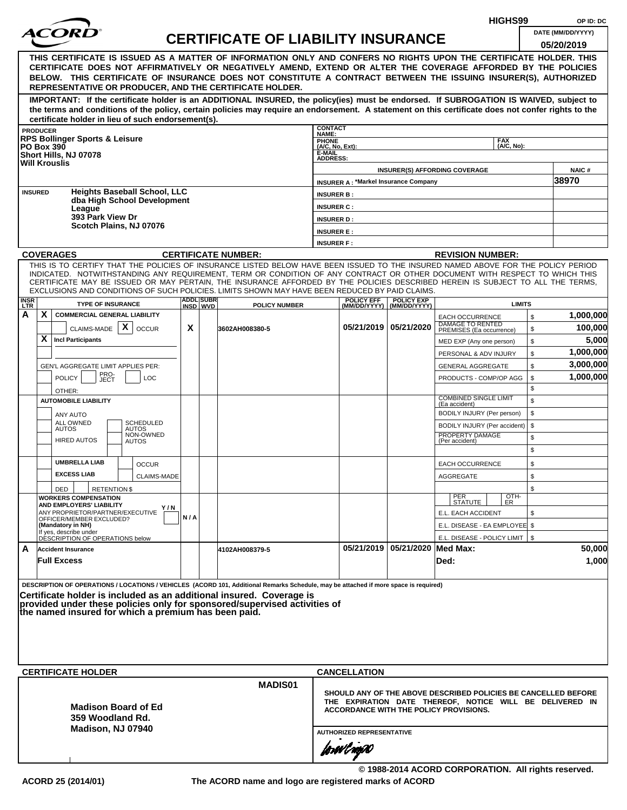|                    |                                                                                                                                                                                                                                                                                                                                                                |                                    |     |                              |                                           |                                                                                                                                                                                                          |                                             |                                                |                                                      | HIGHS99                  |          | OP ID: DC             |
|--------------------|----------------------------------------------------------------------------------------------------------------------------------------------------------------------------------------------------------------------------------------------------------------------------------------------------------------------------------------------------------------|------------------------------------|-----|------------------------------|-------------------------------------------|----------------------------------------------------------------------------------------------------------------------------------------------------------------------------------------------------------|---------------------------------------------|------------------------------------------------|------------------------------------------------------|--------------------------|----------|-----------------------|
|                    | <i>ACOR</i>                                                                                                                                                                                                                                                                                                                                                    |                                    |     |                              | <b>CERTIFICATE OF LIABILITY INSURANCE</b> |                                                                                                                                                                                                          |                                             |                                                |                                                      |                          |          | DATE (MM/DD/YYYY)     |
|                    | THIS CERTIFICATE IS ISSUED AS A MATTER OF INFORMATION ONLY AND CONFERS NO RIGHTS UPON THE CERTIFICATE HOLDER. THIS<br>CERTIFICATE DOES NOT AFFIRMATIVELY OR NEGATIVELY AMEND, EXTEND OR ALTER THE COVERAGE AFFORDED BY THE POLICIES<br>BELOW. THIS CERTIFICATE OF INSURANCE DOES NOT CONSTITUTE A CONTRACT BETWEEN THE ISSUING INSURER(S), AUTHORIZED          |                                    |     |                              |                                           |                                                                                                                                                                                                          |                                             |                                                |                                                      |                          |          | 05/20/2019            |
|                    | REPRESENTATIVE OR PRODUCER, AND THE CERTIFICATE HOLDER.                                                                                                                                                                                                                                                                                                        |                                    |     |                              |                                           |                                                                                                                                                                                                          |                                             |                                                |                                                      |                          |          |                       |
|                    | IMPORTANT: If the certificate holder is an ADDITIONAL INSURED, the policy(ies) must be endorsed. If SUBROGATION IS WAIVED, subject to<br>the terms and conditions of the policy, certain policies may require an endorsement. A statement on this certificate does not confer rights to the<br>certificate holder in lieu of such endorsement(s).              |                                    |     |                              |                                           |                                                                                                                                                                                                          |                                             |                                                |                                                      |                          |          |                       |
|                    | <b>PRODUCER</b>                                                                                                                                                                                                                                                                                                                                                |                                    |     |                              |                                           | <b>CONTACT</b><br>NAME:                                                                                                                                                                                  |                                             |                                                |                                                      |                          |          |                       |
|                    | <b>RPS Bollinger Sports &amp; Leisure</b><br><b>PO Box 390</b>                                                                                                                                                                                                                                                                                                 |                                    |     |                              |                                           | PHONE<br>(A/C, No, Ext):<br>E-MAIL                                                                                                                                                                       |                                             |                                                |                                                      | <b>FAX</b><br>(A/C, No): |          |                       |
|                    | Short Hills, NJ 07078<br><b>Will Krouslis</b>                                                                                                                                                                                                                                                                                                                  |                                    |     |                              |                                           | <b>ADDRESS:</b>                                                                                                                                                                                          |                                             |                                                |                                                      |                          |          |                       |
|                    |                                                                                                                                                                                                                                                                                                                                                                |                                    |     |                              |                                           |                                                                                                                                                                                                          | <b>INSURER A: *Markel Insurance Company</b> |                                                | <b>INSURER(S) AFFORDING COVERAGE</b>                 |                          |          | <b>NAIC#</b><br>38970 |
|                    | <b>Heights Baseball School, LLC</b><br><b>INSURED</b>                                                                                                                                                                                                                                                                                                          |                                    |     |                              |                                           | <b>INSURER B:</b>                                                                                                                                                                                        |                                             |                                                |                                                      |                          |          |                       |
|                    | dba High School Development<br>League                                                                                                                                                                                                                                                                                                                          |                                    |     |                              |                                           | <b>INSURER C:</b>                                                                                                                                                                                        |                                             |                                                |                                                      |                          |          |                       |
|                    | 393 Park View Dr<br>Scotch Plains, NJ 07076                                                                                                                                                                                                                                                                                                                    |                                    |     |                              |                                           | <b>INSURER D:</b>                                                                                                                                                                                        |                                             |                                                |                                                      |                          |          |                       |
|                    |                                                                                                                                                                                                                                                                                                                                                                |                                    |     |                              |                                           | <b>INSURER E:</b>                                                                                                                                                                                        |                                             |                                                |                                                      |                          |          |                       |
|                    | <b>COVERAGES</b>                                                                                                                                                                                                                                                                                                                                               |                                    |     |                              | <b>CERTIFICATE NUMBER:</b>                | <b>INSURER F:</b>                                                                                                                                                                                        |                                             |                                                | <b>REVISION NUMBER:</b>                              |                          |          |                       |
|                    | THIS IS TO CERTIFY THAT THE POLICIES OF INSURANCE LISTED BELOW HAVE BEEN ISSUED TO THE INSURED NAMED ABOVE FOR THE POLICY PERIOD                                                                                                                                                                                                                               |                                    |     |                              |                                           |                                                                                                                                                                                                          |                                             |                                                |                                                      |                          |          |                       |
|                    | INDICATED. NOTWITHSTANDING ANY REQUIREMENT, TERM OR CONDITION OF ANY CONTRACT OR OTHER DOCUMENT WITH RESPECT TO WHICH THIS<br>CERTIFICATE MAY BE ISSUED OR MAY PERTAIN, THE INSURANCE AFFORDED BY THE POLICIES DESCRIBED HEREIN IS SUBJECT TO ALL THE TERMS,<br>EXCLUSIONS AND CONDITIONS OF SUCH POLICIES. LIMITS SHOWN MAY HAVE BEEN REDUCED BY PAID CLAIMS. |                                    |     |                              |                                           |                                                                                                                                                                                                          |                                             |                                                |                                                      |                          |          |                       |
| <b>INSR</b><br>LTR | <b>TYPE OF INSURANCE</b>                                                                                                                                                                                                                                                                                                                                       |                                    |     | <b>ADDL SUBR</b><br>INSD WVD | <b>POLICY NUMBER</b>                      |                                                                                                                                                                                                          | <b>POLICY EFF</b>                           | <b>POLICY EXP</b><br>(MM/DD/YYYY) (MM/DD/YYYY) |                                                      | <b>LIMITS</b>            |          |                       |
| Α                  | X<br><b>COMMERCIAL GENERAL LIABILITY</b><br>CLAIMS-MADE $\mid X \mid$<br><b>OCCUR</b>                                                                                                                                                                                                                                                                          |                                    | X   |                              | 3602AH008380-5                            |                                                                                                                                                                                                          |                                             | 05/21/2019 05/21/2020                          | <b>EACH OCCURRENCE</b><br><b>DAMAGE TO RENTED</b>    |                          | \$<br>\$ | 1,000,000<br>100,000  |
|                    | X<br><b>Incl Participants</b>                                                                                                                                                                                                                                                                                                                                  |                                    |     |                              |                                           |                                                                                                                                                                                                          |                                             |                                                | PREMISES (Ea occurrence)<br>MED EXP (Any one person) |                          | \$       | 5,000                 |
|                    |                                                                                                                                                                                                                                                                                                                                                                |                                    |     |                              |                                           |                                                                                                                                                                                                          |                                             |                                                | PERSONAL & ADV INJURY                                |                          | \$       | 1,000,000             |
|                    | GEN'L AGGREGATE LIMIT APPLIES PER:                                                                                                                                                                                                                                                                                                                             |                                    |     |                              |                                           |                                                                                                                                                                                                          |                                             |                                                | <b>GENERAL AGGREGATE</b>                             |                          | \$       | 3,000,000             |
|                    | PRO-<br>JECT<br><b>POLICY</b>                                                                                                                                                                                                                                                                                                                                  | <b>LOC</b>                         |     |                              |                                           |                                                                                                                                                                                                          |                                             |                                                | PRODUCTS - COMP/OP AGG                               |                          | \$<br>\$ | 1,000,000             |
|                    | OTHER:<br><b>AUTOMOBILE LIABILITY</b>                                                                                                                                                                                                                                                                                                                          |                                    |     |                              |                                           |                                                                                                                                                                                                          |                                             |                                                | <b>COMBINED SINGLE LIMIT</b>                         |                          | \$       |                       |
|                    | ANY AUTO                                                                                                                                                                                                                                                                                                                                                       |                                    |     |                              |                                           |                                                                                                                                                                                                          |                                             |                                                | (Ea accident)<br>BODILY INJURY (Per person)          |                          | \$       |                       |
|                    | <b>SCHEDULED</b><br>ALL OWNED<br><b>AUTOS</b><br>AUTOS                                                                                                                                                                                                                                                                                                         |                                    |     |                              |                                           |                                                                                                                                                                                                          |                                             |                                                | BODILY INJURY (Per accident)                         |                          | \$       |                       |
|                    | NON-OWNED<br><b>HIRED AUTOS</b><br>AUTOS                                                                                                                                                                                                                                                                                                                       |                                    |     |                              |                                           |                                                                                                                                                                                                          |                                             |                                                | PROPERTY DAMAGE<br>(Per accident)                    |                          | \$       |                       |
|                    | <b>UMBRELLA LIAB</b>                                                                                                                                                                                                                                                                                                                                           |                                    |     |                              |                                           |                                                                                                                                                                                                          |                                             |                                                |                                                      |                          | \$       |                       |
|                    | <b>EXCESS LIAB</b>                                                                                                                                                                                                                                                                                                                                             | <b>OCCUR</b><br><b>CLAIMS-MADE</b> |     |                              |                                           |                                                                                                                                                                                                          |                                             |                                                | <b>EACH OCCURRENCE</b><br>AGGREGATE                  |                          | \$<br>\$ |                       |
|                    | DED<br><b>RETENTION \$</b>                                                                                                                                                                                                                                                                                                                                     |                                    |     |                              |                                           |                                                                                                                                                                                                          |                                             |                                                |                                                      |                          | \$       |                       |
|                    | <b>WORKERS COMPENSATION</b><br>AND EMPLOYERS' LIABILITY                                                                                                                                                                                                                                                                                                        |                                    |     |                              |                                           |                                                                                                                                                                                                          |                                             |                                                | PER<br>STATUTE                                       | OTH-<br>ER               |          |                       |
|                    | ANY PROPRIETOR/PARTNER/EXECUTIVE<br>OFFICER/MEMBER EXCLUDED?                                                                                                                                                                                                                                                                                                   | Y/N                                | N/A |                              |                                           |                                                                                                                                                                                                          |                                             |                                                | E.L. EACH ACCIDENT                                   |                          | \$       |                       |
|                    | (Mandatory in NH)<br>If yes, describe under                                                                                                                                                                                                                                                                                                                    |                                    |     |                              |                                           |                                                                                                                                                                                                          |                                             |                                                | E.L. DISEASE - EA EMPLOYEE \$                        |                          |          |                       |
| A                  | DÉSCRIPTION OF OPERATIONS below<br><b>Accident Insurance</b>                                                                                                                                                                                                                                                                                                   |                                    |     |                              | 4102AH008379-5                            |                                                                                                                                                                                                          |                                             | 05/21/2019 05/21/2020 Med Max:                 | E.L. DISEASE - POLICY LIMIT   \$                     |                          |          | 50,000                |
|                    | <b>Full Excess</b>                                                                                                                                                                                                                                                                                                                                             |                                    |     |                              |                                           |                                                                                                                                                                                                          |                                             |                                                | Ded:                                                 |                          |          | 1,000                 |
|                    | DESCRIPTION OF OPERATIONS / LOCATIONS / VEHICLES (ACORD 101, Additional Remarks Schedule, may be attached if more space is required)<br>Certificate holder is included as an additional insured. Coverage is<br>provided under these policies only for sponsored/supervised activities of<br>the named insured for which a premium has been paid.              |                                    |     |                              |                                           |                                                                                                                                                                                                          |                                             |                                                |                                                      |                          |          |                       |
|                    | <b>CERTIFICATE HOLDER</b>                                                                                                                                                                                                                                                                                                                                      |                                    |     |                              |                                           |                                                                                                                                                                                                          | <b>CANCELLATION</b>                         |                                                |                                                      |                          |          |                       |
|                    | <b>Madison Board of Ed</b><br>359 Woodland Rd.<br>Madison, NJ 07940                                                                                                                                                                                                                                                                                            |                                    |     |                              | <b>MADIS01</b>                            | SHOULD ANY OF THE ABOVE DESCRIBED POLICIES BE CANCELLED BEFORE<br>THE EXPIRATION DATE THEREOF, NOTICE WILL BE DELIVERED IN<br>ACCORDANCE WITH THE POLICY PROVISIONS.<br><b>AUTHORIZED REPRESENTATIVE</b> |                                             |                                                |                                                      |                          |          |                       |
|                    |                                                                                                                                                                                                                                                                                                                                                                |                                    |     |                              |                                           |                                                                                                                                                                                                          | forwl now                                   |                                                |                                                      |                          |          |                       |

**© 1988-2014 ACORD CORPORATION. All rights reserved. ACORD 25 (2014/01) The ACORD name and logo are registered marks of ACORD**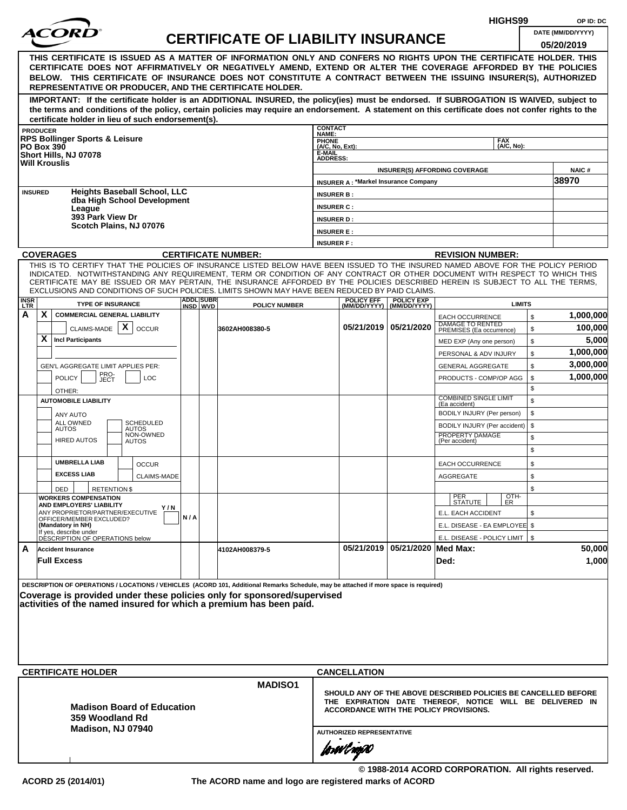|             |                                                                                                                                                                                                                                                                                                                                                                                                                                                                                                                                |     |                              |                                           |                                        |                                                 |                                                  | HIGHS99                                                                                                                                                                     | OP ID: DC                       |
|-------------|--------------------------------------------------------------------------------------------------------------------------------------------------------------------------------------------------------------------------------------------------------------------------------------------------------------------------------------------------------------------------------------------------------------------------------------------------------------------------------------------------------------------------------|-----|------------------------------|-------------------------------------------|----------------------------------------|-------------------------------------------------|--------------------------------------------------|-----------------------------------------------------------------------------------------------------------------------------------------------------------------------------|---------------------------------|
|             | <i>ACORI</i>                                                                                                                                                                                                                                                                                                                                                                                                                                                                                                                   |     |                              | <b>CERTIFICATE OF LIABILITY INSURANCE</b> |                                        |                                                 |                                                  |                                                                                                                                                                             | DATE (MM/DD/YYYY)<br>05/20/2019 |
|             | THIS CERTIFICATE IS ISSUED AS A MATTER OF INFORMATION ONLY AND CONFERS NO RIGHTS UPON THE CERTIFICATE HOLDER. THIS<br>CERTIFICATE DOES NOT AFFIRMATIVELY OR NEGATIVELY AMEND, EXTEND OR ALTER THE COVERAGE AFFORDED BY THE POLICIES<br>BELOW. THIS CERTIFICATE OF INSURANCE DOES NOT CONSTITUTE A CONTRACT BETWEEN THE ISSUING INSURER(S), AUTHORIZED<br>REPRESENTATIVE OR PRODUCER, AND THE CERTIFICATE HOLDER.                                                                                                               |     |                              |                                           |                                        |                                                 |                                                  |                                                                                                                                                                             |                                 |
|             | IMPORTANT: If the certificate holder is an ADDITIONAL INSURED, the policy(ies) must be endorsed. If SUBROGATION IS WAIVED, subject to<br>the terms and conditions of the policy, certain policies may require an endorsement. A statement on this certificate does not confer rights to the<br>certificate holder in lieu of such endorsement(s).                                                                                                                                                                              |     |                              |                                           |                                        |                                                 |                                                  |                                                                                                                                                                             |                                 |
|             | <b>PRODUCER</b>                                                                                                                                                                                                                                                                                                                                                                                                                                                                                                                |     |                              |                                           | <b>CONTACT</b><br>NAME:                |                                                 |                                                  |                                                                                                                                                                             |                                 |
|             | <b>RPS Bollinger Sports &amp; Leisure</b><br><b>PO Box 390</b>                                                                                                                                                                                                                                                                                                                                                                                                                                                                 |     |                              |                                           | <b>PHONE</b><br>(A/C, No, Ext):        |                                                 |                                                  | <b>FAX</b><br>(A/C, No):                                                                                                                                                    |                                 |
|             | Short Hills, NJ 07078<br><b>Will Krouslis</b>                                                                                                                                                                                                                                                                                                                                                                                                                                                                                  |     |                              |                                           | E-MAIL<br><b>ADDRESS:</b>              |                                                 |                                                  | <b>INSURER(S) AFFORDING COVERAGE</b>                                                                                                                                        | <b>NAIC#</b>                    |
|             |                                                                                                                                                                                                                                                                                                                                                                                                                                                                                                                                |     |                              |                                           |                                        | <b>INSURER A: *Markel Insurance Company</b>     |                                                  |                                                                                                                                                                             | 38970                           |
|             | <b>Heights Baseball School, LLC</b><br><b>INSURED</b><br>dba High School Development                                                                                                                                                                                                                                                                                                                                                                                                                                           |     |                              |                                           | <b>INSURER B:</b>                      |                                                 |                                                  |                                                                                                                                                                             |                                 |
|             | League<br>393 Park View Dr                                                                                                                                                                                                                                                                                                                                                                                                                                                                                                     |     |                              |                                           | <b>INSURER C:</b><br><b>INSURER D:</b> |                                                 |                                                  |                                                                                                                                                                             |                                 |
|             | Scotch Plains, NJ 07076                                                                                                                                                                                                                                                                                                                                                                                                                                                                                                        |     |                              |                                           | <b>INSURER E:</b>                      |                                                 |                                                  |                                                                                                                                                                             |                                 |
|             |                                                                                                                                                                                                                                                                                                                                                                                                                                                                                                                                |     |                              |                                           | <b>INSURER F:</b>                      |                                                 |                                                  |                                                                                                                                                                             |                                 |
|             | <b>COVERAGES</b>                                                                                                                                                                                                                                                                                                                                                                                                                                                                                                               |     |                              | <b>CERTIFICATE NUMBER:</b>                |                                        |                                                 |                                                  | <b>REVISION NUMBER:</b>                                                                                                                                                     |                                 |
| <b>INSR</b> | THIS IS TO CERTIFY THAT THE POLICIES OF INSURANCE LISTED BELOW HAVE BEEN ISSUED TO THE INSURED NAMED ABOVE FOR THE POLICY PERIOD<br>INDICATED. NOTWITHSTANDING ANY REQUIREMENT, TERM OR CONDITION OF ANY CONTRACT OR OTHER DOCUMENT WITH RESPECT TO WHICH THIS<br>CERTIFICATE MAY BE ISSUED OR MAY PERTAIN, THE INSURANCE AFFORDED BY THE POLICIES DESCRIBED HEREIN IS SUBJECT TO ALL THE TERMS,<br>EXCLUSIONS AND CONDITIONS OF SUCH POLICIES. LIMITS SHOWN MAY HAVE BEEN REDUCED BY PAID CLAIMS.<br><b>TYPE OF INSURANCE</b> |     | <b>ADDL SUBR</b><br>INSD WVD | <b>POLICY NUMBER</b>                      |                                        | <b>POLICY EFF</b>                               | <b>POLICY EXP</b><br>(MM/DD/YYYY)   (MM/DD/YYYY) | <b>LIMITS</b>                                                                                                                                                               |                                 |
| LTR.<br>A   | X.<br><b>COMMERCIAL GENERAL LIABILITY</b>                                                                                                                                                                                                                                                                                                                                                                                                                                                                                      |     |                              |                                           |                                        |                                                 |                                                  | \$<br><b>EACH OCCURRENCE</b>                                                                                                                                                | 1,000,000                       |
|             | CLAIMS-MADE $\mathbf{X}$<br><b>OCCUR</b>                                                                                                                                                                                                                                                                                                                                                                                                                                                                                       |     |                              | 3602AH008380-5                            |                                        |                                                 | 05/21/2019 05/21/2020                            | DAMAGE TO RENTED<br>\$<br>PREMISES (Ea occurrence)                                                                                                                          | 100,000                         |
|             | X.<br><b>Incl Participants</b>                                                                                                                                                                                                                                                                                                                                                                                                                                                                                                 |     |                              |                                           |                                        |                                                 |                                                  | \$<br>MED EXP (Any one person)                                                                                                                                              | 5,000                           |
|             |                                                                                                                                                                                                                                                                                                                                                                                                                                                                                                                                |     |                              |                                           |                                        |                                                 |                                                  | \$<br>PERSONAL & ADV INJURY                                                                                                                                                 | 1,000,000                       |
|             | GEN'L AGGREGATE LIMIT APPLIES PER:                                                                                                                                                                                                                                                                                                                                                                                                                                                                                             |     |                              |                                           |                                        |                                                 |                                                  | \$<br><b>GENERAL AGGREGATE</b>                                                                                                                                              | 3,000,000                       |
|             | PRO-<br>JECT<br><b>POLICY</b><br><b>LOC</b>                                                                                                                                                                                                                                                                                                                                                                                                                                                                                    |     |                              |                                           |                                        |                                                 |                                                  | PRODUCTS - COMP/OP AGG<br>\$                                                                                                                                                | 1,000,000                       |
|             | OTHER:                                                                                                                                                                                                                                                                                                                                                                                                                                                                                                                         |     |                              |                                           |                                        |                                                 |                                                  | \$<br><b>COMBINED SINGLE LIMIT</b>                                                                                                                                          |                                 |
|             | <b>AUTOMOBILE LIABILITY</b>                                                                                                                                                                                                                                                                                                                                                                                                                                                                                                    |     |                              |                                           |                                        |                                                 |                                                  | \$<br>(Ea accident)                                                                                                                                                         |                                 |
|             | ANY AUTO<br><b>ALL OWNED</b><br><b>SCHEDULED</b>                                                                                                                                                                                                                                                                                                                                                                                                                                                                               |     |                              |                                           |                                        |                                                 |                                                  | \$<br>BODILY INJURY (Per person)<br>\$                                                                                                                                      |                                 |
|             | <b>AUTOS</b><br><b>AUTOS</b><br>NON-OWNED                                                                                                                                                                                                                                                                                                                                                                                                                                                                                      |     |                              |                                           |                                        |                                                 |                                                  | BODILY INJURY (Per accident)<br>PROPERTY DAMAGE<br>\$                                                                                                                       |                                 |
|             | <b>HIRED AUTOS</b><br><b>AUTOS</b>                                                                                                                                                                                                                                                                                                                                                                                                                                                                                             |     |                              |                                           |                                        |                                                 |                                                  | (Per accident)<br>\$                                                                                                                                                        |                                 |
|             | <b>UMBRELLA LIAB</b><br><b>OCCUR</b>                                                                                                                                                                                                                                                                                                                                                                                                                                                                                           |     |                              |                                           |                                        |                                                 |                                                  | \$<br><b>EACH OCCURRENCE</b>                                                                                                                                                |                                 |
|             | <b>EXCESS LIAB</b><br>CLAIMS-MADE                                                                                                                                                                                                                                                                                                                                                                                                                                                                                              |     |                              |                                           |                                        |                                                 |                                                  | AGGREGATE<br>\$                                                                                                                                                             |                                 |
|             | DED<br><b>RETENTION \$</b>                                                                                                                                                                                                                                                                                                                                                                                                                                                                                                     |     |                              |                                           |                                        |                                                 |                                                  | \$                                                                                                                                                                          |                                 |
|             | <b>WORKERS COMPENSATION</b><br>AND EMPLOYERS' LIABILITY                                                                                                                                                                                                                                                                                                                                                                                                                                                                        |     |                              |                                           |                                        |                                                 |                                                  | OTH-<br>PER<br>STATUTE<br>ER.                                                                                                                                               |                                 |
|             | Y / N<br>ANY PROPRIETOR/PARTNER/EXECUTIVE                                                                                                                                                                                                                                                                                                                                                                                                                                                                                      | N/A |                              |                                           |                                        |                                                 |                                                  | E.L. EACH ACCIDENT<br>\$                                                                                                                                                    |                                 |
|             | OFFICER/MEMBER EXCLUDED?<br>(Mandatory in NH)                                                                                                                                                                                                                                                                                                                                                                                                                                                                                  |     |                              |                                           |                                        |                                                 |                                                  | E.L. DISEASE - EA EMPLOYEE \$                                                                                                                                               |                                 |
|             | If yes, describe under<br>DESCRIPTION OF OPERATIONS below                                                                                                                                                                                                                                                                                                                                                                                                                                                                      |     |                              |                                           |                                        |                                                 |                                                  | E.L. DISEASE - POLICY LIMIT   \$                                                                                                                                            |                                 |
| A           | <b>Accident Insurance</b><br><b>Full Excess</b>                                                                                                                                                                                                                                                                                                                                                                                                                                                                                |     |                              | 4102AH008379-5                            |                                        |                                                 | 05/21/2019 05/21/2020 Med Max:                   | Ded:                                                                                                                                                                        | 50,000<br>1,000                 |
|             | DESCRIPTION OF OPERATIONS / LOCATIONS / VEHICLES (ACORD 101, Additional Remarks Schedule, may be attached if more space is required)<br>Coverage is provided under these policies only for sponsored/supervised<br>activities of the named insured for which a premium has been paid.<br><b>CERTIFICATE HOLDER</b><br><b>Madison Board of Education</b><br>359 Woodland Rd                                                                                                                                                     |     |                              | <b>MADISO1</b>                            |                                        | <b>CANCELLATION</b>                             |                                                  | SHOULD ANY OF THE ABOVE DESCRIBED POLICIES BE CANCELLED BEFORE<br>THE EXPIRATION DATE THEREOF, NOTICE WILL BE DELIVERED IN<br><b>ACCORDANCE WITH THE POLICY PROVISIONS.</b> |                                 |
|             | Madison, NJ 07940                                                                                                                                                                                                                                                                                                                                                                                                                                                                                                              |     |                              |                                           |                                        | <b>AUTHORIZED REPRESENTATIVE</b><br>forøvl nopN |                                                  |                                                                                                                                                                             |                                 |
|             |                                                                                                                                                                                                                                                                                                                                                                                                                                                                                                                                |     |                              |                                           |                                        |                                                 |                                                  | © 1988-2014 ACORD CORPORATION. All rights reserved.                                                                                                                         |                                 |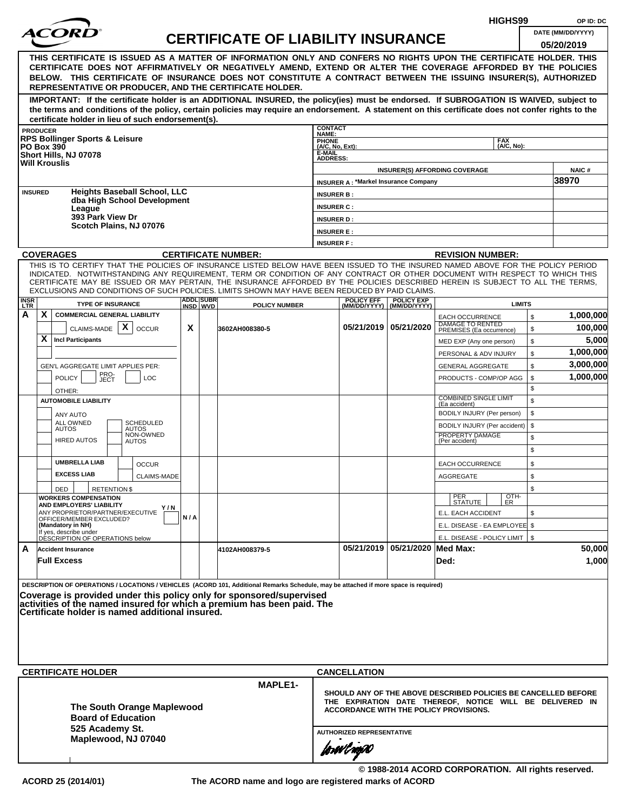|                 |                                                 |                                                                                                                                                                                                                                                                                                                                                       |     |                  |                                           |                                                                                                                                                                             |                                             |                                | HIGHS99                                         |          | OP ID: DC         |
|-----------------|-------------------------------------------------|-------------------------------------------------------------------------------------------------------------------------------------------------------------------------------------------------------------------------------------------------------------------------------------------------------------------------------------------------------|-----|------------------|-------------------------------------------|-----------------------------------------------------------------------------------------------------------------------------------------------------------------------------|---------------------------------------------|--------------------------------|-------------------------------------------------|----------|-------------------|
|                 |                                                 |                                                                                                                                                                                                                                                                                                                                                       |     |                  | <b>CERTIFICATE OF LIABILITY INSURANCE</b> |                                                                                                                                                                             |                                             |                                |                                                 |          | DATE (MM/DD/YYYY) |
|                 |                                                 |                                                                                                                                                                                                                                                                                                                                                       |     |                  |                                           |                                                                                                                                                                             |                                             |                                |                                                 |          | 05/20/2019        |
|                 |                                                 | THIS CERTIFICATE IS ISSUED AS A MATTER OF INFORMATION ONLY AND CONFERS NO RIGHTS UPON THE CERTIFICATE HOLDER. THIS<br>CERTIFICATE DOES NOT AFFIRMATIVELY OR NEGATIVELY AMEND, EXTEND OR ALTER THE COVERAGE AFFORDED BY THE POLICIES<br>BELOW. THIS CERTIFICATE OF INSURANCE DOES NOT CONSTITUTE A CONTRACT BETWEEN THE ISSUING INSURER(S), AUTHORIZED |     |                  |                                           |                                                                                                                                                                             |                                             |                                |                                                 |          |                   |
|                 |                                                 | REPRESENTATIVE OR PRODUCER, AND THE CERTIFICATE HOLDER.                                                                                                                                                                                                                                                                                               |     |                  |                                           |                                                                                                                                                                             |                                             |                                |                                                 |          |                   |
|                 |                                                 | IMPORTANT: If the certificate holder is an ADDITIONAL INSURED, the policy(ies) must be endorsed. If SUBROGATION IS WAIVED, subject to<br>the terms and conditions of the policy, certain policies may require an endorsement. A statement on this certificate does not confer rights to the                                                           |     |                  |                                           |                                                                                                                                                                             |                                             |                                |                                                 |          |                   |
|                 | <b>PRODUCER</b>                                 | certificate holder in lieu of such endorsement(s).                                                                                                                                                                                                                                                                                                    |     |                  |                                           | <b>CONTACT</b>                                                                                                                                                              |                                             |                                |                                                 |          |                   |
|                 | <b>PO Box 390</b>                               | <b>RPS Bollinger Sports &amp; Leisure</b><br>Short Hills, NJ 07078                                                                                                                                                                                                                                                                                    |     |                  |                                           | NAME:<br>PHONE<br>(A/C, No, Ext):<br>E-MAIL<br><b>ADDRESS:</b>                                                                                                              |                                             |                                | <b>FAX</b><br>(A/C, No):                        |          |                   |
|                 | <b>Will Krouslis</b>                            |                                                                                                                                                                                                                                                                                                                                                       |     |                  |                                           |                                                                                                                                                                             |                                             |                                | <b>INSURER(S) AFFORDING COVERAGE</b>            |          | NAIC#             |
|                 |                                                 |                                                                                                                                                                                                                                                                                                                                                       |     |                  |                                           |                                                                                                                                                                             | <b>INSURER A: *Markel Insurance Company</b> |                                |                                                 |          | 38970             |
|                 | <b>INSURED</b>                                  | <b>Heights Baseball School, LLC</b><br>dba High School Development                                                                                                                                                                                                                                                                                    |     |                  |                                           | <b>INSURER B:</b>                                                                                                                                                           |                                             |                                |                                                 |          |                   |
|                 |                                                 | League<br>393 Park View Dr                                                                                                                                                                                                                                                                                                                            |     |                  |                                           | <b>INSURER C:</b>                                                                                                                                                           |                                             |                                |                                                 |          |                   |
|                 |                                                 | Scotch Plains, NJ 07076                                                                                                                                                                                                                                                                                                                               |     |                  |                                           | <b>INSURER D:</b><br><b>INSURER E:</b>                                                                                                                                      |                                             |                                |                                                 |          |                   |
|                 |                                                 |                                                                                                                                                                                                                                                                                                                                                       |     |                  |                                           | <b>INSURER F:</b>                                                                                                                                                           |                                             |                                |                                                 |          |                   |
|                 | <b>COVERAGES</b>                                |                                                                                                                                                                                                                                                                                                                                                       |     |                  | <b>CERTIFICATE NUMBER:</b>                |                                                                                                                                                                             |                                             |                                | <b>REVISION NUMBER:</b>                         |          |                   |
|                 |                                                 | THIS IS TO CERTIFY THAT THE POLICIES OF INSURANCE LISTED BELOW HAVE BEEN ISSUED TO THE INSURED NAMED ABOVE FOR THE POLICY PERIOD                                                                                                                                                                                                                      |     |                  |                                           |                                                                                                                                                                             |                                             |                                |                                                 |          |                   |
|                 |                                                 | INDICATED. NOTWITHSTANDING ANY REQUIREMENT, TERM OR CONDITION OF ANY CONTRACT OR OTHER DOCUMENT WITH RESPECT TO WHICH THIS<br>CERTIFICATE MAY BE ISSUED OR MAY PERTAIN, THE INSURANCE AFFORDED BY THE POLICIES DESCRIBED HEREIN IS SUBJECT TO ALL THE TERMS,                                                                                          |     |                  |                                           |                                                                                                                                                                             |                                             |                                |                                                 |          |                   |
| <b>INSR</b>     |                                                 | EXCLUSIONS AND CONDITIONS OF SUCH POLICIES. LIMITS SHOWN MAY HAVE BEEN REDUCED BY PAID CLAIMS.                                                                                                                                                                                                                                                        |     | <b>ADDL SUBR</b> |                                           |                                                                                                                                                                             | <b>POLICY EFF</b>                           | <b>POLICY EXP</b>              |                                                 |          |                   |
| <b>LTR</b><br>A | X.                                              | <b>TYPE OF INSURANCE</b><br><b>COMMERCIAL GENERAL LIABILITY</b>                                                                                                                                                                                                                                                                                       |     | INSD WVD         | <b>POLICY NUMBER</b>                      |                                                                                                                                                                             |                                             | (MM/DD/YYYY)   (MM/DD/YYYY)    | <b>LIMITS</b><br><b>EACH OCCURRENCE</b>         | \$       | 1,000,000         |
|                 |                                                 | X<br>CLAIMS-MADE<br><b>OCCUR</b>                                                                                                                                                                                                                                                                                                                      | X   |                  | 3602AH008380-5                            |                                                                                                                                                                             | 05/21/2019 05/21/2020                       |                                | DAMAGE TO RENTED<br>PREMISES (Ea occurrence)    | \$       | 100,000           |
|                 | X                                               | <b>Incl Participants</b>                                                                                                                                                                                                                                                                                                                              |     |                  |                                           |                                                                                                                                                                             |                                             |                                | MED EXP (Any one person)                        | \$       | 5,000             |
|                 |                                                 |                                                                                                                                                                                                                                                                                                                                                       |     |                  |                                           |                                                                                                                                                                             |                                             |                                | PERSONAL & ADV INJURY                           | \$       | 1,000,000         |
|                 |                                                 | GEN'L AGGREGATE LIMIT APPLIES PER:                                                                                                                                                                                                                                                                                                                    |     |                  |                                           |                                                                                                                                                                             |                                             |                                | <b>GENERAL AGGREGATE</b>                        | \$       | 3,000,000         |
|                 | <b>POLICY</b>                                   | PRO-<br>LOC<br>JECT                                                                                                                                                                                                                                                                                                                                   |     |                  |                                           |                                                                                                                                                                             |                                             |                                | PRODUCTS - COMP/OP AGG                          | \$       | 1,000,000         |
|                 | OTHER:                                          |                                                                                                                                                                                                                                                                                                                                                       |     |                  |                                           |                                                                                                                                                                             |                                             |                                |                                                 | \$       |                   |
|                 |                                                 | <b>AUTOMOBILE LIABILITY</b>                                                                                                                                                                                                                                                                                                                           |     |                  |                                           |                                                                                                                                                                             |                                             |                                | <b>COMBINED SINGLE LIMIT</b><br>(Ea accident)   | \$       |                   |
|                 |                                                 | ANY AUTO<br>ALL OWNED<br><b>SCHEDULED</b>                                                                                                                                                                                                                                                                                                             |     |                  |                                           |                                                                                                                                                                             |                                             |                                | BODILY INJURY (Per person)                      | \$       |                   |
|                 | <b>AUTOS</b>                                    | <b>AUTOS</b><br>NON-OWNED                                                                                                                                                                                                                                                                                                                             |     |                  |                                           |                                                                                                                                                                             |                                             |                                | BODILY INJURY (Per accident)<br>PROPERTY DAMAGE | \$<br>\$ |                   |
|                 |                                                 | <b>HIRED AUTOS</b><br><b>AUTOS</b>                                                                                                                                                                                                                                                                                                                    |     |                  |                                           |                                                                                                                                                                             |                                             |                                | (Per accident)                                  | \$       |                   |
|                 |                                                 | <b>UMBRELLA LIAB</b><br><b>OCCUR</b>                                                                                                                                                                                                                                                                                                                  |     |                  |                                           |                                                                                                                                                                             |                                             |                                | EACH OCCURRENCE                                 | \$       |                   |
|                 |                                                 | <b>EXCESS LIAB</b><br><b>CLAIMS-MADE</b>                                                                                                                                                                                                                                                                                                              |     |                  |                                           |                                                                                                                                                                             |                                             |                                | <b>AGGREGATE</b>                                | \$       |                   |
|                 | DED                                             | <b>RETENTION \$</b>                                                                                                                                                                                                                                                                                                                                   |     |                  |                                           |                                                                                                                                                                             |                                             |                                |                                                 | \$       |                   |
|                 |                                                 | <b>WORKERS COMPENSATION</b><br>AND EMPLOYERS' LIABILITY                                                                                                                                                                                                                                                                                               |     |                  |                                           |                                                                                                                                                                             |                                             |                                | OTH-<br>PER<br>STATUTE<br>ER                    |          |                   |
|                 |                                                 | Y / N<br>ANY PROPRIETOR/PARTNER/EXECUTIVE<br>OFFICER/MEMBER EXCLUDED?                                                                                                                                                                                                                                                                                 | N/A |                  |                                           |                                                                                                                                                                             |                                             |                                | E.L. EACH ACCIDENT                              | \$       |                   |
|                 | (Mandatory in NH)                               |                                                                                                                                                                                                                                                                                                                                                       |     |                  |                                           |                                                                                                                                                                             |                                             |                                | E.L. DISEASE - EA EMPLOYEE \$                   |          |                   |
|                 |                                                 | If yes, describe under<br>DESCRIPTION OF OPERATIONS below                                                                                                                                                                                                                                                                                             |     |                  |                                           |                                                                                                                                                                             |                                             |                                | E.L. DISEASE - POLICY LIMIT   \$                |          |                   |
| A               | <b>Accident Insurance</b><br><b>Full Excess</b> |                                                                                                                                                                                                                                                                                                                                                       |     |                  | 4102AH008379-5                            |                                                                                                                                                                             |                                             | 05/21/2019 05/21/2020 Med Max: | Ded:                                            |          | 50,000<br>1,000   |
|                 |                                                 |                                                                                                                                                                                                                                                                                                                                                       |     |                  |                                           |                                                                                                                                                                             |                                             |                                |                                                 |          |                   |
|                 |                                                 | DESCRIPTION OF OPERATIONS / LOCATIONS / VEHICLES (ACORD 101, Additional Remarks Schedule, may be attached if more space is required)                                                                                                                                                                                                                  |     |                  |                                           |                                                                                                                                                                             |                                             |                                |                                                 |          |                   |
|                 |                                                 | Coverage is provided under this policy only for sponsored/supervised<br>activities of the named insured for which a premium has been paid. The                                                                                                                                                                                                        |     |                  |                                           |                                                                                                                                                                             |                                             |                                |                                                 |          |                   |
|                 |                                                 | Certificate holder is named additional insured.                                                                                                                                                                                                                                                                                                       |     |                  |                                           |                                                                                                                                                                             |                                             |                                |                                                 |          |                   |
|                 |                                                 |                                                                                                                                                                                                                                                                                                                                                       |     |                  |                                           |                                                                                                                                                                             |                                             |                                |                                                 |          |                   |
|                 |                                                 |                                                                                                                                                                                                                                                                                                                                                       |     |                  |                                           |                                                                                                                                                                             |                                             |                                |                                                 |          |                   |
|                 |                                                 |                                                                                                                                                                                                                                                                                                                                                       |     |                  |                                           |                                                                                                                                                                             |                                             |                                |                                                 |          |                   |
|                 |                                                 |                                                                                                                                                                                                                                                                                                                                                       |     |                  |                                           |                                                                                                                                                                             |                                             |                                |                                                 |          |                   |
|                 |                                                 | <b>CERTIFICATE HOLDER</b>                                                                                                                                                                                                                                                                                                                             |     |                  |                                           |                                                                                                                                                                             | <b>CANCELLATION</b>                         |                                |                                                 |          |                   |
|                 |                                                 | The South Orange Maplewood<br><b>Board of Education</b>                                                                                                                                                                                                                                                                                               |     |                  | <b>MAPLE1-</b>                            | SHOULD ANY OF THE ABOVE DESCRIBED POLICIES BE CANCELLED BEFORE<br>THE EXPIRATION DATE THEREOF, NOTICE WILL BE DELIVERED IN<br><b>ACCORDANCE WITH THE POLICY PROVISIONS.</b> |                                             |                                |                                                 |          |                   |
|                 |                                                 | 525 Academy St.                                                                                                                                                                                                                                                                                                                                       |     |                  |                                           | <b>AUTHORIZED REPRESENTATIVE</b>                                                                                                                                            |                                             |                                |                                                 |          |                   |
|                 |                                                 | Maplewood, NJ 07040                                                                                                                                                                                                                                                                                                                                   |     |                  |                                           |                                                                                                                                                                             |                                             |                                |                                                 |          |                   |
|                 |                                                 |                                                                                                                                                                                                                                                                                                                                                       |     |                  |                                           |                                                                                                                                                                             | forwl nop0                                  |                                |                                                 |          |                   |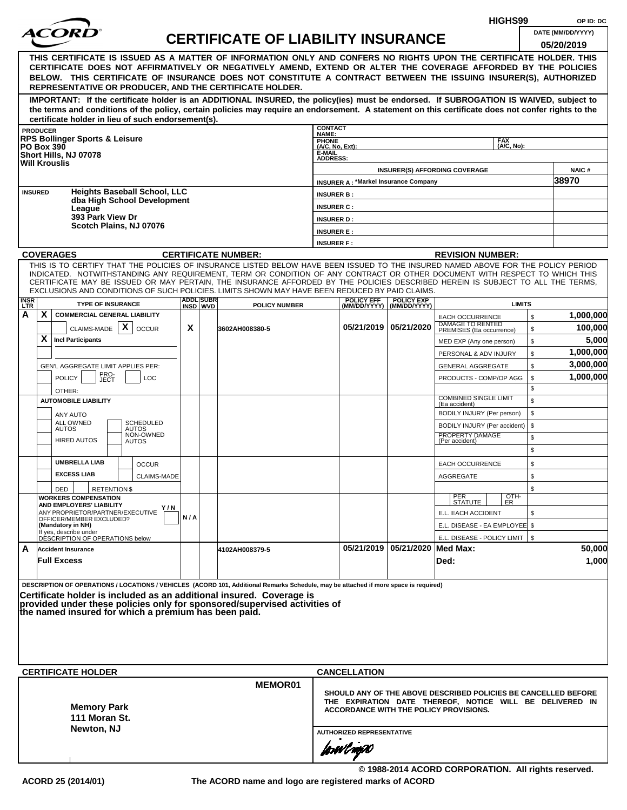|             |                 |                                                                                                                                                                                                                                                                                                                                                                                                                                                                                                    |     |                              |                                           |                                                                                                                                                                      |                                             |                                                |                                                                        | HIGHS99                     |          | OP ID: DC            |  |
|-------------|-----------------|----------------------------------------------------------------------------------------------------------------------------------------------------------------------------------------------------------------------------------------------------------------------------------------------------------------------------------------------------------------------------------------------------------------------------------------------------------------------------------------------------|-----|------------------------------|-------------------------------------------|----------------------------------------------------------------------------------------------------------------------------------------------------------------------|---------------------------------------------|------------------------------------------------|------------------------------------------------------------------------|-----------------------------|----------|----------------------|--|
|             |                 | <i>ACOR</i>                                                                                                                                                                                                                                                                                                                                                                                                                                                                                        |     |                              | <b>CERTIFICATE OF LIABILITY INSURANCE</b> |                                                                                                                                                                      |                                             |                                                |                                                                        |                             |          | DATE (MM/DD/YYYY)    |  |
|             |                 | THIS CERTIFICATE IS ISSUED AS A MATTER OF INFORMATION ONLY AND CONFERS NO RIGHTS UPON THE CERTIFICATE HOLDER. THIS<br>CERTIFICATE DOES NOT AFFIRMATIVELY OR NEGATIVELY AMEND, EXTEND OR ALTER THE COVERAGE AFFORDED BY THE POLICIES                                                                                                                                                                                                                                                                |     |                              |                                           |                                                                                                                                                                      |                                             |                                                |                                                                        |                             |          | 05/20/2019           |  |
|             |                 | BELOW. THIS CERTIFICATE OF INSURANCE DOES NOT CONSTITUTE A CONTRACT BETWEEN THE ISSUING INSURER(S), AUTHORIZED<br>REPRESENTATIVE OR PRODUCER, AND THE CERTIFICATE HOLDER.                                                                                                                                                                                                                                                                                                                          |     |                              |                                           |                                                                                                                                                                      |                                             |                                                |                                                                        |                             |          |                      |  |
|             |                 | IMPORTANT: If the certificate holder is an ADDITIONAL INSURED, the policy(ies) must be endorsed. If SUBROGATION IS WAIVED, subject to<br>the terms and conditions of the policy, certain policies may require an endorsement. A statement on this certificate does not confer rights to the<br>certificate holder in lieu of such endorsement(s).                                                                                                                                                  |     |                              |                                           |                                                                                                                                                                      |                                             |                                                |                                                                        |                             |          |                      |  |
|             | <b>PRODUCER</b> |                                                                                                                                                                                                                                                                                                                                                                                                                                                                                                    |     |                              |                                           | <b>CONTACT</b><br>NAME:                                                                                                                                              |                                             |                                                |                                                                        |                             |          |                      |  |
|             |                 | <b>RPS Bollinger Sports &amp; Leisure</b><br><b>PO Box 390</b>                                                                                                                                                                                                                                                                                                                                                                                                                                     |     |                              |                                           | PHONE<br>(A/C, No, Ext):                                                                                                                                             |                                             |                                                |                                                                        | <b>FAX</b><br>$(AVC, No)$ : |          |                      |  |
|             |                 | Short Hills, NJ 07078<br><b>Will Krouslis</b>                                                                                                                                                                                                                                                                                                                                                                                                                                                      |     |                              |                                           | E-MAIL<br><b>ADDRESS:</b>                                                                                                                                            |                                             |                                                |                                                                        |                             |          |                      |  |
|             |                 |                                                                                                                                                                                                                                                                                                                                                                                                                                                                                                    |     |                              |                                           |                                                                                                                                                                      |                                             |                                                | <b>INSURER(S) AFFORDING COVERAGE</b>                                   |                             |          | <b>NAIC#</b>         |  |
|             |                 |                                                                                                                                                                                                                                                                                                                                                                                                                                                                                                    |     |                              |                                           |                                                                                                                                                                      | <b>INSURER A: *Markel Insurance Company</b> |                                                |                                                                        |                             |          | 38970                |  |
|             | <b>INSURED</b>  | <b>Heights Baseball School, LLC</b><br>dba High School Development                                                                                                                                                                                                                                                                                                                                                                                                                                 |     |                              |                                           | <b>INSURER B:</b>                                                                                                                                                    |                                             |                                                |                                                                        |                             |          |                      |  |
|             |                 | League<br>393 Park View Dr                                                                                                                                                                                                                                                                                                                                                                                                                                                                         |     |                              |                                           | <b>INSURER C:</b><br><b>INSURER D:</b>                                                                                                                               |                                             |                                                |                                                                        |                             |          |                      |  |
|             |                 | Scotch Plains, NJ 07076                                                                                                                                                                                                                                                                                                                                                                                                                                                                            |     |                              |                                           | <b>INSURER E:</b>                                                                                                                                                    |                                             |                                                |                                                                        |                             |          |                      |  |
|             |                 |                                                                                                                                                                                                                                                                                                                                                                                                                                                                                                    |     |                              |                                           | <b>INSURER F:</b>                                                                                                                                                    |                                             |                                                |                                                                        |                             |          |                      |  |
|             |                 | <b>COVERAGES</b>                                                                                                                                                                                                                                                                                                                                                                                                                                                                                   |     |                              | <b>CERTIFICATE NUMBER:</b>                |                                                                                                                                                                      |                                             |                                                | <b>REVISION NUMBER:</b>                                                |                             |          |                      |  |
|             |                 | THIS IS TO CERTIFY THAT THE POLICIES OF INSURANCE LISTED BELOW HAVE BEEN ISSUED TO THE INSURED NAMED ABOVE FOR THE POLICY PERIOD<br>INDICATED. NOTWITHSTANDING ANY REQUIREMENT, TERM OR CONDITION OF ANY CONTRACT OR OTHER DOCUMENT WITH RESPECT TO WHICH THIS<br>CERTIFICATE MAY BE ISSUED OR MAY PERTAIN, THE INSURANCE AFFORDED BY THE POLICIES DESCRIBED HEREIN IS SUBJECT TO ALL THE TERMS,<br>EXCLUSIONS AND CONDITIONS OF SUCH POLICIES. LIMITS SHOWN MAY HAVE BEEN REDUCED BY PAID CLAIMS. |     |                              |                                           |                                                                                                                                                                      |                                             |                                                |                                                                        |                             |          |                      |  |
| INSR<br>LTR |                 | <b>TYPE OF INSURANCE</b>                                                                                                                                                                                                                                                                                                                                                                                                                                                                           |     | <b>ADDL SUBR</b><br>INSD WVD | <b>POLICY NUMBER</b>                      |                                                                                                                                                                      | <b>POLICY EFF</b>                           | <b>POLICY EXP</b><br>(MM/DD/YYYY) (MM/DD/YYYY) |                                                                        | <b>LIMITS</b>               |          |                      |  |
| A           | X.              | <b>COMMERCIAL GENERAL LIABILITY</b><br>$\mathsf{x}$<br>CLAIMS-MADE<br><b>OCCUR</b>                                                                                                                                                                                                                                                                                                                                                                                                                 | X   |                              | 3602AH008380-5                            |                                                                                                                                                                      |                                             | 05/21/2019 05/21/2020                          | <b>EACH OCCURRENCE</b><br>DAMAGE TO RENTED<br>PREMISES (Ea occurrence) |                             | \$<br>\$ | 1,000,000<br>100,000 |  |
|             | X.              | <b>Incl Participants</b>                                                                                                                                                                                                                                                                                                                                                                                                                                                                           |     |                              |                                           |                                                                                                                                                                      |                                             |                                                | MED EXP (Any one person)                                               |                             | \$       | 5,000                |  |
|             |                 |                                                                                                                                                                                                                                                                                                                                                                                                                                                                                                    |     |                              |                                           |                                                                                                                                                                      |                                             |                                                | PERSONAL & ADV INJURY                                                  |                             | \$       | 1,000,000            |  |
|             |                 | GEN'L AGGREGATE LIMIT APPLIES PER:                                                                                                                                                                                                                                                                                                                                                                                                                                                                 |     |                              |                                           |                                                                                                                                                                      |                                             |                                                | <b>GENERAL AGGREGATE</b>                                               |                             | \$       | 3,000,000            |  |
|             |                 | PRO-<br>JECT<br><b>POLICY</b><br><b>LOC</b>                                                                                                                                                                                                                                                                                                                                                                                                                                                        |     |                              |                                           |                                                                                                                                                                      |                                             |                                                | PRODUCTS - COMP/OP AGG                                                 |                             | \$<br>\$ | 1,000,000            |  |
|             |                 | OTHER:<br><b>AUTOMOBILE LIABILITY</b>                                                                                                                                                                                                                                                                                                                                                                                                                                                              |     |                              |                                           |                                                                                                                                                                      |                                             |                                                | <b>COMBINED SINGLE LIMIT</b><br>(Ea accident)                          |                             | \$       |                      |  |
|             |                 | ANY AUTO                                                                                                                                                                                                                                                                                                                                                                                                                                                                                           |     |                              |                                           |                                                                                                                                                                      |                                             |                                                | BODILY INJURY (Per person)                                             |                             | \$       |                      |  |
|             |                 | <b>ALL OWNED</b><br><b>SCHEDULED</b><br><b>AUTOS</b><br>AUTOS                                                                                                                                                                                                                                                                                                                                                                                                                                      |     |                              |                                           |                                                                                                                                                                      |                                             |                                                | BODILY INJURY (Per accident)                                           |                             | \$       |                      |  |
|             |                 | NON-OWNED<br><b>HIRED AUTOS</b><br><b>AUTOS</b>                                                                                                                                                                                                                                                                                                                                                                                                                                                    |     |                              |                                           |                                                                                                                                                                      |                                             |                                                | PROPERTY DAMAGE<br>(Per accident)                                      |                             | \$<br>\$ |                      |  |
|             |                 | <b>UMBRELLA LIAB</b><br><b>OCCUR</b>                                                                                                                                                                                                                                                                                                                                                                                                                                                               |     |                              |                                           |                                                                                                                                                                      |                                             |                                                | <b>EACH OCCURRENCE</b>                                                 |                             | \$       |                      |  |
|             |                 | <b>EXCESS LIAB</b><br><b>CLAIMS-MADE</b>                                                                                                                                                                                                                                                                                                                                                                                                                                                           |     |                              |                                           |                                                                                                                                                                      |                                             |                                                | AGGREGATE                                                              |                             | \$       |                      |  |
|             |                 | DED<br><b>RETENTION \$</b><br><b>WORKERS COMPENSATION</b>                                                                                                                                                                                                                                                                                                                                                                                                                                          |     |                              |                                           |                                                                                                                                                                      |                                             |                                                | PER<br>STATUTE                                                         | OTH-<br>ER                  | \$       |                      |  |
|             |                 | AND EMPLOYERS' LIABILITY<br>Y / N<br>ANY PROPRIETOR/PARTNER/EXECUTIVE                                                                                                                                                                                                                                                                                                                                                                                                                              |     |                              |                                           |                                                                                                                                                                      |                                             |                                                | E.L. EACH ACCIDENT                                                     |                             | \$       |                      |  |
|             |                 | OFFICER/MEMBER EXCLUDED?<br>(Mandatory in NH)                                                                                                                                                                                                                                                                                                                                                                                                                                                      | N/A |                              |                                           |                                                                                                                                                                      |                                             |                                                | E.L. DISEASE - EA EMPLOYEE \$                                          |                             |          |                      |  |
|             |                 | If yes, describe under<br>DÉSCRIPTION OF OPERATIONS below                                                                                                                                                                                                                                                                                                                                                                                                                                          |     |                              |                                           |                                                                                                                                                                      |                                             |                                                | E.L. DISEASE - POLICY LIMIT   \$                                       |                             |          |                      |  |
| A           |                 | <b>Accident Insurance</b><br><b>Full Excess</b>                                                                                                                                                                                                                                                                                                                                                                                                                                                    |     |                              | 4102AH008379-5                            |                                                                                                                                                                      |                                             | 05/21/2019   05/21/2020   Med Max:             | Ded:                                                                   |                             |          | 50,000<br>1,000      |  |
|             |                 |                                                                                                                                                                                                                                                                                                                                                                                                                                                                                                    |     |                              |                                           |                                                                                                                                                                      |                                             |                                                |                                                                        |                             |          |                      |  |
|             |                 | DESCRIPTION OF OPERATIONS / LOCATIONS / VEHICLES (ACORD 101, Additional Remarks Schedule, may be attached if more space is required)<br>Certificate holder is included as an additional insured. Coverage is<br>provided under these policies only for sponsored/supervised activities of<br>the named insured for which a premium has been paid.                                                                                                                                                  |     |                              |                                           |                                                                                                                                                                      |                                             |                                                |                                                                        |                             |          |                      |  |
|             |                 |                                                                                                                                                                                                                                                                                                                                                                                                                                                                                                    |     |                              |                                           |                                                                                                                                                                      |                                             |                                                |                                                                        |                             |          |                      |  |
|             |                 | <b>CERTIFICATE HOLDER</b>                                                                                                                                                                                                                                                                                                                                                                                                                                                                          |     |                              |                                           |                                                                                                                                                                      | <b>CANCELLATION</b>                         |                                                |                                                                        |                             |          |                      |  |
|             |                 | <b>Memory Park</b><br>111 Moran St.<br>Newton, NJ                                                                                                                                                                                                                                                                                                                                                                                                                                                  |     |                              | <b>MEMOR01</b>                            | SHOULD ANY OF THE ABOVE DESCRIBED POLICIES BE CANCELLED BEFORE<br>THE EXPIRATION DATE THEREOF, NOTICE WILL BE DELIVERED IN<br>ACCORDANCE WITH THE POLICY PROVISIONS. |                                             |                                                |                                                                        |                             |          |                      |  |
|             |                 |                                                                                                                                                                                                                                                                                                                                                                                                                                                                                                    |     |                              |                                           |                                                                                                                                                                      |                                             |                                                |                                                                        |                             |          |                      |  |
|             |                 |                                                                                                                                                                                                                                                                                                                                                                                                                                                                                                    |     |                              |                                           | <b>AUTHORIZED REPRESENTATIVE</b><br>forwl now                                                                                                                        |                                             |                                                |                                                                        |                             |          |                      |  |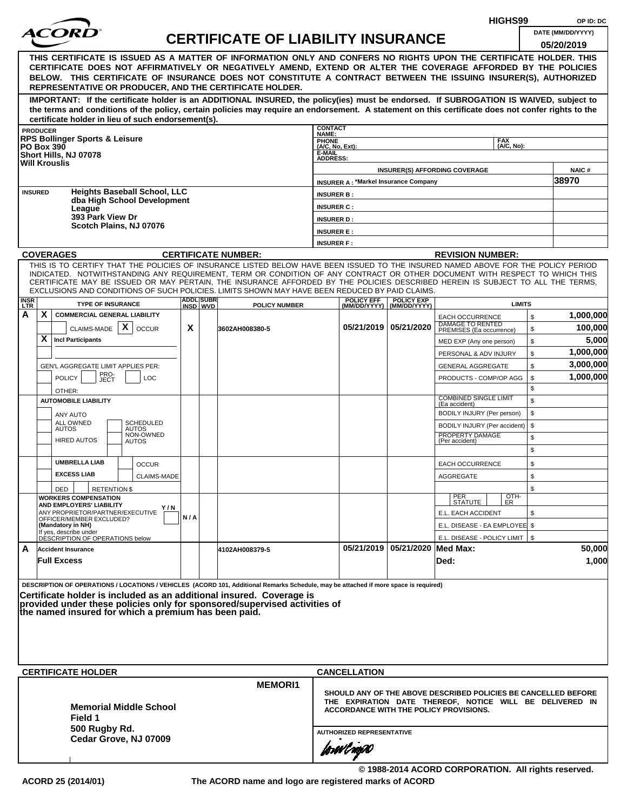|                    |                                                                                                                                                                                                                                     |       |                               |                                           |                                  |                                             |                                                                                                                                                                                                                                                                                                                                                                                                                                                                                                                                                                                                                                                                                                                                                                                                                                                                                                                                                                                                                                                                                                                                                                           | HIGHS99                              |    | OP ID: DC         |
|--------------------|-------------------------------------------------------------------------------------------------------------------------------------------------------------------------------------------------------------------------------------|-------|-------------------------------|-------------------------------------------|----------------------------------|---------------------------------------------|---------------------------------------------------------------------------------------------------------------------------------------------------------------------------------------------------------------------------------------------------------------------------------------------------------------------------------------------------------------------------------------------------------------------------------------------------------------------------------------------------------------------------------------------------------------------------------------------------------------------------------------------------------------------------------------------------------------------------------------------------------------------------------------------------------------------------------------------------------------------------------------------------------------------------------------------------------------------------------------------------------------------------------------------------------------------------------------------------------------------------------------------------------------------------|--------------------------------------|----|-------------------|
|                    |                                                                                                                                                                                                                                     |       |                               | <b>CERTIFICATE OF LIABILITY INSURANCE</b> |                                  |                                             |                                                                                                                                                                                                                                                                                                                                                                                                                                                                                                                                                                                                                                                                                                                                                                                                                                                                                                                                                                                                                                                                                                                                                                           |                                      |    | DATE (MM/DD/YYYY) |
|                    |                                                                                                                                                                                                                                     |       |                               |                                           |                                  |                                             |                                                                                                                                                                                                                                                                                                                                                                                                                                                                                                                                                                                                                                                                                                                                                                                                                                                                                                                                                                                                                                                                                                                                                                           |                                      |    | 05/20/2019        |
|                    | THIS CERTIFICATE IS ISSUED AS A MATTER OF INFORMATION ONLY AND CONFERS NO RIGHTS UPON THE CERTIFICATE HOLDER. THIS<br>CERTIFICATE DOES NOT AFFIRMATIVELY OR NEGATIVELY AMEND, EXTEND OR ALTER THE COVERAGE AFFORDED BY THE POLICIES |       |                               |                                           |                                  |                                             |                                                                                                                                                                                                                                                                                                                                                                                                                                                                                                                                                                                                                                                                                                                                                                                                                                                                                                                                                                                                                                                                                                                                                                           |                                      |    |                   |
|                    | BELOW. THIS CERTIFICATE OF INSURANCE DOES NOT CONSTITUTE A CONTRACT BETWEEN THE ISSUING INSURER(S), AUTHORIZED                                                                                                                      |       |                               |                                           |                                  |                                             |                                                                                                                                                                                                                                                                                                                                                                                                                                                                                                                                                                                                                                                                                                                                                                                                                                                                                                                                                                                                                                                                                                                                                                           |                                      |    |                   |
|                    | REPRESENTATIVE OR PRODUCER, AND THE CERTIFICATE HOLDER.                                                                                                                                                                             |       |                               |                                           |                                  |                                             |                                                                                                                                                                                                                                                                                                                                                                                                                                                                                                                                                                                                                                                                                                                                                                                                                                                                                                                                                                                                                                                                                                                                                                           |                                      |    |                   |
|                    | IMPORTANT: If the certificate holder is an ADDITIONAL INSURED, the policy(ies) must be endorsed. If SUBROGATION IS WAIVED, subject to                                                                                               |       |                               |                                           |                                  |                                             |                                                                                                                                                                                                                                                                                                                                                                                                                                                                                                                                                                                                                                                                                                                                                                                                                                                                                                                                                                                                                                                                                                                                                                           |                                      |    |                   |
|                    | the terms and conditions of the policy, certain policies may require an endorsement. A statement on this certificate does not confer rights to the<br>certificate holder in lieu of such endorsement(s).                            |       |                               |                                           |                                  |                                             |                                                                                                                                                                                                                                                                                                                                                                                                                                                                                                                                                                                                                                                                                                                                                                                                                                                                                                                                                                                                                                                                                                                                                                           |                                      |    |                   |
|                    | <b>PRODUCER</b>                                                                                                                                                                                                                     |       |                               |                                           | <b>CONTACT</b>                   |                                             |                                                                                                                                                                                                                                                                                                                                                                                                                                                                                                                                                                                                                                                                                                                                                                                                                                                                                                                                                                                                                                                                                                                                                                           |                                      |    |                   |
|                    | <b>RPS Bollinger Sports &amp; Leisure</b>                                                                                                                                                                                           |       |                               |                                           | NAME:<br>PHONE                   |                                             |                                                                                                                                                                                                                                                                                                                                                                                                                                                                                                                                                                                                                                                                                                                                                                                                                                                                                                                                                                                                                                                                                                                                                                           | <b>FAX</b>                           |    |                   |
|                    | <b>PO Box 390</b><br>Short Hills, NJ 07078                                                                                                                                                                                          |       |                               |                                           | $(A/C, No, Ext)$ :<br>E-MAIL     |                                             |                                                                                                                                                                                                                                                                                                                                                                                                                                                                                                                                                                                                                                                                                                                                                                                                                                                                                                                                                                                                                                                                                                                                                                           | (A/C, No):                           |    |                   |
|                    | <b>Will Krouslis</b>                                                                                                                                                                                                                |       |                               |                                           | <b>ADDRESS:</b>                  |                                             |                                                                                                                                                                                                                                                                                                                                                                                                                                                                                                                                                                                                                                                                                                                                                                                                                                                                                                                                                                                                                                                                                                                                                                           | <b>INSURER(S) AFFORDING COVERAGE</b> |    | <b>NAIC#</b>      |
|                    |                                                                                                                                                                                                                                     |       |                               |                                           |                                  | <b>INSURER A: *Markel Insurance Company</b> |                                                                                                                                                                                                                                                                                                                                                                                                                                                                                                                                                                                                                                                                                                                                                                                                                                                                                                                                                                                                                                                                                                                                                                           |                                      |    | 38970             |
|                    | <b>Heights Baseball School, LLC</b><br><b>INSURED</b>                                                                                                                                                                               |       |                               |                                           | <b>INSURER B:</b>                |                                             |                                                                                                                                                                                                                                                                                                                                                                                                                                                                                                                                                                                                                                                                                                                                                                                                                                                                                                                                                                                                                                                                                                                                                                           |                                      |    |                   |
|                    | dba High School Development<br>League                                                                                                                                                                                               |       |                               |                                           | <b>INSURER C:</b>                |                                             |                                                                                                                                                                                                                                                                                                                                                                                                                                                                                                                                                                                                                                                                                                                                                                                                                                                                                                                                                                                                                                                                                                                                                                           |                                      |    |                   |
|                    | 393 Park View Dr                                                                                                                                                                                                                    |       |                               |                                           | <b>INSURER D:</b>                |                                             |                                                                                                                                                                                                                                                                                                                                                                                                                                                                                                                                                                                                                                                                                                                                                                                                                                                                                                                                                                                                                                                                                                                                                                           |                                      |    |                   |
|                    | Scotch Plains, NJ 07076                                                                                                                                                                                                             |       |                               |                                           | <b>INSURER E:</b>                |                                             |                                                                                                                                                                                                                                                                                                                                                                                                                                                                                                                                                                                                                                                                                                                                                                                                                                                                                                                                                                                                                                                                                                                                                                           |                                      |    |                   |
|                    |                                                                                                                                                                                                                                     |       |                               |                                           | <b>INSURER F:</b>                |                                             |                                                                                                                                                                                                                                                                                                                                                                                                                                                                                                                                                                                                                                                                                                                                                                                                                                                                                                                                                                                                                                                                                                                                                                           |                                      |    |                   |
|                    | <b>COVERAGES</b>                                                                                                                                                                                                                    |       |                               | <b>CERTIFICATE NUMBER:</b>                |                                  |                                             |                                                                                                                                                                                                                                                                                                                                                                                                                                                                                                                                                                                                                                                                                                                                                                                                                                                                                                                                                                                                                                                                                                                                                                           | <b>REVISION NUMBER:</b>              |    |                   |
|                    |                                                                                                                                                                                                                                     |       |                               |                                           |                                  |                                             |                                                                                                                                                                                                                                                                                                                                                                                                                                                                                                                                                                                                                                                                                                                                                                                                                                                                                                                                                                                                                                                                                                                                                                           |                                      |    |                   |
|                    |                                                                                                                                                                                                                                     |       |                               |                                           |                                  |                                             |                                                                                                                                                                                                                                                                                                                                                                                                                                                                                                                                                                                                                                                                                                                                                                                                                                                                                                                                                                                                                                                                                                                                                                           |                                      |    |                   |
|                    | EXCLUSIONS AND CONDITIONS OF SUCH POLICIES. LIMITS SHOWN MAY HAVE BEEN REDUCED BY PAID CLAIMS.                                                                                                                                      |       |                               |                                           |                                  |                                             |                                                                                                                                                                                                                                                                                                                                                                                                                                                                                                                                                                                                                                                                                                                                                                                                                                                                                                                                                                                                                                                                                                                                                                           |                                      |    |                   |
| <b>INSR</b><br>LTR | <b>TYPE OF INSURANCE</b>                                                                                                                                                                                                            |       | <b>ADDLISUBRI</b><br>INSD WVD | <b>POLICY NUMBER</b>                      |                                  | <b>POLICY EFF</b>                           |                                                                                                                                                                                                                                                                                                                                                                                                                                                                                                                                                                                                                                                                                                                                                                                                                                                                                                                                                                                                                                                                                                                                                                           |                                      |    |                   |
| А                  | X<br><b>COMMERCIAL GENERAL LIABILITY</b>                                                                                                                                                                                            |       |                               |                                           |                                  |                                             |                                                                                                                                                                                                                                                                                                                                                                                                                                                                                                                                                                                                                                                                                                                                                                                                                                                                                                                                                                                                                                                                                                                                                                           | <b>EACH OCCURRENCE</b>               | \$ |                   |
|                    | X<br>CLAIMS-MADE<br><b>OCCUR</b>                                                                                                                                                                                                    | X     |                               | 3602AH008380-5                            |                                  |                                             |                                                                                                                                                                                                                                                                                                                                                                                                                                                                                                                                                                                                                                                                                                                                                                                                                                                                                                                                                                                                                                                                                                                                                                           |                                      | \$ |                   |
|                    | X<br><b>Incl Participants</b>                                                                                                                                                                                                       |       |                               |                                           |                                  |                                             |                                                                                                                                                                                                                                                                                                                                                                                                                                                                                                                                                                                                                                                                                                                                                                                                                                                                                                                                                                                                                                                                                                                                                                           | MED EXP (Any one person)             | \$ |                   |
|                    |                                                                                                                                                                                                                                     |       |                               |                                           |                                  |                                             |                                                                                                                                                                                                                                                                                                                                                                                                                                                                                                                                                                                                                                                                                                                                                                                                                                                                                                                                                                                                                                                                                                                                                                           | PERSONAL & ADV INJURY                | \$ |                   |
|                    | GEN'L AGGREGATE LIMIT APPLIES PER:                                                                                                                                                                                                  |       |                               |                                           |                                  |                                             |                                                                                                                                                                                                                                                                                                                                                                                                                                                                                                                                                                                                                                                                                                                                                                                                                                                                                                                                                                                                                                                                                                                                                                           | <b>GENERAL AGGREGATE</b>             | \$ |                   |
|                    | PRO-<br>JECT<br><b>POLICY</b><br><b>LOC</b>                                                                                                                                                                                         |       |                               |                                           |                                  |                                             |                                                                                                                                                                                                                                                                                                                                                                                                                                                                                                                                                                                                                                                                                                                                                                                                                                                                                                                                                                                                                                                                                                                                                                           | PRODUCTS - COMP/OP AGG               |    |                   |
|                    | OTHER:<br><b>AUTOMOBILE LIABILITY</b>                                                                                                                                                                                               |       |                               |                                           |                                  |                                             |                                                                                                                                                                                                                                                                                                                                                                                                                                                                                                                                                                                                                                                                                                                                                                                                                                                                                                                                                                                                                                                                                                                                                                           |                                      |    |                   |
|                    |                                                                                                                                                                                                                                     |       |                               |                                           |                                  |                                             |                                                                                                                                                                                                                                                                                                                                                                                                                                                                                                                                                                                                                                                                                                                                                                                                                                                                                                                                                                                                                                                                                                                                                                           | (Ea accident)                        |    |                   |
|                    | <b>ANY AUTO</b><br>ALL OWNED<br><b>SCHEDULED</b>                                                                                                                                                                                    |       |                               |                                           |                                  |                                             |                                                                                                                                                                                                                                                                                                                                                                                                                                                                                                                                                                                                                                                                                                                                                                                                                                                                                                                                                                                                                                                                                                                                                                           |                                      |    |                   |
|                    | <b>AUTOS</b><br><b>AUTOS</b><br>NON-OWNED                                                                                                                                                                                           |       |                               |                                           |                                  |                                             |                                                                                                                                                                                                                                                                                                                                                                                                                                                                                                                                                                                                                                                                                                                                                                                                                                                                                                                                                                                                                                                                                                                                                                           | PROPERTY DAMAGE                      |    |                   |
|                    | <b>HIRED AUTOS</b><br><b>AUTOS</b>                                                                                                                                                                                                  |       |                               |                                           |                                  |                                             |                                                                                                                                                                                                                                                                                                                                                                                                                                                                                                                                                                                                                                                                                                                                                                                                                                                                                                                                                                                                                                                                                                                                                                           |                                      | \$ |                   |
|                    | <b>UMBRELLA LIAB</b><br><b>OCCUR</b>                                                                                                                                                                                                |       |                               |                                           |                                  |                                             |                                                                                                                                                                                                                                                                                                                                                                                                                                                                                                                                                                                                                                                                                                                                                                                                                                                                                                                                                                                                                                                                                                                                                                           |                                      |    |                   |
|                    | <b>EXCESS LIAB</b><br>CLAIMS-MADE                                                                                                                                                                                                   |       |                               |                                           |                                  |                                             |                                                                                                                                                                                                                                                                                                                                                                                                                                                                                                                                                                                                                                                                                                                                                                                                                                                                                                                                                                                                                                                                                                                                                                           |                                      |    |                   |
|                    | <b>RETENTION \$</b><br>DED                                                                                                                                                                                                          |       |                               |                                           |                                  |                                             |                                                                                                                                                                                                                                                                                                                                                                                                                                                                                                                                                                                                                                                                                                                                                                                                                                                                                                                                                                                                                                                                                                                                                                           |                                      |    |                   |
|                    | <b>WORKERS COMPENSATION</b>                                                                                                                                                                                                         |       |                               |                                           |                                  |                                             |                                                                                                                                                                                                                                                                                                                                                                                                                                                                                                                                                                                                                                                                                                                                                                                                                                                                                                                                                                                                                                                                                                                                                                           |                                      |    |                   |
|                    | AND EMPLOYERS' LIABILITY<br>ANY PROPRIETOR/PARTNER/EXECUTIVE                                                                                                                                                                        | Y / N |                               |                                           |                                  |                                             |                                                                                                                                                                                                                                                                                                                                                                                                                                                                                                                                                                                                                                                                                                                                                                                                                                                                                                                                                                                                                                                                                                                                                                           | E.L. EACH ACCIDENT                   | \$ |                   |
|                    | OFFICER/MEMBER EXCLUDED?<br>(Mandatory in NH)                                                                                                                                                                                       | N/A   |                               |                                           |                                  |                                             |                                                                                                                                                                                                                                                                                                                                                                                                                                                                                                                                                                                                                                                                                                                                                                                                                                                                                                                                                                                                                                                                                                                                                                           |                                      |    |                   |
|                    | If yes, describe under<br>DÉSCRIPTION OF OPERATIONS below                                                                                                                                                                           |       |                               |                                           |                                  |                                             |                                                                                                                                                                                                                                                                                                                                                                                                                                                                                                                                                                                                                                                                                                                                                                                                                                                                                                                                                                                                                                                                                                                                                                           |                                      |    |                   |
| A                  | <b>Accident Insurance</b>                                                                                                                                                                                                           |       |                               | 4102AH008379-5                            |                                  |                                             |                                                                                                                                                                                                                                                                                                                                                                                                                                                                                                                                                                                                                                                                                                                                                                                                                                                                                                                                                                                                                                                                                                                                                                           |                                      |    |                   |
|                    | <b>Full Excess</b>                                                                                                                                                                                                                  |       |                               |                                           |                                  |                                             |                                                                                                                                                                                                                                                                                                                                                                                                                                                                                                                                                                                                                                                                                                                                                                                                                                                                                                                                                                                                                                                                                                                                                                           | Ded:                                 |    |                   |
|                    |                                                                                                                                                                                                                                     |       |                               |                                           |                                  |                                             |                                                                                                                                                                                                                                                                                                                                                                                                                                                                                                                                                                                                                                                                                                                                                                                                                                                                                                                                                                                                                                                                                                                                                                           |                                      |    |                   |
|                    | DESCRIPTION OF OPERATIONS / LOCATIONS / VEHICLES (ACORD 101, Additional Remarks Schedule, may be attached if more space is required)                                                                                                |       |                               |                                           |                                  |                                             |                                                                                                                                                                                                                                                                                                                                                                                                                                                                                                                                                                                                                                                                                                                                                                                                                                                                                                                                                                                                                                                                                                                                                                           |                                      |    |                   |
|                    | Certificate holder is included as an additional insured. Coverage is<br>provided under these policies only for sponsored/supervised activities of                                                                                   |       |                               |                                           |                                  |                                             |                                                                                                                                                                                                                                                                                                                                                                                                                                                                                                                                                                                                                                                                                                                                                                                                                                                                                                                                                                                                                                                                                                                                                                           |                                      |    |                   |
|                    | the named insured for which a premium has been paid.                                                                                                                                                                                |       |                               |                                           |                                  |                                             |                                                                                                                                                                                                                                                                                                                                                                                                                                                                                                                                                                                                                                                                                                                                                                                                                                                                                                                                                                                                                                                                                                                                                                           |                                      |    |                   |
|                    |                                                                                                                                                                                                                                     |       |                               |                                           |                                  |                                             |                                                                                                                                                                                                                                                                                                                                                                                                                                                                                                                                                                                                                                                                                                                                                                                                                                                                                                                                                                                                                                                                                                                                                                           |                                      |    |                   |
|                    |                                                                                                                                                                                                                                     |       |                               |                                           |                                  |                                             |                                                                                                                                                                                                                                                                                                                                                                                                                                                                                                                                                                                                                                                                                                                                                                                                                                                                                                                                                                                                                                                                                                                                                                           |                                      |    |                   |
|                    |                                                                                                                                                                                                                                     |       |                               |                                           |                                  |                                             |                                                                                                                                                                                                                                                                                                                                                                                                                                                                                                                                                                                                                                                                                                                                                                                                                                                                                                                                                                                                                                                                                                                                                                           |                                      |    |                   |
|                    |                                                                                                                                                                                                                                     |       |                               |                                           |                                  |                                             |                                                                                                                                                                                                                                                                                                                                                                                                                                                                                                                                                                                                                                                                                                                                                                                                                                                                                                                                                                                                                                                                                                                                                                           |                                      |    |                   |
|                    | <b>CERTIFICATE HOLDER</b>                                                                                                                                                                                                           |       |                               |                                           |                                  | <b>CANCELLATION</b>                         |                                                                                                                                                                                                                                                                                                                                                                                                                                                                                                                                                                                                                                                                                                                                                                                                                                                                                                                                                                                                                                                                                                                                                                           |                                      |    |                   |
|                    |                                                                                                                                                                                                                                     |       |                               | <b>MEMORI1</b>                            |                                  |                                             |                                                                                                                                                                                                                                                                                                                                                                                                                                                                                                                                                                                                                                                                                                                                                                                                                                                                                                                                                                                                                                                                                                                                                                           |                                      |    |                   |
|                    | <b>Memorial Middle School</b>                                                                                                                                                                                                       |       |                               |                                           |                                  |                                             | THIS IS TO CERTIFY THAT THE POLICIES OF INSURANCE LISTED BELOW HAVE BEEN ISSUED TO THE INSURED NAMED ABOVE FOR THE POLICY PERIOD<br>INDICATED. NOTWITHSTANDING ANY REQUIREMENT, TERM OR CONDITION OF ANY CONTRACT OR OTHER DOCUMENT WITH RESPECT TO WHICH THIS<br>CERTIFICATE MAY BE ISSUED OR MAY PERTAIN, THE INSURANCE AFFORDED BY THE POLICIES DESCRIBED HEREIN IS SUBJECT TO ALL THE TERMS.<br><b>POLICY EXP</b><br><b>LIMITS</b><br>(MM/DD/YYYY) (MM/DD/YYYY)<br>1,000,000<br>DAMAGE TO RENTED<br>PREMISES (Ea occurrence)<br>05/21/2019   05/21/2020<br>100,000<br>5,000<br>1,000,000<br>3,000,000<br>1,000,000<br>\$<br>\$<br><b>COMBINED SINGLE LIMIT</b><br>\$<br>\$<br>BODILY INJURY (Per person)<br>\$<br>BODILY INJURY (Per accident)<br>\$<br>(Per accident)<br>\$<br><b>EACH OCCURRENCE</b><br>AGGREGATE<br>\$<br>\$<br>OTH-<br>ER<br>PER<br>STATUTE<br>E.L. DISEASE - EA EMPLOYEE \$<br>E.L. DISEASE - POLICY LIMIT   \$<br>05/21/2019   05/21/2020   Med Max:<br>50,000<br>1,000<br>SHOULD ANY OF THE ABOVE DESCRIBED POLICIES BE CANCELLED BEFORE<br>THE EXPIRATION DATE THEREOF, NOTICE WILL BE DELIVERED IN<br>ACCORDANCE WITH THE POLICY PROVISIONS. |                                      |    |                   |
|                    | Field 1                                                                                                                                                                                                                             |       |                               |                                           |                                  |                                             |                                                                                                                                                                                                                                                                                                                                                                                                                                                                                                                                                                                                                                                                                                                                                                                                                                                                                                                                                                                                                                                                                                                                                                           |                                      |    |                   |
|                    | 500 Rugby Rd.                                                                                                                                                                                                                       |       |                               |                                           | <b>AUTHORIZED REPRESENTATIVE</b> |                                             |                                                                                                                                                                                                                                                                                                                                                                                                                                                                                                                                                                                                                                                                                                                                                                                                                                                                                                                                                                                                                                                                                                                                                                           |                                      |    |                   |
|                    | Cedar Grove, NJ 07009                                                                                                                                                                                                               |       |                               |                                           |                                  |                                             |                                                                                                                                                                                                                                                                                                                                                                                                                                                                                                                                                                                                                                                                                                                                                                                                                                                                                                                                                                                                                                                                                                                                                                           |                                      |    |                   |
|                    |                                                                                                                                                                                                                                     |       |                               |                                           |                                  | forevl agot                                 |                                                                                                                                                                                                                                                                                                                                                                                                                                                                                                                                                                                                                                                                                                                                                                                                                                                                                                                                                                                                                                                                                                                                                                           |                                      |    |                   |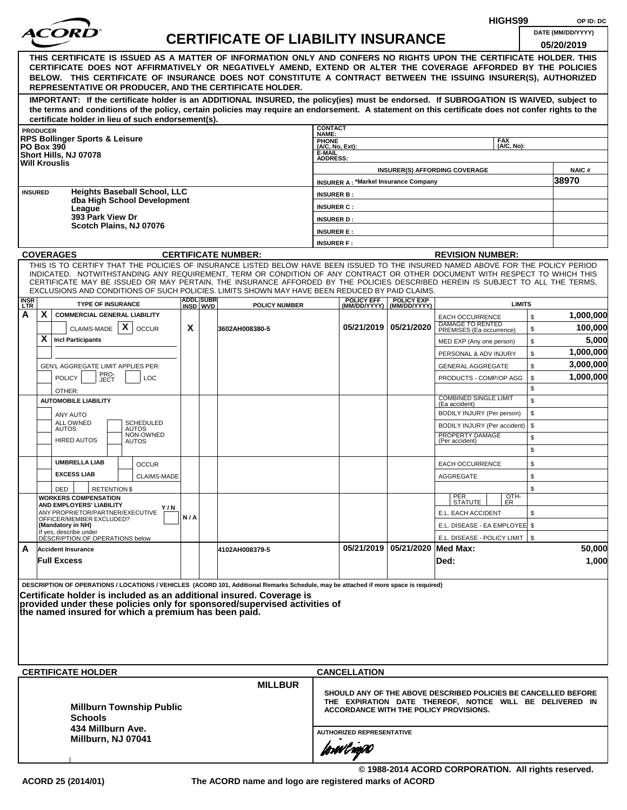|                                                                                                                                                                                                                                                                                                                                                                                                                                                                                                    |     |                              |                                           |                                                                                                                                                                             |                                             |                                                  |                                                    | HIGHS99       | OP ID: DC                       |
|----------------------------------------------------------------------------------------------------------------------------------------------------------------------------------------------------------------------------------------------------------------------------------------------------------------------------------------------------------------------------------------------------------------------------------------------------------------------------------------------------|-----|------------------------------|-------------------------------------------|-----------------------------------------------------------------------------------------------------------------------------------------------------------------------------|---------------------------------------------|--------------------------------------------------|----------------------------------------------------|---------------|---------------------------------|
|                                                                                                                                                                                                                                                                                                                                                                                                                                                                                                    |     |                              | <b>CERTIFICATE OF LIABILITY INSURANCE</b> |                                                                                                                                                                             |                                             |                                                  |                                                    |               | DATE (MM/DD/YYYY)<br>05/20/2019 |
| THIS CERTIFICATE IS ISSUED AS A MATTER OF INFORMATION ONLY AND CONFERS NO RIGHTS UPON THE CERTIFICATE HOLDER. THIS<br>CERTIFICATE DOES NOT AFFIRMATIVELY OR NEGATIVELY AMEND, EXTEND OR ALTER THE COVERAGE AFFORDED BY THE POLICIES<br>BELOW. THIS CERTIFICATE OF INSURANCE DOES NOT CONSTITUTE A CONTRACT BETWEEN THE ISSUING INSURER(S), AUTHORIZED<br>REPRESENTATIVE OR PRODUCER, AND THE CERTIFICATE HOLDER.                                                                                   |     |                              |                                           |                                                                                                                                                                             |                                             |                                                  |                                                    |               |                                 |
| IMPORTANT: If the certificate holder is an ADDITIONAL INSURED, the policy(ies) must be endorsed. If SUBROGATION IS WAIVED, subject to<br>the terms and conditions of the policy, certain policies may require an endorsement. A statement on this certificate does not confer rights to the<br>certificate holder in lieu of such endorsement(s).                                                                                                                                                  |     |                              |                                           |                                                                                                                                                                             |                                             |                                                  |                                                    |               |                                 |
| <b>PRODUCER</b>                                                                                                                                                                                                                                                                                                                                                                                                                                                                                    |     |                              |                                           | <b>CONTACT</b><br>NAME:                                                                                                                                                     |                                             |                                                  |                                                    |               |                                 |
| <b>RPS Bollinger Sports &amp; Leisure</b><br><b>PO Box 390</b>                                                                                                                                                                                                                                                                                                                                                                                                                                     |     |                              |                                           | PHONE<br>(A/C, No, Ext):                                                                                                                                                    |                                             |                                                  | <b>FAX</b>                                         | (A/C, No):    |                                 |
| Short Hills, NJ 07078<br><b>Will Krouslis</b>                                                                                                                                                                                                                                                                                                                                                                                                                                                      |     |                              |                                           | E-MAIL<br><b>ADDRESS:</b>                                                                                                                                                   |                                             |                                                  |                                                    |               |                                 |
|                                                                                                                                                                                                                                                                                                                                                                                                                                                                                                    |     |                              |                                           |                                                                                                                                                                             |                                             |                                                  | <b>INSURER(S) AFFORDING COVERAGE</b>               |               | NAIC#                           |
|                                                                                                                                                                                                                                                                                                                                                                                                                                                                                                    |     |                              |                                           |                                                                                                                                                                             | <b>INSURER A: *Markel Insurance Company</b> |                                                  |                                                    |               | 38970                           |
| <b>Heights Baseball School, LLC</b><br><b>INSURED</b><br>dba High School Development                                                                                                                                                                                                                                                                                                                                                                                                               |     |                              |                                           | <b>INSURER B:</b>                                                                                                                                                           |                                             |                                                  |                                                    |               |                                 |
| League<br>393 Park View Dr                                                                                                                                                                                                                                                                                                                                                                                                                                                                         |     |                              |                                           | <b>INSURER C:</b>                                                                                                                                                           |                                             |                                                  |                                                    |               |                                 |
| Scotch Plains, NJ 07076                                                                                                                                                                                                                                                                                                                                                                                                                                                                            |     |                              |                                           | <b>INSURER D:</b><br><b>INSURER E:</b>                                                                                                                                      |                                             |                                                  |                                                    |               |                                 |
|                                                                                                                                                                                                                                                                                                                                                                                                                                                                                                    |     |                              |                                           | <b>INSURER F:</b>                                                                                                                                                           |                                             |                                                  |                                                    |               |                                 |
| <b>COVERAGES</b>                                                                                                                                                                                                                                                                                                                                                                                                                                                                                   |     |                              | <b>CERTIFICATE NUMBER:</b>                |                                                                                                                                                                             |                                             |                                                  | <b>REVISION NUMBER:</b>                            |               |                                 |
| THIS IS TO CERTIFY THAT THE POLICIES OF INSURANCE LISTED BELOW HAVE BEEN ISSUED TO THE INSURED NAMED ABOVE FOR THE POLICY PERIOD<br>INDICATED. NOTWITHSTANDING ANY REQUIREMENT, TERM OR CONDITION OF ANY CONTRACT OR OTHER DOCUMENT WITH RESPECT TO WHICH THIS<br>CERTIFICATE MAY BE ISSUED OR MAY PERTAIN, THE INSURANCE AFFORDED BY THE POLICIES DESCRIBED HEREIN IS SUBJECT TO ALL THE TERMS,<br>EXCLUSIONS AND CONDITIONS OF SUCH POLICIES. LIMITS SHOWN MAY HAVE BEEN REDUCED BY PAID CLAIMS. |     |                              |                                           |                                                                                                                                                                             |                                             |                                                  |                                                    |               |                                 |
| <b>INSR</b><br><b>TYPE OF INSURANCE</b><br><b>LTR</b>                                                                                                                                                                                                                                                                                                                                                                                                                                              |     | <b>ADDL SUBR</b><br>INSD WVD | <b>POLICY NUMBER</b>                      |                                                                                                                                                                             | <b>POLICY EFF</b>                           | <b>POLICY EXP</b><br>(MM/DD/YYYY)   (MM/DD/YYYY) |                                                    | <b>LIMITS</b> |                                 |
| X<br>A<br><b>COMMERCIAL GENERAL LIABILITY</b>                                                                                                                                                                                                                                                                                                                                                                                                                                                      |     |                              |                                           |                                                                                                                                                                             |                                             |                                                  | <b>EACH OCCURRENCE</b><br>DAMAGE TO RENTED         | \$            | 1,000,000                       |
| $\mathsf{x}$<br>CLAIMS-MADE<br><b>OCCUR</b>                                                                                                                                                                                                                                                                                                                                                                                                                                                        | X   |                              | 3602AH008380-5                            |                                                                                                                                                                             |                                             | 05/21/2019   05/21/2020                          | PREMISES (Ea occurrence)                           | \$            | 100,000                         |
| X<br><b>Incl Participants</b>                                                                                                                                                                                                                                                                                                                                                                                                                                                                      |     |                              |                                           |                                                                                                                                                                             |                                             |                                                  | MED EXP (Any one person)                           | \$            | 5,000                           |
|                                                                                                                                                                                                                                                                                                                                                                                                                                                                                                    |     |                              |                                           |                                                                                                                                                                             |                                             |                                                  | PERSONAL & ADV INJURY                              | \$            | 1,000,000<br>3,000,000          |
| GEN'L AGGREGATE LIMIT APPLIES PER:<br>PRO-<br><b>POLICY</b><br>LOC                                                                                                                                                                                                                                                                                                                                                                                                                                 |     |                              |                                           |                                                                                                                                                                             |                                             |                                                  | <b>GENERAL AGGREGATE</b><br>PRODUCTS - COMP/OP AGG | \$<br>\$      | 1,000,000                       |
| JECT<br>OTHER:                                                                                                                                                                                                                                                                                                                                                                                                                                                                                     |     |                              |                                           |                                                                                                                                                                             |                                             |                                                  |                                                    | \$            |                                 |
| <b>AUTOMOBILE LIABILITY</b>                                                                                                                                                                                                                                                                                                                                                                                                                                                                        |     |                              |                                           |                                                                                                                                                                             |                                             |                                                  | <b>COMBINED SINGLE LIMIT</b><br>(Ea accident)      | \$            |                                 |
| <b>ANY AUTO</b>                                                                                                                                                                                                                                                                                                                                                                                                                                                                                    |     |                              |                                           |                                                                                                                                                                             |                                             |                                                  | BODILY INJURY (Per person)                         | \$            |                                 |
| ALL OWNED<br>SCHEDULED<br><b>AUTOS</b><br>AUTOS                                                                                                                                                                                                                                                                                                                                                                                                                                                    |     |                              |                                           |                                                                                                                                                                             |                                             |                                                  | BODILY INJURY (Per accident)                       | \$            |                                 |
| NON-OWNED<br><b>HIRED AUTOS</b><br><b>AUTOS</b>                                                                                                                                                                                                                                                                                                                                                                                                                                                    |     |                              |                                           |                                                                                                                                                                             |                                             |                                                  | PROPERTY DAMAGE<br>(Per accident)                  | \$<br>\$      |                                 |
| <b>UMBRELLA LIAB</b><br><b>OCCUR</b>                                                                                                                                                                                                                                                                                                                                                                                                                                                               |     |                              |                                           |                                                                                                                                                                             |                                             |                                                  | <b>EACH OCCURRENCE</b>                             | \$            |                                 |
| <b>EXCESS LIAB</b><br><b>CLAIMS-MADE</b>                                                                                                                                                                                                                                                                                                                                                                                                                                                           |     |                              |                                           |                                                                                                                                                                             |                                             |                                                  | <b>AGGREGATE</b>                                   | \$            |                                 |
| <b>RETENTION \$</b><br>DED                                                                                                                                                                                                                                                                                                                                                                                                                                                                         |     |                              |                                           |                                                                                                                                                                             |                                             |                                                  |                                                    | \$            |                                 |
| <b>WORKERS COMPENSATION</b><br><b>AND EMPLOYERS' LIABILITY</b><br>Y / N                                                                                                                                                                                                                                                                                                                                                                                                                            |     |                              |                                           |                                                                                                                                                                             |                                             |                                                  | PER<br>STATUTE                                     | OTH-<br>ER    |                                 |
| ANY PROPRIETOR/PARTNER/EXECUTIVE<br>OFFICER/MEMBER EXCLUDED?                                                                                                                                                                                                                                                                                                                                                                                                                                       | N/A |                              |                                           |                                                                                                                                                                             |                                             |                                                  | E.L. EACH ACCIDENT                                 | \$            |                                 |
| (Mandatory in NH)<br>If yes, describe under<br>DESCRIPTION OF OPERATIONS below                                                                                                                                                                                                                                                                                                                                                                                                                     |     |                              |                                           |                                                                                                                                                                             |                                             |                                                  | E.L. DISEASE - EA EMPLOYEE \$                      |               |                                 |
| A<br><b>Accident Insurance</b>                                                                                                                                                                                                                                                                                                                                                                                                                                                                     |     |                              | 4102AH008379-5                            |                                                                                                                                                                             |                                             | 05/21/2019 05/21/2020 Med Max:                   | E.L. DISEASE - POLICY LIMIT   \$                   |               | 50,000                          |
| <b>Full Excess</b>                                                                                                                                                                                                                                                                                                                                                                                                                                                                                 |     |                              |                                           |                                                                                                                                                                             |                                             |                                                  | Ded:                                               |               | 1,000                           |
| DESCRIPTION OF OPERATIONS / LOCATIONS / VEHICLES (ACORD 101, Additional Remarks Schedule, may be attached if more space is required)<br>Certificate holder is included as an additional insured. Coverage is<br>provided under these policies only for sponsored/supervised activities of<br>the named insured for which a premium has been paid.                                                                                                                                                  |     |                              |                                           |                                                                                                                                                                             |                                             |                                                  |                                                    |               |                                 |
|                                                                                                                                                                                                                                                                                                                                                                                                                                                                                                    |     |                              |                                           |                                                                                                                                                                             |                                             |                                                  |                                                    |               |                                 |
| <b>CERTIFICATE HOLDER</b>                                                                                                                                                                                                                                                                                                                                                                                                                                                                          |     |                              |                                           |                                                                                                                                                                             | <b>CANCELLATION</b>                         |                                                  |                                                    |               |                                 |
| <b>Millburn Township Public</b><br><b>Schools</b>                                                                                                                                                                                                                                                                                                                                                                                                                                                  |     |                              | <b>MILLBUR</b>                            | SHOULD ANY OF THE ABOVE DESCRIBED POLICIES BE CANCELLED BEFORE<br>THE EXPIRATION DATE THEREOF, NOTICE WILL BE DELIVERED IN<br><b>ACCORDANCE WITH THE POLICY PROVISIONS.</b> |                                             |                                                  |                                                    |               |                                 |
| 434 Millburn Ave.<br>Millburn, NJ 07041                                                                                                                                                                                                                                                                                                                                                                                                                                                            |     |                              |                                           |                                                                                                                                                                             | <b>AUTHORIZED REPRESENTATIVE</b>            |                                                  |                                                    |               |                                 |
|                                                                                                                                                                                                                                                                                                                                                                                                                                                                                                    |     |                              |                                           |                                                                                                                                                                             | forwl now                                   |                                                  |                                                    |               |                                 |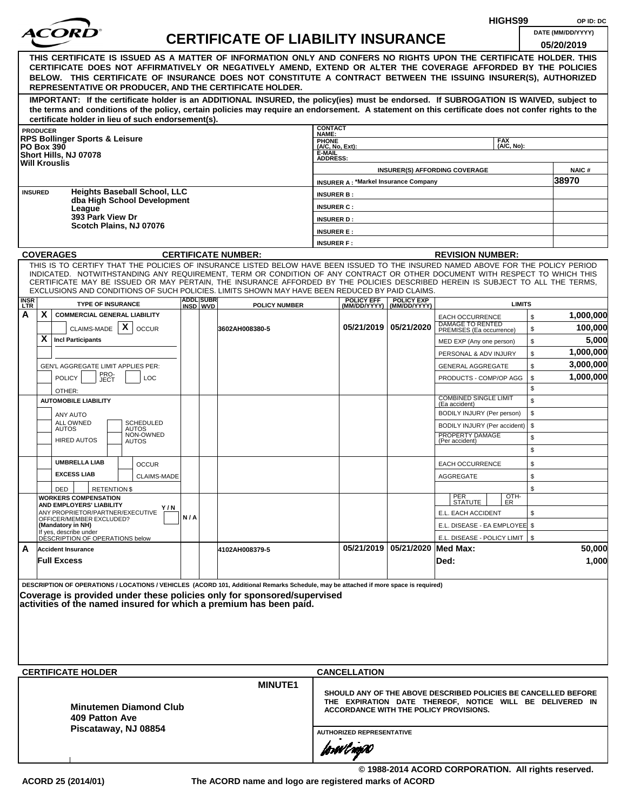|             |                                                                                                                                                                                                                                                                                                                                                                                                                                                                                                                                |              |                  |                                           |                                        |                                                                        |                                | HIGHS99                                                                                                                                                                     | OP ID: DC                       |
|-------------|--------------------------------------------------------------------------------------------------------------------------------------------------------------------------------------------------------------------------------------------------------------------------------------------------------------------------------------------------------------------------------------------------------------------------------------------------------------------------------------------------------------------------------|--------------|------------------|-------------------------------------------|----------------------------------------|------------------------------------------------------------------------|--------------------------------|-----------------------------------------------------------------------------------------------------------------------------------------------------------------------------|---------------------------------|
|             | <i>ACORI</i>                                                                                                                                                                                                                                                                                                                                                                                                                                                                                                                   |              |                  | <b>CERTIFICATE OF LIABILITY INSURANCE</b> |                                        |                                                                        |                                |                                                                                                                                                                             | DATE (MM/DD/YYYY)<br>05/20/2019 |
|             | THIS CERTIFICATE IS ISSUED AS A MATTER OF INFORMATION ONLY AND CONFERS NO RIGHTS UPON THE CERTIFICATE HOLDER. THIS<br>CERTIFICATE DOES NOT AFFIRMATIVELY OR NEGATIVELY AMEND, EXTEND OR ALTER THE COVERAGE AFFORDED BY THE POLICIES<br>BELOW. THIS CERTIFICATE OF INSURANCE DOES NOT CONSTITUTE A CONTRACT BETWEEN THE ISSUING INSURER(S), AUTHORIZED<br>REPRESENTATIVE OR PRODUCER, AND THE CERTIFICATE HOLDER.                                                                                                               |              |                  |                                           |                                        |                                                                        |                                |                                                                                                                                                                             |                                 |
|             | IMPORTANT: If the certificate holder is an ADDITIONAL INSURED, the policy(ies) must be endorsed. If SUBROGATION IS WAIVED, subject to<br>the terms and conditions of the policy, certain policies may require an endorsement. A statement on this certificate does not confer rights to the<br>certificate holder in lieu of such endorsement(s).                                                                                                                                                                              |              |                  |                                           |                                        |                                                                        |                                |                                                                                                                                                                             |                                 |
|             | <b>PRODUCER</b>                                                                                                                                                                                                                                                                                                                                                                                                                                                                                                                |              |                  |                                           | <b>CONTACT</b><br>NAME:                |                                                                        |                                |                                                                                                                                                                             |                                 |
|             | <b>RPS Bollinger Sports &amp; Leisure</b><br><b>PO Box 390</b>                                                                                                                                                                                                                                                                                                                                                                                                                                                                 |              |                  |                                           | <b>PHONE</b><br>(A/C, No, Ext):        |                                                                        |                                | <b>FAX</b><br>(A/C, No):                                                                                                                                                    |                                 |
|             | Short Hills, NJ 07078<br><b>Will Krouslis</b>                                                                                                                                                                                                                                                                                                                                                                                                                                                                                  |              |                  |                                           | E-MAIL<br><b>ADDRESS:</b>              |                                                                        |                                | <b>INSURER(S) AFFORDING COVERAGE</b>                                                                                                                                        | <b>NAIC#</b>                    |
|             |                                                                                                                                                                                                                                                                                                                                                                                                                                                                                                                                |              |                  |                                           |                                        | <b>INSURER A: *Markel Insurance Company</b>                            |                                |                                                                                                                                                                             | 38970                           |
|             | <b>Heights Baseball School, LLC</b><br><b>INSURED</b><br>dba High School Development                                                                                                                                                                                                                                                                                                                                                                                                                                           |              |                  |                                           | <b>INSURER B:</b>                      |                                                                        |                                |                                                                                                                                                                             |                                 |
|             | League<br>393 Park View Dr                                                                                                                                                                                                                                                                                                                                                                                                                                                                                                     |              |                  |                                           | <b>INSURER C:</b><br><b>INSURER D:</b> |                                                                        |                                |                                                                                                                                                                             |                                 |
|             | Scotch Plains, NJ 07076                                                                                                                                                                                                                                                                                                                                                                                                                                                                                                        |              |                  |                                           | <b>INSURER E:</b>                      |                                                                        |                                |                                                                                                                                                                             |                                 |
|             |                                                                                                                                                                                                                                                                                                                                                                                                                                                                                                                                |              |                  |                                           | <b>INSURER F:</b>                      |                                                                        |                                |                                                                                                                                                                             |                                 |
|             | <b>COVERAGES</b>                                                                                                                                                                                                                                                                                                                                                                                                                                                                                                               |              |                  | <b>CERTIFICATE NUMBER:</b>                |                                        |                                                                        |                                | <b>REVISION NUMBER:</b>                                                                                                                                                     |                                 |
| <b>INSR</b> | THIS IS TO CERTIFY THAT THE POLICIES OF INSURANCE LISTED BELOW HAVE BEEN ISSUED TO THE INSURED NAMED ABOVE FOR THE POLICY PERIOD<br>INDICATED. NOTWITHSTANDING ANY REQUIREMENT, TERM OR CONDITION OF ANY CONTRACT OR OTHER DOCUMENT WITH RESPECT TO WHICH THIS<br>CERTIFICATE MAY BE ISSUED OR MAY PERTAIN, THE INSURANCE AFFORDED BY THE POLICIES DESCRIBED HEREIN IS SUBJECT TO ALL THE TERMS,<br>EXCLUSIONS AND CONDITIONS OF SUCH POLICIES. LIMITS SHOWN MAY HAVE BEEN REDUCED BY PAID CLAIMS.<br><b>TYPE OF INSURANCE</b> |              | <b>ADDL SUBR</b> |                                           |                                        | <b>POLICY EFF</b>                                                      | <b>POLICY EXP</b>              | <b>LIMITS</b>                                                                                                                                                               |                                 |
| LTR.<br>A   | X.<br><b>COMMERCIAL GENERAL LIABILITY</b>                                                                                                                                                                                                                                                                                                                                                                                                                                                                                      |              | INSD WVD         | <b>POLICY NUMBER</b>                      |                                        |                                                                        | (MM/DD/YYYY)   (MM/DD/YYYY)    | \$<br><b>EACH OCCURRENCE</b>                                                                                                                                                | 1,000,000                       |
|             | CLAIMS-MADE $\mathbf{X}$<br><b>OCCUR</b>                                                                                                                                                                                                                                                                                                                                                                                                                                                                                       |              |                  | 3602AH008380-5                            |                                        |                                                                        | 05/21/2019 05/21/2020          | DAMAGE TO RENTED<br>\$<br>PREMISES (Ea occurrence)                                                                                                                          | 100,000                         |
|             | X.<br><b>Incl Participants</b>                                                                                                                                                                                                                                                                                                                                                                                                                                                                                                 |              |                  |                                           |                                        |                                                                        |                                | \$<br>MED EXP (Any one person)                                                                                                                                              | 5,000                           |
|             |                                                                                                                                                                                                                                                                                                                                                                                                                                                                                                                                |              |                  |                                           |                                        |                                                                        |                                | \$<br>PERSONAL & ADV INJURY                                                                                                                                                 | 1,000,000                       |
|             | GEN'L AGGREGATE LIMIT APPLIES PER:                                                                                                                                                                                                                                                                                                                                                                                                                                                                                             |              |                  |                                           |                                        |                                                                        |                                | \$<br><b>GENERAL AGGREGATE</b>                                                                                                                                              | 3,000,000                       |
|             | PRO-<br>JECT<br><b>POLICY</b><br><b>LOC</b>                                                                                                                                                                                                                                                                                                                                                                                                                                                                                    |              |                  |                                           |                                        |                                                                        |                                | PRODUCTS - COMP/OP AGG<br>\$                                                                                                                                                | 1,000,000                       |
|             | OTHER:                                                                                                                                                                                                                                                                                                                                                                                                                                                                                                                         |              |                  |                                           |                                        |                                                                        |                                | \$<br><b>COMBINED SINGLE LIMIT</b>                                                                                                                                          |                                 |
|             | <b>AUTOMOBILE LIABILITY</b>                                                                                                                                                                                                                                                                                                                                                                                                                                                                                                    |              |                  |                                           |                                        |                                                                        |                                | \$<br>(Ea accident)                                                                                                                                                         |                                 |
|             | ANY AUTO<br><b>ALL OWNED</b><br><b>SCHEDULED</b>                                                                                                                                                                                                                                                                                                                                                                                                                                                                               |              |                  |                                           |                                        |                                                                        |                                | \$<br>BODILY INJURY (Per person)                                                                                                                                            |                                 |
|             | <b>AUTOS</b><br><b>AUTOS</b><br>NON-OWNED                                                                                                                                                                                                                                                                                                                                                                                                                                                                                      |              |                  |                                           |                                        |                                                                        |                                | \$<br>BODILY INJURY (Per accident)<br>PROPERTY DAMAGE<br>\$                                                                                                                 |                                 |
|             | <b>HIRED AUTOS</b><br><b>AUTOS</b>                                                                                                                                                                                                                                                                                                                                                                                                                                                                                             |              |                  |                                           |                                        |                                                                        |                                | (Per accident)<br>\$                                                                                                                                                        |                                 |
|             | <b>UMBRELLA LIAB</b><br><b>OCCUR</b>                                                                                                                                                                                                                                                                                                                                                                                                                                                                                           |              |                  |                                           |                                        |                                                                        |                                | \$<br><b>EACH OCCURRENCE</b>                                                                                                                                                |                                 |
|             | <b>EXCESS LIAB</b><br>CLAIMS-MADE                                                                                                                                                                                                                                                                                                                                                                                                                                                                                              |              |                  |                                           |                                        |                                                                        |                                | AGGREGATE<br>\$                                                                                                                                                             |                                 |
|             | DED<br><b>RETENTION \$</b>                                                                                                                                                                                                                                                                                                                                                                                                                                                                                                     |              |                  |                                           |                                        |                                                                        |                                | \$                                                                                                                                                                          |                                 |
|             | <b>WORKERS COMPENSATION</b><br>AND EMPLOYERS' LIABILITY                                                                                                                                                                                                                                                                                                                                                                                                                                                                        |              |                  |                                           |                                        |                                                                        |                                | OTH-<br>PER<br>STATUTE<br>ER.                                                                                                                                               |                                 |
|             | ANY PROPRIETOR/PARTNER/EXECUTIVE                                                                                                                                                                                                                                                                                                                                                                                                                                                                                               | Y / N<br>N/A |                  |                                           |                                        |                                                                        |                                | E.L. EACH ACCIDENT<br>\$                                                                                                                                                    |                                 |
|             | OFFICER/MEMBER EXCLUDED?<br>(Mandatory in NH)                                                                                                                                                                                                                                                                                                                                                                                                                                                                                  |              |                  |                                           |                                        |                                                                        |                                | E.L. DISEASE - EA EMPLOYEE \$                                                                                                                                               |                                 |
|             | If yes, describe under<br>DESCRIPTION OF OPERATIONS below                                                                                                                                                                                                                                                                                                                                                                                                                                                                      |              |                  |                                           |                                        |                                                                        |                                | E.L. DISEASE - POLICY LIMIT   \$                                                                                                                                            |                                 |
| A           | <b>Accident Insurance</b><br><b>Full Excess</b>                                                                                                                                                                                                                                                                                                                                                                                                                                                                                |              |                  | 4102AH008379-5                            |                                        |                                                                        | 05/21/2019 05/21/2020 Med Max: | Ded:                                                                                                                                                                        | 50,000<br>1,000                 |
|             | DESCRIPTION OF OPERATIONS / LOCATIONS / VEHICLES (ACORD 101, Additional Remarks Schedule, may be attached if more space is required)<br>Coverage is provided under these policies only for sponsored/supervised<br>activities of the named insured for which a premium has been paid.<br><b>CERTIFICATE HOLDER</b><br><b>Minutemen Diamond Club</b><br>409 Patton Ave<br>Piscataway, NJ 08854                                                                                                                                  |              |                  | <b>MINUTE1</b>                            |                                        | <b>CANCELLATION</b><br><b>AUTHORIZED REPRESENTATIVE</b><br>forøvl nopN |                                | SHOULD ANY OF THE ABOVE DESCRIBED POLICIES BE CANCELLED BEFORE<br>THE EXPIRATION DATE THEREOF, NOTICE WILL BE DELIVERED IN<br><b>ACCORDANCE WITH THE POLICY PROVISIONS.</b> |                                 |
|             |                                                                                                                                                                                                                                                                                                                                                                                                                                                                                                                                |              |                  |                                           |                                        |                                                                        |                                | © 1988-2014 ACORD CORPORATION. All rights reserved.                                                                                                                         |                                 |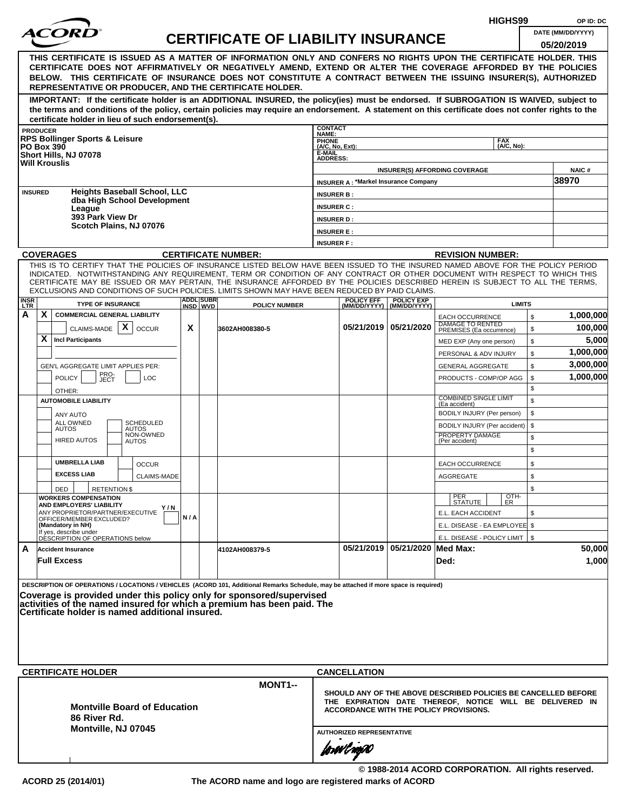|                    |                 |                                                              |                                     |     |                               |                                                                                                                                                                                                                                                              |                           |                                               |                                                  |                                                            | HIGHS99            |              | OP ID: DC                                                      |
|--------------------|-----------------|--------------------------------------------------------------|-------------------------------------|-----|-------------------------------|--------------------------------------------------------------------------------------------------------------------------------------------------------------------------------------------------------------------------------------------------------------|---------------------------|-----------------------------------------------|--------------------------------------------------|------------------------------------------------------------|--------------------|--------------|----------------------------------------------------------------|
|                    |                 |                                                              |                                     |     |                               | <b>CERTIFICATE OF LIABILITY INSURANCE</b>                                                                                                                                                                                                                    |                           |                                               |                                                  |                                                            |                    |              | DATE (MM/DD/YYYY)                                              |
|                    |                 |                                                              |                                     |     |                               |                                                                                                                                                                                                                                                              |                           |                                               |                                                  |                                                            |                    |              | 05/20/2019                                                     |
|                    |                 |                                                              |                                     |     |                               | THIS CERTIFICATE IS ISSUED AS A MATTER OF INFORMATION ONLY AND CONFERS NO RIGHTS UPON THE CERTIFICATE HOLDER. THIS<br>CERTIFICATE DOES NOT AFFIRMATIVELY OR NEGATIVELY AMEND, EXTEND OR ALTER THE COVERAGE AFFORDED BY THE POLICIES                          |                           |                                               |                                                  |                                                            |                    |              |                                                                |
|                    |                 |                                                              |                                     |     |                               | BELOW. THIS CERTIFICATE OF INSURANCE DOES NOT CONSTITUTE A CONTRACT BETWEEN THE ISSUING INSURER(S), AUTHORIZED                                                                                                                                               |                           |                                               |                                                  |                                                            |                    |              |                                                                |
|                    |                 |                                                              |                                     |     |                               | REPRESENTATIVE OR PRODUCER, AND THE CERTIFICATE HOLDER.                                                                                                                                                                                                      |                           |                                               |                                                  |                                                            |                    |              |                                                                |
|                    |                 |                                                              |                                     |     |                               | IMPORTANT: If the certificate holder is an ADDITIONAL INSURED, the policy(ies) must be endorsed. If SUBROGATION IS WAIVED, subject to                                                                                                                        |                           |                                               |                                                  |                                                            |                    |              |                                                                |
|                    |                 |                                                              |                                     |     |                               | the terms and conditions of the policy, certain policies may require an endorsement. A statement on this certificate does not confer rights to the                                                                                                           |                           |                                               |                                                  |                                                            |                    |              |                                                                |
|                    | <b>PRODUCER</b> | certificate holder in lieu of such endorsement(s).           |                                     |     |                               |                                                                                                                                                                                                                                                              | <b>CONTACT</b>            |                                               |                                                  |                                                            |                    |              |                                                                |
|                    |                 | <b>RPS Bollinger Sports &amp; Leisure</b>                    |                                     |     |                               |                                                                                                                                                                                                                                                              | NAME:<br><b>PHONE</b>     |                                               |                                                  |                                                            | <b>FAX</b>         |              |                                                                |
|                    |                 | <b>PO Box 390</b><br>Short Hills, NJ 07078                   |                                     |     |                               |                                                                                                                                                                                                                                                              | (A/C, No, Ext):<br>E-MAIL |                                               |                                                  |                                                            | (A/C. No):         |              |                                                                |
|                    |                 | <b>Will Krouslis</b>                                         |                                     |     |                               |                                                                                                                                                                                                                                                              | <b>ADDRESS:</b>           |                                               |                                                  |                                                            |                    |              |                                                                |
|                    |                 |                                                              |                                     |     |                               |                                                                                                                                                                                                                                                              |                           | <b>INSURER A: *Markel Insurance Company</b>   |                                                  | <b>INSURER(S) AFFORDING COVERAGE</b>                       |                    |              | <b>NAIC#</b><br>38970                                          |
|                    | <b>INSURED</b>  |                                                              | <b>Heights Baseball School, LLC</b> |     |                               |                                                                                                                                                                                                                                                              | <b>INSURER B:</b>         |                                               |                                                  |                                                            |                    |              |                                                                |
|                    |                 |                                                              | dba High School Development         |     |                               |                                                                                                                                                                                                                                                              | <b>INSURER C:</b>         |                                               |                                                  |                                                            |                    |              |                                                                |
|                    |                 | League<br>393 Park View Dr                                   |                                     |     |                               |                                                                                                                                                                                                                                                              | <b>INSURER D:</b>         |                                               |                                                  |                                                            |                    |              |                                                                |
|                    |                 |                                                              | Scotch Plains, NJ 07076             |     |                               |                                                                                                                                                                                                                                                              | <b>INSURER E:</b>         |                                               |                                                  |                                                            |                    |              |                                                                |
|                    |                 |                                                              |                                     |     |                               |                                                                                                                                                                                                                                                              | <b>INSURER F:</b>         |                                               |                                                  |                                                            |                    |              |                                                                |
|                    |                 | <b>COVERAGES</b>                                             |                                     |     |                               | <b>CERTIFICATE NUMBER:</b>                                                                                                                                                                                                                                   |                           |                                               |                                                  | <b>REVISION NUMBER:</b>                                    |                    |              |                                                                |
|                    |                 |                                                              |                                     |     |                               | THIS IS TO CERTIFY THAT THE POLICIES OF INSURANCE LISTED BELOW HAVE BEEN ISSUED TO THE INSURED NAMED ABOVE FOR THE POLICY PERIOD                                                                                                                             |                           |                                               |                                                  |                                                            |                    |              |                                                                |
|                    |                 |                                                              |                                     |     |                               | INDICATED. NOTWITHSTANDING ANY REQUIREMENT, TERM OR CONDITION OF ANY CONTRACT OR OTHER DOCUMENT WITH RESPECT TO WHICH THIS<br>CERTIFICATE MAY BE ISSUED OR MAY PERTAIN, THE INSURANCE AFFORDED BY THE POLICIES DESCRIBED HEREIN IS SUBJECT TO ALL THE TERMS. |                           |                                               |                                                  |                                                            |                    |              |                                                                |
|                    |                 |                                                              |                                     |     |                               | EXCLUSIONS AND CONDITIONS OF SUCH POLICIES. LIMITS SHOWN MAY HAVE BEEN REDUCED BY PAID CLAIMS.                                                                                                                                                               |                           |                                               |                                                  |                                                            |                    |              |                                                                |
| <b>INSR</b><br>LTR |                 | <b>TYPE OF INSURANCE</b>                                     |                                     |     | <b>ADDLISUBRI</b><br>INSD WVD | <b>POLICY NUMBER</b>                                                                                                                                                                                                                                         |                           | <b>POLICY EFF</b>                             | <b>POLICY EXP</b><br>(MM/DD/YYYY)   (MM/DD/YYYY) |                                                            | <b>LIMITS</b>      |              |                                                                |
| А                  | X               | <b>COMMERCIAL GENERAL LIABILITY</b>                          |                                     |     |                               |                                                                                                                                                                                                                                                              |                           |                                               |                                                  | <b>EACH OCCURRENCE</b>                                     |                    | $\mathbb{S}$ | 1,000,000                                                      |
|                    |                 | CLAIMS-MADE $\mathbf{X}$                                     | <b>OCCUR</b>                        | X   |                               | 3602AH008380-5                                                                                                                                                                                                                                               |                           |                                               | 05/21/2019   05/21/2020                          | DAMAGE TO RENTED<br>PREMISES (Ea occurrence)               |                    | \$           | 100,000                                                        |
|                    | X               | <b>Incl Participants</b>                                     |                                     |     |                               |                                                                                                                                                                                                                                                              |                           |                                               |                                                  | MED EXP (Any one person)                                   |                    | \$           | 5,000                                                          |
|                    |                 |                                                              |                                     |     |                               |                                                                                                                                                                                                                                                              |                           |                                               |                                                  | PERSONAL & ADV INJURY                                      |                    | \$           | 1,000,000                                                      |
|                    |                 | GEN'L AGGREGATE LIMIT APPLIES PER:                           |                                     |     |                               |                                                                                                                                                                                                                                                              |                           |                                               |                                                  | <b>GENERAL AGGREGATE</b>                                   |                    | \$           | 3,000,000                                                      |
|                    |                 | PRO-<br>JECT<br><b>POLICY</b>                                | <b>LOC</b>                          |     |                               |                                                                                                                                                                                                                                                              |                           |                                               |                                                  | PRODUCTS - COMP/OP AGG                                     |                    | \$           | 1,000,000                                                      |
|                    |                 | OTHER:                                                       |                                     |     |                               |                                                                                                                                                                                                                                                              |                           |                                               |                                                  | <b>COMBINED SINGLE LIMIT</b>                               |                    | \$           |                                                                |
|                    |                 | <b>AUTOMOBILE LIABILITY</b>                                  |                                     |     |                               |                                                                                                                                                                                                                                                              |                           |                                               |                                                  | (Ea accident)                                              |                    | \$<br>\$     |                                                                |
|                    |                 | ANY AUTO<br>ALL OWNED                                        | <b>SCHEDULED</b>                    |     |                               |                                                                                                                                                                                                                                                              |                           |                                               |                                                  | BODILY INJURY (Per person)<br>BODILY INJURY (Per accident) |                    | \$           |                                                                |
|                    |                 | <b>AUTOS</b>                                                 | <b>AUTOS</b><br>NON-OWNED           |     |                               |                                                                                                                                                                                                                                                              |                           |                                               |                                                  | PROPERTY DAMAGE                                            |                    | \$           |                                                                |
|                    |                 | <b>HIRED AUTOS</b>                                           | <b>AUTOS</b>                        |     |                               |                                                                                                                                                                                                                                                              |                           |                                               |                                                  | (Per accident)                                             |                    | \$           |                                                                |
|                    |                 | <b>UMBRELLA LIAB</b>                                         | <b>OCCUR</b>                        |     |                               |                                                                                                                                                                                                                                                              |                           |                                               |                                                  | <b>EACH OCCURRENCE</b>                                     |                    | \$           |                                                                |
|                    |                 | <b>EXCESS LIAB</b>                                           | <b>CLAIMS-MADE</b>                  |     |                               |                                                                                                                                                                                                                                                              |                           |                                               |                                                  | <b>AGGREGATE</b>                                           |                    | \$           |                                                                |
|                    |                 | <b>RETENTION \$</b><br>DED                                   |                                     |     |                               |                                                                                                                                                                                                                                                              |                           |                                               |                                                  |                                                            |                    | \$           |                                                                |
|                    |                 | <b>WORKERS COMPENSATION</b>                                  |                                     |     |                               |                                                                                                                                                                                                                                                              |                           |                                               |                                                  | PER<br>STATUTE                                             | $\frac{[OTH]}{ER}$ |              |                                                                |
|                    |                 | AND EMPLOYERS' LIABILITY<br>ANY PROPRIETOR/PARTNER/EXECUTIVE | Y / N                               |     |                               |                                                                                                                                                                                                                                                              |                           |                                               |                                                  | E.L. EACH ACCIDENT                                         |                    | \$           |                                                                |
|                    |                 | OFFICER/MEMBER EXCLUDED?<br>(Mandatory in NH)                |                                     | N/A |                               |                                                                                                                                                                                                                                                              |                           |                                               |                                                  | E.L. DISEASE - EA EMPLOYEE \$                              |                    |              |                                                                |
|                    |                 | If yes, describe under<br>DESCRIPTION OF OPERATIONS below    |                                     |     |                               |                                                                                                                                                                                                                                                              |                           |                                               |                                                  | E.L. DISEASE - POLICY LIMIT   \$                           |                    |              |                                                                |
| A                  |                 | <b>Accident Insurance</b>                                    |                                     |     |                               | 4102AH008379-5                                                                                                                                                                                                                                               |                           |                                               | 05/21/2019   05/21/2020   Med Max:               |                                                            |                    |              | 50,000                                                         |
|                    |                 | <b>Full Excess</b>                                           |                                     |     |                               |                                                                                                                                                                                                                                                              |                           |                                               |                                                  | Ded:                                                       |                    |              | 1,000                                                          |
|                    |                 |                                                              |                                     |     |                               |                                                                                                                                                                                                                                                              |                           |                                               |                                                  |                                                            |                    |              |                                                                |
|                    |                 |                                                              |                                     |     |                               | DESCRIPTION OF OPERATIONS / LOCATIONS / VEHICLES (ACORD 101, Additional Remarks Schedule, may be attached if more space is required)                                                                                                                         |                           |                                               |                                                  |                                                            |                    |              |                                                                |
|                    |                 |                                                              |                                     |     |                               | Coverage is provided under this policy only for sponsored/supervised<br>activities of the named insured for which a premium has been paid. The                                                                                                               |                           |                                               |                                                  |                                                            |                    |              |                                                                |
|                    |                 | Certificate holder is named additional insured.              |                                     |     |                               |                                                                                                                                                                                                                                                              |                           |                                               |                                                  |                                                            |                    |              |                                                                |
|                    |                 |                                                              |                                     |     |                               |                                                                                                                                                                                                                                                              |                           |                                               |                                                  |                                                            |                    |              |                                                                |
|                    |                 |                                                              |                                     |     |                               |                                                                                                                                                                                                                                                              |                           |                                               |                                                  |                                                            |                    |              |                                                                |
|                    |                 |                                                              |                                     |     |                               |                                                                                                                                                                                                                                                              |                           |                                               |                                                  |                                                            |                    |              |                                                                |
|                    |                 |                                                              |                                     |     |                               |                                                                                                                                                                                                                                                              |                           |                                               |                                                  |                                                            |                    |              |                                                                |
|                    |                 | <b>CERTIFICATE HOLDER</b>                                    |                                     |     |                               |                                                                                                                                                                                                                                                              |                           | <b>CANCELLATION</b>                           |                                                  |                                                            |                    |              |                                                                |
|                    |                 |                                                              |                                     |     |                               | <b>MONT1--</b>                                                                                                                                                                                                                                               |                           |                                               |                                                  |                                                            |                    |              | SHOULD ANY OF THE ABOVE DESCRIBED POLICIES BE CANCELLED BEFORE |
|                    |                 |                                                              | <b>Montville Board of Education</b> |     |                               |                                                                                                                                                                                                                                                              |                           |                                               |                                                  |                                                            |                    |              | THE EXPIRATION DATE THEREOF, NOTICE WILL BE DELIVERED IN       |
|                    |                 | 86 River Rd.                                                 |                                     |     |                               |                                                                                                                                                                                                                                                              |                           | <b>ACCORDANCE WITH THE POLICY PROVISIONS.</b> |                                                  |                                                            |                    |              |                                                                |
|                    |                 | Montville, NJ 07045                                          |                                     |     |                               |                                                                                                                                                                                                                                                              |                           | <b>AUTHORIZED REPRESENTATIVE</b>              |                                                  |                                                            |                    |              |                                                                |
|                    |                 |                                                              |                                     |     |                               |                                                                                                                                                                                                                                                              |                           |                                               |                                                  |                                                            |                    |              |                                                                |
|                    |                 |                                                              |                                     |     |                               |                                                                                                                                                                                                                                                              |                           | forwl now                                     |                                                  |                                                            |                    |              |                                                                |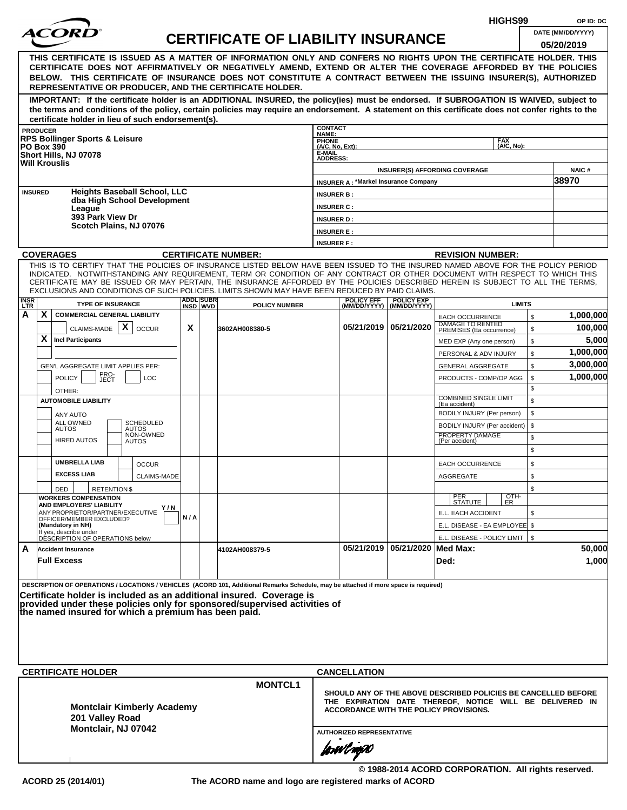|                    |                                                                                                                                                                                                                                                                                             |     |                              |                                           |                                    |                                                                                                    |                                                |                                                   | HIGHS99                                                           |          | OP ID: DC         |
|--------------------|---------------------------------------------------------------------------------------------------------------------------------------------------------------------------------------------------------------------------------------------------------------------------------------------|-----|------------------------------|-------------------------------------------|------------------------------------|----------------------------------------------------------------------------------------------------|------------------------------------------------|---------------------------------------------------|-------------------------------------------------------------------|----------|-------------------|
|                    | <i>ACOR</i>                                                                                                                                                                                                                                                                                 |     |                              | <b>CERTIFICATE OF LIABILITY INSURANCE</b> |                                    |                                                                                                    |                                                |                                                   |                                                                   |          | DATE (MM/DD/YYYY) |
|                    |                                                                                                                                                                                                                                                                                             |     |                              |                                           |                                    |                                                                                                    |                                                |                                                   |                                                                   |          | 05/20/2019        |
|                    | THIS CERTIFICATE IS ISSUED AS A MATTER OF INFORMATION ONLY AND CONFERS NO RIGHTS UPON THE CERTIFICATE HOLDER. THIS<br>CERTIFICATE DOES NOT AFFIRMATIVELY OR NEGATIVELY AMEND, EXTEND OR ALTER THE COVERAGE AFFORDED BY THE POLICIES                                                         |     |                              |                                           |                                    |                                                                                                    |                                                |                                                   |                                                                   |          |                   |
|                    | BELOW. THIS CERTIFICATE OF INSURANCE DOES NOT CONSTITUTE A CONTRACT BETWEEN THE ISSUING INSURER(S), AUTHORIZED                                                                                                                                                                              |     |                              |                                           |                                    |                                                                                                    |                                                |                                                   |                                                                   |          |                   |
|                    | REPRESENTATIVE OR PRODUCER, AND THE CERTIFICATE HOLDER.                                                                                                                                                                                                                                     |     |                              |                                           |                                    |                                                                                                    |                                                |                                                   |                                                                   |          |                   |
|                    | IMPORTANT: If the certificate holder is an ADDITIONAL INSURED, the policy(ies) must be endorsed. If SUBROGATION IS WAIVED, subject to<br>the terms and conditions of the policy, certain policies may require an endorsement. A statement on this certificate does not confer rights to the |     |                              |                                           |                                    |                                                                                                    |                                                |                                                   |                                                                   |          |                   |
|                    | certificate holder in lieu of such endorsement(s).                                                                                                                                                                                                                                          |     |                              |                                           |                                    |                                                                                                    |                                                |                                                   |                                                                   |          |                   |
|                    | <b>PRODUCER</b><br><b>RPS Bollinger Sports &amp; Leisure</b>                                                                                                                                                                                                                                |     |                              |                                           | <b>CONTACT</b><br>NAME:            |                                                                                                    |                                                |                                                   | <b>FAX</b>                                                        |          |                   |
|                    | <b>PO Box 390</b><br>Short Hills, NJ 07078                                                                                                                                                                                                                                                  |     |                              |                                           | PHONE<br>(A/C, No, Ext):<br>E-MAIL |                                                                                                    |                                                |                                                   | (A/C, No):                                                        |          |                   |
|                    | <b>Will Krouslis</b>                                                                                                                                                                                                                                                                        |     |                              |                                           | <b>ADDRESS:</b>                    |                                                                                                    | <b>INSURER(S) AFFORDING COVERAGE</b>           |                                                   |                                                                   |          | <b>NAIC#</b>      |
|                    |                                                                                                                                                                                                                                                                                             |     |                              |                                           |                                    | <b>INSURER A: *Markel Insurance Company</b>                                                        |                                                |                                                   |                                                                   |          | 38970             |
| <b>INSURED</b>     | <b>Heights Baseball School, LLC</b>                                                                                                                                                                                                                                                         |     |                              |                                           | <b>INSURER B:</b>                  |                                                                                                    |                                                |                                                   |                                                                   |          |                   |
|                    | dba High School Development<br>League                                                                                                                                                                                                                                                       |     |                              |                                           | <b>INSURER C:</b>                  |                                                                                                    |                                                |                                                   |                                                                   |          |                   |
|                    | 393 Park View Dr<br>Scotch Plains, NJ 07076                                                                                                                                                                                                                                                 |     |                              |                                           | <b>INSURER D:</b>                  |                                                                                                    |                                                |                                                   |                                                                   |          |                   |
|                    |                                                                                                                                                                                                                                                                                             |     |                              |                                           | <b>INSURER E:</b>                  |                                                                                                    |                                                |                                                   |                                                                   |          |                   |
|                    | <b>COVERAGES</b>                                                                                                                                                                                                                                                                            |     |                              | <b>CERTIFICATE NUMBER:</b>                | <b>INSURER F:</b>                  |                                                                                                    |                                                | <b>REVISION NUMBER:</b>                           |                                                                   |          |                   |
|                    | THIS IS TO CERTIFY THAT THE POLICIES OF INSURANCE LISTED BELOW HAVE BEEN ISSUED TO THE INSURED NAMED ABOVE FOR THE POLICY PERIOD                                                                                                                                                            |     |                              |                                           |                                    |                                                                                                    |                                                |                                                   |                                                                   |          |                   |
|                    | INDICATED. NOTWITHSTANDING ANY REQUIREMENT, TERM OR CONDITION OF ANY CONTRACT OR OTHER DOCUMENT WITH RESPECT TO WHICH THIS<br>CERTIFICATE MAY BE ISSUED OR MAY PERTAIN, THE INSURANCE AFFORDED BY THE POLICIES DESCRIBED HEREIN IS SUBJECT TO ALL THE TERMS,                                |     |                              |                                           |                                    |                                                                                                    |                                                |                                                   |                                                                   |          |                   |
|                    | EXCLUSIONS AND CONDITIONS OF SUCH POLICIES. LIMITS SHOWN MAY HAVE BEEN REDUCED BY PAID CLAIMS.                                                                                                                                                                                              |     |                              |                                           |                                    |                                                                                                    |                                                |                                                   |                                                                   |          |                   |
| <b>INSR</b><br>LTR | <b>TYPE OF INSURANCE</b>                                                                                                                                                                                                                                                                    |     | <b>ADDL SUBR</b><br>INSD WVD | <b>POLICY NUMBER</b>                      |                                    | <b>POLICY EFF</b>                                                                                  | <b>POLICY EXP</b><br>(MM/DD/YYYY) (MM/DD/YYYY) |                                                   | <b>LIMITS</b>                                                     |          |                   |
| Α                  | X<br><b>COMMERCIAL GENERAL LIABILITY</b>                                                                                                                                                                                                                                                    |     |                              |                                           |                                    |                                                                                                    |                                                | <b>EACH OCCURRENCE</b><br><b>DAMAGE TO RENTED</b> |                                                                   | \$       | 1,000,000         |
|                    | CLAIMS-MADE $\mid X \mid$<br><b>OCCUR</b><br>X<br><b>Incl Participants</b>                                                                                                                                                                                                                  | X   |                              | 3602AH008380-5                            |                                    |                                                                                                    | 05/21/2019 05/21/2020                          | PREMISES (Ea occurrence)                          |                                                                   | \$       | 100,000<br>5,000  |
|                    |                                                                                                                                                                                                                                                                                             |     |                              |                                           |                                    |                                                                                                    |                                                | MED EXP (Any one person)<br>PERSONAL & ADV INJURY |                                                                   | \$<br>\$ | 1,000,000         |
|                    | GEN'L AGGREGATE LIMIT APPLIES PER:                                                                                                                                                                                                                                                          |     |                              |                                           |                                    |                                                                                                    |                                                | <b>GENERAL AGGREGATE</b>                          |                                                                   | \$       | 3,000,000         |
|                    | PRO-<br>JECT<br><b>POLICY</b><br><b>LOC</b>                                                                                                                                                                                                                                                 |     |                              |                                           |                                    |                                                                                                    |                                                |                                                   | PRODUCTS - COMP/OP AGG                                            | \$       | 1,000,000         |
|                    | OTHER:                                                                                                                                                                                                                                                                                      |     |                              |                                           |                                    |                                                                                                    |                                                |                                                   |                                                                   | \$       |                   |
|                    | <b>AUTOMOBILE LIABILITY</b>                                                                                                                                                                                                                                                                 |     |                              |                                           |                                    |                                                                                                    |                                                | <b>COMBINED SINGLE LIMIT</b><br>(Ea accident)     |                                                                   | \$       |                   |
|                    | ANY AUTO<br><b>SCHEDULED</b><br>ALL OWNED                                                                                                                                                                                                                                                   |     |                              |                                           |                                    |                                                                                                    |                                                | BODILY INJURY (Per person)                        |                                                                   | \$       |                   |
|                    | <b>AUTOS</b><br>AUTOS<br>NON-OWNED                                                                                                                                                                                                                                                          |     |                              |                                           |                                    |                                                                                                    |                                                | PROPERTY DAMAGE                                   | BODILY INJURY (Per accident)                                      | \$<br>\$ |                   |
|                    | <b>HIRED AUTOS</b><br>AUTOS                                                                                                                                                                                                                                                                 |     |                              |                                           |                                    |                                                                                                    |                                                | (Per accident)                                    |                                                                   | \$       |                   |
|                    | <b>UMBRELLA LIAB</b><br><b>OCCUR</b>                                                                                                                                                                                                                                                        |     |                              |                                           |                                    |                                                                                                    |                                                | <b>EACH OCCURRENCE</b>                            |                                                                   | \$       |                   |
|                    | <b>EXCESS LIAB</b><br><b>CLAIMS-MADE</b>                                                                                                                                                                                                                                                    |     |                              |                                           |                                    |                                                                                                    |                                                | AGGREGATE                                         |                                                                   | \$       |                   |
|                    | DED<br><b>RETENTION \$</b>                                                                                                                                                                                                                                                                  |     |                              |                                           |                                    |                                                                                                    |                                                |                                                   |                                                                   | \$       |                   |
|                    | <b>WORKERS COMPENSATION</b><br>AND EMPLOYERS' LIABILITY<br>Y/N                                                                                                                                                                                                                              |     |                              |                                           |                                    |                                                                                                    |                                                | PER<br>STATUTE                                    | OTH-<br>ER                                                        |          |                   |
|                    | ANY PROPRIETOR/PARTNER/EXECUTIVE<br>OFFICER/MEMBER EXCLUDED?                                                                                                                                                                                                                                | N/A |                              |                                           |                                    |                                                                                                    |                                                | E.L. EACH ACCIDENT                                |                                                                   | \$       |                   |
|                    | (Mandatory in NH)<br>If yes, describe under<br>DÉSCRIPTION OF OPERATIONS below                                                                                                                                                                                                              |     |                              |                                           |                                    |                                                                                                    |                                                |                                                   | E.L. DISEASE - EA EMPLOYEE \$<br>E.L. DISEASE - POLICY LIMIT   \$ |          |                   |
| A                  | <b>Accident Insurance</b>                                                                                                                                                                                                                                                                   |     |                              | 4102AH008379-5                            |                                    |                                                                                                    | 05/21/2019 05/21/2020 Med Max:                 |                                                   |                                                                   |          | 50,000            |
|                    | <b>Full Excess</b>                                                                                                                                                                                                                                                                          |     |                              |                                           |                                    |                                                                                                    |                                                | Ded:                                              |                                                                   |          | 1,000             |
|                    |                                                                                                                                                                                                                                                                                             |     |                              |                                           |                                    |                                                                                                    |                                                |                                                   |                                                                   |          |                   |
|                    | DESCRIPTION OF OPERATIONS / LOCATIONS / VEHICLES (ACORD 101, Additional Remarks Schedule, may be attached if more space is required)<br>Certificate holder is included as an additional insured. Coverage is                                                                                |     |                              |                                           |                                    |                                                                                                    |                                                |                                                   |                                                                   |          |                   |
|                    | provided under these policies only for sponsored/supervised activities of                                                                                                                                                                                                                   |     |                              |                                           |                                    |                                                                                                    |                                                |                                                   |                                                                   |          |                   |
|                    | the named insured for which a premium has been paid.                                                                                                                                                                                                                                        |     |                              |                                           |                                    |                                                                                                    |                                                |                                                   |                                                                   |          |                   |
|                    |                                                                                                                                                                                                                                                                                             |     |                              |                                           |                                    |                                                                                                    |                                                |                                                   |                                                                   |          |                   |
|                    |                                                                                                                                                                                                                                                                                             |     |                              |                                           |                                    |                                                                                                    |                                                |                                                   |                                                                   |          |                   |
|                    |                                                                                                                                                                                                                                                                                             |     |                              |                                           |                                    |                                                                                                    |                                                |                                                   |                                                                   |          |                   |
|                    | <b>CERTIFICATE HOLDER</b>                                                                                                                                                                                                                                                                   |     |                              |                                           |                                    | <b>CANCELLATION</b>                                                                                |                                                |                                                   |                                                                   |          |                   |
|                    |                                                                                                                                                                                                                                                                                             |     |                              | <b>MONTCL1</b>                            |                                    | SHOULD ANY OF THE ABOVE DESCRIBED POLICIES BE CANCELLED BEFORE                                     |                                                |                                                   |                                                                   |          |                   |
|                    | <b>Montclair Kimberly Academy</b>                                                                                                                                                                                                                                                           |     |                              |                                           |                                    | THE EXPIRATION DATE THEREOF, NOTICE WILL BE DELIVERED IN<br>ACCORDANCE WITH THE POLICY PROVISIONS. |                                                |                                                   |                                                                   |          |                   |
|                    | 201 Valley Road                                                                                                                                                                                                                                                                             |     |                              |                                           |                                    |                                                                                                    |                                                |                                                   |                                                                   |          |                   |
|                    | Montclair, NJ 07042                                                                                                                                                                                                                                                                         |     |                              |                                           |                                    | <b>AUTHORIZED REPRESENTATIVE</b>                                                                   |                                                |                                                   |                                                                   |          |                   |
|                    |                                                                                                                                                                                                                                                                                             |     |                              |                                           |                                    | forwl now                                                                                          |                                                |                                                   |                                                                   |          |                   |
|                    |                                                                                                                                                                                                                                                                                             |     |                              |                                           |                                    |                                                                                                    |                                                |                                                   |                                                                   |          |                   |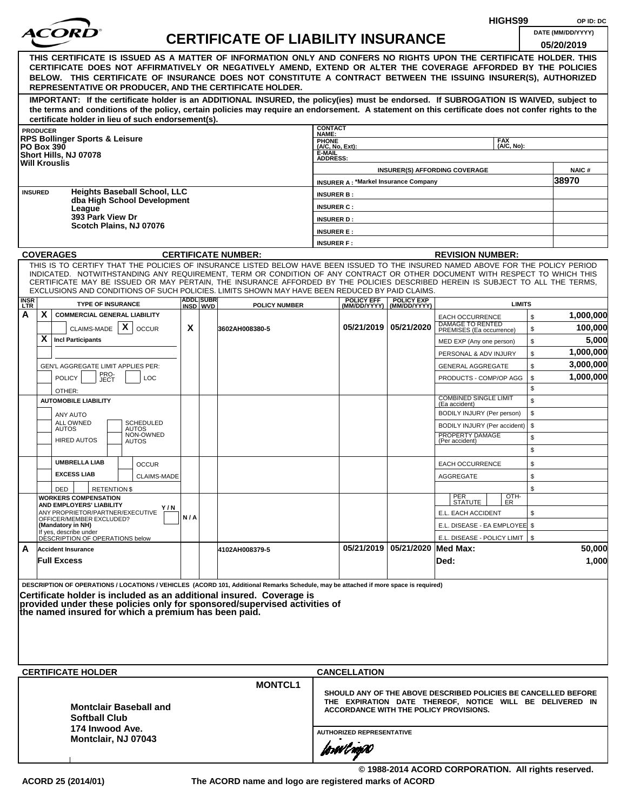|                    |                                                                                                                                                                                                                                                                |     |                   |                                           |                                  |                                             |                                                  | HIGHS99                                                                                                   |               | OP ID: DC              |
|--------------------|----------------------------------------------------------------------------------------------------------------------------------------------------------------------------------------------------------------------------------------------------------------|-----|-------------------|-------------------------------------------|----------------------------------|---------------------------------------------|--------------------------------------------------|-----------------------------------------------------------------------------------------------------------|---------------|------------------------|
|                    |                                                                                                                                                                                                                                                                |     |                   | <b>CERTIFICATE OF LIABILITY INSURANCE</b> |                                  |                                             |                                                  |                                                                                                           |               | DATE (MM/DD/YYYY)      |
|                    |                                                                                                                                                                                                                                                                |     |                   |                                           |                                  |                                             |                                                  |                                                                                                           |               | 05/20/2019             |
|                    | THIS CERTIFICATE IS ISSUED AS A MATTER OF INFORMATION ONLY AND CONFERS NO RIGHTS UPON THE CERTIFICATE HOLDER. THIS<br>CERTIFICATE DOES NOT AFFIRMATIVELY OR NEGATIVELY AMEND, EXTEND OR ALTER THE COVERAGE AFFORDED BY THE POLICIES                            |     |                   |                                           |                                  |                                             |                                                  |                                                                                                           |               |                        |
|                    | BELOW. THIS CERTIFICATE OF INSURANCE DOES NOT CONSTITUTE A CONTRACT BETWEEN THE ISSUING INSURER(S), AUTHORIZED                                                                                                                                                 |     |                   |                                           |                                  |                                             |                                                  |                                                                                                           |               |                        |
|                    | REPRESENTATIVE OR PRODUCER, AND THE CERTIFICATE HOLDER.                                                                                                                                                                                                        |     |                   |                                           |                                  |                                             |                                                  |                                                                                                           |               |                        |
|                    | IMPORTANT: If the certificate holder is an ADDITIONAL INSURED, the policy(ies) must be endorsed. If SUBROGATION IS WAIVED, subject to                                                                                                                          |     |                   |                                           |                                  |                                             |                                                  |                                                                                                           |               |                        |
|                    | the terms and conditions of the policy, certain policies may require an endorsement. A statement on this certificate does not confer rights to the                                                                                                             |     |                   |                                           |                                  |                                             |                                                  |                                                                                                           |               |                        |
|                    | certificate holder in lieu of such endorsement(s).<br><b>PRODUCER</b>                                                                                                                                                                                          |     |                   |                                           | <b>CONTACT</b>                   |                                             |                                                  |                                                                                                           |               |                        |
|                    | <b>RPS Bollinger Sports &amp; Leisure</b>                                                                                                                                                                                                                      |     |                   |                                           | NAME:<br><b>PHONE</b>            |                                             |                                                  | <b>FAX</b>                                                                                                |               |                        |
|                    | <b>PO Box 390</b><br>Short Hills, NJ 07078                                                                                                                                                                                                                     |     |                   |                                           | (A/C, No, Ext):<br>E-MAIL        |                                             |                                                  | (A/C. No):                                                                                                |               |                        |
|                    | <b>Will Krouslis</b>                                                                                                                                                                                                                                           |     |                   |                                           | <b>ADDRESS:</b>                  |                                             |                                                  |                                                                                                           |               |                        |
|                    |                                                                                                                                                                                                                                                                |     |                   |                                           |                                  | <b>INSURER A: *Markel Insurance Company</b> |                                                  | <b>INSURER(S) AFFORDING COVERAGE</b>                                                                      |               | <b>NAIC#</b><br>38970  |
|                    | <b>Heights Baseball School, LLC</b><br><b>INSURED</b>                                                                                                                                                                                                          |     |                   |                                           | <b>INSURER B:</b>                |                                             |                                                  |                                                                                                           |               |                        |
|                    | dba High School Development                                                                                                                                                                                                                                    |     |                   |                                           | <b>INSURER C:</b>                |                                             |                                                  |                                                                                                           |               |                        |
|                    | League<br>393 Park View Dr                                                                                                                                                                                                                                     |     |                   |                                           | <b>INSURER D:</b>                |                                             |                                                  |                                                                                                           |               |                        |
|                    | Scotch Plains, NJ 07076                                                                                                                                                                                                                                        |     |                   |                                           | <b>INSURER E:</b>                |                                             |                                                  |                                                                                                           |               |                        |
|                    |                                                                                                                                                                                                                                                                |     |                   |                                           | <b>INSURER F:</b>                |                                             |                                                  |                                                                                                           |               |                        |
|                    | <b>COVERAGES</b>                                                                                                                                                                                                                                               |     |                   | <b>CERTIFICATE NUMBER:</b>                |                                  |                                             |                                                  | <b>REVISION NUMBER:</b>                                                                                   |               |                        |
|                    | THIS IS TO CERTIFY THAT THE POLICIES OF INSURANCE LISTED BELOW HAVE BEEN ISSUED TO THE INSURED NAMED ABOVE FOR THE POLICY PERIOD<br>INDICATED. NOTWITHSTANDING ANY REQUIREMENT, TERM OR CONDITION OF ANY CONTRACT OR OTHER DOCUMENT WITH RESPECT TO WHICH THIS |     |                   |                                           |                                  |                                             |                                                  |                                                                                                           |               |                        |
|                    | CERTIFICATE MAY BE ISSUED OR MAY PERTAIN, THE INSURANCE AFFORDED BY THE POLICIES DESCRIBED HEREIN IS SUBJECT TO ALL THE TERMS.                                                                                                                                 |     |                   |                                           |                                  |                                             |                                                  |                                                                                                           |               |                        |
|                    | EXCLUSIONS AND CONDITIONS OF SUCH POLICIES. LIMITS SHOWN MAY HAVE BEEN REDUCED BY PAID CLAIMS.                                                                                                                                                                 |     | <b>ADDLISUBRI</b> |                                           |                                  |                                             |                                                  |                                                                                                           |               |                        |
| <b>INSR</b><br>LTR | <b>TYPE OF INSURANCE</b>                                                                                                                                                                                                                                       |     | INSD WVD          | <b>POLICY NUMBER</b>                      |                                  | <b>POLICY EFF</b>                           | <b>POLICY EXP</b><br>(MM/DD/YYYY)   (MM/DD/YYYY) |                                                                                                           | <b>LIMITS</b> |                        |
| А                  | X<br><b>COMMERCIAL GENERAL LIABILITY</b>                                                                                                                                                                                                                       |     |                   |                                           |                                  |                                             |                                                  | <b>EACH OCCURRENCE</b><br>DAMAGE TO RENTED                                                                | $\mathbb{S}$  | 1,000,000              |
|                    | CLAIMS-MADE $\mathbf{X}$<br><b>OCCUR</b>                                                                                                                                                                                                                       | X   |                   | 3602AH008380-5                            |                                  |                                             | 05/21/2019   05/21/2020                          | PREMISES (Ea occurrence)                                                                                  | \$            | 100,000                |
|                    | X<br><b>Incl Participants</b>                                                                                                                                                                                                                                  |     |                   |                                           |                                  |                                             |                                                  | MED EXP (Any one person)                                                                                  | \$            | 5,000                  |
|                    |                                                                                                                                                                                                                                                                |     |                   |                                           |                                  |                                             |                                                  | PERSONAL & ADV INJURY                                                                                     | \$            | 1,000,000<br>3,000,000 |
|                    | GEN'L AGGREGATE LIMIT APPLIES PER:<br>PRO-<br>JECT                                                                                                                                                                                                             |     |                   |                                           |                                  |                                             |                                                  | <b>GENERAL AGGREGATE</b>                                                                                  | \$            | 1,000,000              |
|                    | <b>POLICY</b><br><b>LOC</b>                                                                                                                                                                                                                                    |     |                   |                                           |                                  |                                             |                                                  | PRODUCTS - COMP/OP AGG                                                                                    | \$<br>\$      |                        |
|                    | OTHER:<br><b>AUTOMOBILE LIABILITY</b>                                                                                                                                                                                                                          |     |                   |                                           |                                  |                                             |                                                  | <b>COMBINED SINGLE LIMIT</b>                                                                              | \$            |                        |
|                    | ANY AUTO                                                                                                                                                                                                                                                       |     |                   |                                           |                                  |                                             |                                                  | (Ea accident)<br>BODILY INJURY (Per person)                                                               | \$            |                        |
|                    | ALL OWNED<br>SCHEDULED<br><b>AUTOS</b><br><b>AUTOS</b>                                                                                                                                                                                                         |     |                   |                                           |                                  |                                             |                                                  | BODILY INJURY (Per accident)                                                                              | \$            |                        |
|                    | NON-OWNED<br><b>HIRED AUTOS</b><br><b>AUTOS</b>                                                                                                                                                                                                                |     |                   |                                           |                                  |                                             |                                                  | PROPERTY DAMAGE<br>(Per accident)                                                                         | \$            |                        |
|                    |                                                                                                                                                                                                                                                                |     |                   |                                           |                                  |                                             |                                                  |                                                                                                           | \$            |                        |
|                    | <b>UMBRELLA LIAB</b><br><b>OCCUR</b>                                                                                                                                                                                                                           |     |                   |                                           |                                  |                                             |                                                  | <b>EACH OCCURRENCE</b>                                                                                    | \$            |                        |
|                    | <b>EXCESS LIAB</b><br>CLAIMS-MADE                                                                                                                                                                                                                              |     |                   |                                           |                                  |                                             |                                                  | <b>AGGREGATE</b>                                                                                          | \$            |                        |
|                    | <b>RETENTION \$</b><br>DED                                                                                                                                                                                                                                     |     |                   |                                           |                                  |                                             |                                                  |                                                                                                           | \$            |                        |
|                    | <b>WORKERS COMPENSATION</b><br>AND EMPLOYERS' LIABILITY                                                                                                                                                                                                        |     |                   |                                           |                                  |                                             |                                                  | $\frac{[OTH]}{ER}$<br>PER<br>STATUTE                                                                      |               |                        |
|                    | Y / N<br>ANY PROPRIETOR/PARTNER/EXECUTIVE<br>OFFICER/MEMBER EXCLUDED?                                                                                                                                                                                          | N/A |                   |                                           |                                  |                                             |                                                  | E.L. EACH ACCIDENT                                                                                        | \$            |                        |
|                    | (Mandatory in NH)<br>If yes, describe under                                                                                                                                                                                                                    |     |                   |                                           |                                  |                                             |                                                  | E.L. DISEASE - EA EMPLOYEE \$                                                                             |               |                        |
|                    | DÉSCRIPTION OF OPERATIONS below                                                                                                                                                                                                                                |     |                   |                                           |                                  |                                             |                                                  | E.L. DISEASE - POLICY LIMIT   \$                                                                          |               |                        |
| A                  | <b>Accident Insurance</b>                                                                                                                                                                                                                                      |     |                   | 4102AH008379-5                            |                                  |                                             | 05/21/2019   05/21/2020   Med Max:               |                                                                                                           |               | 50,000                 |
|                    | <b>Full Excess</b>                                                                                                                                                                                                                                             |     |                   |                                           |                                  |                                             |                                                  | Ded:                                                                                                      |               | 1,000                  |
|                    | DESCRIPTION OF OPERATIONS / LOCATIONS / VEHICLES (ACORD 101, Additional Remarks Schedule, may be attached if more space is required)                                                                                                                           |     |                   |                                           |                                  |                                             |                                                  |                                                                                                           |               |                        |
|                    | Certificate holder is included as an additional insured. Coverage is                                                                                                                                                                                           |     |                   |                                           |                                  |                                             |                                                  |                                                                                                           |               |                        |
|                    | provided under these policies only for sponsored/supervised activities of                                                                                                                                                                                      |     |                   |                                           |                                  |                                             |                                                  |                                                                                                           |               |                        |
|                    | the named insured for which a premium has been paid.                                                                                                                                                                                                           |     |                   |                                           |                                  |                                             |                                                  |                                                                                                           |               |                        |
|                    |                                                                                                                                                                                                                                                                |     |                   |                                           |                                  |                                             |                                                  |                                                                                                           |               |                        |
|                    |                                                                                                                                                                                                                                                                |     |                   |                                           |                                  |                                             |                                                  |                                                                                                           |               |                        |
|                    |                                                                                                                                                                                                                                                                |     |                   |                                           |                                  |                                             |                                                  |                                                                                                           |               |                        |
|                    | <b>CERTIFICATE HOLDER</b>                                                                                                                                                                                                                                      |     |                   |                                           |                                  | <b>CANCELLATION</b>                         |                                                  |                                                                                                           |               |                        |
|                    |                                                                                                                                                                                                                                                                |     |                   | <b>MONTCL1</b>                            |                                  |                                             |                                                  |                                                                                                           |               |                        |
|                    |                                                                                                                                                                                                                                                                |     |                   |                                           |                                  |                                             |                                                  | SHOULD ANY OF THE ABOVE DESCRIBED POLICIES BE CANCELLED BEFORE                                            |               |                        |
|                    | <b>Montclair Baseball and</b>                                                                                                                                                                                                                                  |     |                   |                                           |                                  |                                             |                                                  | THE EXPIRATION DATE THEREOF, NOTICE WILL BE DELIVERED IN<br><b>ACCORDANCE WITH THE POLICY PROVISIONS.</b> |               |                        |
|                    | <b>Softball Club</b>                                                                                                                                                                                                                                           |     |                   |                                           |                                  |                                             |                                                  |                                                                                                           |               |                        |
|                    | 174 Inwood Ave.<br>Montclair, NJ 07043                                                                                                                                                                                                                         |     |                   |                                           | <b>AUTHORIZED REPRESENTATIVE</b> |                                             |                                                  |                                                                                                           |               |                        |
|                    |                                                                                                                                                                                                                                                                |     |                   |                                           |                                  | forwl now                                   |                                                  |                                                                                                           |               |                        |
|                    |                                                                                                                                                                                                                                                                |     |                   |                                           |                                  |                                             |                                                  |                                                                                                           |               |                        |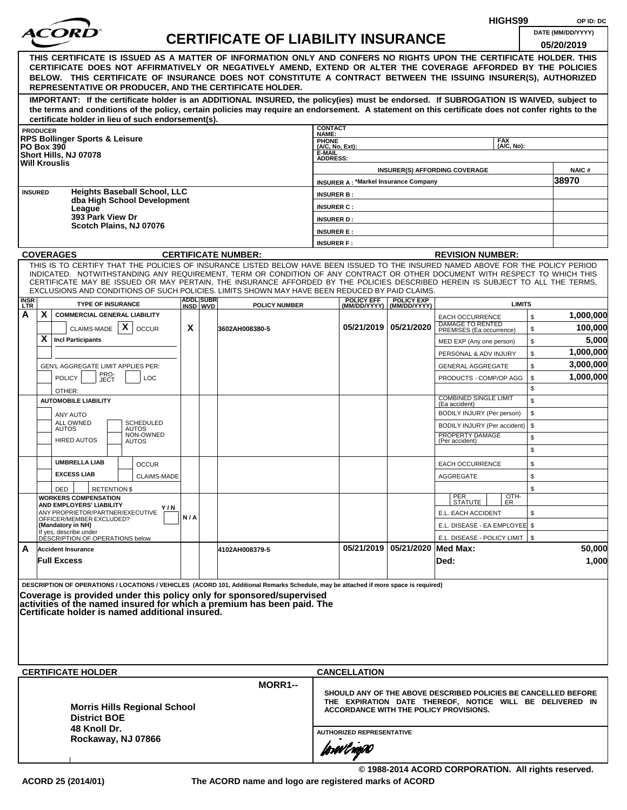|                           |                 |                                                                                                                                                                                                                                                                                                                                                                                                                  |     |                              |                                           |                                                                                                                                                                      |                                               |                                                  | HIGHS99                                           |          | OP ID: DC                       |
|---------------------------|-----------------|------------------------------------------------------------------------------------------------------------------------------------------------------------------------------------------------------------------------------------------------------------------------------------------------------------------------------------------------------------------------------------------------------------------|-----|------------------------------|-------------------------------------------|----------------------------------------------------------------------------------------------------------------------------------------------------------------------|-----------------------------------------------|--------------------------------------------------|---------------------------------------------------|----------|---------------------------------|
|                           |                 |                                                                                                                                                                                                                                                                                                                                                                                                                  |     |                              | <b>CERTIFICATE OF LIABILITY INSURANCE</b> |                                                                                                                                                                      |                                               |                                                  |                                                   |          | DATE (MM/DD/YYYY)<br>05/20/2019 |
|                           |                 | THIS CERTIFICATE IS ISSUED AS A MATTER OF INFORMATION ONLY AND CONFERS NO RIGHTS UPON THE CERTIFICATE HOLDER. THIS<br>CERTIFICATE DOES NOT AFFIRMATIVELY OR NEGATIVELY AMEND, EXTEND OR ALTER THE COVERAGE AFFORDED BY THE POLICIES<br>BELOW. THIS CERTIFICATE OF INSURANCE DOES NOT CONSTITUTE A CONTRACT BETWEEN THE ISSUING INSURER(S), AUTHORIZED<br>REPRESENTATIVE OR PRODUCER, AND THE CERTIFICATE HOLDER. |     |                              |                                           |                                                                                                                                                                      |                                               |                                                  |                                                   |          |                                 |
|                           |                 | IMPORTANT: If the certificate holder is an ADDITIONAL INSURED, the policy(ies) must be endorsed. If SUBROGATION IS WAIVED, subject to<br>the terms and conditions of the policy, certain policies may require an endorsement. A statement on this certificate does not confer rights to the<br>certificate holder in lieu of such endorsement(s).                                                                |     |                              |                                           |                                                                                                                                                                      |                                               |                                                  |                                                   |          |                                 |
|                           | <b>PRODUCER</b> |                                                                                                                                                                                                                                                                                                                                                                                                                  |     |                              |                                           | <b>CONTACT</b><br>NAME:                                                                                                                                              |                                               |                                                  |                                                   |          |                                 |
|                           |                 | <b>RPS Bollinger Sports &amp; Leisure</b><br><b>PO Box 390</b><br>Short Hills, NJ 07078                                                                                                                                                                                                                                                                                                                          |     |                              |                                           | <b>PHONE</b><br>(A/C, No, Ext):<br>E-MAIL<br><b>ADDRESS:</b>                                                                                                         |                                               |                                                  | <b>FAX</b><br>(A/C, No):                          |          |                                 |
|                           |                 | <b>Will Krouslis</b>                                                                                                                                                                                                                                                                                                                                                                                             |     |                              |                                           |                                                                                                                                                                      |                                               |                                                  | <b>INSURER(S) AFFORDING COVERAGE</b>              |          | NAIC#                           |
|                           |                 |                                                                                                                                                                                                                                                                                                                                                                                                                  |     |                              |                                           |                                                                                                                                                                      |                                               | <b>INSURER A: *Markel Insurance Company</b>      |                                                   |          | 38970                           |
|                           | <b>INSURED</b>  | <b>Heights Baseball School, LLC</b><br>dba High School Development                                                                                                                                                                                                                                                                                                                                               |     |                              |                                           | <b>INSURER B:</b>                                                                                                                                                    |                                               |                                                  |                                                   |          |                                 |
|                           |                 | League                                                                                                                                                                                                                                                                                                                                                                                                           |     |                              |                                           | <b>INSURER C:</b>                                                                                                                                                    |                                               |                                                  |                                                   |          |                                 |
|                           |                 | 393 Park View Dr<br>Scotch Plains, NJ 07076                                                                                                                                                                                                                                                                                                                                                                      |     |                              |                                           | <b>INSURER D:</b>                                                                                                                                                    |                                               |                                                  |                                                   |          |                                 |
|                           |                 |                                                                                                                                                                                                                                                                                                                                                                                                                  |     |                              |                                           | <b>INSURER E:</b>                                                                                                                                                    |                                               |                                                  |                                                   |          |                                 |
|                           |                 |                                                                                                                                                                                                                                                                                                                                                                                                                  |     |                              |                                           | <b>INSURER F:</b>                                                                                                                                                    |                                               |                                                  |                                                   |          |                                 |
|                           |                 | <b>COVERAGES</b><br>THIS IS TO CERTIFY THAT THE POLICIES OF INSURANCE LISTED BELOW HAVE BEEN ISSUED TO THE INSURED NAMED ABOVE FOR THE POLICY PERIOD                                                                                                                                                                                                                                                             |     |                              | <b>CERTIFICATE NUMBER:</b>                |                                                                                                                                                                      |                                               |                                                  | <b>REVISION NUMBER:</b>                           |          |                                 |
|                           |                 | INDICATED. NOTWITHSTANDING ANY REQUIREMENT, TERM OR CONDITION OF ANY CONTRACT OR OTHER DOCUMENT WITH RESPECT TO WHICH THIS<br>CERTIFICATE MAY BE ISSUED OR MAY PERTAIN, THE INSURANCE AFFORDED BY THE POLICIES DESCRIBED HEREIN IS SUBJECT TO ALL THE TERMS,<br>EXCLUSIONS AND CONDITIONS OF SUCH POLICIES. LIMITS SHOWN MAY HAVE BEEN REDUCED BY PAID CLAIMS.                                                   |     |                              |                                           |                                                                                                                                                                      |                                               |                                                  |                                                   |          |                                 |
| <b>INSR</b><br><b>LTR</b> |                 | <b>TYPE OF INSURANCE</b>                                                                                                                                                                                                                                                                                                                                                                                         |     | <b>ADDL SUBR</b><br>INSD WVD | <b>POLICY NUMBER</b>                      |                                                                                                                                                                      | <b>POLICY EFF</b>                             | <b>POLICY EXP</b><br>(MM/DD/YYYY)   (MM/DD/YYYY) | <b>LIMITS</b>                                     |          |                                 |
| A                         | X               | <b>COMMERCIAL GENERAL LIABILITY</b><br>X<br>CLAIMS-MADE<br><b>OCCUR</b>                                                                                                                                                                                                                                                                                                                                          | X   |                              |                                           |                                                                                                                                                                      |                                               | 05/21/2019 05/21/2020                            | <b>EACH OCCURRENCE</b><br>DAMAGE TO RENTED        | \$       | 1,000,000<br>100,000            |
|                           | X               | <b>Incl Participants</b>                                                                                                                                                                                                                                                                                                                                                                                         |     |                              | 3602AH008380-5                            |                                                                                                                                                                      |                                               |                                                  | PREMISES (Ea occurrence)                          | \$<br>\$ | 5,000                           |
|                           |                 |                                                                                                                                                                                                                                                                                                                                                                                                                  |     |                              |                                           |                                                                                                                                                                      |                                               |                                                  | MED EXP (Any one person)<br>PERSONAL & ADV INJURY | \$       | 1,000,000                       |
|                           |                 | GEN'L AGGREGATE LIMIT APPLIES PER:                                                                                                                                                                                                                                                                                                                                                                               |     |                              |                                           |                                                                                                                                                                      |                                               |                                                  | <b>GENERAL AGGREGATE</b>                          | \$       | 3,000,000                       |
|                           |                 | PRO-<br>JECT<br><b>POLICY</b><br><b>LOC</b>                                                                                                                                                                                                                                                                                                                                                                      |     |                              |                                           |                                                                                                                                                                      |                                               |                                                  | PRODUCTS - COMP/OP AGG                            | \$       | 1,000,000                       |
|                           |                 |                                                                                                                                                                                                                                                                                                                                                                                                                  |     |                              |                                           |                                                                                                                                                                      |                                               |                                                  |                                                   | \$       |                                 |
|                           |                 | OTHER:<br><b>AUTOMOBILE LIABILITY</b>                                                                                                                                                                                                                                                                                                                                                                            |     |                              |                                           |                                                                                                                                                                      |                                               |                                                  | <b>COMBINED SINGLE LIMIT</b>                      | \$       |                                 |
|                           |                 | ANY AUTO                                                                                                                                                                                                                                                                                                                                                                                                         |     |                              |                                           |                                                                                                                                                                      |                                               |                                                  | (Ea accident)<br>BODILY INJURY (Per person)       | \$       |                                 |
|                           |                 | <b>ALL OWNED</b><br><b>SCHEDULED</b>                                                                                                                                                                                                                                                                                                                                                                             |     |                              |                                           |                                                                                                                                                                      |                                               |                                                  | BODILY INJURY (Per accident)                      | \$       |                                 |
|                           |                 | <b>AUTOS</b><br><b>AUTOS</b><br>NON-OWNED<br><b>HIRED AUTOS</b><br><b>AUTOS</b>                                                                                                                                                                                                                                                                                                                                  |     |                              |                                           |                                                                                                                                                                      |                                               |                                                  | PROPERTY DAMAGE<br>(Per accident)                 | \$<br>\$ |                                 |
|                           |                 | <b>UMBRELLA LIAB</b><br><b>OCCUR</b>                                                                                                                                                                                                                                                                                                                                                                             |     |                              |                                           |                                                                                                                                                                      |                                               |                                                  | <b>EACH OCCURRENCE</b>                            | \$       |                                 |
|                           |                 | <b>EXCESS LIAB</b><br><b>CLAIMS-MADE</b>                                                                                                                                                                                                                                                                                                                                                                         |     |                              |                                           |                                                                                                                                                                      |                                               |                                                  | <b>AGGREGATE</b>                                  | \$       |                                 |
|                           |                 | DED<br><b>RETENTION \$</b>                                                                                                                                                                                                                                                                                                                                                                                       |     |                              |                                           |                                                                                                                                                                      |                                               |                                                  |                                                   | \$       |                                 |
|                           |                 | <b>WORKERS COMPENSATION</b>                                                                                                                                                                                                                                                                                                                                                                                      |     |                              |                                           |                                                                                                                                                                      |                                               |                                                  | OTH-<br>PER<br><b>STATUTE</b><br>ER               |          |                                 |
|                           |                 | AND EMPLOYERS' LIABILITY<br>Y / N<br>ANY PROPRIETOR/PARTNER/EXECUTIVE                                                                                                                                                                                                                                                                                                                                            |     |                              |                                           |                                                                                                                                                                      |                                               |                                                  | E.L. EACH ACCIDENT                                | \$       |                                 |
|                           |                 | OFFICER/MEMBER EXCLUDED?<br>(Mandatory in NH)                                                                                                                                                                                                                                                                                                                                                                    | N/A |                              |                                           |                                                                                                                                                                      |                                               |                                                  | E.L. DISEASE - EA EMPLOYEE \$                     |          |                                 |
|                           |                 | If yes, describe under<br>DESCRIPTION OF OPERATIONS below                                                                                                                                                                                                                                                                                                                                                        |     |                              |                                           |                                                                                                                                                                      |                                               |                                                  | E.L. DISEASE - POLICY LIMIT   \$                  |          |                                 |
| A                         |                 | <b>Accident Insurance</b>                                                                                                                                                                                                                                                                                                                                                                                        |     |                              | 4102AH008379-5                            |                                                                                                                                                                      |                                               | 05/21/2019 05/21/2020 Med Max:                   |                                                   |          | 50,000                          |
|                           |                 | <b>Full Excess</b>                                                                                                                                                                                                                                                                                                                                                                                               |     |                              |                                           |                                                                                                                                                                      |                                               |                                                  | Ded:                                              |          | 1,000                           |
|                           |                 | DESCRIPTION OF OPERATIONS / LOCATIONS / VEHICLES (ACORD 101, Additional Remarks Schedule, may be attached if more space is required)<br>Coverage is provided under this policy only for sponsored/supervised<br>activities of the named insured for which a premium has been paid. The<br>Certificate holder is named additional insured.                                                                        |     |                              |                                           |                                                                                                                                                                      |                                               |                                                  |                                                   |          |                                 |
|                           |                 | <b>CERTIFICATE HOLDER</b>                                                                                                                                                                                                                                                                                                                                                                                        |     |                              |                                           |                                                                                                                                                                      | <b>CANCELLATION</b>                           |                                                  |                                                   |          |                                 |
|                           |                 | <b>Morris Hills Regional School</b><br><b>District BOE</b>                                                                                                                                                                                                                                                                                                                                                       |     |                              | MORR1--                                   | SHOULD ANY OF THE ABOVE DESCRIBED POLICIES BE CANCELLED BEFORE<br>THE EXPIRATION DATE THEREOF, NOTICE WILL BE DELIVERED IN<br>ACCORDANCE WITH THE POLICY PROVISIONS. |                                               |                                                  |                                                   |          |                                 |
|                           |                 | 48 Knoll Dr.<br>Rockaway, NJ 07866                                                                                                                                                                                                                                                                                                                                                                               |     |                              |                                           |                                                                                                                                                                      | <b>AUTHORIZED REPRESENTATIVE</b><br>forwingso |                                                  |                                                   |          |                                 |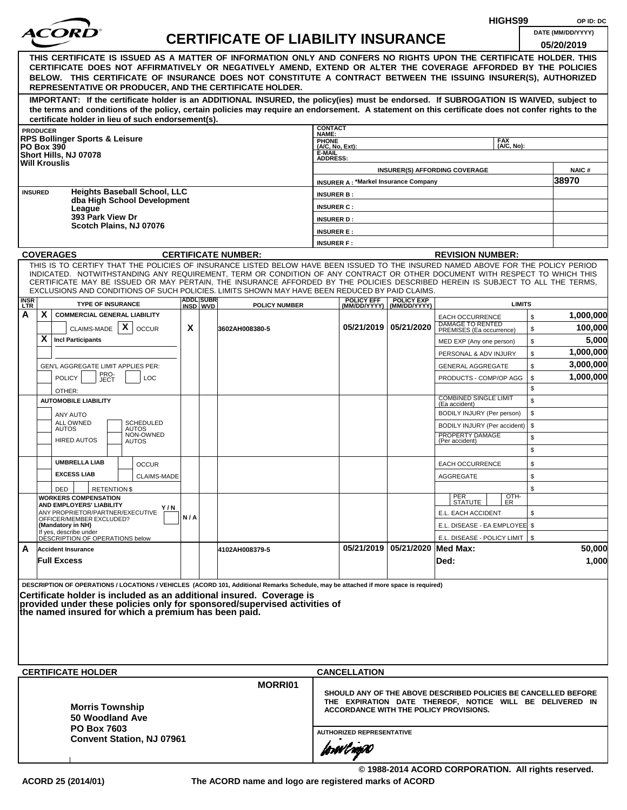|                         |                                                                                                                                                                                                                                                                |     |                  |                                           |                                  |                                             |                                |                                                                        | HIGHS99       |          | OP ID: DC            |
|-------------------------|----------------------------------------------------------------------------------------------------------------------------------------------------------------------------------------------------------------------------------------------------------------|-----|------------------|-------------------------------------------|----------------------------------|---------------------------------------------|--------------------------------|------------------------------------------------------------------------|---------------|----------|----------------------|
|                         |                                                                                                                                                                                                                                                                |     |                  | <b>CERTIFICATE OF LIABILITY INSURANCE</b> |                                  |                                             |                                |                                                                        |               |          | DATE (MM/DD/YYYY)    |
|                         |                                                                                                                                                                                                                                                                |     |                  |                                           |                                  |                                             |                                |                                                                        |               |          | 05/20/2019           |
|                         | THIS CERTIFICATE IS ISSUED AS A MATTER OF INFORMATION ONLY AND CONFERS NO RIGHTS UPON THE CERTIFICATE HOLDER. THIS                                                                                                                                             |     |                  |                                           |                                  |                                             |                                |                                                                        |               |          |                      |
|                         | CERTIFICATE DOES NOT AFFIRMATIVELY OR NEGATIVELY AMEND, EXTEND OR ALTER THE COVERAGE AFFORDED BY THE POLICIES<br>BELOW. THIS CERTIFICATE OF INSURANCE DOES NOT CONSTITUTE A CONTRACT BETWEEN THE ISSUING INSURER(S), AUTHORIZED                                |     |                  |                                           |                                  |                                             |                                |                                                                        |               |          |                      |
|                         | REPRESENTATIVE OR PRODUCER, AND THE CERTIFICATE HOLDER.                                                                                                                                                                                                        |     |                  |                                           |                                  |                                             |                                |                                                                        |               |          |                      |
|                         | IMPORTANT: If the certificate holder is an ADDITIONAL INSURED, the policy(ies) must be endorsed. If SUBROGATION IS WAIVED, subject to                                                                                                                          |     |                  |                                           |                                  |                                             |                                |                                                                        |               |          |                      |
|                         | the terms and conditions of the policy, certain policies may require an endorsement. A statement on this certificate does not confer rights to the                                                                                                             |     |                  |                                           |                                  |                                             |                                |                                                                        |               |          |                      |
|                         | certificate holder in lieu of such endorsement(s).<br><b>PRODUCER</b>                                                                                                                                                                                          |     |                  |                                           | <b>CONTACT</b>                   |                                             |                                |                                                                        |               |          |                      |
|                         | <b>RPS Bollinger Sports &amp; Leisure</b>                                                                                                                                                                                                                      |     |                  |                                           | NAME:<br><b>PHONE</b>            |                                             |                                |                                                                        | <b>FAX</b>    |          |                      |
|                         | <b>PO Box 390</b><br>Short Hills, NJ 07078                                                                                                                                                                                                                     |     |                  |                                           | $(A/C, No, Ext)$ :<br>E-MAIL     |                                             |                                |                                                                        | (A/C. No):    |          |                      |
|                         | <b>Will Krouslis</b>                                                                                                                                                                                                                                           |     |                  |                                           | <b>ADDRESS:</b>                  |                                             |                                | <b>INSURER(S) AFFORDING COVERAGE</b>                                   |               |          | <b>NAIC#</b>         |
|                         |                                                                                                                                                                                                                                                                |     |                  |                                           |                                  | <b>INSURER A: *Markel Insurance Company</b> |                                |                                                                        |               |          | 38970                |
|                         | <b>Heights Baseball School, LLC</b><br><b>INSURED</b>                                                                                                                                                                                                          |     |                  |                                           | <b>INSURER B:</b>                |                                             |                                |                                                                        |               |          |                      |
|                         | dba High School Development<br>League                                                                                                                                                                                                                          |     |                  |                                           | <b>INSURER C:</b>                |                                             |                                |                                                                        |               |          |                      |
|                         | 393 Park View Dr                                                                                                                                                                                                                                               |     |                  |                                           | <b>INSURER D:</b>                |                                             |                                |                                                                        |               |          |                      |
|                         | Scotch Plains, NJ 07076                                                                                                                                                                                                                                        |     |                  |                                           | <b>INSURER E:</b>                |                                             |                                |                                                                        |               |          |                      |
|                         |                                                                                                                                                                                                                                                                |     |                  |                                           | <b>INSURER F:</b>                |                                             |                                |                                                                        |               |          |                      |
|                         | <b>COVERAGES</b>                                                                                                                                                                                                                                               |     |                  | <b>CERTIFICATE NUMBER:</b>                |                                  |                                             |                                | <b>REVISION NUMBER:</b>                                                |               |          |                      |
|                         | THIS IS TO CERTIFY THAT THE POLICIES OF INSURANCE LISTED BELOW HAVE BEEN ISSUED TO THE INSURED NAMED ABOVE FOR THE POLICY PERIOD<br>INDICATED. NOTWITHSTANDING ANY REQUIREMENT, TERM OR CONDITION OF ANY CONTRACT OR OTHER DOCUMENT WITH RESPECT TO WHICH THIS |     |                  |                                           |                                  |                                             |                                |                                                                        |               |          |                      |
|                         | CERTIFICATE MAY BE ISSUED OR MAY PERTAIN, THE INSURANCE AFFORDED BY THE POLICIES DESCRIBED HEREIN IS SUBJECT TO ALL THE TERMS.                                                                                                                                 |     |                  |                                           |                                  |                                             |                                |                                                                        |               |          |                      |
|                         | EXCLUSIONS AND CONDITIONS OF SUCH POLICIES. LIMITS SHOWN MAY HAVE BEEN REDUCED BY PAID CLAIMS.                                                                                                                                                                 |     | <b>ADDL SUBR</b> |                                           |                                  | <b>POLICY EFF</b>                           | <b>POLICY EXP</b>              |                                                                        |               |          |                      |
| <b>INSR</b><br>LTR<br>A | <b>TYPE OF INSURANCE</b><br>X.<br><b>COMMERCIAL GENERAL LIABILITY</b>                                                                                                                                                                                          |     | INSD WVD         | <b>POLICY NUMBER</b>                      |                                  | (MM/DD/YYYY)                                | (MM/DD/YYYY)                   |                                                                        | <b>LIMITS</b> |          |                      |
|                         | $\mathsf{x}$                                                                                                                                                                                                                                                   | X   |                  |                                           |                                  |                                             | 05/21/2019   05/21/2020        | <b>EACH OCCURRENCE</b><br>DAMAGE TO RENTED<br>PREMISES (Ea occurrence) |               | \$       | 1,000,000<br>100,000 |
|                         | CLAIMS-MADE<br><b>OCCUR</b><br>X.<br><b>Incl Participants</b>                                                                                                                                                                                                  |     |                  | 3602AH008380-5                            |                                  |                                             |                                |                                                                        |               | \$<br>\$ | 5,000                |
|                         |                                                                                                                                                                                                                                                                |     |                  |                                           |                                  |                                             |                                | MED EXP (Any one person)<br>PERSONAL & ADV INJURY                      |               | \$       | 1,000,000            |
|                         | GEN'L AGGREGATE LIMIT APPLIES PER:                                                                                                                                                                                                                             |     |                  |                                           |                                  |                                             |                                | <b>GENERAL AGGREGATE</b>                                               |               | \$       | 3,000,000            |
|                         | PRO-<br><b>POLICY</b><br>LOC<br>JECT                                                                                                                                                                                                                           |     |                  |                                           |                                  |                                             |                                | PRODUCTS - COMP/OP AGG                                                 |               | \$       | 1,000,000            |
|                         | OTHER:                                                                                                                                                                                                                                                         |     |                  |                                           |                                  |                                             |                                |                                                                        |               | \$       |                      |
|                         | <b>AUTOMOBILE LIABILITY</b>                                                                                                                                                                                                                                    |     |                  |                                           |                                  |                                             |                                | <b>COMBINED SINGLE LIMIT</b><br>(Ea accident)                          |               | \$       |                      |
|                         | <b>ANY AUTO</b>                                                                                                                                                                                                                                                |     |                  |                                           |                                  |                                             |                                | BODILY INJURY (Per person)                                             |               | \$       |                      |
|                         | ALL OWNED<br><b>SCHEDULED</b><br><b>AUTOS</b><br>AUTOS                                                                                                                                                                                                         |     |                  |                                           |                                  |                                             |                                | BODILY INJURY (Per accident)                                           |               | \$       |                      |
|                         | NON-OWNED<br><b>HIRED AUTOS</b><br><b>AUTOS</b>                                                                                                                                                                                                                |     |                  |                                           |                                  |                                             |                                | PROPERTY DAMAGE<br>(Per accident)                                      |               | \$       |                      |
|                         |                                                                                                                                                                                                                                                                |     |                  |                                           |                                  |                                             |                                |                                                                        |               | \$       |                      |
|                         | <b>UMBRELLA LIAB</b><br><b>OCCUR</b>                                                                                                                                                                                                                           |     |                  |                                           |                                  |                                             |                                | <b>EACH OCCURRENCE</b>                                                 |               | \$       |                      |
|                         | <b>EXCESS LIAB</b><br>CLAIMS-MADE                                                                                                                                                                                                                              |     |                  |                                           |                                  |                                             |                                | AGGREGATE                                                              |               | \$       |                      |
|                         | <b>RETENTION \$</b><br>DED<br><b>WORKERS COMPENSATION</b>                                                                                                                                                                                                      |     |                  |                                           |                                  |                                             |                                |                                                                        |               | \$       |                      |
|                         | AND EMPLOYERS' LIABILITY<br>Y / N                                                                                                                                                                                                                              |     |                  |                                           |                                  |                                             |                                | PER<br>STATUTE                                                         | OTH-<br>ER    |          |                      |
|                         | ANY PROPRIETOR/PARTNER/EXECUTIVE<br>OFFICER/MEMBER EXCLUDED?                                                                                                                                                                                                   | N/A |                  |                                           |                                  |                                             |                                | E.L. EACH ACCIDENT                                                     |               | \$       |                      |
|                         | (Mandatory in NH)<br>If yes, describe under<br>DESCRIPTION OF OPERATIONS below                                                                                                                                                                                 |     |                  |                                           |                                  |                                             |                                | E.L. DISEASE - EA EMPLOYEE \$                                          |               |          |                      |
| A                       | <b>Accident Insurance</b>                                                                                                                                                                                                                                      |     |                  | 4102AH008379-5                            |                                  |                                             | 05/21/2019 05/21/2020 Med Max: | E.L. DISEASE - POLICY LIMIT   \$                                       |               |          | 50,000               |
|                         | <b>Full Excess</b>                                                                                                                                                                                                                                             |     |                  |                                           |                                  |                                             |                                | Ded:                                                                   |               |          | 1,000                |
|                         |                                                                                                                                                                                                                                                                |     |                  |                                           |                                  |                                             |                                |                                                                        |               |          |                      |
|                         | DESCRIPTION OF OPERATIONS / LOCATIONS / VEHICLES (ACORD 101, Additional Remarks Schedule, may be attached if more space is required)                                                                                                                           |     |                  |                                           |                                  |                                             |                                |                                                                        |               |          |                      |
|                         | Certificate holder is included as an additional insured. Coverage is                                                                                                                                                                                           |     |                  |                                           |                                  |                                             |                                |                                                                        |               |          |                      |
|                         | provided under these policies only for sponsored/supervised activities of<br>the named insured for which a premium has been paid.                                                                                                                              |     |                  |                                           |                                  |                                             |                                |                                                                        |               |          |                      |
|                         |                                                                                                                                                                                                                                                                |     |                  |                                           |                                  |                                             |                                |                                                                        |               |          |                      |
|                         |                                                                                                                                                                                                                                                                |     |                  |                                           |                                  |                                             |                                |                                                                        |               |          |                      |
|                         |                                                                                                                                                                                                                                                                |     |                  |                                           |                                  |                                             |                                |                                                                        |               |          |                      |
|                         |                                                                                                                                                                                                                                                                |     |                  |                                           |                                  |                                             |                                |                                                                        |               |          |                      |
|                         | <b>CERTIFICATE HOLDER</b>                                                                                                                                                                                                                                      |     |                  |                                           |                                  | <b>CANCELLATION</b>                         |                                |                                                                        |               |          |                      |
|                         |                                                                                                                                                                                                                                                                |     |                  | <b>MORRI01</b>                            |                                  |                                             |                                | SHOULD ANY OF THE ABOVE DESCRIBED POLICIES BE CANCELLED BEFORE         |               |          |                      |
|                         |                                                                                                                                                                                                                                                                |     |                  |                                           |                                  |                                             |                                | THE EXPIRATION DATE THEREOF, NOTICE WILL BE DELIVERED IN               |               |          |                      |
|                         | <b>Morris Township</b><br>50 Woodland Ave                                                                                                                                                                                                                      |     |                  |                                           |                                  |                                             |                                | ACCORDANCE WITH THE POLICY PROVISIONS.                                 |               |          |                      |
|                         | <b>PO Box 7603</b>                                                                                                                                                                                                                                             |     |                  |                                           |                                  |                                             |                                |                                                                        |               |          |                      |
|                         | <b>Convent Station, NJ 07961</b>                                                                                                                                                                                                                               |     |                  |                                           | <b>AUTHORIZED REPRESENTATIVE</b> |                                             |                                |                                                                        |               |          |                      |
|                         |                                                                                                                                                                                                                                                                |     |                  |                                           |                                  | forwl now                                   |                                |                                                                        |               |          |                      |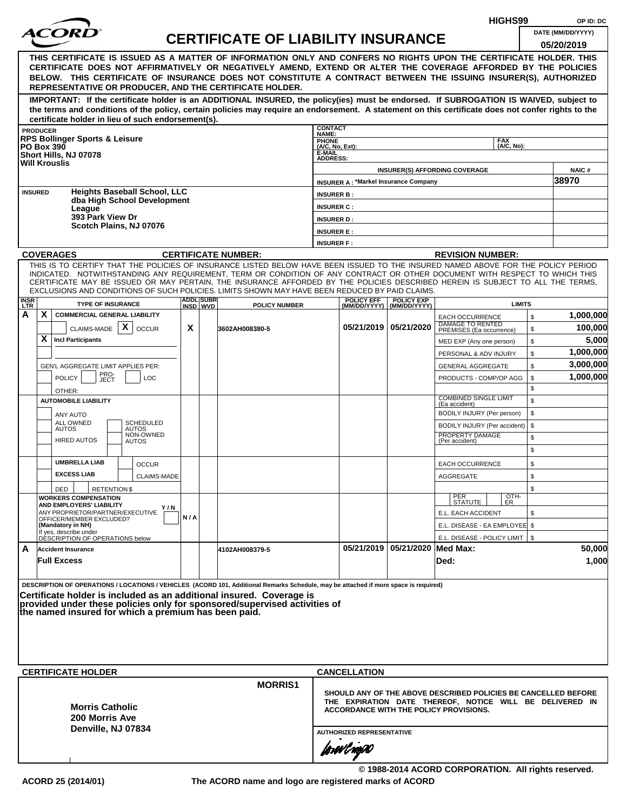|                |                                                                                                                                                                                                                                                                |     |                  |                                           |                                   |                                             |                                    |                                                                                                                            | HIGHS99                     |          | OP ID: DC         |
|----------------|----------------------------------------------------------------------------------------------------------------------------------------------------------------------------------------------------------------------------------------------------------------|-----|------------------|-------------------------------------------|-----------------------------------|---------------------------------------------|------------------------------------|----------------------------------------------------------------------------------------------------------------------------|-----------------------------|----------|-------------------|
|                | <i>ACOR</i>                                                                                                                                                                                                                                                    |     |                  | <b>CERTIFICATE OF LIABILITY INSURANCE</b> |                                   |                                             |                                    |                                                                                                                            |                             |          | DATE (MM/DD/YYYY) |
|                |                                                                                                                                                                                                                                                                |     |                  |                                           |                                   |                                             |                                    |                                                                                                                            |                             |          | 05/20/2019        |
|                | THIS CERTIFICATE IS ISSUED AS A MATTER OF INFORMATION ONLY AND CONFERS NO RIGHTS UPON THE CERTIFICATE HOLDER. THIS<br>CERTIFICATE DOES NOT AFFIRMATIVELY OR NEGATIVELY AMEND, EXTEND OR ALTER THE COVERAGE AFFORDED BY THE POLICIES                            |     |                  |                                           |                                   |                                             |                                    |                                                                                                                            |                             |          |                   |
|                | BELOW. THIS CERTIFICATE OF INSURANCE DOES NOT CONSTITUTE A CONTRACT BETWEEN THE ISSUING INSURER(S), AUTHORIZED                                                                                                                                                 |     |                  |                                           |                                   |                                             |                                    |                                                                                                                            |                             |          |                   |
|                | REPRESENTATIVE OR PRODUCER, AND THE CERTIFICATE HOLDER.                                                                                                                                                                                                        |     |                  |                                           |                                   |                                             |                                    |                                                                                                                            |                             |          |                   |
|                | IMPORTANT: If the certificate holder is an ADDITIONAL INSURED, the policy(ies) must be endorsed. If SUBROGATION IS WAIVED, subject to                                                                                                                          |     |                  |                                           |                                   |                                             |                                    |                                                                                                                            |                             |          |                   |
|                | the terms and conditions of the policy, certain policies may require an endorsement. A statement on this certificate does not confer rights to the<br>certificate holder in lieu of such endorsement(s).                                                       |     |                  |                                           |                                   |                                             |                                    |                                                                                                                            |                             |          |                   |
|                | <b>PRODUCER</b>                                                                                                                                                                                                                                                |     |                  |                                           | <b>CONTACT</b>                    |                                             |                                    |                                                                                                                            |                             |          |                   |
|                | <b>RPS Bollinger Sports &amp; Leisure</b>                                                                                                                                                                                                                      |     |                  |                                           | NAME:<br>PHONE<br>(A/C, No, Ext): |                                             |                                    |                                                                                                                            | <b>FAX</b><br>$(AVC, No)$ : |          |                   |
|                | <b>PO Box 390</b><br>Short Hills, NJ 07078                                                                                                                                                                                                                     |     |                  |                                           | E-MAIL<br><b>ADDRESS:</b>         |                                             |                                    |                                                                                                                            |                             |          |                   |
|                | <b>Will Krouslis</b>                                                                                                                                                                                                                                           |     |                  |                                           |                                   |                                             |                                    | <b>INSURER(S) AFFORDING COVERAGE</b>                                                                                       |                             |          | <b>NAIC#</b>      |
|                |                                                                                                                                                                                                                                                                |     |                  |                                           |                                   | <b>INSURER A: *Markel Insurance Company</b> |                                    |                                                                                                                            |                             |          | 38970             |
| <b>INSURED</b> | <b>Heights Baseball School, LLC</b>                                                                                                                                                                                                                            |     |                  |                                           | <b>INSURER B:</b>                 |                                             |                                    |                                                                                                                            |                             |          |                   |
|                | dba High School Development<br>League                                                                                                                                                                                                                          |     |                  |                                           | <b>INSURER C:</b>                 |                                             |                                    |                                                                                                                            |                             |          |                   |
|                | 393 Park View Dr                                                                                                                                                                                                                                               |     |                  |                                           | <b>INSURER D:</b>                 |                                             |                                    |                                                                                                                            |                             |          |                   |
|                | Scotch Plains, NJ 07076                                                                                                                                                                                                                                        |     |                  |                                           | <b>INSURER E:</b>                 |                                             |                                    |                                                                                                                            |                             |          |                   |
|                |                                                                                                                                                                                                                                                                |     |                  |                                           | <b>INSURER F:</b>                 |                                             |                                    |                                                                                                                            |                             |          |                   |
|                | <b>COVERAGES</b>                                                                                                                                                                                                                                               |     |                  | <b>CERTIFICATE NUMBER:</b>                |                                   |                                             |                                    | <b>REVISION NUMBER:</b>                                                                                                    |                             |          |                   |
|                | THIS IS TO CERTIFY THAT THE POLICIES OF INSURANCE LISTED BELOW HAVE BEEN ISSUED TO THE INSURED NAMED ABOVE FOR THE POLICY PERIOD<br>INDICATED. NOTWITHSTANDING ANY REQUIREMENT, TERM OR CONDITION OF ANY CONTRACT OR OTHER DOCUMENT WITH RESPECT TO WHICH THIS |     |                  |                                           |                                   |                                             |                                    |                                                                                                                            |                             |          |                   |
|                | CERTIFICATE MAY BE ISSUED OR MAY PERTAIN, THE INSURANCE AFFORDED BY THE POLICIES DESCRIBED HEREIN IS SUBJECT TO ALL THE TERMS,                                                                                                                                 |     |                  |                                           |                                   |                                             |                                    |                                                                                                                            |                             |          |                   |
|                | EXCLUSIONS AND CONDITIONS OF SUCH POLICIES. LIMITS SHOWN MAY HAVE BEEN REDUCED BY PAID CLAIMS.                                                                                                                                                                 |     | <b>ADDL SUBR</b> |                                           |                                   | <b>POLICY EFF</b>                           | <b>POLICY EXP</b>                  |                                                                                                                            |                             |          |                   |
| INSR<br>LTR    | <b>TYPE OF INSURANCE</b>                                                                                                                                                                                                                                       |     | INSD WVD         | <b>POLICY NUMBER</b>                      |                                   |                                             | (MM/DD/YYYY) (MM/DD/YYYY)          |                                                                                                                            | <b>LIMITS</b>               |          |                   |
| A              | X.<br><b>COMMERCIAL GENERAL LIABILITY</b><br>$\mathsf{x}$                                                                                                                                                                                                      |     |                  |                                           |                                   |                                             | 05/21/2019 05/21/2020              | <b>EACH OCCURRENCE</b><br>DAMAGE TO RENTED<br>PREMISES (Ea occurrence)                                                     |                             | \$       | 1,000,000         |
|                | CLAIMS-MADE<br><b>OCCUR</b><br>X.<br><b>Incl Participants</b>                                                                                                                                                                                                  | X   |                  | 3602AH008380-5                            |                                   |                                             |                                    |                                                                                                                            |                             | \$       | 100,000<br>5,000  |
|                |                                                                                                                                                                                                                                                                |     |                  |                                           |                                   |                                             |                                    | MED EXP (Any one person)                                                                                                   |                             | \$       | 1,000,000         |
|                | GEN'L AGGREGATE LIMIT APPLIES PER:                                                                                                                                                                                                                             |     |                  |                                           |                                   |                                             |                                    | PERSONAL & ADV INJURY<br><b>GENERAL AGGREGATE</b>                                                                          |                             | \$<br>\$ | 3,000,000         |
|                | PRO-<br>JECT<br><b>POLICY</b><br><b>LOC</b>                                                                                                                                                                                                                    |     |                  |                                           |                                   |                                             |                                    | PRODUCTS - COMP/OP AGG                                                                                                     |                             | \$       | 1,000,000         |
|                | OTHER:                                                                                                                                                                                                                                                         |     |                  |                                           |                                   |                                             |                                    |                                                                                                                            |                             | \$       |                   |
|                | <b>AUTOMOBILE LIABILITY</b>                                                                                                                                                                                                                                    |     |                  |                                           |                                   |                                             |                                    | <b>COMBINED SINGLE LIMIT</b><br>(Ea accident)                                                                              |                             | \$       |                   |
|                | ANY AUTO                                                                                                                                                                                                                                                       |     |                  |                                           |                                   |                                             |                                    | BODILY INJURY (Per person)                                                                                                 |                             | \$       |                   |
|                | <b>ALL OWNED</b><br><b>SCHEDULED</b><br><b>AUTOS</b><br>AUTOS                                                                                                                                                                                                  |     |                  |                                           |                                   |                                             |                                    | BODILY INJURY (Per accident)                                                                                               | \$                          |          |                   |
|                | NON-OWNED<br><b>HIRED AUTOS</b><br><b>AUTOS</b>                                                                                                                                                                                                                |     |                  |                                           |                                   |                                             |                                    | PROPERTY DAMAGE<br>(Per accident)                                                                                          |                             | \$       |                   |
|                |                                                                                                                                                                                                                                                                |     |                  |                                           |                                   |                                             |                                    |                                                                                                                            |                             | \$       |                   |
|                | <b>UMBRELLA LIAB</b><br><b>OCCUR</b>                                                                                                                                                                                                                           |     |                  |                                           |                                   |                                             |                                    | <b>EACH OCCURRENCE</b>                                                                                                     |                             | \$       |                   |
|                | <b>EXCESS LIAB</b><br><b>CLAIMS-MADE</b>                                                                                                                                                                                                                       |     |                  |                                           |                                   |                                             |                                    | AGGREGATE                                                                                                                  |                             | \$       |                   |
|                | DED<br><b>RETENTION \$</b>                                                                                                                                                                                                                                     |     |                  |                                           |                                   |                                             |                                    |                                                                                                                            |                             | \$       |                   |
|                | <b>WORKERS COMPENSATION</b><br>AND EMPLOYERS' LIABILITY<br>Y / N                                                                                                                                                                                               |     |                  |                                           |                                   |                                             |                                    | PER<br>STATUTE                                                                                                             | OTH-<br>ER                  |          |                   |
|                | ANY PROPRIETOR/PARTNER/EXECUTIVE<br>OFFICER/MEMBER EXCLUDED?                                                                                                                                                                                                   | N/A |                  |                                           |                                   |                                             |                                    | E.L. EACH ACCIDENT                                                                                                         |                             | \$       |                   |
|                | (Mandatory in NH)<br>If yes, describe under                                                                                                                                                                                                                    |     |                  |                                           |                                   |                                             |                                    | E.L. DISEASE - EA EMPLOYEE \$                                                                                              |                             |          |                   |
|                | DÉSCRIPTION OF OPERATIONS below                                                                                                                                                                                                                                |     |                  |                                           |                                   |                                             |                                    | E.L. DISEASE - POLICY LIMIT   \$                                                                                           |                             |          |                   |
| A              | <b>Accident Insurance</b>                                                                                                                                                                                                                                      |     |                  | 4102AH008379-5                            |                                   |                                             | 05/21/2019   05/21/2020   Med Max: |                                                                                                                            |                             |          | 50,000            |
|                | <b>Full Excess</b>                                                                                                                                                                                                                                             |     |                  |                                           |                                   |                                             |                                    | Ded:                                                                                                                       |                             |          | 1,000             |
|                | DESCRIPTION OF OPERATIONS / LOCATIONS / VEHICLES (ACORD 101, Additional Remarks Schedule, may be attached if more space is required)                                                                                                                           |     |                  |                                           |                                   |                                             |                                    |                                                                                                                            |                             |          |                   |
|                | Certificate holder is included as an additional insured. Coverage is                                                                                                                                                                                           |     |                  |                                           |                                   |                                             |                                    |                                                                                                                            |                             |          |                   |
|                | provided under these policies only for sponsored/supervised activities of the named insured for which a premium has been paid.                                                                                                                                 |     |                  |                                           |                                   |                                             |                                    |                                                                                                                            |                             |          |                   |
|                |                                                                                                                                                                                                                                                                |     |                  |                                           |                                   |                                             |                                    |                                                                                                                            |                             |          |                   |
|                |                                                                                                                                                                                                                                                                |     |                  |                                           |                                   |                                             |                                    |                                                                                                                            |                             |          |                   |
|                |                                                                                                                                                                                                                                                                |     |                  |                                           |                                   |                                             |                                    |                                                                                                                            |                             |          |                   |
|                |                                                                                                                                                                                                                                                                |     |                  |                                           |                                   |                                             |                                    |                                                                                                                            |                             |          |                   |
|                | <b>CERTIFICATE HOLDER</b>                                                                                                                                                                                                                                      |     |                  |                                           |                                   | <b>CANCELLATION</b>                         |                                    |                                                                                                                            |                             |          |                   |
|                |                                                                                                                                                                                                                                                                |     |                  | <b>MORRIS1</b>                            |                                   |                                             |                                    |                                                                                                                            |                             |          |                   |
|                |                                                                                                                                                                                                                                                                |     |                  |                                           |                                   |                                             |                                    | SHOULD ANY OF THE ABOVE DESCRIBED POLICIES BE CANCELLED BEFORE<br>THE EXPIRATION DATE THEREOF, NOTICE WILL BE DELIVERED IN |                             |          |                   |
|                | <b>Morris Catholic</b>                                                                                                                                                                                                                                         |     |                  |                                           |                                   |                                             |                                    | ACCORDANCE WITH THE POLICY PROVISIONS.                                                                                     |                             |          |                   |
|                | 200 Morris Ave<br>Denville, NJ 07834                                                                                                                                                                                                                           |     |                  |                                           |                                   |                                             |                                    |                                                                                                                            |                             |          |                   |
|                |                                                                                                                                                                                                                                                                |     |                  |                                           | <b>AUTHORIZED REPRESENTATIVE</b>  |                                             |                                    |                                                                                                                            |                             |          |                   |
|                |                                                                                                                                                                                                                                                                |     |                  |                                           |                                   | forwl now                                   |                                    |                                                                                                                            |                             |          |                   |
|                |                                                                                                                                                                                                                                                                |     |                  |                                           |                                   |                                             |                                    |                                                                                                                            |                             |          |                   |

**© 1988-2014 ACORD CORPORATION. All rights reserved. ACORD 25 (2014/01) The ACORD name and logo are registered marks of ACORD**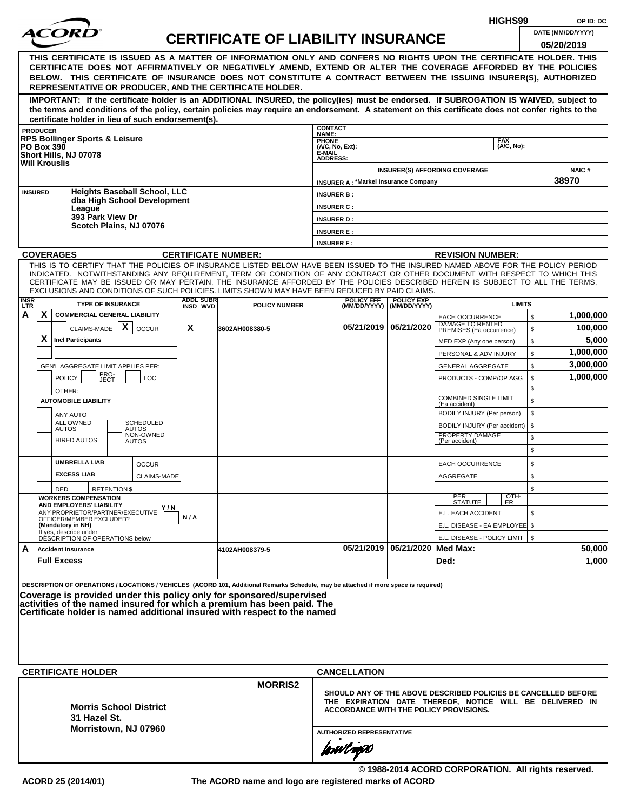|                    |                                                                                                                                                                                                                                                                |     |                  |                                           |                                   |                                             |                                |                                                                                                                            | HIGHS99       |          | OP ID: DC          |
|--------------------|----------------------------------------------------------------------------------------------------------------------------------------------------------------------------------------------------------------------------------------------------------------|-----|------------------|-------------------------------------------|-----------------------------------|---------------------------------------------|--------------------------------|----------------------------------------------------------------------------------------------------------------------------|---------------|----------|--------------------|
|                    | <i>ACOR</i>                                                                                                                                                                                                                                                    |     |                  | <b>CERTIFICATE OF LIABILITY INSURANCE</b> |                                   |                                             |                                |                                                                                                                            |               |          | DATE (MM/DD/YYYY)  |
|                    |                                                                                                                                                                                                                                                                |     |                  |                                           |                                   |                                             |                                |                                                                                                                            |               |          | 05/20/2019         |
|                    | THIS CERTIFICATE IS ISSUED AS A MATTER OF INFORMATION ONLY AND CONFERS NO RIGHTS UPON THE CERTIFICATE HOLDER. THIS<br>CERTIFICATE DOES NOT AFFIRMATIVELY OR NEGATIVELY AMEND, EXTEND OR ALTER THE COVERAGE AFFORDED BY THE POLICIES                            |     |                  |                                           |                                   |                                             |                                |                                                                                                                            |               |          |                    |
|                    | BELOW. THIS CERTIFICATE OF INSURANCE DOES NOT CONSTITUTE A CONTRACT BETWEEN THE ISSUING INSURER(S), AUTHORIZED                                                                                                                                                 |     |                  |                                           |                                   |                                             |                                |                                                                                                                            |               |          |                    |
|                    | REPRESENTATIVE OR PRODUCER, AND THE CERTIFICATE HOLDER.                                                                                                                                                                                                        |     |                  |                                           |                                   |                                             |                                |                                                                                                                            |               |          |                    |
|                    | IMPORTANT: If the certificate holder is an ADDITIONAL INSURED, the policy(ies) must be endorsed. If SUBROGATION IS WAIVED, subject to                                                                                                                          |     |                  |                                           |                                   |                                             |                                |                                                                                                                            |               |          |                    |
|                    | the terms and conditions of the policy, certain policies may require an endorsement. A statement on this certificate does not confer rights to the                                                                                                             |     |                  |                                           |                                   |                                             |                                |                                                                                                                            |               |          |                    |
|                    | certificate holder in lieu of such endorsement(s).<br><b>PRODUCER</b>                                                                                                                                                                                          |     |                  |                                           | <b>CONTACT</b>                    |                                             |                                |                                                                                                                            |               |          |                    |
|                    | <b>RPS Bollinger Sports &amp; Leisure</b>                                                                                                                                                                                                                      |     |                  |                                           | NAME:<br>PHONE<br>(A/C, No, Ext): |                                             |                                |                                                                                                                            | <b>FAX</b>    |          |                    |
|                    | <b>PO Box 390</b><br>Short Hills, NJ 07078                                                                                                                                                                                                                     |     |                  |                                           | E-MAIL<br><b>ADDRESS:</b>         |                                             |                                |                                                                                                                            | (A/C, No):    |          |                    |
|                    | <b>Will Krouslis</b>                                                                                                                                                                                                                                           |     |                  |                                           |                                   |                                             |                                | <b>INSURER(S) AFFORDING COVERAGE</b>                                                                                       |               |          | <b>NAIC#</b>       |
|                    |                                                                                                                                                                                                                                                                |     |                  |                                           |                                   | <b>INSURER A: *Markel Insurance Company</b> |                                |                                                                                                                            |               |          | 38970              |
|                    | <b>Heights Baseball School, LLC</b><br><b>INSURED</b>                                                                                                                                                                                                          |     |                  |                                           | <b>INSURER B:</b>                 |                                             |                                |                                                                                                                            |               |          |                    |
|                    | dba High School Development<br>League                                                                                                                                                                                                                          |     |                  |                                           | <b>INSURER C:</b>                 |                                             |                                |                                                                                                                            |               |          |                    |
|                    | 393 Park View Dr                                                                                                                                                                                                                                               |     |                  |                                           | <b>INSURER D:</b>                 |                                             |                                |                                                                                                                            |               |          |                    |
|                    | Scotch Plains, NJ 07076                                                                                                                                                                                                                                        |     |                  |                                           | <b>INSURER E:</b>                 |                                             |                                |                                                                                                                            |               |          |                    |
|                    |                                                                                                                                                                                                                                                                |     |                  |                                           | <b>INSURER F:</b>                 |                                             |                                |                                                                                                                            |               |          |                    |
|                    | <b>COVERAGES</b>                                                                                                                                                                                                                                               |     |                  | <b>CERTIFICATE NUMBER:</b>                |                                   |                                             |                                | <b>REVISION NUMBER:</b>                                                                                                    |               |          |                    |
|                    | THIS IS TO CERTIFY THAT THE POLICIES OF INSURANCE LISTED BELOW HAVE BEEN ISSUED TO THE INSURED NAMED ABOVE FOR THE POLICY PERIOD<br>INDICATED. NOTWITHSTANDING ANY REQUIREMENT, TERM OR CONDITION OF ANY CONTRACT OR OTHER DOCUMENT WITH RESPECT TO WHICH THIS |     |                  |                                           |                                   |                                             |                                |                                                                                                                            |               |          |                    |
|                    | CERTIFICATE MAY BE ISSUED OR MAY PERTAIN. THE INSURANCE AFFORDED BY THE POLICIES DESCRIBED HEREIN IS SUBJECT TO ALL THE TERMS.                                                                                                                                 |     |                  |                                           |                                   |                                             |                                |                                                                                                                            |               |          |                    |
|                    | EXCLUSIONS AND CONDITIONS OF SUCH POLICIES. LIMITS SHOWN MAY HAVE BEEN REDUCED BY PAID CLAIMS.                                                                                                                                                                 |     | <b>ADDL SUBR</b> |                                           |                                   | <b>POLICY EFF</b>                           | <b>POLICY EXP</b>              |                                                                                                                            |               |          |                    |
| <b>INSR</b><br>LTR | <b>TYPE OF INSURANCE</b>                                                                                                                                                                                                                                       |     | INSD WVD         | <b>POLICY NUMBER</b>                      |                                   |                                             | (MM/DD/YYYY) (MM/DD/YYYY)      |                                                                                                                            | <b>LIMITS</b> |          |                    |
| A                  | X.<br><b>COMMERCIAL GENERAL LIABILITY</b>                                                                                                                                                                                                                      |     |                  |                                           |                                   |                                             |                                | <b>EACH OCCURRENCE</b><br><b>DAMAGE TO RENTED</b>                                                                          |               | \$       | 1,000,000          |
|                    | X<br>CLAIMS-MADE<br><b>OCCUR</b><br>X.<br><b>Incl Participants</b>                                                                                                                                                                                             | X   |                  | 3602AH008380-5                            |                                   | 05/21/2019 05/21/2020                       |                                | PREMISES (Ea occurrence)                                                                                                   |               | \$       | 100,000            |
|                    |                                                                                                                                                                                                                                                                |     |                  |                                           |                                   |                                             |                                | MED EXP (Any one person)                                                                                                   |               | \$       | 5,000<br>1,000,000 |
|                    |                                                                                                                                                                                                                                                                |     |                  |                                           |                                   |                                             |                                | PERSONAL & ADV INJURY                                                                                                      |               | \$<br>\$ | 3,000,000          |
|                    | GEN'L AGGREGATE LIMIT APPLIES PER:<br>PRO-<br>JECT<br><b>POLICY</b><br><b>LOC</b>                                                                                                                                                                              |     |                  |                                           |                                   |                                             |                                | <b>GENERAL AGGREGATE</b><br>PRODUCTS - COMP/OP AGG                                                                         |               | \$       | 1,000,000          |
|                    | OTHER:                                                                                                                                                                                                                                                         |     |                  |                                           |                                   |                                             |                                |                                                                                                                            |               | \$       |                    |
|                    | <b>AUTOMOBILE LIABILITY</b>                                                                                                                                                                                                                                    |     |                  |                                           |                                   |                                             |                                | <b>COMBINED SINGLE LIMIT</b><br>(Ea accident)                                                                              |               | \$       |                    |
|                    | ANY AUTO                                                                                                                                                                                                                                                       |     |                  |                                           |                                   |                                             |                                | BODILY INJURY (Per person)                                                                                                 |               | \$       |                    |
|                    | <b>SCHEDULED</b><br>ALL OWNED<br><b>AUTOS</b><br>AUTOS                                                                                                                                                                                                         |     |                  |                                           |                                   |                                             |                                | BODILY INJURY (Per accident)                                                                                               |               | \$       |                    |
|                    | NON-OWNED<br><b>HIRED AUTOS</b><br><b>AUTOS</b>                                                                                                                                                                                                                |     |                  |                                           |                                   |                                             |                                | PROPERTY DAMAGE<br>(Per accident)                                                                                          |               | \$       |                    |
|                    |                                                                                                                                                                                                                                                                |     |                  |                                           |                                   |                                             |                                |                                                                                                                            |               | \$       |                    |
|                    | <b>UMBRELLA LIAB</b><br><b>OCCUR</b>                                                                                                                                                                                                                           |     |                  |                                           |                                   |                                             |                                | <b>EACH OCCURRENCE</b>                                                                                                     |               | \$       |                    |
|                    | <b>EXCESS LIAB</b><br><b>CLAIMS-MADE</b>                                                                                                                                                                                                                       |     |                  |                                           |                                   |                                             |                                | AGGREGATE                                                                                                                  |               | \$       |                    |
|                    | DED<br><b>RETENTION \$</b>                                                                                                                                                                                                                                     |     |                  |                                           |                                   |                                             |                                |                                                                                                                            |               | \$       |                    |
|                    | <b>WORKERS COMPENSATION</b><br>AND EMPLOYERS' LIABILITY<br>Y/N                                                                                                                                                                                                 |     |                  |                                           |                                   |                                             |                                | PER<br>STATUTE                                                                                                             | OTH-<br>ER    |          |                    |
|                    | ANY PROPRIETOR/PARTNER/EXECUTIVE<br>OFFICER/MEMBER EXCLUDED?                                                                                                                                                                                                   | N/A |                  |                                           |                                   |                                             |                                | E.L. EACH ACCIDENT                                                                                                         |               | \$       |                    |
|                    | (Mandatory in NH)<br>If yes, describe under                                                                                                                                                                                                                    |     |                  |                                           |                                   |                                             |                                | E.L. DISEASE - EA EMPLOYEE \$                                                                                              |               |          |                    |
|                    | DÉSCRIPTION OF OPERATIONS below                                                                                                                                                                                                                                |     |                  |                                           |                                   |                                             | 05/21/2019 05/21/2020 Med Max: | E.L. DISEASE - POLICY LIMIT   \$                                                                                           |               |          |                    |
| A                  | <b>Accident Insurance</b><br><b>Full Excess</b>                                                                                                                                                                                                                |     |                  | 4102AH008379-5                            |                                   |                                             |                                | Ded:                                                                                                                       |               |          | 50,000             |
|                    |                                                                                                                                                                                                                                                                |     |                  |                                           |                                   |                                             |                                |                                                                                                                            |               |          | 1,000              |
|                    | DESCRIPTION OF OPERATIONS / LOCATIONS / VEHICLES (ACORD 101, Additional Remarks Schedule, may be attached if more space is required)                                                                                                                           |     |                  |                                           |                                   |                                             |                                |                                                                                                                            |               |          |                    |
|                    |                                                                                                                                                                                                                                                                |     |                  |                                           |                                   |                                             |                                |                                                                                                                            |               |          |                    |
|                    | Coverage is provided under this policy only for sponsored/supervised<br>activities of the named insured for which a premium has been paid. The                                                                                                                 |     |                  |                                           |                                   |                                             |                                |                                                                                                                            |               |          |                    |
|                    | Certificate holder is named additional insured with respect to the named                                                                                                                                                                                       |     |                  |                                           |                                   |                                             |                                |                                                                                                                            |               |          |                    |
|                    |                                                                                                                                                                                                                                                                |     |                  |                                           |                                   |                                             |                                |                                                                                                                            |               |          |                    |
|                    |                                                                                                                                                                                                                                                                |     |                  |                                           |                                   |                                             |                                |                                                                                                                            |               |          |                    |
|                    |                                                                                                                                                                                                                                                                |     |                  |                                           |                                   |                                             |                                |                                                                                                                            |               |          |                    |
|                    | <b>CERTIFICATE HOLDER</b>                                                                                                                                                                                                                                      |     |                  |                                           |                                   | <b>CANCELLATION</b>                         |                                |                                                                                                                            |               |          |                    |
|                    |                                                                                                                                                                                                                                                                |     |                  | <b>MORRIS2</b>                            |                                   |                                             |                                |                                                                                                                            |               |          |                    |
|                    |                                                                                                                                                                                                                                                                |     |                  |                                           |                                   |                                             |                                | SHOULD ANY OF THE ABOVE DESCRIBED POLICIES BE CANCELLED BEFORE<br>THE EXPIRATION DATE THEREOF, NOTICE WILL BE DELIVERED IN |               |          |                    |
|                    | <b>Morris School District</b>                                                                                                                                                                                                                                  |     |                  |                                           |                                   |                                             |                                | ACCORDANCE WITH THE POLICY PROVISIONS.                                                                                     |               |          |                    |
|                    | 31 Hazel St.                                                                                                                                                                                                                                                   |     |                  |                                           |                                   |                                             |                                |                                                                                                                            |               |          |                    |
|                    | Morristown, NJ 07960                                                                                                                                                                                                                                           |     |                  |                                           | <b>AUTHORIZED REPRESENTATIVE</b>  |                                             |                                |                                                                                                                            |               |          |                    |
|                    |                                                                                                                                                                                                                                                                |     |                  |                                           |                                   | forwl now                                   |                                |                                                                                                                            |               |          |                    |
|                    |                                                                                                                                                                                                                                                                |     |                  |                                           |                                   |                                             |                                |                                                                                                                            |               |          |                    |

**© 1988-2014 ACORD CORPORATION. All rights reserved. ACORD 25 (2014/01) The ACORD name and logo are registered marks of ACORD**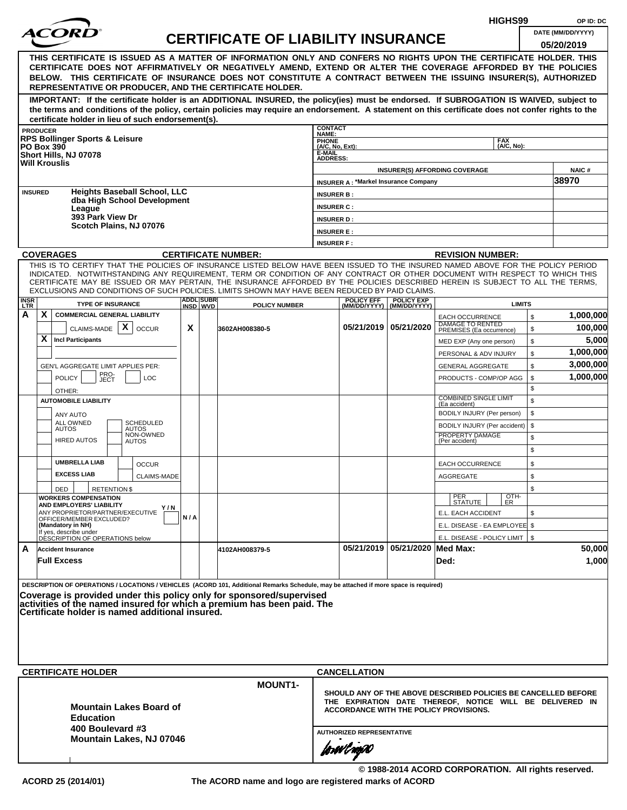|                           |                   |                                                                                                                                                                                                                                                                                                                                                                                                                  |     |                              |                                           |                                                                                                                                                                             |                                             |                                                  | HIGHS99                                                          | OP ID: DC            |
|---------------------------|-------------------|------------------------------------------------------------------------------------------------------------------------------------------------------------------------------------------------------------------------------------------------------------------------------------------------------------------------------------------------------------------------------------------------------------------|-----|------------------------------|-------------------------------------------|-----------------------------------------------------------------------------------------------------------------------------------------------------------------------------|---------------------------------------------|--------------------------------------------------|------------------------------------------------------------------|----------------------|
|                           |                   |                                                                                                                                                                                                                                                                                                                                                                                                                  |     |                              | <b>CERTIFICATE OF LIABILITY INSURANCE</b> |                                                                                                                                                                             |                                             |                                                  |                                                                  | DATE (MM/DD/YYYY)    |
|                           |                   |                                                                                                                                                                                                                                                                                                                                                                                                                  |     |                              |                                           |                                                                                                                                                                             |                                             |                                                  |                                                                  | 05/20/2019           |
|                           |                   | THIS CERTIFICATE IS ISSUED AS A MATTER OF INFORMATION ONLY AND CONFERS NO RIGHTS UPON THE CERTIFICATE HOLDER. THIS<br>CERTIFICATE DOES NOT AFFIRMATIVELY OR NEGATIVELY AMEND, EXTEND OR ALTER THE COVERAGE AFFORDED BY THE POLICIES<br>BELOW. THIS CERTIFICATE OF INSURANCE DOES NOT CONSTITUTE A CONTRACT BETWEEN THE ISSUING INSURER(S), AUTHORIZED<br>REPRESENTATIVE OR PRODUCER, AND THE CERTIFICATE HOLDER. |     |                              |                                           |                                                                                                                                                                             |                                             |                                                  |                                                                  |                      |
|                           |                   | IMPORTANT: If the certificate holder is an ADDITIONAL INSURED, the policy(ies) must be endorsed. If SUBROGATION IS WAIVED, subject to<br>the terms and conditions of the policy, certain policies may require an endorsement. A statement on this certificate does not confer rights to the<br>certificate holder in lieu of such endorsement(s).                                                                |     |                              |                                           |                                                                                                                                                                             |                                             |                                                  |                                                                  |                      |
|                           | <b>PRODUCER</b>   |                                                                                                                                                                                                                                                                                                                                                                                                                  |     |                              |                                           | <b>CONTACT</b>                                                                                                                                                              |                                             |                                                  |                                                                  |                      |
|                           | <b>PO Box 390</b> | <b>RPS Bollinger Sports &amp; Leisure</b><br>Short Hills, NJ 07078<br><b>Will Krouslis</b>                                                                                                                                                                                                                                                                                                                       |     |                              |                                           | NAME:<br>PHONE<br>(A/C, No, Ext):<br>E-MAIL<br><b>ADDRESS:</b>                                                                                                              |                                             |                                                  | <b>FAX</b><br>(A/C, No):                                         |                      |
|                           |                   |                                                                                                                                                                                                                                                                                                                                                                                                                  |     |                              |                                           |                                                                                                                                                                             |                                             |                                                  | <b>INSURER(S) AFFORDING COVERAGE</b>                             | NAIC#                |
|                           | <b>INSURED</b>    | <b>Heights Baseball School, LLC</b>                                                                                                                                                                                                                                                                                                                                                                              |     |                              |                                           |                                                                                                                                                                             | <b>INSURER A: *Markel Insurance Company</b> |                                                  |                                                                  | 38970                |
|                           |                   | dba High School Development                                                                                                                                                                                                                                                                                                                                                                                      |     |                              |                                           | <b>INSURER B:</b>                                                                                                                                                           |                                             |                                                  |                                                                  |                      |
|                           |                   | League<br>393 Park View Dr                                                                                                                                                                                                                                                                                                                                                                                       |     |                              |                                           | <b>INSURER C:</b><br><b>INSURER D:</b>                                                                                                                                      |                                             |                                                  |                                                                  |                      |
|                           |                   | Scotch Plains, NJ 07076                                                                                                                                                                                                                                                                                                                                                                                          |     |                              |                                           | <b>INSURER E:</b>                                                                                                                                                           |                                             |                                                  |                                                                  |                      |
|                           |                   |                                                                                                                                                                                                                                                                                                                                                                                                                  |     |                              |                                           | <b>INSURER F:</b>                                                                                                                                                           |                                             |                                                  |                                                                  |                      |
|                           |                   | <b>COVERAGES</b>                                                                                                                                                                                                                                                                                                                                                                                                 |     |                              | <b>CERTIFICATE NUMBER:</b>                |                                                                                                                                                                             |                                             |                                                  | <b>REVISION NUMBER:</b>                                          |                      |
|                           |                   | THIS IS TO CERTIFY THAT THE POLICIES OF INSURANCE LISTED BELOW HAVE BEEN ISSUED TO THE INSURED NAMED ABOVE FOR THE POLICY PERIOD                                                                                                                                                                                                                                                                                 |     |                              |                                           |                                                                                                                                                                             |                                             |                                                  |                                                                  |                      |
|                           |                   | INDICATED. NOTWITHSTANDING ANY REQUIREMENT, TERM OR CONDITION OF ANY CONTRACT OR OTHER DOCUMENT WITH RESPECT TO WHICH THIS<br>CERTIFICATE MAY BE ISSUED OR MAY PERTAIN, THE INSURANCE AFFORDED BY THE POLICIES DESCRIBED HEREIN IS SUBJECT TO ALL THE TERMS,<br>EXCLUSIONS AND CONDITIONS OF SUCH POLICIES. LIMITS SHOWN MAY HAVE BEEN REDUCED BY PAID CLAIMS.                                                   |     |                              |                                           |                                                                                                                                                                             |                                             |                                                  |                                                                  |                      |
| <b>INSR</b><br><b>LTR</b> |                   | <b>TYPE OF INSURANCE</b>                                                                                                                                                                                                                                                                                                                                                                                         |     | <b>ADDL SUBR</b><br>INSD WVD | <b>POLICY NUMBER</b>                      |                                                                                                                                                                             | <b>POLICY EFF</b>                           | <b>POLICY EXP</b><br>(MM/DD/YYYY)   (MM/DD/YYYY) | <b>LIMITS</b>                                                    |                      |
| A                         | X.                | <b>COMMERCIAL GENERAL LIABILITY</b><br>X<br>CLAIMS-MADE                                                                                                                                                                                                                                                                                                                                                          | X   |                              |                                           |                                                                                                                                                                             | 05/21/2019 05/21/2020                       |                                                  | \$<br><b>EACH OCCURRENCE</b><br>DAMAGE TO RENTED                 | 1,000,000<br>100,000 |
|                           | X                 | <b>OCCUR</b><br><b>Incl Participants</b>                                                                                                                                                                                                                                                                                                                                                                         |     |                              | 3602AH008380-5                            |                                                                                                                                                                             |                                             |                                                  | \$<br>PREMISES (Ea occurrence)<br>\$<br>MED EXP (Any one person) | 5,000                |
|                           |                   |                                                                                                                                                                                                                                                                                                                                                                                                                  |     |                              |                                           |                                                                                                                                                                             |                                             |                                                  | \$<br>PERSONAL & ADV INJURY                                      | 1,000,000            |
|                           |                   | GEN'L AGGREGATE LIMIT APPLIES PER:                                                                                                                                                                                                                                                                                                                                                                               |     |                              |                                           |                                                                                                                                                                             |                                             |                                                  | \$<br><b>GENERAL AGGREGATE</b>                                   | 3,000,000            |
|                           |                   | PRO-<br><b>POLICY</b><br>LOC<br>JECT                                                                                                                                                                                                                                                                                                                                                                             |     |                              |                                           |                                                                                                                                                                             |                                             |                                                  | \$<br>PRODUCTS - COMP/OP AGG                                     | 1,000,000            |
|                           |                   | OTHER:                                                                                                                                                                                                                                                                                                                                                                                                           |     |                              |                                           |                                                                                                                                                                             |                                             |                                                  | \$                                                               |                      |
|                           |                   | <b>AUTOMOBILE LIABILITY</b>                                                                                                                                                                                                                                                                                                                                                                                      |     |                              |                                           |                                                                                                                                                                             |                                             |                                                  | <b>COMBINED SINGLE LIMIT</b><br>\$<br>(Ea accident)              |                      |
|                           |                   | ANY AUTO                                                                                                                                                                                                                                                                                                                                                                                                         |     |                              |                                           |                                                                                                                                                                             |                                             |                                                  | BODILY INJURY (Per person)<br>\$                                 |                      |
|                           |                   | ALL OWNED<br><b>SCHEDULED</b><br><b>AUTOS</b><br><b>AUTOS</b>                                                                                                                                                                                                                                                                                                                                                    |     |                              |                                           |                                                                                                                                                                             |                                             |                                                  | BODILY INJURY (Per accident)<br>\$                               |                      |
|                           |                   | NON-OWNED<br><b>HIRED AUTOS</b><br><b>AUTOS</b>                                                                                                                                                                                                                                                                                                                                                                  |     |                              |                                           |                                                                                                                                                                             |                                             |                                                  | PROPERTY DAMAGE<br>\$<br>(Per accident)                          |                      |
|                           |                   |                                                                                                                                                                                                                                                                                                                                                                                                                  |     |                              |                                           |                                                                                                                                                                             |                                             |                                                  | \$                                                               |                      |
|                           |                   | <b>UMBRELLA LIAB</b><br><b>OCCUR</b><br><b>EXCESS LIAB</b>                                                                                                                                                                                                                                                                                                                                                       |     |                              |                                           |                                                                                                                                                                             |                                             |                                                  | \$<br>EACH OCCURRENCE                                            |                      |
|                           |                   | <b>CLAIMS-MADE</b>                                                                                                                                                                                                                                                                                                                                                                                               |     |                              |                                           |                                                                                                                                                                             |                                             |                                                  | <b>AGGREGATE</b><br>\$                                           |                      |
|                           |                   | DED<br><b>RETENTIONS</b><br><b>WORKERS COMPENSATION</b>                                                                                                                                                                                                                                                                                                                                                          |     |                              |                                           |                                                                                                                                                                             |                                             |                                                  | \$<br>OTH-<br>PER<br>STATUTE<br>ER                               |                      |
|                           |                   | AND EMPLOYERS' LIABILITY<br>Y / N<br>ANY PROPRIETOR/PARTNER/EXECUTIVE                                                                                                                                                                                                                                                                                                                                            |     |                              |                                           |                                                                                                                                                                             |                                             |                                                  | E.L. EACH ACCIDENT<br>\$                                         |                      |
|                           |                   | OFFICER/MEMBER EXCLUDED?<br>(Mandatory in NH)                                                                                                                                                                                                                                                                                                                                                                    | N/A |                              |                                           |                                                                                                                                                                             |                                             |                                                  | E.L. DISEASE - EA EMPLOYEE \$                                    |                      |
|                           |                   | If yes, describe under<br>DESCRIPTION OF OPERATIONS below                                                                                                                                                                                                                                                                                                                                                        |     |                              |                                           |                                                                                                                                                                             |                                             |                                                  | E.L. DISEASE - POLICY LIMIT   \$                                 |                      |
| A                         |                   | <b>Accident Insurance</b>                                                                                                                                                                                                                                                                                                                                                                                        |     |                              | 4102AH008379-5                            |                                                                                                                                                                             |                                             | 05/21/2019 05/21/2020 Med Max:                   |                                                                  | 50,000               |
|                           |                   | <b>Full Excess</b>                                                                                                                                                                                                                                                                                                                                                                                               |     |                              |                                           |                                                                                                                                                                             |                                             |                                                  | Ded:                                                             | 1,000                |
|                           |                   | DESCRIPTION OF OPERATIONS / LOCATIONS / VEHICLES (ACORD 101, Additional Remarks Schedule, may be attached if more space is required)<br>Coverage is provided under this policy only for sponsored/supervised<br>activities of the named insured for which a premium has been paid. The<br>Certificate holder is named additional insured.                                                                        |     |                              |                                           |                                                                                                                                                                             |                                             |                                                  |                                                                  |                      |
|                           |                   | <b>CERTIFICATE HOLDER</b>                                                                                                                                                                                                                                                                                                                                                                                        |     |                              |                                           |                                                                                                                                                                             | <b>CANCELLATION</b>                         |                                                  |                                                                  |                      |
|                           |                   | <b>Mountain Lakes Board of</b><br><b>Education</b>                                                                                                                                                                                                                                                                                                                                                               |     |                              | <b>MOUNT1-</b>                            | SHOULD ANY OF THE ABOVE DESCRIBED POLICIES BE CANCELLED BEFORE<br>THE EXPIRATION DATE THEREOF, NOTICE WILL BE DELIVERED IN<br><b>ACCORDANCE WITH THE POLICY PROVISIONS.</b> |                                             |                                                  |                                                                  |                      |
|                           |                   | 400 Boulevard #3<br>Mountain Lakes, NJ 07046                                                                                                                                                                                                                                                                                                                                                                     |     |                              |                                           | <b>AUTHORIZED REPRESENTATIVE</b><br>forwingso                                                                                                                               |                                             |                                                  |                                                                  |                      |
|                           |                   |                                                                                                                                                                                                                                                                                                                                                                                                                  |     |                              |                                           |                                                                                                                                                                             |                                             |                                                  |                                                                  |                      |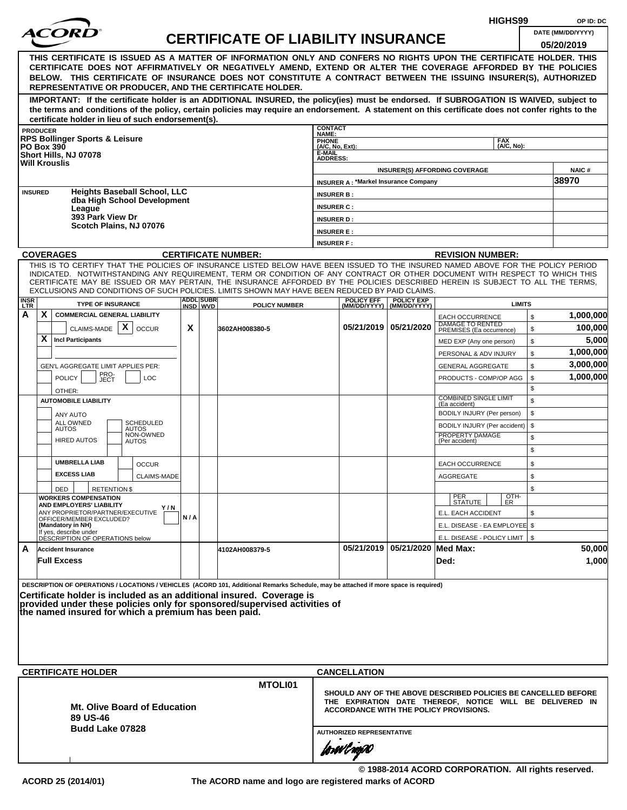|                    |                                            |                                                           |                                                      |     |                               |                                                                                                                                                                                                                                                              |                                        |                                             |                                                  |                                                                | HIGHS99            |              | OP ID: DC             |
|--------------------|--------------------------------------------|-----------------------------------------------------------|------------------------------------------------------|-----|-------------------------------|--------------------------------------------------------------------------------------------------------------------------------------------------------------------------------------------------------------------------------------------------------------|----------------------------------------|---------------------------------------------|--------------------------------------------------|----------------------------------------------------------------|--------------------|--------------|-----------------------|
|                    |                                            |                                                           |                                                      |     |                               | <b>CERTIFICATE OF LIABILITY INSURANCE</b>                                                                                                                                                                                                                    |                                        |                                             |                                                  |                                                                |                    |              | DATE (MM/DD/YYYY)     |
|                    |                                            |                                                           |                                                      |     |                               |                                                                                                                                                                                                                                                              |                                        |                                             |                                                  |                                                                |                    |              | 05/20/2019            |
|                    |                                            |                                                           |                                                      |     |                               | THIS CERTIFICATE IS ISSUED AS A MATTER OF INFORMATION ONLY AND CONFERS NO RIGHTS UPON THE CERTIFICATE HOLDER. THIS<br>CERTIFICATE DOES NOT AFFIRMATIVELY OR NEGATIVELY AMEND, EXTEND OR ALTER THE COVERAGE AFFORDED BY THE POLICIES                          |                                        |                                             |                                                  |                                                                |                    |              |                       |
|                    |                                            |                                                           |                                                      |     |                               | BELOW. THIS CERTIFICATE OF INSURANCE DOES NOT CONSTITUTE A CONTRACT BETWEEN THE ISSUING INSURER(S), AUTHORIZED                                                                                                                                               |                                        |                                             |                                                  |                                                                |                    |              |                       |
|                    |                                            |                                                           |                                                      |     |                               | REPRESENTATIVE OR PRODUCER, AND THE CERTIFICATE HOLDER.                                                                                                                                                                                                      |                                        |                                             |                                                  |                                                                |                    |              |                       |
|                    |                                            |                                                           |                                                      |     |                               | IMPORTANT: If the certificate holder is an ADDITIONAL INSURED, the policy(ies) must be endorsed. If SUBROGATION IS WAIVED, subject to                                                                                                                        |                                        |                                             |                                                  |                                                                |                    |              |                       |
|                    |                                            |                                                           |                                                      |     |                               | the terms and conditions of the policy, certain policies may require an endorsement. A statement on this certificate does not confer rights to the                                                                                                           |                                        |                                             |                                                  |                                                                |                    |              |                       |
|                    | <b>PRODUCER</b>                            |                                                           | certificate holder in lieu of such endorsement(s).   |     |                               |                                                                                                                                                                                                                                                              | <b>CONTACT</b>                         |                                             |                                                  |                                                                |                    |              |                       |
|                    |                                            | <b>RPS Bollinger Sports &amp; Leisure</b>                 |                                                      |     |                               |                                                                                                                                                                                                                                                              | NAME:<br><b>PHONE</b>                  |                                             |                                                  |                                                                | <b>FAX</b>         |              |                       |
|                    | <b>PO Box 390</b><br>Short Hills, NJ 07078 |                                                           |                                                      |     |                               |                                                                                                                                                                                                                                                              | (A/C, No, Ext):<br>E-MAIL              |                                             |                                                  |                                                                | (A/C. No):         |              |                       |
|                    | <b>Will Krouslis</b>                       |                                                           |                                                      |     |                               |                                                                                                                                                                                                                                                              | <b>ADDRESS:</b>                        |                                             |                                                  |                                                                |                    |              |                       |
|                    |                                            |                                                           |                                                      |     |                               |                                                                                                                                                                                                                                                              |                                        | <b>INSURER A: *Markel Insurance Company</b> |                                                  | <b>INSURER(S) AFFORDING COVERAGE</b>                           |                    |              | <b>NAIC#</b><br>38970 |
|                    | <b>INSURED</b>                             |                                                           | <b>Heights Baseball School, LLC</b>                  |     |                               |                                                                                                                                                                                                                                                              |                                        |                                             |                                                  |                                                                |                    |              |                       |
|                    |                                            |                                                           | dba High School Development                          |     |                               |                                                                                                                                                                                                                                                              | <b>INSURER B:</b><br><b>INSURER C:</b> |                                             |                                                  |                                                                |                    |              |                       |
|                    |                                            | League<br>393 Park View Dr                                |                                                      |     |                               |                                                                                                                                                                                                                                                              | <b>INSURER D:</b>                      |                                             |                                                  |                                                                |                    |              |                       |
|                    |                                            |                                                           | Scotch Plains, NJ 07076                              |     |                               |                                                                                                                                                                                                                                                              | <b>INSURER E:</b>                      |                                             |                                                  |                                                                |                    |              |                       |
|                    |                                            |                                                           |                                                      |     |                               |                                                                                                                                                                                                                                                              | <b>INSURER F:</b>                      |                                             |                                                  |                                                                |                    |              |                       |
|                    | <b>COVERAGES</b>                           |                                                           |                                                      |     |                               | <b>CERTIFICATE NUMBER:</b>                                                                                                                                                                                                                                   |                                        |                                             |                                                  | <b>REVISION NUMBER:</b>                                        |                    |              |                       |
|                    |                                            |                                                           |                                                      |     |                               | THIS IS TO CERTIFY THAT THE POLICIES OF INSURANCE LISTED BELOW HAVE BEEN ISSUED TO THE INSURED NAMED ABOVE FOR THE POLICY PERIOD                                                                                                                             |                                        |                                             |                                                  |                                                                |                    |              |                       |
|                    |                                            |                                                           |                                                      |     |                               | INDICATED. NOTWITHSTANDING ANY REQUIREMENT, TERM OR CONDITION OF ANY CONTRACT OR OTHER DOCUMENT WITH RESPECT TO WHICH THIS<br>CERTIFICATE MAY BE ISSUED OR MAY PERTAIN, THE INSURANCE AFFORDED BY THE POLICIES DESCRIBED HEREIN IS SUBJECT TO ALL THE TERMS. |                                        |                                             |                                                  |                                                                |                    |              |                       |
|                    |                                            |                                                           |                                                      |     |                               | EXCLUSIONS AND CONDITIONS OF SUCH POLICIES. LIMITS SHOWN MAY HAVE BEEN REDUCED BY PAID CLAIMS.                                                                                                                                                               |                                        |                                             |                                                  |                                                                |                    |              |                       |
| <b>INSR</b><br>LTR |                                            | <b>TYPE OF INSURANCE</b>                                  |                                                      |     | <b>ADDLISUBRI</b><br>INSD WVD | <b>POLICY NUMBER</b>                                                                                                                                                                                                                                         |                                        | <b>POLICY EFF</b>                           | <b>POLICY EXP</b><br>(MM/DD/YYYY)   (MM/DD/YYYY) |                                                                | <b>LIMITS</b>      |              |                       |
| А                  | X                                          |                                                           | <b>COMMERCIAL GENERAL LIABILITY</b>                  |     |                               |                                                                                                                                                                                                                                                              |                                        |                                             |                                                  | <b>EACH OCCURRENCE</b>                                         |                    | $\mathbb{S}$ | 1,000,000             |
|                    |                                            | CLAIMS-MADE $\mathbf{X}$                                  | <b>OCCUR</b>                                         | X   |                               | 3602AH008380-5                                                                                                                                                                                                                                               |                                        |                                             | 05/21/2019   05/21/2020                          | DAMAGE TO RENTED<br>PREMISES (Ea occurrence)                   |                    | \$           | 100,000               |
|                    | X                                          | <b>Incl Participants</b>                                  |                                                      |     |                               |                                                                                                                                                                                                                                                              |                                        |                                             |                                                  | MED EXP (Any one person)                                       |                    | \$           | 5,000                 |
|                    |                                            |                                                           |                                                      |     |                               |                                                                                                                                                                                                                                                              |                                        |                                             |                                                  | PERSONAL & ADV INJURY                                          |                    | \$           | 1,000,000             |
|                    |                                            |                                                           | GEN'L AGGREGATE LIMIT APPLIES PER:                   |     |                               |                                                                                                                                                                                                                                                              |                                        |                                             |                                                  | <b>GENERAL AGGREGATE</b>                                       |                    | \$           | 3,000,000             |
|                    | <b>POLICY</b>                              | PRO-<br>JECT                                              | <b>LOC</b>                                           |     |                               |                                                                                                                                                                                                                                                              |                                        |                                             |                                                  | PRODUCTS - COMP/OP AGG                                         |                    | \$           | 1,000,000             |
|                    | OTHER:                                     |                                                           |                                                      |     |                               |                                                                                                                                                                                                                                                              |                                        |                                             |                                                  | <b>COMBINED SINGLE LIMIT</b>                                   |                    | \$           |                       |
|                    |                                            | <b>AUTOMOBILE LIABILITY</b>                               |                                                      |     |                               |                                                                                                                                                                                                                                                              |                                        |                                             |                                                  | (Ea accident)                                                  |                    | \$           |                       |
|                    | ANY AUTO<br>ALL OWNED                      |                                                           | SCHEDULED                                            |     |                               |                                                                                                                                                                                                                                                              |                                        |                                             |                                                  | BODILY INJURY (Per person)                                     |                    | \$           |                       |
|                    | <b>AUTOS</b>                               |                                                           | <b>AUTOS</b><br>NON-OWNED                            |     |                               |                                                                                                                                                                                                                                                              |                                        |                                             |                                                  | BODILY INJURY (Per accident)<br>PROPERTY DAMAGE                |                    | \$<br>\$     |                       |
|                    |                                            | <b>HIRED AUTOS</b>                                        | <b>AUTOS</b>                                         |     |                               |                                                                                                                                                                                                                                                              |                                        |                                             |                                                  | (Per accident)                                                 |                    | \$           |                       |
|                    |                                            | <b>UMBRELLA LIAB</b>                                      |                                                      |     |                               |                                                                                                                                                                                                                                                              |                                        |                                             |                                                  |                                                                |                    | \$           |                       |
|                    | <b>EXCESS LIAB</b>                         |                                                           | <b>OCCUR</b><br>CLAIMS-MADE                          |     |                               |                                                                                                                                                                                                                                                              |                                        |                                             |                                                  | <b>EACH OCCURRENCE</b><br><b>AGGREGATE</b>                     |                    | \$           |                       |
|                    | DED                                        | <b>RETENTION \$</b>                                       |                                                      |     |                               |                                                                                                                                                                                                                                                              |                                        |                                             |                                                  |                                                                |                    | \$           |                       |
|                    |                                            | <b>WORKERS COMPENSATION</b>                               |                                                      |     |                               |                                                                                                                                                                                                                                                              |                                        |                                             |                                                  | PER<br>STATUTE                                                 | $\frac{[OTH]}{ER}$ |              |                       |
|                    |                                            | AND EMPLOYERS' LIABILITY                                  | Y / N<br>ANY PROPRIETOR/PARTNER/EXECUTIVE            |     |                               |                                                                                                                                                                                                                                                              |                                        |                                             |                                                  | E.L. EACH ACCIDENT                                             |                    | \$           |                       |
|                    | (Mandatory in NH)                          | OFFICER/MEMBER EXCLUDED?                                  |                                                      | N/A |                               |                                                                                                                                                                                                                                                              |                                        |                                             |                                                  | E.L. DISEASE - EA EMPLOYEE \$                                  |                    |              |                       |
|                    |                                            | If yes, describe under<br>DESCRIPTION OF OPERATIONS below |                                                      |     |                               |                                                                                                                                                                                                                                                              |                                        |                                             |                                                  | E.L. DISEASE - POLICY LIMIT   \$                               |                    |              |                       |
| A                  | <b>Accident Insurance</b>                  |                                                           |                                                      |     |                               | 4102AH008379-5                                                                                                                                                                                                                                               |                                        |                                             | 05/21/2019   05/21/2020   Med Max:               |                                                                |                    |              | 50,000                |
|                    | <b>Full Excess</b>                         |                                                           |                                                      |     |                               |                                                                                                                                                                                                                                                              |                                        |                                             |                                                  | Ded:                                                           |                    |              | 1,000                 |
|                    |                                            |                                                           |                                                      |     |                               |                                                                                                                                                                                                                                                              |                                        |                                             |                                                  |                                                                |                    |              |                       |
|                    |                                            |                                                           |                                                      |     |                               | DESCRIPTION OF OPERATIONS / LOCATIONS / VEHICLES (ACORD 101, Additional Remarks Schedule, may be attached if more space is required)                                                                                                                         |                                        |                                             |                                                  |                                                                |                    |              |                       |
|                    |                                            |                                                           |                                                      |     |                               | Certificate holder is included as an additional insured. Coverage is<br>provided under these policies only for sponsored/supervised activities of                                                                                                            |                                        |                                             |                                                  |                                                                |                    |              |                       |
|                    |                                            |                                                           | the named insured for which a premium has been paid. |     |                               |                                                                                                                                                                                                                                                              |                                        |                                             |                                                  |                                                                |                    |              |                       |
|                    |                                            |                                                           |                                                      |     |                               |                                                                                                                                                                                                                                                              |                                        |                                             |                                                  |                                                                |                    |              |                       |
|                    |                                            |                                                           |                                                      |     |                               |                                                                                                                                                                                                                                                              |                                        |                                             |                                                  |                                                                |                    |              |                       |
|                    |                                            |                                                           |                                                      |     |                               |                                                                                                                                                                                                                                                              |                                        |                                             |                                                  |                                                                |                    |              |                       |
|                    |                                            |                                                           |                                                      |     |                               |                                                                                                                                                                                                                                                              |                                        |                                             |                                                  |                                                                |                    |              |                       |
|                    |                                            | <b>CERTIFICATE HOLDER</b>                                 |                                                      |     |                               |                                                                                                                                                                                                                                                              |                                        | <b>CANCELLATION</b>                         |                                                  |                                                                |                    |              |                       |
|                    |                                            |                                                           |                                                      |     |                               | MTOLI01                                                                                                                                                                                                                                                      |                                        |                                             |                                                  | SHOULD ANY OF THE ABOVE DESCRIBED POLICIES BE CANCELLED BEFORE |                    |              |                       |
|                    |                                            |                                                           |                                                      |     |                               |                                                                                                                                                                                                                                                              |                                        |                                             |                                                  | THE EXPIRATION DATE THEREOF, NOTICE WILL BE DELIVERED IN       |                    |              |                       |
|                    |                                            | 89 US-46                                                  | <b>Mt. Olive Board of Education</b>                  |     |                               |                                                                                                                                                                                                                                                              |                                        |                                             |                                                  | <b>ACCORDANCE WITH THE POLICY PROVISIONS.</b>                  |                    |              |                       |
|                    |                                            | <b>Budd Lake 07828</b>                                    |                                                      |     |                               |                                                                                                                                                                                                                                                              |                                        |                                             |                                                  |                                                                |                    |              |                       |
|                    |                                            |                                                           |                                                      |     |                               |                                                                                                                                                                                                                                                              | <b>AUTHORIZED REPRESENTATIVE</b>       |                                             |                                                  |                                                                |                    |              |                       |
|                    |                                            |                                                           |                                                      |     |                               |                                                                                                                                                                                                                                                              |                                        | forwl now                                   |                                                  |                                                                |                    |              |                       |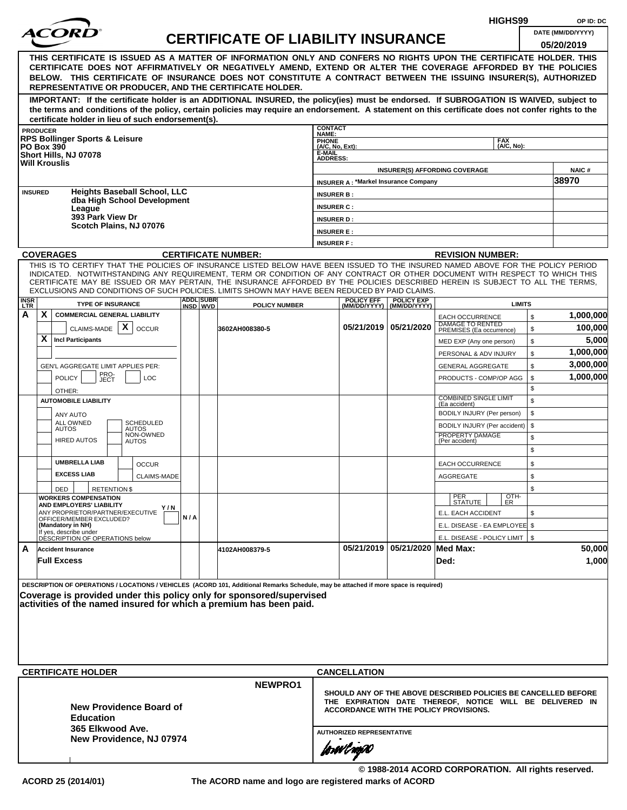|             |                                                                                                                                                                                                                                                                                                                                                                                                                  |     |                  |                                           | HIGHS99                          |                     |                                             |                                                                                                                                                                      |          | OP ID: DC         |
|-------------|------------------------------------------------------------------------------------------------------------------------------------------------------------------------------------------------------------------------------------------------------------------------------------------------------------------------------------------------------------------------------------------------------------------|-----|------------------|-------------------------------------------|----------------------------------|---------------------|---------------------------------------------|----------------------------------------------------------------------------------------------------------------------------------------------------------------------|----------|-------------------|
|             | COR                                                                                                                                                                                                                                                                                                                                                                                                              |     |                  | <b>CERTIFICATE OF LIABILITY INSURANCE</b> |                                  |                     |                                             |                                                                                                                                                                      |          | DATE (MM/DD/YYYY) |
|             | THIS CERTIFICATE IS ISSUED AS A MATTER OF INFORMATION ONLY AND CONFERS NO RIGHTS UPON THE CERTIFICATE HOLDER. THIS<br>CERTIFICATE DOES NOT AFFIRMATIVELY OR NEGATIVELY AMEND, EXTEND OR ALTER THE COVERAGE AFFORDED BY THE POLICIES<br>BELOW. THIS CERTIFICATE OF INSURANCE DOES NOT CONSTITUTE A CONTRACT BETWEEN THE ISSUING INSURER(S), AUTHORIZED<br>REPRESENTATIVE OR PRODUCER, AND THE CERTIFICATE HOLDER. |     |                  |                                           |                                  |                     |                                             |                                                                                                                                                                      |          | 05/20/2019        |
|             | IMPORTANT: If the certificate holder is an ADDITIONAL INSURED, the policy(ies) must be endorsed. If SUBROGATION IS WAIVED, subject to<br>the terms and conditions of the policy, certain policies may require an endorsement. A statement on this certificate does not confer rights to the                                                                                                                      |     |                  |                                           |                                  |                     |                                             |                                                                                                                                                                      |          |                   |
|             | certificate holder in lieu of such endorsement(s).<br><b>PRODUCER</b>                                                                                                                                                                                                                                                                                                                                            |     |                  |                                           | <b>CONTACT</b>                   |                     |                                             |                                                                                                                                                                      |          |                   |
|             | <b>RPS Bollinger Sports &amp; Leisure</b>                                                                                                                                                                                                                                                                                                                                                                        |     |                  |                                           | NAME:<br><b>PHONE</b>            |                     |                                             | <b>FAX</b>                                                                                                                                                           |          |                   |
|             | <b>PO Box 390</b><br>Short Hills, NJ 07078                                                                                                                                                                                                                                                                                                                                                                       |     |                  |                                           | (A/C, No, Ext):<br>E-MAIL        |                     |                                             | (A/C, No):                                                                                                                                                           |          |                   |
|             | <b>Will Krouslis</b>                                                                                                                                                                                                                                                                                                                                                                                             |     |                  |                                           | <b>ADDRESS:</b>                  |                     |                                             |                                                                                                                                                                      |          |                   |
|             |                                                                                                                                                                                                                                                                                                                                                                                                                  |     |                  |                                           |                                  |                     |                                             | <b>INSURER(S) AFFORDING COVERAGE</b>                                                                                                                                 |          | <b>NAIC#</b>      |
|             | <b>Heights Baseball School, LLC</b><br><b>INSURED</b>                                                                                                                                                                                                                                                                                                                                                            |     |                  |                                           |                                  |                     | <b>INSURER A: *Markel Insurance Company</b> |                                                                                                                                                                      |          | 38970             |
|             | dba High School Development                                                                                                                                                                                                                                                                                                                                                                                      |     |                  |                                           | <b>INSURER B:</b>                |                     |                                             |                                                                                                                                                                      |          |                   |
|             | League<br>393 Park View Dr                                                                                                                                                                                                                                                                                                                                                                                       |     |                  |                                           | <b>INSURER C:</b>                |                     |                                             |                                                                                                                                                                      |          |                   |
|             | Scotch Plains, NJ 07076                                                                                                                                                                                                                                                                                                                                                                                          |     |                  |                                           | <b>INSURER D:</b>                |                     |                                             |                                                                                                                                                                      |          |                   |
|             |                                                                                                                                                                                                                                                                                                                                                                                                                  |     |                  |                                           | <b>INSURER E:</b>                |                     |                                             |                                                                                                                                                                      |          |                   |
|             |                                                                                                                                                                                                                                                                                                                                                                                                                  |     |                  | <b>CERTIFICATE NUMBER:</b>                | <b>INSURER F:</b>                |                     |                                             |                                                                                                                                                                      |          |                   |
|             | <b>COVERAGES</b><br>THIS IS TO CERTIFY THAT THE POLICIES OF INSURANCE LISTED BELOW HAVE BEEN ISSUED TO THE INSURED NAMED ABOVE FOR THE POLICY PERIOD                                                                                                                                                                                                                                                             |     |                  |                                           |                                  |                     |                                             | <b>REVISION NUMBER:</b>                                                                                                                                              |          |                   |
| <b>INSR</b> | INDICATED. NOTWITHSTANDING ANY REQUIREMENT, TERM OR CONDITION OF ANY CONTRACT OR OTHER DOCUMENT WITH RESPECT TO WHICH THIS<br>CERTIFICATE MAY BE ISSUED OR MAY PERTAIN, THE INSURANCE AFFORDED BY THE POLICIES DESCRIBED HEREIN IS SUBJECT TO ALL THE TERMS.<br>EXCLUSIONS AND CONDITIONS OF SUCH POLICIES. LIMITS SHOWN MAY HAVE BEEN REDUCED BY PAID CLAIMS.                                                   |     | <b>ADDL SUBR</b> |                                           |                                  | <b>POLICY EFF</b>   | <b>POLICY EXP</b>                           |                                                                                                                                                                      |          |                   |
| <b>LTR</b>  | <b>TYPE OF INSURANCE</b>                                                                                                                                                                                                                                                                                                                                                                                         |     | INSD WVD         | <b>POLICY NUMBER</b>                      |                                  | (MM/DD/YYYY)        | (MM/DD/YYYY)                                | <b>LIMITS</b>                                                                                                                                                        |          |                   |
| A           | X<br><b>COMMERCIAL GENERAL LIABILITY</b>                                                                                                                                                                                                                                                                                                                                                                         |     |                  |                                           |                                  |                     |                                             | <b>EACH OCCURRENCE</b><br><b>DAMAGE TO RENTED</b>                                                                                                                    | \$       | 1,000,000         |
|             | X<br>CLAIMS-MADE<br><b>OCCUR</b>                                                                                                                                                                                                                                                                                                                                                                                 |     |                  | 3602AH008380-5                            |                                  |                     | 05/21/2019   05/21/2020                     | PREMISES (Ea occurrence)                                                                                                                                             | \$       | 100,000           |
|             | X<br><b>Incl Participants</b>                                                                                                                                                                                                                                                                                                                                                                                    |     |                  |                                           |                                  |                     |                                             | MED EXP (Any one person)                                                                                                                                             | \$       | 5,000             |
|             |                                                                                                                                                                                                                                                                                                                                                                                                                  |     |                  |                                           |                                  |                     |                                             | PERSONAL & ADV INJURY                                                                                                                                                | \$       | 1,000,000         |
|             | GEN'L AGGREGATE LIMIT APPLIES PER:                                                                                                                                                                                                                                                                                                                                                                               |     |                  |                                           |                                  |                     |                                             | <b>GENERAL AGGREGATE</b>                                                                                                                                             | \$       | 3,000,000         |
|             | PRO-<br>JECT<br><b>POLICY</b><br><b>LOC</b>                                                                                                                                                                                                                                                                                                                                                                      |     |                  |                                           |                                  |                     |                                             | PRODUCTS - COMP/OP AGG                                                                                                                                               | \$       | 1,000,000         |
|             | OTHER:                                                                                                                                                                                                                                                                                                                                                                                                           |     |                  |                                           |                                  |                     |                                             |                                                                                                                                                                      | \$       |                   |
|             | <b>AUTOMOBILE LIABILITY</b>                                                                                                                                                                                                                                                                                                                                                                                      |     |                  |                                           |                                  |                     |                                             | <b>COMBINED SINGLE LIMIT</b><br>(Ea accident)                                                                                                                        | \$       |                   |
|             | ANY AUTO                                                                                                                                                                                                                                                                                                                                                                                                         |     |                  |                                           |                                  |                     |                                             | BODILY INJURY (Per person)                                                                                                                                           | \$       |                   |
|             | <b>ALL OWNED</b><br><b>SCHEDULED</b><br><b>AUTOS</b><br><b>AUTOS</b>                                                                                                                                                                                                                                                                                                                                             |     |                  |                                           |                                  |                     |                                             | BODILY INJURY (Per accident)                                                                                                                                         | \$       |                   |
|             | NON-OWNED<br><b>HIRED AUTOS</b><br><b>AUTOS</b>                                                                                                                                                                                                                                                                                                                                                                  |     |                  |                                           |                                  |                     |                                             | PROPERTY DAMAGE<br>(Per accident)                                                                                                                                    | \$<br>\$ |                   |
|             | <b>UMBRELLA LIAB</b><br><b>OCCUR</b>                                                                                                                                                                                                                                                                                                                                                                             |     |                  |                                           |                                  |                     |                                             | <b>EACH OCCURRENCE</b>                                                                                                                                               | \$       |                   |
|             | <b>EXCESS LIAB</b><br>CLAIMS-MADE                                                                                                                                                                                                                                                                                                                                                                                |     |                  |                                           |                                  |                     |                                             | AGGREGATE                                                                                                                                                            | \$       |                   |
|             | <b>RETENTION \$</b><br>DED                                                                                                                                                                                                                                                                                                                                                                                       |     |                  |                                           |                                  |                     |                                             |                                                                                                                                                                      | \$       |                   |
|             | <b>WORKERS COMPENSATION</b>                                                                                                                                                                                                                                                                                                                                                                                      |     |                  |                                           |                                  |                     |                                             | OTH-<br>PER<br>STATUTE<br>ER                                                                                                                                         |          |                   |
|             | AND EMPLOYERS' LIABILITY<br>Y / N<br>ANY PROPRIETOR/PARTNER/EXECUTIVE<br>OFFICER/MEMBER EXCLUDED?                                                                                                                                                                                                                                                                                                                |     |                  |                                           |                                  |                     |                                             | E.L. EACH ACCIDENT                                                                                                                                                   | \$       |                   |
|             | (Mandatory in NH)                                                                                                                                                                                                                                                                                                                                                                                                | N/A |                  |                                           |                                  |                     |                                             | E.L. DISEASE - EA EMPLOYEE \$                                                                                                                                        |          |                   |
|             | If yes, describe under<br>DESCRIPTION OF OPERATIONS below                                                                                                                                                                                                                                                                                                                                                        |     |                  |                                           |                                  |                     |                                             | E.L. DISEASE - POLICY LIMIT   \$                                                                                                                                     |          |                   |
| A           | <b>Accident Insurance</b>                                                                                                                                                                                                                                                                                                                                                                                        |     |                  | 4102AH008379-5                            |                                  | 05/21/2019          | 05/21/2020 Med Max:                         |                                                                                                                                                                      |          | 50,000            |
|             | <b>Full Excess</b>                                                                                                                                                                                                                                                                                                                                                                                               |     |                  |                                           |                                  |                     |                                             | Ded:                                                                                                                                                                 |          | 1,000             |
|             | DESCRIPTION OF OPERATIONS / LOCATIONS / VEHICLES (ACORD 101, Additional Remarks Schedule, may be attached if more space is required)<br>Coverage is provided under this policy only for sponsored/supervised<br> activities of the named insured for which a premium has been paid.                                                                                                                              |     |                  |                                           |                                  |                     |                                             |                                                                                                                                                                      |          |                   |
|             | <b>CERTIFICATE HOLDER</b>                                                                                                                                                                                                                                                                                                                                                                                        |     |                  |                                           |                                  | <b>CANCELLATION</b> |                                             |                                                                                                                                                                      |          |                   |
|             | New Providence Board of<br><b>Education</b><br>365 Elkwood Ave.                                                                                                                                                                                                                                                                                                                                                  |     |                  | NEWPRO1                                   |                                  |                     |                                             | SHOULD ANY OF THE ABOVE DESCRIBED POLICIES BE CANCELLED BEFORE<br>THE EXPIRATION DATE THEREOF, NOTICE WILL BE DELIVERED IN<br>ACCORDANCE WITH THE POLICY PROVISIONS. |          |                   |
|             | New Providence, NJ 07974                                                                                                                                                                                                                                                                                                                                                                                         |     |                  |                                           | <b>AUTHORIZED REPRESENTATIVE</b> |                     |                                             |                                                                                                                                                                      |          |                   |
|             |                                                                                                                                                                                                                                                                                                                                                                                                                  |     |                  |                                           |                                  | forwingso           |                                             |                                                                                                                                                                      |          |                   |
|             |                                                                                                                                                                                                                                                                                                                                                                                                                  |     |                  |                                           |                                  |                     |                                             |                                                                                                                                                                      |          |                   |

**© 1988-2014 ACORD CORPORATION. All rights reserved.**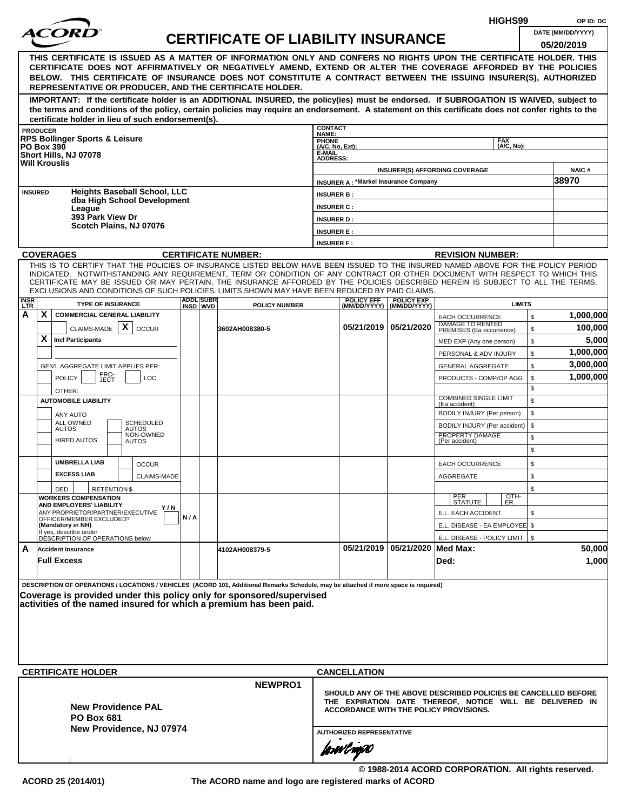|                |                                                                                                                                                                                                                                                                                                                                                                                                                                                                                                                                |     |                  |                                           |                                        |                                                         |                                | HIGHS99                                                                                                                                                                     | OP ID: DC                       |
|----------------|--------------------------------------------------------------------------------------------------------------------------------------------------------------------------------------------------------------------------------------------------------------------------------------------------------------------------------------------------------------------------------------------------------------------------------------------------------------------------------------------------------------------------------|-----|------------------|-------------------------------------------|----------------------------------------|---------------------------------------------------------|--------------------------------|-----------------------------------------------------------------------------------------------------------------------------------------------------------------------------|---------------------------------|
|                | <i>ACORI</i>                                                                                                                                                                                                                                                                                                                                                                                                                                                                                                                   |     |                  | <b>CERTIFICATE OF LIABILITY INSURANCE</b> |                                        |                                                         |                                |                                                                                                                                                                             | DATE (MM/DD/YYYY)<br>05/20/2019 |
|                | THIS CERTIFICATE IS ISSUED AS A MATTER OF INFORMATION ONLY AND CONFERS NO RIGHTS UPON THE CERTIFICATE HOLDER. THIS<br>CERTIFICATE DOES NOT AFFIRMATIVELY OR NEGATIVELY AMEND, EXTEND OR ALTER THE COVERAGE AFFORDED BY THE POLICIES<br>BELOW. THIS CERTIFICATE OF INSURANCE DOES NOT CONSTITUTE A CONTRACT BETWEEN THE ISSUING INSURER(S), AUTHORIZED<br>REPRESENTATIVE OR PRODUCER, AND THE CERTIFICATE HOLDER.                                                                                                               |     |                  |                                           |                                        |                                                         |                                |                                                                                                                                                                             |                                 |
|                | IMPORTANT: If the certificate holder is an ADDITIONAL INSURED, the policy(ies) must be endorsed. If SUBROGATION IS WAIVED, subject to<br>the terms and conditions of the policy, certain policies may require an endorsement. A statement on this certificate does not confer rights to the<br>certificate holder in lieu of such endorsement(s).                                                                                                                                                                              |     |                  |                                           |                                        |                                                         |                                |                                                                                                                                                                             |                                 |
|                | <b>PRODUCER</b>                                                                                                                                                                                                                                                                                                                                                                                                                                                                                                                |     |                  |                                           | <b>CONTACT</b><br>NAME:                |                                                         |                                |                                                                                                                                                                             |                                 |
|                | <b>RPS Bollinger Sports &amp; Leisure</b><br><b>PO Box 390</b>                                                                                                                                                                                                                                                                                                                                                                                                                                                                 |     |                  |                                           | <b>PHONE</b><br>(A/C, No, Ext):        |                                                         |                                | <b>FAX</b><br>(A/C, No):                                                                                                                                                    |                                 |
|                | Short Hills, NJ 07078<br><b>Will Krouslis</b>                                                                                                                                                                                                                                                                                                                                                                                                                                                                                  |     |                  |                                           | <b>E-MAIL</b><br><b>ADDRESS:</b>       |                                                         |                                | <b>INSURER(S) AFFORDING COVERAGE</b>                                                                                                                                        | NAIC#                           |
|                |                                                                                                                                                                                                                                                                                                                                                                                                                                                                                                                                |     |                  |                                           |                                        | <b>INSURER A: *Markel Insurance Company</b>             |                                |                                                                                                                                                                             | 38970                           |
| <b>INSURED</b> | <b>Heights Baseball School, LLC</b><br>dba High School Development                                                                                                                                                                                                                                                                                                                                                                                                                                                             |     |                  |                                           | <b>INSURER B:</b>                      |                                                         |                                |                                                                                                                                                                             |                                 |
|                | League<br>393 Park View Dr                                                                                                                                                                                                                                                                                                                                                                                                                                                                                                     |     |                  |                                           | <b>INSURER C:</b><br><b>INSURER D:</b> |                                                         |                                |                                                                                                                                                                             |                                 |
|                | Scotch Plains, NJ 07076                                                                                                                                                                                                                                                                                                                                                                                                                                                                                                        |     |                  |                                           | <b>INSURER E:</b>                      |                                                         |                                |                                                                                                                                                                             |                                 |
|                |                                                                                                                                                                                                                                                                                                                                                                                                                                                                                                                                |     |                  |                                           | <b>INSURER F:</b>                      |                                                         |                                |                                                                                                                                                                             |                                 |
|                | <b>COVERAGES</b>                                                                                                                                                                                                                                                                                                                                                                                                                                                                                                               |     |                  | <b>CERTIFICATE NUMBER:</b>                |                                        |                                                         |                                | <b>REVISION NUMBER:</b>                                                                                                                                                     |                                 |
| <b>INSR</b>    | THIS IS TO CERTIFY THAT THE POLICIES OF INSURANCE LISTED BELOW HAVE BEEN ISSUED TO THE INSURED NAMED ABOVE FOR THE POLICY PERIOD<br>INDICATED. NOTWITHSTANDING ANY REQUIREMENT, TERM OR CONDITION OF ANY CONTRACT OR OTHER DOCUMENT WITH RESPECT TO WHICH THIS<br>CERTIFICATE MAY BE ISSUED OR MAY PERTAIN, THE INSURANCE AFFORDED BY THE POLICIES DESCRIBED HEREIN IS SUBJECT TO ALL THE TERMS,<br>EXCLUSIONS AND CONDITIONS OF SUCH POLICIES. LIMITS SHOWN MAY HAVE BEEN REDUCED BY PAID CLAIMS.<br><b>TYPE OF INSURANCE</b> |     | <b>ADDL SUBR</b> |                                           |                                        | <b>POLICY EFF</b>                                       | <b>POLICY EXP</b>              | <b>LIMITS</b>                                                                                                                                                               |                                 |
| LTR.<br>A      | X.<br><b>COMMERCIAL GENERAL LIABILITY</b>                                                                                                                                                                                                                                                                                                                                                                                                                                                                                      |     | INSD WVD         | <b>POLICY NUMBER</b>                      |                                        |                                                         | (MM/DD/YYYY)   (MM/DD/YYYY)    | \$<br><b>EACH OCCURRENCE</b>                                                                                                                                                | 1,000,000                       |
|                | CLAIMS-MADE $\mathbf{X}$<br><b>OCCUR</b>                                                                                                                                                                                                                                                                                                                                                                                                                                                                                       |     |                  | 3602AH008380-5                            |                                        |                                                         | 05/21/2019 05/21/2020          | DAMAGE TO RENTED<br>\$<br>PREMISES (Ea occurrence)                                                                                                                          | 100,000                         |
|                | X.<br><b>Incl Participants</b>                                                                                                                                                                                                                                                                                                                                                                                                                                                                                                 |     |                  |                                           |                                        |                                                         |                                | \$<br>MED EXP (Any one person)                                                                                                                                              | 5,000                           |
|                |                                                                                                                                                                                                                                                                                                                                                                                                                                                                                                                                |     |                  |                                           |                                        |                                                         |                                | \$<br>PERSONAL & ADV INJURY                                                                                                                                                 | 1,000,000                       |
|                | GEN'L AGGREGATE LIMIT APPLIES PER:                                                                                                                                                                                                                                                                                                                                                                                                                                                                                             |     |                  |                                           |                                        |                                                         |                                | \$<br><b>GENERAL AGGREGATE</b>                                                                                                                                              | 3,000,000                       |
|                | PRO-<br>JECT<br><b>POLICY</b><br><b>LOC</b>                                                                                                                                                                                                                                                                                                                                                                                                                                                                                    |     |                  |                                           |                                        |                                                         |                                | PRODUCTS - COMP/OP AGG<br>\$                                                                                                                                                | 1,000,000                       |
|                | OTHER:                                                                                                                                                                                                                                                                                                                                                                                                                                                                                                                         |     |                  |                                           |                                        |                                                         |                                | \$<br><b>COMBINED SINGLE LIMIT</b>                                                                                                                                          |                                 |
|                | <b>AUTOMOBILE LIABILITY</b>                                                                                                                                                                                                                                                                                                                                                                                                                                                                                                    |     |                  |                                           |                                        |                                                         |                                | \$<br>(Ea accident)                                                                                                                                                         |                                 |
|                | ANY AUTO<br><b>ALL OWNED</b><br><b>SCHEDULED</b>                                                                                                                                                                                                                                                                                                                                                                                                                                                                               |     |                  |                                           |                                        |                                                         |                                | \$<br>BODILY INJURY (Per person)                                                                                                                                            |                                 |
|                | <b>AUTOS</b><br><b>AUTOS</b><br>NON-OWNED                                                                                                                                                                                                                                                                                                                                                                                                                                                                                      |     |                  |                                           |                                        |                                                         |                                | \$<br>BODILY INJURY (Per accident)<br>PROPERTY DAMAGE<br>\$                                                                                                                 |                                 |
|                | <b>HIRED AUTOS</b><br><b>AUTOS</b>                                                                                                                                                                                                                                                                                                                                                                                                                                                                                             |     |                  |                                           |                                        |                                                         |                                | (Per accident)<br>\$                                                                                                                                                        |                                 |
|                | <b>UMBRELLA LIAB</b><br><b>OCCUR</b>                                                                                                                                                                                                                                                                                                                                                                                                                                                                                           |     |                  |                                           |                                        |                                                         |                                | \$<br><b>EACH OCCURRENCE</b>                                                                                                                                                |                                 |
|                | <b>EXCESS LIAB</b><br>CLAIMS-MADE                                                                                                                                                                                                                                                                                                                                                                                                                                                                                              |     |                  |                                           |                                        |                                                         |                                | <b>AGGREGATE</b><br>\$                                                                                                                                                      |                                 |
|                | DED<br><b>RETENTION \$</b>                                                                                                                                                                                                                                                                                                                                                                                                                                                                                                     |     |                  |                                           |                                        |                                                         |                                | \$                                                                                                                                                                          |                                 |
|                | <b>WORKERS COMPENSATION</b><br>AND EMPLOYERS' LIABILITY                                                                                                                                                                                                                                                                                                                                                                                                                                                                        |     |                  |                                           |                                        |                                                         |                                | OTH-<br>PER<br>STATUTE<br>ER.                                                                                                                                               |                                 |
|                | Y / N<br>ANY PROPRIETOR/PARTNER/EXECUTIVE                                                                                                                                                                                                                                                                                                                                                                                                                                                                                      | N/A |                  |                                           |                                        |                                                         |                                | E.L. EACH ACCIDENT<br>\$                                                                                                                                                    |                                 |
|                | OFFICER/MEMBER EXCLUDED?<br>(Mandatory in NH)                                                                                                                                                                                                                                                                                                                                                                                                                                                                                  |     |                  |                                           |                                        |                                                         |                                | E.L. DISEASE - EA EMPLOYEE \$                                                                                                                                               |                                 |
|                | If yes, describe under<br>DESCRIPTION OF OPERATIONS below                                                                                                                                                                                                                                                                                                                                                                                                                                                                      |     |                  |                                           |                                        |                                                         |                                | E.L. DISEASE - POLICY LIMIT   \$                                                                                                                                            |                                 |
| A              | <b>Accident Insurance</b><br><b>Full Excess</b>                                                                                                                                                                                                                                                                                                                                                                                                                                                                                |     |                  | 4102AH008379-5                            |                                        |                                                         | 05/21/2019 05/21/2020 Med Max: | Ded:                                                                                                                                                                        | 50,000<br>1,000                 |
|                | DESCRIPTION OF OPERATIONS / LOCATIONS / VEHICLES (ACORD 101, Additional Remarks Schedule, may be attached if more space is required)<br>Coverage is provided under this policy only for sponsored/supervised<br>activities of the named insured for which a premium has been paid.<br><b>CERTIFICATE HOLDER</b><br><b>New Providence PAL</b><br><b>PO Box 681</b><br>New Providence, NJ 07974                                                                                                                                  |     |                  | NEWPRO1                                   |                                        | <b>CANCELLATION</b><br><b>AUTHORIZED REPRESENTATIVE</b> |                                | SHOULD ANY OF THE ABOVE DESCRIBED POLICIES BE CANCELLED BEFORE<br>THE EXPIRATION DATE THEREOF, NOTICE WILL BE DELIVERED IN<br><b>ACCORDANCE WITH THE POLICY PROVISIONS.</b> |                                 |
|                |                                                                                                                                                                                                                                                                                                                                                                                                                                                                                                                                |     |                  |                                           |                                        | forøvl nopN                                             |                                | © 1988-2014 ACORD CORPORATION. All rights reserved.                                                                                                                         |                                 |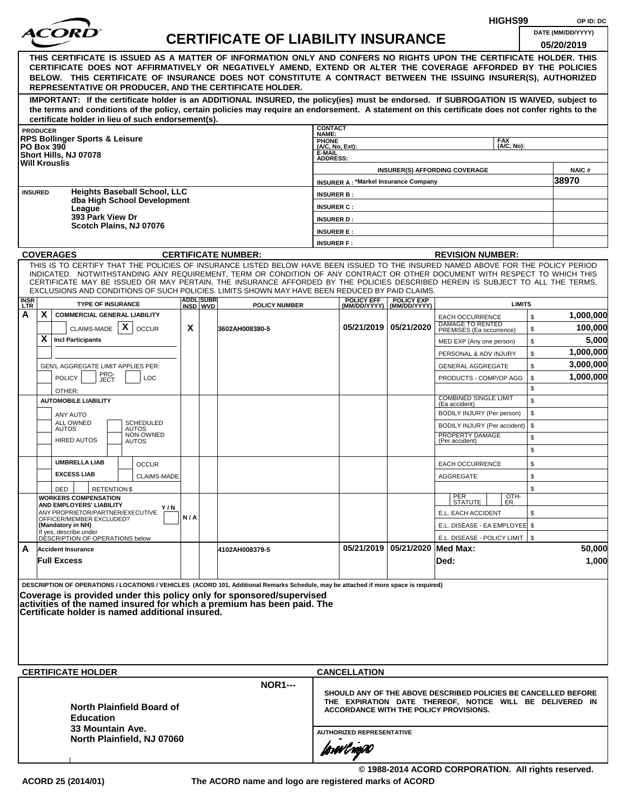|                           |                                                                                                                                                                            |                                                                                   |      |                                                    |     |  |                                                                                                                                                                                                                                                                                                                                                                |                                    |                                  |                                             | HIGHS99                                                                                                                                                                     |          | OP ID: DC            |  |
|---------------------------|----------------------------------------------------------------------------------------------------------------------------------------------------------------------------|-----------------------------------------------------------------------------------|------|----------------------------------------------------|-----|--|----------------------------------------------------------------------------------------------------------------------------------------------------------------------------------------------------------------------------------------------------------------------------------------------------------------------------------------------------------------|------------------------------------|----------------------------------|---------------------------------------------|-----------------------------------------------------------------------------------------------------------------------------------------------------------------------------|----------|----------------------|--|
|                           |                                                                                                                                                                            |                                                                                   |      |                                                    |     |  | <b>CERTIFICATE OF LIABILITY INSURANCE</b>                                                                                                                                                                                                                                                                                                                      |                                    |                                  |                                             |                                                                                                                                                                             |          | DATE (MM/DD/YYYY)    |  |
|                           |                                                                                                                                                                            |                                                                                   |      |                                                    |     |  | THIS CERTIFICATE IS ISSUED AS A MATTER OF INFORMATION ONLY AND CONFERS NO RIGHTS UPON THE CERTIFICATE HOLDER. THIS<br>CERTIFICATE DOES NOT AFFIRMATIVELY OR NEGATIVELY AMEND, EXTEND OR ALTER THE COVERAGE AFFORDED BY THE POLICIES<br>BELOW. THIS CERTIFICATE OF INSURANCE DOES NOT CONSTITUTE A CONTRACT BETWEEN THE ISSUING INSURER(S), AUTHORIZED          |                                    |                                  |                                             |                                                                                                                                                                             |          | 05/20/2019           |  |
|                           |                                                                                                                                                                            |                                                                                   |      |                                                    |     |  | REPRESENTATIVE OR PRODUCER, AND THE CERTIFICATE HOLDER.<br>IMPORTANT: If the certificate holder is an ADDITIONAL INSURED, the policy(ies) must be endorsed. If SUBROGATION IS WAIVED, subject to                                                                                                                                                               |                                    |                                  |                                             |                                                                                                                                                                             |          |                      |  |
|                           |                                                                                                                                                                            |                                                                                   |      | certificate holder in lieu of such endorsement(s). |     |  | the terms and conditions of the policy, certain policies may require an endorsement. A statement on this certificate does not confer rights to the                                                                                                                                                                                                             |                                    |                                  |                                             |                                                                                                                                                                             |          |                      |  |
|                           | <b>PRODUCER</b>                                                                                                                                                            | <b>RPS Bollinger Sports &amp; Leisure</b>                                         |      |                                                    |     |  |                                                                                                                                                                                                                                                                                                                                                                | <b>CONTACT</b><br>NAME:            |                                  |                                             |                                                                                                                                                                             |          |                      |  |
|                           |                                                                                                                                                                            | <b>PO Box 390</b>                                                                 |      |                                                    |     |  |                                                                                                                                                                                                                                                                                                                                                                | PHONE<br>(A/C, No, Ext):<br>E-MAIL |                                  |                                             | <b>FAX</b><br>(A/C, No):                                                                                                                                                    |          |                      |  |
|                           |                                                                                                                                                                            | Short Hills, NJ 07078<br><b>Will Krouslis</b>                                     |      |                                                    |     |  |                                                                                                                                                                                                                                                                                                                                                                | <b>ADDRESS:</b>                    |                                  |                                             |                                                                                                                                                                             |          |                      |  |
|                           |                                                                                                                                                                            |                                                                                   |      |                                                    |     |  |                                                                                                                                                                                                                                                                                                                                                                |                                    |                                  | <b>INSURER A: *Markel Insurance Company</b> | <b>INSURER(S) AFFORDING COVERAGE</b>                                                                                                                                        |          | NAIC#<br>38970       |  |
| <b>INSURED</b>            |                                                                                                                                                                            |                                                                                   |      | <b>Heights Baseball School, LLC</b>                |     |  |                                                                                                                                                                                                                                                                                                                                                                | <b>INSURER B:</b>                  |                                  |                                             |                                                                                                                                                                             |          |                      |  |
|                           |                                                                                                                                                                            | League                                                                            |      | dba High School Development                        |     |  |                                                                                                                                                                                                                                                                                                                                                                | <b>INSURER C:</b>                  |                                  |                                             |                                                                                                                                                                             |          |                      |  |
|                           |                                                                                                                                                                            | 393 Park View Dr                                                                  |      |                                                    |     |  |                                                                                                                                                                                                                                                                                                                                                                | <b>INSURER D:</b>                  |                                  |                                             |                                                                                                                                                                             |          |                      |  |
|                           |                                                                                                                                                                            |                                                                                   |      | Scotch Plains, NJ 07076                            |     |  |                                                                                                                                                                                                                                                                                                                                                                | <b>INSURER E:</b>                  |                                  |                                             |                                                                                                                                                                             |          |                      |  |
|                           |                                                                                                                                                                            | <b>COVERAGES</b>                                                                  |      |                                                    |     |  |                                                                                                                                                                                                                                                                                                                                                                | <b>INSURER F:</b>                  |                                  |                                             |                                                                                                                                                                             |          |                      |  |
|                           |                                                                                                                                                                            |                                                                                   |      |                                                    |     |  | <b>CERTIFICATE NUMBER:</b><br>THIS IS TO CERTIFY THAT THE POLICIES OF INSURANCE LISTED BELOW HAVE BEEN ISSUED TO THE INSURED NAMED ABOVE FOR THE POLICY PERIOD                                                                                                                                                                                                 |                                    |                                  |                                             | <b>REVISION NUMBER:</b>                                                                                                                                                     |          |                      |  |
|                           |                                                                                                                                                                            |                                                                                   |      |                                                    |     |  | INDICATED. NOTWITHSTANDING ANY REQUIREMENT, TERM OR CONDITION OF ANY CONTRACT OR OTHER DOCUMENT WITH RESPECT TO WHICH THIS<br>CERTIFICATE MAY BE ISSUED OR MAY PERTAIN, THE INSURANCE AFFORDED BY THE POLICIES DESCRIBED HEREIN IS SUBJECT TO ALL THE TERMS,<br>EXCLUSIONS AND CONDITIONS OF SUCH POLICIES. LIMITS SHOWN MAY HAVE BEEN REDUCED BY PAID CLAIMS. |                                    |                                  |                                             |                                                                                                                                                                             |          |                      |  |
| <b>INSR</b><br><b>LTR</b> | <b>ADDL SUBR</b><br><b>POLICY EFF</b><br><b>POLICY EXP</b><br><b>TYPE OF INSURANCE</b><br><b>LIMITS</b><br><b>POLICY NUMBER</b><br>INSD WVD<br>(MM/DD/YYYY)   (MM/DD/YYYY) |                                                                                   |      |                                                    |     |  |                                                                                                                                                                                                                                                                                                                                                                |                                    |                                  |                                             |                                                                                                                                                                             |          |                      |  |
| A                         | X                                                                                                                                                                          | <b>COMMERCIAL GENERAL LIABILITY</b><br>CLAIMS-MADE                                |      | $\mathsf{x}$<br><b>OCCUR</b>                       | X   |  | 3602AH008380-5                                                                                                                                                                                                                                                                                                                                                 |                                    |                                  | 05/21/2019   05/21/2020                     | <b>EACH OCCURRENCE</b><br>DAMAGE TO RENTED<br>PREMISES (Ea occurrence)                                                                                                      | \$<br>\$ | 1,000,000<br>100,000 |  |
|                           | X                                                                                                                                                                          | <b>Incl Participants</b>                                                          |      |                                                    |     |  |                                                                                                                                                                                                                                                                                                                                                                |                                    |                                  |                                             | MED EXP (Any one person)                                                                                                                                                    | \$       | 5,000                |  |
|                           |                                                                                                                                                                            |                                                                                   |      |                                                    |     |  |                                                                                                                                                                                                                                                                                                                                                                |                                    |                                  |                                             | PERSONAL & ADV INJURY                                                                                                                                                       | \$       | 1,000,000            |  |
|                           |                                                                                                                                                                            | GEN'L AGGREGATE LIMIT APPLIES PER:                                                | PRO- |                                                    |     |  |                                                                                                                                                                                                                                                                                                                                                                |                                    |                                  |                                             | <b>GENERAL AGGREGATE</b>                                                                                                                                                    | \$       | 3,000,000            |  |
|                           |                                                                                                                                                                            | <b>POLICY</b>                                                                     | JECT | LOC                                                |     |  |                                                                                                                                                                                                                                                                                                                                                                |                                    |                                  |                                             | PRODUCTS - COMP/OP AGG                                                                                                                                                      | \$<br>\$ | 1,000,000            |  |
|                           |                                                                                                                                                                            | OTHER:<br><b>AUTOMOBILE LIABILITY</b>                                             |      |                                                    |     |  |                                                                                                                                                                                                                                                                                                                                                                |                                    |                                  |                                             | <b>COMBINED SINGLE LIMIT</b>                                                                                                                                                | \$       |                      |  |
|                           |                                                                                                                                                                            | <b>ANY AUTO</b>                                                                   |      |                                                    |     |  |                                                                                                                                                                                                                                                                                                                                                                |                                    |                                  |                                             | (Ea accident)<br>BODILY INJURY (Per person)                                                                                                                                 | \$       |                      |  |
|                           |                                                                                                                                                                            | ALL OWNED<br><b>AUTOS</b>                                                         |      | SCHEDULED<br>AUTOS                                 |     |  |                                                                                                                                                                                                                                                                                                                                                                |                                    |                                  |                                             | BODILY INJURY (Per accident)                                                                                                                                                | \$       |                      |  |
|                           |                                                                                                                                                                            | <b>HIRED AUTOS</b>                                                                |      | NON-OWNED<br><b>AUTOS</b>                          |     |  |                                                                                                                                                                                                                                                                                                                                                                |                                    |                                  |                                             | PROPERTY DAMAGE<br>(Per accident)                                                                                                                                           | \$<br>\$ |                      |  |
|                           |                                                                                                                                                                            | <b>UMBRELLA LIAB</b>                                                              |      | <b>OCCUR</b>                                       |     |  |                                                                                                                                                                                                                                                                                                                                                                |                                    |                                  |                                             | <b>EACH OCCURRENCE</b>                                                                                                                                                      | \$       |                      |  |
|                           |                                                                                                                                                                            | <b>EXCESS LIAB</b>                                                                |      | <b>CLAIMS-MADE</b>                                 |     |  |                                                                                                                                                                                                                                                                                                                                                                |                                    |                                  |                                             | <b>AGGREGATE</b>                                                                                                                                                            | \$       |                      |  |
|                           |                                                                                                                                                                            | DED<br><b>WORKERS COMPENSATION</b>                                                |      | <b>RETENTION \$</b>                                |     |  |                                                                                                                                                                                                                                                                                                                                                                |                                    |                                  |                                             | OTH-                                                                                                                                                                        | \$       |                      |  |
|                           |                                                                                                                                                                            | AND EMPLOYERS' LIABILITY                                                          |      | Y / N                                              |     |  |                                                                                                                                                                                                                                                                                                                                                                |                                    |                                  |                                             | PER<br>STATUTE<br>ER                                                                                                                                                        |          |                      |  |
|                           |                                                                                                                                                                            | ANY PROPRIETOR/PARTNER/EXECUTIVE<br>OFFICER/MEMBER EXCLUDED?<br>(Mandatory in NH) |      |                                                    | N/A |  |                                                                                                                                                                                                                                                                                                                                                                |                                    |                                  |                                             | E.L. EACH ACCIDENT<br>E.L. DISEASE - EA EMPLOYEE \$                                                                                                                         | \$       |                      |  |
|                           |                                                                                                                                                                            | If yes, describe under<br>DESCRIPTION OF OPERATIONS below                         |      |                                                    |     |  |                                                                                                                                                                                                                                                                                                                                                                |                                    |                                  |                                             | E.L. DISEASE - POLICY LIMIT   \$                                                                                                                                            |          |                      |  |
| A                         |                                                                                                                                                                            | <b>Accident Insurance</b>                                                         |      |                                                    |     |  | 4102AH008379-5                                                                                                                                                                                                                                                                                                                                                 |                                    |                                  | 05/21/2019 05/21/2020 Med Max:              |                                                                                                                                                                             |          | 50,000               |  |
|                           |                                                                                                                                                                            | <b>Full Excess</b>                                                                |      |                                                    |     |  |                                                                                                                                                                                                                                                                                                                                                                |                                    |                                  |                                             | Ded:                                                                                                                                                                        |          | 1,000                |  |
|                           |                                                                                                                                                                            |                                                                                   |      | Certificate holder is named additional insured.    |     |  | DESCRIPTION OF OPERATIONS / LOCATIONS / VEHICLES (ACORD 101, Additional Remarks Schedule, may be attached if more space is required)<br>Coverage is provided under this policy only for sponsored/supervised<br>activities of the named insured for which a premium has been paid. The                                                                         |                                    |                                  |                                             |                                                                                                                                                                             |          |                      |  |
|                           |                                                                                                                                                                            | <b>CERTIFICATE HOLDER</b>                                                         |      |                                                    |     |  |                                                                                                                                                                                                                                                                                                                                                                |                                    | <b>CANCELLATION</b>              |                                             |                                                                                                                                                                             |          |                      |  |
|                           |                                                                                                                                                                            | <b>Education</b>                                                                  |      | <b>North Plainfield Board of</b>                   |     |  | <b>NOR1---</b>                                                                                                                                                                                                                                                                                                                                                 |                                    |                                  |                                             | SHOULD ANY OF THE ABOVE DESCRIBED POLICIES BE CANCELLED BEFORE<br>THE EXPIRATION DATE THEREOF, NOTICE WILL BE DELIVERED IN<br><b>ACCORDANCE WITH THE POLICY PROVISIONS.</b> |          |                      |  |
|                           |                                                                                                                                                                            | 33 Mountain Ave.                                                                  |      |                                                    |     |  |                                                                                                                                                                                                                                                                                                                                                                |                                    | <b>AUTHORIZED REPRESENTATIVE</b> |                                             |                                                                                                                                                                             |          |                      |  |
|                           |                                                                                                                                                                            |                                                                                   |      | North Plainfield, NJ 07060                         |     |  |                                                                                                                                                                                                                                                                                                                                                                |                                    | forwl nop0                       |                                             |                                                                                                                                                                             |          |                      |  |

**© 1988-2014 ACORD CORPORATION. All rights reserved.**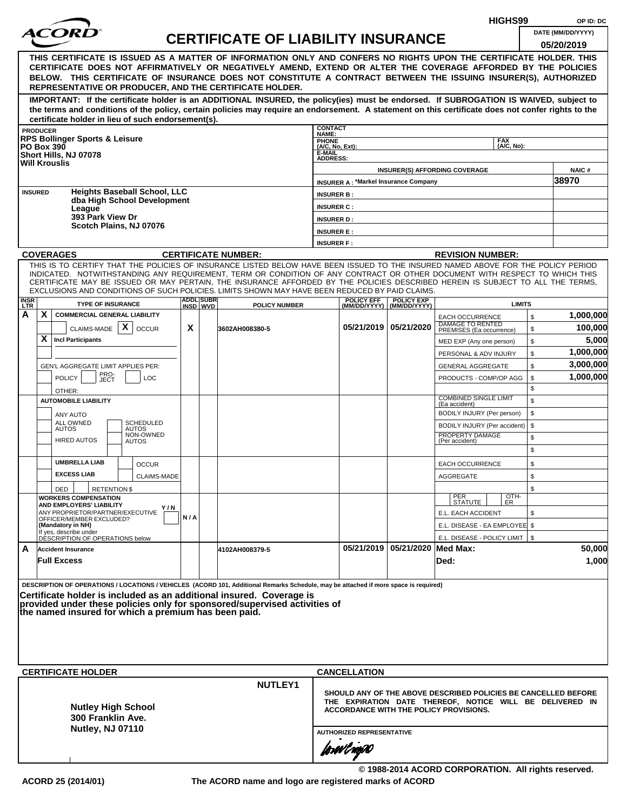|                    |                                                                                                                                                                                                                                                                                                                                                                                                                  |     |                  |                                           |                                                                                                                                                                                                          |                                             |                                |                                                     | HIGHS99                  |          | OP ID: DC         |
|--------------------|------------------------------------------------------------------------------------------------------------------------------------------------------------------------------------------------------------------------------------------------------------------------------------------------------------------------------------------------------------------------------------------------------------------|-----|------------------|-------------------------------------------|----------------------------------------------------------------------------------------------------------------------------------------------------------------------------------------------------------|---------------------------------------------|--------------------------------|-----------------------------------------------------|--------------------------|----------|-------------------|
|                    | <i>ACOR</i>                                                                                                                                                                                                                                                                                                                                                                                                      |     |                  | <b>CERTIFICATE OF LIABILITY INSURANCE</b> |                                                                                                                                                                                                          |                                             |                                |                                                     |                          |          | DATE (MM/DD/YYYY) |
|                    | THIS CERTIFICATE IS ISSUED AS A MATTER OF INFORMATION ONLY AND CONFERS NO RIGHTS UPON THE CERTIFICATE HOLDER. THIS<br>CERTIFICATE DOES NOT AFFIRMATIVELY OR NEGATIVELY AMEND, EXTEND OR ALTER THE COVERAGE AFFORDED BY THE POLICIES<br>BELOW. THIS CERTIFICATE OF INSURANCE DOES NOT CONSTITUTE A CONTRACT BETWEEN THE ISSUING INSURER(S), AUTHORIZED<br>REPRESENTATIVE OR PRODUCER, AND THE CERTIFICATE HOLDER. |     |                  |                                           |                                                                                                                                                                                                          |                                             |                                |                                                     |                          |          | 05/20/2019        |
|                    | IMPORTANT: If the certificate holder is an ADDITIONAL INSURED, the policy(ies) must be endorsed. If SUBROGATION IS WAIVED, subject to<br>the terms and conditions of the policy, certain policies may require an endorsement. A statement on this certificate does not confer rights to the<br>certificate holder in lieu of such endorsement(s).                                                                |     |                  |                                           |                                                                                                                                                                                                          |                                             |                                |                                                     |                          |          |                   |
|                    | <b>PRODUCER</b>                                                                                                                                                                                                                                                                                                                                                                                                  |     |                  |                                           | <b>CONTACT</b><br>NAME:                                                                                                                                                                                  |                                             |                                |                                                     |                          |          |                   |
|                    | <b>RPS Bollinger Sports &amp; Leisure</b><br><b>PO Box 390</b>                                                                                                                                                                                                                                                                                                                                                   |     |                  |                                           | PHONE<br>(A/C, No, Ext):                                                                                                                                                                                 |                                             |                                |                                                     | <b>FAX</b><br>(A/C, No): |          |                   |
|                    | Short Hills, NJ 07078                                                                                                                                                                                                                                                                                                                                                                                            |     |                  |                                           | E-MAIL<br><b>ADDRESS:</b>                                                                                                                                                                                |                                             |                                |                                                     |                          |          |                   |
|                    | <b>Will Krouslis</b>                                                                                                                                                                                                                                                                                                                                                                                             |     |                  |                                           |                                                                                                                                                                                                          |                                             |                                | <b>INSURER(S) AFFORDING COVERAGE</b>                |                          |          | <b>NAIC#</b>      |
|                    |                                                                                                                                                                                                                                                                                                                                                                                                                  |     |                  |                                           |                                                                                                                                                                                                          | <b>INSURER A: *Markel Insurance Company</b> |                                |                                                     |                          |          | 38970             |
|                    | <b>Heights Baseball School, LLC</b><br><b>INSURED</b><br>dba High School Development                                                                                                                                                                                                                                                                                                                             |     |                  |                                           | <b>INSURER B:</b>                                                                                                                                                                                        |                                             |                                |                                                     |                          |          |                   |
|                    | League                                                                                                                                                                                                                                                                                                                                                                                                           |     |                  |                                           | <b>INSURER C:</b>                                                                                                                                                                                        |                                             |                                |                                                     |                          |          |                   |
|                    | 393 Park View Dr<br>Scotch Plains, NJ 07076                                                                                                                                                                                                                                                                                                                                                                      |     |                  |                                           | <b>INSURER D:</b>                                                                                                                                                                                        |                                             |                                |                                                     |                          |          |                   |
|                    |                                                                                                                                                                                                                                                                                                                                                                                                                  |     |                  |                                           | <b>INSURER E:</b>                                                                                                                                                                                        |                                             |                                |                                                     |                          |          |                   |
|                    |                                                                                                                                                                                                                                                                                                                                                                                                                  |     |                  |                                           | <b>INSURER F:</b>                                                                                                                                                                                        |                                             |                                |                                                     |                          |          |                   |
|                    | <b>COVERAGES</b><br>THIS IS TO CERTIFY THAT THE POLICIES OF INSURANCE LISTED BELOW HAVE BEEN ISSUED TO THE INSURED NAMED ABOVE FOR THE POLICY PERIOD                                                                                                                                                                                                                                                             |     |                  | <b>CERTIFICATE NUMBER:</b>                |                                                                                                                                                                                                          |                                             |                                | <b>REVISION NUMBER:</b>                             |                          |          |                   |
| <b>INSR</b><br>LTR | INDICATED. NOTWITHSTANDING ANY REQUIREMENT, TERM OR CONDITION OF ANY CONTRACT OR OTHER DOCUMENT WITH RESPECT TO WHICH THIS<br>CERTIFICATE MAY BE ISSUED OR MAY PERTAIN, THE INSURANCE AFFORDED BY THE POLICIES DESCRIBED HEREIN IS SUBJECT TO ALL THE TERMS,<br>EXCLUSIONS AND CONDITIONS OF SUCH POLICIES. LIMITS SHOWN MAY HAVE BEEN REDUCED BY PAID CLAIMS.<br><b>TYPE OF INSURANCE</b>                       |     | <b>ADDL SUBR</b> |                                           |                                                                                                                                                                                                          | <b>POLICY EFF</b>                           | <b>POLICY EXP</b>              |                                                     | <b>LIMITS</b>            |          |                   |
| Α                  | X<br><b>COMMERCIAL GENERAL LIABILITY</b>                                                                                                                                                                                                                                                                                                                                                                         |     | INSD WVD         | <b>POLICY NUMBER</b>                      |                                                                                                                                                                                                          |                                             | (MM/DD/YYYY) (MM/DD/YYYY)      | <b>EACH OCCURRENCE</b>                              |                          | \$       | 1,000,000         |
|                    | CLAIMS-MADE $\mid X \mid$<br><b>OCCUR</b>                                                                                                                                                                                                                                                                                                                                                                        | X   |                  | 3602AH008380-5                            |                                                                                                                                                                                                          |                                             | 05/21/2019 05/21/2020          | <b>DAMAGE TO RENTED</b><br>PREMISES (Ea occurrence) |                          | \$       | 100,000           |
|                    | X<br><b>Incl Participants</b>                                                                                                                                                                                                                                                                                                                                                                                    |     |                  |                                           |                                                                                                                                                                                                          |                                             |                                | MED EXP (Any one person)                            |                          | \$       | 5,000             |
|                    |                                                                                                                                                                                                                                                                                                                                                                                                                  |     |                  |                                           |                                                                                                                                                                                                          |                                             |                                | PERSONAL & ADV INJURY                               |                          | \$       | 1,000,000         |
|                    | GEN'L AGGREGATE LIMIT APPLIES PER:                                                                                                                                                                                                                                                                                                                                                                               |     |                  |                                           |                                                                                                                                                                                                          |                                             |                                | <b>GENERAL AGGREGATE</b>                            |                          | \$       | 3,000,000         |
|                    | PRO-<br>JECT<br><b>POLICY</b><br><b>LOC</b>                                                                                                                                                                                                                                                                                                                                                                      |     |                  |                                           |                                                                                                                                                                                                          |                                             |                                | PRODUCTS - COMP/OP AGG                              |                          | \$       | 1,000,000         |
|                    | OTHER:                                                                                                                                                                                                                                                                                                                                                                                                           |     |                  |                                           |                                                                                                                                                                                                          |                                             |                                |                                                     |                          | \$       |                   |
|                    | <b>AUTOMOBILE LIABILITY</b>                                                                                                                                                                                                                                                                                                                                                                                      |     |                  |                                           |                                                                                                                                                                                                          |                                             |                                | <b>COMBINED SINGLE LIMIT</b><br>(Ea accident)       |                          | \$       |                   |
|                    | ANY AUTO                                                                                                                                                                                                                                                                                                                                                                                                         |     |                  |                                           |                                                                                                                                                                                                          |                                             |                                | BODILY INJURY (Per person)                          |                          | \$       |                   |
|                    | <b>SCHEDULED</b><br>ALL OWNED<br><b>AUTOS</b><br>AUTOS                                                                                                                                                                                                                                                                                                                                                           |     |                  |                                           |                                                                                                                                                                                                          |                                             |                                | BODILY INJURY (Per accident)                        |                          | \$       |                   |
|                    | NON-OWNED<br><b>HIRED AUTOS</b><br>AUTOS                                                                                                                                                                                                                                                                                                                                                                         |     |                  |                                           |                                                                                                                                                                                                          |                                             |                                | PROPERTY DAMAGE<br>(Per accident)                   |                          | \$<br>\$ |                   |
|                    | <b>UMBRELLA LIAB</b><br><b>OCCUR</b>                                                                                                                                                                                                                                                                                                                                                                             |     |                  |                                           |                                                                                                                                                                                                          |                                             |                                | <b>EACH OCCURRENCE</b>                              |                          | \$       |                   |
|                    | <b>EXCESS LIAB</b><br><b>CLAIMS-MADE</b>                                                                                                                                                                                                                                                                                                                                                                         |     |                  |                                           |                                                                                                                                                                                                          |                                             |                                | AGGREGATE                                           |                          | \$       |                   |
|                    | DED<br><b>RETENTION \$</b>                                                                                                                                                                                                                                                                                                                                                                                       |     |                  |                                           |                                                                                                                                                                                                          |                                             |                                |                                                     |                          | \$       |                   |
|                    | <b>WORKERS COMPENSATION</b><br>AND EMPLOYERS' LIABILITY                                                                                                                                                                                                                                                                                                                                                          |     |                  |                                           |                                                                                                                                                                                                          |                                             |                                | PER<br>STATUTE                                      | OTH-<br>ER               |          |                   |
|                    | Y/N<br>ANY PROPRIETOR/PARTNER/EXECUTIVE                                                                                                                                                                                                                                                                                                                                                                          | N/A |                  |                                           |                                                                                                                                                                                                          |                                             |                                | E.L. EACH ACCIDENT                                  |                          | \$       |                   |
|                    | OFFICER/MEMBER EXCLUDED?<br>(Mandatory in NH)                                                                                                                                                                                                                                                                                                                                                                    |     |                  |                                           |                                                                                                                                                                                                          |                                             |                                | E.L. DISEASE - EA EMPLOYEE \$                       |                          |          |                   |
|                    | If yes, describe under<br>DÉSCRIPTION OF OPERATIONS below                                                                                                                                                                                                                                                                                                                                                        |     |                  |                                           |                                                                                                                                                                                                          |                                             |                                | E.L. DISEASE - POLICY LIMIT   \$                    |                          |          |                   |
| A                  | <b>Accident Insurance</b><br><b>Full Excess</b>                                                                                                                                                                                                                                                                                                                                                                  |     |                  | 4102AH008379-5                            |                                                                                                                                                                                                          |                                             | 05/21/2019 05/21/2020 Med Max: | Ded:                                                |                          |          | 50,000<br>1,000   |
|                    | DESCRIPTION OF OPERATIONS / LOCATIONS / VEHICLES (ACORD 101, Additional Remarks Schedule, may be attached if more space is required)                                                                                                                                                                                                                                                                             |     |                  |                                           |                                                                                                                                                                                                          |                                             |                                |                                                     |                          |          |                   |
|                    | Certificate holder is included as an additional insured. Coverage is<br>provided under these policies only for sponsored/supervised activities of<br>the named insured for which a premium has been paid.                                                                                                                                                                                                        |     |                  |                                           |                                                                                                                                                                                                          |                                             |                                |                                                     |                          |          |                   |
|                    | <b>CERTIFICATE HOLDER</b>                                                                                                                                                                                                                                                                                                                                                                                        |     |                  |                                           |                                                                                                                                                                                                          | <b>CANCELLATION</b>                         |                                |                                                     |                          |          |                   |
|                    | <b>Nutley High School</b><br>300 Franklin Ave.<br>Nutley, NJ 07110                                                                                                                                                                                                                                                                                                                                               |     |                  | <b>NUTLEY1</b>                            | SHOULD ANY OF THE ABOVE DESCRIBED POLICIES BE CANCELLED BEFORE<br>THE EXPIRATION DATE THEREOF, NOTICE WILL BE DELIVERED IN<br>ACCORDANCE WITH THE POLICY PROVISIONS.<br><b>AUTHORIZED REPRESENTATIVE</b> |                                             |                                |                                                     |                          |          |                   |
|                    |                                                                                                                                                                                                                                                                                                                                                                                                                  |     |                  |                                           |                                                                                                                                                                                                          | forwl now                                   |                                |                                                     |                          |          |                   |
|                    |                                                                                                                                                                                                                                                                                                                                                                                                                  |     |                  |                                           |                                                                                                                                                                                                          |                                             |                                |                                                     |                          |          |                   |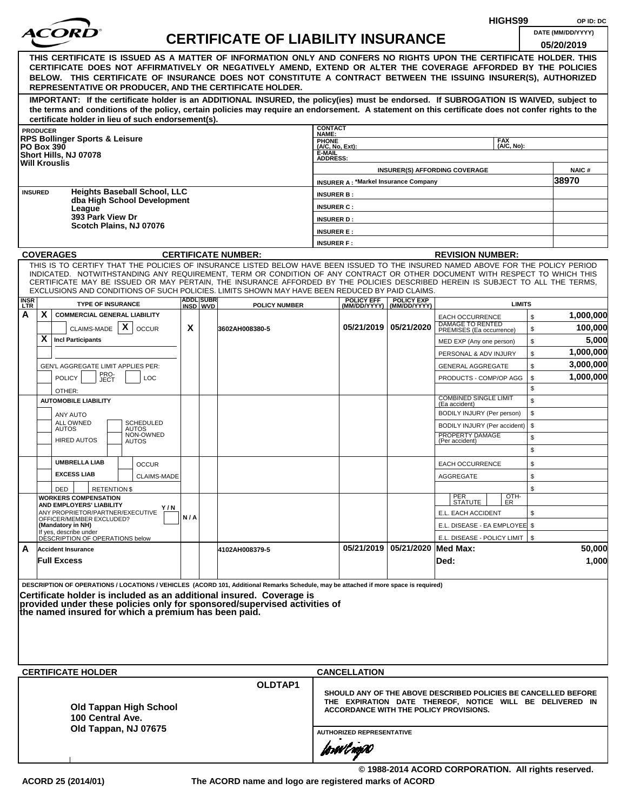|                                                                                                                                                                                                                                                                                                                                                                                                                                                                                                    |     |                              |                                           |                                                                                                                                                                      |                                             |                                                |                                                     | HIGHS99                  |          | OP ID: DC         |  |
|----------------------------------------------------------------------------------------------------------------------------------------------------------------------------------------------------------------------------------------------------------------------------------------------------------------------------------------------------------------------------------------------------------------------------------------------------------------------------------------------------|-----|------------------------------|-------------------------------------------|----------------------------------------------------------------------------------------------------------------------------------------------------------------------|---------------------------------------------|------------------------------------------------|-----------------------------------------------------|--------------------------|----------|-------------------|--|
| <i>ACOR</i>                                                                                                                                                                                                                                                                                                                                                                                                                                                                                        |     |                              | <b>CERTIFICATE OF LIABILITY INSURANCE</b> |                                                                                                                                                                      |                                             |                                                |                                                     |                          |          | DATE (MM/DD/YYYY) |  |
| THIS CERTIFICATE IS ISSUED AS A MATTER OF INFORMATION ONLY AND CONFERS NO RIGHTS UPON THE CERTIFICATE HOLDER. THIS<br>CERTIFICATE DOES NOT AFFIRMATIVELY OR NEGATIVELY AMEND, EXTEND OR ALTER THE COVERAGE AFFORDED BY THE POLICIES<br>BELOW. THIS CERTIFICATE OF INSURANCE DOES NOT CONSTITUTE A CONTRACT BETWEEN THE ISSUING INSURER(S), AUTHORIZED<br>REPRESENTATIVE OR PRODUCER, AND THE CERTIFICATE HOLDER.                                                                                   |     |                              |                                           |                                                                                                                                                                      |                                             |                                                |                                                     |                          |          | 05/20/2019        |  |
| IMPORTANT: If the certificate holder is an ADDITIONAL INSURED, the policy(ies) must be endorsed. If SUBROGATION IS WAIVED, subject to<br>the terms and conditions of the policy, certain policies may require an endorsement. A statement on this certificate does not confer rights to the<br>certificate holder in lieu of such endorsement(s).                                                                                                                                                  |     |                              |                                           |                                                                                                                                                                      |                                             |                                                |                                                     |                          |          |                   |  |
| <b>PRODUCER</b>                                                                                                                                                                                                                                                                                                                                                                                                                                                                                    |     |                              |                                           | <b>CONTACT</b><br>NAME:                                                                                                                                              |                                             |                                                |                                                     |                          |          |                   |  |
| <b>RPS Bollinger Sports &amp; Leisure</b><br><b>PO Box 390</b>                                                                                                                                                                                                                                                                                                                                                                                                                                     |     |                              |                                           | PHONE<br>(A/C, No, Ext):                                                                                                                                             |                                             |                                                |                                                     | <b>FAX</b><br>(A/C, No): |          |                   |  |
| Short Hills, NJ 07078<br><b>Will Krouslis</b>                                                                                                                                                                                                                                                                                                                                                                                                                                                      |     |                              |                                           | E-MAIL<br><b>ADDRESS:</b>                                                                                                                                            |                                             |                                                |                                                     |                          |          |                   |  |
|                                                                                                                                                                                                                                                                                                                                                                                                                                                                                                    |     |                              |                                           |                                                                                                                                                                      |                                             |                                                | <b>INSURER(S) AFFORDING COVERAGE</b>                |                          |          | <b>NAIC#</b>      |  |
| <b>Heights Baseball School, LLC</b>                                                                                                                                                                                                                                                                                                                                                                                                                                                                |     |                              |                                           |                                                                                                                                                                      | <b>INSURER A: *Markel Insurance Company</b> |                                                |                                                     |                          |          | 38970             |  |
| <b>INSURED</b><br>dba High School Development                                                                                                                                                                                                                                                                                                                                                                                                                                                      |     |                              |                                           | <b>INSURER B:</b>                                                                                                                                                    |                                             |                                                |                                                     |                          |          |                   |  |
| League<br>393 Park View Dr                                                                                                                                                                                                                                                                                                                                                                                                                                                                         |     |                              |                                           | <b>INSURER C:</b><br><b>INSURER D:</b>                                                                                                                               |                                             |                                                |                                                     |                          |          |                   |  |
| Scotch Plains, NJ 07076                                                                                                                                                                                                                                                                                                                                                                                                                                                                            |     |                              |                                           | <b>INSURER E:</b>                                                                                                                                                    |                                             |                                                |                                                     |                          |          |                   |  |
|                                                                                                                                                                                                                                                                                                                                                                                                                                                                                                    |     |                              |                                           | <b>INSURER F:</b>                                                                                                                                                    |                                             |                                                |                                                     |                          |          |                   |  |
| <b>COVERAGES</b>                                                                                                                                                                                                                                                                                                                                                                                                                                                                                   |     |                              | <b>CERTIFICATE NUMBER:</b>                |                                                                                                                                                                      |                                             |                                                | <b>REVISION NUMBER:</b>                             |                          |          |                   |  |
| THIS IS TO CERTIFY THAT THE POLICIES OF INSURANCE LISTED BELOW HAVE BEEN ISSUED TO THE INSURED NAMED ABOVE FOR THE POLICY PERIOD<br>INDICATED. NOTWITHSTANDING ANY REQUIREMENT, TERM OR CONDITION OF ANY CONTRACT OR OTHER DOCUMENT WITH RESPECT TO WHICH THIS<br>CERTIFICATE MAY BE ISSUED OR MAY PERTAIN, THE INSURANCE AFFORDED BY THE POLICIES DESCRIBED HEREIN IS SUBJECT TO ALL THE TERMS,<br>EXCLUSIONS AND CONDITIONS OF SUCH POLICIES. LIMITS SHOWN MAY HAVE BEEN REDUCED BY PAID CLAIMS. |     |                              |                                           |                                                                                                                                                                      |                                             |                                                |                                                     |                          |          |                   |  |
| <b>INSR</b><br>LTR<br><b>TYPE OF INSURANCE</b>                                                                                                                                                                                                                                                                                                                                                                                                                                                     |     | <b>ADDL SUBR</b><br>INSD WVD | <b>POLICY NUMBER</b>                      |                                                                                                                                                                      | <b>POLICY EFF</b>                           | <b>POLICY EXP</b><br>(MM/DD/YYYY) (MM/DD/YYYY) |                                                     | <b>LIMITS</b>            |          |                   |  |
| X<br>Α<br><b>COMMERCIAL GENERAL LIABILITY</b>                                                                                                                                                                                                                                                                                                                                                                                                                                                      |     |                              |                                           |                                                                                                                                                                      |                                             |                                                | <b>EACH OCCURRENCE</b><br><b>DAMAGE TO RENTED</b>   |                          | \$       | 1,000,000         |  |
| CLAIMS-MADE $\mid X \mid$<br><b>OCCUR</b><br>X<br><b>Incl Participants</b>                                                                                                                                                                                                                                                                                                                                                                                                                         | X   |                              | 3602AH008380-5                            |                                                                                                                                                                      |                                             | 05/21/2019 05/21/2020                          | PREMISES (Ea occurrence)                            |                          | \$       | 100,000<br>5,000  |  |
|                                                                                                                                                                                                                                                                                                                                                                                                                                                                                                    |     |                              |                                           |                                                                                                                                                                      |                                             |                                                | MED EXP (Any one person)<br>PERSONAL & ADV INJURY   |                          | \$<br>\$ | 1,000,000         |  |
| GEN'L AGGREGATE LIMIT APPLIES PER:                                                                                                                                                                                                                                                                                                                                                                                                                                                                 |     |                              |                                           |                                                                                                                                                                      |                                             |                                                | <b>GENERAL AGGREGATE</b>                            |                          | \$       | 3,000,000         |  |
| PRO-<br>JECT<br><b>POLICY</b><br><b>LOC</b><br>OTHER:                                                                                                                                                                                                                                                                                                                                                                                                                                              |     |                              |                                           |                                                                                                                                                                      |                                             |                                                | PRODUCTS - COMP/OP AGG                              |                          | \$<br>\$ | 1,000,000         |  |
| <b>AUTOMOBILE LIABILITY</b>                                                                                                                                                                                                                                                                                                                                                                                                                                                                        |     |                              |                                           |                                                                                                                                                                      |                                             |                                                | <b>COMBINED SINGLE LIMIT</b><br>(Ea accident)       |                          | \$       |                   |  |
| ANY AUTO                                                                                                                                                                                                                                                                                                                                                                                                                                                                                           |     |                              |                                           |                                                                                                                                                                      |                                             |                                                | BODILY INJURY (Per person)                          |                          | \$       |                   |  |
| <b>SCHEDULED</b><br>ALL OWNED<br><b>AUTOS</b><br>AUTOS                                                                                                                                                                                                                                                                                                                                                                                                                                             |     |                              |                                           |                                                                                                                                                                      |                                             |                                                | BODILY INJURY (Per accident)                        |                          | \$       |                   |  |
| NON-OWNED<br><b>HIRED AUTOS</b><br>AUTOS                                                                                                                                                                                                                                                                                                                                                                                                                                                           |     |                              |                                           |                                                                                                                                                                      |                                             |                                                | PROPERTY DAMAGE<br>(Per accident)                   |                          | \$<br>\$ |                   |  |
| <b>UMBRELLA LIAB</b><br><b>OCCUR</b>                                                                                                                                                                                                                                                                                                                                                                                                                                                               |     |                              |                                           |                                                                                                                                                                      |                                             |                                                | <b>EACH OCCURRENCE</b>                              |                          | \$       |                   |  |
| <b>EXCESS LIAB</b><br><b>CLAIMS-MADE</b>                                                                                                                                                                                                                                                                                                                                                                                                                                                           |     |                              |                                           |                                                                                                                                                                      |                                             |                                                | AGGREGATE                                           |                          | \$       |                   |  |
| DED<br><b>RETENTION \$</b><br><b>WORKERS COMPENSATION</b>                                                                                                                                                                                                                                                                                                                                                                                                                                          |     |                              |                                           |                                                                                                                                                                      |                                             |                                                |                                                     | OTH-<br>ER               | \$       |                   |  |
| AND EMPLOYERS' LIABILITY<br>Y/N<br>ANY PROPRIETOR/PARTNER/EXECUTIVE                                                                                                                                                                                                                                                                                                                                                                                                                                |     |                              |                                           |                                                                                                                                                                      |                                             |                                                | PER<br>STATUTE                                      |                          |          |                   |  |
| OFFICER/MEMBER EXCLUDED?<br>(Mandatory in NH)                                                                                                                                                                                                                                                                                                                                                                                                                                                      | N/A |                              |                                           |                                                                                                                                                                      |                                             |                                                | E.L. EACH ACCIDENT<br>E.L. DISEASE - EA EMPLOYEE \$ |                          | \$       |                   |  |
| If yes, describe under<br>DÉSCRIPTION OF OPERATIONS below                                                                                                                                                                                                                                                                                                                                                                                                                                          |     |                              |                                           |                                                                                                                                                                      |                                             |                                                | E.L. DISEASE - POLICY LIMIT   \$                    |                          |          |                   |  |
| A<br><b>Accident Insurance</b><br><b>Full Excess</b>                                                                                                                                                                                                                                                                                                                                                                                                                                               |     |                              | 4102AH008379-5                            |                                                                                                                                                                      |                                             | 05/21/2019 05/21/2020 Med Max:                 | Ded:                                                |                          |          | 50,000<br>1,000   |  |
| DESCRIPTION OF OPERATIONS / LOCATIONS / VEHICLES (ACORD 101, Additional Remarks Schedule, may be attached if more space is required)<br>Certificate holder is included as an additional insured. Coverage is<br>provided under these policies only for sponsored/supervised activities of<br>the named insured for which a premium has been paid.                                                                                                                                                  |     |                              |                                           |                                                                                                                                                                      |                                             |                                                |                                                     |                          |          |                   |  |
| <b>CERTIFICATE HOLDER</b>                                                                                                                                                                                                                                                                                                                                                                                                                                                                          |     |                              |                                           |                                                                                                                                                                      | <b>CANCELLATION</b>                         |                                                |                                                     |                          |          |                   |  |
| <b>Old Tappan High School</b><br>100 Central Ave.<br>Old Tappan, NJ 07675                                                                                                                                                                                                                                                                                                                                                                                                                          |     |                              | OLDTAP1                                   | SHOULD ANY OF THE ABOVE DESCRIBED POLICIES BE CANCELLED BEFORE<br>THE EXPIRATION DATE THEREOF, NOTICE WILL BE DELIVERED IN<br>ACCORDANCE WITH THE POLICY PROVISIONS. |                                             |                                                |                                                     |                          |          |                   |  |
|                                                                                                                                                                                                                                                                                                                                                                                                                                                                                                    |     |                              |                                           |                                                                                                                                                                      | forwil now                                  | <b>AUTHORIZED REPRESENTATIVE</b>               |                                                     |                          |          |                   |  |

**© 1988-2014 ACORD CORPORATION. All rights reserved. ACORD 25 (2014/01) The ACORD name and logo are registered marks of ACORD**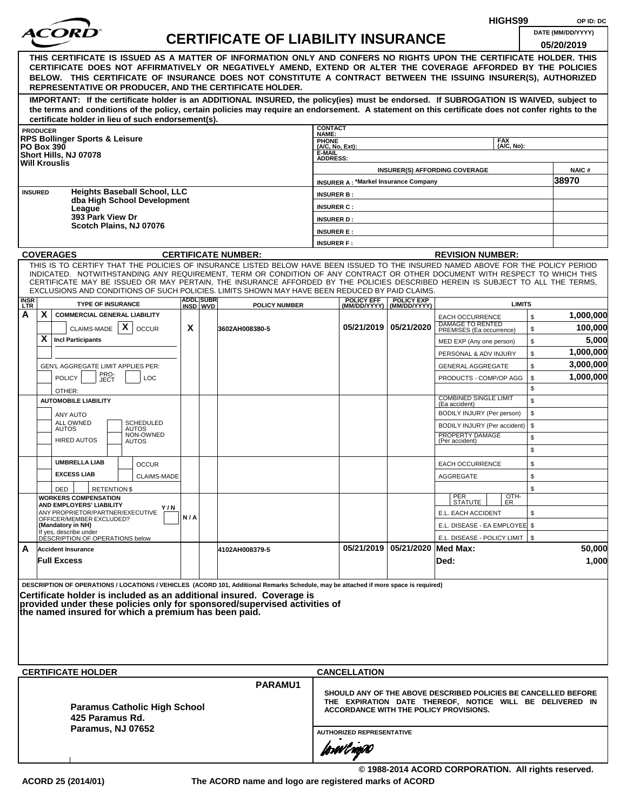|                                                                                                                                                                                                                                                                                                                                                                |                                                                                   |                              |                                           |                                             |                                             |                                                | HIGHS99                                                                                                                                                                     |          | OP ID: DC              |
|----------------------------------------------------------------------------------------------------------------------------------------------------------------------------------------------------------------------------------------------------------------------------------------------------------------------------------------------------------------|-----------------------------------------------------------------------------------|------------------------------|-------------------------------------------|---------------------------------------------|---------------------------------------------|------------------------------------------------|-----------------------------------------------------------------------------------------------------------------------------------------------------------------------------|----------|------------------------|
| <i>ACOR</i>                                                                                                                                                                                                                                                                                                                                                    |                                                                                   |                              | <b>CERTIFICATE OF LIABILITY INSURANCE</b> |                                             |                                             |                                                |                                                                                                                                                                             |          | DATE (MM/DD/YYYY)      |
| THIS CERTIFICATE IS ISSUED AS A MATTER OF INFORMATION ONLY AND CONFERS NO RIGHTS UPON THE CERTIFICATE HOLDER. THIS                                                                                                                                                                                                                                             |                                                                                   |                              |                                           |                                             |                                             |                                                |                                                                                                                                                                             |          | 05/20/2019             |
| CERTIFICATE DOES NOT AFFIRMATIVELY OR NEGATIVELY AMEND, EXTEND OR ALTER THE COVERAGE AFFORDED BY THE POLICIES<br>BELOW. THIS CERTIFICATE OF INSURANCE DOES NOT CONSTITUTE A CONTRACT BETWEEN THE ISSUING INSURER(S), AUTHORIZED<br>REPRESENTATIVE OR PRODUCER, AND THE CERTIFICATE HOLDER.                                                                     |                                                                                   |                              |                                           |                                             |                                             |                                                |                                                                                                                                                                             |          |                        |
| IMPORTANT: If the certificate holder is an ADDITIONAL INSURED, the policy(ies) must be endorsed. If SUBROGATION IS WAIVED, subject to<br>the terms and conditions of the policy, certain policies may require an endorsement. A statement on this certificate does not confer rights to the                                                                    |                                                                                   |                              |                                           |                                             |                                             |                                                |                                                                                                                                                                             |          |                        |
| certificate holder in lieu of such endorsement(s).<br><b>PRODUCER</b>                                                                                                                                                                                                                                                                                          |                                                                                   |                              |                                           | <b>CONTACT</b>                              |                                             |                                                |                                                                                                                                                                             |          |                        |
| <b>RPS Bollinger Sports &amp; Leisure</b><br><b>PO Box 390</b><br>Short Hills, NJ 07078                                                                                                                                                                                                                                                                        |                                                                                   |                              |                                           | NAME:<br>PHONE<br>(A/C, No, Ext):<br>E-MAIL |                                             |                                                | <b>FAX</b><br>(A/C, No):                                                                                                                                                    |          |                        |
| <b>Will Krouslis</b>                                                                                                                                                                                                                                                                                                                                           |                                                                                   |                              |                                           | <b>ADDRESS:</b>                             |                                             |                                                | <b>INSURER(S) AFFORDING COVERAGE</b>                                                                                                                                        |          | <b>NAIC#</b>           |
|                                                                                                                                                                                                                                                                                                                                                                |                                                                                   |                              |                                           |                                             | <b>INSURER A: *Markel Insurance Company</b> |                                                |                                                                                                                                                                             |          | 38970                  |
| <b>Heights Baseball School, LLC</b><br><b>INSURED</b><br>dba High School Development                                                                                                                                                                                                                                                                           |                                                                                   |                              |                                           | <b>INSURER B:</b>                           |                                             |                                                |                                                                                                                                                                             |          |                        |
| League<br>393 Park View Dr                                                                                                                                                                                                                                                                                                                                     |                                                                                   |                              |                                           | <b>INSURER C:</b>                           |                                             |                                                |                                                                                                                                                                             |          |                        |
| Scotch Plains, NJ 07076                                                                                                                                                                                                                                                                                                                                        |                                                                                   |                              |                                           | <b>INSURER D:</b><br><b>INSURER E:</b>      |                                             |                                                |                                                                                                                                                                             |          |                        |
|                                                                                                                                                                                                                                                                                                                                                                |                                                                                   |                              |                                           | <b>INSURER F:</b>                           |                                             |                                                |                                                                                                                                                                             |          |                        |
| <b>COVERAGES</b>                                                                                                                                                                                                                                                                                                                                               |                                                                                   |                              | <b>CERTIFICATE NUMBER:</b>                |                                             |                                             |                                                | <b>REVISION NUMBER:</b>                                                                                                                                                     |          |                        |
| THIS IS TO CERTIFY THAT THE POLICIES OF INSURANCE LISTED BELOW HAVE BEEN ISSUED TO THE INSURED NAMED ABOVE FOR THE POLICY PERIOD                                                                                                                                                                                                                               |                                                                                   |                              |                                           |                                             |                                             |                                                |                                                                                                                                                                             |          |                        |
| INDICATED. NOTWITHSTANDING ANY REQUIREMENT, TERM OR CONDITION OF ANY CONTRACT OR OTHER DOCUMENT WITH RESPECT TO WHICH THIS<br>CERTIFICATE MAY BE ISSUED OR MAY PERTAIN, THE INSURANCE AFFORDED BY THE POLICIES DESCRIBED HEREIN IS SUBJECT TO ALL THE TERMS.<br>EXCLUSIONS AND CONDITIONS OF SUCH POLICIES. LIMITS SHOWN MAY HAVE BEEN REDUCED BY PAID CLAIMS. |                                                                                   |                              |                                           |                                             |                                             |                                                |                                                                                                                                                                             |          |                        |
| <b>INSR</b><br>LTR<br><b>TYPE OF INSURANCE</b>                                                                                                                                                                                                                                                                                                                 |                                                                                   | <b>ADDL SUBR</b><br>INSD WVD | <b>POLICY NUMBER</b>                      |                                             | <b>POLICY EFF</b>                           | <b>POLICY EXP</b><br>(MM/DD/YYYY) (MM/DD/YYYY) | <b>LIMITS</b>                                                                                                                                                               |          |                        |
| A<br>X.<br><b>COMMERCIAL GENERAL LIABILITY</b>                                                                                                                                                                                                                                                                                                                 |                                                                                   |                              |                                           |                                             |                                             |                                                | <b>EACH OCCURRENCE</b>                                                                                                                                                      | \$       | 1,000,000              |
| X<br>CLAIMS-MADE                                                                                                                                                                                                                                                                                                                                               | X<br><b>OCCUR</b>                                                                 |                              | 3602AH008380-5                            |                                             |                                             | 05/21/2019 05/21/2020                          | DAMAGE TO RENTED<br>PREMISES (Ea occurrence)                                                                                                                                | \$       | 100,000                |
| X<br><b>Incl Participants</b>                                                                                                                                                                                                                                                                                                                                  |                                                                                   |                              |                                           |                                             |                                             |                                                | MED EXP (Any one person)                                                                                                                                                    | \$       | 5,000                  |
|                                                                                                                                                                                                                                                                                                                                                                |                                                                                   |                              |                                           |                                             |                                             |                                                | PERSONAL & ADV INJURY                                                                                                                                                       | \$       | 1,000,000              |
|                                                                                                                                                                                                                                                                                                                                                                | GEN'L AGGREGATE LIMIT APPLIES PER:<br>PRO-<br>JECT<br><b>POLICY</b><br><b>LOC</b> |                              |                                           |                                             |                                             |                                                | <b>GENERAL AGGREGATE</b>                                                                                                                                                    | \$       | 3,000,000<br>1,000,000 |
|                                                                                                                                                                                                                                                                                                                                                                |                                                                                   |                              |                                           |                                             |                                             |                                                | PRODUCTS - COMP/OP AGG                                                                                                                                                      | \$<br>\$ |                        |
| OTHER:<br><b>AUTOMOBILE LIABILITY</b>                                                                                                                                                                                                                                                                                                                          |                                                                                   |                              |                                           |                                             |                                             |                                                | <b>COMBINED SINGLE LIMIT</b>                                                                                                                                                | \$       |                        |
| ANY AUTO                                                                                                                                                                                                                                                                                                                                                       |                                                                                   |                              |                                           |                                             |                                             |                                                | (Ea accident)<br>BODILY INJURY (Per person)                                                                                                                                 | \$       |                        |
| ALL OWNED<br><b>AUTOS</b><br><b>AUTOS</b>                                                                                                                                                                                                                                                                                                                      | <b>SCHEDULED</b>                                                                  |                              |                                           |                                             |                                             |                                                | BODILY INJURY (Per accident)                                                                                                                                                | \$       |                        |
| <b>HIRED AUTOS</b><br><b>AUTOS</b>                                                                                                                                                                                                                                                                                                                             | NON-OWNED                                                                         |                              |                                           |                                             |                                             |                                                | PROPERTY DAMAGE<br>(Per accident)                                                                                                                                           | \$       |                        |
|                                                                                                                                                                                                                                                                                                                                                                |                                                                                   |                              |                                           |                                             |                                             |                                                |                                                                                                                                                                             | \$       |                        |
| <b>UMBRELLA LIAB</b>                                                                                                                                                                                                                                                                                                                                           | <b>OCCUR</b>                                                                      |                              |                                           |                                             |                                             |                                                | <b>EACH OCCURRENCE</b>                                                                                                                                                      | \$       |                        |
| <b>EXCESS LIAB</b>                                                                                                                                                                                                                                                                                                                                             | <b>CLAIMS-MADE</b>                                                                |                              |                                           |                                             |                                             |                                                | AGGREGATE                                                                                                                                                                   | \$       |                        |
| DED<br><b>RETENTION \$</b>                                                                                                                                                                                                                                                                                                                                     |                                                                                   |                              |                                           |                                             |                                             |                                                |                                                                                                                                                                             | \$       |                        |
| <b>WORKERS COMPENSATION</b><br>AND EMPLOYERS' LIABILITY                                                                                                                                                                                                                                                                                                        | Y/N                                                                               |                              |                                           |                                             |                                             |                                                | PER<br>STATUTE<br>$\frac{[OTH]}{ER}$                                                                                                                                        |          |                        |
| ANY PROPRIETOR/PARTNER/EXECUTIVE<br>OFFICER/MEMBER EXCLUDED?                                                                                                                                                                                                                                                                                                   | N/A                                                                               |                              |                                           |                                             |                                             |                                                | E.L. EACH ACCIDENT                                                                                                                                                          | \$       |                        |
| (Mandatory in NH)<br>If yes, describe under                                                                                                                                                                                                                                                                                                                    |                                                                                   |                              |                                           |                                             |                                             |                                                | E.L. DISEASE - EA EMPLOYEE \$                                                                                                                                               |          |                        |
| DÉSCRIPTION OF OPERATIONS below<br>A<br><b>Accident Insurance</b>                                                                                                                                                                                                                                                                                              |                                                                                   |                              |                                           |                                             |                                             | 05/21/2019 05/21/2020 Med Max:                 | E.L. DISEASE - POLICY LIMIT   \$                                                                                                                                            |          | 50,000                 |
| <b>Full Excess</b>                                                                                                                                                                                                                                                                                                                                             |                                                                                   |                              | 4102AH008379-5                            |                                             |                                             |                                                | Ded:                                                                                                                                                                        |          | 1,000                  |
| DESCRIPTION OF OPERATIONS / LOCATIONS / VEHICLES (ACORD 101, Additional Remarks Schedule, may be attached if more space is required)                                                                                                                                                                                                                           |                                                                                   |                              |                                           |                                             |                                             |                                                |                                                                                                                                                                             |          |                        |
| Certificate holder is included as an additional insured. Coverage is<br>provided under these policies only for sponsored/supervised activities of<br>the named insured for which a premium has been paid.                                                                                                                                                      |                                                                                   |                              |                                           |                                             |                                             |                                                |                                                                                                                                                                             |          |                        |
|                                                                                                                                                                                                                                                                                                                                                                |                                                                                   |                              |                                           |                                             |                                             |                                                |                                                                                                                                                                             |          |                        |
| <b>CERTIFICATE HOLDER</b>                                                                                                                                                                                                                                                                                                                                      |                                                                                   |                              | PARAMU1                                   |                                             | <b>CANCELLATION</b>                         |                                                |                                                                                                                                                                             |          |                        |
| <b>Paramus Catholic High School</b><br>425 Paramus Rd.                                                                                                                                                                                                                                                                                                         |                                                                                   |                              |                                           |                                             |                                             |                                                | SHOULD ANY OF THE ABOVE DESCRIBED POLICIES BE CANCELLED BEFORE<br>THE EXPIRATION DATE THEREOF, NOTICE WILL BE DELIVERED IN<br><b>ACCORDANCE WITH THE POLICY PROVISIONS.</b> |          |                        |
| Paramus, NJ 07652                                                                                                                                                                                                                                                                                                                                              |                                                                                   |                              |                                           |                                             | <b>AUTHORIZED REPRESENTATIVE</b>            |                                                |                                                                                                                                                                             |          |                        |
|                                                                                                                                                                                                                                                                                                                                                                |                                                                                   |                              |                                           |                                             | forwl now                                   |                                                |                                                                                                                                                                             |          |                        |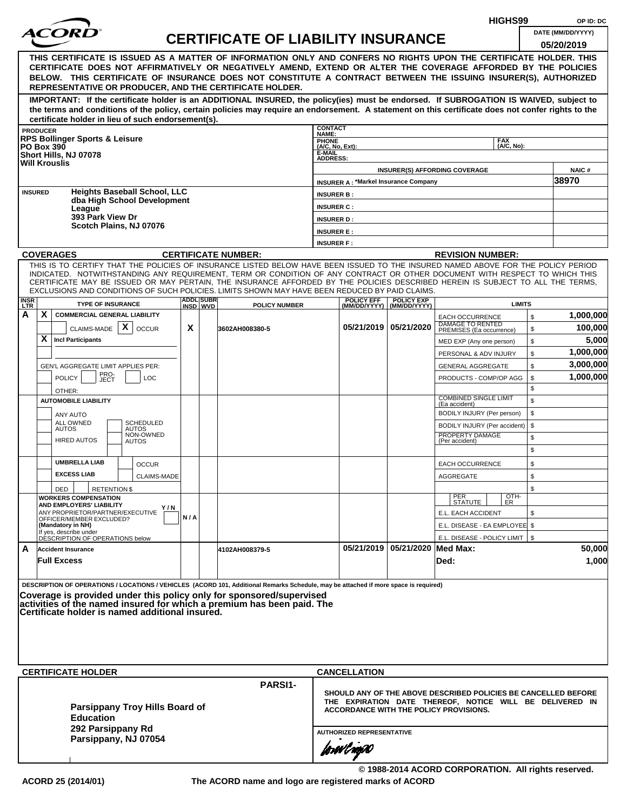|                           |                                                                               |                                                                                                                 |                           |     |                              |                                                                                                                                                                                                                                                                                                                                                                                                                  |                                                              |                                   |                                             | HIGHS99                                                                                                                                                              |          | OP ID: DC            |
|---------------------------|-------------------------------------------------------------------------------|-----------------------------------------------------------------------------------------------------------------|---------------------------|-----|------------------------------|------------------------------------------------------------------------------------------------------------------------------------------------------------------------------------------------------------------------------------------------------------------------------------------------------------------------------------------------------------------------------------------------------------------|--------------------------------------------------------------|-----------------------------------|---------------------------------------------|----------------------------------------------------------------------------------------------------------------------------------------------------------------------|----------|----------------------|
|                           |                                                                               |                                                                                                                 |                           |     |                              | <b>CERTIFICATE OF LIABILITY INSURANCE</b>                                                                                                                                                                                                                                                                                                                                                                        |                                                              |                                   |                                             |                                                                                                                                                                      |          | DATE (MM/DD/YYYY)    |
|                           |                                                                               |                                                                                                                 |                           |     |                              | THIS CERTIFICATE IS ISSUED AS A MATTER OF INFORMATION ONLY AND CONFERS NO RIGHTS UPON THE CERTIFICATE HOLDER. THIS<br>CERTIFICATE DOES NOT AFFIRMATIVELY OR NEGATIVELY AMEND, EXTEND OR ALTER THE COVERAGE AFFORDED BY THE POLICIES<br>BELOW. THIS CERTIFICATE OF INSURANCE DOES NOT CONSTITUTE A CONTRACT BETWEEN THE ISSUING INSURER(S), AUTHORIZED<br>REPRESENTATIVE OR PRODUCER, AND THE CERTIFICATE HOLDER. |                                                              |                                   |                                             |                                                                                                                                                                      |          | 05/20/2019           |
|                           |                                                                               | certificate holder in lieu of such endorsement(s).                                                              |                           |     |                              | IMPORTANT: If the certificate holder is an ADDITIONAL INSURED, the policy(ies) must be endorsed. If SUBROGATION IS WAIVED, subject to<br>the terms and conditions of the policy, certain policies may require an endorsement. A statement on this certificate does not confer rights to the                                                                                                                      |                                                              |                                   |                                             |                                                                                                                                                                      |          |                      |
|                           | <b>PRODUCER</b>                                                               |                                                                                                                 |                           |     |                              |                                                                                                                                                                                                                                                                                                                                                                                                                  | <b>CONTACT</b><br><b>NAME:</b>                               |                                   |                                             |                                                                                                                                                                      |          |                      |
|                           |                                                                               | <b>RPS Bollinger Sports &amp; Leisure</b><br><b>PO Box 390</b><br>Short Hills, NJ 07078<br><b>Will Krouslis</b> |                           |     |                              |                                                                                                                                                                                                                                                                                                                                                                                                                  | <b>PHONE</b><br>(A/C, No, Ext):<br>E-MAIL<br><b>ADDRESS:</b> |                                   |                                             | <b>FAX</b><br>(A/C, No):                                                                                                                                             |          |                      |
|                           |                                                                               |                                                                                                                 |                           |     |                              |                                                                                                                                                                                                                                                                                                                                                                                                                  |                                                              |                                   | <b>INSURER A: *Markel Insurance Company</b> | <b>INSURER(S) AFFORDING COVERAGE</b>                                                                                                                                 |          | NAIC#<br>38970       |
| <b>INSURED</b>            |                                                                               | <b>Heights Baseball School, LLC</b><br>dba High School Development                                              |                           |     |                              |                                                                                                                                                                                                                                                                                                                                                                                                                  | <b>INSURER B:</b>                                            |                                   |                                             |                                                                                                                                                                      |          |                      |
|                           |                                                                               | League                                                                                                          |                           |     |                              |                                                                                                                                                                                                                                                                                                                                                                                                                  | <b>INSURER C:</b>                                            |                                   |                                             |                                                                                                                                                                      |          |                      |
|                           |                                                                               | 393 Park View Dr<br>Scotch Plains, NJ 07076                                                                     |                           |     |                              |                                                                                                                                                                                                                                                                                                                                                                                                                  | <b>INSURER D:</b>                                            |                                   |                                             |                                                                                                                                                                      |          |                      |
|                           |                                                                               |                                                                                                                 |                           |     |                              |                                                                                                                                                                                                                                                                                                                                                                                                                  | <b>INSURER E:</b>                                            |                                   |                                             |                                                                                                                                                                      |          |                      |
|                           |                                                                               |                                                                                                                 |                           |     |                              |                                                                                                                                                                                                                                                                                                                                                                                                                  | <b>INSURER F:</b>                                            |                                   |                                             |                                                                                                                                                                      |          |                      |
|                           |                                                                               | <b>COVERAGES</b>                                                                                                |                           |     |                              | <b>CERTIFICATE NUMBER:</b><br>THIS IS TO CERTIFY THAT THE POLICIES OF INSURANCE LISTED BELOW HAVE BEEN ISSUED TO THE INSURED NAMED ABOVE FOR THE POLICY PERIOD                                                                                                                                                                                                                                                   |                                                              |                                   |                                             | <b>REVISION NUMBER:</b>                                                                                                                                              |          |                      |
|                           |                                                                               |                                                                                                                 |                           |     |                              | INDICATED. NOTWITHSTANDING ANY REQUIREMENT, TERM OR CONDITION OF ANY CONTRACT OR OTHER DOCUMENT WITH RESPECT TO WHICH THIS<br>CERTIFICATE MAY BE ISSUED OR MAY PERTAIN, THE INSURANCE AFFORDED BY THE POLICIES DESCRIBED HEREIN IS SUBJECT TO ALL THE TERMS,<br>EXCLUSIONS AND CONDITIONS OF SUCH POLICIES. LIMITS SHOWN MAY HAVE BEEN REDUCED BY PAID CLAIMS.                                                   |                                                              |                                   |                                             |                                                                                                                                                                      |          |                      |
| <b>INSR</b><br><b>LTR</b> |                                                                               | <b>TYPE OF INSURANCE</b>                                                                                        |                           |     | <b>ADDL SUBR</b><br>INSD WVD | <b>POLICY NUMBER</b>                                                                                                                                                                                                                                                                                                                                                                                             |                                                              | <b>POLICY EFF</b><br>(MM/DD/YYYY) | <b>POLICY EXP</b><br>(MM/DD/YYYY)           | <b>LIMITS</b>                                                                                                                                                        |          |                      |
| А                         | X                                                                             | <b>COMMERCIAL GENERAL LIABILITY</b><br>CLAIMS-MADE                                                              | X<br><b>OCCUR</b>         | X   |                              | 3602AH008380-5                                                                                                                                                                                                                                                                                                                                                                                                   |                                                              |                                   | 05/21/2019 05/21/2020                       | <b>EACH OCCURRENCE</b><br>DAMAGE TO RENTED<br>PREMISES (Ea occurrence)                                                                                               | \$<br>\$ | 1,000,000<br>100,000 |
|                           | X                                                                             | <b>Incl Participants</b>                                                                                        |                           |     |                              |                                                                                                                                                                                                                                                                                                                                                                                                                  |                                                              |                                   |                                             | MED EXP (Any one person)                                                                                                                                             | \$       | 5,000                |
|                           |                                                                               |                                                                                                                 |                           |     |                              |                                                                                                                                                                                                                                                                                                                                                                                                                  |                                                              |                                   |                                             | PERSONAL & ADV INJURY                                                                                                                                                | \$       | 1,000,000            |
|                           |                                                                               | GEN'L AGGREGATE LIMIT APPLIES PER:                                                                              |                           |     |                              |                                                                                                                                                                                                                                                                                                                                                                                                                  |                                                              |                                   |                                             | <b>GENERAL AGGREGATE</b>                                                                                                                                             | \$       | 3,000,000            |
|                           | PRO-<br>JECT<br><b>POLICY</b><br>LOC<br>OTHER:<br><b>AUTOMOBILE LIABILITY</b> |                                                                                                                 |                           |     |                              |                                                                                                                                                                                                                                                                                                                                                                                                                  |                                                              |                                   |                                             | PRODUCTS - COMP/OP AGG                                                                                                                                               | \$<br>\$ | 1,000,000            |
|                           |                                                                               |                                                                                                                 |                           |     |                              |                                                                                                                                                                                                                                                                                                                                                                                                                  |                                                              |                                   |                                             | <b>COMBINED SINGLE LIMIT</b><br>(Ea accident)                                                                                                                        | \$       |                      |
|                           |                                                                               | ANY AUTO                                                                                                        |                           |     |                              |                                                                                                                                                                                                                                                                                                                                                                                                                  |                                                              |                                   |                                             | BODILY INJURY (Per person)                                                                                                                                           | \$       |                      |
|                           |                                                                               | <b>ALL OWNED</b><br><b>AUTOS</b>                                                                                | <b>SCHEDULED</b><br>AUTOS |     |                              |                                                                                                                                                                                                                                                                                                                                                                                                                  |                                                              |                                   |                                             | BODILY INJURY (Per accident)                                                                                                                                         | \$       |                      |
|                           |                                                                               | <b>HIRED AUTOS</b>                                                                                              | NON-OWNED<br><b>AUTOS</b> |     |                              |                                                                                                                                                                                                                                                                                                                                                                                                                  |                                                              |                                   |                                             | PROPERTY DAMAGE<br>(Per accident)                                                                                                                                    | \$<br>\$ |                      |
|                           |                                                                               | <b>UMBRELLA LIAB</b>                                                                                            | <b>OCCUR</b>              |     |                              |                                                                                                                                                                                                                                                                                                                                                                                                                  |                                                              |                                   |                                             | <b>EACH OCCURRENCE</b>                                                                                                                                               | \$       |                      |
|                           |                                                                               | <b>EXCESS LIAB</b>                                                                                              | <b>CLAIMS-MADE</b>        |     |                              |                                                                                                                                                                                                                                                                                                                                                                                                                  |                                                              |                                   |                                             | <b>AGGREGATE</b>                                                                                                                                                     | \$       |                      |
|                           |                                                                               | DED<br><b>RETENTION \$</b>                                                                                      |                           |     |                              |                                                                                                                                                                                                                                                                                                                                                                                                                  |                                                              |                                   |                                             |                                                                                                                                                                      | \$       |                      |
|                           |                                                                               | <b>WORKERS COMPENSATION</b><br>AND EMPLOYERS' LIABILITY<br>ANY PROPRIETOR/PARTNER/EXECUTIVE                     | Y / N                     |     |                              |                                                                                                                                                                                                                                                                                                                                                                                                                  |                                                              |                                   |                                             | OTH-<br>PER<br><b>STATUTE</b><br>ER<br>E.L. EACH ACCIDENT                                                                                                            | \$       |                      |
|                           |                                                                               | OFFICER/MEMBER EXCLUDED?<br>(Mandatory in NH)                                                                   |                           | N/A |                              |                                                                                                                                                                                                                                                                                                                                                                                                                  |                                                              |                                   |                                             | E.L. DISEASE - EA EMPLOYEE \$                                                                                                                                        |          |                      |
|                           |                                                                               | If yes, describe under<br>DESCRIPTION OF OPERATIONS below                                                       |                           |     |                              |                                                                                                                                                                                                                                                                                                                                                                                                                  |                                                              |                                   |                                             | E.L. DISEASE - POLICY LIMIT   \$                                                                                                                                     |          |                      |
| A                         |                                                                               | <b>Accident Insurance</b><br><b>Full Excess</b>                                                                 |                           |     |                              | 4102AH008379-5                                                                                                                                                                                                                                                                                                                                                                                                   |                                                              |                                   | 05/21/2019 05/21/2020 Med Max:              | Ded:                                                                                                                                                                 |          | 50,000<br>1,000      |
|                           |                                                                               | Certificate holder is named additional insured.                                                                 |                           |     |                              | DESCRIPTION OF OPERATIONS / LOCATIONS / VEHICLES (ACORD 101, Additional Remarks Schedule, may be attached if more space is required)<br>Coverage is provided under this policy only for sponsored/supervised<br>activities of the named insured for which a premium has been paid. The                                                                                                                           |                                                              |                                   |                                             |                                                                                                                                                                      |          |                      |
|                           |                                                                               | <b>CERTIFICATE HOLDER</b>                                                                                       |                           |     |                              |                                                                                                                                                                                                                                                                                                                                                                                                                  |                                                              | <b>CANCELLATION</b>               |                                             |                                                                                                                                                                      |          |                      |
|                           |                                                                               | Parsippany Troy Hills Board of<br><b>Education</b><br>292 Parsippany Rd                                         |                           |     |                              | <b>PARSI1-</b>                                                                                                                                                                                                                                                                                                                                                                                                   |                                                              |                                   |                                             | SHOULD ANY OF THE ABOVE DESCRIBED POLICIES BE CANCELLED BEFORE<br>THE EXPIRATION DATE THEREOF, NOTICE WILL BE DELIVERED IN<br>ACCORDANCE WITH THE POLICY PROVISIONS. |          |                      |
|                           |                                                                               | Parsippany, NJ 07054                                                                                            |                           |     |                              |                                                                                                                                                                                                                                                                                                                                                                                                                  |                                                              | <b>AUTHORIZED REPRESENTATIVE</b>  |                                             |                                                                                                                                                                      |          |                      |
|                           |                                                                               |                                                                                                                 |                           |     |                              |                                                                                                                                                                                                                                                                                                                                                                                                                  |                                                              | forwings0                         |                                             |                                                                                                                                                                      |          |                      |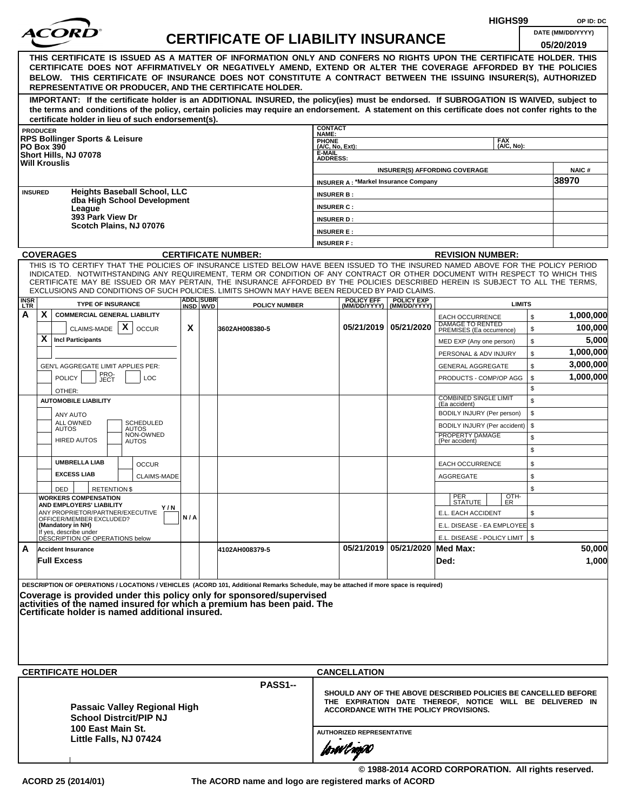|                                                                                                                                                                                                                                                                                                                                           |                 |                                                                                                                                                                                                                                                                                                                                                                                                                                                                                                    | HIGHS99 |                              | OP ID: DC                                 |                                   |                                             |                                                  |                                                                                                                                                                             |                |                                 |  |
|-------------------------------------------------------------------------------------------------------------------------------------------------------------------------------------------------------------------------------------------------------------------------------------------------------------------------------------------|-----------------|----------------------------------------------------------------------------------------------------------------------------------------------------------------------------------------------------------------------------------------------------------------------------------------------------------------------------------------------------------------------------------------------------------------------------------------------------------------------------------------------------|---------|------------------------------|-------------------------------------------|-----------------------------------|---------------------------------------------|--------------------------------------------------|-----------------------------------------------------------------------------------------------------------------------------------------------------------------------------|----------------|---------------------------------|--|
|                                                                                                                                                                                                                                                                                                                                           |                 |                                                                                                                                                                                                                                                                                                                                                                                                                                                                                                    |         |                              | <b>CERTIFICATE OF LIABILITY INSURANCE</b> |                                   |                                             |                                                  |                                                                                                                                                                             |                | DATE (MM/DD/YYYY)<br>05/20/2019 |  |
|                                                                                                                                                                                                                                                                                                                                           |                 | THIS CERTIFICATE IS ISSUED AS A MATTER OF INFORMATION ONLY AND CONFERS NO RIGHTS UPON THE CERTIFICATE HOLDER. THIS<br>CERTIFICATE DOES NOT AFFIRMATIVELY OR NEGATIVELY AMEND, EXTEND OR ALTER THE COVERAGE AFFORDED BY THE POLICIES<br>BELOW. THIS CERTIFICATE OF INSURANCE DOES NOT CONSTITUTE A CONTRACT BETWEEN THE ISSUING INSURER(S), AUTHORIZED<br>REPRESENTATIVE OR PRODUCER, AND THE CERTIFICATE HOLDER.                                                                                   |         |                              |                                           |                                   |                                             |                                                  |                                                                                                                                                                             |                |                                 |  |
|                                                                                                                                                                                                                                                                                                                                           |                 | IMPORTANT: If the certificate holder is an ADDITIONAL INSURED, the policy(ies) must be endorsed. If SUBROGATION IS WAIVED, subject to<br>the terms and conditions of the policy, certain policies may require an endorsement. A statement on this certificate does not confer rights to the<br>certificate holder in lieu of such endorsement(s).                                                                                                                                                  |         |                              |                                           |                                   |                                             |                                                  |                                                                                                                                                                             |                |                                 |  |
|                                                                                                                                                                                                                                                                                                                                           | <b>PRODUCER</b> |                                                                                                                                                                                                                                                                                                                                                                                                                                                                                                    |         |                              |                                           | <b>CONTACT</b>                    |                                             |                                                  |                                                                                                                                                                             |                |                                 |  |
|                                                                                                                                                                                                                                                                                                                                           |                 | <b>RPS Bollinger Sports &amp; Leisure</b><br><b>PO Box 390</b>                                                                                                                                                                                                                                                                                                                                                                                                                                     |         |                              |                                           | NAME:<br>PHONE<br>(A/C, No, Ext): |                                             |                                                  | <b>FAX</b><br>(A/C, No):                                                                                                                                                    |                |                                 |  |
|                                                                                                                                                                                                                                                                                                                                           |                 | Short Hills, NJ 07078                                                                                                                                                                                                                                                                                                                                                                                                                                                                              |         |                              |                                           | E-MAIL<br><b>ADDRESS:</b>         |                                             |                                                  |                                                                                                                                                                             |                |                                 |  |
|                                                                                                                                                                                                                                                                                                                                           |                 | <b>Will Krouslis</b>                                                                                                                                                                                                                                                                                                                                                                                                                                                                               |         |                              |                                           |                                   |                                             |                                                  | <b>INSURER(S) AFFORDING COVERAGE</b>                                                                                                                                        |                | NAIC#                           |  |
|                                                                                                                                                                                                                                                                                                                                           |                 |                                                                                                                                                                                                                                                                                                                                                                                                                                                                                                    |         |                              |                                           |                                   | <b>INSURER A: *Markel Insurance Company</b> |                                                  |                                                                                                                                                                             |                | 38970                           |  |
|                                                                                                                                                                                                                                                                                                                                           | <b>INSURED</b>  | <b>Heights Baseball School, LLC</b>                                                                                                                                                                                                                                                                                                                                                                                                                                                                |         |                              |                                           | <b>INSURER B:</b>                 |                                             |                                                  |                                                                                                                                                                             |                |                                 |  |
|                                                                                                                                                                                                                                                                                                                                           |                 | dba High School Development<br>League                                                                                                                                                                                                                                                                                                                                                                                                                                                              |         |                              |                                           | <b>INSURER C:</b>                 |                                             |                                                  |                                                                                                                                                                             |                |                                 |  |
|                                                                                                                                                                                                                                                                                                                                           |                 | 393 Park View Dr                                                                                                                                                                                                                                                                                                                                                                                                                                                                                   |         |                              |                                           | <b>INSURER D:</b>                 |                                             |                                                  |                                                                                                                                                                             |                |                                 |  |
|                                                                                                                                                                                                                                                                                                                                           |                 | Scotch Plains, NJ 07076                                                                                                                                                                                                                                                                                                                                                                                                                                                                            |         |                              |                                           | <b>INSURER E:</b>                 |                                             |                                                  |                                                                                                                                                                             |                |                                 |  |
|                                                                                                                                                                                                                                                                                                                                           |                 |                                                                                                                                                                                                                                                                                                                                                                                                                                                                                                    |         |                              |                                           | <b>INSURER F:</b>                 |                                             |                                                  |                                                                                                                                                                             |                |                                 |  |
|                                                                                                                                                                                                                                                                                                                                           |                 | <b>COVERAGES</b>                                                                                                                                                                                                                                                                                                                                                                                                                                                                                   |         |                              | <b>CERTIFICATE NUMBER:</b>                |                                   |                                             |                                                  | <b>REVISION NUMBER:</b>                                                                                                                                                     |                |                                 |  |
|                                                                                                                                                                                                                                                                                                                                           |                 | THIS IS TO CERTIFY THAT THE POLICIES OF INSURANCE LISTED BELOW HAVE BEEN ISSUED TO THE INSURED NAMED ABOVE FOR THE POLICY PERIOD<br>INDICATED. NOTWITHSTANDING ANY REQUIREMENT, TERM OR CONDITION OF ANY CONTRACT OR OTHER DOCUMENT WITH RESPECT TO WHICH THIS<br>CERTIFICATE MAY BE ISSUED OR MAY PERTAIN, THE INSURANCE AFFORDED BY THE POLICIES DESCRIBED HEREIN IS SUBJECT TO ALL THE TERMS,<br>EXCLUSIONS AND CONDITIONS OF SUCH POLICIES. LIMITS SHOWN MAY HAVE BEEN REDUCED BY PAID CLAIMS. |         |                              |                                           |                                   |                                             |                                                  |                                                                                                                                                                             |                |                                 |  |
| <b>INSR</b><br><b>LTR</b>                                                                                                                                                                                                                                                                                                                 |                 | <b>TYPE OF INSURANCE</b>                                                                                                                                                                                                                                                                                                                                                                                                                                                                           |         | <b>ADDL SUBR</b><br>INSD WVD | <b>POLICY NUMBER</b>                      |                                   | <b>POLICY EFF</b>                           | <b>POLICY EXP</b><br>(MM/DD/YYYY)   (MM/DD/YYYY) | <b>LIMITS</b>                                                                                                                                                               |                |                                 |  |
| A                                                                                                                                                                                                                                                                                                                                         | X               | <b>COMMERCIAL GENERAL LIABILITY</b>                                                                                                                                                                                                                                                                                                                                                                                                                                                                |         |                              |                                           |                                   |                                             |                                                  | <b>EACH OCCURRENCE</b><br>DAMAGE TO RENTED                                                                                                                                  | $$\mathbb{S}$$ | 1,000,000                       |  |
|                                                                                                                                                                                                                                                                                                                                           |                 | X<br>CLAIMS-MADE<br><b>OCCUR</b>                                                                                                                                                                                                                                                                                                                                                                                                                                                                   | X       |                              | 3602AH008380-5                            |                                   |                                             | 05/21/2019 05/21/2020                            | PREMISES (Ea occurrence)                                                                                                                                                    | \$             | 100,000                         |  |
|                                                                                                                                                                                                                                                                                                                                           | X               | <b>Incl Participants</b>                                                                                                                                                                                                                                                                                                                                                                                                                                                                           |         |                              |                                           |                                   |                                             |                                                  | MED EXP (Any one person)                                                                                                                                                    | \$             | 5,000                           |  |
|                                                                                                                                                                                                                                                                                                                                           |                 |                                                                                                                                                                                                                                                                                                                                                                                                                                                                                                    |         |                              |                                           |                                   |                                             |                                                  | PERSONAL & ADV INJURY                                                                                                                                                       | \$             | 1,000,000                       |  |
|                                                                                                                                                                                                                                                                                                                                           |                 | GEN'L AGGREGATE LIMIT APPLIES PER:<br>PRO-                                                                                                                                                                                                                                                                                                                                                                                                                                                         |         |                              |                                           |                                   |                                             |                                                  | <b>GENERAL AGGREGATE</b>                                                                                                                                                    | \$             | 3,000,000                       |  |
|                                                                                                                                                                                                                                                                                                                                           |                 | <b>POLICY</b><br>LOC<br>JECT                                                                                                                                                                                                                                                                                                                                                                                                                                                                       |         |                              |                                           |                                   |                                             |                                                  | PRODUCTS - COMP/OP AGG                                                                                                                                                      | \$<br>\$       | 1,000,000                       |  |
|                                                                                                                                                                                                                                                                                                                                           |                 | OTHER:<br><b>AUTOMOBILE LIABILITY</b>                                                                                                                                                                                                                                                                                                                                                                                                                                                              |         |                              |                                           |                                   |                                             |                                                  | <b>COMBINED SINGLE LIMIT</b>                                                                                                                                                | \$             |                                 |  |
|                                                                                                                                                                                                                                                                                                                                           |                 |                                                                                                                                                                                                                                                                                                                                                                                                                                                                                                    |         |                              |                                           |                                   |                                             |                                                  | (Ea accident)<br>BODILY INJURY (Per person)                                                                                                                                 | \$             |                                 |  |
|                                                                                                                                                                                                                                                                                                                                           |                 | <b>ANY AUTO</b><br>ALL OWNED<br>SCHEDULED                                                                                                                                                                                                                                                                                                                                                                                                                                                          |         |                              |                                           |                                   |                                             |                                                  | BODILY INJURY (Per accident)                                                                                                                                                | \$             |                                 |  |
|                                                                                                                                                                                                                                                                                                                                           |                 | <b>AUTOS</b><br><b>AUTOS</b><br>NON-OWNED<br><b>HIRED AUTOS</b>                                                                                                                                                                                                                                                                                                                                                                                                                                    |         |                              |                                           |                                   |                                             |                                                  | PROPERTY DAMAGE                                                                                                                                                             | \$             |                                 |  |
|                                                                                                                                                                                                                                                                                                                                           |                 | <b>AUTOS</b>                                                                                                                                                                                                                                                                                                                                                                                                                                                                                       |         |                              |                                           |                                   |                                             |                                                  | (Per accident)                                                                                                                                                              | \$             |                                 |  |
|                                                                                                                                                                                                                                                                                                                                           |                 | <b>UMBRELLA LIAB</b><br><b>OCCUR</b>                                                                                                                                                                                                                                                                                                                                                                                                                                                               |         |                              |                                           |                                   |                                             |                                                  | <b>EACH OCCURRENCE</b>                                                                                                                                                      | \$             |                                 |  |
|                                                                                                                                                                                                                                                                                                                                           |                 | <b>EXCESS LIAB</b><br><b>CLAIMS-MADE</b>                                                                                                                                                                                                                                                                                                                                                                                                                                                           |         |                              |                                           |                                   |                                             |                                                  | <b>AGGREGATE</b>                                                                                                                                                            | \$             |                                 |  |
|                                                                                                                                                                                                                                                                                                                                           |                 | <b>RETENTION \$</b><br>DED                                                                                                                                                                                                                                                                                                                                                                                                                                                                         |         |                              |                                           |                                   |                                             |                                                  |                                                                                                                                                                             | \$             |                                 |  |
|                                                                                                                                                                                                                                                                                                                                           |                 | <b>WORKERS COMPENSATION</b>                                                                                                                                                                                                                                                                                                                                                                                                                                                                        |         |                              |                                           |                                   |                                             |                                                  | OTH-<br>PER<br><b>STATUTE</b><br>ER                                                                                                                                         |                |                                 |  |
|                                                                                                                                                                                                                                                                                                                                           |                 | AND EMPLOYERS' LIABILITY<br>Y / N<br>ANY PROPRIETOR/PARTNER/EXECUTIVE                                                                                                                                                                                                                                                                                                                                                                                                                              |         |                              |                                           |                                   |                                             |                                                  | E.L. EACH ACCIDENT                                                                                                                                                          | \$             |                                 |  |
|                                                                                                                                                                                                                                                                                                                                           |                 | OFFICER/MEMBER EXCLUDED?<br>(Mandatory in NH)                                                                                                                                                                                                                                                                                                                                                                                                                                                      | N/A     |                              |                                           |                                   |                                             |                                                  | E.L. DISEASE - EA EMPLOYEE \$                                                                                                                                               |                |                                 |  |
|                                                                                                                                                                                                                                                                                                                                           |                 | If yes, describe under<br>DESCRIPTION OF OPERATIONS below                                                                                                                                                                                                                                                                                                                                                                                                                                          |         |                              |                                           |                                   |                                             |                                                  | E.L. DISEASE - POLICY LIMIT   \$                                                                                                                                            |                |                                 |  |
| A                                                                                                                                                                                                                                                                                                                                         |                 | <b>Accident Insurance</b>                                                                                                                                                                                                                                                                                                                                                                                                                                                                          |         |                              | 4102AH008379-5                            |                                   |                                             | 05/21/2019 05/21/2020 Med Max:                   |                                                                                                                                                                             |                | 50,000                          |  |
|                                                                                                                                                                                                                                                                                                                                           |                 | <b>Full Excess</b>                                                                                                                                                                                                                                                                                                                                                                                                                                                                                 |         |                              |                                           |                                   |                                             |                                                  | Ded:                                                                                                                                                                        |                | 1,000                           |  |
| DESCRIPTION OF OPERATIONS / LOCATIONS / VEHICLES (ACORD 101, Additional Remarks Schedule, may be attached if more space is required)<br>Coverage is provided under this policy only for sponsored/supervised<br>activities of the named insured for which a premium has been paid. The<br>Certificate holder is named additional insured. |                 |                                                                                                                                                                                                                                                                                                                                                                                                                                                                                                    |         |                              |                                           |                                   |                                             |                                                  |                                                                                                                                                                             |                |                                 |  |
|                                                                                                                                                                                                                                                                                                                                           |                 | <b>CERTIFICATE HOLDER</b>                                                                                                                                                                                                                                                                                                                                                                                                                                                                          |         |                              |                                           |                                   | <b>CANCELLATION</b>                         |                                                  |                                                                                                                                                                             |                |                                 |  |
|                                                                                                                                                                                                                                                                                                                                           |                 | Passaic Valley Regional High<br><b>School Distrcit/PIP NJ</b>                                                                                                                                                                                                                                                                                                                                                                                                                                      |         |                              | PASS1--                                   |                                   |                                             |                                                  | SHOULD ANY OF THE ABOVE DESCRIBED POLICIES BE CANCELLED BEFORE<br>THE EXPIRATION DATE THEREOF, NOTICE WILL BE DELIVERED IN<br><b>ACCORDANCE WITH THE POLICY PROVISIONS.</b> |                |                                 |  |
|                                                                                                                                                                                                                                                                                                                                           |                 | 100 East Main St.                                                                                                                                                                                                                                                                                                                                                                                                                                                                                  |         |                              |                                           |                                   | <b>AUTHORIZED REPRESENTATIVE</b>            |                                                  |                                                                                                                                                                             |                |                                 |  |
|                                                                                                                                                                                                                                                                                                                                           |                 | Little Falls, NJ 07424                                                                                                                                                                                                                                                                                                                                                                                                                                                                             |         |                              |                                           |                                   | forwl nop0                                  |                                                  |                                                                                                                                                                             |                |                                 |  |
|                                                                                                                                                                                                                                                                                                                                           |                 |                                                                                                                                                                                                                                                                                                                                                                                                                                                                                                    |         |                              |                                           |                                   |                                             |                                                  |                                                                                                                                                                             |                |                                 |  |

**© 1988-2014 ACORD CORPORATION. All rights reserved.**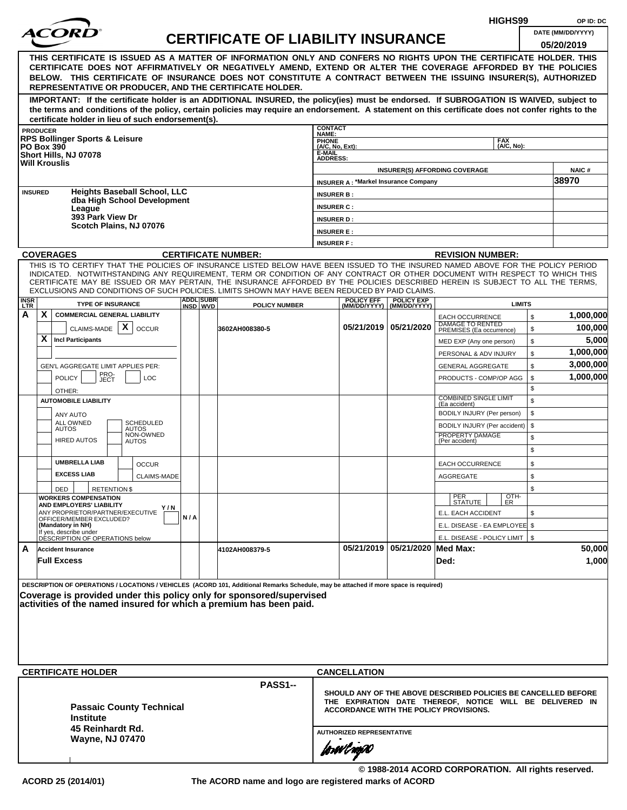|                |                                                                                                                                                                                                                                                                                                                                                                                                                                                                                                    |     |                  |                                           |                                |                                  |                                             | HIGHS99                                                                                                                                                                     |                   | OP ID: DC                       |  |  |  |
|----------------|----------------------------------------------------------------------------------------------------------------------------------------------------------------------------------------------------------------------------------------------------------------------------------------------------------------------------------------------------------------------------------------------------------------------------------------------------------------------------------------------------|-----|------------------|-------------------------------------------|--------------------------------|----------------------------------|---------------------------------------------|-----------------------------------------------------------------------------------------------------------------------------------------------------------------------------|-------------------|---------------------------------|--|--|--|
|                |                                                                                                                                                                                                                                                                                                                                                                                                                                                                                                    |     |                  | <b>CERTIFICATE OF LIABILITY INSURANCE</b> |                                |                                  |                                             |                                                                                                                                                                             |                   | DATE (MM/DD/YYYY)<br>05/20/2019 |  |  |  |
|                | THIS CERTIFICATE IS ISSUED AS A MATTER OF INFORMATION ONLY AND CONFERS NO RIGHTS UPON THE CERTIFICATE HOLDER. THIS<br>CERTIFICATE DOES NOT AFFIRMATIVELY OR NEGATIVELY AMEND, EXTEND OR ALTER THE COVERAGE AFFORDED BY THE POLICIES<br>BELOW. THIS CERTIFICATE OF INSURANCE DOES NOT CONSTITUTE A CONTRACT BETWEEN THE ISSUING INSURER(S), AUTHORIZED<br>REPRESENTATIVE OR PRODUCER, AND THE CERTIFICATE HOLDER.                                                                                   |     |                  |                                           |                                |                                  |                                             |                                                                                                                                                                             |                   |                                 |  |  |  |
|                | IMPORTANT: If the certificate holder is an ADDITIONAL INSURED, the policy(ies) must be endorsed. If SUBROGATION IS WAIVED, subject to<br>the terms and conditions of the policy, certain policies may require an endorsement. A statement on this certificate does not confer rights to the<br>certificate holder in lieu of such endorsement(s).                                                                                                                                                  |     |                  |                                           |                                |                                  |                                             |                                                                                                                                                                             |                   |                                 |  |  |  |
|                | <b>PRODUCER</b>                                                                                                                                                                                                                                                                                                                                                                                                                                                                                    |     |                  |                                           | <b>CONTACT</b><br><b>NAME:</b> |                                  |                                             |                                                                                                                                                                             |                   |                                 |  |  |  |
|                | <b>RPS Bollinger Sports &amp; Leisure</b><br><b>PO Box 390</b>                                                                                                                                                                                                                                                                                                                                                                                                                                     |     |                  |                                           | PHONE<br>(A/C, No, Ext):       |                                  |                                             | <b>FAX</b>                                                                                                                                                                  | (A/C, No):        |                                 |  |  |  |
|                | Short Hills, NJ 07078                                                                                                                                                                                                                                                                                                                                                                                                                                                                              |     |                  |                                           | E-MAIL<br><b>ADDRESS:</b>      |                                  |                                             |                                                                                                                                                                             |                   |                                 |  |  |  |
|                | <b>Will Krouslis</b>                                                                                                                                                                                                                                                                                                                                                                                                                                                                               |     |                  |                                           |                                |                                  |                                             | <b>INSURER(S) AFFORDING COVERAGE</b>                                                                                                                                        |                   | <b>NAIC#</b>                    |  |  |  |
|                |                                                                                                                                                                                                                                                                                                                                                                                                                                                                                                    |     |                  |                                           |                                |                                  | <b>INSURER A: *Markel Insurance Company</b> |                                                                                                                                                                             |                   | 38970                           |  |  |  |
| <b>INSURED</b> | <b>Heights Baseball School, LLC</b><br>dba High School Development                                                                                                                                                                                                                                                                                                                                                                                                                                 |     |                  |                                           | <b>INSURER B:</b>              |                                  |                                             |                                                                                                                                                                             |                   |                                 |  |  |  |
|                | League                                                                                                                                                                                                                                                                                                                                                                                                                                                                                             |     |                  |                                           | <b>INSURER C:</b>              |                                  |                                             |                                                                                                                                                                             |                   |                                 |  |  |  |
|                | 393 Park View Dr<br>Scotch Plains, NJ 07076                                                                                                                                                                                                                                                                                                                                                                                                                                                        |     |                  |                                           | <b>INSURER D:</b>              |                                  |                                             |                                                                                                                                                                             |                   |                                 |  |  |  |
|                |                                                                                                                                                                                                                                                                                                                                                                                                                                                                                                    |     |                  |                                           | <b>INSURER E:</b>              |                                  |                                             |                                                                                                                                                                             |                   |                                 |  |  |  |
|                |                                                                                                                                                                                                                                                                                                                                                                                                                                                                                                    |     |                  |                                           | <b>INSURER F:</b>              |                                  |                                             |                                                                                                                                                                             |                   |                                 |  |  |  |
|                | <b>COVERAGES</b>                                                                                                                                                                                                                                                                                                                                                                                                                                                                                   |     |                  | <b>CERTIFICATE NUMBER:</b>                |                                |                                  |                                             | <b>REVISION NUMBER:</b>                                                                                                                                                     |                   |                                 |  |  |  |
| <b>INSR</b>    | THIS IS TO CERTIFY THAT THE POLICIES OF INSURANCE LISTED BELOW HAVE BEEN ISSUED TO THE INSURED NAMED ABOVE FOR THE POLICY PERIOD<br>INDICATED. NOTWITHSTANDING ANY REQUIREMENT, TERM OR CONDITION OF ANY CONTRACT OR OTHER DOCUMENT WITH RESPECT TO WHICH THIS<br>CERTIFICATE MAY BE ISSUED OR MAY PERTAIN, THE INSURANCE AFFORDED BY THE POLICIES DESCRIBED HEREIN IS SUBJECT TO ALL THE TERMS,<br>EXCLUSIONS AND CONDITIONS OF SUCH POLICIES. LIMITS SHOWN MAY HAVE BEEN REDUCED BY PAID CLAIMS. |     | <b>ADDL SUBR</b> |                                           |                                | <b>POLICY EFF</b>                | <b>POLICY EXP</b>                           |                                                                                                                                                                             |                   |                                 |  |  |  |
| <b>LTR</b>     | <b>TYPE OF INSURANCE</b>                                                                                                                                                                                                                                                                                                                                                                                                                                                                           |     | INSD WVD         | <b>POLICY NUMBER</b>                      |                                | (MM/DD/YYYY)                     | (MM/DD/YYYY)                                |                                                                                                                                                                             | <b>LIMITS</b>     |                                 |  |  |  |
| A              | X.<br><b>COMMERCIAL GENERAL LIABILITY</b>                                                                                                                                                                                                                                                                                                                                                                                                                                                          |     |                  |                                           |                                |                                  |                                             | <b>EACH OCCURRENCE</b><br>DAMAGE TO RENTED                                                                                                                                  | \$                | 1,000,000                       |  |  |  |
|                | $\boldsymbol{\mathsf{X}}$<br>CLAIMS-MADE<br><b>OCCUR</b>                                                                                                                                                                                                                                                                                                                                                                                                                                           |     |                  | 3602AH008380-5                            |                                |                                  | 05/21/2019   05/21/2020                     | PREMISES (Ea occurrence)                                                                                                                                                    | $\mathfrak s$     | 100,000                         |  |  |  |
|                | X.<br><b>Incl Participants</b>                                                                                                                                                                                                                                                                                                                                                                                                                                                                     |     |                  |                                           |                                |                                  |                                             | MED EXP (Any one person)                                                                                                                                                    | \$                | 5,000                           |  |  |  |
|                |                                                                                                                                                                                                                                                                                                                                                                                                                                                                                                    |     |                  |                                           |                                |                                  |                                             | PERSONAL & ADV INJURY                                                                                                                                                       | \$                | 1,000,000                       |  |  |  |
|                | GEN'L AGGREGATE LIMIT APPLIES PER:                                                                                                                                                                                                                                                                                                                                                                                                                                                                 |     |                  |                                           |                                |                                  |                                             | <b>GENERAL AGGREGATE</b>                                                                                                                                                    | \$                | 3,000,000                       |  |  |  |
|                | PRO-<br>JECT<br><b>POLICY</b><br>LOC                                                                                                                                                                                                                                                                                                                                                                                                                                                               |     |                  |                                           |                                |                                  |                                             | PRODUCTS - COMP/OP AGG                                                                                                                                                      | \$<br>\$          | 1,000,000                       |  |  |  |
|                | OTHER:<br><b>AUTOMOBILE LIABILITY</b>                                                                                                                                                                                                                                                                                                                                                                                                                                                              |     |                  |                                           |                                |                                  | <b>COMBINED SINGLE LIMIT</b>                | \$                                                                                                                                                                          |                   |                                 |  |  |  |
|                |                                                                                                                                                                                                                                                                                                                                                                                                                                                                                                    |     |                  |                                           |                                |                                  |                                             | (Ea accident)<br>BODILY INJURY (Per person)                                                                                                                                 | \$                |                                 |  |  |  |
|                | ANY AUTO<br>ALL OWNED<br><b>SCHEDULED</b>                                                                                                                                                                                                                                                                                                                                                                                                                                                          |     |                  |                                           |                                |                                  |                                             | BODILY INJURY (Per accident)                                                                                                                                                | \$                |                                 |  |  |  |
|                | <b>AUTOS</b><br><b>AUTOS</b><br>NON-OWNED                                                                                                                                                                                                                                                                                                                                                                                                                                                          |     |                  |                                           |                                |                                  |                                             | PROPERTY DAMAGE                                                                                                                                                             | \$                |                                 |  |  |  |
|                | <b>HIRED AUTOS</b><br><b>AUTOS</b>                                                                                                                                                                                                                                                                                                                                                                                                                                                                 |     |                  |                                           |                                |                                  |                                             | (Per accident)                                                                                                                                                              | \$                |                                 |  |  |  |
|                | <b>UMBRELLA LIAB</b><br><b>OCCUR</b>                                                                                                                                                                                                                                                                                                                                                                                                                                                               |     |                  |                                           |                                |                                  |                                             | <b>EACH OCCURRENCE</b>                                                                                                                                                      | \$                |                                 |  |  |  |
|                | <b>EXCESS LIAB</b><br><b>CLAIMS-MADE</b>                                                                                                                                                                                                                                                                                                                                                                                                                                                           |     |                  |                                           |                                |                                  |                                             | AGGREGATE                                                                                                                                                                   | \$                |                                 |  |  |  |
|                | DED<br><b>RETENTION \$</b>                                                                                                                                                                                                                                                                                                                                                                                                                                                                         |     |                  |                                           |                                |                                  |                                             |                                                                                                                                                                             | \$                |                                 |  |  |  |
|                | <b>WORKERS COMPENSATION</b>                                                                                                                                                                                                                                                                                                                                                                                                                                                                        |     |                  |                                           |                                |                                  |                                             | PER<br>STATUTE                                                                                                                                                              | OTH-<br><b>ER</b> |                                 |  |  |  |
|                | AND EMPLOYERS' LIABILITY<br>Y / N<br>ANY PROPRIETOR/PARTNER/EXECUTIVE                                                                                                                                                                                                                                                                                                                                                                                                                              |     |                  |                                           |                                |                                  |                                             | E.L. EACH ACCIDENT                                                                                                                                                          | \$                |                                 |  |  |  |
|                | OFFICER/MEMBER EXCLUDED?<br>(Mandatory in NH)                                                                                                                                                                                                                                                                                                                                                                                                                                                      | N/A |                  |                                           |                                |                                  |                                             | E.L. DISEASE - EA EMPLOYEE \$                                                                                                                                               |                   |                                 |  |  |  |
|                | If yes, describe under<br>DÉSCRIPTION OF OPERATIONS below                                                                                                                                                                                                                                                                                                                                                                                                                                          |     |                  |                                           |                                |                                  |                                             | E.L. DISEASE - POLICY LIMIT   \$                                                                                                                                            |                   |                                 |  |  |  |
| A              | <b>Accident Insurance</b>                                                                                                                                                                                                                                                                                                                                                                                                                                                                          |     |                  | 4102AH008379-5                            |                                |                                  | 05/21/2019   05/21/2020   Med Max:          |                                                                                                                                                                             |                   | 50,000                          |  |  |  |
|                | <b>Full Excess</b>                                                                                                                                                                                                                                                                                                                                                                                                                                                                                 |     |                  |                                           |                                |                                  |                                             | Ded:                                                                                                                                                                        |                   | 1,000                           |  |  |  |
|                | DESCRIPTION OF OPERATIONS / LOCATIONS / VEHICLES (ACORD 101, Additional Remarks Schedule, may be attached if more space is required)<br>Coverage is provided under this policy only for sponsored/supervised<br>activities of the named insured for which a premium has been paid.                                                                                                                                                                                                                 |     |                  |                                           |                                |                                  |                                             |                                                                                                                                                                             |                   |                                 |  |  |  |
|                | <b>CERTIFICATE HOLDER</b>                                                                                                                                                                                                                                                                                                                                                                                                                                                                          |     |                  |                                           |                                | <b>CANCELLATION</b>              |                                             |                                                                                                                                                                             |                   |                                 |  |  |  |
|                | <b>Passaic County Technical</b><br><b>Institute</b>                                                                                                                                                                                                                                                                                                                                                                                                                                                |     |                  | PASS1--                                   |                                |                                  |                                             | SHOULD ANY OF THE ABOVE DESCRIBED POLICIES BE CANCELLED BEFORE<br>THE EXPIRATION DATE THEREOF, NOTICE WILL BE DELIVERED IN<br><b>ACCORDANCE WITH THE POLICY PROVISIONS.</b> |                   |                                 |  |  |  |
|                | 45 Reinhardt Rd.<br><b>Wayne, NJ 07470</b>                                                                                                                                                                                                                                                                                                                                                                                                                                                         |     |                  |                                           |                                | <b>AUTHORIZED REPRESENTATIVE</b> |                                             |                                                                                                                                                                             |                   |                                 |  |  |  |
|                |                                                                                                                                                                                                                                                                                                                                                                                                                                                                                                    |     |                  |                                           |                                | jowilnyw                         |                                             |                                                                                                                                                                             |                   |                                 |  |  |  |

**© 1988-2014 ACORD CORPORATION. All rights reserved.**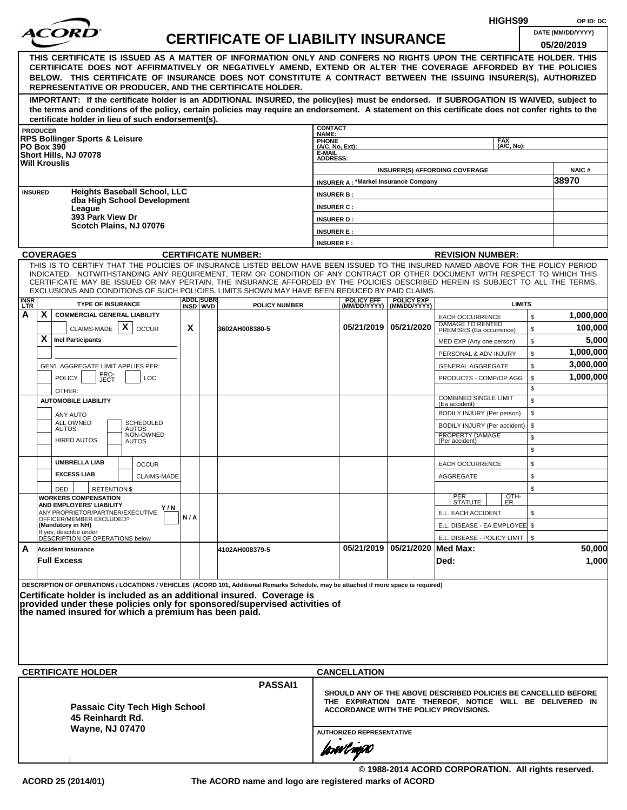|                    |                      |                                                                                                                                                                                                                                                              |       |                               |                                           |                           |                                             |                                                  |                                                                | HIGHS99            |              | OP ID: DC         |
|--------------------|----------------------|--------------------------------------------------------------------------------------------------------------------------------------------------------------------------------------------------------------------------------------------------------------|-------|-------------------------------|-------------------------------------------|---------------------------|---------------------------------------------|--------------------------------------------------|----------------------------------------------------------------|--------------------|--------------|-------------------|
|                    |                      |                                                                                                                                                                                                                                                              |       |                               | <b>CERTIFICATE OF LIABILITY INSURANCE</b> |                           |                                             |                                                  |                                                                |                    |              | DATE (MM/DD/YYYY) |
|                    |                      |                                                                                                                                                                                                                                                              |       |                               |                                           |                           |                                             |                                                  |                                                                |                    |              | 05/20/2019        |
|                    |                      | THIS CERTIFICATE IS ISSUED AS A MATTER OF INFORMATION ONLY AND CONFERS NO RIGHTS UPON THE CERTIFICATE HOLDER. THIS<br>CERTIFICATE DOES NOT AFFIRMATIVELY OR NEGATIVELY AMEND, EXTEND OR ALTER THE COVERAGE AFFORDED BY THE POLICIES                          |       |                               |                                           |                           |                                             |                                                  |                                                                |                    |              |                   |
|                    |                      | BELOW. THIS CERTIFICATE OF INSURANCE DOES NOT CONSTITUTE A CONTRACT BETWEEN THE ISSUING INSURER(S), AUTHORIZED                                                                                                                                               |       |                               |                                           |                           |                                             |                                                  |                                                                |                    |              |                   |
|                    |                      | REPRESENTATIVE OR PRODUCER, AND THE CERTIFICATE HOLDER.                                                                                                                                                                                                      |       |                               |                                           |                           |                                             |                                                  |                                                                |                    |              |                   |
|                    |                      | IMPORTANT: If the certificate holder is an ADDITIONAL INSURED, the policy(ies) must be endorsed. If SUBROGATION IS WAIVED, subject to                                                                                                                        |       |                               |                                           |                           |                                             |                                                  |                                                                |                    |              |                   |
|                    |                      | the terms and conditions of the policy, certain policies may require an endorsement. A statement on this certificate does not confer rights to the                                                                                                           |       |                               |                                           |                           |                                             |                                                  |                                                                |                    |              |                   |
|                    | <b>PRODUCER</b>      | certificate holder in lieu of such endorsement(s).                                                                                                                                                                                                           |       |                               |                                           | <b>CONTACT</b>            |                                             |                                                  |                                                                |                    |              |                   |
|                    |                      | <b>RPS Bollinger Sports &amp; Leisure</b>                                                                                                                                                                                                                    |       |                               |                                           | NAME:<br><b>PHONE</b>     |                                             |                                                  |                                                                | <b>FAX</b>         |              |                   |
|                    | <b>PO Box 390</b>    | Short Hills, NJ 07078                                                                                                                                                                                                                                        |       |                               |                                           | (A/C, No, Ext):<br>E-MAIL |                                             |                                                  |                                                                | (A/C. No):         |              |                   |
|                    | <b>Will Krouslis</b> |                                                                                                                                                                                                                                                              |       |                               |                                           | <b>ADDRESS:</b>           |                                             |                                                  |                                                                |                    |              | <b>NAIC#</b>      |
|                    |                      |                                                                                                                                                                                                                                                              |       |                               |                                           |                           | <b>INSURER A: *Markel Insurance Company</b> |                                                  | <b>INSURER(S) AFFORDING COVERAGE</b>                           |                    |              | 38970             |
|                    | <b>INSURED</b>       | <b>Heights Baseball School, LLC</b>                                                                                                                                                                                                                          |       |                               |                                           | <b>INSURER B:</b>         |                                             |                                                  |                                                                |                    |              |                   |
|                    |                      | dba High School Development                                                                                                                                                                                                                                  |       |                               |                                           | <b>INSURER C:</b>         |                                             |                                                  |                                                                |                    |              |                   |
|                    |                      | League<br>393 Park View Dr                                                                                                                                                                                                                                   |       |                               |                                           | <b>INSURER D:</b>         |                                             |                                                  |                                                                |                    |              |                   |
|                    |                      | Scotch Plains, NJ 07076                                                                                                                                                                                                                                      |       |                               |                                           | <b>INSURER E:</b>         |                                             |                                                  |                                                                |                    |              |                   |
|                    |                      |                                                                                                                                                                                                                                                              |       |                               |                                           | <b>INSURER F:</b>         |                                             |                                                  |                                                                |                    |              |                   |
|                    | <b>COVERAGES</b>     |                                                                                                                                                                                                                                                              |       |                               | <b>CERTIFICATE NUMBER:</b>                |                           |                                             |                                                  | <b>REVISION NUMBER:</b>                                        |                    |              |                   |
|                    |                      | THIS IS TO CERTIFY THAT THE POLICIES OF INSURANCE LISTED BELOW HAVE BEEN ISSUED TO THE INSURED NAMED ABOVE FOR THE POLICY PERIOD                                                                                                                             |       |                               |                                           |                           |                                             |                                                  |                                                                |                    |              |                   |
|                    |                      | INDICATED. NOTWITHSTANDING ANY REQUIREMENT, TERM OR CONDITION OF ANY CONTRACT OR OTHER DOCUMENT WITH RESPECT TO WHICH THIS<br>CERTIFICATE MAY BE ISSUED OR MAY PERTAIN, THE INSURANCE AFFORDED BY THE POLICIES DESCRIBED HEREIN IS SUBJECT TO ALL THE TERMS. |       |                               |                                           |                           |                                             |                                                  |                                                                |                    |              |                   |
|                    |                      | EXCLUSIONS AND CONDITIONS OF SUCH POLICIES. LIMITS SHOWN MAY HAVE BEEN REDUCED BY PAID CLAIMS.                                                                                                                                                               |       |                               |                                           |                           |                                             |                                                  |                                                                |                    |              |                   |
| <b>INSR</b><br>LTR |                      | <b>TYPE OF INSURANCE</b>                                                                                                                                                                                                                                     |       | <b>ADDLISUBRI</b><br>INSD WVD | <b>POLICY NUMBER</b>                      |                           | <b>POLICY EFF</b>                           | <b>POLICY EXP</b><br>(MM/DD/YYYY)   (MM/DD/YYYY) |                                                                | <b>LIMITS</b>      |              |                   |
| А                  | X                    | <b>COMMERCIAL GENERAL LIABILITY</b>                                                                                                                                                                                                                          |       |                               |                                           |                           |                                             |                                                  | <b>EACH OCCURRENCE</b><br>DAMAGE TO RENTED                     |                    | $\mathbb{S}$ | 1,000,000         |
|                    |                      | CLAIMS-MADE $\mathbf{X}$<br><b>OCCUR</b>                                                                                                                                                                                                                     | X     |                               | 3602AH008380-5                            |                           |                                             | 05/21/2019   05/21/2020                          | PREMISES (Ea occurrence)                                       |                    | \$           | 100,000           |
|                    | X                    | <b>Incl Participants</b>                                                                                                                                                                                                                                     |       |                               |                                           |                           |                                             |                                                  | MED EXP (Any one person)                                       |                    | \$           | 5,000             |
|                    |                      |                                                                                                                                                                                                                                                              |       |                               |                                           |                           |                                             |                                                  | PERSONAL & ADV INJURY                                          |                    | \$           | 1,000,000         |
|                    |                      | GEN'L AGGREGATE LIMIT APPLIES PER:                                                                                                                                                                                                                           |       |                               |                                           |                           |                                             |                                                  | <b>GENERAL AGGREGATE</b>                                       |                    | \$           | 3,000,000         |
|                    |                      | PRO-<br>JECT<br><b>POLICY</b><br><b>LOC</b>                                                                                                                                                                                                                  |       |                               |                                           |                           |                                             |                                                  | PRODUCTS - COMP/OP AGG                                         |                    | \$<br>\$     | 1,000,000         |
|                    |                      | OTHER:<br><b>AUTOMOBILE LIABILITY</b>                                                                                                                                                                                                                        |       |                               |                                           |                           |                                             |                                                  | <b>COMBINED SINGLE LIMIT</b>                                   |                    | \$           |                   |
|                    |                      |                                                                                                                                                                                                                                                              |       |                               |                                           |                           |                                             |                                                  | (Ea accident)<br>BODILY INJURY (Per person)                    |                    | \$           |                   |
|                    |                      | ANY AUTO<br>ALL OWNED<br><b>SCHEDULED</b>                                                                                                                                                                                                                    |       |                               |                                           |                           |                                             |                                                  | BODILY INJURY (Per accident)                                   |                    | \$           |                   |
|                    |                      | <b>AUTOS</b><br><b>AUTOS</b><br>NON-OWNED                                                                                                                                                                                                                    |       |                               |                                           |                           |                                             |                                                  | PROPERTY DAMAGE                                                |                    | \$           |                   |
|                    |                      | <b>HIRED AUTOS</b><br><b>AUTOS</b>                                                                                                                                                                                                                           |       |                               |                                           |                           |                                             |                                                  | (Per accident)                                                 |                    | \$           |                   |
|                    |                      | <b>UMBRELLA LIAB</b><br><b>OCCUR</b>                                                                                                                                                                                                                         |       |                               |                                           |                           |                                             |                                                  | <b>EACH OCCURRENCE</b>                                         |                    | \$           |                   |
|                    |                      | <b>EXCESS LIAB</b><br>CLAIMS-MADE                                                                                                                                                                                                                            |       |                               |                                           |                           |                                             |                                                  | <b>AGGREGATE</b>                                               |                    | \$           |                   |
|                    |                      | <b>RETENTION \$</b><br>DED                                                                                                                                                                                                                                   |       |                               |                                           |                           |                                             |                                                  |                                                                |                    | \$           |                   |
|                    |                      | <b>WORKERS COMPENSATION</b>                                                                                                                                                                                                                                  |       |                               |                                           |                           |                                             |                                                  | PER<br>STATUTE                                                 | $\frac{[OTH]}{ER}$ |              |                   |
|                    |                      | AND EMPLOYERS' LIABILITY<br>ANY PROPRIETOR/PARTNER/EXECUTIVE                                                                                                                                                                                                 | Y / N |                               |                                           |                           |                                             |                                                  | E.L. EACH ACCIDENT                                             |                    | \$           |                   |
|                    |                      | OFFICER/MEMBER EXCLUDED?<br>(Mandatory in NH)                                                                                                                                                                                                                | N/A   |                               |                                           |                           |                                             |                                                  | E.L. DISEASE - EA EMPLOYEE \$                                  |                    |              |                   |
|                    |                      | If yes, describe under<br>DÉSCRIPTION OF OPERATIONS below                                                                                                                                                                                                    |       |                               |                                           |                           |                                             |                                                  | E.L. DISEASE - POLICY LIMIT   \$                               |                    |              |                   |
| A                  |                      | <b>Accident Insurance</b>                                                                                                                                                                                                                                    |       |                               | 4102AH008379-5                            |                           |                                             | 05/21/2019 05/21/2020 Med Max:                   |                                                                |                    |              | 50,000            |
|                    |                      | <b>Full Excess</b>                                                                                                                                                                                                                                           |       |                               |                                           |                           |                                             |                                                  | Ded:                                                           |                    |              | 1,000             |
|                    |                      |                                                                                                                                                                                                                                                              |       |                               |                                           |                           |                                             |                                                  |                                                                |                    |              |                   |
|                    |                      | DESCRIPTION OF OPERATIONS / LOCATIONS / VEHICLES (ACORD 101, Additional Remarks Schedule, may be attached if more space is required)                                                                                                                         |       |                               |                                           |                           |                                             |                                                  |                                                                |                    |              |                   |
|                    |                      | Certificate holder is included as an additional insured. Coverage is<br>provided under these policies only for sponsored/supervised activities of                                                                                                            |       |                               |                                           |                           |                                             |                                                  |                                                                |                    |              |                   |
|                    |                      | the named insured for which a premium has been paid.                                                                                                                                                                                                         |       |                               |                                           |                           |                                             |                                                  |                                                                |                    |              |                   |
|                    |                      |                                                                                                                                                                                                                                                              |       |                               |                                           |                           |                                             |                                                  |                                                                |                    |              |                   |
|                    |                      |                                                                                                                                                                                                                                                              |       |                               |                                           |                           |                                             |                                                  |                                                                |                    |              |                   |
|                    |                      |                                                                                                                                                                                                                                                              |       |                               |                                           |                           |                                             |                                                  |                                                                |                    |              |                   |
|                    |                      |                                                                                                                                                                                                                                                              |       |                               |                                           |                           |                                             |                                                  |                                                                |                    |              |                   |
|                    |                      | <b>CERTIFICATE HOLDER</b>                                                                                                                                                                                                                                    |       |                               | <b>PASSAI1</b>                            |                           | <b>CANCELLATION</b>                         |                                                  |                                                                |                    |              |                   |
|                    |                      |                                                                                                                                                                                                                                                              |       |                               |                                           |                           |                                             |                                                  | SHOULD ANY OF THE ABOVE DESCRIBED POLICIES BE CANCELLED BEFORE |                    |              |                   |
|                    |                      | <b>Passaic City Tech High School</b>                                                                                                                                                                                                                         |       |                               |                                           |                           |                                             |                                                  | THE EXPIRATION DATE THEREOF, NOTICE WILL BE DELIVERED IN       |                    |              |                   |
|                    |                      | 45 Reinhardt Rd.                                                                                                                                                                                                                                             |       |                               |                                           |                           |                                             |                                                  | <b>ACCORDANCE WITH THE POLICY PROVISIONS.</b>                  |                    |              |                   |
|                    |                      | <b>Wayne, NJ 07470</b>                                                                                                                                                                                                                                       |       |                               |                                           |                           | <b>AUTHORIZED REPRESENTATIVE</b>            |                                                  |                                                                |                    |              |                   |
|                    |                      |                                                                                                                                                                                                                                                              |       |                               |                                           |                           |                                             |                                                  |                                                                |                    |              |                   |
|                    |                      |                                                                                                                                                                                                                                                              |       |                               |                                           |                           | forwl now                                   |                                                  |                                                                |                    |              |                   |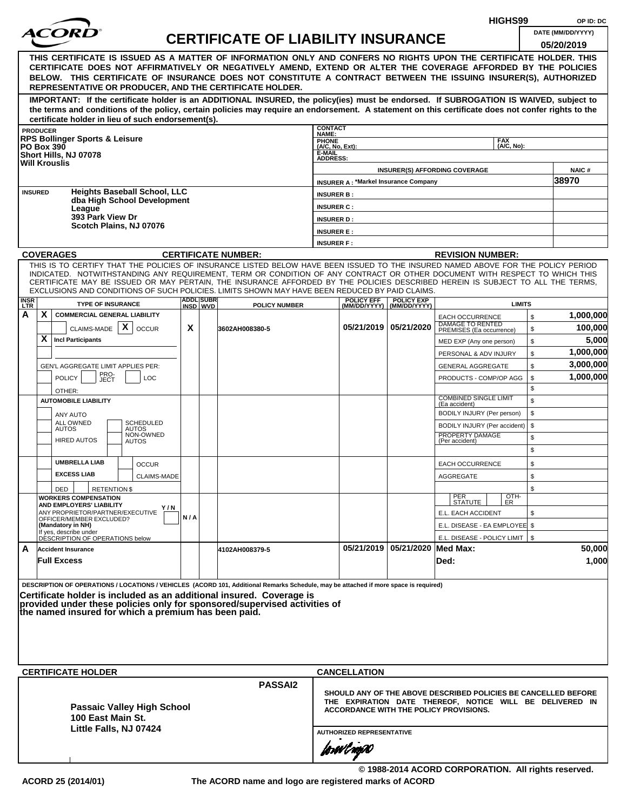|                    |                 |                                                              |                     |                                                      |     |                              |                                                                                                                                                                                                                                                              |                                    |                                             |                                                  |                                                            | HIGHS99       |          | OP ID: DC                                                      |
|--------------------|-----------------|--------------------------------------------------------------|---------------------|------------------------------------------------------|-----|------------------------------|--------------------------------------------------------------------------------------------------------------------------------------------------------------------------------------------------------------------------------------------------------------|------------------------------------|---------------------------------------------|--------------------------------------------------|------------------------------------------------------------|---------------|----------|----------------------------------------------------------------|
|                    |                 |                                                              |                     |                                                      |     |                              | <b>CERTIFICATE OF LIABILITY INSURANCE</b>                                                                                                                                                                                                                    |                                    |                                             |                                                  |                                                            |               |          | DATE (MM/DD/YYYY)                                              |
|                    |                 |                                                              |                     |                                                      |     |                              |                                                                                                                                                                                                                                                              |                                    |                                             |                                                  |                                                            |               |          | 05/20/2019                                                     |
|                    |                 |                                                              |                     |                                                      |     |                              | THIS CERTIFICATE IS ISSUED AS A MATTER OF INFORMATION ONLY AND CONFERS NO RIGHTS UPON THE CERTIFICATE HOLDER. THIS                                                                                                                                           |                                    |                                             |                                                  |                                                            |               |          |                                                                |
|                    |                 |                                                              |                     |                                                      |     |                              | CERTIFICATE DOES NOT AFFIRMATIVELY OR NEGATIVELY AMEND, EXTEND OR ALTER THE COVERAGE AFFORDED BY THE POLICIES<br>BELOW. THIS CERTIFICATE OF INSURANCE DOES NOT CONSTITUTE A CONTRACT BETWEEN THE ISSUING INSURER(S), AUTHORIZED                              |                                    |                                             |                                                  |                                                            |               |          |                                                                |
|                    |                 |                                                              |                     |                                                      |     |                              | REPRESENTATIVE OR PRODUCER, AND THE CERTIFICATE HOLDER.                                                                                                                                                                                                      |                                    |                                             |                                                  |                                                            |               |          |                                                                |
|                    |                 |                                                              |                     |                                                      |     |                              | IMPORTANT: If the certificate holder is an ADDITIONAL INSURED, the policy(ies) must be endorsed. If SUBROGATION IS WAIVED, subject to                                                                                                                        |                                    |                                             |                                                  |                                                            |               |          |                                                                |
|                    |                 |                                                              |                     |                                                      |     |                              | the terms and conditions of the policy, certain policies may require an endorsement. A statement on this certificate does not confer rights to the                                                                                                           |                                    |                                             |                                                  |                                                            |               |          |                                                                |
|                    | <b>PRODUCER</b> |                                                              |                     | certificate holder in lieu of such endorsement(s).   |     |                              |                                                                                                                                                                                                                                                              | <b>CONTACT</b>                     |                                             |                                                  |                                                            |               |          |                                                                |
|                    |                 | <b>RPS Bollinger Sports &amp; Leisure</b>                    |                     |                                                      |     |                              |                                                                                                                                                                                                                                                              | NAME:                              |                                             |                                                  |                                                            | <b>FAX</b>    |          |                                                                |
|                    |                 | <b>PO Box 390</b><br>Short Hills, NJ 07078                   |                     |                                                      |     |                              |                                                                                                                                                                                                                                                              | PHONE<br>(A/C, No, Ext):<br>E-MAIL |                                             |                                                  |                                                            | (A/C, No):    |          |                                                                |
|                    |                 | <b>Will Krouslis</b>                                         |                     |                                                      |     |                              |                                                                                                                                                                                                                                                              | <b>ADDRESS:</b>                    |                                             |                                                  |                                                            |               |          |                                                                |
|                    |                 |                                                              |                     |                                                      |     |                              |                                                                                                                                                                                                                                                              |                                    | <b>INSURER A: *Markel Insurance Company</b> | <b>INSURER(S) AFFORDING COVERAGE</b>             |                                                            |               |          | <b>NAIC#</b><br>38970                                          |
|                    | <b>INSURED</b>  |                                                              |                     | <b>Heights Baseball School, LLC</b>                  |     |                              |                                                                                                                                                                                                                                                              | <b>INSURER B:</b>                  |                                             |                                                  |                                                            |               |          |                                                                |
|                    |                 |                                                              |                     | dba High School Development                          |     |                              |                                                                                                                                                                                                                                                              | <b>INSURER C:</b>                  |                                             |                                                  |                                                            |               |          |                                                                |
|                    |                 | League<br>393 Park View Dr                                   |                     |                                                      |     |                              |                                                                                                                                                                                                                                                              | <b>INSURER D:</b>                  |                                             |                                                  |                                                            |               |          |                                                                |
|                    |                 |                                                              |                     | Scotch Plains, NJ 07076                              |     |                              |                                                                                                                                                                                                                                                              | <b>INSURER E:</b>                  |                                             |                                                  |                                                            |               |          |                                                                |
|                    |                 |                                                              |                     |                                                      |     |                              |                                                                                                                                                                                                                                                              | <b>INSURER F:</b>                  |                                             |                                                  |                                                            |               |          |                                                                |
|                    |                 | <b>COVERAGES</b>                                             |                     |                                                      |     |                              | <b>CERTIFICATE NUMBER:</b>                                                                                                                                                                                                                                   |                                    |                                             |                                                  | <b>REVISION NUMBER:</b>                                    |               |          |                                                                |
|                    |                 |                                                              |                     |                                                      |     |                              | THIS IS TO CERTIFY THAT THE POLICIES OF INSURANCE LISTED BELOW HAVE BEEN ISSUED TO THE INSURED NAMED ABOVE FOR THE POLICY PERIOD                                                                                                                             |                                    |                                             |                                                  |                                                            |               |          |                                                                |
|                    |                 |                                                              |                     |                                                      |     |                              | INDICATED. NOTWITHSTANDING ANY REQUIREMENT, TERM OR CONDITION OF ANY CONTRACT OR OTHER DOCUMENT WITH RESPECT TO WHICH THIS<br>CERTIFICATE MAY BE ISSUED OR MAY PERTAIN, THE INSURANCE AFFORDED BY THE POLICIES DESCRIBED HEREIN IS SUBJECT TO ALL THE TERMS. |                                    |                                             |                                                  |                                                            |               |          |                                                                |
|                    |                 |                                                              |                     |                                                      |     |                              | EXCLUSIONS AND CONDITIONS OF SUCH POLICIES. LIMITS SHOWN MAY HAVE BEEN REDUCED BY PAID CLAIMS.                                                                                                                                                               |                                    |                                             |                                                  |                                                            |               |          |                                                                |
| <b>INSR</b><br>LTR |                 | <b>TYPE OF INSURANCE</b>                                     |                     |                                                      |     | <b>ADDL SUBR</b><br>INSD WVD | <b>POLICY NUMBER</b>                                                                                                                                                                                                                                         |                                    | <b>POLICY EFF</b>                           | <b>POLICY EXP</b><br>(MM/DD/YYYY)   (MM/DD/YYYY) |                                                            | <b>LIMITS</b> |          |                                                                |
| А                  | X               | <b>COMMERCIAL GENERAL LIABILITY</b>                          |                     |                                                      |     |                              |                                                                                                                                                                                                                                                              |                                    |                                             |                                                  | <b>EACH OCCURRENCE</b>                                     |               | \$       | 1,000,000                                                      |
|                    |                 | CLAIMS-MADE $\mathbf{X}$                                     |                     | <b>OCCUR</b>                                         | X   |                              | 3602AH008380-5                                                                                                                                                                                                                                               |                                    |                                             | 05/21/2019 05/21/2020                            | DAMAGE TO RENTED<br>PREMISES (Ea occurrence)               |               | \$       | 100,000                                                        |
|                    | X               | <b>Incl Participants</b>                                     |                     |                                                      |     |                              |                                                                                                                                                                                                                                                              |                                    |                                             |                                                  | MED EXP (Any one person)                                   |               | \$       | 5,000                                                          |
|                    |                 |                                                              |                     |                                                      |     |                              |                                                                                                                                                                                                                                                              |                                    |                                             |                                                  | PERSONAL & ADV INJURY                                      |               | \$       | 1,000,000                                                      |
|                    |                 | GEN'L AGGREGATE LIMIT APPLIES PER:                           |                     |                                                      |     |                              |                                                                                                                                                                                                                                                              |                                    |                                             |                                                  | <b>GENERAL AGGREGATE</b>                                   |               | \$       | 3,000,000                                                      |
|                    |                 | <b>POLICY</b>                                                | PRO-<br>JECT<br>LOC |                                                      |     |                              |                                                                                                                                                                                                                                                              |                                    |                                             |                                                  | PRODUCTS - COMP/OP AGG                                     |               | \$       | 1,000,000                                                      |
|                    |                 | OTHER:                                                       |                     |                                                      |     |                              |                                                                                                                                                                                                                                                              |                                    |                                             |                                                  | <b>COMBINED SINGLE LIMIT</b>                               |               | \$       |                                                                |
|                    |                 | <b>AUTOMOBILE LIABILITY</b>                                  |                     |                                                      |     |                              |                                                                                                                                                                                                                                                              |                                    |                                             |                                                  | (Ea accident)                                              |               | \$       |                                                                |
|                    |                 | ANY AUTO<br>ALL OWNED                                        |                     | <b>SCHEDULED</b>                                     |     |                              |                                                                                                                                                                                                                                                              |                                    |                                             |                                                  | BODILY INJURY (Per person)<br>BODILY INJURY (Per accident) |               | \$<br>\$ |                                                                |
|                    |                 | <b>AUTOS</b>                                                 |                     | <b>AUTOS</b><br>NON-OWNED                            |     |                              |                                                                                                                                                                                                                                                              |                                    |                                             |                                                  | PROPERTY DAMAGE                                            |               | \$       |                                                                |
|                    |                 | <b>HIRED AUTOS</b>                                           |                     | <b>AUTOS</b>                                         |     |                              |                                                                                                                                                                                                                                                              |                                    |                                             |                                                  | (Per accident)                                             |               | \$       |                                                                |
|                    |                 | <b>UMBRELLA LIAB</b>                                         |                     | <b>OCCUR</b>                                         |     |                              |                                                                                                                                                                                                                                                              |                                    |                                             |                                                  | EACH OCCURRENCE                                            |               | \$       |                                                                |
|                    |                 | <b>EXCESS LIAB</b>                                           |                     | <b>CLAIMS-MADE</b>                                   |     |                              |                                                                                                                                                                                                                                                              |                                    |                                             |                                                  | <b>AGGREGATE</b>                                           |               | \$       |                                                                |
|                    |                 | DED                                                          | <b>RETENTION \$</b> |                                                      |     |                              |                                                                                                                                                                                                                                                              |                                    |                                             |                                                  |                                                            |               | \$       |                                                                |
|                    |                 | <b>WORKERS COMPENSATION</b>                                  |                     |                                                      |     |                              |                                                                                                                                                                                                                                                              |                                    |                                             |                                                  | PER<br>STATUTE                                             | OTH-<br>ER    |          |                                                                |
|                    |                 | AND EMPLOYERS' LIABILITY<br>ANY PROPRIETOR/PARTNER/EXECUTIVE |                     | Y/N                                                  |     |                              |                                                                                                                                                                                                                                                              |                                    |                                             |                                                  | E.L. EACH ACCIDENT                                         |               | \$       |                                                                |
|                    |                 | OFFICER/MEMBER EXCLUDED?<br>(Mandatory in NH)                |                     |                                                      | N/A |                              |                                                                                                                                                                                                                                                              |                                    |                                             |                                                  | E.L. DISEASE - EA EMPLOYEE \$                              |               |          |                                                                |
|                    |                 | If yes, describe under<br>DESCRIPTION OF OPERATIONS below    |                     |                                                      |     |                              |                                                                                                                                                                                                                                                              |                                    |                                             |                                                  | E.L. DISEASE - POLICY LIMIT   \$                           |               |          |                                                                |
| A                  |                 | <b>Accident Insurance</b>                                    |                     |                                                      |     |                              | 4102AH008379-5                                                                                                                                                                                                                                               |                                    |                                             | 05/21/2019 05/21/2020 Med Max:                   |                                                            |               |          | 50,000                                                         |
|                    |                 | <b>Full Excess</b>                                           |                     |                                                      |     |                              |                                                                                                                                                                                                                                                              |                                    |                                             |                                                  | Ded:                                                       |               |          | 1,000                                                          |
|                    |                 |                                                              |                     |                                                      |     |                              |                                                                                                                                                                                                                                                              |                                    |                                             |                                                  |                                                            |               |          |                                                                |
|                    |                 |                                                              |                     |                                                      |     |                              | DESCRIPTION OF OPERATIONS / LOCATIONS / VEHICLES (ACORD 101, Additional Remarks Schedule, may be attached if more space is required)                                                                                                                         |                                    |                                             |                                                  |                                                            |               |          |                                                                |
|                    |                 |                                                              |                     |                                                      |     |                              | Certificate holder is included as an additional insured. Coverage is<br>provided under these policies only for sponsored/supervised activities of                                                                                                            |                                    |                                             |                                                  |                                                            |               |          |                                                                |
|                    |                 |                                                              |                     | the named insured for which a premium has been paid. |     |                              |                                                                                                                                                                                                                                                              |                                    |                                             |                                                  |                                                            |               |          |                                                                |
|                    |                 |                                                              |                     |                                                      |     |                              |                                                                                                                                                                                                                                                              |                                    |                                             |                                                  |                                                            |               |          |                                                                |
|                    |                 |                                                              |                     |                                                      |     |                              |                                                                                                                                                                                                                                                              |                                    |                                             |                                                  |                                                            |               |          |                                                                |
|                    |                 |                                                              |                     |                                                      |     |                              |                                                                                                                                                                                                                                                              |                                    |                                             |                                                  |                                                            |               |          |                                                                |
|                    |                 |                                                              |                     |                                                      |     |                              |                                                                                                                                                                                                                                                              |                                    |                                             |                                                  |                                                            |               |          |                                                                |
|                    |                 | <b>CERTIFICATE HOLDER</b>                                    |                     |                                                      |     |                              |                                                                                                                                                                                                                                                              |                                    | <b>CANCELLATION</b>                         |                                                  |                                                            |               |          |                                                                |
|                    |                 |                                                              |                     |                                                      |     |                              | <b>PASSAI2</b>                                                                                                                                                                                                                                               |                                    |                                             |                                                  |                                                            |               |          | SHOULD ANY OF THE ABOVE DESCRIBED POLICIES BE CANCELLED BEFORE |
|                    |                 |                                                              |                     | <b>Passaic Valley High School</b>                    |     |                              |                                                                                                                                                                                                                                                              |                                    |                                             |                                                  |                                                            |               |          | THE EXPIRATION DATE THEREOF, NOTICE WILL BE DELIVERED IN       |
|                    |                 | 100 East Main St.                                            |                     |                                                      |     |                              |                                                                                                                                                                                                                                                              |                                    | ACCORDANCE WITH THE POLICY PROVISIONS.      |                                                  |                                                            |               |          |                                                                |
|                    |                 |                                                              |                     | Little Falls, NJ 07424                               |     |                              |                                                                                                                                                                                                                                                              |                                    | <b>AUTHORIZED REPRESENTATIVE</b>            |                                                  |                                                            |               |          |                                                                |
|                    |                 |                                                              |                     |                                                      |     |                              |                                                                                                                                                                                                                                                              |                                    |                                             |                                                  |                                                            |               |          |                                                                |
|                    |                 |                                                              |                     |                                                      |     |                              |                                                                                                                                                                                                                                                              |                                    | forwl now                                   |                                                  |                                                            |               |          |                                                                |

**© 1988-2014 ACORD CORPORATION. All rights reserved. ACORD 25 (2014/01) The ACORD name and logo are registered marks of ACORD**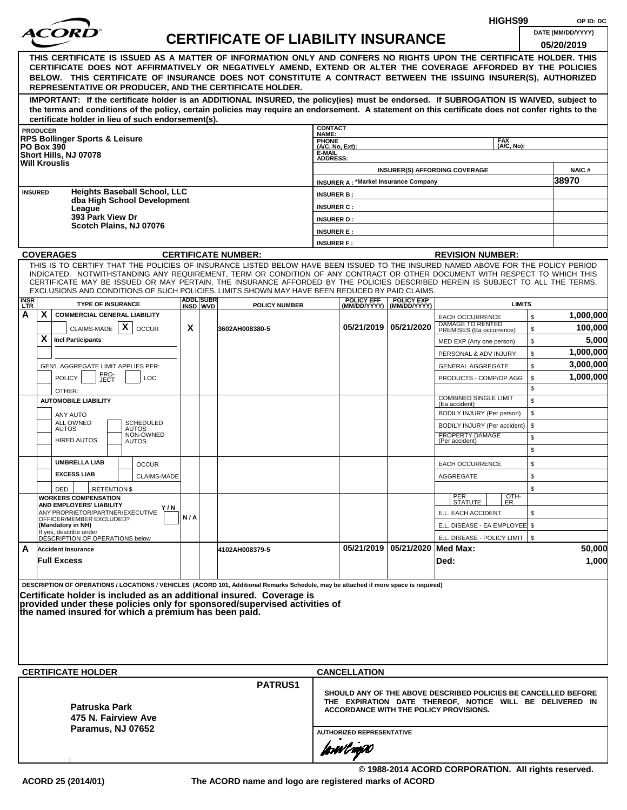|                    |                 |                                                                                                                                                                                                                                                              |     |                              |                                           |                              |                                             |                                   |                                                                                                    | HIGHS99       |          | OP ID: DC              |
|--------------------|-----------------|--------------------------------------------------------------------------------------------------------------------------------------------------------------------------------------------------------------------------------------------------------------|-----|------------------------------|-------------------------------------------|------------------------------|---------------------------------------------|-----------------------------------|----------------------------------------------------------------------------------------------------|---------------|----------|------------------------|
|                    |                 |                                                                                                                                                                                                                                                              |     |                              | <b>CERTIFICATE OF LIABILITY INSURANCE</b> |                              |                                             |                                   |                                                                                                    |               |          | DATE (MM/DD/YYYY)      |
|                    |                 |                                                                                                                                                                                                                                                              |     |                              |                                           |                              |                                             |                                   |                                                                                                    |               |          | 05/20/2019             |
|                    |                 | THIS CERTIFICATE IS ISSUED AS A MATTER OF INFORMATION ONLY AND CONFERS NO RIGHTS UPON THE CERTIFICATE HOLDER. THIS                                                                                                                                           |     |                              |                                           |                              |                                             |                                   |                                                                                                    |               |          |                        |
|                    |                 | CERTIFICATE DOES NOT AFFIRMATIVELY OR NEGATIVELY AMEND, EXTEND OR ALTER THE COVERAGE AFFORDED BY THE POLICIES<br>BELOW. THIS CERTIFICATE OF INSURANCE DOES NOT CONSTITUTE A CONTRACT BETWEEN THE ISSUING INSURER(S), AUTHORIZED                              |     |                              |                                           |                              |                                             |                                   |                                                                                                    |               |          |                        |
|                    |                 | REPRESENTATIVE OR PRODUCER, AND THE CERTIFICATE HOLDER.                                                                                                                                                                                                      |     |                              |                                           |                              |                                             |                                   |                                                                                                    |               |          |                        |
|                    |                 | IMPORTANT: If the certificate holder is an ADDITIONAL INSURED, the policy(ies) must be endorsed. If SUBROGATION IS WAIVED, subject to                                                                                                                        |     |                              |                                           |                              |                                             |                                   |                                                                                                    |               |          |                        |
|                    |                 | the terms and conditions of the policy, certain policies may require an endorsement. A statement on this certificate does not confer rights to the                                                                                                           |     |                              |                                           |                              |                                             |                                   |                                                                                                    |               |          |                        |
|                    | <b>PRODUCER</b> | certificate holder in lieu of such endorsement(s).                                                                                                                                                                                                           |     |                              |                                           | <b>CONTACT</b>               |                                             |                                   |                                                                                                    |               |          |                        |
|                    |                 | <b>RPS Bollinger Sports &amp; Leisure</b>                                                                                                                                                                                                                    |     |                              |                                           | NAME:<br><b>PHONE</b>        |                                             |                                   |                                                                                                    | <b>FAX</b>    |          |                        |
|                    |                 | <b>PO Box 390</b><br>Short Hills, NJ 07078                                                                                                                                                                                                                   |     |                              |                                           | $(A/C, No, Ext)$ :<br>E-MAIL |                                             |                                   |                                                                                                    | (A/C. No):    |          |                        |
|                    |                 | <b>Will Krouslis</b>                                                                                                                                                                                                                                         |     |                              |                                           | <b>ADDRESS:</b>              |                                             |                                   |                                                                                                    |               |          |                        |
|                    |                 |                                                                                                                                                                                                                                                              |     |                              |                                           |                              | <b>INSURER A: *Markel Insurance Company</b> |                                   | <b>INSURER(S) AFFORDING COVERAGE</b>                                                               |               |          | <b>NAIC#</b><br>38970  |
|                    | <b>INSURED</b>  | <b>Heights Baseball School, LLC</b>                                                                                                                                                                                                                          |     |                              |                                           | <b>INSURER B:</b>            |                                             |                                   |                                                                                                    |               |          |                        |
|                    |                 | dba High School Development                                                                                                                                                                                                                                  |     |                              |                                           | <b>INSURER C:</b>            |                                             |                                   |                                                                                                    |               |          |                        |
|                    |                 | League<br>393 Park View Dr                                                                                                                                                                                                                                   |     |                              |                                           | <b>INSURER D:</b>            |                                             |                                   |                                                                                                    |               |          |                        |
|                    |                 | Scotch Plains, NJ 07076                                                                                                                                                                                                                                      |     |                              |                                           | <b>INSURER E:</b>            |                                             |                                   |                                                                                                    |               |          |                        |
|                    |                 |                                                                                                                                                                                                                                                              |     |                              |                                           | <b>INSURER F:</b>            |                                             |                                   |                                                                                                    |               |          |                        |
|                    |                 | <b>COVERAGES</b>                                                                                                                                                                                                                                             |     |                              | <b>CERTIFICATE NUMBER:</b>                |                              |                                             |                                   | <b>REVISION NUMBER:</b>                                                                            |               |          |                        |
|                    |                 | THIS IS TO CERTIFY THAT THE POLICIES OF INSURANCE LISTED BELOW HAVE BEEN ISSUED TO THE INSURED NAMED ABOVE FOR THE POLICY PERIOD                                                                                                                             |     |                              |                                           |                              |                                             |                                   |                                                                                                    |               |          |                        |
|                    |                 | INDICATED. NOTWITHSTANDING ANY REQUIREMENT, TERM OR CONDITION OF ANY CONTRACT OR OTHER DOCUMENT WITH RESPECT TO WHICH THIS<br>CERTIFICATE MAY BE ISSUED OR MAY PERTAIN, THE INSURANCE AFFORDED BY THE POLICIES DESCRIBED HEREIN IS SUBJECT TO ALL THE TERMS. |     |                              |                                           |                              |                                             |                                   |                                                                                                    |               |          |                        |
|                    |                 | EXCLUSIONS AND CONDITIONS OF SUCH POLICIES. LIMITS SHOWN MAY HAVE BEEN REDUCED BY PAID CLAIMS.                                                                                                                                                               |     |                              |                                           |                              |                                             |                                   |                                                                                                    |               |          |                        |
| <b>INSR</b><br>LTR |                 | <b>TYPE OF INSURANCE</b>                                                                                                                                                                                                                                     |     | <b>ADDL SUBR</b><br>INSD WVD | <b>POLICY NUMBER</b>                      |                              | <b>POLICY EFF</b><br>(MM/DD/YYYY)           | <b>POLICY EXP</b><br>(MM/DD/YYYY) |                                                                                                    | <b>LIMITS</b> |          |                        |
| A                  | X.              | <b>COMMERCIAL GENERAL LIABILITY</b>                                                                                                                                                                                                                          |     |                              |                                           |                              |                                             |                                   | <b>EACH OCCURRENCE</b>                                                                             |               | \$       | 1,000,000              |
|                    |                 | $\mathsf{x}$<br>CLAIMS-MADE<br><b>OCCUR</b>                                                                                                                                                                                                                  | X   |                              | 3602AH008380-5                            |                              |                                             | 05/21/2019   05/21/2020           | DAMAGE TO RENTED<br>PREMISES (Ea occurrence)                                                       |               | \$       | 100,000                |
|                    | X.              | <b>Incl Participants</b>                                                                                                                                                                                                                                     |     |                              |                                           |                              |                                             |                                   | MED EXP (Any one person)                                                                           |               | \$       | 5,000                  |
|                    |                 |                                                                                                                                                                                                                                                              |     |                              |                                           |                              |                                             |                                   | PERSONAL & ADV INJURY                                                                              |               | \$       | 1,000,000              |
|                    |                 | GEN'L AGGREGATE LIMIT APPLIES PER:<br>PRO-                                                                                                                                                                                                                   |     |                              |                                           |                              |                                             |                                   | <b>GENERAL AGGREGATE</b>                                                                           |               | \$       | 3,000,000<br>1,000,000 |
|                    |                 | <b>POLICY</b><br>LOC<br>JECT                                                                                                                                                                                                                                 |     |                              |                                           |                              |                                             |                                   | PRODUCTS - COMP/OP AGG                                                                             |               | \$<br>\$ |                        |
|                    |                 | OTHER:<br><b>AUTOMOBILE LIABILITY</b>                                                                                                                                                                                                                        |     |                              |                                           |                              |                                             |                                   | <b>COMBINED SINGLE LIMIT</b>                                                                       |               | \$       |                        |
|                    |                 | <b>ANY AUTO</b>                                                                                                                                                                                                                                              |     |                              |                                           |                              |                                             |                                   | (Ea accident)<br>BODILY INJURY (Per person)                                                        |               | \$       |                        |
|                    |                 | ALL OWNED<br><b>SCHEDULED</b>                                                                                                                                                                                                                                |     |                              |                                           |                              |                                             |                                   | BODILY INJURY (Per accident)                                                                       |               | \$       |                        |
|                    |                 | <b>AUTOS</b><br><b>AUTOS</b><br>NON-OWNED<br><b>HIRED AUTOS</b><br><b>AUTOS</b>                                                                                                                                                                              |     |                              |                                           |                              |                                             |                                   | PROPERTY DAMAGE<br>(Per accident)                                                                  |               | \$       |                        |
|                    |                 |                                                                                                                                                                                                                                                              |     |                              |                                           |                              |                                             |                                   |                                                                                                    |               | \$       |                        |
|                    |                 | <b>UMBRELLA LIAB</b><br><b>OCCUR</b>                                                                                                                                                                                                                         |     |                              |                                           |                              |                                             |                                   | <b>EACH OCCURRENCE</b>                                                                             |               | \$       |                        |
|                    |                 | <b>EXCESS LIAB</b><br>CLAIMS-MADE                                                                                                                                                                                                                            |     |                              |                                           |                              |                                             |                                   | AGGREGATE                                                                                          |               | \$       |                        |
|                    |                 | <b>RETENTION \$</b><br>DED                                                                                                                                                                                                                                   |     |                              |                                           |                              |                                             |                                   |                                                                                                    |               | \$       |                        |
|                    |                 | <b>WORKERS COMPENSATION</b><br>AND EMPLOYERS' LIABILITY                                                                                                                                                                                                      |     |                              |                                           |                              |                                             |                                   | PER<br>STATUTE                                                                                     | OTH-<br>ER    |          |                        |
|                    |                 | Y / N<br>ANY PROPRIETOR/PARTNER/EXECUTIVE<br>OFFICER/MEMBER EXCLUDED?                                                                                                                                                                                        | N/A |                              |                                           |                              |                                             |                                   | E.L. EACH ACCIDENT                                                                                 |               | \$       |                        |
|                    |                 | (Mandatory in NH)                                                                                                                                                                                                                                            |     |                              |                                           |                              |                                             |                                   | E.L. DISEASE - EA EMPLOYEE \$                                                                      |               |          |                        |
|                    |                 | If yes, describe under<br>DESCRIPTION OF OPERATIONS below                                                                                                                                                                                                    |     |                              |                                           |                              |                                             |                                   | E.L. DISEASE - POLICY LIMIT   \$                                                                   |               |          |                        |
| A                  |                 | <b>Accident Insurance</b>                                                                                                                                                                                                                                    |     |                              | 4102AH008379-5                            |                              |                                             | 05/21/2019 05/21/2020 Med Max:    |                                                                                                    |               |          | 50,000                 |
|                    |                 | <b>Full Excess</b>                                                                                                                                                                                                                                           |     |                              |                                           |                              |                                             |                                   | Ded:                                                                                               |               |          | 1,000                  |
|                    |                 |                                                                                                                                                                                                                                                              |     |                              |                                           |                              |                                             |                                   |                                                                                                    |               |          |                        |
|                    |                 | DESCRIPTION OF OPERATIONS / LOCATIONS / VEHICLES (ACORD 101, Additional Remarks Schedule, may be attached if more space is required)<br>Certificate holder is included as an additional insured. Coverage is                                                 |     |                              |                                           |                              |                                             |                                   |                                                                                                    |               |          |                        |
|                    |                 | provided under these policies only for sponsored/supervised activities of                                                                                                                                                                                    |     |                              |                                           |                              |                                             |                                   |                                                                                                    |               |          |                        |
|                    |                 | the named insured for which a premium has been paid.                                                                                                                                                                                                         |     |                              |                                           |                              |                                             |                                   |                                                                                                    |               |          |                        |
|                    |                 |                                                                                                                                                                                                                                                              |     |                              |                                           |                              |                                             |                                   |                                                                                                    |               |          |                        |
|                    |                 |                                                                                                                                                                                                                                                              |     |                              |                                           |                              |                                             |                                   |                                                                                                    |               |          |                        |
|                    |                 |                                                                                                                                                                                                                                                              |     |                              |                                           |                              |                                             |                                   |                                                                                                    |               |          |                        |
|                    |                 | <b>CERTIFICATE HOLDER</b>                                                                                                                                                                                                                                    |     |                              |                                           |                              | <b>CANCELLATION</b>                         |                                   |                                                                                                    |               |          |                        |
|                    |                 |                                                                                                                                                                                                                                                              |     |                              | <b>PATRUS1</b>                            |                              |                                             |                                   |                                                                                                    |               |          |                        |
|                    |                 |                                                                                                                                                                                                                                                              |     |                              |                                           |                              |                                             |                                   | SHOULD ANY OF THE ABOVE DESCRIBED POLICIES BE CANCELLED BEFORE                                     |               |          |                        |
|                    |                 | Patruska Park                                                                                                                                                                                                                                                |     |                              |                                           |                              |                                             |                                   | THE EXPIRATION DATE THEREOF, NOTICE WILL BE DELIVERED IN<br>ACCORDANCE WITH THE POLICY PROVISIONS. |               |          |                        |
|                    |                 | 475 N. Fairview Ave                                                                                                                                                                                                                                          |     |                              |                                           |                              |                                             |                                   |                                                                                                    |               |          |                        |
|                    |                 | Paramus, NJ 07652                                                                                                                                                                                                                                            |     |                              |                                           |                              | <b>AUTHORIZED REPRESENTATIVE</b>            |                                   |                                                                                                    |               |          |                        |
|                    |                 |                                                                                                                                                                                                                                                              |     |                              |                                           |                              | forwl now                                   |                                   |                                                                                                    |               |          |                        |
|                    |                 |                                                                                                                                                                                                                                                              |     |                              |                                           |                              |                                             |                                   |                                                                                                    |               |          |                        |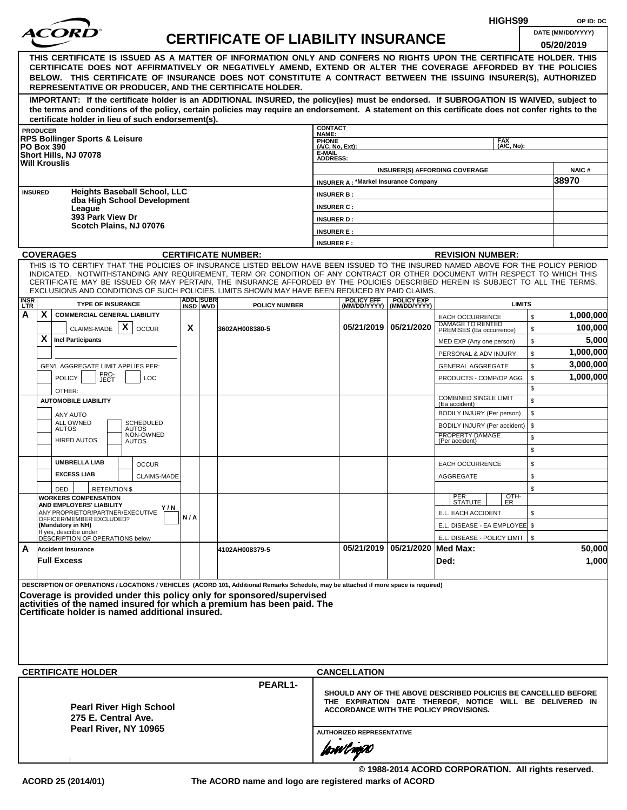|                         |                                                                                                                                                                                                                                                                |     |                   |                                           |                           |                                             |                                    |                                                                   | HIGHS99            |                    | OP ID: DC         |
|-------------------------|----------------------------------------------------------------------------------------------------------------------------------------------------------------------------------------------------------------------------------------------------------------|-----|-------------------|-------------------------------------------|---------------------------|---------------------------------------------|------------------------------------|-------------------------------------------------------------------|--------------------|--------------------|-------------------|
|                         |                                                                                                                                                                                                                                                                |     |                   | <b>CERTIFICATE OF LIABILITY INSURANCE</b> |                           |                                             |                                    |                                                                   |                    |                    | DATE (MM/DD/YYYY) |
|                         |                                                                                                                                                                                                                                                                |     |                   |                                           |                           |                                             |                                    |                                                                   |                    |                    | 05/20/2019        |
|                         | THIS CERTIFICATE IS ISSUED AS A MATTER OF INFORMATION ONLY AND CONFERS NO RIGHTS UPON THE CERTIFICATE HOLDER. THIS<br>CERTIFICATE DOES NOT AFFIRMATIVELY OR NEGATIVELY AMEND, EXTEND OR ALTER THE COVERAGE AFFORDED BY THE POLICIES                            |     |                   |                                           |                           |                                             |                                    |                                                                   |                    |                    |                   |
|                         | BELOW. THIS CERTIFICATE OF INSURANCE DOES NOT CONSTITUTE A CONTRACT BETWEEN THE ISSUING INSURER(S), AUTHORIZED                                                                                                                                                 |     |                   |                                           |                           |                                             |                                    |                                                                   |                    |                    |                   |
|                         | REPRESENTATIVE OR PRODUCER, AND THE CERTIFICATE HOLDER.                                                                                                                                                                                                        |     |                   |                                           |                           |                                             |                                    |                                                                   |                    |                    |                   |
|                         | IMPORTANT: If the certificate holder is an ADDITIONAL INSURED, the policy(ies) must be endorsed. If SUBROGATION IS WAIVED, subject to                                                                                                                          |     |                   |                                           |                           |                                             |                                    |                                                                   |                    |                    |                   |
|                         | the terms and conditions of the policy, certain policies may require an endorsement. A statement on this certificate does not confer rights to the                                                                                                             |     |                   |                                           |                           |                                             |                                    |                                                                   |                    |                    |                   |
|                         | certificate holder in lieu of such endorsement(s).<br><b>PRODUCER</b>                                                                                                                                                                                          |     |                   |                                           | <b>CONTACT</b>            |                                             |                                    |                                                                   |                    |                    |                   |
|                         | <b>RPS Bollinger Sports &amp; Leisure</b>                                                                                                                                                                                                                      |     |                   |                                           | NAME:<br><b>PHONE</b>     |                                             |                                    |                                                                   | <b>FAX</b>         |                    |                   |
|                         | <b>PO Box 390</b><br>Short Hills, NJ 07078                                                                                                                                                                                                                     |     |                   |                                           | (A/C, No, Ext):<br>E-MAIL |                                             |                                    |                                                                   | (A/C. No):         |                    |                   |
|                         | <b>Will Krouslis</b>                                                                                                                                                                                                                                           |     |                   |                                           | <b>ADDRESS:</b>           |                                             |                                    | <b>INSURER(S) AFFORDING COVERAGE</b>                              |                    |                    | <b>NAIC#</b>      |
|                         |                                                                                                                                                                                                                                                                |     |                   |                                           |                           | <b>INSURER A: *Markel Insurance Company</b> |                                    |                                                                   |                    |                    | 38970             |
|                         | <b>Heights Baseball School, LLC</b><br><b>INSURED</b>                                                                                                                                                                                                          |     |                   |                                           | <b>INSURER B:</b>         |                                             |                                    |                                                                   |                    |                    |                   |
|                         | dba High School Development<br>League                                                                                                                                                                                                                          |     |                   |                                           | <b>INSURER C:</b>         |                                             |                                    |                                                                   |                    |                    |                   |
|                         | 393 Park View Dr                                                                                                                                                                                                                                               |     |                   |                                           | <b>INSURER D:</b>         |                                             |                                    |                                                                   |                    |                    |                   |
|                         | Scotch Plains, NJ 07076                                                                                                                                                                                                                                        |     |                   |                                           | <b>INSURER E:</b>         |                                             |                                    |                                                                   |                    |                    |                   |
|                         |                                                                                                                                                                                                                                                                |     |                   |                                           | <b>INSURER F:</b>         |                                             |                                    |                                                                   |                    |                    |                   |
|                         | <b>COVERAGES</b>                                                                                                                                                                                                                                               |     |                   | <b>CERTIFICATE NUMBER:</b>                |                           |                                             |                                    | <b>REVISION NUMBER:</b>                                           |                    |                    |                   |
|                         | THIS IS TO CERTIFY THAT THE POLICIES OF INSURANCE LISTED BELOW HAVE BEEN ISSUED TO THE INSURED NAMED ABOVE FOR THE POLICY PERIOD<br>INDICATED. NOTWITHSTANDING ANY REQUIREMENT, TERM OR CONDITION OF ANY CONTRACT OR OTHER DOCUMENT WITH RESPECT TO WHICH THIS |     |                   |                                           |                           |                                             |                                    |                                                                   |                    |                    |                   |
|                         | CERTIFICATE MAY BE ISSUED OR MAY PERTAIN, THE INSURANCE AFFORDED BY THE POLICIES DESCRIBED HEREIN IS SUBJECT TO ALL THE TERMS.                                                                                                                                 |     |                   |                                           |                           |                                             |                                    |                                                                   |                    |                    |                   |
|                         | EXCLUSIONS AND CONDITIONS OF SUCH POLICIES. LIMITS SHOWN MAY HAVE BEEN REDUCED BY PAID CLAIMS.                                                                                                                                                                 |     | <b>ADDLISUBRI</b> |                                           |                           | <b>POLICY EFF</b>                           | <b>POLICY EXP</b>                  |                                                                   |                    |                    |                   |
| <b>INSR</b><br>LTR<br>А | <b>TYPE OF INSURANCE</b><br>X<br><b>COMMERCIAL GENERAL LIABILITY</b>                                                                                                                                                                                           |     | INSD WVD          | <b>POLICY NUMBER</b>                      |                           |                                             | (MM/DD/YYYY)   (MM/DD/YYYY)        |                                                                   | <b>LIMITS</b>      |                    | 1,000,000         |
|                         | CLAIMS-MADE $\mathbf{X}$                                                                                                                                                                                                                                       | X   |                   |                                           |                           |                                             | 05/21/2019   05/21/2020            | <b>EACH OCCURRENCE</b><br>DAMAGE TO RENTED                        |                    | $\mathbb{S}$<br>\$ | 100,000           |
|                         | <b>OCCUR</b><br>X<br><b>Incl Participants</b>                                                                                                                                                                                                                  |     |                   | 3602AH008380-5                            |                           |                                             |                                    | PREMISES (Ea occurrence)                                          |                    | \$                 | 5,000             |
|                         |                                                                                                                                                                                                                                                                |     |                   |                                           |                           |                                             |                                    | MED EXP (Any one person)<br>PERSONAL & ADV INJURY                 |                    | \$                 | 1,000,000         |
|                         | GEN'L AGGREGATE LIMIT APPLIES PER:                                                                                                                                                                                                                             |     |                   |                                           |                           |                                             |                                    | <b>GENERAL AGGREGATE</b>                                          |                    | \$                 | 3,000,000         |
|                         | PRO-<br>JECT<br><b>POLICY</b><br><b>LOC</b>                                                                                                                                                                                                                    |     |                   |                                           |                           |                                             |                                    | PRODUCTS - COMP/OP AGG                                            |                    | \$                 | 1,000,000         |
|                         | OTHER:                                                                                                                                                                                                                                                         |     |                   |                                           |                           |                                             |                                    |                                                                   |                    | \$                 |                   |
|                         | <b>AUTOMOBILE LIABILITY</b>                                                                                                                                                                                                                                    |     |                   |                                           |                           |                                             |                                    | <b>COMBINED SINGLE LIMIT</b><br>(Ea accident)                     |                    | \$                 |                   |
|                         | ANY AUTO                                                                                                                                                                                                                                                       |     |                   |                                           |                           |                                             |                                    | BODILY INJURY (Per person)                                        |                    | \$                 |                   |
|                         | ALL OWNED<br>SCHEDULED<br><b>AUTOS</b><br><b>AUTOS</b>                                                                                                                                                                                                         |     |                   |                                           |                           |                                             |                                    | BODILY INJURY (Per accident)                                      |                    | \$                 |                   |
|                         | NON-OWNED<br><b>HIRED AUTOS</b><br><b>AUTOS</b>                                                                                                                                                                                                                |     |                   |                                           |                           |                                             |                                    | PROPERTY DAMAGE<br>(Per accident)                                 |                    | \$                 |                   |
|                         |                                                                                                                                                                                                                                                                |     |                   |                                           |                           |                                             |                                    |                                                                   |                    | \$                 |                   |
|                         | <b>UMBRELLA LIAB</b><br><b>OCCUR</b>                                                                                                                                                                                                                           |     |                   |                                           |                           |                                             |                                    | <b>EACH OCCURRENCE</b>                                            |                    | \$                 |                   |
|                         | <b>EXCESS LIAB</b><br><b>CLAIMS-MADE</b>                                                                                                                                                                                                                       |     |                   |                                           |                           |                                             |                                    | <b>AGGREGATE</b>                                                  |                    | \$                 |                   |
|                         | <b>RETENTION \$</b><br>DED<br><b>WORKERS COMPENSATION</b>                                                                                                                                                                                                      |     |                   |                                           |                           |                                             |                                    |                                                                   |                    | \$                 |                   |
|                         | AND EMPLOYERS' LIABILITY<br>Y / N                                                                                                                                                                                                                              |     |                   |                                           |                           |                                             |                                    | PER<br>STATUTE                                                    | $\frac{[OTH]}{ER}$ |                    |                   |
|                         | ANY PROPRIETOR/PARTNER/EXECUTIVE<br>OFFICER/MEMBER EXCLUDED?                                                                                                                                                                                                   | N/A |                   |                                           |                           |                                             |                                    | E.L. EACH ACCIDENT                                                |                    | \$                 |                   |
|                         | (Mandatory in NH)<br>If yes, describe under<br>DESCRIPTION OF OPERATIONS below                                                                                                                                                                                 |     |                   |                                           |                           |                                             |                                    | E.L. DISEASE - EA EMPLOYEE \$<br>E.L. DISEASE - POLICY LIMIT   \$ |                    |                    |                   |
| A                       | <b>Accident Insurance</b>                                                                                                                                                                                                                                      |     |                   | 4102AH008379-5                            |                           |                                             | 05/21/2019   05/21/2020   Med Max: |                                                                   |                    |                    | 50,000            |
|                         | <b>Full Excess</b>                                                                                                                                                                                                                                             |     |                   |                                           |                           |                                             |                                    | Ded:                                                              |                    |                    | 1,000             |
|                         |                                                                                                                                                                                                                                                                |     |                   |                                           |                           |                                             |                                    |                                                                   |                    |                    |                   |
|                         | DESCRIPTION OF OPERATIONS / LOCATIONS / VEHICLES (ACORD 101, Additional Remarks Schedule, may be attached if more space is required)                                                                                                                           |     |                   |                                           |                           |                                             |                                    |                                                                   |                    |                    |                   |
|                         | Coverage is provided under this policy only for sponsored/supervised<br>activities of the named insured for which a premium has been paid. The                                                                                                                 |     |                   |                                           |                           |                                             |                                    |                                                                   |                    |                    |                   |
|                         | Certificate holder is named additional insured.                                                                                                                                                                                                                |     |                   |                                           |                           |                                             |                                    |                                                                   |                    |                    |                   |
|                         |                                                                                                                                                                                                                                                                |     |                   |                                           |                           |                                             |                                    |                                                                   |                    |                    |                   |
|                         |                                                                                                                                                                                                                                                                |     |                   |                                           |                           |                                             |                                    |                                                                   |                    |                    |                   |
|                         |                                                                                                                                                                                                                                                                |     |                   |                                           |                           |                                             |                                    |                                                                   |                    |                    |                   |
|                         |                                                                                                                                                                                                                                                                |     |                   |                                           |                           |                                             |                                    |                                                                   |                    |                    |                   |
|                         | <b>CERTIFICATE HOLDER</b>                                                                                                                                                                                                                                      |     |                   |                                           |                           | <b>CANCELLATION</b>                         |                                    |                                                                   |                    |                    |                   |
|                         |                                                                                                                                                                                                                                                                |     |                   | PEARL1-                                   |                           |                                             |                                    | SHOULD ANY OF THE ABOVE DESCRIBED POLICIES BE CANCELLED BEFORE    |                    |                    |                   |
|                         |                                                                                                                                                                                                                                                                |     |                   |                                           |                           |                                             |                                    | THE EXPIRATION DATE THEREOF, NOTICE WILL BE DELIVERED IN          |                    |                    |                   |
|                         | <b>Pearl River High School</b><br>275 E. Central Ave.                                                                                                                                                                                                          |     |                   |                                           |                           |                                             |                                    | <b>ACCORDANCE WITH THE POLICY PROVISIONS.</b>                     |                    |                    |                   |
|                         | Pearl River, NY 10965                                                                                                                                                                                                                                          |     |                   |                                           |                           | <b>AUTHORIZED REPRESENTATIVE</b>            |                                    |                                                                   |                    |                    |                   |
|                         |                                                                                                                                                                                                                                                                |     |                   |                                           |                           |                                             |                                    |                                                                   |                    |                    |                   |
|                         |                                                                                                                                                                                                                                                                |     |                   |                                           |                           | forwil nopO                                 |                                    |                                                                   |                    |                    |                   |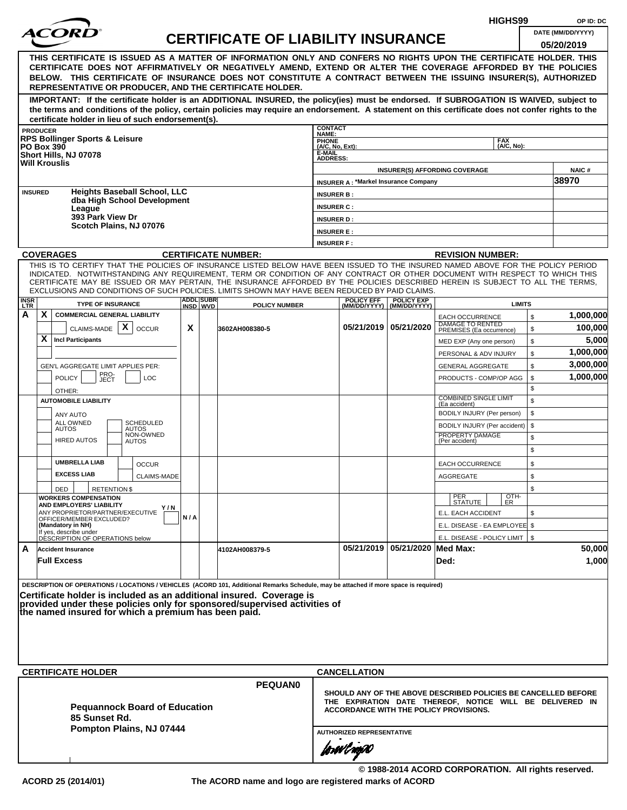| <i>ACOR</i><br>DATE (MM/DD/YYYY)<br><b>CERTIFICATE OF LIABILITY INSURANCE</b><br>05/20/2019<br>THIS CERTIFICATE IS ISSUED AS A MATTER OF INFORMATION ONLY AND CONFERS NO RIGHTS UPON THE CERTIFICATE HOLDER. THIS<br>CERTIFICATE DOES NOT AFFIRMATIVELY OR NEGATIVELY AMEND, EXTEND OR ALTER THE COVERAGE AFFORDED BY THE POLICIES<br>BELOW. THIS CERTIFICATE OF INSURANCE DOES NOT CONSTITUTE A CONTRACT BETWEEN THE ISSUING INSURER(S), AUTHORIZED<br>REPRESENTATIVE OR PRODUCER, AND THE CERTIFICATE HOLDER.<br>IMPORTANT: If the certificate holder is an ADDITIONAL INSURED, the policy(ies) must be endorsed. If SUBROGATION IS WAIVED, subject to<br>the terms and conditions of the policy, certain policies may require an endorsement. A statement on this certificate does not confer rights to the<br>certificate holder in lieu of such endorsement(s).<br><b>CONTACT</b><br><b>PRODUCER</b><br>NAME:<br><b>RPS Bollinger Sports &amp; Leisure</b><br>PHONE<br>(A/C, No, Ext):<br><b>FAX</b><br>(A/C, No):<br><b>PO Box 390</b><br>E-MAIL<br>Short Hills, NJ 07078<br><b>ADDRESS:</b><br><b>Will Krouslis</b><br><b>NAIC#</b><br><b>INSURER(S) AFFORDING COVERAGE</b><br>38970<br><b>INSURER A: *Markel Insurance Company</b><br><b>Heights Baseball School, LLC</b><br><b>INSURED</b><br><b>INSURER B:</b><br>dba High School Development<br><b>INSURER C:</b><br>League<br>393 Park View Dr<br><b>INSURER D:</b><br>Scotch Plains, NJ 07076<br><b>INSURER E:</b><br><b>INSURER F:</b><br><b>COVERAGES</b><br><b>CERTIFICATE NUMBER:</b><br><b>REVISION NUMBER:</b><br>THIS IS TO CERTIFY THAT THE POLICIES OF INSURANCE LISTED BELOW HAVE BEEN ISSUED TO THE INSURED NAMED ABOVE FOR THE POLICY PERIOD<br>INDICATED. NOTWITHSTANDING ANY REQUIREMENT, TERM OR CONDITION OF ANY CONTRACT OR OTHER DOCUMENT WITH RESPECT TO WHICH THIS<br>CERTIFICATE MAY BE ISSUED OR MAY PERTAIN, THE INSURANCE AFFORDED BY THE POLICIES DESCRIBED HEREIN IS SUBJECT TO ALL THE TERMS.<br>EXCLUSIONS AND CONDITIONS OF SUCH POLICIES. LIMITS SHOWN MAY HAVE BEEN REDUCED BY PAID CLAIMS.<br><b>ADDL SUBR</b><br><b>POLICY EFF</b><br><b>POLICY EXP</b><br><b>TYPE OF INSURANCE</b><br><b>LIMITS</b><br>INSD WVD<br><b>POLICY NUMBER</b><br>(MM/DD/YYYY)   (MM/DD/YYYY)<br>A<br>X.<br><b>COMMERCIAL GENERAL LIABILITY</b><br>1,000,000<br>\$<br><b>EACH OCCURRENCE</b><br>DAMAGE TO RENTED<br>PREMISES (Ea occurrence)<br>X<br>05/21/2019   05/21/2020<br>X<br>100,000<br>CLAIMS-MADE<br><b>OCCUR</b><br>\$<br>3602AH008380-5<br>X<br><b>Incl Participants</b><br>\$<br>MED EXP (Any one person)<br>\$<br>PERSONAL & ADV INJURY<br>\$<br>GEN'L AGGREGATE LIMIT APPLIES PER:<br><b>GENERAL AGGREGATE</b><br>PRO-<br>JECT<br>1,000,000<br><b>POLICY</b><br>\$<br><b>LOC</b><br>PRODUCTS - COMP/OP AGG<br>\$<br>OTHER:<br><b>COMBINED SINGLE LIMIT</b><br>\$<br><b>AUTOMOBILE LIABILITY</b><br>(Ea accident)<br>BODILY INJURY (Per person)<br>\$<br>ANY AUTO<br>ALL OWNED<br><b>SCHEDULED</b><br>\$<br>BODILY INJURY (Per accident)<br><b>AUTOS</b><br>AUTOS<br>NON-OWNED<br>PROPERTY DAMAGE<br>\$<br><b>HIRED AUTOS</b><br>(Per accident)<br><b>AUTOS</b><br>\$<br><b>UMBRELLA LIAB</b><br>\$<br><b>OCCUR</b><br><b>EACH OCCURRENCE</b><br><b>EXCESS LIAB</b><br><b>CLAIMS-MADE</b><br>AGGREGATE<br>\$<br>\$<br>DED<br><b>RETENTION \$</b><br>OTH-<br>ER<br>PER<br>STATUTE<br><b>WORKERS COMPENSATION</b><br>AND EMPLOYERS' LIABILITY<br>Y/N<br>ANY PROPRIETOR/PARTNER/EXECUTIVE<br>E.L. EACH ACCIDENT<br>\$<br>N/A<br>OFFICER/MEMBER EXCLUDED?<br>E.L. DISEASE - EA EMPLOYEE \$<br>(Mandatory in NH)<br>If yes, describe under<br>E.L. DISEASE - POLICY LIMIT   \$<br>DÉSCRIPTION OF OPERATIONS below<br>05/21/2019 05/21/2020 Med Max:<br>50,000<br>A<br><b>Accident Insurance</b><br>4102AH008379-5<br>1,000<br><b>Full Excess</b><br>Ded: | <b>INSR</b><br>LTR |  |  |  |           |
|-------------------------------------------------------------------------------------------------------------------------------------------------------------------------------------------------------------------------------------------------------------------------------------------------------------------------------------------------------------------------------------------------------------------------------------------------------------------------------------------------------------------------------------------------------------------------------------------------------------------------------------------------------------------------------------------------------------------------------------------------------------------------------------------------------------------------------------------------------------------------------------------------------------------------------------------------------------------------------------------------------------------------------------------------------------------------------------------------------------------------------------------------------------------------------------------------------------------------------------------------------------------------------------------------------------------------------------------------------------------------------------------------------------------------------------------------------------------------------------------------------------------------------------------------------------------------------------------------------------------------------------------------------------------------------------------------------------------------------------------------------------------------------------------------------------------------------------------------------------------------------------------------------------------------------------------------------------------------------------------------------------------------------------------------------------------------------------------------------------------------------------------------------------------------------------------------------------------------------------------------------------------------------------------------------------------------------------------------------------------------------------------------------------------------------------------------------------------------------------------------------------------------------------------------------------------------------------------------------------------------------------------------------------------------------------------------------------------------------------------------------------------------------------------------------------------------------------------------------------------------------------------------------------------------------------------------------------------------------------------------------------------------------------------------------------------------------------------------------------------------------------------------------------------------------------------------------------------------------------------------------------------------------------------------------------------------------------------------------------------------------------------------------------------------------------------------------------------------------------------------------------------------------------------------------------------------------------------------------------------------------------------------------------------------------------------------------------------------------------------------------------------------------------------------------------------------------------------|--------------------|--|--|--|-----------|
|                                                                                                                                                                                                                                                                                                                                                                                                                                                                                                                                                                                                                                                                                                                                                                                                                                                                                                                                                                                                                                                                                                                                                                                                                                                                                                                                                                                                                                                                                                                                                                                                                                                                                                                                                                                                                                                                                                                                                                                                                                                                                                                                                                                                                                                                                                                                                                                                                                                                                                                                                                                                                                                                                                                                                                                                                                                                                                                                                                                                                                                                                                                                                                                                                                                                                                                                                                                                                                                                                                                                                                                                                                                                                                                                                                                                                                           |                    |  |  |  |           |
|                                                                                                                                                                                                                                                                                                                                                                                                                                                                                                                                                                                                                                                                                                                                                                                                                                                                                                                                                                                                                                                                                                                                                                                                                                                                                                                                                                                                                                                                                                                                                                                                                                                                                                                                                                                                                                                                                                                                                                                                                                                                                                                                                                                                                                                                                                                                                                                                                                                                                                                                                                                                                                                                                                                                                                                                                                                                                                                                                                                                                                                                                                                                                                                                                                                                                                                                                                                                                                                                                                                                                                                                                                                                                                                                                                                                                                           |                    |  |  |  |           |
|                                                                                                                                                                                                                                                                                                                                                                                                                                                                                                                                                                                                                                                                                                                                                                                                                                                                                                                                                                                                                                                                                                                                                                                                                                                                                                                                                                                                                                                                                                                                                                                                                                                                                                                                                                                                                                                                                                                                                                                                                                                                                                                                                                                                                                                                                                                                                                                                                                                                                                                                                                                                                                                                                                                                                                                                                                                                                                                                                                                                                                                                                                                                                                                                                                                                                                                                                                                                                                                                                                                                                                                                                                                                                                                                                                                                                                           |                    |  |  |  |           |
|                                                                                                                                                                                                                                                                                                                                                                                                                                                                                                                                                                                                                                                                                                                                                                                                                                                                                                                                                                                                                                                                                                                                                                                                                                                                                                                                                                                                                                                                                                                                                                                                                                                                                                                                                                                                                                                                                                                                                                                                                                                                                                                                                                                                                                                                                                                                                                                                                                                                                                                                                                                                                                                                                                                                                                                                                                                                                                                                                                                                                                                                                                                                                                                                                                                                                                                                                                                                                                                                                                                                                                                                                                                                                                                                                                                                                                           |                    |  |  |  |           |
|                                                                                                                                                                                                                                                                                                                                                                                                                                                                                                                                                                                                                                                                                                                                                                                                                                                                                                                                                                                                                                                                                                                                                                                                                                                                                                                                                                                                                                                                                                                                                                                                                                                                                                                                                                                                                                                                                                                                                                                                                                                                                                                                                                                                                                                                                                                                                                                                                                                                                                                                                                                                                                                                                                                                                                                                                                                                                                                                                                                                                                                                                                                                                                                                                                                                                                                                                                                                                                                                                                                                                                                                                                                                                                                                                                                                                                           |                    |  |  |  |           |
|                                                                                                                                                                                                                                                                                                                                                                                                                                                                                                                                                                                                                                                                                                                                                                                                                                                                                                                                                                                                                                                                                                                                                                                                                                                                                                                                                                                                                                                                                                                                                                                                                                                                                                                                                                                                                                                                                                                                                                                                                                                                                                                                                                                                                                                                                                                                                                                                                                                                                                                                                                                                                                                                                                                                                                                                                                                                                                                                                                                                                                                                                                                                                                                                                                                                                                                                                                                                                                                                                                                                                                                                                                                                                                                                                                                                                                           |                    |  |  |  |           |
|                                                                                                                                                                                                                                                                                                                                                                                                                                                                                                                                                                                                                                                                                                                                                                                                                                                                                                                                                                                                                                                                                                                                                                                                                                                                                                                                                                                                                                                                                                                                                                                                                                                                                                                                                                                                                                                                                                                                                                                                                                                                                                                                                                                                                                                                                                                                                                                                                                                                                                                                                                                                                                                                                                                                                                                                                                                                                                                                                                                                                                                                                                                                                                                                                                                                                                                                                                                                                                                                                                                                                                                                                                                                                                                                                                                                                                           |                    |  |  |  |           |
|                                                                                                                                                                                                                                                                                                                                                                                                                                                                                                                                                                                                                                                                                                                                                                                                                                                                                                                                                                                                                                                                                                                                                                                                                                                                                                                                                                                                                                                                                                                                                                                                                                                                                                                                                                                                                                                                                                                                                                                                                                                                                                                                                                                                                                                                                                                                                                                                                                                                                                                                                                                                                                                                                                                                                                                                                                                                                                                                                                                                                                                                                                                                                                                                                                                                                                                                                                                                                                                                                                                                                                                                                                                                                                                                                                                                                                           |                    |  |  |  |           |
|                                                                                                                                                                                                                                                                                                                                                                                                                                                                                                                                                                                                                                                                                                                                                                                                                                                                                                                                                                                                                                                                                                                                                                                                                                                                                                                                                                                                                                                                                                                                                                                                                                                                                                                                                                                                                                                                                                                                                                                                                                                                                                                                                                                                                                                                                                                                                                                                                                                                                                                                                                                                                                                                                                                                                                                                                                                                                                                                                                                                                                                                                                                                                                                                                                                                                                                                                                                                                                                                                                                                                                                                                                                                                                                                                                                                                                           |                    |  |  |  |           |
|                                                                                                                                                                                                                                                                                                                                                                                                                                                                                                                                                                                                                                                                                                                                                                                                                                                                                                                                                                                                                                                                                                                                                                                                                                                                                                                                                                                                                                                                                                                                                                                                                                                                                                                                                                                                                                                                                                                                                                                                                                                                                                                                                                                                                                                                                                                                                                                                                                                                                                                                                                                                                                                                                                                                                                                                                                                                                                                                                                                                                                                                                                                                                                                                                                                                                                                                                                                                                                                                                                                                                                                                                                                                                                                                                                                                                                           |                    |  |  |  |           |
|                                                                                                                                                                                                                                                                                                                                                                                                                                                                                                                                                                                                                                                                                                                                                                                                                                                                                                                                                                                                                                                                                                                                                                                                                                                                                                                                                                                                                                                                                                                                                                                                                                                                                                                                                                                                                                                                                                                                                                                                                                                                                                                                                                                                                                                                                                                                                                                                                                                                                                                                                                                                                                                                                                                                                                                                                                                                                                                                                                                                                                                                                                                                                                                                                                                                                                                                                                                                                                                                                                                                                                                                                                                                                                                                                                                                                                           |                    |  |  |  |           |
|                                                                                                                                                                                                                                                                                                                                                                                                                                                                                                                                                                                                                                                                                                                                                                                                                                                                                                                                                                                                                                                                                                                                                                                                                                                                                                                                                                                                                                                                                                                                                                                                                                                                                                                                                                                                                                                                                                                                                                                                                                                                                                                                                                                                                                                                                                                                                                                                                                                                                                                                                                                                                                                                                                                                                                                                                                                                                                                                                                                                                                                                                                                                                                                                                                                                                                                                                                                                                                                                                                                                                                                                                                                                                                                                                                                                                                           |                    |  |  |  |           |
|                                                                                                                                                                                                                                                                                                                                                                                                                                                                                                                                                                                                                                                                                                                                                                                                                                                                                                                                                                                                                                                                                                                                                                                                                                                                                                                                                                                                                                                                                                                                                                                                                                                                                                                                                                                                                                                                                                                                                                                                                                                                                                                                                                                                                                                                                                                                                                                                                                                                                                                                                                                                                                                                                                                                                                                                                                                                                                                                                                                                                                                                                                                                                                                                                                                                                                                                                                                                                                                                                                                                                                                                                                                                                                                                                                                                                                           |                    |  |  |  |           |
|                                                                                                                                                                                                                                                                                                                                                                                                                                                                                                                                                                                                                                                                                                                                                                                                                                                                                                                                                                                                                                                                                                                                                                                                                                                                                                                                                                                                                                                                                                                                                                                                                                                                                                                                                                                                                                                                                                                                                                                                                                                                                                                                                                                                                                                                                                                                                                                                                                                                                                                                                                                                                                                                                                                                                                                                                                                                                                                                                                                                                                                                                                                                                                                                                                                                                                                                                                                                                                                                                                                                                                                                                                                                                                                                                                                                                                           |                    |  |  |  |           |
|                                                                                                                                                                                                                                                                                                                                                                                                                                                                                                                                                                                                                                                                                                                                                                                                                                                                                                                                                                                                                                                                                                                                                                                                                                                                                                                                                                                                                                                                                                                                                                                                                                                                                                                                                                                                                                                                                                                                                                                                                                                                                                                                                                                                                                                                                                                                                                                                                                                                                                                                                                                                                                                                                                                                                                                                                                                                                                                                                                                                                                                                                                                                                                                                                                                                                                                                                                                                                                                                                                                                                                                                                                                                                                                                                                                                                                           |                    |  |  |  |           |
|                                                                                                                                                                                                                                                                                                                                                                                                                                                                                                                                                                                                                                                                                                                                                                                                                                                                                                                                                                                                                                                                                                                                                                                                                                                                                                                                                                                                                                                                                                                                                                                                                                                                                                                                                                                                                                                                                                                                                                                                                                                                                                                                                                                                                                                                                                                                                                                                                                                                                                                                                                                                                                                                                                                                                                                                                                                                                                                                                                                                                                                                                                                                                                                                                                                                                                                                                                                                                                                                                                                                                                                                                                                                                                                                                                                                                                           |                    |  |  |  |           |
|                                                                                                                                                                                                                                                                                                                                                                                                                                                                                                                                                                                                                                                                                                                                                                                                                                                                                                                                                                                                                                                                                                                                                                                                                                                                                                                                                                                                                                                                                                                                                                                                                                                                                                                                                                                                                                                                                                                                                                                                                                                                                                                                                                                                                                                                                                                                                                                                                                                                                                                                                                                                                                                                                                                                                                                                                                                                                                                                                                                                                                                                                                                                                                                                                                                                                                                                                                                                                                                                                                                                                                                                                                                                                                                                                                                                                                           |                    |  |  |  |           |
|                                                                                                                                                                                                                                                                                                                                                                                                                                                                                                                                                                                                                                                                                                                                                                                                                                                                                                                                                                                                                                                                                                                                                                                                                                                                                                                                                                                                                                                                                                                                                                                                                                                                                                                                                                                                                                                                                                                                                                                                                                                                                                                                                                                                                                                                                                                                                                                                                                                                                                                                                                                                                                                                                                                                                                                                                                                                                                                                                                                                                                                                                                                                                                                                                                                                                                                                                                                                                                                                                                                                                                                                                                                                                                                                                                                                                                           |                    |  |  |  |           |
|                                                                                                                                                                                                                                                                                                                                                                                                                                                                                                                                                                                                                                                                                                                                                                                                                                                                                                                                                                                                                                                                                                                                                                                                                                                                                                                                                                                                                                                                                                                                                                                                                                                                                                                                                                                                                                                                                                                                                                                                                                                                                                                                                                                                                                                                                                                                                                                                                                                                                                                                                                                                                                                                                                                                                                                                                                                                                                                                                                                                                                                                                                                                                                                                                                                                                                                                                                                                                                                                                                                                                                                                                                                                                                                                                                                                                                           |                    |  |  |  | 5,000     |
|                                                                                                                                                                                                                                                                                                                                                                                                                                                                                                                                                                                                                                                                                                                                                                                                                                                                                                                                                                                                                                                                                                                                                                                                                                                                                                                                                                                                                                                                                                                                                                                                                                                                                                                                                                                                                                                                                                                                                                                                                                                                                                                                                                                                                                                                                                                                                                                                                                                                                                                                                                                                                                                                                                                                                                                                                                                                                                                                                                                                                                                                                                                                                                                                                                                                                                                                                                                                                                                                                                                                                                                                                                                                                                                                                                                                                                           |                    |  |  |  | 1,000,000 |
|                                                                                                                                                                                                                                                                                                                                                                                                                                                                                                                                                                                                                                                                                                                                                                                                                                                                                                                                                                                                                                                                                                                                                                                                                                                                                                                                                                                                                                                                                                                                                                                                                                                                                                                                                                                                                                                                                                                                                                                                                                                                                                                                                                                                                                                                                                                                                                                                                                                                                                                                                                                                                                                                                                                                                                                                                                                                                                                                                                                                                                                                                                                                                                                                                                                                                                                                                                                                                                                                                                                                                                                                                                                                                                                                                                                                                                           |                    |  |  |  | 3,000,000 |
|                                                                                                                                                                                                                                                                                                                                                                                                                                                                                                                                                                                                                                                                                                                                                                                                                                                                                                                                                                                                                                                                                                                                                                                                                                                                                                                                                                                                                                                                                                                                                                                                                                                                                                                                                                                                                                                                                                                                                                                                                                                                                                                                                                                                                                                                                                                                                                                                                                                                                                                                                                                                                                                                                                                                                                                                                                                                                                                                                                                                                                                                                                                                                                                                                                                                                                                                                                                                                                                                                                                                                                                                                                                                                                                                                                                                                                           |                    |  |  |  |           |
|                                                                                                                                                                                                                                                                                                                                                                                                                                                                                                                                                                                                                                                                                                                                                                                                                                                                                                                                                                                                                                                                                                                                                                                                                                                                                                                                                                                                                                                                                                                                                                                                                                                                                                                                                                                                                                                                                                                                                                                                                                                                                                                                                                                                                                                                                                                                                                                                                                                                                                                                                                                                                                                                                                                                                                                                                                                                                                                                                                                                                                                                                                                                                                                                                                                                                                                                                                                                                                                                                                                                                                                                                                                                                                                                                                                                                                           |                    |  |  |  |           |
|                                                                                                                                                                                                                                                                                                                                                                                                                                                                                                                                                                                                                                                                                                                                                                                                                                                                                                                                                                                                                                                                                                                                                                                                                                                                                                                                                                                                                                                                                                                                                                                                                                                                                                                                                                                                                                                                                                                                                                                                                                                                                                                                                                                                                                                                                                                                                                                                                                                                                                                                                                                                                                                                                                                                                                                                                                                                                                                                                                                                                                                                                                                                                                                                                                                                                                                                                                                                                                                                                                                                                                                                                                                                                                                                                                                                                                           |                    |  |  |  |           |
|                                                                                                                                                                                                                                                                                                                                                                                                                                                                                                                                                                                                                                                                                                                                                                                                                                                                                                                                                                                                                                                                                                                                                                                                                                                                                                                                                                                                                                                                                                                                                                                                                                                                                                                                                                                                                                                                                                                                                                                                                                                                                                                                                                                                                                                                                                                                                                                                                                                                                                                                                                                                                                                                                                                                                                                                                                                                                                                                                                                                                                                                                                                                                                                                                                                                                                                                                                                                                                                                                                                                                                                                                                                                                                                                                                                                                                           |                    |  |  |  |           |
|                                                                                                                                                                                                                                                                                                                                                                                                                                                                                                                                                                                                                                                                                                                                                                                                                                                                                                                                                                                                                                                                                                                                                                                                                                                                                                                                                                                                                                                                                                                                                                                                                                                                                                                                                                                                                                                                                                                                                                                                                                                                                                                                                                                                                                                                                                                                                                                                                                                                                                                                                                                                                                                                                                                                                                                                                                                                                                                                                                                                                                                                                                                                                                                                                                                                                                                                                                                                                                                                                                                                                                                                                                                                                                                                                                                                                                           |                    |  |  |  |           |
|                                                                                                                                                                                                                                                                                                                                                                                                                                                                                                                                                                                                                                                                                                                                                                                                                                                                                                                                                                                                                                                                                                                                                                                                                                                                                                                                                                                                                                                                                                                                                                                                                                                                                                                                                                                                                                                                                                                                                                                                                                                                                                                                                                                                                                                                                                                                                                                                                                                                                                                                                                                                                                                                                                                                                                                                                                                                                                                                                                                                                                                                                                                                                                                                                                                                                                                                                                                                                                                                                                                                                                                                                                                                                                                                                                                                                                           |                    |  |  |  |           |
|                                                                                                                                                                                                                                                                                                                                                                                                                                                                                                                                                                                                                                                                                                                                                                                                                                                                                                                                                                                                                                                                                                                                                                                                                                                                                                                                                                                                                                                                                                                                                                                                                                                                                                                                                                                                                                                                                                                                                                                                                                                                                                                                                                                                                                                                                                                                                                                                                                                                                                                                                                                                                                                                                                                                                                                                                                                                                                                                                                                                                                                                                                                                                                                                                                                                                                                                                                                                                                                                                                                                                                                                                                                                                                                                                                                                                                           |                    |  |  |  |           |
|                                                                                                                                                                                                                                                                                                                                                                                                                                                                                                                                                                                                                                                                                                                                                                                                                                                                                                                                                                                                                                                                                                                                                                                                                                                                                                                                                                                                                                                                                                                                                                                                                                                                                                                                                                                                                                                                                                                                                                                                                                                                                                                                                                                                                                                                                                                                                                                                                                                                                                                                                                                                                                                                                                                                                                                                                                                                                                                                                                                                                                                                                                                                                                                                                                                                                                                                                                                                                                                                                                                                                                                                                                                                                                                                                                                                                                           |                    |  |  |  |           |
|                                                                                                                                                                                                                                                                                                                                                                                                                                                                                                                                                                                                                                                                                                                                                                                                                                                                                                                                                                                                                                                                                                                                                                                                                                                                                                                                                                                                                                                                                                                                                                                                                                                                                                                                                                                                                                                                                                                                                                                                                                                                                                                                                                                                                                                                                                                                                                                                                                                                                                                                                                                                                                                                                                                                                                                                                                                                                                                                                                                                                                                                                                                                                                                                                                                                                                                                                                                                                                                                                                                                                                                                                                                                                                                                                                                                                                           |                    |  |  |  |           |
|                                                                                                                                                                                                                                                                                                                                                                                                                                                                                                                                                                                                                                                                                                                                                                                                                                                                                                                                                                                                                                                                                                                                                                                                                                                                                                                                                                                                                                                                                                                                                                                                                                                                                                                                                                                                                                                                                                                                                                                                                                                                                                                                                                                                                                                                                                                                                                                                                                                                                                                                                                                                                                                                                                                                                                                                                                                                                                                                                                                                                                                                                                                                                                                                                                                                                                                                                                                                                                                                                                                                                                                                                                                                                                                                                                                                                                           |                    |  |  |  |           |
|                                                                                                                                                                                                                                                                                                                                                                                                                                                                                                                                                                                                                                                                                                                                                                                                                                                                                                                                                                                                                                                                                                                                                                                                                                                                                                                                                                                                                                                                                                                                                                                                                                                                                                                                                                                                                                                                                                                                                                                                                                                                                                                                                                                                                                                                                                                                                                                                                                                                                                                                                                                                                                                                                                                                                                                                                                                                                                                                                                                                                                                                                                                                                                                                                                                                                                                                                                                                                                                                                                                                                                                                                                                                                                                                                                                                                                           |                    |  |  |  |           |
|                                                                                                                                                                                                                                                                                                                                                                                                                                                                                                                                                                                                                                                                                                                                                                                                                                                                                                                                                                                                                                                                                                                                                                                                                                                                                                                                                                                                                                                                                                                                                                                                                                                                                                                                                                                                                                                                                                                                                                                                                                                                                                                                                                                                                                                                                                                                                                                                                                                                                                                                                                                                                                                                                                                                                                                                                                                                                                                                                                                                                                                                                                                                                                                                                                                                                                                                                                                                                                                                                                                                                                                                                                                                                                                                                                                                                                           |                    |  |  |  |           |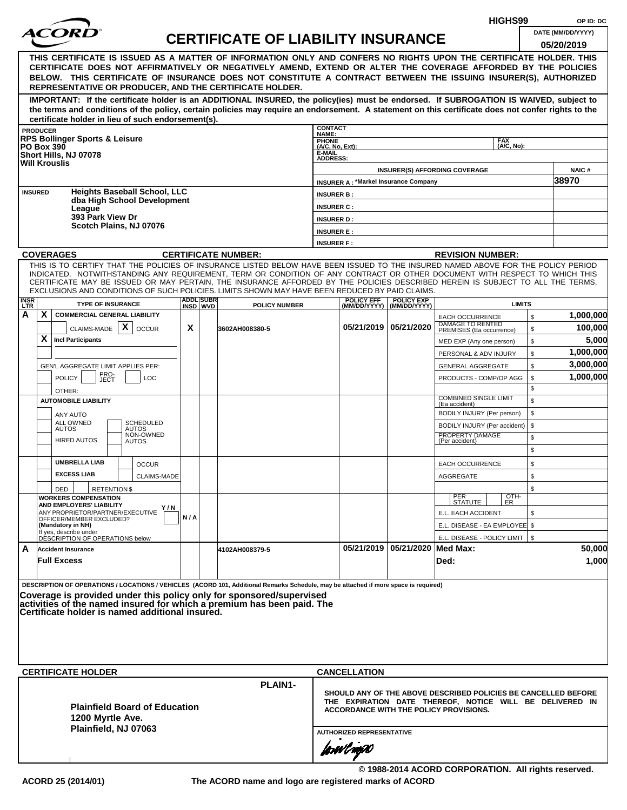|                    |                   |                                                              |                                                    |     |                               |                                                                                                                                                                                                                                                              |                           |                                               |                                                  |                                                            | HIGHS99            |              | OP ID: DC                                                      |
|--------------------|-------------------|--------------------------------------------------------------|----------------------------------------------------|-----|-------------------------------|--------------------------------------------------------------------------------------------------------------------------------------------------------------------------------------------------------------------------------------------------------------|---------------------------|-----------------------------------------------|--------------------------------------------------|------------------------------------------------------------|--------------------|--------------|----------------------------------------------------------------|
|                    |                   |                                                              |                                                    |     |                               | <b>CERTIFICATE OF LIABILITY INSURANCE</b>                                                                                                                                                                                                                    |                           |                                               |                                                  |                                                            |                    |              | DATE (MM/DD/YYYY)                                              |
|                    |                   |                                                              |                                                    |     |                               |                                                                                                                                                                                                                                                              |                           |                                               |                                                  |                                                            |                    |              | 05/20/2019                                                     |
|                    |                   |                                                              |                                                    |     |                               | THIS CERTIFICATE IS ISSUED AS A MATTER OF INFORMATION ONLY AND CONFERS NO RIGHTS UPON THE CERTIFICATE HOLDER. THIS                                                                                                                                           |                           |                                               |                                                  |                                                            |                    |              |                                                                |
|                    |                   |                                                              |                                                    |     |                               | CERTIFICATE DOES NOT AFFIRMATIVELY OR NEGATIVELY AMEND, EXTEND OR ALTER THE COVERAGE AFFORDED BY THE POLICIES<br>BELOW. THIS CERTIFICATE OF INSURANCE DOES NOT CONSTITUTE A CONTRACT BETWEEN THE ISSUING INSURER(S), AUTHORIZED                              |                           |                                               |                                                  |                                                            |                    |              |                                                                |
|                    |                   |                                                              |                                                    |     |                               | REPRESENTATIVE OR PRODUCER, AND THE CERTIFICATE HOLDER.                                                                                                                                                                                                      |                           |                                               |                                                  |                                                            |                    |              |                                                                |
|                    |                   |                                                              |                                                    |     |                               | IMPORTANT: If the certificate holder is an ADDITIONAL INSURED, the policy(ies) must be endorsed. If SUBROGATION IS WAIVED, subject to                                                                                                                        |                           |                                               |                                                  |                                                            |                    |              |                                                                |
|                    |                   |                                                              |                                                    |     |                               | the terms and conditions of the policy, certain policies may require an endorsement. A statement on this certificate does not confer rights to the                                                                                                           |                           |                                               |                                                  |                                                            |                    |              |                                                                |
|                    |                   |                                                              | certificate holder in lieu of such endorsement(s). |     |                               |                                                                                                                                                                                                                                                              | <b>CONTACT</b>            |                                               |                                                  |                                                            |                    |              |                                                                |
|                    | <b>PRODUCER</b>   | <b>RPS Bollinger Sports &amp; Leisure</b>                    |                                                    |     |                               |                                                                                                                                                                                                                                                              | NAME:<br><b>PHONE</b>     |                                               |                                                  |                                                            | <b>FAX</b>         |              |                                                                |
|                    | <b>PO Box 390</b> | Short Hills, NJ 07078                                        |                                                    |     |                               |                                                                                                                                                                                                                                                              | (A/C, No, Ext):<br>E-MAIL |                                               |                                                  |                                                            | (A/C. No):         |              |                                                                |
|                    |                   | <b>Will Krouslis</b>                                         |                                                    |     |                               |                                                                                                                                                                                                                                                              | <b>ADDRESS:</b>           |                                               |                                                  |                                                            |                    |              |                                                                |
|                    |                   |                                                              |                                                    |     |                               |                                                                                                                                                                                                                                                              |                           | <b>INSURER A: *Markel Insurance Company</b>   |                                                  | <b>INSURER(S) AFFORDING COVERAGE</b>                       |                    |              | <b>NAIC#</b><br>38970                                          |
|                    | <b>INSURED</b>    |                                                              | <b>Heights Baseball School, LLC</b>                |     |                               |                                                                                                                                                                                                                                                              | <b>INSURER B:</b>         |                                               |                                                  |                                                            |                    |              |                                                                |
|                    |                   |                                                              | dba High School Development                        |     |                               |                                                                                                                                                                                                                                                              | <b>INSURER C:</b>         |                                               |                                                  |                                                            |                    |              |                                                                |
|                    |                   | League<br>393 Park View Dr                                   |                                                    |     |                               |                                                                                                                                                                                                                                                              | <b>INSURER D:</b>         |                                               |                                                  |                                                            |                    |              |                                                                |
|                    |                   |                                                              | Scotch Plains, NJ 07076                            |     |                               |                                                                                                                                                                                                                                                              | <b>INSURER E:</b>         |                                               |                                                  |                                                            |                    |              |                                                                |
|                    |                   |                                                              |                                                    |     |                               |                                                                                                                                                                                                                                                              | <b>INSURER F:</b>         |                                               |                                                  |                                                            |                    |              |                                                                |
|                    |                   | <b>COVERAGES</b>                                             |                                                    |     |                               | <b>CERTIFICATE NUMBER:</b>                                                                                                                                                                                                                                   |                           |                                               |                                                  | <b>REVISION NUMBER:</b>                                    |                    |              |                                                                |
|                    |                   |                                                              |                                                    |     |                               | THIS IS TO CERTIFY THAT THE POLICIES OF INSURANCE LISTED BELOW HAVE BEEN ISSUED TO THE INSURED NAMED ABOVE FOR THE POLICY PERIOD                                                                                                                             |                           |                                               |                                                  |                                                            |                    |              |                                                                |
|                    |                   |                                                              |                                                    |     |                               | INDICATED. NOTWITHSTANDING ANY REQUIREMENT, TERM OR CONDITION OF ANY CONTRACT OR OTHER DOCUMENT WITH RESPECT TO WHICH THIS<br>CERTIFICATE MAY BE ISSUED OR MAY PERTAIN, THE INSURANCE AFFORDED BY THE POLICIES DESCRIBED HEREIN IS SUBJECT TO ALL THE TERMS. |                           |                                               |                                                  |                                                            |                    |              |                                                                |
|                    |                   |                                                              |                                                    |     |                               | EXCLUSIONS AND CONDITIONS OF SUCH POLICIES. LIMITS SHOWN MAY HAVE BEEN REDUCED BY PAID CLAIMS.                                                                                                                                                               |                           |                                               |                                                  |                                                            |                    |              |                                                                |
| <b>INSR</b><br>LTR |                   | <b>TYPE OF INSURANCE</b>                                     |                                                    |     | <b>ADDLISUBRI</b><br>INSD WVD | <b>POLICY NUMBER</b>                                                                                                                                                                                                                                         |                           | <b>POLICY EFF</b>                             | <b>POLICY EXP</b><br>(MM/DD/YYYY)   (MM/DD/YYYY) |                                                            | <b>LIMITS</b>      |              |                                                                |
| А                  | X                 | <b>COMMERCIAL GENERAL LIABILITY</b>                          |                                                    |     |                               |                                                                                                                                                                                                                                                              |                           |                                               |                                                  | <b>EACH OCCURRENCE</b>                                     |                    | $\mathbb{S}$ | 1,000,000                                                      |
|                    |                   | CLAIMS-MADE $\mathbf{X}$                                     | <b>OCCUR</b>                                       | X   |                               | 3602AH008380-5                                                                                                                                                                                                                                               |                           |                                               | 05/21/2019   05/21/2020                          | DAMAGE TO RENTED<br>PREMISES (Ea occurrence)               |                    | \$           | 100,000                                                        |
|                    | X                 | <b>Incl Participants</b>                                     |                                                    |     |                               |                                                                                                                                                                                                                                                              |                           |                                               |                                                  | MED EXP (Any one person)                                   |                    | \$           | 5,000                                                          |
|                    |                   |                                                              |                                                    |     |                               |                                                                                                                                                                                                                                                              |                           |                                               |                                                  | PERSONAL & ADV INJURY                                      |                    | \$           | 1,000,000                                                      |
|                    |                   | GEN'L AGGREGATE LIMIT APPLIES PER:                           |                                                    |     |                               |                                                                                                                                                                                                                                                              |                           |                                               |                                                  | <b>GENERAL AGGREGATE</b>                                   |                    | \$           | 3,000,000                                                      |
|                    |                   | PRO-<br>JECT<br><b>POLICY</b>                                | <b>LOC</b>                                         |     |                               |                                                                                                                                                                                                                                                              |                           |                                               |                                                  | PRODUCTS - COMP/OP AGG                                     |                    | \$           | 1,000,000                                                      |
|                    |                   | OTHER:                                                       |                                                    |     |                               |                                                                                                                                                                                                                                                              |                           |                                               |                                                  | <b>COMBINED SINGLE LIMIT</b>                               |                    | \$           |                                                                |
|                    |                   | <b>AUTOMOBILE LIABILITY</b>                                  |                                                    |     |                               |                                                                                                                                                                                                                                                              |                           |                                               |                                                  | (Ea accident)                                              |                    | \$<br>\$     |                                                                |
|                    |                   | ANY AUTO<br>ALL OWNED                                        | SCHEDULED                                          |     |                               |                                                                                                                                                                                                                                                              |                           |                                               |                                                  | BODILY INJURY (Per person)<br>BODILY INJURY (Per accident) |                    | \$           |                                                                |
|                    |                   | <b>AUTOS</b>                                                 | <b>AUTOS</b><br>NON-OWNED                          |     |                               |                                                                                                                                                                                                                                                              |                           |                                               |                                                  | PROPERTY DAMAGE                                            |                    | \$           |                                                                |
|                    |                   | <b>HIRED AUTOS</b>                                           | <b>AUTOS</b>                                       |     |                               |                                                                                                                                                                                                                                                              |                           |                                               |                                                  | (Per accident)                                             |                    | \$           |                                                                |
|                    |                   | <b>UMBRELLA LIAB</b>                                         | <b>OCCUR</b>                                       |     |                               |                                                                                                                                                                                                                                                              |                           |                                               |                                                  | <b>EACH OCCURRENCE</b>                                     |                    | \$           |                                                                |
|                    |                   | <b>EXCESS LIAB</b>                                           | <b>CLAIMS-MADE</b>                                 |     |                               |                                                                                                                                                                                                                                                              |                           |                                               |                                                  | <b>AGGREGATE</b>                                           |                    | \$           |                                                                |
|                    |                   | DED<br><b>RETENTION \$</b>                                   |                                                    |     |                               |                                                                                                                                                                                                                                                              |                           |                                               |                                                  |                                                            |                    | \$           |                                                                |
|                    |                   | <b>WORKERS COMPENSATION</b>                                  |                                                    |     |                               |                                                                                                                                                                                                                                                              |                           |                                               |                                                  | PER<br>STATUTE                                             | $\frac{[OTH]}{ER}$ |              |                                                                |
|                    |                   | AND EMPLOYERS' LIABILITY<br>ANY PROPRIETOR/PARTNER/EXECUTIVE | Y/N                                                |     |                               |                                                                                                                                                                                                                                                              |                           |                                               |                                                  | E.L. EACH ACCIDENT                                         |                    | \$           |                                                                |
|                    |                   | OFFICER/MEMBER EXCLUDED?<br>(Mandatory in NH)                |                                                    | N/A |                               |                                                                                                                                                                                                                                                              |                           |                                               |                                                  | E.L. DISEASE - EA EMPLOYEE \$                              |                    |              |                                                                |
|                    |                   | If yes, describe under<br>DESCRIPTION OF OPERATIONS below    |                                                    |     |                               |                                                                                                                                                                                                                                                              |                           |                                               |                                                  | E.L. DISEASE - POLICY LIMIT   \$                           |                    |              |                                                                |
| A                  |                   | <b>Accident Insurance</b>                                    |                                                    |     |                               | 4102AH008379-5                                                                                                                                                                                                                                               |                           |                                               | 05/21/2019 05/21/2020 Med Max:                   |                                                            |                    |              | 50,000                                                         |
|                    |                   | <b>Full Excess</b>                                           |                                                    |     |                               |                                                                                                                                                                                                                                                              |                           |                                               |                                                  | Ded:                                                       |                    |              | 1,000                                                          |
|                    |                   |                                                              |                                                    |     |                               |                                                                                                                                                                                                                                                              |                           |                                               |                                                  |                                                            |                    |              |                                                                |
|                    |                   |                                                              |                                                    |     |                               | DESCRIPTION OF OPERATIONS / LOCATIONS / VEHICLES (ACORD 101, Additional Remarks Schedule, may be attached if more space is required)                                                                                                                         |                           |                                               |                                                  |                                                            |                    |              |                                                                |
|                    |                   |                                                              |                                                    |     |                               | Coverage is provided under this policy only for sponsored/supervised<br>activities of the named insured for which a premium has been paid. The                                                                                                               |                           |                                               |                                                  |                                                            |                    |              |                                                                |
|                    |                   |                                                              | Certificate holder is named additional insured.    |     |                               |                                                                                                                                                                                                                                                              |                           |                                               |                                                  |                                                            |                    |              |                                                                |
|                    |                   |                                                              |                                                    |     |                               |                                                                                                                                                                                                                                                              |                           |                                               |                                                  |                                                            |                    |              |                                                                |
|                    |                   |                                                              |                                                    |     |                               |                                                                                                                                                                                                                                                              |                           |                                               |                                                  |                                                            |                    |              |                                                                |
|                    |                   |                                                              |                                                    |     |                               |                                                                                                                                                                                                                                                              |                           |                                               |                                                  |                                                            |                    |              |                                                                |
|                    |                   |                                                              |                                                    |     |                               |                                                                                                                                                                                                                                                              |                           |                                               |                                                  |                                                            |                    |              |                                                                |
|                    |                   | <b>CERTIFICATE HOLDER</b>                                    |                                                    |     |                               |                                                                                                                                                                                                                                                              |                           | <b>CANCELLATION</b>                           |                                                  |                                                            |                    |              |                                                                |
|                    |                   |                                                              |                                                    |     |                               | <b>PLAIN1-</b>                                                                                                                                                                                                                                               |                           |                                               |                                                  |                                                            |                    |              | SHOULD ANY OF THE ABOVE DESCRIBED POLICIES BE CANCELLED BEFORE |
|                    |                   |                                                              | <b>Plainfield Board of Education</b>               |     |                               |                                                                                                                                                                                                                                                              |                           |                                               |                                                  |                                                            |                    |              | THE EXPIRATION DATE THEREOF, NOTICE WILL BE DELIVERED IN       |
|                    |                   | 1200 Myrtle Ave.                                             |                                                    |     |                               |                                                                                                                                                                                                                                                              |                           | <b>ACCORDANCE WITH THE POLICY PROVISIONS.</b> |                                                  |                                                            |                    |              |                                                                |
|                    |                   | Plainfield, NJ 07063                                         |                                                    |     |                               |                                                                                                                                                                                                                                                              |                           | <b>AUTHORIZED REPRESENTATIVE</b>              |                                                  |                                                            |                    |              |                                                                |
|                    |                   |                                                              |                                                    |     |                               |                                                                                                                                                                                                                                                              |                           |                                               |                                                  |                                                            |                    |              |                                                                |
|                    |                   |                                                              |                                                    |     |                               |                                                                                                                                                                                                                                                              |                           | forwl now                                     |                                                  |                                                            |                    |              |                                                                |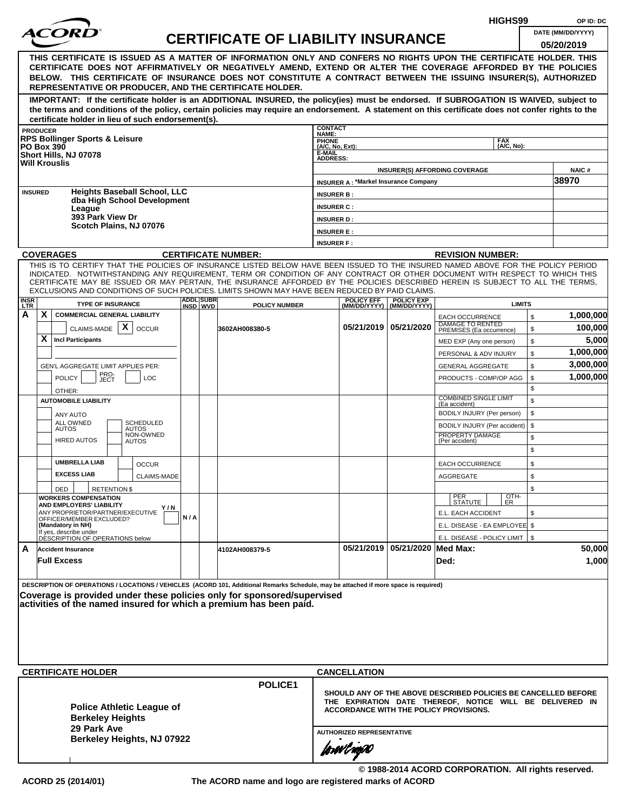| HIGHS99<br>OP ID: DC                                                                                                                                                                                                                                                                                                                                                                                                                                                                                              |     |                  |                                           |                                |                                             |                                    |                                                                                                                                                                             |                          |                                 |  |  |
|-------------------------------------------------------------------------------------------------------------------------------------------------------------------------------------------------------------------------------------------------------------------------------------------------------------------------------------------------------------------------------------------------------------------------------------------------------------------------------------------------------------------|-----|------------------|-------------------------------------------|--------------------------------|---------------------------------------------|------------------------------------|-----------------------------------------------------------------------------------------------------------------------------------------------------------------------------|--------------------------|---------------------------------|--|--|
|                                                                                                                                                                                                                                                                                                                                                                                                                                                                                                                   |     |                  | <b>CERTIFICATE OF LIABILITY INSURANCE</b> |                                |                                             |                                    |                                                                                                                                                                             |                          | DATE (MM/DD/YYYY)<br>05/20/2019 |  |  |
| THIS CERTIFICATE IS ISSUED AS A MATTER OF INFORMATION ONLY AND CONFERS NO RIGHTS UPON THE CERTIFICATE HOLDER. THIS<br>CERTIFICATE DOES NOT AFFIRMATIVELY OR NEGATIVELY AMEND, EXTEND OR ALTER THE COVERAGE AFFORDED BY THE POLICIES<br>BELOW. THIS CERTIFICATE OF INSURANCE DOES NOT CONSTITUTE A CONTRACT BETWEEN THE ISSUING INSURER(S), AUTHORIZED<br>REPRESENTATIVE OR PRODUCER, AND THE CERTIFICATE HOLDER.                                                                                                  |     |                  |                                           |                                |                                             |                                    |                                                                                                                                                                             |                          |                                 |  |  |
| IMPORTANT: If the certificate holder is an ADDITIONAL INSURED, the policy(ies) must be endorsed. If SUBROGATION IS WAIVED, subject to<br>the terms and conditions of the policy, certain policies may require an endorsement. A statement on this certificate does not confer rights to the<br>certificate holder in lieu of such endorsement(s).                                                                                                                                                                 |     |                  |                                           |                                |                                             |                                    |                                                                                                                                                                             |                          |                                 |  |  |
| <b>PRODUCER</b>                                                                                                                                                                                                                                                                                                                                                                                                                                                                                                   |     |                  |                                           | <b>CONTACT</b><br><b>NAME:</b> |                                             |                                    |                                                                                                                                                                             |                          |                                 |  |  |
| <b>RPS Bollinger Sports &amp; Leisure</b><br><b>PO Box 390</b>                                                                                                                                                                                                                                                                                                                                                                                                                                                    |     |                  |                                           | PHONE<br>(A/C, No, Ext):       |                                             |                                    |                                                                                                                                                                             | <b>FAX</b><br>(A/C, No): |                                 |  |  |
| Short Hills, NJ 07078                                                                                                                                                                                                                                                                                                                                                                                                                                                                                             |     |                  |                                           | E-MAIL<br><b>ADDRESS:</b>      |                                             |                                    |                                                                                                                                                                             |                          |                                 |  |  |
| <b>Will Krouslis</b>                                                                                                                                                                                                                                                                                                                                                                                                                                                                                              |     |                  |                                           |                                |                                             |                                    | <b>INSURER(S) AFFORDING COVERAGE</b>                                                                                                                                        |                          | <b>NAIC#</b>                    |  |  |
|                                                                                                                                                                                                                                                                                                                                                                                                                                                                                                                   |     |                  |                                           |                                | <b>INSURER A: *Markel Insurance Company</b> |                                    |                                                                                                                                                                             |                          | 38970                           |  |  |
| <b>Heights Baseball School, LLC</b><br><b>INSURED</b><br>dba High School Development                                                                                                                                                                                                                                                                                                                                                                                                                              |     |                  |                                           | <b>INSURER B:</b>              |                                             |                                    |                                                                                                                                                                             |                          |                                 |  |  |
| League                                                                                                                                                                                                                                                                                                                                                                                                                                                                                                            |     |                  |                                           | <b>INSURER C:</b>              |                                             |                                    |                                                                                                                                                                             |                          |                                 |  |  |
| 393 Park View Dr<br>Scotch Plains, NJ 07076                                                                                                                                                                                                                                                                                                                                                                                                                                                                       |     |                  |                                           | <b>INSURER D:</b>              |                                             |                                    |                                                                                                                                                                             |                          |                                 |  |  |
|                                                                                                                                                                                                                                                                                                                                                                                                                                                                                                                   |     |                  |                                           | <b>INSURER E:</b>              |                                             |                                    |                                                                                                                                                                             |                          |                                 |  |  |
|                                                                                                                                                                                                                                                                                                                                                                                                                                                                                                                   |     |                  |                                           | <b>INSURER F:</b>              |                                             |                                    |                                                                                                                                                                             |                          |                                 |  |  |
| <b>COVERAGES</b>                                                                                                                                                                                                                                                                                                                                                                                                                                                                                                  |     |                  | <b>CERTIFICATE NUMBER:</b>                |                                |                                             |                                    | <b>REVISION NUMBER:</b>                                                                                                                                                     |                          |                                 |  |  |
| THIS IS TO CERTIFY THAT THE POLICIES OF INSURANCE LISTED BELOW HAVE BEEN ISSUED TO THE INSURED NAMED ABOVE FOR THE POLICY PERIOD<br>INDICATED. NOTWITHSTANDING ANY REQUIREMENT, TERM OR CONDITION OF ANY CONTRACT OR OTHER DOCUMENT WITH RESPECT TO WHICH THIS<br>CERTIFICATE MAY BE ISSUED OR MAY PERTAIN, THE INSURANCE AFFORDED BY THE POLICIES DESCRIBED HEREIN IS SUBJECT TO ALL THE TERMS,<br>EXCLUSIONS AND CONDITIONS OF SUCH POLICIES. LIMITS SHOWN MAY HAVE BEEN REDUCED BY PAID CLAIMS.<br><b>INSR</b> |     | <b>ADDL SUBR</b> |                                           |                                | <b>POLICY EFF</b>                           | <b>POLICY EXP</b>                  |                                                                                                                                                                             |                          |                                 |  |  |
| <b>TYPE OF INSURANCE</b><br><b>LTR</b>                                                                                                                                                                                                                                                                                                                                                                                                                                                                            |     | INSD WVD         | <b>POLICY NUMBER</b>                      |                                | (MM/DD/YYYY)                                | (MM/DD/YYYY)                       |                                                                                                                                                                             | <b>LIMITS</b>            |                                 |  |  |
| A<br>X.<br><b>COMMERCIAL GENERAL LIABILITY</b>                                                                                                                                                                                                                                                                                                                                                                                                                                                                    |     |                  |                                           |                                |                                             |                                    | <b>EACH OCCURRENCE</b><br>DAMAGE TO RENTED                                                                                                                                  | \$                       | 1,000,000                       |  |  |
| $\boldsymbol{\mathsf{X}}$<br>CLAIMS-MADE<br><b>OCCUR</b>                                                                                                                                                                                                                                                                                                                                                                                                                                                          |     |                  | 3602AH008380-5                            |                                |                                             | 05/21/2019   05/21/2020            | PREMISES (Ea occurrence)                                                                                                                                                    | $\mathfrak s$            | 100,000                         |  |  |
| X.<br><b>Incl Participants</b>                                                                                                                                                                                                                                                                                                                                                                                                                                                                                    |     |                  |                                           |                                |                                             |                                    | MED EXP (Any one person)                                                                                                                                                    | \$                       | 5,000                           |  |  |
|                                                                                                                                                                                                                                                                                                                                                                                                                                                                                                                   |     |                  |                                           |                                |                                             |                                    | PERSONAL & ADV INJURY                                                                                                                                                       | \$                       | 1,000,000                       |  |  |
| GEN'L AGGREGATE LIMIT APPLIES PER:                                                                                                                                                                                                                                                                                                                                                                                                                                                                                |     |                  |                                           |                                |                                             |                                    | <b>GENERAL AGGREGATE</b>                                                                                                                                                    | \$                       | 3,000,000                       |  |  |
| PRO-<br>JECT<br><b>POLICY</b><br>LOC                                                                                                                                                                                                                                                                                                                                                                                                                                                                              |     |                  |                                           |                                |                                             |                                    | PRODUCTS - COMP/OP AGG                                                                                                                                                      | \$<br>\$                 | 1,000,000                       |  |  |
| OTHER:<br><b>AUTOMOBILE LIABILITY</b>                                                                                                                                                                                                                                                                                                                                                                                                                                                                             |     |                  |                                           |                                |                                             | <b>COMBINED SINGLE LIMIT</b>       | \$                                                                                                                                                                          |                          |                                 |  |  |
|                                                                                                                                                                                                                                                                                                                                                                                                                                                                                                                   |     |                  |                                           |                                |                                             |                                    | (Ea accident)<br>BODILY INJURY (Per person)                                                                                                                                 | \$                       |                                 |  |  |
| ANY AUTO<br>ALL OWNED<br><b>SCHEDULED</b>                                                                                                                                                                                                                                                                                                                                                                                                                                                                         |     |                  |                                           |                                |                                             |                                    | BODILY INJURY (Per accident)                                                                                                                                                | \$                       |                                 |  |  |
| <b>AUTOS</b><br><b>AUTOS</b><br>NON-OWNED                                                                                                                                                                                                                                                                                                                                                                                                                                                                         |     |                  |                                           |                                |                                             |                                    | PROPERTY DAMAGE                                                                                                                                                             | \$                       |                                 |  |  |
| <b>HIRED AUTOS</b><br><b>AUTOS</b>                                                                                                                                                                                                                                                                                                                                                                                                                                                                                |     |                  |                                           |                                |                                             |                                    | (Per accident)                                                                                                                                                              | \$                       |                                 |  |  |
| <b>UMBRELLA LIAB</b><br><b>OCCUR</b>                                                                                                                                                                                                                                                                                                                                                                                                                                                                              |     |                  |                                           |                                |                                             |                                    | <b>EACH OCCURRENCE</b>                                                                                                                                                      | \$                       |                                 |  |  |
| <b>EXCESS LIAB</b><br>CLAIMS-MADE                                                                                                                                                                                                                                                                                                                                                                                                                                                                                 |     |                  |                                           |                                |                                             |                                    | AGGREGATE                                                                                                                                                                   | \$                       |                                 |  |  |
| DED<br><b>RETENTION \$</b>                                                                                                                                                                                                                                                                                                                                                                                                                                                                                        |     |                  |                                           |                                |                                             |                                    |                                                                                                                                                                             | \$                       |                                 |  |  |
| <b>WORKERS COMPENSATION</b>                                                                                                                                                                                                                                                                                                                                                                                                                                                                                       |     |                  |                                           |                                |                                             |                                    | PER<br>STATUTE                                                                                                                                                              | OTH-<br><b>ER</b>        |                                 |  |  |
| AND EMPLOYERS' LIABILITY<br>Y / N<br>ANY PROPRIETOR/PARTNER/EXECUTIVE                                                                                                                                                                                                                                                                                                                                                                                                                                             |     |                  |                                           |                                |                                             |                                    | E.L. EACH ACCIDENT                                                                                                                                                          | \$                       |                                 |  |  |
| OFFICER/MEMBER EXCLUDED?<br>(Mandatory in NH)                                                                                                                                                                                                                                                                                                                                                                                                                                                                     | N/A |                  |                                           |                                |                                             |                                    | E.L. DISEASE - EA EMPLOYEE \$                                                                                                                                               |                          |                                 |  |  |
| If yes, describe under<br>DÉSCRIPTION OF OPERATIONS below                                                                                                                                                                                                                                                                                                                                                                                                                                                         |     |                  |                                           |                                |                                             |                                    | E.L. DISEASE - POLICY LIMIT   \$                                                                                                                                            |                          |                                 |  |  |
| A<br><b>Accident Insurance</b>                                                                                                                                                                                                                                                                                                                                                                                                                                                                                    |     |                  | 4102AH008379-5                            |                                |                                             | 05/21/2019   05/21/2020   Med Max: |                                                                                                                                                                             |                          | 50,000                          |  |  |
| <b>Full Excess</b>                                                                                                                                                                                                                                                                                                                                                                                                                                                                                                |     |                  |                                           |                                |                                             |                                    | Ded:                                                                                                                                                                        |                          | 1,000                           |  |  |
|                                                                                                                                                                                                                                                                                                                                                                                                                                                                                                                   |     |                  |                                           |                                |                                             |                                    |                                                                                                                                                                             |                          |                                 |  |  |
| DESCRIPTION OF OPERATIONS / LOCATIONS / VEHICLES (ACORD 101, Additional Remarks Schedule, may be attached if more space is required)<br>Coverage is provided under these policies only for sponsored/supervised<br>activities of the named insured for which a premium has been paid.                                                                                                                                                                                                                             |     |                  |                                           |                                |                                             |                                    |                                                                                                                                                                             |                          |                                 |  |  |
|                                                                                                                                                                                                                                                                                                                                                                                                                                                                                                                   |     |                  |                                           |                                |                                             |                                    |                                                                                                                                                                             |                          |                                 |  |  |
| <b>CERTIFICATE HOLDER</b>                                                                                                                                                                                                                                                                                                                                                                                                                                                                                         |     |                  |                                           |                                | <b>CANCELLATION</b>                         |                                    |                                                                                                                                                                             |                          |                                 |  |  |
| <b>Police Athletic League of</b><br><b>Berkeley Heights</b><br>29 Park Ave                                                                                                                                                                                                                                                                                                                                                                                                                                        |     |                  | POLICE1                                   |                                |                                             |                                    | SHOULD ANY OF THE ABOVE DESCRIBED POLICIES BE CANCELLED BEFORE<br>THE EXPIRATION DATE THEREOF, NOTICE WILL BE DELIVERED IN<br><b>ACCORDANCE WITH THE POLICY PROVISIONS.</b> |                          |                                 |  |  |
| Berkeley Heights, NJ 07922                                                                                                                                                                                                                                                                                                                                                                                                                                                                                        |     |                  |                                           |                                | <b>AUTHORIZED REPRESENTATIVE</b>            |                                    |                                                                                                                                                                             |                          |                                 |  |  |
|                                                                                                                                                                                                                                                                                                                                                                                                                                                                                                                   |     |                  |                                           |                                | jowilnyw                                    |                                    |                                                                                                                                                                             |                          |                                 |  |  |

**© 1988-2014 ACORD CORPORATION. All rights reserved.**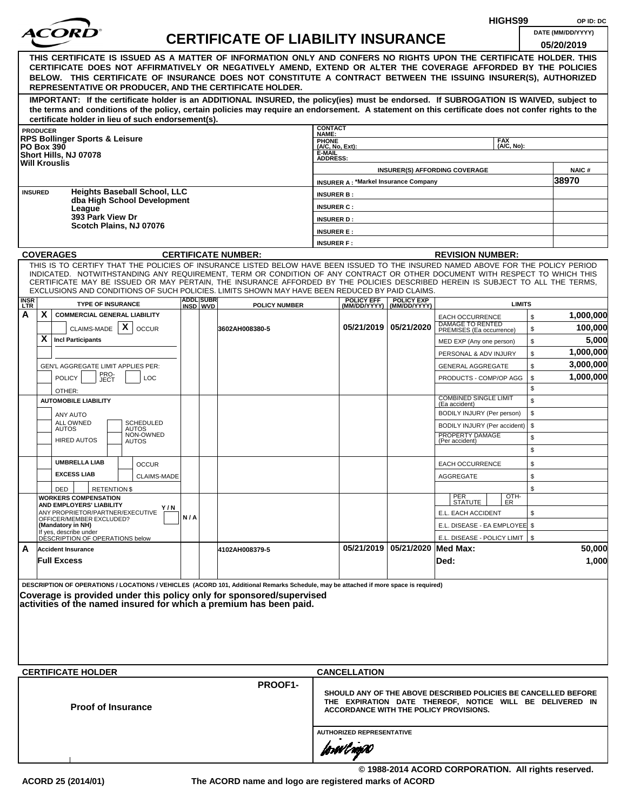|             |                           |                                                              |                                  |     |                  |                                                                                                                                                                                                                                                                |                                 |                                  |                                             |                                                                                                    | HIGHS99       |          | OP ID: DC            |
|-------------|---------------------------|--------------------------------------------------------------|----------------------------------|-----|------------------|----------------------------------------------------------------------------------------------------------------------------------------------------------------------------------------------------------------------------------------------------------------|---------------------------------|----------------------------------|---------------------------------------------|----------------------------------------------------------------------------------------------------|---------------|----------|----------------------|
|             |                           |                                                              |                                  |     |                  | <b>CERTIFICATE OF LIABILITY INSURANCE</b>                                                                                                                                                                                                                      |                                 |                                  |                                             |                                                                                                    |               |          | DATE (MM/DD/YYYY)    |
|             |                           |                                                              |                                  |     |                  |                                                                                                                                                                                                                                                                |                                 |                                  |                                             |                                                                                                    |               |          | 05/20/2019           |
|             |                           |                                                              |                                  |     |                  | THIS CERTIFICATE IS ISSUED AS A MATTER OF INFORMATION ONLY AND CONFERS NO RIGHTS UPON THE CERTIFICATE HOLDER. THIS<br>CERTIFICATE DOES NOT AFFIRMATIVELY OR NEGATIVELY AMEND, EXTEND OR ALTER THE COVERAGE AFFORDED BY THE POLICIES                            |                                 |                                  |                                             |                                                                                                    |               |          |                      |
|             |                           |                                                              |                                  |     |                  | BELOW. THIS CERTIFICATE OF INSURANCE DOES NOT CONSTITUTE A CONTRACT BETWEEN THE ISSUING INSURER(S), AUTHORIZED                                                                                                                                                 |                                 |                                  |                                             |                                                                                                    |               |          |                      |
|             |                           |                                                              |                                  |     |                  | REPRESENTATIVE OR PRODUCER, AND THE CERTIFICATE HOLDER.                                                                                                                                                                                                        |                                 |                                  |                                             |                                                                                                    |               |          |                      |
|             |                           |                                                              |                                  |     |                  | IMPORTANT: If the certificate holder is an ADDITIONAL INSURED, the policy(ies) must be endorsed. If SUBROGATION IS WAIVED, subject to                                                                                                                          |                                 |                                  |                                             |                                                                                                    |               |          |                      |
|             |                           | certificate holder in lieu of such endorsement(s).           |                                  |     |                  | the terms and conditions of the policy, certain policies may require an endorsement. A statement on this certificate does not confer rights to the                                                                                                             |                                 |                                  |                                             |                                                                                                    |               |          |                      |
|             | <b>PRODUCER</b>           |                                                              |                                  |     |                  |                                                                                                                                                                                                                                                                | <b>CONTACT</b><br>NAME:         |                                  |                                             |                                                                                                    |               |          |                      |
|             | <b>PO Box 390</b>         | <b>RPS Bollinger Sports &amp; Leisure</b>                    |                                  |     |                  |                                                                                                                                                                                                                                                                | <b>PHONE</b><br>(A/C, No, Ext): |                                  |                                             | <b>FAX</b>                                                                                         | (A/C, No):    |          |                      |
|             |                           | Short Hills, NJ 07078                                        |                                  |     |                  |                                                                                                                                                                                                                                                                | E-MAIL<br><b>ADDRESS:</b>       |                                  |                                             |                                                                                                    |               |          |                      |
|             | <b>Will Krouslis</b>      |                                                              |                                  |     |                  |                                                                                                                                                                                                                                                                |                                 |                                  |                                             | <b>INSURER(S) AFFORDING COVERAGE</b>                                                               |               |          | NAIC#                |
|             |                           |                                                              |                                  |     |                  |                                                                                                                                                                                                                                                                |                                 |                                  | <b>INSURER A: *Markel Insurance Company</b> |                                                                                                    |               |          | 38970                |
|             | <b>INSURED</b>            | <b>Heights Baseball School, LLC</b>                          |                                  |     |                  |                                                                                                                                                                                                                                                                | <b>INSURER B:</b>               |                                  |                                             |                                                                                                    |               |          |                      |
|             |                           | dba High School Development<br>League                        |                                  |     |                  |                                                                                                                                                                                                                                                                | <b>INSURER C:</b>               |                                  |                                             |                                                                                                    |               |          |                      |
|             |                           | 393 Park View Dr                                             |                                  |     |                  |                                                                                                                                                                                                                                                                | <b>INSURER D:</b>               |                                  |                                             |                                                                                                    |               |          |                      |
|             |                           | Scotch Plains, NJ 07076                                      |                                  |     |                  |                                                                                                                                                                                                                                                                | <b>INSURER E:</b>               |                                  |                                             |                                                                                                    |               |          |                      |
|             |                           |                                                              |                                  |     |                  |                                                                                                                                                                                                                                                                | <b>INSURER F:</b>               |                                  |                                             |                                                                                                    |               |          |                      |
|             | <b>COVERAGES</b>          |                                                              |                                  |     |                  | <b>CERTIFICATE NUMBER:</b>                                                                                                                                                                                                                                     |                                 |                                  |                                             | <b>REVISION NUMBER:</b>                                                                            |               |          |                      |
|             |                           |                                                              |                                  |     |                  | THIS IS TO CERTIFY THAT THE POLICIES OF INSURANCE LISTED BELOW HAVE BEEN ISSUED TO THE INSURED NAMED ABOVE FOR THE POLICY PERIOD<br>INDICATED. NOTWITHSTANDING ANY REQUIREMENT, TERM OR CONDITION OF ANY CONTRACT OR OTHER DOCUMENT WITH RESPECT TO WHICH THIS |                                 |                                  |                                             |                                                                                                    |               |          |                      |
|             |                           |                                                              |                                  |     |                  | CERTIFICATE MAY BE ISSUED OR MAY PERTAIN, THE INSURANCE AFFORDED BY THE POLICIES DESCRIBED HEREIN IS SUBJECT TO ALL THE TERMS,                                                                                                                                 |                                 |                                  |                                             |                                                                                                    |               |          |                      |
| <b>INSR</b> |                           |                                                              |                                  |     | <b>ADDL SUBR</b> | EXCLUSIONS AND CONDITIONS OF SUCH POLICIES. LIMITS SHOWN MAY HAVE BEEN REDUCED BY PAID CLAIMS.                                                                                                                                                                 |                                 | <b>POLICY EFF</b>                | <b>POLICY EXP</b>                           |                                                                                                    |               |          |                      |
| <b>LTR</b>  |                           | <b>TYPE OF INSURANCE</b>                                     |                                  |     | INSD WVD         | <b>POLICY NUMBER</b>                                                                                                                                                                                                                                           |                                 |                                  | (MM/DD/YYYY)   (MM/DD/YYYY)                 |                                                                                                    | <b>LIMITS</b> |          |                      |
| A           | X                         | <b>COMMERCIAL GENERAL LIABILITY</b>                          | X                                |     |                  |                                                                                                                                                                                                                                                                |                                 |                                  | 05/21/2019 05/21/2020                       | <b>EACH OCCURRENCE</b><br>DAMAGE TO RENTED                                                         |               | \$       | 1,000,000<br>100,000 |
|             | X                         | CLAIMS-MADE<br><b>Incl Participants</b>                      | <b>OCCUR</b>                     |     |                  | 3602AH008380-5                                                                                                                                                                                                                                                 |                                 |                                  |                                             | PREMISES (Ea occurrence)                                                                           |               | \$       |                      |
|             |                           |                                                              |                                  |     |                  |                                                                                                                                                                                                                                                                |                                 |                                  |                                             | MED EXP (Any one person)                                                                           |               | \$       | 5,000<br>1,000,000   |
|             |                           |                                                              |                                  |     |                  |                                                                                                                                                                                                                                                                |                                 |                                  |                                             | PERSONAL & ADV INJURY                                                                              |               | \$<br>\$ | 3,000,000            |
|             |                           | GEN'L AGGREGATE LIMIT APPLIES PER:                           |                                  |     |                  |                                                                                                                                                                                                                                                                |                                 |                                  |                                             | <b>GENERAL AGGREGATE</b><br>PRODUCTS - COMP/OP AGG                                                 | \$            |          | 1,000,000            |
|             |                           | PRO-<br>JECT<br><b>POLICY</b><br>LOC<br>OTHER:               |                                  |     |                  |                                                                                                                                                                                                                                                                |                                 |                                  |                                             |                                                                                                    | \$            |          |                      |
|             |                           | <b>AUTOMOBILE LIABILITY</b>                                  |                                  |     |                  |                                                                                                                                                                                                                                                                |                                 |                                  |                                             | <b>COMBINED SINGLE LIMIT</b>                                                                       | \$            |          |                      |
|             |                           | ANY AUTO                                                     |                                  |     |                  |                                                                                                                                                                                                                                                                |                                 |                                  |                                             | (Ea accident)<br>BODILY INJURY (Per person)                                                        |               | \$       |                      |
|             | <b>AUTOS</b>              | <b>ALL OWNED</b>                                             | <b>SCHEDULED</b><br><b>AUTOS</b> |     |                  |                                                                                                                                                                                                                                                                |                                 |                                  |                                             | BODILY INJURY (Per accident)                                                                       | \$            |          |                      |
|             |                           | <b>HIRED AUTOS</b>                                           | NON-OWNED<br><b>AUTOS</b>        |     |                  |                                                                                                                                                                                                                                                                |                                 |                                  |                                             | PROPERTY DAMAGE<br>(Per accident)                                                                  | \$            |          |                      |
|             |                           |                                                              |                                  |     |                  |                                                                                                                                                                                                                                                                |                                 |                                  |                                             |                                                                                                    |               | \$       |                      |
|             |                           | <b>UMBRELLA LIAB</b>                                         | <b>OCCUR</b>                     |     |                  |                                                                                                                                                                                                                                                                |                                 |                                  |                                             | <b>EACH OCCURRENCE</b>                                                                             |               | \$       |                      |
|             |                           | <b>EXCESS LIAB</b>                                           | <b>CLAIMS-MADE</b>               |     |                  |                                                                                                                                                                                                                                                                |                                 |                                  |                                             | <b>AGGREGATE</b>                                                                                   | \$            |          |                      |
|             | DED                       | <b>RETENTION \$</b>                                          |                                  |     |                  |                                                                                                                                                                                                                                                                |                                 |                                  |                                             |                                                                                                    |               | \$       |                      |
|             |                           | <b>WORKERS COMPENSATION</b><br>AND EMPLOYERS' LIABILITY      |                                  |     |                  |                                                                                                                                                                                                                                                                |                                 |                                  |                                             | PER<br><b>STATUTE</b>                                                                              | OTH-<br>ER.   |          |                      |
|             |                           | ANY PROPRIETOR/PARTNER/EXECUTIVE<br>OFFICER/MEMBER EXCLUDED? | Y / N                            | N/A |                  |                                                                                                                                                                                                                                                                |                                 |                                  |                                             | E.L. EACH ACCIDENT                                                                                 |               | \$       |                      |
|             | (Mandatory in NH)         |                                                              |                                  |     |                  |                                                                                                                                                                                                                                                                |                                 |                                  |                                             | E.L. DISEASE - EA EMPLOYEE \$                                                                      |               |          |                      |
|             |                           | If yes, describe under<br>DESCRIPTION OF OPERATIONS below    |                                  |     |                  |                                                                                                                                                                                                                                                                |                                 |                                  |                                             | E.L. DISEASE - POLICY LIMIT   \$                                                                   |               |          |                      |
| A           | <b>Accident Insurance</b> |                                                              |                                  |     |                  | 4102AH008379-5                                                                                                                                                                                                                                                 |                                 |                                  | 05/21/2019 05/21/2020 Med Max:              |                                                                                                    |               |          | 50,000               |
|             | <b>Full Excess</b>        |                                                              |                                  |     |                  |                                                                                                                                                                                                                                                                |                                 |                                  |                                             | Ded:                                                                                               |               |          | 1,000                |
|             |                           |                                                              |                                  |     |                  |                                                                                                                                                                                                                                                                |                                 |                                  |                                             |                                                                                                    |               |          |                      |
|             |                           |                                                              |                                  |     |                  | DESCRIPTION OF OPERATIONS / LOCATIONS / VEHICLES (ACORD 101, Additional Remarks Schedule, may be attached if more space is required)<br>Coverage is provided under this policy only for sponsored/supervised                                                   |                                 |                                  |                                             |                                                                                                    |               |          |                      |
|             |                           |                                                              |                                  |     |                  | activities of the named insured for which a premium has been paid.                                                                                                                                                                                             |                                 |                                  |                                             |                                                                                                    |               |          |                      |
|             |                           |                                                              |                                  |     |                  |                                                                                                                                                                                                                                                                |                                 |                                  |                                             |                                                                                                    |               |          |                      |
|             |                           |                                                              |                                  |     |                  |                                                                                                                                                                                                                                                                |                                 |                                  |                                             |                                                                                                    |               |          |                      |
|             |                           |                                                              |                                  |     |                  |                                                                                                                                                                                                                                                                |                                 |                                  |                                             |                                                                                                    |               |          |                      |
|             |                           |                                                              |                                  |     |                  |                                                                                                                                                                                                                                                                |                                 |                                  |                                             |                                                                                                    |               |          |                      |
|             |                           | <b>CERTIFICATE HOLDER</b>                                    |                                  |     |                  |                                                                                                                                                                                                                                                                |                                 | <b>CANCELLATION</b>              |                                             |                                                                                                    |               |          |                      |
|             |                           |                                                              |                                  |     |                  | PROOF1-                                                                                                                                                                                                                                                        |                                 |                                  |                                             |                                                                                                    |               |          |                      |
|             |                           |                                                              |                                  |     |                  |                                                                                                                                                                                                                                                                |                                 |                                  |                                             | SHOULD ANY OF THE ABOVE DESCRIBED POLICIES BE CANCELLED BEFORE                                     |               |          |                      |
|             |                           | <b>Proof of Insurance</b>                                    |                                  |     |                  |                                                                                                                                                                                                                                                                |                                 |                                  |                                             | THE EXPIRATION DATE THEREOF, NOTICE WILL BE DELIVERED IN<br>ACCORDANCE WITH THE POLICY PROVISIONS. |               |          |                      |
|             |                           |                                                              |                                  |     |                  |                                                                                                                                                                                                                                                                |                                 |                                  |                                             |                                                                                                    |               |          |                      |
|             |                           |                                                              |                                  |     |                  |                                                                                                                                                                                                                                                                |                                 | <b>AUTHORIZED REPRESENTATIVE</b> |                                             |                                                                                                    |               |          |                      |
|             |                           |                                                              |                                  |     |                  |                                                                                                                                                                                                                                                                |                                 | forwl now                        |                                             |                                                                                                    |               |          |                      |
|             |                           |                                                              |                                  |     |                  |                                                                                                                                                                                                                                                                |                                 |                                  |                                             |                                                                                                    |               |          |                      |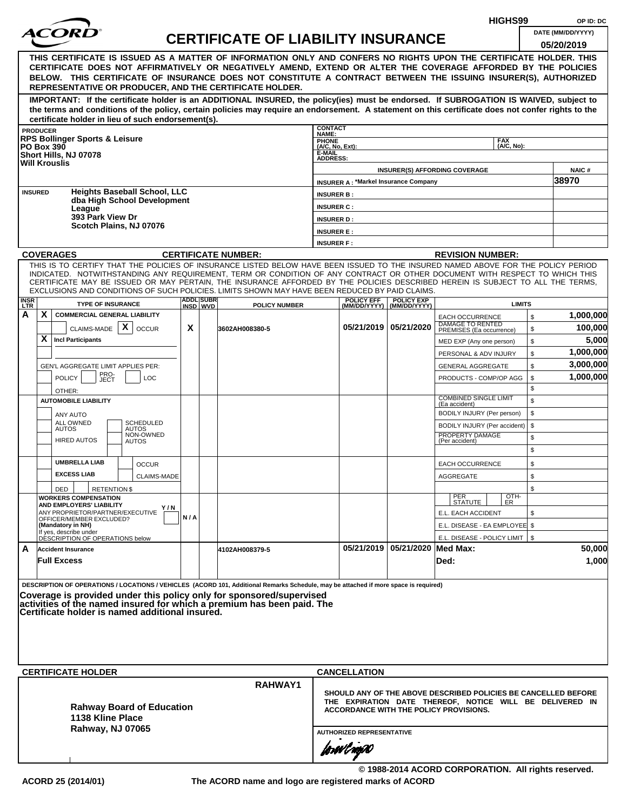|                    |   |                                                                                        |                                                                    |     |                               |                                                                                                                                                                                                                                                                                                                                                                                                                                                                                                                                                           |                                          |                                             |                                                  | HIGHS99                                                                                                                                                                     |                    | OP ID: DC            |
|--------------------|---|----------------------------------------------------------------------------------------|--------------------------------------------------------------------|-----|-------------------------------|-----------------------------------------------------------------------------------------------------------------------------------------------------------------------------------------------------------------------------------------------------------------------------------------------------------------------------------------------------------------------------------------------------------------------------------------------------------------------------------------------------------------------------------------------------------|------------------------------------------|---------------------------------------------|--------------------------------------------------|-----------------------------------------------------------------------------------------------------------------------------------------------------------------------------|--------------------|----------------------|
|                    |   |                                                                                        |                                                                    |     |                               | <b>CERTIFICATE OF LIABILITY INSURANCE</b>                                                                                                                                                                                                                                                                                                                                                                                                                                                                                                                 |                                          |                                             |                                                  |                                                                                                                                                                             |                    | DATE (MM/DD/YYYY)    |
|                    |   |                                                                                        |                                                                    |     |                               | THIS CERTIFICATE IS ISSUED AS A MATTER OF INFORMATION ONLY AND CONFERS NO RIGHTS UPON THE CERTIFICATE HOLDER. THIS<br>CERTIFICATE DOES NOT AFFIRMATIVELY OR NEGATIVELY AMEND, EXTEND OR ALTER THE COVERAGE AFFORDED BY THE POLICIES<br>BELOW. THIS CERTIFICATE OF INSURANCE DOES NOT CONSTITUTE A CONTRACT BETWEEN THE ISSUING INSURER(S), AUTHORIZED<br>REPRESENTATIVE OR PRODUCER, AND THE CERTIFICATE HOLDER.<br>IMPORTANT: If the certificate holder is an ADDITIONAL INSURED, the policy(ies) must be endorsed. If SUBROGATION IS WAIVED, subject to |                                          |                                             |                                                  |                                                                                                                                                                             |                    | 05/20/2019           |
|                    |   |                                                                                        |                                                                    |     |                               | the terms and conditions of the policy, certain policies may require an endorsement. A statement on this certificate does not confer rights to the                                                                                                                                                                                                                                                                                                                                                                                                        |                                          |                                             |                                                  |                                                                                                                                                                             |                    |                      |
| <b>PRODUCER</b>    |   |                                                                                        | certificate holder in lieu of such endorsement(s).                 |     |                               |                                                                                                                                                                                                                                                                                                                                                                                                                                                                                                                                                           | <b>CONTACT</b>                           |                                             |                                                  |                                                                                                                                                                             |                    |                      |
| <b>PO Box 390</b>  |   | <b>RPS Bollinger Sports &amp; Leisure</b>                                              |                                                                    |     |                               |                                                                                                                                                                                                                                                                                                                                                                                                                                                                                                                                                           | NAME:<br><b>PHONE</b><br>(A/C, No, Ext): |                                             |                                                  | <b>FAX</b><br>(A/C. No):                                                                                                                                                    |                    |                      |
|                    |   | Short Hills, NJ 07078                                                                  |                                                                    |     |                               |                                                                                                                                                                                                                                                                                                                                                                                                                                                                                                                                                           | E-MAIL<br><b>ADDRESS:</b>                |                                             |                                                  |                                                                                                                                                                             |                    |                      |
|                    |   | <b>Will Krouslis</b>                                                                   |                                                                    |     |                               |                                                                                                                                                                                                                                                                                                                                                                                                                                                                                                                                                           |                                          |                                             |                                                  | <b>INSURER(S) AFFORDING COVERAGE</b>                                                                                                                                        |                    | <b>NAIC#</b>         |
|                    |   |                                                                                        |                                                                    |     |                               |                                                                                                                                                                                                                                                                                                                                                                                                                                                                                                                                                           |                                          | <b>INSURER A: *Markel Insurance Company</b> |                                                  |                                                                                                                                                                             |                    | 38970                |
| <b>INSURED</b>     |   |                                                                                        | <b>Heights Baseball School, LLC</b><br>dba High School Development |     |                               |                                                                                                                                                                                                                                                                                                                                                                                                                                                                                                                                                           | <b>INSURER B:</b>                        |                                             |                                                  |                                                                                                                                                                             |                    |                      |
|                    |   | League<br>393 Park View Dr                                                             |                                                                    |     |                               |                                                                                                                                                                                                                                                                                                                                                                                                                                                                                                                                                           | <b>INSURER C:</b>                        |                                             |                                                  |                                                                                                                                                                             |                    |                      |
|                    |   |                                                                                        | Scotch Plains, NJ 07076                                            |     |                               |                                                                                                                                                                                                                                                                                                                                                                                                                                                                                                                                                           | <b>INSURER D:</b><br><b>INSURER E:</b>   |                                             |                                                  |                                                                                                                                                                             |                    |                      |
|                    |   |                                                                                        |                                                                    |     |                               |                                                                                                                                                                                                                                                                                                                                                                                                                                                                                                                                                           | <b>INSURER F:</b>                        |                                             |                                                  |                                                                                                                                                                             |                    |                      |
|                    |   | <b>COVERAGES</b>                                                                       |                                                                    |     |                               | <b>CERTIFICATE NUMBER:</b>                                                                                                                                                                                                                                                                                                                                                                                                                                                                                                                                |                                          |                                             |                                                  | <b>REVISION NUMBER:</b>                                                                                                                                                     |                    |                      |
|                    |   |                                                                                        |                                                                    |     |                               | THIS IS TO CERTIFY THAT THE POLICIES OF INSURANCE LISTED BELOW HAVE BEEN ISSUED TO THE INSURED NAMED ABOVE FOR THE POLICY PERIOD<br>INDICATED. NOTWITHSTANDING ANY REQUIREMENT, TERM OR CONDITION OF ANY CONTRACT OR OTHER DOCUMENT WITH RESPECT TO WHICH THIS<br>CERTIFICATE MAY BE ISSUED OR MAY PERTAIN, THE INSURANCE AFFORDED BY THE POLICIES DESCRIBED HEREIN IS SUBJECT TO ALL THE TERMS.<br>EXCLUSIONS AND CONDITIONS OF SUCH POLICIES. LIMITS SHOWN MAY HAVE BEEN REDUCED BY PAID CLAIMS.                                                        |                                          |                                             |                                                  |                                                                                                                                                                             |                    |                      |
| <b>INSR</b><br>LTR |   |                                                                                        | <b>TYPE OF INSURANCE</b>                                           |     | <b>ADDLISUBRI</b><br>INSD WVD | <b>POLICY NUMBER</b>                                                                                                                                                                                                                                                                                                                                                                                                                                                                                                                                      |                                          | <b>POLICY EFF</b>                           | <b>POLICY EXP</b><br>(MM/DD/YYYY)   (MM/DD/YYYY) | <b>LIMITS</b>                                                                                                                                                               |                    |                      |
| А                  | X | CLAIMS-MADE $\mathbf{X}$                                                               | <b>COMMERCIAL GENERAL LIABILITY</b><br><b>OCCUR</b>                | X   |                               | 3602AH008380-5                                                                                                                                                                                                                                                                                                                                                                                                                                                                                                                                            |                                          |                                             | 05/21/2019   05/21/2020                          | <b>EACH OCCURRENCE</b><br>DAMAGE TO RENTED<br>PREMISES (Ea occurrence)                                                                                                      | $\mathbb{S}$<br>\$ | 1,000,000<br>100,000 |
|                    | X | <b>Incl Participants</b>                                                               |                                                                    |     |                               |                                                                                                                                                                                                                                                                                                                                                                                                                                                                                                                                                           |                                          |                                             |                                                  | MED EXP (Any one person)                                                                                                                                                    | \$                 | 5,000                |
|                    |   |                                                                                        |                                                                    |     |                               |                                                                                                                                                                                                                                                                                                                                                                                                                                                                                                                                                           |                                          |                                             |                                                  | PERSONAL & ADV INJURY                                                                                                                                                       | \$                 | 1,000,000            |
|                    |   | GEN'L AGGREGATE LIMIT APPLIES PER:                                                     |                                                                    |     |                               |                                                                                                                                                                                                                                                                                                                                                                                                                                                                                                                                                           |                                          |                                             |                                                  | <b>GENERAL AGGREGATE</b>                                                                                                                                                    | \$                 | 3,000,000            |
|                    |   | PRO-<br>JECT<br><b>POLICY</b>                                                          | <b>LOC</b>                                                         |     |                               |                                                                                                                                                                                                                                                                                                                                                                                                                                                                                                                                                           |                                          |                                             |                                                  | PRODUCTS - COMP/OP AGG                                                                                                                                                      | \$<br>\$           | 1,000,000            |
|                    |   | OTHER:<br><b>AUTOMOBILE LIABILITY</b>                                                  |                                                                    |     |                               |                                                                                                                                                                                                                                                                                                                                                                                                                                                                                                                                                           |                                          |                                             |                                                  | <b>COMBINED SINGLE LIMIT</b><br>(Ea accident)                                                                                                                               | \$                 |                      |
|                    |   | ANY AUTO                                                                               |                                                                    |     |                               |                                                                                                                                                                                                                                                                                                                                                                                                                                                                                                                                                           |                                          |                                             |                                                  | BODILY INJURY (Per person)                                                                                                                                                  | \$                 |                      |
|                    |   | ALL OWNED<br><b>AUTOS</b>                                                              | SCHEDULED<br><b>AUTOS</b>                                          |     |                               |                                                                                                                                                                                                                                                                                                                                                                                                                                                                                                                                                           |                                          |                                             |                                                  | BODILY INJURY (Per accident)                                                                                                                                                | \$                 |                      |
|                    |   | <b>HIRED AUTOS</b>                                                                     | NON-OWNED<br><b>AUTOS</b>                                          |     |                               |                                                                                                                                                                                                                                                                                                                                                                                                                                                                                                                                                           |                                          |                                             |                                                  | PROPERTY DAMAGE<br>(Per accident)                                                                                                                                           | \$                 |                      |
|                    |   | <b>UMBRELLA LIAB</b>                                                                   |                                                                    |     |                               |                                                                                                                                                                                                                                                                                                                                                                                                                                                                                                                                                           |                                          |                                             |                                                  |                                                                                                                                                                             | \$                 |                      |
|                    |   | <b>EXCESS LIAB</b>                                                                     | <b>OCCUR</b><br><b>CLAIMS-MADE</b>                                 |     |                               |                                                                                                                                                                                                                                                                                                                                                                                                                                                                                                                                                           |                                          |                                             |                                                  | <b>EACH OCCURRENCE</b><br><b>AGGREGATE</b>                                                                                                                                  | \$<br>\$           |                      |
|                    |   | DED                                                                                    | <b>RETENTION \$</b>                                                |     |                               |                                                                                                                                                                                                                                                                                                                                                                                                                                                                                                                                                           |                                          |                                             |                                                  |                                                                                                                                                                             | \$                 |                      |
|                    |   | <b>WORKERS COMPENSATION</b><br>AND EMPLOYERS' LIABILITY                                |                                                                    |     |                               |                                                                                                                                                                                                                                                                                                                                                                                                                                                                                                                                                           |                                          |                                             |                                                  | $\frac{[OTH]}{ER}$<br>PER<br>STATUTE                                                                                                                                        |                    |                      |
|                    |   | ANY PROPRIETOR/PARTNER/EXECUTIVE<br>OFFICER/MEMBER EXCLUDED?                           | Y / N                                                              | N/A |                               |                                                                                                                                                                                                                                                                                                                                                                                                                                                                                                                                                           |                                          |                                             |                                                  | E.L. EACH ACCIDENT                                                                                                                                                          | \$                 |                      |
|                    |   | (Mandatory in NH)                                                                      |                                                                    |     |                               |                                                                                                                                                                                                                                                                                                                                                                                                                                                                                                                                                           |                                          |                                             |                                                  | E.L. DISEASE - EA EMPLOYEE \$                                                                                                                                               |                    |                      |
| A                  |   | If yes, describe under<br>DESCRIPTION OF OPERATIONS below<br><b>Accident Insurance</b> |                                                                    |     |                               |                                                                                                                                                                                                                                                                                                                                                                                                                                                                                                                                                           |                                          |                                             | 05/21/2019 05/21/2020 Med Max:                   | E.L. DISEASE - POLICY LIMIT   \$                                                                                                                                            |                    | 50,000               |
|                    |   | <b>Full Excess</b>                                                                     |                                                                    |     |                               | 4102AH008379-5                                                                                                                                                                                                                                                                                                                                                                                                                                                                                                                                            |                                          |                                             |                                                  | Ded:                                                                                                                                                                        |                    | 1,000                |
|                    |   | <b>CERTIFICATE HOLDER</b>                                                              | Certificate holder is named additional insured.                    |     |                               | DESCRIPTION OF OPERATIONS / LOCATIONS / VEHICLES (ACORD 101, Additional Remarks Schedule, may be attached if more space is required)<br>Coverage is provided under this policy only for sponsored/supervised<br>activities of the named insured for which a premium has been paid. The                                                                                                                                                                                                                                                                    |                                          | <b>CANCELLATION</b>                         |                                                  |                                                                                                                                                                             |                    |                      |
|                    |   |                                                                                        |                                                                    |     |                               | RAHWAY1                                                                                                                                                                                                                                                                                                                                                                                                                                                                                                                                                   |                                          |                                             |                                                  |                                                                                                                                                                             |                    |                      |
|                    |   | 1138 Kline Place                                                                       | <b>Rahway Board of Education</b><br><b>Rahway, NJ 07065</b>        |     |                               |                                                                                                                                                                                                                                                                                                                                                                                                                                                                                                                                                           |                                          | <b>AUTHORIZED REPRESENTATIVE</b>            |                                                  | SHOULD ANY OF THE ABOVE DESCRIBED POLICIES BE CANCELLED BEFORE<br>THE EXPIRATION DATE THEREOF, NOTICE WILL BE DELIVERED IN<br><b>ACCORDANCE WITH THE POLICY PROVISIONS.</b> |                    |                      |
|                    |   |                                                                                        |                                                                    |     |                               |                                                                                                                                                                                                                                                                                                                                                                                                                                                                                                                                                           |                                          | forwl nop0                                  |                                                  | © 1988-2014 ACORD CORPORATION. All rights reserved.                                                                                                                         |                    |                      |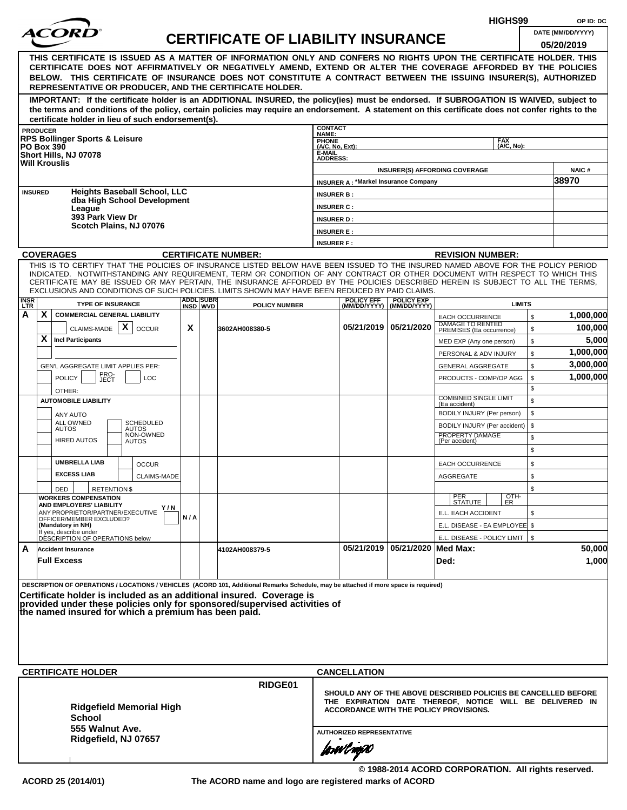|                    |                                                                                                                                                                                                                                                                                                                                                                                                                                                                                                    |     |                               |                                           |                                                                   |                                             |                                                | HIGHS99                                                                                                                                                                     |          | OP ID: DC            |  |  |
|--------------------|----------------------------------------------------------------------------------------------------------------------------------------------------------------------------------------------------------------------------------------------------------------------------------------------------------------------------------------------------------------------------------------------------------------------------------------------------------------------------------------------------|-----|-------------------------------|-------------------------------------------|-------------------------------------------------------------------|---------------------------------------------|------------------------------------------------|-----------------------------------------------------------------------------------------------------------------------------------------------------------------------------|----------|----------------------|--|--|
|                    |                                                                                                                                                                                                                                                                                                                                                                                                                                                                                                    |     |                               | <b>CERTIFICATE OF LIABILITY INSURANCE</b> |                                                                   |                                             |                                                |                                                                                                                                                                             |          | DATE (MM/DD/YYYY)    |  |  |
|                    |                                                                                                                                                                                                                                                                                                                                                                                                                                                                                                    |     |                               |                                           |                                                                   |                                             |                                                |                                                                                                                                                                             |          | 05/20/2019           |  |  |
|                    | THIS CERTIFICATE IS ISSUED AS A MATTER OF INFORMATION ONLY AND CONFERS NO RIGHTS UPON THE CERTIFICATE HOLDER. THIS<br>CERTIFICATE DOES NOT AFFIRMATIVELY OR NEGATIVELY AMEND, EXTEND OR ALTER THE COVERAGE AFFORDED BY THE POLICIES<br>BELOW. THIS CERTIFICATE OF INSURANCE DOES NOT CONSTITUTE A CONTRACT BETWEEN THE ISSUING INSURER(S), AUTHORIZED<br>REPRESENTATIVE OR PRODUCER, AND THE CERTIFICATE HOLDER.                                                                                   |     |                               |                                           |                                                                   |                                             |                                                |                                                                                                                                                                             |          |                      |  |  |
|                    | IMPORTANT: If the certificate holder is an ADDITIONAL INSURED, the policy(ies) must be endorsed. If SUBROGATION IS WAIVED, subject to<br>the terms and conditions of the policy, certain policies may require an endorsement. A statement on this certificate does not confer rights to the<br>certificate holder in lieu of such endorsement(s).                                                                                                                                                  |     |                               |                                           |                                                                   |                                             |                                                |                                                                                                                                                                             |          |                      |  |  |
|                    | <b>PRODUCER</b>                                                                                                                                                                                                                                                                                                                                                                                                                                                                                    |     |                               |                                           | <b>CONTACT</b>                                                    |                                             |                                                |                                                                                                                                                                             |          |                      |  |  |
|                    | <b>RPS Bollinger Sports &amp; Leisure</b><br><b>PO Box 390</b><br>Short Hills, NJ 07078<br><b>Will Krouslis</b>                                                                                                                                                                                                                                                                                                                                                                                    |     |                               |                                           | NAME:<br>PHONE<br>$(A/C, No, Ext)$ :<br>E-MAIL<br><b>ADDRESS:</b> |                                             |                                                | <b>FAX</b><br>(A/C, No):                                                                                                                                                    |          |                      |  |  |
|                    |                                                                                                                                                                                                                                                                                                                                                                                                                                                                                                    |     |                               |                                           |                                                                   |                                             |                                                | <b>INSURER(S) AFFORDING COVERAGE</b>                                                                                                                                        |          | <b>NAIC#</b>         |  |  |
| <b>INSURED</b>     | <b>Heights Baseball School, LLC</b>                                                                                                                                                                                                                                                                                                                                                                                                                                                                |     |                               |                                           |                                                                   | <b>INSURER A: *Markel Insurance Company</b> |                                                |                                                                                                                                                                             |          | 38970                |  |  |
|                    | dba High School Development                                                                                                                                                                                                                                                                                                                                                                                                                                                                        |     |                               |                                           | <b>INSURER B:</b>                                                 |                                             |                                                |                                                                                                                                                                             |          |                      |  |  |
|                    | League<br>393 Park View Dr                                                                                                                                                                                                                                                                                                                                                                                                                                                                         |     |                               |                                           | <b>INSURER C:</b><br><b>INSURER D:</b>                            |                                             |                                                |                                                                                                                                                                             |          |                      |  |  |
|                    | Scotch Plains, NJ 07076                                                                                                                                                                                                                                                                                                                                                                                                                                                                            |     |                               |                                           | <b>INSURER E:</b>                                                 |                                             |                                                |                                                                                                                                                                             |          |                      |  |  |
|                    |                                                                                                                                                                                                                                                                                                                                                                                                                                                                                                    |     |                               |                                           | <b>INSURER F:</b>                                                 |                                             |                                                |                                                                                                                                                                             |          |                      |  |  |
|                    | <b>COVERAGES</b>                                                                                                                                                                                                                                                                                                                                                                                                                                                                                   |     |                               | <b>CERTIFICATE NUMBER:</b>                |                                                                   |                                             |                                                | <b>REVISION NUMBER:</b>                                                                                                                                                     |          |                      |  |  |
|                    | THIS IS TO CERTIFY THAT THE POLICIES OF INSURANCE LISTED BELOW HAVE BEEN ISSUED TO THE INSURED NAMED ABOVE FOR THE POLICY PERIOD<br>INDICATED. NOTWITHSTANDING ANY REQUIREMENT, TERM OR CONDITION OF ANY CONTRACT OR OTHER DOCUMENT WITH RESPECT TO WHICH THIS<br>CERTIFICATE MAY BE ISSUED OR MAY PERTAIN, THE INSURANCE AFFORDED BY THE POLICIES DESCRIBED HEREIN IS SUBJECT TO ALL THE TERMS.<br>EXCLUSIONS AND CONDITIONS OF SUCH POLICIES. LIMITS SHOWN MAY HAVE BEEN REDUCED BY PAID CLAIMS. |     |                               |                                           |                                                                   |                                             |                                                |                                                                                                                                                                             |          |                      |  |  |
| <b>INSR</b><br>LTR | <b>TYPE OF INSURANCE</b>                                                                                                                                                                                                                                                                                                                                                                                                                                                                           |     | <b>ADDLISUBRI</b><br>INSD WVD | <b>POLICY NUMBER</b>                      |                                                                   | <b>POLICY EFF</b>                           | <b>POLICY EXP</b><br>(MM/DD/YYYY) (MM/DD/YYYY) | <b>LIMITS</b>                                                                                                                                                               |          |                      |  |  |
| А                  | X<br><b>COMMERCIAL GENERAL LIABILITY</b><br>X<br>CLAIMS-MADE<br><b>OCCUR</b>                                                                                                                                                                                                                                                                                                                                                                                                                       | X   |                               | 3602AH008380-5                            |                                                                   |                                             | 05/21/2019   05/21/2020                        | <b>EACH OCCURRENCE</b><br>DAMAGE TO RENTED<br>PREMISES (Ea occurrence)                                                                                                      | \$<br>\$ | 1,000,000<br>100,000 |  |  |
|                    | X<br><b>Incl Participants</b>                                                                                                                                                                                                                                                                                                                                                                                                                                                                      |     |                               |                                           |                                                                   |                                             |                                                | MED EXP (Any one person)                                                                                                                                                    | \$       | 5,000                |  |  |
|                    |                                                                                                                                                                                                                                                                                                                                                                                                                                                                                                    |     |                               |                                           |                                                                   |                                             |                                                | PERSONAL & ADV INJURY                                                                                                                                                       | \$       | 1,000,000            |  |  |
|                    | GEN'L AGGREGATE LIMIT APPLIES PER:                                                                                                                                                                                                                                                                                                                                                                                                                                                                 |     |                               |                                           |                                                                   |                                             |                                                | <b>GENERAL AGGREGATE</b>                                                                                                                                                    | \$       | 3,000,000            |  |  |
|                    | PRO-<br>JECT<br><b>POLICY</b><br><b>LOC</b>                                                                                                                                                                                                                                                                                                                                                                                                                                                        |     |                               |                                           |                                                                   |                                             |                                                | PRODUCTS - COMP/OP AGG                                                                                                                                                      | \$       | 1,000,000            |  |  |
|                    | OTHER:                                                                                                                                                                                                                                                                                                                                                                                                                                                                                             |     |                               |                                           |                                                                   |                                             |                                                | <b>COMBINED SINGLE LIMIT</b>                                                                                                                                                | \$       |                      |  |  |
|                    | <b>AUTOMOBILE LIABILITY</b>                                                                                                                                                                                                                                                                                                                                                                                                                                                                        |     |                               |                                           |                                                                   |                                             |                                                | (Ea accident)                                                                                                                                                               | \$       |                      |  |  |
|                    | <b>ANY AUTO</b><br>ALL OWNED<br><b>SCHEDULED</b>                                                                                                                                                                                                                                                                                                                                                                                                                                                   |     |                               |                                           |                                                                   |                                             |                                                | BODILY INJURY (Per person)                                                                                                                                                  | \$       |                      |  |  |
|                    | <b>AUTOS</b><br><b>AUTOS</b><br>NON-OWNED                                                                                                                                                                                                                                                                                                                                                                                                                                                          |     |                               |                                           |                                                                   |                                             |                                                | BODILY INJURY (Per accident)<br>PROPERTY DAMAGE                                                                                                                             | \$       |                      |  |  |
|                    | <b>HIRED AUTOS</b><br><b>AUTOS</b>                                                                                                                                                                                                                                                                                                                                                                                                                                                                 |     |                               |                                           |                                                                   |                                             |                                                | (Per accident)                                                                                                                                                              | \$<br>\$ |                      |  |  |
|                    | <b>UMBRELLA LIAB</b><br><b>OCCUR</b>                                                                                                                                                                                                                                                                                                                                                                                                                                                               |     |                               |                                           |                                                                   |                                             |                                                | <b>EACH OCCURRENCE</b>                                                                                                                                                      | \$       |                      |  |  |
|                    | <b>EXCESS LIAB</b><br>CLAIMS-MADE                                                                                                                                                                                                                                                                                                                                                                                                                                                                  |     |                               |                                           |                                                                   |                                             |                                                | AGGREGATE                                                                                                                                                                   | \$       |                      |  |  |
|                    | <b>RETENTION \$</b><br>DED<br><b>WORKERS COMPENSATION</b>                                                                                                                                                                                                                                                                                                                                                                                                                                          |     |                               |                                           |                                                                   |                                             |                                                |                                                                                                                                                                             | \$       |                      |  |  |
|                    | AND EMPLOYERS' LIABILITY<br>Y / N                                                                                                                                                                                                                                                                                                                                                                                                                                                                  |     |                               |                                           |                                                                   |                                             |                                                | OTH-<br>ER<br>PER<br>STATUTE                                                                                                                                                |          |                      |  |  |
|                    | ANY PROPRIETOR/PARTNER/EXECUTIVE<br>OFFICER/MEMBER EXCLUDED?                                                                                                                                                                                                                                                                                                                                                                                                                                       | N/A |                               |                                           |                                                                   |                                             |                                                | E.L. EACH ACCIDENT                                                                                                                                                          | \$       |                      |  |  |
|                    | (Mandatory in NH)<br>If yes, describe under                                                                                                                                                                                                                                                                                                                                                                                                                                                        |     |                               |                                           |                                                                   |                                             |                                                | E.L. DISEASE - EA EMPLOYEE \$                                                                                                                                               |          |                      |  |  |
|                    | DÉSCRIPTION OF OPERATIONS below                                                                                                                                                                                                                                                                                                                                                                                                                                                                    |     |                               |                                           |                                                                   |                                             |                                                | E.L. DISEASE - POLICY LIMIT   \$                                                                                                                                            |          |                      |  |  |
| A                  | <b>Accident Insurance</b><br><b>Full Excess</b>                                                                                                                                                                                                                                                                                                                                                                                                                                                    |     |                               | 4102AH008379-5                            |                                                                   |                                             | 05/21/2019   05/21/2020   Med Max:             | Ded:                                                                                                                                                                        |          | 50,000<br>1,000      |  |  |
|                    | DESCRIPTION OF OPERATIONS / LOCATIONS / VEHICLES (ACORD 101, Additional Remarks Schedule, may be attached if more space is required)<br>Certificate holder is included as an additional insured. Coverage is<br>provided under these policies only for sponsored/supervised activities of<br>the named insured for which a premium has been paid.                                                                                                                                                  |     |                               |                                           |                                                                   |                                             |                                                |                                                                                                                                                                             |          |                      |  |  |
|                    |                                                                                                                                                                                                                                                                                                                                                                                                                                                                                                    |     |                               |                                           |                                                                   |                                             |                                                |                                                                                                                                                                             |          |                      |  |  |
|                    | <b>CERTIFICATE HOLDER</b>                                                                                                                                                                                                                                                                                                                                                                                                                                                                          |     |                               |                                           |                                                                   | <b>CANCELLATION</b>                         |                                                |                                                                                                                                                                             |          |                      |  |  |
|                    | <b>Ridgefield Memorial High</b><br><b>School</b>                                                                                                                                                                                                                                                                                                                                                                                                                                                   |     |                               | RIDGE01                                   |                                                                   |                                             |                                                | SHOULD ANY OF THE ABOVE DESCRIBED POLICIES BE CANCELLED BEFORE<br>THE EXPIRATION DATE THEREOF, NOTICE WILL BE DELIVERED IN<br><b>ACCORDANCE WITH THE POLICY PROVISIONS.</b> |          |                      |  |  |
|                    | 555 Walnut Ave.<br>Ridgefield, NJ 07657                                                                                                                                                                                                                                                                                                                                                                                                                                                            |     |                               |                                           |                                                                   | <b>AUTHORIZED REPRESENTATIVE</b>            |                                                |                                                                                                                                                                             |          |                      |  |  |
|                    |                                                                                                                                                                                                                                                                                                                                                                                                                                                                                                    |     |                               |                                           |                                                                   | forwlnow                                    |                                                |                                                                                                                                                                             |          |                      |  |  |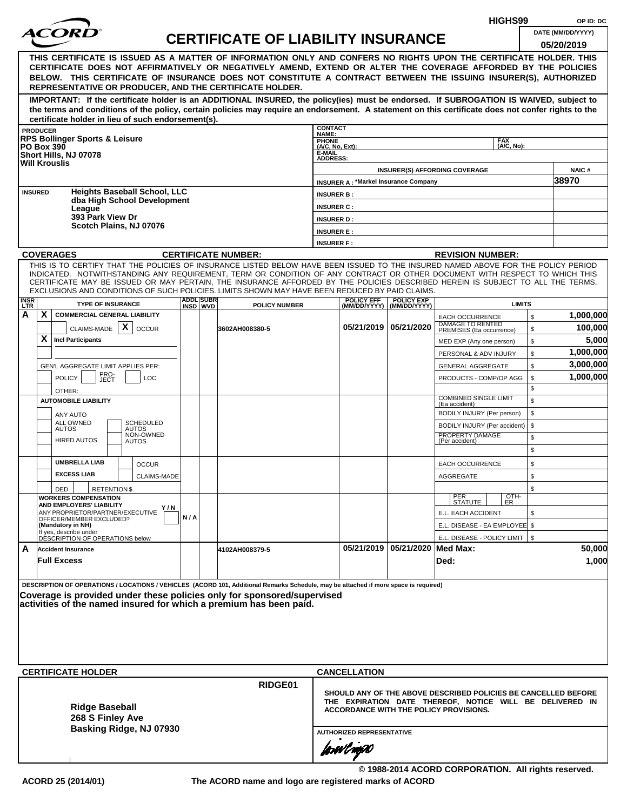|                 |                 |                                                                                                                                                                                                                                     |     |                  |                                           |                                    |                                             |                                | HIGHS99                                                                                                                    | OP ID: DC         |
|-----------------|-----------------|-------------------------------------------------------------------------------------------------------------------------------------------------------------------------------------------------------------------------------------|-----|------------------|-------------------------------------------|------------------------------------|---------------------------------------------|--------------------------------|----------------------------------------------------------------------------------------------------------------------------|-------------------|
|                 |                 | ACOR                                                                                                                                                                                                                                |     |                  | <b>CERTIFICATE OF LIABILITY INSURANCE</b> |                                    |                                             |                                |                                                                                                                            | DATE (MM/DD/YYYY) |
|                 |                 |                                                                                                                                                                                                                                     |     |                  |                                           |                                    |                                             |                                |                                                                                                                            | 05/20/2019        |
|                 |                 | THIS CERTIFICATE IS ISSUED AS A MATTER OF INFORMATION ONLY AND CONFERS NO RIGHTS UPON THE CERTIFICATE HOLDER. THIS<br>CERTIFICATE DOES NOT AFFIRMATIVELY OR NEGATIVELY AMEND, EXTEND OR ALTER THE COVERAGE AFFORDED BY THE POLICIES |     |                  |                                           |                                    |                                             |                                |                                                                                                                            |                   |
|                 |                 | BELOW. THIS CERTIFICATE OF INSURANCE DOES NOT CONSTITUTE A CONTRACT BETWEEN THE ISSUING INSURER(S), AUTHORIZED                                                                                                                      |     |                  |                                           |                                    |                                             |                                |                                                                                                                            |                   |
|                 |                 | REPRESENTATIVE OR PRODUCER, AND THE CERTIFICATE HOLDER.                                                                                                                                                                             |     |                  |                                           |                                    |                                             |                                |                                                                                                                            |                   |
|                 |                 | IMPORTANT: If the certificate holder is an ADDITIONAL INSURED, the policy(ies) must be endorsed. If SUBROGATION IS WAIVED, subject to                                                                                               |     |                  |                                           |                                    |                                             |                                |                                                                                                                            |                   |
|                 |                 | the terms and conditions of the policy, certain policies may require an endorsement. A statement on this certificate does not confer rights to the                                                                                  |     |                  |                                           |                                    |                                             |                                |                                                                                                                            |                   |
|                 |                 | certificate holder in lieu of such endorsement(s).                                                                                                                                                                                  |     |                  |                                           | <b>CONTACT</b>                     |                                             |                                |                                                                                                                            |                   |
|                 | <b>PRODUCER</b> | <b>RPS Bollinger Sports &amp; Leisure</b>                                                                                                                                                                                           |     |                  |                                           | <b>NAME:</b>                       |                                             |                                | <b>FAX</b>                                                                                                                 |                   |
|                 |                 | <b>PO Box 390</b>                                                                                                                                                                                                                   |     |                  |                                           | PHONE<br>(A/C, No, Ext):<br>E-MAIL |                                             |                                | (A/C, No):                                                                                                                 |                   |
|                 |                 | Short Hills, NJ 07078<br><b>Will Krouslis</b>                                                                                                                                                                                       |     |                  |                                           | <b>ADDRESS:</b>                    |                                             |                                |                                                                                                                            |                   |
|                 |                 |                                                                                                                                                                                                                                     |     |                  |                                           |                                    |                                             |                                | <b>INSURER(S) AFFORDING COVERAGE</b>                                                                                       | <b>NAIC#</b>      |
|                 | <b>INSURED</b>  | <b>Heights Baseball School, LLC</b>                                                                                                                                                                                                 |     |                  |                                           |                                    | <b>INSURER A: *Markel Insurance Company</b> |                                |                                                                                                                            | 38970             |
|                 |                 | dba High School Development                                                                                                                                                                                                         |     |                  |                                           | <b>INSURER B:</b>                  |                                             |                                |                                                                                                                            |                   |
|                 |                 | League<br>393 Park View Dr                                                                                                                                                                                                          |     |                  |                                           | <b>INSURER C:</b>                  |                                             |                                |                                                                                                                            |                   |
|                 |                 | Scotch Plains, NJ 07076                                                                                                                                                                                                             |     |                  |                                           | <b>INSURER D:</b>                  |                                             |                                |                                                                                                                            |                   |
|                 |                 |                                                                                                                                                                                                                                     |     |                  |                                           | <b>INSURER E:</b>                  |                                             |                                |                                                                                                                            |                   |
|                 |                 | <b>COVERAGES</b>                                                                                                                                                                                                                    |     |                  | <b>CERTIFICATE NUMBER:</b>                | <b>INSURER F:</b>                  |                                             |                                | <b>REVISION NUMBER:</b>                                                                                                    |                   |
|                 |                 | THIS IS TO CERTIFY THAT THE POLICIES OF INSURANCE LISTED BELOW HAVE BEEN ISSUED TO THE INSURED NAMED ABOVE FOR THE POLICY PERIOD                                                                                                    |     |                  |                                           |                                    |                                             |                                |                                                                                                                            |                   |
|                 |                 | INDICATED. NOTWITHSTANDING ANY REQUIREMENT, TERM OR CONDITION OF ANY CONTRACT OR OTHER DOCUMENT WITH RESPECT TO WHICH THIS                                                                                                          |     |                  |                                           |                                    |                                             |                                |                                                                                                                            |                   |
|                 |                 | CERTIFICATE MAY BE ISSUED OR MAY PERTAIN, THE INSURANCE AFFORDED BY THE POLICIES DESCRIBED HEREIN IS SUBJECT TO ALL THE TERMS,<br>EXCLUSIONS AND CONDITIONS OF SUCH POLICIES. LIMITS SHOWN MAY HAVE BEEN REDUCED BY PAID CLAIMS.    |     |                  |                                           |                                    |                                             |                                |                                                                                                                            |                   |
| <b>INSR</b>     |                 | <b>TYPE OF INSURANCE</b>                                                                                                                                                                                                            |     | <b>ADDL SUBR</b> |                                           |                                    | <b>POLICY EFF</b>                           | <b>POLICY EXP</b>              | <b>LIMITS</b>                                                                                                              |                   |
| <b>LTR</b><br>A | X               | <b>COMMERCIAL GENERAL LIABILITY</b>                                                                                                                                                                                                 |     | INSD WVD         | <b>POLICY NUMBER</b>                      |                                    |                                             | (MM/DD/YYYY) (MM/DD/YYYY)      | \$<br><b>EACH OCCURRENCE</b>                                                                                               | 1,000,000         |
|                 |                 | $\mathsf{X}$ $\vert$ occur<br>CLAIMS-MADE                                                                                                                                                                                           |     |                  | 3602AH008380-5                            |                                    |                                             | 05/21/2019 05/21/2020          | DAMAGE TO RENTED<br>\$<br>PREMISES (Ea occurrence)                                                                         | 100,000           |
|                 | X               | <b>Incl Participants</b>                                                                                                                                                                                                            |     |                  |                                           |                                    |                                             |                                | \$<br>MED EXP (Any one person)                                                                                             | 5,000             |
|                 |                 |                                                                                                                                                                                                                                     |     |                  |                                           |                                    |                                             |                                | \$<br>PERSONAL & ADV INJURY                                                                                                | 1,000,000         |
|                 |                 | GEN'L AGGREGATE LIMIT APPLIES PER:                                                                                                                                                                                                  |     |                  |                                           |                                    |                                             |                                | \$<br><b>GENERAL AGGREGATE</b>                                                                                             | 3,000,000         |
|                 |                 | PRO-<br>JECT<br><b>POLICY</b><br>LOC                                                                                                                                                                                                |     |                  |                                           |                                    |                                             |                                | \$<br>PRODUCTS - COMP/OP AGG                                                                                               | 1,000,000         |
|                 |                 | OTHER:                                                                                                                                                                                                                              |     |                  |                                           |                                    |                                             |                                | \$                                                                                                                         |                   |
|                 |                 | <b>AUTOMOBILE LIABILITY</b>                                                                                                                                                                                                         |     |                  |                                           |                                    |                                             |                                | <b>COMBINED SINGLE LIMIT</b><br>\$<br>(Ea accident)                                                                        |                   |
|                 |                 | ANY AUTO                                                                                                                                                                                                                            |     |                  |                                           |                                    |                                             |                                | \$<br>BODILY INJURY (Per person)                                                                                           |                   |
|                 |                 | ALL OWNED<br><b>SCHEDULED</b><br><b>AUTOS</b><br><b>AUTOS</b>                                                                                                                                                                       |     |                  |                                           |                                    |                                             |                                | \$<br>BODILY INJURY (Per accident)                                                                                         |                   |
|                 |                 | NON-OWNED<br><b>HIRED AUTOS</b><br><b>AUTOS</b>                                                                                                                                                                                     |     |                  |                                           |                                    |                                             |                                | PROPERTY DAMAGE<br>\$<br>(Per accident)                                                                                    |                   |
|                 |                 |                                                                                                                                                                                                                                     |     |                  |                                           |                                    |                                             |                                | \$                                                                                                                         |                   |
|                 |                 | <b>UMBRELLA LIAB</b><br><b>OCCUR</b>                                                                                                                                                                                                |     |                  |                                           |                                    |                                             |                                | \$<br><b>EACH OCCURRENCE</b>                                                                                               |                   |
|                 |                 | <b>EXCESS LIAB</b><br>CLAIMS-MADE                                                                                                                                                                                                   |     |                  |                                           |                                    |                                             |                                | AGGREGATE<br>\$                                                                                                            |                   |
|                 |                 | <b>DED</b><br><b>RETENTION \$</b>                                                                                                                                                                                                   |     |                  |                                           |                                    |                                             |                                | \$                                                                                                                         |                   |
|                 |                 | <b>WORKERS COMPENSATION</b>                                                                                                                                                                                                         |     |                  |                                           |                                    |                                             |                                | OTH-<br>PER<br><b>STATUTE</b><br>ER                                                                                        |                   |
|                 |                 | AND EMPLOYERS' LIABILITY<br>Y / N<br>ANY PROPRIETOR/PARTNER/EXECUTIVE                                                                                                                                                               | N/A |                  |                                           |                                    |                                             |                                | E.L. EACH ACCIDENT<br>\$                                                                                                   |                   |
|                 |                 | OFFICER/MEMBER EXCLUDED?<br>(Mandatory in NH)                                                                                                                                                                                       |     |                  |                                           |                                    |                                             |                                | E.L. DISEASE - EA EMPLOYEE \$                                                                                              |                   |
|                 |                 | If yes, describe under<br>DESCRIPTION OF OPERATIONS below                                                                                                                                                                           |     |                  |                                           |                                    |                                             |                                | E.L. DISEASE - POLICY LIMIT   \$                                                                                           |                   |
| A               |                 | <b>Accident Insurance</b>                                                                                                                                                                                                           |     |                  | 4102AH008379-5                            |                                    |                                             | 05/21/2019 05/21/2020 Med Max: |                                                                                                                            | 50,000            |
|                 |                 | <b>Full Excess</b>                                                                                                                                                                                                                  |     |                  |                                           |                                    |                                             |                                | Ded:                                                                                                                       | 1,000             |
|                 |                 |                                                                                                                                                                                                                                     |     |                  |                                           |                                    |                                             |                                |                                                                                                                            |                   |
|                 |                 | DESCRIPTION OF OPERATIONS / LOCATIONS / VEHICLES (ACORD 101, Additional Remarks Schedule, may be attached if more space is required)                                                                                                |     |                  |                                           |                                    |                                             |                                |                                                                                                                            |                   |
|                 |                 | Coverage is provided under these policies only for sponsored/supervised<br>activities of the named insured for which a premium has been paid.                                                                                       |     |                  |                                           |                                    |                                             |                                |                                                                                                                            |                   |
|                 |                 |                                                                                                                                                                                                                                     |     |                  |                                           |                                    |                                             |                                |                                                                                                                            |                   |
|                 |                 |                                                                                                                                                                                                                                     |     |                  |                                           |                                    |                                             |                                |                                                                                                                            |                   |
|                 |                 |                                                                                                                                                                                                                                     |     |                  |                                           |                                    |                                             |                                |                                                                                                                            |                   |
|                 |                 |                                                                                                                                                                                                                                     |     |                  |                                           |                                    |                                             |                                |                                                                                                                            |                   |
|                 |                 |                                                                                                                                                                                                                                     |     |                  |                                           |                                    |                                             |                                |                                                                                                                            |                   |
|                 |                 | <b>CERTIFICATE HOLDER</b>                                                                                                                                                                                                           |     |                  |                                           |                                    | <b>CANCELLATION</b>                         |                                |                                                                                                                            |                   |
|                 |                 |                                                                                                                                                                                                                                     |     |                  | RIDGE01                                   |                                    |                                             |                                |                                                                                                                            |                   |
|                 |                 |                                                                                                                                                                                                                                     |     |                  |                                           |                                    |                                             |                                | SHOULD ANY OF THE ABOVE DESCRIBED POLICIES BE CANCELLED BEFORE<br>THE EXPIRATION DATE THEREOF, NOTICE WILL BE DELIVERED IN |                   |
|                 |                 | <b>Ridge Baseball</b>                                                                                                                                                                                                               |     |                  |                                           |                                    |                                             |                                | ACCORDANCE WITH THE POLICY PROVISIONS.                                                                                     |                   |
|                 |                 | 268 S Finley Ave<br>Basking Ridge, NJ 07930                                                                                                                                                                                         |     |                  |                                           |                                    |                                             |                                |                                                                                                                            |                   |
|                 |                 |                                                                                                                                                                                                                                     |     |                  |                                           |                                    | <b>AUTHORIZED REPRESENTATIVE</b>            |                                |                                                                                                                            |                   |
|                 |                 |                                                                                                                                                                                                                                     |     |                  |                                           |                                    | forwl ngw                                   |                                |                                                                                                                            |                   |
|                 |                 |                                                                                                                                                                                                                                     |     |                  |                                           |                                    |                                             |                                |                                                                                                                            |                   |
|                 |                 |                                                                                                                                                                                                                                     |     |                  |                                           |                                    |                                             |                                | © 1988-2014 ACORD CORPORATION. All rights reserved.                                                                        |                   |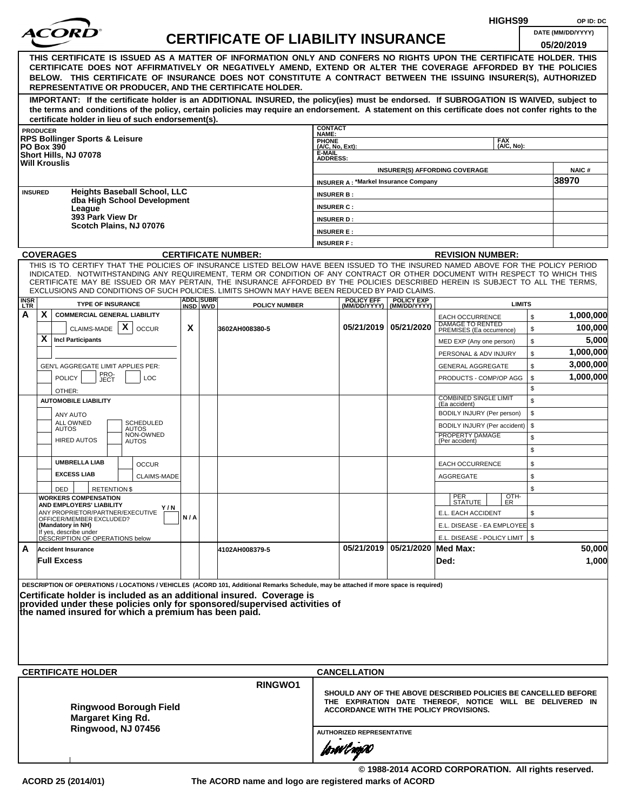|                                                                                                                                                                                                                                                                                                                                                                                                                                                                                                    |     |                  |                                           |                                        |                                             |                                |                                                                                                                                                                      | HIGHS99                  |          | OP ID: DC         |
|----------------------------------------------------------------------------------------------------------------------------------------------------------------------------------------------------------------------------------------------------------------------------------------------------------------------------------------------------------------------------------------------------------------------------------------------------------------------------------------------------|-----|------------------|-------------------------------------------|----------------------------------------|---------------------------------------------|--------------------------------|----------------------------------------------------------------------------------------------------------------------------------------------------------------------|--------------------------|----------|-------------------|
| <i>ACOR</i>                                                                                                                                                                                                                                                                                                                                                                                                                                                                                        |     |                  | <b>CERTIFICATE OF LIABILITY INSURANCE</b> |                                        |                                             |                                |                                                                                                                                                                      |                          |          | DATE (MM/DD/YYYY) |
| THIS CERTIFICATE IS ISSUED AS A MATTER OF INFORMATION ONLY AND CONFERS NO RIGHTS UPON THE CERTIFICATE HOLDER. THIS<br>CERTIFICATE DOES NOT AFFIRMATIVELY OR NEGATIVELY AMEND, EXTEND OR ALTER THE COVERAGE AFFORDED BY THE POLICIES<br>BELOW. THIS CERTIFICATE OF INSURANCE DOES NOT CONSTITUTE A CONTRACT BETWEEN THE ISSUING INSURER(S), AUTHORIZED<br>REPRESENTATIVE OR PRODUCER, AND THE CERTIFICATE HOLDER.                                                                                   |     |                  |                                           |                                        |                                             |                                |                                                                                                                                                                      |                          |          | 05/20/2019        |
| IMPORTANT: If the certificate holder is an ADDITIONAL INSURED, the policy(ies) must be endorsed. If SUBROGATION IS WAIVED, subject to<br>the terms and conditions of the policy, certain policies may require an endorsement. A statement on this certificate does not confer rights to the<br>certificate holder in lieu of such endorsement(s).                                                                                                                                                  |     |                  |                                           |                                        |                                             |                                |                                                                                                                                                                      |                          |          |                   |
| <b>PRODUCER</b>                                                                                                                                                                                                                                                                                                                                                                                                                                                                                    |     |                  |                                           | <b>CONTACT</b><br>NAME:                |                                             |                                |                                                                                                                                                                      |                          |          |                   |
| <b>RPS Bollinger Sports &amp; Leisure</b><br><b>PO Box 390</b>                                                                                                                                                                                                                                                                                                                                                                                                                                     |     |                  |                                           | PHONE<br>(A/C, No, Ext):               |                                             |                                |                                                                                                                                                                      | <b>FAX</b><br>(A/C, No): |          |                   |
| Short Hills, NJ 07078<br><b>Will Krouslis</b>                                                                                                                                                                                                                                                                                                                                                                                                                                                      |     |                  |                                           | E-MAIL<br><b>ADDRESS:</b>              |                                             |                                |                                                                                                                                                                      |                          |          |                   |
|                                                                                                                                                                                                                                                                                                                                                                                                                                                                                                    |     |                  |                                           |                                        |                                             |                                | <b>INSURER(S) AFFORDING COVERAGE</b>                                                                                                                                 |                          |          | <b>NAIC#</b>      |
| <b>Heights Baseball School, LLC</b><br><b>INSURED</b>                                                                                                                                                                                                                                                                                                                                                                                                                                              |     |                  |                                           |                                        | <b>INSURER A: *Markel Insurance Company</b> |                                |                                                                                                                                                                      |                          |          | 38970             |
| dba High School Development                                                                                                                                                                                                                                                                                                                                                                                                                                                                        |     |                  |                                           | <b>INSURER B:</b><br><b>INSURER C:</b> |                                             |                                |                                                                                                                                                                      |                          |          |                   |
| League<br>393 Park View Dr                                                                                                                                                                                                                                                                                                                                                                                                                                                                         |     |                  |                                           | <b>INSURER D:</b>                      |                                             |                                |                                                                                                                                                                      |                          |          |                   |
| Scotch Plains, NJ 07076                                                                                                                                                                                                                                                                                                                                                                                                                                                                            |     |                  |                                           | <b>INSURER E:</b>                      |                                             |                                |                                                                                                                                                                      |                          |          |                   |
|                                                                                                                                                                                                                                                                                                                                                                                                                                                                                                    |     |                  |                                           | <b>INSURER F:</b>                      |                                             |                                |                                                                                                                                                                      |                          |          |                   |
| <b>COVERAGES</b>                                                                                                                                                                                                                                                                                                                                                                                                                                                                                   |     |                  | <b>CERTIFICATE NUMBER:</b>                |                                        |                                             |                                | <b>REVISION NUMBER:</b>                                                                                                                                              |                          |          |                   |
| THIS IS TO CERTIFY THAT THE POLICIES OF INSURANCE LISTED BELOW HAVE BEEN ISSUED TO THE INSURED NAMED ABOVE FOR THE POLICY PERIOD<br>INDICATED. NOTWITHSTANDING ANY REQUIREMENT, TERM OR CONDITION OF ANY CONTRACT OR OTHER DOCUMENT WITH RESPECT TO WHICH THIS<br>CERTIFICATE MAY BE ISSUED OR MAY PERTAIN, THE INSURANCE AFFORDED BY THE POLICIES DESCRIBED HEREIN IS SUBJECT TO ALL THE TERMS,<br>EXCLUSIONS AND CONDITIONS OF SUCH POLICIES. LIMITS SHOWN MAY HAVE BEEN REDUCED BY PAID CLAIMS. |     | <b>ADDL SUBR</b> |                                           |                                        | <b>POLICY EFF</b>                           | <b>POLICY EXP</b>              |                                                                                                                                                                      |                          |          |                   |
| <b>INSR</b><br>LTR<br><b>TYPE OF INSURANCE</b>                                                                                                                                                                                                                                                                                                                                                                                                                                                     |     | INSD WVD         | <b>POLICY NUMBER</b>                      |                                        |                                             | (MM/DD/YYYY) (MM/DD/YYYY)      |                                                                                                                                                                      | <b>LIMITS</b>            |          |                   |
| X<br>А<br><b>COMMERCIAL GENERAL LIABILITY</b>                                                                                                                                                                                                                                                                                                                                                                                                                                                      |     |                  |                                           |                                        |                                             | 05/21/2019 05/21/2020          | <b>EACH OCCURRENCE</b><br><b>DAMAGE TO RENTED</b>                                                                                                                    |                          | \$       | 1,000,000         |
| CLAIMS-MADE $\mid X \mid$<br><b>OCCUR</b><br>X<br><b>Incl Participants</b>                                                                                                                                                                                                                                                                                                                                                                                                                         | X   |                  | 3602AH008380-5                            |                                        |                                             |                                | PREMISES (Ea occurrence)                                                                                                                                             |                          | \$       | 100,000<br>5,000  |
|                                                                                                                                                                                                                                                                                                                                                                                                                                                                                                    |     |                  |                                           |                                        |                                             |                                | MED EXP (Any one person)<br>PERSONAL & ADV INJURY                                                                                                                    |                          | \$<br>\$ | 1,000,000         |
| GEN'L AGGREGATE LIMIT APPLIES PER:                                                                                                                                                                                                                                                                                                                                                                                                                                                                 |     |                  |                                           |                                        |                                             |                                | <b>GENERAL AGGREGATE</b>                                                                                                                                             |                          | \$       | 3,000,000         |
| PRO-<br>JECT<br><b>POLICY</b><br><b>LOC</b><br>OTHER:                                                                                                                                                                                                                                                                                                                                                                                                                                              |     |                  |                                           |                                        |                                             |                                | PRODUCTS - COMP/OP AGG                                                                                                                                               |                          | \$<br>\$ | 1,000,000         |
| <b>AUTOMOBILE LIABILITY</b>                                                                                                                                                                                                                                                                                                                                                                                                                                                                        |     |                  |                                           |                                        |                                             |                                | <b>COMBINED SINGLE LIMIT</b><br>(Ea accident)                                                                                                                        |                          | \$       |                   |
| ANY AUTO                                                                                                                                                                                                                                                                                                                                                                                                                                                                                           |     |                  |                                           |                                        |                                             |                                | BODILY INJURY (Per person)                                                                                                                                           |                          | \$       |                   |
| <b>SCHEDULED</b><br>ALL OWNED<br><b>AUTOS</b><br>AUTOS                                                                                                                                                                                                                                                                                                                                                                                                                                             |     |                  |                                           |                                        |                                             |                                | BODILY INJURY (Per accident)                                                                                                                                         |                          | \$       |                   |
| NON-OWNED<br><b>HIRED AUTOS</b><br>AUTOS                                                                                                                                                                                                                                                                                                                                                                                                                                                           |     |                  |                                           |                                        |                                             |                                | PROPERTY DAMAGE<br>(Per accident)                                                                                                                                    |                          | \$<br>\$ |                   |
| <b>UMBRELLA LIAB</b><br><b>OCCUR</b>                                                                                                                                                                                                                                                                                                                                                                                                                                                               |     |                  |                                           |                                        |                                             |                                | <b>EACH OCCURRENCE</b>                                                                                                                                               |                          | \$       |                   |
| <b>EXCESS LIAB</b><br><b>CLAIMS-MADE</b>                                                                                                                                                                                                                                                                                                                                                                                                                                                           |     |                  |                                           |                                        |                                             |                                | AGGREGATE                                                                                                                                                            |                          | \$       |                   |
| DED<br><b>RETENTION \$</b><br><b>WORKERS COMPENSATION</b>                                                                                                                                                                                                                                                                                                                                                                                                                                          |     |                  |                                           |                                        |                                             |                                | PER<br>STATUTE                                                                                                                                                       | OTH-<br>ER               | \$       |                   |
| AND EMPLOYERS' LIABILITY<br>Y/N<br>ANY PROPRIETOR/PARTNER/EXECUTIVE                                                                                                                                                                                                                                                                                                                                                                                                                                |     |                  |                                           |                                        |                                             |                                | E.L. EACH ACCIDENT                                                                                                                                                   |                          | \$       |                   |
| OFFICER/MEMBER EXCLUDED?<br>(Mandatory in NH)                                                                                                                                                                                                                                                                                                                                                                                                                                                      | N/A |                  |                                           |                                        |                                             |                                | E.L. DISEASE - EA EMPLOYEE \$                                                                                                                                        |                          |          |                   |
| If yes, describe under<br>DÉSCRIPTION OF OPERATIONS below                                                                                                                                                                                                                                                                                                                                                                                                                                          |     |                  |                                           |                                        |                                             |                                | E.L. DISEASE - POLICY LIMIT   \$                                                                                                                                     |                          |          |                   |
| A<br><b>Accident Insurance</b><br><b>Full Excess</b>                                                                                                                                                                                                                                                                                                                                                                                                                                               |     |                  | 4102AH008379-5                            |                                        |                                             | 05/21/2019 05/21/2020 Med Max: | Ded:                                                                                                                                                                 |                          |          | 50,000<br>1,000   |
| DESCRIPTION OF OPERATIONS / LOCATIONS / VEHICLES (ACORD 101, Additional Remarks Schedule, may be attached if more space is required)<br>Certificate holder is included as an additional insured. Coverage is<br>provided under these policies only for sponsored/supervised activities of<br>the named insured for which a premium has been paid.                                                                                                                                                  |     |                  |                                           |                                        |                                             |                                |                                                                                                                                                                      |                          |          |                   |
| <b>CERTIFICATE HOLDER</b>                                                                                                                                                                                                                                                                                                                                                                                                                                                                          |     |                  |                                           |                                        | <b>CANCELLATION</b>                         |                                |                                                                                                                                                                      |                          |          |                   |
| <b>Ringwood Borough Field</b><br>Margaret King Rd.<br>Ringwood, NJ 07456                                                                                                                                                                                                                                                                                                                                                                                                                           |     |                  | <b>RINGWO1</b>                            |                                        | <b>AUTHORIZED REPRESENTATIVE</b>            |                                | SHOULD ANY OF THE ABOVE DESCRIBED POLICIES BE CANCELLED BEFORE<br>THE EXPIRATION DATE THEREOF, NOTICE WILL BE DELIVERED IN<br>ACCORDANCE WITH THE POLICY PROVISIONS. |                          |          |                   |
|                                                                                                                                                                                                                                                                                                                                                                                                                                                                                                    |     |                  |                                           |                                        | forwl now                                   |                                |                                                                                                                                                                      |                          |          |                   |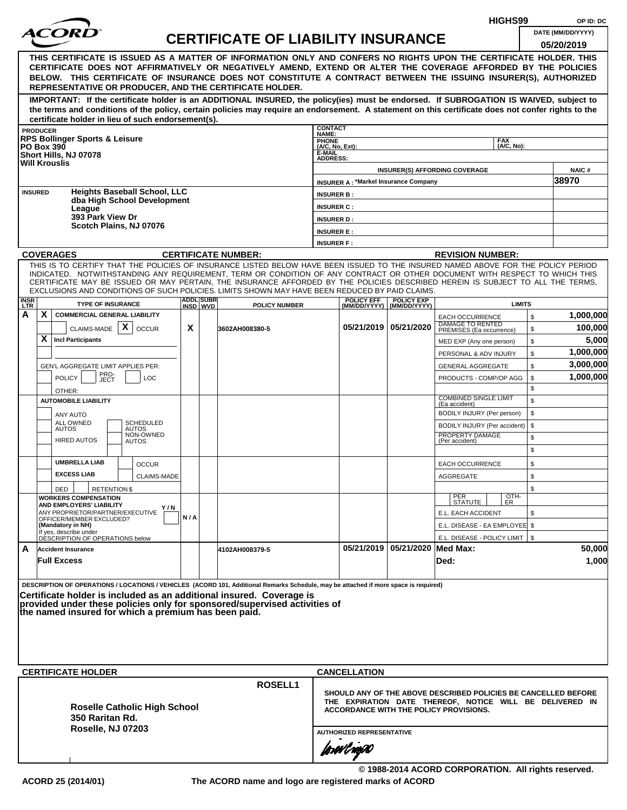|                    |                                                           |                                                  |                                                      |     |                   |                                                                                                                                                                                                                                                                |                           |                                             |                                |                                                                                                                            | HIGHS99            |              | OP ID: DC              |
|--------------------|-----------------------------------------------------------|--------------------------------------------------|------------------------------------------------------|-----|-------------------|----------------------------------------------------------------------------------------------------------------------------------------------------------------------------------------------------------------------------------------------------------------|---------------------------|---------------------------------------------|--------------------------------|----------------------------------------------------------------------------------------------------------------------------|--------------------|--------------|------------------------|
|                    |                                                           |                                                  |                                                      |     |                   | <b>CERTIFICATE OF LIABILITY INSURANCE</b>                                                                                                                                                                                                                      |                           |                                             |                                |                                                                                                                            |                    |              | DATE (MM/DD/YYYY)      |
|                    |                                                           |                                                  |                                                      |     |                   |                                                                                                                                                                                                                                                                |                           |                                             |                                |                                                                                                                            |                    |              | 05/20/2019             |
|                    |                                                           |                                                  |                                                      |     |                   | THIS CERTIFICATE IS ISSUED AS A MATTER OF INFORMATION ONLY AND CONFERS NO RIGHTS UPON THE CERTIFICATE HOLDER. THIS<br>CERTIFICATE DOES NOT AFFIRMATIVELY OR NEGATIVELY AMEND, EXTEND OR ALTER THE COVERAGE AFFORDED BY THE POLICIES                            |                           |                                             |                                |                                                                                                                            |                    |              |                        |
|                    |                                                           |                                                  |                                                      |     |                   | BELOW. THIS CERTIFICATE OF INSURANCE DOES NOT CONSTITUTE A CONTRACT BETWEEN THE ISSUING INSURER(S), AUTHORIZED                                                                                                                                                 |                           |                                             |                                |                                                                                                                            |                    |              |                        |
|                    |                                                           |                                                  |                                                      |     |                   | REPRESENTATIVE OR PRODUCER, AND THE CERTIFICATE HOLDER.                                                                                                                                                                                                        |                           |                                             |                                |                                                                                                                            |                    |              |                        |
|                    |                                                           |                                                  |                                                      |     |                   | IMPORTANT: If the certificate holder is an ADDITIONAL INSURED, the policy(ies) must be endorsed. If SUBROGATION IS WAIVED, subject to                                                                                                                          |                           |                                             |                                |                                                                                                                            |                    |              |                        |
|                    |                                                           |                                                  |                                                      |     |                   | the terms and conditions of the policy, certain policies may require an endorsement. A statement on this certificate does not confer rights to the                                                                                                             |                           |                                             |                                |                                                                                                                            |                    |              |                        |
|                    | <b>PRODUCER</b>                                           |                                                  | certificate holder in lieu of such endorsement(s).   |     |                   |                                                                                                                                                                                                                                                                | <b>CONTACT</b>            |                                             |                                |                                                                                                                            |                    |              |                        |
|                    | <b>RPS Bollinger Sports &amp; Leisure</b>                 |                                                  |                                                      |     |                   |                                                                                                                                                                                                                                                                | NAME:<br><b>PHONE</b>     |                                             |                                |                                                                                                                            | <b>FAX</b>         |              |                        |
|                    | <b>PO Box 390</b><br>Short Hills, NJ 07078                |                                                  |                                                      |     |                   |                                                                                                                                                                                                                                                                | (A/C, No, Ext):<br>E-MAIL |                                             |                                |                                                                                                                            | (A/C. No):         |              |                        |
|                    | <b>Will Krouslis</b>                                      |                                                  |                                                      |     |                   |                                                                                                                                                                                                                                                                | <b>ADDRESS:</b>           |                                             |                                |                                                                                                                            |                    |              |                        |
|                    |                                                           |                                                  |                                                      |     |                   |                                                                                                                                                                                                                                                                |                           | <b>INSURER A: *Markel Insurance Company</b> |                                | <b>INSURER(S) AFFORDING COVERAGE</b>                                                                                       |                    |              | <b>NAIC#</b><br>38970  |
|                    | <b>INSURED</b>                                            |                                                  | <b>Heights Baseball School, LLC</b>                  |     |                   |                                                                                                                                                                                                                                                                | <b>INSURER B:</b>         |                                             |                                |                                                                                                                            |                    |              |                        |
|                    |                                                           |                                                  | dba High School Development                          |     |                   |                                                                                                                                                                                                                                                                | <b>INSURER C:</b>         |                                             |                                |                                                                                                                            |                    |              |                        |
|                    |                                                           | League<br>393 Park View Dr                       |                                                      |     |                   |                                                                                                                                                                                                                                                                | <b>INSURER D:</b>         |                                             |                                |                                                                                                                            |                    |              |                        |
|                    |                                                           |                                                  | Scotch Plains, NJ 07076                              |     |                   |                                                                                                                                                                                                                                                                | <b>INSURER E:</b>         |                                             |                                |                                                                                                                            |                    |              |                        |
|                    |                                                           |                                                  |                                                      |     |                   |                                                                                                                                                                                                                                                                | <b>INSURER F:</b>         |                                             |                                |                                                                                                                            |                    |              |                        |
|                    | <b>COVERAGES</b>                                          |                                                  |                                                      |     |                   | <b>CERTIFICATE NUMBER:</b>                                                                                                                                                                                                                                     |                           |                                             |                                | <b>REVISION NUMBER:</b>                                                                                                    |                    |              |                        |
|                    |                                                           |                                                  |                                                      |     |                   | THIS IS TO CERTIFY THAT THE POLICIES OF INSURANCE LISTED BELOW HAVE BEEN ISSUED TO THE INSURED NAMED ABOVE FOR THE POLICY PERIOD<br>INDICATED. NOTWITHSTANDING ANY REQUIREMENT, TERM OR CONDITION OF ANY CONTRACT OR OTHER DOCUMENT WITH RESPECT TO WHICH THIS |                           |                                             |                                |                                                                                                                            |                    |              |                        |
|                    |                                                           |                                                  |                                                      |     |                   | CERTIFICATE MAY BE ISSUED OR MAY PERTAIN, THE INSURANCE AFFORDED BY THE POLICIES DESCRIBED HEREIN IS SUBJECT TO ALL THE TERMS.                                                                                                                                 |                           |                                             |                                |                                                                                                                            |                    |              |                        |
|                    |                                                           |                                                  |                                                      |     | <b>ADDLISUBRI</b> | EXCLUSIONS AND CONDITIONS OF SUCH POLICIES. LIMITS SHOWN MAY HAVE BEEN REDUCED BY PAID CLAIMS.                                                                                                                                                                 |                           | <b>POLICY EFF</b>                           | <b>POLICY EXP</b>              |                                                                                                                            |                    |              |                        |
| <b>INSR</b><br>LTR |                                                           | <b>TYPE OF INSURANCE</b>                         |                                                      |     | INSD WVD          | <b>POLICY NUMBER</b>                                                                                                                                                                                                                                           |                           |                                             | (MM/DD/YYYY)   (MM/DD/YYYY)    |                                                                                                                            | <b>LIMITS</b>      |              |                        |
| А                  | X                                                         |                                                  | <b>COMMERCIAL GENERAL LIABILITY</b>                  |     |                   |                                                                                                                                                                                                                                                                |                           |                                             |                                | <b>EACH OCCURRENCE</b><br>DAMAGE TO RENTED                                                                                 |                    | $\mathbb{S}$ | 1,000,000              |
|                    |                                                           | CLAIMS-MADE $\mathbf{X}$                         | <b>OCCUR</b>                                         | X   |                   | 3602AH008380-5                                                                                                                                                                                                                                                 |                           |                                             | 05/21/2019   05/21/2020        | PREMISES (Ea occurrence)                                                                                                   |                    | \$           | 100,000                |
|                    | X<br><b>Incl Participants</b>                             |                                                  |                                                      |     |                   |                                                                                                                                                                                                                                                                |                           |                                             |                                | MED EXP (Any one person)                                                                                                   |                    | \$           | 5,000                  |
|                    |                                                           |                                                  |                                                      |     |                   |                                                                                                                                                                                                                                                                |                           |                                             |                                | PERSONAL & ADV INJURY                                                                                                      |                    | \$           | 1,000,000<br>3,000,000 |
|                    | <b>POLICY</b>                                             | GEN'L AGGREGATE LIMIT APPLIES PER:<br><b>LOC</b> |                                                      |     |                   |                                                                                                                                                                                                                                                                |                           |                                             | <b>GENERAL AGGREGATE</b>       |                                                                                                                            | \$<br>\$           | 1,000,000    |                        |
|                    |                                                           | PRO-<br>JECT                                     |                                                      |     |                   |                                                                                                                                                                                                                                                                |                           |                                             |                                | PRODUCTS - COMP/OP AGG                                                                                                     |                    | \$           |                        |
|                    | OTHER:<br><b>AUTOMOBILE LIABILITY</b>                     |                                                  |                                                      |     |                   |                                                                                                                                                                                                                                                                |                           |                                             |                                | <b>COMBINED SINGLE LIMIT</b>                                                                                               |                    | \$           |                        |
|                    | ANY AUTO                                                  |                                                  |                                                      |     |                   |                                                                                                                                                                                                                                                                |                           |                                             |                                | (Ea accident)<br>BODILY INJURY (Per person)                                                                                |                    | \$           |                        |
|                    | ALL OWNED<br><b>AUTOS</b>                                 |                                                  | SCHEDULED<br><b>AUTOS</b>                            |     |                   |                                                                                                                                                                                                                                                                |                           |                                             |                                | BODILY INJURY (Per accident)                                                                                               |                    | \$           |                        |
|                    | <b>HIRED AUTOS</b>                                        |                                                  | NON-OWNED<br><b>AUTOS</b>                            |     |                   |                                                                                                                                                                                                                                                                |                           |                                             |                                | PROPERTY DAMAGE<br>(Per accident)                                                                                          |                    | \$           |                        |
|                    |                                                           |                                                  |                                                      |     |                   |                                                                                                                                                                                                                                                                |                           |                                             |                                |                                                                                                                            |                    | \$           |                        |
|                    | <b>UMBRELLA LIAB</b>                                      |                                                  | <b>OCCUR</b>                                         |     |                   |                                                                                                                                                                                                                                                                |                           |                                             |                                | <b>EACH OCCURRENCE</b>                                                                                                     |                    | \$           |                        |
|                    | <b>EXCESS LIAB</b>                                        |                                                  | CLAIMS-MADE                                          |     |                   |                                                                                                                                                                                                                                                                |                           |                                             |                                | <b>AGGREGATE</b>                                                                                                           |                    | \$           |                        |
|                    | DED                                                       | <b>RETENTION \$</b>                              |                                                      |     |                   |                                                                                                                                                                                                                                                                |                           |                                             |                                |                                                                                                                            |                    | \$           |                        |
|                    | <b>WORKERS COMPENSATION</b><br>AND EMPLOYERS' LIABILITY   |                                                  | Y / N                                                |     |                   |                                                                                                                                                                                                                                                                |                           |                                             |                                | PER<br>STATUTE                                                                                                             | $\frac{[OTH]}{ER}$ |              |                        |
|                    | OFFICER/MEMBER EXCLUDED?                                  |                                                  | ANY PROPRIETOR/PARTNER/EXECUTIVE                     | N/A |                   |                                                                                                                                                                                                                                                                |                           |                                             |                                | E.L. EACH ACCIDENT                                                                                                         |                    | \$           |                        |
|                    | (Mandatory in NH)                                         |                                                  |                                                      |     |                   |                                                                                                                                                                                                                                                                |                           |                                             |                                | E.L. DISEASE - EA EMPLOYEE \$                                                                                              |                    |              |                        |
|                    | If yes, describe under<br>DESCRIPTION OF OPERATIONS below |                                                  |                                                      |     |                   |                                                                                                                                                                                                                                                                |                           |                                             |                                | E.L. DISEASE - POLICY LIMIT   \$                                                                                           |                    |              |                        |
| A                  | <b>Accident Insurance</b>                                 |                                                  |                                                      |     |                   | 4102AH008379-5                                                                                                                                                                                                                                                 |                           |                                             | 05/21/2019 05/21/2020 Med Max: |                                                                                                                            |                    |              | 50,000                 |
|                    | <b>Full Excess</b>                                        |                                                  |                                                      |     |                   |                                                                                                                                                                                                                                                                |                           |                                             |                                | Ded:                                                                                                                       |                    |              | 1,000                  |
|                    |                                                           |                                                  |                                                      |     |                   | DESCRIPTION OF OPERATIONS / LOCATIONS / VEHICLES (ACORD 101, Additional Remarks Schedule, may be attached if more space is required)                                                                                                                           |                           |                                             |                                |                                                                                                                            |                    |              |                        |
|                    |                                                           |                                                  |                                                      |     |                   | Certificate holder is included as an additional insured. Coverage is                                                                                                                                                                                           |                           |                                             |                                |                                                                                                                            |                    |              |                        |
|                    |                                                           |                                                  |                                                      |     |                   | provided under these policies only for sponsored/supervised activities of                                                                                                                                                                                      |                           |                                             |                                |                                                                                                                            |                    |              |                        |
|                    |                                                           |                                                  | the named insured for which a premium has been paid. |     |                   |                                                                                                                                                                                                                                                                |                           |                                             |                                |                                                                                                                            |                    |              |                        |
|                    |                                                           |                                                  |                                                      |     |                   |                                                                                                                                                                                                                                                                |                           |                                             |                                |                                                                                                                            |                    |              |                        |
|                    |                                                           |                                                  |                                                      |     |                   |                                                                                                                                                                                                                                                                |                           |                                             |                                |                                                                                                                            |                    |              |                        |
|                    |                                                           |                                                  |                                                      |     |                   |                                                                                                                                                                                                                                                                |                           |                                             |                                |                                                                                                                            |                    |              |                        |
|                    | <b>CERTIFICATE HOLDER</b>                                 |                                                  |                                                      |     |                   |                                                                                                                                                                                                                                                                |                           | <b>CANCELLATION</b>                         |                                |                                                                                                                            |                    |              |                        |
|                    |                                                           |                                                  |                                                      |     |                   | <b>ROSELL1</b>                                                                                                                                                                                                                                                 |                           |                                             |                                |                                                                                                                            |                    |              |                        |
|                    |                                                           |                                                  |                                                      |     |                   |                                                                                                                                                                                                                                                                |                           |                                             |                                | SHOULD ANY OF THE ABOVE DESCRIBED POLICIES BE CANCELLED BEFORE<br>THE EXPIRATION DATE THEREOF, NOTICE WILL BE DELIVERED IN |                    |              |                        |
|                    |                                                           |                                                  | <b>Roselle Catholic High School</b>                  |     |                   |                                                                                                                                                                                                                                                                |                           |                                             |                                | <b>ACCORDANCE WITH THE POLICY PROVISIONS.</b>                                                                              |                    |              |                        |
|                    |                                                           | 350 Raritan Rd.                                  |                                                      |     |                   |                                                                                                                                                                                                                                                                |                           |                                             |                                |                                                                                                                            |                    |              |                        |
|                    |                                                           |                                                  | Roselle, NJ 07203                                    |     |                   |                                                                                                                                                                                                                                                                |                           | <b>AUTHORIZED REPRESENTATIVE</b>            |                                |                                                                                                                            |                    |              |                        |
|                    |                                                           |                                                  |                                                      |     |                   |                                                                                                                                                                                                                                                                |                           | forwl now                                   |                                |                                                                                                                            |                    |              |                        |
|                    |                                                           |                                                  |                                                      |     |                   |                                                                                                                                                                                                                                                                |                           |                                             |                                |                                                                                                                            |                    |              |                        |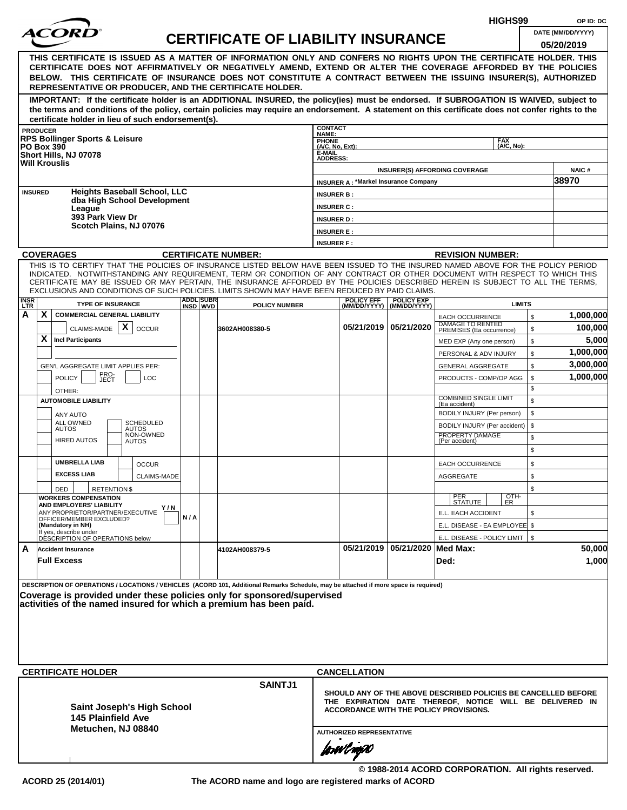|                     |                                                                                                                                                                                                                                                                                                                                                                                                                  |     |                              |                                           |                                        |                                             |                                                  | HIGHS99                                                                                                   | OP ID: DC                       |
|---------------------|------------------------------------------------------------------------------------------------------------------------------------------------------------------------------------------------------------------------------------------------------------------------------------------------------------------------------------------------------------------------------------------------------------------|-----|------------------------------|-------------------------------------------|----------------------------------------|---------------------------------------------|--------------------------------------------------|-----------------------------------------------------------------------------------------------------------|---------------------------------|
|                     | <i>ACORI</i>                                                                                                                                                                                                                                                                                                                                                                                                     |     |                              | <b>CERTIFICATE OF LIABILITY INSURANCE</b> |                                        |                                             |                                                  |                                                                                                           | DATE (MM/DD/YYYY)<br>05/20/2019 |
|                     | THIS CERTIFICATE IS ISSUED AS A MATTER OF INFORMATION ONLY AND CONFERS NO RIGHTS UPON THE CERTIFICATE HOLDER. THIS<br>CERTIFICATE DOES NOT AFFIRMATIVELY OR NEGATIVELY AMEND, EXTEND OR ALTER THE COVERAGE AFFORDED BY THE POLICIES<br>BELOW. THIS CERTIFICATE OF INSURANCE DOES NOT CONSTITUTE A CONTRACT BETWEEN THE ISSUING INSURER(S), AUTHORIZED<br>REPRESENTATIVE OR PRODUCER, AND THE CERTIFICATE HOLDER. |     |                              |                                           |                                        |                                             |                                                  |                                                                                                           |                                 |
|                     | IMPORTANT: If the certificate holder is an ADDITIONAL INSURED, the policy(ies) must be endorsed. If SUBROGATION IS WAIVED, subject to<br>the terms and conditions of the policy, certain policies may require an endorsement. A statement on this certificate does not confer rights to the<br>certificate holder in lieu of such endorsement(s).                                                                |     |                              |                                           |                                        |                                             |                                                  |                                                                                                           |                                 |
|                     | <b>PRODUCER</b>                                                                                                                                                                                                                                                                                                                                                                                                  |     |                              |                                           | <b>CONTACT</b><br>NAME:                |                                             |                                                  |                                                                                                           |                                 |
|                     | <b>RPS Bollinger Sports &amp; Leisure</b><br><b>PO Box 390</b>                                                                                                                                                                                                                                                                                                                                                   |     |                              |                                           | <b>PHONE</b><br>(A/C, No, Ext):        |                                             |                                                  | <b>FAX</b><br>(A/C, No):                                                                                  |                                 |
|                     | Short Hills, NJ 07078<br><b>Will Krouslis</b>                                                                                                                                                                                                                                                                                                                                                                    |     |                              |                                           | <b>E-MAIL</b><br><b>ADDRESS:</b>       |                                             |                                                  | <b>INSURER(S) AFFORDING COVERAGE</b>                                                                      | <b>NAIC#</b>                    |
|                     |                                                                                                                                                                                                                                                                                                                                                                                                                  |     |                              |                                           |                                        | <b>INSURER A: *Markel Insurance Company</b> |                                                  |                                                                                                           | 38970                           |
|                     | <b>Heights Baseball School, LLC</b><br><b>INSURED</b><br>dba High School Development<br>League                                                                                                                                                                                                                                                                                                                   |     |                              |                                           | <b>INSURER B:</b><br><b>INSURER C:</b> |                                             |                                                  |                                                                                                           |                                 |
|                     | 393 Park View Dr                                                                                                                                                                                                                                                                                                                                                                                                 |     |                              |                                           | <b>INSURER D:</b>                      |                                             |                                                  |                                                                                                           |                                 |
|                     | Scotch Plains, NJ 07076                                                                                                                                                                                                                                                                                                                                                                                          |     |                              |                                           | <b>INSURER E:</b>                      |                                             |                                                  |                                                                                                           |                                 |
|                     |                                                                                                                                                                                                                                                                                                                                                                                                                  |     |                              |                                           | <b>INSURER F:</b>                      |                                             |                                                  |                                                                                                           |                                 |
|                     | <b>COVERAGES</b><br>THIS IS TO CERTIFY THAT THE POLICIES OF INSURANCE LISTED BELOW HAVE BEEN ISSUED TO THE INSURED NAMED ABOVE FOR THE POLICY PERIOD                                                                                                                                                                                                                                                             |     |                              | <b>CERTIFICATE NUMBER:</b>                |                                        |                                             |                                                  | <b>REVISION NUMBER:</b>                                                                                   |                                 |
| <b>INSR</b><br>LTR. | INDICATED. NOTWITHSTANDING ANY REQUIREMENT, TERM OR CONDITION OF ANY CONTRACT OR OTHER DOCUMENT WITH RESPECT TO WHICH THIS<br>CERTIFICATE MAY BE ISSUED OR MAY PERTAIN, THE INSURANCE AFFORDED BY THE POLICIES DESCRIBED HEREIN IS SUBJECT TO ALL THE TERMS,<br>EXCLUSIONS AND CONDITIONS OF SUCH POLICIES. LIMITS SHOWN MAY HAVE BEEN REDUCED BY PAID CLAIMS.<br><b>TYPE OF INSURANCE</b>                       |     | <b>ADDL SUBR</b><br>INSD WVD | <b>POLICY NUMBER</b>                      |                                        | <b>POLICY EFF</b>                           | <b>POLICY EXP</b><br>(MM/DD/YYYY)   (MM/DD/YYYY) | <b>LIMITS</b>                                                                                             |                                 |
| A                   | X.<br><b>COMMERCIAL GENERAL LIABILITY</b>                                                                                                                                                                                                                                                                                                                                                                        |     |                              |                                           |                                        |                                             |                                                  | \$<br><b>EACH OCCURRENCE</b>                                                                              | 1,000,000                       |
|                     | CLAIMS-MADE $\mathbf{X}$<br><b>OCCUR</b>                                                                                                                                                                                                                                                                                                                                                                         |     |                              | 3602AH008380-5                            |                                        |                                             | 05/21/2019 05/21/2020                            | DAMAGE TO RENTED<br>\$<br>PREMISES (Ea occurrence)                                                        | 100,000                         |
|                     | X.<br><b>Incl Participants</b>                                                                                                                                                                                                                                                                                                                                                                                   |     |                              |                                           |                                        |                                             |                                                  | \$<br>MED EXP (Any one person)                                                                            | 5,000                           |
|                     |                                                                                                                                                                                                                                                                                                                                                                                                                  |     |                              |                                           |                                        |                                             |                                                  | \$<br>PERSONAL & ADV INJURY                                                                               | 1,000,000                       |
|                     | GEN'L AGGREGATE LIMIT APPLIES PER:                                                                                                                                                                                                                                                                                                                                                                               |     |                              |                                           |                                        |                                             |                                                  | \$<br><b>GENERAL AGGREGATE</b>                                                                            | 3,000,000                       |
|                     | PRO-<br>JECT<br><b>POLICY</b><br><b>LOC</b>                                                                                                                                                                                                                                                                                                                                                                      |     |                              |                                           |                                        |                                             |                                                  | PRODUCTS - COMP/OP AGG<br>\$                                                                              | 1,000,000                       |
|                     | OTHER:                                                                                                                                                                                                                                                                                                                                                                                                           |     |                              |                                           |                                        |                                             |                                                  | \$<br><b>COMBINED SINGLE LIMIT</b><br>\$                                                                  |                                 |
|                     | <b>AUTOMOBILE LIABILITY</b>                                                                                                                                                                                                                                                                                                                                                                                      |     |                              |                                           |                                        |                                             |                                                  | (Ea accident)<br>\$<br>BODILY INJURY (Per person)                                                         |                                 |
|                     | ANY AUTO<br><b>ALL OWNED</b><br><b>SCHEDULED</b>                                                                                                                                                                                                                                                                                                                                                                 |     |                              |                                           |                                        |                                             |                                                  | \$<br>BODILY INJURY (Per accident)                                                                        |                                 |
|                     | <b>AUTOS</b><br><b>AUTOS</b><br>NON-OWNED<br><b>HIRED AUTOS</b><br><b>AUTOS</b>                                                                                                                                                                                                                                                                                                                                  |     |                              |                                           |                                        |                                             |                                                  | PROPERTY DAMAGE<br>\$<br>(Per accident)                                                                   |                                 |
|                     |                                                                                                                                                                                                                                                                                                                                                                                                                  |     |                              |                                           |                                        |                                             |                                                  | \$                                                                                                        |                                 |
|                     | <b>UMBRELLA LIAB</b><br><b>OCCUR</b>                                                                                                                                                                                                                                                                                                                                                                             |     |                              |                                           |                                        |                                             |                                                  | \$<br><b>EACH OCCURRENCE</b>                                                                              |                                 |
|                     | <b>EXCESS LIAB</b><br>CLAIMS-MADE                                                                                                                                                                                                                                                                                                                                                                                |     |                              |                                           |                                        |                                             |                                                  | AGGREGATE<br>\$                                                                                           |                                 |
|                     | DED<br><b>RETENTION \$</b>                                                                                                                                                                                                                                                                                                                                                                                       |     |                              |                                           |                                        |                                             |                                                  | \$                                                                                                        |                                 |
|                     | <b>WORKERS COMPENSATION</b><br>AND EMPLOYERS' LIABILITY<br>Y / N                                                                                                                                                                                                                                                                                                                                                 |     |                              |                                           |                                        |                                             |                                                  | OTH-<br>PER<br>STATUTE<br>ER.                                                                             |                                 |
|                     | ANY PROPRIETOR/PARTNER/EXECUTIVE<br>OFFICER/MEMBER EXCLUDED?                                                                                                                                                                                                                                                                                                                                                     | N/A |                              |                                           |                                        |                                             |                                                  | E.L. EACH ACCIDENT<br>\$                                                                                  |                                 |
|                     | (Mandatory in NH)<br>If yes, describe under                                                                                                                                                                                                                                                                                                                                                                      |     |                              |                                           |                                        |                                             |                                                  | E.L. DISEASE - EA EMPLOYEE \$                                                                             |                                 |
| A                   | DESCRIPTION OF OPERATIONS below<br><b>Accident Insurance</b>                                                                                                                                                                                                                                                                                                                                                     |     |                              | 4102AH008379-5                            |                                        |                                             | 05/21/2019 05/21/2020 Med Max:                   | E.L. DISEASE - POLICY LIMIT   \$                                                                          | 50,000                          |
|                     | <b>Full Excess</b>                                                                                                                                                                                                                                                                                                                                                                                               |     |                              |                                           |                                        |                                             |                                                  | Ded:                                                                                                      | 1,000                           |
|                     | DESCRIPTION OF OPERATIONS / LOCATIONS / VEHICLES (ACORD 101, Additional Remarks Schedule, may be attached if more space is required)<br>Coverage is provided under these policies only for sponsored/supervised<br>activities of the named insured for which a premium has been paid.<br><b>CERTIFICATE HOLDER</b>                                                                                               |     |                              |                                           |                                        | <b>CANCELLATION</b>                         |                                                  |                                                                                                           |                                 |
|                     |                                                                                                                                                                                                                                                                                                                                                                                                                  |     |                              | <b>SAINTJ1</b>                            |                                        |                                             |                                                  | SHOULD ANY OF THE ABOVE DESCRIBED POLICIES BE CANCELLED BEFORE                                            |                                 |
|                     | <b>Saint Joseph's High School</b><br>145 Plainfield Ave<br>Metuchen, NJ 08840                                                                                                                                                                                                                                                                                                                                    |     |                              |                                           |                                        | <b>AUTHORIZED REPRESENTATIVE</b>            |                                                  | THE EXPIRATION DATE THEREOF, NOTICE WILL BE DELIVERED IN<br><b>ACCORDANCE WITH THE POLICY PROVISIONS.</b> |                                 |
|                     |                                                                                                                                                                                                                                                                                                                                                                                                                  |     |                              |                                           |                                        | forwings0                                   |                                                  |                                                                                                           |                                 |
|                     |                                                                                                                                                                                                                                                                                                                                                                                                                  |     |                              |                                           |                                        |                                             |                                                  | © 1988-2014 ACORD CORPORATION. All rights reserved.                                                       |                                 |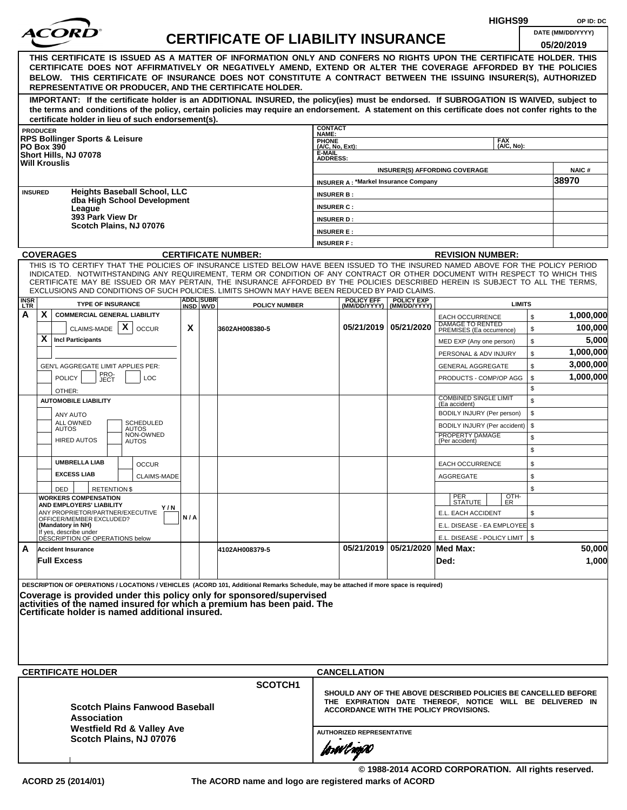|                                                                                                                                                                                                                                                                                                                                           |                 |                                                                                                                                                                                                                                                                                                                                                                                                                  |                    |     |                              |                                           |                                        |                                             |                                                  | HIGHS99                                                                                                                                                                     |    | OP ID: DC                       |
|-------------------------------------------------------------------------------------------------------------------------------------------------------------------------------------------------------------------------------------------------------------------------------------------------------------------------------------------|-----------------|------------------------------------------------------------------------------------------------------------------------------------------------------------------------------------------------------------------------------------------------------------------------------------------------------------------------------------------------------------------------------------------------------------------|--------------------|-----|------------------------------|-------------------------------------------|----------------------------------------|---------------------------------------------|--------------------------------------------------|-----------------------------------------------------------------------------------------------------------------------------------------------------------------------------|----|---------------------------------|
|                                                                                                                                                                                                                                                                                                                                           |                 |                                                                                                                                                                                                                                                                                                                                                                                                                  |                    |     |                              | <b>CERTIFICATE OF LIABILITY INSURANCE</b> |                                        |                                             |                                                  |                                                                                                                                                                             |    | DATE (MM/DD/YYYY)<br>05/20/2019 |
|                                                                                                                                                                                                                                                                                                                                           |                 | THIS CERTIFICATE IS ISSUED AS A MATTER OF INFORMATION ONLY AND CONFERS NO RIGHTS UPON THE CERTIFICATE HOLDER. THIS<br>CERTIFICATE DOES NOT AFFIRMATIVELY OR NEGATIVELY AMEND, EXTEND OR ALTER THE COVERAGE AFFORDED BY THE POLICIES<br>BELOW. THIS CERTIFICATE OF INSURANCE DOES NOT CONSTITUTE A CONTRACT BETWEEN THE ISSUING INSURER(S), AUTHORIZED<br>REPRESENTATIVE OR PRODUCER, AND THE CERTIFICATE HOLDER. |                    |     |                              |                                           |                                        |                                             |                                                  |                                                                                                                                                                             |    |                                 |
|                                                                                                                                                                                                                                                                                                                                           |                 | IMPORTANT: If the certificate holder is an ADDITIONAL INSURED, the policy(ies) must be endorsed. If SUBROGATION IS WAIVED, subject to<br>the terms and conditions of the policy, certain policies may require an endorsement. A statement on this certificate does not confer rights to the<br>certificate holder in lieu of such endorsement(s).                                                                |                    |     |                              |                                           |                                        |                                             |                                                  |                                                                                                                                                                             |    |                                 |
|                                                                                                                                                                                                                                                                                                                                           | <b>PRODUCER</b> |                                                                                                                                                                                                                                                                                                                                                                                                                  |                    |     |                              |                                           | <b>CONTACT</b>                         |                                             |                                                  |                                                                                                                                                                             |    |                                 |
|                                                                                                                                                                                                                                                                                                                                           |                 | <b>RPS Bollinger Sports &amp; Leisure</b>                                                                                                                                                                                                                                                                                                                                                                        |                    |     |                              |                                           | NAME:<br>PHONE<br>(A/C, No, Ext):      |                                             |                                                  | <b>FAX</b>                                                                                                                                                                  |    |                                 |
|                                                                                                                                                                                                                                                                                                                                           |                 | <b>PO Box 390</b><br>Short Hills, NJ 07078                                                                                                                                                                                                                                                                                                                                                                       |                    |     |                              |                                           | E-MAIL                                 |                                             |                                                  | (A/C, No):                                                                                                                                                                  |    |                                 |
|                                                                                                                                                                                                                                                                                                                                           |                 | <b>Will Krouslis</b>                                                                                                                                                                                                                                                                                                                                                                                             |                    |     |                              |                                           | <b>ADDRESS:</b>                        |                                             |                                                  |                                                                                                                                                                             |    |                                 |
|                                                                                                                                                                                                                                                                                                                                           |                 |                                                                                                                                                                                                                                                                                                                                                                                                                  |                    |     |                              |                                           |                                        | <b>INSURER A: *Markel Insurance Company</b> |                                                  | <b>INSURER(S) AFFORDING COVERAGE</b>                                                                                                                                        |    | NAIC#<br>38970                  |
|                                                                                                                                                                                                                                                                                                                                           | <b>INSURED</b>  | <b>Heights Baseball School, LLC</b>                                                                                                                                                                                                                                                                                                                                                                              |                    |     |                              |                                           |                                        |                                             |                                                  |                                                                                                                                                                             |    |                                 |
|                                                                                                                                                                                                                                                                                                                                           |                 | dba High School Development                                                                                                                                                                                                                                                                                                                                                                                      |                    |     |                              |                                           | <b>INSURER B:</b>                      |                                             |                                                  |                                                                                                                                                                             |    |                                 |
|                                                                                                                                                                                                                                                                                                                                           |                 | League<br>393 Park View Dr                                                                                                                                                                                                                                                                                                                                                                                       |                    |     |                              |                                           | <b>INSURER C:</b>                      |                                             |                                                  |                                                                                                                                                                             |    |                                 |
|                                                                                                                                                                                                                                                                                                                                           |                 | Scotch Plains, NJ 07076                                                                                                                                                                                                                                                                                                                                                                                          |                    |     |                              |                                           | <b>INSURER D:</b>                      |                                             |                                                  |                                                                                                                                                                             |    |                                 |
|                                                                                                                                                                                                                                                                                                                                           |                 |                                                                                                                                                                                                                                                                                                                                                                                                                  |                    |     |                              |                                           | <b>INSURER E:</b><br><b>INSURER F:</b> |                                             |                                                  |                                                                                                                                                                             |    |                                 |
|                                                                                                                                                                                                                                                                                                                                           |                 | <b>COVERAGES</b>                                                                                                                                                                                                                                                                                                                                                                                                 |                    |     |                              | <b>CERTIFICATE NUMBER:</b>                |                                        |                                             |                                                  | <b>REVISION NUMBER:</b>                                                                                                                                                     |    |                                 |
|                                                                                                                                                                                                                                                                                                                                           |                 | THIS IS TO CERTIFY THAT THE POLICIES OF INSURANCE LISTED BELOW HAVE BEEN ISSUED TO THE INSURED NAMED ABOVE FOR THE POLICY PERIOD                                                                                                                                                                                                                                                                                 |                    |     |                              |                                           |                                        |                                             |                                                  |                                                                                                                                                                             |    |                                 |
|                                                                                                                                                                                                                                                                                                                                           |                 | INDICATED. NOTWITHSTANDING ANY REQUIREMENT, TERM OR CONDITION OF ANY CONTRACT OR OTHER DOCUMENT WITH RESPECT TO WHICH THIS<br>CERTIFICATE MAY BE ISSUED OR MAY PERTAIN, THE INSURANCE AFFORDED BY THE POLICIES DESCRIBED HEREIN IS SUBJECT TO ALL THE TERMS,<br>EXCLUSIONS AND CONDITIONS OF SUCH POLICIES. LIMITS SHOWN MAY HAVE BEEN REDUCED BY PAID CLAIMS.                                                   |                    |     |                              |                                           |                                        |                                             |                                                  |                                                                                                                                                                             |    |                                 |
| <b>INSR</b><br><b>LTR</b>                                                                                                                                                                                                                                                                                                                 |                 | <b>TYPE OF INSURANCE</b>                                                                                                                                                                                                                                                                                                                                                                                         |                    |     | <b>ADDL SUBR</b><br>INSD WVD | <b>POLICY NUMBER</b>                      |                                        | <b>POLICY EFF</b>                           | <b>POLICY EXP</b><br>(MM/DD/YYYY)   (MM/DD/YYYY) | <b>LIMITS</b>                                                                                                                                                               |    |                                 |
| A                                                                                                                                                                                                                                                                                                                                         | X               | <b>COMMERCIAL GENERAL LIABILITY</b>                                                                                                                                                                                                                                                                                                                                                                              |                    |     |                              |                                           |                                        |                                             |                                                  | <b>EACH OCCURRENCE</b>                                                                                                                                                      | \$ | 1,000,000                       |
|                                                                                                                                                                                                                                                                                                                                           |                 | $\mathsf{x}$<br>CLAIMS-MADE<br><b>OCCUR</b>                                                                                                                                                                                                                                                                                                                                                                      |                    | X   |                              | 3602AH008380-5                            |                                        |                                             | 05/21/2019   05/21/2020                          | DAMAGE TO RENTED<br>PREMISES (Ea occurrence)                                                                                                                                | \$ | 100,000                         |
|                                                                                                                                                                                                                                                                                                                                           | X               | <b>Incl Participants</b>                                                                                                                                                                                                                                                                                                                                                                                         |                    |     |                              |                                           |                                        |                                             |                                                  | MED EXP (Any one person)                                                                                                                                                    | \$ | 5,000                           |
|                                                                                                                                                                                                                                                                                                                                           |                 |                                                                                                                                                                                                                                                                                                                                                                                                                  |                    |     |                              |                                           |                                        |                                             |                                                  | PERSONAL & ADV INJURY                                                                                                                                                       | \$ | 1,000,000                       |
|                                                                                                                                                                                                                                                                                                                                           |                 | GEN'L AGGREGATE LIMIT APPLIES PER:                                                                                                                                                                                                                                                                                                                                                                               |                    |     |                              |                                           |                                        |                                             |                                                  | <b>GENERAL AGGREGATE</b>                                                                                                                                                    | \$ | 3,000,000                       |
|                                                                                                                                                                                                                                                                                                                                           |                 | PRO-<br><b>POLICY</b><br>LOC<br>JECT                                                                                                                                                                                                                                                                                                                                                                             |                    |     |                              |                                           |                                        |                                             |                                                  | PRODUCTS - COMP/OP AGG                                                                                                                                                      | \$ | 1,000,000                       |
|                                                                                                                                                                                                                                                                                                                                           |                 | OTHER:                                                                                                                                                                                                                                                                                                                                                                                                           |                    |     |                              |                                           |                                        |                                             |                                                  |                                                                                                                                                                             | \$ |                                 |
|                                                                                                                                                                                                                                                                                                                                           |                 | <b>AUTOMOBILE LIABILITY</b>                                                                                                                                                                                                                                                                                                                                                                                      |                    |     |                              |                                           |                                        |                                             |                                                  | <b>COMBINED SINGLE LIMIT</b><br>(Ea accident)                                                                                                                               | \$ |                                 |
|                                                                                                                                                                                                                                                                                                                                           |                 | <b>ANY AUTO</b>                                                                                                                                                                                                                                                                                                                                                                                                  |                    |     |                              |                                           |                                        |                                             |                                                  | BODILY INJURY (Per person)                                                                                                                                                  | \$ |                                 |
|                                                                                                                                                                                                                                                                                                                                           |                 | ALL OWNED<br>SCHEDULED                                                                                                                                                                                                                                                                                                                                                                                           |                    |     |                              |                                           |                                        |                                             |                                                  | BODILY INJURY (Per accident)                                                                                                                                                | \$ |                                 |
|                                                                                                                                                                                                                                                                                                                                           |                 | <b>AUTOS</b><br>AUTOS<br>NON-OWNED<br><b>HIRED AUTOS</b>                                                                                                                                                                                                                                                                                                                                                         |                    |     |                              |                                           |                                        |                                             |                                                  | PROPERTY DAMAGE                                                                                                                                                             | \$ |                                 |
|                                                                                                                                                                                                                                                                                                                                           |                 | <b>AUTOS</b>                                                                                                                                                                                                                                                                                                                                                                                                     |                    |     |                              |                                           |                                        |                                             |                                                  | (Per accident)                                                                                                                                                              | \$ |                                 |
|                                                                                                                                                                                                                                                                                                                                           |                 | <b>UMBRELLA LIAB</b><br><b>OCCUR</b>                                                                                                                                                                                                                                                                                                                                                                             |                    |     |                              |                                           |                                        |                                             |                                                  | <b>EACH OCCURRENCE</b>                                                                                                                                                      | \$ |                                 |
|                                                                                                                                                                                                                                                                                                                                           |                 | <b>EXCESS LIAB</b>                                                                                                                                                                                                                                                                                                                                                                                               | <b>CLAIMS-MADE</b> |     |                              |                                           |                                        |                                             |                                                  | <b>AGGREGATE</b>                                                                                                                                                            | \$ |                                 |
|                                                                                                                                                                                                                                                                                                                                           |                 | <b>RETENTION \$</b><br>DED                                                                                                                                                                                                                                                                                                                                                                                       |                    |     |                              |                                           |                                        |                                             |                                                  |                                                                                                                                                                             | \$ |                                 |
|                                                                                                                                                                                                                                                                                                                                           |                 | <b>WORKERS COMPENSATION</b>                                                                                                                                                                                                                                                                                                                                                                                      |                    |     |                              |                                           |                                        |                                             |                                                  | OTH-<br>PER<br>STATUTE<br>ER                                                                                                                                                |    |                                 |
|                                                                                                                                                                                                                                                                                                                                           |                 | <b>AND EMPLOYERS' LIABILITY</b><br>ANY PROPRIETOR/PARTNER/EXECUTIVE                                                                                                                                                                                                                                                                                                                                              | Y / N              |     |                              |                                           |                                        |                                             |                                                  | E.L. EACH ACCIDENT                                                                                                                                                          | \$ |                                 |
|                                                                                                                                                                                                                                                                                                                                           |                 | OFFICER/MEMBER EXCLUDED?<br>(Mandatory in NH)                                                                                                                                                                                                                                                                                                                                                                    |                    | N/A |                              |                                           |                                        |                                             |                                                  | E.L. DISEASE - EA EMPLOYEE \$                                                                                                                                               |    |                                 |
|                                                                                                                                                                                                                                                                                                                                           |                 | If yes, describe under<br>DESCRIPTION OF OPERATIONS below                                                                                                                                                                                                                                                                                                                                                        |                    |     |                              |                                           |                                        |                                             |                                                  | E.L. DISEASE - POLICY LIMIT   \$                                                                                                                                            |    |                                 |
| A                                                                                                                                                                                                                                                                                                                                         |                 | <b>Accident Insurance</b>                                                                                                                                                                                                                                                                                                                                                                                        |                    |     |                              | 4102AH008379-5                            |                                        |                                             | 05/21/2019 05/21/2020 Med Max:                   |                                                                                                                                                                             |    | 50,000                          |
|                                                                                                                                                                                                                                                                                                                                           |                 | <b>Full Excess</b>                                                                                                                                                                                                                                                                                                                                                                                               |                    |     |                              |                                           |                                        |                                             |                                                  | Ded:                                                                                                                                                                        |    | 1,000                           |
| DESCRIPTION OF OPERATIONS / LOCATIONS / VEHICLES (ACORD 101, Additional Remarks Schedule, may be attached if more space is required)<br>Coverage is provided under this policy only for sponsored/supervised<br>activities of the named insured for which a premium has been paid. The<br>Certificate holder is named additional insured. |                 |                                                                                                                                                                                                                                                                                                                                                                                                                  |                    |     |                              |                                           |                                        |                                             |                                                  |                                                                                                                                                                             |    |                                 |
|                                                                                                                                                                                                                                                                                                                                           |                 | <b>CERTIFICATE HOLDER</b>                                                                                                                                                                                                                                                                                                                                                                                        |                    |     |                              |                                           |                                        | <b>CANCELLATION</b>                         |                                                  |                                                                                                                                                                             |    |                                 |
|                                                                                                                                                                                                                                                                                                                                           |                 | <b>Scotch Plains Fanwood Baseball</b><br><b>Association</b>                                                                                                                                                                                                                                                                                                                                                      |                    |     |                              | <b>SCOTCH1</b>                            |                                        |                                             |                                                  | SHOULD ANY OF THE ABOVE DESCRIBED POLICIES BE CANCELLED BEFORE<br>THE EXPIRATION DATE THEREOF, NOTICE WILL BE DELIVERED IN<br><b>ACCORDANCE WITH THE POLICY PROVISIONS.</b> |    |                                 |
|                                                                                                                                                                                                                                                                                                                                           |                 | <b>Westfield Rd &amp; Valley Ave</b>                                                                                                                                                                                                                                                                                                                                                                             |                    |     |                              |                                           |                                        | <b>AUTHORIZED REPRESENTATIVE</b>            |                                                  |                                                                                                                                                                             |    |                                 |
|                                                                                                                                                                                                                                                                                                                                           |                 | Scotch Plains, NJ 07076                                                                                                                                                                                                                                                                                                                                                                                          |                    |     |                              |                                           |                                        |                                             |                                                  |                                                                                                                                                                             |    |                                 |
|                                                                                                                                                                                                                                                                                                                                           |                 |                                                                                                                                                                                                                                                                                                                                                                                                                  |                    |     |                              |                                           |                                        | forwl nejso                                 |                                                  |                                                                                                                                                                             |    |                                 |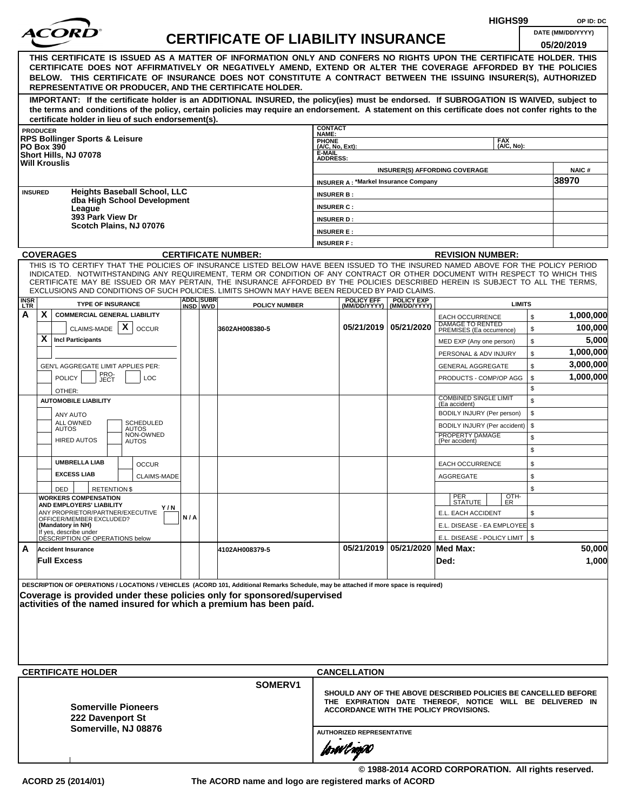|                      |                                                                                                                                                                                                                                                                                                                                                                                                                                                                                                                                |                  |                                           |                                        |                                             |                                | HIGHS99                                                                                                                                                                     | OP ID: DC                       |
|----------------------|--------------------------------------------------------------------------------------------------------------------------------------------------------------------------------------------------------------------------------------------------------------------------------------------------------------------------------------------------------------------------------------------------------------------------------------------------------------------------------------------------------------------------------|------------------|-------------------------------------------|----------------------------------------|---------------------------------------------|--------------------------------|-----------------------------------------------------------------------------------------------------------------------------------------------------------------------------|---------------------------------|
| <i>ACORI</i>         |                                                                                                                                                                                                                                                                                                                                                                                                                                                                                                                                |                  | <b>CERTIFICATE OF LIABILITY INSURANCE</b> |                                        |                                             |                                |                                                                                                                                                                             | DATE (MM/DD/YYYY)<br>05/20/2019 |
|                      | THIS CERTIFICATE IS ISSUED AS A MATTER OF INFORMATION ONLY AND CONFERS NO RIGHTS UPON THE CERTIFICATE HOLDER. THIS<br>CERTIFICATE DOES NOT AFFIRMATIVELY OR NEGATIVELY AMEND, EXTEND OR ALTER THE COVERAGE AFFORDED BY THE POLICIES<br>BELOW. THIS CERTIFICATE OF INSURANCE DOES NOT CONSTITUTE A CONTRACT BETWEEN THE ISSUING INSURER(S), AUTHORIZED<br>REPRESENTATIVE OR PRODUCER, AND THE CERTIFICATE HOLDER.                                                                                                               |                  |                                           |                                        |                                             |                                |                                                                                                                                                                             |                                 |
|                      | IMPORTANT: If the certificate holder is an ADDITIONAL INSURED, the policy(ies) must be endorsed. If SUBROGATION IS WAIVED, subject to<br>the terms and conditions of the policy, certain policies may require an endorsement. A statement on this certificate does not confer rights to the<br>certificate holder in lieu of such endorsement(s).                                                                                                                                                                              |                  |                                           |                                        |                                             |                                |                                                                                                                                                                             |                                 |
| <b>PRODUCER</b>      |                                                                                                                                                                                                                                                                                                                                                                                                                                                                                                                                |                  |                                           | <b>CONTACT</b><br>NAME:                |                                             |                                |                                                                                                                                                                             |                                 |
| <b>PO Box 390</b>    | <b>RPS Bollinger Sports &amp; Leisure</b>                                                                                                                                                                                                                                                                                                                                                                                                                                                                                      |                  |                                           | <b>PHONE</b><br>(A/C, No, Ext):        |                                             |                                | <b>FAX</b><br>(A/C, No):                                                                                                                                                    |                                 |
| <b>Will Krouslis</b> | Short Hills, NJ 07078                                                                                                                                                                                                                                                                                                                                                                                                                                                                                                          |                  |                                           | <b>E-MAIL</b><br><b>ADDRESS:</b>       |                                             |                                | <b>INSURER(S) AFFORDING COVERAGE</b>                                                                                                                                        | <b>NAIC#</b>                    |
|                      |                                                                                                                                                                                                                                                                                                                                                                                                                                                                                                                                |                  |                                           |                                        | <b>INSURER A: *Markel Insurance Company</b> |                                |                                                                                                                                                                             | 38970                           |
| <b>INSURED</b>       | <b>Heights Baseball School, LLC</b><br>dba High School Development                                                                                                                                                                                                                                                                                                                                                                                                                                                             |                  |                                           | <b>INSURER B:</b>                      |                                             |                                |                                                                                                                                                                             |                                 |
|                      | League<br>393 Park View Dr                                                                                                                                                                                                                                                                                                                                                                                                                                                                                                     |                  |                                           | <b>INSURER C:</b>                      |                                             |                                |                                                                                                                                                                             |                                 |
|                      | Scotch Plains, NJ 07076                                                                                                                                                                                                                                                                                                                                                                                                                                                                                                        |                  |                                           | <b>INSURER D:</b><br><b>INSURER E:</b> |                                             |                                |                                                                                                                                                                             |                                 |
|                      |                                                                                                                                                                                                                                                                                                                                                                                                                                                                                                                                |                  |                                           | <b>INSURER F:</b>                      |                                             |                                |                                                                                                                                                                             |                                 |
| <b>COVERAGES</b>     |                                                                                                                                                                                                                                                                                                                                                                                                                                                                                                                                |                  | <b>CERTIFICATE NUMBER:</b>                |                                        |                                             |                                | <b>REVISION NUMBER:</b>                                                                                                                                                     |                                 |
| <b>INSR</b>          | THIS IS TO CERTIFY THAT THE POLICIES OF INSURANCE LISTED BELOW HAVE BEEN ISSUED TO THE INSURED NAMED ABOVE FOR THE POLICY PERIOD<br>INDICATED. NOTWITHSTANDING ANY REQUIREMENT, TERM OR CONDITION OF ANY CONTRACT OR OTHER DOCUMENT WITH RESPECT TO WHICH THIS<br>CERTIFICATE MAY BE ISSUED OR MAY PERTAIN, THE INSURANCE AFFORDED BY THE POLICIES DESCRIBED HEREIN IS SUBJECT TO ALL THE TERMS,<br>EXCLUSIONS AND CONDITIONS OF SUCH POLICIES. LIMITS SHOWN MAY HAVE BEEN REDUCED BY PAID CLAIMS.<br><b>TYPE OF INSURANCE</b> | <b>ADDL SUBR</b> |                                           |                                        | <b>POLICY EFF</b>                           | <b>POLICY EXP</b>              | <b>LIMITS</b>                                                                                                                                                               |                                 |
| LTR.<br>X.<br>A      | <b>COMMERCIAL GENERAL LIABILITY</b>                                                                                                                                                                                                                                                                                                                                                                                                                                                                                            | INSD WVD         | <b>POLICY NUMBER</b>                      |                                        |                                             | (MM/DD/YYYY)   (MM/DD/YYYY)    | \$<br><b>EACH OCCURRENCE</b>                                                                                                                                                | 1,000,000                       |
|                      | CLAIMS-MADE $\mathbf{X}$<br><b>OCCUR</b>                                                                                                                                                                                                                                                                                                                                                                                                                                                                                       |                  | 3602AH008380-5                            |                                        |                                             | 05/21/2019 05/21/2020          | DAMAGE TO RENTED<br>\$<br>PREMISES (Ea occurrence)                                                                                                                          | 100,000                         |
| X.                   | <b>Incl Participants</b>                                                                                                                                                                                                                                                                                                                                                                                                                                                                                                       |                  |                                           |                                        |                                             |                                | \$<br>MED EXP (Any one person)                                                                                                                                              | 5,000                           |
|                      |                                                                                                                                                                                                                                                                                                                                                                                                                                                                                                                                |                  |                                           |                                        |                                             |                                | \$<br>PERSONAL & ADV INJURY                                                                                                                                                 | 1,000,000                       |
|                      | GEN'L AGGREGATE LIMIT APPLIES PER:                                                                                                                                                                                                                                                                                                                                                                                                                                                                                             |                  |                                           |                                        |                                             |                                | \$<br><b>GENERAL AGGREGATE</b>                                                                                                                                              | 3,000,000                       |
|                      | PRO-<br>JECT<br><b>POLICY</b><br><b>LOC</b>                                                                                                                                                                                                                                                                                                                                                                                                                                                                                    |                  |                                           |                                        |                                             |                                | PRODUCTS - COMP/OP AGG<br>\$                                                                                                                                                | 1,000,000                       |
|                      | OTHER:                                                                                                                                                                                                                                                                                                                                                                                                                                                                                                                         |                  |                                           |                                        |                                             |                                | \$                                                                                                                                                                          |                                 |
|                      | <b>AUTOMOBILE LIABILITY</b>                                                                                                                                                                                                                                                                                                                                                                                                                                                                                                    |                  |                                           |                                        |                                             |                                | <b>COMBINED SINGLE LIMIT</b><br>\$<br>(Ea accident)                                                                                                                         |                                 |
|                      | ANY AUTO<br><b>ALL OWNED</b><br><b>SCHEDULED</b>                                                                                                                                                                                                                                                                                                                                                                                                                                                                               |                  |                                           |                                        |                                             |                                | \$<br>BODILY INJURY (Per person)                                                                                                                                            |                                 |
|                      | <b>AUTOS</b><br><b>AUTOS</b><br>NON-OWNED                                                                                                                                                                                                                                                                                                                                                                                                                                                                                      |                  |                                           |                                        |                                             |                                | \$<br>BODILY INJURY (Per accident)<br>PROPERTY DAMAGE                                                                                                                       |                                 |
|                      | <b>HIRED AUTOS</b><br><b>AUTOS</b>                                                                                                                                                                                                                                                                                                                                                                                                                                                                                             |                  |                                           |                                        |                                             |                                | \$<br>(Per accident)<br>\$                                                                                                                                                  |                                 |
|                      | <b>UMBRELLA LIAB</b>                                                                                                                                                                                                                                                                                                                                                                                                                                                                                                           |                  |                                           |                                        |                                             |                                |                                                                                                                                                                             |                                 |
|                      | <b>OCCUR</b><br><b>EXCESS LIAB</b><br>CLAIMS-MADE                                                                                                                                                                                                                                                                                                                                                                                                                                                                              |                  |                                           |                                        |                                             |                                | \$<br><b>EACH OCCURRENCE</b><br><b>AGGREGATE</b><br>\$                                                                                                                      |                                 |
|                      | DED<br><b>RETENTION \$</b>                                                                                                                                                                                                                                                                                                                                                                                                                                                                                                     |                  |                                           |                                        |                                             |                                | \$                                                                                                                                                                          |                                 |
|                      | <b>WORKERS COMPENSATION</b>                                                                                                                                                                                                                                                                                                                                                                                                                                                                                                    |                  |                                           |                                        |                                             |                                | OTH-<br>PER<br>STATUTE<br>ER.                                                                                                                                               |                                 |
|                      | AND EMPLOYERS' LIABILITY<br>Y / N<br>ANY PROPRIETOR/PARTNER/EXECUTIVE                                                                                                                                                                                                                                                                                                                                                                                                                                                          |                  |                                           |                                        |                                             |                                | E.L. EACH ACCIDENT<br>\$                                                                                                                                                    |                                 |
|                      | OFFICER/MEMBER EXCLUDED?<br>(Mandatory in NH)                                                                                                                                                                                                                                                                                                                                                                                                                                                                                  | N/A              |                                           |                                        |                                             |                                | E.L. DISEASE - EA EMPLOYEE \$                                                                                                                                               |                                 |
|                      | If yes, describe under<br>DESCRIPTION OF OPERATIONS below                                                                                                                                                                                                                                                                                                                                                                                                                                                                      |                  |                                           |                                        |                                             |                                | E.L. DISEASE - POLICY LIMIT   \$                                                                                                                                            |                                 |
| A                    | <b>Accident Insurance</b>                                                                                                                                                                                                                                                                                                                                                                                                                                                                                                      |                  | 4102AH008379-5                            |                                        |                                             | 05/21/2019 05/21/2020 Med Max: |                                                                                                                                                                             | 50,000                          |
|                      | <b>Full Excess</b>                                                                                                                                                                                                                                                                                                                                                                                                                                                                                                             |                  |                                           |                                        |                                             |                                | Ded:                                                                                                                                                                        | 1,000                           |
|                      | DESCRIPTION OF OPERATIONS / LOCATIONS / VEHICLES (ACORD 101, Additional Remarks Schedule, may be attached if more space is required)<br>Coverage is provided under these policies only for sponsored/supervised<br>activities of the named insured for which a premium has been paid.<br><b>CERTIFICATE HOLDER</b>                                                                                                                                                                                                             |                  |                                           |                                        | <b>CANCELLATION</b>                         |                                |                                                                                                                                                                             |                                 |
|                      |                                                                                                                                                                                                                                                                                                                                                                                                                                                                                                                                |                  | SOMERV1                                   |                                        |                                             |                                |                                                                                                                                                                             |                                 |
|                      | <b>Somerville Pioneers</b><br>222 Davenport St<br>Somerville, NJ 08876                                                                                                                                                                                                                                                                                                                                                                                                                                                         |                  |                                           |                                        | <b>AUTHORIZED REPRESENTATIVE</b>            |                                | SHOULD ANY OF THE ABOVE DESCRIBED POLICIES BE CANCELLED BEFORE<br>THE EXPIRATION DATE THEREOF, NOTICE WILL BE DELIVERED IN<br><b>ACCORDANCE WITH THE POLICY PROVISIONS.</b> |                                 |
|                      |                                                                                                                                                                                                                                                                                                                                                                                                                                                                                                                                |                  |                                           |                                        | forøvl nopN                                 |                                | © 1988-2014 ACORD CORPORATION. All rights reserved.                                                                                                                         |                                 |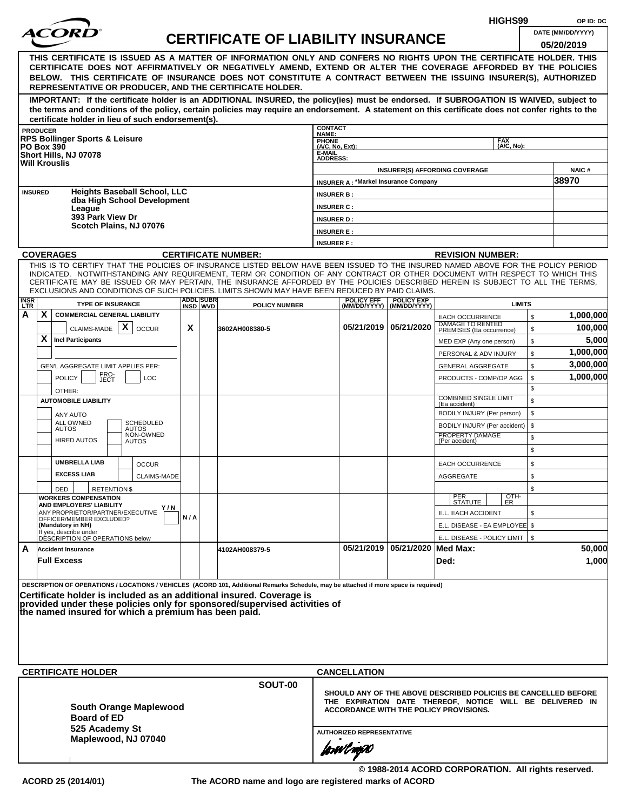|                    |                                             |                                                              |                     |                                                      |     |                               |                                                                                                                                                                                                                                                              |                              |                                             |                                                | HIGHS99                                                        |          | OP ID: DC             |
|--------------------|---------------------------------------------|--------------------------------------------------------------|---------------------|------------------------------------------------------|-----|-------------------------------|--------------------------------------------------------------------------------------------------------------------------------------------------------------------------------------------------------------------------------------------------------------|------------------------------|---------------------------------------------|------------------------------------------------|----------------------------------------------------------------|----------|-----------------------|
|                    |                                             |                                                              |                     |                                                      |     |                               | <b>CERTIFICATE OF LIABILITY INSURANCE</b>                                                                                                                                                                                                                    |                              |                                             |                                                |                                                                |          | DATE (MM/DD/YYYY)     |
|                    |                                             |                                                              |                     |                                                      |     |                               |                                                                                                                                                                                                                                                              |                              |                                             |                                                |                                                                |          | 05/20/2019            |
|                    |                                             |                                                              |                     |                                                      |     |                               | THIS CERTIFICATE IS ISSUED AS A MATTER OF INFORMATION ONLY AND CONFERS NO RIGHTS UPON THE CERTIFICATE HOLDER. THIS                                                                                                                                           |                              |                                             |                                                |                                                                |          |                       |
|                    |                                             |                                                              |                     |                                                      |     |                               | CERTIFICATE DOES NOT AFFIRMATIVELY OR NEGATIVELY AMEND, EXTEND OR ALTER THE COVERAGE AFFORDED BY THE POLICIES<br>BELOW. THIS CERTIFICATE OF INSURANCE DOES NOT CONSTITUTE A CONTRACT BETWEEN THE ISSUING INSURER(S), AUTHORIZED                              |                              |                                             |                                                |                                                                |          |                       |
|                    |                                             |                                                              |                     |                                                      |     |                               | REPRESENTATIVE OR PRODUCER, AND THE CERTIFICATE HOLDER.                                                                                                                                                                                                      |                              |                                             |                                                |                                                                |          |                       |
|                    |                                             |                                                              |                     |                                                      |     |                               | IMPORTANT: If the certificate holder is an ADDITIONAL INSURED, the policy(ies) must be endorsed. If SUBROGATION IS WAIVED, subject to                                                                                                                        |                              |                                             |                                                |                                                                |          |                       |
|                    |                                             |                                                              |                     |                                                      |     |                               | the terms and conditions of the policy, certain policies may require an endorsement. A statement on this certificate does not confer rights to the                                                                                                           |                              |                                             |                                                |                                                                |          |                       |
|                    | <b>PRODUCER</b>                             |                                                              |                     | certificate holder in lieu of such endorsement(s).   |     |                               |                                                                                                                                                                                                                                                              | <b>CONTACT</b>               |                                             |                                                |                                                                |          |                       |
|                    |                                             | <b>RPS Bollinger Sports &amp; Leisure</b>                    |                     |                                                      |     |                               |                                                                                                                                                                                                                                                              | NAME:<br>PHONE               |                                             |                                                | <b>FAX</b>                                                     |          |                       |
|                    | <b>PO Box 390</b>                           | Short Hills, NJ 07078                                        |                     |                                                      |     |                               |                                                                                                                                                                                                                                                              | $(A/C, No, Ext)$ :<br>E-MAIL |                                             |                                                | (A/C, No):                                                     |          |                       |
|                    |                                             | <b>Will Krouslis</b>                                         |                     |                                                      |     |                               |                                                                                                                                                                                                                                                              | <b>ADDRESS:</b>              |                                             |                                                |                                                                |          |                       |
|                    |                                             |                                                              |                     |                                                      |     |                               |                                                                                                                                                                                                                                                              |                              | <b>INSURER A: *Markel Insurance Company</b> |                                                | <b>INSURER(S) AFFORDING COVERAGE</b>                           |          | <b>NAIC#</b><br>38970 |
|                    | <b>INSURED</b>                              |                                                              |                     | <b>Heights Baseball School, LLC</b>                  |     |                               |                                                                                                                                                                                                                                                              | <b>INSURER B:</b>            |                                             |                                                |                                                                |          |                       |
|                    |                                             |                                                              |                     | dba High School Development                          |     |                               |                                                                                                                                                                                                                                                              | <b>INSURER C:</b>            |                                             |                                                |                                                                |          |                       |
|                    |                                             | League<br>393 Park View Dr                                   |                     |                                                      |     |                               |                                                                                                                                                                                                                                                              | <b>INSURER D:</b>            |                                             |                                                |                                                                |          |                       |
|                    |                                             |                                                              |                     | Scotch Plains, NJ 07076                              |     |                               |                                                                                                                                                                                                                                                              | <b>INSURER E:</b>            |                                             |                                                |                                                                |          |                       |
|                    |                                             |                                                              |                     |                                                      |     |                               |                                                                                                                                                                                                                                                              | <b>INSURER F:</b>            |                                             |                                                |                                                                |          |                       |
|                    |                                             | <b>COVERAGES</b>                                             |                     |                                                      |     |                               | <b>CERTIFICATE NUMBER:</b>                                                                                                                                                                                                                                   |                              |                                             |                                                | <b>REVISION NUMBER:</b>                                        |          |                       |
|                    |                                             |                                                              |                     |                                                      |     |                               | THIS IS TO CERTIFY THAT THE POLICIES OF INSURANCE LISTED BELOW HAVE BEEN ISSUED TO THE INSURED NAMED ABOVE FOR THE POLICY PERIOD                                                                                                                             |                              |                                             |                                                |                                                                |          |                       |
|                    |                                             |                                                              |                     |                                                      |     |                               | INDICATED. NOTWITHSTANDING ANY REQUIREMENT, TERM OR CONDITION OF ANY CONTRACT OR OTHER DOCUMENT WITH RESPECT TO WHICH THIS<br>CERTIFICATE MAY BE ISSUED OR MAY PERTAIN, THE INSURANCE AFFORDED BY THE POLICIES DESCRIBED HEREIN IS SUBJECT TO ALL THE TERMS. |                              |                                             |                                                |                                                                |          |                       |
|                    |                                             |                                                              |                     |                                                      |     |                               | EXCLUSIONS AND CONDITIONS OF SUCH POLICIES. LIMITS SHOWN MAY HAVE BEEN REDUCED BY PAID CLAIMS.                                                                                                                                                               |                              |                                             |                                                |                                                                |          |                       |
| <b>INSR</b><br>LTR |                                             | <b>TYPE OF INSURANCE</b>                                     |                     |                                                      |     | <b>ADDLISUBRI</b><br>INSD WVD | <b>POLICY NUMBER</b>                                                                                                                                                                                                                                         |                              | <b>POLICY EFF</b>                           | <b>POLICY EXP</b><br>(MM/DD/YYYY) (MM/DD/YYYY) | <b>LIMITS</b>                                                  |          |                       |
| А                  | X                                           | <b>COMMERCIAL GENERAL LIABILITY</b>                          |                     |                                                      |     |                               |                                                                                                                                                                                                                                                              |                              |                                             |                                                | <b>EACH OCCURRENCE</b>                                         | \$       | 1,000,000             |
|                    |                                             | CLAIMS-MADE                                                  |                     | X<br><b>OCCUR</b>                                    | X   |                               | 3602AH008380-5                                                                                                                                                                                                                                               |                              |                                             | 05/21/2019   05/21/2020                        | DAMAGE TO RENTED<br>PREMISES (Ea occurrence)                   | \$       | 100,000               |
|                    | X                                           | <b>Incl Participants</b>                                     |                     |                                                      |     |                               |                                                                                                                                                                                                                                                              |                              |                                             |                                                | MED EXP (Any one person)                                       | \$       | 5,000                 |
|                    |                                             |                                                              |                     |                                                      |     |                               |                                                                                                                                                                                                                                                              |                              |                                             |                                                | PERSONAL & ADV INJURY                                          | \$       | 1,000,000             |
|                    | GEN'L AGGREGATE LIMIT APPLIES PER:          |                                                              |                     |                                                      |     |                               |                                                                                                                                                                                                                                                              |                              |                                             |                                                | <b>GENERAL AGGREGATE</b>                                       | \$       | 3,000,000             |
|                    | PRO-<br>JECT<br><b>POLICY</b><br><b>LOC</b> |                                                              |                     |                                                      |     |                               |                                                                                                                                                                                                                                                              |                              |                                             |                                                | PRODUCTS - COMP/OP AGG                                         | \$       | 1,000,000             |
|                    |                                             | OTHER:                                                       |                     |                                                      |     |                               |                                                                                                                                                                                                                                                              |                              |                                             |                                                | <b>COMBINED SINGLE LIMIT</b>                                   | \$       |                       |
|                    |                                             | <b>AUTOMOBILE LIABILITY</b>                                  |                     |                                                      |     |                               |                                                                                                                                                                                                                                                              |                              |                                             |                                                | (Ea accident)                                                  | \$<br>\$ |                       |
|                    |                                             | <b>ANY AUTO</b><br>ALL OWNED                                 |                     | <b>SCHEDULED</b>                                     |     |                               |                                                                                                                                                                                                                                                              |                              |                                             |                                                | BODILY INJURY (Per person)<br>BODILY INJURY (Per accident)     | \$       |                       |
|                    |                                             | <b>AUTOS</b>                                                 |                     | <b>AUTOS</b><br>NON-OWNED                            |     |                               |                                                                                                                                                                                                                                                              |                              |                                             |                                                | PROPERTY DAMAGE                                                | \$       |                       |
|                    |                                             | <b>HIRED AUTOS</b>                                           |                     | <b>AUTOS</b>                                         |     |                               |                                                                                                                                                                                                                                                              |                              |                                             |                                                | (Per accident)                                                 | \$       |                       |
|                    |                                             | <b>UMBRELLA LIAB</b>                                         |                     | <b>OCCUR</b>                                         |     |                               |                                                                                                                                                                                                                                                              |                              |                                             |                                                | <b>EACH OCCURRENCE</b>                                         | \$       |                       |
|                    |                                             | <b>EXCESS LIAB</b>                                           |                     | CLAIMS-MADE                                          |     |                               |                                                                                                                                                                                                                                                              |                              |                                             |                                                | AGGREGATE                                                      | \$       |                       |
|                    |                                             | DED                                                          | <b>RETENTION \$</b> |                                                      |     |                               |                                                                                                                                                                                                                                                              |                              |                                             |                                                |                                                                | \$       |                       |
|                    |                                             | <b>WORKERS COMPENSATION</b>                                  |                     |                                                      |     |                               |                                                                                                                                                                                                                                                              |                              |                                             |                                                | OTH-<br>ER<br>PER<br>STATUTE                                   |          |                       |
|                    |                                             | AND EMPLOYERS' LIABILITY<br>ANY PROPRIETOR/PARTNER/EXECUTIVE |                     | Y / N                                                |     |                               |                                                                                                                                                                                                                                                              |                              |                                             |                                                | E.L. EACH ACCIDENT                                             | \$       |                       |
|                    |                                             | OFFICER/MEMBER EXCLUDED?<br>(Mandatory in NH)                |                     |                                                      | N/A |                               |                                                                                                                                                                                                                                                              |                              |                                             |                                                | E.L. DISEASE - EA EMPLOYEE \$                                  |          |                       |
|                    |                                             | If yes, describe under<br>DÉSCRIPTION OF OPERATIONS below    |                     |                                                      |     |                               |                                                                                                                                                                                                                                                              |                              |                                             |                                                | E.L. DISEASE - POLICY LIMIT   \$                               |          |                       |
| A                  |                                             | <b>Accident Insurance</b>                                    |                     |                                                      |     |                               | 4102AH008379-5                                                                                                                                                                                                                                               |                              |                                             | 05/21/2019   05/21/2020   Med Max:             |                                                                |          | 50,000                |
|                    |                                             | <b>Full Excess</b>                                           |                     |                                                      |     |                               |                                                                                                                                                                                                                                                              |                              |                                             |                                                | Ded:                                                           |          | 1,000                 |
|                    |                                             |                                                              |                     |                                                      |     |                               |                                                                                                                                                                                                                                                              |                              |                                             |                                                |                                                                |          |                       |
|                    |                                             |                                                              |                     |                                                      |     |                               | DESCRIPTION OF OPERATIONS / LOCATIONS / VEHICLES (ACORD 101, Additional Remarks Schedule, may be attached if more space is required)                                                                                                                         |                              |                                             |                                                |                                                                |          |                       |
|                    |                                             |                                                              |                     |                                                      |     |                               | Certificate holder is included as an additional insured. Coverage is<br>provided under these policies only for sponsored/supervised activities of                                                                                                            |                              |                                             |                                                |                                                                |          |                       |
|                    |                                             |                                                              |                     | the named insured for which a premium has been paid. |     |                               |                                                                                                                                                                                                                                                              |                              |                                             |                                                |                                                                |          |                       |
|                    |                                             |                                                              |                     |                                                      |     |                               |                                                                                                                                                                                                                                                              |                              |                                             |                                                |                                                                |          |                       |
|                    |                                             |                                                              |                     |                                                      |     |                               |                                                                                                                                                                                                                                                              |                              |                                             |                                                |                                                                |          |                       |
|                    |                                             |                                                              |                     |                                                      |     |                               |                                                                                                                                                                                                                                                              |                              |                                             |                                                |                                                                |          |                       |
|                    |                                             |                                                              |                     |                                                      |     |                               |                                                                                                                                                                                                                                                              |                              |                                             |                                                |                                                                |          |                       |
|                    |                                             | <b>CERTIFICATE HOLDER</b>                                    |                     |                                                      |     |                               |                                                                                                                                                                                                                                                              |                              | <b>CANCELLATION</b>                         |                                                |                                                                |          |                       |
|                    |                                             |                                                              |                     |                                                      |     |                               | SOUT-00                                                                                                                                                                                                                                                      |                              |                                             |                                                | SHOULD ANY OF THE ABOVE DESCRIBED POLICIES BE CANCELLED BEFORE |          |                       |
|                    |                                             |                                                              |                     | <b>South Orange Maplewood</b>                        |     |                               |                                                                                                                                                                                                                                                              |                              |                                             |                                                | THE EXPIRATION DATE THEREOF, NOTICE WILL BE DELIVERED IN       |          |                       |
|                    |                                             | <b>Board of ED</b>                                           |                     |                                                      |     |                               |                                                                                                                                                                                                                                                              |                              |                                             |                                                | <b>ACCORDANCE WITH THE POLICY PROVISIONS.</b>                  |          |                       |
|                    |                                             | 525 Academy St                                               |                     |                                                      |     |                               |                                                                                                                                                                                                                                                              |                              | <b>AUTHORIZED REPRESENTATIVE</b>            |                                                |                                                                |          |                       |
|                    |                                             |                                                              |                     | Maplewood, NJ 07040                                  |     |                               |                                                                                                                                                                                                                                                              |                              |                                             |                                                |                                                                |          |                       |
|                    |                                             |                                                              |                     |                                                      |     |                               |                                                                                                                                                                                                                                                              |                              | forwl now                                   |                                                |                                                                |          |                       |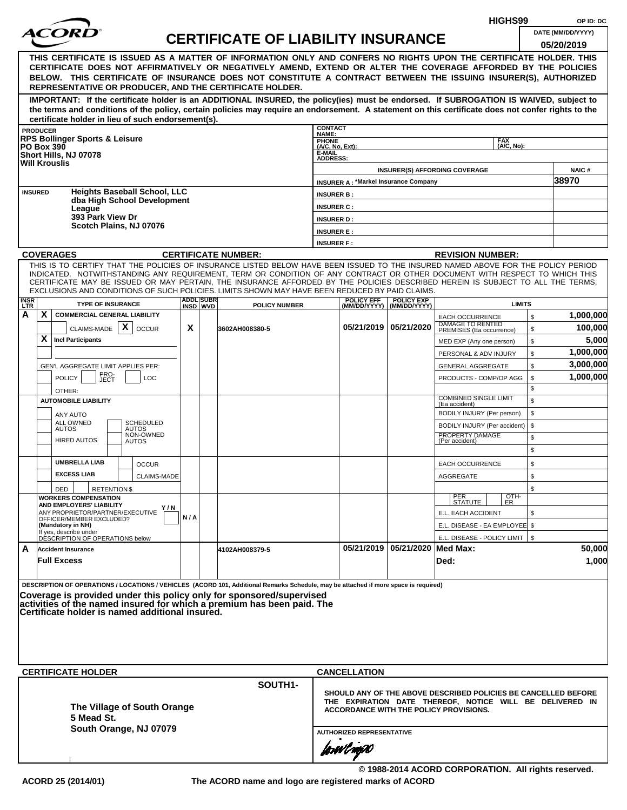|                           |                                           |                                                                    |                     |                                                       |     |                  |                                                                                                                                                                                                                                                                                                                                                                                                                                                                                                    |                                                       |                                             |                                                  |                                                                                                                                                                             | HIGHS99                  |          | OP ID: DC                       |
|---------------------------|-------------------------------------------|--------------------------------------------------------------------|---------------------|-------------------------------------------------------|-----|------------------|----------------------------------------------------------------------------------------------------------------------------------------------------------------------------------------------------------------------------------------------------------------------------------------------------------------------------------------------------------------------------------------------------------------------------------------------------------------------------------------------------|-------------------------------------------------------|---------------------------------------------|--------------------------------------------------|-----------------------------------------------------------------------------------------------------------------------------------------------------------------------------|--------------------------|----------|---------------------------------|
|                           |                                           |                                                                    |                     |                                                       |     |                  | <b>CERTIFICATE OF LIABILITY INSURANCE</b>                                                                                                                                                                                                                                                                                                                                                                                                                                                          |                                                       |                                             |                                                  |                                                                                                                                                                             |                          |          | DATE (MM/DD/YYYY)<br>05/20/2019 |
|                           |                                           |                                                                    |                     |                                                       |     |                  | THIS CERTIFICATE IS ISSUED AS A MATTER OF INFORMATION ONLY AND CONFERS NO RIGHTS UPON THE CERTIFICATE HOLDER. THIS<br>CERTIFICATE DOES NOT AFFIRMATIVELY OR NEGATIVELY AMEND, EXTEND OR ALTER THE COVERAGE AFFORDED BY THE POLICIES<br>BELOW. THIS CERTIFICATE OF INSURANCE DOES NOT CONSTITUTE A CONTRACT BETWEEN THE ISSUING INSURER(S), AUTHORIZED<br>REPRESENTATIVE OR PRODUCER, AND THE CERTIFICATE HOLDER.                                                                                   |                                                       |                                             |                                                  |                                                                                                                                                                             |                          |          |                                 |
|                           |                                           |                                                                    |                     | certificate holder in lieu of such endorsement(s).    |     |                  | IMPORTANT: If the certificate holder is an ADDITIONAL INSURED, the policy(ies) must be endorsed. If SUBROGATION IS WAIVED, subject to<br>the terms and conditions of the policy, certain policies may require an endorsement. A statement on this certificate does not confer rights to the                                                                                                                                                                                                        |                                                       |                                             |                                                  |                                                                                                                                                                             |                          |          |                                 |
|                           | <b>PRODUCER</b>                           |                                                                    |                     |                                                       |     |                  |                                                                                                                                                                                                                                                                                                                                                                                                                                                                                                    | <b>CONTACT</b><br>NAME:                               |                                             |                                                  |                                                                                                                                                                             |                          |          |                                 |
|                           | <b>PO Box 390</b><br><b>Will Krouslis</b> | <b>RPS Bollinger Sports &amp; Leisure</b><br>Short Hills, NJ 07078 |                     |                                                       |     |                  |                                                                                                                                                                                                                                                                                                                                                                                                                                                                                                    | PHONE<br>(A/C, No, Ext):<br>E-MAIL<br><b>ADDRESS:</b> |                                             |                                                  |                                                                                                                                                                             | <b>FAX</b><br>(A/C, No): |          |                                 |
|                           |                                           |                                                                    |                     |                                                       |     |                  |                                                                                                                                                                                                                                                                                                                                                                                                                                                                                                    |                                                       |                                             |                                                  | <b>INSURER(S) AFFORDING COVERAGE</b>                                                                                                                                        |                          |          | NAIC#                           |
| <b>INSURED</b>            |                                           |                                                                    |                     | <b>Heights Baseball School, LLC</b>                   |     |                  |                                                                                                                                                                                                                                                                                                                                                                                                                                                                                                    |                                                       | <b>INSURER A: *Markel Insurance Company</b> |                                                  |                                                                                                                                                                             |                          |          | 38970                           |
|                           |                                           |                                                                    |                     | dba High School Development                           |     |                  |                                                                                                                                                                                                                                                                                                                                                                                                                                                                                                    | <b>INSURER B:</b><br><b>INSURER C:</b>                |                                             |                                                  |                                                                                                                                                                             |                          |          |                                 |
|                           |                                           | League<br>393 Park View Dr                                         |                     |                                                       |     |                  |                                                                                                                                                                                                                                                                                                                                                                                                                                                                                                    | <b>INSURER D:</b>                                     |                                             |                                                  |                                                                                                                                                                             |                          |          |                                 |
|                           |                                           |                                                                    |                     | Scotch Plains, NJ 07076                               |     |                  |                                                                                                                                                                                                                                                                                                                                                                                                                                                                                                    | <b>INSURER E:</b>                                     |                                             |                                                  |                                                                                                                                                                             |                          |          |                                 |
|                           |                                           |                                                                    |                     |                                                       |     |                  |                                                                                                                                                                                                                                                                                                                                                                                                                                                                                                    | <b>INSURER F:</b>                                     |                                             |                                                  |                                                                                                                                                                             |                          |          |                                 |
|                           | <b>COVERAGES</b>                          |                                                                    |                     |                                                       |     |                  | <b>CERTIFICATE NUMBER:</b>                                                                                                                                                                                                                                                                                                                                                                                                                                                                         |                                                       |                                             |                                                  | <b>REVISION NUMBER:</b>                                                                                                                                                     |                          |          |                                 |
|                           |                                           |                                                                    |                     |                                                       |     | <b>ADDL SUBR</b> | THIS IS TO CERTIFY THAT THE POLICIES OF INSURANCE LISTED BELOW HAVE BEEN ISSUED TO THE INSURED NAMED ABOVE FOR THE POLICY PERIOD<br>INDICATED. NOTWITHSTANDING ANY REQUIREMENT, TERM OR CONDITION OF ANY CONTRACT OR OTHER DOCUMENT WITH RESPECT TO WHICH THIS<br>CERTIFICATE MAY BE ISSUED OR MAY PERTAIN, THE INSURANCE AFFORDED BY THE POLICIES DESCRIBED HEREIN IS SUBJECT TO ALL THE TERMS,<br>EXCLUSIONS AND CONDITIONS OF SUCH POLICIES. LIMITS SHOWN MAY HAVE BEEN REDUCED BY PAID CLAIMS. |                                                       |                                             |                                                  |                                                                                                                                                                             |                          |          |                                 |
| <b>INSR</b><br><b>LTR</b> |                                           | <b>TYPE OF INSURANCE</b>                                           |                     |                                                       |     | INSD WVD         | <b>POLICY NUMBER</b>                                                                                                                                                                                                                                                                                                                                                                                                                                                                               |                                                       | <b>POLICY EFF</b>                           | <b>POLICY EXP</b><br>(MM/DD/YYYY)   (MM/DD/YYYY) |                                                                                                                                                                             | <b>LIMITS</b>            |          |                                 |
| A                         | X                                         | <b>COMMERCIAL GENERAL LIABILITY</b><br>CLAIMS-MADE                 |                     | $\mathsf{x}$<br><b>OCCUR</b>                          | X   |                  | 3602AH008380-5                                                                                                                                                                                                                                                                                                                                                                                                                                                                                     |                                                       |                                             | 05/21/2019   05/21/2020                          | <b>EACH OCCURRENCE</b><br>DAMAGE TO RENTED<br>PREMISES (Ea occurrence)                                                                                                      |                          | \$<br>\$ | 1,000,000<br>100,000            |
|                           | X                                         | <b>Incl Participants</b>                                           |                     |                                                       |     |                  |                                                                                                                                                                                                                                                                                                                                                                                                                                                                                                    |                                                       |                                             |                                                  | MED EXP (Any one person)                                                                                                                                                    |                          | \$       | 5,000                           |
|                           |                                           |                                                                    |                     |                                                       |     |                  |                                                                                                                                                                                                                                                                                                                                                                                                                                                                                                    |                                                       |                                             |                                                  | PERSONAL & ADV INJURY                                                                                                                                                       |                          | \$       | 1,000,000                       |
|                           |                                           | GEN'L AGGREGATE LIMIT APPLIES PER:                                 |                     |                                                       |     |                  |                                                                                                                                                                                                                                                                                                                                                                                                                                                                                                    |                                                       |                                             |                                                  | <b>GENERAL AGGREGATE</b>                                                                                                                                                    |                          | \$       | 3,000,000                       |
|                           | PRO-<br><b>POLICY</b><br>LOC<br>JECT      |                                                                    |                     |                                                       |     |                  |                                                                                                                                                                                                                                                                                                                                                                                                                                                                                                    |                                                       |                                             |                                                  | PRODUCTS - COMP/OP AGG                                                                                                                                                      |                          | \$       | 1,000,000                       |
|                           | OTHER:<br><b>AUTOMOBILE LIABILITY</b>     |                                                                    |                     |                                                       |     |                  |                                                                                                                                                                                                                                                                                                                                                                                                                                                                                                    |                                                       |                                             |                                                  | <b>COMBINED SINGLE LIMIT</b>                                                                                                                                                |                          | \$<br>\$ |                                 |
|                           |                                           |                                                                    |                     |                                                       |     |                  |                                                                                                                                                                                                                                                                                                                                                                                                                                                                                                    |                                                       |                                             |                                                  | (Ea accident)<br>BODILY INJURY (Per person)                                                                                                                                 |                          | \$       |                                 |
|                           |                                           | <b>ANY AUTO</b><br>ALL OWNED                                       |                     | SCHEDULED                                             |     |                  |                                                                                                                                                                                                                                                                                                                                                                                                                                                                                                    |                                                       |                                             |                                                  | BODILY INJURY (Per accident)                                                                                                                                                |                          | \$       |                                 |
|                           |                                           | <b>AUTOS</b><br><b>HIRED AUTOS</b>                                 |                     | AUTOS<br>NON-OWNED<br><b>AUTOS</b>                    |     |                  |                                                                                                                                                                                                                                                                                                                                                                                                                                                                                                    |                                                       |                                             |                                                  | PROPERTY DAMAGE<br>(Per accident)                                                                                                                                           |                          | \$<br>\$ |                                 |
|                           |                                           | <b>UMBRELLA LIAB</b>                                               |                     | <b>OCCUR</b>                                          |     |                  |                                                                                                                                                                                                                                                                                                                                                                                                                                                                                                    |                                                       |                                             |                                                  | <b>EACH OCCURRENCE</b>                                                                                                                                                      |                          | \$       |                                 |
|                           |                                           | <b>EXCESS LIAB</b>                                                 |                     | <b>CLAIMS-MADE</b>                                    |     |                  |                                                                                                                                                                                                                                                                                                                                                                                                                                                                                                    |                                                       |                                             |                                                  | <b>AGGREGATE</b>                                                                                                                                                            |                          | \$       |                                 |
|                           |                                           | DED                                                                | <b>RETENTION \$</b> |                                                       |     |                  |                                                                                                                                                                                                                                                                                                                                                                                                                                                                                                    |                                                       |                                             |                                                  |                                                                                                                                                                             |                          | \$       |                                 |
|                           |                                           | <b>WORKERS COMPENSATION</b>                                        |                     |                                                       |     |                  |                                                                                                                                                                                                                                                                                                                                                                                                                                                                                                    |                                                       |                                             |                                                  | PER<br>STATUTE                                                                                                                                                              | OTH-<br>ER               |          |                                 |
|                           |                                           | AND EMPLOYERS' LIABILITY<br>ANY PROPRIETOR/PARTNER/EXECUTIVE       |                     | Y / N                                                 |     |                  |                                                                                                                                                                                                                                                                                                                                                                                                                                                                                                    |                                                       |                                             |                                                  | E.L. EACH ACCIDENT                                                                                                                                                          |                          | \$       |                                 |
|                           |                                           | OFFICER/MEMBER EXCLUDED?<br>(Mandatory in NH)                      |                     |                                                       | N/A |                  |                                                                                                                                                                                                                                                                                                                                                                                                                                                                                                    |                                                       |                                             |                                                  | E.L. DISEASE - EA EMPLOYEE \$                                                                                                                                               |                          |          |                                 |
|                           |                                           | If yes, describe under<br>DESCRIPTION OF OPERATIONS below          |                     |                                                       |     |                  |                                                                                                                                                                                                                                                                                                                                                                                                                                                                                                    |                                                       |                                             |                                                  | E.L. DISEASE - POLICY LIMIT   \$                                                                                                                                            |                          |          |                                 |
| A                         | <b>Full Excess</b>                        | <b>Accident Insurance</b>                                          |                     |                                                       |     |                  | 4102AH008379-5                                                                                                                                                                                                                                                                                                                                                                                                                                                                                     |                                                       |                                             | 05/21/2019 05/21/2020 Med Max:                   | Ded:                                                                                                                                                                        |                          |          | 50,000<br>1,000                 |
|                           |                                           |                                                                    |                     |                                                       |     |                  | DESCRIPTION OF OPERATIONS / LOCATIONS / VEHICLES (ACORD 101, Additional Remarks Schedule, may be attached if more space is required)                                                                                                                                                                                                                                                                                                                                                               |                                                       |                                             |                                                  |                                                                                                                                                                             |                          |          |                                 |
|                           |                                           |                                                                    |                     | Certificate holder is named additional insured.       |     |                  | Coverage is provided under this policy only for sponsored/supervised<br>activities of the named insured for which a premium has been paid. The                                                                                                                                                                                                                                                                                                                                                     |                                                       |                                             |                                                  |                                                                                                                                                                             |                          |          |                                 |
|                           |                                           | <b>CERTIFICATE HOLDER</b>                                          |                     |                                                       |     |                  |                                                                                                                                                                                                                                                                                                                                                                                                                                                                                                    |                                                       | <b>CANCELLATION</b>                         |                                                  |                                                                                                                                                                             |                          |          |                                 |
|                           |                                           | 5 Mead St.                                                         |                     | The Village of South Orange<br>South Orange, NJ 07079 |     |                  | SOUTH1-                                                                                                                                                                                                                                                                                                                                                                                                                                                                                            |                                                       | <b>AUTHORIZED REPRESENTATIVE</b>            |                                                  | SHOULD ANY OF THE ABOVE DESCRIBED POLICIES BE CANCELLED BEFORE<br>THE EXPIRATION DATE THEREOF, NOTICE WILL BE DELIVERED IN<br><b>ACCORDANCE WITH THE POLICY PROVISIONS.</b> |                          |          |                                 |
|                           |                                           |                                                                    |                     |                                                       |     |                  |                                                                                                                                                                                                                                                                                                                                                                                                                                                                                                    |                                                       | forwl now                                   |                                                  |                                                                                                                                                                             |                          |          |                                 |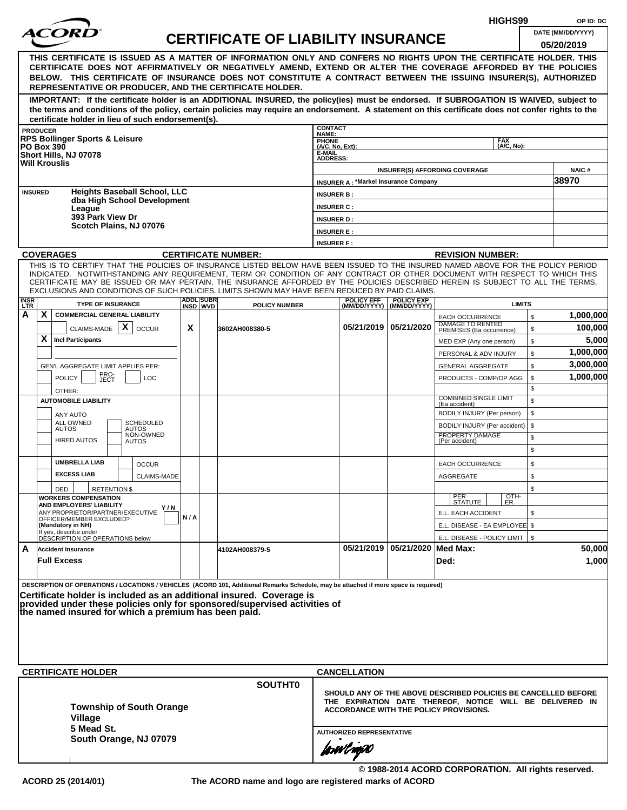|                    |                                                                  |                                                              |                     |                                                      |     |                   |                                                                                                                                                                                                                                                              |                              |                                             |                                    |                                                                | HIGHS99       |          | OP ID: DC                                                |
|--------------------|------------------------------------------------------------------|--------------------------------------------------------------|---------------------|------------------------------------------------------|-----|-------------------|--------------------------------------------------------------------------------------------------------------------------------------------------------------------------------------------------------------------------------------------------------------|------------------------------|---------------------------------------------|------------------------------------|----------------------------------------------------------------|---------------|----------|----------------------------------------------------------|
|                    |                                                                  |                                                              |                     |                                                      |     |                   | <b>CERTIFICATE OF LIABILITY INSURANCE</b>                                                                                                                                                                                                                    |                              |                                             |                                    |                                                                |               |          | DATE (MM/DD/YYYY)                                        |
|                    |                                                                  |                                                              |                     |                                                      |     |                   |                                                                                                                                                                                                                                                              |                              |                                             |                                    |                                                                |               |          | 05/20/2019                                               |
|                    |                                                                  |                                                              |                     |                                                      |     |                   | THIS CERTIFICATE IS ISSUED AS A MATTER OF INFORMATION ONLY AND CONFERS NO RIGHTS UPON THE CERTIFICATE HOLDER. THIS                                                                                                                                           |                              |                                             |                                    |                                                                |               |          |                                                          |
|                    |                                                                  |                                                              |                     |                                                      |     |                   | CERTIFICATE DOES NOT AFFIRMATIVELY OR NEGATIVELY AMEND, EXTEND OR ALTER THE COVERAGE AFFORDED BY THE POLICIES<br>BELOW. THIS CERTIFICATE OF INSURANCE DOES NOT CONSTITUTE A CONTRACT BETWEEN THE ISSUING INSURER(S), AUTHORIZED                              |                              |                                             |                                    |                                                                |               |          |                                                          |
|                    |                                                                  |                                                              |                     |                                                      |     |                   | REPRESENTATIVE OR PRODUCER, AND THE CERTIFICATE HOLDER.                                                                                                                                                                                                      |                              |                                             |                                    |                                                                |               |          |                                                          |
|                    |                                                                  |                                                              |                     |                                                      |     |                   | IMPORTANT: If the certificate holder is an ADDITIONAL INSURED, the policy(ies) must be endorsed. If SUBROGATION IS WAIVED, subject to                                                                                                                        |                              |                                             |                                    |                                                                |               |          |                                                          |
|                    |                                                                  |                                                              |                     |                                                      |     |                   | the terms and conditions of the policy, certain policies may require an endorsement. A statement on this certificate does not confer rights to the                                                                                                           |                              |                                             |                                    |                                                                |               |          |                                                          |
|                    | <b>PRODUCER</b>                                                  |                                                              |                     | certificate holder in lieu of such endorsement(s).   |     |                   |                                                                                                                                                                                                                                                              | <b>CONTACT</b>               |                                             |                                    |                                                                |               |          |                                                          |
|                    |                                                                  | <b>RPS Bollinger Sports &amp; Leisure</b>                    |                     |                                                      |     |                   |                                                                                                                                                                                                                                                              | NAME:<br>PHONE               |                                             |                                    |                                                                | <b>FAX</b>    |          |                                                          |
| <b>PO Box 390</b>  |                                                                  | Short Hills, NJ 07078                                        |                     |                                                      |     |                   |                                                                                                                                                                                                                                                              | $(A/C, No, Ext)$ :<br>E-MAIL |                                             |                                    |                                                                | (A/C, No):    |          |                                                          |
|                    |                                                                  | <b>Will Krouslis</b>                                         |                     |                                                      |     |                   |                                                                                                                                                                                                                                                              | <b>ADDRESS:</b>              |                                             |                                    |                                                                |               |          |                                                          |
|                    |                                                                  |                                                              |                     |                                                      |     |                   |                                                                                                                                                                                                                                                              |                              | <b>INSURER A: *Markel Insurance Company</b> |                                    | <b>INSURER(S) AFFORDING COVERAGE</b>                           |               |          | <b>NAIC#</b><br>38970                                    |
| <b>INSURED</b>     |                                                                  |                                                              |                     | <b>Heights Baseball School, LLC</b>                  |     |                   |                                                                                                                                                                                                                                                              | <b>INSURER B:</b>            |                                             |                                    |                                                                |               |          |                                                          |
|                    |                                                                  |                                                              |                     | dba High School Development                          |     |                   |                                                                                                                                                                                                                                                              | <b>INSURER C:</b>            |                                             |                                    |                                                                |               |          |                                                          |
|                    |                                                                  | League<br>393 Park View Dr                                   |                     |                                                      |     |                   |                                                                                                                                                                                                                                                              | <b>INSURER D:</b>            |                                             |                                    |                                                                |               |          |                                                          |
|                    |                                                                  |                                                              |                     | Scotch Plains, NJ 07076                              |     |                   |                                                                                                                                                                                                                                                              | <b>INSURER E:</b>            |                                             |                                    |                                                                |               |          |                                                          |
|                    |                                                                  |                                                              |                     |                                                      |     |                   |                                                                                                                                                                                                                                                              | <b>INSURER F:</b>            |                                             |                                    |                                                                |               |          |                                                          |
|                    |                                                                  | <b>COVERAGES</b>                                             |                     |                                                      |     |                   | <b>CERTIFICATE NUMBER:</b>                                                                                                                                                                                                                                   |                              |                                             |                                    | <b>REVISION NUMBER:</b>                                        |               |          |                                                          |
|                    |                                                                  |                                                              |                     |                                                      |     |                   | THIS IS TO CERTIFY THAT THE POLICIES OF INSURANCE LISTED BELOW HAVE BEEN ISSUED TO THE INSURED NAMED ABOVE FOR THE POLICY PERIOD                                                                                                                             |                              |                                             |                                    |                                                                |               |          |                                                          |
|                    |                                                                  |                                                              |                     |                                                      |     |                   | INDICATED. NOTWITHSTANDING ANY REQUIREMENT, TERM OR CONDITION OF ANY CONTRACT OR OTHER DOCUMENT WITH RESPECT TO WHICH THIS<br>CERTIFICATE MAY BE ISSUED OR MAY PERTAIN, THE INSURANCE AFFORDED BY THE POLICIES DESCRIBED HEREIN IS SUBJECT TO ALL THE TERMS. |                              |                                             |                                    |                                                                |               |          |                                                          |
|                    |                                                                  |                                                              |                     |                                                      |     | <b>ADDLISUBRI</b> | EXCLUSIONS AND CONDITIONS OF SUCH POLICIES. LIMITS SHOWN MAY HAVE BEEN REDUCED BY PAID CLAIMS.                                                                                                                                                               |                              | <b>POLICY EFF</b>                           | <b>POLICY EXP</b>                  |                                                                |               |          |                                                          |
| <b>INSR</b><br>LTR |                                                                  | <b>TYPE OF INSURANCE</b>                                     |                     |                                                      |     | INSD WVD          | <b>POLICY NUMBER</b>                                                                                                                                                                                                                                         |                              |                                             | (MM/DD/YYYY) (MM/DD/YYYY)          |                                                                | <b>LIMITS</b> |          |                                                          |
| А                  | X                                                                | <b>COMMERCIAL GENERAL LIABILITY</b>                          |                     |                                                      |     |                   |                                                                                                                                                                                                                                                              |                              |                                             |                                    | <b>EACH OCCURRENCE</b>                                         |               | \$       | 1,000,000                                                |
|                    |                                                                  | CLAIMS-MADE                                                  |                     | X<br><b>OCCUR</b>                                    | X   |                   | 3602AH008380-5                                                                                                                                                                                                                                               |                              |                                             | 05/21/2019   05/21/2020            | DAMAGE TO RENTED<br>PREMISES (Ea occurrence)                   |               | \$       | 100,000                                                  |
|                    | X                                                                | <b>Incl Participants</b>                                     |                     |                                                      |     |                   |                                                                                                                                                                                                                                                              |                              |                                             |                                    | MED EXP (Any one person)                                       |               | \$       | 5,000                                                    |
|                    |                                                                  |                                                              |                     |                                                      |     |                   |                                                                                                                                                                                                                                                              |                              |                                             |                                    | PERSONAL & ADV INJURY                                          |               | \$       | 1,000,000                                                |
|                    | GEN'L AGGREGATE LIMIT APPLIES PER:<br>PRO-<br>JECT<br><b>LOC</b> |                                                              |                     |                                                      |     |                   |                                                                                                                                                                                                                                                              |                              |                                             |                                    | <b>GENERAL AGGREGATE</b>                                       |               | \$       | 3,000,000<br>1,000,000                                   |
|                    | <b>POLICY</b>                                                    |                                                              |                     |                                                      |     |                   |                                                                                                                                                                                                                                                              |                              |                                             |                                    | PRODUCTS - COMP/OP AGG                                         |               | \$<br>\$ |                                                          |
|                    |                                                                  | OTHER:<br><b>AUTOMOBILE LIABILITY</b>                        |                     |                                                      |     |                   |                                                                                                                                                                                                                                                              |                              |                                             |                                    | <b>COMBINED SINGLE LIMIT</b>                                   |               | \$       |                                                          |
|                    |                                                                  | <b>ANY AUTO</b>                                              |                     |                                                      |     |                   |                                                                                                                                                                                                                                                              |                              |                                             |                                    | (Ea accident)<br>BODILY INJURY (Per person)                    |               | \$       |                                                          |
|                    |                                                                  | ALL OWNED                                                    |                     | <b>SCHEDULED</b>                                     |     |                   |                                                                                                                                                                                                                                                              |                              |                                             |                                    | BODILY INJURY (Per accident)                                   |               | \$       |                                                          |
|                    |                                                                  | <b>AUTOS</b><br><b>HIRED AUTOS</b>                           |                     | <b>AUTOS</b><br>NON-OWNED<br><b>AUTOS</b>            |     |                   |                                                                                                                                                                                                                                                              |                              |                                             |                                    | PROPERTY DAMAGE<br>(Per accident)                              |               | \$       |                                                          |
|                    |                                                                  |                                                              |                     |                                                      |     |                   |                                                                                                                                                                                                                                                              |                              |                                             |                                    |                                                                |               | \$       |                                                          |
|                    |                                                                  | <b>UMBRELLA LIAB</b>                                         |                     | <b>OCCUR</b>                                         |     |                   |                                                                                                                                                                                                                                                              |                              |                                             |                                    | <b>EACH OCCURRENCE</b>                                         |               | \$       |                                                          |
|                    |                                                                  | <b>EXCESS LIAB</b>                                           |                     | CLAIMS-MADE                                          |     |                   |                                                                                                                                                                                                                                                              |                              |                                             |                                    | AGGREGATE                                                      |               | \$       |                                                          |
|                    |                                                                  | DED                                                          | <b>RETENTION \$</b> |                                                      |     |                   |                                                                                                                                                                                                                                                              |                              |                                             |                                    |                                                                |               | \$       |                                                          |
|                    |                                                                  | <b>WORKERS COMPENSATION</b><br>AND EMPLOYERS' LIABILITY      |                     |                                                      |     |                   |                                                                                                                                                                                                                                                              |                              |                                             |                                    | PER<br>STATUTE                                                 | OTH-<br>ER    |          |                                                          |
|                    |                                                                  | ANY PROPRIETOR/PARTNER/EXECUTIVE<br>OFFICER/MEMBER EXCLUDED? |                     | Y / N                                                | N/A |                   |                                                                                                                                                                                                                                                              |                              |                                             |                                    | E.L. EACH ACCIDENT                                             |               | \$       |                                                          |
|                    |                                                                  | (Mandatory in NH)<br>If yes, describe under                  |                     |                                                      |     |                   |                                                                                                                                                                                                                                                              |                              |                                             |                                    | E.L. DISEASE - EA EMPLOYEE \$                                  |               |          |                                                          |
|                    |                                                                  | DÉSCRIPTION OF OPERATIONS below                              |                     |                                                      |     |                   |                                                                                                                                                                                                                                                              |                              |                                             |                                    | E.L. DISEASE - POLICY LIMIT   \$                               |               |          |                                                          |
| A                  |                                                                  | <b>Accident Insurance</b>                                    |                     |                                                      |     |                   | 4102AH008379-5                                                                                                                                                                                                                                               |                              |                                             | 05/21/2019   05/21/2020   Med Max: |                                                                |               |          | 50,000                                                   |
|                    |                                                                  | <b>Full Excess</b>                                           |                     |                                                      |     |                   |                                                                                                                                                                                                                                                              |                              |                                             |                                    | Ded:                                                           |               |          | 1,000                                                    |
|                    |                                                                  |                                                              |                     |                                                      |     |                   | DESCRIPTION OF OPERATIONS / LOCATIONS / VEHICLES (ACORD 101, Additional Remarks Schedule, may be attached if more space is required)                                                                                                                         |                              |                                             |                                    |                                                                |               |          |                                                          |
|                    |                                                                  |                                                              |                     |                                                      |     |                   | Certificate holder is included as an additional insured. Coverage is                                                                                                                                                                                         |                              |                                             |                                    |                                                                |               |          |                                                          |
|                    |                                                                  |                                                              |                     |                                                      |     |                   | provided under these policies only for sponsored/supervised activities of                                                                                                                                                                                    |                              |                                             |                                    |                                                                |               |          |                                                          |
|                    |                                                                  |                                                              |                     | the named insured for which a premium has been paid. |     |                   |                                                                                                                                                                                                                                                              |                              |                                             |                                    |                                                                |               |          |                                                          |
|                    |                                                                  |                                                              |                     |                                                      |     |                   |                                                                                                                                                                                                                                                              |                              |                                             |                                    |                                                                |               |          |                                                          |
|                    |                                                                  |                                                              |                     |                                                      |     |                   |                                                                                                                                                                                                                                                              |                              |                                             |                                    |                                                                |               |          |                                                          |
|                    |                                                                  |                                                              |                     |                                                      |     |                   |                                                                                                                                                                                                                                                              |                              |                                             |                                    |                                                                |               |          |                                                          |
|                    |                                                                  | <b>CERTIFICATE HOLDER</b>                                    |                     |                                                      |     |                   |                                                                                                                                                                                                                                                              |                              | <b>CANCELLATION</b>                         |                                    |                                                                |               |          |                                                          |
|                    |                                                                  |                                                              |                     |                                                      |     |                   | <b>SOUTHT0</b>                                                                                                                                                                                                                                               |                              |                                             |                                    |                                                                |               |          |                                                          |
|                    |                                                                  |                                                              |                     |                                                      |     |                   |                                                                                                                                                                                                                                                              |                              |                                             |                                    | SHOULD ANY OF THE ABOVE DESCRIBED POLICIES BE CANCELLED BEFORE |               |          |                                                          |
|                    |                                                                  |                                                              |                     | <b>Township of South Orange</b>                      |     |                   |                                                                                                                                                                                                                                                              |                              |                                             |                                    | <b>ACCORDANCE WITH THE POLICY PROVISIONS.</b>                  |               |          | THE EXPIRATION DATE THEREOF, NOTICE WILL BE DELIVERED IN |
|                    |                                                                  | Village                                                      |                     |                                                      |     |                   |                                                                                                                                                                                                                                                              |                              |                                             |                                    |                                                                |               |          |                                                          |
|                    |                                                                  | 5 Mead St.                                                   |                     | South Orange, NJ 07079                               |     |                   |                                                                                                                                                                                                                                                              |                              | <b>AUTHORIZED REPRESENTATIVE</b>            |                                    |                                                                |               |          |                                                          |
|                    |                                                                  |                                                              |                     |                                                      |     |                   |                                                                                                                                                                                                                                                              |                              | forwl now                                   |                                    |                                                                |               |          |                                                          |
|                    |                                                                  |                                                              |                     |                                                      |     |                   |                                                                                                                                                                                                                                                              |                              |                                             |                                    |                                                                |               |          |                                                          |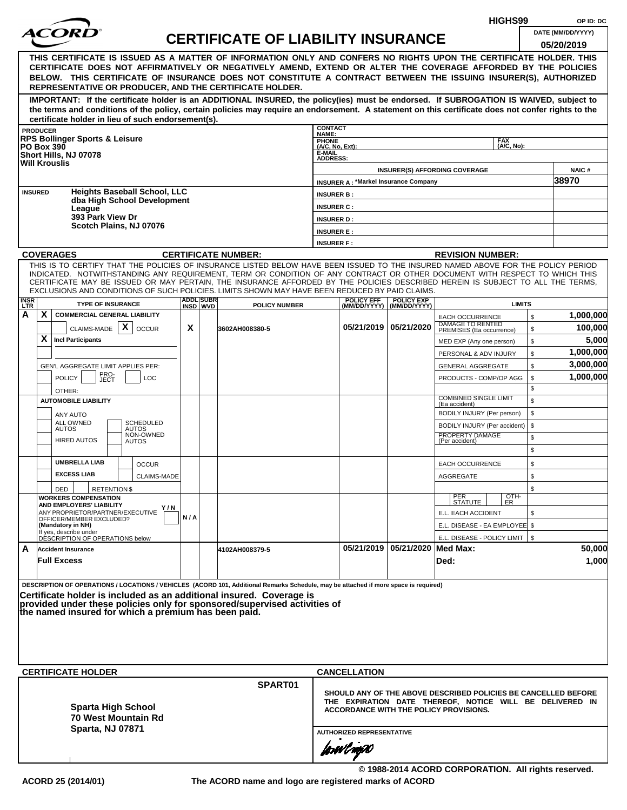|                                                                                                                                                                                                                                                                                                                                                                                                                                                                                                    |     |                              |                                           |                                        |                                             |                                                |                                                                                                                                                                      | HIGHS99                  |          | OP ID: DC         |
|----------------------------------------------------------------------------------------------------------------------------------------------------------------------------------------------------------------------------------------------------------------------------------------------------------------------------------------------------------------------------------------------------------------------------------------------------------------------------------------------------|-----|------------------------------|-------------------------------------------|----------------------------------------|---------------------------------------------|------------------------------------------------|----------------------------------------------------------------------------------------------------------------------------------------------------------------------|--------------------------|----------|-------------------|
| <i>ACOR</i>                                                                                                                                                                                                                                                                                                                                                                                                                                                                                        |     |                              | <b>CERTIFICATE OF LIABILITY INSURANCE</b> |                                        |                                             |                                                |                                                                                                                                                                      |                          |          | DATE (MM/DD/YYYY) |
| THIS CERTIFICATE IS ISSUED AS A MATTER OF INFORMATION ONLY AND CONFERS NO RIGHTS UPON THE CERTIFICATE HOLDER. THIS<br>CERTIFICATE DOES NOT AFFIRMATIVELY OR NEGATIVELY AMEND, EXTEND OR ALTER THE COVERAGE AFFORDED BY THE POLICIES<br>BELOW. THIS CERTIFICATE OF INSURANCE DOES NOT CONSTITUTE A CONTRACT BETWEEN THE ISSUING INSURER(S), AUTHORIZED<br>REPRESENTATIVE OR PRODUCER, AND THE CERTIFICATE HOLDER.                                                                                   |     |                              |                                           |                                        |                                             |                                                |                                                                                                                                                                      |                          |          | 05/20/2019        |
| IMPORTANT: If the certificate holder is an ADDITIONAL INSURED, the policy(ies) must be endorsed. If SUBROGATION IS WAIVED, subject to<br>the terms and conditions of the policy, certain policies may require an endorsement. A statement on this certificate does not confer rights to the<br>certificate holder in lieu of such endorsement(s).                                                                                                                                                  |     |                              |                                           |                                        |                                             |                                                |                                                                                                                                                                      |                          |          |                   |
| <b>PRODUCER</b>                                                                                                                                                                                                                                                                                                                                                                                                                                                                                    |     |                              |                                           | <b>CONTACT</b><br>NAME:                |                                             |                                                |                                                                                                                                                                      |                          |          |                   |
| <b>RPS Bollinger Sports &amp; Leisure</b><br><b>PO Box 390</b>                                                                                                                                                                                                                                                                                                                                                                                                                                     |     |                              |                                           | PHONE<br>(A/C, No, Ext):               |                                             |                                                |                                                                                                                                                                      | <b>FAX</b><br>(A/C, No): |          |                   |
| Short Hills, NJ 07078<br><b>Will Krouslis</b>                                                                                                                                                                                                                                                                                                                                                                                                                                                      |     |                              |                                           | E-MAIL<br><b>ADDRESS:</b>              |                                             |                                                |                                                                                                                                                                      |                          |          |                   |
|                                                                                                                                                                                                                                                                                                                                                                                                                                                                                                    |     |                              |                                           |                                        |                                             |                                                | <b>INSURER(S) AFFORDING COVERAGE</b>                                                                                                                                 |                          |          | <b>NAIC#</b>      |
| <b>Heights Baseball School, LLC</b><br><b>INSURED</b>                                                                                                                                                                                                                                                                                                                                                                                                                                              |     |                              |                                           |                                        | <b>INSURER A: *Markel Insurance Company</b> |                                                |                                                                                                                                                                      |                          |          | 38970             |
| dba High School Development                                                                                                                                                                                                                                                                                                                                                                                                                                                                        |     |                              |                                           | <b>INSURER B:</b>                      |                                             |                                                |                                                                                                                                                                      |                          |          |                   |
| League<br>393 Park View Dr                                                                                                                                                                                                                                                                                                                                                                                                                                                                         |     |                              |                                           | <b>INSURER C:</b><br><b>INSURER D:</b> |                                             |                                                |                                                                                                                                                                      |                          |          |                   |
| Scotch Plains, NJ 07076                                                                                                                                                                                                                                                                                                                                                                                                                                                                            |     |                              |                                           | <b>INSURER E:</b>                      |                                             |                                                |                                                                                                                                                                      |                          |          |                   |
|                                                                                                                                                                                                                                                                                                                                                                                                                                                                                                    |     |                              |                                           | <b>INSURER F:</b>                      |                                             |                                                |                                                                                                                                                                      |                          |          |                   |
| <b>COVERAGES</b>                                                                                                                                                                                                                                                                                                                                                                                                                                                                                   |     |                              | <b>CERTIFICATE NUMBER:</b>                |                                        |                                             |                                                | <b>REVISION NUMBER:</b>                                                                                                                                              |                          |          |                   |
| THIS IS TO CERTIFY THAT THE POLICIES OF INSURANCE LISTED BELOW HAVE BEEN ISSUED TO THE INSURED NAMED ABOVE FOR THE POLICY PERIOD<br>INDICATED. NOTWITHSTANDING ANY REQUIREMENT, TERM OR CONDITION OF ANY CONTRACT OR OTHER DOCUMENT WITH RESPECT TO WHICH THIS<br>CERTIFICATE MAY BE ISSUED OR MAY PERTAIN, THE INSURANCE AFFORDED BY THE POLICIES DESCRIBED HEREIN IS SUBJECT TO ALL THE TERMS,<br>EXCLUSIONS AND CONDITIONS OF SUCH POLICIES. LIMITS SHOWN MAY HAVE BEEN REDUCED BY PAID CLAIMS. |     |                              |                                           |                                        |                                             |                                                |                                                                                                                                                                      |                          |          |                   |
| <b>INSR</b><br>LTR<br><b>TYPE OF INSURANCE</b>                                                                                                                                                                                                                                                                                                                                                                                                                                                     |     | <b>ADDL SUBR</b><br>INSD WVD | <b>POLICY NUMBER</b>                      |                                        | <b>POLICY EFF</b>                           | <b>POLICY EXP</b><br>(MM/DD/YYYY) (MM/DD/YYYY) |                                                                                                                                                                      | <b>LIMITS</b>            |          |                   |
| X<br>А<br><b>COMMERCIAL GENERAL LIABILITY</b>                                                                                                                                                                                                                                                                                                                                                                                                                                                      |     |                              |                                           |                                        |                                             |                                                | <b>EACH OCCURRENCE</b><br><b>DAMAGE TO RENTED</b>                                                                                                                    |                          | \$       | 1,000,000         |
| CLAIMS-MADE $\mid X \mid$<br><b>OCCUR</b><br>X<br><b>Incl Participants</b>                                                                                                                                                                                                                                                                                                                                                                                                                         | X   |                              | 3602AH008380-5                            |                                        | 05/21/2019 05/21/2020                       |                                                | PREMISES (Ea occurrence)                                                                                                                                             |                          | \$       | 100,000<br>5,000  |
|                                                                                                                                                                                                                                                                                                                                                                                                                                                                                                    |     |                              |                                           |                                        |                                             |                                                | MED EXP (Any one person)<br>PERSONAL & ADV INJURY                                                                                                                    |                          | \$<br>\$ | 1,000,000         |
| GEN'L AGGREGATE LIMIT APPLIES PER:                                                                                                                                                                                                                                                                                                                                                                                                                                                                 |     |                              |                                           |                                        |                                             |                                                | <b>GENERAL AGGREGATE</b>                                                                                                                                             |                          | \$       | 3,000,000         |
| PRO-<br>JECT<br><b>POLICY</b><br><b>LOC</b><br>OTHER:                                                                                                                                                                                                                                                                                                                                                                                                                                              |     |                              |                                           |                                        |                                             |                                                | PRODUCTS - COMP/OP AGG                                                                                                                                               |                          | \$<br>\$ | 1,000,000         |
| <b>AUTOMOBILE LIABILITY</b>                                                                                                                                                                                                                                                                                                                                                                                                                                                                        |     |                              |                                           |                                        |                                             |                                                | <b>COMBINED SINGLE LIMIT</b><br>(Ea accident)                                                                                                                        |                          | \$       |                   |
| ANY AUTO                                                                                                                                                                                                                                                                                                                                                                                                                                                                                           |     |                              |                                           |                                        |                                             |                                                | BODILY INJURY (Per person)                                                                                                                                           |                          | \$       |                   |
| <b>SCHEDULED</b><br>ALL OWNED<br><b>AUTOS</b><br>AUTOS                                                                                                                                                                                                                                                                                                                                                                                                                                             |     |                              |                                           |                                        |                                             |                                                | BODILY INJURY (Per accident)                                                                                                                                         |                          | \$       |                   |
| NON-OWNED<br><b>HIRED AUTOS</b><br>AUTOS                                                                                                                                                                                                                                                                                                                                                                                                                                                           |     |                              |                                           |                                        |                                             |                                                | PROPERTY DAMAGE<br>(Per accident)                                                                                                                                    |                          | \$<br>\$ |                   |
| <b>UMBRELLA LIAB</b><br><b>OCCUR</b>                                                                                                                                                                                                                                                                                                                                                                                                                                                               |     |                              |                                           |                                        |                                             |                                                | <b>EACH OCCURRENCE</b>                                                                                                                                               |                          | \$       |                   |
| <b>EXCESS LIAB</b><br><b>CLAIMS-MADE</b>                                                                                                                                                                                                                                                                                                                                                                                                                                                           |     |                              |                                           |                                        |                                             |                                                | AGGREGATE                                                                                                                                                            |                          | \$       |                   |
| DED<br><b>RETENTION \$</b><br><b>WORKERS COMPENSATION</b>                                                                                                                                                                                                                                                                                                                                                                                                                                          |     |                              |                                           |                                        |                                             |                                                |                                                                                                                                                                      |                          | \$       |                   |
| AND EMPLOYERS' LIABILITY<br>Y/N<br>ANY PROPRIETOR/PARTNER/EXECUTIVE                                                                                                                                                                                                                                                                                                                                                                                                                                |     |                              |                                           |                                        |                                             |                                                | PER<br>STATUTE                                                                                                                                                       | OTH-<br>ER               |          |                   |
| OFFICER/MEMBER EXCLUDED?<br>(Mandatory in NH)                                                                                                                                                                                                                                                                                                                                                                                                                                                      | N/A |                              |                                           |                                        |                                             |                                                | E.L. EACH ACCIDENT<br>E.L. DISEASE - EA EMPLOYEE \$                                                                                                                  |                          | \$       |                   |
| If yes, describe under<br>DÉSCRIPTION OF OPERATIONS below                                                                                                                                                                                                                                                                                                                                                                                                                                          |     |                              |                                           |                                        |                                             |                                                | E.L. DISEASE - POLICY LIMIT   \$                                                                                                                                     |                          |          |                   |
| A<br><b>Accident Insurance</b><br><b>Full Excess</b>                                                                                                                                                                                                                                                                                                                                                                                                                                               |     |                              | 4102AH008379-5                            |                                        |                                             | 05/21/2019 05/21/2020 Med Max:                 | Ded:                                                                                                                                                                 |                          |          | 50,000<br>1,000   |
| DESCRIPTION OF OPERATIONS / LOCATIONS / VEHICLES (ACORD 101, Additional Remarks Schedule, may be attached if more space is required)<br>Certificate holder is included as an additional insured. Coverage is<br>provided under these policies only for sponsored/supervised activities of<br>the named insured for which a premium has been paid.                                                                                                                                                  |     |                              |                                           |                                        |                                             |                                                |                                                                                                                                                                      |                          |          |                   |
|                                                                                                                                                                                                                                                                                                                                                                                                                                                                                                    |     |                              |                                           |                                        |                                             |                                                |                                                                                                                                                                      |                          |          |                   |
| <b>CERTIFICATE HOLDER</b>                                                                                                                                                                                                                                                                                                                                                                                                                                                                          |     |                              |                                           |                                        | <b>CANCELLATION</b>                         |                                                |                                                                                                                                                                      |                          |          |                   |
| <b>Sparta High School</b><br><b>70 West Mountain Rd</b><br><b>Sparta, NJ 07871</b>                                                                                                                                                                                                                                                                                                                                                                                                                 |     |                              | SPART01                                   |                                        | <b>AUTHORIZED REPRESENTATIVE</b>            |                                                | SHOULD ANY OF THE ABOVE DESCRIBED POLICIES BE CANCELLED BEFORE<br>THE EXPIRATION DATE THEREOF, NOTICE WILL BE DELIVERED IN<br>ACCORDANCE WITH THE POLICY PROVISIONS. |                          |          |                   |
|                                                                                                                                                                                                                                                                                                                                                                                                                                                                                                    |     |                              |                                           |                                        | forevl agao                                 |                                                |                                                                                                                                                                      |                          |          |                   |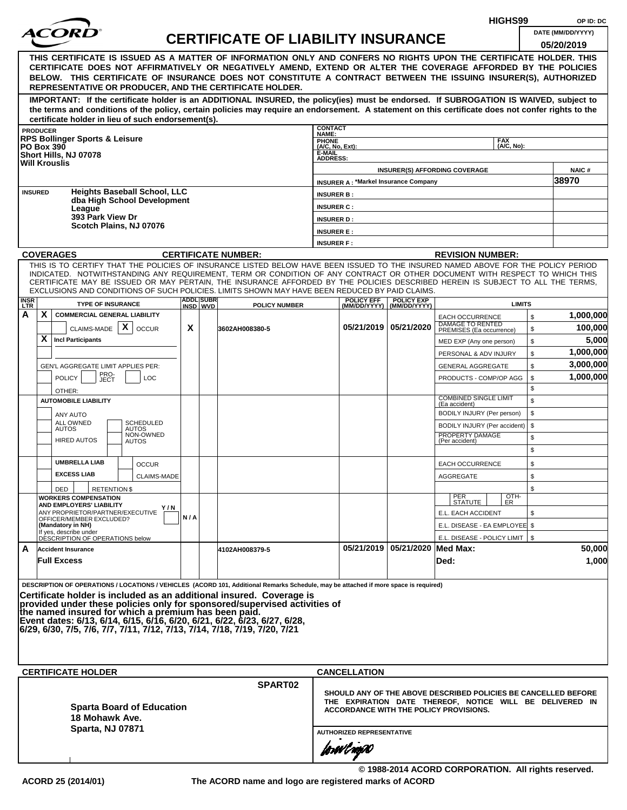|                           |                 |                                                                                                                                                                                                                                                                                                                                                                                                                                                                                                             |     |                              |                                           |                                                                                                                                                                                                                 |                                             |                                                | HIGHS99                                     |          | OP ID: DC         |  |
|---------------------------|-----------------|-------------------------------------------------------------------------------------------------------------------------------------------------------------------------------------------------------------------------------------------------------------------------------------------------------------------------------------------------------------------------------------------------------------------------------------------------------------------------------------------------------------|-----|------------------------------|-------------------------------------------|-----------------------------------------------------------------------------------------------------------------------------------------------------------------------------------------------------------------|---------------------------------------------|------------------------------------------------|---------------------------------------------|----------|-------------------|--|
|                           |                 | <i>ACOR</i>                                                                                                                                                                                                                                                                                                                                                                                                                                                                                                 |     |                              | <b>CERTIFICATE OF LIABILITY INSURANCE</b> |                                                                                                                                                                                                                 |                                             |                                                |                                             |          | DATE (MM/DD/YYYY) |  |
|                           |                 | THIS CERTIFICATE IS ISSUED AS A MATTER OF INFORMATION ONLY AND CONFERS NO RIGHTS UPON THE CERTIFICATE HOLDER. THIS<br>CERTIFICATE DOES NOT AFFIRMATIVELY OR NEGATIVELY AMEND, EXTEND OR ALTER THE COVERAGE AFFORDED BY THE POLICIES<br>BELOW. THIS CERTIFICATE OF INSURANCE DOES NOT CONSTITUTE A CONTRACT BETWEEN THE ISSUING INSURER(S), AUTHORIZED<br>REPRESENTATIVE OR PRODUCER, AND THE CERTIFICATE HOLDER.                                                                                            |     |                              |                                           |                                                                                                                                                                                                                 |                                             |                                                |                                             |          | 05/20/2019        |  |
|                           |                 | IMPORTANT: If the certificate holder is an ADDITIONAL INSURED, the policy(ies) must be endorsed. If SUBROGATION IS WAIVED, subject to<br>the terms and conditions of the policy, certain policies may require an endorsement. A statement on this certificate does not confer rights to the<br>certificate holder in lieu of such endorsement(s).                                                                                                                                                           |     |                              |                                           |                                                                                                                                                                                                                 |                                             |                                                |                                             |          |                   |  |
|                           | <b>PRODUCER</b> |                                                                                                                                                                                                                                                                                                                                                                                                                                                                                                             |     |                              |                                           | <b>CONTACT</b>                                                                                                                                                                                                  |                                             |                                                |                                             |          |                   |  |
|                           |                 | <b>RPS Bollinger Sports &amp; Leisure</b>                                                                                                                                                                                                                                                                                                                                                                                                                                                                   |     |                              |                                           | NAME:<br><b>PHONE</b><br>$(AC, No, Ext)$ :                                                                                                                                                                      |                                             |                                                | <b>FAX</b><br>(A/C, No):                    |          |                   |  |
|                           |                 | <b>PO Box 390</b><br>Short Hills, NJ 07078                                                                                                                                                                                                                                                                                                                                                                                                                                                                  |     |                              |                                           | E-MAIL<br><b>ADDRESS:</b>                                                                                                                                                                                       |                                             |                                                |                                             |          |                   |  |
|                           |                 | <b>Will Krouslis</b>                                                                                                                                                                                                                                                                                                                                                                                                                                                                                        |     |                              |                                           |                                                                                                                                                                                                                 |                                             |                                                | <b>INSURER(S) AFFORDING COVERAGE</b>        |          | NAIC#             |  |
|                           |                 |                                                                                                                                                                                                                                                                                                                                                                                                                                                                                                             |     |                              |                                           |                                                                                                                                                                                                                 | <b>INSURER A: *Markel Insurance Company</b> |                                                |                                             |          | 38970             |  |
|                           | <b>INSURED</b>  | <b>Heights Baseball School, LLC</b>                                                                                                                                                                                                                                                                                                                                                                                                                                                                         |     |                              |                                           | <b>INSURER B:</b>                                                                                                                                                                                               |                                             |                                                |                                             |          |                   |  |
|                           |                 | dba High School Development<br>League                                                                                                                                                                                                                                                                                                                                                                                                                                                                       |     |                              |                                           | <b>INSURER C:</b>                                                                                                                                                                                               |                                             |                                                |                                             |          |                   |  |
|                           |                 | 393 Park View Dr                                                                                                                                                                                                                                                                                                                                                                                                                                                                                            |     |                              |                                           | <b>INSURER D:</b>                                                                                                                                                                                               |                                             |                                                |                                             |          |                   |  |
|                           |                 | Scotch Plains, NJ 07076                                                                                                                                                                                                                                                                                                                                                                                                                                                                                     |     |                              |                                           | <b>INSURER E:</b>                                                                                                                                                                                               |                                             |                                                |                                             |          |                   |  |
|                           |                 |                                                                                                                                                                                                                                                                                                                                                                                                                                                                                                             |     |                              |                                           | <b>INSURER F:</b>                                                                                                                                                                                               |                                             |                                                |                                             |          |                   |  |
|                           |                 | <b>COVERAGES</b>                                                                                                                                                                                                                                                                                                                                                                                                                                                                                            |     |                              | <b>CERTIFICATE NUMBER:</b>                |                                                                                                                                                                                                                 |                                             |                                                | <b>REVISION NUMBER:</b>                     |          |                   |  |
|                           |                 | THIS IS TO CERTIFY THAT THE POLICIES OF INSURANCE LISTED BELOW HAVE BEEN ISSUED TO THE INSURED NAMED ABOVE FOR THE POLICY PERIOD<br>INDICATED. NOTWITHSTANDING ANY REQUIREMENT, TERM OR CONDITION OF ANY CONTRACT OR OTHER DOCUMENT WITH RESPECT TO WHICH THIS<br>CERTIFICATE MAY BE ISSUED OR MAY PERTAIN, THE INSURANCE AFFORDED BY THE POLICIES DESCRIBED HEREIN IS SUBJECT TO ALL THE TERMS,<br>EXCLUSIONS AND CONDITIONS OF SUCH POLICIES. LIMITS SHOWN MAY HAVE BEEN REDUCED BY PAID CLAIMS.          |     |                              |                                           |                                                                                                                                                                                                                 |                                             |                                                |                                             |          |                   |  |
| <b>INSR</b><br><b>LTR</b> |                 | <b>TYPE OF INSURANCE</b>                                                                                                                                                                                                                                                                                                                                                                                                                                                                                    |     | <b>ADDL SUBR</b><br>INSD WVD | <b>POLICY NUMBER</b>                      |                                                                                                                                                                                                                 | <b>POLICY EFF</b>                           | <b>POLICY EXP</b><br>(MM/DD/YYYY) (MM/DD/YYYY) | <b>LIMITS</b>                               |          |                   |  |
| A                         | X.              | <b>COMMERCIAL GENERAL LIABILITY</b>                                                                                                                                                                                                                                                                                                                                                                                                                                                                         |     |                              |                                           |                                                                                                                                                                                                                 |                                             |                                                | <b>EACH OCCURRENCE</b><br>DAMAGE TO RENTED  | \$       | 1,000,000         |  |
|                           |                 | $\mathsf{X}$<br>CLAIMS-MADE<br><b>OCCUR</b>                                                                                                                                                                                                                                                                                                                                                                                                                                                                 | X   |                              | 3602AH008380-5                            |                                                                                                                                                                                                                 | 05/21/2019                                  | 05/21/2020                                     | PREMISES (Ea occurrence)                    | \$       | 100,000           |  |
|                           | X.              | <b>Incl Participants</b>                                                                                                                                                                                                                                                                                                                                                                                                                                                                                    |     |                              |                                           |                                                                                                                                                                                                                 |                                             |                                                | MED EXP (Any one person)                    | \$       | 5,000             |  |
|                           |                 |                                                                                                                                                                                                                                                                                                                                                                                                                                                                                                             |     |                              |                                           |                                                                                                                                                                                                                 |                                             |                                                | PERSONAL & ADV INJURY                       | \$       | 1,000,000         |  |
|                           |                 | GEN'L AGGREGATE LIMIT APPLIES PER:                                                                                                                                                                                                                                                                                                                                                                                                                                                                          |     |                              |                                           |                                                                                                                                                                                                                 |                                             |                                                | <b>GENERAL AGGREGATE</b>                    | \$       | 3,000,000         |  |
|                           |                 | PRO-<br>JECT<br><b>POLICY</b><br>LOC                                                                                                                                                                                                                                                                                                                                                                                                                                                                        |     |                              |                                           |                                                                                                                                                                                                                 |                                             |                                                | PRODUCTS - COMP/OP AGG                      | \$<br>\$ | 1,000,000         |  |
|                           |                 | OTHER:<br><b>AUTOMOBILE LIABILITY</b>                                                                                                                                                                                                                                                                                                                                                                                                                                                                       |     |                              |                                           |                                                                                                                                                                                                                 |                                             |                                                | <b>COMBINED SINGLE LIMIT</b>                | \$       |                   |  |
|                           |                 |                                                                                                                                                                                                                                                                                                                                                                                                                                                                                                             |     |                              |                                           |                                                                                                                                                                                                                 |                                             |                                                | (Ea accident)<br>BODILY INJURY (Per person) | \$       |                   |  |
|                           |                 | ANY AUTO<br><b>ALL OWNED</b><br>SCHEDULED                                                                                                                                                                                                                                                                                                                                                                                                                                                                   |     |                              |                                           |                                                                                                                                                                                                                 |                                             |                                                | BODILY INJURY (Per accident)                | \$       |                   |  |
|                           |                 | <b>AUTOS</b><br><b>AUTOS</b><br>NON-OWNED<br><b>HIRED AUTOS</b>                                                                                                                                                                                                                                                                                                                                                                                                                                             |     |                              |                                           |                                                                                                                                                                                                                 |                                             |                                                | PROPERTY DAMAGE<br>(Per accident)           | \$       |                   |  |
|                           |                 | <b>AUTOS</b>                                                                                                                                                                                                                                                                                                                                                                                                                                                                                                |     |                              |                                           |                                                                                                                                                                                                                 |                                             |                                                |                                             | \$       |                   |  |
|                           |                 | <b>UMBRELLA LIAB</b><br><b>OCCUR</b>                                                                                                                                                                                                                                                                                                                                                                                                                                                                        |     |                              |                                           |                                                                                                                                                                                                                 |                                             |                                                | <b>EACH OCCURRENCE</b>                      | \$       |                   |  |
|                           |                 | <b>EXCESS LIAB</b><br><b>CLAIMS-MADE</b>                                                                                                                                                                                                                                                                                                                                                                                                                                                                    |     |                              |                                           |                                                                                                                                                                                                                 |                                             |                                                | <b>AGGREGATE</b>                            | \$       |                   |  |
|                           |                 | <b>RETENTION \$</b><br>DED                                                                                                                                                                                                                                                                                                                                                                                                                                                                                  |     |                              |                                           |                                                                                                                                                                                                                 |                                             |                                                |                                             | \$       |                   |  |
|                           |                 | <b>WORKERS COMPENSATION</b><br>AND EMPLOYERS' LIABILITY                                                                                                                                                                                                                                                                                                                                                                                                                                                     |     |                              |                                           |                                                                                                                                                                                                                 |                                             |                                                | OTH-<br><b>PER</b><br><b>STATUTE</b><br>ER  |          |                   |  |
|                           |                 | Y/N<br>ANY PROPRIETOR/PARTNER/EXECUTIVE<br>OFFICER/MEMBER EXCLUDED?                                                                                                                                                                                                                                                                                                                                                                                                                                         | N/A |                              |                                           |                                                                                                                                                                                                                 |                                             |                                                | E.L. EACH ACCIDENT                          | \$       |                   |  |
|                           |                 | (Mandatory in NH)                                                                                                                                                                                                                                                                                                                                                                                                                                                                                           |     |                              |                                           |                                                                                                                                                                                                                 |                                             |                                                | E.L. DISEASE - EA EMPLOYEE \$               |          |                   |  |
|                           |                 | If yes, describe under<br>DÉSCRIPTION OF OPERATIONS below                                                                                                                                                                                                                                                                                                                                                                                                                                                   |     |                              |                                           |                                                                                                                                                                                                                 |                                             |                                                | E.L. DISEASE - POLICY LIMIT   \$            |          |                   |  |
| A                         |                 | <b>Accident Insurance</b><br><b>Full Excess</b>                                                                                                                                                                                                                                                                                                                                                                                                                                                             |     |                              | 4102AH008379-5                            |                                                                                                                                                                                                                 |                                             | 05/21/2019   05/21/2020   Med Max:             | Ded:                                        |          | 50,000<br>1,000   |  |
|                           |                 | DESCRIPTION OF OPERATIONS / LOCATIONS / VEHICLES (ACORD 101, Additional Remarks Schedule, may be attached if more space is required)<br>Certificate holder is included as an additional insured. Coverage is<br>provided under these policies only for sponsored/supervised activities of<br>the named insured for which a premium has been paid.<br>Event dates: 6/13, 6/14, 6/15, 6/16, 6/20, 6/21, 6/22, 6/23, 6/27, 6/28,<br> 6/29, 6/30, 7/5, 7/6, 7/7, 7/11, 7/12, 7/13, 7/14, 7/18, 7/19, 7/20, 7/21 |     |                              |                                           |                                                                                                                                                                                                                 |                                             |                                                |                                             |          |                   |  |
|                           |                 | <b>CERTIFICATE HOLDER</b>                                                                                                                                                                                                                                                                                                                                                                                                                                                                                   |     |                              |                                           |                                                                                                                                                                                                                 | <b>CANCELLATION</b>                         |                                                |                                             |          |                   |  |
|                           |                 | <b>Sparta Board of Education</b><br>18 Mohawk Ave.<br><b>Sparta, NJ 07871</b>                                                                                                                                                                                                                                                                                                                                                                                                                               |     |                              | SPART02                                   | SHOULD ANY OF THE ABOVE DESCRIBED POLICIES BE CANCELLED BEFORE<br>THE EXPIRATION DATE THEREOF, NOTICE WILL BE DELIVERED IN<br><b>ACCORDANCE WITH THE POLICY PROVISIONS.</b><br><b>AUTHORIZED REPRESENTATIVE</b> |                                             |                                                |                                             |          |                   |  |
|                           |                 |                                                                                                                                                                                                                                                                                                                                                                                                                                                                                                             |     |                              |                                           | forov CrogO                                                                                                                                                                                                     |                                             |                                                |                                             |          |                   |  |

**© 1988-2014 ACORD CORPORATION. All rights reserved. ACORD 25 (2014/01) The ACORD name and logo are registered marks of ACORD**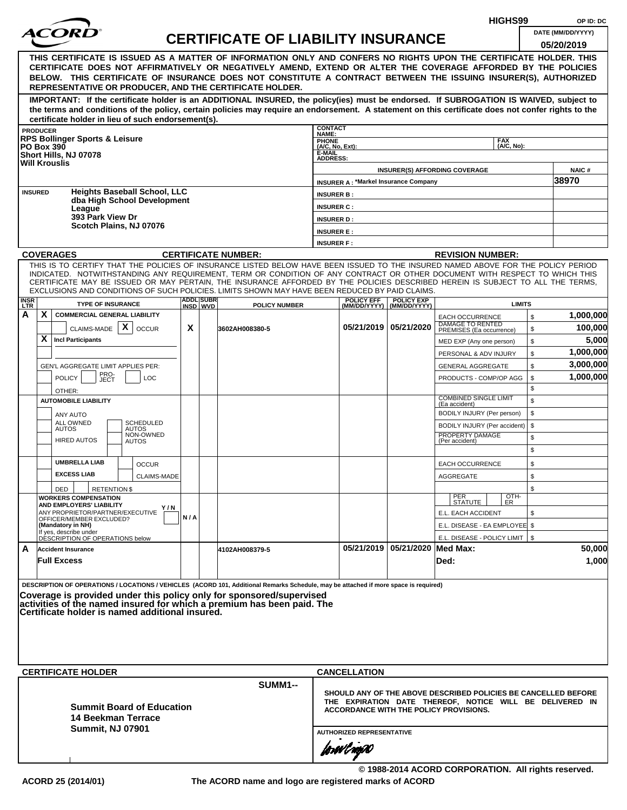|                    |                   |                                                              |                                                    |     |                               |                                                                                                                                                                                                                                                              |                                                                |                                             |                                                  |                                                            | HIGHS99            |              | OP ID: DC             |
|--------------------|-------------------|--------------------------------------------------------------|----------------------------------------------------|-----|-------------------------------|--------------------------------------------------------------------------------------------------------------------------------------------------------------------------------------------------------------------------------------------------------------|----------------------------------------------------------------|---------------------------------------------|--------------------------------------------------|------------------------------------------------------------|--------------------|--------------|-----------------------|
|                    |                   |                                                              |                                                    |     |                               | <b>CERTIFICATE OF LIABILITY INSURANCE</b>                                                                                                                                                                                                                    |                                                                |                                             |                                                  |                                                            |                    |              | DATE (MM/DD/YYYY)     |
|                    |                   |                                                              |                                                    |     |                               |                                                                                                                                                                                                                                                              |                                                                |                                             |                                                  |                                                            |                    |              | 05/20/2019            |
|                    |                   |                                                              |                                                    |     |                               | THIS CERTIFICATE IS ISSUED AS A MATTER OF INFORMATION ONLY AND CONFERS NO RIGHTS UPON THE CERTIFICATE HOLDER. THIS<br>CERTIFICATE DOES NOT AFFIRMATIVELY OR NEGATIVELY AMEND, EXTEND OR ALTER THE COVERAGE AFFORDED BY THE POLICIES                          |                                                                |                                             |                                                  |                                                            |                    |              |                       |
|                    |                   |                                                              |                                                    |     |                               | BELOW. THIS CERTIFICATE OF INSURANCE DOES NOT CONSTITUTE A CONTRACT BETWEEN THE ISSUING INSURER(S), AUTHORIZED                                                                                                                                               |                                                                |                                             |                                                  |                                                            |                    |              |                       |
|                    |                   |                                                              |                                                    |     |                               | REPRESENTATIVE OR PRODUCER, AND THE CERTIFICATE HOLDER.                                                                                                                                                                                                      |                                                                |                                             |                                                  |                                                            |                    |              |                       |
|                    |                   |                                                              |                                                    |     |                               | IMPORTANT: If the certificate holder is an ADDITIONAL INSURED, the policy(ies) must be endorsed. If SUBROGATION IS WAIVED, subject to                                                                                                                        |                                                                |                                             |                                                  |                                                            |                    |              |                       |
|                    |                   |                                                              |                                                    |     |                               | the terms and conditions of the policy, certain policies may require an endorsement. A statement on this certificate does not confer rights to the                                                                                                           |                                                                |                                             |                                                  |                                                            |                    |              |                       |
|                    | <b>PRODUCER</b>   |                                                              | certificate holder in lieu of such endorsement(s). |     |                               |                                                                                                                                                                                                                                                              | <b>CONTACT</b>                                                 |                                             |                                                  |                                                            |                    |              |                       |
|                    |                   | <b>RPS Bollinger Sports &amp; Leisure</b>                    |                                                    |     |                               |                                                                                                                                                                                                                                                              | NAME:<br><b>PHONE</b>                                          |                                             |                                                  |                                                            | <b>FAX</b>         |              |                       |
|                    | <b>PO Box 390</b> | Short Hills, NJ 07078                                        |                                                    |     |                               |                                                                                                                                                                                                                                                              | (A/C, No, Ext):<br>E-MAIL                                      |                                             |                                                  |                                                            | (A/C. No):         |              |                       |
|                    |                   | <b>Will Krouslis</b>                                         |                                                    |     |                               |                                                                                                                                                                                                                                                              | <b>ADDRESS:</b>                                                |                                             |                                                  |                                                            |                    |              |                       |
|                    |                   |                                                              |                                                    |     |                               |                                                                                                                                                                                                                                                              |                                                                | <b>INSURER A: *Markel Insurance Company</b> |                                                  | <b>INSURER(S) AFFORDING COVERAGE</b>                       |                    |              | <b>NAIC#</b><br>38970 |
|                    | <b>INSURED</b>    |                                                              | <b>Heights Baseball School, LLC</b>                |     |                               |                                                                                                                                                                                                                                                              | <b>INSURER B:</b>                                              |                                             |                                                  |                                                            |                    |              |                       |
|                    |                   |                                                              | dba High School Development                        |     |                               |                                                                                                                                                                                                                                                              | <b>INSURER C:</b>                                              |                                             |                                                  |                                                            |                    |              |                       |
|                    |                   | League<br>393 Park View Dr                                   |                                                    |     |                               |                                                                                                                                                                                                                                                              | <b>INSURER D:</b>                                              |                                             |                                                  |                                                            |                    |              |                       |
|                    |                   |                                                              | Scotch Plains, NJ 07076                            |     |                               |                                                                                                                                                                                                                                                              | <b>INSURER E:</b>                                              |                                             |                                                  |                                                            |                    |              |                       |
|                    |                   |                                                              |                                                    |     |                               |                                                                                                                                                                                                                                                              | <b>INSURER F:</b>                                              |                                             |                                                  |                                                            |                    |              |                       |
|                    |                   | <b>COVERAGES</b>                                             |                                                    |     |                               | <b>CERTIFICATE NUMBER:</b>                                                                                                                                                                                                                                   |                                                                |                                             |                                                  | <b>REVISION NUMBER:</b>                                    |                    |              |                       |
|                    |                   |                                                              |                                                    |     |                               | THIS IS TO CERTIFY THAT THE POLICIES OF INSURANCE LISTED BELOW HAVE BEEN ISSUED TO THE INSURED NAMED ABOVE FOR THE POLICY PERIOD                                                                                                                             |                                                                |                                             |                                                  |                                                            |                    |              |                       |
|                    |                   |                                                              |                                                    |     |                               | INDICATED. NOTWITHSTANDING ANY REQUIREMENT, TERM OR CONDITION OF ANY CONTRACT OR OTHER DOCUMENT WITH RESPECT TO WHICH THIS<br>CERTIFICATE MAY BE ISSUED OR MAY PERTAIN, THE INSURANCE AFFORDED BY THE POLICIES DESCRIBED HEREIN IS SUBJECT TO ALL THE TERMS. |                                                                |                                             |                                                  |                                                            |                    |              |                       |
|                    |                   |                                                              |                                                    |     |                               | EXCLUSIONS AND CONDITIONS OF SUCH POLICIES. LIMITS SHOWN MAY HAVE BEEN REDUCED BY PAID CLAIMS.                                                                                                                                                               |                                                                |                                             |                                                  |                                                            |                    |              |                       |
| <b>INSR</b><br>LTR |                   | <b>TYPE OF INSURANCE</b>                                     |                                                    |     | <b>ADDLISUBRI</b><br>INSD WVD | <b>POLICY NUMBER</b>                                                                                                                                                                                                                                         |                                                                | <b>POLICY EFF</b>                           | <b>POLICY EXP</b><br>(MM/DD/YYYY)   (MM/DD/YYYY) |                                                            | <b>LIMITS</b>      |              |                       |
| А                  | X                 | <b>COMMERCIAL GENERAL LIABILITY</b>                          |                                                    |     |                               |                                                                                                                                                                                                                                                              |                                                                |                                             |                                                  | <b>EACH OCCURRENCE</b>                                     |                    | $\mathbb{S}$ | 1,000,000             |
|                    |                   | CLAIMS-MADE $\mathbf{X}$                                     | <b>OCCUR</b>                                       | X   |                               | 3602AH008380-5                                                                                                                                                                                                                                               |                                                                |                                             | 05/21/2019   05/21/2020                          | DAMAGE TO RENTED<br>PREMISES (Ea occurrence)               |                    | \$           | 100,000               |
|                    | X                 | <b>Incl Participants</b>                                     |                                                    |     |                               |                                                                                                                                                                                                                                                              |                                                                |                                             |                                                  | MED EXP (Any one person)                                   |                    | \$           | 5,000                 |
|                    |                   |                                                              |                                                    |     |                               |                                                                                                                                                                                                                                                              |                                                                |                                             |                                                  | PERSONAL & ADV INJURY                                      |                    | \$           | 1,000,000             |
|                    |                   | GEN'L AGGREGATE LIMIT APPLIES PER:                           |                                                    |     |                               |                                                                                                                                                                                                                                                              |                                                                |                                             |                                                  | <b>GENERAL AGGREGATE</b>                                   |                    | \$           | 3,000,000             |
|                    |                   | PRO-<br>JECT<br><b>POLICY</b>                                | <b>LOC</b>                                         |     |                               |                                                                                                                                                                                                                                                              |                                                                |                                             |                                                  | PRODUCTS - COMP/OP AGG                                     |                    | \$           | 1,000,000             |
|                    |                   | OTHER:                                                       |                                                    |     |                               |                                                                                                                                                                                                                                                              |                                                                |                                             |                                                  | <b>COMBINED SINGLE LIMIT</b>                               |                    | \$           |                       |
|                    |                   | <b>AUTOMOBILE LIABILITY</b>                                  |                                                    |     |                               |                                                                                                                                                                                                                                                              |                                                                |                                             |                                                  | (Ea accident)                                              |                    | \$<br>\$     |                       |
|                    |                   | ANY AUTO<br>ALL OWNED                                        | <b>SCHEDULED</b>                                   |     |                               |                                                                                                                                                                                                                                                              |                                                                |                                             |                                                  | BODILY INJURY (Per person)<br>BODILY INJURY (Per accident) |                    | \$           |                       |
|                    |                   | <b>AUTOS</b>                                                 | <b>AUTOS</b><br>NON-OWNED                          |     |                               |                                                                                                                                                                                                                                                              |                                                                |                                             |                                                  | PROPERTY DAMAGE                                            |                    | \$           |                       |
|                    |                   | <b>HIRED AUTOS</b>                                           | <b>AUTOS</b>                                       |     |                               |                                                                                                                                                                                                                                                              |                                                                |                                             |                                                  | (Per accident)                                             |                    | \$           |                       |
|                    |                   | <b>UMBRELLA LIAB</b>                                         | <b>OCCUR</b>                                       |     |                               |                                                                                                                                                                                                                                                              |                                                                |                                             |                                                  | <b>EACH OCCURRENCE</b>                                     |                    | \$           |                       |
|                    |                   | <b>EXCESS LIAB</b>                                           | <b>CLAIMS-MADE</b>                                 |     |                               |                                                                                                                                                                                                                                                              |                                                                |                                             |                                                  | <b>AGGREGATE</b>                                           |                    | \$           |                       |
|                    |                   | <b>RETENTIONS</b><br>DED                                     |                                                    |     |                               |                                                                                                                                                                                                                                                              |                                                                |                                             |                                                  |                                                            |                    | \$           |                       |
|                    |                   | <b>WORKERS COMPENSATION</b>                                  |                                                    |     |                               |                                                                                                                                                                                                                                                              |                                                                |                                             |                                                  | PER<br>STATUTE                                             | $\frac{[OTH]}{ER}$ |              |                       |
|                    |                   | AND EMPLOYERS' LIABILITY<br>ANY PROPRIETOR/PARTNER/EXECUTIVE | Y / N                                              |     |                               |                                                                                                                                                                                                                                                              |                                                                |                                             |                                                  | E.L. EACH ACCIDENT                                         |                    | \$           |                       |
|                    |                   | OFFICER/MEMBER EXCLUDED?<br>(Mandatory in NH)                |                                                    | N/A |                               |                                                                                                                                                                                                                                                              |                                                                |                                             |                                                  | E.L. DISEASE - EA EMPLOYEE \$                              |                    |              |                       |
|                    |                   | If yes, describe under<br>DESCRIPTION OF OPERATIONS below    |                                                    |     |                               |                                                                                                                                                                                                                                                              |                                                                |                                             |                                                  | E.L. DISEASE - POLICY LIMIT   \$                           |                    |              |                       |
| A                  |                   | <b>Accident Insurance</b>                                    |                                                    |     |                               | 4102AH008379-5                                                                                                                                                                                                                                               |                                                                |                                             | 05/21/2019 05/21/2020 Med Max:                   |                                                            |                    |              | 50,000                |
|                    |                   | <b>Full Excess</b>                                           |                                                    |     |                               |                                                                                                                                                                                                                                                              |                                                                |                                             |                                                  | Ded:                                                       |                    |              | 1,000                 |
|                    |                   |                                                              |                                                    |     |                               |                                                                                                                                                                                                                                                              |                                                                |                                             |                                                  |                                                            |                    |              |                       |
|                    |                   |                                                              |                                                    |     |                               | DESCRIPTION OF OPERATIONS / LOCATIONS / VEHICLES (ACORD 101, Additional Remarks Schedule, may be attached if more space is required)                                                                                                                         |                                                                |                                             |                                                  |                                                            |                    |              |                       |
|                    |                   |                                                              |                                                    |     |                               | Coverage is provided under this policy only for sponsored/supervised<br>activities of the named insured for which a premium has been paid. The                                                                                                               |                                                                |                                             |                                                  |                                                            |                    |              |                       |
|                    |                   |                                                              | Certificate holder is named additional insured.    |     |                               |                                                                                                                                                                                                                                                              |                                                                |                                             |                                                  |                                                            |                    |              |                       |
|                    |                   |                                                              |                                                    |     |                               |                                                                                                                                                                                                                                                              |                                                                |                                             |                                                  |                                                            |                    |              |                       |
|                    |                   |                                                              |                                                    |     |                               |                                                                                                                                                                                                                                                              |                                                                |                                             |                                                  |                                                            |                    |              |                       |
|                    |                   |                                                              |                                                    |     |                               |                                                                                                                                                                                                                                                              |                                                                |                                             |                                                  |                                                            |                    |              |                       |
|                    |                   |                                                              |                                                    |     |                               |                                                                                                                                                                                                                                                              |                                                                |                                             |                                                  |                                                            |                    |              |                       |
|                    |                   | <b>CERTIFICATE HOLDER</b>                                    |                                                    |     |                               |                                                                                                                                                                                                                                                              |                                                                | <b>CANCELLATION</b>                         |                                                  |                                                            |                    |              |                       |
|                    |                   |                                                              |                                                    |     |                               | <b>SUMM1--</b>                                                                                                                                                                                                                                               | SHOULD ANY OF THE ABOVE DESCRIBED POLICIES BE CANCELLED BEFORE |                                             |                                                  |                                                            |                    |              |                       |
|                    |                   |                                                              | <b>Summit Board of Education</b>                   |     |                               |                                                                                                                                                                                                                                                              | THE EXPIRATION DATE THEREOF, NOTICE WILL BE DELIVERED IN       |                                             |                                                  |                                                            |                    |              |                       |
|                    |                   |                                                              | 14 Beekman Terrace                                 |     |                               |                                                                                                                                                                                                                                                              | ACCORDANCE WITH THE POLICY PROVISIONS.                         |                                             |                                                  |                                                            |                    |              |                       |
|                    |                   | <b>Summit, NJ 07901</b>                                      |                                                    |     |                               |                                                                                                                                                                                                                                                              |                                                                | <b>AUTHORIZED REPRESENTATIVE</b>            |                                                  |                                                            |                    |              |                       |
|                    |                   |                                                              |                                                    |     |                               |                                                                                                                                                                                                                                                              |                                                                |                                             |                                                  |                                                            |                    |              |                       |
|                    |                   |                                                              |                                                    |     |                               |                                                                                                                                                                                                                                                              |                                                                | forwl now                                   |                                                  |                                                            |                    |              |                       |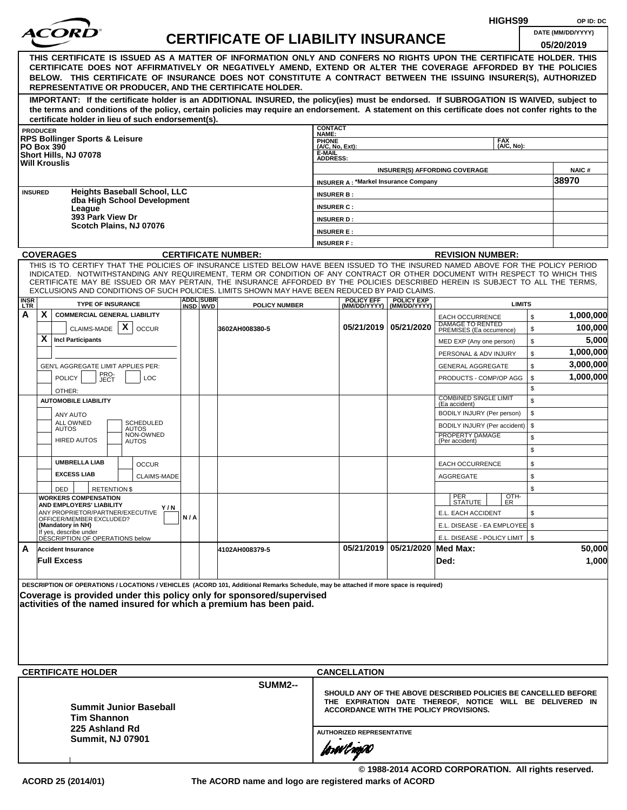|                           |                                                                                                                                                                                                                                                                                                                                                                                                                                                                                                    |     |                  |                                           | HIGHS99                         |                                             |                                   |                                                                                                                                                                      |                          | OP ID: DC    |                                 |
|---------------------------|----------------------------------------------------------------------------------------------------------------------------------------------------------------------------------------------------------------------------------------------------------------------------------------------------------------------------------------------------------------------------------------------------------------------------------------------------------------------------------------------------|-----|------------------|-------------------------------------------|---------------------------------|---------------------------------------------|-----------------------------------|----------------------------------------------------------------------------------------------------------------------------------------------------------------------|--------------------------|--------------|---------------------------------|
|                           | <b>COR</b>                                                                                                                                                                                                                                                                                                                                                                                                                                                                                         |     |                  | <b>CERTIFICATE OF LIABILITY INSURANCE</b> |                                 |                                             |                                   |                                                                                                                                                                      |                          |              | DATE (MM/DD/YYYY)<br>05/20/2019 |
|                           | THIS CERTIFICATE IS ISSUED AS A MATTER OF INFORMATION ONLY AND CONFERS NO RIGHTS UPON THE CERTIFICATE HOLDER. THIS<br>CERTIFICATE DOES NOT AFFIRMATIVELY OR NEGATIVELY AMEND, EXTEND OR ALTER THE COVERAGE AFFORDED BY THE POLICIES<br>BELOW. THIS CERTIFICATE OF INSURANCE DOES NOT CONSTITUTE A CONTRACT BETWEEN THE ISSUING INSURER(S), AUTHORIZED<br>REPRESENTATIVE OR PRODUCER, AND THE CERTIFICATE HOLDER.                                                                                   |     |                  |                                           |                                 |                                             |                                   |                                                                                                                                                                      |                          |              |                                 |
|                           | IMPORTANT: If the certificate holder is an ADDITIONAL INSURED, the policy(ies) must be endorsed. If SUBROGATION IS WAIVED, subject to<br>the terms and conditions of the policy, certain policies may require an endorsement. A statement on this certificate does not confer rights to the<br>certificate holder in lieu of such endorsement(s).                                                                                                                                                  |     |                  |                                           |                                 |                                             |                                   |                                                                                                                                                                      |                          |              |                                 |
|                           | <b>PRODUCER</b>                                                                                                                                                                                                                                                                                                                                                                                                                                                                                    |     |                  |                                           | <b>CONTACT</b><br>NAME:         |                                             |                                   |                                                                                                                                                                      |                          |              |                                 |
|                           | <b>RPS Bollinger Sports &amp; Leisure</b><br><b>PO Box 390</b>                                                                                                                                                                                                                                                                                                                                                                                                                                     |     |                  |                                           | <b>PHONE</b><br>(A/C, No, Ext): |                                             |                                   |                                                                                                                                                                      | <b>FAX</b><br>(A/C, No): |              |                                 |
|                           | Short Hills, NJ 07078                                                                                                                                                                                                                                                                                                                                                                                                                                                                              |     |                  |                                           | E-MAIL<br><b>ADDRESS:</b>       |                                             |                                   |                                                                                                                                                                      |                          |              |                                 |
|                           | <b>Will Krouslis</b>                                                                                                                                                                                                                                                                                                                                                                                                                                                                               |     |                  |                                           |                                 |                                             |                                   | <b>INSURER(S) AFFORDING COVERAGE</b>                                                                                                                                 |                          |              | <b>NAIC#</b>                    |
|                           |                                                                                                                                                                                                                                                                                                                                                                                                                                                                                                    |     |                  |                                           |                                 | <b>INSURER A: *Markel Insurance Company</b> |                                   |                                                                                                                                                                      |                          |              | 38970                           |
|                           | <b>Heights Baseball School, LLC</b><br><b>INSURED</b>                                                                                                                                                                                                                                                                                                                                                                                                                                              |     |                  |                                           | <b>INSURER B:</b>               |                                             |                                   |                                                                                                                                                                      |                          |              |                                 |
|                           | dba High School Development<br>League                                                                                                                                                                                                                                                                                                                                                                                                                                                              |     |                  |                                           | <b>INSURER C:</b>               |                                             |                                   |                                                                                                                                                                      |                          |              |                                 |
|                           | 393 Park View Dr                                                                                                                                                                                                                                                                                                                                                                                                                                                                                   |     |                  |                                           | <b>INSURER D:</b>               |                                             |                                   |                                                                                                                                                                      |                          |              |                                 |
|                           | Scotch Plains, NJ 07076                                                                                                                                                                                                                                                                                                                                                                                                                                                                            |     |                  |                                           | <b>INSURER E:</b>               |                                             |                                   |                                                                                                                                                                      |                          |              |                                 |
|                           |                                                                                                                                                                                                                                                                                                                                                                                                                                                                                                    |     |                  |                                           | <b>INSURER F:</b>               |                                             |                                   |                                                                                                                                                                      |                          |              |                                 |
|                           | <b>COVERAGES</b>                                                                                                                                                                                                                                                                                                                                                                                                                                                                                   |     |                  | <b>CERTIFICATE NUMBER:</b>                |                                 |                                             |                                   | <b>REVISION NUMBER:</b>                                                                                                                                              |                          |              |                                 |
|                           | THIS IS TO CERTIFY THAT THE POLICIES OF INSURANCE LISTED BELOW HAVE BEEN ISSUED TO THE INSURED NAMED ABOVE FOR THE POLICY PERIOD<br>INDICATED. NOTWITHSTANDING ANY REQUIREMENT, TERM OR CONDITION OF ANY CONTRACT OR OTHER DOCUMENT WITH RESPECT TO WHICH THIS<br>CERTIFICATE MAY BE ISSUED OR MAY PERTAIN, THE INSURANCE AFFORDED BY THE POLICIES DESCRIBED HEREIN IS SUBJECT TO ALL THE TERMS,<br>EXCLUSIONS AND CONDITIONS OF SUCH POLICIES. LIMITS SHOWN MAY HAVE BEEN REDUCED BY PAID CLAIMS. |     | <b>ADDL SUBR</b> |                                           |                                 |                                             |                                   |                                                                                                                                                                      |                          |              |                                 |
| <b>INSR</b><br><b>LTR</b> | <b>TYPE OF INSURANCE</b>                                                                                                                                                                                                                                                                                                                                                                                                                                                                           |     | INSD WVD         | <b>POLICY NUMBER</b>                      |                                 | <b>POLICY EFF</b><br>(MM/DD/YYYY)           | <b>POLICY EXP</b><br>(MM/DD/YYYY) |                                                                                                                                                                      | <b>LIMITS</b>            |              |                                 |
| A                         | X<br><b>COMMERCIAL GENERAL LIABILITY</b>                                                                                                                                                                                                                                                                                                                                                                                                                                                           |     |                  |                                           |                                 |                                             |                                   | <b>EACH OCCURRENCE</b><br>DAMAGE TO RENTED                                                                                                                           |                          | \$           | 1,000,000                       |
|                           | X<br>CLAIMS-MADE<br><b>OCCUR</b>                                                                                                                                                                                                                                                                                                                                                                                                                                                                   |     |                  | 3602AH008380-5                            |                                 |                                             | 05/21/2019 05/21/2020             | PREMISES (Ea occurrence)                                                                                                                                             |                          | \$           | 100,000                         |
|                           | X<br><b>Incl Participants</b>                                                                                                                                                                                                                                                                                                                                                                                                                                                                      |     |                  |                                           |                                 |                                             |                                   | MED EXP (Any one person)                                                                                                                                             |                          | \$           | 5,000                           |
|                           |                                                                                                                                                                                                                                                                                                                                                                                                                                                                                                    |     |                  |                                           |                                 |                                             |                                   | PERSONAL & ADV INJURY                                                                                                                                                |                          | \$           | 1,000,000                       |
|                           | GEN'L AGGREGATE LIMIT APPLIES PER:                                                                                                                                                                                                                                                                                                                                                                                                                                                                 |     |                  |                                           |                                 |                                             |                                   | <b>GENERAL AGGREGATE</b>                                                                                                                                             |                          | \$           | 3,000,000                       |
|                           | PRO-<br>JECT<br><b>POLICY</b><br><b>LOC</b>                                                                                                                                                                                                                                                                                                                                                                                                                                                        |     |                  |                                           |                                 |                                             |                                   | PRODUCTS - COMP/OP AGG                                                                                                                                               |                          | \$           | 1,000,000                       |
|                           | OTHER:                                                                                                                                                                                                                                                                                                                                                                                                                                                                                             |     |                  |                                           |                                 |                                             |                                   | <b>COMBINED SINGLE LIMIT</b>                                                                                                                                         |                          | \$           |                                 |
|                           | <b>AUTOMOBILE LIABILITY</b>                                                                                                                                                                                                                                                                                                                                                                                                                                                                        |     |                  |                                           |                                 |                                             |                                   | (Ea accident)                                                                                                                                                        |                          | $\mathbb{S}$ |                                 |
|                           | <b>ANY AUTO</b><br>ALL OWNED<br>SCHEDULED                                                                                                                                                                                                                                                                                                                                                                                                                                                          |     |                  |                                           |                                 |                                             |                                   | BODILY INJURY (Per person)                                                                                                                                           |                          | \$           |                                 |
|                           | <b>AUTOS</b><br><b>AUTOS</b><br>NON-OWNED                                                                                                                                                                                                                                                                                                                                                                                                                                                          |     |                  |                                           |                                 |                                             |                                   | BODILY INJURY (Per accident)<br>PROPERTY DAMAGE                                                                                                                      |                          | \$           |                                 |
|                           | <b>HIRED AUTOS</b><br><b>AUTOS</b>                                                                                                                                                                                                                                                                                                                                                                                                                                                                 |     |                  |                                           |                                 |                                             |                                   | (Per accident)                                                                                                                                                       |                          | \$           |                                 |
|                           |                                                                                                                                                                                                                                                                                                                                                                                                                                                                                                    |     |                  |                                           |                                 |                                             |                                   |                                                                                                                                                                      |                          | \$           |                                 |
|                           | <b>UMBRELLA LIAB</b><br><b>OCCUR</b>                                                                                                                                                                                                                                                                                                                                                                                                                                                               |     |                  |                                           |                                 |                                             |                                   | <b>EACH OCCURRENCE</b>                                                                                                                                               |                          | \$           |                                 |
|                           | <b>EXCESS LIAB</b><br>CLAIMS-MADE                                                                                                                                                                                                                                                                                                                                                                                                                                                                  |     |                  |                                           |                                 |                                             |                                   | AGGREGATE                                                                                                                                                            |                          | \$           |                                 |
|                           | <b>RETENTION \$</b><br>DED<br><b>WORKERS COMPENSATION</b>                                                                                                                                                                                                                                                                                                                                                                                                                                          |     |                  |                                           |                                 |                                             |                                   | PER<br>STATUTE                                                                                                                                                       | OTH-                     | \$           |                                 |
|                           | AND EMPLOYERS' LIABILITY<br>Y / N                                                                                                                                                                                                                                                                                                                                                                                                                                                                  |     |                  |                                           |                                 |                                             |                                   |                                                                                                                                                                      | ER                       |              |                                 |
|                           | ANY PROPRIETOR/PARTNER/EXECUTIVE<br>OFFICER/MEMBER EXCLUDED?                                                                                                                                                                                                                                                                                                                                                                                                                                       | N/A |                  |                                           |                                 |                                             |                                   | E.L. EACH ACCIDENT                                                                                                                                                   |                          | \$           |                                 |
|                           | (Mandatory in NH)<br>If yes, describe under<br>DESCRIPTION OF OPERATIONS below                                                                                                                                                                                                                                                                                                                                                                                                                     |     |                  |                                           |                                 |                                             |                                   | E.L. DISEASE - EA EMPLOYEE \$<br>E.L. DISEASE - POLICY LIMIT   \$                                                                                                    |                          |              |                                 |
| A                         | <b>Accident Insurance</b>                                                                                                                                                                                                                                                                                                                                                                                                                                                                          |     |                  | 4102AH008379-5                            |                                 | 05/21/2019                                  | 05/21/2020 Med Max:               |                                                                                                                                                                      |                          |              | 50,000                          |
|                           | <b>Full Excess</b>                                                                                                                                                                                                                                                                                                                                                                                                                                                                                 |     |                  |                                           |                                 |                                             |                                   | Ded:                                                                                                                                                                 |                          |              | 1,000                           |
|                           | DESCRIPTION OF OPERATIONS / LOCATIONS / VEHICLES (ACORD 101, Additional Remarks Schedule, may be attached if more space is required)<br>Coverage is provided under this policy only for sponsored/supervised<br> activities of the named insured for which a premium has been paid.                                                                                                                                                                                                                |     |                  |                                           |                                 |                                             |                                   |                                                                                                                                                                      |                          |              |                                 |
|                           | <b>CERTIFICATE HOLDER</b>                                                                                                                                                                                                                                                                                                                                                                                                                                                                          |     |                  |                                           |                                 | <b>CANCELLATION</b>                         |                                   |                                                                                                                                                                      |                          |              |                                 |
|                           | <b>Summit Junior Baseball</b><br><b>Tim Shannon</b><br>225 Ashland Rd                                                                                                                                                                                                                                                                                                                                                                                                                              |     |                  | <b>SUMM2--</b>                            |                                 |                                             |                                   | SHOULD ANY OF THE ABOVE DESCRIBED POLICIES BE CANCELLED BEFORE<br>THE EXPIRATION DATE THEREOF, NOTICE WILL BE DELIVERED IN<br>ACCORDANCE WITH THE POLICY PROVISIONS. |                          |              |                                 |
|                           | <b>Summit, NJ 07901</b>                                                                                                                                                                                                                                                                                                                                                                                                                                                                            |     |                  |                                           |                                 | <b>AUTHORIZED REPRESENTATIVE</b>            |                                   |                                                                                                                                                                      |                          |              |                                 |
|                           |                                                                                                                                                                                                                                                                                                                                                                                                                                                                                                    |     |                  |                                           | forwingso                       |                                             |                                   |                                                                                                                                                                      |                          |              |                                 |

**© 1988-2014 ACORD CORPORATION. All rights reserved.**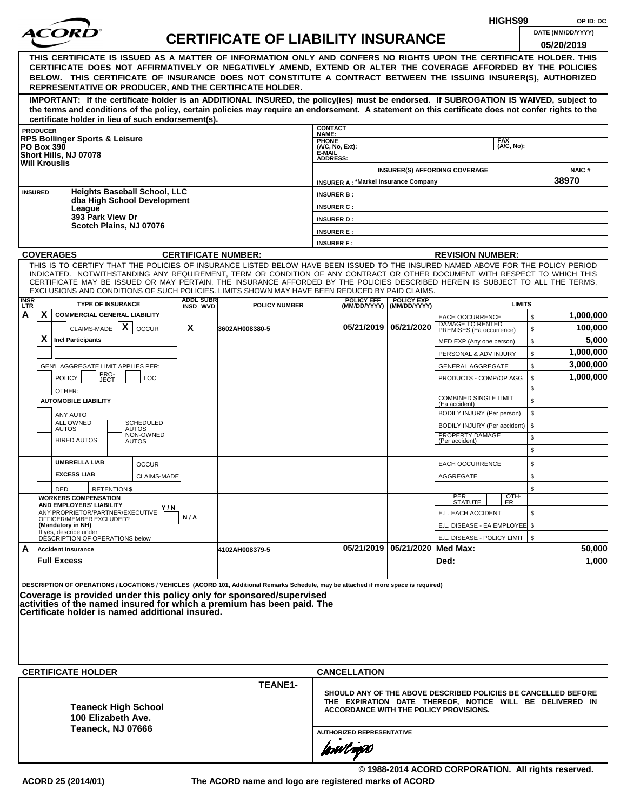|                         |                                                                                                                                                                                                                                                                |     |                  |                                           |                                                                |                                             |                                |                                                                        | HIGHS99       |          | OP ID: DC         |  |
|-------------------------|----------------------------------------------------------------------------------------------------------------------------------------------------------------------------------------------------------------------------------------------------------------|-----|------------------|-------------------------------------------|----------------------------------------------------------------|---------------------------------------------|--------------------------------|------------------------------------------------------------------------|---------------|----------|-------------------|--|
|                         |                                                                                                                                                                                                                                                                |     |                  | <b>CERTIFICATE OF LIABILITY INSURANCE</b> |                                                                |                                             |                                |                                                                        |               |          | DATE (MM/DD/YYYY) |  |
|                         |                                                                                                                                                                                                                                                                |     |                  |                                           |                                                                |                                             |                                |                                                                        |               |          | 05/20/2019        |  |
|                         | THIS CERTIFICATE IS ISSUED AS A MATTER OF INFORMATION ONLY AND CONFERS NO RIGHTS UPON THE CERTIFICATE HOLDER. THIS<br>CERTIFICATE DOES NOT AFFIRMATIVELY OR NEGATIVELY AMEND, EXTEND OR ALTER THE COVERAGE AFFORDED BY THE POLICIES                            |     |                  |                                           |                                                                |                                             |                                |                                                                        |               |          |                   |  |
|                         | BELOW. THIS CERTIFICATE OF INSURANCE DOES NOT CONSTITUTE A CONTRACT BETWEEN THE ISSUING INSURER(S), AUTHORIZED                                                                                                                                                 |     |                  |                                           |                                                                |                                             |                                |                                                                        |               |          |                   |  |
|                         | REPRESENTATIVE OR PRODUCER, AND THE CERTIFICATE HOLDER.                                                                                                                                                                                                        |     |                  |                                           |                                                                |                                             |                                |                                                                        |               |          |                   |  |
|                         | IMPORTANT: If the certificate holder is an ADDITIONAL INSURED, the policy(ies) must be endorsed. If SUBROGATION IS WAIVED, subject to                                                                                                                          |     |                  |                                           |                                                                |                                             |                                |                                                                        |               |          |                   |  |
|                         | the terms and conditions of the policy, certain policies may require an endorsement. A statement on this certificate does not confer rights to the<br>certificate holder in lieu of such endorsement(s).                                                       |     |                  |                                           |                                                                |                                             |                                |                                                                        |               |          |                   |  |
|                         | <b>PRODUCER</b>                                                                                                                                                                                                                                                |     |                  |                                           | <b>CONTACT</b>                                                 |                                             |                                |                                                                        |               |          |                   |  |
|                         | <b>RPS Bollinger Sports &amp; Leisure</b>                                                                                                                                                                                                                      |     |                  |                                           | NAME:<br><b>PHONE</b>                                          |                                             |                                |                                                                        | <b>FAX</b>    |          |                   |  |
|                         | <b>PO Box 390</b><br>Short Hills, NJ 07078                                                                                                                                                                                                                     |     |                  |                                           | $(A/C, No, Ext)$ :<br>E-MAIL                                   |                                             |                                |                                                                        | (A/C. No):    |          |                   |  |
|                         | <b>Will Krouslis</b>                                                                                                                                                                                                                                           |     |                  |                                           | <b>ADDRESS:</b>                                                |                                             |                                | <b>INSURER(S) AFFORDING COVERAGE</b>                                   |               |          | <b>NAIC#</b>      |  |
|                         |                                                                                                                                                                                                                                                                |     |                  |                                           |                                                                | <b>INSURER A: *Markel Insurance Company</b> |                                |                                                                        |               |          | 38970             |  |
|                         | <b>Heights Baseball School, LLC</b><br><b>INSURED</b>                                                                                                                                                                                                          |     |                  |                                           | <b>INSURER B:</b>                                              |                                             |                                |                                                                        |               |          |                   |  |
|                         | dba High School Development<br>League                                                                                                                                                                                                                          |     |                  |                                           | <b>INSURER C:</b>                                              |                                             |                                |                                                                        |               |          |                   |  |
|                         | 393 Park View Dr                                                                                                                                                                                                                                               |     |                  |                                           | <b>INSURER D:</b>                                              |                                             |                                |                                                                        |               |          |                   |  |
|                         | Scotch Plains, NJ 07076                                                                                                                                                                                                                                        |     |                  |                                           | <b>INSURER E:</b>                                              |                                             |                                |                                                                        |               |          |                   |  |
|                         |                                                                                                                                                                                                                                                                |     |                  |                                           | <b>INSURER F:</b>                                              |                                             |                                |                                                                        |               |          |                   |  |
|                         | <b>COVERAGES</b>                                                                                                                                                                                                                                               |     |                  | <b>CERTIFICATE NUMBER:</b>                |                                                                |                                             |                                | <b>REVISION NUMBER:</b>                                                |               |          |                   |  |
|                         | THIS IS TO CERTIFY THAT THE POLICIES OF INSURANCE LISTED BELOW HAVE BEEN ISSUED TO THE INSURED NAMED ABOVE FOR THE POLICY PERIOD<br>INDICATED. NOTWITHSTANDING ANY REQUIREMENT, TERM OR CONDITION OF ANY CONTRACT OR OTHER DOCUMENT WITH RESPECT TO WHICH THIS |     |                  |                                           |                                                                |                                             |                                |                                                                        |               |          |                   |  |
|                         | CERTIFICATE MAY BE ISSUED OR MAY PERTAIN, THE INSURANCE AFFORDED BY THE POLICIES DESCRIBED HEREIN IS SUBJECT TO ALL THE TERMS.                                                                                                                                 |     |                  |                                           |                                                                |                                             |                                |                                                                        |               |          |                   |  |
|                         | EXCLUSIONS AND CONDITIONS OF SUCH POLICIES. LIMITS SHOWN MAY HAVE BEEN REDUCED BY PAID CLAIMS.                                                                                                                                                                 |     | <b>ADDL SUBR</b> |                                           |                                                                | <b>POLICY EFF</b>                           | <b>POLICY EXP</b>              |                                                                        |               |          |                   |  |
| <b>INSR</b><br>LTR<br>A | <b>TYPE OF INSURANCE</b><br>X.<br><b>COMMERCIAL GENERAL LIABILITY</b>                                                                                                                                                                                          |     | INSD WVD         | <b>POLICY NUMBER</b>                      |                                                                | (MM/DD/YYYY)                                | (MM/DD/YYYY)                   |                                                                        | <b>LIMITS</b> |          | 1,000,000         |  |
|                         | $\mathsf{x}$<br>CLAIMS-MADE<br><b>OCCUR</b>                                                                                                                                                                                                                    | X   |                  | 3602AH008380-5                            |                                                                |                                             | 05/21/2019   05/21/2020        | <b>EACH OCCURRENCE</b><br>DAMAGE TO RENTED<br>PREMISES (Ea occurrence) |               | \$<br>\$ | 100,000           |  |
|                         | X.<br><b>Incl Participants</b>                                                                                                                                                                                                                                 |     |                  |                                           |                                                                |                                             |                                | MED EXP (Any one person)                                               |               | \$       | 5,000             |  |
|                         |                                                                                                                                                                                                                                                                |     |                  |                                           |                                                                |                                             |                                | PERSONAL & ADV INJURY                                                  |               | \$       | 1,000,000         |  |
|                         | GEN'L AGGREGATE LIMIT APPLIES PER:                                                                                                                                                                                                                             |     |                  |                                           |                                                                |                                             |                                | <b>GENERAL AGGREGATE</b>                                               |               | \$       | 3,000,000         |  |
|                         | PRO-<br><b>POLICY</b><br>LOC<br>JECT                                                                                                                                                                                                                           |     |                  |                                           |                                                                |                                             |                                | PRODUCTS - COMP/OP AGG                                                 |               | \$       | 1,000,000         |  |
|                         | OTHER:                                                                                                                                                                                                                                                         |     |                  |                                           |                                                                |                                             |                                |                                                                        |               | \$       |                   |  |
|                         | <b>AUTOMOBILE LIABILITY</b>                                                                                                                                                                                                                                    |     |                  |                                           |                                                                |                                             |                                | <b>COMBINED SINGLE LIMIT</b><br>(Ea accident)                          |               | \$       |                   |  |
|                         | <b>ANY AUTO</b>                                                                                                                                                                                                                                                |     |                  |                                           |                                                                |                                             |                                | BODILY INJURY (Per person)                                             |               | \$       |                   |  |
|                         | ALL OWNED<br><b>SCHEDULED</b><br><b>AUTOS</b><br>AUTOS                                                                                                                                                                                                         |     |                  |                                           |                                                                |                                             |                                | BODILY INJURY (Per accident)                                           |               | \$       |                   |  |
|                         | NON-OWNED<br><b>HIRED AUTOS</b><br><b>AUTOS</b>                                                                                                                                                                                                                |     |                  |                                           |                                                                |                                             |                                | PROPERTY DAMAGE<br>(Per accident)                                      |               | \$       |                   |  |
|                         |                                                                                                                                                                                                                                                                |     |                  |                                           |                                                                |                                             |                                |                                                                        |               | \$       |                   |  |
|                         | <b>UMBRELLA LIAB</b><br><b>OCCUR</b>                                                                                                                                                                                                                           |     |                  |                                           |                                                                |                                             |                                | <b>EACH OCCURRENCE</b>                                                 |               | \$       |                   |  |
|                         | <b>EXCESS LIAB</b><br>CLAIMS-MADE                                                                                                                                                                                                                              |     |                  |                                           |                                                                |                                             |                                | AGGREGATE                                                              |               | \$       |                   |  |
|                         | <b>RETENTION \$</b><br>DED<br><b>WORKERS COMPENSATION</b>                                                                                                                                                                                                      |     |                  |                                           |                                                                |                                             |                                |                                                                        |               | \$       |                   |  |
|                         | AND EMPLOYERS' LIABILITY<br>Y / N                                                                                                                                                                                                                              |     |                  |                                           |                                                                |                                             |                                | PER<br>STATUTE                                                         | OTH-<br>ER    |          |                   |  |
|                         | ANY PROPRIETOR/PARTNER/EXECUTIVE<br>OFFICER/MEMBER EXCLUDED?                                                                                                                                                                                                   | N/A |                  |                                           |                                                                |                                             |                                | E.L. EACH ACCIDENT                                                     |               | \$       |                   |  |
|                         | (Mandatory in NH)<br>If yes, describe under<br>DESCRIPTION OF OPERATIONS below                                                                                                                                                                                 |     |                  |                                           |                                                                |                                             |                                | E.L. DISEASE - EA EMPLOYEE \$<br>E.L. DISEASE - POLICY LIMIT   \$      |               |          |                   |  |
| A                       | <b>Accident Insurance</b>                                                                                                                                                                                                                                      |     |                  | 4102AH008379-5                            |                                                                |                                             | 05/21/2019 05/21/2020 Med Max: |                                                                        |               |          | 50,000            |  |
|                         | <b>Full Excess</b>                                                                                                                                                                                                                                             |     |                  |                                           |                                                                |                                             |                                | Ded:                                                                   |               |          | 1,000             |  |
|                         |                                                                                                                                                                                                                                                                |     |                  |                                           |                                                                |                                             |                                |                                                                        |               |          |                   |  |
|                         | DESCRIPTION OF OPERATIONS / LOCATIONS / VEHICLES (ACORD 101, Additional Remarks Schedule, may be attached if more space is required)                                                                                                                           |     |                  |                                           |                                                                |                                             |                                |                                                                        |               |          |                   |  |
|                         | Coverage is provided under this policy only for sponsored/supervised<br> activities of the named insured for which a premium has been paid. The                                                                                                                |     |                  |                                           |                                                                |                                             |                                |                                                                        |               |          |                   |  |
|                         | lCertificate holder is named additional insured.                                                                                                                                                                                                               |     |                  |                                           |                                                                |                                             |                                |                                                                        |               |          |                   |  |
|                         |                                                                                                                                                                                                                                                                |     |                  |                                           |                                                                |                                             |                                |                                                                        |               |          |                   |  |
|                         |                                                                                                                                                                                                                                                                |     |                  |                                           |                                                                |                                             |                                |                                                                        |               |          |                   |  |
|                         |                                                                                                                                                                                                                                                                |     |                  |                                           |                                                                |                                             |                                |                                                                        |               |          |                   |  |
|                         |                                                                                                                                                                                                                                                                |     |                  |                                           |                                                                |                                             |                                |                                                                        |               |          |                   |  |
|                         | <b>CERTIFICATE HOLDER</b>                                                                                                                                                                                                                                      |     |                  |                                           |                                                                | <b>CANCELLATION</b>                         |                                |                                                                        |               |          |                   |  |
|                         |                                                                                                                                                                                                                                                                |     |                  | <b>TEANE1-</b>                            | SHOULD ANY OF THE ABOVE DESCRIBED POLICIES BE CANCELLED BEFORE |                                             |                                |                                                                        |               |          |                   |  |
|                         |                                                                                                                                                                                                                                                                |     |                  |                                           |                                                                |                                             |                                | THE EXPIRATION DATE THEREOF, NOTICE WILL BE DELIVERED IN               |               |          |                   |  |
|                         | <b>Teaneck High School</b><br>100 Elizabeth Ave.                                                                                                                                                                                                               |     |                  |                                           | ACCORDANCE WITH THE POLICY PROVISIONS.                         |                                             |                                |                                                                        |               |          |                   |  |
|                         | Teaneck, NJ 07666                                                                                                                                                                                                                                              |     |                  |                                           |                                                                | <b>AUTHORIZED REPRESENTATIVE</b>            |                                |                                                                        |               |          |                   |  |
|                         |                                                                                                                                                                                                                                                                |     |                  |                                           |                                                                |                                             |                                |                                                                        |               |          |                   |  |
|                         |                                                                                                                                                                                                                                                                |     |                  |                                           | forwl now                                                      |                                             |                                |                                                                        |               |          |                   |  |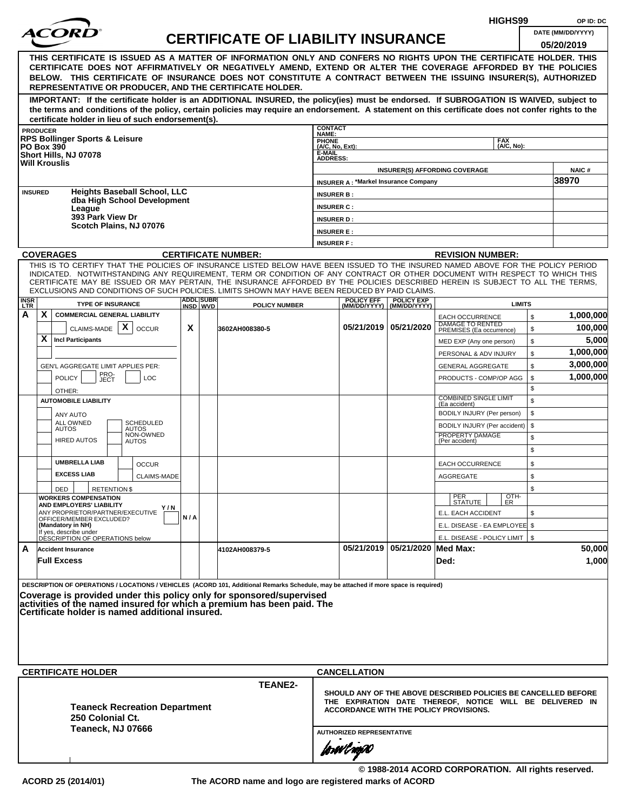| DATE (MM/DD/YYYY)<br><b>CERTIFICATE OF LIABILITY INSURANCE</b><br>05/20/2019<br>THIS CERTIFICATE IS ISSUED AS A MATTER OF INFORMATION ONLY AND CONFERS NO RIGHTS UPON THE CERTIFICATE HOLDER. THIS<br>CERTIFICATE DOES NOT AFFIRMATIVELY OR NEGATIVELY AMEND, EXTEND OR ALTER THE COVERAGE AFFORDED BY THE POLICIES<br>BELOW. THIS CERTIFICATE OF INSURANCE DOES NOT CONSTITUTE A CONTRACT BETWEEN THE ISSUING INSURER(S), AUTHORIZED<br>REPRESENTATIVE OR PRODUCER, AND THE CERTIFICATE HOLDER.<br>IMPORTANT: If the certificate holder is an ADDITIONAL INSURED, the policy(ies) must be endorsed. If SUBROGATION IS WAIVED, subject to<br>the terms and conditions of the policy, certain policies may require an endorsement. A statement on this certificate does not confer rights to the<br>certificate holder in lieu of such endorsement(s).<br><b>CONTACT</b><br><b>PRODUCER</b><br>NAME:<br><b>RPS Bollinger Sports &amp; Leisure</b><br>PHONE<br>(A/C, No, Ext):<br><b>FAX</b><br>(A/C, No):<br><b>PO Box 390</b><br>E-MAIL<br>Short Hills, NJ 07078<br><b>ADDRESS:</b><br><b>Will Krouslis</b><br><b>INSURER(S) AFFORDING COVERAGE</b><br>38970<br><b>INSURER A: *Markel Insurance Company</b><br><b>Heights Baseball School, LLC</b><br><b>INSURED</b><br><b>INSURER B:</b><br>dba High School Development<br><b>INSURER C:</b><br>League<br>393 Park View Dr<br><b>INSURER D:</b><br>Scotch Plains, NJ 07076<br><b>INSURER E:</b><br><b>INSURER F:</b><br><b>COVERAGES</b><br><b>CERTIFICATE NUMBER:</b><br><b>REVISION NUMBER:</b><br>THIS IS TO CERTIFY THAT THE POLICIES OF INSURANCE LISTED BELOW HAVE BEEN ISSUED TO THE INSURED NAMED ABOVE FOR THE POLICY PERIOD<br>INDICATED. NOTWITHSTANDING ANY REQUIREMENT, TERM OR CONDITION OF ANY CONTRACT OR OTHER DOCUMENT WITH RESPECT TO WHICH THIS<br>CERTIFICATE MAY BE ISSUED OR MAY PERTAIN, THE INSURANCE AFFORDED BY THE POLICIES DESCRIBED HEREIN IS SUBJECT TO ALL THE TERMS,<br>EXCLUSIONS AND CONDITIONS OF SUCH POLICIES. LIMITS SHOWN MAY HAVE BEEN REDUCED BY PAID CLAIMS.<br><b>ADDL SUBR</b><br><b>POLICY EFF</b><br><b>POLICY EXP</b><br><b>INSR</b><br><b>TYPE OF INSURANCE</b><br><b>LIMITS</b><br><b>POLICY NUMBER</b><br><b>LTR</b><br>INSD WVD<br>(MM/DD/YYYY)   (MM/DD/YYYY)<br>X<br>A<br><b>COMMERCIAL GENERAL LIABILITY</b><br>\$<br><b>EACH OCCURRENCE</b><br>DAMAGE TO RENTED<br>$\mathsf{x}$<br>05/21/2019   05/21/2020<br>X<br>CLAIMS-MADE<br><b>OCCUR</b><br>3602AH008380-5<br>\$<br>PREMISES (Ea occurrence)<br>X<br><b>Incl Participants</b><br>\$<br>MED EXP (Any one person)<br>\$<br>PERSONAL & ADV INJURY<br>\$<br>GEN'L AGGREGATE LIMIT APPLIES PER:<br><b>GENERAL AGGREGATE</b><br>PRO-<br><b>POLICY</b><br>LOC<br>\$<br>PRODUCTS - COMP/OP AGG<br>JECT<br>\$<br>OTHER:<br><b>COMBINED SINGLE LIMIT</b><br>\$<br><b>AUTOMOBILE LIABILITY</b><br>(Ea accident)<br>BODILY INJURY (Per person)<br>\$<br><b>ANY AUTO</b><br>ALL OWNED<br>SCHEDULED<br>BODILY INJURY (Per accident)<br>\$<br><b>AUTOS</b><br>AUTOS<br>NON-OWNED<br>PROPERTY DAMAGE<br>\$<br><b>HIRED AUTOS</b><br><b>AUTOS</b><br>(Per accident)<br>\$<br><b>UMBRELLA LIAB</b><br>\$<br><b>EACH OCCURRENCE</b><br><b>OCCUR</b><br><b>EXCESS LIAB</b><br><b>CLAIMS-MADE</b><br><b>AGGREGATE</b><br>\$<br>\$<br><b>RETENTION \$</b><br>DED<br>OTH-<br>PER<br>STATUTE<br><b>WORKERS COMPENSATION</b><br>ER<br>AND EMPLOYERS' LIABILITY<br>Y / N<br>ANY PROPRIETOR/PARTNER/EXECUTIVE<br>E.L. EACH ACCIDENT<br>\$<br>N/A<br>OFFICER/MEMBER EXCLUDED?<br>(Mandatory in NH)<br>E.L. DISEASE - EA EMPLOYEE \$<br>If yes, describe under<br>DESCRIPTION OF OPERATIONS below<br>E.L. DISEASE - POLICY LIMIT   \$<br>05/21/2019 05/21/2020 Med Max:<br>A<br><b>Accident Insurance</b><br>4102AH008379-5<br><b>Full Excess</b><br>Ded:<br>DESCRIPTION OF OPERATIONS / LOCATIONS / VEHICLES (ACORD 101, Additional Remarks Schedule, may be attached if more space is required)<br>Coverage is provided under this policy only for sponsored/supervised<br>activities of the named insured for which a premium has been paid. The<br>Certificate holder is named additional insured.<br><b>CERTIFICATE HOLDER</b><br><b>CANCELLATION</b><br><b>TEANE2-</b><br>SHOULD ANY OF THE ABOVE DESCRIBED POLICIES BE CANCELLED BEFORE<br>THE EXPIRATION DATE THEREOF, NOTICE WILL BE DELIVERED IN<br><b>Teaneck Recreation Department</b><br>ACCORDANCE WITH THE POLICY PROVISIONS.<br>250 Colonial Ct.<br>Teaneck, NJ 07666<br><b>AUTHORIZED REPRESENTATIVE</b><br>forwil nopol |  |  |  |  | HIGHS99 | OP ID: DC |
|-----------------------------------------------------------------------------------------------------------------------------------------------------------------------------------------------------------------------------------------------------------------------------------------------------------------------------------------------------------------------------------------------------------------------------------------------------------------------------------------------------------------------------------------------------------------------------------------------------------------------------------------------------------------------------------------------------------------------------------------------------------------------------------------------------------------------------------------------------------------------------------------------------------------------------------------------------------------------------------------------------------------------------------------------------------------------------------------------------------------------------------------------------------------------------------------------------------------------------------------------------------------------------------------------------------------------------------------------------------------------------------------------------------------------------------------------------------------------------------------------------------------------------------------------------------------------------------------------------------------------------------------------------------------------------------------------------------------------------------------------------------------------------------------------------------------------------------------------------------------------------------------------------------------------------------------------------------------------------------------------------------------------------------------------------------------------------------------------------------------------------------------------------------------------------------------------------------------------------------------------------------------------------------------------------------------------------------------------------------------------------------------------------------------------------------------------------------------------------------------------------------------------------------------------------------------------------------------------------------------------------------------------------------------------------------------------------------------------------------------------------------------------------------------------------------------------------------------------------------------------------------------------------------------------------------------------------------------------------------------------------------------------------------------------------------------------------------------------------------------------------------------------------------------------------------------------------------------------------------------------------------------------------------------------------------------------------------------------------------------------------------------------------------------------------------------------------------------------------------------------------------------------------------------------------------------------------------------------------------------------------------------------------------------------------------------------------------------------------------------------------------------------------------------------------------------------------------------------------------------------------------------------------------------------------------------------------------------------------------------------------------------------------------------------------------------------------------------------------------------------------------------------------------------------------------------------------------------------------------------------------------------------------------------------------------------------------------------------------------------------------------------------------------------------------------------------------------------------------------------------------------------------------|--|--|--|--|---------|-----------|
|                                                                                                                                                                                                                                                                                                                                                                                                                                                                                                                                                                                                                                                                                                                                                                                                                                                                                                                                                                                                                                                                                                                                                                                                                                                                                                                                                                                                                                                                                                                                                                                                                                                                                                                                                                                                                                                                                                                                                                                                                                                                                                                                                                                                                                                                                                                                                                                                                                                                                                                                                                                                                                                                                                                                                                                                                                                                                                                                                                                                                                                                                                                                                                                                                                                                                                                                                                                                                                                                                                                                                                                                                                                                                                                                                                                                                                                                                                                                                                                                                                                                                                                                                                                                                                                                                                                                                                                                                                                                                                                             |  |  |  |  |         |           |
|                                                                                                                                                                                                                                                                                                                                                                                                                                                                                                                                                                                                                                                                                                                                                                                                                                                                                                                                                                                                                                                                                                                                                                                                                                                                                                                                                                                                                                                                                                                                                                                                                                                                                                                                                                                                                                                                                                                                                                                                                                                                                                                                                                                                                                                                                                                                                                                                                                                                                                                                                                                                                                                                                                                                                                                                                                                                                                                                                                                                                                                                                                                                                                                                                                                                                                                                                                                                                                                                                                                                                                                                                                                                                                                                                                                                                                                                                                                                                                                                                                                                                                                                                                                                                                                                                                                                                                                                                                                                                                                             |  |  |  |  |         |           |
|                                                                                                                                                                                                                                                                                                                                                                                                                                                                                                                                                                                                                                                                                                                                                                                                                                                                                                                                                                                                                                                                                                                                                                                                                                                                                                                                                                                                                                                                                                                                                                                                                                                                                                                                                                                                                                                                                                                                                                                                                                                                                                                                                                                                                                                                                                                                                                                                                                                                                                                                                                                                                                                                                                                                                                                                                                                                                                                                                                                                                                                                                                                                                                                                                                                                                                                                                                                                                                                                                                                                                                                                                                                                                                                                                                                                                                                                                                                                                                                                                                                                                                                                                                                                                                                                                                                                                                                                                                                                                                                             |  |  |  |  |         |           |
|                                                                                                                                                                                                                                                                                                                                                                                                                                                                                                                                                                                                                                                                                                                                                                                                                                                                                                                                                                                                                                                                                                                                                                                                                                                                                                                                                                                                                                                                                                                                                                                                                                                                                                                                                                                                                                                                                                                                                                                                                                                                                                                                                                                                                                                                                                                                                                                                                                                                                                                                                                                                                                                                                                                                                                                                                                                                                                                                                                                                                                                                                                                                                                                                                                                                                                                                                                                                                                                                                                                                                                                                                                                                                                                                                                                                                                                                                                                                                                                                                                                                                                                                                                                                                                                                                                                                                                                                                                                                                                                             |  |  |  |  |         |           |
|                                                                                                                                                                                                                                                                                                                                                                                                                                                                                                                                                                                                                                                                                                                                                                                                                                                                                                                                                                                                                                                                                                                                                                                                                                                                                                                                                                                                                                                                                                                                                                                                                                                                                                                                                                                                                                                                                                                                                                                                                                                                                                                                                                                                                                                                                                                                                                                                                                                                                                                                                                                                                                                                                                                                                                                                                                                                                                                                                                                                                                                                                                                                                                                                                                                                                                                                                                                                                                                                                                                                                                                                                                                                                                                                                                                                                                                                                                                                                                                                                                                                                                                                                                                                                                                                                                                                                                                                                                                                                                                             |  |  |  |  |         |           |
|                                                                                                                                                                                                                                                                                                                                                                                                                                                                                                                                                                                                                                                                                                                                                                                                                                                                                                                                                                                                                                                                                                                                                                                                                                                                                                                                                                                                                                                                                                                                                                                                                                                                                                                                                                                                                                                                                                                                                                                                                                                                                                                                                                                                                                                                                                                                                                                                                                                                                                                                                                                                                                                                                                                                                                                                                                                                                                                                                                                                                                                                                                                                                                                                                                                                                                                                                                                                                                                                                                                                                                                                                                                                                                                                                                                                                                                                                                                                                                                                                                                                                                                                                                                                                                                                                                                                                                                                                                                                                                                             |  |  |  |  |         | NAIC#     |
|                                                                                                                                                                                                                                                                                                                                                                                                                                                                                                                                                                                                                                                                                                                                                                                                                                                                                                                                                                                                                                                                                                                                                                                                                                                                                                                                                                                                                                                                                                                                                                                                                                                                                                                                                                                                                                                                                                                                                                                                                                                                                                                                                                                                                                                                                                                                                                                                                                                                                                                                                                                                                                                                                                                                                                                                                                                                                                                                                                                                                                                                                                                                                                                                                                                                                                                                                                                                                                                                                                                                                                                                                                                                                                                                                                                                                                                                                                                                                                                                                                                                                                                                                                                                                                                                                                                                                                                                                                                                                                                             |  |  |  |  |         |           |
|                                                                                                                                                                                                                                                                                                                                                                                                                                                                                                                                                                                                                                                                                                                                                                                                                                                                                                                                                                                                                                                                                                                                                                                                                                                                                                                                                                                                                                                                                                                                                                                                                                                                                                                                                                                                                                                                                                                                                                                                                                                                                                                                                                                                                                                                                                                                                                                                                                                                                                                                                                                                                                                                                                                                                                                                                                                                                                                                                                                                                                                                                                                                                                                                                                                                                                                                                                                                                                                                                                                                                                                                                                                                                                                                                                                                                                                                                                                                                                                                                                                                                                                                                                                                                                                                                                                                                                                                                                                                                                                             |  |  |  |  |         |           |
|                                                                                                                                                                                                                                                                                                                                                                                                                                                                                                                                                                                                                                                                                                                                                                                                                                                                                                                                                                                                                                                                                                                                                                                                                                                                                                                                                                                                                                                                                                                                                                                                                                                                                                                                                                                                                                                                                                                                                                                                                                                                                                                                                                                                                                                                                                                                                                                                                                                                                                                                                                                                                                                                                                                                                                                                                                                                                                                                                                                                                                                                                                                                                                                                                                                                                                                                                                                                                                                                                                                                                                                                                                                                                                                                                                                                                                                                                                                                                                                                                                                                                                                                                                                                                                                                                                                                                                                                                                                                                                                             |  |  |  |  |         |           |
|                                                                                                                                                                                                                                                                                                                                                                                                                                                                                                                                                                                                                                                                                                                                                                                                                                                                                                                                                                                                                                                                                                                                                                                                                                                                                                                                                                                                                                                                                                                                                                                                                                                                                                                                                                                                                                                                                                                                                                                                                                                                                                                                                                                                                                                                                                                                                                                                                                                                                                                                                                                                                                                                                                                                                                                                                                                                                                                                                                                                                                                                                                                                                                                                                                                                                                                                                                                                                                                                                                                                                                                                                                                                                                                                                                                                                                                                                                                                                                                                                                                                                                                                                                                                                                                                                                                                                                                                                                                                                                                             |  |  |  |  |         |           |
|                                                                                                                                                                                                                                                                                                                                                                                                                                                                                                                                                                                                                                                                                                                                                                                                                                                                                                                                                                                                                                                                                                                                                                                                                                                                                                                                                                                                                                                                                                                                                                                                                                                                                                                                                                                                                                                                                                                                                                                                                                                                                                                                                                                                                                                                                                                                                                                                                                                                                                                                                                                                                                                                                                                                                                                                                                                                                                                                                                                                                                                                                                                                                                                                                                                                                                                                                                                                                                                                                                                                                                                                                                                                                                                                                                                                                                                                                                                                                                                                                                                                                                                                                                                                                                                                                                                                                                                                                                                                                                                             |  |  |  |  |         |           |
|                                                                                                                                                                                                                                                                                                                                                                                                                                                                                                                                                                                                                                                                                                                                                                                                                                                                                                                                                                                                                                                                                                                                                                                                                                                                                                                                                                                                                                                                                                                                                                                                                                                                                                                                                                                                                                                                                                                                                                                                                                                                                                                                                                                                                                                                                                                                                                                                                                                                                                                                                                                                                                                                                                                                                                                                                                                                                                                                                                                                                                                                                                                                                                                                                                                                                                                                                                                                                                                                                                                                                                                                                                                                                                                                                                                                                                                                                                                                                                                                                                                                                                                                                                                                                                                                                                                                                                                                                                                                                                                             |  |  |  |  |         |           |
|                                                                                                                                                                                                                                                                                                                                                                                                                                                                                                                                                                                                                                                                                                                                                                                                                                                                                                                                                                                                                                                                                                                                                                                                                                                                                                                                                                                                                                                                                                                                                                                                                                                                                                                                                                                                                                                                                                                                                                                                                                                                                                                                                                                                                                                                                                                                                                                                                                                                                                                                                                                                                                                                                                                                                                                                                                                                                                                                                                                                                                                                                                                                                                                                                                                                                                                                                                                                                                                                                                                                                                                                                                                                                                                                                                                                                                                                                                                                                                                                                                                                                                                                                                                                                                                                                                                                                                                                                                                                                                                             |  |  |  |  |         |           |
|                                                                                                                                                                                                                                                                                                                                                                                                                                                                                                                                                                                                                                                                                                                                                                                                                                                                                                                                                                                                                                                                                                                                                                                                                                                                                                                                                                                                                                                                                                                                                                                                                                                                                                                                                                                                                                                                                                                                                                                                                                                                                                                                                                                                                                                                                                                                                                                                                                                                                                                                                                                                                                                                                                                                                                                                                                                                                                                                                                                                                                                                                                                                                                                                                                                                                                                                                                                                                                                                                                                                                                                                                                                                                                                                                                                                                                                                                                                                                                                                                                                                                                                                                                                                                                                                                                                                                                                                                                                                                                                             |  |  |  |  |         |           |
|                                                                                                                                                                                                                                                                                                                                                                                                                                                                                                                                                                                                                                                                                                                                                                                                                                                                                                                                                                                                                                                                                                                                                                                                                                                                                                                                                                                                                                                                                                                                                                                                                                                                                                                                                                                                                                                                                                                                                                                                                                                                                                                                                                                                                                                                                                                                                                                                                                                                                                                                                                                                                                                                                                                                                                                                                                                                                                                                                                                                                                                                                                                                                                                                                                                                                                                                                                                                                                                                                                                                                                                                                                                                                                                                                                                                                                                                                                                                                                                                                                                                                                                                                                                                                                                                                                                                                                                                                                                                                                                             |  |  |  |  |         |           |
|                                                                                                                                                                                                                                                                                                                                                                                                                                                                                                                                                                                                                                                                                                                                                                                                                                                                                                                                                                                                                                                                                                                                                                                                                                                                                                                                                                                                                                                                                                                                                                                                                                                                                                                                                                                                                                                                                                                                                                                                                                                                                                                                                                                                                                                                                                                                                                                                                                                                                                                                                                                                                                                                                                                                                                                                                                                                                                                                                                                                                                                                                                                                                                                                                                                                                                                                                                                                                                                                                                                                                                                                                                                                                                                                                                                                                                                                                                                                                                                                                                                                                                                                                                                                                                                                                                                                                                                                                                                                                                                             |  |  |  |  |         | 1,000,000 |
|                                                                                                                                                                                                                                                                                                                                                                                                                                                                                                                                                                                                                                                                                                                                                                                                                                                                                                                                                                                                                                                                                                                                                                                                                                                                                                                                                                                                                                                                                                                                                                                                                                                                                                                                                                                                                                                                                                                                                                                                                                                                                                                                                                                                                                                                                                                                                                                                                                                                                                                                                                                                                                                                                                                                                                                                                                                                                                                                                                                                                                                                                                                                                                                                                                                                                                                                                                                                                                                                                                                                                                                                                                                                                                                                                                                                                                                                                                                                                                                                                                                                                                                                                                                                                                                                                                                                                                                                                                                                                                                             |  |  |  |  |         | 100,000   |
|                                                                                                                                                                                                                                                                                                                                                                                                                                                                                                                                                                                                                                                                                                                                                                                                                                                                                                                                                                                                                                                                                                                                                                                                                                                                                                                                                                                                                                                                                                                                                                                                                                                                                                                                                                                                                                                                                                                                                                                                                                                                                                                                                                                                                                                                                                                                                                                                                                                                                                                                                                                                                                                                                                                                                                                                                                                                                                                                                                                                                                                                                                                                                                                                                                                                                                                                                                                                                                                                                                                                                                                                                                                                                                                                                                                                                                                                                                                                                                                                                                                                                                                                                                                                                                                                                                                                                                                                                                                                                                                             |  |  |  |  |         | 5,000     |
|                                                                                                                                                                                                                                                                                                                                                                                                                                                                                                                                                                                                                                                                                                                                                                                                                                                                                                                                                                                                                                                                                                                                                                                                                                                                                                                                                                                                                                                                                                                                                                                                                                                                                                                                                                                                                                                                                                                                                                                                                                                                                                                                                                                                                                                                                                                                                                                                                                                                                                                                                                                                                                                                                                                                                                                                                                                                                                                                                                                                                                                                                                                                                                                                                                                                                                                                                                                                                                                                                                                                                                                                                                                                                                                                                                                                                                                                                                                                                                                                                                                                                                                                                                                                                                                                                                                                                                                                                                                                                                                             |  |  |  |  |         | 1,000,000 |
|                                                                                                                                                                                                                                                                                                                                                                                                                                                                                                                                                                                                                                                                                                                                                                                                                                                                                                                                                                                                                                                                                                                                                                                                                                                                                                                                                                                                                                                                                                                                                                                                                                                                                                                                                                                                                                                                                                                                                                                                                                                                                                                                                                                                                                                                                                                                                                                                                                                                                                                                                                                                                                                                                                                                                                                                                                                                                                                                                                                                                                                                                                                                                                                                                                                                                                                                                                                                                                                                                                                                                                                                                                                                                                                                                                                                                                                                                                                                                                                                                                                                                                                                                                                                                                                                                                                                                                                                                                                                                                                             |  |  |  |  |         | 3,000,000 |
|                                                                                                                                                                                                                                                                                                                                                                                                                                                                                                                                                                                                                                                                                                                                                                                                                                                                                                                                                                                                                                                                                                                                                                                                                                                                                                                                                                                                                                                                                                                                                                                                                                                                                                                                                                                                                                                                                                                                                                                                                                                                                                                                                                                                                                                                                                                                                                                                                                                                                                                                                                                                                                                                                                                                                                                                                                                                                                                                                                                                                                                                                                                                                                                                                                                                                                                                                                                                                                                                                                                                                                                                                                                                                                                                                                                                                                                                                                                                                                                                                                                                                                                                                                                                                                                                                                                                                                                                                                                                                                                             |  |  |  |  |         | 1,000,000 |
|                                                                                                                                                                                                                                                                                                                                                                                                                                                                                                                                                                                                                                                                                                                                                                                                                                                                                                                                                                                                                                                                                                                                                                                                                                                                                                                                                                                                                                                                                                                                                                                                                                                                                                                                                                                                                                                                                                                                                                                                                                                                                                                                                                                                                                                                                                                                                                                                                                                                                                                                                                                                                                                                                                                                                                                                                                                                                                                                                                                                                                                                                                                                                                                                                                                                                                                                                                                                                                                                                                                                                                                                                                                                                                                                                                                                                                                                                                                                                                                                                                                                                                                                                                                                                                                                                                                                                                                                                                                                                                                             |  |  |  |  |         |           |
|                                                                                                                                                                                                                                                                                                                                                                                                                                                                                                                                                                                                                                                                                                                                                                                                                                                                                                                                                                                                                                                                                                                                                                                                                                                                                                                                                                                                                                                                                                                                                                                                                                                                                                                                                                                                                                                                                                                                                                                                                                                                                                                                                                                                                                                                                                                                                                                                                                                                                                                                                                                                                                                                                                                                                                                                                                                                                                                                                                                                                                                                                                                                                                                                                                                                                                                                                                                                                                                                                                                                                                                                                                                                                                                                                                                                                                                                                                                                                                                                                                                                                                                                                                                                                                                                                                                                                                                                                                                                                                                             |  |  |  |  |         |           |
|                                                                                                                                                                                                                                                                                                                                                                                                                                                                                                                                                                                                                                                                                                                                                                                                                                                                                                                                                                                                                                                                                                                                                                                                                                                                                                                                                                                                                                                                                                                                                                                                                                                                                                                                                                                                                                                                                                                                                                                                                                                                                                                                                                                                                                                                                                                                                                                                                                                                                                                                                                                                                                                                                                                                                                                                                                                                                                                                                                                                                                                                                                                                                                                                                                                                                                                                                                                                                                                                                                                                                                                                                                                                                                                                                                                                                                                                                                                                                                                                                                                                                                                                                                                                                                                                                                                                                                                                                                                                                                                             |  |  |  |  |         |           |
|                                                                                                                                                                                                                                                                                                                                                                                                                                                                                                                                                                                                                                                                                                                                                                                                                                                                                                                                                                                                                                                                                                                                                                                                                                                                                                                                                                                                                                                                                                                                                                                                                                                                                                                                                                                                                                                                                                                                                                                                                                                                                                                                                                                                                                                                                                                                                                                                                                                                                                                                                                                                                                                                                                                                                                                                                                                                                                                                                                                                                                                                                                                                                                                                                                                                                                                                                                                                                                                                                                                                                                                                                                                                                                                                                                                                                                                                                                                                                                                                                                                                                                                                                                                                                                                                                                                                                                                                                                                                                                                             |  |  |  |  |         |           |
|                                                                                                                                                                                                                                                                                                                                                                                                                                                                                                                                                                                                                                                                                                                                                                                                                                                                                                                                                                                                                                                                                                                                                                                                                                                                                                                                                                                                                                                                                                                                                                                                                                                                                                                                                                                                                                                                                                                                                                                                                                                                                                                                                                                                                                                                                                                                                                                                                                                                                                                                                                                                                                                                                                                                                                                                                                                                                                                                                                                                                                                                                                                                                                                                                                                                                                                                                                                                                                                                                                                                                                                                                                                                                                                                                                                                                                                                                                                                                                                                                                                                                                                                                                                                                                                                                                                                                                                                                                                                                                                             |  |  |  |  |         |           |
|                                                                                                                                                                                                                                                                                                                                                                                                                                                                                                                                                                                                                                                                                                                                                                                                                                                                                                                                                                                                                                                                                                                                                                                                                                                                                                                                                                                                                                                                                                                                                                                                                                                                                                                                                                                                                                                                                                                                                                                                                                                                                                                                                                                                                                                                                                                                                                                                                                                                                                                                                                                                                                                                                                                                                                                                                                                                                                                                                                                                                                                                                                                                                                                                                                                                                                                                                                                                                                                                                                                                                                                                                                                                                                                                                                                                                                                                                                                                                                                                                                                                                                                                                                                                                                                                                                                                                                                                                                                                                                                             |  |  |  |  |         |           |
|                                                                                                                                                                                                                                                                                                                                                                                                                                                                                                                                                                                                                                                                                                                                                                                                                                                                                                                                                                                                                                                                                                                                                                                                                                                                                                                                                                                                                                                                                                                                                                                                                                                                                                                                                                                                                                                                                                                                                                                                                                                                                                                                                                                                                                                                                                                                                                                                                                                                                                                                                                                                                                                                                                                                                                                                                                                                                                                                                                                                                                                                                                                                                                                                                                                                                                                                                                                                                                                                                                                                                                                                                                                                                                                                                                                                                                                                                                                                                                                                                                                                                                                                                                                                                                                                                                                                                                                                                                                                                                                             |  |  |  |  |         |           |
|                                                                                                                                                                                                                                                                                                                                                                                                                                                                                                                                                                                                                                                                                                                                                                                                                                                                                                                                                                                                                                                                                                                                                                                                                                                                                                                                                                                                                                                                                                                                                                                                                                                                                                                                                                                                                                                                                                                                                                                                                                                                                                                                                                                                                                                                                                                                                                                                                                                                                                                                                                                                                                                                                                                                                                                                                                                                                                                                                                                                                                                                                                                                                                                                                                                                                                                                                                                                                                                                                                                                                                                                                                                                                                                                                                                                                                                                                                                                                                                                                                                                                                                                                                                                                                                                                                                                                                                                                                                                                                                             |  |  |  |  |         |           |
|                                                                                                                                                                                                                                                                                                                                                                                                                                                                                                                                                                                                                                                                                                                                                                                                                                                                                                                                                                                                                                                                                                                                                                                                                                                                                                                                                                                                                                                                                                                                                                                                                                                                                                                                                                                                                                                                                                                                                                                                                                                                                                                                                                                                                                                                                                                                                                                                                                                                                                                                                                                                                                                                                                                                                                                                                                                                                                                                                                                                                                                                                                                                                                                                                                                                                                                                                                                                                                                                                                                                                                                                                                                                                                                                                                                                                                                                                                                                                                                                                                                                                                                                                                                                                                                                                                                                                                                                                                                                                                                             |  |  |  |  |         |           |
|                                                                                                                                                                                                                                                                                                                                                                                                                                                                                                                                                                                                                                                                                                                                                                                                                                                                                                                                                                                                                                                                                                                                                                                                                                                                                                                                                                                                                                                                                                                                                                                                                                                                                                                                                                                                                                                                                                                                                                                                                                                                                                                                                                                                                                                                                                                                                                                                                                                                                                                                                                                                                                                                                                                                                                                                                                                                                                                                                                                                                                                                                                                                                                                                                                                                                                                                                                                                                                                                                                                                                                                                                                                                                                                                                                                                                                                                                                                                                                                                                                                                                                                                                                                                                                                                                                                                                                                                                                                                                                                             |  |  |  |  |         |           |
|                                                                                                                                                                                                                                                                                                                                                                                                                                                                                                                                                                                                                                                                                                                                                                                                                                                                                                                                                                                                                                                                                                                                                                                                                                                                                                                                                                                                                                                                                                                                                                                                                                                                                                                                                                                                                                                                                                                                                                                                                                                                                                                                                                                                                                                                                                                                                                                                                                                                                                                                                                                                                                                                                                                                                                                                                                                                                                                                                                                                                                                                                                                                                                                                                                                                                                                                                                                                                                                                                                                                                                                                                                                                                                                                                                                                                                                                                                                                                                                                                                                                                                                                                                                                                                                                                                                                                                                                                                                                                                                             |  |  |  |  |         |           |
|                                                                                                                                                                                                                                                                                                                                                                                                                                                                                                                                                                                                                                                                                                                                                                                                                                                                                                                                                                                                                                                                                                                                                                                                                                                                                                                                                                                                                                                                                                                                                                                                                                                                                                                                                                                                                                                                                                                                                                                                                                                                                                                                                                                                                                                                                                                                                                                                                                                                                                                                                                                                                                                                                                                                                                                                                                                                                                                                                                                                                                                                                                                                                                                                                                                                                                                                                                                                                                                                                                                                                                                                                                                                                                                                                                                                                                                                                                                                                                                                                                                                                                                                                                                                                                                                                                                                                                                                                                                                                                                             |  |  |  |  |         |           |
|                                                                                                                                                                                                                                                                                                                                                                                                                                                                                                                                                                                                                                                                                                                                                                                                                                                                                                                                                                                                                                                                                                                                                                                                                                                                                                                                                                                                                                                                                                                                                                                                                                                                                                                                                                                                                                                                                                                                                                                                                                                                                                                                                                                                                                                                                                                                                                                                                                                                                                                                                                                                                                                                                                                                                                                                                                                                                                                                                                                                                                                                                                                                                                                                                                                                                                                                                                                                                                                                                                                                                                                                                                                                                                                                                                                                                                                                                                                                                                                                                                                                                                                                                                                                                                                                                                                                                                                                                                                                                                                             |  |  |  |  |         | 50,000    |
|                                                                                                                                                                                                                                                                                                                                                                                                                                                                                                                                                                                                                                                                                                                                                                                                                                                                                                                                                                                                                                                                                                                                                                                                                                                                                                                                                                                                                                                                                                                                                                                                                                                                                                                                                                                                                                                                                                                                                                                                                                                                                                                                                                                                                                                                                                                                                                                                                                                                                                                                                                                                                                                                                                                                                                                                                                                                                                                                                                                                                                                                                                                                                                                                                                                                                                                                                                                                                                                                                                                                                                                                                                                                                                                                                                                                                                                                                                                                                                                                                                                                                                                                                                                                                                                                                                                                                                                                                                                                                                                             |  |  |  |  |         | 1,000     |
|                                                                                                                                                                                                                                                                                                                                                                                                                                                                                                                                                                                                                                                                                                                                                                                                                                                                                                                                                                                                                                                                                                                                                                                                                                                                                                                                                                                                                                                                                                                                                                                                                                                                                                                                                                                                                                                                                                                                                                                                                                                                                                                                                                                                                                                                                                                                                                                                                                                                                                                                                                                                                                                                                                                                                                                                                                                                                                                                                                                                                                                                                                                                                                                                                                                                                                                                                                                                                                                                                                                                                                                                                                                                                                                                                                                                                                                                                                                                                                                                                                                                                                                                                                                                                                                                                                                                                                                                                                                                                                                             |  |  |  |  |         |           |
|                                                                                                                                                                                                                                                                                                                                                                                                                                                                                                                                                                                                                                                                                                                                                                                                                                                                                                                                                                                                                                                                                                                                                                                                                                                                                                                                                                                                                                                                                                                                                                                                                                                                                                                                                                                                                                                                                                                                                                                                                                                                                                                                                                                                                                                                                                                                                                                                                                                                                                                                                                                                                                                                                                                                                                                                                                                                                                                                                                                                                                                                                                                                                                                                                                                                                                                                                                                                                                                                                                                                                                                                                                                                                                                                                                                                                                                                                                                                                                                                                                                                                                                                                                                                                                                                                                                                                                                                                                                                                                                             |  |  |  |  |         |           |
|                                                                                                                                                                                                                                                                                                                                                                                                                                                                                                                                                                                                                                                                                                                                                                                                                                                                                                                                                                                                                                                                                                                                                                                                                                                                                                                                                                                                                                                                                                                                                                                                                                                                                                                                                                                                                                                                                                                                                                                                                                                                                                                                                                                                                                                                                                                                                                                                                                                                                                                                                                                                                                                                                                                                                                                                                                                                                                                                                                                                                                                                                                                                                                                                                                                                                                                                                                                                                                                                                                                                                                                                                                                                                                                                                                                                                                                                                                                                                                                                                                                                                                                                                                                                                                                                                                                                                                                                                                                                                                                             |  |  |  |  |         |           |
| © 1988-2014 ACORD CORPORATION. All rights reserved.                                                                                                                                                                                                                                                                                                                                                                                                                                                                                                                                                                                                                                                                                                                                                                                                                                                                                                                                                                                                                                                                                                                                                                                                                                                                                                                                                                                                                                                                                                                                                                                                                                                                                                                                                                                                                                                                                                                                                                                                                                                                                                                                                                                                                                                                                                                                                                                                                                                                                                                                                                                                                                                                                                                                                                                                                                                                                                                                                                                                                                                                                                                                                                                                                                                                                                                                                                                                                                                                                                                                                                                                                                                                                                                                                                                                                                                                                                                                                                                                                                                                                                                                                                                                                                                                                                                                                                                                                                                                         |  |  |  |  |         |           |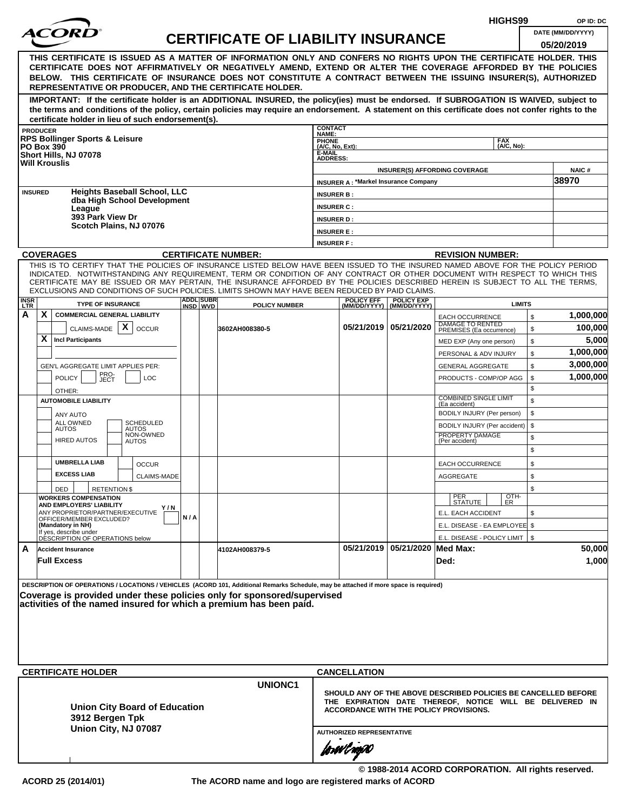|             |                 |                                                                                                                                                                                                                                                                                                                                                                                                                                                                                                                                |     |                  |                                           | HIGHS99<br>OP ID: DC                   |                                             |                                |                                                                                                                                                                             |                                 |              |
|-------------|-----------------|--------------------------------------------------------------------------------------------------------------------------------------------------------------------------------------------------------------------------------------------------------------------------------------------------------------------------------------------------------------------------------------------------------------------------------------------------------------------------------------------------------------------------------|-----|------------------|-------------------------------------------|----------------------------------------|---------------------------------------------|--------------------------------|-----------------------------------------------------------------------------------------------------------------------------------------------------------------------------|---------------------------------|--------------|
|             |                 | <i>ACORI</i>                                                                                                                                                                                                                                                                                                                                                                                                                                                                                                                   |     |                  | <b>CERTIFICATE OF LIABILITY INSURANCE</b> |                                        |                                             |                                |                                                                                                                                                                             | DATE (MM/DD/YYYY)<br>05/20/2019 |              |
|             |                 | THIS CERTIFICATE IS ISSUED AS A MATTER OF INFORMATION ONLY AND CONFERS NO RIGHTS UPON THE CERTIFICATE HOLDER. THIS<br>CERTIFICATE DOES NOT AFFIRMATIVELY OR NEGATIVELY AMEND, EXTEND OR ALTER THE COVERAGE AFFORDED BY THE POLICIES<br>BELOW. THIS CERTIFICATE OF INSURANCE DOES NOT CONSTITUTE A CONTRACT BETWEEN THE ISSUING INSURER(S), AUTHORIZED<br>REPRESENTATIVE OR PRODUCER, AND THE CERTIFICATE HOLDER.                                                                                                               |     |                  |                                           |                                        |                                             |                                |                                                                                                                                                                             |                                 |              |
|             |                 | IMPORTANT: If the certificate holder is an ADDITIONAL INSURED, the policy(ies) must be endorsed. If SUBROGATION IS WAIVED, subject to<br>the terms and conditions of the policy, certain policies may require an endorsement. A statement on this certificate does not confer rights to the<br>certificate holder in lieu of such endorsement(s).                                                                                                                                                                              |     |                  |                                           |                                        |                                             |                                |                                                                                                                                                                             |                                 |              |
|             | <b>PRODUCER</b> |                                                                                                                                                                                                                                                                                                                                                                                                                                                                                                                                |     |                  |                                           | <b>CONTACT</b><br>NAME:                |                                             |                                |                                                                                                                                                                             |                                 |              |
|             |                 | <b>RPS Bollinger Sports &amp; Leisure</b><br><b>PO Box 390</b>                                                                                                                                                                                                                                                                                                                                                                                                                                                                 |     |                  |                                           | <b>PHONE</b><br>(A/C, No, Ext):        |                                             |                                | <b>FAX</b><br>(A/C, No):                                                                                                                                                    |                                 |              |
|             |                 | Short Hills, NJ 07078<br><b>Will Krouslis</b>                                                                                                                                                                                                                                                                                                                                                                                                                                                                                  |     |                  |                                           | E-MAIL<br><b>ADDRESS:</b>              |                                             |                                | <b>INSURER(S) AFFORDING COVERAGE</b>                                                                                                                                        |                                 | <b>NAIC#</b> |
|             |                 |                                                                                                                                                                                                                                                                                                                                                                                                                                                                                                                                |     |                  |                                           |                                        | <b>INSURER A: *Markel Insurance Company</b> |                                |                                                                                                                                                                             | 38970                           |              |
|             | <b>INSURED</b>  | <b>Heights Baseball School, LLC</b><br>dba High School Development                                                                                                                                                                                                                                                                                                                                                                                                                                                             |     |                  |                                           | <b>INSURER B:</b>                      |                                             |                                |                                                                                                                                                                             |                                 |              |
|             |                 | League<br>393 Park View Dr                                                                                                                                                                                                                                                                                                                                                                                                                                                                                                     |     |                  |                                           | <b>INSURER C:</b>                      |                                             |                                |                                                                                                                                                                             |                                 |              |
|             |                 | Scotch Plains, NJ 07076                                                                                                                                                                                                                                                                                                                                                                                                                                                                                                        |     |                  |                                           | <b>INSURER D:</b>                      |                                             |                                |                                                                                                                                                                             |                                 |              |
|             |                 |                                                                                                                                                                                                                                                                                                                                                                                                                                                                                                                                |     |                  |                                           | <b>INSURER E:</b><br><b>INSURER F:</b> |                                             |                                |                                                                                                                                                                             |                                 |              |
|             |                 | <b>COVERAGES</b>                                                                                                                                                                                                                                                                                                                                                                                                                                                                                                               |     |                  | <b>CERTIFICATE NUMBER:</b>                |                                        |                                             |                                | <b>REVISION NUMBER:</b>                                                                                                                                                     |                                 |              |
| <b>INSR</b> |                 | THIS IS TO CERTIFY THAT THE POLICIES OF INSURANCE LISTED BELOW HAVE BEEN ISSUED TO THE INSURED NAMED ABOVE FOR THE POLICY PERIOD<br>INDICATED. NOTWITHSTANDING ANY REQUIREMENT, TERM OR CONDITION OF ANY CONTRACT OR OTHER DOCUMENT WITH RESPECT TO WHICH THIS<br>CERTIFICATE MAY BE ISSUED OR MAY PERTAIN, THE INSURANCE AFFORDED BY THE POLICIES DESCRIBED HEREIN IS SUBJECT TO ALL THE TERMS,<br>EXCLUSIONS AND CONDITIONS OF SUCH POLICIES. LIMITS SHOWN MAY HAVE BEEN REDUCED BY PAID CLAIMS.<br><b>TYPE OF INSURANCE</b> |     | <b>ADDL SUBR</b> |                                           |                                        | <b>POLICY EFF</b>                           | <b>POLICY EXP</b>              | <b>LIMITS</b>                                                                                                                                                               |                                 |              |
| LTR<br>A    | X               | <b>COMMERCIAL GENERAL LIABILITY</b>                                                                                                                                                                                                                                                                                                                                                                                                                                                                                            |     | INSD WVD         | <b>POLICY NUMBER</b>                      |                                        | (MM/DD/YYYY)                                | (MM/DD/YYYY)                   | <b>EACH OCCURRENCE</b>                                                                                                                                                      | \$                              | 1,000,000    |
|             |                 | X<br>CLAIMS-MADE<br><b>OCCUR</b>                                                                                                                                                                                                                                                                                                                                                                                                                                                                                               |     |                  | 3602AH008380-5                            |                                        |                                             | 05/21/2019 05/21/2020          | <b>DAMAGE TO RENTED</b><br>PREMISES (Ea occurrence)                                                                                                                         | \$                              | 100,000      |
|             | X               | <b>Incl Participants</b>                                                                                                                                                                                                                                                                                                                                                                                                                                                                                                       |     |                  |                                           |                                        |                                             |                                | MED EXP (Any one person)                                                                                                                                                    | \$                              | 5,000        |
|             |                 |                                                                                                                                                                                                                                                                                                                                                                                                                                                                                                                                |     |                  |                                           |                                        |                                             |                                | PERSONAL & ADV INJURY                                                                                                                                                       | \$                              | 1,000,000    |
|             |                 | <b>GEN'L AGGREGATE LIMIT APPLIES PER:</b>                                                                                                                                                                                                                                                                                                                                                                                                                                                                                      |     |                  |                                           |                                        |                                             |                                | <b>GENERAL AGGREGATE</b>                                                                                                                                                    | \$                              | 3,000,000    |
|             |                 | PRO-<br>JECT<br><b>POLICY</b><br><b>LOC</b>                                                                                                                                                                                                                                                                                                                                                                                                                                                                                    |     |                  |                                           |                                        |                                             |                                | PRODUCTS - COMP/OP AGG                                                                                                                                                      | \$                              | 1,000,000    |
|             |                 | OTHER:                                                                                                                                                                                                                                                                                                                                                                                                                                                                                                                         |     |                  |                                           |                                        |                                             |                                |                                                                                                                                                                             | \$                              |              |
|             |                 | <b>AUTOMOBILE LIABILITY</b>                                                                                                                                                                                                                                                                                                                                                                                                                                                                                                    |     |                  |                                           |                                        |                                             |                                | <b>COMBINED SINGLE LIMIT</b><br>(Ea accident)                                                                                                                               | \$                              |              |
|             |                 | ANY AUTO<br><b>ALL OWNED</b><br><b>SCHEDULED</b>                                                                                                                                                                                                                                                                                                                                                                                                                                                                               |     |                  |                                           |                                        |                                             |                                | BODILY INJURY (Per person)                                                                                                                                                  | \$                              |              |
|             |                 | <b>AUTOS</b><br><b>AUTOS</b><br>NON-OWNED                                                                                                                                                                                                                                                                                                                                                                                                                                                                                      |     |                  |                                           |                                        |                                             |                                | BODILY INJURY (Per accident)<br>PROPERTY DAMAGE                                                                                                                             | \$<br>\$                        |              |
|             |                 | <b>HIRED AUTOS</b><br><b>AUTOS</b>                                                                                                                                                                                                                                                                                                                                                                                                                                                                                             |     |                  |                                           |                                        |                                             |                                | (Per accident)                                                                                                                                                              | \$                              |              |
|             |                 | <b>UMBRELLA LIAB</b><br><b>OCCUR</b>                                                                                                                                                                                                                                                                                                                                                                                                                                                                                           |     |                  |                                           |                                        |                                             |                                | <b>EACH OCCURRENCE</b>                                                                                                                                                      | \$                              |              |
|             |                 | <b>EXCESS LIAB</b><br><b>CLAIMS-MADE</b>                                                                                                                                                                                                                                                                                                                                                                                                                                                                                       |     |                  |                                           |                                        |                                             |                                | AGGREGATE                                                                                                                                                                   | \$                              |              |
|             |                 | DED<br><b>RETENTION \$</b>                                                                                                                                                                                                                                                                                                                                                                                                                                                                                                     |     |                  |                                           |                                        |                                             |                                |                                                                                                                                                                             | \$                              |              |
|             |                 | <b>WORKERS COMPENSATION</b>                                                                                                                                                                                                                                                                                                                                                                                                                                                                                                    |     |                  |                                           |                                        |                                             |                                | OTH-<br>PER<br>STATUTE<br>ER.                                                                                                                                               |                                 |              |
|             |                 | <b>AND EMPLOYERS' LIABILITY</b><br>Y/N<br>ANY PROPRIETOR/PARTNER/EXECUTIVE                                                                                                                                                                                                                                                                                                                                                                                                                                                     |     |                  |                                           |                                        |                                             |                                | E.L. EACH ACCIDENT                                                                                                                                                          | \$                              |              |
|             |                 | OFFICER/MEMBER EXCLUDED?<br>(Mandatory in NH)                                                                                                                                                                                                                                                                                                                                                                                                                                                                                  | N/A |                  |                                           |                                        |                                             |                                | E.L. DISEASE - EA EMPLOYEE \$                                                                                                                                               |                                 |              |
|             |                 | If yes, describe under<br>DESCRIPTION OF OPERATIONS below                                                                                                                                                                                                                                                                                                                                                                                                                                                                      |     |                  |                                           |                                        |                                             |                                | E.L. DISEASE - POLICY LIMIT                                                                                                                                                 | \$                              |              |
| A           |                 | <b>Accident Insurance</b>                                                                                                                                                                                                                                                                                                                                                                                                                                                                                                      |     |                  | 4102AH008379-5                            |                                        |                                             | 05/21/2019 05/21/2020 Med Max: |                                                                                                                                                                             |                                 | 50,000       |
|             |                 | <b>Full Excess</b>                                                                                                                                                                                                                                                                                                                                                                                                                                                                                                             |     |                  |                                           |                                        |                                             |                                | Ded:                                                                                                                                                                        |                                 | 1,000        |
|             |                 | DESCRIPTION OF OPERATIONS / LOCATIONS / VEHICLES (ACORD 101, Additional Remarks Schedule, may be attached if more space is required)<br>Coverage is provided under these policies only for sponsored/supervised<br>activities of the named insured for which a premium has been paid.<br><b>CERTIFICATE HOLDER</b>                                                                                                                                                                                                             |     |                  |                                           |                                        | <b>CANCELLATION</b>                         |                                |                                                                                                                                                                             |                                 |              |
|             |                 |                                                                                                                                                                                                                                                                                                                                                                                                                                                                                                                                |     |                  | <b>UNIONC1</b>                            |                                        |                                             |                                |                                                                                                                                                                             |                                 |              |
|             |                 | <b>Union City Board of Education</b><br>3912 Bergen Tpk<br>Union City, NJ 07087                                                                                                                                                                                                                                                                                                                                                                                                                                                |     |                  |                                           |                                        | <b>AUTHORIZED REPRESENTATIVE</b>            |                                | SHOULD ANY OF THE ABOVE DESCRIBED POLICIES BE CANCELLED BEFORE<br>THE EXPIRATION DATE THEREOF, NOTICE WILL BE DELIVERED IN<br><b>ACCORDANCE WITH THE POLICY PROVISIONS.</b> |                                 |              |
|             |                 |                                                                                                                                                                                                                                                                                                                                                                                                                                                                                                                                |     |                  |                                           |                                        | forøvl aoj XI                               |                                |                                                                                                                                                                             |                                 |              |
|             |                 |                                                                                                                                                                                                                                                                                                                                                                                                                                                                                                                                |     |                  |                                           |                                        |                                             |                                | © 1988-2014 ACORD CORPORATION. All rights reserved.                                                                                                                         |                                 |              |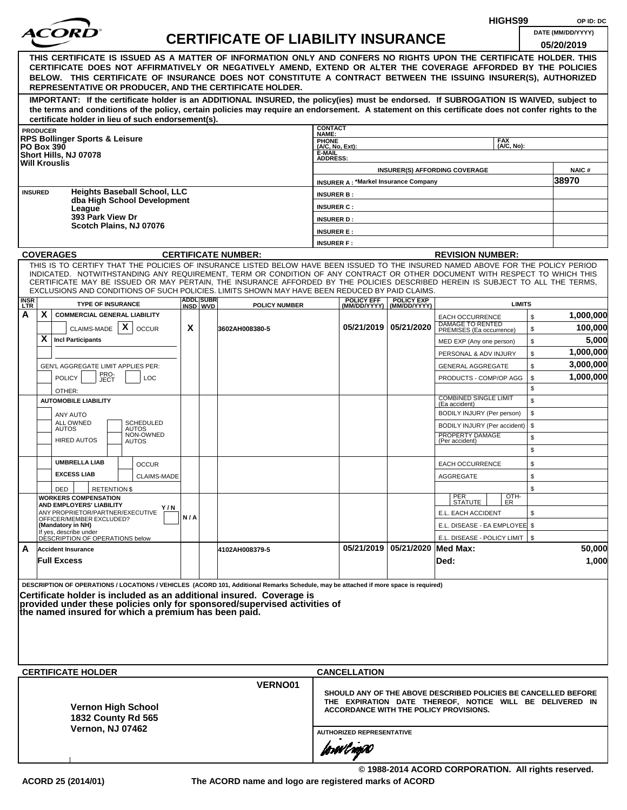|                                                                                                                                                                                                                                                                                                                                                                                                                  |     |                  |                                           |                                                |                                             |                                |                                                                                                                                                                      | HIGHS99                  |          | OP ID: DC            |
|------------------------------------------------------------------------------------------------------------------------------------------------------------------------------------------------------------------------------------------------------------------------------------------------------------------------------------------------------------------------------------------------------------------|-----|------------------|-------------------------------------------|------------------------------------------------|---------------------------------------------|--------------------------------|----------------------------------------------------------------------------------------------------------------------------------------------------------------------|--------------------------|----------|----------------------|
| <i>ACOR</i>                                                                                                                                                                                                                                                                                                                                                                                                      |     |                  | <b>CERTIFICATE OF LIABILITY INSURANCE</b> |                                                |                                             |                                |                                                                                                                                                                      |                          |          | DATE (MM/DD/YYYY)    |
| THIS CERTIFICATE IS ISSUED AS A MATTER OF INFORMATION ONLY AND CONFERS NO RIGHTS UPON THE CERTIFICATE HOLDER. THIS<br>CERTIFICATE DOES NOT AFFIRMATIVELY OR NEGATIVELY AMEND, EXTEND OR ALTER THE COVERAGE AFFORDED BY THE POLICIES<br>BELOW. THIS CERTIFICATE OF INSURANCE DOES NOT CONSTITUTE A CONTRACT BETWEEN THE ISSUING INSURER(S), AUTHORIZED<br>REPRESENTATIVE OR PRODUCER, AND THE CERTIFICATE HOLDER. |     |                  |                                           |                                                |                                             |                                |                                                                                                                                                                      |                          |          | 05/20/2019           |
| IMPORTANT: If the certificate holder is an ADDITIONAL INSURED, the policy(ies) must be endorsed. If SUBROGATION IS WAIVED, subject to<br>the terms and conditions of the policy, certain policies may require an endorsement. A statement on this certificate does not confer rights to the<br>certificate holder in lieu of such endorsement(s).                                                                |     |                  |                                           |                                                |                                             |                                |                                                                                                                                                                      |                          |          |                      |
| <b>PRODUCER</b>                                                                                                                                                                                                                                                                                                                                                                                                  |     |                  |                                           | <b>CONTACT</b><br>NAME:                        |                                             |                                |                                                                                                                                                                      |                          |          |                      |
| <b>RPS Bollinger Sports &amp; Leisure</b><br><b>PO Box 390</b>                                                                                                                                                                                                                                                                                                                                                   |     |                  |                                           | PHONE<br>(A/C, No, Ext):                       |                                             |                                |                                                                                                                                                                      | <b>FAX</b><br>(A/C, No): |          |                      |
| Short Hills, NJ 07078<br><b>Will Krouslis</b>                                                                                                                                                                                                                                                                                                                                                                    |     |                  |                                           | E-MAIL<br><b>ADDRESS:</b>                      |                                             |                                |                                                                                                                                                                      |                          |          |                      |
|                                                                                                                                                                                                                                                                                                                                                                                                                  |     |                  |                                           |                                                |                                             |                                | <b>INSURER(S) AFFORDING COVERAGE</b>                                                                                                                                 |                          |          | <b>NAIC#</b>         |
| <b>Heights Baseball School, LLC</b><br><b>INSURED</b>                                                                                                                                                                                                                                                                                                                                                            |     |                  |                                           |                                                | <b>INSURER A: *Markel Insurance Company</b> |                                |                                                                                                                                                                      |                          |          | 38970                |
| dba High School Development                                                                                                                                                                                                                                                                                                                                                                                      |     |                  |                                           | <b>INSURER B:</b><br><b>INSURER C:</b>         |                                             |                                |                                                                                                                                                                      |                          |          |                      |
| League<br>393 Park View Dr                                                                                                                                                                                                                                                                                                                                                                                       |     |                  |                                           | <b>INSURER D:</b>                              |                                             |                                |                                                                                                                                                                      |                          |          |                      |
| Scotch Plains, NJ 07076                                                                                                                                                                                                                                                                                                                                                                                          |     |                  |                                           | <b>INSURER E:</b>                              |                                             |                                |                                                                                                                                                                      |                          |          |                      |
|                                                                                                                                                                                                                                                                                                                                                                                                                  |     |                  |                                           | <b>INSURER F:</b>                              |                                             |                                |                                                                                                                                                                      |                          |          |                      |
| <b>COVERAGES</b><br>THIS IS TO CERTIFY THAT THE POLICIES OF INSURANCE LISTED BELOW HAVE BEEN ISSUED TO THE INSURED NAMED ABOVE FOR THE POLICY PERIOD                                                                                                                                                                                                                                                             |     |                  | <b>CERTIFICATE NUMBER:</b>                |                                                |                                             |                                | <b>REVISION NUMBER:</b>                                                                                                                                              |                          |          |                      |
| INDICATED. NOTWITHSTANDING ANY REQUIREMENT, TERM OR CONDITION OF ANY CONTRACT OR OTHER DOCUMENT WITH RESPECT TO WHICH THIS<br>CERTIFICATE MAY BE ISSUED OR MAY PERTAIN, THE INSURANCE AFFORDED BY THE POLICIES DESCRIBED HEREIN IS SUBJECT TO ALL THE TERMS,<br>EXCLUSIONS AND CONDITIONS OF SUCH POLICIES. LIMITS SHOWN MAY HAVE BEEN REDUCED BY PAID CLAIMS.                                                   |     | <b>ADDL SUBR</b> |                                           |                                                | <b>POLICY EFF</b>                           | <b>POLICY EXP</b>              |                                                                                                                                                                      |                          |          |                      |
| <b>INSR</b><br>LTR<br><b>TYPE OF INSURANCE</b>                                                                                                                                                                                                                                                                                                                                                                   |     | INSD WVD         | <b>POLICY NUMBER</b>                      |                                                |                                             | (MM/DD/YYYY) (MM/DD/YYYY)      |                                                                                                                                                                      | <b>LIMITS</b>            |          |                      |
| X<br>А<br><b>COMMERCIAL GENERAL LIABILITY</b><br>CLAIMS-MADE $\mid X \mid$                                                                                                                                                                                                                                                                                                                                       | X   |                  |                                           |                                                | 05/21/2019 05/21/2020                       |                                | <b>EACH OCCURRENCE</b><br><b>DAMAGE TO RENTED</b>                                                                                                                    |                          | \$       | 1,000,000<br>100,000 |
| <b>OCCUR</b><br>X<br><b>Incl Participants</b>                                                                                                                                                                                                                                                                                                                                                                    |     |                  | 3602AH008380-5                            |                                                |                                             |                                | PREMISES (Ea occurrence)<br>MED EXP (Any one person)                                                                                                                 |                          | \$<br>\$ | 5,000                |
|                                                                                                                                                                                                                                                                                                                                                                                                                  |     |                  |                                           |                                                |                                             |                                | PERSONAL & ADV INJURY                                                                                                                                                |                          | \$       | 1,000,000            |
| GEN'L AGGREGATE LIMIT APPLIES PER:                                                                                                                                                                                                                                                                                                                                                                               |     |                  |                                           |                                                |                                             |                                | <b>GENERAL AGGREGATE</b>                                                                                                                                             |                          | \$       | 3,000,000            |
| PRO-<br>JECT<br><b>POLICY</b><br><b>LOC</b>                                                                                                                                                                                                                                                                                                                                                                      |     |                  |                                           |                                                |                                             |                                | PRODUCTS - COMP/OP AGG                                                                                                                                               |                          | \$       | 1,000,000            |
| OTHER:                                                                                                                                                                                                                                                                                                                                                                                                           |     |                  |                                           |                                                |                                             |                                | <b>COMBINED SINGLE LIMIT</b>                                                                                                                                         |                          | \$       |                      |
| <b>AUTOMOBILE LIABILITY</b>                                                                                                                                                                                                                                                                                                                                                                                      |     |                  |                                           |                                                |                                             |                                | (Ea accident)<br>BODILY INJURY (Per person)                                                                                                                          |                          | \$<br>\$ |                      |
| ANY AUTO<br><b>SCHEDULED</b><br>ALL OWNED                                                                                                                                                                                                                                                                                                                                                                        |     |                  |                                           |                                                |                                             |                                | BODILY INJURY (Per accident)                                                                                                                                         |                          | \$       |                      |
| <b>AUTOS</b><br>AUTOS<br>NON-OWNED<br><b>HIRED AUTOS</b><br>AUTOS                                                                                                                                                                                                                                                                                                                                                |     |                  |                                           |                                                |                                             |                                | PROPERTY DAMAGE<br>(Per accident)                                                                                                                                    |                          | \$<br>\$ |                      |
| <b>UMBRELLA LIAB</b><br><b>OCCUR</b>                                                                                                                                                                                                                                                                                                                                                                             |     |                  |                                           |                                                |                                             |                                | <b>EACH OCCURRENCE</b>                                                                                                                                               |                          | \$       |                      |
| <b>EXCESS LIAB</b><br><b>CLAIMS-MADE</b>                                                                                                                                                                                                                                                                                                                                                                         |     |                  |                                           |                                                |                                             |                                | AGGREGATE                                                                                                                                                            |                          | \$       |                      |
| DED<br><b>RETENTION \$</b><br><b>WORKERS COMPENSATION</b>                                                                                                                                                                                                                                                                                                                                                        |     |                  |                                           |                                                |                                             |                                |                                                                                                                                                                      |                          | \$       |                      |
| AND EMPLOYERS' LIABILITY<br>Y/N                                                                                                                                                                                                                                                                                                                                                                                  |     |                  |                                           |                                                |                                             |                                | PER<br>STATUTE                                                                                                                                                       | OTH-<br>ER               |          |                      |
| ANY PROPRIETOR/PARTNER/EXECUTIVE<br>OFFICER/MEMBER EXCLUDED?<br>(Mandatory in NH)                                                                                                                                                                                                                                                                                                                                | N/A |                  |                                           |                                                |                                             |                                | E.L. EACH ACCIDENT<br>E.L. DISEASE - EA EMPLOYEE \$                                                                                                                  |                          | \$       |                      |
| If yes, describe under<br>DÉSCRIPTION OF OPERATIONS below                                                                                                                                                                                                                                                                                                                                                        |     |                  |                                           |                                                |                                             |                                | E.L. DISEASE - POLICY LIMIT   \$                                                                                                                                     |                          |          |                      |
| A<br><b>Accident Insurance</b><br><b>Full Excess</b>                                                                                                                                                                                                                                                                                                                                                             |     |                  | 4102AH008379-5                            |                                                |                                             | 05/21/2019 05/21/2020 Med Max: | Ded:                                                                                                                                                                 |                          |          | 50,000<br>1,000      |
| DESCRIPTION OF OPERATIONS / LOCATIONS / VEHICLES (ACORD 101, Additional Remarks Schedule, may be attached if more space is required)<br>Certificate holder is included as an additional insured. Coverage is<br>provided under these policies only for sponsored/supervised activities of<br>the named insured for which a premium has been paid.                                                                |     |                  |                                           |                                                |                                             |                                |                                                                                                                                                                      |                          |          |                      |
| <b>CERTIFICATE HOLDER</b>                                                                                                                                                                                                                                                                                                                                                                                        |     |                  |                                           |                                                |                                             |                                |                                                                                                                                                                      |                          |          |                      |
|                                                                                                                                                                                                                                                                                                                                                                                                                  |     |                  | VERNO01                                   | <b>CANCELLATION</b>                            |                                             |                                |                                                                                                                                                                      |                          |          |                      |
| <b>Vernon High School</b><br>1832 County Rd 565<br><b>Vernon, NJ 07462</b>                                                                                                                                                                                                                                                                                                                                       |     |                  |                                           |                                                |                                             |                                | SHOULD ANY OF THE ABOVE DESCRIBED POLICIES BE CANCELLED BEFORE<br>THE EXPIRATION DATE THEREOF, NOTICE WILL BE DELIVERED IN<br>ACCORDANCE WITH THE POLICY PROVISIONS. |                          |          |                      |
|                                                                                                                                                                                                                                                                                                                                                                                                                  |     |                  |                                           | <b>AUTHORIZED REPRESENTATIVE</b><br>forwil now |                                             |                                |                                                                                                                                                                      |                          |          |                      |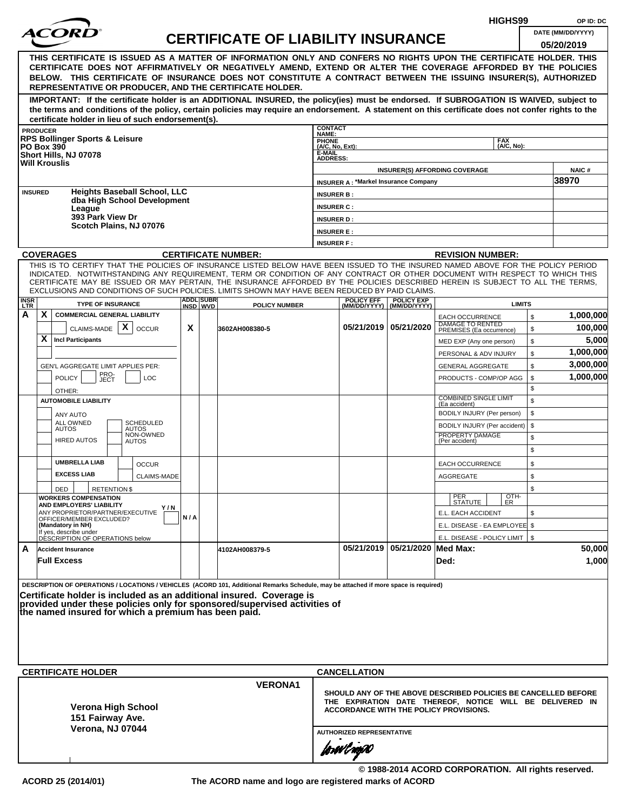|                                                                                                                                                                                                                                                                                                                                                                                                                                                                                                    |     |                  |                                           |                                        |                                             |                                |                                                                                                                                                                      | HIGHS99                  |          | OP ID: DC         |
|----------------------------------------------------------------------------------------------------------------------------------------------------------------------------------------------------------------------------------------------------------------------------------------------------------------------------------------------------------------------------------------------------------------------------------------------------------------------------------------------------|-----|------------------|-------------------------------------------|----------------------------------------|---------------------------------------------|--------------------------------|----------------------------------------------------------------------------------------------------------------------------------------------------------------------|--------------------------|----------|-------------------|
| <i>ACOR</i>                                                                                                                                                                                                                                                                                                                                                                                                                                                                                        |     |                  | <b>CERTIFICATE OF LIABILITY INSURANCE</b> |                                        |                                             |                                |                                                                                                                                                                      |                          |          | DATE (MM/DD/YYYY) |
| THIS CERTIFICATE IS ISSUED AS A MATTER OF INFORMATION ONLY AND CONFERS NO RIGHTS UPON THE CERTIFICATE HOLDER. THIS<br>CERTIFICATE DOES NOT AFFIRMATIVELY OR NEGATIVELY AMEND, EXTEND OR ALTER THE COVERAGE AFFORDED BY THE POLICIES<br>BELOW. THIS CERTIFICATE OF INSURANCE DOES NOT CONSTITUTE A CONTRACT BETWEEN THE ISSUING INSURER(S), AUTHORIZED<br>REPRESENTATIVE OR PRODUCER, AND THE CERTIFICATE HOLDER.                                                                                   |     |                  |                                           |                                        |                                             |                                |                                                                                                                                                                      |                          |          | 05/20/2019        |
| IMPORTANT: If the certificate holder is an ADDITIONAL INSURED, the policy(ies) must be endorsed. If SUBROGATION IS WAIVED, subject to<br>the terms and conditions of the policy, certain policies may require an endorsement. A statement on this certificate does not confer rights to the<br>certificate holder in lieu of such endorsement(s).                                                                                                                                                  |     |                  |                                           |                                        |                                             |                                |                                                                                                                                                                      |                          |          |                   |
| <b>PRODUCER</b>                                                                                                                                                                                                                                                                                                                                                                                                                                                                                    |     |                  |                                           | <b>CONTACT</b><br>NAME:                |                                             |                                |                                                                                                                                                                      |                          |          |                   |
| <b>RPS Bollinger Sports &amp; Leisure</b><br><b>PO Box 390</b>                                                                                                                                                                                                                                                                                                                                                                                                                                     |     |                  |                                           | PHONE<br>(A/C, No, Ext):               |                                             |                                |                                                                                                                                                                      | <b>FAX</b><br>(A/C, No): |          |                   |
| Short Hills, NJ 07078<br><b>Will Krouslis</b>                                                                                                                                                                                                                                                                                                                                                                                                                                                      |     |                  |                                           | E-MAIL<br><b>ADDRESS:</b>              |                                             |                                |                                                                                                                                                                      |                          |          |                   |
|                                                                                                                                                                                                                                                                                                                                                                                                                                                                                                    |     |                  |                                           |                                        |                                             |                                | <b>INSURER(S) AFFORDING COVERAGE</b>                                                                                                                                 |                          |          | <b>NAIC#</b>      |
| <b>Heights Baseball School, LLC</b><br><b>INSURED</b>                                                                                                                                                                                                                                                                                                                                                                                                                                              |     |                  |                                           |                                        | <b>INSURER A: *Markel Insurance Company</b> |                                |                                                                                                                                                                      |                          |          | 38970             |
| dba High School Development                                                                                                                                                                                                                                                                                                                                                                                                                                                                        |     |                  |                                           | <b>INSURER B:</b>                      |                                             |                                |                                                                                                                                                                      |                          |          |                   |
| League<br>393 Park View Dr                                                                                                                                                                                                                                                                                                                                                                                                                                                                         |     |                  |                                           | <b>INSURER C:</b><br><b>INSURER D:</b> |                                             |                                |                                                                                                                                                                      |                          |          |                   |
| Scotch Plains, NJ 07076                                                                                                                                                                                                                                                                                                                                                                                                                                                                            |     |                  |                                           | <b>INSURER E:</b>                      |                                             |                                |                                                                                                                                                                      |                          |          |                   |
|                                                                                                                                                                                                                                                                                                                                                                                                                                                                                                    |     |                  |                                           | <b>INSURER F:</b>                      |                                             |                                |                                                                                                                                                                      |                          |          |                   |
| <b>COVERAGES</b>                                                                                                                                                                                                                                                                                                                                                                                                                                                                                   |     |                  | <b>CERTIFICATE NUMBER:</b>                |                                        |                                             |                                | <b>REVISION NUMBER:</b>                                                                                                                                              |                          |          |                   |
| THIS IS TO CERTIFY THAT THE POLICIES OF INSURANCE LISTED BELOW HAVE BEEN ISSUED TO THE INSURED NAMED ABOVE FOR THE POLICY PERIOD<br>INDICATED. NOTWITHSTANDING ANY REQUIREMENT, TERM OR CONDITION OF ANY CONTRACT OR OTHER DOCUMENT WITH RESPECT TO WHICH THIS<br>CERTIFICATE MAY BE ISSUED OR MAY PERTAIN, THE INSURANCE AFFORDED BY THE POLICIES DESCRIBED HEREIN IS SUBJECT TO ALL THE TERMS,<br>EXCLUSIONS AND CONDITIONS OF SUCH POLICIES. LIMITS SHOWN MAY HAVE BEEN REDUCED BY PAID CLAIMS. |     | <b>ADDL SUBR</b> |                                           |                                        | <b>POLICY EFF</b>                           | <b>POLICY EXP</b>              |                                                                                                                                                                      |                          |          |                   |
| <b>INSR</b><br>LTR<br><b>TYPE OF INSURANCE</b>                                                                                                                                                                                                                                                                                                                                                                                                                                                     |     | INSD WVD         | <b>POLICY NUMBER</b>                      |                                        |                                             | (MM/DD/YYYY) (MM/DD/YYYY)      |                                                                                                                                                                      | <b>LIMITS</b>            |          |                   |
| X<br>А<br><b>COMMERCIAL GENERAL LIABILITY</b>                                                                                                                                                                                                                                                                                                                                                                                                                                                      |     |                  |                                           |                                        |                                             | 05/21/2019 05/21/2020          | <b>EACH OCCURRENCE</b><br><b>DAMAGE TO RENTED</b>                                                                                                                    |                          | \$       | 1,000,000         |
| CLAIMS-MADE $\mid X \mid$<br><b>OCCUR</b><br>X<br><b>Incl Participants</b>                                                                                                                                                                                                                                                                                                                                                                                                                         | X   |                  | 3602AH008380-5                            |                                        |                                             |                                | PREMISES (Ea occurrence)                                                                                                                                             |                          | \$<br>\$ | 100,000<br>5,000  |
|                                                                                                                                                                                                                                                                                                                                                                                                                                                                                                    |     |                  |                                           |                                        |                                             |                                | MED EXP (Any one person)<br>PERSONAL & ADV INJURY                                                                                                                    |                          | \$       | 1,000,000         |
| GEN'L AGGREGATE LIMIT APPLIES PER:                                                                                                                                                                                                                                                                                                                                                                                                                                                                 |     |                  |                                           |                                        |                                             |                                | <b>GENERAL AGGREGATE</b>                                                                                                                                             |                          | \$       | 3,000,000         |
| PRO-<br>JECT<br><b>POLICY</b><br><b>LOC</b><br>OTHER:                                                                                                                                                                                                                                                                                                                                                                                                                                              |     |                  |                                           |                                        |                                             |                                | PRODUCTS - COMP/OP AGG                                                                                                                                               |                          | \$<br>\$ | 1,000,000         |
| <b>AUTOMOBILE LIABILITY</b>                                                                                                                                                                                                                                                                                                                                                                                                                                                                        |     |                  |                                           |                                        |                                             |                                | <b>COMBINED SINGLE LIMIT</b><br>(Ea accident)                                                                                                                        |                          | \$       |                   |
| ANY AUTO                                                                                                                                                                                                                                                                                                                                                                                                                                                                                           |     |                  |                                           |                                        |                                             |                                | BODILY INJURY (Per person)                                                                                                                                           |                          | \$       |                   |
| <b>SCHEDULED</b><br>ALL OWNED<br><b>AUTOS</b><br>AUTOS                                                                                                                                                                                                                                                                                                                                                                                                                                             |     |                  |                                           |                                        |                                             |                                | BODILY INJURY (Per accident)                                                                                                                                         |                          | \$       |                   |
| NON-OWNED<br><b>HIRED AUTOS</b><br>AUTOS                                                                                                                                                                                                                                                                                                                                                                                                                                                           |     |                  |                                           |                                        |                                             |                                | PROPERTY DAMAGE<br>(Per accident)                                                                                                                                    |                          | \$<br>\$ |                   |
| <b>UMBRELLA LIAB</b><br><b>OCCUR</b>                                                                                                                                                                                                                                                                                                                                                                                                                                                               |     |                  |                                           |                                        |                                             |                                | <b>EACH OCCURRENCE</b>                                                                                                                                               |                          | \$       |                   |
| <b>EXCESS LIAB</b><br><b>CLAIMS-MADE</b>                                                                                                                                                                                                                                                                                                                                                                                                                                                           |     |                  |                                           |                                        |                                             |                                | AGGREGATE                                                                                                                                                            |                          | \$       |                   |
| DED<br><b>RETENTION \$</b><br><b>WORKERS COMPENSATION</b>                                                                                                                                                                                                                                                                                                                                                                                                                                          |     |                  |                                           |                                        |                                             |                                |                                                                                                                                                                      |                          | \$       |                   |
| AND EMPLOYERS' LIABILITY<br>Y/N                                                                                                                                                                                                                                                                                                                                                                                                                                                                    |     |                  |                                           |                                        |                                             |                                | PER<br>STATUTE                                                                                                                                                       | OTH-<br>ER               |          |                   |
| ANY PROPRIETOR/PARTNER/EXECUTIVE<br>OFFICER/MEMBER EXCLUDED?<br>(Mandatory in NH)                                                                                                                                                                                                                                                                                                                                                                                                                  | N/A |                  |                                           |                                        |                                             |                                | E.L. EACH ACCIDENT<br>E.L. DISEASE - EA EMPLOYEE \$                                                                                                                  |                          | \$       |                   |
| If yes, describe under<br>DÉSCRIPTION OF OPERATIONS below                                                                                                                                                                                                                                                                                                                                                                                                                                          |     |                  |                                           |                                        |                                             |                                | E.L. DISEASE - POLICY LIMIT   \$                                                                                                                                     |                          |          |                   |
| A<br><b>Accident Insurance</b><br><b>Full Excess</b>                                                                                                                                                                                                                                                                                                                                                                                                                                               |     |                  | 4102AH008379-5                            |                                        |                                             | 05/21/2019 05/21/2020 Med Max: | Ded:                                                                                                                                                                 |                          |          | 50,000<br>1,000   |
|                                                                                                                                                                                                                                                                                                                                                                                                                                                                                                    |     |                  |                                           |                                        |                                             |                                |                                                                                                                                                                      |                          |          |                   |
| DESCRIPTION OF OPERATIONS / LOCATIONS / VEHICLES (ACORD 101, Additional Remarks Schedule, may be attached if more space is required)<br>Certificate holder is included as an additional insured. Coverage is<br>provided under these policies only for sponsored/supervised activities of<br>the named insured for which a premium has been paid.                                                                                                                                                  |     |                  |                                           |                                        |                                             |                                |                                                                                                                                                                      |                          |          |                   |
| <b>CERTIFICATE HOLDER</b>                                                                                                                                                                                                                                                                                                                                                                                                                                                                          |     |                  |                                           |                                        | <b>CANCELLATION</b>                         |                                |                                                                                                                                                                      |                          |          |                   |
|                                                                                                                                                                                                                                                                                                                                                                                                                                                                                                    |     |                  | <b>VERONA1</b>                            |                                        |                                             |                                |                                                                                                                                                                      |                          |          |                   |
| Verona High School<br>151 Fairway Ave.                                                                                                                                                                                                                                                                                                                                                                                                                                                             |     |                  |                                           |                                        |                                             |                                | SHOULD ANY OF THE ABOVE DESCRIBED POLICIES BE CANCELLED BEFORE<br>THE EXPIRATION DATE THEREOF, NOTICE WILL BE DELIVERED IN<br>ACCORDANCE WITH THE POLICY PROVISIONS. |                          |          |                   |
| <b>Verona, NJ 07044</b>                                                                                                                                                                                                                                                                                                                                                                                                                                                                            |     |                  |                                           |                                        | <b>AUTHORIZED REPRESENTATIVE</b>            |                                |                                                                                                                                                                      |                          |          |                   |
|                                                                                                                                                                                                                                                                                                                                                                                                                                                                                                    |     |                  |                                           | forwil now                             |                                             |                                |                                                                                                                                                                      |                          |          |                   |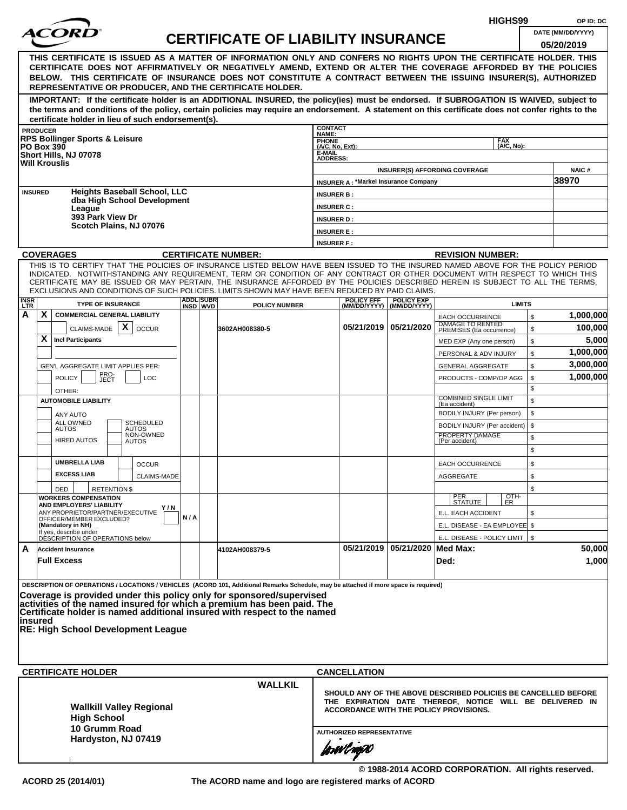| $\bm{ACOR}$ l<br>DATE (MM/DD/YYYY)<br><b>CERTIFICATE OF LIABILITY INSURANCE</b><br>05/20/2019<br>THIS CERTIFICATE IS ISSUED AS A MATTER OF INFORMATION ONLY AND CONFERS NO RIGHTS UPON THE CERTIFICATE HOLDER. THIS<br>CERTIFICATE DOES NOT AFFIRMATIVELY OR NEGATIVELY AMEND, EXTEND OR ALTER THE COVERAGE AFFORDED BY THE POLICIES<br>BELOW. THIS CERTIFICATE OF INSURANCE DOES NOT CONSTITUTE A CONTRACT BETWEEN THE ISSUING INSURER(S), AUTHORIZED<br>REPRESENTATIVE OR PRODUCER, AND THE CERTIFICATE HOLDER.<br>IMPORTANT: If the certificate holder is an ADDITIONAL INSURED, the policy(ies) must be endorsed. If SUBROGATION IS WAIVED, subject to<br>the terms and conditions of the policy, certain policies may require an endorsement. A statement on this certificate does not confer rights to the<br>certificate holder in lieu of such endorsement(s).<br><b>CONTACT</b><br><b>PRODUCER</b><br>NAME:<br><b>RPS Bollinger Sports &amp; Leisure</b><br>PHONE<br>(A/C, No, Ext):<br><b>FAX</b><br>(A/C, No):<br><b>PO Box 390</b><br>E-MAIL<br>Short Hills, NJ 07078<br><b>ADDRESS:</b><br><b>Will Krouslis</b><br><b>NAIC#</b><br><b>INSURER(S) AFFORDING COVERAGE</b><br>38970<br><b>INSURER A: *Markel Insurance Company</b><br><b>Heights Baseball School, LLC</b><br><b>INSURED</b><br><b>INSURER B:</b><br>dba High School Development<br><b>INSURER C:</b><br>League<br>393 Park View Dr<br><b>INSURER D:</b><br>Scotch Plains, NJ 07076<br><b>INSURER E:</b><br><b>INSURER F:</b><br><b>COVERAGES</b><br><b>CERTIFICATE NUMBER:</b><br><b>REVISION NUMBER:</b><br>THIS IS TO CERTIFY THAT THE POLICIES OF INSURANCE LISTED BELOW HAVE BEEN ISSUED TO THE INSURED NAMED ABOVE FOR THE POLICY PERIOD<br>INDICATED. NOTWITHSTANDING ANY REQUIREMENT, TERM OR CONDITION OF ANY CONTRACT OR OTHER DOCUMENT WITH RESPECT TO WHICH THIS<br>CERTIFICATE MAY BE ISSUED OR MAY PERTAIN, THE INSURANCE AFFORDED BY THE POLICIES DESCRIBED HEREIN IS SUBJECT TO ALL THE TERMS,<br>EXCLUSIONS AND CONDITIONS OF SUCH POLICIES. LIMITS SHOWN MAY HAVE BEEN REDUCED BY PAID CLAIMS.<br><b>ADDL SUBR</b><br><b>INSR</b><br><b>POLICY EFF</b><br><b>POLICY EXP</b><br><b>TYPE OF INSURANCE</b><br><b>LIMITS</b><br>INSD WVD<br><b>POLICY NUMBER</b><br>(MM/DD/YYYY)   (MM/DD/YYYY)<br>X.<br><b>COMMERCIAL GENERAL LIABILITY</b><br>\$<br><b>EACH OCCURRENCE</b><br>DAMAGE TO RENTED<br>PREMISES (Ea occurrence)<br>CLAIMS-MADE $ X $<br>05/21/2019   05/21/2020<br><b>OCCUR</b><br>3602AH008380-5<br>\$<br>X∣<br><b>Incl Participants</b><br>5,000<br>\$<br>MED EXP (Any one person)<br>1,000,000<br>\$<br>PERSONAL & ADV INJURY<br>3,000,000<br>\$<br>GEN'L AGGREGATE LIMIT APPLIES PER:<br><b>GENERAL AGGREGATE</b><br>PRO-<br>JECT<br><b>POLICY</b><br><b>LOC</b><br>\$<br>PRODUCTS - COMP/OP AGG<br>\$<br>OTHER:<br><b>COMBINED SINGLE LIMIT</b><br>\$<br><b>AUTOMOBILE LIABILITY</b><br>(Ea accident)<br>\$<br>BODILY INJURY (Per person)<br>ANY AUTO<br>ALL OWNED<br><b>SCHEDULED</b><br>\$<br>BODILY INJURY (Per accident)<br><b>AUTOS</b><br>AUTOS<br>NON-OWNED<br>PROPERTY DAMAGE<br>\$<br><b>HIRED AUTOS</b><br>(Per accident)<br><b>AUTOS</b><br>\$<br><b>UMBRELLA LIAB</b><br>\$<br><b>OCCUR</b><br><b>EACH OCCURRENCE</b><br><b>EXCESS LIAB</b><br>CLAIMS-MADE<br>AGGREGATE<br>\$<br>\$<br><b>RETENTION \$</b><br>DED<br>PER<br>STATUTE<br>OTH-<br>ER<br><b>WORKERS COMPENSATION</b><br>AND EMPLOYERS' LIABILITY<br>Y / N<br>ANY PROPRIETOR/PARTNER/EXECUTIVE<br>E.L. EACH ACCIDENT<br>\$<br>N/A<br>OFFICER/MEMBER EXCLUDED?<br>(Mandatory in NH)<br>E.L. DISEASE - EA EMPLOYEE \$<br>If yes, describe under<br>E.L. DISEASE - POLICY LIMIT   \$<br>DÉSCRIPTION OF OPERATIONS below<br>05/21/2019 05/21/2020 Med Max:<br>А<br><b>Accident Insurance</b><br>4102AH008379-5<br><b>Full Excess</b><br>Ded:<br>DESCRIPTION OF OPERATIONS / LOCATIONS / VEHICLES (ACORD 101, Additional Remarks Schedule, may be attached if more space is required)<br>Coverage is provided under this policy only for sponsored/supervised<br>activities of the named insured for which a premium has been paid. The<br>Certificate holder is named additional insured with respect to the named<br>insured<br>RE: High School Development League<br><b>CERTIFICATE HOLDER</b><br><b>CANCELLATION</b><br><b>WALLKIL</b><br>SHOULD ANY OF THE ABOVE DESCRIBED POLICIES BE CANCELLED BEFORE<br>THE EXPIRATION DATE THEREOF, NOTICE WILL BE DELIVERED IN<br><b>Wallkill Valley Regional</b><br>ACCORDANCE WITH THE POLICY PROVISIONS.<br><b>High School</b><br>10 Grumm Road<br><b>AUTHORIZED REPRESENTATIVE</b><br>Hardyston, NJ 07419<br>forøvlnger<br>© 1988-2014 ACORD CORPORATION. All rights reserved. |   |  |  |  |  |  |  |  | HIGHS99 | OP ID: DC |  |  |  |  |  |  |
|---------------------------------------------------------------------------------------------------------------------------------------------------------------------------------------------------------------------------------------------------------------------------------------------------------------------------------------------------------------------------------------------------------------------------------------------------------------------------------------------------------------------------------------------------------------------------------------------------------------------------------------------------------------------------------------------------------------------------------------------------------------------------------------------------------------------------------------------------------------------------------------------------------------------------------------------------------------------------------------------------------------------------------------------------------------------------------------------------------------------------------------------------------------------------------------------------------------------------------------------------------------------------------------------------------------------------------------------------------------------------------------------------------------------------------------------------------------------------------------------------------------------------------------------------------------------------------------------------------------------------------------------------------------------------------------------------------------------------------------------------------------------------------------------------------------------------------------------------------------------------------------------------------------------------------------------------------------------------------------------------------------------------------------------------------------------------------------------------------------------------------------------------------------------------------------------------------------------------------------------------------------------------------------------------------------------------------------------------------------------------------------------------------------------------------------------------------------------------------------------------------------------------------------------------------------------------------------------------------------------------------------------------------------------------------------------------------------------------------------------------------------------------------------------------------------------------------------------------------------------------------------------------------------------------------------------------------------------------------------------------------------------------------------------------------------------------------------------------------------------------------------------------------------------------------------------------------------------------------------------------------------------------------------------------------------------------------------------------------------------------------------------------------------------------------------------------------------------------------------------------------------------------------------------------------------------------------------------------------------------------------------------------------------------------------------------------------------------------------------------------------------------------------------------------------------------------------------------------------------------------------------------------------------------------------------------------------------------------------------------------------------------------------------------------------------------------------------------------------------------------------------------------------------------------------------------------------------------------------------------------------------------------------------------------------------------------------------------------------------------------------------------------------------------------------------------------------------------------------------------------------------------------------------------------------------------------------------------------------------------------------------------------------------------------------------------------------|---|--|--|--|--|--|--|--|---------|-----------|--|--|--|--|--|--|
|                                                                                                                                                                                                                                                                                                                                                                                                                                                                                                                                                                                                                                                                                                                                                                                                                                                                                                                                                                                                                                                                                                                                                                                                                                                                                                                                                                                                                                                                                                                                                                                                                                                                                                                                                                                                                                                                                                                                                                                                                                                                                                                                                                                                                                                                                                                                                                                                                                                                                                                                                                                                                                                                                                                                                                                                                                                                                                                                                                                                                                                                                                                                                                                                                                                                                                                                                                                                                                                                                                                                                                                                                                                                                                                                                                                                                                                                                                                                                                                                                                                                                                                                                                                                                                                                                                                                                                                                                                                                                                                                                                                                                                                                                                         |   |  |  |  |  |  |  |  |         |           |  |  |  |  |  |  |
|                                                                                                                                                                                                                                                                                                                                                                                                                                                                                                                                                                                                                                                                                                                                                                                                                                                                                                                                                                                                                                                                                                                                                                                                                                                                                                                                                                                                                                                                                                                                                                                                                                                                                                                                                                                                                                                                                                                                                                                                                                                                                                                                                                                                                                                                                                                                                                                                                                                                                                                                                                                                                                                                                                                                                                                                                                                                                                                                                                                                                                                                                                                                                                                                                                                                                                                                                                                                                                                                                                                                                                                                                                                                                                                                                                                                                                                                                                                                                                                                                                                                                                                                                                                                                                                                                                                                                                                                                                                                                                                                                                                                                                                                                                         |   |  |  |  |  |  |  |  |         |           |  |  |  |  |  |  |
|                                                                                                                                                                                                                                                                                                                                                                                                                                                                                                                                                                                                                                                                                                                                                                                                                                                                                                                                                                                                                                                                                                                                                                                                                                                                                                                                                                                                                                                                                                                                                                                                                                                                                                                                                                                                                                                                                                                                                                                                                                                                                                                                                                                                                                                                                                                                                                                                                                                                                                                                                                                                                                                                                                                                                                                                                                                                                                                                                                                                                                                                                                                                                                                                                                                                                                                                                                                                                                                                                                                                                                                                                                                                                                                                                                                                                                                                                                                                                                                                                                                                                                                                                                                                                                                                                                                                                                                                                                                                                                                                                                                                                                                                                                         |   |  |  |  |  |  |  |  |         |           |  |  |  |  |  |  |
|                                                                                                                                                                                                                                                                                                                                                                                                                                                                                                                                                                                                                                                                                                                                                                                                                                                                                                                                                                                                                                                                                                                                                                                                                                                                                                                                                                                                                                                                                                                                                                                                                                                                                                                                                                                                                                                                                                                                                                                                                                                                                                                                                                                                                                                                                                                                                                                                                                                                                                                                                                                                                                                                                                                                                                                                                                                                                                                                                                                                                                                                                                                                                                                                                                                                                                                                                                                                                                                                                                                                                                                                                                                                                                                                                                                                                                                                                                                                                                                                                                                                                                                                                                                                                                                                                                                                                                                                                                                                                                                                                                                                                                                                                                         |   |  |  |  |  |  |  |  |         |           |  |  |  |  |  |  |
|                                                                                                                                                                                                                                                                                                                                                                                                                                                                                                                                                                                                                                                                                                                                                                                                                                                                                                                                                                                                                                                                                                                                                                                                                                                                                                                                                                                                                                                                                                                                                                                                                                                                                                                                                                                                                                                                                                                                                                                                                                                                                                                                                                                                                                                                                                                                                                                                                                                                                                                                                                                                                                                                                                                                                                                                                                                                                                                                                                                                                                                                                                                                                                                                                                                                                                                                                                                                                                                                                                                                                                                                                                                                                                                                                                                                                                                                                                                                                                                                                                                                                                                                                                                                                                                                                                                                                                                                                                                                                                                                                                                                                                                                                                         |   |  |  |  |  |  |  |  |         |           |  |  |  |  |  |  |
|                                                                                                                                                                                                                                                                                                                                                                                                                                                                                                                                                                                                                                                                                                                                                                                                                                                                                                                                                                                                                                                                                                                                                                                                                                                                                                                                                                                                                                                                                                                                                                                                                                                                                                                                                                                                                                                                                                                                                                                                                                                                                                                                                                                                                                                                                                                                                                                                                                                                                                                                                                                                                                                                                                                                                                                                                                                                                                                                                                                                                                                                                                                                                                                                                                                                                                                                                                                                                                                                                                                                                                                                                                                                                                                                                                                                                                                                                                                                                                                                                                                                                                                                                                                                                                                                                                                                                                                                                                                                                                                                                                                                                                                                                                         |   |  |  |  |  |  |  |  |         |           |  |  |  |  |  |  |
|                                                                                                                                                                                                                                                                                                                                                                                                                                                                                                                                                                                                                                                                                                                                                                                                                                                                                                                                                                                                                                                                                                                                                                                                                                                                                                                                                                                                                                                                                                                                                                                                                                                                                                                                                                                                                                                                                                                                                                                                                                                                                                                                                                                                                                                                                                                                                                                                                                                                                                                                                                                                                                                                                                                                                                                                                                                                                                                                                                                                                                                                                                                                                                                                                                                                                                                                                                                                                                                                                                                                                                                                                                                                                                                                                                                                                                                                                                                                                                                                                                                                                                                                                                                                                                                                                                                                                                                                                                                                                                                                                                                                                                                                                                         |   |  |  |  |  |  |  |  |         |           |  |  |  |  |  |  |
|                                                                                                                                                                                                                                                                                                                                                                                                                                                                                                                                                                                                                                                                                                                                                                                                                                                                                                                                                                                                                                                                                                                                                                                                                                                                                                                                                                                                                                                                                                                                                                                                                                                                                                                                                                                                                                                                                                                                                                                                                                                                                                                                                                                                                                                                                                                                                                                                                                                                                                                                                                                                                                                                                                                                                                                                                                                                                                                                                                                                                                                                                                                                                                                                                                                                                                                                                                                                                                                                                                                                                                                                                                                                                                                                                                                                                                                                                                                                                                                                                                                                                                                                                                                                                                                                                                                                                                                                                                                                                                                                                                                                                                                                                                         |   |  |  |  |  |  |  |  |         |           |  |  |  |  |  |  |
|                                                                                                                                                                                                                                                                                                                                                                                                                                                                                                                                                                                                                                                                                                                                                                                                                                                                                                                                                                                                                                                                                                                                                                                                                                                                                                                                                                                                                                                                                                                                                                                                                                                                                                                                                                                                                                                                                                                                                                                                                                                                                                                                                                                                                                                                                                                                                                                                                                                                                                                                                                                                                                                                                                                                                                                                                                                                                                                                                                                                                                                                                                                                                                                                                                                                                                                                                                                                                                                                                                                                                                                                                                                                                                                                                                                                                                                                                                                                                                                                                                                                                                                                                                                                                                                                                                                                                                                                                                                                                                                                                                                                                                                                                                         |   |  |  |  |  |  |  |  |         |           |  |  |  |  |  |  |
|                                                                                                                                                                                                                                                                                                                                                                                                                                                                                                                                                                                                                                                                                                                                                                                                                                                                                                                                                                                                                                                                                                                                                                                                                                                                                                                                                                                                                                                                                                                                                                                                                                                                                                                                                                                                                                                                                                                                                                                                                                                                                                                                                                                                                                                                                                                                                                                                                                                                                                                                                                                                                                                                                                                                                                                                                                                                                                                                                                                                                                                                                                                                                                                                                                                                                                                                                                                                                                                                                                                                                                                                                                                                                                                                                                                                                                                                                                                                                                                                                                                                                                                                                                                                                                                                                                                                                                                                                                                                                                                                                                                                                                                                                                         |   |  |  |  |  |  |  |  |         |           |  |  |  |  |  |  |
|                                                                                                                                                                                                                                                                                                                                                                                                                                                                                                                                                                                                                                                                                                                                                                                                                                                                                                                                                                                                                                                                                                                                                                                                                                                                                                                                                                                                                                                                                                                                                                                                                                                                                                                                                                                                                                                                                                                                                                                                                                                                                                                                                                                                                                                                                                                                                                                                                                                                                                                                                                                                                                                                                                                                                                                                                                                                                                                                                                                                                                                                                                                                                                                                                                                                                                                                                                                                                                                                                                                                                                                                                                                                                                                                                                                                                                                                                                                                                                                                                                                                                                                                                                                                                                                                                                                                                                                                                                                                                                                                                                                                                                                                                                         |   |  |  |  |  |  |  |  |         |           |  |  |  |  |  |  |
|                                                                                                                                                                                                                                                                                                                                                                                                                                                                                                                                                                                                                                                                                                                                                                                                                                                                                                                                                                                                                                                                                                                                                                                                                                                                                                                                                                                                                                                                                                                                                                                                                                                                                                                                                                                                                                                                                                                                                                                                                                                                                                                                                                                                                                                                                                                                                                                                                                                                                                                                                                                                                                                                                                                                                                                                                                                                                                                                                                                                                                                                                                                                                                                                                                                                                                                                                                                                                                                                                                                                                                                                                                                                                                                                                                                                                                                                                                                                                                                                                                                                                                                                                                                                                                                                                                                                                                                                                                                                                                                                                                                                                                                                                                         |   |  |  |  |  |  |  |  |         |           |  |  |  |  |  |  |
|                                                                                                                                                                                                                                                                                                                                                                                                                                                                                                                                                                                                                                                                                                                                                                                                                                                                                                                                                                                                                                                                                                                                                                                                                                                                                                                                                                                                                                                                                                                                                                                                                                                                                                                                                                                                                                                                                                                                                                                                                                                                                                                                                                                                                                                                                                                                                                                                                                                                                                                                                                                                                                                                                                                                                                                                                                                                                                                                                                                                                                                                                                                                                                                                                                                                                                                                                                                                                                                                                                                                                                                                                                                                                                                                                                                                                                                                                                                                                                                                                                                                                                                                                                                                                                                                                                                                                                                                                                                                                                                                                                                                                                                                                                         |   |  |  |  |  |  |  |  |         |           |  |  |  |  |  |  |
|                                                                                                                                                                                                                                                                                                                                                                                                                                                                                                                                                                                                                                                                                                                                                                                                                                                                                                                                                                                                                                                                                                                                                                                                                                                                                                                                                                                                                                                                                                                                                                                                                                                                                                                                                                                                                                                                                                                                                                                                                                                                                                                                                                                                                                                                                                                                                                                                                                                                                                                                                                                                                                                                                                                                                                                                                                                                                                                                                                                                                                                                                                                                                                                                                                                                                                                                                                                                                                                                                                                                                                                                                                                                                                                                                                                                                                                                                                                                                                                                                                                                                                                                                                                                                                                                                                                                                                                                                                                                                                                                                                                                                                                                                                         |   |  |  |  |  |  |  |  |         |           |  |  |  |  |  |  |
|                                                                                                                                                                                                                                                                                                                                                                                                                                                                                                                                                                                                                                                                                                                                                                                                                                                                                                                                                                                                                                                                                                                                                                                                                                                                                                                                                                                                                                                                                                                                                                                                                                                                                                                                                                                                                                                                                                                                                                                                                                                                                                                                                                                                                                                                                                                                                                                                                                                                                                                                                                                                                                                                                                                                                                                                                                                                                                                                                                                                                                                                                                                                                                                                                                                                                                                                                                                                                                                                                                                                                                                                                                                                                                                                                                                                                                                                                                                                                                                                                                                                                                                                                                                                                                                                                                                                                                                                                                                                                                                                                                                                                                                                                                         | A |  |  |  |  |  |  |  |         | 1,000,000 |  |  |  |  |  |  |
|                                                                                                                                                                                                                                                                                                                                                                                                                                                                                                                                                                                                                                                                                                                                                                                                                                                                                                                                                                                                                                                                                                                                                                                                                                                                                                                                                                                                                                                                                                                                                                                                                                                                                                                                                                                                                                                                                                                                                                                                                                                                                                                                                                                                                                                                                                                                                                                                                                                                                                                                                                                                                                                                                                                                                                                                                                                                                                                                                                                                                                                                                                                                                                                                                                                                                                                                                                                                                                                                                                                                                                                                                                                                                                                                                                                                                                                                                                                                                                                                                                                                                                                                                                                                                                                                                                                                                                                                                                                                                                                                                                                                                                                                                                         |   |  |  |  |  |  |  |  |         | 100,000   |  |  |  |  |  |  |
|                                                                                                                                                                                                                                                                                                                                                                                                                                                                                                                                                                                                                                                                                                                                                                                                                                                                                                                                                                                                                                                                                                                                                                                                                                                                                                                                                                                                                                                                                                                                                                                                                                                                                                                                                                                                                                                                                                                                                                                                                                                                                                                                                                                                                                                                                                                                                                                                                                                                                                                                                                                                                                                                                                                                                                                                                                                                                                                                                                                                                                                                                                                                                                                                                                                                                                                                                                                                                                                                                                                                                                                                                                                                                                                                                                                                                                                                                                                                                                                                                                                                                                                                                                                                                                                                                                                                                                                                                                                                                                                                                                                                                                                                                                         |   |  |  |  |  |  |  |  |         |           |  |  |  |  |  |  |
|                                                                                                                                                                                                                                                                                                                                                                                                                                                                                                                                                                                                                                                                                                                                                                                                                                                                                                                                                                                                                                                                                                                                                                                                                                                                                                                                                                                                                                                                                                                                                                                                                                                                                                                                                                                                                                                                                                                                                                                                                                                                                                                                                                                                                                                                                                                                                                                                                                                                                                                                                                                                                                                                                                                                                                                                                                                                                                                                                                                                                                                                                                                                                                                                                                                                                                                                                                                                                                                                                                                                                                                                                                                                                                                                                                                                                                                                                                                                                                                                                                                                                                                                                                                                                                                                                                                                                                                                                                                                                                                                                                                                                                                                                                         |   |  |  |  |  |  |  |  |         |           |  |  |  |  |  |  |
|                                                                                                                                                                                                                                                                                                                                                                                                                                                                                                                                                                                                                                                                                                                                                                                                                                                                                                                                                                                                                                                                                                                                                                                                                                                                                                                                                                                                                                                                                                                                                                                                                                                                                                                                                                                                                                                                                                                                                                                                                                                                                                                                                                                                                                                                                                                                                                                                                                                                                                                                                                                                                                                                                                                                                                                                                                                                                                                                                                                                                                                                                                                                                                                                                                                                                                                                                                                                                                                                                                                                                                                                                                                                                                                                                                                                                                                                                                                                                                                                                                                                                                                                                                                                                                                                                                                                                                                                                                                                                                                                                                                                                                                                                                         |   |  |  |  |  |  |  |  |         |           |  |  |  |  |  |  |
|                                                                                                                                                                                                                                                                                                                                                                                                                                                                                                                                                                                                                                                                                                                                                                                                                                                                                                                                                                                                                                                                                                                                                                                                                                                                                                                                                                                                                                                                                                                                                                                                                                                                                                                                                                                                                                                                                                                                                                                                                                                                                                                                                                                                                                                                                                                                                                                                                                                                                                                                                                                                                                                                                                                                                                                                                                                                                                                                                                                                                                                                                                                                                                                                                                                                                                                                                                                                                                                                                                                                                                                                                                                                                                                                                                                                                                                                                                                                                                                                                                                                                                                                                                                                                                                                                                                                                                                                                                                                                                                                                                                                                                                                                                         |   |  |  |  |  |  |  |  |         | 1,000,000 |  |  |  |  |  |  |
|                                                                                                                                                                                                                                                                                                                                                                                                                                                                                                                                                                                                                                                                                                                                                                                                                                                                                                                                                                                                                                                                                                                                                                                                                                                                                                                                                                                                                                                                                                                                                                                                                                                                                                                                                                                                                                                                                                                                                                                                                                                                                                                                                                                                                                                                                                                                                                                                                                                                                                                                                                                                                                                                                                                                                                                                                                                                                                                                                                                                                                                                                                                                                                                                                                                                                                                                                                                                                                                                                                                                                                                                                                                                                                                                                                                                                                                                                                                                                                                                                                                                                                                                                                                                                                                                                                                                                                                                                                                                                                                                                                                                                                                                                                         |   |  |  |  |  |  |  |  |         |           |  |  |  |  |  |  |
|                                                                                                                                                                                                                                                                                                                                                                                                                                                                                                                                                                                                                                                                                                                                                                                                                                                                                                                                                                                                                                                                                                                                                                                                                                                                                                                                                                                                                                                                                                                                                                                                                                                                                                                                                                                                                                                                                                                                                                                                                                                                                                                                                                                                                                                                                                                                                                                                                                                                                                                                                                                                                                                                                                                                                                                                                                                                                                                                                                                                                                                                                                                                                                                                                                                                                                                                                                                                                                                                                                                                                                                                                                                                                                                                                                                                                                                                                                                                                                                                                                                                                                                                                                                                                                                                                                                                                                                                                                                                                                                                                                                                                                                                                                         |   |  |  |  |  |  |  |  |         |           |  |  |  |  |  |  |
|                                                                                                                                                                                                                                                                                                                                                                                                                                                                                                                                                                                                                                                                                                                                                                                                                                                                                                                                                                                                                                                                                                                                                                                                                                                                                                                                                                                                                                                                                                                                                                                                                                                                                                                                                                                                                                                                                                                                                                                                                                                                                                                                                                                                                                                                                                                                                                                                                                                                                                                                                                                                                                                                                                                                                                                                                                                                                                                                                                                                                                                                                                                                                                                                                                                                                                                                                                                                                                                                                                                                                                                                                                                                                                                                                                                                                                                                                                                                                                                                                                                                                                                                                                                                                                                                                                                                                                                                                                                                                                                                                                                                                                                                                                         |   |  |  |  |  |  |  |  |         |           |  |  |  |  |  |  |
|                                                                                                                                                                                                                                                                                                                                                                                                                                                                                                                                                                                                                                                                                                                                                                                                                                                                                                                                                                                                                                                                                                                                                                                                                                                                                                                                                                                                                                                                                                                                                                                                                                                                                                                                                                                                                                                                                                                                                                                                                                                                                                                                                                                                                                                                                                                                                                                                                                                                                                                                                                                                                                                                                                                                                                                                                                                                                                                                                                                                                                                                                                                                                                                                                                                                                                                                                                                                                                                                                                                                                                                                                                                                                                                                                                                                                                                                                                                                                                                                                                                                                                                                                                                                                                                                                                                                                                                                                                                                                                                                                                                                                                                                                                         |   |  |  |  |  |  |  |  |         |           |  |  |  |  |  |  |
|                                                                                                                                                                                                                                                                                                                                                                                                                                                                                                                                                                                                                                                                                                                                                                                                                                                                                                                                                                                                                                                                                                                                                                                                                                                                                                                                                                                                                                                                                                                                                                                                                                                                                                                                                                                                                                                                                                                                                                                                                                                                                                                                                                                                                                                                                                                                                                                                                                                                                                                                                                                                                                                                                                                                                                                                                                                                                                                                                                                                                                                                                                                                                                                                                                                                                                                                                                                                                                                                                                                                                                                                                                                                                                                                                                                                                                                                                                                                                                                                                                                                                                                                                                                                                                                                                                                                                                                                                                                                                                                                                                                                                                                                                                         |   |  |  |  |  |  |  |  |         |           |  |  |  |  |  |  |
|                                                                                                                                                                                                                                                                                                                                                                                                                                                                                                                                                                                                                                                                                                                                                                                                                                                                                                                                                                                                                                                                                                                                                                                                                                                                                                                                                                                                                                                                                                                                                                                                                                                                                                                                                                                                                                                                                                                                                                                                                                                                                                                                                                                                                                                                                                                                                                                                                                                                                                                                                                                                                                                                                                                                                                                                                                                                                                                                                                                                                                                                                                                                                                                                                                                                                                                                                                                                                                                                                                                                                                                                                                                                                                                                                                                                                                                                                                                                                                                                                                                                                                                                                                                                                                                                                                                                                                                                                                                                                                                                                                                                                                                                                                         |   |  |  |  |  |  |  |  |         |           |  |  |  |  |  |  |
|                                                                                                                                                                                                                                                                                                                                                                                                                                                                                                                                                                                                                                                                                                                                                                                                                                                                                                                                                                                                                                                                                                                                                                                                                                                                                                                                                                                                                                                                                                                                                                                                                                                                                                                                                                                                                                                                                                                                                                                                                                                                                                                                                                                                                                                                                                                                                                                                                                                                                                                                                                                                                                                                                                                                                                                                                                                                                                                                                                                                                                                                                                                                                                                                                                                                                                                                                                                                                                                                                                                                                                                                                                                                                                                                                                                                                                                                                                                                                                                                                                                                                                                                                                                                                                                                                                                                                                                                                                                                                                                                                                                                                                                                                                         |   |  |  |  |  |  |  |  |         |           |  |  |  |  |  |  |
|                                                                                                                                                                                                                                                                                                                                                                                                                                                                                                                                                                                                                                                                                                                                                                                                                                                                                                                                                                                                                                                                                                                                                                                                                                                                                                                                                                                                                                                                                                                                                                                                                                                                                                                                                                                                                                                                                                                                                                                                                                                                                                                                                                                                                                                                                                                                                                                                                                                                                                                                                                                                                                                                                                                                                                                                                                                                                                                                                                                                                                                                                                                                                                                                                                                                                                                                                                                                                                                                                                                                                                                                                                                                                                                                                                                                                                                                                                                                                                                                                                                                                                                                                                                                                                                                                                                                                                                                                                                                                                                                                                                                                                                                                                         |   |  |  |  |  |  |  |  |         |           |  |  |  |  |  |  |
|                                                                                                                                                                                                                                                                                                                                                                                                                                                                                                                                                                                                                                                                                                                                                                                                                                                                                                                                                                                                                                                                                                                                                                                                                                                                                                                                                                                                                                                                                                                                                                                                                                                                                                                                                                                                                                                                                                                                                                                                                                                                                                                                                                                                                                                                                                                                                                                                                                                                                                                                                                                                                                                                                                                                                                                                                                                                                                                                                                                                                                                                                                                                                                                                                                                                                                                                                                                                                                                                                                                                                                                                                                                                                                                                                                                                                                                                                                                                                                                                                                                                                                                                                                                                                                                                                                                                                                                                                                                                                                                                                                                                                                                                                                         |   |  |  |  |  |  |  |  |         |           |  |  |  |  |  |  |
|                                                                                                                                                                                                                                                                                                                                                                                                                                                                                                                                                                                                                                                                                                                                                                                                                                                                                                                                                                                                                                                                                                                                                                                                                                                                                                                                                                                                                                                                                                                                                                                                                                                                                                                                                                                                                                                                                                                                                                                                                                                                                                                                                                                                                                                                                                                                                                                                                                                                                                                                                                                                                                                                                                                                                                                                                                                                                                                                                                                                                                                                                                                                                                                                                                                                                                                                                                                                                                                                                                                                                                                                                                                                                                                                                                                                                                                                                                                                                                                                                                                                                                                                                                                                                                                                                                                                                                                                                                                                                                                                                                                                                                                                                                         |   |  |  |  |  |  |  |  |         |           |  |  |  |  |  |  |
|                                                                                                                                                                                                                                                                                                                                                                                                                                                                                                                                                                                                                                                                                                                                                                                                                                                                                                                                                                                                                                                                                                                                                                                                                                                                                                                                                                                                                                                                                                                                                                                                                                                                                                                                                                                                                                                                                                                                                                                                                                                                                                                                                                                                                                                                                                                                                                                                                                                                                                                                                                                                                                                                                                                                                                                                                                                                                                                                                                                                                                                                                                                                                                                                                                                                                                                                                                                                                                                                                                                                                                                                                                                                                                                                                                                                                                                                                                                                                                                                                                                                                                                                                                                                                                                                                                                                                                                                                                                                                                                                                                                                                                                                                                         |   |  |  |  |  |  |  |  |         |           |  |  |  |  |  |  |
|                                                                                                                                                                                                                                                                                                                                                                                                                                                                                                                                                                                                                                                                                                                                                                                                                                                                                                                                                                                                                                                                                                                                                                                                                                                                                                                                                                                                                                                                                                                                                                                                                                                                                                                                                                                                                                                                                                                                                                                                                                                                                                                                                                                                                                                                                                                                                                                                                                                                                                                                                                                                                                                                                                                                                                                                                                                                                                                                                                                                                                                                                                                                                                                                                                                                                                                                                                                                                                                                                                                                                                                                                                                                                                                                                                                                                                                                                                                                                                                                                                                                                                                                                                                                                                                                                                                                                                                                                                                                                                                                                                                                                                                                                                         |   |  |  |  |  |  |  |  |         |           |  |  |  |  |  |  |
|                                                                                                                                                                                                                                                                                                                                                                                                                                                                                                                                                                                                                                                                                                                                                                                                                                                                                                                                                                                                                                                                                                                                                                                                                                                                                                                                                                                                                                                                                                                                                                                                                                                                                                                                                                                                                                                                                                                                                                                                                                                                                                                                                                                                                                                                                                                                                                                                                                                                                                                                                                                                                                                                                                                                                                                                                                                                                                                                                                                                                                                                                                                                                                                                                                                                                                                                                                                                                                                                                                                                                                                                                                                                                                                                                                                                                                                                                                                                                                                                                                                                                                                                                                                                                                                                                                                                                                                                                                                                                                                                                                                                                                                                                                         |   |  |  |  |  |  |  |  |         | 50,000    |  |  |  |  |  |  |
|                                                                                                                                                                                                                                                                                                                                                                                                                                                                                                                                                                                                                                                                                                                                                                                                                                                                                                                                                                                                                                                                                                                                                                                                                                                                                                                                                                                                                                                                                                                                                                                                                                                                                                                                                                                                                                                                                                                                                                                                                                                                                                                                                                                                                                                                                                                                                                                                                                                                                                                                                                                                                                                                                                                                                                                                                                                                                                                                                                                                                                                                                                                                                                                                                                                                                                                                                                                                                                                                                                                                                                                                                                                                                                                                                                                                                                                                                                                                                                                                                                                                                                                                                                                                                                                                                                                                                                                                                                                                                                                                                                                                                                                                                                         |   |  |  |  |  |  |  |  |         | 1,000     |  |  |  |  |  |  |
|                                                                                                                                                                                                                                                                                                                                                                                                                                                                                                                                                                                                                                                                                                                                                                                                                                                                                                                                                                                                                                                                                                                                                                                                                                                                                                                                                                                                                                                                                                                                                                                                                                                                                                                                                                                                                                                                                                                                                                                                                                                                                                                                                                                                                                                                                                                                                                                                                                                                                                                                                                                                                                                                                                                                                                                                                                                                                                                                                                                                                                                                                                                                                                                                                                                                                                                                                                                                                                                                                                                                                                                                                                                                                                                                                                                                                                                                                                                                                                                                                                                                                                                                                                                                                                                                                                                                                                                                                                                                                                                                                                                                                                                                                                         |   |  |  |  |  |  |  |  |         |           |  |  |  |  |  |  |
|                                                                                                                                                                                                                                                                                                                                                                                                                                                                                                                                                                                                                                                                                                                                                                                                                                                                                                                                                                                                                                                                                                                                                                                                                                                                                                                                                                                                                                                                                                                                                                                                                                                                                                                                                                                                                                                                                                                                                                                                                                                                                                                                                                                                                                                                                                                                                                                                                                                                                                                                                                                                                                                                                                                                                                                                                                                                                                                                                                                                                                                                                                                                                                                                                                                                                                                                                                                                                                                                                                                                                                                                                                                                                                                                                                                                                                                                                                                                                                                                                                                                                                                                                                                                                                                                                                                                                                                                                                                                                                                                                                                                                                                                                                         |   |  |  |  |  |  |  |  |         |           |  |  |  |  |  |  |
|                                                                                                                                                                                                                                                                                                                                                                                                                                                                                                                                                                                                                                                                                                                                                                                                                                                                                                                                                                                                                                                                                                                                                                                                                                                                                                                                                                                                                                                                                                                                                                                                                                                                                                                                                                                                                                                                                                                                                                                                                                                                                                                                                                                                                                                                                                                                                                                                                                                                                                                                                                                                                                                                                                                                                                                                                                                                                                                                                                                                                                                                                                                                                                                                                                                                                                                                                                                                                                                                                                                                                                                                                                                                                                                                                                                                                                                                                                                                                                                                                                                                                                                                                                                                                                                                                                                                                                                                                                                                                                                                                                                                                                                                                                         |   |  |  |  |  |  |  |  |         |           |  |  |  |  |  |  |
|                                                                                                                                                                                                                                                                                                                                                                                                                                                                                                                                                                                                                                                                                                                                                                                                                                                                                                                                                                                                                                                                                                                                                                                                                                                                                                                                                                                                                                                                                                                                                                                                                                                                                                                                                                                                                                                                                                                                                                                                                                                                                                                                                                                                                                                                                                                                                                                                                                                                                                                                                                                                                                                                                                                                                                                                                                                                                                                                                                                                                                                                                                                                                                                                                                                                                                                                                                                                                                                                                                                                                                                                                                                                                                                                                                                                                                                                                                                                                                                                                                                                                                                                                                                                                                                                                                                                                                                                                                                                                                                                                                                                                                                                                                         |   |  |  |  |  |  |  |  |         |           |  |  |  |  |  |  |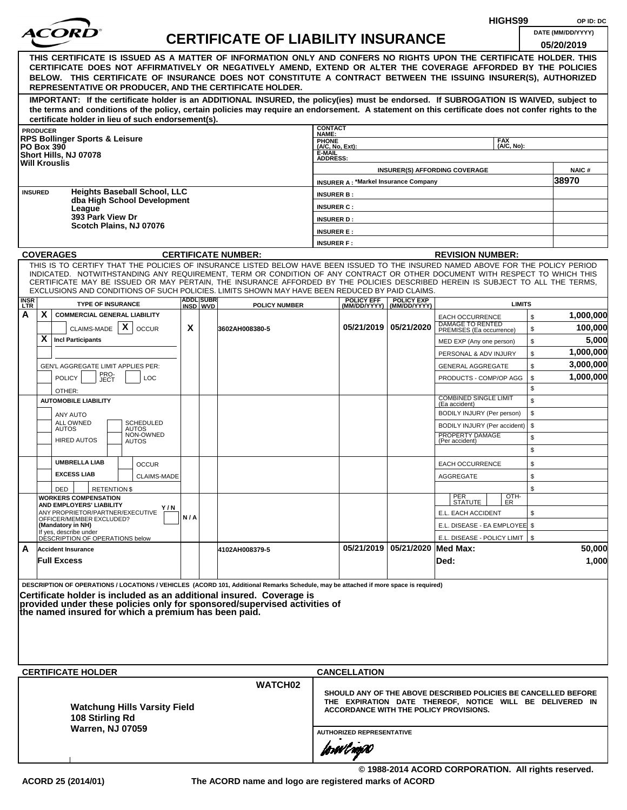|                    |                                                                                                                                                                                                                                                                                                                                                                                                                                                                                                    |     |                   |                                           |                                                              |                                             |                                    |                                                                                                                                                                      | HIGHS99                  |              | OP ID: DC             |
|--------------------|----------------------------------------------------------------------------------------------------------------------------------------------------------------------------------------------------------------------------------------------------------------------------------------------------------------------------------------------------------------------------------------------------------------------------------------------------------------------------------------------------|-----|-------------------|-------------------------------------------|--------------------------------------------------------------|---------------------------------------------|------------------------------------|----------------------------------------------------------------------------------------------------------------------------------------------------------------------|--------------------------|--------------|-----------------------|
|                    |                                                                                                                                                                                                                                                                                                                                                                                                                                                                                                    |     |                   | <b>CERTIFICATE OF LIABILITY INSURANCE</b> |                                                              |                                             |                                    |                                                                                                                                                                      |                          |              | DATE (MM/DD/YYYY)     |
|                    | THIS CERTIFICATE IS ISSUED AS A MATTER OF INFORMATION ONLY AND CONFERS NO RIGHTS UPON THE CERTIFICATE HOLDER. THIS<br>CERTIFICATE DOES NOT AFFIRMATIVELY OR NEGATIVELY AMEND, EXTEND OR ALTER THE COVERAGE AFFORDED BY THE POLICIES<br>BELOW. THIS CERTIFICATE OF INSURANCE DOES NOT CONSTITUTE A CONTRACT BETWEEN THE ISSUING INSURER(S), AUTHORIZED<br>REPRESENTATIVE OR PRODUCER, AND THE CERTIFICATE HOLDER.                                                                                   |     |                   |                                           |                                                              |                                             |                                    |                                                                                                                                                                      |                          |              | 05/20/2019            |
|                    | IMPORTANT: If the certificate holder is an ADDITIONAL INSURED, the policy(ies) must be endorsed. If SUBROGATION IS WAIVED, subject to<br>the terms and conditions of the policy, certain policies may require an endorsement. A statement on this certificate does not confer rights to the<br>certificate holder in lieu of such endorsement(s).                                                                                                                                                  |     |                   |                                           |                                                              |                                             |                                    |                                                                                                                                                                      |                          |              |                       |
|                    | <b>PRODUCER</b>                                                                                                                                                                                                                                                                                                                                                                                                                                                                                    |     |                   |                                           | <b>CONTACT</b><br>NAME:                                      |                                             |                                    |                                                                                                                                                                      |                          |              |                       |
|                    | <b>RPS Bollinger Sports &amp; Leisure</b><br><b>PO Box 390</b><br>Short Hills, NJ 07078<br><b>Will Krouslis</b>                                                                                                                                                                                                                                                                                                                                                                                    |     |                   |                                           | <b>PHONE</b><br>(A/C, No, Ext):<br>E-MAIL<br><b>ADDRESS:</b> |                                             |                                    |                                                                                                                                                                      | <b>FAX</b><br>(A/C. No): |              |                       |
|                    |                                                                                                                                                                                                                                                                                                                                                                                                                                                                                                    |     |                   |                                           |                                                              |                                             |                                    | <b>INSURER(S) AFFORDING COVERAGE</b>                                                                                                                                 |                          |              | <b>NAIC#</b><br>38970 |
|                    | <b>Heights Baseball School, LLC</b><br><b>INSURED</b><br>dba High School Development                                                                                                                                                                                                                                                                                                                                                                                                               |     |                   |                                           | <b>INSURER B:</b>                                            | <b>INSURER A: *Markel Insurance Company</b> |                                    |                                                                                                                                                                      |                          |              |                       |
|                    | League<br>393 Park View Dr                                                                                                                                                                                                                                                                                                                                                                                                                                                                         |     |                   |                                           | <b>INSURER C:</b><br><b>INSURER D:</b>                       |                                             |                                    |                                                                                                                                                                      |                          |              |                       |
|                    | Scotch Plains, NJ 07076                                                                                                                                                                                                                                                                                                                                                                                                                                                                            |     |                   |                                           | <b>INSURER E:</b>                                            |                                             |                                    |                                                                                                                                                                      |                          |              |                       |
|                    |                                                                                                                                                                                                                                                                                                                                                                                                                                                                                                    |     |                   |                                           | <b>INSURER F:</b>                                            |                                             |                                    |                                                                                                                                                                      |                          |              |                       |
|                    | <b>COVERAGES</b>                                                                                                                                                                                                                                                                                                                                                                                                                                                                                   |     |                   | <b>CERTIFICATE NUMBER:</b>                |                                                              |                                             |                                    | <b>REVISION NUMBER:</b>                                                                                                                                              |                          |              |                       |
| <b>INSR</b><br>LTR | THIS IS TO CERTIFY THAT THE POLICIES OF INSURANCE LISTED BELOW HAVE BEEN ISSUED TO THE INSURED NAMED ABOVE FOR THE POLICY PERIOD<br>INDICATED. NOTWITHSTANDING ANY REQUIREMENT, TERM OR CONDITION OF ANY CONTRACT OR OTHER DOCUMENT WITH RESPECT TO WHICH THIS<br>CERTIFICATE MAY BE ISSUED OR MAY PERTAIN, THE INSURANCE AFFORDED BY THE POLICIES DESCRIBED HEREIN IS SUBJECT TO ALL THE TERMS.<br>EXCLUSIONS AND CONDITIONS OF SUCH POLICIES. LIMITS SHOWN MAY HAVE BEEN REDUCED BY PAID CLAIMS. |     | <b>ADDLISUBRI</b> |                                           |                                                              | <b>POLICY EFF</b>                           | <b>POLICY EXP</b>                  |                                                                                                                                                                      |                          |              |                       |
| А                  | <b>TYPE OF INSURANCE</b><br>X<br><b>COMMERCIAL GENERAL LIABILITY</b>                                                                                                                                                                                                                                                                                                                                                                                                                               |     | INSD WVD          | <b>POLICY NUMBER</b>                      |                                                              |                                             | (MM/DD/YYYY)   (MM/DD/YYYY)        | <b>EACH OCCURRENCE</b>                                                                                                                                               | <b>LIMITS</b>            | $\mathbb{S}$ | 1,000,000             |
|                    | CLAIMS-MADE $\mathbf{X}$<br><b>OCCUR</b><br>X<br><b>Incl Participants</b>                                                                                                                                                                                                                                                                                                                                                                                                                          | X   |                   | 3602AH008380-5                            |                                                              |                                             | 05/21/2019   05/21/2020            | DAMAGE TO RENTED<br>PREMISES (Ea occurrence)                                                                                                                         |                          | \$<br>\$     | 100,000<br>5,000      |
|                    |                                                                                                                                                                                                                                                                                                                                                                                                                                                                                                    |     |                   |                                           |                                                              |                                             |                                    | MED EXP (Any one person)<br>PERSONAL & ADV INJURY                                                                                                                    |                          | \$           | 1,000,000             |
|                    | GEN'L AGGREGATE LIMIT APPLIES PER:                                                                                                                                                                                                                                                                                                                                                                                                                                                                 |     |                   |                                           |                                                              |                                             |                                    | <b>GENERAL AGGREGATE</b>                                                                                                                                             |                          | \$           | 3,000,000             |
|                    | PRO-<br>JECT<br><b>POLICY</b><br><b>LOC</b>                                                                                                                                                                                                                                                                                                                                                                                                                                                        |     |                   |                                           |                                                              |                                             |                                    | PRODUCTS - COMP/OP AGG                                                                                                                                               |                          | \$           | 1,000,000             |
|                    | OTHER:                                                                                                                                                                                                                                                                                                                                                                                                                                                                                             |     |                   |                                           |                                                              |                                             |                                    |                                                                                                                                                                      |                          | \$           |                       |
|                    | <b>AUTOMOBILE LIABILITY</b>                                                                                                                                                                                                                                                                                                                                                                                                                                                                        |     |                   |                                           |                                                              |                                             |                                    | <b>COMBINED SINGLE LIMIT</b><br>(Ea accident)                                                                                                                        |                          | \$           |                       |
|                    | ANY AUTO                                                                                                                                                                                                                                                                                                                                                                                                                                                                                           |     |                   |                                           |                                                              |                                             |                                    | BODILY INJURY (Per person)                                                                                                                                           |                          | \$           |                       |
|                    | ALL OWNED<br><b>SCHEDULED</b><br><b>AUTOS</b><br><b>AUTOS</b>                                                                                                                                                                                                                                                                                                                                                                                                                                      |     |                   |                                           |                                                              |                                             |                                    | BODILY INJURY (Per accident)                                                                                                                                         |                          | \$           |                       |
|                    | NON-OWNED<br><b>HIRED AUTOS</b><br><b>AUTOS</b>                                                                                                                                                                                                                                                                                                                                                                                                                                                    |     |                   |                                           |                                                              |                                             |                                    | PROPERTY DAMAGE<br>(Per accident)                                                                                                                                    |                          | \$<br>\$     |                       |
|                    | <b>UMBRELLA LIAB</b><br><b>OCCUR</b>                                                                                                                                                                                                                                                                                                                                                                                                                                                               |     |                   |                                           |                                                              |                                             |                                    | <b>EACH OCCURRENCE</b>                                                                                                                                               |                          | \$           |                       |
|                    | <b>EXCESS LIAB</b><br>CLAIMS-MADE                                                                                                                                                                                                                                                                                                                                                                                                                                                                  |     |                   |                                           |                                                              |                                             |                                    | <b>AGGREGATE</b>                                                                                                                                                     |                          | \$           |                       |
|                    | <b>RETENTION \$</b><br>DED                                                                                                                                                                                                                                                                                                                                                                                                                                                                         |     |                   |                                           |                                                              |                                             |                                    |                                                                                                                                                                      |                          | \$           |                       |
|                    | <b>WORKERS COMPENSATION</b><br>AND EMPLOYERS' LIABILITY<br>Y / N                                                                                                                                                                                                                                                                                                                                                                                                                                   |     |                   |                                           |                                                              |                                             |                                    | PER<br>STATUTE                                                                                                                                                       | $\frac{[OTH]}{ER}$       |              |                       |
|                    | ANY PROPRIETOR/PARTNER/EXECUTIVE<br>OFFICER/MEMBER EXCLUDED?                                                                                                                                                                                                                                                                                                                                                                                                                                       | N/A |                   |                                           |                                                              |                                             |                                    | E.L. EACH ACCIDENT                                                                                                                                                   |                          | \$           |                       |
|                    | (Mandatory in NH)<br>If yes, describe under<br>DESCRIPTION OF OPERATIONS below                                                                                                                                                                                                                                                                                                                                                                                                                     |     |                   |                                           |                                                              |                                             |                                    | E.L. DISEASE - EA EMPLOYEE \$                                                                                                                                        |                          |              |                       |
| A                  | <b>Accident Insurance</b>                                                                                                                                                                                                                                                                                                                                                                                                                                                                          |     |                   |                                           |                                                              |                                             | 05/21/2019   05/21/2020   Med Max: | E.L. DISEASE - POLICY LIMIT   \$                                                                                                                                     |                          |              | 50,000                |
|                    | <b>Full Excess</b>                                                                                                                                                                                                                                                                                                                                                                                                                                                                                 |     |                   | 4102AH008379-5                            |                                                              |                                             |                                    | Ded:                                                                                                                                                                 |                          |              | 1,000                 |
|                    | DESCRIPTION OF OPERATIONS / LOCATIONS / VEHICLES (ACORD 101, Additional Remarks Schedule, may be attached if more space is required)<br>Certificate holder is included as an additional insured. Coverage is<br>provided under these policies only for sponsored/supervised activities of<br>the named insured for which a premium has been paid.                                                                                                                                                  |     |                   |                                           |                                                              |                                             |                                    |                                                                                                                                                                      |                          |              |                       |
|                    |                                                                                                                                                                                                                                                                                                                                                                                                                                                                                                    |     |                   |                                           |                                                              |                                             |                                    |                                                                                                                                                                      |                          |              |                       |
|                    | <b>CERTIFICATE HOLDER</b>                                                                                                                                                                                                                                                                                                                                                                                                                                                                          |     |                   |                                           |                                                              | <b>CANCELLATION</b>                         |                                    |                                                                                                                                                                      |                          |              |                       |
|                    | <b>Watchung Hills Varsity Field</b><br>108 Stirling Rd<br><b>Warren, NJ 07059</b>                                                                                                                                                                                                                                                                                                                                                                                                                  |     |                   | <b>WATCH02</b>                            |                                                              |                                             |                                    | SHOULD ANY OF THE ABOVE DESCRIBED POLICIES BE CANCELLED BEFORE<br>THE EXPIRATION DATE THEREOF, NOTICE WILL BE DELIVERED IN<br>ACCORDANCE WITH THE POLICY PROVISIONS. |                          |              |                       |
|                    |                                                                                                                                                                                                                                                                                                                                                                                                                                                                                                    |     |                   |                                           |                                                              | <b>AUTHORIZED REPRESENTATIVE</b>            |                                    |                                                                                                                                                                      |                          |              |                       |
|                    |                                                                                                                                                                                                                                                                                                                                                                                                                                                                                                    |     |                   |                                           |                                                              | forwil now                                  |                                    |                                                                                                                                                                      |                          |              |                       |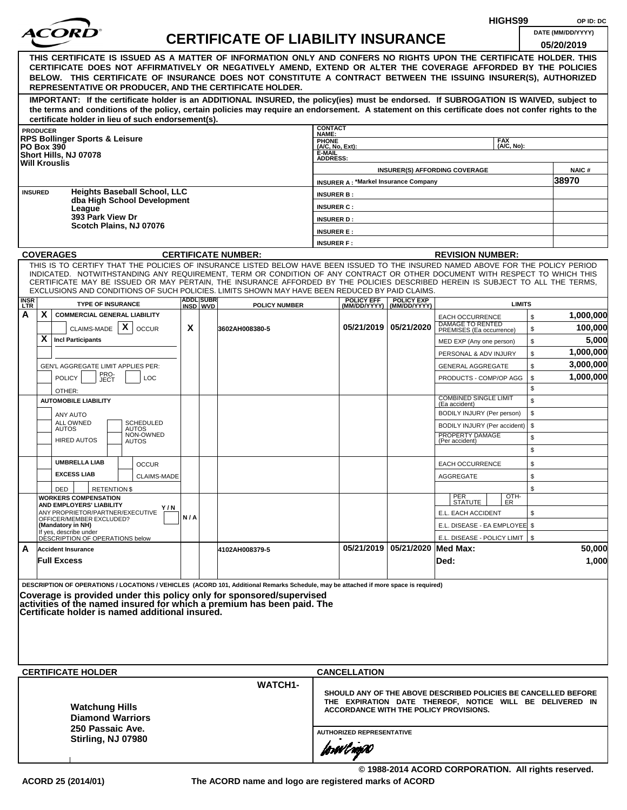|                    |                                                                      |                                                                                                                                                                                                                                                                                                                                                                                                                                                                                                                                                                                                                                                                                                                                                                       |     |                  |                                           |                                        |                                             |                         | HIGHS99                                                                                                                                                              |          | OP ID: DC            |  |  |  |  |
|--------------------|----------------------------------------------------------------------|-----------------------------------------------------------------------------------------------------------------------------------------------------------------------------------------------------------------------------------------------------------------------------------------------------------------------------------------------------------------------------------------------------------------------------------------------------------------------------------------------------------------------------------------------------------------------------------------------------------------------------------------------------------------------------------------------------------------------------------------------------------------------|-----|------------------|-------------------------------------------|----------------------------------------|---------------------------------------------|-------------------------|----------------------------------------------------------------------------------------------------------------------------------------------------------------------|----------|----------------------|--|--|--|--|
|                    |                                                                      |                                                                                                                                                                                                                                                                                                                                                                                                                                                                                                                                                                                                                                                                                                                                                                       |     |                  | <b>CERTIFICATE OF LIABILITY INSURANCE</b> |                                        |                                             |                         |                                                                                                                                                                      |          | DATE (MM/DD/YYYY)    |  |  |  |  |
|                    | <b>PRODUCER</b>                                                      | THIS CERTIFICATE IS ISSUED AS A MATTER OF INFORMATION ONLY AND CONFERS NO RIGHTS UPON THE CERTIFICATE HOLDER. THIS<br>CERTIFICATE DOES NOT AFFIRMATIVELY OR NEGATIVELY AMEND, EXTEND OR ALTER THE COVERAGE AFFORDED BY THE POLICIES<br>BELOW. THIS CERTIFICATE OF INSURANCE DOES NOT CONSTITUTE A CONTRACT BETWEEN THE ISSUING INSURER(S), AUTHORIZED<br>REPRESENTATIVE OR PRODUCER, AND THE CERTIFICATE HOLDER.<br>IMPORTANT: If the certificate holder is an ADDITIONAL INSURED, the policy(ies) must be endorsed. If SUBROGATION IS WAIVED, subject to<br>the terms and conditions of the policy, certain policies may require an endorsement. A statement on this certificate does not confer rights to the<br>certificate holder in lieu of such endorsement(s). |     |                  |                                           | <b>CONTACT</b><br>NAME:                |                                             |                         |                                                                                                                                                                      |          | 05/20/2019           |  |  |  |  |
| <b>PO Box 390</b>  |                                                                      | <b>RPS Bollinger Sports &amp; Leisure</b>                                                                                                                                                                                                                                                                                                                                                                                                                                                                                                                                                                                                                                                                                                                             |     |                  |                                           | <b>PHONE</b><br>$(A/C, No, Ext)$ :     |                                             |                         | <b>FAX</b><br>(A/C. No):                                                                                                                                             |          |                      |  |  |  |  |
|                    |                                                                      | Short Hills, NJ 07078<br><b>Will Krouslis</b>                                                                                                                                                                                                                                                                                                                                                                                                                                                                                                                                                                                                                                                                                                                         |     |                  |                                           | E-MAIL<br><b>ADDRESS:</b>              |                                             |                         | <b>INSURER(S) AFFORDING COVERAGE</b>                                                                                                                                 |          | <b>NAIC#</b>         |  |  |  |  |
| <b>INSURED</b>     |                                                                      | <b>Heights Baseball School, LLC</b><br>dba High School Development<br>League                                                                                                                                                                                                                                                                                                                                                                                                                                                                                                                                                                                                                                                                                          |     |                  |                                           | <b>INSURER B:</b><br><b>INSURER C:</b> | <b>INSURER A: *Markel Insurance Company</b> |                         |                                                                                                                                                                      |          | 38970                |  |  |  |  |
|                    |                                                                      | 393 Park View Dr<br>Scotch Plains, NJ 07076                                                                                                                                                                                                                                                                                                                                                                                                                                                                                                                                                                                                                                                                                                                           |     |                  |                                           | <b>INSURER D:</b><br><b>INSURER E:</b> |                                             |                         |                                                                                                                                                                      |          |                      |  |  |  |  |
|                    |                                                                      | <b>COVERAGES</b>                                                                                                                                                                                                                                                                                                                                                                                                                                                                                                                                                                                                                                                                                                                                                      |     |                  | <b>CERTIFICATE NUMBER:</b>                | <b>INSURER F:</b>                      |                                             |                         |                                                                                                                                                                      |          |                      |  |  |  |  |
|                    |                                                                      | THIS IS TO CERTIFY THAT THE POLICIES OF INSURANCE LISTED BELOW HAVE BEEN ISSUED TO THE INSURED NAMED ABOVE FOR THE POLICY PERIOD                                                                                                                                                                                                                                                                                                                                                                                                                                                                                                                                                                                                                                      |     |                  |                                           |                                        |                                             |                         | <b>REVISION NUMBER:</b>                                                                                                                                              |          |                      |  |  |  |  |
|                    |                                                                      | INDICATED. NOTWITHSTANDING ANY REQUIREMENT, TERM OR CONDITION OF ANY CONTRACT OR OTHER DOCUMENT WITH RESPECT TO WHICH THIS<br>CERTIFICATE MAY BE ISSUED OR MAY PERTAIN, THE INSURANCE AFFORDED BY THE POLICIES DESCRIBED HEREIN IS SUBJECT TO ALL THE TERMS.<br>EXCLUSIONS AND CONDITIONS OF SUCH POLICIES. LIMITS SHOWN MAY HAVE BEEN REDUCED BY PAID CLAIMS.                                                                                                                                                                                                                                                                                                                                                                                                        |     | <b>ADDL SUBR</b> |                                           |                                        | <b>POLICY EFF</b>                           | <b>POLICY EXP</b>       |                                                                                                                                                                      |          |                      |  |  |  |  |
| <b>INSR</b><br>LTR |                                                                      | <b>TYPE OF INSURANCE</b>                                                                                                                                                                                                                                                                                                                                                                                                                                                                                                                                                                                                                                                                                                                                              |     | INSD WVD         | <b>POLICY NUMBER</b>                      |                                        | (MM/DD/YYYY)                                | (MM/DD/YYYY)            | <b>LIMITS</b>                                                                                                                                                        |          |                      |  |  |  |  |
| A                  | X.                                                                   | <b>COMMERCIAL GENERAL LIABILITY</b><br>$\mathsf{x}$<br>CLAIMS-MADE<br><b>OCCUR</b>                                                                                                                                                                                                                                                                                                                                                                                                                                                                                                                                                                                                                                                                                    | X   |                  | 3602AH008380-5                            |                                        |                                             | 05/21/2019   05/21/2020 | <b>EACH OCCURRENCE</b><br>DAMAGE TO RENTED<br>PREMISES (Ea occurrence)                                                                                               | \$<br>\$ | 1,000,000<br>100,000 |  |  |  |  |
|                    | X.<br><b>Incl Participants</b><br>\$<br>MED EXP (Any one person)     |                                                                                                                                                                                                                                                                                                                                                                                                                                                                                                                                                                                                                                                                                                                                                                       |     |                  |                                           |                                        |                                             |                         |                                                                                                                                                                      |          |                      |  |  |  |  |
|                    | 1,000,000<br>\$<br>PERSONAL & ADV INJURY<br>3,000,000                |                                                                                                                                                                                                                                                                                                                                                                                                                                                                                                                                                                                                                                                                                                                                                                       |     |                  |                                           |                                        |                                             |                         |                                                                                                                                                                      |          |                      |  |  |  |  |
|                    | GEN'L AGGREGATE LIMIT APPLIES PER:<br><b>GENERAL AGGREGATE</b>       |                                                                                                                                                                                                                                                                                                                                                                                                                                                                                                                                                                                                                                                                                                                                                                       |     |                  |                                           |                                        |                                             |                         |                                                                                                                                                                      |          |                      |  |  |  |  |
|                    |                                                                      | PRO-<br><b>POLICY</b><br>LOC<br>JECT<br>OTHER:                                                                                                                                                                                                                                                                                                                                                                                                                                                                                                                                                                                                                                                                                                                        |     |                  |                                           |                                        |                                             |                         | PRODUCTS - COMP/OP AGG                                                                                                                                               | \$<br>\$ | 1,000,000            |  |  |  |  |
|                    |                                                                      | <b>AUTOMOBILE LIABILITY</b>                                                                                                                                                                                                                                                                                                                                                                                                                                                                                                                                                                                                                                                                                                                                           |     |                  |                                           |                                        |                                             |                         | <b>COMBINED SINGLE LIMIT</b><br>(Ea accident)                                                                                                                        | \$       |                      |  |  |  |  |
|                    |                                                                      | <b>ANY AUTO</b><br>ALL OWNED<br><b>SCHEDULED</b>                                                                                                                                                                                                                                                                                                                                                                                                                                                                                                                                                                                                                                                                                                                      |     |                  |                                           |                                        |                                             |                         | BODILY INJURY (Per person)                                                                                                                                           | \$       |                      |  |  |  |  |
|                    |                                                                      | <b>AUTOS</b><br>AUTOS<br>NON-OWNED                                                                                                                                                                                                                                                                                                                                                                                                                                                                                                                                                                                                                                                                                                                                    |     |                  |                                           |                                        |                                             |                         | BODILY INJURY (Per accident)<br>PROPERTY DAMAGE                                                                                                                      | \$       |                      |  |  |  |  |
|                    |                                                                      | <b>HIRED AUTOS</b><br><b>AUTOS</b>                                                                                                                                                                                                                                                                                                                                                                                                                                                                                                                                                                                                                                                                                                                                    |     |                  |                                           |                                        |                                             |                         | (Per accident)                                                                                                                                                       | \$<br>\$ |                      |  |  |  |  |
|                    |                                                                      | <b>UMBRELLA LIAB</b><br><b>OCCUR</b>                                                                                                                                                                                                                                                                                                                                                                                                                                                                                                                                                                                                                                                                                                                                  |     |                  |                                           |                                        |                                             |                         | <b>EACH OCCURRENCE</b>                                                                                                                                               | \$       |                      |  |  |  |  |
|                    |                                                                      | <b>EXCESS LIAB</b><br>CLAIMS-MADE<br><b>RETENTION \$</b><br>DED                                                                                                                                                                                                                                                                                                                                                                                                                                                                                                                                                                                                                                                                                                       |     |                  |                                           |                                        |                                             |                         | AGGREGATE                                                                                                                                                            | \$<br>\$ |                      |  |  |  |  |
|                    |                                                                      | <b>WORKERS COMPENSATION</b><br>AND EMPLOYERS' LIABILITY<br>Y / N<br>ANY PROPRIETOR/PARTNER/EXECUTIVE<br>OFFICER/MEMBER EXCLUDED?                                                                                                                                                                                                                                                                                                                                                                                                                                                                                                                                                                                                                                      | N/A |                  |                                           |                                        |                                             |                         | OTH-<br>ER<br>PER<br>STATUTE<br>E.L. EACH ACCIDENT                                                                                                                   | \$       |                      |  |  |  |  |
|                    |                                                                      | (Mandatory in NH)<br>If yes, describe under<br>DESCRIPTION OF OPERATIONS below                                                                                                                                                                                                                                                                                                                                                                                                                                                                                                                                                                                                                                                                                        |     |                  |                                           |                                        |                                             |                         | E.L. DISEASE - EA EMPLOYEE \$<br>E.L. DISEASE - POLICY LIMIT   \$                                                                                                    |          |                      |  |  |  |  |
| A                  |                                                                      | <b>Accident Insurance</b>                                                                                                                                                                                                                                                                                                                                                                                                                                                                                                                                                                                                                                                                                                                                             |     |                  | 4102AH008379-5                            |                                        | 05/21/2019                                  | 05/21/2020 Med Max:     |                                                                                                                                                                      |          | 50,000               |  |  |  |  |
|                    |                                                                      | <b>Full Excess</b>                                                                                                                                                                                                                                                                                                                                                                                                                                                                                                                                                                                                                                                                                                                                                    |     |                  |                                           |                                        |                                             |                         | Ded:                                                                                                                                                                 |          | 1,000                |  |  |  |  |
|                    |                                                                      | DESCRIPTION OF OPERATIONS / LOCATIONS / VEHICLES (ACORD 101, Additional Remarks Schedule, may be attached if more space is required)<br>Coverage is provided under this policy only for sponsored/supervised<br> activities of the named insured for which a premium has been paid. The<br>lCertificate holder is named additional insured.                                                                                                                                                                                                                                                                                                                                                                                                                           |     |                  |                                           |                                        |                                             |                         |                                                                                                                                                                      |          |                      |  |  |  |  |
|                    |                                                                      | <b>CERTIFICATE HOLDER</b>                                                                                                                                                                                                                                                                                                                                                                                                                                                                                                                                                                                                                                                                                                                                             |     |                  |                                           |                                        | <b>CANCELLATION</b>                         |                         |                                                                                                                                                                      |          |                      |  |  |  |  |
|                    |                                                                      | <b>Watchung Hills</b><br><b>Diamond Warriors</b><br>250 Passaic Ave.                                                                                                                                                                                                                                                                                                                                                                                                                                                                                                                                                                                                                                                                                                  |     |                  | <b>WATCH1-</b>                            |                                        |                                             |                         | SHOULD ANY OF THE ABOVE DESCRIBED POLICIES BE CANCELLED BEFORE<br>THE EXPIRATION DATE THEREOF, NOTICE WILL BE DELIVERED IN<br>ACCORDANCE WITH THE POLICY PROVISIONS. |          |                      |  |  |  |  |
|                    | <b>AUTHORIZED REPRESENTATIVE</b><br>Stirling, NJ 07980<br>forwl nop0 |                                                                                                                                                                                                                                                                                                                                                                                                                                                                                                                                                                                                                                                                                                                                                                       |     |                  |                                           |                                        |                                             |                         |                                                                                                                                                                      |          |                      |  |  |  |  |
|                    |                                                                      |                                                                                                                                                                                                                                                                                                                                                                                                                                                                                                                                                                                                                                                                                                                                                                       |     |                  |                                           |                                        |                                             |                         | © 1988-2014 ACORD CORPORATION. All rights reserved.                                                                                                                  |          |                      |  |  |  |  |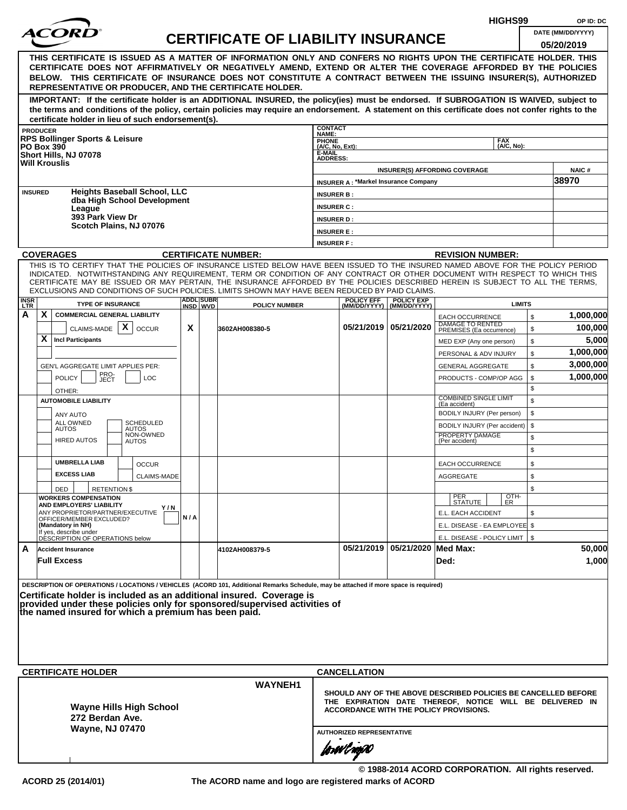|                         |                                                                                                                                                                                                                                                                |     |                   |                                           |                                                                |                                             |                                    |                                                                   | HIGHS99            |                    | OP ID: DC         |  |
|-------------------------|----------------------------------------------------------------------------------------------------------------------------------------------------------------------------------------------------------------------------------------------------------------|-----|-------------------|-------------------------------------------|----------------------------------------------------------------|---------------------------------------------|------------------------------------|-------------------------------------------------------------------|--------------------|--------------------|-------------------|--|
|                         |                                                                                                                                                                                                                                                                |     |                   | <b>CERTIFICATE OF LIABILITY INSURANCE</b> |                                                                |                                             |                                    |                                                                   |                    |                    | DATE (MM/DD/YYYY) |  |
|                         |                                                                                                                                                                                                                                                                |     |                   |                                           |                                                                |                                             |                                    |                                                                   |                    |                    | 05/20/2019        |  |
|                         | THIS CERTIFICATE IS ISSUED AS A MATTER OF INFORMATION ONLY AND CONFERS NO RIGHTS UPON THE CERTIFICATE HOLDER. THIS<br>CERTIFICATE DOES NOT AFFIRMATIVELY OR NEGATIVELY AMEND, EXTEND OR ALTER THE COVERAGE AFFORDED BY THE POLICIES                            |     |                   |                                           |                                                                |                                             |                                    |                                                                   |                    |                    |                   |  |
|                         | BELOW. THIS CERTIFICATE OF INSURANCE DOES NOT CONSTITUTE A CONTRACT BETWEEN THE ISSUING INSURER(S), AUTHORIZED                                                                                                                                                 |     |                   |                                           |                                                                |                                             |                                    |                                                                   |                    |                    |                   |  |
|                         | REPRESENTATIVE OR PRODUCER, AND THE CERTIFICATE HOLDER.                                                                                                                                                                                                        |     |                   |                                           |                                                                |                                             |                                    |                                                                   |                    |                    |                   |  |
|                         | IMPORTANT: If the certificate holder is an ADDITIONAL INSURED, the policy(ies) must be endorsed. If SUBROGATION IS WAIVED, subject to                                                                                                                          |     |                   |                                           |                                                                |                                             |                                    |                                                                   |                    |                    |                   |  |
|                         | the terms and conditions of the policy, certain policies may require an endorsement. A statement on this certificate does not confer rights to the                                                                                                             |     |                   |                                           |                                                                |                                             |                                    |                                                                   |                    |                    |                   |  |
|                         | certificate holder in lieu of such endorsement(s).<br><b>PRODUCER</b>                                                                                                                                                                                          |     |                   |                                           | <b>CONTACT</b>                                                 |                                             |                                    |                                                                   |                    |                    |                   |  |
|                         | <b>RPS Bollinger Sports &amp; Leisure</b>                                                                                                                                                                                                                      |     |                   |                                           | NAME:<br><b>PHONE</b>                                          |                                             |                                    |                                                                   | <b>FAX</b>         |                    |                   |  |
|                         | <b>PO Box 390</b><br>Short Hills, NJ 07078                                                                                                                                                                                                                     |     |                   |                                           | (A/C, No, Ext):<br>E-MAIL                                      |                                             |                                    |                                                                   | (A/C. No):         |                    |                   |  |
|                         | <b>Will Krouslis</b>                                                                                                                                                                                                                                           |     |                   |                                           | <b>ADDRESS:</b>                                                |                                             |                                    | <b>INSURER(S) AFFORDING COVERAGE</b>                              |                    |                    | <b>NAIC#</b>      |  |
|                         |                                                                                                                                                                                                                                                                |     |                   |                                           |                                                                | <b>INSURER A: *Markel Insurance Company</b> |                                    |                                                                   |                    |                    | 38970             |  |
|                         | <b>Heights Baseball School, LLC</b><br><b>INSURED</b>                                                                                                                                                                                                          |     |                   |                                           | <b>INSURER B:</b>                                              |                                             |                                    |                                                                   |                    |                    |                   |  |
|                         | dba High School Development<br>League                                                                                                                                                                                                                          |     |                   |                                           | <b>INSURER C:</b>                                              |                                             |                                    |                                                                   |                    |                    |                   |  |
|                         | 393 Park View Dr                                                                                                                                                                                                                                               |     |                   |                                           | <b>INSURER D:</b>                                              |                                             |                                    |                                                                   |                    |                    |                   |  |
|                         | Scotch Plains, NJ 07076                                                                                                                                                                                                                                        |     |                   |                                           | <b>INSURER E:</b>                                              |                                             |                                    |                                                                   |                    |                    |                   |  |
|                         |                                                                                                                                                                                                                                                                |     |                   |                                           | <b>INSURER F:</b>                                              |                                             |                                    |                                                                   |                    |                    |                   |  |
|                         | <b>COVERAGES</b>                                                                                                                                                                                                                                               |     |                   | <b>CERTIFICATE NUMBER:</b>                |                                                                |                                             |                                    | <b>REVISION NUMBER:</b>                                           |                    |                    |                   |  |
|                         | THIS IS TO CERTIFY THAT THE POLICIES OF INSURANCE LISTED BELOW HAVE BEEN ISSUED TO THE INSURED NAMED ABOVE FOR THE POLICY PERIOD<br>INDICATED. NOTWITHSTANDING ANY REQUIREMENT, TERM OR CONDITION OF ANY CONTRACT OR OTHER DOCUMENT WITH RESPECT TO WHICH THIS |     |                   |                                           |                                                                |                                             |                                    |                                                                   |                    |                    |                   |  |
|                         | CERTIFICATE MAY BE ISSUED OR MAY PERTAIN, THE INSURANCE AFFORDED BY THE POLICIES DESCRIBED HEREIN IS SUBJECT TO ALL THE TERMS.                                                                                                                                 |     |                   |                                           |                                                                |                                             |                                    |                                                                   |                    |                    |                   |  |
|                         | EXCLUSIONS AND CONDITIONS OF SUCH POLICIES. LIMITS SHOWN MAY HAVE BEEN REDUCED BY PAID CLAIMS.                                                                                                                                                                 |     | <b>ADDLISUBRI</b> |                                           |                                                                | <b>POLICY EFF</b>                           | <b>POLICY EXP</b>                  |                                                                   |                    |                    |                   |  |
| <b>INSR</b><br>LTR<br>А | <b>TYPE OF INSURANCE</b><br>X<br><b>COMMERCIAL GENERAL LIABILITY</b>                                                                                                                                                                                           |     | INSD WVD          | <b>POLICY NUMBER</b>                      |                                                                |                                             | (MM/DD/YYYY)   (MM/DD/YYYY)        |                                                                   | <b>LIMITS</b>      |                    | 1,000,000         |  |
|                         | CLAIMS-MADE $\mathbf{X}$<br><b>OCCUR</b>                                                                                                                                                                                                                       | X   |                   | 3602AH008380-5                            |                                                                |                                             | 05/21/2019   05/21/2020            | <b>EACH OCCURRENCE</b><br>DAMAGE TO RENTED                        |                    | $\mathbb{S}$<br>\$ | 100,000           |  |
|                         | X<br><b>Incl Participants</b>                                                                                                                                                                                                                                  |     |                   |                                           |                                                                |                                             |                                    | PREMISES (Ea occurrence)<br>MED EXP (Any one person)              |                    | \$                 | 5,000             |  |
|                         |                                                                                                                                                                                                                                                                |     |                   |                                           |                                                                |                                             |                                    | PERSONAL & ADV INJURY                                             |                    | \$                 | 1,000,000         |  |
|                         | GEN'L AGGREGATE LIMIT APPLIES PER:                                                                                                                                                                                                                             |     |                   |                                           |                                                                |                                             |                                    | <b>GENERAL AGGREGATE</b>                                          |                    | \$                 | 3,000,000         |  |
|                         | PRO-<br>JECT<br><b>POLICY</b><br><b>LOC</b>                                                                                                                                                                                                                    |     |                   |                                           |                                                                |                                             |                                    | PRODUCTS - COMP/OP AGG                                            |                    | \$                 | 1,000,000         |  |
|                         | OTHER:                                                                                                                                                                                                                                                         |     |                   |                                           |                                                                |                                             |                                    |                                                                   |                    | \$                 |                   |  |
|                         | <b>AUTOMOBILE LIABILITY</b>                                                                                                                                                                                                                                    |     |                   |                                           |                                                                |                                             |                                    | <b>COMBINED SINGLE LIMIT</b><br>(Ea accident)                     |                    | \$                 |                   |  |
|                         | ANY AUTO                                                                                                                                                                                                                                                       |     |                   |                                           |                                                                |                                             |                                    | BODILY INJURY (Per person)                                        |                    | \$                 |                   |  |
|                         | ALL OWNED<br><b>SCHEDULED</b><br><b>AUTOS</b><br><b>AUTOS</b>                                                                                                                                                                                                  |     |                   |                                           |                                                                |                                             |                                    | BODILY INJURY (Per accident)                                      |                    | \$                 |                   |  |
|                         | NON-OWNED<br><b>HIRED AUTOS</b><br><b>AUTOS</b>                                                                                                                                                                                                                |     |                   |                                           |                                                                |                                             |                                    | PROPERTY DAMAGE<br>(Per accident)                                 |                    | \$                 |                   |  |
|                         |                                                                                                                                                                                                                                                                |     |                   |                                           |                                                                |                                             |                                    |                                                                   |                    | \$                 |                   |  |
|                         | <b>UMBRELLA LIAB</b><br><b>OCCUR</b>                                                                                                                                                                                                                           |     |                   |                                           |                                                                |                                             |                                    | <b>EACH OCCURRENCE</b>                                            |                    | \$                 |                   |  |
|                         | <b>EXCESS LIAB</b><br>CLAIMS-MADE                                                                                                                                                                                                                              |     |                   |                                           |                                                                |                                             |                                    | <b>AGGREGATE</b>                                                  |                    | \$                 |                   |  |
|                         | <b>RETENTION \$</b><br>DED<br><b>WORKERS COMPENSATION</b>                                                                                                                                                                                                      |     |                   |                                           |                                                                |                                             |                                    |                                                                   |                    | \$                 |                   |  |
|                         | AND EMPLOYERS' LIABILITY<br>Y / N                                                                                                                                                                                                                              |     |                   |                                           |                                                                |                                             |                                    | PER<br>STATUTE                                                    | $\frac{[OTH]}{ER}$ |                    |                   |  |
|                         | ANY PROPRIETOR/PARTNER/EXECUTIVE<br>OFFICER/MEMBER EXCLUDED?                                                                                                                                                                                                   | N/A |                   |                                           |                                                                |                                             |                                    | E.L. EACH ACCIDENT                                                |                    | \$                 |                   |  |
|                         | (Mandatory in NH)<br>If yes, describe under<br>DESCRIPTION OF OPERATIONS below                                                                                                                                                                                 |     |                   |                                           |                                                                |                                             |                                    | E.L. DISEASE - EA EMPLOYEE \$<br>E.L. DISEASE - POLICY LIMIT   \$ |                    |                    |                   |  |
| A                       | <b>Accident Insurance</b>                                                                                                                                                                                                                                      |     |                   | 4102AH008379-5                            |                                                                |                                             | 05/21/2019   05/21/2020   Med Max: |                                                                   |                    |                    | 50,000            |  |
|                         | <b>Full Excess</b>                                                                                                                                                                                                                                             |     |                   |                                           |                                                                |                                             |                                    | Ded:                                                              |                    |                    | 1,000             |  |
|                         |                                                                                                                                                                                                                                                                |     |                   |                                           |                                                                |                                             |                                    |                                                                   |                    |                    |                   |  |
|                         | DESCRIPTION OF OPERATIONS / LOCATIONS / VEHICLES (ACORD 101, Additional Remarks Schedule, may be attached if more space is required)                                                                                                                           |     |                   |                                           |                                                                |                                             |                                    |                                                                   |                    |                    |                   |  |
|                         | Certificate holder is included as an additional insured. Coverage is                                                                                                                                                                                           |     |                   |                                           |                                                                |                                             |                                    |                                                                   |                    |                    |                   |  |
|                         | provided under these policies only for sponsored/supervised activities of<br>the named insured for which a premium has been paid.                                                                                                                              |     |                   |                                           |                                                                |                                             |                                    |                                                                   |                    |                    |                   |  |
|                         |                                                                                                                                                                                                                                                                |     |                   |                                           |                                                                |                                             |                                    |                                                                   |                    |                    |                   |  |
|                         |                                                                                                                                                                                                                                                                |     |                   |                                           |                                                                |                                             |                                    |                                                                   |                    |                    |                   |  |
|                         |                                                                                                                                                                                                                                                                |     |                   |                                           |                                                                |                                             |                                    |                                                                   |                    |                    |                   |  |
|                         |                                                                                                                                                                                                                                                                |     |                   |                                           |                                                                |                                             |                                    |                                                                   |                    |                    |                   |  |
|                         | <b>CERTIFICATE HOLDER</b>                                                                                                                                                                                                                                      |     |                   |                                           |                                                                | <b>CANCELLATION</b>                         |                                    |                                                                   |                    |                    |                   |  |
|                         |                                                                                                                                                                                                                                                                |     |                   | <b>WAYNEH1</b>                            | SHOULD ANY OF THE ABOVE DESCRIBED POLICIES BE CANCELLED BEFORE |                                             |                                    |                                                                   |                    |                    |                   |  |
|                         |                                                                                                                                                                                                                                                                |     |                   |                                           | THE EXPIRATION DATE THEREOF, NOTICE WILL BE DELIVERED IN       |                                             |                                    |                                                                   |                    |                    |                   |  |
|                         | <b>Wayne Hills High School</b><br>272 Berdan Ave.                                                                                                                                                                                                              |     |                   |                                           |                                                                |                                             |                                    | <b>ACCORDANCE WITH THE POLICY PROVISIONS.</b>                     |                    |                    |                   |  |
|                         | <b>Wayne, NJ 07470</b>                                                                                                                                                                                                                                         |     |                   |                                           |                                                                | <b>AUTHORIZED REPRESENTATIVE</b>            |                                    |                                                                   |                    |                    |                   |  |
|                         |                                                                                                                                                                                                                                                                |     |                   |                                           |                                                                |                                             |                                    |                                                                   |                    |                    |                   |  |
|                         |                                                                                                                                                                                                                                                                |     |                   |                                           | forwil nopO                                                    |                                             |                                    |                                                                   |                    |                    |                   |  |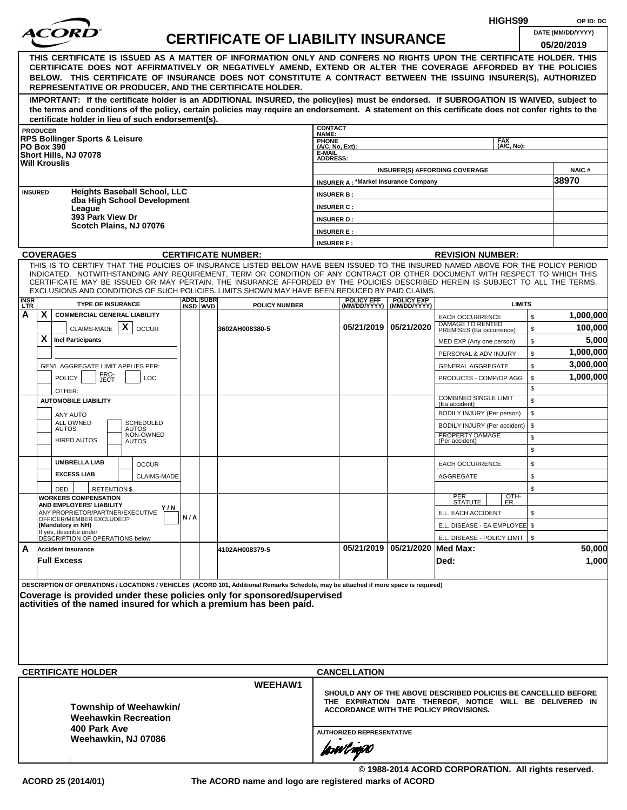|                                                                                                                                                                                                                                                                                                                                                                                                                                                                                                    |       |                              |                                           |                                                       |                                               |                                    | HIGHS99                                                                                                                                                                     |                     | OP ID: DC                       |
|----------------------------------------------------------------------------------------------------------------------------------------------------------------------------------------------------------------------------------------------------------------------------------------------------------------------------------------------------------------------------------------------------------------------------------------------------------------------------------------------------|-------|------------------------------|-------------------------------------------|-------------------------------------------------------|-----------------------------------------------|------------------------------------|-----------------------------------------------------------------------------------------------------------------------------------------------------------------------------|---------------------|---------------------------------|
|                                                                                                                                                                                                                                                                                                                                                                                                                                                                                                    |       |                              | <b>CERTIFICATE OF LIABILITY INSURANCE</b> |                                                       |                                               |                                    |                                                                                                                                                                             |                     | DATE (MM/DD/YYYY)<br>05/20/2019 |
| THIS CERTIFICATE IS ISSUED AS A MATTER OF INFORMATION ONLY AND CONFERS NO RIGHTS UPON THE CERTIFICATE HOLDER. THIS<br>CERTIFICATE DOES NOT AFFIRMATIVELY OR NEGATIVELY AMEND, EXTEND OR ALTER THE COVERAGE AFFORDED BY THE POLICIES<br>BELOW. THIS CERTIFICATE OF INSURANCE DOES NOT CONSTITUTE A CONTRACT BETWEEN THE ISSUING INSURER(S), AUTHORIZED<br>REPRESENTATIVE OR PRODUCER, AND THE CERTIFICATE HOLDER.                                                                                   |       |                              |                                           |                                                       |                                               |                                    |                                                                                                                                                                             |                     |                                 |
| IMPORTANT: If the certificate holder is an ADDITIONAL INSURED, the policy(ies) must be endorsed. If SUBROGATION IS WAIVED, subject to<br>the terms and conditions of the policy, certain policies may require an endorsement. A statement on this certificate does not confer rights to the<br>certificate holder in lieu of such endorsement(s).                                                                                                                                                  |       |                              |                                           |                                                       |                                               |                                    |                                                                                                                                                                             |                     |                                 |
| <b>PRODUCER</b>                                                                                                                                                                                                                                                                                                                                                                                                                                                                                    |       |                              |                                           | <b>CONTACT</b><br><b>NAME:</b>                        |                                               |                                    |                                                                                                                                                                             |                     |                                 |
| <b>RPS Bollinger Sports &amp; Leisure</b><br><b>PO Box 390</b><br>Short Hills, NJ 07078<br><b>Will Krouslis</b>                                                                                                                                                                                                                                                                                                                                                                                    |       |                              |                                           | PHONE<br>(A/C, No, Ext):<br>E-MAIL<br><b>ADDRESS:</b> |                                               |                                    | <b>FAX</b><br>(A/C, No):                                                                                                                                                    |                     |                                 |
|                                                                                                                                                                                                                                                                                                                                                                                                                                                                                                    |       |                              |                                           |                                                       | <b>INSURER A: *Markel Insurance Company</b>   |                                    | <b>INSURER(S) AFFORDING COVERAGE</b>                                                                                                                                        |                     | <b>NAIC#</b><br>38970           |
| <b>Heights Baseball School, LLC</b><br><b>INSURED</b>                                                                                                                                                                                                                                                                                                                                                                                                                                              |       |                              |                                           | <b>INSURER B:</b>                                     |                                               |                                    |                                                                                                                                                                             |                     |                                 |
| dba High School Development<br>League                                                                                                                                                                                                                                                                                                                                                                                                                                                              |       |                              |                                           | <b>INSURER C:</b>                                     |                                               |                                    |                                                                                                                                                                             |                     |                                 |
| 393 Park View Dr<br>Scotch Plains, NJ 07076                                                                                                                                                                                                                                                                                                                                                                                                                                                        |       |                              |                                           | <b>INSURER D:</b>                                     |                                               |                                    |                                                                                                                                                                             |                     |                                 |
|                                                                                                                                                                                                                                                                                                                                                                                                                                                                                                    |       |                              |                                           | <b>INSURER E:</b>                                     |                                               |                                    |                                                                                                                                                                             |                     |                                 |
|                                                                                                                                                                                                                                                                                                                                                                                                                                                                                                    |       |                              |                                           | <b>INSURER F:</b>                                     |                                               |                                    |                                                                                                                                                                             |                     |                                 |
| <b>COVERAGES</b>                                                                                                                                                                                                                                                                                                                                                                                                                                                                                   |       |                              | <b>CERTIFICATE NUMBER:</b>                |                                                       |                                               |                                    | <b>REVISION NUMBER:</b>                                                                                                                                                     |                     |                                 |
| THIS IS TO CERTIFY THAT THE POLICIES OF INSURANCE LISTED BELOW HAVE BEEN ISSUED TO THE INSURED NAMED ABOVE FOR THE POLICY PERIOD<br>INDICATED. NOTWITHSTANDING ANY REQUIREMENT, TERM OR CONDITION OF ANY CONTRACT OR OTHER DOCUMENT WITH RESPECT TO WHICH THIS<br>CERTIFICATE MAY BE ISSUED OR MAY PERTAIN, THE INSURANCE AFFORDED BY THE POLICIES DESCRIBED HEREIN IS SUBJECT TO ALL THE TERMS,<br>EXCLUSIONS AND CONDITIONS OF SUCH POLICIES. LIMITS SHOWN MAY HAVE BEEN REDUCED BY PAID CLAIMS. |       |                              |                                           |                                                       |                                               |                                    |                                                                                                                                                                             |                     |                                 |
| <b>INSR</b><br><b>TYPE OF INSURANCE</b><br><b>LTR</b>                                                                                                                                                                                                                                                                                                                                                                                                                                              |       | <b>ADDL SUBR</b><br>INSD WVD | <b>POLICY NUMBER</b>                      |                                                       | <b>POLICY EFF</b><br>(MM/DD/YYYY)             | <b>POLICY EXP</b><br>(MM/DD/YYYY)  | <b>LIMITS</b>                                                                                                                                                               |                     |                                 |
| A<br>X.<br><b>COMMERCIAL GENERAL LIABILITY</b><br>$\boldsymbol{\mathsf{X}}$<br>CLAIMS-MADE<br><b>OCCUR</b>                                                                                                                                                                                                                                                                                                                                                                                         |       |                              | 3602AH008380-5                            |                                                       |                                               | 05/21/2019   05/21/2020            | <b>EACH OCCURRENCE</b><br>DAMAGE TO RENTED<br>PREMISES (Ea occurrence)                                                                                                      | \$<br>$\mathfrak s$ | 1,000,000<br>100,000            |
| X.<br><b>Incl Participants</b>                                                                                                                                                                                                                                                                                                                                                                                                                                                                     |       |                              |                                           |                                                       |                                               |                                    | MED EXP (Any one person)                                                                                                                                                    | \$                  | 5,000                           |
|                                                                                                                                                                                                                                                                                                                                                                                                                                                                                                    |       |                              |                                           |                                                       |                                               |                                    | PERSONAL & ADV INJURY                                                                                                                                                       | \$                  | 1,000,000                       |
| GEN'L AGGREGATE LIMIT APPLIES PER:                                                                                                                                                                                                                                                                                                                                                                                                                                                                 |       |                              |                                           |                                                       |                                               |                                    | <b>GENERAL AGGREGATE</b>                                                                                                                                                    | \$                  | 3,000,000                       |
| PRO-<br>JECT<br><b>POLICY</b><br>LOC<br>OTHER:                                                                                                                                                                                                                                                                                                                                                                                                                                                     |       |                              |                                           |                                                       |                                               |                                    | PRODUCTS - COMP/OP AGG                                                                                                                                                      | \$<br>\$            | 1,000,000                       |
| <b>AUTOMOBILE LIABILITY</b><br>ANY AUTO                                                                                                                                                                                                                                                                                                                                                                                                                                                            |       |                              |                                           |                                                       |                                               |                                    | <b>COMBINED SINGLE LIMIT</b><br>(Ea accident)<br>BODILY INJURY (Per person)                                                                                                 | \$<br>\$            |                                 |
| ALL OWNED<br><b>SCHEDULED</b><br><b>AUTOS</b><br><b>AUTOS</b><br>NON-OWNED<br><b>HIRED AUTOS</b><br><b>AUTOS</b>                                                                                                                                                                                                                                                                                                                                                                                   |       |                              |                                           |                                                       |                                               |                                    | BODILY INJURY (Per accident)<br>PROPERTY DAMAGE<br>(Per accident)                                                                                                           | \$<br>\$            |                                 |
|                                                                                                                                                                                                                                                                                                                                                                                                                                                                                                    |       |                              |                                           |                                                       |                                               |                                    |                                                                                                                                                                             | \$                  |                                 |
| <b>UMBRELLA LIAB</b><br><b>OCCUR</b><br><b>EXCESS LIAB</b><br>CLAIMS-MADE                                                                                                                                                                                                                                                                                                                                                                                                                          |       |                              |                                           |                                                       |                                               |                                    | <b>EACH OCCURRENCE</b><br>AGGREGATE                                                                                                                                         | \$<br>\$            |                                 |
| <b>RETENTION \$</b><br>DED<br><b>WORKERS COMPENSATION</b>                                                                                                                                                                                                                                                                                                                                                                                                                                          |       |                              |                                           |                                                       |                                               |                                    | OTH-<br>PER<br>STATUTE<br>ER                                                                                                                                                | \$                  |                                 |
| AND EMPLOYERS' LIABILITY<br>ANY PROPRIETOR/PARTNER/EXECUTIVE                                                                                                                                                                                                                                                                                                                                                                                                                                       | Y / N |                              |                                           |                                                       |                                               |                                    | E.L. EACH ACCIDENT                                                                                                                                                          | \$                  |                                 |
| OFFICER/MEMBER EXCLUDED?<br>(Mandatory in NH)                                                                                                                                                                                                                                                                                                                                                                                                                                                      | N/A   |                              |                                           |                                                       |                                               |                                    | E.L. DISEASE - EA EMPLOYEE \$                                                                                                                                               |                     |                                 |
| If yes, describe under<br>DÉSCRIPTION OF OPERATIONS below                                                                                                                                                                                                                                                                                                                                                                                                                                          |       |                              |                                           |                                                       |                                               |                                    | E.L. DISEASE - POLICY LIMIT   \$                                                                                                                                            |                     |                                 |
| A<br><b>Accident Insurance</b><br><b>Full Excess</b>                                                                                                                                                                                                                                                                                                                                                                                                                                               |       |                              | 4102AH008379-5                            |                                                       |                                               | 05/21/2019   05/21/2020   Med Max: | Ded:                                                                                                                                                                        |                     | 50,000<br>1,000                 |
| DESCRIPTION OF OPERATIONS / LOCATIONS / VEHICLES (ACORD 101, Additional Remarks Schedule, may be attached if more space is required)<br>Coverage is provided under these policies only for sponsored/supervised<br>activities of the named insured for which a premium has been paid.                                                                                                                                                                                                              |       |                              |                                           |                                                       |                                               |                                    |                                                                                                                                                                             |                     |                                 |
| <b>CERTIFICATE HOLDER</b>                                                                                                                                                                                                                                                                                                                                                                                                                                                                          |       |                              |                                           |                                                       | <b>CANCELLATION</b>                           |                                    |                                                                                                                                                                             |                     |                                 |
| Township of Weehawkin/<br><b>Weehawkin Recreation</b><br>400 Park Ave                                                                                                                                                                                                                                                                                                                                                                                                                              |       |                              | <b>WEEHAW1</b>                            |                                                       |                                               |                                    | SHOULD ANY OF THE ABOVE DESCRIBED POLICIES BE CANCELLED BEFORE<br>THE EXPIRATION DATE THEREOF, NOTICE WILL BE DELIVERED IN<br><b>ACCORDANCE WITH THE POLICY PROVISIONS.</b> |                     |                                 |
| Weehawkin, NJ 07086                                                                                                                                                                                                                                                                                                                                                                                                                                                                                |       |                              |                                           |                                                       | <b>AUTHORIZED REPRESENTATIVE</b><br>forwingso |                                    |                                                                                                                                                                             |                     |                                 |

**© 1988-2014 ACORD CORPORATION. All rights reserved.**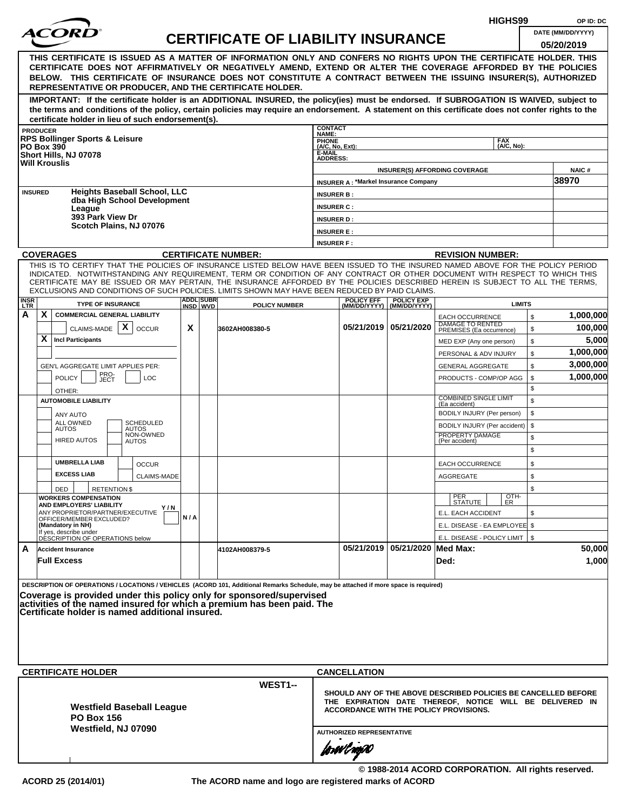|                           |                                                                                                                                                                                                                                                                                                                                                                                                                                                                                                    |                                                     |                              |                                           |                                                       |                                             |                                                  | HIGHS99                                                                                                                                                              |                | OP ID: DC                       |
|---------------------------|----------------------------------------------------------------------------------------------------------------------------------------------------------------------------------------------------------------------------------------------------------------------------------------------------------------------------------------------------------------------------------------------------------------------------------------------------------------------------------------------------|-----------------------------------------------------|------------------------------|-------------------------------------------|-------------------------------------------------------|---------------------------------------------|--------------------------------------------------|----------------------------------------------------------------------------------------------------------------------------------------------------------------------|----------------|---------------------------------|
|                           |                                                                                                                                                                                                                                                                                                                                                                                                                                                                                                    |                                                     |                              | <b>CERTIFICATE OF LIABILITY INSURANCE</b> |                                                       |                                             |                                                  |                                                                                                                                                                      |                | DATE (MM/DD/YYYY)<br>05/20/2019 |
|                           | THIS CERTIFICATE IS ISSUED AS A MATTER OF INFORMATION ONLY AND CONFERS NO RIGHTS UPON THE CERTIFICATE HOLDER. THIS<br>CERTIFICATE DOES NOT AFFIRMATIVELY OR NEGATIVELY AMEND, EXTEND OR ALTER THE COVERAGE AFFORDED BY THE POLICIES<br>BELOW. THIS CERTIFICATE OF INSURANCE DOES NOT CONSTITUTE A CONTRACT BETWEEN THE ISSUING INSURER(S), AUTHORIZED<br>REPRESENTATIVE OR PRODUCER, AND THE CERTIFICATE HOLDER.                                                                                   |                                                     |                              |                                           |                                                       |                                             |                                                  |                                                                                                                                                                      |                |                                 |
|                           | IMPORTANT: If the certificate holder is an ADDITIONAL INSURED, the policy(ies) must be endorsed. If SUBROGATION IS WAIVED, subject to<br>the terms and conditions of the policy, certain policies may require an endorsement. A statement on this certificate does not confer rights to the<br>certificate holder in lieu of such endorsement(s).                                                                                                                                                  |                                                     |                              |                                           |                                                       |                                             |                                                  |                                                                                                                                                                      |                |                                 |
|                           | <b>PRODUCER</b>                                                                                                                                                                                                                                                                                                                                                                                                                                                                                    |                                                     |                              |                                           | <b>CONTACT</b><br>NAME:                               |                                             |                                                  |                                                                                                                                                                      |                |                                 |
|                           | <b>RPS Bollinger Sports &amp; Leisure</b><br><b>PO Box 390</b><br>Short Hills, NJ 07078<br><b>Will Krouslis</b>                                                                                                                                                                                                                                                                                                                                                                                    |                                                     |                              |                                           | PHONE<br>(A/C, No, Ext):<br>E-MAIL<br><b>ADDRESS:</b> |                                             |                                                  | <b>FAX</b><br>(A/C, No):                                                                                                                                             |                |                                 |
|                           |                                                                                                                                                                                                                                                                                                                                                                                                                                                                                                    |                                                     |                              |                                           |                                                       | <b>INSURER A: *Markel Insurance Company</b> |                                                  | <b>INSURER(S) AFFORDING COVERAGE</b>                                                                                                                                 |                | NAIC#<br>38970                  |
|                           | <b>Heights Baseball School, LLC</b><br><b>INSURED</b><br>dba High School Development                                                                                                                                                                                                                                                                                                                                                                                                               |                                                     |                              |                                           | <b>INSURER B:</b>                                     |                                             |                                                  |                                                                                                                                                                      |                |                                 |
|                           | League<br>393 Park View Dr                                                                                                                                                                                                                                                                                                                                                                                                                                                                         |                                                     |                              |                                           | <b>INSURER C:</b>                                     |                                             |                                                  |                                                                                                                                                                      |                |                                 |
|                           | Scotch Plains, NJ 07076                                                                                                                                                                                                                                                                                                                                                                                                                                                                            |                                                     |                              |                                           | <b>INSURER D:</b><br><b>INSURER E:</b>                |                                             |                                                  |                                                                                                                                                                      |                |                                 |
|                           |                                                                                                                                                                                                                                                                                                                                                                                                                                                                                                    |                                                     |                              |                                           | <b>INSURER F:</b>                                     |                                             |                                                  |                                                                                                                                                                      |                |                                 |
|                           | <b>COVERAGES</b>                                                                                                                                                                                                                                                                                                                                                                                                                                                                                   |                                                     |                              | <b>CERTIFICATE NUMBER:</b>                |                                                       |                                             |                                                  | <b>REVISION NUMBER:</b>                                                                                                                                              |                |                                 |
|                           | THIS IS TO CERTIFY THAT THE POLICIES OF INSURANCE LISTED BELOW HAVE BEEN ISSUED TO THE INSURED NAMED ABOVE FOR THE POLICY PERIOD<br>INDICATED. NOTWITHSTANDING ANY REQUIREMENT, TERM OR CONDITION OF ANY CONTRACT OR OTHER DOCUMENT WITH RESPECT TO WHICH THIS<br>CERTIFICATE MAY BE ISSUED OR MAY PERTAIN, THE INSURANCE AFFORDED BY THE POLICIES DESCRIBED HEREIN IS SUBJECT TO ALL THE TERMS,<br>EXCLUSIONS AND CONDITIONS OF SUCH POLICIES. LIMITS SHOWN MAY HAVE BEEN REDUCED BY PAID CLAIMS. |                                                     |                              |                                           |                                                       |                                             |                                                  |                                                                                                                                                                      |                |                                 |
| <b>INSR</b><br><b>LTR</b> | <b>TYPE OF INSURANCE</b>                                                                                                                                                                                                                                                                                                                                                                                                                                                                           |                                                     | <b>ADDL SUBR</b><br>INSD WVD | <b>POLICY NUMBER</b>                      |                                                       | <b>POLICY EFF</b>                           | <b>POLICY EXP</b><br>(MM/DD/YYYY)   (MM/DD/YYYY) | <b>LIMITS</b>                                                                                                                                                        |                |                                 |
| A                         | X<br><b>COMMERCIAL GENERAL LIABILITY</b>                                                                                                                                                                                                                                                                                                                                                                                                                                                           |                                                     |                              |                                           |                                                       |                                             |                                                  | <b>EACH OCCURRENCE</b><br>DAMAGE TO RENTED                                                                                                                           | $$\mathbb{S}$$ | 1,000,000                       |
|                           | X<br>CLAIMS-MADE<br><b>OCCUR</b>                                                                                                                                                                                                                                                                                                                                                                                                                                                                   | X                                                   |                              | 3602AH008380-5                            |                                                       | 05/21/2019 05/21/2020                       |                                                  | PREMISES (Ea occurrence)                                                                                                                                             | \$             | 100,000                         |
|                           | X<br><b>Incl Participants</b>                                                                                                                                                                                                                                                                                                                                                                                                                                                                      |                                                     |                              |                                           |                                                       |                                             |                                                  | MED EXP (Any one person)                                                                                                                                             | \$             | 5,000<br>1,000,000              |
|                           |                                                                                                                                                                                                                                                                                                                                                                                                                                                                                                    |                                                     |                              |                                           |                                                       |                                             |                                                  | PERSONAL & ADV INJURY                                                                                                                                                | \$<br>\$       | 3,000,000                       |
|                           | GEN'L AGGREGATE LIMIT APPLIES PER:<br>PRO-<br><b>POLICY</b><br>LOC                                                                                                                                                                                                                                                                                                                                                                                                                                 |                                                     |                              |                                           |                                                       |                                             |                                                  | <b>GENERAL AGGREGATE</b><br>PRODUCTS - COMP/OP AGG                                                                                                                   | \$             | 1,000,000                       |
|                           | JECT<br>OTHER:                                                                                                                                                                                                                                                                                                                                                                                                                                                                                     |                                                     |                              |                                           |                                                       |                                             |                                                  |                                                                                                                                                                      | \$             |                                 |
|                           | <b>AUTOMOBILE LIABILITY</b>                                                                                                                                                                                                                                                                                                                                                                                                                                                                        | <b>COMBINED SINGLE LIMIT</b><br>\$<br>(Ea accident) |                              |                                           |                                                       |                                             |                                                  |                                                                                                                                                                      |                |                                 |
|                           | <b>ANY AUTO</b>                                                                                                                                                                                                                                                                                                                                                                                                                                                                                    |                                                     |                              |                                           |                                                       |                                             |                                                  | BODILY INJURY (Per person)                                                                                                                                           | \$             |                                 |
|                           | ALL OWNED<br>SCHEDULED<br><b>AUTOS</b><br><b>AUTOS</b>                                                                                                                                                                                                                                                                                                                                                                                                                                             |                                                     |                              |                                           |                                                       |                                             |                                                  | BODILY INJURY (Per accident)                                                                                                                                         | \$             |                                 |
|                           | NON-OWNED<br><b>HIRED AUTOS</b><br><b>AUTOS</b>                                                                                                                                                                                                                                                                                                                                                                                                                                                    |                                                     |                              |                                           |                                                       |                                             |                                                  | PROPERTY DAMAGE<br>(Per accident)                                                                                                                                    | \$<br>\$       |                                 |
|                           | <b>UMBRELLA LIAB</b><br><b>OCCUR</b>                                                                                                                                                                                                                                                                                                                                                                                                                                                               |                                                     |                              |                                           |                                                       |                                             |                                                  | <b>EACH OCCURRENCE</b>                                                                                                                                               | \$             |                                 |
|                           | <b>EXCESS LIAB</b><br><b>CLAIMS-MADE</b>                                                                                                                                                                                                                                                                                                                                                                                                                                                           |                                                     |                              |                                           |                                                       |                                             |                                                  | <b>AGGREGATE</b>                                                                                                                                                     | \$             |                                 |
|                           | <b>RETENTION \$</b><br>DED                                                                                                                                                                                                                                                                                                                                                                                                                                                                         |                                                     |                              |                                           |                                                       |                                             |                                                  | OTH-<br>PER                                                                                                                                                          | \$             |                                 |
|                           | <b>WORKERS COMPENSATION</b><br>AND EMPLOYERS' LIABILITY<br>Y/N                                                                                                                                                                                                                                                                                                                                                                                                                                     |                                                     |                              |                                           |                                                       |                                             |                                                  | <b>STATUTE</b><br>ER.                                                                                                                                                |                |                                 |
|                           | ANY PROPRIETOR/PARTNER/EXECUTIVE<br>OFFICER/MEMBER EXCLUDED?                                                                                                                                                                                                                                                                                                                                                                                                                                       | N/A                                                 |                              |                                           |                                                       |                                             |                                                  | E.L. EACH ACCIDENT                                                                                                                                                   | \$             |                                 |
|                           | (Mandatory in NH)<br>If yes, describe under<br>DESCRIPTION OF OPERATIONS below                                                                                                                                                                                                                                                                                                                                                                                                                     |                                                     |                              |                                           |                                                       |                                             |                                                  | E.L. DISEASE - EA EMPLOYEE \$                                                                                                                                        |                |                                 |
| A                         | <b>Accident Insurance</b>                                                                                                                                                                                                                                                                                                                                                                                                                                                                          |                                                     |                              | 4102AH008379-5                            |                                                       |                                             | 05/21/2019 05/21/2020 Med Max:                   | E.L. DISEASE - POLICY LIMIT   \$                                                                                                                                     |                | 50,000                          |
|                           | <b>Full Excess</b>                                                                                                                                                                                                                                                                                                                                                                                                                                                                                 |                                                     |                              |                                           |                                                       |                                             |                                                  | Ded:                                                                                                                                                                 |                | 1,000                           |
|                           | DESCRIPTION OF OPERATIONS / LOCATIONS / VEHICLES (ACORD 101, Additional Remarks Schedule, may be attached if more space is required)<br>Coverage is provided under this policy only for sponsored/supervised<br>activities of the named insured for which a premium has been paid. The<br>Certificate holder is named additional insured.                                                                                                                                                          |                                                     |                              |                                           |                                                       |                                             |                                                  |                                                                                                                                                                      |                |                                 |
|                           | <b>CERTIFICATE HOLDER</b>                                                                                                                                                                                                                                                                                                                                                                                                                                                                          |                                                     |                              |                                           |                                                       | <b>CANCELLATION</b>                         |                                                  |                                                                                                                                                                      |                |                                 |
|                           | <b>Westfield Baseball League</b><br><b>PO Box 156</b><br>Westfield, NJ 07090                                                                                                                                                                                                                                                                                                                                                                                                                       |                                                     |                              | WEST1--                                   |                                                       | <b>AUTHORIZED REPRESENTATIVE</b>            |                                                  | SHOULD ANY OF THE ABOVE DESCRIBED POLICIES BE CANCELLED BEFORE<br>THE EXPIRATION DATE THEREOF, NOTICE WILL BE DELIVERED IN<br>ACCORDANCE WITH THE POLICY PROVISIONS. |                |                                 |
|                           |                                                                                                                                                                                                                                                                                                                                                                                                                                                                                                    |                                                     |                              |                                           |                                                       | forwil nopO                                 |                                                  |                                                                                                                                                                      |                |                                 |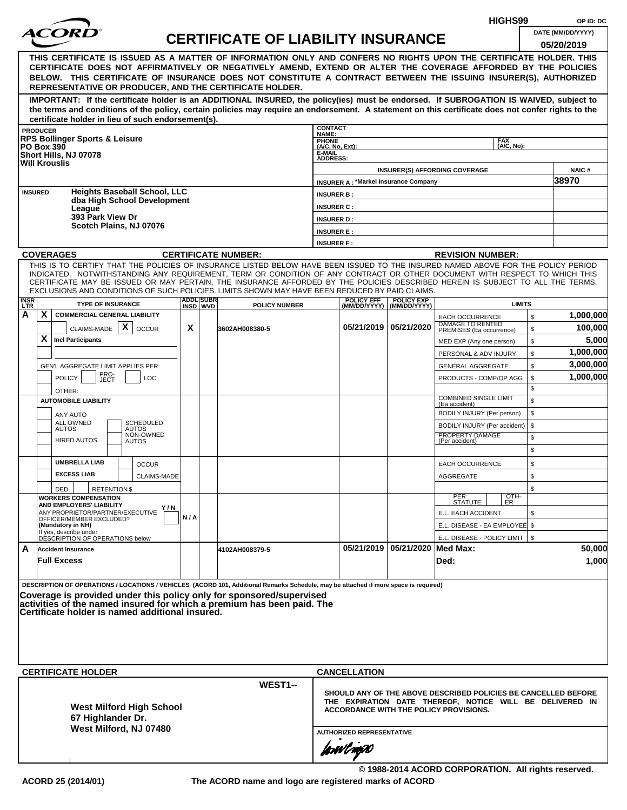|                    |                                                                                                                                                                                                                                                              |     |                   |                                           |                                  |                                             |                                                  |                                                                                                           | HIGHS99            |              | OP ID: DC              |
|--------------------|--------------------------------------------------------------------------------------------------------------------------------------------------------------------------------------------------------------------------------------------------------------|-----|-------------------|-------------------------------------------|----------------------------------|---------------------------------------------|--------------------------------------------------|-----------------------------------------------------------------------------------------------------------|--------------------|--------------|------------------------|
|                    |                                                                                                                                                                                                                                                              |     |                   | <b>CERTIFICATE OF LIABILITY INSURANCE</b> |                                  |                                             |                                                  |                                                                                                           |                    |              | DATE (MM/DD/YYYY)      |
|                    |                                                                                                                                                                                                                                                              |     |                   |                                           |                                  |                                             |                                                  |                                                                                                           |                    |              | 05/20/2019             |
|                    | THIS CERTIFICATE IS ISSUED AS A MATTER OF INFORMATION ONLY AND CONFERS NO RIGHTS UPON THE CERTIFICATE HOLDER. THIS<br>CERTIFICATE DOES NOT AFFIRMATIVELY OR NEGATIVELY AMEND, EXTEND OR ALTER THE COVERAGE AFFORDED BY THE POLICIES                          |     |                   |                                           |                                  |                                             |                                                  |                                                                                                           |                    |              |                        |
|                    | BELOW. THIS CERTIFICATE OF INSURANCE DOES NOT CONSTITUTE A CONTRACT BETWEEN THE ISSUING INSURER(S), AUTHORIZED                                                                                                                                               |     |                   |                                           |                                  |                                             |                                                  |                                                                                                           |                    |              |                        |
|                    | REPRESENTATIVE OR PRODUCER, AND THE CERTIFICATE HOLDER.                                                                                                                                                                                                      |     |                   |                                           |                                  |                                             |                                                  |                                                                                                           |                    |              |                        |
|                    | IMPORTANT: If the certificate holder is an ADDITIONAL INSURED, the policy(ies) must be endorsed. If SUBROGATION IS WAIVED, subject to                                                                                                                        |     |                   |                                           |                                  |                                             |                                                  |                                                                                                           |                    |              |                        |
|                    | the terms and conditions of the policy, certain policies may require an endorsement. A statement on this certificate does not confer rights to the                                                                                                           |     |                   |                                           |                                  |                                             |                                                  |                                                                                                           |                    |              |                        |
|                    | certificate holder in lieu of such endorsement(s).<br><b>PRODUCER</b>                                                                                                                                                                                        |     |                   |                                           | <b>CONTACT</b>                   |                                             |                                                  |                                                                                                           |                    |              |                        |
|                    | <b>RPS Bollinger Sports &amp; Leisure</b>                                                                                                                                                                                                                    |     |                   |                                           | NAME:<br><b>PHONE</b>            |                                             |                                                  |                                                                                                           | <b>FAX</b>         |              |                        |
|                    | <b>PO Box 390</b><br>Short Hills, NJ 07078                                                                                                                                                                                                                   |     |                   |                                           | (A/C, No, Ext):<br>E-MAIL        |                                             |                                                  |                                                                                                           | (A/C. No):         |              |                        |
|                    | <b>Will Krouslis</b>                                                                                                                                                                                                                                         |     |                   |                                           | <b>ADDRESS:</b>                  |                                             |                                                  |                                                                                                           |                    |              |                        |
|                    |                                                                                                                                                                                                                                                              |     |                   |                                           |                                  | <b>INSURER A: *Markel Insurance Company</b> |                                                  | <b>INSURER(S) AFFORDING COVERAGE</b>                                                                      |                    |              | <b>NAIC#</b><br>38970  |
|                    | <b>Heights Baseball School, LLC</b><br><b>INSURED</b>                                                                                                                                                                                                        |     |                   |                                           | <b>INSURER B:</b>                |                                             |                                                  |                                                                                                           |                    |              |                        |
|                    | dba High School Development                                                                                                                                                                                                                                  |     |                   |                                           | <b>INSURER C:</b>                |                                             |                                                  |                                                                                                           |                    |              |                        |
|                    | League<br>393 Park View Dr                                                                                                                                                                                                                                   |     |                   |                                           | <b>INSURER D:</b>                |                                             |                                                  |                                                                                                           |                    |              |                        |
|                    | Scotch Plains, NJ 07076                                                                                                                                                                                                                                      |     |                   |                                           | <b>INSURER E:</b>                |                                             |                                                  |                                                                                                           |                    |              |                        |
|                    |                                                                                                                                                                                                                                                              |     |                   |                                           | <b>INSURER F:</b>                |                                             |                                                  |                                                                                                           |                    |              |                        |
|                    | <b>COVERAGES</b>                                                                                                                                                                                                                                             |     |                   | <b>CERTIFICATE NUMBER:</b>                |                                  |                                             |                                                  | <b>REVISION NUMBER:</b>                                                                                   |                    |              |                        |
|                    | THIS IS TO CERTIFY THAT THE POLICIES OF INSURANCE LISTED BELOW HAVE BEEN ISSUED TO THE INSURED NAMED ABOVE FOR THE POLICY PERIOD                                                                                                                             |     |                   |                                           |                                  |                                             |                                                  |                                                                                                           |                    |              |                        |
|                    | INDICATED. NOTWITHSTANDING ANY REQUIREMENT, TERM OR CONDITION OF ANY CONTRACT OR OTHER DOCUMENT WITH RESPECT TO WHICH THIS<br>CERTIFICATE MAY BE ISSUED OR MAY PERTAIN, THE INSURANCE AFFORDED BY THE POLICIES DESCRIBED HEREIN IS SUBJECT TO ALL THE TERMS. |     |                   |                                           |                                  |                                             |                                                  |                                                                                                           |                    |              |                        |
|                    | EXCLUSIONS AND CONDITIONS OF SUCH POLICIES. LIMITS SHOWN MAY HAVE BEEN REDUCED BY PAID CLAIMS.                                                                                                                                                               |     | <b>ADDLISUBRI</b> |                                           |                                  |                                             |                                                  |                                                                                                           |                    |              |                        |
| <b>INSR</b><br>LTR | <b>TYPE OF INSURANCE</b>                                                                                                                                                                                                                                     |     | INSD WVD          | <b>POLICY NUMBER</b>                      |                                  | <b>POLICY EFF</b>                           | <b>POLICY EXP</b><br>(MM/DD/YYYY)   (MM/DD/YYYY) |                                                                                                           | <b>LIMITS</b>      |              |                        |
| А                  | X<br><b>COMMERCIAL GENERAL LIABILITY</b>                                                                                                                                                                                                                     |     |                   |                                           |                                  |                                             |                                                  | <b>EACH OCCURRENCE</b><br>DAMAGE TO RENTED                                                                |                    | $\mathbb{S}$ | 1,000,000              |
|                    | CLAIMS-MADE $\mathbf{X}$<br><b>OCCUR</b>                                                                                                                                                                                                                     | X   |                   | 3602AH008380-5                            |                                  |                                             | 05/21/2019   05/21/2020                          | PREMISES (Ea occurrence)                                                                                  |                    | \$           | 100,000                |
|                    | X<br><b>Incl Participants</b>                                                                                                                                                                                                                                |     |                   |                                           |                                  |                                             |                                                  | MED EXP (Any one person)                                                                                  |                    | \$           | 5,000                  |
|                    |                                                                                                                                                                                                                                                              |     |                   |                                           |                                  |                                             |                                                  | PERSONAL & ADV INJURY                                                                                     |                    | \$           | 1,000,000              |
|                    | GEN'L AGGREGATE LIMIT APPLIES PER:<br>PRO-<br>JECT                                                                                                                                                                                                           |     |                   |                                           |                                  |                                             |                                                  | <b>GENERAL AGGREGATE</b>                                                                                  |                    | \$           | 3,000,000<br>1,000,000 |
|                    | <b>POLICY</b><br><b>LOC</b>                                                                                                                                                                                                                                  |     |                   |                                           |                                  |                                             |                                                  | PRODUCTS - COMP/OP AGG                                                                                    |                    | \$<br>\$     |                        |
|                    | OTHER:<br><b>AUTOMOBILE LIABILITY</b>                                                                                                                                                                                                                        |     |                   |                                           |                                  |                                             |                                                  | <b>COMBINED SINGLE LIMIT</b>                                                                              |                    | \$           |                        |
|                    | ANY AUTO                                                                                                                                                                                                                                                     |     |                   |                                           |                                  |                                             |                                                  | (Ea accident)<br>BODILY INJURY (Per person)                                                               |                    | \$           |                        |
|                    | ALL OWNED<br>SCHEDULED                                                                                                                                                                                                                                       |     |                   |                                           |                                  |                                             |                                                  | BODILY INJURY (Per accident)                                                                              |                    | \$           |                        |
|                    | <b>AUTOS</b><br><b>AUTOS</b><br>NON-OWNED<br><b>HIRED AUTOS</b><br><b>AUTOS</b>                                                                                                                                                                              |     |                   |                                           |                                  |                                             |                                                  | PROPERTY DAMAGE<br>(Per accident)                                                                         |                    | \$           |                        |
|                    |                                                                                                                                                                                                                                                              |     |                   |                                           |                                  |                                             |                                                  |                                                                                                           |                    | \$           |                        |
|                    | <b>UMBRELLA LIAB</b><br><b>OCCUR</b>                                                                                                                                                                                                                         |     |                   |                                           |                                  |                                             |                                                  | <b>EACH OCCURRENCE</b>                                                                                    |                    | \$           |                        |
|                    | <b>EXCESS LIAB</b><br><b>CLAIMS-MADE</b>                                                                                                                                                                                                                     |     |                   |                                           |                                  |                                             |                                                  | <b>AGGREGATE</b>                                                                                          |                    | \$           |                        |
|                    | <b>RETENTION \$</b><br>DED                                                                                                                                                                                                                                   |     |                   |                                           |                                  |                                             |                                                  |                                                                                                           |                    | \$           |                        |
|                    | <b>WORKERS COMPENSATION</b><br>AND EMPLOYERS' LIABILITY                                                                                                                                                                                                      |     |                   |                                           |                                  |                                             |                                                  | PER<br>STATUTE                                                                                            | $\frac{[OTH]}{ER}$ |              |                        |
|                    | Y / N<br>ANY PROPRIETOR/PARTNER/EXECUTIVE<br>OFFICER/MEMBER EXCLUDED?                                                                                                                                                                                        | N/A |                   |                                           |                                  |                                             |                                                  | E.L. EACH ACCIDENT                                                                                        |                    | \$           |                        |
|                    | (Mandatory in NH)                                                                                                                                                                                                                                            |     |                   |                                           |                                  |                                             |                                                  | E.L. DISEASE - EA EMPLOYEE \$                                                                             |                    |              |                        |
|                    | If yes, describe under<br>DESCRIPTION OF OPERATIONS below                                                                                                                                                                                                    |     |                   |                                           |                                  |                                             |                                                  | E.L. DISEASE - POLICY LIMIT   \$                                                                          |                    |              |                        |
| A                  | <b>Accident Insurance</b>                                                                                                                                                                                                                                    |     |                   | 4102AH008379-5                            |                                  |                                             | 05/21/2019   05/21/2020   Med Max:               |                                                                                                           |                    |              | 50,000                 |
|                    | <b>Full Excess</b>                                                                                                                                                                                                                                           |     |                   |                                           |                                  |                                             |                                                  | Ded:                                                                                                      |                    |              | 1,000                  |
|                    |                                                                                                                                                                                                                                                              |     |                   |                                           |                                  |                                             |                                                  |                                                                                                           |                    |              |                        |
|                    | DESCRIPTION OF OPERATIONS / LOCATIONS / VEHICLES (ACORD 101, Additional Remarks Schedule, may be attached if more space is required)                                                                                                                         |     |                   |                                           |                                  |                                             |                                                  |                                                                                                           |                    |              |                        |
|                    | Coverage is provided under this policy only for sponsored/supervised<br>activities of the named insured for which a premium has been paid. The                                                                                                               |     |                   |                                           |                                  |                                             |                                                  |                                                                                                           |                    |              |                        |
|                    | Certificate holder is named additional insured.                                                                                                                                                                                                              |     |                   |                                           |                                  |                                             |                                                  |                                                                                                           |                    |              |                        |
|                    |                                                                                                                                                                                                                                                              |     |                   |                                           |                                  |                                             |                                                  |                                                                                                           |                    |              |                        |
|                    |                                                                                                                                                                                                                                                              |     |                   |                                           |                                  |                                             |                                                  |                                                                                                           |                    |              |                        |
|                    |                                                                                                                                                                                                                                                              |     |                   |                                           |                                  |                                             |                                                  |                                                                                                           |                    |              |                        |
|                    | <b>CERTIFICATE HOLDER</b>                                                                                                                                                                                                                                    |     |                   |                                           |                                  | <b>CANCELLATION</b>                         |                                                  |                                                                                                           |                    |              |                        |
|                    |                                                                                                                                                                                                                                                              |     |                   | WEST1--                                   |                                  |                                             |                                                  |                                                                                                           |                    |              |                        |
|                    |                                                                                                                                                                                                                                                              |     |                   |                                           |                                  |                                             |                                                  | SHOULD ANY OF THE ABOVE DESCRIBED POLICIES BE CANCELLED BEFORE                                            |                    |              |                        |
|                    | <b>West Milford High School</b>                                                                                                                                                                                                                              |     |                   |                                           |                                  |                                             |                                                  | THE EXPIRATION DATE THEREOF, NOTICE WILL BE DELIVERED IN<br><b>ACCORDANCE WITH THE POLICY PROVISIONS.</b> |                    |              |                        |
|                    | 67 Highlander Dr.                                                                                                                                                                                                                                            |     |                   |                                           |                                  |                                             |                                                  |                                                                                                           |                    |              |                        |
|                    | West Milford, NJ 07480                                                                                                                                                                                                                                       |     |                   |                                           | <b>AUTHORIZED REPRESENTATIVE</b> |                                             |                                                  |                                                                                                           |                    |              |                        |
|                    |                                                                                                                                                                                                                                                              |     |                   |                                           |                                  | forwil nopO                                 |                                                  |                                                                                                           |                    |              |                        |
|                    |                                                                                                                                                                                                                                                              |     |                   |                                           |                                  |                                             |                                                  |                                                                                                           |                    |              |                        |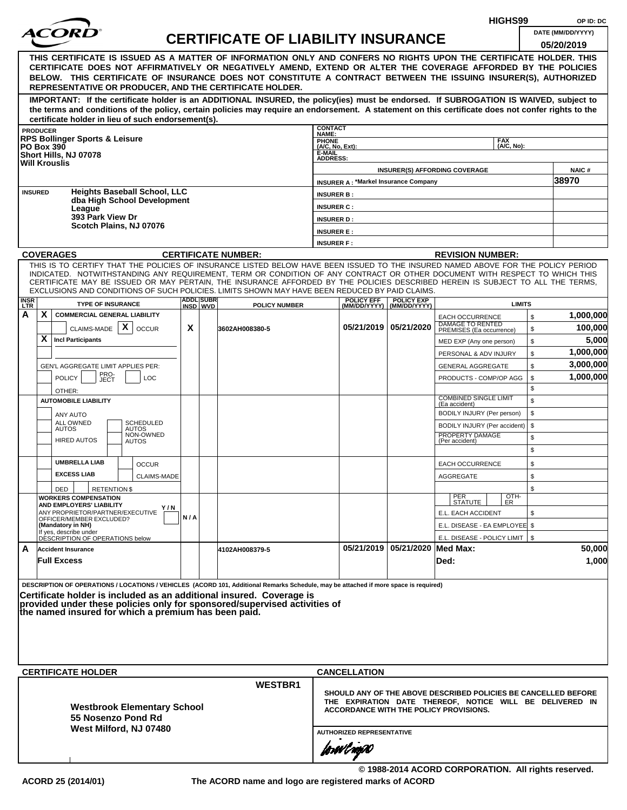|                    |                   |                                                                                                                                                                                                                                                              |     |                              |                                           |                                        |                                             |                                                |                                                                | HIGHS99            |          | OP ID: DC             |
|--------------------|-------------------|--------------------------------------------------------------------------------------------------------------------------------------------------------------------------------------------------------------------------------------------------------------|-----|------------------------------|-------------------------------------------|----------------------------------------|---------------------------------------------|------------------------------------------------|----------------------------------------------------------------|--------------------|----------|-----------------------|
|                    |                   | <i>ACOR</i>                                                                                                                                                                                                                                                  |     |                              | <b>CERTIFICATE OF LIABILITY INSURANCE</b> |                                        |                                             |                                                |                                                                |                    |          | DATE (MM/DD/YYYY)     |
|                    |                   |                                                                                                                                                                                                                                                              |     |                              |                                           |                                        |                                             |                                                |                                                                |                    |          | 05/20/2019            |
|                    |                   | THIS CERTIFICATE IS ISSUED AS A MATTER OF INFORMATION ONLY AND CONFERS NO RIGHTS UPON THE CERTIFICATE HOLDER. THIS                                                                                                                                           |     |                              |                                           |                                        |                                             |                                                |                                                                |                    |          |                       |
|                    |                   | CERTIFICATE DOES NOT AFFIRMATIVELY OR NEGATIVELY AMEND, EXTEND OR ALTER THE COVERAGE AFFORDED BY THE POLICIES<br>BELOW. THIS CERTIFICATE OF INSURANCE DOES NOT CONSTITUTE A CONTRACT BETWEEN THE ISSUING INSURER(S), AUTHORIZED                              |     |                              |                                           |                                        |                                             |                                                |                                                                |                    |          |                       |
|                    |                   | REPRESENTATIVE OR PRODUCER, AND THE CERTIFICATE HOLDER.                                                                                                                                                                                                      |     |                              |                                           |                                        |                                             |                                                |                                                                |                    |          |                       |
|                    |                   | IMPORTANT: If the certificate holder is an ADDITIONAL INSURED, the policy(ies) must be endorsed. If SUBROGATION IS WAIVED, subject to                                                                                                                        |     |                              |                                           |                                        |                                             |                                                |                                                                |                    |          |                       |
|                    |                   | the terms and conditions of the policy, certain policies may require an endorsement. A statement on this certificate does not confer rights to the                                                                                                           |     |                              |                                           |                                        |                                             |                                                |                                                                |                    |          |                       |
|                    | <b>PRODUCER</b>   | certificate holder in lieu of such endorsement(s).                                                                                                                                                                                                           |     |                              |                                           | <b>CONTACT</b>                         |                                             |                                                |                                                                |                    |          |                       |
|                    |                   | <b>RPS Bollinger Sports &amp; Leisure</b>                                                                                                                                                                                                                    |     |                              |                                           | NAME:                                  |                                             |                                                |                                                                | <b>FAX</b>         |          |                       |
|                    | <b>PO Box 390</b> | Short Hills, NJ 07078                                                                                                                                                                                                                                        |     |                              |                                           | PHONE<br>(A/C, No, Ext):<br>E-MAIL     |                                             |                                                |                                                                | (A/C, No):         |          |                       |
|                    |                   | <b>Will Krouslis</b>                                                                                                                                                                                                                                         |     |                              |                                           | <b>ADDRESS:</b>                        |                                             |                                                |                                                                |                    |          |                       |
|                    |                   |                                                                                                                                                                                                                                                              |     |                              |                                           |                                        | <b>INSURER A: *Markel Insurance Company</b> |                                                | <b>INSURER(S) AFFORDING COVERAGE</b>                           |                    |          | <b>NAIC#</b><br>38970 |
| <b>INSURED</b>     |                   | <b>Heights Baseball School, LLC</b>                                                                                                                                                                                                                          |     |                              |                                           | <b>INSURER B:</b>                      |                                             |                                                |                                                                |                    |          |                       |
|                    |                   | dba High School Development                                                                                                                                                                                                                                  |     |                              |                                           | <b>INSURER C:</b>                      |                                             |                                                |                                                                |                    |          |                       |
|                    |                   | League<br>393 Park View Dr                                                                                                                                                                                                                                   |     |                              |                                           | <b>INSURER D:</b>                      |                                             |                                                |                                                                |                    |          |                       |
|                    |                   | Scotch Plains, NJ 07076                                                                                                                                                                                                                                      |     |                              |                                           | <b>INSURER E:</b>                      |                                             |                                                |                                                                |                    |          |                       |
|                    |                   |                                                                                                                                                                                                                                                              |     |                              |                                           | <b>INSURER F:</b>                      |                                             |                                                |                                                                |                    |          |                       |
|                    |                   | <b>COVERAGES</b>                                                                                                                                                                                                                                             |     |                              | <b>CERTIFICATE NUMBER:</b>                |                                        |                                             |                                                | <b>REVISION NUMBER:</b>                                        |                    |          |                       |
|                    |                   | THIS IS TO CERTIFY THAT THE POLICIES OF INSURANCE LISTED BELOW HAVE BEEN ISSUED TO THE INSURED NAMED ABOVE FOR THE POLICY PERIOD                                                                                                                             |     |                              |                                           |                                        |                                             |                                                |                                                                |                    |          |                       |
|                    |                   | INDICATED. NOTWITHSTANDING ANY REQUIREMENT, TERM OR CONDITION OF ANY CONTRACT OR OTHER DOCUMENT WITH RESPECT TO WHICH THIS<br>CERTIFICATE MAY BE ISSUED OR MAY PERTAIN, THE INSURANCE AFFORDED BY THE POLICIES DESCRIBED HEREIN IS SUBJECT TO ALL THE TERMS. |     |                              |                                           |                                        |                                             |                                                |                                                                |                    |          |                       |
|                    |                   | EXCLUSIONS AND CONDITIONS OF SUCH POLICIES. LIMITS SHOWN MAY HAVE BEEN REDUCED BY PAID CLAIMS.                                                                                                                                                               |     |                              |                                           |                                        |                                             |                                                |                                                                |                    |          |                       |
| <b>INSR</b><br>LTR |                   | <b>TYPE OF INSURANCE</b>                                                                                                                                                                                                                                     |     | <b>ADDL SUBR</b><br>INSD WVD | <b>POLICY NUMBER</b>                      |                                        | <b>POLICY EFF</b>                           | <b>POLICY EXP</b><br>(MM/DD/YYYY) (MM/DD/YYYY) |                                                                | <b>LIMITS</b>      |          |                       |
| A                  | X.                | <b>COMMERCIAL GENERAL LIABILITY</b>                                                                                                                                                                                                                          |     |                              |                                           |                                        |                                             |                                                | <b>EACH OCCURRENCE</b><br>DAMAGE TO RENTED                     |                    | \$       | 1,000,000             |
|                    |                   | X<br>CLAIMS-MADE<br><b>OCCUR</b>                                                                                                                                                                                                                             | X   |                              | 3602AH008380-5                            |                                        |                                             | 05/21/2019 05/21/2020                          | PREMISES (Ea occurrence)                                       |                    | \$       | 100,000               |
|                    | X                 | <b>Incl Participants</b>                                                                                                                                                                                                                                     |     |                              |                                           |                                        |                                             |                                                | MED EXP (Any one person)                                       |                    | \$       | 5,000                 |
|                    |                   |                                                                                                                                                                                                                                                              |     |                              |                                           |                                        |                                             |                                                | PERSONAL & ADV INJURY                                          |                    | \$       | 1,000,000             |
|                    |                   | GEN'L AGGREGATE LIMIT APPLIES PER:                                                                                                                                                                                                                           |     |                              |                                           |                                        |                                             |                                                | <b>GENERAL AGGREGATE</b>                                       |                    | \$       | 3,000,000             |
|                    |                   | PRO-<br>JECT<br><b>POLICY</b><br><b>LOC</b>                                                                                                                                                                                                                  |     |                              |                                           |                                        |                                             |                                                | PRODUCTS - COMP/OP AGG                                         |                    | \$<br>\$ | 1,000,000             |
|                    |                   | OTHER:<br><b>AUTOMOBILE LIABILITY</b>                                                                                                                                                                                                                        |     |                              |                                           |                                        |                                             |                                                | <b>COMBINED SINGLE LIMIT</b>                                   |                    |          |                       |
|                    |                   |                                                                                                                                                                                                                                                              |     |                              |                                           |                                        |                                             |                                                | (Ea accident)<br>BODILY INJURY (Per person)                    |                    | \$<br>\$ |                       |
|                    |                   | ANY AUTO<br>ALL OWNED<br><b>SCHEDULED</b>                                                                                                                                                                                                                    |     |                              |                                           |                                        |                                             |                                                | BODILY INJURY (Per accident)                                   |                    | \$       |                       |
|                    |                   | <b>AUTOS</b><br><b>AUTOS</b><br>NON-OWNED<br><b>HIRED AUTOS</b>                                                                                                                                                                                              |     |                              |                                           |                                        |                                             |                                                | PROPERTY DAMAGE<br>(Per accident)                              |                    | \$       |                       |
|                    |                   | <b>AUTOS</b>                                                                                                                                                                                                                                                 |     |                              |                                           |                                        |                                             |                                                |                                                                |                    | \$       |                       |
|                    |                   | <b>UMBRELLA LIAB</b><br><b>OCCUR</b>                                                                                                                                                                                                                         |     |                              |                                           |                                        |                                             |                                                | <b>EACH OCCURRENCE</b>                                         |                    | \$       |                       |
|                    |                   | <b>EXCESS LIAB</b><br><b>CLAIMS-MADE</b>                                                                                                                                                                                                                     |     |                              |                                           |                                        |                                             |                                                | AGGREGATE                                                      |                    | \$       |                       |
|                    |                   | DED<br><b>RETENTION \$</b>                                                                                                                                                                                                                                   |     |                              |                                           |                                        |                                             |                                                |                                                                |                    | \$       |                       |
|                    |                   | <b>WORKERS COMPENSATION</b><br>AND EMPLOYERS' LIABILITY                                                                                                                                                                                                      |     |                              |                                           |                                        |                                             |                                                | PER<br>STATUTE                                                 | $\frac{[OTH]}{ER}$ |          |                       |
|                    |                   | Y/N<br>ANY PROPRIETOR/PARTNER/EXECUTIVE                                                                                                                                                                                                                      | N/A |                              |                                           |                                        |                                             |                                                | E.L. EACH ACCIDENT                                             |                    | \$       |                       |
|                    |                   | OFFICER/MEMBER EXCLUDED?<br>(Mandatory in NH)                                                                                                                                                                                                                |     |                              |                                           |                                        |                                             |                                                | E.L. DISEASE - EA EMPLOYEE \$                                  |                    |          |                       |
|                    |                   | If yes, describe under<br>DÉSCRIPTION OF OPERATIONS below                                                                                                                                                                                                    |     |                              |                                           |                                        |                                             |                                                | E.L. DISEASE - POLICY LIMIT   \$                               |                    |          |                       |
| A                  |                   | <b>Accident Insurance</b>                                                                                                                                                                                                                                    |     |                              | 4102AH008379-5                            |                                        |                                             | 05/21/2019 05/21/2020 Med Max:                 |                                                                |                    |          | 50,000                |
|                    |                   | <b>Full Excess</b>                                                                                                                                                                                                                                           |     |                              |                                           |                                        |                                             |                                                | Ded:                                                           |                    |          | 1,000                 |
|                    |                   |                                                                                                                                                                                                                                                              |     |                              |                                           |                                        |                                             |                                                |                                                                |                    |          |                       |
|                    |                   | DESCRIPTION OF OPERATIONS / LOCATIONS / VEHICLES (ACORD 101, Additional Remarks Schedule, may be attached if more space is required)<br>Certificate holder is included as an additional insured. Coverage is                                                 |     |                              |                                           |                                        |                                             |                                                |                                                                |                    |          |                       |
|                    |                   | provided under these policies only for sponsored/supervised activities of                                                                                                                                                                                    |     |                              |                                           |                                        |                                             |                                                |                                                                |                    |          |                       |
|                    |                   | the named insured for which a premium has been paid.                                                                                                                                                                                                         |     |                              |                                           |                                        |                                             |                                                |                                                                |                    |          |                       |
|                    |                   |                                                                                                                                                                                                                                                              |     |                              |                                           |                                        |                                             |                                                |                                                                |                    |          |                       |
|                    |                   |                                                                                                                                                                                                                                                              |     |                              |                                           |                                        |                                             |                                                |                                                                |                    |          |                       |
|                    |                   |                                                                                                                                                                                                                                                              |     |                              |                                           |                                        |                                             |                                                |                                                                |                    |          |                       |
|                    |                   | <b>CERTIFICATE HOLDER</b>                                                                                                                                                                                                                                    |     |                              |                                           |                                        | <b>CANCELLATION</b>                         |                                                |                                                                |                    |          |                       |
|                    |                   |                                                                                                                                                                                                                                                              |     |                              | <b>WESTBR1</b>                            |                                        |                                             |                                                |                                                                |                    |          |                       |
|                    |                   |                                                                                                                                                                                                                                                              |     |                              |                                           |                                        |                                             |                                                | SHOULD ANY OF THE ABOVE DESCRIBED POLICIES BE CANCELLED BEFORE |                    |          |                       |
|                    |                   | <b>Westbrook Elementary School</b>                                                                                                                                                                                                                           |     |                              |                                           |                                        |                                             |                                                | THE EXPIRATION DATE THEREOF, NOTICE WILL BE DELIVERED IN       |                    |          |                       |
|                    |                   | 55 Nosenzo Pond Rd                                                                                                                                                                                                                                           |     |                              |                                           | ACCORDANCE WITH THE POLICY PROVISIONS. |                                             |                                                |                                                                |                    |          |                       |
|                    |                   | West Milford, NJ 07480                                                                                                                                                                                                                                       |     |                              | <b>AUTHORIZED REPRESENTATIVE</b>          |                                        |                                             |                                                |                                                                |                    |          |                       |
|                    |                   |                                                                                                                                                                                                                                                              |     |                              |                                           |                                        | forwlnow                                    |                                                |                                                                |                    |          |                       |
|                    |                   |                                                                                                                                                                                                                                                              |     |                              |                                           |                                        |                                             |                                                |                                                                |                    |          |                       |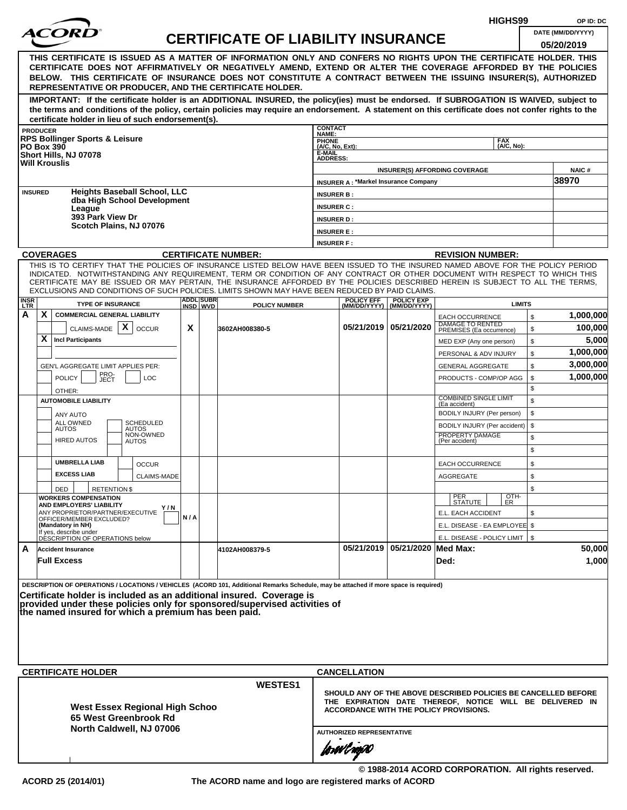|                    |                                                                                                                                                                                                                                                                                                                                                                |     |                              |                                           |                                  |                                             |                                                                                                                                                                      |                                                     | HIGHS99                  |          | OP ID: DC              |
|--------------------|----------------------------------------------------------------------------------------------------------------------------------------------------------------------------------------------------------------------------------------------------------------------------------------------------------------------------------------------------------------|-----|------------------------------|-------------------------------------------|----------------------------------|---------------------------------------------|----------------------------------------------------------------------------------------------------------------------------------------------------------------------|-----------------------------------------------------|--------------------------|----------|------------------------|
|                    | <i>ACOR</i>                                                                                                                                                                                                                                                                                                                                                    |     |                              | <b>CERTIFICATE OF LIABILITY INSURANCE</b> |                                  |                                             |                                                                                                                                                                      |                                                     |                          |          | DATE (MM/DD/YYYY)      |
|                    | THIS CERTIFICATE IS ISSUED AS A MATTER OF INFORMATION ONLY AND CONFERS NO RIGHTS UPON THE CERTIFICATE HOLDER. THIS                                                                                                                                                                                                                                             |     |                              |                                           |                                  |                                             |                                                                                                                                                                      |                                                     |                          |          | 05/20/2019             |
|                    | CERTIFICATE DOES NOT AFFIRMATIVELY OR NEGATIVELY AMEND, EXTEND OR ALTER THE COVERAGE AFFORDED BY THE POLICIES<br>BELOW. THIS CERTIFICATE OF INSURANCE DOES NOT CONSTITUTE A CONTRACT BETWEEN THE ISSUING INSURER(S), AUTHORIZED<br>REPRESENTATIVE OR PRODUCER, AND THE CERTIFICATE HOLDER.                                                                     |     |                              |                                           |                                  |                                             |                                                                                                                                                                      |                                                     |                          |          |                        |
|                    | IMPORTANT: If the certificate holder is an ADDITIONAL INSURED, the policy(ies) must be endorsed. If SUBROGATION IS WAIVED, subject to                                                                                                                                                                                                                          |     |                              |                                           |                                  |                                             |                                                                                                                                                                      |                                                     |                          |          |                        |
|                    | the terms and conditions of the policy, certain policies may require an endorsement. A statement on this certificate does not confer rights to the<br>certificate holder in lieu of such endorsement(s).                                                                                                                                                       |     |                              |                                           |                                  |                                             |                                                                                                                                                                      |                                                     |                          |          |                        |
|                    | <b>PRODUCER</b>                                                                                                                                                                                                                                                                                                                                                |     |                              |                                           | <b>CONTACT</b><br>NAME:          |                                             |                                                                                                                                                                      |                                                     |                          |          |                        |
|                    | <b>RPS Bollinger Sports &amp; Leisure</b><br><b>PO Box 390</b>                                                                                                                                                                                                                                                                                                 |     |                              |                                           | PHONE<br>(A/C, No, Ext):         |                                             |                                                                                                                                                                      |                                                     | <b>FAX</b><br>(A/C, No): |          |                        |
|                    | Short Hills, NJ 07078<br><b>Will Krouslis</b>                                                                                                                                                                                                                                                                                                                  |     |                              |                                           | E-MAIL<br><b>ADDRESS:</b>        |                                             |                                                                                                                                                                      |                                                     |                          |          |                        |
|                    |                                                                                                                                                                                                                                                                                                                                                                |     |                              |                                           |                                  |                                             |                                                                                                                                                                      | <b>INSURER(S) AFFORDING COVERAGE</b>                |                          |          | <b>NAIC#</b><br>38970  |
|                    | <b>Heights Baseball School, LLC</b><br><b>INSURED</b>                                                                                                                                                                                                                                                                                                          |     |                              |                                           | <b>INSURER B:</b>                | <b>INSURER A: *Markel Insurance Company</b> |                                                                                                                                                                      |                                                     |                          |          |                        |
|                    | dba High School Development<br>League                                                                                                                                                                                                                                                                                                                          |     |                              |                                           | <b>INSURER C:</b>                |                                             |                                                                                                                                                                      |                                                     |                          |          |                        |
|                    | 393 Park View Dr                                                                                                                                                                                                                                                                                                                                               |     |                              |                                           | <b>INSURER D:</b>                |                                             |                                                                                                                                                                      |                                                     |                          |          |                        |
|                    | Scotch Plains, NJ 07076                                                                                                                                                                                                                                                                                                                                        |     |                              |                                           | <b>INSURER E:</b>                |                                             |                                                                                                                                                                      |                                                     |                          |          |                        |
|                    |                                                                                                                                                                                                                                                                                                                                                                |     |                              |                                           | <b>INSURER F:</b>                |                                             |                                                                                                                                                                      |                                                     |                          |          |                        |
|                    | <b>COVERAGES</b><br>THIS IS TO CERTIFY THAT THE POLICIES OF INSURANCE LISTED BELOW HAVE BEEN ISSUED TO THE INSURED NAMED ABOVE FOR THE POLICY PERIOD                                                                                                                                                                                                           |     |                              | <b>CERTIFICATE NUMBER:</b>                |                                  |                                             |                                                                                                                                                                      | <b>REVISION NUMBER:</b>                             |                          |          |                        |
|                    | INDICATED. NOTWITHSTANDING ANY REQUIREMENT, TERM OR CONDITION OF ANY CONTRACT OR OTHER DOCUMENT WITH RESPECT TO WHICH THIS<br>CERTIFICATE MAY BE ISSUED OR MAY PERTAIN, THE INSURANCE AFFORDED BY THE POLICIES DESCRIBED HEREIN IS SUBJECT TO ALL THE TERMS,<br>EXCLUSIONS AND CONDITIONS OF SUCH POLICIES. LIMITS SHOWN MAY HAVE BEEN REDUCED BY PAID CLAIMS. |     |                              |                                           |                                  |                                             |                                                                                                                                                                      |                                                     |                          |          |                        |
| <b>INSR</b><br>LTR | <b>TYPE OF INSURANCE</b>                                                                                                                                                                                                                                                                                                                                       |     | <b>ADDL SUBR</b><br>INSD WVD | <b>POLICY NUMBER</b>                      |                                  | <b>POLICY EFF</b>                           | <b>POLICY EXP</b><br>(MM/DD/YYYY) (MM/DD/YYYY)                                                                                                                       |                                                     | <b>LIMITS</b>            |          |                        |
| А                  | X<br><b>COMMERCIAL GENERAL LIABILITY</b>                                                                                                                                                                                                                                                                                                                       |     |                              |                                           |                                  |                                             |                                                                                                                                                                      | <b>EACH OCCURRENCE</b>                              |                          | \$       | 1,000,000              |
|                    | CLAIMS-MADE $\mid X \mid$<br><b>OCCUR</b>                                                                                                                                                                                                                                                                                                                      | X   |                              | 3602AH008380-5                            |                                  | 05/21/2019 05/21/2020                       |                                                                                                                                                                      | <b>DAMAGE TO RENTED</b><br>PREMISES (Ea occurrence) |                          | \$       | 100,000                |
|                    | X<br><b>Incl Participants</b>                                                                                                                                                                                                                                                                                                                                  |     |                              |                                           |                                  |                                             |                                                                                                                                                                      | MED EXP (Any one person)                            |                          | \$       | 5,000                  |
|                    | GEN'L AGGREGATE LIMIT APPLIES PER:                                                                                                                                                                                                                                                                                                                             |     |                              |                                           |                                  |                                             |                                                                                                                                                                      | PERSONAL & ADV INJURY                               |                          | \$<br>\$ | 1,000,000<br>3,000,000 |
|                    | PRO-<br>JECT<br><b>POLICY</b><br><b>LOC</b>                                                                                                                                                                                                                                                                                                                    |     |                              |                                           |                                  |                                             |                                                                                                                                                                      | <b>GENERAL AGGREGATE</b><br>PRODUCTS - COMP/OP AGG  |                          | \$       | 1,000,000              |
|                    | OTHER:                                                                                                                                                                                                                                                                                                                                                         |     |                              |                                           |                                  |                                             |                                                                                                                                                                      |                                                     |                          | \$       |                        |
|                    | <b>AUTOMOBILE LIABILITY</b>                                                                                                                                                                                                                                                                                                                                    |     |                              |                                           |                                  |                                             |                                                                                                                                                                      | <b>COMBINED SINGLE LIMIT</b><br>(Ea accident)       |                          |          |                        |
|                    | ANY AUTO                                                                                                                                                                                                                                                                                                                                                       |     |                              |                                           |                                  |                                             |                                                                                                                                                                      | BODILY INJURY (Per person)                          |                          | \$       |                        |
|                    | <b>SCHEDULED</b><br>ALL OWNED<br><b>AUTOS</b><br>AUTOS<br>NON-OWNED                                                                                                                                                                                                                                                                                            |     |                              |                                           |                                  |                                             |                                                                                                                                                                      | BODILY INJURY (Per accident)<br>PROPERTY DAMAGE     |                          | \$       |                        |
|                    | <b>HIRED AUTOS</b><br>AUTOS                                                                                                                                                                                                                                                                                                                                    |     |                              |                                           |                                  |                                             |                                                                                                                                                                      | (Per accident)                                      |                          | \$<br>\$ |                        |
|                    | <b>UMBRELLA LIAB</b><br><b>OCCUR</b>                                                                                                                                                                                                                                                                                                                           |     |                              |                                           |                                  |                                             |                                                                                                                                                                      | <b>EACH OCCURRENCE</b>                              |                          | \$       |                        |
|                    | <b>EXCESS LIAB</b><br><b>CLAIMS-MADE</b>                                                                                                                                                                                                                                                                                                                       |     |                              |                                           |                                  |                                             |                                                                                                                                                                      | AGGREGATE                                           |                          | \$       |                        |
|                    | DED<br><b>RETENTION \$</b><br><b>WORKERS COMPENSATION</b>                                                                                                                                                                                                                                                                                                      |     |                              |                                           |                                  |                                             |                                                                                                                                                                      |                                                     |                          | \$       |                        |
|                    | AND EMPLOYERS' LIABILITY<br>Y/N                                                                                                                                                                                                                                                                                                                                |     |                              |                                           |                                  |                                             |                                                                                                                                                                      | PER<br>STATUTE                                      | OTH-<br>ER               |          |                        |
|                    | ANY PROPRIETOR/PARTNER/EXECUTIVE<br>OFFICER/MEMBER EXCLUDED?<br>(Mandatory in NH)                                                                                                                                                                                                                                                                              | N/A |                              |                                           |                                  |                                             |                                                                                                                                                                      | E.L. EACH ACCIDENT<br>E.L. DISEASE - EA EMPLOYEE \$ |                          | \$       |                        |
|                    | If yes, describe under<br>DÉSCRIPTION OF OPERATIONS below                                                                                                                                                                                                                                                                                                      |     |                              |                                           |                                  |                                             |                                                                                                                                                                      | E.L. DISEASE - POLICY LIMIT   \$                    |                          |          |                        |
| A                  | <b>Accident Insurance</b>                                                                                                                                                                                                                                                                                                                                      |     |                              | 4102AH008379-5                            |                                  |                                             | 05/21/2019 05/21/2020 Med Max:                                                                                                                                       |                                                     |                          |          | 50,000                 |
|                    | <b>Full Excess</b>                                                                                                                                                                                                                                                                                                                                             |     |                              |                                           |                                  |                                             |                                                                                                                                                                      | Ded:                                                |                          |          | 1,000                  |
|                    | DESCRIPTION OF OPERATIONS / LOCATIONS / VEHICLES (ACORD 101, Additional Remarks Schedule, may be attached if more space is required)                                                                                                                                                                                                                           |     |                              |                                           |                                  |                                             |                                                                                                                                                                      |                                                     |                          |          |                        |
|                    | Certificate holder is included as an additional insured. Coverage is                                                                                                                                                                                                                                                                                           |     |                              |                                           |                                  |                                             |                                                                                                                                                                      |                                                     |                          |          |                        |
|                    | provided under these policies only for sponsored/supervised activities of<br>the named insured for which a premium has been paid.                                                                                                                                                                                                                              |     |                              |                                           |                                  |                                             |                                                                                                                                                                      |                                                     |                          |          |                        |
|                    |                                                                                                                                                                                                                                                                                                                                                                |     |                              |                                           |                                  |                                             |                                                                                                                                                                      |                                                     |                          |          |                        |
|                    |                                                                                                                                                                                                                                                                                                                                                                |     |                              |                                           |                                  |                                             |                                                                                                                                                                      |                                                     |                          |          |                        |
|                    |                                                                                                                                                                                                                                                                                                                                                                |     |                              |                                           |                                  |                                             |                                                                                                                                                                      |                                                     |                          |          |                        |
|                    |                                                                                                                                                                                                                                                                                                                                                                |     |                              |                                           |                                  |                                             |                                                                                                                                                                      |                                                     |                          |          |                        |
|                    | <b>CERTIFICATE HOLDER</b>                                                                                                                                                                                                                                                                                                                                      |     |                              | <b>WESTES1</b>                            |                                  | <b>CANCELLATION</b>                         |                                                                                                                                                                      |                                                     |                          |          |                        |
|                    | <b>West Essex Regional High Schoo</b>                                                                                                                                                                                                                                                                                                                          |     |                              |                                           |                                  |                                             | SHOULD ANY OF THE ABOVE DESCRIBED POLICIES BE CANCELLED BEFORE<br>THE EXPIRATION DATE THEREOF, NOTICE WILL BE DELIVERED IN<br>ACCORDANCE WITH THE POLICY PROVISIONS. |                                                     |                          |          |                        |
|                    | 65 West Greenbrook Rd<br>North Caldwell, NJ 07006                                                                                                                                                                                                                                                                                                              |     |                              |                                           |                                  |                                             |                                                                                                                                                                      |                                                     |                          |          |                        |
|                    |                                                                                                                                                                                                                                                                                                                                                                |     |                              |                                           | <b>AUTHORIZED REPRESENTATIVE</b> |                                             |                                                                                                                                                                      |                                                     |                          |          |                        |
|                    |                                                                                                                                                                                                                                                                                                                                                                |     |                              |                                           | forwl now                        |                                             |                                                                                                                                                                      |                                                     |                          |          |                        |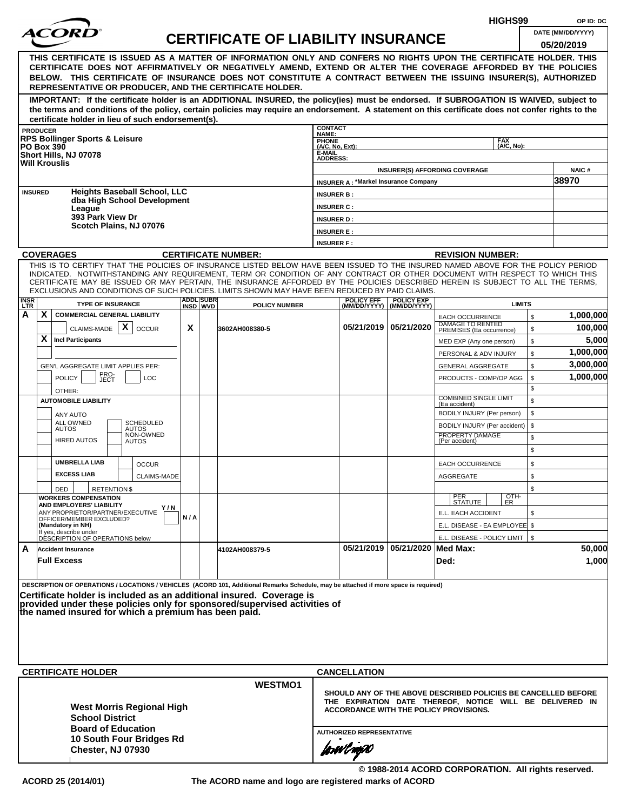| <i>ACOR</i><br>DATE (MM/DD/YYYY)<br><b>CERTIFICATE OF LIABILITY INSURANCE</b><br>05/20/2019<br>THIS CERTIFICATE IS ISSUED AS A MATTER OF INFORMATION ONLY AND CONFERS NO RIGHTS UPON THE CERTIFICATE HOLDER. THIS<br>CERTIFICATE DOES NOT AFFIRMATIVELY OR NEGATIVELY AMEND, EXTEND OR ALTER THE COVERAGE AFFORDED BY THE POLICIES<br>BELOW. THIS CERTIFICATE OF INSURANCE DOES NOT CONSTITUTE A CONTRACT BETWEEN THE ISSUING INSURER(S), AUTHORIZED<br>REPRESENTATIVE OR PRODUCER, AND THE CERTIFICATE HOLDER.<br>IMPORTANT: If the certificate holder is an ADDITIONAL INSURED, the policy(ies) must be endorsed. If SUBROGATION IS WAIVED, subject to<br>the terms and conditions of the policy, certain policies may require an endorsement. A statement on this certificate does not confer rights to the<br>certificate holder in lieu of such endorsement(s).<br><b>CONTACT</b><br><b>PRODUCER</b><br>NAME:<br><b>RPS Bollinger Sports &amp; Leisure</b><br>PHONE<br>(A/C, No, Ext):<br><b>FAX</b><br>(A/C, No):<br><b>PO Box 390</b><br>E-MAIL<br>Short Hills, NJ 07078<br><b>ADDRESS:</b><br><b>Will Krouslis</b><br><b>NAIC#</b><br><b>INSURER(S) AFFORDING COVERAGE</b><br>38970<br><b>INSURER A: *Markel Insurance Company</b><br><b>Heights Baseball School, LLC</b><br><b>INSURED</b><br><b>INSURER B:</b><br>dba High School Development<br><b>INSURER C:</b><br>League<br>393 Park View Dr<br><b>INSURER D:</b><br>Scotch Plains, NJ 07076<br><b>INSURER E:</b><br><b>INSURER F:</b><br><b>COVERAGES</b><br><b>CERTIFICATE NUMBER:</b><br><b>REVISION NUMBER:</b><br>THIS IS TO CERTIFY THAT THE POLICIES OF INSURANCE LISTED BELOW HAVE BEEN ISSUED TO THE INSURED NAMED ABOVE FOR THE POLICY PERIOD<br>INDICATED. NOTWITHSTANDING ANY REQUIREMENT, TERM OR CONDITION OF ANY CONTRACT OR OTHER DOCUMENT WITH RESPECT TO WHICH THIS<br>CERTIFICATE MAY BE ISSUED OR MAY PERTAIN, THE INSURANCE AFFORDED BY THE POLICIES DESCRIBED HEREIN IS SUBJECT TO ALL THE TERMS.<br>EXCLUSIONS AND CONDITIONS OF SUCH POLICIES. LIMITS SHOWN MAY HAVE BEEN REDUCED BY PAID CLAIMS.<br><b>ADDL SUBR</b><br><b>POLICY EFF</b><br><b>POLICY EXP</b><br><b>TYPE OF INSURANCE</b><br><b>LIMITS</b><br>INSD WVD<br>POLICY NUMBER<br>(MM/DD/YYYY)   (MM/DD/YYYY)<br>A<br>X.<br><b>COMMERCIAL GENERAL LIABILITY</b><br>\$<br><b>EACH OCCURRENCE</b><br>DAMAGE TO RENTED<br>PREMISES (Ea occurrence)<br>X<br>05/21/2019   05/21/2020<br>X<br>100,000<br>CLAIMS-MADE<br><b>OCCUR</b><br>\$<br>3602AH008380-5<br>X<br>5,000<br><b>Incl Participants</b><br>\$<br>MED EXP (Any one person)<br>1,000,000<br>\$<br>PERSONAL & ADV INJURY<br>3,000,000<br>\$<br>GEN'L AGGREGATE LIMIT APPLIES PER:<br><b>GENERAL AGGREGATE</b><br>PRO-<br>JECT<br>1,000,000<br><b>POLICY</b><br>\$<br><b>LOC</b><br>PRODUCTS - COMP/OP AGG<br>\$<br>OTHER:<br><b>COMBINED SINGLE LIMIT</b><br>\$<br><b>AUTOMOBILE LIABILITY</b><br>(Ea accident)<br>BODILY INJURY (Per person)<br>\$<br>ANY AUTO<br>ALL OWNED<br><b>SCHEDULED</b><br>\$<br>BODILY INJURY (Per accident)<br><b>AUTOS</b><br>AUTOS<br>NON-OWNED<br>PROPERTY DAMAGE<br>\$<br><b>HIRED AUTOS</b><br>(Per accident)<br><b>AUTOS</b><br>\$<br><b>UMBRELLA LIAB</b><br>\$<br><b>OCCUR</b><br><b>EACH OCCURRENCE</b><br><b>EXCESS LIAB</b><br><b>CLAIMS-MADE</b><br>AGGREGATE<br>\$<br>\$<br>DED<br><b>RETENTION \$</b><br>OTH-<br>ER<br>PER<br>STATUTE<br><b>WORKERS COMPENSATION</b><br>AND EMPLOYERS' LIABILITY<br>Y/N<br>ANY PROPRIETOR/PARTNER/EXECUTIVE<br>E.L. EACH ACCIDENT<br>\$<br>N/A<br>OFFICER/MEMBER EXCLUDED?<br>E.L. DISEASE - EA EMPLOYEE \$<br>(Mandatory in NH)<br>If yes, describe under<br>E.L. DISEASE - POLICY LIMIT   \$<br>DÉSCRIPTION OF OPERATIONS below<br>05/21/2019 05/21/2020 Med Max:<br>50,000<br>A<br><b>Accident Insurance</b><br>4102AH008379-5<br><b>Full Excess</b><br>Ded: | <b>INSR</b><br>LTR |                           |  |                                                                                                                                                                             |                |           |  |  |  | HIGHS99 |  | OP ID: DC |
|-------------------------------------------------------------------------------------------------------------------------------------------------------------------------------------------------------------------------------------------------------------------------------------------------------------------------------------------------------------------------------------------------------------------------------------------------------------------------------------------------------------------------------------------------------------------------------------------------------------------------------------------------------------------------------------------------------------------------------------------------------------------------------------------------------------------------------------------------------------------------------------------------------------------------------------------------------------------------------------------------------------------------------------------------------------------------------------------------------------------------------------------------------------------------------------------------------------------------------------------------------------------------------------------------------------------------------------------------------------------------------------------------------------------------------------------------------------------------------------------------------------------------------------------------------------------------------------------------------------------------------------------------------------------------------------------------------------------------------------------------------------------------------------------------------------------------------------------------------------------------------------------------------------------------------------------------------------------------------------------------------------------------------------------------------------------------------------------------------------------------------------------------------------------------------------------------------------------------------------------------------------------------------------------------------------------------------------------------------------------------------------------------------------------------------------------------------------------------------------------------------------------------------------------------------------------------------------------------------------------------------------------------------------------------------------------------------------------------------------------------------------------------------------------------------------------------------------------------------------------------------------------------------------------------------------------------------------------------------------------------------------------------------------------------------------------------------------------------------------------------------------------------------------------------------------------------------------------------------------------------------------------------------------------------------------------------------------------------------------------------------------------------------------------------------------------------------------------------------------------------------------------------------------------------------------------------------------------------------------------------------------------------------------------------------------------------------------------------------------------------------------------------------------------------------------------------------------------------|--------------------|---------------------------|--|-----------------------------------------------------------------------------------------------------------------------------------------------------------------------------|----------------|-----------|--|--|--|---------|--|-----------|
|                                                                                                                                                                                                                                                                                                                                                                                                                                                                                                                                                                                                                                                                                                                                                                                                                                                                                                                                                                                                                                                                                                                                                                                                                                                                                                                                                                                                                                                                                                                                                                                                                                                                                                                                                                                                                                                                                                                                                                                                                                                                                                                                                                                                                                                                                                                                                                                                                                                                                                                                                                                                                                                                                                                                                                                                                                                                                                                                                                                                                                                                                                                                                                                                                                                                                                                                                                                                                                                                                                                                                                                                                                                                                                                                                                                                                                                 |                    |                           |  |                                                                                                                                                                             |                |           |  |  |  |         |  |           |
|                                                                                                                                                                                                                                                                                                                                                                                                                                                                                                                                                                                                                                                                                                                                                                                                                                                                                                                                                                                                                                                                                                                                                                                                                                                                                                                                                                                                                                                                                                                                                                                                                                                                                                                                                                                                                                                                                                                                                                                                                                                                                                                                                                                                                                                                                                                                                                                                                                                                                                                                                                                                                                                                                                                                                                                                                                                                                                                                                                                                                                                                                                                                                                                                                                                                                                                                                                                                                                                                                                                                                                                                                                                                                                                                                                                                                                                 |                    |                           |  |                                                                                                                                                                             |                |           |  |  |  |         |  |           |
|                                                                                                                                                                                                                                                                                                                                                                                                                                                                                                                                                                                                                                                                                                                                                                                                                                                                                                                                                                                                                                                                                                                                                                                                                                                                                                                                                                                                                                                                                                                                                                                                                                                                                                                                                                                                                                                                                                                                                                                                                                                                                                                                                                                                                                                                                                                                                                                                                                                                                                                                                                                                                                                                                                                                                                                                                                                                                                                                                                                                                                                                                                                                                                                                                                                                                                                                                                                                                                                                                                                                                                                                                                                                                                                                                                                                                                                 |                    |                           |  |                                                                                                                                                                             |                |           |  |  |  |         |  |           |
|                                                                                                                                                                                                                                                                                                                                                                                                                                                                                                                                                                                                                                                                                                                                                                                                                                                                                                                                                                                                                                                                                                                                                                                                                                                                                                                                                                                                                                                                                                                                                                                                                                                                                                                                                                                                                                                                                                                                                                                                                                                                                                                                                                                                                                                                                                                                                                                                                                                                                                                                                                                                                                                                                                                                                                                                                                                                                                                                                                                                                                                                                                                                                                                                                                                                                                                                                                                                                                                                                                                                                                                                                                                                                                                                                                                                                                                 |                    |                           |  |                                                                                                                                                                             |                |           |  |  |  |         |  |           |
|                                                                                                                                                                                                                                                                                                                                                                                                                                                                                                                                                                                                                                                                                                                                                                                                                                                                                                                                                                                                                                                                                                                                                                                                                                                                                                                                                                                                                                                                                                                                                                                                                                                                                                                                                                                                                                                                                                                                                                                                                                                                                                                                                                                                                                                                                                                                                                                                                                                                                                                                                                                                                                                                                                                                                                                                                                                                                                                                                                                                                                                                                                                                                                                                                                                                                                                                                                                                                                                                                                                                                                                                                                                                                                                                                                                                                                                 |                    |                           |  |                                                                                                                                                                             |                |           |  |  |  |         |  |           |
|                                                                                                                                                                                                                                                                                                                                                                                                                                                                                                                                                                                                                                                                                                                                                                                                                                                                                                                                                                                                                                                                                                                                                                                                                                                                                                                                                                                                                                                                                                                                                                                                                                                                                                                                                                                                                                                                                                                                                                                                                                                                                                                                                                                                                                                                                                                                                                                                                                                                                                                                                                                                                                                                                                                                                                                                                                                                                                                                                                                                                                                                                                                                                                                                                                                                                                                                                                                                                                                                                                                                                                                                                                                                                                                                                                                                                                                 |                    |                           |  |                                                                                                                                                                             |                |           |  |  |  |         |  |           |
|                                                                                                                                                                                                                                                                                                                                                                                                                                                                                                                                                                                                                                                                                                                                                                                                                                                                                                                                                                                                                                                                                                                                                                                                                                                                                                                                                                                                                                                                                                                                                                                                                                                                                                                                                                                                                                                                                                                                                                                                                                                                                                                                                                                                                                                                                                                                                                                                                                                                                                                                                                                                                                                                                                                                                                                                                                                                                                                                                                                                                                                                                                                                                                                                                                                                                                                                                                                                                                                                                                                                                                                                                                                                                                                                                                                                                                                 |                    |                           |  |                                                                                                                                                                             |                |           |  |  |  |         |  |           |
|                                                                                                                                                                                                                                                                                                                                                                                                                                                                                                                                                                                                                                                                                                                                                                                                                                                                                                                                                                                                                                                                                                                                                                                                                                                                                                                                                                                                                                                                                                                                                                                                                                                                                                                                                                                                                                                                                                                                                                                                                                                                                                                                                                                                                                                                                                                                                                                                                                                                                                                                                                                                                                                                                                                                                                                                                                                                                                                                                                                                                                                                                                                                                                                                                                                                                                                                                                                                                                                                                                                                                                                                                                                                                                                                                                                                                                                 |                    |                           |  |                                                                                                                                                                             |                |           |  |  |  |         |  |           |
|                                                                                                                                                                                                                                                                                                                                                                                                                                                                                                                                                                                                                                                                                                                                                                                                                                                                                                                                                                                                                                                                                                                                                                                                                                                                                                                                                                                                                                                                                                                                                                                                                                                                                                                                                                                                                                                                                                                                                                                                                                                                                                                                                                                                                                                                                                                                                                                                                                                                                                                                                                                                                                                                                                                                                                                                                                                                                                                                                                                                                                                                                                                                                                                                                                                                                                                                                                                                                                                                                                                                                                                                                                                                                                                                                                                                                                                 |                    |                           |  |                                                                                                                                                                             |                |           |  |  |  |         |  |           |
|                                                                                                                                                                                                                                                                                                                                                                                                                                                                                                                                                                                                                                                                                                                                                                                                                                                                                                                                                                                                                                                                                                                                                                                                                                                                                                                                                                                                                                                                                                                                                                                                                                                                                                                                                                                                                                                                                                                                                                                                                                                                                                                                                                                                                                                                                                                                                                                                                                                                                                                                                                                                                                                                                                                                                                                                                                                                                                                                                                                                                                                                                                                                                                                                                                                                                                                                                                                                                                                                                                                                                                                                                                                                                                                                                                                                                                                 |                    |                           |  |                                                                                                                                                                             |                |           |  |  |  |         |  |           |
|                                                                                                                                                                                                                                                                                                                                                                                                                                                                                                                                                                                                                                                                                                                                                                                                                                                                                                                                                                                                                                                                                                                                                                                                                                                                                                                                                                                                                                                                                                                                                                                                                                                                                                                                                                                                                                                                                                                                                                                                                                                                                                                                                                                                                                                                                                                                                                                                                                                                                                                                                                                                                                                                                                                                                                                                                                                                                                                                                                                                                                                                                                                                                                                                                                                                                                                                                                                                                                                                                                                                                                                                                                                                                                                                                                                                                                                 |                    |                           |  |                                                                                                                                                                             |                |           |  |  |  |         |  |           |
|                                                                                                                                                                                                                                                                                                                                                                                                                                                                                                                                                                                                                                                                                                                                                                                                                                                                                                                                                                                                                                                                                                                                                                                                                                                                                                                                                                                                                                                                                                                                                                                                                                                                                                                                                                                                                                                                                                                                                                                                                                                                                                                                                                                                                                                                                                                                                                                                                                                                                                                                                                                                                                                                                                                                                                                                                                                                                                                                                                                                                                                                                                                                                                                                                                                                                                                                                                                                                                                                                                                                                                                                                                                                                                                                                                                                                                                 |                    |                           |  |                                                                                                                                                                             |                |           |  |  |  |         |  |           |
|                                                                                                                                                                                                                                                                                                                                                                                                                                                                                                                                                                                                                                                                                                                                                                                                                                                                                                                                                                                                                                                                                                                                                                                                                                                                                                                                                                                                                                                                                                                                                                                                                                                                                                                                                                                                                                                                                                                                                                                                                                                                                                                                                                                                                                                                                                                                                                                                                                                                                                                                                                                                                                                                                                                                                                                                                                                                                                                                                                                                                                                                                                                                                                                                                                                                                                                                                                                                                                                                                                                                                                                                                                                                                                                                                                                                                                                 |                    |                           |  |                                                                                                                                                                             |                |           |  |  |  |         |  |           |
|                                                                                                                                                                                                                                                                                                                                                                                                                                                                                                                                                                                                                                                                                                                                                                                                                                                                                                                                                                                                                                                                                                                                                                                                                                                                                                                                                                                                                                                                                                                                                                                                                                                                                                                                                                                                                                                                                                                                                                                                                                                                                                                                                                                                                                                                                                                                                                                                                                                                                                                                                                                                                                                                                                                                                                                                                                                                                                                                                                                                                                                                                                                                                                                                                                                                                                                                                                                                                                                                                                                                                                                                                                                                                                                                                                                                                                                 |                    |                           |  |                                                                                                                                                                             |                |           |  |  |  |         |  |           |
|                                                                                                                                                                                                                                                                                                                                                                                                                                                                                                                                                                                                                                                                                                                                                                                                                                                                                                                                                                                                                                                                                                                                                                                                                                                                                                                                                                                                                                                                                                                                                                                                                                                                                                                                                                                                                                                                                                                                                                                                                                                                                                                                                                                                                                                                                                                                                                                                                                                                                                                                                                                                                                                                                                                                                                                                                                                                                                                                                                                                                                                                                                                                                                                                                                                                                                                                                                                                                                                                                                                                                                                                                                                                                                                                                                                                                                                 |                    |                           |  |                                                                                                                                                                             |                |           |  |  |  |         |  |           |
|                                                                                                                                                                                                                                                                                                                                                                                                                                                                                                                                                                                                                                                                                                                                                                                                                                                                                                                                                                                                                                                                                                                                                                                                                                                                                                                                                                                                                                                                                                                                                                                                                                                                                                                                                                                                                                                                                                                                                                                                                                                                                                                                                                                                                                                                                                                                                                                                                                                                                                                                                                                                                                                                                                                                                                                                                                                                                                                                                                                                                                                                                                                                                                                                                                                                                                                                                                                                                                                                                                                                                                                                                                                                                                                                                                                                                                                 |                    |                           |  |                                                                                                                                                                             |                |           |  |  |  |         |  |           |
|                                                                                                                                                                                                                                                                                                                                                                                                                                                                                                                                                                                                                                                                                                                                                                                                                                                                                                                                                                                                                                                                                                                                                                                                                                                                                                                                                                                                                                                                                                                                                                                                                                                                                                                                                                                                                                                                                                                                                                                                                                                                                                                                                                                                                                                                                                                                                                                                                                                                                                                                                                                                                                                                                                                                                                                                                                                                                                                                                                                                                                                                                                                                                                                                                                                                                                                                                                                                                                                                                                                                                                                                                                                                                                                                                                                                                                                 |                    |                           |  |                                                                                                                                                                             |                |           |  |  |  |         |  | 1,000,000 |
|                                                                                                                                                                                                                                                                                                                                                                                                                                                                                                                                                                                                                                                                                                                                                                                                                                                                                                                                                                                                                                                                                                                                                                                                                                                                                                                                                                                                                                                                                                                                                                                                                                                                                                                                                                                                                                                                                                                                                                                                                                                                                                                                                                                                                                                                                                                                                                                                                                                                                                                                                                                                                                                                                                                                                                                                                                                                                                                                                                                                                                                                                                                                                                                                                                                                                                                                                                                                                                                                                                                                                                                                                                                                                                                                                                                                                                                 |                    |                           |  |                                                                                                                                                                             |                |           |  |  |  |         |  |           |
|                                                                                                                                                                                                                                                                                                                                                                                                                                                                                                                                                                                                                                                                                                                                                                                                                                                                                                                                                                                                                                                                                                                                                                                                                                                                                                                                                                                                                                                                                                                                                                                                                                                                                                                                                                                                                                                                                                                                                                                                                                                                                                                                                                                                                                                                                                                                                                                                                                                                                                                                                                                                                                                                                                                                                                                                                                                                                                                                                                                                                                                                                                                                                                                                                                                                                                                                                                                                                                                                                                                                                                                                                                                                                                                                                                                                                                                 |                    |                           |  |                                                                                                                                                                             |                |           |  |  |  |         |  |           |
|                                                                                                                                                                                                                                                                                                                                                                                                                                                                                                                                                                                                                                                                                                                                                                                                                                                                                                                                                                                                                                                                                                                                                                                                                                                                                                                                                                                                                                                                                                                                                                                                                                                                                                                                                                                                                                                                                                                                                                                                                                                                                                                                                                                                                                                                                                                                                                                                                                                                                                                                                                                                                                                                                                                                                                                                                                                                                                                                                                                                                                                                                                                                                                                                                                                                                                                                                                                                                                                                                                                                                                                                                                                                                                                                                                                                                                                 |                    |                           |  |                                                                                                                                                                             |                |           |  |  |  |         |  |           |
|                                                                                                                                                                                                                                                                                                                                                                                                                                                                                                                                                                                                                                                                                                                                                                                                                                                                                                                                                                                                                                                                                                                                                                                                                                                                                                                                                                                                                                                                                                                                                                                                                                                                                                                                                                                                                                                                                                                                                                                                                                                                                                                                                                                                                                                                                                                                                                                                                                                                                                                                                                                                                                                                                                                                                                                                                                                                                                                                                                                                                                                                                                                                                                                                                                                                                                                                                                                                                                                                                                                                                                                                                                                                                                                                                                                                                                                 |                    |                           |  |                                                                                                                                                                             |                |           |  |  |  |         |  |           |
|                                                                                                                                                                                                                                                                                                                                                                                                                                                                                                                                                                                                                                                                                                                                                                                                                                                                                                                                                                                                                                                                                                                                                                                                                                                                                                                                                                                                                                                                                                                                                                                                                                                                                                                                                                                                                                                                                                                                                                                                                                                                                                                                                                                                                                                                                                                                                                                                                                                                                                                                                                                                                                                                                                                                                                                                                                                                                                                                                                                                                                                                                                                                                                                                                                                                                                                                                                                                                                                                                                                                                                                                                                                                                                                                                                                                                                                 |                    |                           |  |                                                                                                                                                                             |                |           |  |  |  |         |  |           |
|                                                                                                                                                                                                                                                                                                                                                                                                                                                                                                                                                                                                                                                                                                                                                                                                                                                                                                                                                                                                                                                                                                                                                                                                                                                                                                                                                                                                                                                                                                                                                                                                                                                                                                                                                                                                                                                                                                                                                                                                                                                                                                                                                                                                                                                                                                                                                                                                                                                                                                                                                                                                                                                                                                                                                                                                                                                                                                                                                                                                                                                                                                                                                                                                                                                                                                                                                                                                                                                                                                                                                                                                                                                                                                                                                                                                                                                 |                    |                           |  |                                                                                                                                                                             |                |           |  |  |  |         |  |           |
|                                                                                                                                                                                                                                                                                                                                                                                                                                                                                                                                                                                                                                                                                                                                                                                                                                                                                                                                                                                                                                                                                                                                                                                                                                                                                                                                                                                                                                                                                                                                                                                                                                                                                                                                                                                                                                                                                                                                                                                                                                                                                                                                                                                                                                                                                                                                                                                                                                                                                                                                                                                                                                                                                                                                                                                                                                                                                                                                                                                                                                                                                                                                                                                                                                                                                                                                                                                                                                                                                                                                                                                                                                                                                                                                                                                                                                                 |                    |                           |  |                                                                                                                                                                             |                |           |  |  |  |         |  |           |
|                                                                                                                                                                                                                                                                                                                                                                                                                                                                                                                                                                                                                                                                                                                                                                                                                                                                                                                                                                                                                                                                                                                                                                                                                                                                                                                                                                                                                                                                                                                                                                                                                                                                                                                                                                                                                                                                                                                                                                                                                                                                                                                                                                                                                                                                                                                                                                                                                                                                                                                                                                                                                                                                                                                                                                                                                                                                                                                                                                                                                                                                                                                                                                                                                                                                                                                                                                                                                                                                                                                                                                                                                                                                                                                                                                                                                                                 |                    |                           |  |                                                                                                                                                                             |                |           |  |  |  |         |  |           |
|                                                                                                                                                                                                                                                                                                                                                                                                                                                                                                                                                                                                                                                                                                                                                                                                                                                                                                                                                                                                                                                                                                                                                                                                                                                                                                                                                                                                                                                                                                                                                                                                                                                                                                                                                                                                                                                                                                                                                                                                                                                                                                                                                                                                                                                                                                                                                                                                                                                                                                                                                                                                                                                                                                                                                                                                                                                                                                                                                                                                                                                                                                                                                                                                                                                                                                                                                                                                                                                                                                                                                                                                                                                                                                                                                                                                                                                 |                    |                           |  |                                                                                                                                                                             |                |           |  |  |  |         |  |           |
|                                                                                                                                                                                                                                                                                                                                                                                                                                                                                                                                                                                                                                                                                                                                                                                                                                                                                                                                                                                                                                                                                                                                                                                                                                                                                                                                                                                                                                                                                                                                                                                                                                                                                                                                                                                                                                                                                                                                                                                                                                                                                                                                                                                                                                                                                                                                                                                                                                                                                                                                                                                                                                                                                                                                                                                                                                                                                                                                                                                                                                                                                                                                                                                                                                                                                                                                                                                                                                                                                                                                                                                                                                                                                                                                                                                                                                                 |                    |                           |  |                                                                                                                                                                             |                |           |  |  |  |         |  |           |
|                                                                                                                                                                                                                                                                                                                                                                                                                                                                                                                                                                                                                                                                                                                                                                                                                                                                                                                                                                                                                                                                                                                                                                                                                                                                                                                                                                                                                                                                                                                                                                                                                                                                                                                                                                                                                                                                                                                                                                                                                                                                                                                                                                                                                                                                                                                                                                                                                                                                                                                                                                                                                                                                                                                                                                                                                                                                                                                                                                                                                                                                                                                                                                                                                                                                                                                                                                                                                                                                                                                                                                                                                                                                                                                                                                                                                                                 |                    |                           |  |                                                                                                                                                                             |                |           |  |  |  |         |  |           |
|                                                                                                                                                                                                                                                                                                                                                                                                                                                                                                                                                                                                                                                                                                                                                                                                                                                                                                                                                                                                                                                                                                                                                                                                                                                                                                                                                                                                                                                                                                                                                                                                                                                                                                                                                                                                                                                                                                                                                                                                                                                                                                                                                                                                                                                                                                                                                                                                                                                                                                                                                                                                                                                                                                                                                                                                                                                                                                                                                                                                                                                                                                                                                                                                                                                                                                                                                                                                                                                                                                                                                                                                                                                                                                                                                                                                                                                 |                    |                           |  |                                                                                                                                                                             |                |           |  |  |  |         |  |           |
|                                                                                                                                                                                                                                                                                                                                                                                                                                                                                                                                                                                                                                                                                                                                                                                                                                                                                                                                                                                                                                                                                                                                                                                                                                                                                                                                                                                                                                                                                                                                                                                                                                                                                                                                                                                                                                                                                                                                                                                                                                                                                                                                                                                                                                                                                                                                                                                                                                                                                                                                                                                                                                                                                                                                                                                                                                                                                                                                                                                                                                                                                                                                                                                                                                                                                                                                                                                                                                                                                                                                                                                                                                                                                                                                                                                                                                                 |                    |                           |  |                                                                                                                                                                             |                |           |  |  |  |         |  |           |
|                                                                                                                                                                                                                                                                                                                                                                                                                                                                                                                                                                                                                                                                                                                                                                                                                                                                                                                                                                                                                                                                                                                                                                                                                                                                                                                                                                                                                                                                                                                                                                                                                                                                                                                                                                                                                                                                                                                                                                                                                                                                                                                                                                                                                                                                                                                                                                                                                                                                                                                                                                                                                                                                                                                                                                                                                                                                                                                                                                                                                                                                                                                                                                                                                                                                                                                                                                                                                                                                                                                                                                                                                                                                                                                                                                                                                                                 |                    |                           |  |                                                                                                                                                                             |                |           |  |  |  |         |  |           |
|                                                                                                                                                                                                                                                                                                                                                                                                                                                                                                                                                                                                                                                                                                                                                                                                                                                                                                                                                                                                                                                                                                                                                                                                                                                                                                                                                                                                                                                                                                                                                                                                                                                                                                                                                                                                                                                                                                                                                                                                                                                                                                                                                                                                                                                                                                                                                                                                                                                                                                                                                                                                                                                                                                                                                                                                                                                                                                                                                                                                                                                                                                                                                                                                                                                                                                                                                                                                                                                                                                                                                                                                                                                                                                                                                                                                                                                 |                    |                           |  |                                                                                                                                                                             |                |           |  |  |  |         |  |           |
|                                                                                                                                                                                                                                                                                                                                                                                                                                                                                                                                                                                                                                                                                                                                                                                                                                                                                                                                                                                                                                                                                                                                                                                                                                                                                                                                                                                                                                                                                                                                                                                                                                                                                                                                                                                                                                                                                                                                                                                                                                                                                                                                                                                                                                                                                                                                                                                                                                                                                                                                                                                                                                                                                                                                                                                                                                                                                                                                                                                                                                                                                                                                                                                                                                                                                                                                                                                                                                                                                                                                                                                                                                                                                                                                                                                                                                                 |                    |                           |  |                                                                                                                                                                             |                |           |  |  |  |         |  |           |
|                                                                                                                                                                                                                                                                                                                                                                                                                                                                                                                                                                                                                                                                                                                                                                                                                                                                                                                                                                                                                                                                                                                                                                                                                                                                                                                                                                                                                                                                                                                                                                                                                                                                                                                                                                                                                                                                                                                                                                                                                                                                                                                                                                                                                                                                                                                                                                                                                                                                                                                                                                                                                                                                                                                                                                                                                                                                                                                                                                                                                                                                                                                                                                                                                                                                                                                                                                                                                                                                                                                                                                                                                                                                                                                                                                                                                                                 |                    |                           |  |                                                                                                                                                                             |                |           |  |  |  |         |  | 1,000     |
| provided under these policies only for sponsored/supervised activities of<br>the named insured for which a premium has been paid.                                                                                                                                                                                                                                                                                                                                                                                                                                                                                                                                                                                                                                                                                                                                                                                                                                                                                                                                                                                                                                                                                                                                                                                                                                                                                                                                                                                                                                                                                                                                                                                                                                                                                                                                                                                                                                                                                                                                                                                                                                                                                                                                                                                                                                                                                                                                                                                                                                                                                                                                                                                                                                                                                                                                                                                                                                                                                                                                                                                                                                                                                                                                                                                                                                                                                                                                                                                                                                                                                                                                                                                                                                                                                                               |                    | <b>CERTIFICATE HOLDER</b> |  |                                                                                                                                                                             | <b>WESTMO1</b> |           |  |  |  |         |  |           |
| <b>CANCELLATION</b>                                                                                                                                                                                                                                                                                                                                                                                                                                                                                                                                                                                                                                                                                                                                                                                                                                                                                                                                                                                                                                                                                                                                                                                                                                                                                                                                                                                                                                                                                                                                                                                                                                                                                                                                                                                                                                                                                                                                                                                                                                                                                                                                                                                                                                                                                                                                                                                                                                                                                                                                                                                                                                                                                                                                                                                                                                                                                                                                                                                                                                                                                                                                                                                                                                                                                                                                                                                                                                                                                                                                                                                                                                                                                                                                                                                                                             |                    | <b>School District</b>    |  | SHOULD ANY OF THE ABOVE DESCRIBED POLICIES BE CANCELLED BEFORE<br>THE EXPIRATION DATE THEREOF, NOTICE WILL BE DELIVERED IN<br><b>ACCORDANCE WITH THE POLICY PROVISIONS.</b> |                |           |  |  |  |         |  |           |
| <b>West Morris Regional High</b><br><b>Board of Education</b>                                                                                                                                                                                                                                                                                                                                                                                                                                                                                                                                                                                                                                                                                                                                                                                                                                                                                                                                                                                                                                                                                                                                                                                                                                                                                                                                                                                                                                                                                                                                                                                                                                                                                                                                                                                                                                                                                                                                                                                                                                                                                                                                                                                                                                                                                                                                                                                                                                                                                                                                                                                                                                                                                                                                                                                                                                                                                                                                                                                                                                                                                                                                                                                                                                                                                                                                                                                                                                                                                                                                                                                                                                                                                                                                                                                   |                    |                           |  |                                                                                                                                                                             |                |           |  |  |  |         |  |           |
| <b>AUTHORIZED REPRESENTATIVE</b><br>10 South Four Bridges Rd                                                                                                                                                                                                                                                                                                                                                                                                                                                                                                                                                                                                                                                                                                                                                                                                                                                                                                                                                                                                                                                                                                                                                                                                                                                                                                                                                                                                                                                                                                                                                                                                                                                                                                                                                                                                                                                                                                                                                                                                                                                                                                                                                                                                                                                                                                                                                                                                                                                                                                                                                                                                                                                                                                                                                                                                                                                                                                                                                                                                                                                                                                                                                                                                                                                                                                                                                                                                                                                                                                                                                                                                                                                                                                                                                                                    |                    | Chester, NJ 07930         |  |                                                                                                                                                                             |                | forwl now |  |  |  |         |  |           |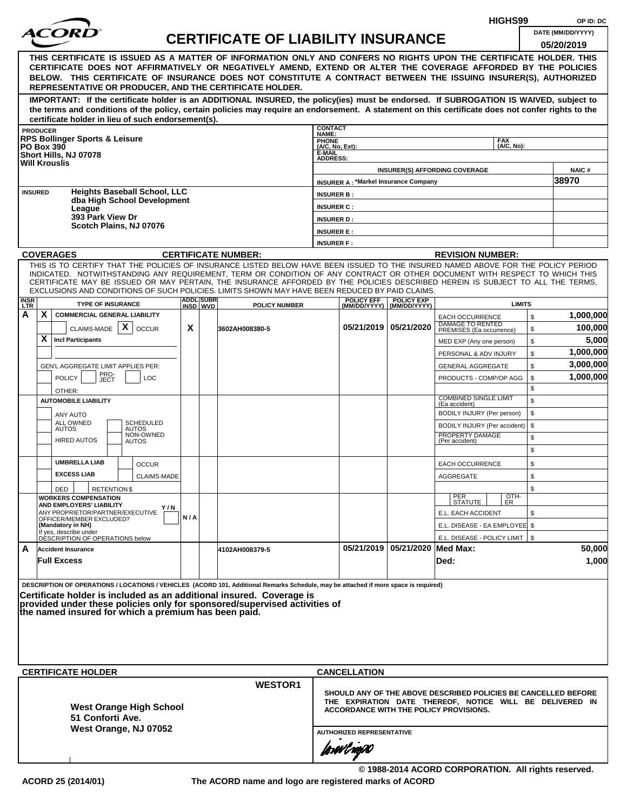|                    |                 |                                                                                                                                                                                                                                                              |     |                              |                                           |                                    |                                                                                                    |                                                |                                                   |  | HIGHS99       |          | OP ID: DC              |
|--------------------|-----------------|--------------------------------------------------------------------------------------------------------------------------------------------------------------------------------------------------------------------------------------------------------------|-----|------------------------------|-------------------------------------------|------------------------------------|----------------------------------------------------------------------------------------------------|------------------------------------------------|---------------------------------------------------|--|---------------|----------|------------------------|
|                    |                 | <i>ACOR</i>                                                                                                                                                                                                                                                  |     |                              | <b>CERTIFICATE OF LIABILITY INSURANCE</b> |                                    |                                                                                                    |                                                |                                                   |  |               |          | DATE (MM/DD/YYYY)      |
|                    |                 |                                                                                                                                                                                                                                                              |     |                              |                                           |                                    |                                                                                                    |                                                |                                                   |  |               |          | 05/20/2019             |
|                    |                 | THIS CERTIFICATE IS ISSUED AS A MATTER OF INFORMATION ONLY AND CONFERS NO RIGHTS UPON THE CERTIFICATE HOLDER. THIS                                                                                                                                           |     |                              |                                           |                                    |                                                                                                    |                                                |                                                   |  |               |          |                        |
|                    |                 | CERTIFICATE DOES NOT AFFIRMATIVELY OR NEGATIVELY AMEND, EXTEND OR ALTER THE COVERAGE AFFORDED BY THE POLICIES<br>BELOW. THIS CERTIFICATE OF INSURANCE DOES NOT CONSTITUTE A CONTRACT BETWEEN THE ISSUING INSURER(S), AUTHORIZED                              |     |                              |                                           |                                    |                                                                                                    |                                                |                                                   |  |               |          |                        |
|                    |                 | REPRESENTATIVE OR PRODUCER, AND THE CERTIFICATE HOLDER.                                                                                                                                                                                                      |     |                              |                                           |                                    |                                                                                                    |                                                |                                                   |  |               |          |                        |
|                    |                 | IMPORTANT: If the certificate holder is an ADDITIONAL INSURED, the policy(ies) must be endorsed. If SUBROGATION IS WAIVED, subject to                                                                                                                        |     |                              |                                           |                                    |                                                                                                    |                                                |                                                   |  |               |          |                        |
|                    |                 | the terms and conditions of the policy, certain policies may require an endorsement. A statement on this certificate does not confer rights to the                                                                                                           |     |                              |                                           |                                    |                                                                                                    |                                                |                                                   |  |               |          |                        |
|                    | <b>PRODUCER</b> | certificate holder in lieu of such endorsement(s).                                                                                                                                                                                                           |     |                              |                                           | <b>CONTACT</b>                     |                                                                                                    |                                                |                                                   |  |               |          |                        |
|                    |                 | <b>RPS Bollinger Sports &amp; Leisure</b>                                                                                                                                                                                                                    |     |                              |                                           | NAME:                              |                                                                                                    |                                                |                                                   |  | <b>FAX</b>    |          |                        |
| <b>PO Box 390</b>  |                 | Short Hills, NJ 07078                                                                                                                                                                                                                                        |     |                              |                                           | PHONE<br>(A/C, No, Ext):<br>E-MAIL |                                                                                                    |                                                |                                                   |  | (A/C, No):    |          |                        |
|                    |                 | <b>Will Krouslis</b>                                                                                                                                                                                                                                         |     |                              |                                           | <b>ADDRESS:</b>                    |                                                                                                    |                                                |                                                   |  |               |          |                        |
|                    |                 |                                                                                                                                                                                                                                                              |     |                              |                                           |                                    | <b>INSURER A: *Markel Insurance Company</b>                                                        | <b>INSURER(S) AFFORDING COVERAGE</b>           |                                                   |  |               |          | <b>NAIC#</b><br>38970  |
| <b>INSURED</b>     |                 | <b>Heights Baseball School, LLC</b>                                                                                                                                                                                                                          |     |                              |                                           | <b>INSURER B:</b>                  |                                                                                                    |                                                |                                                   |  |               |          |                        |
|                    |                 | dba High School Development                                                                                                                                                                                                                                  |     |                              |                                           | <b>INSURER C:</b>                  |                                                                                                    |                                                |                                                   |  |               |          |                        |
|                    |                 | League<br>393 Park View Dr                                                                                                                                                                                                                                   |     |                              |                                           | <b>INSURER D:</b>                  |                                                                                                    |                                                |                                                   |  |               |          |                        |
|                    |                 | Scotch Plains, NJ 07076                                                                                                                                                                                                                                      |     |                              |                                           | <b>INSURER E:</b>                  |                                                                                                    |                                                |                                                   |  |               |          |                        |
|                    |                 |                                                                                                                                                                                                                                                              |     |                              |                                           | <b>INSURER F:</b>                  |                                                                                                    |                                                |                                                   |  |               |          |                        |
|                    |                 | <b>COVERAGES</b>                                                                                                                                                                                                                                             |     |                              | <b>CERTIFICATE NUMBER:</b>                |                                    |                                                                                                    |                                                | <b>REVISION NUMBER:</b>                           |  |               |          |                        |
|                    |                 | THIS IS TO CERTIFY THAT THE POLICIES OF INSURANCE LISTED BELOW HAVE BEEN ISSUED TO THE INSURED NAMED ABOVE FOR THE POLICY PERIOD                                                                                                                             |     |                              |                                           |                                    |                                                                                                    |                                                |                                                   |  |               |          |                        |
|                    |                 | INDICATED. NOTWITHSTANDING ANY REQUIREMENT, TERM OR CONDITION OF ANY CONTRACT OR OTHER DOCUMENT WITH RESPECT TO WHICH THIS<br>CERTIFICATE MAY BE ISSUED OR MAY PERTAIN, THE INSURANCE AFFORDED BY THE POLICIES DESCRIBED HEREIN IS SUBJECT TO ALL THE TERMS, |     |                              |                                           |                                    |                                                                                                    |                                                |                                                   |  |               |          |                        |
|                    |                 | EXCLUSIONS AND CONDITIONS OF SUCH POLICIES. LIMITS SHOWN MAY HAVE BEEN REDUCED BY PAID CLAIMS.                                                                                                                                                               |     |                              |                                           |                                    |                                                                                                    |                                                |                                                   |  |               |          |                        |
| <b>INSR</b><br>LTR |                 | <b>TYPE OF INSURANCE</b>                                                                                                                                                                                                                                     |     | <b>ADDL SUBR</b><br>INSD WVD | <b>POLICY NUMBER</b>                      |                                    | <b>POLICY EFF</b>                                                                                  | <b>POLICY EXP</b><br>(MM/DD/YYYY) (MM/DD/YYYY) |                                                   |  | <b>LIMITS</b> |          |                        |
| А                  | X               | <b>COMMERCIAL GENERAL LIABILITY</b>                                                                                                                                                                                                                          |     |                              |                                           |                                    |                                                                                                    |                                                | <b>EACH OCCURRENCE</b><br><b>DAMAGE TO RENTED</b> |  |               | \$       | 1,000,000              |
|                    |                 | CLAIMS-MADE $\mid X \mid$<br><b>OCCUR</b>                                                                                                                                                                                                                    | X   |                              | 3602AH008380-5                            |                                    |                                                                                                    | 05/21/2019 05/21/2020                          | PREMISES (Ea occurrence)                          |  |               | \$       | 100,000                |
|                    | X               | <b>Incl Participants</b>                                                                                                                                                                                                                                     |     |                              |                                           |                                    |                                                                                                    |                                                | MED EXP (Any one person)                          |  |               | \$       | 5,000                  |
|                    |                 |                                                                                                                                                                                                                                                              |     |                              |                                           |                                    |                                                                                                    |                                                | PERSONAL & ADV INJURY                             |  |               | \$       | 1,000,000              |
|                    |                 | GEN'L AGGREGATE LIMIT APPLIES PER:<br>PRO-<br>JECT                                                                                                                                                                                                           |     |                              |                                           |                                    |                                                                                                    |                                                | <b>GENERAL AGGREGATE</b>                          |  |               | \$       | 3,000,000<br>1,000,000 |
|                    |                 | <b>POLICY</b><br><b>LOC</b>                                                                                                                                                                                                                                  |     |                              |                                           |                                    |                                                                                                    |                                                | PRODUCTS - COMP/OP AGG                            |  |               | \$<br>\$ |                        |
|                    |                 | OTHER:<br><b>AUTOMOBILE LIABILITY</b>                                                                                                                                                                                                                        |     |                              |                                           |                                    |                                                                                                    |                                                | <b>COMBINED SINGLE LIMIT</b>                      |  |               | \$       |                        |
|                    |                 | ANY AUTO                                                                                                                                                                                                                                                     |     |                              |                                           |                                    |                                                                                                    |                                                | (Ea accident)<br>BODILY INJURY (Per person)       |  |               | \$       |                        |
|                    |                 | <b>SCHEDULED</b><br>ALL OWNED                                                                                                                                                                                                                                |     |                              |                                           |                                    |                                                                                                    |                                                | BODILY INJURY (Per accident)                      |  |               | \$       |                        |
|                    |                 | <b>AUTOS</b><br>AUTOS<br>NON-OWNED<br><b>HIRED AUTOS</b><br>AUTOS                                                                                                                                                                                            |     |                              |                                           |                                    |                                                                                                    |                                                | PROPERTY DAMAGE<br>(Per accident)                 |  |               | \$       |                        |
|                    |                 |                                                                                                                                                                                                                                                              |     |                              |                                           |                                    |                                                                                                    |                                                |                                                   |  |               | \$       |                        |
|                    |                 | <b>UMBRELLA LIAB</b><br><b>OCCUR</b>                                                                                                                                                                                                                         |     |                              |                                           |                                    |                                                                                                    |                                                | <b>EACH OCCURRENCE</b>                            |  |               | \$       |                        |
|                    |                 | <b>EXCESS LIAB</b><br><b>CLAIMS-MADE</b>                                                                                                                                                                                                                     |     |                              |                                           |                                    |                                                                                                    |                                                | AGGREGATE                                         |  |               | \$       |                        |
|                    |                 | DED<br><b>RETENTION \$</b>                                                                                                                                                                                                                                   |     |                              |                                           |                                    |                                                                                                    |                                                |                                                   |  |               | \$       |                        |
|                    |                 | <b>WORKERS COMPENSATION</b><br>AND EMPLOYERS' LIABILITY                                                                                                                                                                                                      |     |                              |                                           |                                    |                                                                                                    |                                                | PER<br>STATUTE                                    |  | OTH-<br>ER    |          |                        |
|                    |                 | Y/N<br>ANY PROPRIETOR/PARTNER/EXECUTIVE<br>OFFICER/MEMBER EXCLUDED?                                                                                                                                                                                          | N/A |                              |                                           |                                    |                                                                                                    |                                                | E.L. EACH ACCIDENT                                |  |               | \$       |                        |
|                    |                 | (Mandatory in NH)<br>If yes, describe under                                                                                                                                                                                                                  |     |                              |                                           |                                    |                                                                                                    |                                                | E.L. DISEASE - EA EMPLOYEE \$                     |  |               |          |                        |
|                    |                 | DÉSCRIPTION OF OPERATIONS below                                                                                                                                                                                                                              |     |                              |                                           |                                    |                                                                                                    |                                                | E.L. DISEASE - POLICY LIMIT   \$                  |  |               |          |                        |
| A                  |                 | <b>Accident Insurance</b>                                                                                                                                                                                                                                    |     |                              | 4102AH008379-5                            |                                    |                                                                                                    | 05/21/2019 05/21/2020 Med Max:                 |                                                   |  |               |          | 50,000                 |
|                    |                 | <b>Full Excess</b>                                                                                                                                                                                                                                           |     |                              |                                           |                                    |                                                                                                    |                                                | Ded:                                              |  |               |          | 1,000                  |
|                    |                 |                                                                                                                                                                                                                                                              |     |                              |                                           |                                    |                                                                                                    |                                                |                                                   |  |               |          |                        |
|                    |                 | DESCRIPTION OF OPERATIONS / LOCATIONS / VEHICLES (ACORD 101, Additional Remarks Schedule, may be attached if more space is required)<br>Certificate holder is included as an additional insured. Coverage is                                                 |     |                              |                                           |                                    |                                                                                                    |                                                |                                                   |  |               |          |                        |
|                    |                 | provided under these policies only for sponsored/supervised activities of                                                                                                                                                                                    |     |                              |                                           |                                    |                                                                                                    |                                                |                                                   |  |               |          |                        |
|                    |                 | the named insured for which a premium has been paid.                                                                                                                                                                                                         |     |                              |                                           |                                    |                                                                                                    |                                                |                                                   |  |               |          |                        |
|                    |                 |                                                                                                                                                                                                                                                              |     |                              |                                           |                                    |                                                                                                    |                                                |                                                   |  |               |          |                        |
|                    |                 |                                                                                                                                                                                                                                                              |     |                              |                                           |                                    |                                                                                                    |                                                |                                                   |  |               |          |                        |
|                    |                 |                                                                                                                                                                                                                                                              |     |                              |                                           |                                    |                                                                                                    |                                                |                                                   |  |               |          |                        |
|                    |                 | <b>CERTIFICATE HOLDER</b>                                                                                                                                                                                                                                    |     |                              |                                           |                                    | <b>CANCELLATION</b>                                                                                |                                                |                                                   |  |               |          |                        |
|                    |                 |                                                                                                                                                                                                                                                              |     |                              | <b>WESTOR1</b>                            |                                    |                                                                                                    |                                                |                                                   |  |               |          |                        |
|                    |                 |                                                                                                                                                                                                                                                              |     |                              |                                           |                                    | SHOULD ANY OF THE ABOVE DESCRIBED POLICIES BE CANCELLED BEFORE                                     |                                                |                                                   |  |               |          |                        |
|                    |                 | <b>West Orange High School</b>                                                                                                                                                                                                                               |     |                              |                                           |                                    | THE EXPIRATION DATE THEREOF, NOTICE WILL BE DELIVERED IN<br>ACCORDANCE WITH THE POLICY PROVISIONS. |                                                |                                                   |  |               |          |                        |
|                    |                 | 51 Conforti Ave.                                                                                                                                                                                                                                             |     |                              |                                           |                                    |                                                                                                    |                                                |                                                   |  |               |          |                        |
|                    |                 | West Orange, NJ 07052                                                                                                                                                                                                                                        |     |                              |                                           | <b>AUTHORIZED REPRESENTATIVE</b>   |                                                                                                    |                                                |                                                   |  |               |          |                        |
|                    |                 |                                                                                                                                                                                                                                                              |     |                              |                                           |                                    | forwl now                                                                                          |                                                |                                                   |  |               |          |                        |
|                    |                 |                                                                                                                                                                                                                                                              |     |                              |                                           |                                    |                                                                                                    |                                                |                                                   |  |               |          |                        |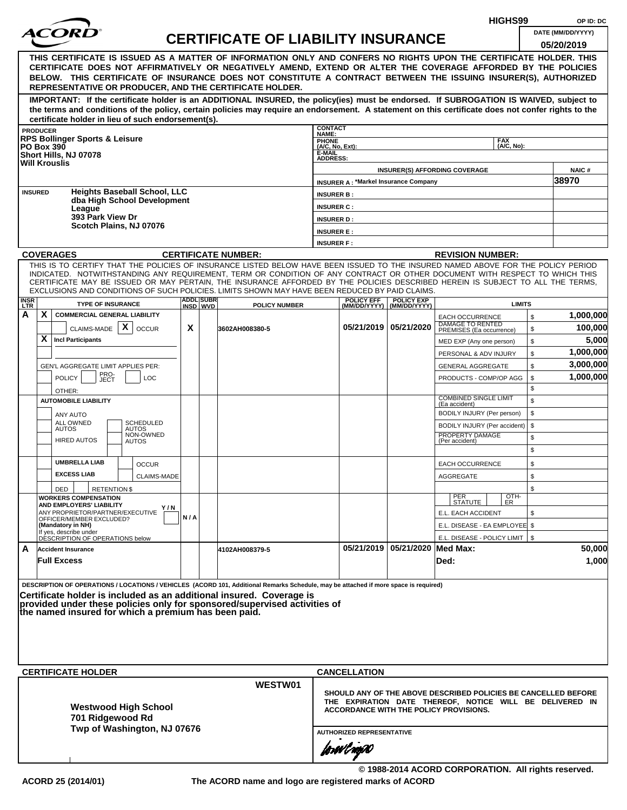|                    |                   |                                                                                                                                                                                                                                                                                                                                                                                                                                                                                                    |     |                              |                                           |                                                                |                                               |                                                                                                                                                                      |                                                                        | HIGHS99                  |          | OP ID: DC            |
|--------------------|-------------------|----------------------------------------------------------------------------------------------------------------------------------------------------------------------------------------------------------------------------------------------------------------------------------------------------------------------------------------------------------------------------------------------------------------------------------------------------------------------------------------------------|-----|------------------------------|-------------------------------------------|----------------------------------------------------------------|-----------------------------------------------|----------------------------------------------------------------------------------------------------------------------------------------------------------------------|------------------------------------------------------------------------|--------------------------|----------|----------------------|
|                    |                   |                                                                                                                                                                                                                                                                                                                                                                                                                                                                                                    |     |                              | <b>CERTIFICATE OF LIABILITY INSURANCE</b> |                                                                |                                               |                                                                                                                                                                      |                                                                        |                          |          | DATE (MM/DD/YYYY)    |
|                    |                   |                                                                                                                                                                                                                                                                                                                                                                                                                                                                                                    |     |                              |                                           |                                                                |                                               |                                                                                                                                                                      |                                                                        |                          |          | 05/20/2019           |
|                    |                   | THIS CERTIFICATE IS ISSUED AS A MATTER OF INFORMATION ONLY AND CONFERS NO RIGHTS UPON THE CERTIFICATE HOLDER. THIS<br>CERTIFICATE DOES NOT AFFIRMATIVELY OR NEGATIVELY AMEND, EXTEND OR ALTER THE COVERAGE AFFORDED BY THE POLICIES<br>BELOW. THIS CERTIFICATE OF INSURANCE DOES NOT CONSTITUTE A CONTRACT BETWEEN THE ISSUING INSURER(S), AUTHORIZED<br>REPRESENTATIVE OR PRODUCER, AND THE CERTIFICATE HOLDER.                                                                                   |     |                              |                                           |                                                                |                                               |                                                                                                                                                                      |                                                                        |                          |          |                      |
|                    |                   | IMPORTANT: If the certificate holder is an ADDITIONAL INSURED, the policy(ies) must be endorsed. If SUBROGATION IS WAIVED, subject to<br>the terms and conditions of the policy, certain policies may require an endorsement. A statement on this certificate does not confer rights to the                                                                                                                                                                                                        |     |                              |                                           |                                                                |                                               |                                                                                                                                                                      |                                                                        |                          |          |                      |
|                    | <b>PRODUCER</b>   | certificate holder in lieu of such endorsement(s).                                                                                                                                                                                                                                                                                                                                                                                                                                                 |     |                              |                                           | <b>CONTACT</b>                                                 |                                               |                                                                                                                                                                      |                                                                        |                          |          |                      |
|                    | <b>PO Box 390</b> | <b>RPS Bollinger Sports &amp; Leisure</b><br>Short Hills, NJ 07078<br><b>Will Krouslis</b>                                                                                                                                                                                                                                                                                                                                                                                                         |     |                              |                                           | NAME:<br>PHONE<br>(A/C, No, Ext):<br>E-MAIL<br><b>ADDRESS:</b> |                                               |                                                                                                                                                                      |                                                                        | <b>FAX</b><br>(A/C, No): |          |                      |
|                    |                   |                                                                                                                                                                                                                                                                                                                                                                                                                                                                                                    |     |                              |                                           |                                                                |                                               |                                                                                                                                                                      | <b>INSURER(S) AFFORDING COVERAGE</b>                                   |                          |          | <b>NAIC#</b>         |
|                    |                   |                                                                                                                                                                                                                                                                                                                                                                                                                                                                                                    |     |                              |                                           |                                                                | <b>INSURER A: *Markel Insurance Company</b>   |                                                                                                                                                                      |                                                                        |                          |          | 38970                |
|                    | <b>INSURED</b>    | <b>Heights Baseball School, LLC</b><br>dba High School Development                                                                                                                                                                                                                                                                                                                                                                                                                                 |     |                              |                                           | <b>INSURER B:</b>                                              |                                               |                                                                                                                                                                      |                                                                        |                          |          |                      |
|                    |                   | League<br>393 Park View Dr                                                                                                                                                                                                                                                                                                                                                                                                                                                                         |     |                              |                                           | <b>INSURER C:</b>                                              |                                               |                                                                                                                                                                      |                                                                        |                          |          |                      |
|                    |                   | Scotch Plains, NJ 07076                                                                                                                                                                                                                                                                                                                                                                                                                                                                            |     |                              |                                           | <b>INSURER D:</b>                                              |                                               |                                                                                                                                                                      |                                                                        |                          |          |                      |
|                    |                   |                                                                                                                                                                                                                                                                                                                                                                                                                                                                                                    |     |                              |                                           | <b>INSURER E:</b><br><b>INSURER F:</b>                         |                                               |                                                                                                                                                                      |                                                                        |                          |          |                      |
|                    |                   | <b>COVERAGES</b>                                                                                                                                                                                                                                                                                                                                                                                                                                                                                   |     |                              | <b>CERTIFICATE NUMBER:</b>                |                                                                |                                               |                                                                                                                                                                      | <b>REVISION NUMBER:</b>                                                |                          |          |                      |
|                    |                   | THIS IS TO CERTIFY THAT THE POLICIES OF INSURANCE LISTED BELOW HAVE BEEN ISSUED TO THE INSURED NAMED ABOVE FOR THE POLICY PERIOD<br>INDICATED. NOTWITHSTANDING ANY REQUIREMENT, TERM OR CONDITION OF ANY CONTRACT OR OTHER DOCUMENT WITH RESPECT TO WHICH THIS<br>CERTIFICATE MAY BE ISSUED OR MAY PERTAIN, THE INSURANCE AFFORDED BY THE POLICIES DESCRIBED HEREIN IS SUBJECT TO ALL THE TERMS.<br>EXCLUSIONS AND CONDITIONS OF SUCH POLICIES. LIMITS SHOWN MAY HAVE BEEN REDUCED BY PAID CLAIMS. |     |                              |                                           |                                                                |                                               |                                                                                                                                                                      |                                                                        |                          |          |                      |
| <b>INSR</b><br>LTR |                   | <b>TYPE OF INSURANCE</b>                                                                                                                                                                                                                                                                                                                                                                                                                                                                           |     | <b>ADDL SUBR</b><br>INSD WVD | <b>POLICY NUMBER</b>                      |                                                                | <b>POLICY EFF</b>                             | <b>POLICY EXP</b><br>(MM/DD/YYYY)   (MM/DD/YYYY)                                                                                                                     |                                                                        | <b>LIMITS</b>            |          |                      |
| А                  | X                 | <b>COMMERCIAL GENERAL LIABILITY</b><br>CLAIMS-MADE $\mathbf{X}$<br><b>OCCUR</b>                                                                                                                                                                                                                                                                                                                                                                                                                    | X   |                              | 3602AH008380-5                            |                                                                |                                               | 05/21/2019 05/21/2020                                                                                                                                                | <b>EACH OCCURRENCE</b><br>DAMAGE TO RENTED<br>PREMISES (Ea occurrence) |                          | \$<br>\$ | 1,000,000<br>100,000 |
|                    | X                 | <b>Incl Participants</b>                                                                                                                                                                                                                                                                                                                                                                                                                                                                           |     |                              |                                           |                                                                |                                               |                                                                                                                                                                      | MED EXP (Any one person)                                               |                          | \$       | 5,000                |
|                    |                   |                                                                                                                                                                                                                                                                                                                                                                                                                                                                                                    |     |                              |                                           |                                                                |                                               |                                                                                                                                                                      | PERSONAL & ADV INJURY                                                  |                          | \$       | 1,000,000            |
|                    |                   | GEN'L AGGREGATE LIMIT APPLIES PER:                                                                                                                                                                                                                                                                                                                                                                                                                                                                 |     |                              |                                           |                                                                |                                               |                                                                                                                                                                      | <b>GENERAL AGGREGATE</b>                                               |                          | \$       | 3,000,000            |
|                    |                   | PRO-<br>JECT<br><b>POLICY</b><br><b>LOC</b>                                                                                                                                                                                                                                                                                                                                                                                                                                                        |     |                              |                                           |                                                                |                                               |                                                                                                                                                                      | PRODUCTS - COMP/OP AGG                                                 |                          | \$       | 1,000,000            |
|                    |                   | OTHER:                                                                                                                                                                                                                                                                                                                                                                                                                                                                                             |     |                              |                                           |                                                                |                                               |                                                                                                                                                                      | <b>COMBINED SINGLE LIMIT</b>                                           |                          | \$       |                      |
|                    |                   | <b>AUTOMOBILE LIABILITY</b>                                                                                                                                                                                                                                                                                                                                                                                                                                                                        |     |                              |                                           |                                                                |                                               |                                                                                                                                                                      | (Ea accident)                                                          |                          | \$       |                      |
|                    |                   | ANY AUTO<br>ALL OWNED<br><b>SCHEDULED</b>                                                                                                                                                                                                                                                                                                                                                                                                                                                          |     |                              |                                           |                                                                |                                               |                                                                                                                                                                      | BODILY INJURY (Per person)                                             |                          | \$<br>\$ |                      |
|                    |                   | <b>AUTOS</b><br><b>AUTOS</b><br>NON-OWNED<br><b>HIRED AUTOS</b><br><b>AUTOS</b>                                                                                                                                                                                                                                                                                                                                                                                                                    |     |                              |                                           |                                                                |                                               |                                                                                                                                                                      | BODILY INJURY (Per accident)<br>PROPERTY DAMAGE<br>(Per accident)      |                          | \$<br>\$ |                      |
|                    |                   | <b>UMBRELLA LIAB</b><br><b>OCCUR</b>                                                                                                                                                                                                                                                                                                                                                                                                                                                               |     |                              |                                           |                                                                |                                               |                                                                                                                                                                      | EACH OCCURRENCE                                                        |                          | \$       |                      |
|                    |                   | <b>EXCESS LIAB</b><br><b>CLAIMS-MADE</b>                                                                                                                                                                                                                                                                                                                                                                                                                                                           |     |                              |                                           |                                                                |                                               |                                                                                                                                                                      | <b>AGGREGATE</b>                                                       |                          | \$       |                      |
|                    |                   | <b>RETENTION \$</b><br>DED                                                                                                                                                                                                                                                                                                                                                                                                                                                                         |     |                              |                                           |                                                                |                                               |                                                                                                                                                                      |                                                                        |                          | \$       |                      |
|                    |                   | <b>WORKERS COMPENSATION</b>                                                                                                                                                                                                                                                                                                                                                                                                                                                                        |     |                              |                                           |                                                                |                                               |                                                                                                                                                                      | PER<br>STATUTE                                                         | OTH-<br>ER               |          |                      |
|                    |                   | AND EMPLOYERS' LIABILITY<br>Y/N<br>ANY PROPRIETOR/PARTNER/EXECUTIVE                                                                                                                                                                                                                                                                                                                                                                                                                                | N/A |                              |                                           |                                                                |                                               |                                                                                                                                                                      | E.L. EACH ACCIDENT                                                     |                          | \$       |                      |
|                    |                   | OFFICER/MEMBER EXCLUDED?<br>(Mandatory in NH)                                                                                                                                                                                                                                                                                                                                                                                                                                                      |     |                              |                                           |                                                                |                                               |                                                                                                                                                                      | E.L. DISEASE - EA EMPLOYEE \$                                          |                          |          |                      |
|                    |                   | If yes, describe under<br>DESCRIPTION OF OPERATIONS below                                                                                                                                                                                                                                                                                                                                                                                                                                          |     |                              |                                           |                                                                |                                               |                                                                                                                                                                      | E.L. DISEASE - POLICY LIMIT   \$                                       |                          |          |                      |
| A                  |                   | <b>Accident Insurance</b><br><b>Full Excess</b>                                                                                                                                                                                                                                                                                                                                                                                                                                                    |     |                              | 4102AH008379-5                            |                                                                |                                               | 05/21/2019 05/21/2020 Med Max:                                                                                                                                       | Ded:                                                                   |                          |          | 50,000<br>1,000      |
|                    |                   | DESCRIPTION OF OPERATIONS / LOCATIONS / VEHICLES (ACORD 101, Additional Remarks Schedule, may be attached if more space is required)<br>Certificate holder is included as an additional insured. Coverage is<br>provided under these policies only for sponsored/supervised activities of<br>the named insured for which a premium has been paid.                                                                                                                                                  |     |                              |                                           |                                                                |                                               |                                                                                                                                                                      |                                                                        |                          |          |                      |
|                    |                   | <b>CERTIFICATE HOLDER</b>                                                                                                                                                                                                                                                                                                                                                                                                                                                                          |     |                              |                                           |                                                                | <b>CANCELLATION</b>                           |                                                                                                                                                                      |                                                                        |                          |          |                      |
|                    |                   |                                                                                                                                                                                                                                                                                                                                                                                                                                                                                                    |     |                              | WESTW01                                   |                                                                |                                               |                                                                                                                                                                      |                                                                        |                          |          |                      |
|                    |                   | <b>Westwood High School</b><br>701 Ridgewood Rd<br>Twp of Washington, NJ 07676                                                                                                                                                                                                                                                                                                                                                                                                                     |     |                              |                                           |                                                                |                                               | SHOULD ANY OF THE ABOVE DESCRIBED POLICIES BE CANCELLED BEFORE<br>THE EXPIRATION DATE THEREOF, NOTICE WILL BE DELIVERED IN<br>ACCORDANCE WITH THE POLICY PROVISIONS. |                                                                        |                          |          |                      |
|                    |                   |                                                                                                                                                                                                                                                                                                                                                                                                                                                                                                    |     |                              |                                           |                                                                | <b>AUTHORIZED REPRESENTATIVE</b><br>forwl now |                                                                                                                                                                      |                                                                        |                          |          |                      |